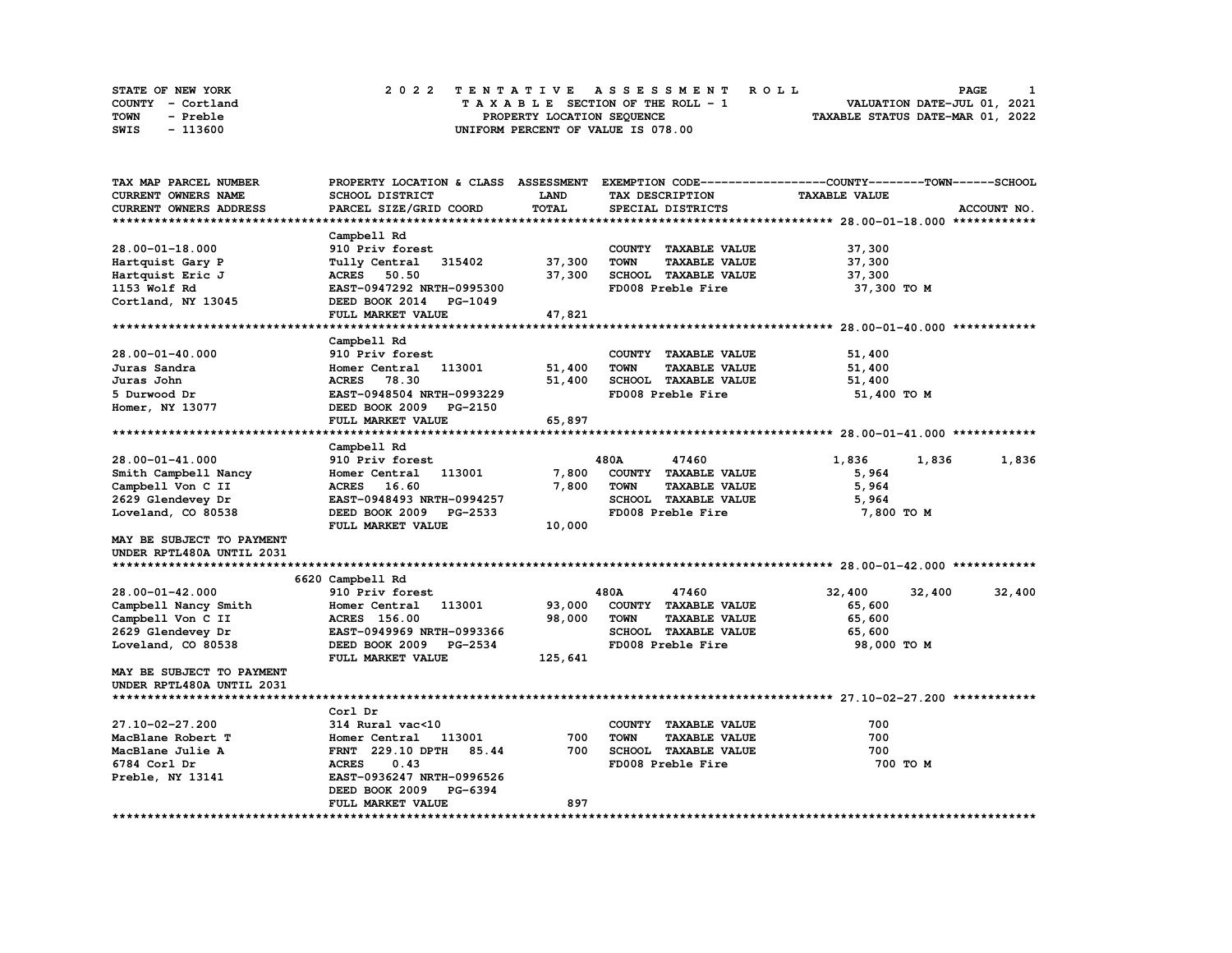| STATE OF NEW YORK | 2022 TENTATIVE ASSESSMENT ROLL     | <b>PAGE</b>                      |
|-------------------|------------------------------------|----------------------------------|
| COUNTY - Cortland | TAXABLE SECTION OF THE ROLL - 1    | VALUATION DATE-JUL 01, 2021      |
| TOWN<br>- Preble  | PROPERTY LOCATION SEQUENCE         | TAXABLE STATUS DATE-MAR 01, 2022 |
| - 113600<br>SWIS  | UNIFORM PERCENT OF VALUE IS 078.00 |                                  |

| TAX MAP PARCEL NUMBER      | PROPERTY LOCATION & CLASS ASSESSMENT EXEMPTION CODE-----------------COUNTY-------TOWN------SCHOOL |             |             |                      |                      |        |             |
|----------------------------|---------------------------------------------------------------------------------------------------|-------------|-------------|----------------------|----------------------|--------|-------------|
| <b>CURRENT OWNERS NAME</b> | <b>SCHOOL DISTRICT</b>                                                                            | <b>LAND</b> |             | TAX DESCRIPTION      | <b>TAXABLE VALUE</b> |        |             |
| CURRENT OWNERS ADDRESS     | PARCEL SIZE/GRID COORD                                                                            | TOTAL       |             | SPECIAL DISTRICTS    |                      |        | ACCOUNT NO. |
|                            |                                                                                                   |             |             |                      |                      |        |             |
|                            | Campbell Rd                                                                                       |             |             |                      |                      |        |             |
| 28.00-01-18.000            | 910 Priv forest                                                                                   |             |             | COUNTY TAXABLE VALUE | 37,300               |        |             |
| Hartquist Gary P           | Tully Central<br>315402                                                                           | 37,300      | <b>TOWN</b> | <b>TAXABLE VALUE</b> | 37,300               |        |             |
| Hartquist Eric J           | <b>ACRES</b> 50.50                                                                                | 37,300      |             | SCHOOL TAXABLE VALUE | 37,300               |        |             |
| 1153 Wolf Rd               | EAST-0947292 NRTH-0995300                                                                         |             |             | FD008 Preble Fire    | 37,300 TO M          |        |             |
| Cortland, NY 13045         | DEED BOOK 2014<br>PG-1049                                                                         |             |             |                      |                      |        |             |
|                            | FULL MARKET VALUE                                                                                 | 47,821      |             |                      |                      |        |             |
|                            |                                                                                                   |             |             |                      |                      |        |             |
|                            | Campbell Rd                                                                                       |             |             |                      |                      |        |             |
| 28.00-01-40.000            | 910 Priv forest                                                                                   |             |             | COUNTY TAXABLE VALUE | 51,400               |        |             |
| Juras Sandra               | Homer Central<br>113001                                                                           | 51,400      | <b>TOWN</b> | <b>TAXABLE VALUE</b> | 51,400               |        |             |
| Juras John                 | 78.30<br><b>ACRES</b>                                                                             | 51,400      |             | SCHOOL TAXABLE VALUE | 51,400               |        |             |
| 5 Durwood Dr               | EAST-0948504 NRTH-0993229                                                                         |             |             | FD008 Preble Fire    | 51,400 TO M          |        |             |
| Homer, NY 13077            | DEED BOOK 2009<br>PG-2150                                                                         |             |             |                      |                      |        |             |
|                            | FULL MARKET VALUE                                                                                 | 65,897      |             |                      |                      |        |             |
|                            |                                                                                                   |             |             |                      |                      |        |             |
|                            | Campbell Rd                                                                                       |             |             |                      |                      |        |             |
| 28.00-01-41.000            | 910 Priv forest                                                                                   |             | 480A        | 47460                | 1,836                | 1,836  | 1,836       |
| Smith Campbell Nancy       | Homer Central<br>113001                                                                           | 7,800       |             | COUNTY TAXABLE VALUE | 5,964                |        |             |
| Campbell Von C II          | ACRES 16.60                                                                                       | 7,800       | <b>TOWN</b> | <b>TAXABLE VALUE</b> | 5,964                |        |             |
| 2629 Glendevey Dr          | EAST-0948493 NRTH-0994257                                                                         |             |             | SCHOOL TAXABLE VALUE | 5,964                |        |             |
| Loveland, CO 80538         | DEED BOOK 2009 PG-2533                                                                            |             |             | FD008 Preble Fire    | 7,800 TO M           |        |             |
|                            | FULL MARKET VALUE                                                                                 | 10,000      |             |                      |                      |        |             |
| MAY BE SUBJECT TO PAYMENT  |                                                                                                   |             |             |                      |                      |        |             |
| UNDER RPTL480A UNTIL 2031  |                                                                                                   |             |             |                      |                      |        |             |
|                            |                                                                                                   |             |             |                      |                      |        |             |
|                            | 6620 Campbell Rd                                                                                  |             |             |                      |                      |        |             |
| 28.00-01-42.000            | 910 Priv forest                                                                                   |             | 480A        | 47460                | 32,400               | 32,400 | 32,400      |
| Campbell Nancy Smith       | Homer Central<br>113001                                                                           | 93,000      |             | COUNTY TAXABLE VALUE | 65,600               |        |             |
| Campbell Von C II          | ACRES 156.00                                                                                      | 98,000      | <b>TOWN</b> | <b>TAXABLE VALUE</b> | 65,600               |        |             |
| 2629 Glendevey Dr          | EAST-0949969 NRTH-0993366                                                                         |             |             | SCHOOL TAXABLE VALUE | 65,600               |        |             |
| Loveland, CO 80538         | DEED BOOK 2009 PG-2534                                                                            |             |             | FD008 Preble Fire    | 98,000 TO M          |        |             |
|                            | FULL MARKET VALUE                                                                                 | 125,641     |             |                      |                      |        |             |
| MAY BE SUBJECT TO PAYMENT  |                                                                                                   |             |             |                      |                      |        |             |
| UNDER RPTL480A UNTIL 2031  |                                                                                                   |             |             |                      |                      |        |             |
|                            |                                                                                                   |             |             |                      |                      |        |             |
|                            | Corl Dr                                                                                           |             |             |                      |                      |        |             |
| 27.10-02-27.200            | 314 Rural vac<10                                                                                  |             |             | COUNTY TAXABLE VALUE | 700                  |        |             |
| MacBlane Robert T          | 113001<br>Homer Central                                                                           | 700         | <b>TOWN</b> | <b>TAXABLE VALUE</b> | 700                  |        |             |
| MacBlane Julie A           | <b>FRNT</b> 229.10 DPTH<br>85.44                                                                  | 700         |             | SCHOOL TAXABLE VALUE | 700                  |        |             |
| 6784 Corl Dr               | <b>ACRES</b><br>0.43                                                                              |             |             | FD008 Preble Fire    | 700 TO M             |        |             |
| Preble, NY 13141           | EAST-0936247 NRTH-0996526                                                                         |             |             |                      |                      |        |             |
|                            | DEED BOOK 2009 PG-6394                                                                            |             |             |                      |                      |        |             |
|                            | FULL MARKET VALUE                                                                                 | 897         |             |                      |                      |        |             |
|                            |                                                                                                   |             |             |                      |                      |        |             |
|                            |                                                                                                   |             |             |                      |                      |        |             |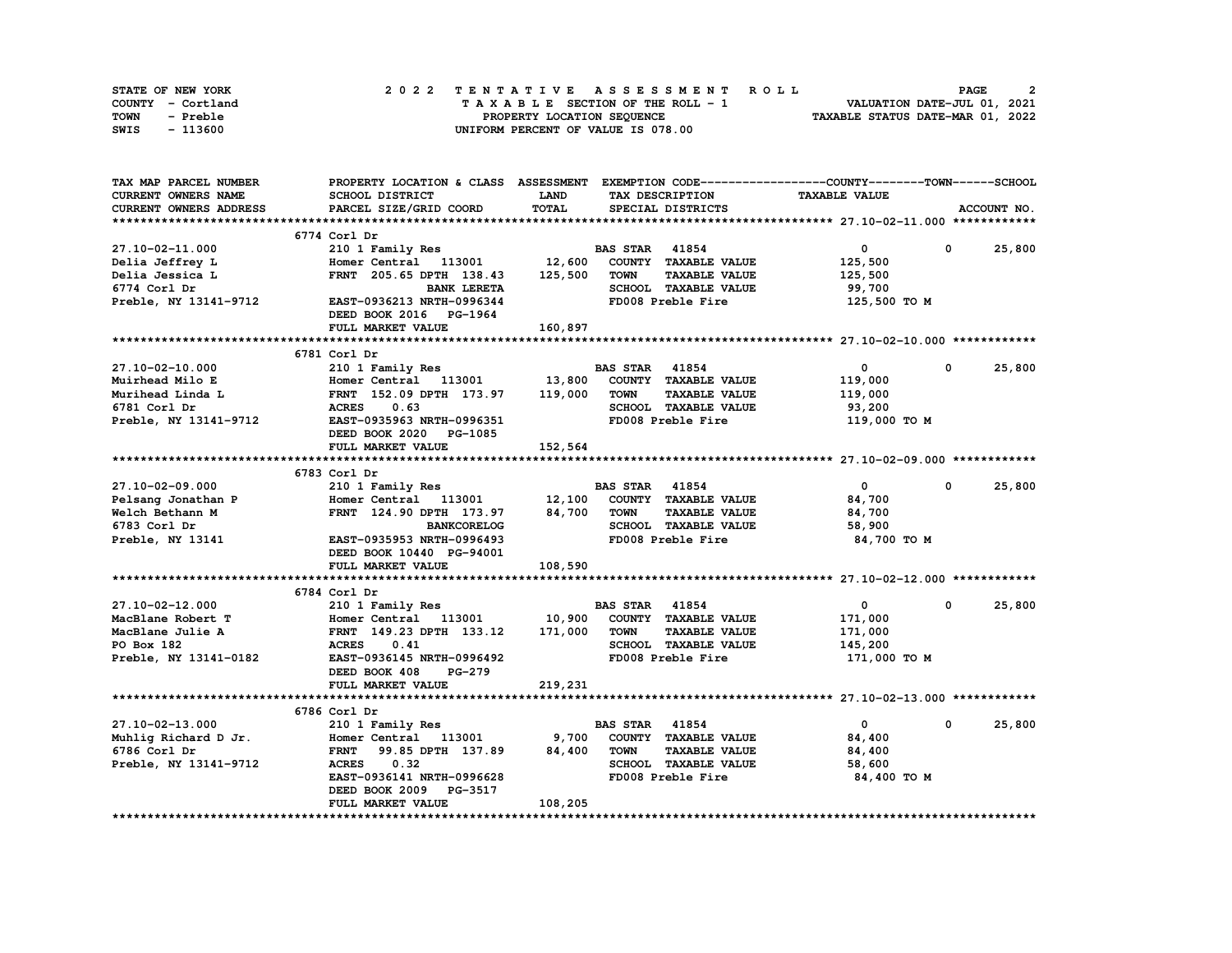| STATE OF NEW YORK | 2022 TENTATIVE ASSESSMENT ROLL     | <b>PAGE</b>                      |
|-------------------|------------------------------------|----------------------------------|
| COUNTY - Cortland | TAXABLE SECTION OF THE ROLL - 1    | VALUATION DATE-JUL 01, 2021      |
| TOWN<br>- Preble  | PROPERTY LOCATION SEQUENCE         | TAXABLE STATUS DATE-MAR 01, 2022 |
| SWIS<br>- 113600  | UNIFORM PERCENT OF VALUE IS 078.00 |                                  |

| TAX MAP PARCEL NUMBER  | PROPERTY LOCATION & CLASS ASSESSMENT     |              |                                     | EXEMPTION CODE-----------------COUNTY-------TOWN------SCHOOL |                        |
|------------------------|------------------------------------------|--------------|-------------------------------------|--------------------------------------------------------------|------------------------|
| CURRENT OWNERS NAME    | SCHOOL DISTRICT                          | LAND         | TAX DESCRIPTION                     | <b>TAXABLE VALUE</b>                                         |                        |
| CURRENT OWNERS ADDRESS | PARCEL SIZE/GRID COORD                   | <b>TOTAL</b> | SPECIAL DISTRICTS                   |                                                              | ACCOUNT NO.            |
|                        |                                          |              |                                     |                                                              |                        |
|                        | 6774 Corl Dr                             |              |                                     |                                                              |                        |
| 27.10-02-11.000        | 210 1 Family Res                         |              | <b>BAS STAR 41854</b>               | 0                                                            | 25,800<br>0            |
| Delia Jeffrey L        | Homer Central 113001                     | 12,600       | COUNTY TAXABLE VALUE                | 125,500                                                      |                        |
| Delia Jessica L        | FRNT 205.65 DPTH 138.43                  | 125,500      | <b>TOWN</b><br><b>TAXABLE VALUE</b> | 125,500                                                      |                        |
| 6774 Corl Dr           | <b>BANK LERETA</b>                       |              | SCHOOL TAXABLE VALUE                | 99,700                                                       |                        |
| Preble, NY 13141-9712  | EAST-0936213 NRTH-0996344                |              | FD008 Preble Fire                   | 125,500 TO M                                                 |                        |
|                        | DEED BOOK 2016 PG-1964                   |              |                                     |                                                              |                        |
|                        | FULL MARKET VALUE                        | 160,897      |                                     |                                                              |                        |
|                        |                                          |              |                                     |                                                              |                        |
|                        | 6781 Corl Dr                             |              |                                     |                                                              |                        |
| 27.10-02-10.000        | 210 1 Family Res                         |              | <b>BAS STAR 41854</b>               | $\mathbf 0$                                                  | 25,800<br>$\mathbf{0}$ |
| Muirhead Milo E        | Homer Central 113001                     | 13,800       | COUNTY TAXABLE VALUE                | 119,000                                                      |                        |
| Murihead Linda L       | FRNT 152.09 DPTH 173.97                  | 119,000      | <b>TOWN</b><br><b>TAXABLE VALUE</b> | 119,000                                                      |                        |
| 6781 Corl Dr           | <b>ACRES</b><br>0.63                     |              | <b>SCHOOL TAXABLE VALUE</b>         | 93,200                                                       |                        |
| Preble, NY 13141-9712  | EAST-0935963 NRTH-0996351                |              | FD008 Preble Fire                   | 119,000 TO M                                                 |                        |
|                        | DEED BOOK 2020 PG-1085                   |              |                                     |                                                              |                        |
|                        | FULL MARKET VALUE                        | 152,564      |                                     |                                                              |                        |
|                        |                                          |              |                                     |                                                              |                        |
|                        | 6783 Corl Dr                             |              |                                     |                                                              |                        |
| 27.10-02-09.000        |                                          |              | <b>BAS STAR 41854</b>               | $\mathbf 0$                                                  | $^{\circ}$<br>25,800   |
|                        | 210 1 Family Res<br>Homer Central 113001 | 12,100       | COUNTY TAXABLE VALUE                |                                                              |                        |
| Pelsang Jonathan P     |                                          |              | <b>TOWN</b><br><b>TAXABLE VALUE</b> | 84,700                                                       |                        |
| Welch Bethann M        | FRNT 124.90 DPTH 173.97                  | 84,700       |                                     | 84,700                                                       |                        |
| 6783 Corl Dr           | <b>BANKCORELOG</b>                       |              | SCHOOL TAXABLE VALUE                | 58,900                                                       |                        |
| Preble, NY 13141       | EAST-0935953 NRTH-0996493                |              | FD008 Preble Fire                   | 84,700 TO M                                                  |                        |
|                        | DEED BOOK 10440 PG-94001                 |              |                                     |                                                              |                        |
|                        | FULL MARKET VALUE                        | 108,590      |                                     |                                                              |                        |
|                        |                                          |              |                                     |                                                              |                        |
|                        | 6784 Corl Dr                             |              |                                     |                                                              |                        |
| 27.10-02-12.000        | 210 1 Family Res                         |              | <b>BAS STAR 41854</b>               | 0                                                            | $\mathbf{0}$<br>25,800 |
| MacBlane Robert T      | Homer Central 113001                     | 10,900       | COUNTY TAXABLE VALUE                | 171,000                                                      |                        |
| MacBlane Julie A       | FRNT 149.23 DPTH 133.12                  | 171,000      | <b>TOWN</b><br><b>TAXABLE VALUE</b> | 171,000                                                      |                        |
| PO Box 182             | 0.41<br><b>ACRES</b>                     |              | <b>SCHOOL TAXABLE VALUE</b>         | 145,200                                                      |                        |
| Preble, NY 13141-0182  | EAST-0936145 NRTH-0996492                |              | FD008 Preble Fire                   | 171,000 TO M                                                 |                        |
|                        | DEED BOOK 408<br><b>PG-279</b>           |              |                                     |                                                              |                        |
|                        | FULL MARKET VALUE                        | 219,231      |                                     |                                                              |                        |
|                        |                                          |              |                                     |                                                              |                        |
|                        | 6786 Corl Dr                             |              |                                     |                                                              |                        |
| 27.10-02-13.000        | 210 1 Family Res                         |              | <b>BAS STAR</b> 41854               | $\mathbf{0}$                                                 | 25,800<br>$^{\circ}$   |
| Muhlig Richard D Jr.   | Homer Central 113001                     | 9,700        | COUNTY TAXABLE VALUE                | 84,400                                                       |                        |
| 6786 Corl Dr           | <b>FRNT</b><br>99.85 DPTH 137.89         | 84,400       | <b>TOWN</b><br><b>TAXABLE VALUE</b> | 84,400                                                       |                        |
| Preble, NY 13141-9712  | <b>ACRES</b><br>0.32                     |              | SCHOOL TAXABLE VALUE                | 58,600                                                       |                        |
|                        | EAST-0936141 NRTH-0996628                |              | FD008 Preble Fire                   | 84,400 TO M                                                  |                        |
|                        | DEED BOOK 2009<br><b>PG-3517</b>         |              |                                     |                                                              |                        |
|                        | FULL MARKET VALUE                        | 108,205      |                                     |                                                              |                        |
|                        |                                          |              |                                     |                                                              |                        |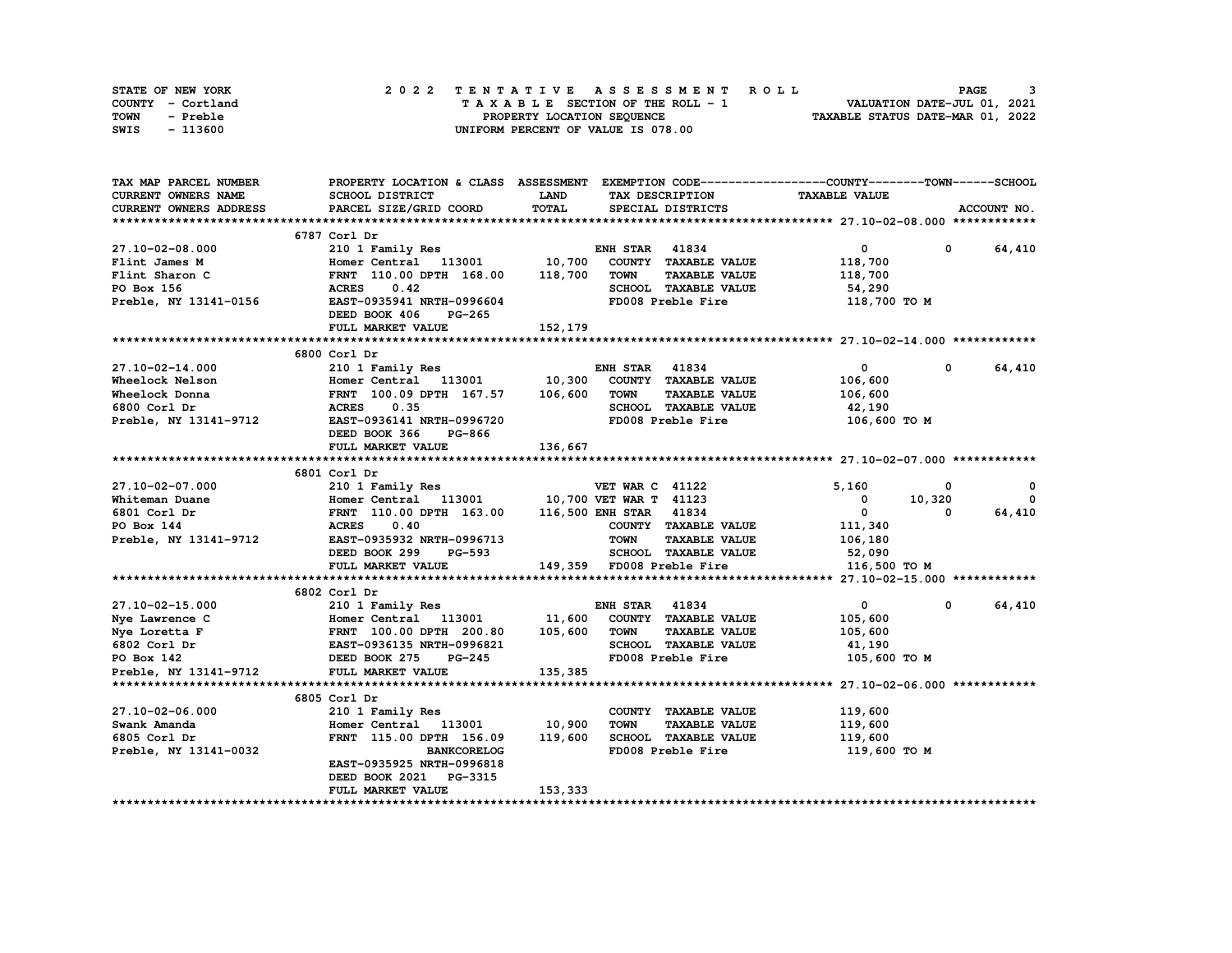| STATE OF NEW YORK | 2022 TENTATIVE ASSESSMENT ROLL     | <b>PAGE</b>                      |
|-------------------|------------------------------------|----------------------------------|
| COUNTY - Cortland | TAXABLE SECTION OF THE ROLL - 1    | VALUATION DATE-JUL 01, 2021      |
| TOWN<br>- Preble  | PROPERTY LOCATION SEQUENCE         | TAXABLE STATUS DATE-MAR 01, 2022 |
| - 113600<br>SWIS  | UNIFORM PERCENT OF VALUE IS 078.00 |                                  |

| TAX MAP PARCEL NUMBER                                                                                                                                                                                                                   | PROPERTY LOCATION & CLASS ASSESSMENT EXEMPTION CODE----------------COUNTY-------TOWN-----SCHOOL                            |         |                                     |                      |              |             |
|-----------------------------------------------------------------------------------------------------------------------------------------------------------------------------------------------------------------------------------------|----------------------------------------------------------------------------------------------------------------------------|---------|-------------------------------------|----------------------|--------------|-------------|
| CURRENT OWNERS NAME                                                                                                                                                                                                                     | SCHOOL DISTRICT                                                                                                            | LAND    | TAX DESCRIPTION                     | <b>TAXABLE VALUE</b> |              |             |
| CURRENT OWNERS ADDRESS                                                                                                                                                                                                                  | PARCEL SIZE/GRID COORD                                                                                                     | TOTAL   | SPECIAL DISTRICTS                   |                      |              | ACCOUNT NO. |
|                                                                                                                                                                                                                                         |                                                                                                                            |         |                                     |                      |              |             |
|                                                                                                                                                                                                                                         | 6787 Corl Dr                                                                                                               |         |                                     |                      |              |             |
| 27.10-02-08.000                                                                                                                                                                                                                         | 210 1 Family Res                                                                                                           |         | <b>ENH STAR 41834</b>               | $\mathbf{0}$         | $\mathbf 0$  | 64,410      |
| Flint James M                                                                                                                                                                                                                           |                                                                                                                            |         |                                     | 118,700              |              |             |
| Flint Sharon C                                                                                                                                                                                                                          | Homer Central 113001 10,700 COUNTY TAXABLE VALUE<br>FRNT 110.00 DPTH 168.00 118,700 TOWN TAXABLE VALUE                     |         |                                     | 118,700              |              |             |
| PO Box 156                                                                                                                                                                                                                              | <b>ACRES</b><br>0.42                                                                                                       |         | SCHOOL TAXABLE VALUE                | 54,290               |              |             |
| Preble, NY 13141-0156                                                                                                                                                                                                                   | EAST-0935941 NRTH-0996604                                                                                                  |         | FD008 Preble Fire                   | 118,700 TO M         |              |             |
|                                                                                                                                                                                                                                         | DEED BOOK 406<br>PG-265                                                                                                    |         |                                     |                      |              |             |
|                                                                                                                                                                                                                                         | FULL MARKET VALUE                                                                                                          | 152,179 |                                     |                      |              |             |
|                                                                                                                                                                                                                                         |                                                                                                                            |         |                                     |                      |              |             |
|                                                                                                                                                                                                                                         | 6800 Corl Dr                                                                                                               |         |                                     |                      |              |             |
| 27.10-02-14.000                                                                                                                                                                                                                         | 210 1 Family Res                                                                                                           |         | <b>ENH STAR 41834</b>               | $\overline{0}$       | $\mathbf{0}$ | 64,410      |
| Wheelock Nelson                                                                                                                                                                                                                         | Homer Central 113001 10,300                                                                                                |         | COUNTY TAXABLE VALUE                | 106,600              |              |             |
| Wheelock Donna                                                                                                                                                                                                                          | FRNT 100.09 DPTH 167.57 106,600                                                                                            |         | <b>TAXABLE VALUE</b><br><b>TOWN</b> |                      |              |             |
| 6800 Corl Dr                                                                                                                                                                                                                            | 0.35<br><b>ACRES</b>                                                                                                       |         | SCHOOL TAXABLE VALUE                | 106,600<br>42,190    |              |             |
|                                                                                                                                                                                                                                         |                                                                                                                            |         | FD008 Preble Fire                   |                      |              |             |
| Preble, NY 13141-9712                                                                                                                                                                                                                   | EAST-0936141 NRTH-0996720                                                                                                  |         |                                     | 106,600 то м         |              |             |
|                                                                                                                                                                                                                                         | DEED BOOK 366<br>PG-866                                                                                                    |         |                                     |                      |              |             |
|                                                                                                                                                                                                                                         | FULL MARKET VALUE                                                                                                          | 136,667 |                                     |                      |              |             |
|                                                                                                                                                                                                                                         |                                                                                                                            |         |                                     |                      |              |             |
|                                                                                                                                                                                                                                         | 6801 Corl Dr                                                                                                               |         |                                     |                      |              |             |
| 27.10-02-07.000                                                                                                                                                                                                                         | 210 1 Family Res                                                                                                           |         | <b>VET WAR C 41122</b>              | 5,160                | 0            | $^{\circ}$  |
| Whiteman Duane                                                                                                                                                                                                                          | Homer Central 113001 10,700 VET WAR T 41123<br>FRNT 110.00 DPTH 163.00 116,500 ENH STAR 41834<br>ACRES 0.40 COUNTY TAXABLE |         |                                     | $\mathbf 0$          | 10,320       | 0           |
| 6801 Corl Dr                                                                                                                                                                                                                            |                                                                                                                            |         |                                     | $\mathbf{0}$         | 0            | 64,410      |
| PO Box 144                                                                                                                                                                                                                              |                                                                                                                            |         | COUNTY TAXABLE VALUE                | 111,340              |              |             |
| Preble, NY 13141-9712                                                                                                                                                                                                                   | EAST-0935932 NRTH-0996713                                                                                                  |         | <b>TOWN</b><br><b>TAXABLE VALUE</b> | 106,180              |              |             |
|                                                                                                                                                                                                                                         | DEED BOOK 299<br>PG-593                                                                                                    |         | SCHOOL TAXABLE VALUE                | 52,090               |              |             |
|                                                                                                                                                                                                                                         | FULL MARKET VALUE                                                                                                          |         | 149,359 FD008 Preble Fire           | 116,500 TO M         |              |             |
|                                                                                                                                                                                                                                         |                                                                                                                            |         |                                     |                      |              |             |
|                                                                                                                                                                                                                                         | 6802 Corl Dr                                                                                                               |         |                                     |                      |              |             |
|                                                                                                                                                                                                                                         |                                                                                                                            |         | <b>ENH STAR 41834</b>               | $\mathbf{0}$         | $^{\circ}$   | 64,410      |
|                                                                                                                                                                                                                                         |                                                                                                                            |         | COUNTY TAXABLE VALUE                | 105,600              |              |             |
|                                                                                                                                                                                                                                         |                                                                                                                            |         | <b>TAXABLE VALUE</b><br>TOWN        | 105,600              |              |             |
|                                                                                                                                                                                                                                         |                                                                                                                            |         | SCHOOL TAXABLE VALUE                | 41,190               |              |             |
| 27.10-02-15.000 210 1 Family Res EN<br>Nye Lawrence C Homer Central 113001 11,600<br>Nye Loretta F FRNT 100.00 DPTH 200.80 105,600<br>6802 Corl Dr EAST-0936135 NRTH-0996821<br>PO Box 142 DEED BOOK 275 PG-245<br>THE NORM IN THE POST |                                                                                                                            |         | FD008 Preble Fire 105,600 TO M      |                      |              |             |
| Preble, NY 13141-9712                                                                                                                                                                                                                   | FULL MARKET VALUE                                                                                                          | 135,385 |                                     |                      |              |             |
|                                                                                                                                                                                                                                         |                                                                                                                            |         |                                     |                      |              |             |
|                                                                                                                                                                                                                                         | 6805 Corl Dr                                                                                                               |         |                                     |                      |              |             |
| 27.10-02-06.000                                                                                                                                                                                                                         | 210 1 Family Res                                                                                                           |         | COUNTY TAXABLE VALUE                | 119,600              |              |             |
| Swank Amanda                                                                                                                                                                                                                            | Homer Central 113001 10,900                                                                                                |         | <b>TOWN</b><br><b>TAXABLE VALUE</b> | 119,600              |              |             |
| 6805 Corl Dr                                                                                                                                                                                                                            | FRNT 115.00 DPTH 156.09                                                                                                    | 119,600 | SCHOOL TAXABLE VALUE                | 119,600              |              |             |
| Preble, NY 13141-0032                                                                                                                                                                                                                   | <b>BANKCORELOG</b>                                                                                                         |         | FD008 Preble Fire                   | 119,600 то м         |              |             |
|                                                                                                                                                                                                                                         | EAST-0935925 NRTH-0996818                                                                                                  |         |                                     |                      |              |             |
|                                                                                                                                                                                                                                         | DEED BOOK 2021 PG-3315                                                                                                     |         |                                     |                      |              |             |
|                                                                                                                                                                                                                                         | FULL MARKET VALUE                                                                                                          | 153,333 |                                     |                      |              |             |
|                                                                                                                                                                                                                                         |                                                                                                                            |         |                                     |                      |              |             |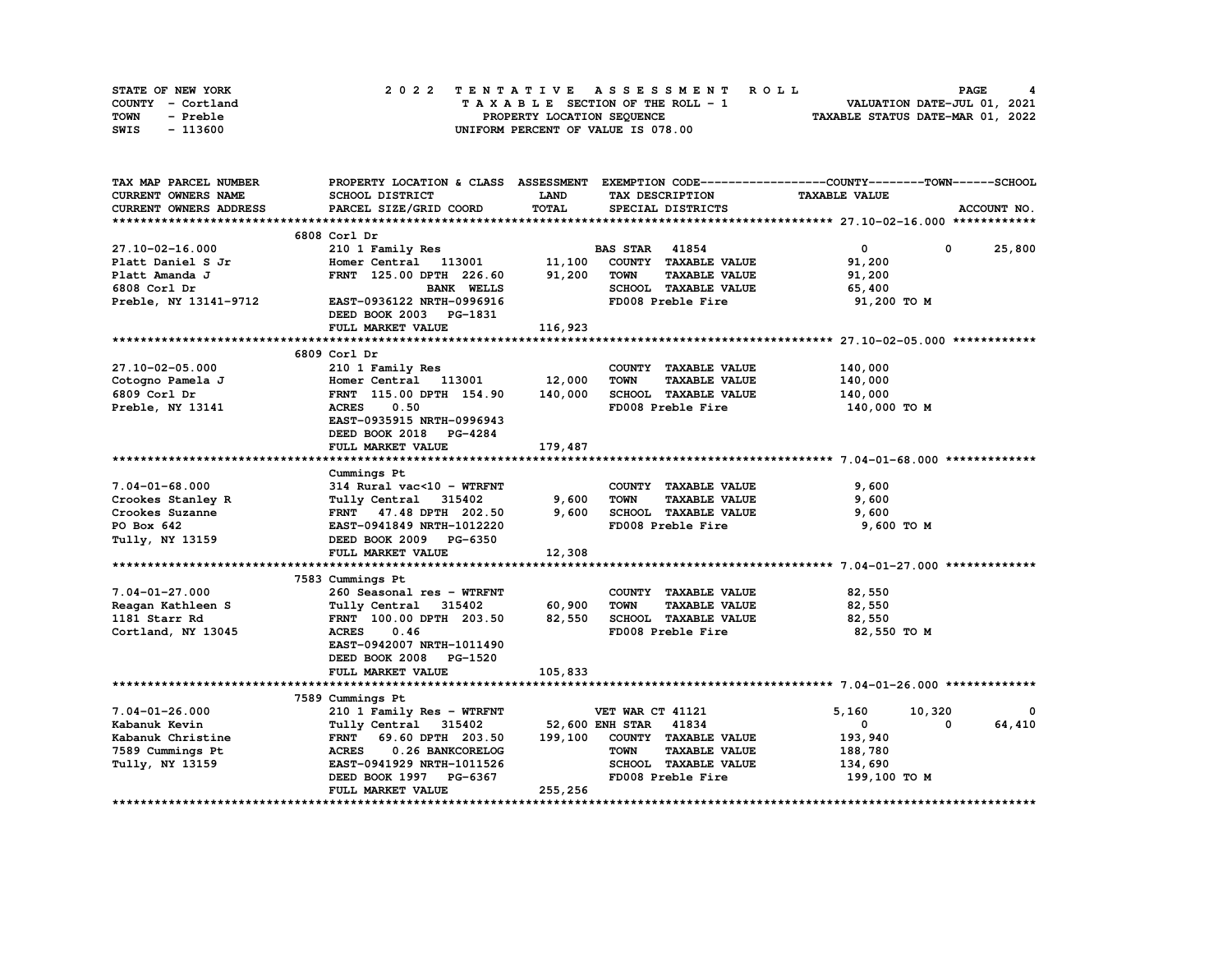| STATE OF NEW YORK | 2022 TENTATIVE ASSESSMENT ROLL     | <b>PAGE</b>                      |
|-------------------|------------------------------------|----------------------------------|
| COUNTY - Cortland | TAXABLE SECTION OF THE ROLL - 1    | VALUATION DATE-JUL 01, 2021      |
| TOWN<br>- Preble  | PROPERTY LOCATION SEQUENCE         | TAXABLE STATUS DATE-MAR 01, 2022 |
| SWIS<br>- 113600  | UNIFORM PERCENT OF VALUE IS 078.00 |                                  |

| CURRENT OWNERS NAME<br>SCHOOL DISTRICT<br>LAND<br><b>TAXABLE VALUE</b><br>TAX DESCRIPTION<br>TOTAL<br>ACCOUNT NO.<br>CURRENT OWNERS ADDRESS<br>PARCEL SIZE/GRID COORD<br>SPECIAL DISTRICTS<br>6808 Corl Dr<br>210 1 Family Res<br>25,800<br>27.10-02-16.000<br><b>BAS STAR 41854</b><br>$\mathbf{0}$<br>$\mathbf 0$<br>Homer Central 113001 11,100<br>COUNTY TAXABLE VALUE<br>Platt Daniel S Jr<br>91,200<br>91,200<br>Platt Amanda J<br>FRNT 125.00 DPTH 226.60<br><b>TAXABLE VALUE</b><br><b>TOWN</b><br>91,200<br>SCHOOL TAXABLE VALUE<br>6808 Corl Dr<br><b>BANK WELLS</b><br>65,400<br>EAST-0936122 NRTH-0996916<br>FD008 Preble Fire<br>91,200 TO M<br>Preble, NY 13141-9712<br>DEED BOOK 2003 PG-1831<br>116,923<br>FULL MARKET VALUE<br>6809 Corl Dr<br>210 1 Family Res<br>27.10-02-05.000<br>COUNTY TAXABLE VALUE<br>140,000<br>Homer Central 113001 12,000<br><b>TOWN</b><br><b>TAXABLE VALUE</b><br>Cotogno Pamela J<br>140,000<br>FRNT 115.00 DPTH 154.90 140,000<br>SCHOOL TAXABLE VALUE<br>6809 Corl Dr<br>140,000<br>Preble, NY 13141<br>FD008 Preble Fire<br><b>ACRES</b><br>0.50<br>140,000 TO M<br>EAST-0935915 NRTH-0996943<br>DEED BOOK 2018 PG-4284<br>179,487<br>FULL MARKET VALUE<br>Cummings Pt<br>$7.04 - 01 - 68.000$<br>314 Rural vac<10 - WTRFNT<br>COUNTY TAXABLE VALUE<br>9,600<br>9,600<br><b>TOWN</b><br><b>TAXABLE VALUE</b><br>9,600<br>Crookes Stanley R<br>Tully Central 315402<br>9,600<br>SCHOOL TAXABLE VALUE<br>Crookes Suzanne<br>FRNT 47.48 DPTH 202.50<br>9,600<br>FD008 Preble Fire<br>9,600 TO M<br>PO Box 642<br>EAST-0941849 NRTH-1012220<br>Tully, NY 13159<br>DEED BOOK 2009 PG-6350<br>FULL MARKET VALUE<br>12,308<br>7583 Cummings Pt<br>COUNTY TAXABLE VALUE<br>82,550<br>$7.04 - 01 - 27.000$<br>260 Seasonal res - WTRFNT<br>60,900<br><b>TOWN</b><br><b>TAXABLE VALUE</b><br>82,550<br>Reagan Kathleen S<br>Tully Central 315402<br>82,550<br>1181 Starr Rd<br>FRNT 100.00 DPTH 203.50<br>SCHOOL TAXABLE VALUE<br>82,550<br>FD008 Preble Fire<br>Cortland, NY 13045<br><b>ACRES</b><br>0.46<br>82,550 TO M<br>EAST-0942007 NRTH-1011490<br>DEED BOOK 2008 PG-1520<br>105,833<br>FULL MARKET VALUE<br>7589 Cummings Pt<br>$7.04 - 01 - 26.000$<br>210 1 Family Res - WTRFNT<br>VET WAR CT 41121<br>5,160<br>10,320<br>0<br>52,600 ENH STAR 41834<br>$^{\circ}$<br>64,410 | TAX MAP PARCEL NUMBER |                      |  | PROPERTY LOCATION & CLASS ASSESSMENT EXEMPTION CODE-----------------COUNTY-------TOWN------SCHOOL |  |
|---------------------------------------------------------------------------------------------------------------------------------------------------------------------------------------------------------------------------------------------------------------------------------------------------------------------------------------------------------------------------------------------------------------------------------------------------------------------------------------------------------------------------------------------------------------------------------------------------------------------------------------------------------------------------------------------------------------------------------------------------------------------------------------------------------------------------------------------------------------------------------------------------------------------------------------------------------------------------------------------------------------------------------------------------------------------------------------------------------------------------------------------------------------------------------------------------------------------------------------------------------------------------------------------------------------------------------------------------------------------------------------------------------------------------------------------------------------------------------------------------------------------------------------------------------------------------------------------------------------------------------------------------------------------------------------------------------------------------------------------------------------------------------------------------------------------------------------------------------------------------------------------------------------------------------------------------------------------------------------------------------------------------------------------------------------------------------------------------------------------------------------------------------------------------------------------------------------------------------------------------------------------------------------------------------------------------------|-----------------------|----------------------|--|---------------------------------------------------------------------------------------------------|--|
|                                                                                                                                                                                                                                                                                                                                                                                                                                                                                                                                                                                                                                                                                                                                                                                                                                                                                                                                                                                                                                                                                                                                                                                                                                                                                                                                                                                                                                                                                                                                                                                                                                                                                                                                                                                                                                                                                                                                                                                                                                                                                                                                                                                                                                                                                                                                 |                       |                      |  |                                                                                                   |  |
|                                                                                                                                                                                                                                                                                                                                                                                                                                                                                                                                                                                                                                                                                                                                                                                                                                                                                                                                                                                                                                                                                                                                                                                                                                                                                                                                                                                                                                                                                                                                                                                                                                                                                                                                                                                                                                                                                                                                                                                                                                                                                                                                                                                                                                                                                                                                 |                       |                      |  |                                                                                                   |  |
|                                                                                                                                                                                                                                                                                                                                                                                                                                                                                                                                                                                                                                                                                                                                                                                                                                                                                                                                                                                                                                                                                                                                                                                                                                                                                                                                                                                                                                                                                                                                                                                                                                                                                                                                                                                                                                                                                                                                                                                                                                                                                                                                                                                                                                                                                                                                 |                       |                      |  |                                                                                                   |  |
|                                                                                                                                                                                                                                                                                                                                                                                                                                                                                                                                                                                                                                                                                                                                                                                                                                                                                                                                                                                                                                                                                                                                                                                                                                                                                                                                                                                                                                                                                                                                                                                                                                                                                                                                                                                                                                                                                                                                                                                                                                                                                                                                                                                                                                                                                                                                 |                       |                      |  |                                                                                                   |  |
|                                                                                                                                                                                                                                                                                                                                                                                                                                                                                                                                                                                                                                                                                                                                                                                                                                                                                                                                                                                                                                                                                                                                                                                                                                                                                                                                                                                                                                                                                                                                                                                                                                                                                                                                                                                                                                                                                                                                                                                                                                                                                                                                                                                                                                                                                                                                 |                       |                      |  |                                                                                                   |  |
|                                                                                                                                                                                                                                                                                                                                                                                                                                                                                                                                                                                                                                                                                                                                                                                                                                                                                                                                                                                                                                                                                                                                                                                                                                                                                                                                                                                                                                                                                                                                                                                                                                                                                                                                                                                                                                                                                                                                                                                                                                                                                                                                                                                                                                                                                                                                 |                       |                      |  |                                                                                                   |  |
|                                                                                                                                                                                                                                                                                                                                                                                                                                                                                                                                                                                                                                                                                                                                                                                                                                                                                                                                                                                                                                                                                                                                                                                                                                                                                                                                                                                                                                                                                                                                                                                                                                                                                                                                                                                                                                                                                                                                                                                                                                                                                                                                                                                                                                                                                                                                 |                       |                      |  |                                                                                                   |  |
|                                                                                                                                                                                                                                                                                                                                                                                                                                                                                                                                                                                                                                                                                                                                                                                                                                                                                                                                                                                                                                                                                                                                                                                                                                                                                                                                                                                                                                                                                                                                                                                                                                                                                                                                                                                                                                                                                                                                                                                                                                                                                                                                                                                                                                                                                                                                 |                       |                      |  |                                                                                                   |  |
|                                                                                                                                                                                                                                                                                                                                                                                                                                                                                                                                                                                                                                                                                                                                                                                                                                                                                                                                                                                                                                                                                                                                                                                                                                                                                                                                                                                                                                                                                                                                                                                                                                                                                                                                                                                                                                                                                                                                                                                                                                                                                                                                                                                                                                                                                                                                 |                       |                      |  |                                                                                                   |  |
|                                                                                                                                                                                                                                                                                                                                                                                                                                                                                                                                                                                                                                                                                                                                                                                                                                                                                                                                                                                                                                                                                                                                                                                                                                                                                                                                                                                                                                                                                                                                                                                                                                                                                                                                                                                                                                                                                                                                                                                                                                                                                                                                                                                                                                                                                                                                 |                       |                      |  |                                                                                                   |  |
|                                                                                                                                                                                                                                                                                                                                                                                                                                                                                                                                                                                                                                                                                                                                                                                                                                                                                                                                                                                                                                                                                                                                                                                                                                                                                                                                                                                                                                                                                                                                                                                                                                                                                                                                                                                                                                                                                                                                                                                                                                                                                                                                                                                                                                                                                                                                 |                       |                      |  |                                                                                                   |  |
|                                                                                                                                                                                                                                                                                                                                                                                                                                                                                                                                                                                                                                                                                                                                                                                                                                                                                                                                                                                                                                                                                                                                                                                                                                                                                                                                                                                                                                                                                                                                                                                                                                                                                                                                                                                                                                                                                                                                                                                                                                                                                                                                                                                                                                                                                                                                 |                       |                      |  |                                                                                                   |  |
|                                                                                                                                                                                                                                                                                                                                                                                                                                                                                                                                                                                                                                                                                                                                                                                                                                                                                                                                                                                                                                                                                                                                                                                                                                                                                                                                                                                                                                                                                                                                                                                                                                                                                                                                                                                                                                                                                                                                                                                                                                                                                                                                                                                                                                                                                                                                 |                       |                      |  |                                                                                                   |  |
|                                                                                                                                                                                                                                                                                                                                                                                                                                                                                                                                                                                                                                                                                                                                                                                                                                                                                                                                                                                                                                                                                                                                                                                                                                                                                                                                                                                                                                                                                                                                                                                                                                                                                                                                                                                                                                                                                                                                                                                                                                                                                                                                                                                                                                                                                                                                 |                       |                      |  |                                                                                                   |  |
|                                                                                                                                                                                                                                                                                                                                                                                                                                                                                                                                                                                                                                                                                                                                                                                                                                                                                                                                                                                                                                                                                                                                                                                                                                                                                                                                                                                                                                                                                                                                                                                                                                                                                                                                                                                                                                                                                                                                                                                                                                                                                                                                                                                                                                                                                                                                 |                       |                      |  |                                                                                                   |  |
|                                                                                                                                                                                                                                                                                                                                                                                                                                                                                                                                                                                                                                                                                                                                                                                                                                                                                                                                                                                                                                                                                                                                                                                                                                                                                                                                                                                                                                                                                                                                                                                                                                                                                                                                                                                                                                                                                                                                                                                                                                                                                                                                                                                                                                                                                                                                 |                       |                      |  |                                                                                                   |  |
|                                                                                                                                                                                                                                                                                                                                                                                                                                                                                                                                                                                                                                                                                                                                                                                                                                                                                                                                                                                                                                                                                                                                                                                                                                                                                                                                                                                                                                                                                                                                                                                                                                                                                                                                                                                                                                                                                                                                                                                                                                                                                                                                                                                                                                                                                                                                 |                       |                      |  |                                                                                                   |  |
|                                                                                                                                                                                                                                                                                                                                                                                                                                                                                                                                                                                                                                                                                                                                                                                                                                                                                                                                                                                                                                                                                                                                                                                                                                                                                                                                                                                                                                                                                                                                                                                                                                                                                                                                                                                                                                                                                                                                                                                                                                                                                                                                                                                                                                                                                                                                 |                       |                      |  |                                                                                                   |  |
|                                                                                                                                                                                                                                                                                                                                                                                                                                                                                                                                                                                                                                                                                                                                                                                                                                                                                                                                                                                                                                                                                                                                                                                                                                                                                                                                                                                                                                                                                                                                                                                                                                                                                                                                                                                                                                                                                                                                                                                                                                                                                                                                                                                                                                                                                                                                 |                       |                      |  |                                                                                                   |  |
|                                                                                                                                                                                                                                                                                                                                                                                                                                                                                                                                                                                                                                                                                                                                                                                                                                                                                                                                                                                                                                                                                                                                                                                                                                                                                                                                                                                                                                                                                                                                                                                                                                                                                                                                                                                                                                                                                                                                                                                                                                                                                                                                                                                                                                                                                                                                 |                       |                      |  |                                                                                                   |  |
|                                                                                                                                                                                                                                                                                                                                                                                                                                                                                                                                                                                                                                                                                                                                                                                                                                                                                                                                                                                                                                                                                                                                                                                                                                                                                                                                                                                                                                                                                                                                                                                                                                                                                                                                                                                                                                                                                                                                                                                                                                                                                                                                                                                                                                                                                                                                 |                       |                      |  |                                                                                                   |  |
|                                                                                                                                                                                                                                                                                                                                                                                                                                                                                                                                                                                                                                                                                                                                                                                                                                                                                                                                                                                                                                                                                                                                                                                                                                                                                                                                                                                                                                                                                                                                                                                                                                                                                                                                                                                                                                                                                                                                                                                                                                                                                                                                                                                                                                                                                                                                 |                       |                      |  |                                                                                                   |  |
|                                                                                                                                                                                                                                                                                                                                                                                                                                                                                                                                                                                                                                                                                                                                                                                                                                                                                                                                                                                                                                                                                                                                                                                                                                                                                                                                                                                                                                                                                                                                                                                                                                                                                                                                                                                                                                                                                                                                                                                                                                                                                                                                                                                                                                                                                                                                 |                       |                      |  |                                                                                                   |  |
|                                                                                                                                                                                                                                                                                                                                                                                                                                                                                                                                                                                                                                                                                                                                                                                                                                                                                                                                                                                                                                                                                                                                                                                                                                                                                                                                                                                                                                                                                                                                                                                                                                                                                                                                                                                                                                                                                                                                                                                                                                                                                                                                                                                                                                                                                                                                 |                       |                      |  |                                                                                                   |  |
|                                                                                                                                                                                                                                                                                                                                                                                                                                                                                                                                                                                                                                                                                                                                                                                                                                                                                                                                                                                                                                                                                                                                                                                                                                                                                                                                                                                                                                                                                                                                                                                                                                                                                                                                                                                                                                                                                                                                                                                                                                                                                                                                                                                                                                                                                                                                 |                       |                      |  |                                                                                                   |  |
|                                                                                                                                                                                                                                                                                                                                                                                                                                                                                                                                                                                                                                                                                                                                                                                                                                                                                                                                                                                                                                                                                                                                                                                                                                                                                                                                                                                                                                                                                                                                                                                                                                                                                                                                                                                                                                                                                                                                                                                                                                                                                                                                                                                                                                                                                                                                 |                       |                      |  |                                                                                                   |  |
|                                                                                                                                                                                                                                                                                                                                                                                                                                                                                                                                                                                                                                                                                                                                                                                                                                                                                                                                                                                                                                                                                                                                                                                                                                                                                                                                                                                                                                                                                                                                                                                                                                                                                                                                                                                                                                                                                                                                                                                                                                                                                                                                                                                                                                                                                                                                 |                       |                      |  |                                                                                                   |  |
|                                                                                                                                                                                                                                                                                                                                                                                                                                                                                                                                                                                                                                                                                                                                                                                                                                                                                                                                                                                                                                                                                                                                                                                                                                                                                                                                                                                                                                                                                                                                                                                                                                                                                                                                                                                                                                                                                                                                                                                                                                                                                                                                                                                                                                                                                                                                 |                       |                      |  |                                                                                                   |  |
|                                                                                                                                                                                                                                                                                                                                                                                                                                                                                                                                                                                                                                                                                                                                                                                                                                                                                                                                                                                                                                                                                                                                                                                                                                                                                                                                                                                                                                                                                                                                                                                                                                                                                                                                                                                                                                                                                                                                                                                                                                                                                                                                                                                                                                                                                                                                 |                       |                      |  |                                                                                                   |  |
|                                                                                                                                                                                                                                                                                                                                                                                                                                                                                                                                                                                                                                                                                                                                                                                                                                                                                                                                                                                                                                                                                                                                                                                                                                                                                                                                                                                                                                                                                                                                                                                                                                                                                                                                                                                                                                                                                                                                                                                                                                                                                                                                                                                                                                                                                                                                 |                       |                      |  |                                                                                                   |  |
|                                                                                                                                                                                                                                                                                                                                                                                                                                                                                                                                                                                                                                                                                                                                                                                                                                                                                                                                                                                                                                                                                                                                                                                                                                                                                                                                                                                                                                                                                                                                                                                                                                                                                                                                                                                                                                                                                                                                                                                                                                                                                                                                                                                                                                                                                                                                 |                       |                      |  |                                                                                                   |  |
|                                                                                                                                                                                                                                                                                                                                                                                                                                                                                                                                                                                                                                                                                                                                                                                                                                                                                                                                                                                                                                                                                                                                                                                                                                                                                                                                                                                                                                                                                                                                                                                                                                                                                                                                                                                                                                                                                                                                                                                                                                                                                                                                                                                                                                                                                                                                 |                       |                      |  |                                                                                                   |  |
|                                                                                                                                                                                                                                                                                                                                                                                                                                                                                                                                                                                                                                                                                                                                                                                                                                                                                                                                                                                                                                                                                                                                                                                                                                                                                                                                                                                                                                                                                                                                                                                                                                                                                                                                                                                                                                                                                                                                                                                                                                                                                                                                                                                                                                                                                                                                 |                       |                      |  |                                                                                                   |  |
|                                                                                                                                                                                                                                                                                                                                                                                                                                                                                                                                                                                                                                                                                                                                                                                                                                                                                                                                                                                                                                                                                                                                                                                                                                                                                                                                                                                                                                                                                                                                                                                                                                                                                                                                                                                                                                                                                                                                                                                                                                                                                                                                                                                                                                                                                                                                 |                       |                      |  |                                                                                                   |  |
|                                                                                                                                                                                                                                                                                                                                                                                                                                                                                                                                                                                                                                                                                                                                                                                                                                                                                                                                                                                                                                                                                                                                                                                                                                                                                                                                                                                                                                                                                                                                                                                                                                                                                                                                                                                                                                                                                                                                                                                                                                                                                                                                                                                                                                                                                                                                 |                       |                      |  |                                                                                                   |  |
|                                                                                                                                                                                                                                                                                                                                                                                                                                                                                                                                                                                                                                                                                                                                                                                                                                                                                                                                                                                                                                                                                                                                                                                                                                                                                                                                                                                                                                                                                                                                                                                                                                                                                                                                                                                                                                                                                                                                                                                                                                                                                                                                                                                                                                                                                                                                 |                       |                      |  |                                                                                                   |  |
|                                                                                                                                                                                                                                                                                                                                                                                                                                                                                                                                                                                                                                                                                                                                                                                                                                                                                                                                                                                                                                                                                                                                                                                                                                                                                                                                                                                                                                                                                                                                                                                                                                                                                                                                                                                                                                                                                                                                                                                                                                                                                                                                                                                                                                                                                                                                 |                       |                      |  |                                                                                                   |  |
|                                                                                                                                                                                                                                                                                                                                                                                                                                                                                                                                                                                                                                                                                                                                                                                                                                                                                                                                                                                                                                                                                                                                                                                                                                                                                                                                                                                                                                                                                                                                                                                                                                                                                                                                                                                                                                                                                                                                                                                                                                                                                                                                                                                                                                                                                                                                 |                       |                      |  |                                                                                                   |  |
|                                                                                                                                                                                                                                                                                                                                                                                                                                                                                                                                                                                                                                                                                                                                                                                                                                                                                                                                                                                                                                                                                                                                                                                                                                                                                                                                                                                                                                                                                                                                                                                                                                                                                                                                                                                                                                                                                                                                                                                                                                                                                                                                                                                                                                                                                                                                 |                       |                      |  |                                                                                                   |  |
|                                                                                                                                                                                                                                                                                                                                                                                                                                                                                                                                                                                                                                                                                                                                                                                                                                                                                                                                                                                                                                                                                                                                                                                                                                                                                                                                                                                                                                                                                                                                                                                                                                                                                                                                                                                                                                                                                                                                                                                                                                                                                                                                                                                                                                                                                                                                 |                       |                      |  |                                                                                                   |  |
|                                                                                                                                                                                                                                                                                                                                                                                                                                                                                                                                                                                                                                                                                                                                                                                                                                                                                                                                                                                                                                                                                                                                                                                                                                                                                                                                                                                                                                                                                                                                                                                                                                                                                                                                                                                                                                                                                                                                                                                                                                                                                                                                                                                                                                                                                                                                 |                       |                      |  |                                                                                                   |  |
|                                                                                                                                                                                                                                                                                                                                                                                                                                                                                                                                                                                                                                                                                                                                                                                                                                                                                                                                                                                                                                                                                                                                                                                                                                                                                                                                                                                                                                                                                                                                                                                                                                                                                                                                                                                                                                                                                                                                                                                                                                                                                                                                                                                                                                                                                                                                 | Kabanuk Kevin         | Tully Central 315402 |  | $\mathbf{0}$                                                                                      |  |
| 199,100<br><b>FRNT</b><br>69.60 DPTH 203.50<br>COUNTY TAXABLE VALUE<br>193,940<br>Kabanuk Christine                                                                                                                                                                                                                                                                                                                                                                                                                                                                                                                                                                                                                                                                                                                                                                                                                                                                                                                                                                                                                                                                                                                                                                                                                                                                                                                                                                                                                                                                                                                                                                                                                                                                                                                                                                                                                                                                                                                                                                                                                                                                                                                                                                                                                             |                       |                      |  |                                                                                                   |  |
| <b>TAXABLE VALUE</b><br>7589 Cummings Pt<br><b>ACRES</b><br>0.26 BANKCORELOG<br><b>TOWN</b><br>188,780                                                                                                                                                                                                                                                                                                                                                                                                                                                                                                                                                                                                                                                                                                                                                                                                                                                                                                                                                                                                                                                                                                                                                                                                                                                                                                                                                                                                                                                                                                                                                                                                                                                                                                                                                                                                                                                                                                                                                                                                                                                                                                                                                                                                                          |                       |                      |  |                                                                                                   |  |
| Tully, NY 13159<br>SCHOOL TAXABLE VALUE<br>134,690<br>EAST-0941929 NRTH-1011526                                                                                                                                                                                                                                                                                                                                                                                                                                                                                                                                                                                                                                                                                                                                                                                                                                                                                                                                                                                                                                                                                                                                                                                                                                                                                                                                                                                                                                                                                                                                                                                                                                                                                                                                                                                                                                                                                                                                                                                                                                                                                                                                                                                                                                                 |                       |                      |  |                                                                                                   |  |
| FD008 Preble Fire<br>199,100 то м<br>DEED BOOK 1997 PG-6367                                                                                                                                                                                                                                                                                                                                                                                                                                                                                                                                                                                                                                                                                                                                                                                                                                                                                                                                                                                                                                                                                                                                                                                                                                                                                                                                                                                                                                                                                                                                                                                                                                                                                                                                                                                                                                                                                                                                                                                                                                                                                                                                                                                                                                                                     |                       |                      |  |                                                                                                   |  |
| 255,256<br>FULL MARKET VALUE                                                                                                                                                                                                                                                                                                                                                                                                                                                                                                                                                                                                                                                                                                                                                                                                                                                                                                                                                                                                                                                                                                                                                                                                                                                                                                                                                                                                                                                                                                                                                                                                                                                                                                                                                                                                                                                                                                                                                                                                                                                                                                                                                                                                                                                                                                    |                       |                      |  |                                                                                                   |  |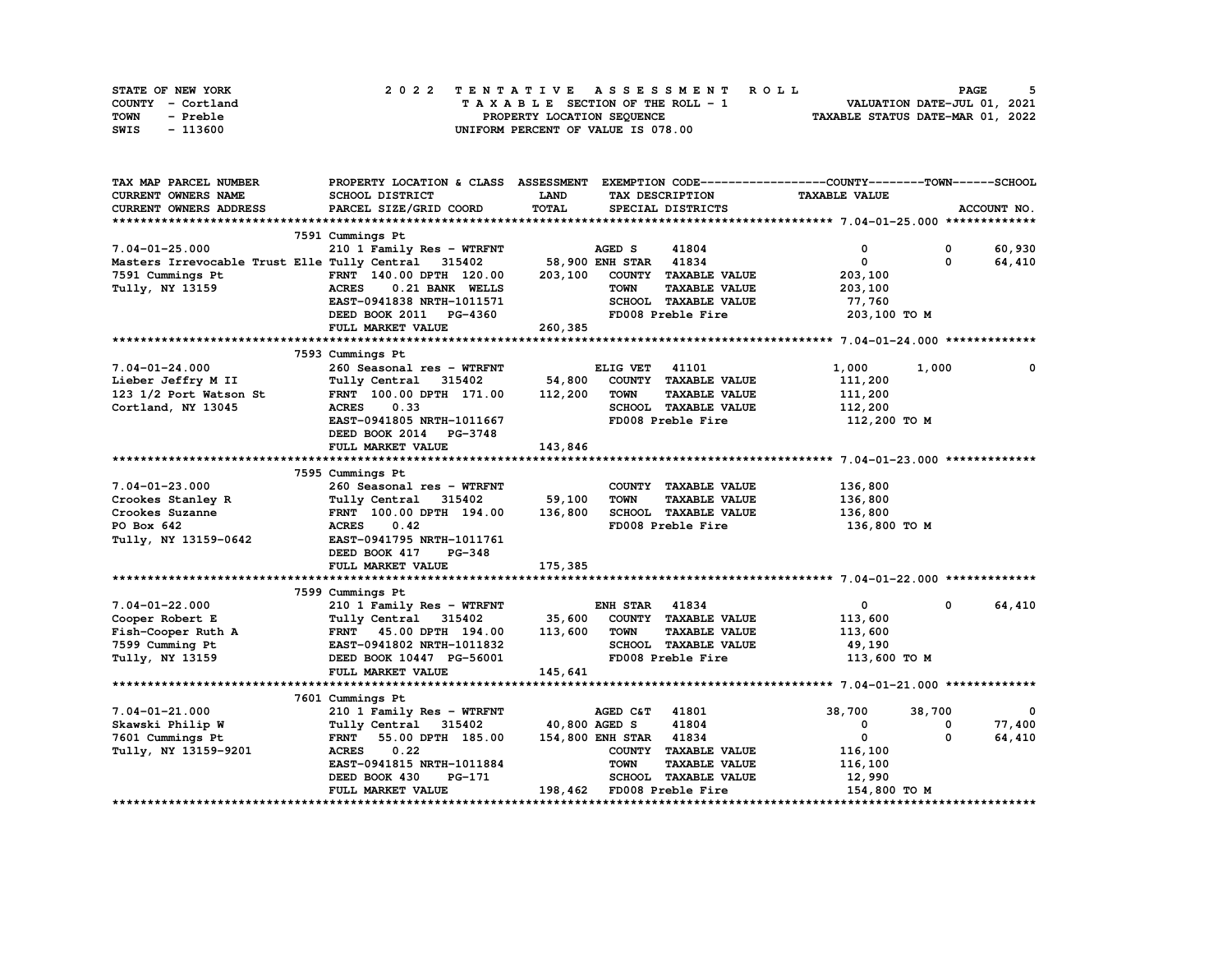| STATE OF NEW YORK | 2022 TENTATIVE ASSESSMENT ROLL     | <b>PAGE</b>                      |
|-------------------|------------------------------------|----------------------------------|
| COUNTY - Cortland | TAXABLE SECTION OF THE ROLL - 1    | VALUATION DATE-JUL 01, 2021      |
| TOWN<br>- Preble  | PROPERTY LOCATION SEQUENCE         | TAXABLE STATUS DATE-MAR 01, 2022 |
| - 113600<br>SWIS  | UNIFORM PERCENT OF VALUE IS 078.00 |                                  |

| TAX MAP PARCEL NUMBER                                                                                          | PROPERTY LOCATION & CLASS ASSESSMENT EXEMPTION CODE----------------COUNTY-------TOWN-----SCHOOL |
|----------------------------------------------------------------------------------------------------------------|-------------------------------------------------------------------------------------------------|
| <b>CURRENT OWNERS NAME</b><br>SCHOOL DISTRICT<br><b>LAND</b><br><b>TAXABLE VALUE</b><br>TAX DESCRIPTION        |                                                                                                 |
| TOTAL<br><b>CURRENT OWNERS ADDRESS</b><br>PARCEL SIZE/GRID COORD<br>SPECIAL DISTRICTS                          | ACCOUNT NO.                                                                                     |
|                                                                                                                |                                                                                                 |
| 7591 Cummings Pt                                                                                               |                                                                                                 |
| $7.04 - 01 - 25.000$<br>41804<br>210 1 Family Res - WTRFNT<br>AGED S<br>0<br>0                                 | 60,930                                                                                          |
| 58,900 ENH STAR 41834<br>$\mathbf{0}$<br>$\mathbf{0}$<br>Masters Irrevocable Trust Elle Tully Central 315402   | 64,410                                                                                          |
| 7591 Cummings Pt<br>FRNT 140.00 DPTH 120.00<br>203,100<br>COUNTY TAXABLE VALUE<br>203,100                      |                                                                                                 |
| Tully, NY 13159<br><b>ACRES</b><br><b>TOWN</b><br><b>TAXABLE VALUE</b><br>0.21 BANK WELLS<br>203,100           |                                                                                                 |
| EAST-0941838 NRTH-1011571<br>SCHOOL TAXABLE VALUE<br>77,760                                                    |                                                                                                 |
| FD008 Preble Fire<br>DEED BOOK 2011 PG-4360<br>203,100 TO M                                                    |                                                                                                 |
| 260,385<br>FULL MARKET VALUE                                                                                   |                                                                                                 |
|                                                                                                                |                                                                                                 |
| 7593 Cummings Pt                                                                                               |                                                                                                 |
| $7.04 - 01 - 24.000$<br>41101<br>ELIG VET<br>1,000<br>1,000                                                    | $^{\circ}$                                                                                      |
| 260 Seasonal res - WTRFNT                                                                                      |                                                                                                 |
| 54,800<br>COUNTY TAXABLE VALUE<br>Lieber Jeffry M II<br>Tully Central 315402<br>111,200                        |                                                                                                 |
| 112,200<br>FRNT 100.00 DPTH 171.00<br><b>TOWN</b><br><b>TAXABLE VALUE</b><br>111,200<br>123 1/2 Port Watson St |                                                                                                 |
| 0.33<br>SCHOOL TAXABLE VALUE<br>Cortland, NY 13045<br><b>ACRES</b><br>112,200                                  |                                                                                                 |
| EAST-0941805 NRTH-1011667<br>FD008 Preble Fire<br>112,200 TO M                                                 |                                                                                                 |
| DEED BOOK 2014 PG-3748                                                                                         |                                                                                                 |
| 143,846<br>FULL MARKET VALUE                                                                                   |                                                                                                 |
|                                                                                                                |                                                                                                 |
| 7595 Cummings Pt                                                                                               |                                                                                                 |
| $7.04 - 01 - 23.000$<br>260 Seasonal res - WTRFNT<br>COUNTY TAXABLE VALUE<br>136,800                           |                                                                                                 |
| Crookes Stanley R<br>59,100<br>Tully Central 315402<br><b>TOWN</b><br><b>TAXABLE VALUE</b><br>136,800          |                                                                                                 |
| FRNT 100.00 DPTH 194.00 136,800<br>SCHOOL TAXABLE VALUE<br>Crookes Suzanne<br>136,800                          |                                                                                                 |
| 0.42<br>FD008 Preble Fire<br>136,800 то м<br>PO Box 642<br><b>ACRES</b>                                        |                                                                                                 |
| Tully, NY 13159-0642<br>EAST-0941795 NRTH-1011761                                                              |                                                                                                 |
| DEED BOOK 417<br><b>PG-348</b>                                                                                 |                                                                                                 |
| 175,385<br>FULL MARKET VALUE                                                                                   |                                                                                                 |
|                                                                                                                |                                                                                                 |
| 7599 Cummings Pt                                                                                               |                                                                                                 |
| $\mathbf{0}$<br>$7.04 - 01 - 22.000$<br>210 1 Family Res - WTRFNT<br><b>ENH STAR</b> 41834<br>$^{\circ}$       | 64,410                                                                                          |
| Tully Central 315402<br>35,600<br>COUNTY TAXABLE VALUE<br>113,600<br>Cooper Robert E                           |                                                                                                 |
| 113,600<br>Fish-Cooper Ruth A<br>FRNT 45.00 DPTH 194.00<br><b>TOWN</b><br><b>TAXABLE VALUE</b><br>113,600      |                                                                                                 |
| FRNT 45.00 DPTH 154.00<br>EAST-0941802 NRTH-1011832<br>SCHOOL TAXABLE VALUE<br>49,190                          |                                                                                                 |
| 7599 Cumming Pt<br>Tully, NY 13159<br>FD008 Preble Fire<br>DEED BOOK 10447 PG-56001<br>113,600 то м            |                                                                                                 |
| FULL MARKET VALUE<br>145,641                                                                                   |                                                                                                 |
|                                                                                                                |                                                                                                 |
| 7601 Cummings Pt                                                                                               |                                                                                                 |
| $7.04 - 01 - 21.000$<br>38,700<br>38,700<br>210 1 Family Res - WTRFNT<br><b>AGED C&amp;T</b><br>41801          | $\overline{\mathbf{0}}$                                                                         |
| 40,800 AGED S<br>Skawski Philip W<br>41804<br>Tully Central 315402<br>$\mathbf{0}$<br>0                        | 77,400                                                                                          |
| 55.00 DPTH 185.00<br>154,800 ENH STAR 41834<br>$\mathbf 0$<br>7601 Cummings Pt<br><b>FRNT</b><br>$\Omega$      | 64,410                                                                                          |
| 0.22<br>Tully, NY 13159-9201<br><b>ACRES</b><br>COUNTY TAXABLE VALUE<br>116,100                                |                                                                                                 |
| EAST-0941815 NRTH-1011884<br><b>TOWN</b><br><b>TAXABLE VALUE</b>                                               |                                                                                                 |
| 116,100<br><b>PG-171</b><br>SCHOOL TAXABLE VALUE                                                               |                                                                                                 |
| DEED BOOK 430<br>12,990                                                                                        |                                                                                                 |
| 198,462 FD008 Preble Fire<br>FULL MARKET VALUE<br>154,800 TO M                                                 |                                                                                                 |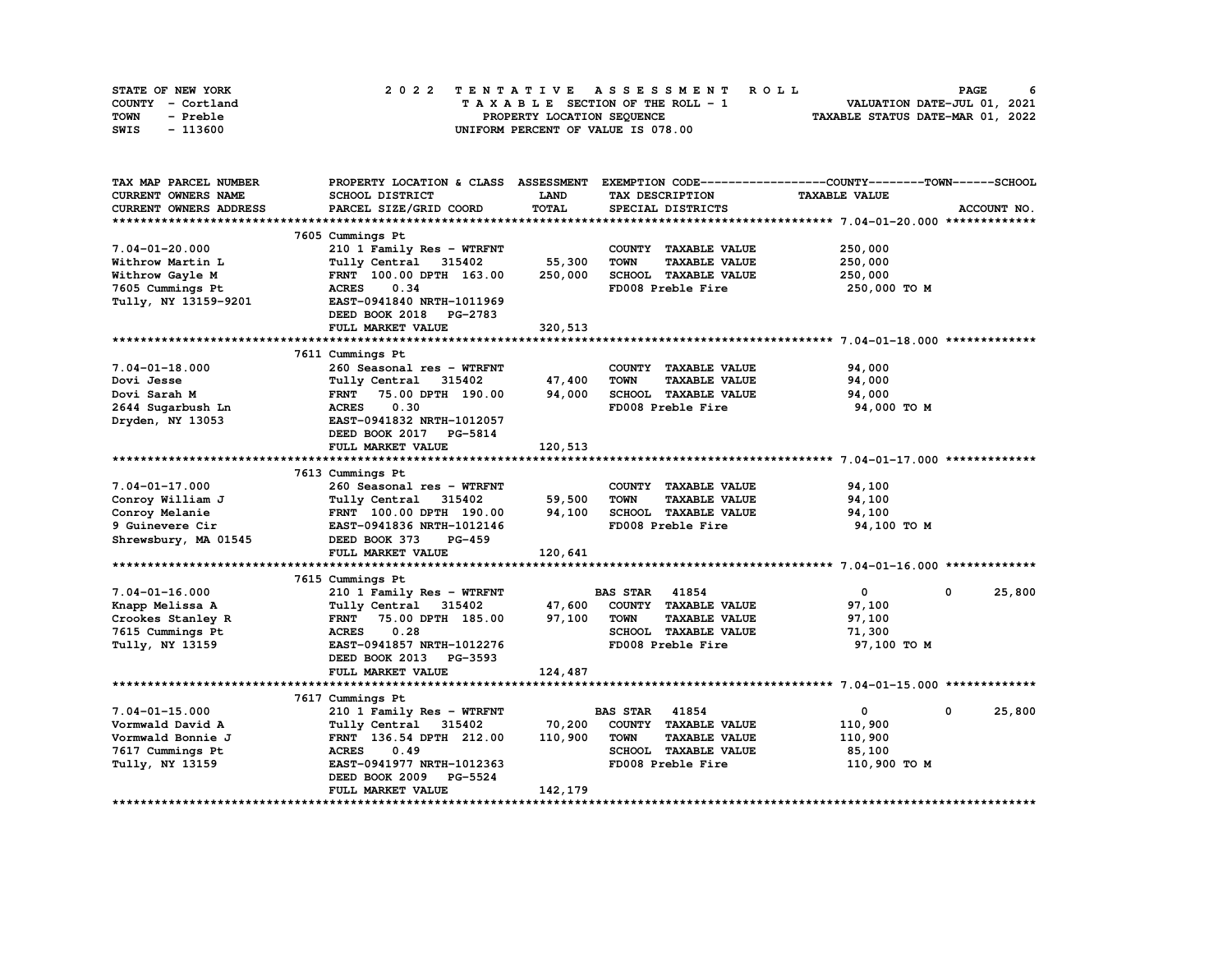|      | STATE OF NEW YORK |  | 2022 TENTATIVE ASSESSMENT ROLL |  |  |  |                                    |  |  |  |  |  |  |                                  | <b>PAGE</b>                 |  | 6 |
|------|-------------------|--|--------------------------------|--|--|--|------------------------------------|--|--|--|--|--|--|----------------------------------|-----------------------------|--|---|
|      | COUNTY - Cortland |  |                                |  |  |  | TAXABLE SECTION OF THE ROLL - 1    |  |  |  |  |  |  |                                  | VALUATION DATE-JUL 01, 2021 |  |   |
| TOWN | - Preble          |  |                                |  |  |  | PROPERTY LOCATION SEQUENCE         |  |  |  |  |  |  | TAXABLE STATUS DATE-MAR 01, 2022 |                             |  |   |
| SWIS | - 113600          |  |                                |  |  |  | UNIFORM PERCENT OF VALUE IS 078.00 |  |  |  |  |  |  |                                  |                             |  |   |

| TAX MAP PARCEL NUMBER      | PROPERTY LOCATION & CLASS ASSESSMENT |          | EXEMPTION CODE-----------------COUNTY-------TOWN------SCHOOL |                      |             |
|----------------------------|--------------------------------------|----------|--------------------------------------------------------------|----------------------|-------------|
| <b>CURRENT OWNERS NAME</b> | SCHOOL DISTRICT                      | LAND     | TAX DESCRIPTION                                              | <b>TAXABLE VALUE</b> |             |
| CURRENT OWNERS ADDRESS     | PARCEL SIZE/GRID COORD               | TOTAL    | SPECIAL DISTRICTS                                            |                      | ACCOUNT NO. |
|                            |                                      |          |                                                              |                      |             |
|                            | 7605 Cummings Pt                     |          |                                                              |                      |             |
| $7.04 - 01 - 20.000$       | 210 1 Family Res - WTRFNT            |          | COUNTY TAXABLE VALUE                                         | 250,000              |             |
| Withrow Martin L           | Tully Central 315402                 | 55,300   | <b>TOWN</b><br><b>TAXABLE VALUE</b>                          | 250,000              |             |
| Withrow Gayle M            | FRNT 100.00 DPTH 163.00              | 250,000  | SCHOOL TAXABLE VALUE                                         | 250,000              |             |
| 7605 Cummings Pt           | <b>ACRES</b><br>0.34                 |          | FD008 Preble Fire                                            | 250,000 TO M         |             |
| Tully, NY 13159-9201       | EAST-0941840 NRTH-1011969            |          |                                                              |                      |             |
|                            | DEED BOOK 2018<br>PG-2783            |          |                                                              |                      |             |
|                            | FULL MARKET VALUE                    | 320, 513 |                                                              |                      |             |
|                            |                                      |          |                                                              |                      |             |
|                            | 7611 Cummings Pt                     |          |                                                              |                      |             |
| $7.04 - 01 - 18.000$       | 260 Seasonal res - WTRFNT            |          | COUNTY TAXABLE VALUE                                         | 94,000               |             |
| Dovi Jesse                 | Tully Central 315402                 | 47,400   | <b>TOWN</b><br><b>TAXABLE VALUE</b>                          | 94,000               |             |
| Dovi Sarah M               | 75.00 DPTH 190.00<br><b>FRNT</b>     | 94,000   | SCHOOL TAXABLE VALUE                                         | 94,000               |             |
|                            | <b>ACRES</b><br>0.30                 |          | FD008 Preble Fire                                            | 94,000 TO M          |             |
| 2644 Sugarbush Ln          | EAST-0941832 NRTH-1012057            |          |                                                              |                      |             |
| Dryden, NY 13053           |                                      |          |                                                              |                      |             |
|                            | DEED BOOK 2017<br>PG-5814            |          |                                                              |                      |             |
|                            | FULL MARKET VALUE                    | 120,513  |                                                              |                      |             |
|                            |                                      |          |                                                              |                      |             |
|                            | 7613 Cummings Pt                     |          |                                                              |                      |             |
| $7.04 - 01 - 17.000$       | 260 Seasonal res - WTRFNT            |          | COUNTY TAXABLE VALUE                                         | 94,100               |             |
| Conroy William J           | Tully Central<br>315402              | 59,500   | <b>TOWN</b><br><b>TAXABLE VALUE</b>                          | 94,100               |             |
| Conroy Melanie             | FRNT 100.00 DPTH 190.00              | 94,100   | SCHOOL TAXABLE VALUE                                         | 94,100               |             |
| 9 Guinevere Cir            | EAST-0941836 NRTH-1012146            |          | FD008 Preble Fire                                            | 94,100 TO M          |             |
| Shrewsbury, MA 01545       | DEED BOOK 373<br><b>PG-459</b>       |          |                                                              |                      |             |
|                            | FULL MARKET VALUE                    | 120,641  |                                                              |                      |             |
|                            |                                      |          |                                                              |                      |             |
|                            | 7615 Cummings Pt                     |          |                                                              |                      |             |
| $7.04 - 01 - 16.000$       | 210 1 Family Res - WTRFNT            |          | 41854<br><b>BAS STAR</b>                                     | $\mathbf{0}$<br>0    | 25,800      |
| Knapp Melissa A            | Tully Central 315402                 | 47,600   | COUNTY TAXABLE VALUE                                         | 97,100               |             |
| Crookes Stanley R          | <b>FRNT</b><br>75.00 DPTH 185.00     | 97,100   | <b>TOWN</b><br><b>TAXABLE VALUE</b>                          | 97,100               |             |
| 7615 Cummings Pt           | 0.28<br><b>ACRES</b>                 |          | SCHOOL TAXABLE VALUE                                         | 71,300               |             |
| Tully, NY 13159            | EAST-0941857 NRTH-1012276            |          | FD008 Preble Fire                                            | 97,100 TO M          |             |
|                            | DEED BOOK 2013<br><b>PG-3593</b>     |          |                                                              |                      |             |
|                            | FULL MARKET VALUE                    | 124,487  |                                                              |                      |             |
|                            |                                      |          |                                                              |                      |             |
|                            | 7617 Cummings Pt                     |          |                                                              |                      |             |
| $7.04 - 01 - 15.000$       | 210 1 Family Res - WTRFNT            |          | 41854<br><b>BAS STAR</b>                                     | 0<br>$^{\circ}$      | 25,800      |
| Vormwald David A           | Tully Central 315402                 | 70,200   | COUNTY TAXABLE VALUE                                         | 110,900              |             |
| Vormwald Bonnie J          | FRNT 136.54 DPTH 212.00              | 110,900  | <b>TOWN</b><br><b>TAXABLE VALUE</b>                          | 110,900              |             |
| 7617 Cummings Pt           | <b>ACRES</b><br>0.49                 |          | <b>SCHOOL TAXABLE VALUE</b>                                  | 85,100               |             |
| Tully, NY 13159            | EAST-0941977 NRTH-1012363            |          | FD008 Preble Fire                                            | 110,900 TO M         |             |
|                            | DEED BOOK 2009<br>PG-5524            |          |                                                              |                      |             |
|                            | FULL MARKET VALUE                    | 142,179  |                                                              |                      |             |
|                            |                                      |          |                                                              |                      |             |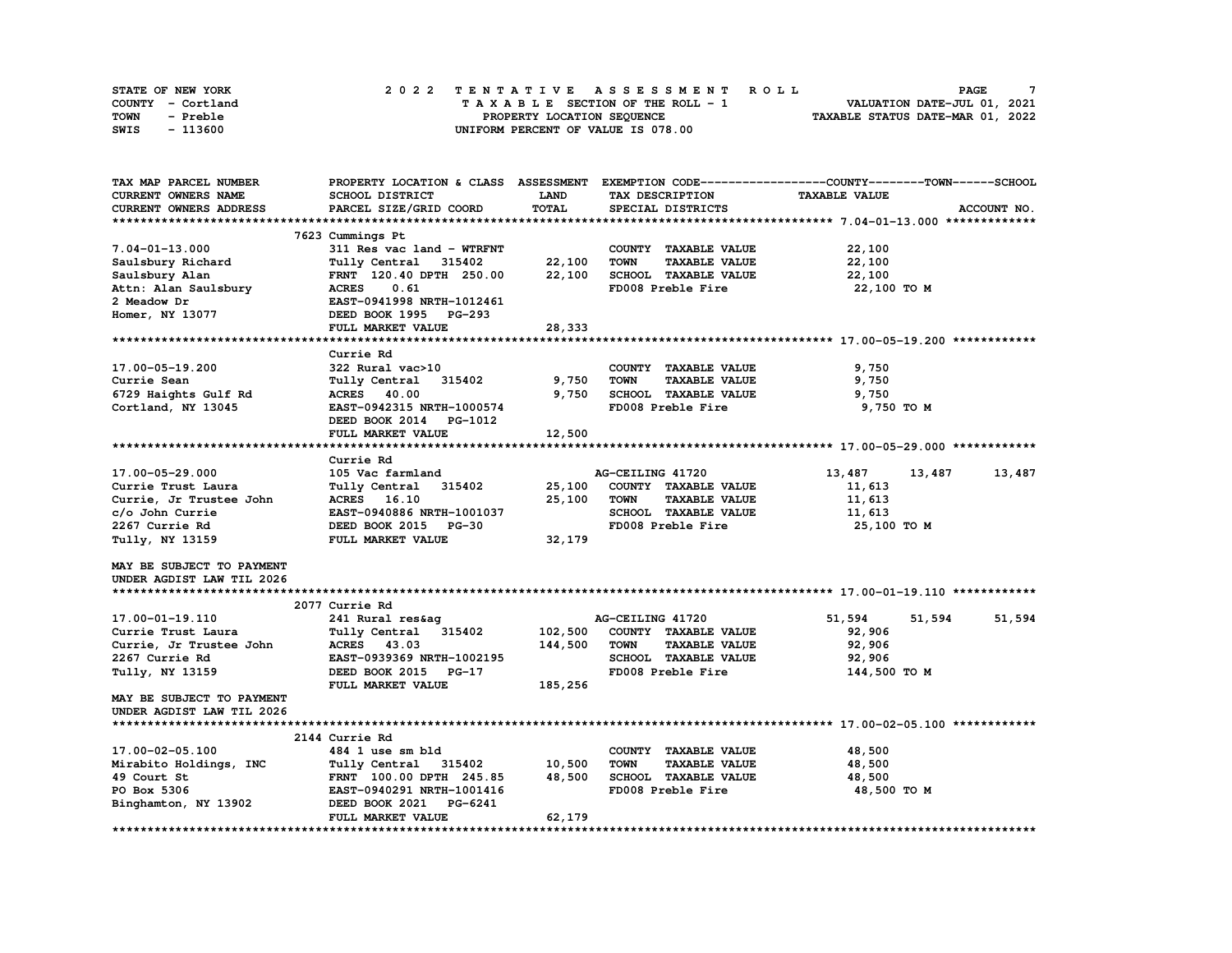| STATE OF NEW YORK | 2022 TENTATIVE ASSESSMENT ROLL     | PAGE                             |
|-------------------|------------------------------------|----------------------------------|
| COUNTY - Cortland | TAXABLE SECTION OF THE ROLL - 1    | VALUATION DATE-JUL 01, 2021      |
| TOWN<br>- Preble  | PROPERTY LOCATION SEQUENCE         | TAXABLE STATUS DATE-MAR 01, 2022 |
| - 113600<br>SWIS  | UNIFORM PERCENT OF VALUE IS 078.00 |                                  |

| TAX MAP PARCEL NUMBER         | PROPERTY LOCATION & CLASS ASSESSMENT |              |                                     | EXEMPTION CODE-----------------COUNTY-------TOWN------SCHOOL |        |
|-------------------------------|--------------------------------------|--------------|-------------------------------------|--------------------------------------------------------------|--------|
| CURRENT OWNERS NAME           | SCHOOL DISTRICT                      | <b>LAND</b>  | TAX DESCRIPTION                     | <b>TAXABLE VALUE</b>                                         |        |
| <b>CURRENT OWNERS ADDRESS</b> | PARCEL SIZE/GRID COORD               | <b>TOTAL</b> | SPECIAL DISTRICTS                   | ACCOUNT NO.                                                  |        |
|                               |                                      |              |                                     |                                                              |        |
|                               | 7623 Cummings Pt                     |              |                                     |                                                              |        |
| $7.04 - 01 - 13.000$          | 311 Res vac land - WTRFNT            |              | COUNTY TAXABLE VALUE                | 22,100                                                       |        |
| Saulsbury Richard             | Tully Central 315402                 | 22,100       | <b>TOWN</b><br><b>TAXABLE VALUE</b> | 22,100                                                       |        |
| Saulsbury Alan                | FRNT 120.40 DPTH 250.00              | 22,100       | SCHOOL TAXABLE VALUE                | 22,100                                                       |        |
| Attn: Alan Saulsbury          | <b>ACRES</b><br>0.61                 |              | FD008 Preble Fire                   | 22,100 TO M                                                  |        |
| 2 Meadow Dr                   | EAST-0941998 NRTH-1012461            |              |                                     |                                                              |        |
| Homer, NY 13077               | DEED BOOK 1995 PG-293                |              |                                     |                                                              |        |
|                               | FULL MARKET VALUE                    | 28,333       |                                     |                                                              |        |
|                               |                                      |              |                                     |                                                              |        |
|                               | Currie Rd                            |              |                                     |                                                              |        |
| 17.00-05-19.200               | 322 Rural vac>10                     |              | COUNTY TAXABLE VALUE                | 9,750                                                        |        |
| Currie Sean                   | 315402<br>Tully Central              | 9,750        | <b>TOWN</b><br><b>TAXABLE VALUE</b> | 9,750                                                        |        |
| 6729 Haights Gulf Rd          | <b>ACRES</b> 40.00                   | 9,750        | SCHOOL TAXABLE VALUE                | 9,750                                                        |        |
| Cortland, NY 13045            | EAST-0942315 NRTH-1000574            |              | FD008 Preble Fire                   | 9,750 TO M                                                   |        |
|                               | DEED BOOK 2014 PG-1012               |              |                                     |                                                              |        |
|                               | FULL MARKET VALUE                    | 12,500       |                                     |                                                              |        |
|                               |                                      |              |                                     |                                                              |        |
|                               |                                      |              |                                     |                                                              |        |
|                               | Currie Rd                            |              |                                     |                                                              |        |
| 17.00-05-29.000               | 105 Vac farmland                     |              | AG-CEILING 41720                    | 13,487<br>13,487                                             | 13,487 |
| Currie Trust Laura            | Tully Central<br>315402              | 25,100       | COUNTY TAXABLE VALUE                | 11,613                                                       |        |
| Currie, Jr Trustee John       | ACRES 16.10                          | 25,100       | <b>TOWN</b><br><b>TAXABLE VALUE</b> | 11,613                                                       |        |
| c/o John Currie               | EAST-0940886 NRTH-1001037            |              | SCHOOL TAXABLE VALUE                | 11,613                                                       |        |
| 2267 Currie Rd                | DEED BOOK 2015 PG-30                 |              | FD008 Preble Fire                   | 25,100 TO M                                                  |        |
| Tully, NY 13159               | FULL MARKET VALUE                    | 32,179       |                                     |                                                              |        |
| MAY BE SUBJECT TO PAYMENT     |                                      |              |                                     |                                                              |        |
|                               |                                      |              |                                     |                                                              |        |
| UNDER AGDIST LAW TIL 2026     |                                      |              |                                     |                                                              |        |
|                               |                                      |              |                                     |                                                              |        |
|                               | 2077 Currie Rd                       |              |                                     |                                                              |        |
| 17.00-01-19.110               | 241 Rural res&ag                     |              | AG-CEILING 41720                    | 51,594<br>51,594                                             | 51,594 |
| Currie Trust Laura            | Tully Central 315402                 |              | 102,500 COUNTY TAXABLE VALUE        | 92,906                                                       |        |
| Currie, Jr Trustee John       | ACRES 43.03                          | 144,500      | <b>TOWN</b><br><b>TAXABLE VALUE</b> | 92,906                                                       |        |
| 2267 Currie Rd                | EAST-0939369 NRTH-1002195            |              | SCHOOL TAXABLE VALUE                | 92,906                                                       |        |
| Tully, NY 13159               | DEED BOOK 2015 PG-17                 |              | FD008 Preble Fire                   | 144,500 TO M                                                 |        |
|                               | FULL MARKET VALUE                    | 185,256      |                                     |                                                              |        |
| MAY BE SUBJECT TO PAYMENT     |                                      |              |                                     |                                                              |        |
| UNDER AGDIST LAW TIL 2026     |                                      |              |                                     |                                                              |        |
|                               |                                      |              |                                     |                                                              |        |
|                               | 2144 Currie Rd                       |              |                                     |                                                              |        |
| 17.00-02-05.100               | 484 1 use sm bld                     |              | COUNTY TAXABLE VALUE                | 48,500                                                       |        |
| Mirabito Holdings, INC        | Tully Central 315402                 | 10,500       | <b>TOWN</b><br><b>TAXABLE VALUE</b> | 48,500                                                       |        |
| 49 Court St                   | FRNT 100.00 DPTH 245.85              | 48,500       | SCHOOL TAXABLE VALUE                | 48,500                                                       |        |
| PO Box 5306                   | EAST-0940291 NRTH-1001416            |              | FD008 Preble Fire                   | 48,500 TO M                                                  |        |
| Binghamton, NY 13902          | PG-6241<br>DEED BOOK 2021            |              |                                     |                                                              |        |
|                               | FULL MARKET VALUE                    | 62,179       |                                     |                                                              |        |
|                               |                                      |              |                                     |                                                              |        |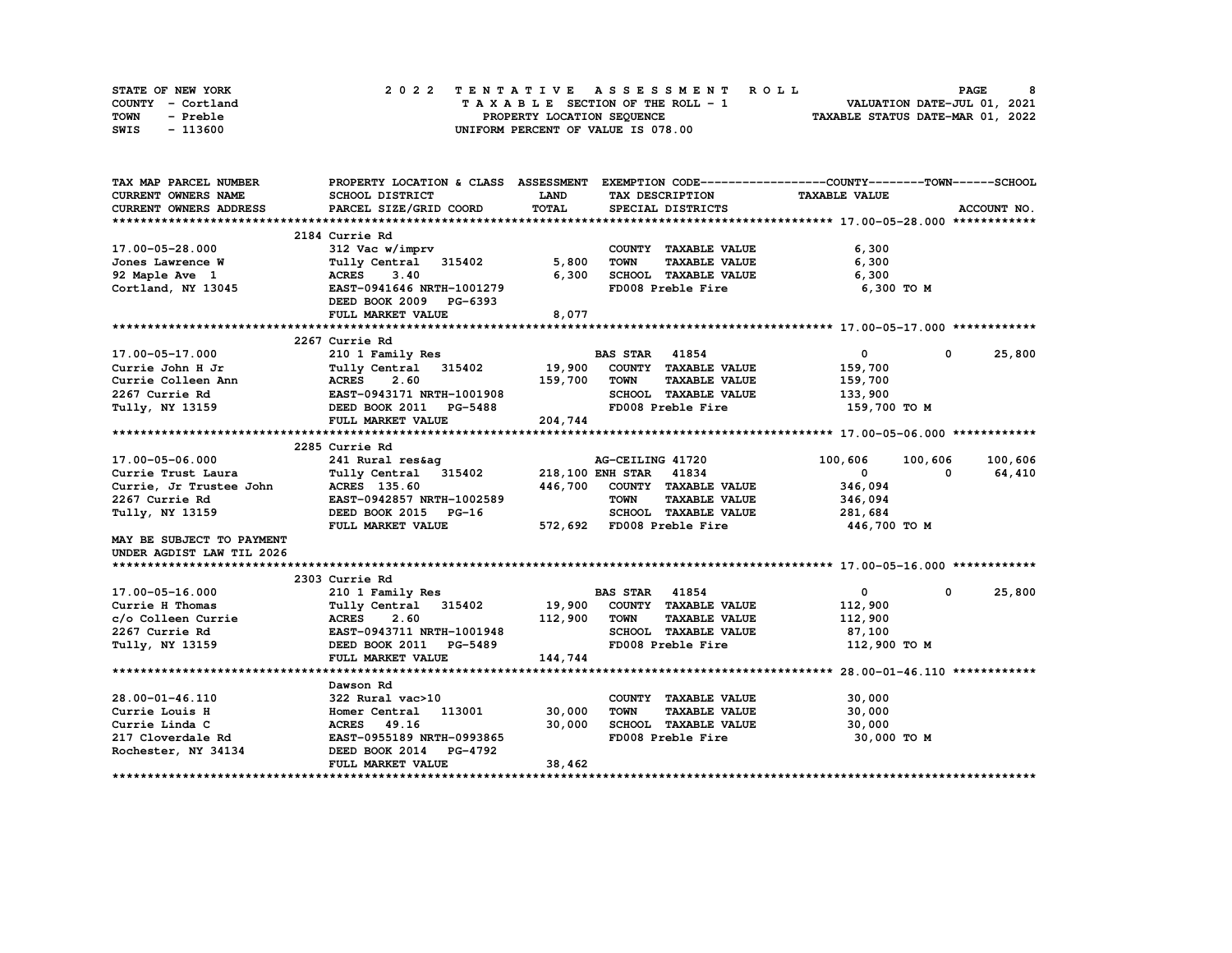| STATE OF NEW YORK | 2022 TENTATIVE ASSESSMENT ROLL     | 8<br><b>PAGE</b>                 |
|-------------------|------------------------------------|----------------------------------|
| COUNTY - Cortland | TAXABLE SECTION OF THE ROLL - 1    | VALUATION DATE-JUL 01, 2021      |
| TOWN<br>- Preble  | PROPERTY LOCATION SEQUENCE         | TAXABLE STATUS DATE-MAR 01, 2022 |
| - 113600<br>SWIS  | UNIFORM PERCENT OF VALUE IS 078.00 |                                  |

| TAX MAP PARCEL NUMBER                                                                                                                                                                                | PROPERTY LOCATION & CLASS ASSESSMENT EXEMPTION CODE----------------COUNTY-------TOWN------SCHOOL |             |                                     |                      |             |             |
|------------------------------------------------------------------------------------------------------------------------------------------------------------------------------------------------------|--------------------------------------------------------------------------------------------------|-------------|-------------------------------------|----------------------|-------------|-------------|
| CURRENT OWNERS NAME                                                                                                                                                                                  | SCHOOL DISTRICT                                                                                  | <b>LAND</b> | TAX DESCRIPTION                     | <b>TAXABLE VALUE</b> |             |             |
| CURRENT OWNERS ADDRESS                                                                                                                                                                               | PARCEL SIZE/GRID COORD                                                                           | TOTAL       | SPECIAL DISTRICTS                   |                      |             | ACCOUNT NO. |
|                                                                                                                                                                                                      |                                                                                                  |             |                                     |                      |             |             |
|                                                                                                                                                                                                      | 2184 Currie Rd                                                                                   |             |                                     |                      |             |             |
| 17.00-05-28.000                                                                                                                                                                                      | 312 Vac w/imprv                                                                                  |             | COUNTY TAXABLE VALUE                | 6,300                |             |             |
| Jones Lawrence W                                                                                                                                                                                     | Tully Central 315402                                                                             | 5,800       | TOWN<br><b>TAXABLE VALUE</b>        | 6,300                |             |             |
| 92 Maple Ave 1                                                                                                                                                                                       | 3.40<br><b>ACRES</b>                                                                             | 6,300       | SCHOOL TAXABLE VALUE                | 6,300                |             |             |
| Cortland, NY 13045                                                                                                                                                                                   | EAST-0941646 NRTH-1001279                                                                        |             | FD008 Preble Fire                   | 6,300 то м           |             |             |
|                                                                                                                                                                                                      | DEED BOOK 2009 PG-6393                                                                           |             |                                     |                      |             |             |
|                                                                                                                                                                                                      | FULL MARKET VALUE                                                                                | 8,077       |                                     |                      |             |             |
|                                                                                                                                                                                                      |                                                                                                  |             |                                     |                      |             |             |
|                                                                                                                                                                                                      | 2267 Currie Rd                                                                                   |             |                                     |                      |             |             |
| 17.00-05-17.000                                                                                                                                                                                      |                                                                                                  |             |                                     | $\overline{0}$       | $\mathbf 0$ | 25,800      |
| Currie John H Jr                                                                                                                                                                                     | 210 1 Family Res<br>Tully Central 315402 19,900 COUNTY TAXABLE VALUE                             |             |                                     | 159,700              |             |             |
|                                                                                                                                                                                                      |                                                                                                  | 159,700     | <b>TOWN</b><br><b>TAXABLE VALUE</b> | 159,700              |             |             |
| Currie Colleen Ann ann airse ann ann airse ann ann ann airse ann ann ann ann ann ann ann an airse ann an airse<br>2267 Currie Rd EAST-0943171 NRTH-1001908<br>Tully, NY 13159 DEED BOOK 2011 PG-5488 |                                                                                                  |             | SCHOOL TAXABLE VALUE                | 133,900              |             |             |
|                                                                                                                                                                                                      |                                                                                                  |             | FD008 Preble Fire                   | 159,700 то м         |             |             |
|                                                                                                                                                                                                      | FULL MARKET VALUE                                                                                | 204,744     |                                     |                      |             |             |
|                                                                                                                                                                                                      |                                                                                                  |             |                                     |                      |             |             |
|                                                                                                                                                                                                      | 2285 Currie Rd                                                                                   |             |                                     |                      |             |             |
| 17.00-05-06.000                                                                                                                                                                                      | 241 Rural res&ag                                                                                 |             | AG-CEILING 41720                    | 100,606              | 100,606     | 100,606     |
|                                                                                                                                                                                                      | Tully Central 315402 218,100 ENH STAR 41834                                                      |             |                                     | $\mathbf{0}$         | $^{\circ}$  | 64,410      |
|                                                                                                                                                                                                      |                                                                                                  | 446,700     | COUNTY TAXABLE VALUE                | 346,094              |             |             |
| 2267 Currie Rd                                                                                                                                                                                       | <b>EAST-0942857 NRTH-1002589<br/>DEED BOOK 2015 PG-16</b>                                        |             | <b>TOWN</b><br><b>TAXABLE VALUE</b> | 346,094              |             |             |
| Tully, NY 13159                                                                                                                                                                                      |                                                                                                  |             |                                     | 281,684              |             |             |
|                                                                                                                                                                                                      | EASI-US&SON NAME ACCESS<br>DEED BOOK 2015 PG-16<br>FIILL MARKET VALUE 572,692 FD008 Preble Fire  |             |                                     | 446,700 TO M         |             |             |
| MAY BE SUBJECT TO PAYMENT                                                                                                                                                                            |                                                                                                  |             |                                     |                      |             |             |
| UNDER AGDIST LAW TIL 2026                                                                                                                                                                            |                                                                                                  |             |                                     |                      |             |             |
|                                                                                                                                                                                                      |                                                                                                  |             |                                     |                      |             |             |
|                                                                                                                                                                                                      | 2303 Currie Rd                                                                                   |             |                                     |                      |             |             |
| 17.00-05-16.000                                                                                                                                                                                      | 210 1 Family Res                                                                                 |             | <b>BAS STAR</b> 41854               | $\mathbf{0}$         | $^{\circ}$  | 25,800      |
| Currie H Thomas                                                                                                                                                                                      | Tully Central 315402 19,900                                                                      |             | COUNTY TAXABLE VALUE                | 112,900              |             |             |
| c/o Colleen Currie<br>2267 Currie Rd                                                                                                                                                                 |                                                                                                  | 112,900     | <b>TOWN</b><br><b>TAXABLE VALUE</b> | 112,900              |             |             |
|                                                                                                                                                                                                      |                                                                                                  |             | SCHOOL TAXABLE VALUE                | 87,100               |             |             |
| Tully, NY 13159 <b>DEED BOOK 2011</b> PG-5489                                                                                                                                                        |                                                                                                  |             | FD008 Preble Fire                   | 112,900 TO M         |             |             |
|                                                                                                                                                                                                      | FULL MARKET VALUE                                                                                | 144,744     |                                     |                      |             |             |
|                                                                                                                                                                                                      |                                                                                                  |             |                                     |                      |             |             |
|                                                                                                                                                                                                      | Dawson Rd                                                                                        |             |                                     |                      |             |             |
| 28.00-01-46.110                                                                                                                                                                                      | 322 Rural vac>10                                                                                 |             | COUNTY TAXABLE VALUE                | 30,000               |             |             |
| Currie Louis H                                                                                                                                                                                       | Homer Central 113001                                                                             | 30,000      | <b>TOWN</b><br><b>TAXABLE VALUE</b> | 30,000               |             |             |
|                                                                                                                                                                                                      | <b>ACRES    49.16<br/>EAST-0955189 NRTH-0993865</b>                                              | 30,000      | SCHOOL TAXABLE VALUE                | 30,000               |             |             |
| Currie Linda C<br>217 Cloverdale Rd                                                                                                                                                                  |                                                                                                  |             | FD008 Preble Fire                   | 30,000 TO M          |             |             |
| Rochester, NY 34134 DEED BOOK 2014 PG-4792                                                                                                                                                           |                                                                                                  |             |                                     |                      |             |             |
|                                                                                                                                                                                                      | FULL MARKET VALUE                                                                                | 38,462      |                                     |                      |             |             |
|                                                                                                                                                                                                      |                                                                                                  |             |                                     |                      |             |             |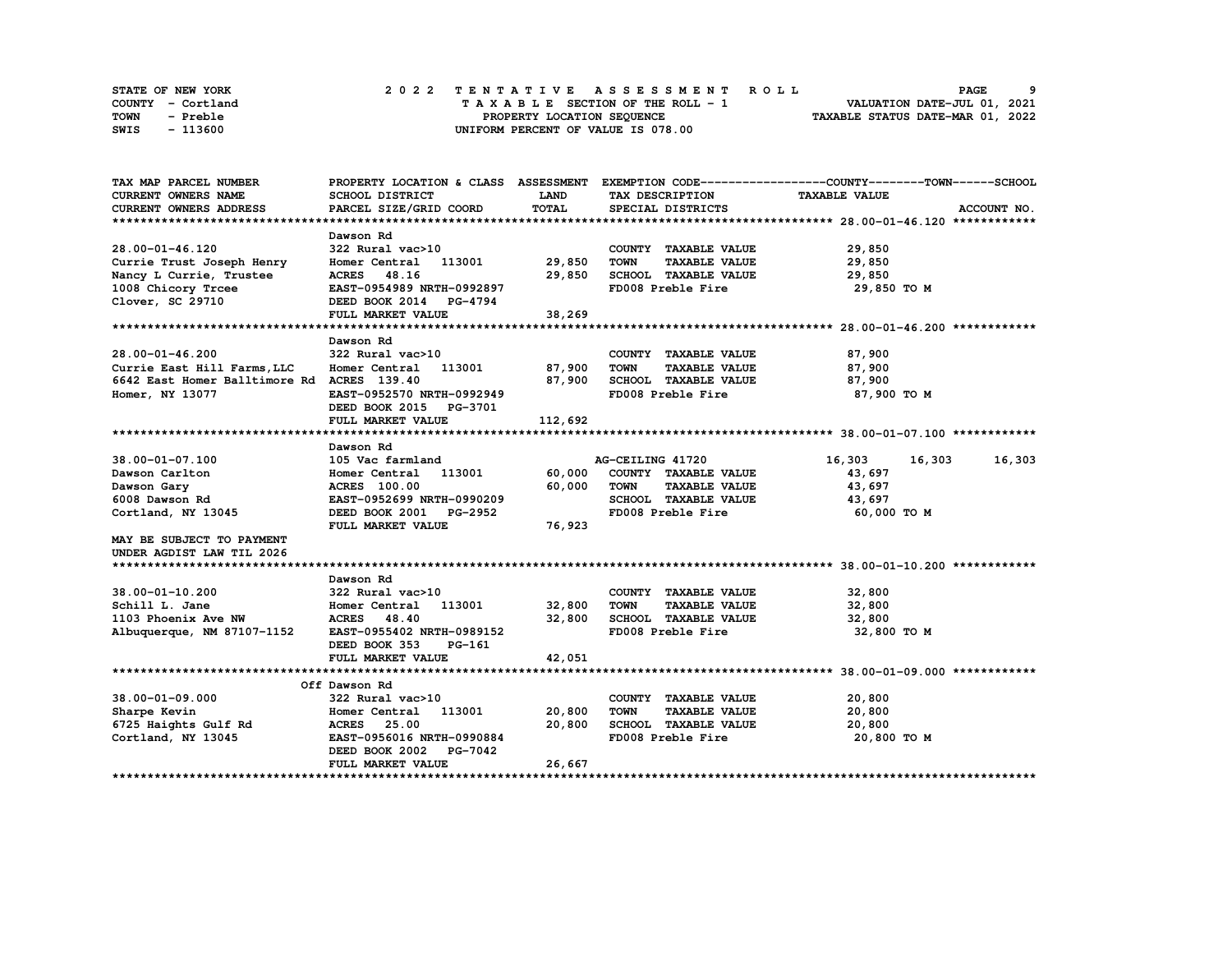| STATE OF NEW YORK | 2022 TENTATIVE ASSESSMENT ROLL     | PAGE                             |
|-------------------|------------------------------------|----------------------------------|
| COUNTY - Cortland | TAXABLE SECTION OF THE ROLL - 1    | VALUATION DATE-JUL 01, 2021      |
| TOWN<br>- Preble  | PROPERTY LOCATION SEOUENCE         | TAXABLE STATUS DATE-MAR 01, 2022 |
| - 113600<br>SWIS  | UNIFORM PERCENT OF VALUE IS 078.00 |                                  |

| TAX MAP PARCEL NUMBER                                |                             |             |                                     | PROPERTY LOCATION & CLASS ASSESSMENT EXEMPTION CODE----------------COUNTY-------TOWN-----SCHOOL |
|------------------------------------------------------|-----------------------------|-------------|-------------------------------------|-------------------------------------------------------------------------------------------------|
| <b>CURRENT OWNERS NAME</b>                           | <b>SCHOOL DISTRICT</b>      | <b>LAND</b> | TAX DESCRIPTION                     | <b>TAXABLE VALUE</b>                                                                            |
| <b>CURRENT OWNERS ADDRESS</b>                        | PARCEL SIZE/GRID COORD      | TOTAL       | SPECIAL DISTRICTS                   | ACCOUNT NO.                                                                                     |
|                                                      |                             |             |                                     |                                                                                                 |
|                                                      | Dawson Rd                   |             |                                     |                                                                                                 |
| 28.00-01-46.120                                      | 322 Rural vac>10            |             | COUNTY TAXABLE VALUE                | 29,850                                                                                          |
| Currie Trust Joseph Henry                            | Homer Central 113001 29,850 |             | <b>TOWN</b><br><b>TAXABLE VALUE</b> | 29,850                                                                                          |
| Nancy L Currie, Trustee                              | ACRES 48.16                 | 29,850      | SCHOOL TAXABLE VALUE                | 29,850                                                                                          |
| 1008 Chicory Trcee                                   | EAST-0954989 NRTH-0992897   |             | FD008 Preble Fire                   | 29,850 TO M                                                                                     |
| Clover, SC 29710                                     | DEED BOOK 2014 PG-4794      |             |                                     |                                                                                                 |
|                                                      | FULL MARKET VALUE           | 38,269      |                                     |                                                                                                 |
|                                                      |                             |             |                                     |                                                                                                 |
|                                                      | Dawson Rd                   |             |                                     |                                                                                                 |
| 28.00-01-46.200                                      | 322 Rural vac>10            |             | COUNTY TAXABLE VALUE                | 87,900                                                                                          |
| Currie East Hill Farms, LLC                          | Homer Central 113001        | 87,900      | <b>TAXABLE VALUE</b><br><b>TOWN</b> | 87,900                                                                                          |
| 6642 East Homer Balltimore Rd ACRES 139.40           |                             | 87,900      | SCHOOL TAXABLE VALUE                | 87,900                                                                                          |
| Homer, NY 13077                                      | EAST-0952570 NRTH-0992949   |             | FD008 Preble Fire                   | 87,900 то м                                                                                     |
|                                                      | DEED BOOK 2015 PG-3701      |             |                                     |                                                                                                 |
|                                                      | FULL MARKET VALUE           | 112,692     |                                     |                                                                                                 |
|                                                      |                             |             |                                     |                                                                                                 |
|                                                      | Dawson Rd                   |             |                                     |                                                                                                 |
| 38.00-01-07.100                                      | 105 Vac farmland            |             | AG-CEILING 41720                    | 16,303<br>16,303<br>16,303                                                                      |
| Dawson Carlton                                       | Homer Central 113001        | 60,000      | COUNTY TAXABLE VALUE                | 43,697                                                                                          |
| Dawson Gary                                          | <b>ACRES</b> 100.00         | 60,000      | <b>TOWN</b><br><b>TAXABLE VALUE</b> | 43,697                                                                                          |
| 6008 Dawson Rd                                       | EAST-0952699 NRTH-0990209   |             | SCHOOL TAXABLE VALUE                | 43,697                                                                                          |
| Cortland, NY 13045                                   | DEED BOOK 2001 PG-2952      |             | FD008 Preble Fire                   | 60,000 TO M                                                                                     |
|                                                      | FULL MARKET VALUE           | 76,923      |                                     |                                                                                                 |
| MAY BE SUBJECT TO PAYMENT                            |                             |             |                                     |                                                                                                 |
| UNDER AGDIST LAW TIL 2026                            |                             |             |                                     |                                                                                                 |
|                                                      |                             |             |                                     |                                                                                                 |
|                                                      | Dawson Rd                   |             |                                     |                                                                                                 |
| 38.00-01-10.200                                      | 322 Rural vac>10            |             | COUNTY TAXABLE VALUE                | 32,800                                                                                          |
| Schill L. Jane                                       | Homer Central 113001 32,800 |             | <b>TOWN</b><br><b>TAXABLE VALUE</b> | 32,800                                                                                          |
| 1103 Phoenix Ave NW                                  | <b>ACRES</b> 48.40          | 32,800      | SCHOOL TAXABLE VALUE                | 32,800                                                                                          |
| Albuquerque, NM 87107-1152 EAST-0955402 NRTH-0989152 |                             |             | FD008 Preble Fire                   | 32,800 TO M                                                                                     |
|                                                      | DEED BOOK 353<br>PG-161     |             |                                     |                                                                                                 |
|                                                      | FULL MARKET VALUE           | 42,051      |                                     |                                                                                                 |
|                                                      |                             |             |                                     |                                                                                                 |
|                                                      | Off Dawson Rd               |             |                                     |                                                                                                 |
| 38.00-01-09.000                                      | 322 Rural vac>10            |             | COUNTY TAXABLE VALUE                | 20,800                                                                                          |
| Sharpe Kevin                                         | 113001<br>Homer Central     | 20,800      | <b>TOWN</b><br><b>TAXABLE VALUE</b> | 20,800                                                                                          |
| 6725 Haights Gulf Rd                                 | <b>ACRES</b> 25.00          | 20,800      | SCHOOL TAXABLE VALUE                | 20,800                                                                                          |
| Cortland, NY 13045                                   | EAST-0956016 NRTH-0990884   |             | FD008 Preble Fire                   | 20,800 TO M                                                                                     |
|                                                      | DEED BOOK 2002<br>PG-7042   |             |                                     |                                                                                                 |
|                                                      | FULL MARKET VALUE           | 26,667      |                                     |                                                                                                 |
|                                                      |                             |             |                                     |                                                                                                 |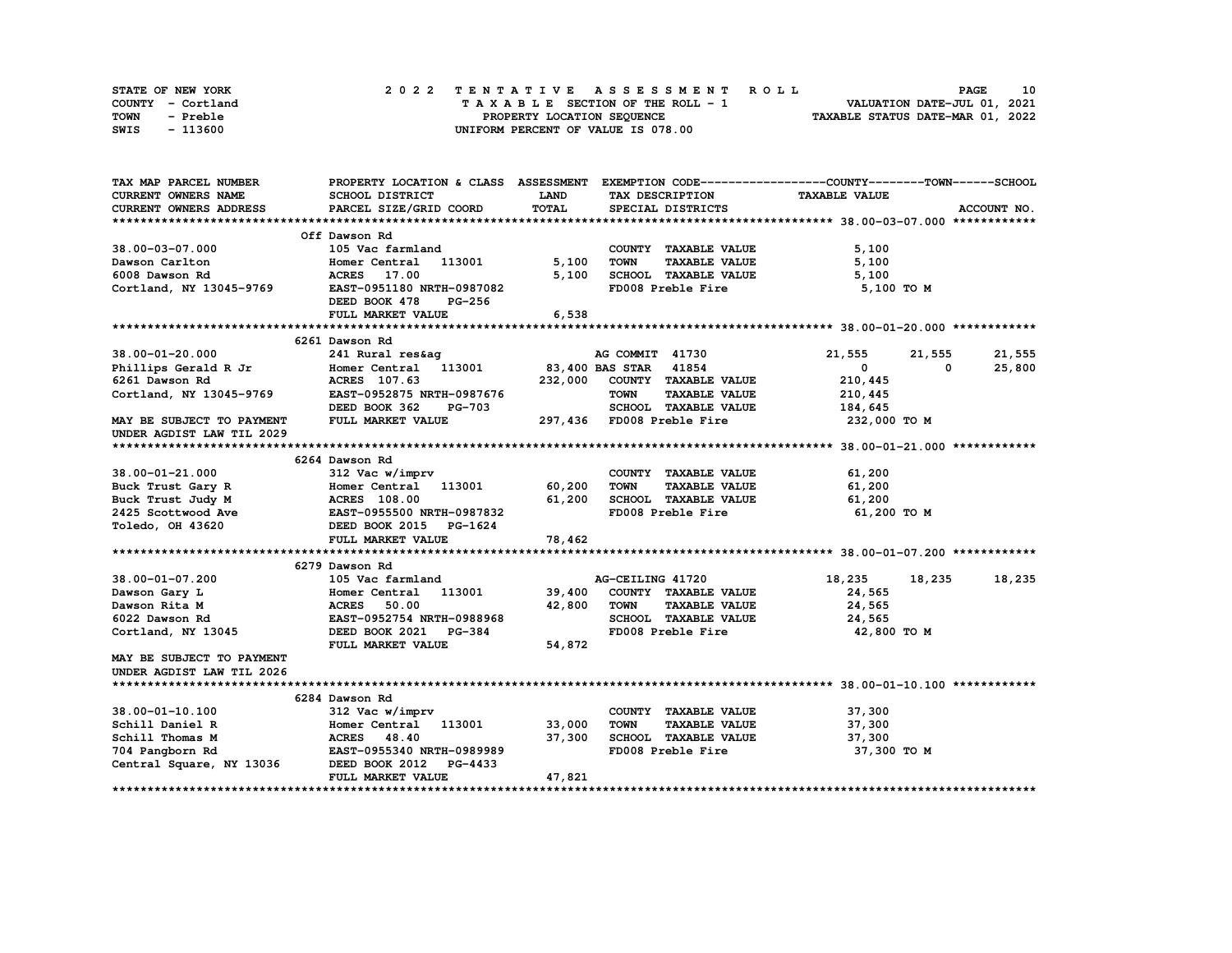| STATE OF NEW YORK | 2022 TENTATIVE ASSESSMENT ROLL     | 10<br><b>PAGE</b>                |
|-------------------|------------------------------------|----------------------------------|
| COUNTY - Cortland | TAXABLE SECTION OF THE ROLL - 1    | VALUATION DATE-JUL 01, 2021      |
| TOWN<br>- Preble  | PROPERTY LOCATION SEQUENCE         | TAXABLE STATUS DATE-MAR 01, 2022 |
| - 113600<br>SWIS  | UNIFORM PERCENT OF VALUE IS 078.00 |                                  |

| TAX MAP PARCEL NUMBER            |                                                   |             |                                     | PROPERTY LOCATION & CLASS ASSESSMENT EXEMPTION CODE----------------COUNTY-------TOWN-----SCHOOL |             |
|----------------------------------|---------------------------------------------------|-------------|-------------------------------------|-------------------------------------------------------------------------------------------------|-------------|
| <b>CURRENT OWNERS NAME</b>       | <b>SCHOOL DISTRICT</b>                            | <b>LAND</b> | TAX DESCRIPTION                     | <b>TAXABLE VALUE</b>                                                                            |             |
| CURRENT OWNERS ADDRESS           | PARCEL SIZE/GRID COORD                            | TOTAL       | SPECIAL DISTRICTS                   |                                                                                                 | ACCOUNT NO. |
|                                  |                                                   |             |                                     |                                                                                                 |             |
|                                  | Off Dawson Rd                                     |             |                                     |                                                                                                 |             |
| 38.00-03-07.000                  | 105 Vac farmland                                  |             | COUNTY TAXABLE VALUE                | 5,100                                                                                           |             |
| Dawson Carlton                   | 113001<br>Homer Central                           | 5,100       | <b>TOWN</b><br><b>TAXABLE VALUE</b> | 5,100                                                                                           |             |
| 6008 Dawson Rd                   | <b>ACRES</b> 17.00                                | 5,100       | SCHOOL TAXABLE VALUE                | 5,100                                                                                           |             |
| Cortland, NY 13045-9769          | EAST-0951180 NRTH-0987082                         |             | FD008 Preble Fire                   | 5,100 TO M                                                                                      |             |
|                                  | DEED BOOK 478<br><b>PG-256</b>                    |             |                                     |                                                                                                 |             |
|                                  | FULL MARKET VALUE                                 | 6,538       |                                     |                                                                                                 |             |
|                                  |                                                   |             |                                     |                                                                                                 |             |
|                                  | 6261 Dawson Rd                                    |             |                                     |                                                                                                 |             |
| 38.00-01-20.000                  | 241 Rural res&ag                                  |             | AG COMMIT 41730                     | 21,555<br>21,555                                                                                | 21,555      |
|                                  | Phillips Gerald R Jr Momer Central 113001         |             | 83,400 BAS STAR 41854               | $\mathbf{0}$<br>0                                                                               | 25,800      |
| 6261 Dawson Rd                   | ACRES 107.63                                      | 232,000     | COUNTY TAXABLE VALUE                | 210,445                                                                                         |             |
|                                  | Cortland, NY 13045-9769 EAST-0952875 NRTH-0987676 |             | <b>TOWN</b><br><b>TAXABLE VALUE</b> | 210,445                                                                                         |             |
|                                  | DEED BOOK 362<br>PG-703                           |             | SCHOOL TAXABLE VALUE                | 184,645                                                                                         |             |
| <b>MAY BE SUBJECT TO PAYMENT</b> | FULL MARKET VALUE                                 |             |                                     | 232,000 TO M                                                                                    |             |
| UNDER AGDIST LAW TIL 2029        |                                                   |             | 297,436 FD008 Preble Fire           |                                                                                                 |             |
|                                  |                                                   |             |                                     |                                                                                                 |             |
|                                  | 6264 Dawson Rd                                    |             |                                     |                                                                                                 |             |
| 38.00-01-21.000                  |                                                   |             | COUNTY TAXABLE VALUE                | 61,200                                                                                          |             |
| Buck Trust Gary R                | 312 Vac w/imprv<br>Homer Central 113001           | 60,200      | TOWN<br><b>TAXABLE VALUE</b>        |                                                                                                 |             |
|                                  |                                                   | 61,200      | SCHOOL TAXABLE VALUE                | 61,200                                                                                          |             |
|                                  |                                                   |             | FD008 Preble Fire                   | 61,200                                                                                          |             |
|                                  | EAST-0955500 NRTH-0987832                         |             |                                     | 61,200 TO M                                                                                     |             |
|                                  | DEED BOOK 2015 PG-1624                            |             |                                     |                                                                                                 |             |
|                                  | FULL MARKET VALUE                                 | 78,462      |                                     |                                                                                                 |             |
|                                  |                                                   |             |                                     |                                                                                                 |             |
|                                  | 6279 Dawson Rd                                    |             |                                     |                                                                                                 |             |
| 38.00-01-07.200                  | 105 Vac farmland                                  |             | AG-CEILING 41720                    | 18,235<br>18,235                                                                                | 18,235      |
| Dawson Gary L                    | 113001<br>Homer Central                           | 39,400      | COUNTY TAXABLE VALUE                | 24,565                                                                                          |             |
| Dawson Rita M                    | <b>ACRES</b> 50.00                                | 42,800      | TOWN<br><b>TAXABLE VALUE</b>        | 24,565                                                                                          |             |
| 6022 Dawson Rd                   | EAST-0952754 NRTH-0988968                         |             | SCHOOL TAXABLE VALUE                | 24,565                                                                                          |             |
| Cortland, NY 13045               | DEED BOOK 2021 PG-384                             |             | FD008 Preble Fire                   | 42,800 TO M                                                                                     |             |
|                                  | FULL MARKET VALUE                                 | 54,872      |                                     |                                                                                                 |             |
| <b>MAY BE SUBJECT TO PAYMENT</b> |                                                   |             |                                     |                                                                                                 |             |
| UNDER AGDIST LAW TIL 2026        |                                                   |             |                                     |                                                                                                 |             |
|                                  |                                                   |             |                                     |                                                                                                 |             |
|                                  | 6284 Dawson Rd                                    |             |                                     |                                                                                                 |             |
| 38.00-01-10.100                  | 312 Vac w/imprv                                   |             | COUNTY TAXABLE VALUE                | 37,300                                                                                          |             |
| Schill Daniel R                  | Homer Central 113001                              | 33,000      | <b>TOWN</b><br><b>TAXABLE VALUE</b> | 37,300                                                                                          |             |
| Schill Thomas M                  | <b>ACRES</b><br>48.40                             | 37,300      | SCHOOL TAXABLE VALUE                | 37,300                                                                                          |             |
| 704 Pangborn Rd                  | EAST-0955340 NRTH-0989989                         |             | FD008 Preble Fire                   | 37,300 TO M                                                                                     |             |
| Central Square, NY 13036         | DEED BOOK 2012 PG-4433                            |             |                                     |                                                                                                 |             |
|                                  | FULL MARKET VALUE                                 | 47,821      |                                     |                                                                                                 |             |
|                                  |                                                   |             |                                     |                                                                                                 |             |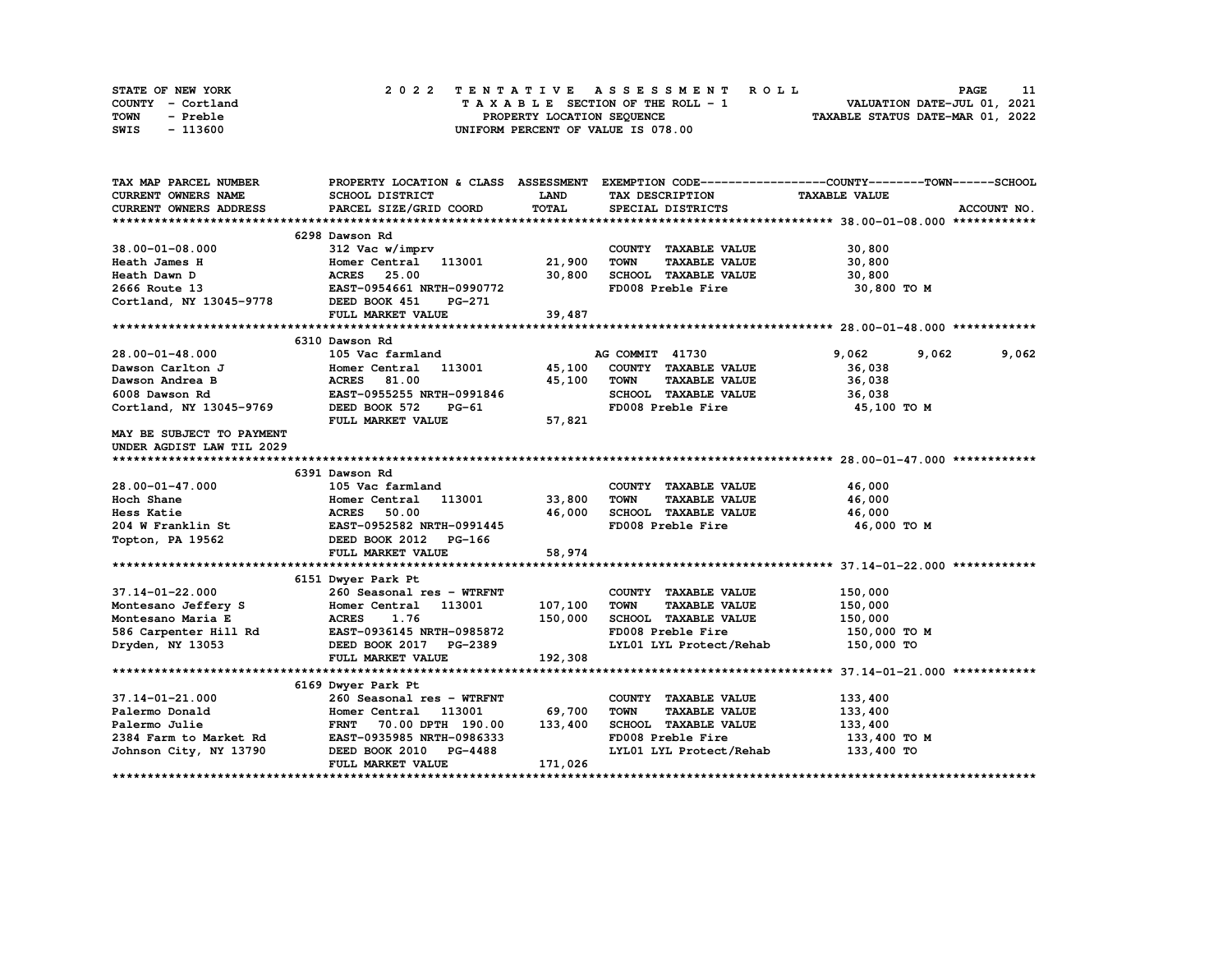| STATE OF NEW YORK | 2022 TENTATIVE ASSESSMENT ROLL     | <b>PAGE</b>                      |
|-------------------|------------------------------------|----------------------------------|
| COUNTY - Cortland | TAXABLE SECTION OF THE ROLL - 1    | VALUATION DATE-JUL 01, 2021      |
| TOWN<br>- Preble  | PROPERTY LOCATION SEQUENCE         | TAXABLE STATUS DATE-MAR 01, 2022 |
| - 113600<br>SWIS  | UNIFORM PERCENT OF VALUE IS 078.00 |                                  |

| TAX MAP PARCEL NUMBER                                                                                                                                         |                                                                                                                            |             |                                     | PROPERTY LOCATION & CLASS ASSESSMENT EXEMPTION CODE----------------COUNTY-------TOWN------SCHOOL |       |
|---------------------------------------------------------------------------------------------------------------------------------------------------------------|----------------------------------------------------------------------------------------------------------------------------|-------------|-------------------------------------|--------------------------------------------------------------------------------------------------|-------|
| CURRENT OWNERS NAME                                                                                                                                           | SCHOOL DISTRICT                                                                                                            | <b>LAND</b> | TAX DESCRIPTION                     | <b>TAXABLE VALUE</b>                                                                             |       |
| CURRENT OWNERS ADDRESS                                                                                                                                        | PARCEL SIZE/GRID COORD                                                                                                     | TOTAL       | SPECIAL DISTRICTS                   | ACCOUNT NO.                                                                                      |       |
|                                                                                                                                                               |                                                                                                                            |             |                                     |                                                                                                  |       |
|                                                                                                                                                               | 6298 Dawson Rd                                                                                                             |             |                                     |                                                                                                  |       |
| $38.00 - 01 - 08.000$                                                                                                                                         | 312 Vac w/imprv                                                                                                            |             | COUNTY TAXABLE VALUE                | 30,800                                                                                           |       |
| <b>Heath James H</b>                                                                                                                                          | Homer Central 113001 21,900                                                                                                |             | TOWN<br><b>TAXABLE VALUE</b>        | 30,800                                                                                           |       |
| Heath Dawn D                                                                                                                                                  |                                                                                                                            | 30,800      | SCHOOL TAXABLE VALUE                | 30,800                                                                                           |       |
|                                                                                                                                                               | <b>ACRES      25.00<br/>EAST-0954661  NRTH-0990772</b>                                                                     |             | FD008 Preble Fire                   | 30,800 TO M                                                                                      |       |
| 2666 Route 13 EAST-0954661 1<br>Cortland, NY 13045-9778 DEED BOOK 451                                                                                         | PG-271                                                                                                                     |             |                                     |                                                                                                  |       |
|                                                                                                                                                               | FULL MARKET VALUE                                                                                                          | 39,487      |                                     |                                                                                                  |       |
|                                                                                                                                                               |                                                                                                                            |             |                                     |                                                                                                  |       |
|                                                                                                                                                               | 6310 Dawson Rd                                                                                                             |             |                                     |                                                                                                  |       |
| 28.00-01-48.000                                                                                                                                               | 105 Vac farmland                                                                                                           |             | AG COMMIT 41730                     | 9,062<br>9,062                                                                                   | 9,062 |
| Dawson Carlton J                                                                                                                                              | Homer Central 113001                                                                                                       | 45,100      | <b>COUNTY TAXABLE VALUE</b>         | 36,038                                                                                           |       |
| $5 - 9769$<br>Dawson Andrea B                                                                                                                                 | <b>ACRES</b> 81.00                                                                                                         | 45,100      | TOWN<br><b>TAXABLE VALUE</b>        | 36,038                                                                                           |       |
| 6008 Dawson Rd                                                                                                                                                | EAST-0955255 NRTH-0991846                                                                                                  |             | SCHOOL TAXABLE VALUE                | 36,038                                                                                           |       |
| Cortland, NY 13045-9769                                                                                                                                       | DEED BOOK 572<br>PG-61                                                                                                     |             | FD008 Preble Fire                   | 45,100 TO M                                                                                      |       |
|                                                                                                                                                               | FULL MARKET VALUE                                                                                                          | 57,821      |                                     |                                                                                                  |       |
| MAY BE SUBJECT TO PAYMENT                                                                                                                                     |                                                                                                                            |             |                                     |                                                                                                  |       |
| UNDER AGDIST LAW TIL 2029                                                                                                                                     |                                                                                                                            |             |                                     |                                                                                                  |       |
|                                                                                                                                                               |                                                                                                                            |             |                                     |                                                                                                  |       |
|                                                                                                                                                               | 6391 Dawson Rd                                                                                                             |             |                                     |                                                                                                  |       |
| 28.00-01-47.000                                                                                                                                               | 105 Vac farmland                                                                                                           |             | COUNTY TAXABLE VALUE                | 46,000                                                                                           |       |
| Hoch Shane                                                                                                                                                    | Homer Central 113001                                                                                                       | 33,800      | <b>TOWN</b><br><b>TAXABLE VALUE</b> | 46,000                                                                                           |       |
| Hess Katie                                                                                                                                                    | <b>ACRES</b> 50.00                                                                                                         | 46,000      | SCHOOL TAXABLE VALUE                | 46,000                                                                                           |       |
|                                                                                                                                                               | 204 W Franklin St EAST-0952582 NRTH-0991445                                                                                |             | FD008 Preble Fire                   | 46,000 TO M                                                                                      |       |
| Topton, PA 19562 DEED BOOK 2012 PG-166                                                                                                                        |                                                                                                                            |             |                                     |                                                                                                  |       |
|                                                                                                                                                               | FULL MARKET VALUE                                                                                                          | 58,974      |                                     |                                                                                                  |       |
|                                                                                                                                                               |                                                                                                                            |             |                                     |                                                                                                  |       |
|                                                                                                                                                               | 6151 Dwyer Park Pt                                                                                                         |             |                                     |                                                                                                  |       |
|                                                                                                                                                               | 260 Seasonal res - WTRFNT                                                                                                  |             | COUNTY TAXABLE VALUE                | 150,000                                                                                          |       |
| $\begin{tabular}{lllllllllll} 37.14-01-22.000 & & & 260 \text{ Seasonal}\text{ }1\\ \text{Montesano Jeffery}\text{ }8 & & \text{Homer Central} \end{tabular}$ | 113001                                                                                                                     | 107,100     | <b>TOWN</b><br><b>TAXABLE VALUE</b> | 150,000                                                                                          |       |
|                                                                                                                                                               | Montesano Maria E<br>586 Carpenter Hill Rd<br>586 Carpenter Hill Rd<br>EAST-0936145 NRTH-0985872<br>DEED BOOK 2017 PG-2389 | 150,000     | SCHOOL TAXABLE VALUE                | 150,000                                                                                          |       |
|                                                                                                                                                               |                                                                                                                            |             | FD008 Preble Fire                   | 150,000 TO M                                                                                     |       |
|                                                                                                                                                               | DEED BOOK 2017 PG-2389                                                                                                     |             | LYL01 LYL Protect/Rehab 150,000 TO  |                                                                                                  |       |
|                                                                                                                                                               | FULL MARKET VALUE                                                                                                          | 192,308     |                                     |                                                                                                  |       |
|                                                                                                                                                               |                                                                                                                            |             |                                     |                                                                                                  |       |
|                                                                                                                                                               | 6169 Dwyer Park Pt                                                                                                         |             |                                     |                                                                                                  |       |
| 37.14-01-21.000                                                                                                                                               | 260 Seasonal res - WTRFNT                                                                                                  |             | COUNTY TAXABLE VALUE                | 133,400                                                                                          |       |
| Palermo Donald                                                                                                                                                | Homer Central<br>113001                                                                                                    | 69,700      | <b>TOWN</b><br><b>TAXABLE VALUE</b> | 133,400                                                                                          |       |
| Palermo Julie<br>2384 Farm to Market Rd                                                                                                                       | FRNT 70.00 DPTH 190.00                                                                                                     | 133,400     | SCHOOL TAXABLE VALUE                | 133,400                                                                                          |       |
|                                                                                                                                                               | EAST-0935985 NRTH-0986333                                                                                                  |             | FD008 Preble Fire                   | 133,400 то м                                                                                     |       |
| Johnson City, NY 13790                                                                                                                                        | DEED BOOK 2010 PG-4488                                                                                                     |             | LYL01 LYL Protect/Rehab 133,400 TO  |                                                                                                  |       |
|                                                                                                                                                               | FULL MARKET VALUE                                                                                                          | 171,026     |                                     |                                                                                                  |       |
|                                                                                                                                                               |                                                                                                                            |             |                                     |                                                                                                  |       |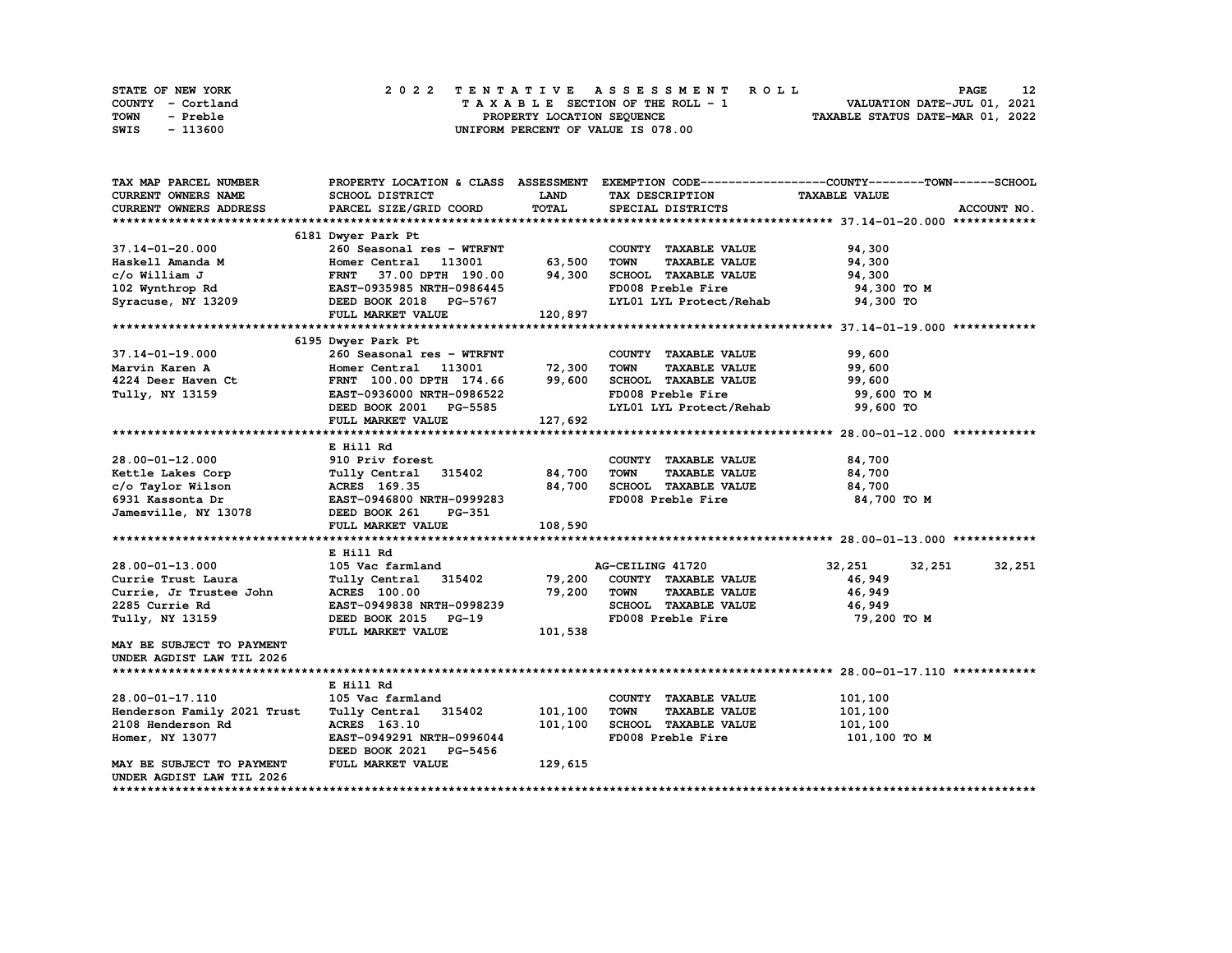| STATE OF NEW YORK | 2022 TENTATIVE ASSESSMENT ROLL<br>12<br><b>PAGE</b>            |
|-------------------|----------------------------------------------------------------|
| COUNTY - Cortland | VALUATION DATE-JUL 01, 2021<br>TAXABLE SECTION OF THE ROLL - 1 |
| TOWN<br>- Preble  | TAXABLE STATUS DATE-MAR 01, 2022<br>PROPERTY LOCATION SEQUENCE |
| - 113600<br>SWIS  | UNIFORM PERCENT OF VALUE IS 078.00                             |

| TAX MAP PARCEL NUMBER                  |                                                                             |             |                                     | PROPERTY LOCATION & CLASS ASSESSMENT EXEMPTION CODE----------------COUNTY-------TOWN-----SCHOOL |
|----------------------------------------|-----------------------------------------------------------------------------|-------------|-------------------------------------|-------------------------------------------------------------------------------------------------|
| CURRENT OWNERS NAME                    | SCHOOL DISTRICT                                                             | <b>LAND</b> | TAX DESCRIPTION                     | <b>TAXABLE VALUE</b>                                                                            |
| <b>CURRENT OWNERS ADDRESS</b>          | PARCEL SIZE/GRID COORD                                                      | TOTAL       | SPECIAL DISTRICTS                   | ACCOUNT NO.                                                                                     |
|                                        |                                                                             |             |                                     |                                                                                                 |
|                                        | 6181 Dwyer Park Pt                                                          |             |                                     |                                                                                                 |
| 37.14-01-20.000                        | 260 Seasonal res - WTRFNT                                                   |             | COUNTY TAXABLE VALUE                | 94,300                                                                                          |
| Haskell Amanda M                       |                                                                             | 63,500      | <b>TOWN</b><br><b>TAXABLE VALUE</b> | 94,300                                                                                          |
| c/o William J                          |                                                                             | 94,300      | SCHOOL TAXABLE VALUE                | 94,300                                                                                          |
| 102 Wynthrop Rd                        | Homer Central 113001<br>FRNT 37.00 DPTH 190.00<br>EAST-0935985 NRTH-0986445 |             | FD008 Preble Fire                   | 94,300 TO M                                                                                     |
| Syracuse, NY 13209                     | DEED BOOK 2018 PG-5767                                                      |             | LYL01 LYL Protect/Rehab 94,300 TO   |                                                                                                 |
|                                        | FULL MARKET VALUE                                                           | 120,897     |                                     |                                                                                                 |
|                                        |                                                                             |             |                                     |                                                                                                 |
|                                        | 6195 Dwyer Park Pt                                                          |             |                                     |                                                                                                 |
| 37.14-01-19.000                        | 260 Seasonal res - WTRFNT                                                   |             | COUNTY TAXABLE VALUE                | 99,600                                                                                          |
| Marvin Karen A                         | Homer Central 113001                                                        | 72,300      | <b>TOWN</b><br><b>TAXABLE VALUE</b> | 99,600                                                                                          |
| 4224 Deer Haven Ct                     | FRNT 100.00 DPTH 174.66 99,600                                              |             | SCHOOL TAXABLE VALUE                | 99,600                                                                                          |
| Tully, NY 13159                        | EAST-0936000 NRTH-0986522                                                   |             | FD008 Preble Fire                   | 99,600 TO M                                                                                     |
|                                        | DEED BOOK 2001 PG-5585                                                      |             | LYL01 LYL Protect/Rehab             | 99,600 TO                                                                                       |
|                                        | FULL MARKET VALUE                                                           | 127,692     |                                     |                                                                                                 |
|                                        |                                                                             |             |                                     |                                                                                                 |
|                                        | E Hill Rd                                                                   |             |                                     |                                                                                                 |
| 28.00-01-12.000                        | 910 Priv forest                                                             |             | COUNTY TAXABLE VALUE                | 84,700                                                                                          |
|                                        | Tully Central 315402                                                        | 84,700      | <b>TOWN</b><br><b>TAXABLE VALUE</b> | 84,700                                                                                          |
| Kettle Lakes Corp<br>c/o Taylor Wilson | ACRES 169.35                                                                | 84,700      | SCHOOL TAXABLE VALUE                | 84,700                                                                                          |
| 6931 Kassonta Dr                       | EAST-0946800 NRTH-0999283                                                   |             | FD008 Preble Fire                   | 84,700 TO M                                                                                     |
| Jamesville, NY 13078                   | DEED BOOK 261<br>PG-351                                                     |             |                                     |                                                                                                 |
|                                        | FULL MARKET VALUE                                                           | 108,590     |                                     |                                                                                                 |
|                                        |                                                                             |             |                                     |                                                                                                 |
|                                        | E Hill Rd                                                                   |             |                                     |                                                                                                 |
| 28.00-01-13.000                        | 105 Vac farmland                                                            |             | AG-CEILING 41720                    | 32,251<br>32,251<br>32,251                                                                      |
| Currie Trust Laura                     | Tully Central 315402 79,200                                                 |             | COUNTY TAXABLE VALUE                | 46,949                                                                                          |
| Currie, Jr Trustee John                | <b>ACRES</b> 100.00                                                         | 79,200      | <b>TOWN</b><br><b>TAXABLE VALUE</b> | 46,949                                                                                          |
| 2285 Currie Rd                         | EAST-0949838 NRTH-0998239                                                   |             | SCHOOL TAXABLE VALUE                | 46,949                                                                                          |
| Tully, NY 13159                        | DEED BOOK 2015 PG-19                                                        |             | FD008 Preble Fire                   | 79,200 TO M                                                                                     |
|                                        | FULL MARKET VALUE                                                           | 101,538     |                                     |                                                                                                 |
| MAY BE SUBJECT TO PAYMENT              |                                                                             |             |                                     |                                                                                                 |
| UNDER AGDIST LAW TIL 2026              |                                                                             |             |                                     |                                                                                                 |
|                                        |                                                                             |             |                                     |                                                                                                 |
|                                        | E Hill Rd                                                                   |             |                                     |                                                                                                 |
| 28.00-01-17.110                        | 105 Vac farmland                                                            |             | COUNTY TAXABLE VALUE                | 101,100                                                                                         |
| Henderson Family 2021 Trust            | Tully Central 315402                                                        | 101,100     | <b>TOWN</b><br><b>TAXABLE VALUE</b> | 101,100                                                                                         |
| 2108 Henderson Rd                      | ACRES 163.10                                                                | 101,100     | SCHOOL TAXABLE VALUE                | 101,100                                                                                         |
| Homer, NY 13077                        | EAST-0949291 NRTH-0996044                                                   |             | FD008 Preble Fire                   | 101,100 TO M                                                                                    |
|                                        | DEED BOOK 2021 PG-5456                                                      |             |                                     |                                                                                                 |
| MAY BE SUBJECT TO PAYMENT              | FULL MARKET VALUE                                                           | 129,615     |                                     |                                                                                                 |
| UNDER AGDIST LAW TIL 2026              |                                                                             |             |                                     |                                                                                                 |
|                                        |                                                                             |             |                                     |                                                                                                 |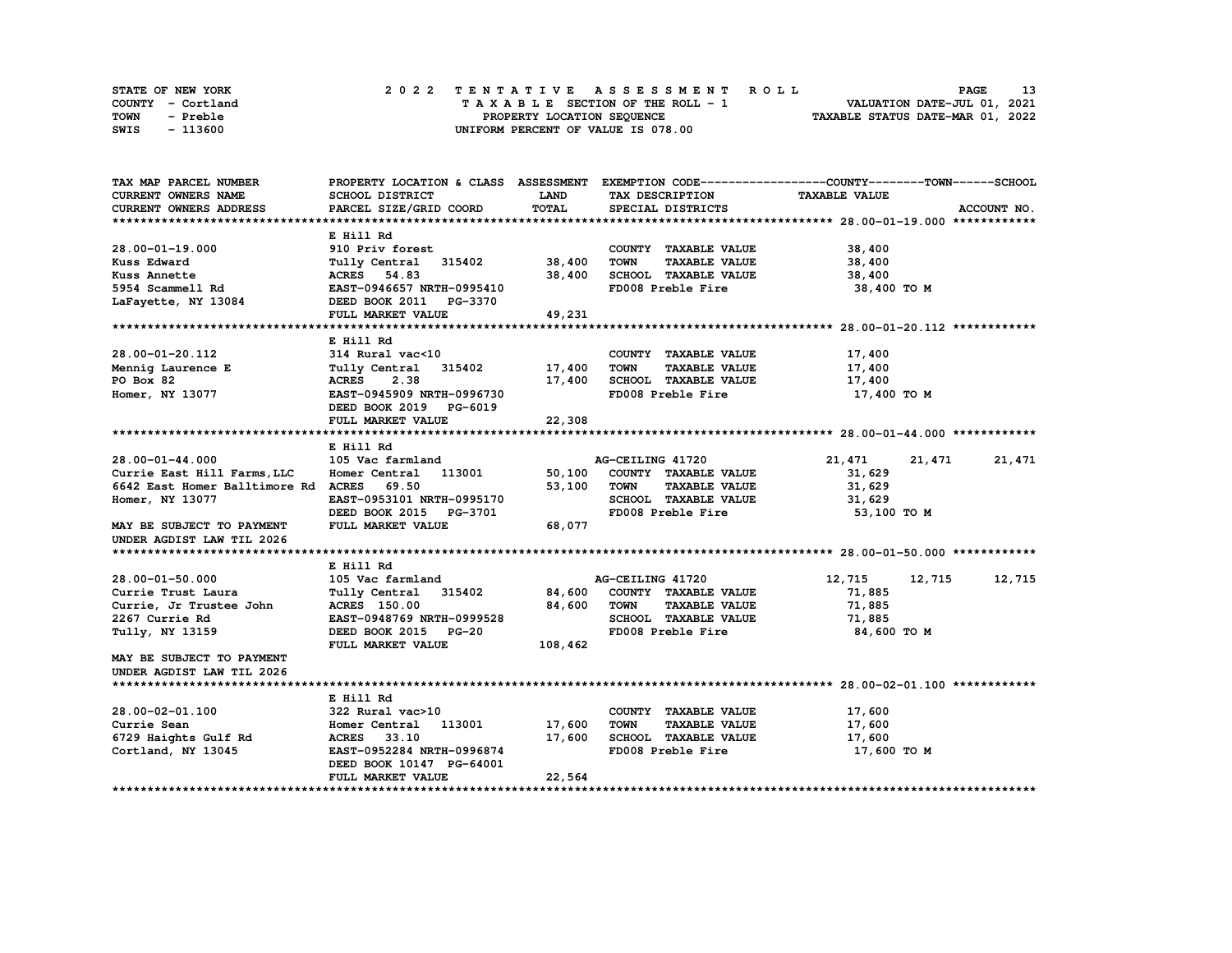| STATE OF NEW YORK | 2022 TENTATIVE ASSESSMENT ROLL     | 13<br><b>PAGE</b>                |
|-------------------|------------------------------------|----------------------------------|
| COUNTY - Cortland | TAXABLE SECTION OF THE ROLL - 1    | VALUATION DATE-JUL 01, 2021      |
| TOWN<br>- Preble  | PROPERTY LOCATION SEQUENCE         | TAXABLE STATUS DATE-MAR 01, 2022 |
| - 113600<br>SWIS  | UNIFORM PERCENT OF VALUE IS 078.00 |                                  |

| TAX MAP PARCEL NUMBER                     |                             |             |                                     | PROPERTY LOCATION & CLASS ASSESSMENT EXEMPTION CODE----------------COUNTY-------TOWN-----SCHOOL |        |
|-------------------------------------------|-----------------------------|-------------|-------------------------------------|-------------------------------------------------------------------------------------------------|--------|
| <b>CURRENT OWNERS NAME</b>                | <b>SCHOOL DISTRICT</b>      | <b>LAND</b> | TAX DESCRIPTION                     | <b>TAXABLE VALUE</b>                                                                            |        |
| CURRENT OWNERS ADDRESS                    | PARCEL SIZE/GRID COORD      | TOTAL       | SPECIAL DISTRICTS                   | ACCOUNT NO.                                                                                     |        |
|                                           |                             |             |                                     |                                                                                                 |        |
|                                           | E Hill Rd                   |             |                                     |                                                                                                 |        |
| $28.00 - 01 - 19.000$                     | 910 Priv forest             |             | COUNTY TAXABLE VALUE                | 38,400                                                                                          |        |
| Kuss Edward                               | Tully Central 315402        | 38,400      | <b>TOWN</b><br><b>TAXABLE VALUE</b> | 38,400                                                                                          |        |
| <b>Kuss Annette</b>                       | ACRES 54.83                 | 38,400      | SCHOOL TAXABLE VALUE                | 38,400                                                                                          |        |
| 5954 Scammell Rd                          | EAST-0946657 NRTH-0995410   |             | FD008 Preble Fire                   | 38,400 TO M                                                                                     |        |
| LaFayette, NY 13084                       | DEED BOOK 2011 PG-3370      |             |                                     |                                                                                                 |        |
|                                           | FULL MARKET VALUE           | 49,231      |                                     |                                                                                                 |        |
|                                           |                             |             |                                     |                                                                                                 |        |
|                                           | E Hill Rd                   |             |                                     |                                                                                                 |        |
| 28.00-01-20.112                           | $314$ Rural vac<10          |             | COUNTY TAXABLE VALUE                | 17,400                                                                                          |        |
| Mennig Laurence E                         | Tully Central 315402 17,400 |             | <b>TOWN</b><br><b>TAXABLE VALUE</b> | 17,400                                                                                          |        |
| PO Box 82                                 | ACRES 2.38                  | 17,400      | SCHOOL TAXABLE VALUE                | 17,400                                                                                          |        |
| Homer, NY 13077                           | EAST-0945909 NRTH-0996730   |             | FD008 Preble Fire                   | 17,400 TO M                                                                                     |        |
|                                           | DEED BOOK 2019 PG-6019      |             |                                     |                                                                                                 |        |
|                                           | FULL MARKET VALUE           | 22,308      |                                     |                                                                                                 |        |
|                                           |                             |             |                                     |                                                                                                 |        |
|                                           | E Hill Rd                   |             |                                     |                                                                                                 |        |
| 28.00-01-44.000                           | 105 Vac farmland            |             | AG-CEILING 41720                    | 21,471<br>21,471                                                                                | 21,471 |
| Currie East Hill Farms, LLC               | Homer Central 113001        | 50,100      | COUNTY TAXABLE VALUE                | 31,629                                                                                          |        |
| 6642 East Homer Balltimore Rd ACRES 69.50 |                             | 53,100      | TOWN<br><b>TAXABLE VALUE</b>        | 31,629                                                                                          |        |
| Homer, NY 13077                           | EAST-0953101 NRTH-0995170   |             | SCHOOL TAXABLE VALUE                | 31,629                                                                                          |        |
|                                           | DEED BOOK 2015 PG-3701      |             | FD008 Preble Fire                   | 53,100 TO M                                                                                     |        |
| MAY BE SUBJECT TO PAYMENT                 | FULL MARKET VALUE           | 68,077      |                                     |                                                                                                 |        |
| UNDER AGDIST LAW TIL 2026                 |                             |             |                                     |                                                                                                 |        |
|                                           |                             |             |                                     |                                                                                                 |        |
|                                           | E Hill Rd                   |             |                                     |                                                                                                 |        |
| 28.00-01-50.000                           | 105 Vac farmland            |             | AG-CEILING 41720                    | 12,715<br>12,715                                                                                | 12,715 |
| Currie Trust Laura                        | Tully Central 315402        | 84,600      | COUNTY TAXABLE VALUE                | 71,885                                                                                          |        |
| Currie, Jr Trustee John                   | <b>ACRES</b> 150.00         | 84,600      | <b>TOWN</b><br><b>TAXABLE VALUE</b> | 71,885                                                                                          |        |
| 2267 Currie Rd                            | EAST-0948769 NRTH-0999528   |             | SCHOOL TAXABLE VALUE                | 71,885                                                                                          |        |
| Tully, NY 13159                           | DEED BOOK 2015 PG-20        |             | FD008 Preble Fire                   | 84,600 TO M                                                                                     |        |
|                                           | FULL MARKET VALUE           | 108,462     |                                     |                                                                                                 |        |
| MAY BE SUBJECT TO PAYMENT                 |                             |             |                                     |                                                                                                 |        |
| UNDER AGDIST LAW TIL 2026                 |                             |             |                                     |                                                                                                 |        |
|                                           |                             |             |                                     |                                                                                                 |        |
|                                           | E Hill Rd                   |             |                                     |                                                                                                 |        |
| 28.00-02-01.100                           | 322 Rural vac>10            |             | COUNTY TAXABLE VALUE                | 17,600                                                                                          |        |
| Currie Sean                               | Homer Central 113001        | 17,600      | <b>TOWN</b><br><b>TAXABLE VALUE</b> | 17,600                                                                                          |        |
| 6729 Haights Gulf Rd                      | ACRES 33.10                 | 17,600      | SCHOOL TAXABLE VALUE                | 17,600                                                                                          |        |
| Cortland, NY 13045                        | EAST-0952284 NRTH-0996874   |             | FD008 Preble Fire                   | 17,600 TO M                                                                                     |        |
|                                           | DEED BOOK 10147 PG-64001    |             |                                     |                                                                                                 |        |
|                                           | FULL MARKET VALUE           | 22,564      |                                     |                                                                                                 |        |
|                                           |                             |             |                                     |                                                                                                 |        |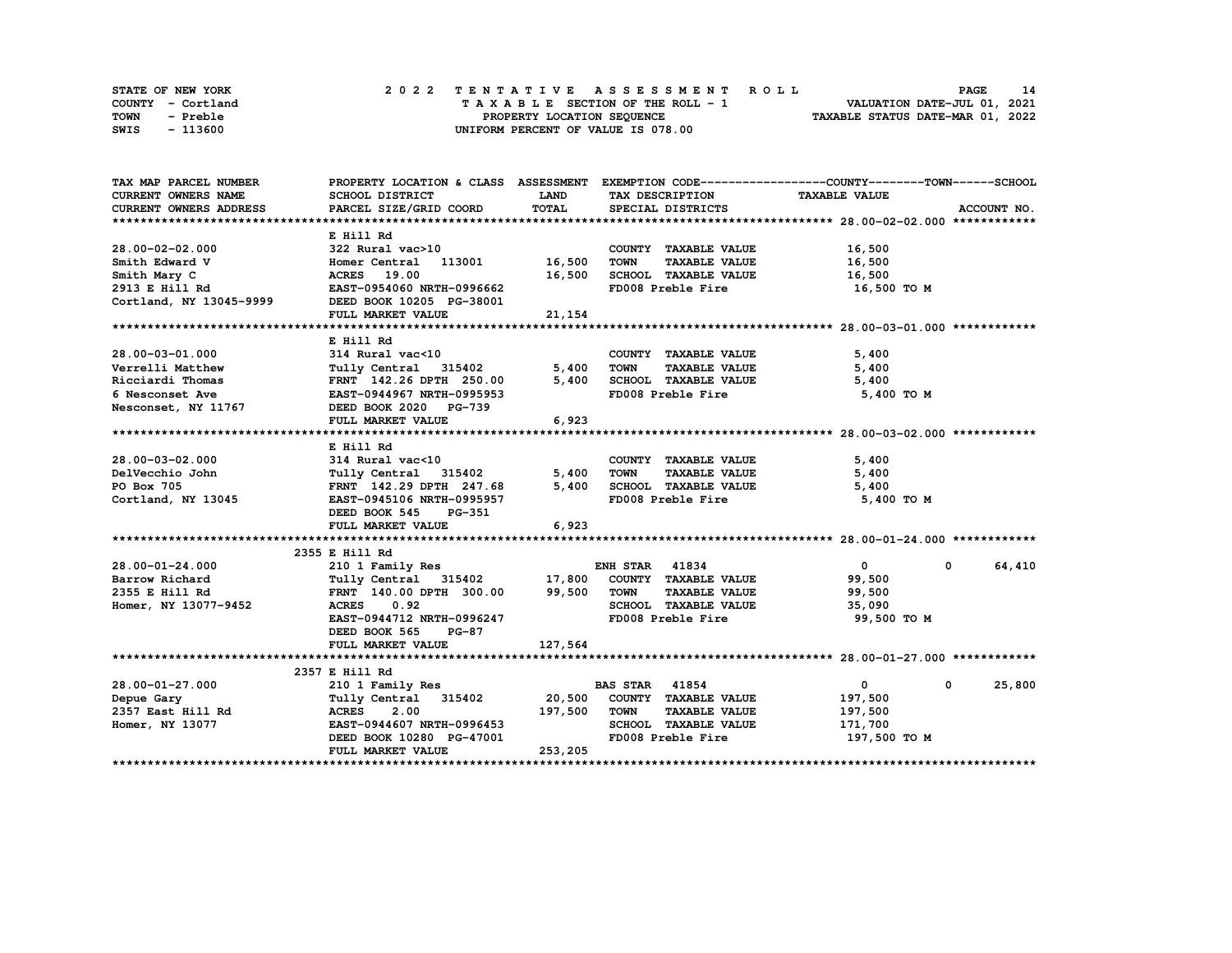| STATE OF NEW YORK | 2022 TENTATIVE ASSESSMENT ROLL     | 14<br>PAGE                       |
|-------------------|------------------------------------|----------------------------------|
| COUNTY - Cortland | TAXABLE SECTION OF THE ROLL - 1    | VALUATION DATE-JUL 01, 2021      |
| TOWN<br>- Preble  | PROPERTY LOCATION SEQUENCE         | TAXABLE STATUS DATE-MAR 01, 2022 |
| - 113600<br>SWIS  | UNIFORM PERCENT OF VALUE IS 078.00 |                                  |

| TAX MAP PARCEL NUMBER                     |                                                                                                                                                                                |              |                                                 | PROPERTY LOCATION & CLASS ASSESSMENT EXEMPTION CODE-----------------COUNTY-------TOWN-----SCHOOL |             |
|-------------------------------------------|--------------------------------------------------------------------------------------------------------------------------------------------------------------------------------|--------------|-------------------------------------------------|--------------------------------------------------------------------------------------------------|-------------|
| <b>CURRENT OWNERS NAME</b>                | <b>SCHOOL DISTRICT</b>                                                                                                                                                         | <b>LAND</b>  | TAX DESCRIPTION                                 | <b>TAXABLE VALUE</b>                                                                             |             |
| <b>CURRENT OWNERS ADDRESS</b>             | PARCEL SIZE/GRID COORD                                                                                                                                                         | TOTAL        | SPECIAL DISTRICTS                               |                                                                                                  | ACCOUNT NO. |
|                                           |                                                                                                                                                                                |              |                                                 |                                                                                                  |             |
|                                           | E Hill Rd                                                                                                                                                                      |              |                                                 |                                                                                                  |             |
| 28.00-02-02.000                           | 322 Rural vac>10                                                                                                                                                               |              | COUNTY TAXABLE VALUE                            | 16,500                                                                                           |             |
| Smith Edward V                            | Homer Central 113001 16,500                                                                                                                                                    |              | TOWN<br><b>TAXABLE VALUE</b>                    | 16,500                                                                                           |             |
| Smith Mary C                              | <b>ACRES</b> 19.00                                                                                                                                                             | 16,500       | SCHOOL TAXABLE VALUE                            | 16,500                                                                                           |             |
| 2913 E Hill Rd                            | EAST-0954060 NRTH-0996662                                                                                                                                                      |              | FD008 Preble Fire                               | 16,500 TO M                                                                                      |             |
| Cortland, NY 13045-9999                   | DEED BOOK 10205 PG-38001                                                                                                                                                       |              |                                                 |                                                                                                  |             |
|                                           | FULL MARKET VALUE                                                                                                                                                              | 21,154       |                                                 |                                                                                                  |             |
|                                           |                                                                                                                                                                                |              |                                                 |                                                                                                  |             |
|                                           | E Hill Rd                                                                                                                                                                      |              |                                                 |                                                                                                  |             |
| 28.00-03-01.000                           | $314$ Rural vac<10                                                                                                                                                             |              | COUNTY TAXABLE VALUE                            | 5,400                                                                                            |             |
| Verrelli Matthew                          | Tully Central 315402                                                                                                                                                           | 5,400        | <b>TOWN</b><br>TAXABLE VALUE                    | 5,400                                                                                            |             |
| Ricciardi Thomas                          | FRNT $142.26$ DPTH $250.00$                                                                                                                                                    |              |                                                 | 5,400                                                                                            |             |
| <b>6 Nesconset Ave</b>                    | Tully Central 315402<br>FRNT 142.26 DPTH 250.00<br>EAST-0944967 NRTH-0995953                                                                                                   |              | 5,400 SCHOOL TAXABLE VALUE<br>FD008 Preble Fire | 5,400 TO M                                                                                       |             |
| Nesconset, NY 11767 DEED BOOK 2020 PG-739 |                                                                                                                                                                                |              |                                                 |                                                                                                  |             |
|                                           | FULL MARKET VALUE                                                                                                                                                              | 6,923        |                                                 |                                                                                                  |             |
|                                           |                                                                                                                                                                                |              |                                                 |                                                                                                  |             |
|                                           | E Hill Rd                                                                                                                                                                      |              |                                                 |                                                                                                  |             |
| 28.00-03-02.000                           |                                                                                                                                                                                |              | COUNTY TAXABLE VALUE                            | 5,400                                                                                            |             |
| DelVecchio John                           |                                                                                                                                                                                | 5,400        | <b>TAXABLE VALUE</b><br><b>TOWN</b>             | 5,400                                                                                            |             |
| PO Box 705                                |                                                                                                                                                                                | 5,400        | SCHOOL TAXABLE VALUE                            | 5,400                                                                                            |             |
| Cortland, NY 13045                        | 314 Rural vac<10<br>Tully Central 315402<br>FRNT 142.29 DPTH 247.68<br>EAST-0945106 NRTH-0995957                                                                               |              | FD008 Preble Fire                               | 5,400 TO M                                                                                       |             |
|                                           | DEED BOOK 545<br><b>PG-351</b>                                                                                                                                                 |              |                                                 |                                                                                                  |             |
|                                           | FULL MARKET VALUE                                                                                                                                                              | 6,923        |                                                 |                                                                                                  |             |
|                                           |                                                                                                                                                                                |              |                                                 |                                                                                                  |             |
|                                           | 2355 E Hill Rd                                                                                                                                                                 |              |                                                 |                                                                                                  |             |
| 28.00-01-24.000                           |                                                                                                                                                                                |              |                                                 | $\mathbf{0}$<br>$^{\circ}$                                                                       | 64,410      |
| Barrow Richard                            | 210 1 Family Res<br>Tully Central 315402 17,800 COUNTY TAXABLE VALUE<br>FRNT 140.00 DPTH 300.00 99,500 TOWN TAXABLE VALUE<br>TRNT 140.00 DPTH 300.00 99,500 TOWN TAXABLE VALUE |              |                                                 | 99,500                                                                                           |             |
| 2355 E Hill Rd                            |                                                                                                                                                                                |              |                                                 | 99,500                                                                                           |             |
| Homer, NY 13077-9452                      | <b>ACRES</b><br>0.92                                                                                                                                                           |              | SCHOOL TAXABLE VALUE                            | 35,090                                                                                           |             |
|                                           | EAST-0944712 NRTH-0996247                                                                                                                                                      |              | FD008 Preble Fire                               | 99,500 TO M                                                                                      |             |
|                                           | DEED BOOK 565 PG-87                                                                                                                                                            |              |                                                 |                                                                                                  |             |
|                                           | FULL MARKET VALUE                                                                                                                                                              | 127,564      |                                                 |                                                                                                  |             |
|                                           |                                                                                                                                                                                |              |                                                 |                                                                                                  |             |
|                                           | 2357 E Hill Rd                                                                                                                                                                 |              |                                                 |                                                                                                  |             |
| 28.00-01-27.000                           | 210 1 Family Res                                                                                                                                                               |              | <b>BAS STAR 41854</b>                           | $\mathbf{0}$<br>$^{\circ}$                                                                       | 25,800      |
| Depue Gary                                | Tully Central 315402                                                                                                                                                           |              | 20,500 COUNTY TAXABLE VALUE                     | 197,500                                                                                          |             |
| 2357 East Hill Rd                         | <b>ACRES</b><br>2.00                                                                                                                                                           | 197,500 TOWN | <b>TAXABLE VALUE</b>                            | 197,500                                                                                          |             |
| Homer, NY 13077                           | EAST-0944607 NRTH-0996453                                                                                                                                                      |              | SCHOOL TAXABLE VALUE                            | 171,700                                                                                          |             |
|                                           | DEED BOOK 10280 PG-47001                                                                                                                                                       |              | FD008 Preble Fire                               | 197,500 TO M                                                                                     |             |
|                                           | FULL MARKET VALUE                                                                                                                                                              | 253,205      |                                                 |                                                                                                  |             |
|                                           |                                                                                                                                                                                |              |                                                 |                                                                                                  |             |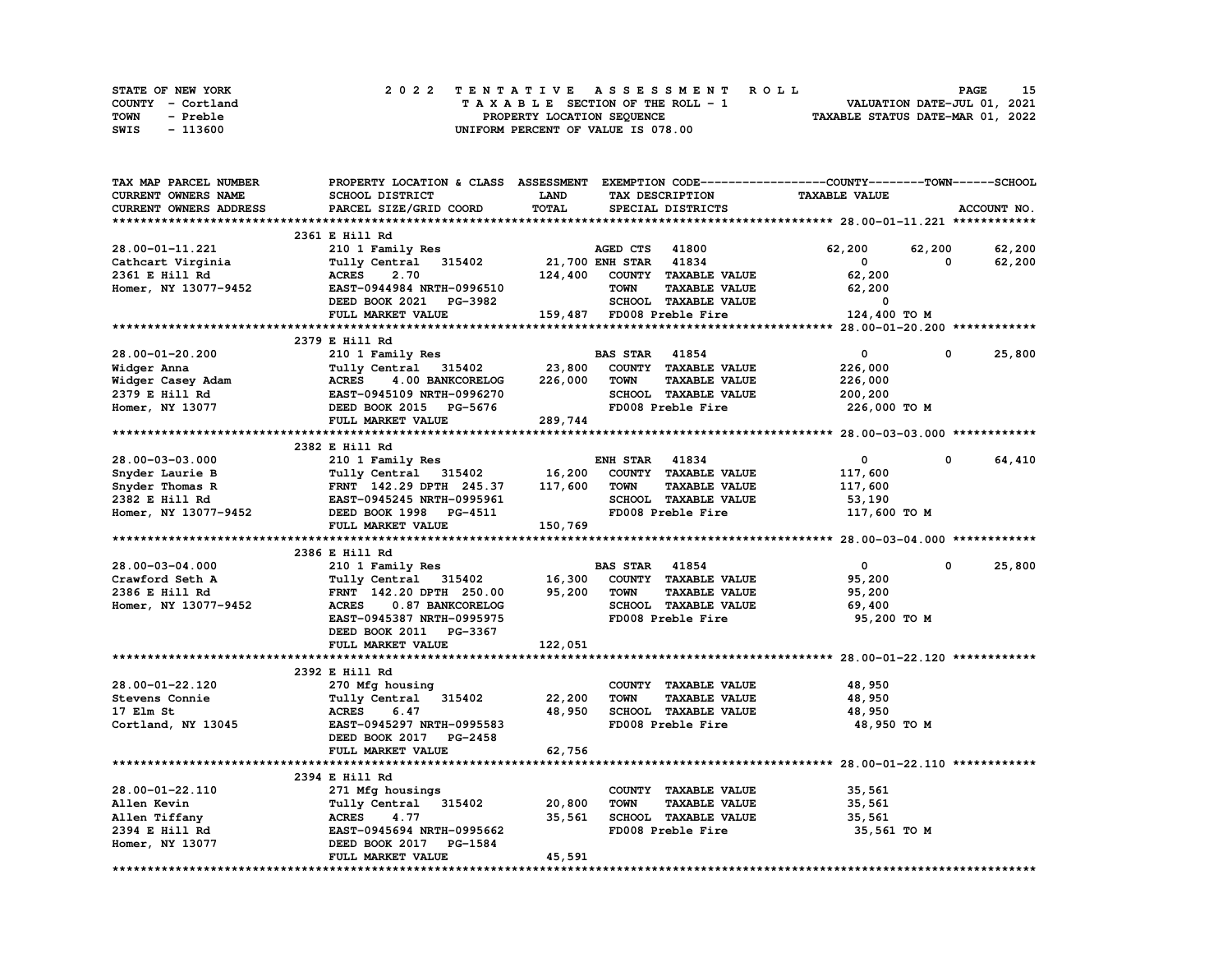| STATE OF NEW YORK | 2022 TENTATIVE ASSESSMENT ROLL     | 15<br><b>PAGE</b>                |
|-------------------|------------------------------------|----------------------------------|
| COUNTY - Cortland | TAXABLE SECTION OF THE ROLL - 1    | VALUATION DATE-JUL 01, 2021      |
| TOWN<br>- Preble  | PROPERTY LOCATION SEQUENCE         | TAXABLE STATUS DATE-MAR 01, 2022 |
| - 113600<br>SWIS  | UNIFORM PERCENT OF VALUE IS 078.00 |                                  |

| TAX MAP PARCEL NUMBER                                             | PROPERTY LOCATION & CLASS ASSESSMENT EXEMPTION CODE-----------------COUNTY-------TOWN------SCHOOL                                          |              |                       |                                                       |                      |              |             |
|-------------------------------------------------------------------|--------------------------------------------------------------------------------------------------------------------------------------------|--------------|-----------------------|-------------------------------------------------------|----------------------|--------------|-------------|
| CURRENT OWNERS NAME                                               | SCHOOL DISTRICT                                                                                                                            | <b>LAND</b>  |                       | TAX DESCRIPTION                                       | <b>TAXABLE VALUE</b> |              |             |
| CURRENT OWNERS ADDRESS                                            | PARCEL SIZE/GRID COORD                                                                                                                     | <b>TOTAL</b> |                       | SPECIAL DISTRICTS                                     |                      |              | ACCOUNT NO. |
|                                                                   |                                                                                                                                            |              |                       |                                                       |                      |              |             |
|                                                                   | 2361 E Hill Rd                                                                                                                             |              |                       |                                                       |                      |              |             |
| 28.00-01-11.221                                                   | 210 1 Family Res                                                                                                                           |              |                       | AGED CTS 41800                                        | 62,200               | 62,200       | 62,200      |
| Cathcart Virginia                                                 | Tully Central 315402                                                                                                                       |              |                       |                                                       | $\mathbf 0$          | $^{\circ}$   | 62,200      |
| 2361 E Hill Rd                                                    | 2.70<br><b>ACRES</b>                                                                                                                       |              |                       | 21,700 ENH STAR 41834<br>124,400 COUNTY TAXABLE VALUE | 62,200               |              |             |
| Homer, NY 13077-9452                                              | EAST-0944984 NRTH-0996510                                                                                                                  |              | <b>TOWN</b>           | <b>TAXABLE VALUE</b>                                  | 62,200               |              |             |
|                                                                   | EAST-0944984 NRTH-0996510 TOWN TAXABLE VALUE<br>DEED BOOK 2021 PG-3982 SCHOOL TAXABLE VALUE<br>FULL MARKET VALUE 159,487 FD008 Preble Fire |              |                       |                                                       | 0                    |              |             |
|                                                                   |                                                                                                                                            |              |                       |                                                       | 124,400 TO M         |              |             |
|                                                                   |                                                                                                                                            |              |                       |                                                       |                      |              |             |
|                                                                   | 2379 E Hill Rd                                                                                                                             |              |                       |                                                       |                      |              |             |
|                                                                   |                                                                                                                                            |              |                       |                                                       |                      |              |             |
| 28.00-01-20.200                                                   | 210 1 Family Res                                                                                                                           |              | <b>BAS STAR 41854</b> |                                                       | $\overline{0}$       | $\mathbf 0$  | 25,800      |
| Widger Anna<br>Widger Annu<br>Widger Casey Adam<br>??79 E Hill Rd |                                                                                                                                            |              |                       | COUNTY TAXABLE VALUE                                  | 226,000              |              |             |
|                                                                   |                                                                                                                                            |              | 226,000 TOWN          | <b>TAXABLE VALUE</b>                                  | 226,000              |              |             |
|                                                                   |                                                                                                                                            |              |                       | SCHOOL TAXABLE VALUE                                  | 200,200              |              |             |
| Homer, NY 13077                                                   |                                                                                                                                            |              |                       | FD008 Preble Fire                                     | 226,000 TO M         |              |             |
|                                                                   | FULL MARKET VALUE                                                                                                                          | 289,744      |                       |                                                       |                      |              |             |
|                                                                   |                                                                                                                                            |              |                       |                                                       |                      |              |             |
|                                                                   | 2382 E Hill Rd                                                                                                                             |              |                       |                                                       |                      |              |             |
| 28.00-03-03.000                                                   | 210 1 Family Res                                                                                                                           |              | <b>ENH STAR 41834</b> |                                                       | $\bullet$            | $^{\circ}$   | 64,410      |
| Snyder Laurie B                                                   | Tully Central 315402 16,200 COUNTY TAXABLE VALUE                                                                                           |              |                       |                                                       | 117,600              |              |             |
| Snyder Thomas R                                                   |                                                                                                                                            |              | TOWN                  | <b>TAXABLE VALUE</b>                                  | 117,600              |              |             |
| 2382 E Hill Rd                                                    | Tully Central 315402 16,200<br>FRNT 142.29 DPTH 245.37 117,600<br>EAST-0945245 NRTH-0995961                                                |              |                       | SCHOOL TAXABLE VALUE                                  | 53,190               |              |             |
| Homer, NY 13077-9452                                              | DEED BOOK 1998 PG-4511                                                                                                                     |              |                       | FD008 Preble Fire                                     | 117,600 TO M         |              |             |
|                                                                   | FULL MARKET VALUE                                                                                                                          | 150,769      |                       |                                                       |                      |              |             |
|                                                                   |                                                                                                                                            |              |                       |                                                       |                      |              |             |
|                                                                   | 2386 E Hill Rd                                                                                                                             |              |                       |                                                       |                      |              |             |
| 28.00-03-04.000                                                   | 210 1 Family Res                                                                                                                           |              | <b>BAS STAR</b> 41854 |                                                       | $\overline{0}$       | $\mathbf{0}$ | 25,800      |
| Crawford Seth A                                                   | Tully Central 315402 16,300                                                                                                                |              |                       | COUNTY TAXABLE VALUE                                  | 95,200               |              |             |
| 2386 E Hill Rd                                                    | FRNT 142.20 DPTH 250.00                                                                                                                    | 95,200       | <b>TOWN</b>           | <b>TAXABLE VALUE</b>                                  | 95,200               |              |             |
| Homer, NY 13077-9452                                              | ACRES 0.87 BANKCORELOG                                                                                                                     |              |                       | SCHOOL TAXABLE VALUE                                  | 69,400               |              |             |
|                                                                   | EAST-0945387 NRTH-0995975                                                                                                                  |              |                       | FD008 Preble Fire                                     | 95,200 TO M          |              |             |
|                                                                   | DEED BOOK 2011 PG-3367                                                                                                                     |              |                       |                                                       |                      |              |             |
|                                                                   | FULL MARKET VALUE                                                                                                                          | 122,051      |                       |                                                       |                      |              |             |
|                                                                   |                                                                                                                                            |              |                       |                                                       |                      |              |             |
|                                                                   | 2392 E Hill Rd                                                                                                                             |              |                       |                                                       |                      |              |             |
| 28.00-01-22.120                                                   | 270 Mfg housing                                                                                                                            |              |                       | COUNTY TAXABLE VALUE                                  | 48,950               |              |             |
| Stevens Connie                                                    | Tully Central 315402                                                                                                                       | 22,200       | <b>TOWN</b>           | <b>TAXABLE VALUE</b>                                  | 48,950               |              |             |
| 17 Elm St                                                         | <b>ACRES</b><br>6.47                                                                                                                       | 48,950       |                       | SCHOOL TAXABLE VALUE                                  |                      |              |             |
|                                                                   |                                                                                                                                            |              |                       |                                                       | 48,950               |              |             |
| Cortland, NY 13045                                                | EAST-0945297 NRTH-0995583                                                                                                                  |              |                       | FD008 Preble Fire                                     | 48,950 TO M          |              |             |
|                                                                   | DEED BOOK 2017 PG-2458                                                                                                                     |              |                       |                                                       |                      |              |             |
|                                                                   | FULL MARKET VALUE                                                                                                                          | 62,756       |                       |                                                       |                      |              |             |
|                                                                   |                                                                                                                                            |              |                       |                                                       |                      |              |             |
|                                                                   | 2394 E Hill Rd                                                                                                                             |              |                       |                                                       |                      |              |             |
| 28.00-01-22.110                                                   | 271 Mfg housings                                                                                                                           |              |                       | COUNTY TAXABLE VALUE                                  | 35,561               |              |             |
| Allen Kevin                                                       | Tully Central 315402                                                                                                                       | 20,800       | <b>TOWN</b>           | <b>TAXABLE VALUE</b>                                  | 35,561               |              |             |
| Allen Tiffany                                                     | ACRES 4.77                                                                                                                                 | 35,561       |                       | SCHOOL TAXABLE VALUE                                  | 35,561               |              |             |
| 2394 E Hill Rd                                                    | EAST-0945694 NRTH-0995662                                                                                                                  |              |                       | FD008 Preble Fire                                     | 35,561 TO M          |              |             |
| Homer, NY 13077                                                   | DEED BOOK 2017 PG-1584                                                                                                                     |              |                       |                                                       |                      |              |             |
|                                                                   | FULL MARKET VALUE                                                                                                                          | 45,591       |                       |                                                       |                      |              |             |
|                                                                   |                                                                                                                                            |              |                       |                                                       |                      |              |             |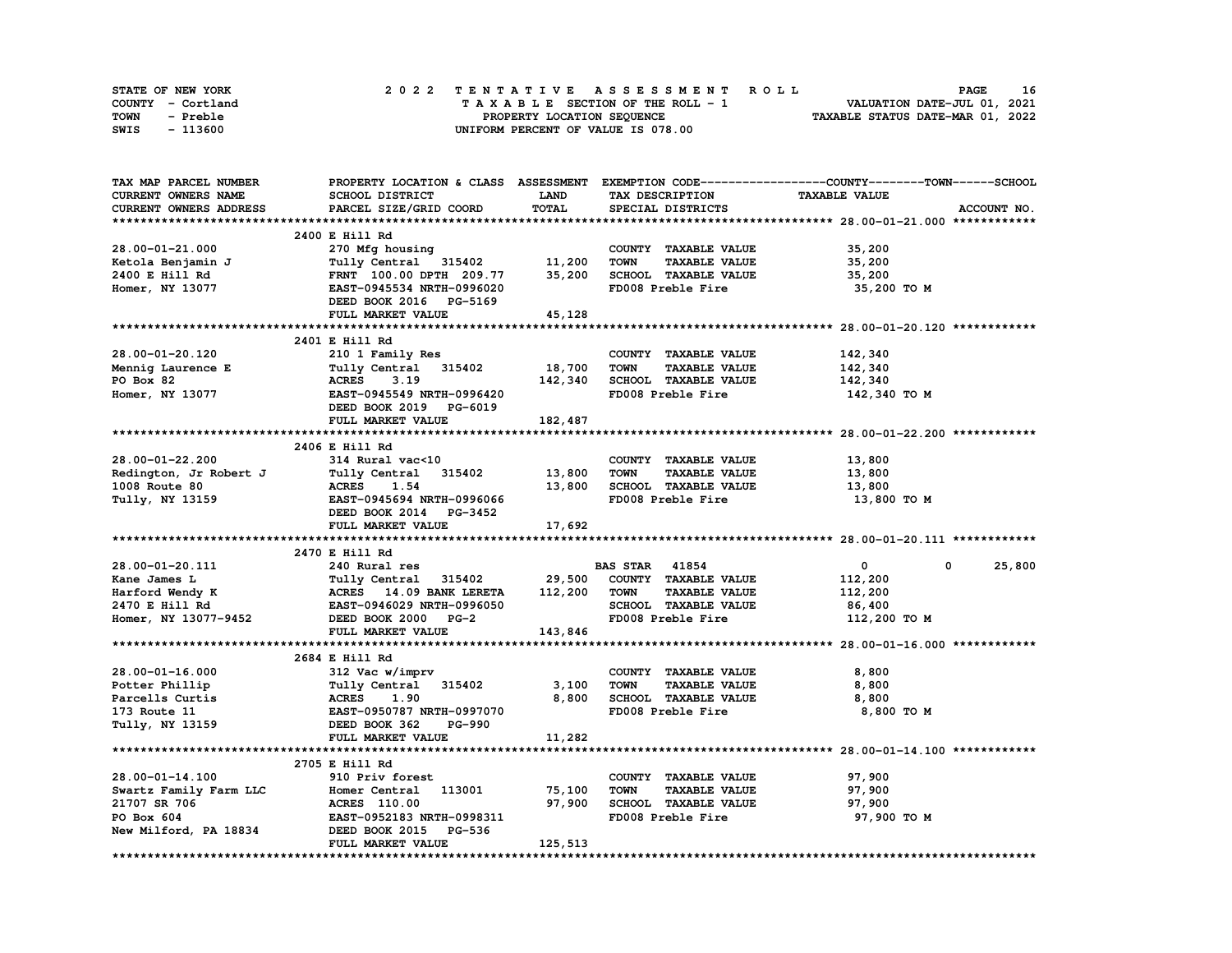| STATE OF NEW YORK | 2022 TENTATIVE ASSESSMENT ROLL     | 16<br><b>PAGE</b>                |
|-------------------|------------------------------------|----------------------------------|
| COUNTY - Cortland | TAXABLE SECTION OF THE ROLL - 1    | VALUATION DATE-JUL 01, 2021      |
| TOWN<br>- Preble  | PROPERTY LOCATION SEQUENCE         | TAXABLE STATUS DATE-MAR 01, 2022 |
| - 113600<br>SWIS  | UNIFORM PERCENT OF VALUE IS 078.00 |                                  |

| <b>CURRENT OWNERS NAME</b><br><b>SCHOOL DISTRICT</b><br><b>LAND</b><br><b>TAXABLE VALUE</b><br>TAX DESCRIPTION<br>TOTAL<br>CURRENT OWNERS ADDRESS<br>PARCEL SIZE/GRID COORD<br>SPECIAL DISTRICTS<br>ACCOUNT NO.<br>2400 E Hill Rd<br>28.00-01-21.000<br>COUNTY TAXABLE VALUE<br>270 Mfg housing<br>35,200<br>Tully Central 315402 11,200<br><b>TOWN</b><br><b>TAXABLE VALUE</b><br>35,200<br>Ketola Benjamin J<br>35,200<br>SCHOOL TAXABLE VALUE<br>2400 E Hill Rd<br>FRNT 100.00 DPTH 209.77<br>35,200<br>Homer, NY 13077<br>EAST-0945534 NRTH-0996020<br>FD008 Preble Fire<br>35,200 TO M<br>DEED BOOK 2016 PG-5169<br>FULL MARKET VALUE<br>45,128<br>2401 E Hill Rd<br>28.00-01-20.120<br>210 1 Family Res<br>COUNTY TAXABLE VALUE<br>142,340<br>18,700<br>Tully Central<br>ACRES 3.19<br>EAST-0945549 NRTH-0996420<br>----<br><b>TAXABLE VALUE</b><br>142,340<br>Mennig Laurence E<br>PO Box 82<br><b>TOWN</b><br>142,340<br>SCHOOL TAXABLE VALUE<br>142,340<br>FD008 Preble Fire<br>142,340 TO M<br>DEED BOOK 2019 PG-6019<br>182,487<br><b>FULL MARKET VALUE</b><br>2406 E Hill Rd<br>28.00-01-22.200<br>314 Rural vac<10<br>COUNTY TAXABLE VALUE<br>13,800<br>Redington, Jr Robert J<br>Tully Central 315402<br>13,800<br><b>TAXABLE VALUE</b><br>TOWN<br>13,800<br>13,800<br>SCHOOL TAXABLE VALUE<br>1008 Route 80<br>ACRES 1.54<br>13,800<br>Tully, NY 13159<br>EAST-0945694 NRTH-0996066<br>FD008 Preble Fire<br>13,800 TO M<br>DEED BOOK 2014 PG-3452<br>17,692<br>FULL MARKET VALUE<br>2470 E Hill Rd<br>$\overline{\mathbf{0}}$<br>$0\qquad 25,800$<br>28.00-01-20.111<br>240 Rural res<br><b>BAS STAR</b> 41854<br>Tully Central 315402 29,500 COUNTY TAXABLE VALUE<br>Kane James L<br>Tully Central 315402 29,500 COUNTY<br>ACRES 14.09 BANK LERETA 112,200 TOWN<br>EAST-0946029 NRTH-0996050 SCHOOL<br>112,200<br><b>TAXABLE VALUE</b><br>Harford Wendy K<br>2470 E Hill Rd<br>Homer, NY 13077-9452<br>112,200<br>SCHOOL TAXABLE VALUE<br>86,400<br>FD008 Preble Fire<br>112,200 TO M<br>DEED BOOK 2000 PG-2<br>143,846<br>FULL MARKET VALUE<br>2684 E Hill Rd<br>312 Vac w/imprv<br>COUNTY TAXABLE VALUE<br>8,800<br>Tully Central 315402<br>Potter Phillip<br>3,100<br><b>TOWN</b><br><b>TAXABLE VALUE</b><br>8,800<br>Tully Central 315402<br>ACRES 1.90<br>EAST-0950787 NRTH-0997070<br>8,800<br>SCHOOL TAXABLE VALUE<br>8,800<br>FD008 Preble Fire<br>173 Route 11<br>8,800 TO M<br>Tully, NY 13159 DEED BOOK 362<br>PG-990<br>FULL MARKET VALUE<br>11,282<br>2705 E Hill Rd<br>28.00-01-14.100<br>COUNTY TAXABLE VALUE<br>97,900<br>910 Priv forest<br>Swartz Family Farm LLC Homer Central 113001 75,100<br><b>TOWN</b><br><b>TAXABLE VALUE</b><br>97,900<br>97,900<br><b>ACRES 110.00<br/>EAST-0952183 NRTH-0998311<br/>DEED BOOK 2015 PG-536</b><br>SCHOOL TAXABLE VALUE<br>21707 SR 706<br>97,900<br>FD008 Preble Fire<br>PO Box 604<br>97,900 TO M<br>125,513<br>FULL MARKET VALUE | TAX MAP PARCEL NUMBER |  | PROPERTY LOCATION & CLASS ASSESSMENT EXEMPTION CODE----------------COUNTY-------TOWN-----SCHOOL |
|---------------------------------------------------------------------------------------------------------------------------------------------------------------------------------------------------------------------------------------------------------------------------------------------------------------------------------------------------------------------------------------------------------------------------------------------------------------------------------------------------------------------------------------------------------------------------------------------------------------------------------------------------------------------------------------------------------------------------------------------------------------------------------------------------------------------------------------------------------------------------------------------------------------------------------------------------------------------------------------------------------------------------------------------------------------------------------------------------------------------------------------------------------------------------------------------------------------------------------------------------------------------------------------------------------------------------------------------------------------------------------------------------------------------------------------------------------------------------------------------------------------------------------------------------------------------------------------------------------------------------------------------------------------------------------------------------------------------------------------------------------------------------------------------------------------------------------------------------------------------------------------------------------------------------------------------------------------------------------------------------------------------------------------------------------------------------------------------------------------------------------------------------------------------------------------------------------------------------------------------------------------------------------------------------------------------------------------------------------------------------------------------------------------------------------------------------------------------------------------------------------------------------------------------------------------------------------------------------------------------------------------------------------------------------------------------------------------------------------------------------------------------------------------------------------------------------------------------------------------------------------------------------------------|-----------------------|--|-------------------------------------------------------------------------------------------------|
|                                                                                                                                                                                                                                                                                                                                                                                                                                                                                                                                                                                                                                                                                                                                                                                                                                                                                                                                                                                                                                                                                                                                                                                                                                                                                                                                                                                                                                                                                                                                                                                                                                                                                                                                                                                                                                                                                                                                                                                                                                                                                                                                                                                                                                                                                                                                                                                                                                                                                                                                                                                                                                                                                                                                                                                                                                                                                                               |                       |  |                                                                                                 |
|                                                                                                                                                                                                                                                                                                                                                                                                                                                                                                                                                                                                                                                                                                                                                                                                                                                                                                                                                                                                                                                                                                                                                                                                                                                                                                                                                                                                                                                                                                                                                                                                                                                                                                                                                                                                                                                                                                                                                                                                                                                                                                                                                                                                                                                                                                                                                                                                                                                                                                                                                                                                                                                                                                                                                                                                                                                                                                               |                       |  |                                                                                                 |
|                                                                                                                                                                                                                                                                                                                                                                                                                                                                                                                                                                                                                                                                                                                                                                                                                                                                                                                                                                                                                                                                                                                                                                                                                                                                                                                                                                                                                                                                                                                                                                                                                                                                                                                                                                                                                                                                                                                                                                                                                                                                                                                                                                                                                                                                                                                                                                                                                                                                                                                                                                                                                                                                                                                                                                                                                                                                                                               |                       |  |                                                                                                 |
|                                                                                                                                                                                                                                                                                                                                                                                                                                                                                                                                                                                                                                                                                                                                                                                                                                                                                                                                                                                                                                                                                                                                                                                                                                                                                                                                                                                                                                                                                                                                                                                                                                                                                                                                                                                                                                                                                                                                                                                                                                                                                                                                                                                                                                                                                                                                                                                                                                                                                                                                                                                                                                                                                                                                                                                                                                                                                                               |                       |  |                                                                                                 |
|                                                                                                                                                                                                                                                                                                                                                                                                                                                                                                                                                                                                                                                                                                                                                                                                                                                                                                                                                                                                                                                                                                                                                                                                                                                                                                                                                                                                                                                                                                                                                                                                                                                                                                                                                                                                                                                                                                                                                                                                                                                                                                                                                                                                                                                                                                                                                                                                                                                                                                                                                                                                                                                                                                                                                                                                                                                                                                               |                       |  |                                                                                                 |
|                                                                                                                                                                                                                                                                                                                                                                                                                                                                                                                                                                                                                                                                                                                                                                                                                                                                                                                                                                                                                                                                                                                                                                                                                                                                                                                                                                                                                                                                                                                                                                                                                                                                                                                                                                                                                                                                                                                                                                                                                                                                                                                                                                                                                                                                                                                                                                                                                                                                                                                                                                                                                                                                                                                                                                                                                                                                                                               |                       |  |                                                                                                 |
|                                                                                                                                                                                                                                                                                                                                                                                                                                                                                                                                                                                                                                                                                                                                                                                                                                                                                                                                                                                                                                                                                                                                                                                                                                                                                                                                                                                                                                                                                                                                                                                                                                                                                                                                                                                                                                                                                                                                                                                                                                                                                                                                                                                                                                                                                                                                                                                                                                                                                                                                                                                                                                                                                                                                                                                                                                                                                                               |                       |  |                                                                                                 |
|                                                                                                                                                                                                                                                                                                                                                                                                                                                                                                                                                                                                                                                                                                                                                                                                                                                                                                                                                                                                                                                                                                                                                                                                                                                                                                                                                                                                                                                                                                                                                                                                                                                                                                                                                                                                                                                                                                                                                                                                                                                                                                                                                                                                                                                                                                                                                                                                                                                                                                                                                                                                                                                                                                                                                                                                                                                                                                               |                       |  |                                                                                                 |
|                                                                                                                                                                                                                                                                                                                                                                                                                                                                                                                                                                                                                                                                                                                                                                                                                                                                                                                                                                                                                                                                                                                                                                                                                                                                                                                                                                                                                                                                                                                                                                                                                                                                                                                                                                                                                                                                                                                                                                                                                                                                                                                                                                                                                                                                                                                                                                                                                                                                                                                                                                                                                                                                                                                                                                                                                                                                                                               |                       |  |                                                                                                 |
|                                                                                                                                                                                                                                                                                                                                                                                                                                                                                                                                                                                                                                                                                                                                                                                                                                                                                                                                                                                                                                                                                                                                                                                                                                                                                                                                                                                                                                                                                                                                                                                                                                                                                                                                                                                                                                                                                                                                                                                                                                                                                                                                                                                                                                                                                                                                                                                                                                                                                                                                                                                                                                                                                                                                                                                                                                                                                                               |                       |  |                                                                                                 |
|                                                                                                                                                                                                                                                                                                                                                                                                                                                                                                                                                                                                                                                                                                                                                                                                                                                                                                                                                                                                                                                                                                                                                                                                                                                                                                                                                                                                                                                                                                                                                                                                                                                                                                                                                                                                                                                                                                                                                                                                                                                                                                                                                                                                                                                                                                                                                                                                                                                                                                                                                                                                                                                                                                                                                                                                                                                                                                               |                       |  |                                                                                                 |
|                                                                                                                                                                                                                                                                                                                                                                                                                                                                                                                                                                                                                                                                                                                                                                                                                                                                                                                                                                                                                                                                                                                                                                                                                                                                                                                                                                                                                                                                                                                                                                                                                                                                                                                                                                                                                                                                                                                                                                                                                                                                                                                                                                                                                                                                                                                                                                                                                                                                                                                                                                                                                                                                                                                                                                                                                                                                                                               |                       |  |                                                                                                 |
|                                                                                                                                                                                                                                                                                                                                                                                                                                                                                                                                                                                                                                                                                                                                                                                                                                                                                                                                                                                                                                                                                                                                                                                                                                                                                                                                                                                                                                                                                                                                                                                                                                                                                                                                                                                                                                                                                                                                                                                                                                                                                                                                                                                                                                                                                                                                                                                                                                                                                                                                                                                                                                                                                                                                                                                                                                                                                                               |                       |  |                                                                                                 |
|                                                                                                                                                                                                                                                                                                                                                                                                                                                                                                                                                                                                                                                                                                                                                                                                                                                                                                                                                                                                                                                                                                                                                                                                                                                                                                                                                                                                                                                                                                                                                                                                                                                                                                                                                                                                                                                                                                                                                                                                                                                                                                                                                                                                                                                                                                                                                                                                                                                                                                                                                                                                                                                                                                                                                                                                                                                                                                               |                       |  |                                                                                                 |
|                                                                                                                                                                                                                                                                                                                                                                                                                                                                                                                                                                                                                                                                                                                                                                                                                                                                                                                                                                                                                                                                                                                                                                                                                                                                                                                                                                                                                                                                                                                                                                                                                                                                                                                                                                                                                                                                                                                                                                                                                                                                                                                                                                                                                                                                                                                                                                                                                                                                                                                                                                                                                                                                                                                                                                                                                                                                                                               |                       |  |                                                                                                 |
|                                                                                                                                                                                                                                                                                                                                                                                                                                                                                                                                                                                                                                                                                                                                                                                                                                                                                                                                                                                                                                                                                                                                                                                                                                                                                                                                                                                                                                                                                                                                                                                                                                                                                                                                                                                                                                                                                                                                                                                                                                                                                                                                                                                                                                                                                                                                                                                                                                                                                                                                                                                                                                                                                                                                                                                                                                                                                                               | Homer, NY 13077       |  |                                                                                                 |
|                                                                                                                                                                                                                                                                                                                                                                                                                                                                                                                                                                                                                                                                                                                                                                                                                                                                                                                                                                                                                                                                                                                                                                                                                                                                                                                                                                                                                                                                                                                                                                                                                                                                                                                                                                                                                                                                                                                                                                                                                                                                                                                                                                                                                                                                                                                                                                                                                                                                                                                                                                                                                                                                                                                                                                                                                                                                                                               |                       |  |                                                                                                 |
|                                                                                                                                                                                                                                                                                                                                                                                                                                                                                                                                                                                                                                                                                                                                                                                                                                                                                                                                                                                                                                                                                                                                                                                                                                                                                                                                                                                                                                                                                                                                                                                                                                                                                                                                                                                                                                                                                                                                                                                                                                                                                                                                                                                                                                                                                                                                                                                                                                                                                                                                                                                                                                                                                                                                                                                                                                                                                                               |                       |  |                                                                                                 |
|                                                                                                                                                                                                                                                                                                                                                                                                                                                                                                                                                                                                                                                                                                                                                                                                                                                                                                                                                                                                                                                                                                                                                                                                                                                                                                                                                                                                                                                                                                                                                                                                                                                                                                                                                                                                                                                                                                                                                                                                                                                                                                                                                                                                                                                                                                                                                                                                                                                                                                                                                                                                                                                                                                                                                                                                                                                                                                               |                       |  |                                                                                                 |
|                                                                                                                                                                                                                                                                                                                                                                                                                                                                                                                                                                                                                                                                                                                                                                                                                                                                                                                                                                                                                                                                                                                                                                                                                                                                                                                                                                                                                                                                                                                                                                                                                                                                                                                                                                                                                                                                                                                                                                                                                                                                                                                                                                                                                                                                                                                                                                                                                                                                                                                                                                                                                                                                                                                                                                                                                                                                                                               |                       |  |                                                                                                 |
|                                                                                                                                                                                                                                                                                                                                                                                                                                                                                                                                                                                                                                                                                                                                                                                                                                                                                                                                                                                                                                                                                                                                                                                                                                                                                                                                                                                                                                                                                                                                                                                                                                                                                                                                                                                                                                                                                                                                                                                                                                                                                                                                                                                                                                                                                                                                                                                                                                                                                                                                                                                                                                                                                                                                                                                                                                                                                                               |                       |  |                                                                                                 |
|                                                                                                                                                                                                                                                                                                                                                                                                                                                                                                                                                                                                                                                                                                                                                                                                                                                                                                                                                                                                                                                                                                                                                                                                                                                                                                                                                                                                                                                                                                                                                                                                                                                                                                                                                                                                                                                                                                                                                                                                                                                                                                                                                                                                                                                                                                                                                                                                                                                                                                                                                                                                                                                                                                                                                                                                                                                                                                               |                       |  |                                                                                                 |
|                                                                                                                                                                                                                                                                                                                                                                                                                                                                                                                                                                                                                                                                                                                                                                                                                                                                                                                                                                                                                                                                                                                                                                                                                                                                                                                                                                                                                                                                                                                                                                                                                                                                                                                                                                                                                                                                                                                                                                                                                                                                                                                                                                                                                                                                                                                                                                                                                                                                                                                                                                                                                                                                                                                                                                                                                                                                                                               |                       |  |                                                                                                 |
|                                                                                                                                                                                                                                                                                                                                                                                                                                                                                                                                                                                                                                                                                                                                                                                                                                                                                                                                                                                                                                                                                                                                                                                                                                                                                                                                                                                                                                                                                                                                                                                                                                                                                                                                                                                                                                                                                                                                                                                                                                                                                                                                                                                                                                                                                                                                                                                                                                                                                                                                                                                                                                                                                                                                                                                                                                                                                                               |                       |  |                                                                                                 |
|                                                                                                                                                                                                                                                                                                                                                                                                                                                                                                                                                                                                                                                                                                                                                                                                                                                                                                                                                                                                                                                                                                                                                                                                                                                                                                                                                                                                                                                                                                                                                                                                                                                                                                                                                                                                                                                                                                                                                                                                                                                                                                                                                                                                                                                                                                                                                                                                                                                                                                                                                                                                                                                                                                                                                                                                                                                                                                               |                       |  |                                                                                                 |
|                                                                                                                                                                                                                                                                                                                                                                                                                                                                                                                                                                                                                                                                                                                                                                                                                                                                                                                                                                                                                                                                                                                                                                                                                                                                                                                                                                                                                                                                                                                                                                                                                                                                                                                                                                                                                                                                                                                                                                                                                                                                                                                                                                                                                                                                                                                                                                                                                                                                                                                                                                                                                                                                                                                                                                                                                                                                                                               |                       |  |                                                                                                 |
|                                                                                                                                                                                                                                                                                                                                                                                                                                                                                                                                                                                                                                                                                                                                                                                                                                                                                                                                                                                                                                                                                                                                                                                                                                                                                                                                                                                                                                                                                                                                                                                                                                                                                                                                                                                                                                                                                                                                                                                                                                                                                                                                                                                                                                                                                                                                                                                                                                                                                                                                                                                                                                                                                                                                                                                                                                                                                                               |                       |  |                                                                                                 |
|                                                                                                                                                                                                                                                                                                                                                                                                                                                                                                                                                                                                                                                                                                                                                                                                                                                                                                                                                                                                                                                                                                                                                                                                                                                                                                                                                                                                                                                                                                                                                                                                                                                                                                                                                                                                                                                                                                                                                                                                                                                                                                                                                                                                                                                                                                                                                                                                                                                                                                                                                                                                                                                                                                                                                                                                                                                                                                               |                       |  |                                                                                                 |
|                                                                                                                                                                                                                                                                                                                                                                                                                                                                                                                                                                                                                                                                                                                                                                                                                                                                                                                                                                                                                                                                                                                                                                                                                                                                                                                                                                                                                                                                                                                                                                                                                                                                                                                                                                                                                                                                                                                                                                                                                                                                                                                                                                                                                                                                                                                                                                                                                                                                                                                                                                                                                                                                                                                                                                                                                                                                                                               |                       |  |                                                                                                 |
|                                                                                                                                                                                                                                                                                                                                                                                                                                                                                                                                                                                                                                                                                                                                                                                                                                                                                                                                                                                                                                                                                                                                                                                                                                                                                                                                                                                                                                                                                                                                                                                                                                                                                                                                                                                                                                                                                                                                                                                                                                                                                                                                                                                                                                                                                                                                                                                                                                                                                                                                                                                                                                                                                                                                                                                                                                                                                                               |                       |  |                                                                                                 |
|                                                                                                                                                                                                                                                                                                                                                                                                                                                                                                                                                                                                                                                                                                                                                                                                                                                                                                                                                                                                                                                                                                                                                                                                                                                                                                                                                                                                                                                                                                                                                                                                                                                                                                                                                                                                                                                                                                                                                                                                                                                                                                                                                                                                                                                                                                                                                                                                                                                                                                                                                                                                                                                                                                                                                                                                                                                                                                               |                       |  |                                                                                                 |
|                                                                                                                                                                                                                                                                                                                                                                                                                                                                                                                                                                                                                                                                                                                                                                                                                                                                                                                                                                                                                                                                                                                                                                                                                                                                                                                                                                                                                                                                                                                                                                                                                                                                                                                                                                                                                                                                                                                                                                                                                                                                                                                                                                                                                                                                                                                                                                                                                                                                                                                                                                                                                                                                                                                                                                                                                                                                                                               |                       |  |                                                                                                 |
|                                                                                                                                                                                                                                                                                                                                                                                                                                                                                                                                                                                                                                                                                                                                                                                                                                                                                                                                                                                                                                                                                                                                                                                                                                                                                                                                                                                                                                                                                                                                                                                                                                                                                                                                                                                                                                                                                                                                                                                                                                                                                                                                                                                                                                                                                                                                                                                                                                                                                                                                                                                                                                                                                                                                                                                                                                                                                                               |                       |  |                                                                                                 |
|                                                                                                                                                                                                                                                                                                                                                                                                                                                                                                                                                                                                                                                                                                                                                                                                                                                                                                                                                                                                                                                                                                                                                                                                                                                                                                                                                                                                                                                                                                                                                                                                                                                                                                                                                                                                                                                                                                                                                                                                                                                                                                                                                                                                                                                                                                                                                                                                                                                                                                                                                                                                                                                                                                                                                                                                                                                                                                               |                       |  |                                                                                                 |
|                                                                                                                                                                                                                                                                                                                                                                                                                                                                                                                                                                                                                                                                                                                                                                                                                                                                                                                                                                                                                                                                                                                                                                                                                                                                                                                                                                                                                                                                                                                                                                                                                                                                                                                                                                                                                                                                                                                                                                                                                                                                                                                                                                                                                                                                                                                                                                                                                                                                                                                                                                                                                                                                                                                                                                                                                                                                                                               |                       |  |                                                                                                 |
|                                                                                                                                                                                                                                                                                                                                                                                                                                                                                                                                                                                                                                                                                                                                                                                                                                                                                                                                                                                                                                                                                                                                                                                                                                                                                                                                                                                                                                                                                                                                                                                                                                                                                                                                                                                                                                                                                                                                                                                                                                                                                                                                                                                                                                                                                                                                                                                                                                                                                                                                                                                                                                                                                                                                                                                                                                                                                                               |                       |  |                                                                                                 |
|                                                                                                                                                                                                                                                                                                                                                                                                                                                                                                                                                                                                                                                                                                                                                                                                                                                                                                                                                                                                                                                                                                                                                                                                                                                                                                                                                                                                                                                                                                                                                                                                                                                                                                                                                                                                                                                                                                                                                                                                                                                                                                                                                                                                                                                                                                                                                                                                                                                                                                                                                                                                                                                                                                                                                                                                                                                                                                               |                       |  |                                                                                                 |
|                                                                                                                                                                                                                                                                                                                                                                                                                                                                                                                                                                                                                                                                                                                                                                                                                                                                                                                                                                                                                                                                                                                                                                                                                                                                                                                                                                                                                                                                                                                                                                                                                                                                                                                                                                                                                                                                                                                                                                                                                                                                                                                                                                                                                                                                                                                                                                                                                                                                                                                                                                                                                                                                                                                                                                                                                                                                                                               | $28.00 - 01 - 16.000$ |  |                                                                                                 |
|                                                                                                                                                                                                                                                                                                                                                                                                                                                                                                                                                                                                                                                                                                                                                                                                                                                                                                                                                                                                                                                                                                                                                                                                                                                                                                                                                                                                                                                                                                                                                                                                                                                                                                                                                                                                                                                                                                                                                                                                                                                                                                                                                                                                                                                                                                                                                                                                                                                                                                                                                                                                                                                                                                                                                                                                                                                                                                               |                       |  |                                                                                                 |
|                                                                                                                                                                                                                                                                                                                                                                                                                                                                                                                                                                                                                                                                                                                                                                                                                                                                                                                                                                                                                                                                                                                                                                                                                                                                                                                                                                                                                                                                                                                                                                                                                                                                                                                                                                                                                                                                                                                                                                                                                                                                                                                                                                                                                                                                                                                                                                                                                                                                                                                                                                                                                                                                                                                                                                                                                                                                                                               | Parcells Curtis       |  |                                                                                                 |
|                                                                                                                                                                                                                                                                                                                                                                                                                                                                                                                                                                                                                                                                                                                                                                                                                                                                                                                                                                                                                                                                                                                                                                                                                                                                                                                                                                                                                                                                                                                                                                                                                                                                                                                                                                                                                                                                                                                                                                                                                                                                                                                                                                                                                                                                                                                                                                                                                                                                                                                                                                                                                                                                                                                                                                                                                                                                                                               |                       |  |                                                                                                 |
|                                                                                                                                                                                                                                                                                                                                                                                                                                                                                                                                                                                                                                                                                                                                                                                                                                                                                                                                                                                                                                                                                                                                                                                                                                                                                                                                                                                                                                                                                                                                                                                                                                                                                                                                                                                                                                                                                                                                                                                                                                                                                                                                                                                                                                                                                                                                                                                                                                                                                                                                                                                                                                                                                                                                                                                                                                                                                                               |                       |  |                                                                                                 |
|                                                                                                                                                                                                                                                                                                                                                                                                                                                                                                                                                                                                                                                                                                                                                                                                                                                                                                                                                                                                                                                                                                                                                                                                                                                                                                                                                                                                                                                                                                                                                                                                                                                                                                                                                                                                                                                                                                                                                                                                                                                                                                                                                                                                                                                                                                                                                                                                                                                                                                                                                                                                                                                                                                                                                                                                                                                                                                               |                       |  |                                                                                                 |
|                                                                                                                                                                                                                                                                                                                                                                                                                                                                                                                                                                                                                                                                                                                                                                                                                                                                                                                                                                                                                                                                                                                                                                                                                                                                                                                                                                                                                                                                                                                                                                                                                                                                                                                                                                                                                                                                                                                                                                                                                                                                                                                                                                                                                                                                                                                                                                                                                                                                                                                                                                                                                                                                                                                                                                                                                                                                                                               |                       |  |                                                                                                 |
|                                                                                                                                                                                                                                                                                                                                                                                                                                                                                                                                                                                                                                                                                                                                                                                                                                                                                                                                                                                                                                                                                                                                                                                                                                                                                                                                                                                                                                                                                                                                                                                                                                                                                                                                                                                                                                                                                                                                                                                                                                                                                                                                                                                                                                                                                                                                                                                                                                                                                                                                                                                                                                                                                                                                                                                                                                                                                                               |                       |  |                                                                                                 |
|                                                                                                                                                                                                                                                                                                                                                                                                                                                                                                                                                                                                                                                                                                                                                                                                                                                                                                                                                                                                                                                                                                                                                                                                                                                                                                                                                                                                                                                                                                                                                                                                                                                                                                                                                                                                                                                                                                                                                                                                                                                                                                                                                                                                                                                                                                                                                                                                                                                                                                                                                                                                                                                                                                                                                                                                                                                                                                               |                       |  |                                                                                                 |
|                                                                                                                                                                                                                                                                                                                                                                                                                                                                                                                                                                                                                                                                                                                                                                                                                                                                                                                                                                                                                                                                                                                                                                                                                                                                                                                                                                                                                                                                                                                                                                                                                                                                                                                                                                                                                                                                                                                                                                                                                                                                                                                                                                                                                                                                                                                                                                                                                                                                                                                                                                                                                                                                                                                                                                                                                                                                                                               |                       |  |                                                                                                 |
|                                                                                                                                                                                                                                                                                                                                                                                                                                                                                                                                                                                                                                                                                                                                                                                                                                                                                                                                                                                                                                                                                                                                                                                                                                                                                                                                                                                                                                                                                                                                                                                                                                                                                                                                                                                                                                                                                                                                                                                                                                                                                                                                                                                                                                                                                                                                                                                                                                                                                                                                                                                                                                                                                                                                                                                                                                                                                                               |                       |  |                                                                                                 |
|                                                                                                                                                                                                                                                                                                                                                                                                                                                                                                                                                                                                                                                                                                                                                                                                                                                                                                                                                                                                                                                                                                                                                                                                                                                                                                                                                                                                                                                                                                                                                                                                                                                                                                                                                                                                                                                                                                                                                                                                                                                                                                                                                                                                                                                                                                                                                                                                                                                                                                                                                                                                                                                                                                                                                                                                                                                                                                               |                       |  |                                                                                                 |
|                                                                                                                                                                                                                                                                                                                                                                                                                                                                                                                                                                                                                                                                                                                                                                                                                                                                                                                                                                                                                                                                                                                                                                                                                                                                                                                                                                                                                                                                                                                                                                                                                                                                                                                                                                                                                                                                                                                                                                                                                                                                                                                                                                                                                                                                                                                                                                                                                                                                                                                                                                                                                                                                                                                                                                                                                                                                                                               | New Milford, PA 18834 |  |                                                                                                 |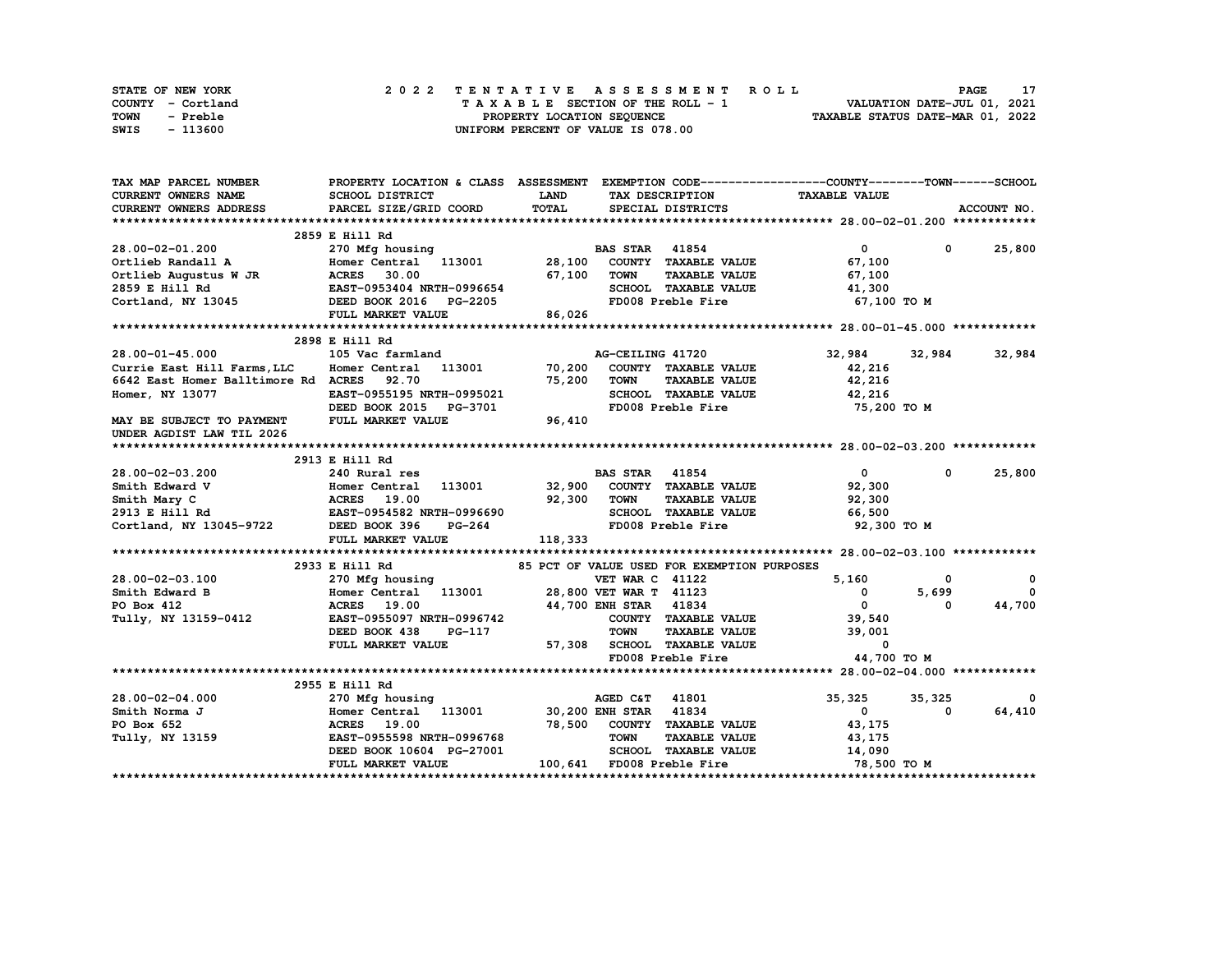| STATE OF NEW YORK | 2022 TENTATIVE ASSESSMENT ROLL     | PAGE                             |
|-------------------|------------------------------------|----------------------------------|
| COUNTY - Cortland | TAXABLE SECTION OF THE ROLL - 1    | VALUATION DATE-JUL 01, 2021      |
| TOWN<br>- Preble  | PROPERTY LOCATION SEQUENCE         | TAXABLE STATUS DATE-MAR 01, 2022 |
| - 113600<br>SWIS  | UNIFORM PERCENT OF VALUE IS 078.00 |                                  |

| TAX MAP PARCEL NUMBER                     | PROPERTY LOCATION & CLASS ASSESSMENT EXEMPTION CODE----------------COUNTY-------TOWN-----SCHOOL |                     |                                             |                      |                      |
|-------------------------------------------|-------------------------------------------------------------------------------------------------|---------------------|---------------------------------------------|----------------------|----------------------|
| CURRENT OWNERS NAME                       | SCHOOL DISTRICT                                                                                 | <b>LAND</b>         | TAX DESCRIPTION                             | <b>TAXABLE VALUE</b> |                      |
| CURRENT OWNERS ADDRESS                    | PARCEL SIZE/GRID COORD                                                                          | TOTAL               | SPECIAL DISTRICTS                           |                      | ACCOUNT NO.          |
|                                           |                                                                                                 |                     |                                             |                      |                      |
|                                           | 2859 E Hill Rd                                                                                  |                     |                                             |                      |                      |
| 28.00-02-01.200                           | 270 Mfg housing                                                                                 |                     | <b>BAS STAR</b> 41854                       | $\mathbf{0}$         | $0\qquad 25,800$     |
| Ortlieb Randall A                         | Homer Central 113001 28,100                                                                     |                     | COUNTY TAXABLE VALUE                        | 67,100               |                      |
|                                           |                                                                                                 |                     | <b>TOWN</b><br><b>TAXABLE VALUE</b>         | 67,100               |                      |
|                                           |                                                                                                 |                     | SCHOOL TAXABLE VALUE                        | 41,300               |                      |
| Cortland, NY 13045 DEED BOOK 2016 PG-2205 |                                                                                                 |                     | FD008 Preble Fire 67,100 TO M               |                      |                      |
|                                           | FULL MARKET VALUE                                                                               | 86,026              |                                             |                      |                      |
|                                           |                                                                                                 |                     |                                             |                      |                      |
|                                           | 2898 E Hill Rd                                                                                  |                     |                                             |                      |                      |
| 28.00-01-45.000                           | 105 Vac farmland                                                                                |                     | AG-CEILING 41720                            | 32,984               | 32,984<br>32,984     |
| Currie East Hill Farms, LLC               | Homer Central 113001 70,200                                                                     |                     | COUNTY TAXABLE VALUE                        | 42,216               |                      |
| 6642 East Homer Balltimore Rd ACRES       | 92.70                                                                                           | 75,200              | <b>TOWN</b><br><b>TAXABLE VALUE</b>         | 42,216               |                      |
| Homer, NY 13077                           | EAST-0955195 NRTH-0995021                                                                       |                     | SCHOOL TAXABLE VALUE<br>FD008 Preble Fire   | 42,216               |                      |
|                                           | DEED BOOK 2015 PG-3701                                                                          |                     |                                             | 75,200 TO M          |                      |
| MAY BE SUBJECT TO PAYMENT                 | FULL MARKET VALUE                                                                               | 96,410              |                                             |                      |                      |
| UNDER AGDIST LAW TIL 2026                 |                                                                                                 |                     |                                             |                      |                      |
|                                           |                                                                                                 |                     |                                             |                      |                      |
|                                           | 2913 E Hill Rd                                                                                  |                     |                                             |                      |                      |
| 28.00-02-03.200                           | 240 Rural res                                                                                   |                     | <b>BAS STAR</b> 41854                       | $\overline{0}$       | $0\qquad 25,800$     |
| Smith Edward V                            | Homer Central 113001 32,900 COUNTY TAXABLE VALUE                                                |                     |                                             | 92,300               |                      |
| Smith Mary C                              |                                                                                                 | 92,300 TOWN         | <b>TAXABLE VALUE</b>                        | 92,300               |                      |
| 2913 E Hill Rd                            | <b>ACRES      19.00<br/>EAST-0954582  NRTH-0996690</b>                                          |                     | SCHOOL TAXABLE VALUE                        | 66,500               |                      |
| Cortland, NY 13045-9722 DEED BOOK 396     |                                                                                                 | H-0996690<br>PG-264 | FD008 Preble Fire $92,300$ TO M             |                      |                      |
|                                           | FULL MARKET VALUE                                                                               | 118,333             |                                             |                      |                      |
|                                           |                                                                                                 |                     |                                             |                      |                      |
|                                           | 2933 E Hill Rd                                                                                  |                     | 85 PCT OF VALUE USED FOR EXEMPTION PURPOSES |                      |                      |
| 28.00-02-03.100                           | 270 Mfg housing                                                                                 |                     | <b>VET WAR C 41122</b>                      | 5,160                | 0<br>$^{\circ}$      |
| Smith Edward B                            |                                                                                                 |                     |                                             | $\frac{1}{0}$        | 5,699<br>$^{\circ}$  |
| PO Box 412                                | <b>ACRES</b> 19.00                                                                              |                     | 44,700 ENH STAR 41834                       | $\Omega$             | 44,700<br>$^{\circ}$ |
| Tully, NY 13159-0412                      | EAST-0955097 NRTH-0996742                                                                       |                     | COUNTY TAXABLE VALUE                        | 39,540               |                      |
|                                           | DEED BOOK 438<br>PG-117                                                                         |                     | <b>TOWN</b><br><b>TAXABLE VALUE</b>         | 39,001               |                      |
|                                           | FULL MARKET VALUE                                                                               |                     | 57,308 SCHOOL TAXABLE VALUE                 | 0                    |                      |
|                                           |                                                                                                 |                     | FD008 Preble Fire                           | 44,700 TO M          |                      |
|                                           |                                                                                                 |                     |                                             |                      |                      |
|                                           | 2955 E Hill Rd                                                                                  |                     |                                             |                      |                      |
| $28.00 - 02 - 04.000$                     | 270 Mfg housing                                                                                 |                     | AGED C&T 41801                              | 35,325               | 35,325               |
| Smith Norma J                             | Homer Central 113001 30,200 ENH STAR                                                            |                     | 41834                                       | $\mathbf{0}$         | 64,410<br>$^{\circ}$ |
| PO Box 652                                | ACRES 19.00                                                                                     |                     | 78,500 COUNTY TAXABLE VALUE                 | 43,175               |                      |
| Tully, NY 13159                           | EAST-0955598 NRTH-0996768                                                                       |                     | <b>TOWN</b><br><b>TAXABLE VALUE</b>         | 43,175               |                      |
|                                           | DEED BOOK 10604 PG-27001                                                                        |                     | SCHOOL TAXABLE VALUE 14,090                 |                      |                      |
|                                           | FULL MARKET VALUE                                                                               |                     | 100,641 FD008 Preble Fire                   | 78,500 TO M          |                      |
|                                           |                                                                                                 |                     |                                             |                      |                      |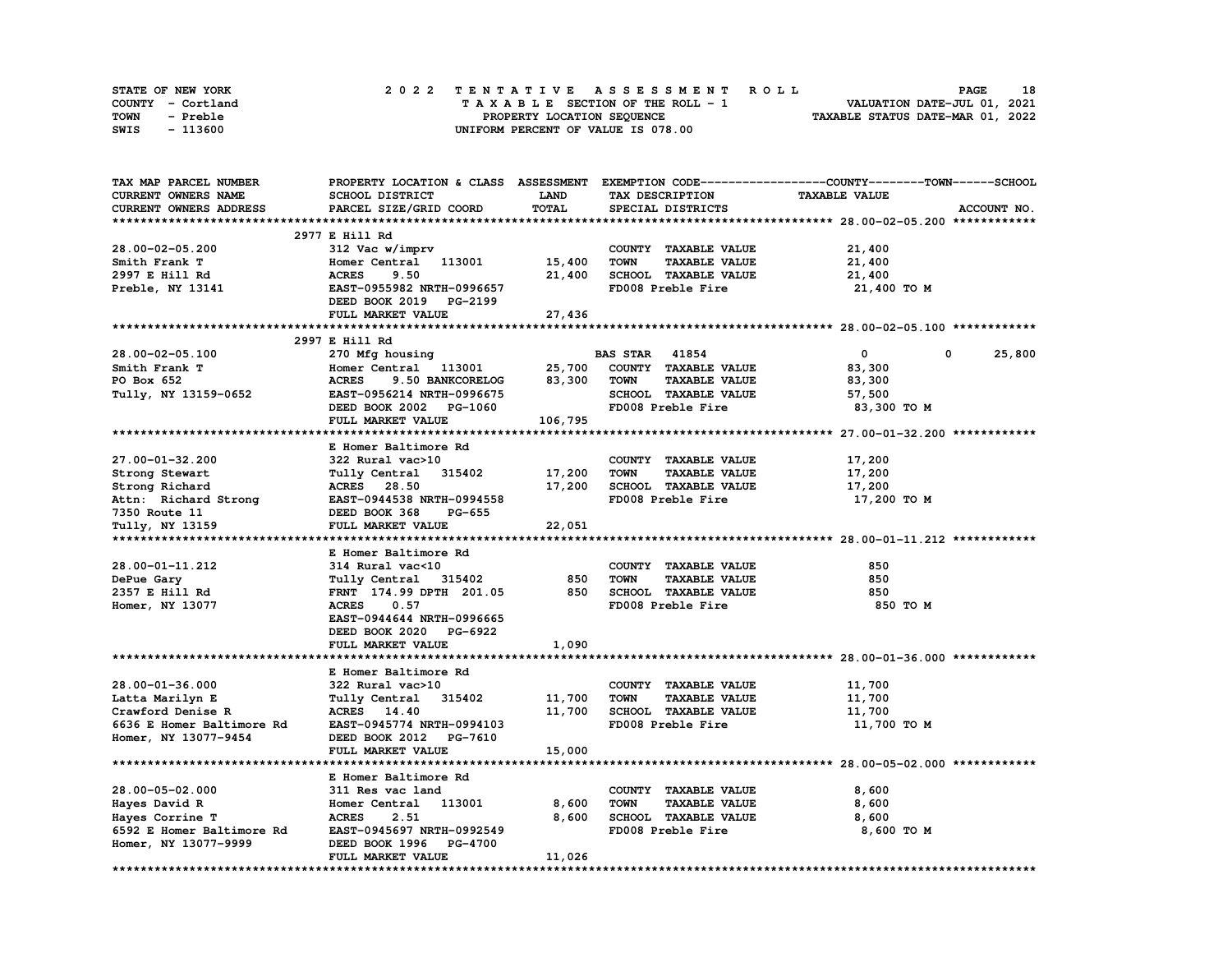| STATE OF NEW YORK | 2022 TENTATIVE ASSESSMENT ROLL     | 18<br><b>PAGE</b>                |
|-------------------|------------------------------------|----------------------------------|
| COUNTY - Cortland | TAXABLE SECTION OF THE ROLL - 1    | VALUATION DATE-JUL 01, 2021      |
| TOWN<br>- Preble  | PROPERTY LOCATION SEQUENCE         | TAXABLE STATUS DATE-MAR 01, 2022 |
| - 113600<br>SWIS  | UNIFORM PERCENT OF VALUE IS 078.00 |                                  |

| TAX MAP PARCEL NUMBER     |                                  |             |                                     | PROPERTY LOCATION & CLASS ASSESSMENT EXEMPTION CODE----------------COUNTY-------TOWN------SCHOOL |  |
|---------------------------|----------------------------------|-------------|-------------------------------------|--------------------------------------------------------------------------------------------------|--|
| CURRENT OWNERS NAME       | SCHOOL DISTRICT                  | <b>LAND</b> | TAX DESCRIPTION                     | <b>TAXABLE VALUE</b>                                                                             |  |
| CURRENT OWNERS ADDRESS    | PARCEL SIZE/GRID COORD           | TOTAL       | SPECIAL DISTRICTS                   | ACCOUNT NO.                                                                                      |  |
|                           |                                  |             |                                     |                                                                                                  |  |
|                           | 2977 E Hill Rd                   |             |                                     |                                                                                                  |  |
| 28.00-02-05.200           | 312 Vac w/imprv                  |             | COUNTY TAXABLE VALUE                | 21,400                                                                                           |  |
| Smith Frank T             | Homer Central 113001             | 15,400      | <b>TAXABLE VALUE</b><br><b>TOWN</b> | 21,400                                                                                           |  |
| 2997 E Hill Rd            | 9.50<br><b>ACRES</b>             | 21,400      | SCHOOL TAXABLE VALUE                | 21,400                                                                                           |  |
| Preble, NY 13141          | EAST-0955982 NRTH-0996657        |             | FD008 Preble Fire                   | 21,400 TO M                                                                                      |  |
|                           | DEED BOOK 2019 PG-2199           |             |                                     |                                                                                                  |  |
|                           | FULL MARKET VALUE                |             |                                     |                                                                                                  |  |
|                           |                                  | 27,436      |                                     |                                                                                                  |  |
|                           | 2997 E Hill Rd                   |             |                                     |                                                                                                  |  |
|                           |                                  |             |                                     |                                                                                                  |  |
| 28.00-02-05.100           | 270 Mfg housing                  |             | <b>BAS STAR 41854</b>               | $\mathbf{0}$<br>25,800<br>0                                                                      |  |
| Smith Frank T             | Homer Central 113001             | 25,700      | COUNTY TAXABLE VALUE                | 83,300                                                                                           |  |
| PO Box 652                | <b>ACRES</b><br>9.50 BANKCORELOG | 83,300      | <b>TOWN</b><br><b>TAXABLE VALUE</b> | 83,300                                                                                           |  |
| Tully, NY 13159-0652      | EAST-0956214 NRTH-0996675        |             | SCHOOL TAXABLE VALUE                | 57,500                                                                                           |  |
|                           | DEED BOOK 2002 PG-1060           |             | FD008 Preble Fire                   | 83,300 то м                                                                                      |  |
|                           | FULL MARKET VALUE                | 106,795     |                                     |                                                                                                  |  |
|                           |                                  |             |                                     |                                                                                                  |  |
|                           | E Homer Baltimore Rd             |             |                                     |                                                                                                  |  |
| 27.00-01-32.200           | 322 Rural vac>10                 |             | COUNTY TAXABLE VALUE                | 17,200                                                                                           |  |
| Strong Stewart            | Tully Central 315402             | 17,200      | <b>TOWN</b><br><b>TAXABLE VALUE</b> | 17,200                                                                                           |  |
| Strong Richard            | ACRES 28.50                      | 17,200      | SCHOOL TAXABLE VALUE                | 17,200                                                                                           |  |
| Attn: Richard Strong      | EAST-0944538 NRTH-0994558        |             | FD008 Preble Fire                   | 17,200 TO M                                                                                      |  |
| 7350 Route 11             | DEED BOOK 368<br>PG-655          |             |                                     |                                                                                                  |  |
| Tully, NY 13159           | FULL MARKET VALUE                | 22,051      |                                     |                                                                                                  |  |
|                           |                                  |             |                                     |                                                                                                  |  |
|                           | E Homer Baltimore Rd             |             |                                     |                                                                                                  |  |
| 28.00-01-11.212           | 314 Rural vac<10                 |             | COUNTY TAXABLE VALUE                | 850                                                                                              |  |
| DePue Gary                | Tully Central 315402             | 850         | <b>TAXABLE VALUE</b><br><b>TOWN</b> | 850                                                                                              |  |
| 2357 E Hill Rd            | FRNT 174.99 DPTH 201.05          | 850         | SCHOOL TAXABLE VALUE                | 850                                                                                              |  |
| Homer, NY 13077           | <b>ACRES</b><br>0.57             |             | FD008 Preble Fire                   | 850 TO M                                                                                         |  |
|                           | EAST-0944644 NRTH-0996665        |             |                                     |                                                                                                  |  |
|                           | DEED BOOK 2020 PG-6922           |             |                                     |                                                                                                  |  |
|                           | FULL MARKET VALUE                | 1,090       |                                     |                                                                                                  |  |
|                           |                                  |             |                                     |                                                                                                  |  |
|                           | E Homer Baltimore Rd             |             |                                     |                                                                                                  |  |
| 28.00-01-36.000           | 322 Rural vac>10                 |             | COUNTY TAXABLE VALUE                | 11,700                                                                                           |  |
|                           |                                  |             |                                     |                                                                                                  |  |
| Latta Marilyn E           | Tully Central 315402             | 11,700      | <b>TOWN</b><br><b>TAXABLE VALUE</b> | 11,700                                                                                           |  |
| Crawford Denise R         | ACRES 14.40                      | 11,700      | SCHOOL TAXABLE VALUE                | 11,700                                                                                           |  |
| 6636 E Homer Baltimore Rd | EAST-0945774 NRTH-0994103        |             | FD008 Preble Fire                   | 11,700 TO M                                                                                      |  |
| Homer, NY 13077-9454      | DEED BOOK 2012 PG-7610           |             |                                     |                                                                                                  |  |
|                           | FULL MARKET VALUE                | 15,000      |                                     |                                                                                                  |  |
|                           |                                  |             |                                     |                                                                                                  |  |
|                           | E Homer Baltimore Rd             |             |                                     |                                                                                                  |  |
| 28.00-05-02.000           | 311 Res vac land                 |             | COUNTY TAXABLE VALUE                | 8,600                                                                                            |  |
| Hayes David R             | Homer Central 113001             | 8,600       | <b>TAXABLE VALUE</b><br><b>TOWN</b> | 8,600                                                                                            |  |
| Hayes Corrine T           | <b>ACRES</b><br>2.51             | 8,600       | SCHOOL TAXABLE VALUE                | 8,600                                                                                            |  |
| 6592 E Homer Baltimore Rd | EAST-0945697 NRTH-0992549        |             | FD008 Preble Fire                   | 8,600 TO M                                                                                       |  |
| Homer, NY 13077-9999      | DEED BOOK 1996 PG-4700           |             |                                     |                                                                                                  |  |
|                           | FULL MARKET VALUE                | 11,026      |                                     |                                                                                                  |  |
|                           |                                  |             |                                     |                                                                                                  |  |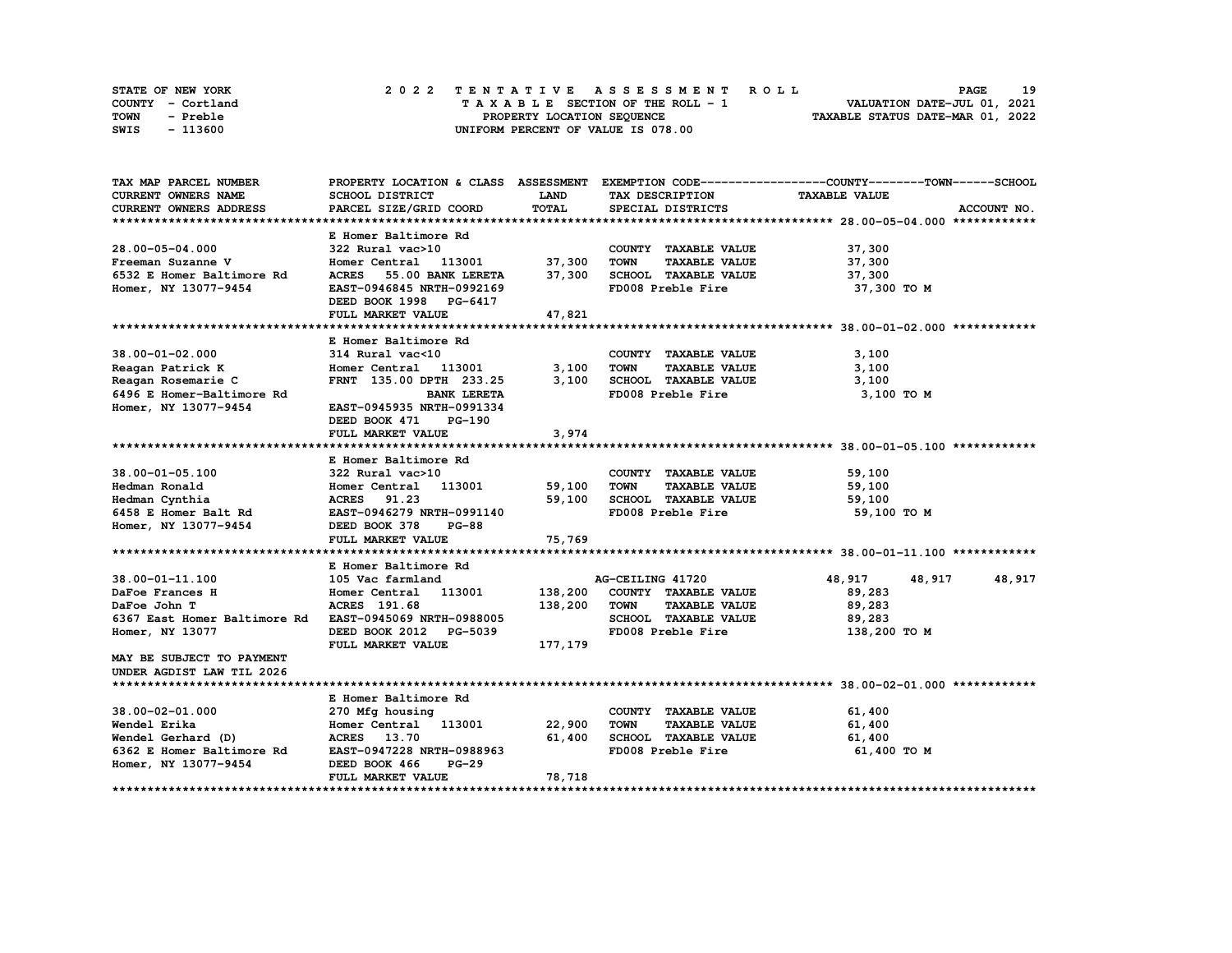| STATE OF NEW YORK | 2022 TENTATIVE ASSESSMENT ROLL     | 19<br><b>PAGE</b>                |
|-------------------|------------------------------------|----------------------------------|
| COUNTY - Cortland | TAXABLE SECTION OF THE ROLL - 1    | VALUATION DATE-JUL 01, 2021      |
| TOWN<br>- Preble  | PROPERTY LOCATION SEQUENCE         | TAXABLE STATUS DATE-MAR 01, 2022 |
| SWIS<br>- 113600  | UNIFORM PERCENT OF VALUE IS 078.00 |                                  |

| TAX MAP PARCEL NUMBER                                  |                                |             |                                     | PROPERTY LOCATION & CLASS ASSESSMENT EXEMPTION CODE----------------COUNTY-------TOWN------SCHOOL |
|--------------------------------------------------------|--------------------------------|-------------|-------------------------------------|--------------------------------------------------------------------------------------------------|
| <b>CURRENT OWNERS NAME</b>                             | <b>SCHOOL DISTRICT</b>         | <b>LAND</b> | TAX DESCRIPTION                     | <b>TAXABLE VALUE</b>                                                                             |
| CURRENT OWNERS ADDRESS                                 | PARCEL SIZE/GRID COORD         | TOTAL       | SPECIAL DISTRICTS                   | ACCOUNT NO.                                                                                      |
|                                                        |                                |             |                                     |                                                                                                  |
|                                                        | E Homer Baltimore Rd           |             |                                     |                                                                                                  |
| 28.00-05-04.000                                        | 322 Rural vac>10               |             | COUNTY TAXABLE VALUE                | 37,300                                                                                           |
| Freeman Suzanne V                                      | Homer Central 113001 37,300    |             | <b>TOWN</b><br><b>TAXABLE VALUE</b> | 37,300                                                                                           |
| 6532 E Homer Baltimore Rd                              | ACRES 55.00 BANK LERETA        | 37,300      | SCHOOL TAXABLE VALUE                | 37,300                                                                                           |
| Homer, NY 13077-9454                                   | EAST-0946845 NRTH-0992169      |             | FD008 Preble Fire                   | 37,300 TO M                                                                                      |
|                                                        | DEED BOOK 1998 PG-6417         |             |                                     |                                                                                                  |
|                                                        | FULL MARKET VALUE              | 47,821      |                                     |                                                                                                  |
|                                                        |                                |             |                                     |                                                                                                  |
|                                                        |                                |             |                                     |                                                                                                  |
|                                                        | E Homer Baltimore Rd           |             |                                     |                                                                                                  |
| $38.00 - 01 - 02.000$                                  | 314 Rural vac<10               |             | COUNTY TAXABLE VALUE                | 3,100                                                                                            |
| Reagan Patrick K                                       | Homer Central 113001           | 3,100       | <b>TOWN</b><br><b>TAXABLE VALUE</b> | 3,100                                                                                            |
| Reagan Rosemarie C                                     | FRNT 135.00 DPTH 233.25        | 3,100       | SCHOOL TAXABLE VALUE                | 3,100                                                                                            |
| 6496 E Homer-Baltimore Rd                              | <b>BANK LERETA</b>             |             | FD008 Preble Fire                   | 3,100 TO M                                                                                       |
| Homer, NY 13077-9454                                   | EAST-0945935 NRTH-0991334      |             |                                     |                                                                                                  |
|                                                        | DEED BOOK 471<br><b>PG-190</b> |             |                                     |                                                                                                  |
|                                                        | FULL MARKET VALUE              | 3,974       |                                     |                                                                                                  |
|                                                        |                                |             |                                     |                                                                                                  |
|                                                        | E Homer Baltimore Rd           |             |                                     |                                                                                                  |
| 38.00-01-05.100                                        | 322 Rural vac>10               |             | COUNTY TAXABLE VALUE                | 59,100                                                                                           |
| Hedman Ronald                                          | Homer Central 113001           | 59,100      | <b>TOWN</b><br><b>TAXABLE VALUE</b> | 59,100                                                                                           |
| Hedman Cynthia                                         | ACRES 91.23                    | 59,100      | SCHOOL TAXABLE VALUE 59,100         |                                                                                                  |
| 6458 E Homer Balt Rd                                   | EAST-0946279 NRTH-0991140      |             | FD008 Preble Fire                   | 59,100 TO M                                                                                      |
| Homer, NY 13077-9454                                   | DEED BOOK 378<br>$PG-88$       |             |                                     |                                                                                                  |
|                                                        | FULL MARKET VALUE              | 75,769      |                                     |                                                                                                  |
|                                                        |                                |             |                                     |                                                                                                  |
|                                                        | E Homer Baltimore Rd           |             |                                     |                                                                                                  |
| 38.00-01-11.100                                        | 105 Vac farmland               |             | AG-CEILING 41720                    | 48,917 48,917<br>48,917                                                                          |
| DaFoe Frances H                                        | Homer Central 113001 138,200   |             | COUNTY TAXABLE VALUE                | 89,283                                                                                           |
|                                                        |                                |             |                                     |                                                                                                  |
| DaFoe John T                                           | ACRES 191.68                   | 138,200     | <b>TOWN</b><br><b>TAXABLE VALUE</b> | 89,283                                                                                           |
| 6367 East Homer Baltimore Rd EAST-0945069 NRTH-0988005 |                                |             | SCHOOL TAXABLE VALUE                | 89,283                                                                                           |
| Homer, NY 13077                                        | DEED BOOK 2012 PG-5039         |             | FD008 Preble Fire                   | 138,200 TO M                                                                                     |
|                                                        | FULL MARKET VALUE              | 177,179     |                                     |                                                                                                  |
| MAY BE SUBJECT TO PAYMENT                              |                                |             |                                     |                                                                                                  |
| UNDER AGDIST LAW TIL 2026                              |                                |             |                                     |                                                                                                  |
|                                                        |                                |             |                                     |                                                                                                  |
|                                                        | E Homer Baltimore Rd           |             |                                     |                                                                                                  |
| 38.00-02-01.000                                        | 270 Mfg housing                |             | COUNTY TAXABLE VALUE                | 61,400                                                                                           |
| Wendel Erika                                           | Homer Central 113001 22,900    |             | <b>TOWN</b><br><b>TAXABLE VALUE</b> | 61,400                                                                                           |
| Wendel Gerhard (D)                                     | ACRES 13.70                    | 61,400      | SCHOOL TAXABLE VALUE 61,400         |                                                                                                  |
| 6362 E Homer Baltimore Rd                              | EAST-0947228 NRTH-0988963      |             | FD008 Preble Fire                   | 61,400 TO M                                                                                      |
| Homer, NY 13077-9454                                   | $PG-29$<br>DEED BOOK 466       |             |                                     |                                                                                                  |
|                                                        | FULL MARKET VALUE              | 78,718      |                                     |                                                                                                  |
|                                                        |                                |             |                                     |                                                                                                  |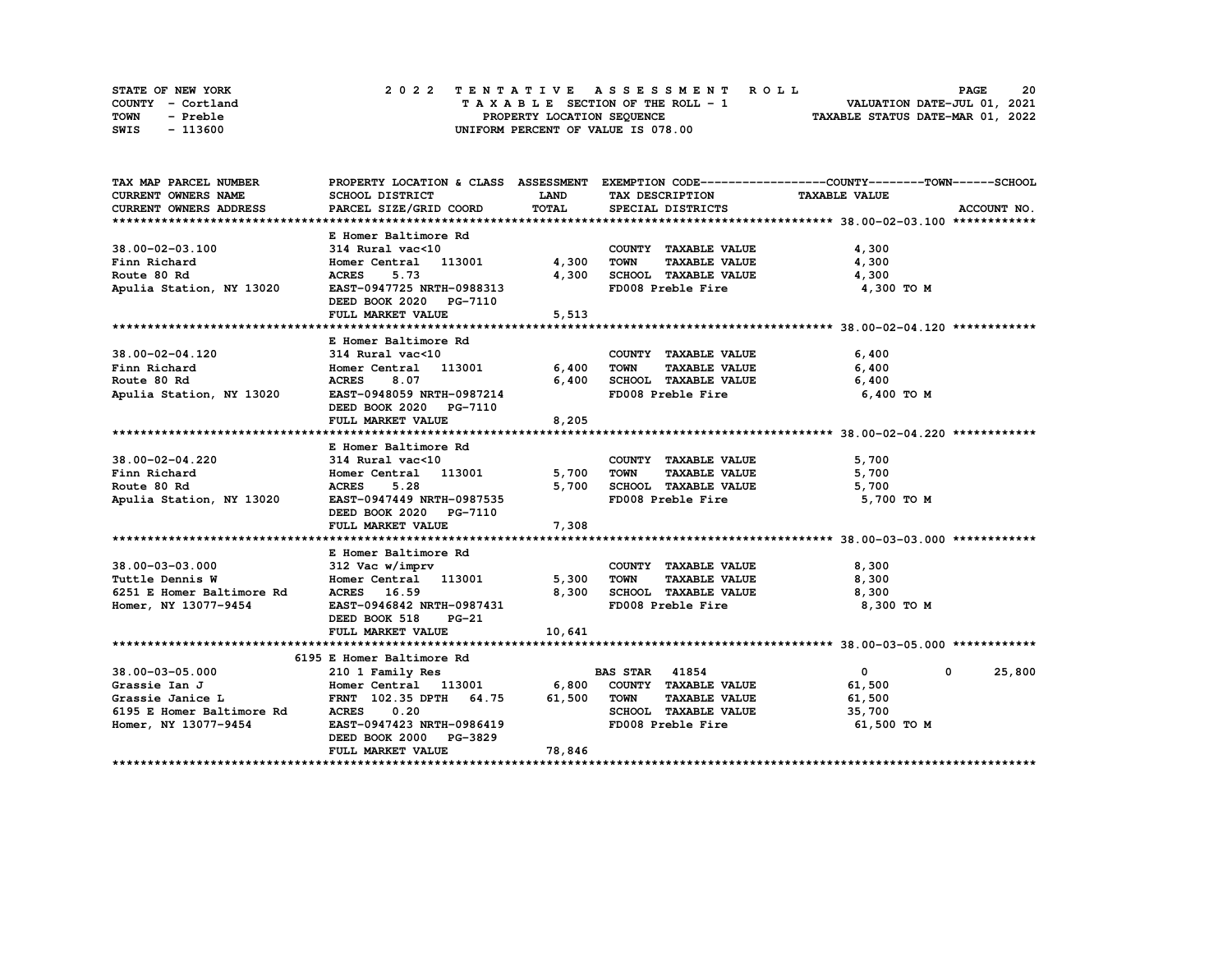| STATE OF NEW YORK | 2022 TENTATIVE ASSESSMENT ROLL     | 20<br><b>PAGE</b>                |
|-------------------|------------------------------------|----------------------------------|
| COUNTY - Cortland | TAXABLE SECTION OF THE ROLL - 1    | VALUATION DATE-JUL 01, 2021      |
| TOWN<br>- Preble  | PROPERTY LOCATION SEQUENCE         | TAXABLE STATUS DATE-MAR 01, 2022 |
| - 113600<br>SWIS  | UNIFORM PERCENT OF VALUE IS 078.00 |                                  |

| TAX MAP PARCEL NUMBER                                                                                |                                                 |              |                                                                      | PROPERTY LOCATION & CLASS ASSESSMENT EXEMPTION CODE-----------------COUNTY-------TOWN-----SCHOOL |
|------------------------------------------------------------------------------------------------------|-------------------------------------------------|--------------|----------------------------------------------------------------------|--------------------------------------------------------------------------------------------------|
| <b>CURRENT OWNERS NAME</b>                                                                           | SCHOOL DISTRICT                                 | <b>LAND</b>  | TAX DESCRIPTION TAXABLE VALUE                                        |                                                                                                  |
| <b>CURRENT OWNERS ADDRESS</b>                                                                        | PARCEL SIZE/GRID COORD                          | <b>TOTAL</b> | SPECIAL DISTRICTS                                                    | ACCOUNT NO.                                                                                      |
|                                                                                                      |                                                 |              |                                                                      |                                                                                                  |
|                                                                                                      | E Homer Baltimore Rd                            |              |                                                                      |                                                                                                  |
| 38.00-02-03.100                                                                                      | 314 Rural vac<10<br>Homer Central 113001 4,300  |              | COUNTY TAXABLE VALUE                                                 | 4,300                                                                                            |
| Finn Richard                                                                                         |                                                 |              | TOWN<br><b>TAXABLE VALUE</b>                                         | 4,300                                                                                            |
|                                                                                                      |                                                 | 4,300        | SCHOOL TAXABLE VALUE                                                 | 4,300                                                                                            |
| Route 80 Rd<br>Apulia Station, NY 13020 EAST-0947725 NRTH-0988313                                    |                                                 |              | FD008 Preble Fire                                                    | 4,300 TO M                                                                                       |
|                                                                                                      | DEED BOOK 2020 PG-7110                          |              |                                                                      |                                                                                                  |
|                                                                                                      | FULL MARKET VALUE                               | 5,513        |                                                                      |                                                                                                  |
|                                                                                                      |                                                 |              |                                                                      |                                                                                                  |
|                                                                                                      | E Homer Baltimore Rd                            |              |                                                                      |                                                                                                  |
| 38.00-02-04.120                                                                                      | $314$ Rural vac<10                              |              | COUNTY TAXABLE VALUE 6,400                                           |                                                                                                  |
| Finn Richard                                                                                         | Homer Central 113001 6,400<br>ACRES 8.07 6 400  |              | <b>TOWN</b><br>TAXABLE VALUE                                         | 6,400                                                                                            |
|                                                                                                      |                                                 |              |                                                                      |                                                                                                  |
|                                                                                                      |                                                 |              | 6,400 SCHOOL TAXABLE VALUE $6,400$<br>FD008 Preble Fire $6,400$ TO M |                                                                                                  |
|                                                                                                      | DEED BOOK 2020 PG-7110                          |              |                                                                      |                                                                                                  |
|                                                                                                      | FULL MARKET VALUE                               | 8,205        |                                                                      |                                                                                                  |
|                                                                                                      |                                                 |              |                                                                      |                                                                                                  |
|                                                                                                      | E Homer Baltimore Rd                            |              |                                                                      |                                                                                                  |
| 38.00-02-04.220                                                                                      | 314 Rural vac<10                                |              | COUNTY TAXABLE VALUE                                                 | 5,700                                                                                            |
| Finn Richard                                                                                         | 314 Rural vac<10<br>Homer Central 113001        | 5,700        | TAXABLE VALUE<br>TOWN                                                | 5,700                                                                                            |
|                                                                                                      | 5.28<br><b>ACRES</b>                            | 5,700        | SCHOOL TAXABLE VALUE                                                 | 5,700                                                                                            |
| Route 80 Rd<br>Apulia Station, NY 13020                                                              | EAST-0947449 NRTH-0987535                       |              | FD008 Preble Fire                                                    | 5,700 TO M                                                                                       |
|                                                                                                      | DEED BOOK 2020 PG-7110                          |              |                                                                      |                                                                                                  |
|                                                                                                      | FULL MARKET VALUE                               | 7,308        |                                                                      |                                                                                                  |
|                                                                                                      |                                                 |              |                                                                      |                                                                                                  |
|                                                                                                      | E Homer Baltimore Rd                            |              |                                                                      |                                                                                                  |
|                                                                                                      |                                                 |              | COUNTY TAXABLE VALUE                                                 | 8,300                                                                                            |
| 38.00-03-03.000 $312$ Vac w/imprv<br>muttle Dennis W Homer Central 113001 5,300<br>$312$ Vac w/imprv |                                                 |              | TOWN<br><b>TAXABLE VALUE</b>                                         | 8,300                                                                                            |
| 6251 E Homer Baltimore Rd ACRES 16.59                                                                |                                                 | 8,300        | SCHOOL TAXABLE VALUE                                                 | 8,300                                                                                            |
| Homer, NY 13077-9454                                                                                 | EAST-0946842 NRTH-0987431                       |              | FD008 Preble Fire                                                    | 8,300 TO M                                                                                       |
|                                                                                                      | DEED BOOK 518<br>PG-21                          |              |                                                                      |                                                                                                  |
|                                                                                                      | FULL MARKET VALUE                               | 10,641       |                                                                      |                                                                                                  |
|                                                                                                      |                                                 |              |                                                                      |                                                                                                  |
|                                                                                                      | 6195 E Homer Baltimore Rd                       |              |                                                                      |                                                                                                  |
| 38.00-03-05.000                                                                                      | 210 1 Family Res                                |              | <b>BAS STAR 41854</b>                                                | $\overline{\mathbf{0}}$<br>$0\qquad 25,800$                                                      |
| Grassie Ian J                                                                                        | Homer Central 113001 6,800 COUNTY TAXABLE VALUE |              |                                                                      | 61,500                                                                                           |
|                                                                                                      | FRNT 102.35 DPTH 64.75 61,500 TOWN              |              | TAXABLE VALUE                                                        | 61,500                                                                                           |
|                                                                                                      |                                                 |              | SCHOOL TAXABLE VALUE                                                 | 35,700                                                                                           |
| Homer, NY 13077-9454                                                                                 | EAST-0947423 NRTH-0986419                       |              | FD008 Preble Fire 61,500 TO M                                        |                                                                                                  |
|                                                                                                      | DEED BOOK 2000 PG-3829                          |              |                                                                      |                                                                                                  |
|                                                                                                      | FULL MARKET VALUE                               | 78,846       |                                                                      |                                                                                                  |
|                                                                                                      |                                                 |              |                                                                      |                                                                                                  |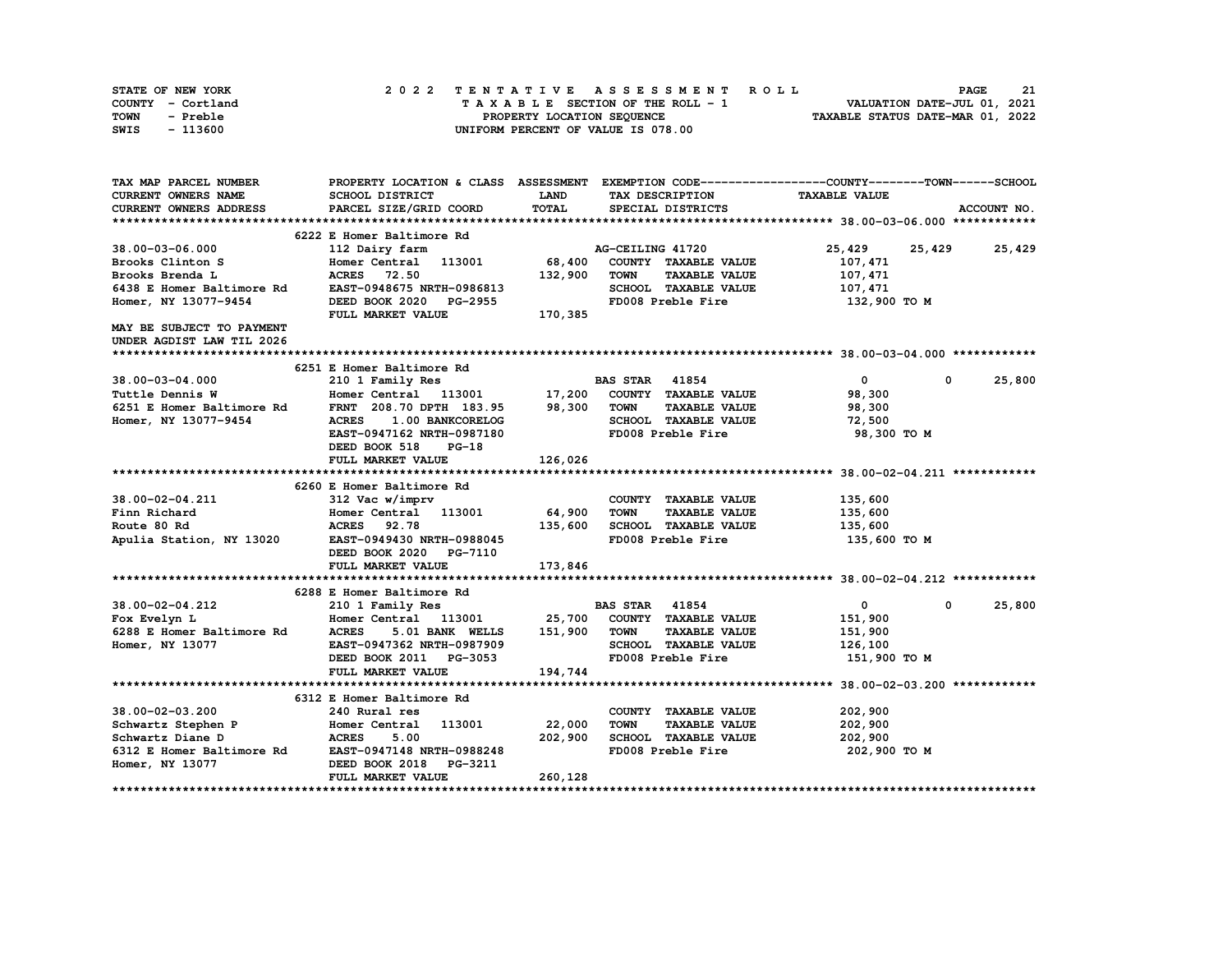| STATE OF NEW YORK | 2022 TENTATIVE ASSESSMENT ROLL     | 21<br><b>PAGE</b>                |
|-------------------|------------------------------------|----------------------------------|
| COUNTY - Cortland | TAXABLE SECTION OF THE ROLL - 1    | VALUATION DATE-JUL 01, 2021      |
| TOWN<br>- Preble  | PROPERTY LOCATION SEQUENCE         | TAXABLE STATUS DATE-MAR 01, 2022 |
| - 113600<br>SWIS  | UNIFORM PERCENT OF VALUE IS 078.00 |                                  |

| TAX MAP PARCEL NUMBER                                                      | PROPERTY LOCATION & CLASS ASSESSMENT EXEMPTION CODE----------------COUNTY-------TOWN-----SCHOOL |              |                       |                                              |                      |               |             |
|----------------------------------------------------------------------------|-------------------------------------------------------------------------------------------------|--------------|-----------------------|----------------------------------------------|----------------------|---------------|-------------|
| <b>CURRENT OWNERS NAME</b>                                                 | <b>SCHOOL DISTRICT</b>                                                                          | LAND         |                       | TAX DESCRIPTION                              | <b>TAXABLE VALUE</b> |               |             |
| <b>CURRENT OWNERS ADDRESS</b>                                              | PARCEL SIZE/GRID COORD                                                                          | <b>TOTAL</b> |                       | SPECIAL DISTRICTS                            |                      |               | ACCOUNT NO. |
|                                                                            |                                                                                                 |              |                       |                                              |                      |               |             |
|                                                                            | 6222 E Homer Baltimore Rd                                                                       |              |                       |                                              |                      |               |             |
| $38.00 - 03 - 06.000$                                                      | 112 Dairy farm                                                                                  |              | AG-CEILING 41720      |                                              | 25,429               | 25,429 25,429 |             |
| Brooks Clinton S                                                           | Homer Central 113001                                                                            | 68,400       |                       | COUNTY TAXABLE VALUE                         | 107,471              |               |             |
| Brooks Brenda L                                                            | <b>ACRES</b> 72.50                                                                              | 132,900      | <b>TOWN</b>           | <b>TAXABLE VALUE</b>                         | 107,471              |               |             |
| 6438 E Homer Baltimore Rd                                                  | EAST-0948675 NRTH-0986813                                                                       |              |                       | SCHOOL TAXABLE VALUE                         | 107,471              |               |             |
| Homer, NY 13077-9454                                                       | DEED BOOK 2020 PG-2955                                                                          |              |                       | FD008 Preble Fire                            | 132,900 TO M         |               |             |
|                                                                            | FULL MARKET VALUE                                                                               | 170,385      |                       |                                              |                      |               |             |
| MAY BE SUBJECT TO PAYMENT                                                  |                                                                                                 |              |                       |                                              |                      |               |             |
| UNDER AGDIST LAW TIL 2026                                                  |                                                                                                 |              |                       |                                              |                      |               |             |
|                                                                            |                                                                                                 |              |                       |                                              |                      |               |             |
|                                                                            | 6251 E Homer Baltimore Rd                                                                       |              |                       |                                              |                      |               |             |
| 38.00-03-04.000                                                            | 210 1 Family Res                                                                                |              | <b>BAS STAR</b> 41854 |                                              | $\mathbf{0}$         | $\mathbf{0}$  | 25,800      |
| 30.00-03-03.000<br>Tuttle Dennis W<br>6251 E Homer Baltimore Rd            | Homer Central 113001 17,200                                                                     |              |                       | COUNTY TAXABLE VALUE                         | 98,300               |               |             |
|                                                                            | FRNT 208.70 DPTH 183.95 98,300 TOWN                                                             |              |                       | <b>TAXABLE VALUE</b>                         | 98,300               |               |             |
| Homer, NY 13077-9454                                                       | <b>ACRES</b><br>1.00 BANKCORELOG                                                                |              |                       | SCHOOL TAXABLE VALUE                         | 72,500               |               |             |
|                                                                            | EAST-0947162 NRTH-0987180                                                                       |              |                       | FD008 Preble Fire                            | 98,300 TO M          |               |             |
|                                                                            | DEED BOOK 518<br>$PG-18$                                                                        |              |                       |                                              |                      |               |             |
|                                                                            |                                                                                                 | 126,026      |                       |                                              |                      |               |             |
|                                                                            | FULL MARKET VALUE                                                                               |              |                       |                                              |                      |               |             |
|                                                                            |                                                                                                 |              |                       |                                              |                      |               |             |
|                                                                            | 6260 E Homer Baltimore Rd                                                                       |              |                       |                                              |                      |               |             |
| 38.00-02-04.211<br>Finn Richard                                            | 312 Vac w/imprv<br>Homer Central 113001 64,900                                                  |              | <b>TOWN</b>           | COUNTY TAXABLE VALUE<br><b>TAXABLE VALUE</b> | 135,600              |               |             |
|                                                                            |                                                                                                 |              |                       |                                              | 135,600              |               |             |
| Route 80 Rd                                                                | ACRES 92.78                                                                                     | 135,600      |                       | SCHOOL TAXABLE VALUE                         | 135,600              |               |             |
| Apulia Station, NY 13020                                                   | EAST-0949430 NRTH-0988045                                                                       |              |                       | FD008 Preble Fire                            | 135,600 то м         |               |             |
|                                                                            | DEED BOOK 2020 PG-7110                                                                          |              |                       |                                              |                      |               |             |
|                                                                            | FULL MARKET VALUE                                                                               | 173,846      |                       |                                              |                      |               |             |
|                                                                            |                                                                                                 |              |                       |                                              |                      |               |             |
|                                                                            | 6288 E Homer Baltimore Rd                                                                       |              |                       |                                              |                      |               |             |
| 38.00-02-04.212                                                            | 210 1 Family Res                                                                                |              | <b>BAS STAR 41854</b> |                                              | $\mathbf{0}$         | 0             | 25,800      |
| Fox Evelyn L                                                               | Homer Central 113001                                                                            |              |                       | 25,700 COUNTY TAXABLE VALUE                  | 151,900              |               |             |
| 6288 E Homer Baltimore Rd                                                  | <b>ACRES</b><br>5.01 BANK WELLS                                                                 | 151,900      | <b>TOWN</b>           | <b>TAXABLE VALUE</b>                         | 151,900              |               |             |
| Homer, NY 13077                                                            | EAST-0947362 NRTH-0987909                                                                       |              |                       | SCHOOL TAXABLE VALUE                         | 126,100              |               |             |
|                                                                            | DEED BOOK 2011 PG-3053                                                                          |              |                       | FD008 Preble Fire                            | 151,900 то м         |               |             |
|                                                                            | FULL MARKET VALUE                                                                               | 194,744      |                       |                                              |                      |               |             |
|                                                                            |                                                                                                 |              |                       |                                              |                      |               |             |
|                                                                            | 6312 E Homer Baltimore Rd                                                                       |              |                       |                                              |                      |               |             |
| 38.00-02-03.200                                                            | 240 Rural res                                                                                   |              |                       | COUNTY TAXABLE VALUE                         | 202,900              |               |             |
| Schwartz Stephen P Momer Central                                           | 113001 22,000                                                                                   |              | <b>TOWN</b>           | <b>TAXABLE VALUE</b>                         | 202,900              |               |             |
| Schwartz Diane D<br>6312 E Homer Baltimore Rd<br>EAST-0947148 NRTH-0988248 |                                                                                                 | 202,900      |                       | SCHOOL TAXABLE VALUE                         | 202,900              |               |             |
|                                                                            |                                                                                                 |              |                       | FD008 Preble Fire                            | 202,900 то м         |               |             |
| Homer, NY 13077                                                            | PG-3211<br>DEED BOOK 2018                                                                       |              |                       |                                              |                      |               |             |
|                                                                            | FULL MARKET VALUE                                                                               | 260,128      |                       |                                              |                      |               |             |
|                                                                            |                                                                                                 |              |                       |                                              |                      |               |             |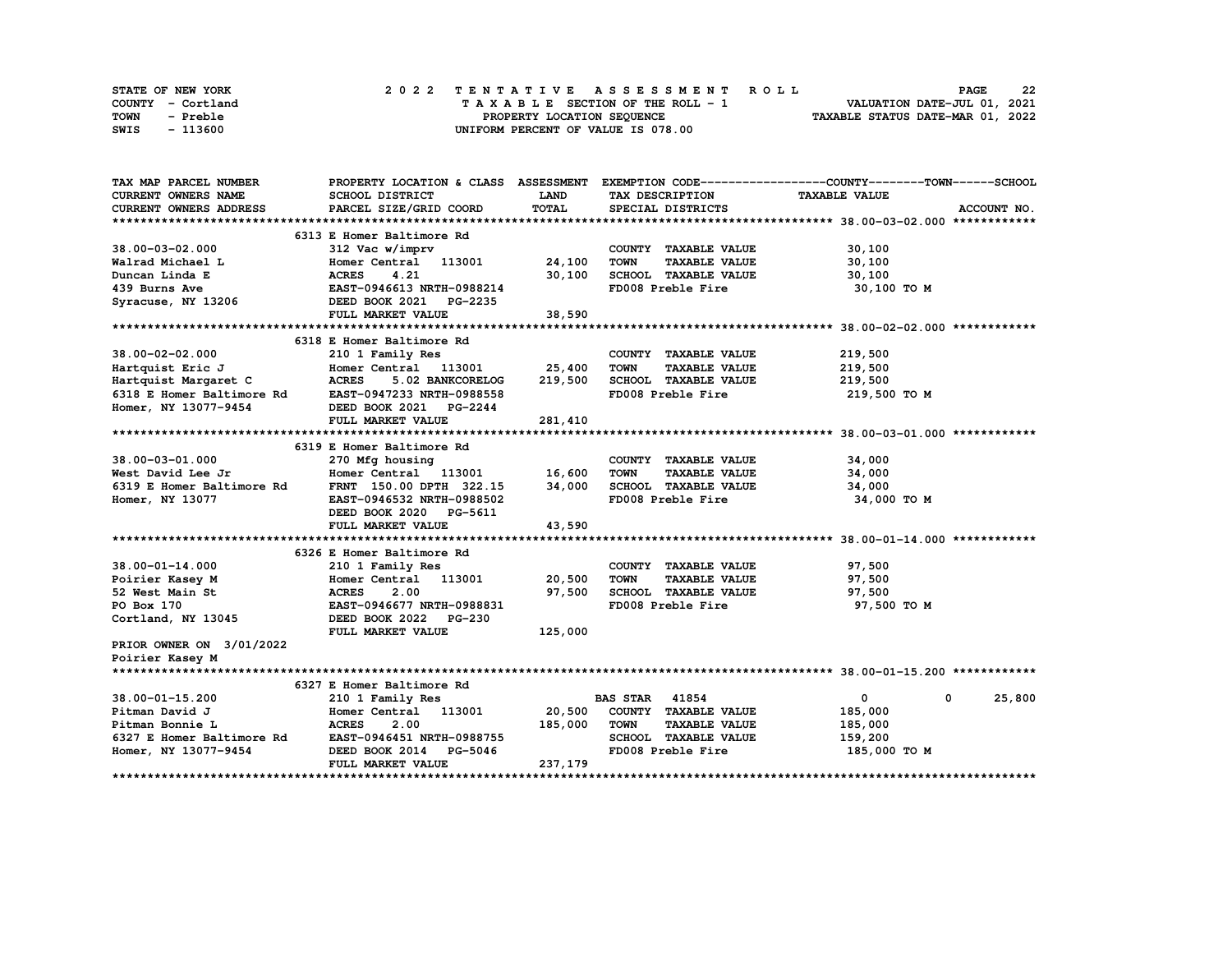| STATE OF NEW YORK | 2022 TENTATIVE ASSESSMENT ROLL     | 22<br><b>PAGE</b>                |
|-------------------|------------------------------------|----------------------------------|
| COUNTY - Cortland | TAXABLE SECTION OF THE ROLL - 1    | VALUATION DATE-JUL 01, 2021      |
| TOWN<br>- Preble  | PROPERTY LOCATION SEQUENCE         | TAXABLE STATUS DATE-MAR 01, 2022 |
| - 113600<br>SWIS  | UNIFORM PERCENT OF VALUE IS 078.00 |                                  |

| TAX MAP PARCEL NUMBER         | PROPERTY LOCATION & CLASS ASSESSMENT |             |                                     | EXEMPTION CODE-----------------COUNTY-------TOWN------SCHOOL |
|-------------------------------|--------------------------------------|-------------|-------------------------------------|--------------------------------------------------------------|
| <b>CURRENT OWNERS NAME</b>    | SCHOOL DISTRICT                      | <b>LAND</b> | TAX DESCRIPTION                     | <b>TAXABLE VALUE</b>                                         |
| <b>CURRENT OWNERS ADDRESS</b> | PARCEL SIZE/GRID COORD               | TOTAL       | SPECIAL DISTRICTS                   | ACCOUNT NO.                                                  |
|                               |                                      |             |                                     |                                                              |
|                               | 6313 E Homer Baltimore Rd            |             |                                     |                                                              |
| 38.00-03-02.000               | 312 Vac w/imprv                      |             | COUNTY TAXABLE VALUE                | 30,100                                                       |
| Walrad Michael L              | Homer Central 113001                 | 24,100      | <b>TOWN</b><br><b>TAXABLE VALUE</b> | 30,100                                                       |
| Duncan Linda E                | 4.21<br><b>ACRES</b>                 | 30,100      | SCHOOL TAXABLE VALUE                | 30,100                                                       |
| 439 Burns Ave                 | EAST-0946613 NRTH-0988214            |             | FD008 Preble Fire                   | 30,100 TO M                                                  |
| Syracuse, NY 13206            | DEED BOOK 2021 PG-2235               |             |                                     |                                                              |
|                               | FULL MARKET VALUE                    | 38,590      |                                     |                                                              |
|                               |                                      |             |                                     |                                                              |
|                               | 6318 E Homer Baltimore Rd            |             |                                     |                                                              |
| $38.00 - 02 - 02.000$         | 210 1 Family Res                     |             | COUNTY TAXABLE VALUE                | 219,500                                                      |
| Hartquist Eric J              | Homer Central 113001                 | 25,400      | <b>TOWN</b><br><b>TAXABLE VALUE</b> | 219,500                                                      |
| Hartquist Margaret C          | <b>ACRES</b><br>5.02 BANKCORELOG     | 219,500     | SCHOOL TAXABLE VALUE                | 219,500                                                      |
| 6318 E Homer Baltimore Rd     | EAST-0947233 NRTH-0988558            |             | FD008 Preble Fire                   | 219,500 то м                                                 |
| Homer, NY 13077-9454          | DEED BOOK 2021 PG-2244               |             |                                     |                                                              |
|                               | FULL MARKET VALUE                    | 281,410     |                                     |                                                              |
|                               |                                      |             |                                     |                                                              |
|                               | 6319 E Homer Baltimore Rd            |             |                                     |                                                              |
| 38.00-03-01.000               | 270 Mfg housing                      |             | COUNTY TAXABLE VALUE                | 34,000                                                       |
| West David Lee Jr             | Homer Central 113001 16,600          |             | <b>TOWN</b><br><b>TAXABLE VALUE</b> | 34,000                                                       |
| 6319 E Homer Baltimore Rd     | FRNT 150.00 DPTH 322.15              | 34,000      | SCHOOL TAXABLE VALUE                | 34,000                                                       |
| Homer, NY 13077               | EAST-0946532 NRTH-0988502            |             | FD008 Preble Fire                   | 34,000 TO M                                                  |
|                               | DEED BOOK 2020 PG-5611               |             |                                     |                                                              |
|                               | FULL MARKET VALUE                    | 43,590      |                                     |                                                              |
|                               |                                      |             |                                     |                                                              |
|                               | 6326 E Homer Baltimore Rd            |             |                                     |                                                              |
| 38.00-01-14.000               |                                      |             | COUNTY TAXABLE VALUE                | 97,500                                                       |
|                               | 210 1 Family Res                     |             |                                     |                                                              |
| Poirier Kasey M               | Homer Central 113001                 | 20,500      | <b>TOWN</b><br><b>TAXABLE VALUE</b> | 97,500                                                       |
| 52 West Main St               | <b>ACRES</b><br>2.00                 | 97,500      | SCHOOL TAXABLE VALUE                | 97,500                                                       |
| PO Box 170                    | EAST-0946677 NRTH-0988831            |             | FD008 Preble Fire                   | 97,500 TO M                                                  |
| Cortland, NY 13045            | DEED BOOK 2022 PG-230                |             |                                     |                                                              |
|                               | FULL MARKET VALUE                    | 125,000     |                                     |                                                              |
| PRIOR OWNER ON 3/01/2022      |                                      |             |                                     |                                                              |
| Poirier Kasey M               |                                      |             |                                     |                                                              |
|                               |                                      |             |                                     |                                                              |
|                               | 6327 E Homer Baltimore Rd            |             |                                     |                                                              |
| 38.00-01-15.200               | 210 1 Family Res                     |             | <b>BAS STAR 41854</b>               | $\overline{0}$<br>25,800<br>$^{\circ}$                       |
| Pitman David J                | Homer Central 113001                 | 20,500      | COUNTY TAXABLE VALUE                | 185,000                                                      |
| Pitman Bonnie L               | 2.00<br><b>ACRES</b>                 | 185,000     | <b>TOWN</b><br><b>TAXABLE VALUE</b> | 185,000                                                      |
| 6327 E Homer Baltimore Rd     | EAST-0946451 NRTH-0988755            |             | SCHOOL TAXABLE VALUE                | 159,200                                                      |
| Homer, NY 13077-9454          | DEED BOOK 2014 PG-5046               |             | FD008 Preble Fire                   | 185,000 TO M                                                 |
|                               | FULL MARKET VALUE                    | 237,179     |                                     |                                                              |
|                               |                                      |             |                                     |                                                              |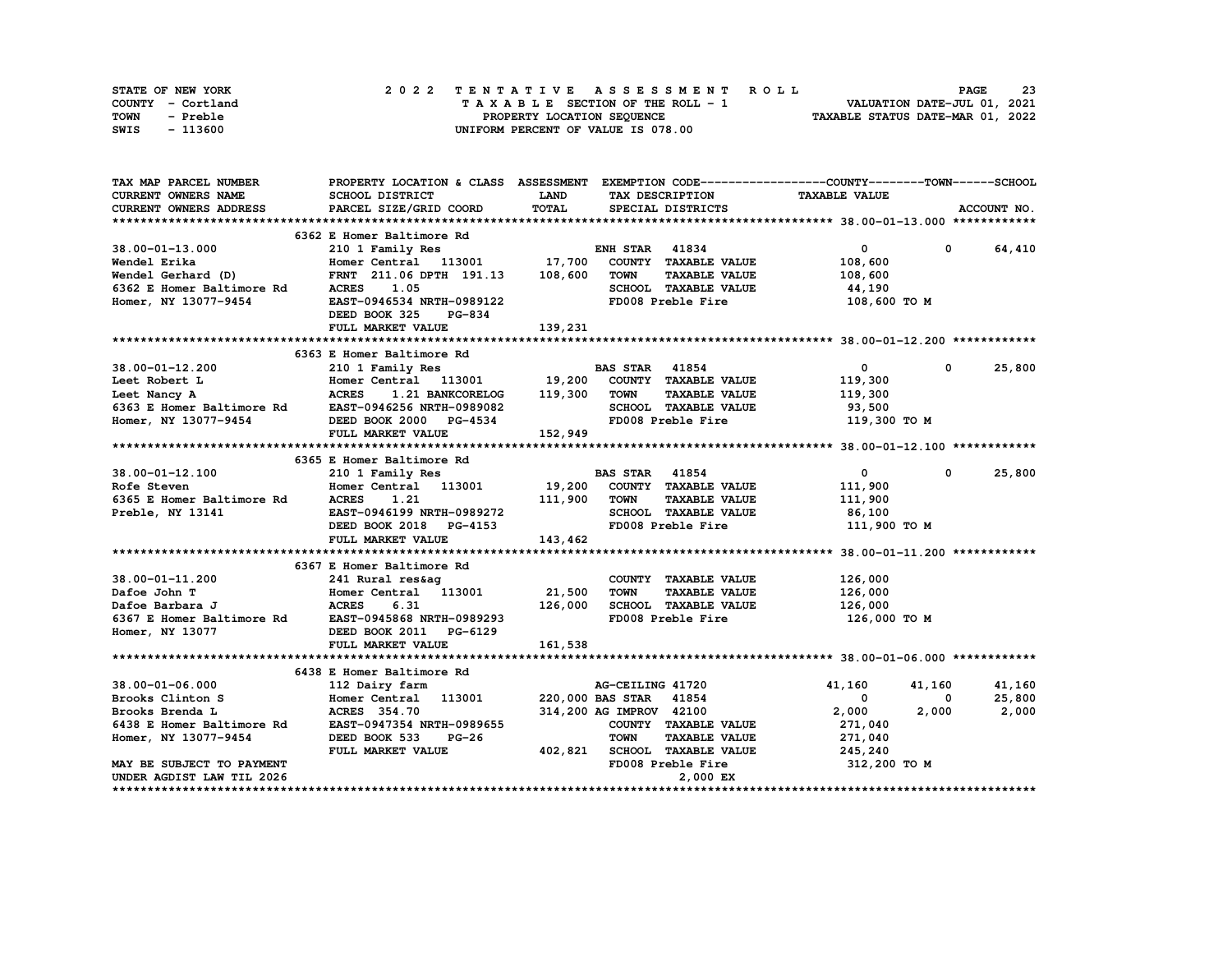| STATE OF NEW YORK | 2022 TENTATIVE ASSESSMENT ROLL     | 23<br><b>PAGE</b>                |
|-------------------|------------------------------------|----------------------------------|
| COUNTY - Cortland | TAXABLE SECTION OF THE ROLL - 1    | VALUATION DATE-JUL 01, 2021      |
| TOWN<br>- Preble  | PROPERTY LOCATION SEQUENCE         | TAXABLE STATUS DATE-MAR 01, 2022 |
| - 113600<br>SWIS  | UNIFORM PERCENT OF VALUE IS 078.00 |                                  |

| TAX MAP PARCEL NUMBER                                                                                                                                                                                                                                                                                                                                                                                                                                                     | PROPERTY LOCATION & CLASS ASSESSMENT EXEMPTION CODE----------------COUNTY-------TOWN------SCHOOL |             |                         |                      |                      |              |             |
|---------------------------------------------------------------------------------------------------------------------------------------------------------------------------------------------------------------------------------------------------------------------------------------------------------------------------------------------------------------------------------------------------------------------------------------------------------------------------|--------------------------------------------------------------------------------------------------|-------------|-------------------------|----------------------|----------------------|--------------|-------------|
| CURRENT OWNERS NAME                                                                                                                                                                                                                                                                                                                                                                                                                                                       | SCHOOL DISTRICT                                                                                  | <b>LAND</b> |                         | TAX DESCRIPTION      | <b>TAXABLE VALUE</b> |              |             |
| CURRENT OWNERS ADDRESS                                                                                                                                                                                                                                                                                                                                                                                                                                                    | PARCEL SIZE/GRID COORD                                                                           | TOTAL       |                         | SPECIAL DISTRICTS    |                      |              | ACCOUNT NO. |
|                                                                                                                                                                                                                                                                                                                                                                                                                                                                           |                                                                                                  |             |                         |                      |                      |              |             |
|                                                                                                                                                                                                                                                                                                                                                                                                                                                                           | 6362 E Homer Baltimore Rd                                                                        |             |                         |                      |                      |              |             |
| 38.00-01-13.000                                                                                                                                                                                                                                                                                                                                                                                                                                                           | 210 1 Family Res                                                                                 |             | <b>ENH STAR 41834</b>   |                      | $\mathbf{0}$         | $\mathbf{0}$ | 64,410      |
| Wendel Erika                                                                                                                                                                                                                                                                                                                                                                                                                                                              | Homer Central $113001$ 17,700                                                                    |             |                         | COUNTY TAXABLE VALUE | 108,600              |              |             |
| Wendel Gerhard (D)                                                                                                                                                                                                                                                                                                                                                                                                                                                        | FRNT 211.06 DPTH 191.13 108,600                                                                  |             | <b>TOWN</b>             | <b>TAXABLE VALUE</b> | 108,600              |              |             |
| 6362 E Homer Baltimore Rd                                                                                                                                                                                                                                                                                                                                                                                                                                                 | <b>ACRES</b><br>1.05                                                                             |             |                         | SCHOOL TAXABLE VALUE | 44,190               |              |             |
| Homer, NY 13077-9454                                                                                                                                                                                                                                                                                                                                                                                                                                                      | EAST-0946534 NRTH-0989122                                                                        |             |                         | FD008 Preble Fire    | 108,600 то м         |              |             |
|                                                                                                                                                                                                                                                                                                                                                                                                                                                                           | DEED BOOK 325<br><b>PG-834</b>                                                                   |             |                         |                      |                      |              |             |
|                                                                                                                                                                                                                                                                                                                                                                                                                                                                           | FULL MARKET VALUE                                                                                | 139,231     |                         |                      |                      |              |             |
|                                                                                                                                                                                                                                                                                                                                                                                                                                                                           |                                                                                                  |             |                         |                      |                      |              |             |
|                                                                                                                                                                                                                                                                                                                                                                                                                                                                           | 6363 E Homer Baltimore Rd                                                                        |             |                         |                      |                      |              |             |
|                                                                                                                                                                                                                                                                                                                                                                                                                                                                           |                                                                                                  |             |                         |                      | $\mathbf{0}$         | $^{\circ}$   | 25,800      |
|                                                                                                                                                                                                                                                                                                                                                                                                                                                                           |                                                                                                  |             |                         |                      | 119,300              |              |             |
|                                                                                                                                                                                                                                                                                                                                                                                                                                                                           |                                                                                                  |             |                         |                      | 119,300              |              |             |
|                                                                                                                                                                                                                                                                                                                                                                                                                                                                           |                                                                                                  |             |                         | SCHOOL TAXABLE VALUE | 93,500               |              |             |
| $\begin{tabular}{lcccc} \multicolumn{1}{c}{\textbf{Leet} & \textbf{Robert L} & \textbf{210} & \textbf{Family Res} & \textbf{BAS STAR} & 41854 \\ \hline \multicolumn{1}{c}{\textbf{Leet} & \textbf{Robert L} & \textbf{Homer Central} & 113001 & 19,200 & \textbf{COUNTY} & \textbf{TXABLE VALUE} \\ \hline \textbf{Leet} & \textbf{Rangey} & \textbf{A} & \textbf{RCRES} & 1.21 & \textbf{BANKCORELOG} & 119,300 & \textbf{TONNY} & \textbf{TAXABLE VALUE} \\ \textbf{6$ |                                                                                                  |             |                         |                      | 119,300 TO M         |              |             |
|                                                                                                                                                                                                                                                                                                                                                                                                                                                                           | FULL MARKET VALUE                                                                                | 152,949     |                         |                      |                      |              |             |
|                                                                                                                                                                                                                                                                                                                                                                                                                                                                           |                                                                                                  |             |                         |                      |                      |              |             |
|                                                                                                                                                                                                                                                                                                                                                                                                                                                                           | 6365 E Homer Baltimore Rd                                                                        |             |                         |                      |                      |              |             |
| 38.00-01-12.100                                                                                                                                                                                                                                                                                                                                                                                                                                                           | 210 1 Family Res                                                                                 |             | <b>BAS STAR</b> 41854   |                      | $\mathbf{0}$         | $\mathbf 0$  | 25,800      |
| Rofe Steven                                                                                                                                                                                                                                                                                                                                                                                                                                                               | Homer Central 113001                                                                             | 19,200      |                         | COUNTY TAXABLE VALUE | 111,900              |              |             |
|                                                                                                                                                                                                                                                                                                                                                                                                                                                                           | <b>ACRES</b><br>1.21                                                                             | 111,900     | <b>TOWN</b>             | <b>TAXABLE VALUE</b> | 111,900              |              |             |
| 6365 E Homer Baltimore Rd<br>Preble, NY 13141                                                                                                                                                                                                                                                                                                                                                                                                                             | EAST-0946199 NRTH-0989272                                                                        |             |                         | SCHOOL TAXABLE VALUE | 86,100               |              |             |
|                                                                                                                                                                                                                                                                                                                                                                                                                                                                           | DEED BOOK 2018 PG-4153                                                                           |             |                         | FD008 Preble Fire    | 111,900 TO M         |              |             |
|                                                                                                                                                                                                                                                                                                                                                                                                                                                                           | FULL MARKET VALUE                                                                                | 143,462     |                         |                      |                      |              |             |
|                                                                                                                                                                                                                                                                                                                                                                                                                                                                           |                                                                                                  |             |                         |                      |                      |              |             |
|                                                                                                                                                                                                                                                                                                                                                                                                                                                                           | 6367 E Homer Baltimore Rd                                                                        |             |                         |                      |                      |              |             |
| 38.00-01-11.200                                                                                                                                                                                                                                                                                                                                                                                                                                                           | 241 Rural res&ag                                                                                 |             |                         | COUNTY TAXABLE VALUE | 126,000              |              |             |
| Dafoe John T                                                                                                                                                                                                                                                                                                                                                                                                                                                              | Homer Central 113001 21,500                                                                      |             | <b>TOWN</b>             | <b>TAXABLE VALUE</b> | 126,000              |              |             |
|                                                                                                                                                                                                                                                                                                                                                                                                                                                                           |                                                                                                  | 126,000     |                         | SCHOOL TAXABLE VALUE | 126,000              |              |             |
|                                                                                                                                                                                                                                                                                                                                                                                                                                                                           |                                                                                                  |             |                         | FD008 Preble Fire    | 126,000 TO M         |              |             |
| Homer, NY 13077                                                                                                                                                                                                                                                                                                                                                                                                                                                           | DEED BOOK 2011 PG-6129                                                                           |             |                         |                      |                      |              |             |
|                                                                                                                                                                                                                                                                                                                                                                                                                                                                           | FULL MARKET VALUE                                                                                | 161,538     |                         |                      |                      |              |             |
|                                                                                                                                                                                                                                                                                                                                                                                                                                                                           |                                                                                                  |             |                         |                      |                      |              |             |
|                                                                                                                                                                                                                                                                                                                                                                                                                                                                           | 6438 E Homer Baltimore Rd                                                                        |             |                         |                      |                      |              |             |
| 38.00-01-06.000                                                                                                                                                                                                                                                                                                                                                                                                                                                           | 112 Dairy farm                                                                                   |             | AG-CEILING 41720        |                      | 41,160               | 41,160       | 41,160      |
| Brooks Clinton S                                                                                                                                                                                                                                                                                                                                                                                                                                                          | Homer Central 113001                                                                             |             | 220,000 BAS STAR 41854  |                      | $\mathbf 0$          | 0            | 25,800      |
| Brooks Brenda L                                                                                                                                                                                                                                                                                                                                                                                                                                                           | <b>ACRES</b> 354.70                                                                              |             | 314,200 AG IMPROV 42100 |                      | 2,000                | 2,000        | 2,000       |
| 6438 E Homer Baltimore Rd                                                                                                                                                                                                                                                                                                                                                                                                                                                 | EAST-0947354 NRTH-0989655                                                                        |             |                         | COUNTY TAXABLE VALUE | 271,040              |              |             |
| Homer, NY 13077-9454                                                                                                                                                                                                                                                                                                                                                                                                                                                      | DEED BOOK 533<br>$PG-26$                                                                         |             | <b>TOWN</b>             | <b>TAXABLE VALUE</b> | 271,040              |              |             |
|                                                                                                                                                                                                                                                                                                                                                                                                                                                                           | FULL MARKET VALUE                                                                                | 402,821     |                         | SCHOOL TAXABLE VALUE | 245,240              |              |             |
| MAY BE SUBJECT TO PAYMENT                                                                                                                                                                                                                                                                                                                                                                                                                                                 |                                                                                                  |             |                         | FD008 Preble Fire    | 312,200 TO M         |              |             |
| UNDER AGDIST LAW TIL 2026                                                                                                                                                                                                                                                                                                                                                                                                                                                 |                                                                                                  |             |                         | 2,000 EX             |                      |              |             |
|                                                                                                                                                                                                                                                                                                                                                                                                                                                                           |                                                                                                  |             |                         |                      |                      |              |             |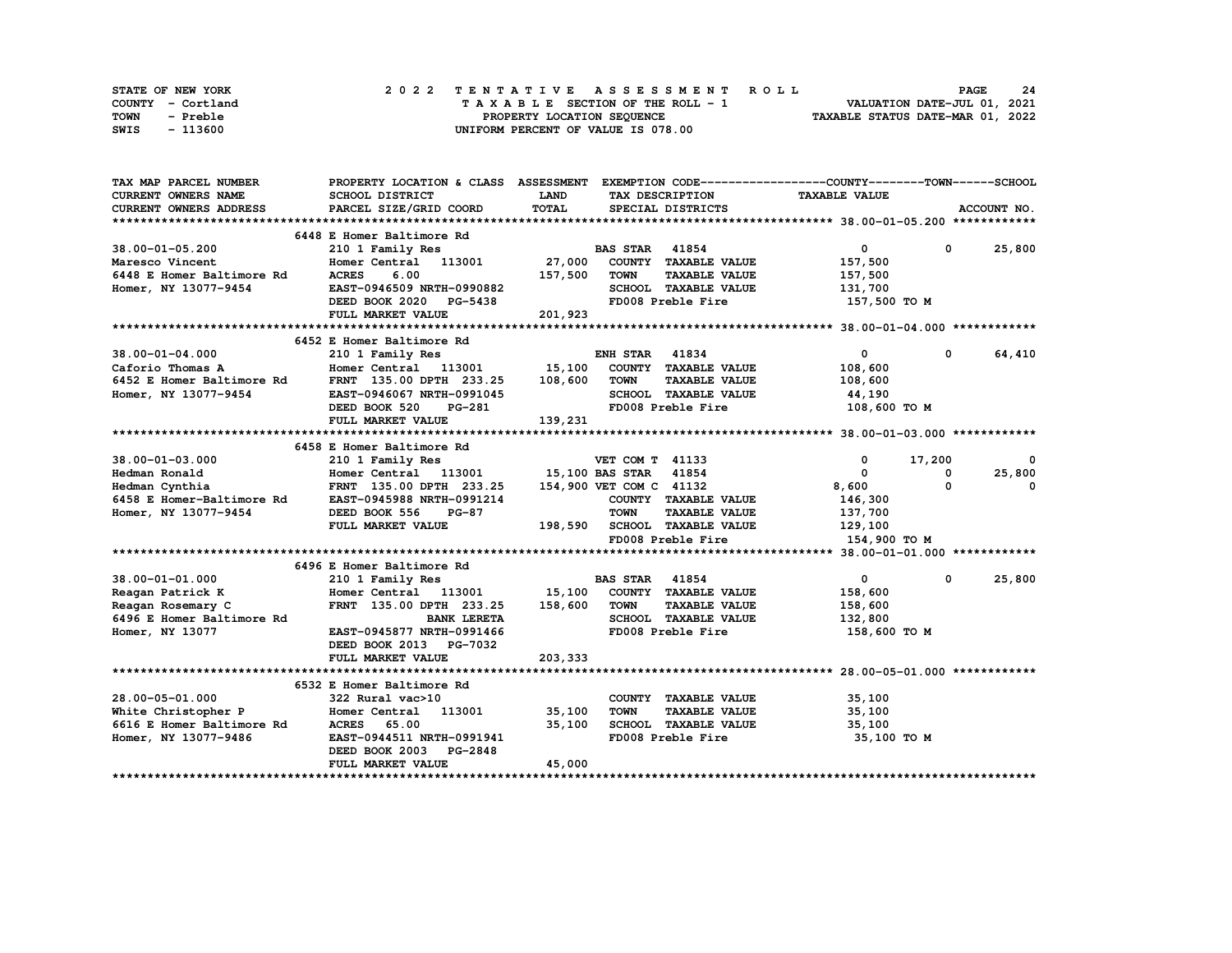| STATE OF NEW YORK | 2022 TENTATIVE ASSESSMENT ROLL     | 24<br><b>PAGE</b>                |
|-------------------|------------------------------------|----------------------------------|
| COUNTY - Cortland | TAXABLE SECTION OF THE ROLL - 1    | VALUATION DATE-JUL 01, 2021      |
| TOWN<br>- Preble  | PROPERTY LOCATION SEQUENCE         | TAXABLE STATUS DATE-MAR 01, 2022 |
| - 113600<br>SWIS  | UNIFORM PERCENT OF VALUE IS 078.00 |                                  |

| TAX MAP PARCEL NUMBER         | PROPERTY LOCATION & CLASS ASSESSMENT EXEMPTION CODE----------------COUNTY-------TOWN------SCHOOL |         |                         |                              |                      |             |                  |
|-------------------------------|--------------------------------------------------------------------------------------------------|---------|-------------------------|------------------------------|----------------------|-------------|------------------|
| <b>CURRENT OWNERS NAME</b>    | <b>SCHOOL DISTRICT</b>                                                                           | LAND    |                         | TAX DESCRIPTION              | <b>TAXABLE VALUE</b> |             |                  |
| <b>CURRENT OWNERS ADDRESS</b> | PARCEL SIZE/GRID COORD                                                                           | TOTAL   |                         | SPECIAL DISTRICTS            |                      |             | ACCOUNT NO.      |
|                               |                                                                                                  |         |                         |                              |                      |             |                  |
|                               | 6448 E Homer Baltimore Rd                                                                        |         |                         |                              |                      |             |                  |
| 38.00-01-05.200               | 210 1 Family Res                                                                                 |         | <b>BAS STAR</b> 41854   |                              | $\mathbf{0}$         |             | $0\qquad 25,800$ |
| Maresco Vincent               | Homer Central 113001 27,000                                                                      |         |                         | COUNTY TAXABLE VALUE         | 157,500              |             |                  |
| 6448 E Homer Baltimore Rd     | <b>ACRES</b><br>6.00                                                                             | 157,500 | <b>TOWN</b>             | <b>TAXABLE VALUE</b>         | 157,500              |             |                  |
| Homer, NY 13077-9454          | EAST-0946509 NRTH-0990882                                                                        |         |                         | SCHOOL TAXABLE VALUE         | 131,700              |             |                  |
|                               | DEED BOOK 2020 PG-5438                                                                           |         |                         | FD008 Preble Fire            | 157,500 TO M         |             |                  |
|                               | FULL MARKET VALUE                                                                                | 201,923 |                         |                              |                      |             |                  |
|                               |                                                                                                  |         |                         |                              |                      |             |                  |
|                               | 6452 E Homer Baltimore Rd                                                                        |         |                         |                              |                      |             |                  |
| 38.00-01-04.000               | 210 1 Family Res                                                                                 |         | <b>ENH STAR 41834</b>   |                              | $\mathbf{0}$         | $^{\circ}$  | 64,410           |
| Caforio Thomas A              | Homer Central 113001                                                                             | 15,100  |                         | COUNTY TAXABLE VALUE         | 108,600              |             |                  |
| 6452 E Homer Baltimore Rd     | FRNT 135.00 DPTH 233.25                                                                          | 108,600 | <b>TOWN</b>             | <b>TAXABLE VALUE</b>         | 108,600              |             |                  |
| Homer, NY 13077-9454          | EAST-0946067 NRTH-0991045                                                                        |         |                         | SCHOOL TAXABLE VALUE         | 44,190               |             |                  |
|                               | <b>PG-281</b><br>DEED BOOK 520                                                                   |         |                         | FD008 Preble Fire            | 108,600 TO M         |             |                  |
|                               | FULL MARKET VALUE                                                                                | 139,231 |                         |                              |                      |             |                  |
|                               |                                                                                                  |         |                         |                              |                      |             |                  |
|                               | 6458 E Homer Baltimore Rd                                                                        |         |                         |                              |                      |             |                  |
| 38.00-01-03.000               | 210 1 Family Res                                                                                 |         | VET COM T 41133         |                              | 0                    | 17,200      | 0                |
| Hedman Ronald                 | Homer Central 113001 15,100 BAS STAR 41854                                                       |         |                         |                              | $\mathbf{0}$         | 0           | 25,800           |
| Hedman Cynthia                | FRNT 135.00 DPTH 233.25                                                                          |         | 154,900 VET COM C 41132 |                              | 8,600                | $\Omega$    | $\Omega$         |
| 6458 E Homer-Baltimore Rd     | EAST-0945988 NRTH-0991214                                                                        |         |                         | COUNTY TAXABLE VALUE         | 146,300              |             |                  |
| Homer, NY 13077-9454          | DEED BOOK 556<br>PG-87                                                                           |         | <b>TOWN</b>             | <b>TAXABLE VALUE</b>         | 137,700              |             |                  |
|                               | FULL MARKET VALUE                                                                                |         |                         | 198,590 SCHOOL TAXABLE VALUE | 129,100              |             |                  |
|                               |                                                                                                  |         |                         | FD008 Preble Fire            | 154,900 TO M         |             |                  |
|                               |                                                                                                  |         |                         |                              |                      |             |                  |
|                               | 6496 E Homer Baltimore Rd                                                                        |         |                         |                              |                      |             |                  |
| 38.00-01-01.000               | 210 1 Family Res                                                                                 |         | <b>BAS STAR</b> 41854   |                              | $\mathbf 0$          | $\mathbf 0$ | 25,800           |
| Reagan Patrick K              | Homer Central 113001                                                                             | 15,100  |                         | COUNTY TAXABLE VALUE         | 158,600              |             |                  |
| Reagan Rosemary C             | FRNT 135.00 DPTH 233.25                                                                          | 158,600 | <b>TOWN</b>             | <b>TAXABLE VALUE</b>         | 158,600              |             |                  |
| 6496 E Homer Baltimore Rd     | <b>BANK LERETA</b>                                                                               |         |                         | <b>SCHOOL TAXABLE VALUE</b>  | 132,800              |             |                  |
| Homer, NY 13077               | EAST-0945877 NRTH-0991466                                                                        |         |                         | FD008 Preble Fire            | 158,600 то м         |             |                  |
|                               | DEED BOOK 2013 PG-7032                                                                           |         |                         |                              |                      |             |                  |
|                               | FULL MARKET VALUE                                                                                | 203,333 |                         |                              |                      |             |                  |
|                               |                                                                                                  |         |                         |                              |                      |             |                  |
|                               | 6532 E Homer Baltimore Rd                                                                        |         |                         |                              |                      |             |                  |
| 28.00-05-01.000               | 322 Rural vac>10                                                                                 |         |                         | COUNTY TAXABLE VALUE         | 35,100               |             |                  |
| White Christopher P           | 113001<br>Homer Central                                                                          | 35,100  | <b>TOWN</b>             | <b>TAXABLE VALUE</b>         | 35,100               |             |                  |
| 6616 E Homer Baltimore Rd     | <b>ACRES</b><br>65.00                                                                            | 35,100  |                         | SCHOOL TAXABLE VALUE         | 35,100               |             |                  |
| Homer, NY 13077-9486          | EAST-0944511 NRTH-0991941                                                                        |         |                         | FD008 Preble Fire            | 35,100 TO M          |             |                  |
|                               | DEED BOOK 2003<br><b>PG-2848</b>                                                                 |         |                         |                              |                      |             |                  |
|                               | FULL MARKET VALUE                                                                                | 45,000  |                         |                              |                      |             |                  |
|                               |                                                                                                  |         |                         |                              |                      |             |                  |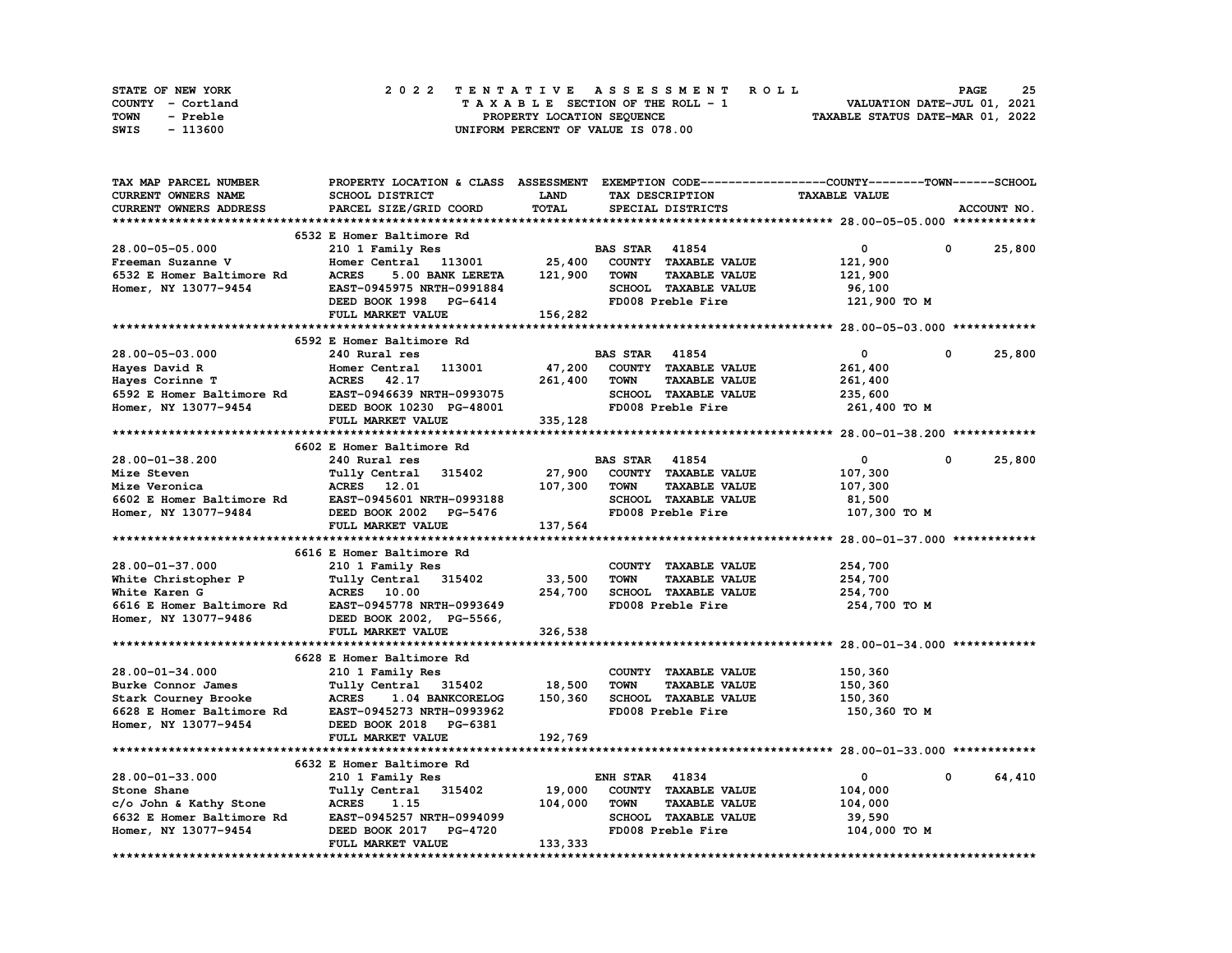| STATE OF NEW YORK | 2022 TENTATIVE ASSESSMENT ROLL     | 25<br><b>PAGE</b>                |
|-------------------|------------------------------------|----------------------------------|
| COUNTY - Cortland | TAXABLE SECTION OF THE ROLL - 1    | VALUATION DATE-JUL 01, 2021      |
| TOWN<br>- Preble  | PROPERTY LOCATION SEQUENCE         | TAXABLE STATUS DATE-MAR 01, 2022 |
| - 113600<br>SWIS  | UNIFORM PERCENT OF VALUE IS 078.00 |                                  |

| TAX MAP PARCEL NUMBER                                                                                                   | PROPERTY LOCATION & CLASS ASSESSMENT EXEMPTION CODE----------------COUNTY-------TOWN-----SCHOOL |             |                       |                      |                                        |            |             |
|-------------------------------------------------------------------------------------------------------------------------|-------------------------------------------------------------------------------------------------|-------------|-----------------------|----------------------|----------------------------------------|------------|-------------|
| <b>CURRENT OWNERS NAME</b>                                                                                              | SCHOOL DISTRICT                                                                                 | <b>LAND</b> | TAX DESCRIPTION       |                      | <b>TAXABLE VALUE</b>                   |            |             |
| CURRENT OWNERS ADDRESS                                                                                                  | PARCEL SIZE/GRID COORD                                                                          | TOTAL       | SPECIAL DISTRICTS     |                      |                                        |            | ACCOUNT NO. |
|                                                                                                                         |                                                                                                 |             |                       |                      |                                        |            |             |
|                                                                                                                         | 6532 E Homer Baltimore Rd                                                                       |             |                       |                      |                                        |            |             |
| 28.00-05-05.000                                                                                                         | 210 1 Family Res                                                                                |             | <b>BAS STAR 41854</b> |                      | $\mathbf 0$                            | 0          | 25,800      |
| Freeman Suzanne V                                                                                                       | Homer Central 113001                                                                            | 25,400      | COUNTY TAXABLE VALUE  |                      | 121,900                                |            |             |
|                                                                                                                         |                                                                                                 |             |                       |                      |                                        |            |             |
| 6532 E Homer Baltimore Rd                                                                                               | <b>ACRES</b><br>5.00 BANK LERETA                                                                | 121,900     | <b>TOWN</b>           | <b>TAXABLE VALUE</b> | 121,900                                |            |             |
| Homer, NY 13077-9454                                                                                                    | EAST-0945975 NRTH-0991884                                                                       |             | SCHOOL TAXABLE VALUE  |                      | 96,100                                 |            |             |
|                                                                                                                         | DEED BOOK 1998 PG-6414                                                                          |             | FD008 Preble Fire     |                      | 121,900 TO M                           |            |             |
|                                                                                                                         | FULL MARKET VALUE                                                                               | 156,282     |                       |                      |                                        |            |             |
|                                                                                                                         |                                                                                                 |             |                       |                      |                                        |            |             |
|                                                                                                                         | 6592 E Homer Baltimore Rd                                                                       |             |                       |                      |                                        |            |             |
| 28.00-05-03.000                                                                                                         | 240 Rural res                                                                                   |             | <b>BAS STAR</b> 41854 |                      | $^{\circ}$                             | 0          | 25,800      |
| Hayes David R                                                                                                           | Homer Central 113001                                                                            | 47,200      | COUNTY TAXABLE VALUE  |                      | 261,400                                |            |             |
| Hayes Corinne T<br>592 E Homer Baltimore Rd BAST-0946639 NRTH-0993075<br>E Homer Paltimore Rd BAST-0946639 NRTH-0993075 |                                                                                                 | 261,400     | <b>TOWN</b>           | <b>TAXABLE VALUE</b> | 261,400                                |            |             |
|                                                                                                                         |                                                                                                 |             | SCHOOL TAXABLE VALUE  |                      | 235,600                                |            |             |
|                                                                                                                         |                                                                                                 |             | FD008 Preble Fire     |                      | 261,400 TO M                           |            |             |
|                                                                                                                         | FULL MARKET VALUE                                                                               | 335,128     |                       |                      |                                        |            |             |
|                                                                                                                         |                                                                                                 |             |                       |                      |                                        |            |             |
|                                                                                                                         |                                                                                                 |             |                       |                      |                                        |            |             |
|                                                                                                                         | 6602 E Homer Baltimore Rd                                                                       |             |                       |                      |                                        |            |             |
| 28.00-01-38.200                                                                                                         | 240 Rural res                                                                                   |             | <b>BAS STAR 41854</b> |                      | $\mathbf{0}$                           | $^{\circ}$ | 25,800      |
| Mize Steven                                                                                                             | Tully Central 315402                                                                            | 27,900      | COUNTY TAXABLE VALUE  |                      | 107,300                                |            |             |
| Mize Veronica                                                                                                           | ACRES 12.01                                                                                     | 107,300     | TOWN                  | <b>TAXABLE VALUE</b> | 107,300                                |            |             |
| 6602 E Homer Baltimore Rd                                                                                               | EAST-0945601 NRTH-0993188                                                                       |             | SCHOOL TAXABLE VALUE  |                      | 81,500                                 |            |             |
| Homer, NY 13077-9484                                                                                                    | DEED BOOK 2002 PG-5476                                                                          |             | FD008 Preble Fire     |                      | 107,300 TO M                           |            |             |
|                                                                                                                         | FULL MARKET VALUE                                                                               | 137,564     |                       |                      |                                        |            |             |
|                                                                                                                         |                                                                                                 |             |                       |                      |                                        |            |             |
|                                                                                                                         | 6616 E Homer Baltimore Rd                                                                       |             |                       |                      |                                        |            |             |
| 28.00-01-37.000                                                                                                         | 210 1 Family Res                                                                                |             |                       | COUNTY TAXABLE VALUE | 254,700                                |            |             |
| White Christopher P                                                                                                     | Tully Central 315402                                                                            | 33,500      | <b>TOWN</b>           | <b>TAXABLE VALUE</b> | 254,700                                |            |             |
| White Karen G                                                                                                           | <b>ACRES</b> 10.00                                                                              | 254,700     | SCHOOL TAXABLE VALUE  |                      | 254,700                                |            |             |
|                                                                                                                         |                                                                                                 |             | FD008 Preble Fire     |                      |                                        |            |             |
| 6616 E Homer Baltimore Rd                                                                                               | EAST-0945778 NRTH-0993649                                                                       |             |                       |                      | 254,700 TO M                           |            |             |
| Homer, NY 13077-9486                                                                                                    | DEED BOOK 2002, PG-5566,                                                                        |             |                       |                      |                                        |            |             |
|                                                                                                                         | FULL MARKET VALUE                                                                               | 326,538     |                       |                      |                                        |            |             |
|                                                                                                                         |                                                                                                 |             |                       |                      |                                        |            |             |
|                                                                                                                         | 6628 E Homer Baltimore Rd                                                                       |             |                       |                      |                                        |            |             |
| 28.00-01-34.000                                                                                                         | 210 1 Family Res                                                                                |             | COUNTY TAXABLE VALUE  |                      | 150,360                                |            |             |
| Burke Connor James                                                                                                      | Tully Central 315402                                                                            | 18,500      | <b>TOWN</b>           | <b>TAXABLE VALUE</b> | 150,360                                |            |             |
| Stark Courney Brooke                                                                                                    | <b>ACRES</b><br>1.04 BANKCORELOG                                                                | 150,360     | SCHOOL TAXABLE VALUE  |                      | 150,360                                |            |             |
| 6628 E Homer Baltimore Rd                                                                                               | EAST-0945273 NRTH-0993962                                                                       |             | FD008 Preble Fire     |                      | 150,360 то м                           |            |             |
| Homer, NY 13077-9454                                                                                                    | DEED BOOK 2018 PG-6381                                                                          |             |                       |                      |                                        |            |             |
|                                                                                                                         | FULL MARKET VALUE                                                                               | 192,769     |                       |                      |                                        |            |             |
|                                                                                                                         |                                                                                                 |             |                       |                      |                                        |            |             |
|                                                                                                                         | 6632 E Homer Baltimore Rd                                                                       |             |                       |                      |                                        |            |             |
| $28.00 - 01 - 33.000$                                                                                                   |                                                                                                 |             | <b>ENH STAR 41834</b> |                      | $\mathbf{0}$                           | $^{\circ}$ | 64,410      |
|                                                                                                                         | 210 1 Family Res                                                                                |             |                       |                      |                                        |            |             |
| Stone Shane                                                                                                             | Tully Central 315402                                                                            | 19,000      | COUNTY TAXABLE VALUE  |                      | 104,000                                |            |             |
| c/o John & Kathy Stone                                                                                                  | <b>ACRES</b><br>1.15                                                                            | 104,000     | <b>TOWN</b>           | <b>TAXABLE VALUE</b> | 104,000                                |            |             |
| 6632 E Homer Baltimore Rd                                                                                               | EAST-0945257 NRTH-0994099                                                                       |             | SCHOOL TAXABLE VALUE  |                      | 39,590                                 |            |             |
| Homer, NY 13077-9454                                                                                                    | DEED BOOK 2017 PG-4720                                                                          |             | FD008 Preble Fire     |                      | 104,000 TO M                           |            |             |
|                                                                                                                         | FULL MARKET VALUE                                                                               | 133,333     |                       |                      |                                        |            |             |
|                                                                                                                         |                                                                                                 |             |                       |                      | ************************************** |            |             |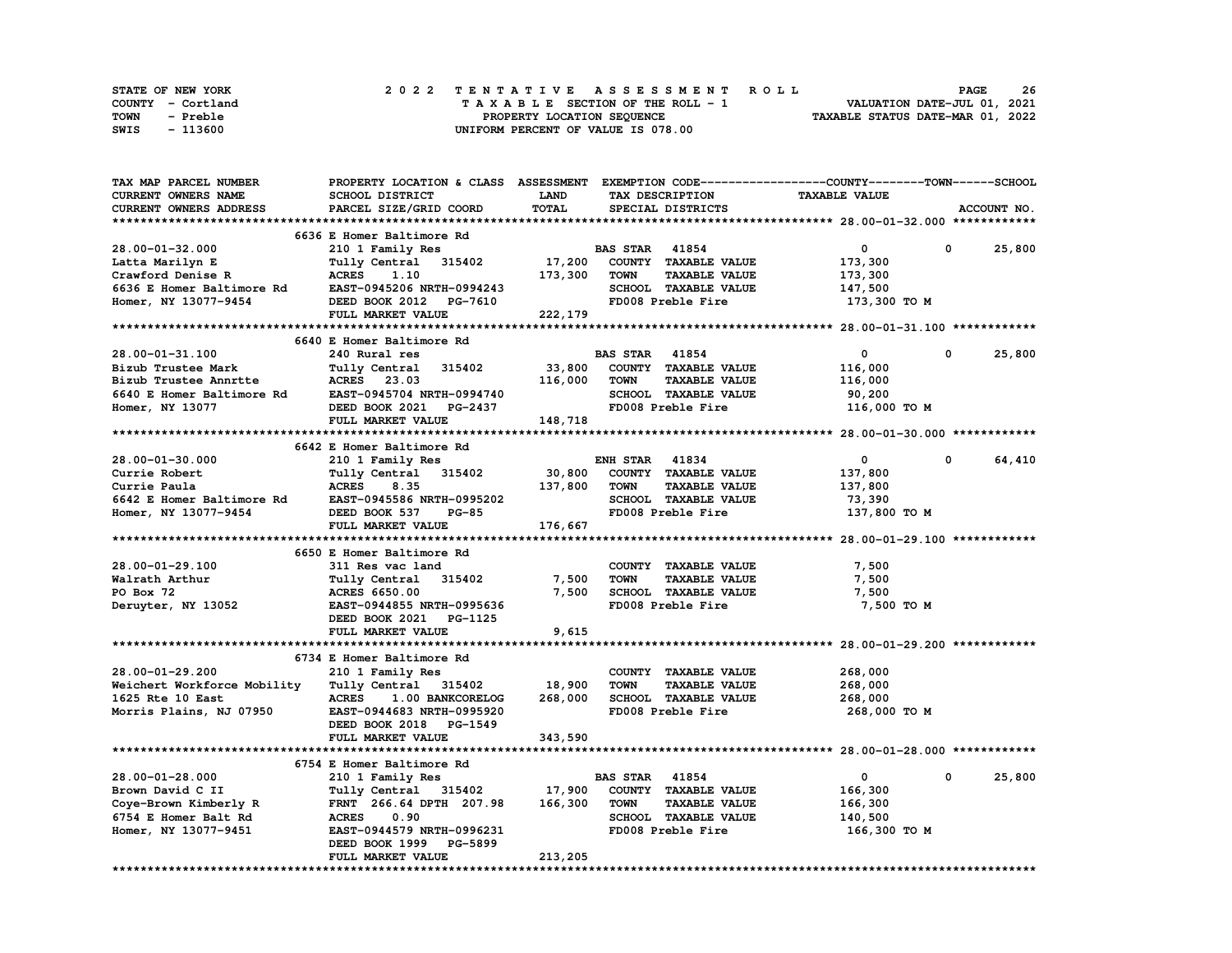| STATE OF NEW YORK | 2022 TENTATIVE ASSESSMENT ROLL     | 26<br><b>PAGE</b>                |
|-------------------|------------------------------------|----------------------------------|
| COUNTY - Cortland | TAXABLE SECTION OF THE ROLL - 1    | VALUATION DATE-JUL 01, 2021      |
| TOWN<br>- Preble  | PROPERTY LOCATION SEQUENCE         | TAXABLE STATUS DATE-MAR 01, 2022 |
| - 113600<br>SWIS  | UNIFORM PERCENT OF VALUE IS 078.00 |                                  |

| TAX MAP PARCEL NUMBER                               | PROPERTY LOCATION & CLASS ASSESSMENT EXEMPTION CODE----------------COUNTY-------TOWN-----SCHOOL |         |                       |                             |                      |              |             |
|-----------------------------------------------------|-------------------------------------------------------------------------------------------------|---------|-----------------------|-----------------------------|----------------------|--------------|-------------|
| CURRENT OWNERS NAME                                 | SCHOOL DISTRICT                                                                                 | LAND    |                       | TAX DESCRIPTION             | <b>TAXABLE VALUE</b> |              |             |
| <b>CURRENT OWNERS ADDRESS</b>                       | PARCEL SIZE/GRID COORD                                                                          | TOTAL   |                       | SPECIAL DISTRICTS           |                      |              | ACCOUNT NO. |
|                                                     |                                                                                                 |         |                       |                             |                      |              |             |
|                                                     | 6636 E Homer Baltimore Rd                                                                       |         |                       |                             |                      |              |             |
| 28.00-01-32.000                                     | 210 1 Family Res                                                                                |         | <b>BAS STAR 41854</b> |                             | $\mathbf{0}$         | $\mathbf{0}$ | 25,800      |
| Latta Marilyn E                                     | Tully Central 315402                                                                            |         |                       | 17,200 COUNTY TAXABLE VALUE | 173,300              |              |             |
|                                                     | <b>ACRES</b><br>1.10                                                                            | 173,300 | <b>TOWN</b>           | <b>TAXABLE VALUE</b>        | 173,300              |              |             |
| Crawford Denise R<br>6636 E Homer Baltimore Rd      | <b>EAST-0945206 NRTH-0994243</b>                                                                |         |                       | SCHOOL TAXABLE VALUE        | 147,500              |              |             |
| Homer, NY 13077-9454                                | DEED BOOK 2012 PG-7610                                                                          | 222,179 |                       | FD008 Preble Fire           | 173,300 то м         |              |             |
|                                                     | FULL MARKET VALUE                                                                               |         |                       |                             |                      |              |             |
|                                                     |                                                                                                 |         |                       |                             |                      |              |             |
|                                                     | 6640 E Homer Baltimore Rd                                                                       |         |                       |                             |                      |              |             |
| 28.00-01-31.100                                     | 240 Rural res                                                                                   |         | <b>BAS STAR 41854</b> |                             | $\mathbf 0$          | $^{\circ}$   | 25,800      |
| Bizub Trustee Mark                                  | Tully Central 315402 33,800                                                                     |         |                       | COUNTY TAXABLE VALUE        | 116,000              |              |             |
| Bizub Trustee Annrtte                               | <b>ACRES</b> 23.03                                                                              | 116,000 | <b>TOWN</b>           | <b>TAXABLE VALUE</b>        | 116,000              |              |             |
|                                                     |                                                                                                 |         |                       | SCHOOL TAXABLE VALUE        | 90,200               |              |             |
| Homer, NY 13077                                     | DEED BOOK 2021 PG-2437                                                                          |         |                       | FD008 Preble Fire           | 116,000 то м         |              |             |
|                                                     | FULL MARKET VALUE                                                                               | 148,718 |                       |                             |                      |              |             |
|                                                     |                                                                                                 |         |                       |                             |                      |              |             |
|                                                     | 6642 E Homer Baltimore Rd                                                                       |         |                       |                             |                      |              |             |
| 28.00-01-30.000                                     | 210 1 Family Res                                                                                |         | <b>ENH STAR 41834</b> |                             | $\mathbf{0}$         | 0            | 64,410      |
| Currie Robert                                       |                                                                                                 |         |                       |                             | 137,800              |              |             |
| Currie Paula                                        | Tully Central 315402 30,800 COUNTY TAXABLE VALUE<br>ACRES 8.35 137,800 TOWN TAXABLE VALUE       |         |                       |                             | 137,800              |              |             |
| 6642 E Homer Baltimore Rd EAST-0945586 NRTH-0995202 |                                                                                                 |         |                       | SCHOOL TAXABLE VALUE        | 73,390               |              |             |
| Homer, NY 13077-9454                                | DEED BOOK 537 PG-85                                                                             |         |                       | FD008 Preble Fire           | 137,800 TO M         |              |             |
|                                                     | FULL MARKET VALUE                                                                               | 176,667 |                       |                             |                      |              |             |
|                                                     |                                                                                                 |         |                       |                             |                      |              |             |
|                                                     | 6650 E Homer Baltimore Rd                                                                       |         |                       |                             |                      |              |             |
| 28.00-01-29.100                                     | 311 Res vac land                                                                                |         |                       | COUNTY TAXABLE VALUE        | 7,500                |              |             |
| Walrath Arthur                                      | Tully Central 315402                                                                            | 7,500   | <b>TOWN</b>           | <b>TAXABLE VALUE</b>        | 7,500                |              |             |
| PO Box 72                                           | <b>ACRES 6650.00</b>                                                                            | 7,500   |                       | SCHOOL TAXABLE VALUE        | 7,500                |              |             |
| Deruyter, NY 13052                                  | EAST-0944855 NRTH-0995636                                                                       |         |                       | FD008 Preble Fire           | 7,500 TO M           |              |             |
|                                                     | DEED BOOK 2021 PG-1125                                                                          |         |                       |                             |                      |              |             |
|                                                     | FULL MARKET VALUE                                                                               | 9,615   |                       |                             |                      |              |             |
|                                                     |                                                                                                 |         |                       |                             |                      |              |             |
|                                                     | 6734 E Homer Baltimore Rd                                                                       |         |                       |                             |                      |              |             |
| 28.00-01-29.200                                     | 210 1 Family Res                                                                                |         |                       | COUNTY TAXABLE VALUE        | 268,000              |              |             |
| Weichert Workforce Mobility                         | Tully Central 315402                                                                            | 18,900  | <b>TOWN</b>           | <b>TAXABLE VALUE</b>        | 268,000              |              |             |
| 1625 Rte 10 East                                    | ACRES 1.00 BANKCORELOG                                                                          | 268,000 |                       | SCHOOL TAXABLE VALUE        | 268,000              |              |             |
| Morris Plains, NJ 07950                             | EAST-0944683 NRTH-0995920                                                                       |         |                       | FD008 Preble Fire           | 268,000 то м         |              |             |
|                                                     | DEED BOOK 2018 PG-1549                                                                          |         |                       |                             |                      |              |             |
|                                                     | FULL MARKET VALUE                                                                               | 343,590 |                       |                             |                      |              |             |
|                                                     |                                                                                                 |         |                       |                             |                      |              |             |
|                                                     | 6754 E Homer Baltimore Rd                                                                       |         |                       |                             |                      |              |             |
| 28.00-01-28.000                                     | 210 1 Family Res                                                                                |         | <b>BAS STAR</b> 41854 |                             | $\mathbf{0}$         | $^{\circ}$   | 25,800      |
| Brown David C II                                    | Tully Central 315402 17,900 COUNTY TAXABLE VALUE                                                |         |                       |                             | 166,300              |              |             |
| Coye-Brown Kimberly R                               | FRNT 266.64 DPTH 207.98 166,300                                                                 |         | <b>TOWN</b>           | <b>TAXABLE VALUE</b>        | 166,300              |              |             |
| 6754 E Homer Balt Rd                                | <b>ACRES</b><br>0.90                                                                            |         |                       | SCHOOL TAXABLE VALUE        | 140,500              |              |             |
| Homer, NY 13077-9451                                | EAST-0944579 NRTH-0996231                                                                       |         |                       | FD008 Preble Fire           | 166,300 то м         |              |             |
|                                                     | DEED BOOK 1999 PG-5899                                                                          |         |                       |                             |                      |              |             |
|                                                     | FULL MARKET VALUE                                                                               | 213,205 |                       |                             |                      |              |             |
|                                                     |                                                                                                 |         |                       |                             |                      |              |             |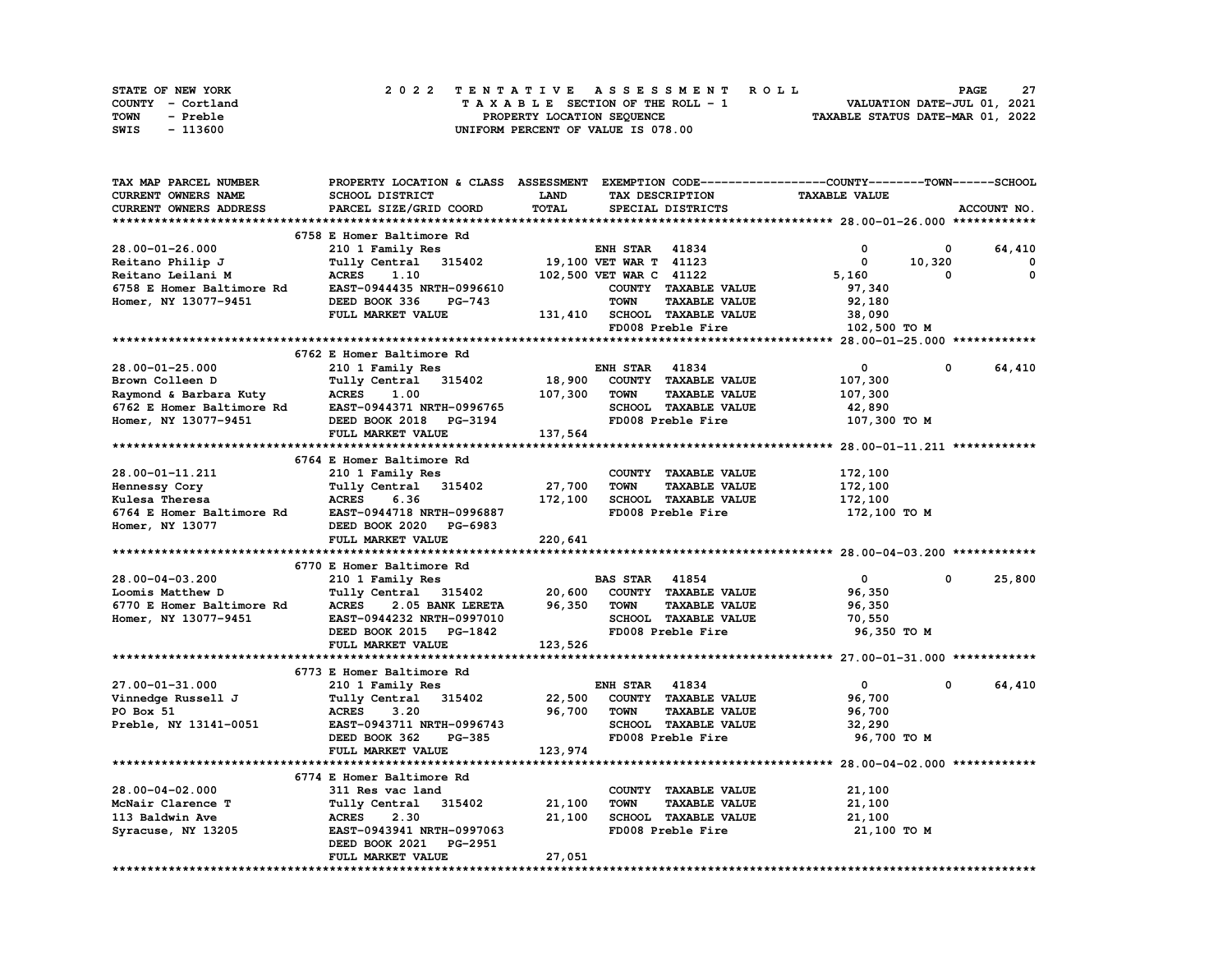| <b>STATE OF NEW YORK</b> | 2022 TENTATIVE ASSESSMENT ROLL          | 27<br><b>PAGE</b>                |
|--------------------------|-----------------------------------------|----------------------------------|
| COUNTY - Cortland        | $T A X A B L E$ SECTION OF THE ROLL - 1 | VALUATION DATE-JUL 01, 2021      |
| TOWN<br>- Preble         | PROPERTY LOCATION SEQUENCE              | TAXABLE STATUS DATE-MAR 01, 2022 |
| - 113600<br>SWIS         | UNIFORM PERCENT OF VALUE IS 078.00      |                                  |

| TAX MAP PARCEL NUMBER      | PROPERTY LOCATION & CLASS ASSESSMENT EXEMPTION CODE-----------------COUNTY-------TOWN------SCHOOL |         |                         |                             |                      |        |              |
|----------------------------|---------------------------------------------------------------------------------------------------|---------|-------------------------|-----------------------------|----------------------|--------|--------------|
| <b>CURRENT OWNERS NAME</b> | SCHOOL DISTRICT                                                                                   | LAND    |                         | TAX DESCRIPTION             | <b>TAXABLE VALUE</b> |        |              |
| CURRENT OWNERS ADDRESS     | PARCEL SIZE/GRID COORD                                                                            | TOTAL   |                         | SPECIAL DISTRICTS           |                      |        | ACCOUNT NO.  |
|                            |                                                                                                   |         |                         |                             |                      |        |              |
|                            | 6758 E Homer Baltimore Rd                                                                         |         |                         |                             |                      |        |              |
| 28.00-01-26.000            | 210 1 Family Res                                                                                  |         | <b>ENH STAR 41834</b>   |                             | 0                    | 0      | 64,410       |
| Reitano Philip J           | Tully Central 315402                                                                              |         | 19,100 VET WAR T 41123  |                             | 0                    | 10,320 | $\mathbf{0}$ |
| Reitano Leilani M          | <b>ACRES</b><br>1.10                                                                              |         | 102,500 VET WAR C 41122 |                             | 5,160                | 0      | $\mathbf{0}$ |
| 6758 E Homer Baltimore Rd  | EAST-0944435 NRTH-0996610                                                                         |         |                         | COUNTY TAXABLE VALUE        | 97,340               |        |              |
| Homer, NY 13077-9451       | DEED BOOK 336<br>$PG-743$                                                                         |         | <b>TOWN</b>             | <b>TAXABLE VALUE</b>        | 92,180               |        |              |
|                            | FULL MARKET VALUE                                                                                 | 131,410 |                         | <b>SCHOOL TAXABLE VALUE</b> | 38,090               |        |              |
|                            |                                                                                                   |         |                         | FD008 Preble Fire           | 102,500 TO M         |        |              |
|                            |                                                                                                   |         |                         |                             |                      |        |              |
|                            | 6762 E Homer Baltimore Rd                                                                         |         |                         |                             |                      |        |              |
| 28.00-01-25.000            | 210 1 Family Res                                                                                  |         | <b>ENH STAR</b>         | 41834                       | 0                    | 0      | 64,410       |
| Brown Colleen D            | Tully Central 315402                                                                              | 18,900  |                         | COUNTY TAXABLE VALUE        | 107,300              |        |              |
| Raymond & Barbara Kuty     | <b>ACRES</b><br>1.00                                                                              | 107,300 | <b>TOWN</b>             | <b>TAXABLE VALUE</b>        | 107,300              |        |              |
| 6762 E Homer Baltimore Rd  | EAST-0944371 NRTH-0996765                                                                         |         |                         | <b>SCHOOL TAXABLE VALUE</b> | 42,890               |        |              |
| Homer, NY 13077-9451       | DEED BOOK 2018 PG-3194                                                                            |         |                         | FD008 Preble Fire           | 107,300 TO M         |        |              |
|                            | FULL MARKET VALUE                                                                                 | 137,564 |                         |                             |                      |        |              |
|                            |                                                                                                   |         |                         |                             |                      |        |              |
|                            | 6764 E Homer Baltimore Rd                                                                         |         |                         |                             |                      |        |              |
| 28.00-01-11.211            | 210 1 Family Res                                                                                  |         |                         | COUNTY TAXABLE VALUE        | 172,100              |        |              |
| Hennessy Cory              | Tully Central 315402                                                                              | 27,700  | <b>TOWN</b>             | <b>TAXABLE VALUE</b>        | 172,100              |        |              |
| Kulesa Theresa             | <b>ACRES</b><br>6.36                                                                              | 172,100 |                         | <b>SCHOOL TAXABLE VALUE</b> | 172,100              |        |              |
| 6764 E Homer Baltimore Rd  | EAST-0944718 NRTH-0996887                                                                         |         |                         | FD008 Preble Fire           | 172,100 то м         |        |              |
| Homer, NY 13077            | DEED BOOK 2020<br>PG-6983                                                                         |         |                         |                             |                      |        |              |
|                            | FULL MARKET VALUE                                                                                 | 220,641 |                         |                             |                      |        |              |
|                            |                                                                                                   |         |                         |                             |                      |        |              |
|                            | 6770 E Homer Baltimore Rd                                                                         |         |                         |                             |                      |        |              |
| 28.00-04-03.200            | 210 1 Family Res                                                                                  |         | <b>BAS STAR 41854</b>   |                             | $^{\circ}$           | 0      | 25,800       |
| Loomis Matthew D           | Tully Central 315402                                                                              | 20,600  |                         | COUNTY TAXABLE VALUE        | 96,350               |        |              |
| 6770 E Homer Baltimore Rd  | <b>ACRES</b><br>2.05 BANK LERETA                                                                  | 96,350  | <b>TOWN</b>             | <b>TAXABLE VALUE</b>        | 96,350               |        |              |
| Homer, NY 13077-9451       | EAST-0944232 NRTH-0997010                                                                         |         |                         | SCHOOL TAXABLE VALUE        | 70,550               |        |              |
|                            | DEED BOOK 2015 PG-1842                                                                            |         |                         | FD008 Preble Fire           | 96,350 то м          |        |              |
|                            | FULL MARKET VALUE                                                                                 | 123,526 |                         |                             |                      |        |              |
|                            |                                                                                                   |         |                         |                             |                      |        |              |
|                            | 6773 E Homer Baltimore Rd                                                                         |         |                         |                             |                      |        |              |
| 27.00-01-31.000            | 210 1 Family Res                                                                                  |         | <b>ENH STAR 41834</b>   |                             | $\mathbf{0}$         | 0      | 64,410       |
| Vinnedge Russell J         | Tully Central<br>315402                                                                           | 22,500  |                         | COUNTY TAXABLE VALUE        | 96,700               |        |              |
| PO Box 51                  | 3.20<br><b>ACRES</b>                                                                              | 96,700  | <b>TOWN</b>             | <b>TAXABLE VALUE</b>        | 96,700               |        |              |
| Preble, NY 13141-0051      | EAST-0943711 NRTH-0996743                                                                         |         |                         | SCHOOL TAXABLE VALUE        | 32,290               |        |              |
|                            | DEED BOOK 362<br>PG-385                                                                           |         |                         | FD008 Preble Fire           | 96,700 TO M          |        |              |
|                            | FULL MARKET VALUE                                                                                 | 123,974 |                         |                             |                      |        |              |
|                            |                                                                                                   |         |                         |                             |                      |        |              |
|                            | 6774 E Homer Baltimore Rd                                                                         |         |                         |                             |                      |        |              |
| 28.00-04-02.000            | 311 Res vac land                                                                                  |         |                         | COUNTY TAXABLE VALUE        | 21,100               |        |              |
| McNair Clarence T          | 315402<br>Tully Central                                                                           | 21,100  | <b>TOWN</b>             | <b>TAXABLE VALUE</b>        | 21,100               |        |              |
| 113 Baldwin Ave            | <b>ACRES</b><br>2.30                                                                              | 21,100  |                         | <b>SCHOOL TAXABLE VALUE</b> | 21,100               |        |              |
| Syracuse, NY 13205         | EAST-0943941 NRTH-0997063                                                                         |         |                         | FD008 Preble Fire           | 21,100 TO M          |        |              |
|                            | DEED BOOK 2021<br><b>PG-2951</b>                                                                  |         |                         |                             |                      |        |              |
|                            | FULL MARKET VALUE                                                                                 | 27,051  |                         |                             |                      |        |              |
|                            |                                                                                                   |         |                         |                             |                      |        |              |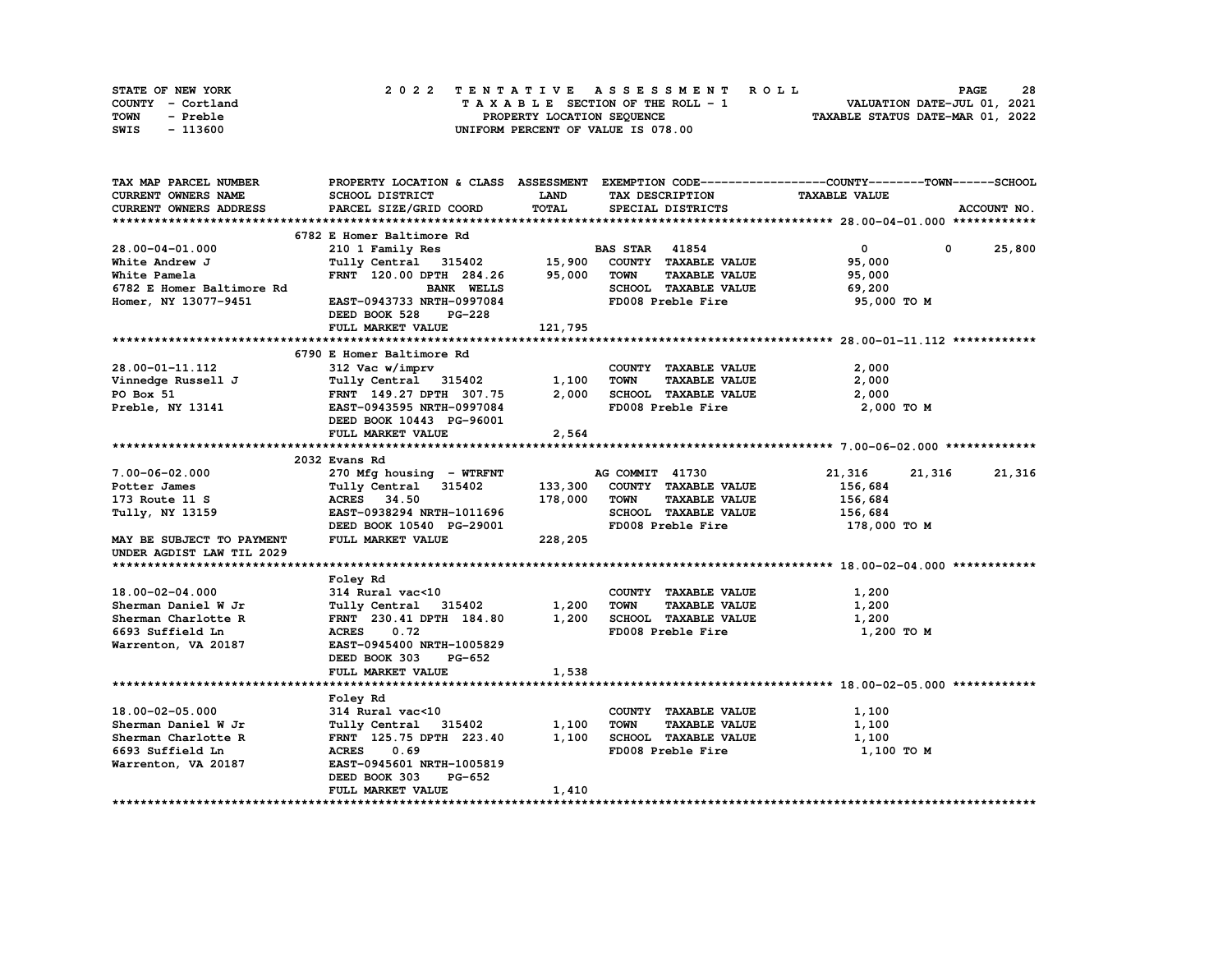| STATE OF NEW YORK | 2022 TENTATIVE ASSESSMENT ROLL     | 28<br><b>PAGE</b>                |
|-------------------|------------------------------------|----------------------------------|
| COUNTY - Cortland | TAXABLE SECTION OF THE ROLL - 1    | VALUATION DATE-JUL 01, 2021      |
| TOWN<br>- Preble  | PROPERTY LOCATION SEQUENCE         | TAXABLE STATUS DATE-MAR 01, 2022 |
| SWIS<br>- 113600  | UNIFORM PERCENT OF VALUE IS 078.00 |                                  |

| TAX MAP PARCEL NUMBER      |                                |             |                                     | PROPERTY LOCATION & CLASS ASSESSMENT EXEMPTION CODE-----------------COUNTY-------TOWN------SCHOOL |             |
|----------------------------|--------------------------------|-------------|-------------------------------------|---------------------------------------------------------------------------------------------------|-------------|
| <b>CURRENT OWNERS NAME</b> | SCHOOL DISTRICT                | <b>LAND</b> | TAX DESCRIPTION                     | <b>TAXABLE VALUE</b>                                                                              |             |
| CURRENT OWNERS ADDRESS     | PARCEL SIZE/GRID COORD         | TOTAL       | SPECIAL DISTRICTS                   |                                                                                                   | ACCOUNT NO. |
|                            |                                |             |                                     |                                                                                                   |             |
|                            | 6782 E Homer Baltimore Rd      |             |                                     |                                                                                                   |             |
| 28.00-04-01.000            | 210 1 Family Res               |             | <b>BAS STAR 41854</b>               | $\mathbf 0$<br>$\mathbf{0}$                                                                       | 25,800      |
| White Andrew J             | Tully Central 315402 15,900    |             | COUNTY TAXABLE VALUE                | 95,000                                                                                            |             |
| White Pamela               | FRNT 120.00 DPTH 284.26        | 95,000      | <b>TOWN</b><br><b>TAXABLE VALUE</b> | 95,000                                                                                            |             |
| 6782 E Homer Baltimore Rd  | <b>BANK WELLS</b>              |             | SCHOOL TAXABLE VALUE                | 69,200                                                                                            |             |
| Homer, NY 13077-9451       | EAST-0943733 NRTH-0997084      |             | FD008 Preble Fire                   | 95,000 TO M                                                                                       |             |
|                            | DEED BOOK 528<br><b>PG-228</b> |             |                                     |                                                                                                   |             |
|                            | FULL MARKET VALUE              | 121,795     |                                     |                                                                                                   |             |
|                            |                                |             |                                     |                                                                                                   |             |
|                            | 6790 E Homer Baltimore Rd      |             |                                     |                                                                                                   |             |
| 28.00-01-11.112            | 312 Vac w/imprv                |             | COUNTY TAXABLE VALUE                | 2,000                                                                                             |             |
|                            |                                |             | <b>TOWN</b>                         |                                                                                                   |             |
| Vinnedge Russell J         | Tully Central 315402 1,100     |             | <b>TAXABLE VALUE</b>                | 2,000                                                                                             |             |
| PO Box 51                  | FRNT 149.27 DPTH 307.75        | 2,000       | SCHOOL TAXABLE VALUE                | 2,000                                                                                             |             |
| Preble, NY 13141           | EAST-0943595 NRTH-0997084      |             | FD008 Preble Fire                   | 2,000 TO M                                                                                        |             |
|                            | DEED BOOK 10443 PG-96001       |             |                                     |                                                                                                   |             |
|                            | FULL MARKET VALUE              | 2,564       |                                     |                                                                                                   |             |
|                            |                                |             |                                     |                                                                                                   |             |
|                            | 2032 Evans Rd                  |             |                                     |                                                                                                   |             |
| $7.00 - 06 - 02.000$       | 270 Mfg housing - WTRFNT       |             | AG COMMIT 41730                     | 21,316<br>21,316                                                                                  | 21,316      |
| Potter James               | Tully Central 315402           | 133,300     | COUNTY TAXABLE VALUE                | 156,684                                                                                           |             |
| 173 Route 11 S             | ACRES 34.50                    | 178,000     | <b>TAXABLE VALUE</b><br><b>TOWN</b> | 156,684                                                                                           |             |
| Tully, NY 13159            | EAST-0938294 NRTH-1011696      |             | SCHOOL TAXABLE VALUE                | 156,684                                                                                           |             |
|                            | DEED BOOK 10540 PG-29001       |             | FD008 Preble Fire                   | 178,000 то м                                                                                      |             |
| MAY BE SUBJECT TO PAYMENT  | FULL MARKET VALUE              | 228,205     |                                     |                                                                                                   |             |
| UNDER AGDIST LAW TIL 2029  |                                |             |                                     |                                                                                                   |             |
|                            |                                |             |                                     |                                                                                                   |             |
|                            | Foley Rd                       |             |                                     |                                                                                                   |             |
| 18.00-02-04.000            | 314 Rural vac<10               |             | COUNTY TAXABLE VALUE                | 1,200                                                                                             |             |
| Sherman Daniel W Jr        | Tully Central 315402           | 1,200       | <b>TOWN</b><br><b>TAXABLE VALUE</b> | 1,200                                                                                             |             |
| Sherman Charlotte R        | FRNT 230.41 DPTH 184.80        | 1,200       | SCHOOL TAXABLE VALUE                | 1,200                                                                                             |             |
| 6693 Suffield Ln           | 0.72<br><b>ACRES</b>           |             | FD008 Preble Fire                   | 1,200 TO M                                                                                        |             |
| Warrenton, VA 20187        | EAST-0945400 NRTH-1005829      |             |                                     |                                                                                                   |             |
|                            | DEED BOOK 303<br>PG-652        |             |                                     |                                                                                                   |             |
|                            | FULL MARKET VALUE              | 1,538       |                                     |                                                                                                   |             |
|                            |                                |             |                                     |                                                                                                   |             |
|                            | Foley Rd                       |             |                                     |                                                                                                   |             |
| 18.00-02-05.000            | 314 Rural vac<10               |             | COUNTY TAXABLE VALUE                | 1,100                                                                                             |             |
| Sherman Daniel W Jr        | Tully Central 315402           | 1,100       | <b>TOWN</b><br><b>TAXABLE VALUE</b> | 1,100                                                                                             |             |
| Sherman Charlotte R        | FRNT 125.75 DPTH 223.40        | 1,100       | SCHOOL TAXABLE VALUE                | 1,100                                                                                             |             |
| 6693 Suffield Ln           | <b>ACRES</b><br>0.69           |             | FD008 Preble Fire                   | 1,100 TO M                                                                                        |             |
| Warrenton, VA 20187        | EAST-0945601 NRTH-1005819      |             |                                     |                                                                                                   |             |
|                            | DEED BOOK 303<br>PG-652        |             |                                     |                                                                                                   |             |
|                            | FULL MARKET VALUE              | 1,410       |                                     |                                                                                                   |             |
|                            |                                |             |                                     |                                                                                                   |             |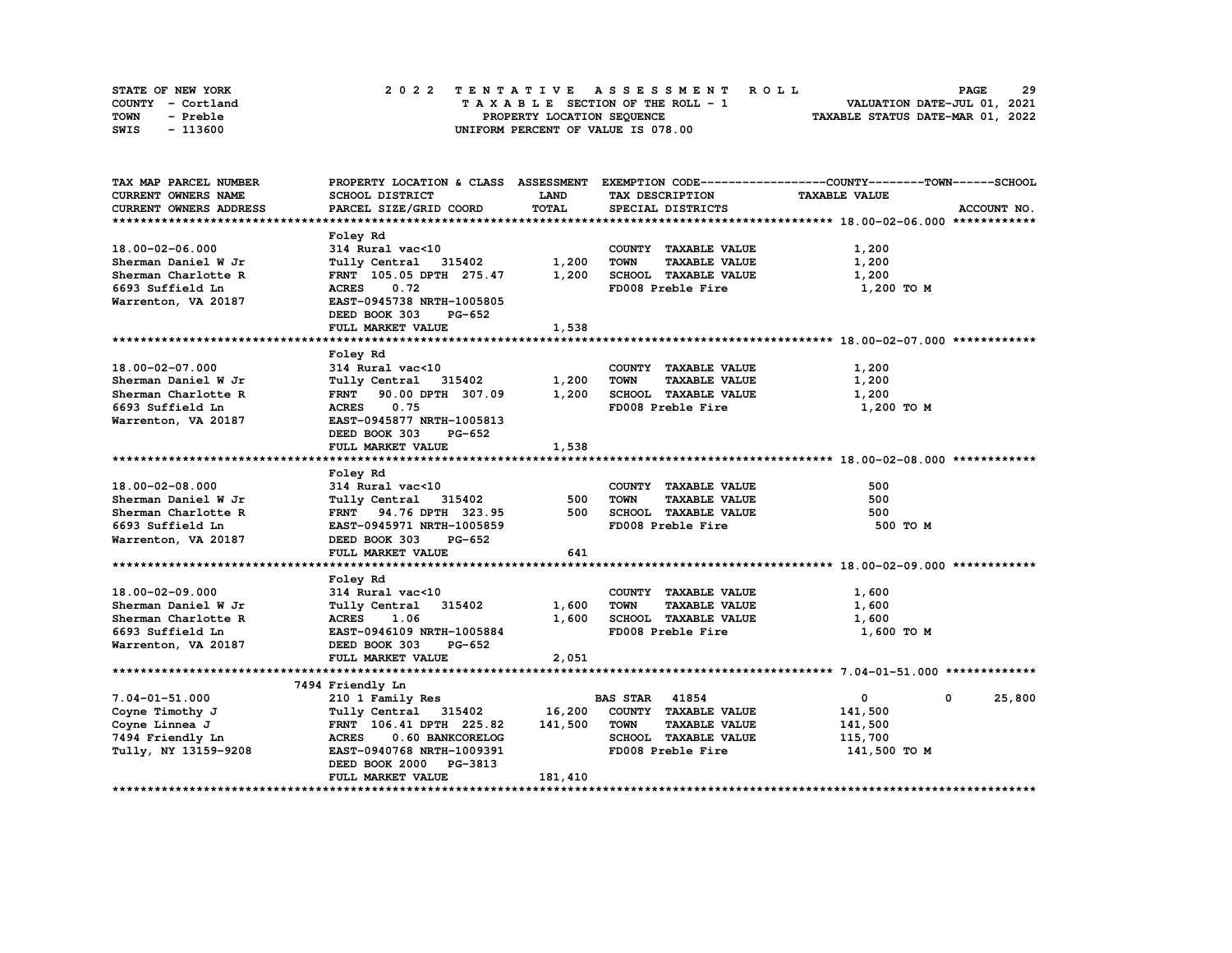| STATE OF NEW YORK | 2022 TENTATIVE ASSESSMENT ROLL     | 29<br><b>PAGE</b>                |
|-------------------|------------------------------------|----------------------------------|
| COUNTY - Cortland | TAXABLE SECTION OF THE ROLL - 1    | VALUATION DATE-JUL 01, 2021      |
| TOWN<br>- Preble  | PROPERTY LOCATION SEQUENCE         | TAXABLE STATUS DATE-MAR 01, 2022 |
| - 113600<br>SWIS  | UNIFORM PERCENT OF VALUE IS 078.00 |                                  |

| TAX MAP PARCEL NUMBER  |                                  |             |                                     | PROPERTY LOCATION & CLASS ASSESSMENT EXEMPTION CODE----------------COUNTY-------TOWN-----SCHOOL |        |
|------------------------|----------------------------------|-------------|-------------------------------------|-------------------------------------------------------------------------------------------------|--------|
| CURRENT OWNERS NAME    | SCHOOL DISTRICT                  | <b>LAND</b> | TAX DESCRIPTION                     | <b>TAXABLE VALUE</b>                                                                            |        |
| CURRENT OWNERS ADDRESS | PARCEL SIZE/GRID COORD           | TOTAL       | SPECIAL DISTRICTS                   | ACCOUNT NO.                                                                                     |        |
|                        |                                  |             |                                     |                                                                                                 |        |
|                        | Foley Rd                         |             |                                     |                                                                                                 |        |
| 18.00-02-06.000        | 314 Rural vac<10                 |             | COUNTY TAXABLE VALUE                | 1,200                                                                                           |        |
| Sherman Daniel W Jr    | Tully Central 315402             | 1,200       | <b>TOWN</b><br><b>TAXABLE VALUE</b> | 1,200                                                                                           |        |
| Sherman Charlotte R    | FRNT 105.05 DPTH 275.47          | 1,200       | SCHOOL TAXABLE VALUE                | 1,200                                                                                           |        |
| 6693 Suffield Ln       | <b>ACRES</b><br>0.72             |             | FD008 Preble Fire                   | 1,200 TO M                                                                                      |        |
| Warrenton, VA 20187    | EAST-0945738 NRTH-1005805        |             |                                     |                                                                                                 |        |
|                        | DEED BOOK 303<br><b>PG-652</b>   |             |                                     |                                                                                                 |        |
|                        | FULL MARKET VALUE                | 1,538       |                                     |                                                                                                 |        |
|                        |                                  |             |                                     |                                                                                                 |        |
|                        | Foley Rd                         |             |                                     |                                                                                                 |        |
| 18.00-02-07.000        | 314 Rural vac<10                 |             | COUNTY TAXABLE VALUE                | 1,200                                                                                           |        |
| Sherman Daniel W Jr    | Tully Central 315402             | 1,200       | <b>TAXABLE VALUE</b><br><b>TOWN</b> | 1,200                                                                                           |        |
| Sherman Charlotte R    | FRNT 90.00 DPTH 307.09           | 1,200       | SCHOOL TAXABLE VALUE                | 1,200                                                                                           |        |
| 6693 Suffield Ln       | <b>ACRES</b><br>0.75             |             | FD008 Preble Fire                   | 1,200 TO M                                                                                      |        |
| Warrenton, VA 20187    | EAST-0945877 NRTH-1005813        |             |                                     |                                                                                                 |        |
|                        | DEED BOOK 303<br>PG-652          |             |                                     |                                                                                                 |        |
|                        | FULL MARKET VALUE                | 1,538       |                                     |                                                                                                 |        |
|                        |                                  |             |                                     |                                                                                                 |        |
|                        | Foley Rd                         |             |                                     |                                                                                                 |        |
| 18.00-02-08.000        | 314 Rural vac<10                 |             | COUNTY TAXABLE VALUE                | 500                                                                                             |        |
| Sherman Daniel W Jr    | Tully Central 315402             | 500         | <b>TOWN</b><br><b>TAXABLE VALUE</b> | 500                                                                                             |        |
| Sherman Charlotte R    | FRNT 94.76 DPTH 323.95           | 500         | SCHOOL TAXABLE VALUE                | 500                                                                                             |        |
| 6693 Suffield Ln       | EAST-0945971 NRTH-1005859        |             | FD008 Preble Fire                   | 500 TO M                                                                                        |        |
| Warrenton, VA 20187    | DEED BOOK 303<br>PG-652          |             |                                     |                                                                                                 |        |
|                        | FULL MARKET VALUE                | 641         |                                     |                                                                                                 |        |
|                        |                                  |             |                                     |                                                                                                 |        |
|                        | Foley Rd                         |             |                                     |                                                                                                 |        |
| 18.00-02-09.000        | 314 Rural vac<10                 |             | COUNTY TAXABLE VALUE                | 1,600                                                                                           |        |
| Sherman Daniel W Jr    | Tully Central 315402             | 1,600       | <b>TOWN</b><br><b>TAXABLE VALUE</b> | 1,600                                                                                           |        |
| Sherman Charlotte R    | <b>ACRES</b><br>1.06             | 1,600       | SCHOOL TAXABLE VALUE                | 1,600                                                                                           |        |
| 6693 Suffield Ln       | EAST-0946109 NRTH-1005884        |             | FD008 Preble Fire                   | 1,600 TO M                                                                                      |        |
| Warrenton, VA 20187    | DEED BOOK 303<br>PG-652          |             |                                     |                                                                                                 |        |
|                        | FULL MARKET VALUE                | 2,051       |                                     |                                                                                                 |        |
|                        |                                  |             |                                     |                                                                                                 |        |
|                        | 7494 Friendly Ln                 |             |                                     |                                                                                                 |        |
| $7.04 - 01 - 51.000$   | 210 1 Family Res                 |             | <b>BAS STAR 41854</b>               | $\mathbf{0}$<br>0                                                                               | 25,800 |
| Coyne Timothy J        | Tully Central 315402             | 16,200      | COUNTY TAXABLE VALUE                | 141,500                                                                                         |        |
| Coyne Linnea J         | FRNT 106.41 DPTH 225.82          | 141,500     | <b>TOWN</b><br><b>TAXABLE VALUE</b> | 141,500                                                                                         |        |
| 7494 Friendly Ln       | 0.60 BANKCORELOG<br><b>ACRES</b> |             | SCHOOL TAXABLE VALUE                | 115,700                                                                                         |        |
| Tully, NY 13159-9208   | EAST-0940768 NRTH-1009391        |             | FD008 Preble Fire                   | 141,500 TO M                                                                                    |        |
|                        | DEED BOOK 2000 PG-3813           |             |                                     |                                                                                                 |        |
|                        | FULL MARKET VALUE                | 181,410     |                                     |                                                                                                 |        |
|                        |                                  |             |                                     |                                                                                                 |        |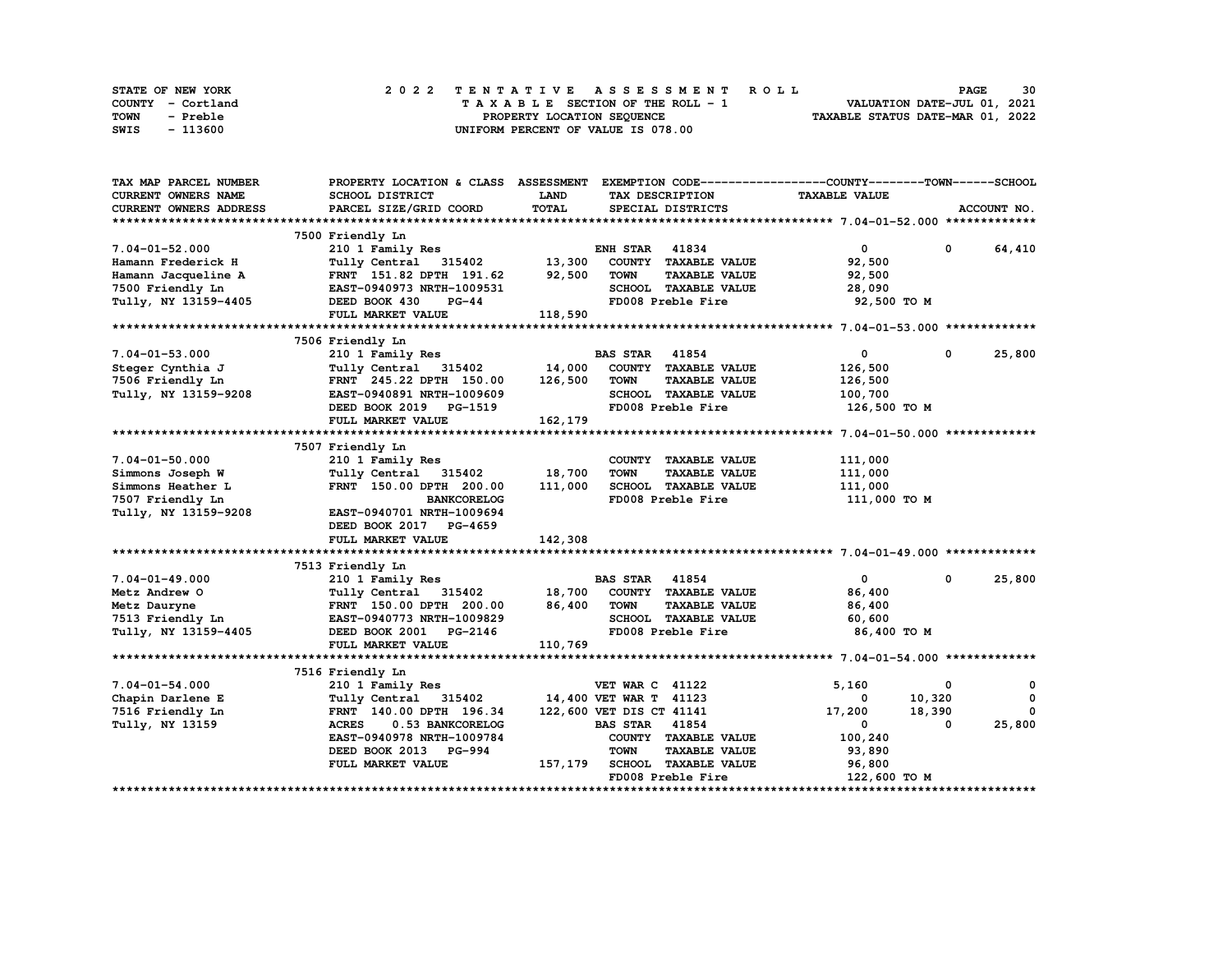| STATE OF NEW YORK | 2022 TENTATIVE ASSESSMENT ROLL     | 30<br><b>PAGE</b>                |
|-------------------|------------------------------------|----------------------------------|
| COUNTY - Cortland | TAXABLE SECTION OF THE ROLL - 1    | VALUATION DATE-JUL 01, 2021      |
| TOWN<br>- Preble  | PROPERTY LOCATION SEQUENCE         | TAXABLE STATUS DATE-MAR 01, 2022 |
| - 113600<br>SWIS  | UNIFORM PERCENT OF VALUE IS 078.00 |                                  |

| TAX MAP PARCEL NUMBER  | PROPERTY LOCATION & CLASS ASSESSMENT |         | EXEMPTION CODE------------------COUNTY-------TOWN------SCHOOL |                      |                        |
|------------------------|--------------------------------------|---------|---------------------------------------------------------------|----------------------|------------------------|
| CURRENT OWNERS NAME    | SCHOOL DISTRICT                      | LAND    | TAX DESCRIPTION                                               | <b>TAXABLE VALUE</b> |                        |
| CURRENT OWNERS ADDRESS | PARCEL SIZE/GRID COORD               | TOTAL   | SPECIAL DISTRICTS                                             |                      | ACCOUNT NO.            |
|                        |                                      |         |                                                               |                      |                        |
|                        | 7500 Friendly Ln                     |         |                                                               |                      |                        |
| $7.04 - 01 - 52.000$   | 210 1 Family Res                     |         | <b>ENH STAR 41834</b>                                         | $\mathbf{0}$         | 64,410<br>$\mathbf 0$  |
| Hamann Frederick H     | Tully Central 315402 13,300          |         | COUNTY TAXABLE VALUE                                          | 92,500               |                        |
| Hamann Jacqueline A    | FRNT 151.82 DPTH 191.62              | 92,500  | <b>TOWN</b><br><b>TAXABLE VALUE</b>                           | 92,500               |                        |
| 7500 Friendly Ln       | EAST-0940973 NRTH-1009531            |         | SCHOOL TAXABLE VALUE                                          | 28,090               |                        |
| Tully, NY 13159-4405   | DEED BOOK 430<br>$PG-44$             |         | FD008 Preble Fire                                             | 92,500 TO M          |                        |
|                        |                                      |         |                                                               |                      |                        |
|                        | FULL MARKET VALUE                    | 118,590 |                                                               |                      |                        |
|                        |                                      |         |                                                               |                      |                        |
|                        | 7506 Friendly Ln                     |         |                                                               |                      |                        |
| $7.04 - 01 - 53.000$   | 210 1 Family Res                     |         | <b>BAS STAR</b><br>41854                                      | $\mathbf{0}$         | 25,800<br>$^{\circ}$   |
| Steger Cynthia J       | Tully Central 315402                 | 14,000  | COUNTY TAXABLE VALUE                                          | 126,500              |                        |
| 7506 Friendly Ln       | FRNT 245.22 DPTH 150.00              | 126,500 | <b>TOWN</b><br><b>TAXABLE VALUE</b>                           | 126,500              |                        |
| Tully, NY 13159-9208   | EAST-0940891 NRTH-1009609            |         | SCHOOL TAXABLE VALUE                                          | 100,700              |                        |
|                        | DEED BOOK 2019 PG-1519               |         | FD008 Preble Fire                                             | 126,500 TO M         |                        |
|                        | FULL MARKET VALUE                    | 162,179 |                                                               |                      |                        |
|                        |                                      |         |                                                               |                      |                        |
|                        | 7507 Friendly Ln                     |         |                                                               |                      |                        |
| $7.04 - 01 - 50.000$   | 210 1 Family Res                     |         | COUNTY TAXABLE VALUE                                          | 111,000              |                        |
| Simmons Joseph W       | Tully Central 315402                 | 18,700  | <b>TOWN</b><br><b>TAXABLE VALUE</b>                           | 111,000              |                        |
| Simmons Heather L      | FRNT 150.00 DPTH 200.00              | 111,000 | SCHOOL TAXABLE VALUE                                          | 111,000              |                        |
| 7507 Friendly Ln       | <b>BANKCORELOG</b>                   |         | FD008 Preble Fire                                             | 111,000 TO M         |                        |
| Tully, NY 13159-9208   | EAST-0940701 NRTH-1009694            |         |                                                               |                      |                        |
|                        | DEED BOOK 2017 PG-4659               |         |                                                               |                      |                        |
|                        | FULL MARKET VALUE                    | 142,308 |                                                               |                      |                        |
|                        |                                      |         |                                                               |                      |                        |
|                        |                                      |         |                                                               |                      |                        |
|                        | 7513 Friendly Ln                     |         |                                                               |                      |                        |
| $7.04 - 01 - 49.000$   | 210 1 Family Res                     |         | <b>BAS STAR 41854</b>                                         | $\mathbf{0}$         | $\mathbf{0}$<br>25,800 |
| Metz Andrew O          | Tully Central 315402                 | 18,700  | COUNTY TAXABLE VALUE                                          | 86,400               |                        |
| Metz Dauryne           | FRNT 150.00 DPTH 200.00              | 86,400  | <b>TOWN</b><br><b>TAXABLE VALUE</b>                           | 86,400               |                        |
| 7513 Friendly Ln       | EAST-0940773 NRTH-1009829            |         | SCHOOL TAXABLE VALUE                                          | 60,600               |                        |
| Tully, NY 13159-4405   | DEED BOOK 2001 PG-2146               |         | FD008 Preble Fire                                             | 86,400 TO M          |                        |
|                        | FULL MARKET VALUE                    | 110,769 |                                                               |                      |                        |
|                        |                                      |         |                                                               |                      |                        |
|                        | 7516 Friendly Ln                     |         |                                                               |                      |                        |
| $7.04 - 01 - 54.000$   | 210 1 Family Res                     |         | <b>VET WAR C 41122</b>                                        | 5,160                | 0<br>0                 |
| Chapin Darlene E       | Tully Central 315402                 |         | 14,400 VET WAR T 41123                                        | 0                    | 10,320<br>$\mathbf{0}$ |
| 7516 Friendly Ln       | FRNT 140.00 DPTH 196.34              |         | 122,600 VET DIS CT 41141                                      | 17,200               | $\mathbf{o}$<br>18,390 |
| Tully, NY 13159        | <b>ACRES</b><br>0.53 BANKCORELOG     |         | 41854<br><b>BAS STAR</b>                                      | $\mathbf{0}$         | 25,800<br>0            |
|                        | EAST-0940978 NRTH-1009784            |         | COUNTY TAXABLE VALUE                                          | 100,240              |                        |
|                        | DEED BOOK 2013 PG-994                |         | TOWN<br><b>TAXABLE VALUE</b>                                  | 93,890               |                        |
|                        | FULL MARKET VALUE                    | 157,179 | SCHOOL TAXABLE VALUE                                          | 96,800               |                        |
|                        |                                      |         | FD008 Preble Fire                                             | 122,600 TO M         |                        |
|                        |                                      |         |                                                               |                      |                        |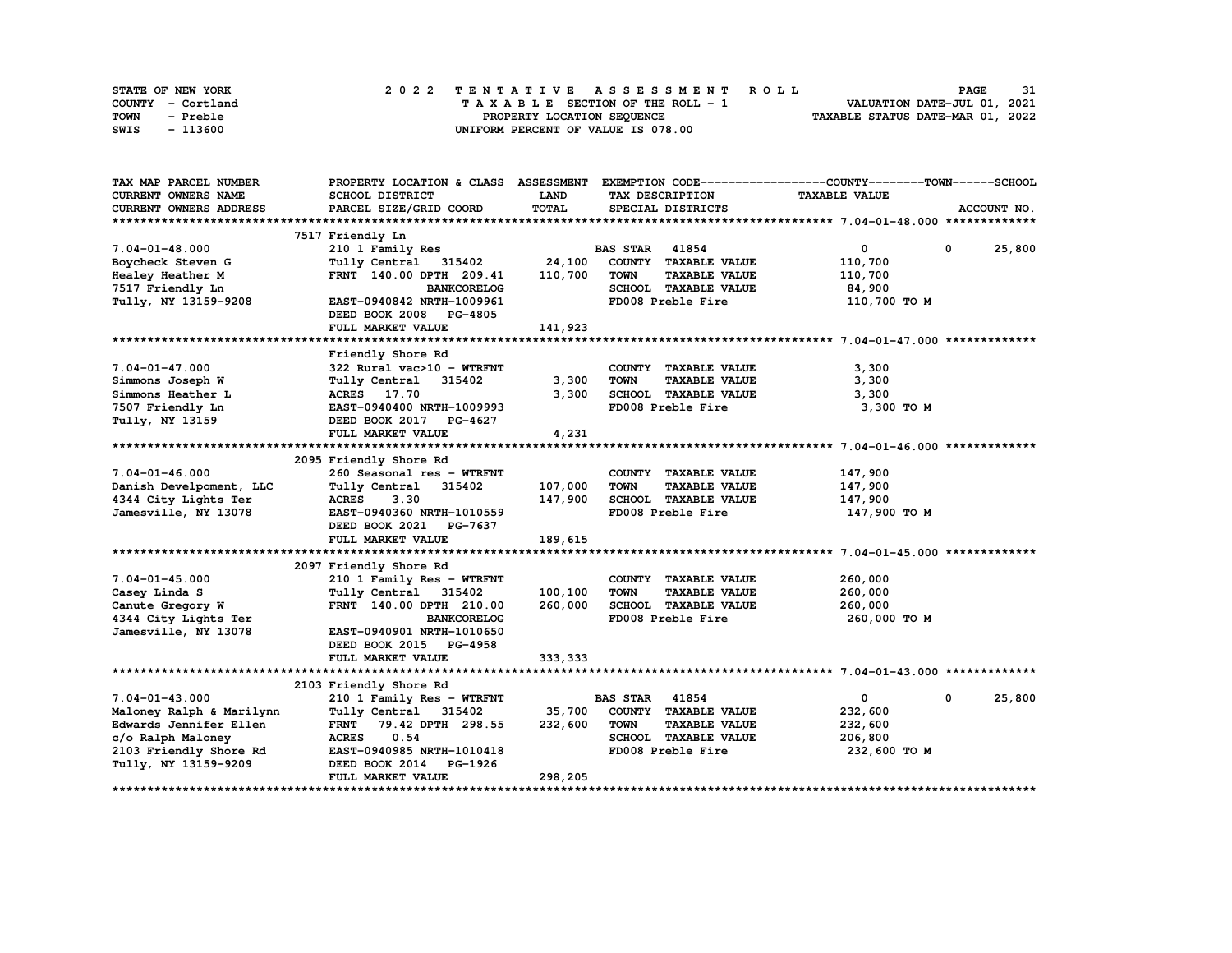|      | STATE OF NEW YORK |  |  |  |  |  | 2022 TENTATIVE ASSESSMENT ROLL     |  |  |  |  |  |  |                                  |                             |  | <b>PAGE</b> | 31 |
|------|-------------------|--|--|--|--|--|------------------------------------|--|--|--|--|--|--|----------------------------------|-----------------------------|--|-------------|----|
|      | COUNTY - Cortland |  |  |  |  |  | TAXABLE SECTION OF THE ROLL - 1    |  |  |  |  |  |  |                                  | VALUATION DATE-JUL 01, 2021 |  |             |    |
| TOWN | - Preble          |  |  |  |  |  | PROPERTY LOCATION SEQUENCE         |  |  |  |  |  |  | TAXABLE STATUS DATE-MAR 01, 2022 |                             |  |             |    |
| SWIS | - 113600          |  |  |  |  |  | UNIFORM PERCENT OF VALUE IS 078.00 |  |  |  |  |  |  |                                  |                             |  |             |    |

| TAX MAP PARCEL NUMBER         | PROPERTY LOCATION & CLASS ASSESSMENT |             | EXEMPTION CODE-----------------COUNTY-------TOWN------SCHOOL |                      |                        |
|-------------------------------|--------------------------------------|-------------|--------------------------------------------------------------|----------------------|------------------------|
| CURRENT OWNERS NAME           | <b>SCHOOL DISTRICT</b>               | <b>LAND</b> | TAX DESCRIPTION                                              | <b>TAXABLE VALUE</b> |                        |
| <b>CURRENT OWNERS ADDRESS</b> | PARCEL SIZE/GRID COORD               | TOTAL       | SPECIAL DISTRICTS                                            |                      | ACCOUNT NO.            |
|                               |                                      |             |                                                              |                      |                        |
|                               | 7517 Friendly Ln                     |             |                                                              |                      |                        |
| $7.04 - 01 - 48.000$          | 210 1 Family Res                     |             | <b>BAS STAR 41854</b>                                        | $\mathbf{0}$         | 25,800<br>$\mathbf{0}$ |
| Boycheck Steven G             | Tully Central 315402                 | 24,100      | COUNTY TAXABLE VALUE                                         | 110,700              |                        |
|                               |                                      |             |                                                              |                      |                        |
| Healey Heather M              | FRNT 140.00 DPTH 209.41              | 110,700     | <b>TOWN</b><br><b>TAXABLE VALUE</b>                          | 110,700              |                        |
| 7517 Friendly Ln              | <b>BANKCORELOG</b>                   |             | SCHOOL TAXABLE VALUE                                         | 84,900               |                        |
| Tully, NY 13159-9208          | EAST-0940842 NRTH-1009961            |             | FD008 Preble Fire                                            | 110,700 TO M         |                        |
|                               | DEED BOOK 2008 PG-4805               |             |                                                              |                      |                        |
|                               | FULL MARKET VALUE                    | 141,923     |                                                              |                      |                        |
|                               |                                      |             |                                                              |                      |                        |
|                               | Friendly Shore Rd                    |             |                                                              |                      |                        |
| $7.04 - 01 - 47.000$          | 322 Rural vac>10 - WTRFNT            |             | COUNTY TAXABLE VALUE                                         | 3,300                |                        |
| Simmons Joseph W              | Tully Central 315402                 | 3,300       | <b>TAXABLE VALUE</b><br>TOWN                                 | 3,300                |                        |
| Simmons Heather L             | <b>ACRES</b> 17.70                   | 3,300       | SCHOOL TAXABLE VALUE                                         | 3,300                |                        |
| 7507 Friendly Ln              | EAST-0940400 NRTH-1009993            |             | FD008 Preble Fire                                            | 3,300 TO M           |                        |
| Tully, NY 13159               | DEED BOOK 2017 PG-4627               |             |                                                              |                      |                        |
|                               | FULL MARKET VALUE                    | 4,231       |                                                              |                      |                        |
|                               |                                      |             |                                                              |                      |                        |
|                               |                                      |             |                                                              |                      |                        |
|                               | 2095 Friendly Shore Rd               |             |                                                              |                      |                        |
| $7.04 - 01 - 46.000$          | 260 Seasonal res - WTRFNT            |             | COUNTY TAXABLE VALUE                                         | 147,900              |                        |
| Danish Develpoment, LLC       | Tully Central 315402                 | 107,000     | TOWN<br><b>TAXABLE VALUE</b>                                 | 147,900              |                        |
| 4344 City Lights Ter          | <b>ACRES</b><br>3.30                 | 147,900     | SCHOOL TAXABLE VALUE                                         | 147,900              |                        |
| Jamesville, NY 13078          | EAST-0940360 NRTH-1010559            |             | FD008 Preble Fire                                            | 147,900 TO M         |                        |
|                               | DEED BOOK 2021 PG-7637               |             |                                                              |                      |                        |
|                               | FULL MARKET VALUE                    | 189,615     |                                                              |                      |                        |
|                               |                                      |             |                                                              |                      |                        |
|                               | 2097 Friendly Shore Rd               |             |                                                              |                      |                        |
| $7.04 - 01 - 45.000$          | 210 1 Family Res - WTRFNT            |             | COUNTY TAXABLE VALUE                                         | 260,000              |                        |
| Casey Linda S                 | Tully Central 315402                 | 100,100     | <b>TOWN</b><br><b>TAXABLE VALUE</b>                          | 260,000              |                        |
| Canute Gregory W              | FRNT 140.00 DPTH 210.00              | 260,000     | SCHOOL TAXABLE VALUE                                         | 260,000              |                        |
| 4344 City Lights Ter          | <b>BANKCORELOG</b>                   |             | FD008 Preble Fire                                            | 260,000 TO M         |                        |
| Jamesville, NY 13078          | EAST-0940901 NRTH-1010650            |             |                                                              |                      |                        |
|                               |                                      |             |                                                              |                      |                        |
|                               | DEED BOOK 2015 PG-4958               |             |                                                              |                      |                        |
|                               | FULL MARKET VALUE                    | 333, 333    |                                                              |                      |                        |
|                               |                                      |             |                                                              |                      |                        |
|                               | 2103 Friendly Shore Rd               |             |                                                              |                      |                        |
| $7.04 - 01 - 43.000$          | 210 1 Family Res - WTRFNT            |             | <b>BAS STAR 41854</b>                                        | $\mathbf{0}$         | 25,800<br>$^{\circ}$   |
| Maloney Ralph & Marilynn      | Tully Central 315402                 | 35,700      | COUNTY TAXABLE VALUE                                         | 232,600              |                        |
| Edwards Jennifer Ellen        | FRNT 79.42 DPTH 298.55               | 232,600     | TOWN<br><b>TAXABLE VALUE</b>                                 | 232,600              |                        |
| c/o Ralph Maloney             | <b>ACRES</b><br>0.54                 |             | SCHOOL TAXABLE VALUE                                         | 206,800              |                        |
| 2103 Friendly Shore Rd        | EAST-0940985 NRTH-1010418            |             | FD008 Preble Fire                                            | 232,600 то м         |                        |
| Tully, NY 13159-9209          | DEED BOOK 2014 PG-1926               |             |                                                              |                      |                        |
|                               | FULL MARKET VALUE                    | 298,205     |                                                              |                      |                        |
|                               |                                      |             |                                                              |                      |                        |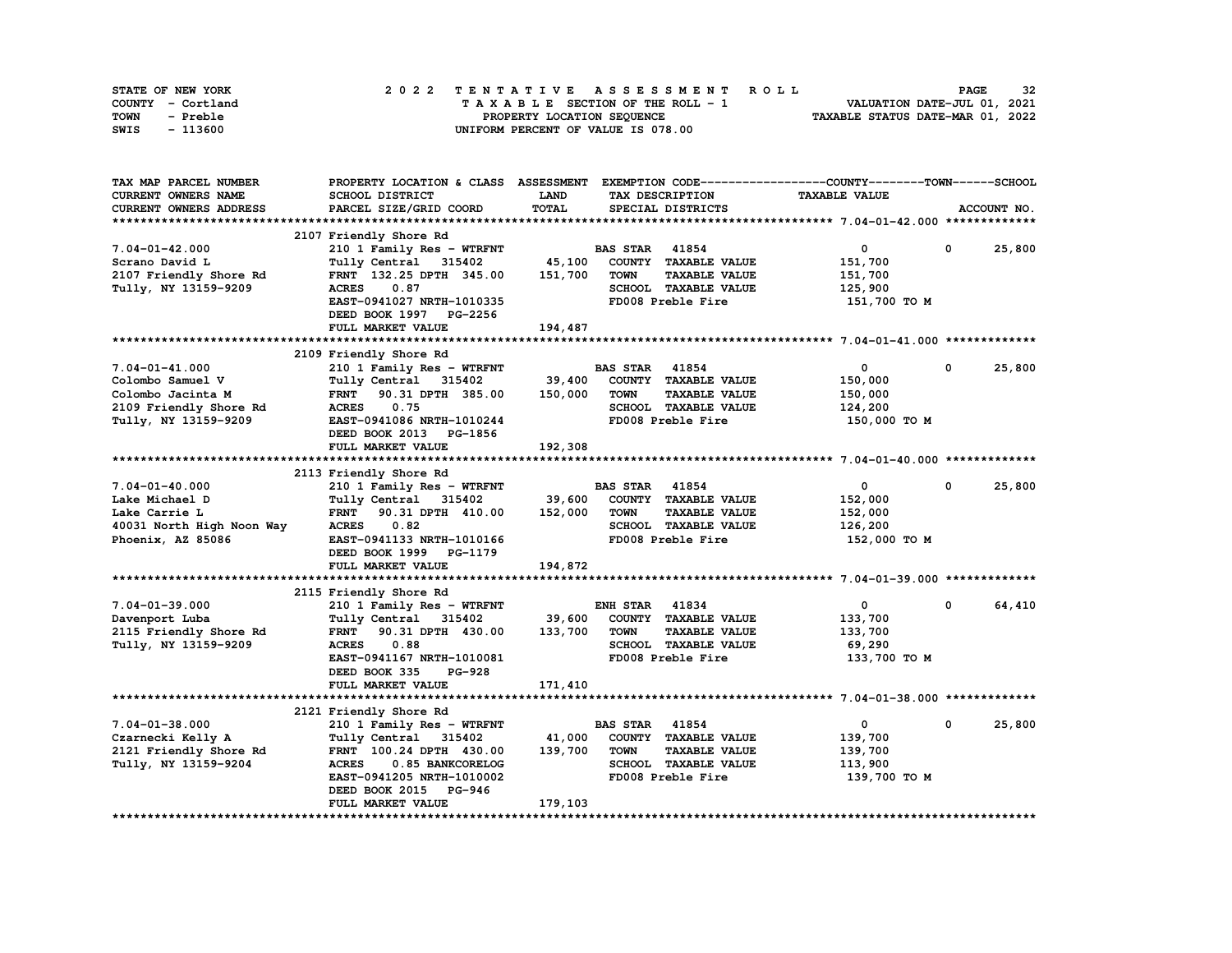| STATE OF NEW YORK | 2022 TENTATIVE ASSESSMENT ROLL     | 32<br><b>PAGE</b>                |
|-------------------|------------------------------------|----------------------------------|
| COUNTY - Cortland | TAXABLE SECTION OF THE ROLL - 1    | VALUATION DATE-JUL 01, 2021      |
| TOWN<br>- Preble  | PROPERTY LOCATION SEQUENCE         | TAXABLE STATUS DATE-MAR 01, 2022 |
| - 113600<br>SWIS  | UNIFORM PERCENT OF VALUE IS 078.00 |                                  |

| TAX MAP PARCEL NUMBER         | PROPERTY LOCATION & CLASS ASSESSMENT |         |                                     | EXEMPTION CODE-----------------COUNTY-------TOWN-----SCHOOL |                        |
|-------------------------------|--------------------------------------|---------|-------------------------------------|-------------------------------------------------------------|------------------------|
| CURRENT OWNERS NAME           | <b>SCHOOL DISTRICT</b>               | LAND    | TAX DESCRIPTION                     | <b>TAXABLE VALUE</b>                                        |                        |
| <b>CURRENT OWNERS ADDRESS</b> | PARCEL SIZE/GRID COORD               | TOTAL   | SPECIAL DISTRICTS                   |                                                             | ACCOUNT NO.            |
|                               |                                      |         |                                     |                                                             |                        |
|                               | 2107 Friendly Shore Rd               |         |                                     |                                                             |                        |
| $7.04 - 01 - 42.000$          | 210 1 Family Res - WTRFNT            |         | <b>BAS STAR 41854</b>               | 0                                                           | 25,800<br>0            |
| Scrano David L                | Tully Central 315402                 | 45,100  | COUNTY TAXABLE VALUE                | 151,700                                                     |                        |
| 2107 Friendly Shore Rd        | FRNT 132.25 DPTH 345.00              | 151,700 | <b>TAXABLE VALUE</b><br><b>TOWN</b> | 151,700                                                     |                        |
| Tully, NY 13159-9209          | <b>ACRES</b><br>0.87                 |         | SCHOOL TAXABLE VALUE                | 125,900                                                     |                        |
|                               | EAST-0941027 NRTH-1010335            |         | FD008 Preble Fire                   | 151,700 TO M                                                |                        |
|                               | DEED BOOK 1997 PG-2256               |         |                                     |                                                             |                        |
|                               | FULL MARKET VALUE                    | 194,487 |                                     |                                                             |                        |
|                               |                                      |         |                                     |                                                             |                        |
|                               | 2109 Friendly Shore Rd               |         |                                     |                                                             |                        |
| $7.04 - 01 - 41.000$          | 210 1 Family Res - WTRFNT            |         | <b>BAS STAR 41854</b>               | $\mathbf 0$                                                 | $\mathbf{0}$<br>25,800 |
| Colombo Samuel V              | Tully Central 315402                 | 39,400  | COUNTY TAXABLE VALUE                | 150,000                                                     |                        |
| Colombo Jacinta M             | <b>FRNT</b><br>90.31 DPTH 385.00     | 150,000 | <b>TOWN</b><br><b>TAXABLE VALUE</b> | 150,000                                                     |                        |
| 2109 Friendly Shore Rd        | <b>ACRES</b><br>0.75                 |         | SCHOOL TAXABLE VALUE                | 124,200                                                     |                        |
| Tully, NY 13159-9209          | EAST-0941086 NRTH-1010244            |         | FD008 Preble Fire                   | 150,000 то м                                                |                        |
|                               | DEED BOOK 2013 PG-1856               |         |                                     |                                                             |                        |
|                               | FULL MARKET VALUE                    | 192,308 |                                     |                                                             |                        |
|                               |                                      |         |                                     |                                                             |                        |
|                               | 2113 Friendly Shore Rd               |         |                                     |                                                             |                        |
| $7.04 - 01 - 40.000$          | 210 1 Family Res - WTRFNT            |         | <b>BAS STAR</b> 41854               | $\mathbf 0$                                                 | $\mathbf{0}$<br>25,800 |
| Lake Michael D                | Tully Central 315402                 | 39,600  | COUNTY TAXABLE VALUE                | 152,000                                                     |                        |
| Lake Carrie L                 | FRNT 90.31 DPTH 410.00               | 152,000 | <b>TOWN</b><br><b>TAXABLE VALUE</b> | 152,000                                                     |                        |
| 40031 North High Noon Way     | 0.82<br><b>ACRES</b>                 |         | SCHOOL TAXABLE VALUE                | 126,200                                                     |                        |
| Phoenix, AZ 85086             | EAST-0941133 NRTH-1010166            |         | FD008 Preble Fire                   | 152,000 TO M                                                |                        |
|                               | DEED BOOK 1999 PG-1179               |         |                                     |                                                             |                        |
|                               | FULL MARKET VALUE                    | 194,872 |                                     |                                                             |                        |
|                               |                                      |         |                                     |                                                             |                        |
|                               | 2115 Friendly Shore Rd               |         |                                     |                                                             |                        |
| $7.04 - 01 - 39.000$          |                                      |         | <b>ENH STAR 41834</b>               | $\mathbf{0}$                                                | 0<br>64,410            |
|                               | 210 1 Family Res - WTRFNT            |         |                                     |                                                             |                        |
| Davenport Luba                | Tully Central 315402                 | 39,600  | COUNTY TAXABLE VALUE                | 133,700                                                     |                        |
| 2115 Friendly Shore Rd        | FRNT 90.31 DPTH 430.00               | 133,700 | <b>TAXABLE VALUE</b><br><b>TOWN</b> | 133,700                                                     |                        |
| Tully, NY 13159-9209          | <b>ACRES</b><br>0.88                 |         | SCHOOL TAXABLE VALUE                | 69,290                                                      |                        |
|                               | EAST-0941167 NRTH-1010081            |         | FD008 Preble Fire                   | 133,700 TO M                                                |                        |
|                               | DEED BOOK 335<br><b>PG-928</b>       |         |                                     |                                                             |                        |
|                               | FULL MARKET VALUE                    | 171,410 |                                     |                                                             |                        |
|                               |                                      |         |                                     |                                                             |                        |
|                               | 2121 Friendly Shore Rd               |         |                                     |                                                             |                        |
| $7.04 - 01 - 38.000$          | 210 1 Family Res - WTRFNT            |         | <b>BAS STAR 41854</b>               | $\mathbf 0$                                                 | 25,800<br>$\mathbf{0}$ |
| Czarnecki Kelly A             | Tully Central 315402                 | 41,000  | COUNTY TAXABLE VALUE                | 139,700                                                     |                        |
| 2121 Friendly Shore Rd        | FRNT 100.24 DPTH 430.00              | 139,700 | <b>TOWN</b><br><b>TAXABLE VALUE</b> | 139,700                                                     |                        |
| Tully, NY 13159-9204          | <b>ACRES</b><br>0.85 BANKCORELOG     |         | SCHOOL TAXABLE VALUE                | 113,900                                                     |                        |
|                               | EAST-0941205 NRTH-1010002            |         | FD008 Preble Fire                   | 139,700 то м                                                |                        |
|                               | DEED BOOK 2015 PG-946                |         |                                     |                                                             |                        |
|                               | FULL MARKET VALUE                    | 179,103 |                                     |                                                             |                        |
|                               |                                      |         |                                     |                                                             |                        |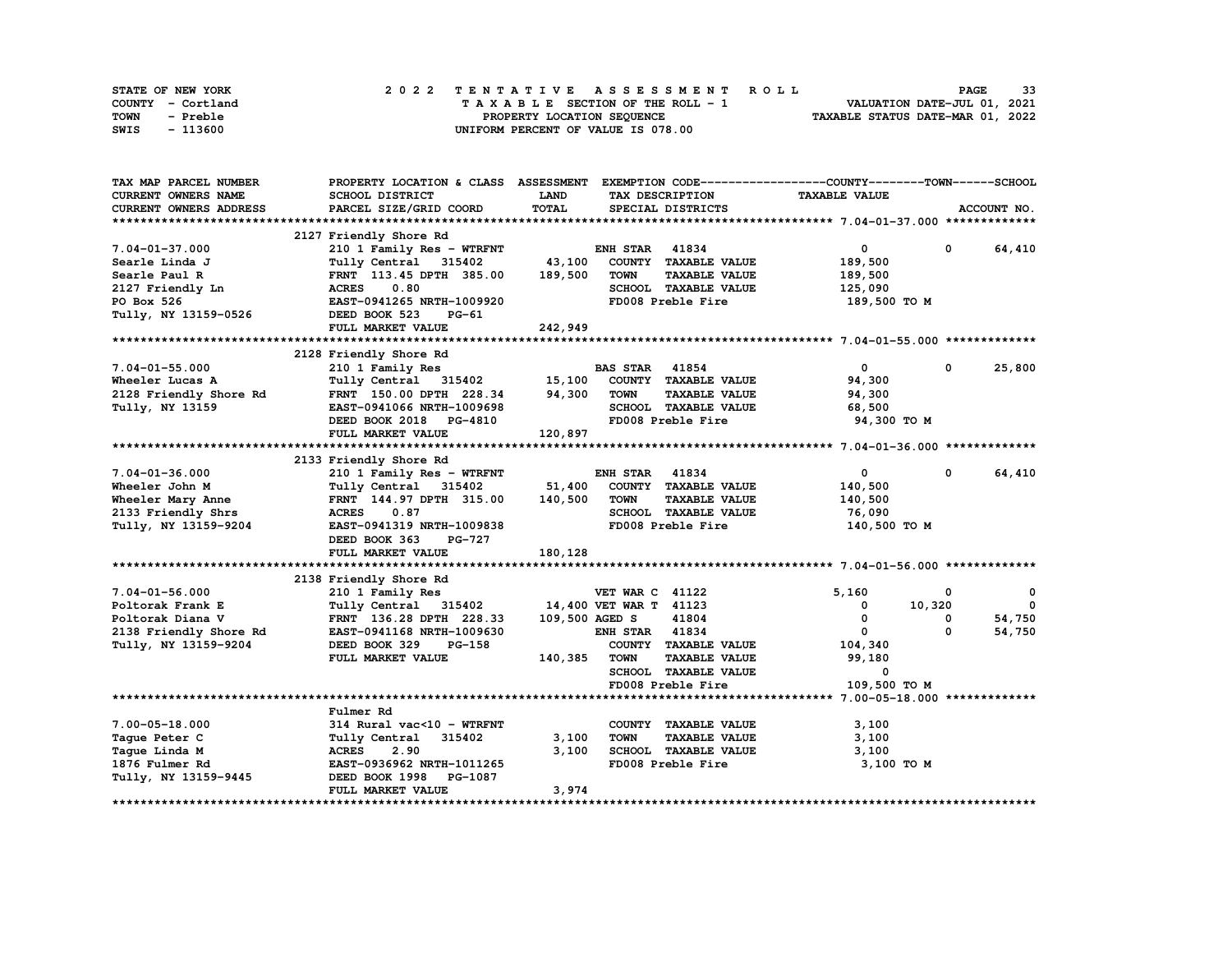|      | STATE OF NEW YORK |  |  |  |  |  |                                    |  |  |  |  |  | 2022 TENTATIVE ASSESSMENT ROLL |                                  | <b>PAGE</b>                 | 33 |
|------|-------------------|--|--|--|--|--|------------------------------------|--|--|--|--|--|--------------------------------|----------------------------------|-----------------------------|----|
|      | COUNTY - Cortland |  |  |  |  |  | TAXABLE SECTION OF THE ROLL - 1    |  |  |  |  |  |                                |                                  | VALUATION DATE-JUL 01, 2021 |    |
| TOWN | - Preble          |  |  |  |  |  | PROPERTY LOCATION SEOUENCE         |  |  |  |  |  |                                | TAXABLE STATUS DATE-MAR 01, 2022 |                             |    |
| SWIS | - 113600          |  |  |  |  |  | UNIFORM PERCENT OF VALUE IS 078.00 |  |  |  |  |  |                                |                                  |                             |    |

| TAX MAP PARCEL NUMBER      | PROPERTY LOCATION & CLASS ASSESSMENT |                | EXEMPTION CODE-----------------COUNTY-------TOWN-----SCHOOL |                      |             |              |
|----------------------------|--------------------------------------|----------------|-------------------------------------------------------------|----------------------|-------------|--------------|
| <b>CURRENT OWNERS NAME</b> | SCHOOL DISTRICT                      | <b>LAND</b>    | TAX DESCRIPTION                                             | <b>TAXABLE VALUE</b> |             |              |
| CURRENT OWNERS ADDRESS     | PARCEL SIZE/GRID COORD               | TOTAL          | SPECIAL DISTRICTS                                           |                      |             | ACCOUNT NO.  |
|                            |                                      |                |                                                             |                      |             |              |
|                            | 2127 Friendly Shore Rd               |                |                                                             |                      |             |              |
| $7.04 - 01 - 37.000$       | 210 1 Family Res - WTRFNT            |                | <b>ENH STAR 41834</b>                                       | 0                    | 0           | 64,410       |
| Searle Linda J             | Tully Central 315402                 | 43,100         | COUNTY TAXABLE VALUE                                        | 189,500              |             |              |
| Searle Paul R              | FRNT 113.45 DPTH 385.00              | 189,500        | <b>TOWN</b><br><b>TAXABLE VALUE</b>                         | 189,500              |             |              |
|                            | <b>ACRES</b><br>0.80                 |                | SCHOOL TAXABLE VALUE                                        |                      |             |              |
| 2127 Friendly Ln           |                                      |                |                                                             | 125,090              |             |              |
| PO Box 526                 | EAST-0941265 NRTH-1009920            |                | FD008 Preble Fire                                           | 189,500 TO M         |             |              |
| Tully, NY 13159-0526       | DEED BOOK 523<br>PG-61               |                |                                                             |                      |             |              |
|                            | FULL MARKET VALUE                    | 242,949        |                                                             |                      |             |              |
|                            |                                      |                |                                                             |                      |             |              |
|                            | 2128 Friendly Shore Rd               |                |                                                             |                      |             |              |
| $7.04 - 01 - 55.000$       | 210 1 Family Res                     |                | <b>BAS STAR 41854</b>                                       | $\mathbf{0}$         | $\mathbf 0$ | 25,800       |
| Wheeler Lucas A            | Tully Central 315402                 | 15,100         | COUNTY TAXABLE VALUE                                        | 94,300               |             |              |
| 2128 Friendly Shore Rd     | FRNT 150.00 DPTH 228.34              | 94,300         | <b>TOWN</b><br><b>TAXABLE VALUE</b>                         | 94,300               |             |              |
| Tully, NY 13159            | EAST-0941066 NRTH-1009698            |                | SCHOOL TAXABLE VALUE                                        | 68,500               |             |              |
|                            | DEED BOOK 2018 PG-4810               |                | FD008 Preble Fire                                           | 94,300 TO M          |             |              |
|                            | FULL MARKET VALUE                    | 120,897        |                                                             |                      |             |              |
|                            |                                      |                |                                                             |                      |             |              |
|                            | 2133 Friendly Shore Rd               |                |                                                             |                      |             |              |
| $7.04 - 01 - 36.000$       | 210 1 Family Res - WTRFNT            |                | <b>ENH STAR 41834</b>                                       | $\Omega$             | 0           | 64,410       |
| Wheeler John M             | Tully Central 315402                 | 51,400         | COUNTY TAXABLE VALUE                                        | 140,500              |             |              |
|                            | FRNT 144.97 DPTH 315.00              | 140,500        | <b>TAXABLE VALUE</b><br><b>TOWN</b>                         | 140,500              |             |              |
| Wheeler Mary Anne          |                                      |                | SCHOOL TAXABLE VALUE                                        |                      |             |              |
| 2133 Friendly Shrs         | <b>ACRES</b><br>0.87                 |                |                                                             | 76,090               |             |              |
| Tully, NY 13159-9204       | EAST-0941319 NRTH-1009838            |                | FD008 Preble Fire                                           | 140,500 TO M         |             |              |
|                            | DEED BOOK 363<br>PG-727              |                |                                                             |                      |             |              |
|                            | FULL MARKET VALUE                    | 180,128        |                                                             |                      |             |              |
|                            |                                      |                |                                                             |                      |             |              |
|                            | 2138 Friendly Shore Rd               |                |                                                             |                      |             |              |
| $7.04 - 01 - 56.000$       | 210 1 Family Res                     |                | <b>VET WAR C 41122</b>                                      | 5,160                | 0           | 0            |
| Poltorak Frank E           | Tully Central 315402                 |                | 14,400 VET WAR T 41123                                      | 0                    | 10,320      | $\mathbf{0}$ |
| Poltorak Diana V           | FRNT 136.28 DPTH 228.33              | 109,500 AGED S | 41804                                                       | 0                    | 0           | 54,750       |
| 2138 Friendly Shore Rd     | EAST-0941168 NRTH-1009630            |                | <b>ENH STAR 41834</b>                                       | $\mathbf{0}$         | 0           | 54,750       |
| Tully, NY 13159-9204       | <b>PG-158</b><br>DEED BOOK 329       |                | COUNTY TAXABLE VALUE                                        | 104,340              |             |              |
|                            | FULL MARKET VALUE                    | 140,385        | <b>TOWN</b><br><b>TAXABLE VALUE</b>                         | 99,180               |             |              |
|                            |                                      |                | SCHOOL TAXABLE VALUE                                        | 0                    |             |              |
|                            |                                      |                | FD008 Preble Fire                                           | 109,500 TO M         |             |              |
|                            |                                      |                |                                                             |                      |             |              |
|                            | Fulmer Rd                            |                |                                                             |                      |             |              |
| $7.00 - 05 - 18.000$       | 314 Rural vac<10 - WTRFNT            |                | COUNTY TAXABLE VALUE                                        | 3,100                |             |              |
|                            | Tully Central 315402                 |                | <b>TAXABLE VALUE</b><br><b>TOWN</b>                         |                      |             |              |
| Taque Peter C              |                                      | 3,100          |                                                             | 3,100                |             |              |
| Taque Linda M              | <b>ACRES</b><br>2.90                 | 3,100          | SCHOOL TAXABLE VALUE                                        | 3,100                |             |              |
| 1876 Fulmer Rd             | EAST-0936962 NRTH-1011265            |                | FD008 Preble Fire                                           | 3,100 TO M           |             |              |
| Tully, NY 13159-9445       | DEED BOOK 1998 PG-1087               |                |                                                             |                      |             |              |
|                            | FULL MARKET VALUE                    | 3,974          |                                                             |                      |             |              |
|                            |                                      |                |                                                             |                      |             |              |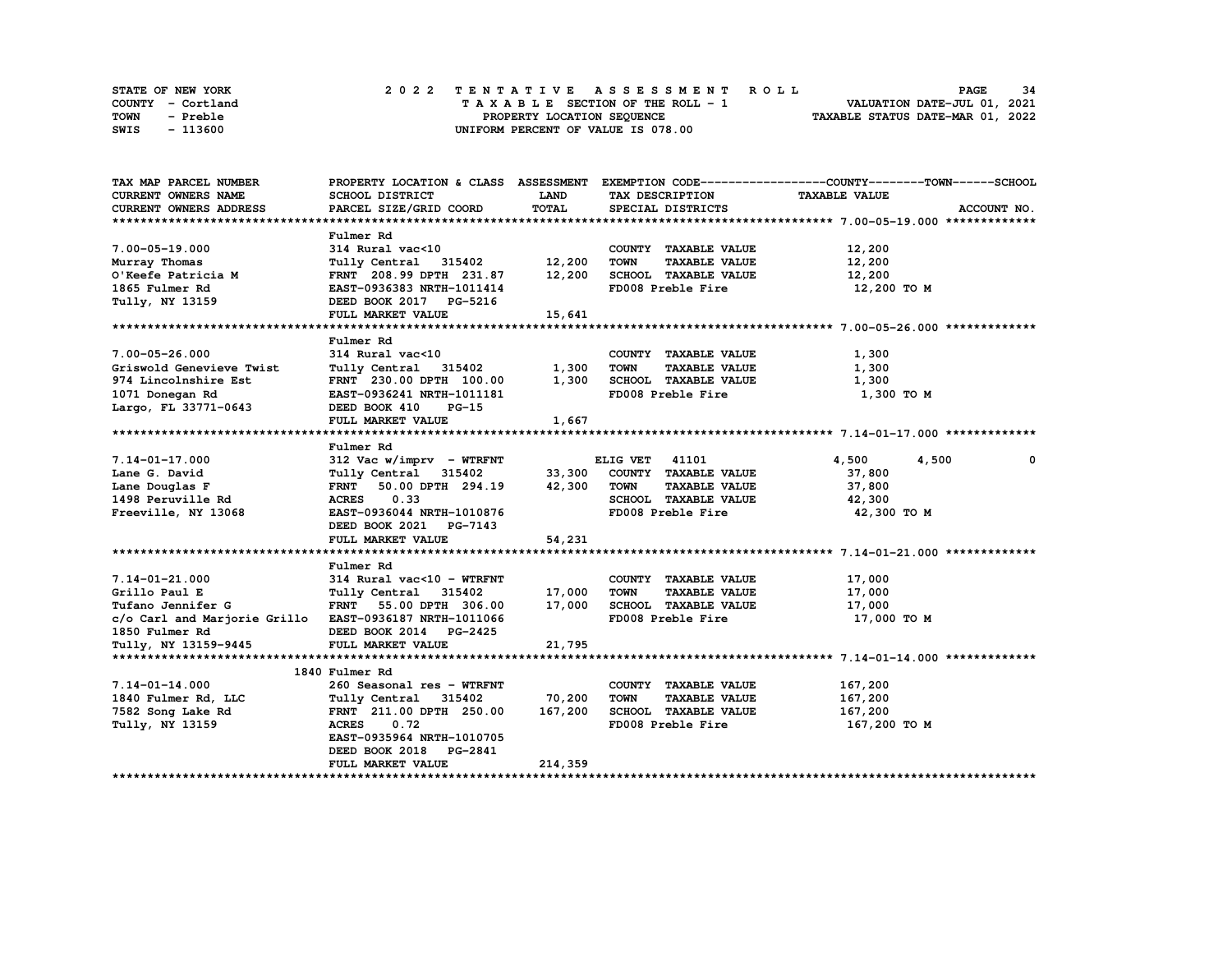| STATE OF NEW YORK | 2022 TENTATIVE ASSESSMENT ROLL     | -34<br>PAGE                      |
|-------------------|------------------------------------|----------------------------------|
| COUNTY - Cortland | TAXABLE SECTION OF THE ROLL - 1    | VALUATION DATE-JUL 01, 2021      |
| TOWN<br>- Preble  | PROPERTY LOCATION SEQUENCE         | TAXABLE STATUS DATE-MAR 01, 2022 |
| - 113600<br>SWIS  | UNIFORM PERCENT OF VALUE IS 078.00 |                                  |

| TAX MAP PARCEL NUMBER                                  |                                                        |             |                                           | PROPERTY LOCATION & CLASS ASSESSMENT EXEMPTION CODE----------------COUNTY-------TOWN-----SCHOOL |
|--------------------------------------------------------|--------------------------------------------------------|-------------|-------------------------------------------|-------------------------------------------------------------------------------------------------|
| CURRENT OWNERS NAME                                    | SCHOOL DISTRICT                                        | <b>LAND</b> | TAX DESCRIPTION                           | <b>TAXABLE VALUE</b>                                                                            |
| <b>CURRENT OWNERS ADDRESS</b>                          | PARCEL SIZE/GRID COORD                                 | TOTAL       | SPECIAL DISTRICTS                         | ACCOUNT NO.                                                                                     |
|                                                        |                                                        |             |                                           |                                                                                                 |
|                                                        | Fulmer Rd                                              |             |                                           |                                                                                                 |
| $7.00 - 05 - 19.000$                                   | 314 Rural vac<10                                       |             | COUNTY TAXABLE VALUE                      | 12,200                                                                                          |
| Murray Thomas                                          | Tully Central 315402 12,200                            |             | <b>TOWN</b><br><b>TAXABLE VALUE</b>       | 12,200                                                                                          |
|                                                        | FRNT 208.99 DPTH 231.87 12,200                         |             | SCHOOL TAXABLE VALUE                      | 12,200                                                                                          |
| O'Keefe Patricia M<br>1865 Fulmer Rd<br>1865 Fulmer Rd | EAST-0936383 NRTH-1011414                              |             | FD008 Preble Fire                         | 12,200 TO M                                                                                     |
| Tully, NY 13159                                        | DEED BOOK 2017 PG-5216                                 |             |                                           |                                                                                                 |
|                                                        | FULL MARKET VALUE                                      | 15,641      |                                           |                                                                                                 |
|                                                        |                                                        |             |                                           |                                                                                                 |
|                                                        | Fulmer Rd                                              |             |                                           |                                                                                                 |
| $7.00 - 05 - 26.000$                                   | 314 Rural vac<10                                       |             | COUNTY TAXABLE VALUE                      | 1,300                                                                                           |
| Griswold Genevieve Twist                               | ادة 1,300 central 315402<br>Tully Central 315402 1,300 |             | <b>TOWN</b><br><b>TAXABLE VALUE</b>       | 1,300                                                                                           |
| 974 Lincolnshire Est                                   | FRNT 230.00 DPTH 100.00 1,300 SCHOOL TAXABLE VALUE     |             |                                           | 1,300                                                                                           |
| 1071 Donegan Rd                                        | EAST-0936241 NRTH-1011181                              |             | FD008 Preble Fire                         | 1,300 TO M                                                                                      |
| Largo, FL 33771-0643                                   | $PG-15$<br>DEED BOOK 410                               |             |                                           |                                                                                                 |
|                                                        | FULL MARKET VALUE                                      | 1,667       |                                           |                                                                                                 |
|                                                        |                                                        |             |                                           |                                                                                                 |
|                                                        | Fulmer Rd                                              |             |                                           |                                                                                                 |
| $7.14 - 01 - 17.000$                                   | 312 Vac w/imprv - WTRFNT                               |             | ELIG VET 41101                            | 4,500<br>4,500<br>0                                                                             |
| Lane G. David                                          | Tully Central 315402 33,300 COUNTY TAXABLE VALUE       |             |                                           | 37,800                                                                                          |
| Lane Douglas F                                         | FRNT 50.00 DPTH 294.19 42,300                          |             | <b>TOWN</b><br><b>TAXABLE VALUE</b>       | 37,800                                                                                          |
| 1498 Peruville Rd                                      | ACRES 0.33                                             |             |                                           |                                                                                                 |
|                                                        | EAST-0936044 NRTH-1010876                              |             | SCHOOL TAXABLE VALUE<br>FD008 Preble Fire | 42,300                                                                                          |
| Freeville, NY 13068                                    |                                                        |             |                                           | 42,300 TO M                                                                                     |
|                                                        | DEED BOOK 2021 PG-7143                                 |             |                                           |                                                                                                 |
|                                                        | FULL MARKET VALUE                                      | 54,231      |                                           |                                                                                                 |
|                                                        |                                                        |             |                                           |                                                                                                 |
|                                                        | Fulmer Rd                                              |             |                                           |                                                                                                 |
| 7.14-01-21.000                                         | 314 Rural vac<10 - WTRFNT                              | 17,000      | COUNTY TAXABLE VALUE<br>TOWN              | 17,000                                                                                          |
| Grillo Paul E                                          | Tully Central 315402                                   |             | <b>TAXABLE VALUE</b>                      | 17,000                                                                                          |
| Tufano Jennifer G                                      | FRNT 55.00 DPTH 306.00                                 | 17,000      | SCHOOL TAXABLE VALUE 17,000               |                                                                                                 |
| c/o Carl and Marjorie Grillo EAST-0936187 NRTH-1011066 |                                                        |             | FD008 Preble Fire                         | 17,000 TO M                                                                                     |
| 1850 Fulmer Rd                                         | DEED BOOK 2014 PG-2425                                 |             |                                           |                                                                                                 |
| Tully, NY 13159-9445                                   | FULL MARKET VALUE                                      | 21,795      |                                           |                                                                                                 |
|                                                        |                                                        |             |                                           |                                                                                                 |
|                                                        | 1840 Fulmer Rd                                         |             |                                           |                                                                                                 |
| $7.14 - 01 - 14.000$                                   | 260 Seasonal res - WTRFNT                              | 70,200      | COUNTY TAXABLE VALUE                      | 167,200                                                                                         |
| 1840 Fulmer Rd, LLC                                    | Tully Central 315402                                   |             | TOWN<br><b>TAXABLE VALUE</b>              | 167,200                                                                                         |
| 7582 Song Lake Rd                                      | FRNT 211.00 DPTH 250.00 167,200                        |             | SCHOOL TAXABLE VALUE                      | 167,200                                                                                         |
| Tully, NY 13159                                        | ACRES 0.72                                             |             | FD008 Preble Fire                         | 167,200 то м                                                                                    |
|                                                        | EAST-0935964 NRTH-1010705                              |             |                                           |                                                                                                 |
|                                                        | DEED BOOK 2018 PG-2841                                 |             |                                           |                                                                                                 |
|                                                        | FULL MARKET VALUE                                      | 214,359     |                                           |                                                                                                 |
|                                                        |                                                        |             |                                           |                                                                                                 |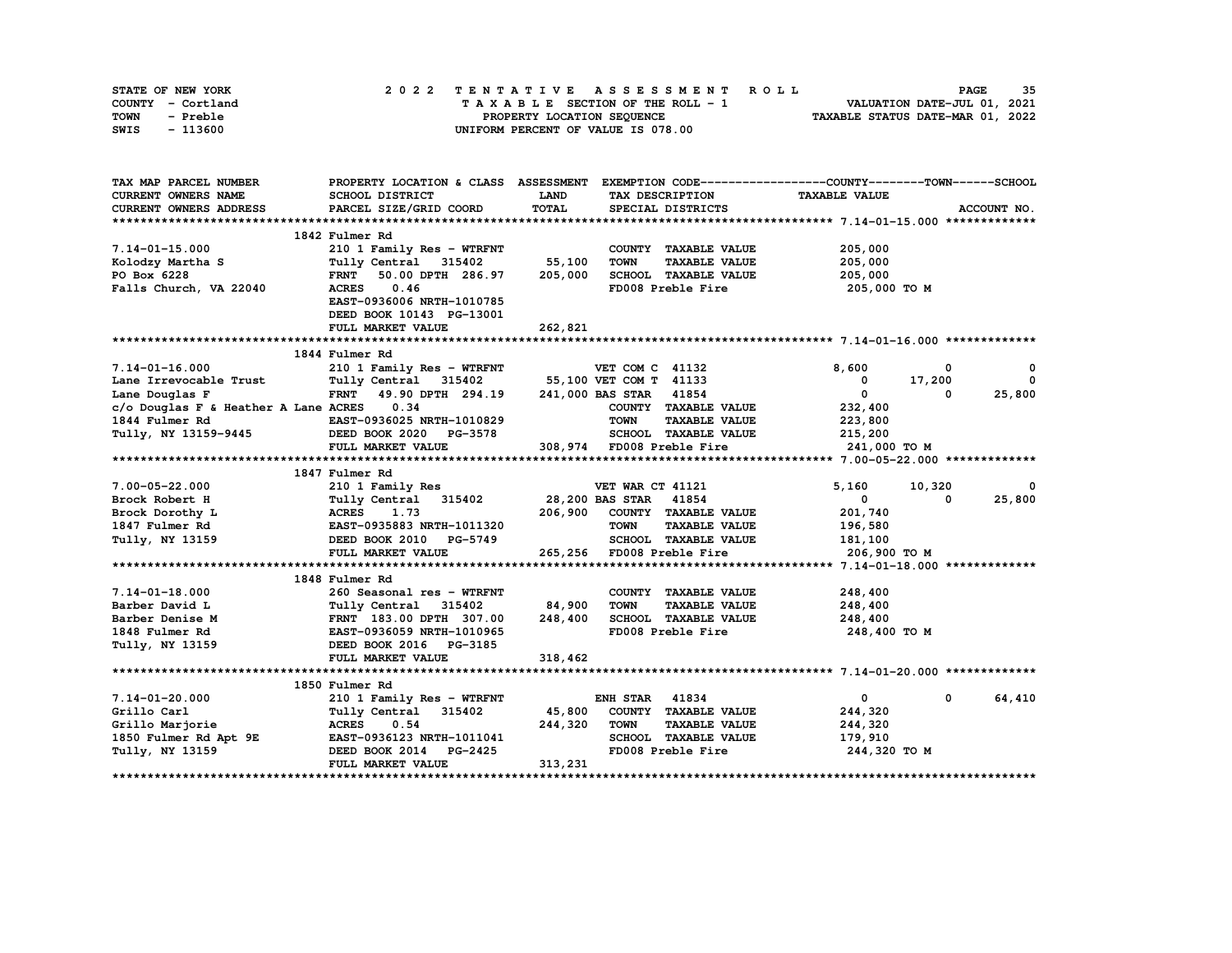| STATE OF NEW YORK |  |                            | 2022 TENTATIVE ASSESSMENT ROLL          |  | <b>PAGE</b>                      | 35 |
|-------------------|--|----------------------------|-----------------------------------------|--|----------------------------------|----|
| COUNTY - Cortland |  |                            | $T A X A B L E$ SECTION OF THE ROLL - 1 |  | VALUATION DATE-JUL 01, 2021      |    |
| TOWN<br>- Preble  |  | PROPERTY LOCATION SEQUENCE |                                         |  | TAXABLE STATUS DATE-MAR 01, 2022 |    |
| - 113600<br>SWIS  |  |                            | UNIFORM PERCENT OF VALUE IS 078.00      |  |                                  |    |

| TAX MAP PARCEL NUMBER                                                                                                                                                                     | PROPERTY LOCATION & CLASS ASSESSMENT                                 |             |                                               | EXEMPTION CODE-----------------COUNTY-------TOWN------SCHOOL |  |
|-------------------------------------------------------------------------------------------------------------------------------------------------------------------------------------------|----------------------------------------------------------------------|-------------|-----------------------------------------------|--------------------------------------------------------------|--|
| <b>CURRENT OWNERS NAME</b>                                                                                                                                                                | SCHOOL DISTRICT                                                      | <b>LAND</b> | TAX DESCRIPTION                               | <b>TAXABLE VALUE</b>                                         |  |
| <b>CURRENT OWNERS ADDRESS</b>                                                                                                                                                             | PARCEL SIZE/GRID COORD                                               | TOTAL       | SPECIAL DISTRICTS                             | ACCOUNT NO.                                                  |  |
|                                                                                                                                                                                           |                                                                      |             |                                               |                                                              |  |
|                                                                                                                                                                                           | 1842 Fulmer Rd                                                       |             |                                               |                                                              |  |
| $7.14 - 01 - 15.000$                                                                                                                                                                      | 210 1 Family Res - WTRFNT                                            |             | COUNTY TAXABLE VALUE                          | 205,000                                                      |  |
| Kolodzy Martha S                                                                                                                                                                          | Tully Central 315402                                                 | 55,100      | <b>TOWN</b><br><b>TAXABLE VALUE</b>           | 205,000                                                      |  |
| PO Box 6228                                                                                                                                                                               | FRNT 50.00 DPTH 286.97                                               | 205,000     | SCHOOL TAXABLE VALUE                          | 205,000                                                      |  |
| Falls Church, VA 22040                                                                                                                                                                    | <b>ACRES</b><br>0.46                                                 |             | FD008 Preble Fire                             | 205,000 TO M                                                 |  |
|                                                                                                                                                                                           | EAST-0936006 NRTH-1010785                                            |             |                                               |                                                              |  |
|                                                                                                                                                                                           | DEED BOOK 10143 PG-13001                                             |             |                                               |                                                              |  |
|                                                                                                                                                                                           | FULL MARKET VALUE                                                    | 262,821     |                                               |                                                              |  |
|                                                                                                                                                                                           |                                                                      |             |                                               |                                                              |  |
|                                                                                                                                                                                           | 1844 Fulmer Rd                                                       |             |                                               |                                                              |  |
| 7.14-01-16.000                                                                                                                                                                            | 210 1 Family Res - WTRFNT                                            |             | VET COM C 41132                               | 8,600<br>0<br>0                                              |  |
| Lane Irrevocable Trust                                                                                                                                                                    | Tully Central 315402 55,100 VET COM T 41133                          |             |                                               | 17,200<br>$\Omega$<br>$^{\circ}$                             |  |
| Lane Douglas F                                                                                                                                                                            | FRNT 49.90 DPTH 294.19                                               |             | 241,000 BAS STAR 41854                        | $\mathbf{0}$<br>25,800<br>0                                  |  |
| c/o Douglas F & Heather A Lane ACRES                                                                                                                                                      | 0.34                                                                 |             | COUNTY TAXABLE VALUE                          | 232,400                                                      |  |
| 1844 Fulmer Rd                                                                                                                                                                            | EAST-0936025 NRTH-1010829                                            |             | <b>TOWN</b><br><b>TAXABLE VALUE</b>           | 223,800                                                      |  |
| Tully, NY 13159-9445 DEED BOOK 2020 PG-3578                                                                                                                                               |                                                                      |             | SCHOOL TAXABLE VALUE                          | 215,200                                                      |  |
|                                                                                                                                                                                           | FULL MARKET VALUE                                                    |             | 308,974 FD008 Preble Fire                     | 241,000 TO M                                                 |  |
|                                                                                                                                                                                           |                                                                      |             |                                               |                                                              |  |
|                                                                                                                                                                                           | 1847 Fulmer Rd                                                       |             |                                               |                                                              |  |
| $7.00 - 05 - 22.000$                                                                                                                                                                      | 210 1 Family Res                                                     |             | VET WAR CT 41121                              | 5,160<br>10,320<br>0                                         |  |
| Brock Robert H                                                                                                                                                                            | Tully Central 315402                                                 |             | 28,200 BAS STAR 41854                         | 25,800<br>0<br>0                                             |  |
| Brock Dorothy L                                                                                                                                                                           | <b>ACRES</b><br>1.73                                                 |             | 206,900 COUNTY TAXABLE VALUE                  | 201,740                                                      |  |
|                                                                                                                                                                                           |                                                                      |             | <b>TAXABLE VALUE</b>                          | 196,580                                                      |  |
|                                                                                                                                                                                           |                                                                      |             | SCHOOL TAXABLE VALUE                          | 181,100                                                      |  |
| Brock Dorothy Land Movement 20035883 NRTH-1011320 TOWN TAXABLE VA<br>Tully, NY 13159 DEED BOOK 2010 PG-5749 SCHOOL TAXABLE VA<br>FULL MARKET VALUE 265,256 FD008 Preble Fire              |                                                                      |             |                                               | 206,900 то м                                                 |  |
|                                                                                                                                                                                           |                                                                      |             |                                               |                                                              |  |
|                                                                                                                                                                                           | 1848 Fulmer Rd                                                       |             |                                               |                                                              |  |
| $7.14 - 01 - 18.000$                                                                                                                                                                      | 260 Seasonal res - WTRFNT                                            |             | COUNTY TAXABLE VALUE                          | 248,400                                                      |  |
| Barber David L                                                                                                                                                                            | Tully Central 315402                                                 | 84,900      | <b>TOWN</b><br><b>TAXABLE VALUE</b>           | 248,400                                                      |  |
| Barber Denise M                                                                                                                                                                           |                                                                      | 248,400     | SCHOOL TAXABLE VALUE                          | 248,400                                                      |  |
| 1848 Fulmer Rd                                                                                                                                                                            | FRNT 183.00 DPTH 507.00<br>EAST-0936059 NRTH-1010965<br>CALC DC-3185 |             | FD008 Preble Fire                             | 248,400 TO M                                                 |  |
|                                                                                                                                                                                           | DEED BOOK 2016 PG-3185                                               |             |                                               |                                                              |  |
| Tully, NY 13159                                                                                                                                                                           | FULL MARKET VALUE                                                    | 318,462     |                                               |                                                              |  |
|                                                                                                                                                                                           |                                                                      |             |                                               |                                                              |  |
|                                                                                                                                                                                           | 1850 Fulmer Rd                                                       |             |                                               |                                                              |  |
|                                                                                                                                                                                           |                                                                      |             |                                               | $\overline{0}$<br>$^{\circ}$                                 |  |
| $7.14 - 01 - 20.000$<br>Grillo Carl                                                                                                                                                       | 210 1 Family Res - WTRFNT<br>Tully Central 315402                    | 45,800      | <b>ENH STAR 41834</b><br>COUNTY TAXABLE VALUE | 64,410<br>244,320                                            |  |
|                                                                                                                                                                                           |                                                                      | 244,320     |                                               |                                                              |  |
|                                                                                                                                                                                           |                                                                      |             | TOWN<br><b>TAXABLE VALUE</b>                  | 244,320                                                      |  |
| Grillo Marjorie                       ACRES     0.54<br>1850 Fulmer Rd Apt 9E             EAST-0936123 NRTH-1011041<br>Tully, NY 13159                         DEED BOOK 2014     PG-2425 |                                                                      |             | SCHOOL TAXABLE VALUE                          | 179,910                                                      |  |
|                                                                                                                                                                                           | DEED BOOK 2014 PG-2425                                               |             | FD008 Preble Fire                             | 244,320 TO M                                                 |  |
|                                                                                                                                                                                           | FULL MARKET VALUE                                                    | 313,231     |                                               |                                                              |  |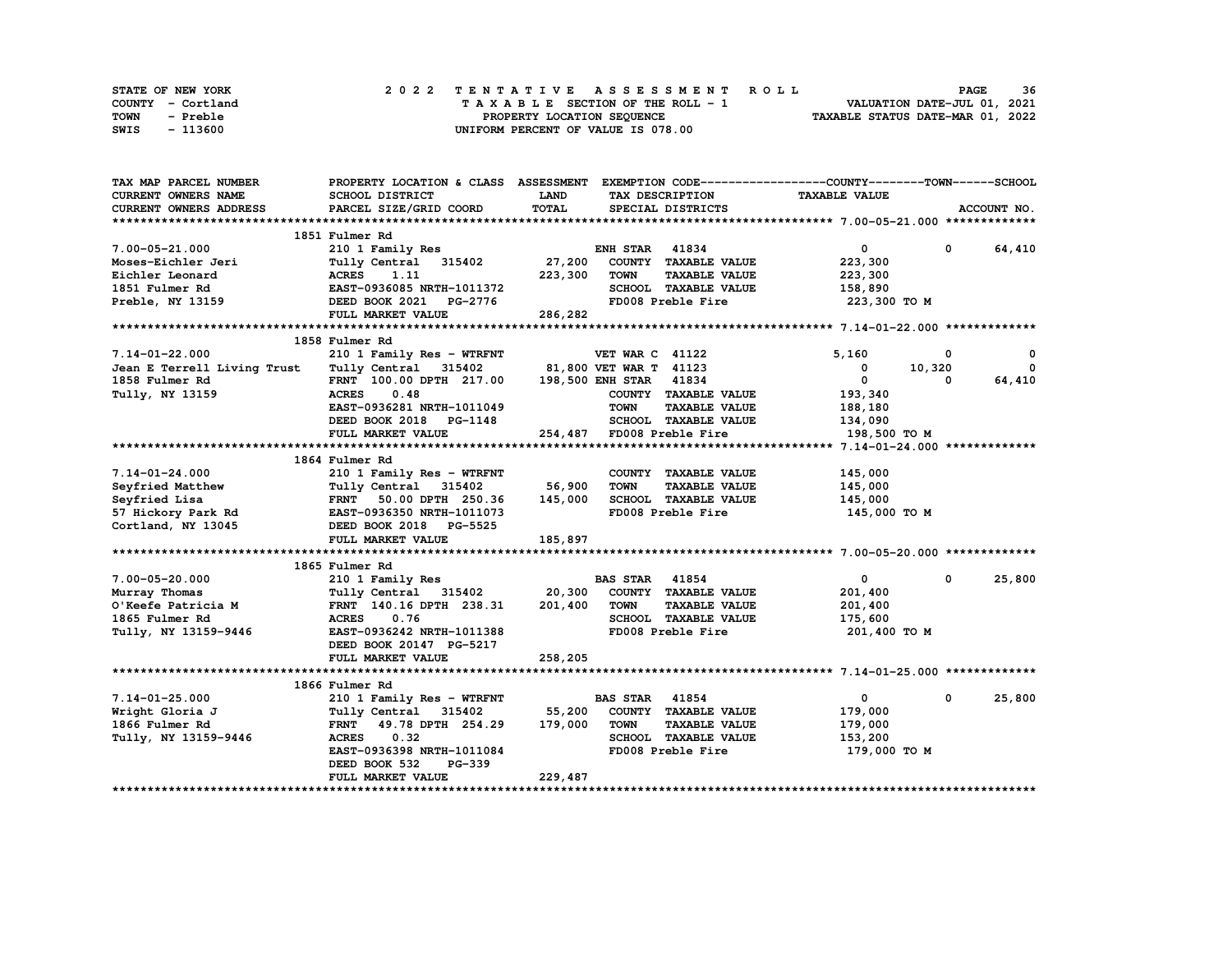| <b>STATE OF NEW YORK</b> | 2022 TENTATIVE ASSESSMENT ROLL          | 36<br><b>PAGE</b>                |
|--------------------------|-----------------------------------------|----------------------------------|
| COUNTY - Cortland        | $T A X A B L E$ SECTION OF THE ROLL - 1 | VALUATION DATE-JUL 01, 2021      |
| TOWN<br>- Preble         | PROPERTY LOCATION SEQUENCE              | TAXABLE STATUS DATE-MAR 01, 2022 |
| - 113600<br>SWIS         | UNIFORM PERCENT OF VALUE IS 078.00      |                                  |

| TAX MAP PARCEL NUMBER                                                                                                                                                                                                 | PROPERTY LOCATION & CLASS ASSESSMENT EXEMPTION CODE----------------COUNTY-------TOWN------SCHOOL |             |                       |                           |                                |              |             |
|-----------------------------------------------------------------------------------------------------------------------------------------------------------------------------------------------------------------------|--------------------------------------------------------------------------------------------------|-------------|-----------------------|---------------------------|--------------------------------|--------------|-------------|
| CURRENT OWNERS NAME                                                                                                                                                                                                   | SCHOOL DISTRICT                                                                                  | <b>LAND</b> |                       | TAX DESCRIPTION           | <b>TAXABLE VALUE</b>           |              |             |
| <b>CURRENT OWNERS ADDRESS</b>                                                                                                                                                                                         | PARCEL SIZE/GRID COORD                                                                           | TOTAL       |                       | SPECIAL DISTRICTS         |                                |              | ACCOUNT NO. |
|                                                                                                                                                                                                                       |                                                                                                  |             |                       |                           |                                |              |             |
|                                                                                                                                                                                                                       | 1851 Fulmer Rd                                                                                   |             |                       |                           |                                |              |             |
| $7.00 - 05 - 21.000$                                                                                                                                                                                                  | 210 1 Family Res                                                                                 |             | <b>ENH STAR 41834</b> |                           | $\mathbf{0}$                   | $\mathbf{0}$ | 64,410      |
| Moses-Eichler Jeri                                                                                                                                                                                                    | Tully Central 315402                                                                             | 27,200      |                       | COUNTY TAXABLE VALUE      | 223,300                        |              |             |
| Eichler Leonard                                                                                                                                                                                                       |                                                                                                  | 223,300     | TOWN                  | <b>TAXABLE VALUE</b>      | 223,300                        |              |             |
| 1851 Fulmer Rd                                                                                                                                                                                                        |                                                                                                  |             |                       | SCHOOL TAXABLE VALUE      | 158,890                        |              |             |
| Preble, NY 13159                                                                                                                                                                                                      |                                                                                                  |             |                       |                           | FD008 Preble Fire 223,300 TO M |              |             |
|                                                                                                                                                                                                                       | FULL MARKET VALUE                                                                                |             |                       |                           |                                |              |             |
|                                                                                                                                                                                                                       |                                                                                                  |             |                       |                           |                                |              |             |
|                                                                                                                                                                                                                       | 1858 Fulmer Rd                                                                                   |             |                       |                           |                                |              |             |
|                                                                                                                                                                                                                       |                                                                                                  |             |                       |                           | 5,160                          | 0            | 0           |
| 7.14-01-22.000 210 1 Family Res - WTRFNT VET WAR C 41122<br>Jean E Terrell Living Trust Tully Central 315402 81,800 VET WAR T 41123<br>1858 Fulmer Rd FRNT 100.00 DPTH 217.00 198,500 ENH STAR 41834                  |                                                                                                  |             |                       |                           | $\overline{\mathbf{0}}$        | 10,320       | $^{\circ}$  |
|                                                                                                                                                                                                                       |                                                                                                  |             |                       |                           | $\overline{0}$                 | $\Omega$     |             |
|                                                                                                                                                                                                                       |                                                                                                  |             |                       |                           |                                |              | 64,410      |
| Tully, NY 13159                                                                                                                                                                                                       | <b>ACRES</b><br>0.48                                                                             |             |                       | COUNTY TAXABLE VALUE      | 193,340                        |              |             |
|                                                                                                                                                                                                                       | EAST-0936281 NRTH-1011049                                                                        |             | <b>TOWN</b>           | <b>TAXABLE VALUE</b>      | 188,180                        |              |             |
|                                                                                                                                                                                                                       | DEED BOOK 2018 PG-1148                                                                           |             |                       | SCHOOL TAXABLE VALUE      | 134,090                        |              |             |
|                                                                                                                                                                                                                       | FULL MARKET VALUE                                                                                |             |                       | 254,487 FD008 Preble Fire | 198,500 то м                   |              |             |
|                                                                                                                                                                                                                       |                                                                                                  |             |                       |                           |                                |              |             |
|                                                                                                                                                                                                                       | 1864 Fulmer Rd                                                                                   |             |                       |                           |                                |              |             |
| $7.14 - 01 - 24.000$                                                                                                                                                                                                  | 210 1 Family Res - WTRFNT                                                                        |             |                       | COUNTY TAXABLE VALUE      | 145,000                        |              |             |
|                                                                                                                                                                                                                       | Tully Central 315402 56,900                                                                      |             | <b>TOWN</b>           | <b>TAXABLE VALUE</b>      | 145,000                        |              |             |
| 7.14-01-24.000 210 1 Family Res - WTRFNT<br>Seyfried Matthew Tully Central 315402<br>Seyfried Lisa FRNT 50.00 DFH 250.36<br>57 Hickory Park Rd EAST-0936350 NRTH-1011073<br>Cortland, NY 13045 DEED BOOK 2018 PG-5525 |                                                                                                  | 145,000     |                       | SCHOOL TAXABLE VALUE      | 145,000                        |              |             |
|                                                                                                                                                                                                                       |                                                                                                  |             |                       | FD008 Preble Fire         | 145,000 TO M                   |              |             |
|                                                                                                                                                                                                                       |                                                                                                  |             |                       |                           |                                |              |             |
|                                                                                                                                                                                                                       | FULL MARKET VALUE                                                                                | 185,897     |                       |                           |                                |              |             |
|                                                                                                                                                                                                                       |                                                                                                  |             |                       |                           |                                |              |             |
|                                                                                                                                                                                                                       | 1865 Fulmer Rd                                                                                   |             |                       |                           |                                |              |             |
| 7.00-05-20.000                                                                                                                                                                                                        | 210 1 Family Res                                                                                 |             | <b>BAS STAR 41854</b> |                           | $\overline{0}$                 | $\mathbf{0}$ | 25,800      |
| Murray Thomas <b>Example 210 1 Contral 315402</b> 20,300                                                                                                                                                              |                                                                                                  |             |                       | COUNTY TAXABLE VALUE      | 201,400                        |              |             |
| O'Keefe Patricia M                                                                                                                                                                                                    | FRNT 140.16 DPTH 238.31 201,400 TOWN                                                             |             |                       | <b>TAXABLE VALUE</b>      | 201,400                        |              |             |
| 1865 Fulmer Rd                                                                                                                                                                                                        | ACRES 0.76                                                                                       |             |                       | SCHOOL TAXABLE VALUE      | 175,600                        |              |             |
| Tully, NY 13159-9446                                                                                                                                                                                                  | EAST-0936242 NRTH-1011388                                                                        |             |                       | FD008 Preble Fire         | 201,400 TO M                   |              |             |
|                                                                                                                                                                                                                       | DEED BOOK 20147 PG-5217                                                                          |             |                       |                           |                                |              |             |
|                                                                                                                                                                                                                       | FULL MARKET VALUE                                                                                | 258,205     |                       |                           |                                |              |             |
|                                                                                                                                                                                                                       |                                                                                                  |             |                       |                           |                                |              |             |
|                                                                                                                                                                                                                       | 1866 Fulmer Rd                                                                                   |             |                       |                           |                                |              |             |
|                                                                                                                                                                                                                       |                                                                                                  |             |                       |                           | $\mathbf{0}$                   | 0            | 25,800      |
| 7.14-01-25.000                                                                                                                                                                                                        |                                                                                                  |             |                       |                           |                                |              |             |
| Wright Gloria J<br>1966 Fulmer Rd                                                                                                                                                                                     |                                                                                                  |             |                       |                           | 179,000                        |              |             |
| 1866 Fulmer Rd                                                                                                                                                                                                        | FRNT 49.78 DPTH 254.29 179,000                                                                   |             | TOWN                  | <b>TAXABLE VALUE</b>      | 179,000                        |              |             |
| Tully, NY 13159-9446                                                                                                                                                                                                  | 0.32<br><b>ACRES</b>                                                                             |             |                       | SCHOOL TAXABLE VALUE      | 153,200                        |              |             |
|                                                                                                                                                                                                                       | EAST-0936398 NRTH-1011084                                                                        |             |                       | FD008 Preble Fire         | 179,000 то м                   |              |             |
|                                                                                                                                                                                                                       | PG-339<br>DEED BOOK 532                                                                          |             |                       |                           |                                |              |             |
|                                                                                                                                                                                                                       | FULL MARKET VALUE                                                                                | 229,487     |                       |                           |                                |              |             |
|                                                                                                                                                                                                                       |                                                                                                  |             |                       |                           |                                |              |             |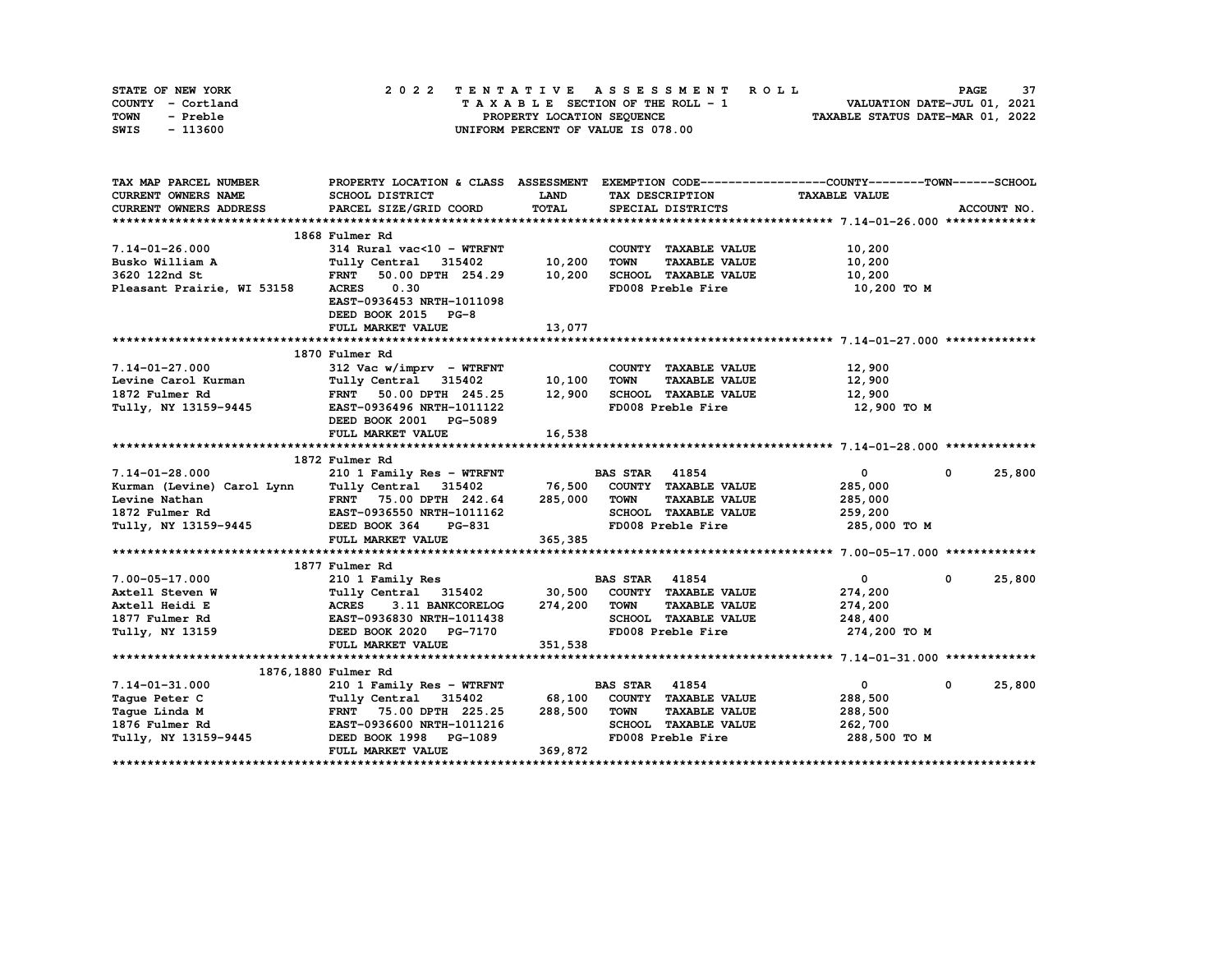| STATE OF NEW YORK | 2022 TENTATIVE ASSESSMENT ROLL     | 37<br><b>PAGE</b>                |
|-------------------|------------------------------------|----------------------------------|
| COUNTY - Cortland | TAXABLE SECTION OF THE ROLL - 1    | VALUATION DATE-JUL 01, 2021      |
| TOWN<br>- Preble  | PROPERTY LOCATION SEQUENCE         | TAXABLE STATUS DATE-MAR 01, 2022 |
| - 113600<br>SWIS  | UNIFORM PERCENT OF VALUE IS 078.00 |                                  |

| TAX MAP PARCEL NUMBER                                                                                                                                                                                                               | PROPERTY LOCATION & CLASS ASSESSMENT EXEMPTION CODE----------------COUNTY-------TOWN------SCHOOL                          |             |                                      |                      |                       |
|-------------------------------------------------------------------------------------------------------------------------------------------------------------------------------------------------------------------------------------|---------------------------------------------------------------------------------------------------------------------------|-------------|--------------------------------------|----------------------|-----------------------|
| CURRENT OWNERS NAME                                                                                                                                                                                                                 | SCHOOL DISTRICT                                                                                                           | <b>LAND</b> | TAX DESCRIPTION                      | <b>TAXABLE VALUE</b> |                       |
| CURRENT OWNERS ADDRESS                                                                                                                                                                                                              | PARCEL SIZE/GRID COORD                                                                                                    | TOTAL       | SPECIAL DISTRICTS                    |                      | ACCOUNT NO.           |
|                                                                                                                                                                                                                                     |                                                                                                                           |             |                                      |                      |                       |
|                                                                                                                                                                                                                                     | 1868 Fulmer Rd                                                                                                            |             |                                      |                      |                       |
| 7.14-01-26.000                                                                                                                                                                                                                      | 314 Rural vac<10 - WTRFNT                                                                                                 |             | COUNTY TAXABLE VALUE                 | 10,200               |                       |
| Busko William A                                                                                                                                                                                                                     | Tully Central 315402 10,200<br>FRNT 50.00 DPTH 254.29 10,200                                                              |             | <b>TOWN</b><br><b>TAXABLE VALUE</b>  | 10,200<br>10.200     |                       |
| 3620 122nd St                                                                                                                                                                                                                       |                                                                                                                           |             | SCHOOL TAXABLE VALUE                 | 10,200               |                       |
| Pleasant Prairie, WI 53158                                                                                                                                                                                                          | 0.30<br><b>ACRES</b>                                                                                                      |             | FD008 Preble Fire                    | 10,200 TO M          |                       |
|                                                                                                                                                                                                                                     | EAST-0936453 NRTH-1011098                                                                                                 |             |                                      |                      |                       |
|                                                                                                                                                                                                                                     | DEED BOOK 2015 PG-8                                                                                                       |             |                                      |                      |                       |
|                                                                                                                                                                                                                                     | FULL MARKET VALUE                                                                                                         | 13,077      |                                      |                      |                       |
|                                                                                                                                                                                                                                     |                                                                                                                           |             |                                      |                      |                       |
|                                                                                                                                                                                                                                     | 1870 Fulmer Rd                                                                                                            |             |                                      |                      |                       |
|                                                                                                                                                                                                                                     |                                                                                                                           |             | COUNTY TAXABLE VALUE                 | 12,900               |                       |
|                                                                                                                                                                                                                                     |                                                                                                                           |             |                                      | 12,900               |                       |
|                                                                                                                                                                                                                                     |                                                                                                                           |             |                                      | 12,900               |                       |
| 7.14-01-27.000 312 Vac w/imprv - wiking 10,100 TOWN TAXABLE VALUE<br>Levine Carol Kurman Tully Central 315402 10,100 TOWN TAXABLE VALUE<br>1979 Fulmer Rd FRNT 50.00 DPTH 245.25 12,900 SCHOOL TAXABLE VALUE<br>- 200406 NDTU-10111 |                                                                                                                           |             |                                      | 12,900 то м          |                       |
|                                                                                                                                                                                                                                     | DEED BOOK 2001 PG-5089                                                                                                    |             |                                      |                      |                       |
|                                                                                                                                                                                                                                     | FULL MARKET VALUE                                                                                                         | 16,538      |                                      |                      |                       |
|                                                                                                                                                                                                                                     |                                                                                                                           |             |                                      |                      |                       |
|                                                                                                                                                                                                                                     | 1872 Fulmer Rd                                                                                                            |             |                                      |                      |                       |
| $7.14 - 01 - 28.000$                                                                                                                                                                                                                | 210 1 Family Res - WTRFNT BAS STAR 41854                                                                                  |             |                                      | $\overline{0}$       | $\mathbf 0$<br>25,800 |
| Kurman (Levine) Carol Lynn Tully Central 315402 76,500 COUNTY TAXABLE VALUE                                                                                                                                                         |                                                                                                                           |             |                                      | 285,000              |                       |
|                                                                                                                                                                                                                                     |                                                                                                                           |             | <b>TAXABLE VALUE</b>                 | 285,000              |                       |
|                                                                                                                                                                                                                                     |                                                                                                                           |             | SCHOOL TAXABLE VALUE                 | 259,200              |                       |
| Levine Nathan 1872 Fulmer Rd<br>1872 Fulmer Rd<br>1872 Fulmer Rd<br>1872 Fulmer Rd<br>1872 Fully, NY 13159-9445<br>285,000 FOOR 364 PG-831                                                                                          |                                                                                                                           |             | FD008 Preble Fire                    | 285,000 TO M         |                       |
|                                                                                                                                                                                                                                     | FULL MARKET VALUE                                                                                                         | 365, 385    |                                      |                      |                       |
|                                                                                                                                                                                                                                     |                                                                                                                           |             |                                      |                      |                       |
|                                                                                                                                                                                                                                     | 1877 Fulmer Rd                                                                                                            |             |                                      |                      |                       |
| 7.00-05-17.000                                                                                                                                                                                                                      | 210 1 Family Res<br>Tully Central 315402 30,500 COUNTY TAXABLE VALUE                                                      |             |                                      | $\mathbf{0}$         | 25,800<br>$^{\circ}$  |
| Axtell Steven W                                                                                                                                                                                                                     |                                                                                                                           |             |                                      | 274,200              |                       |
| Axtell Heidi E                                                                                                                                                                                                                      |                                                                                                                           |             | 274,200 TOWN<br><b>TAXABLE VALUE</b> | 274,200              |                       |
| 1877 Fulmer Rd                                                                                                                                                                                                                      |                                                                                                                           |             | SCHOOL TAXABLE VALUE 248,400         |                      |                       |
| Tully, NY 13159                                                                                                                                                                                                                     | 210 1 Family Res<br>Tully Central 315402<br>ACRES 3.11 BANKCORELOG<br>EAST-0936830 NRTH-1011438<br>DEED BOOK 2020 PG-7170 |             | FD008 Preble Fire                    | 274,200 TO M         |                       |
|                                                                                                                                                                                                                                     | FULL MARKET VALUE                                                                                                         | 351,538     |                                      |                      |                       |
|                                                                                                                                                                                                                                     |                                                                                                                           |             |                                      |                      |                       |
|                                                                                                                                                                                                                                     | 1876,1880 Fulmer Rd                                                                                                       |             |                                      |                      |                       |
| $7.14 - 01 - 31.000$                                                                                                                                                                                                                | 210 1 Family Res - WTRFNT                                                                                                 |             | <b>BAS STAR 41854</b>                | $\overline{0}$       | 25,800<br>$\mathbf 0$ |
| Taque Peter C                                                                                                                                                                                                                       | Tully Central 315402 68,100                                                                                               |             | COUNTY TAXABLE VALUE                 | 288,500              |                       |
| Tague Linda M<br>1876 Fulmer Rd                                                                                                                                                                                                     |                                                                                                                           |             | <b>TAXABLE VALUE</b>                 | 288,500              |                       |
|                                                                                                                                                                                                                                     |                                                                                                                           |             | SCHOOL TAXABLE VALUE                 | 262,700              |                       |
| Tully, NY 13159-9445 DEED BOOK 1998 PG-1089                                                                                                                                                                                         |                                                                                                                           |             | FD008 Preble Fire                    | 288,500 TO M         |                       |
|                                                                                                                                                                                                                                     | FULL MARKET VALUE                                                                                                         | 369,872     |                                      |                      |                       |
|                                                                                                                                                                                                                                     |                                                                                                                           |             |                                      |                      |                       |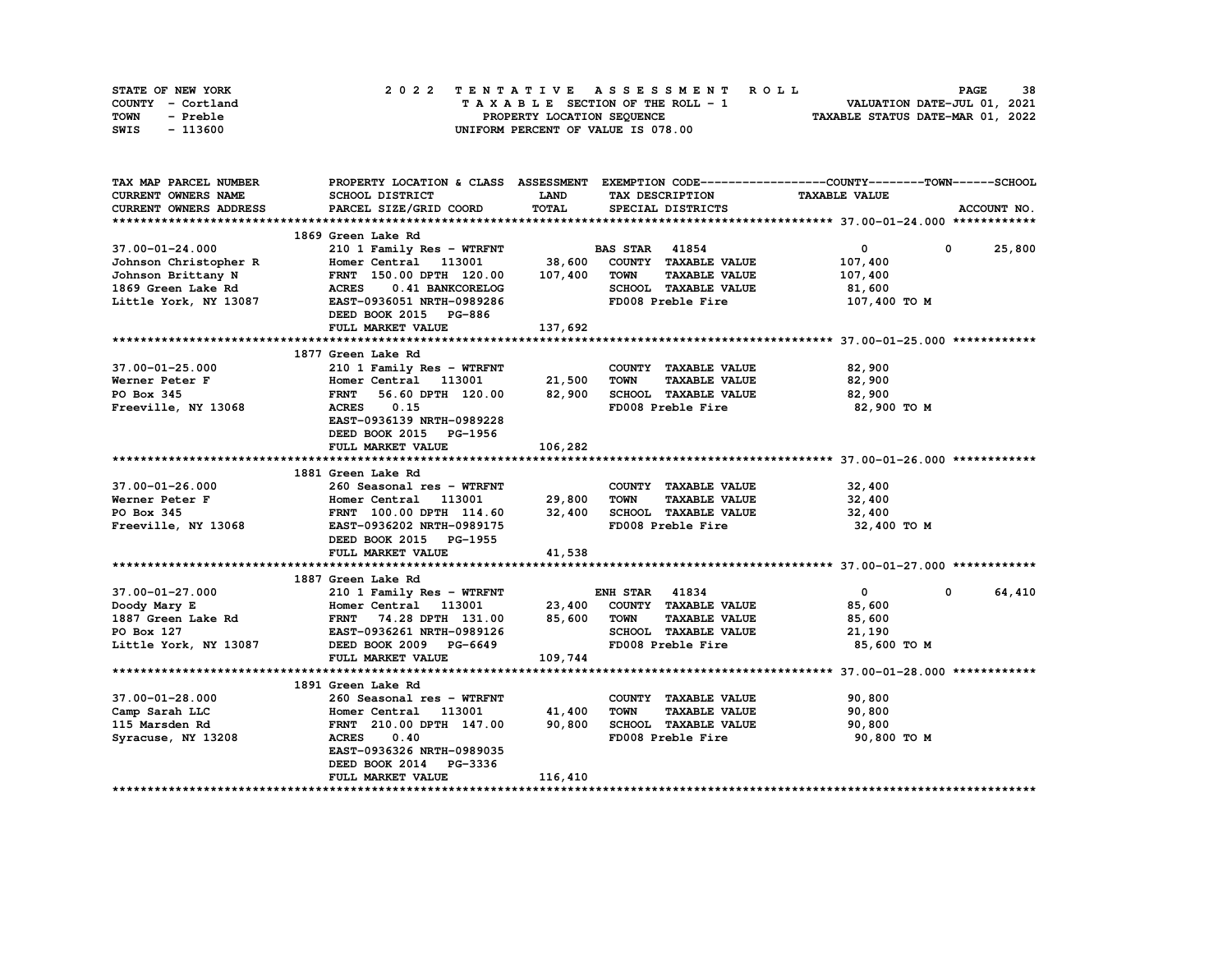| STATE OF NEW YORK | 2022 TENTATIVE ASSESSMENT ROLL     | 38<br><b>PAGE</b>                |
|-------------------|------------------------------------|----------------------------------|
| COUNTY - Cortland | TAXABLE SECTION OF THE ROLL - 1    | VALUATION DATE-JUL 01, 2021      |
| TOWN<br>- Preble  | PROPERTY LOCATION SEQUENCE         | TAXABLE STATUS DATE-MAR 01, 2022 |
| SWIS<br>- 113600  | UNIFORM PERCENT OF VALUE IS 078.00 |                                  |

| TAX MAP PARCEL NUMBER              |                                  |             |                                     | PROPERTY LOCATION & CLASS ASSESSMENT EXEMPTION CODE----------------COUNTY-------TOWN-----SCHOOL |             |
|------------------------------------|----------------------------------|-------------|-------------------------------------|-------------------------------------------------------------------------------------------------|-------------|
| <b>CURRENT OWNERS NAME</b>         | SCHOOL DISTRICT                  | <b>LAND</b> | TAX DESCRIPTION                     | <b>TAXABLE VALUE</b>                                                                            |             |
| CURRENT OWNERS ADDRESS             | PARCEL SIZE/GRID COORD           | TOTAL       | SPECIAL DISTRICTS                   |                                                                                                 | ACCOUNT NO. |
|                                    |                                  |             |                                     |                                                                                                 |             |
|                                    | 1869 Green Lake Rd               |             |                                     |                                                                                                 |             |
| 37.00-01-24.000                    | 210 1 Family Res - WTRFNT        |             | <b>BAS STAR</b> 41854               | $\overline{0}$<br>$\mathbf{0}$                                                                  | 25,800      |
| Johnson Christopher R              | Homer Central 113001             | 38,600      | COUNTY TAXABLE VALUE                | 107,400                                                                                         |             |
| Johnson Brittany N                 | FRNT 150.00 DPTH 120.00 107,400  |             | <b>TOWN</b><br><b>TAXABLE VALUE</b> | 107,400                                                                                         |             |
| 1869 Green Lake Rd                 | <b>ACRES</b><br>0.41 BANKCORELOG |             | SCHOOL TAXABLE VALUE                | 81,600                                                                                          |             |
| Little York, NY 13087              | EAST-0936051 NRTH-0989286        |             | FD008 Preble Fire                   | 107,400 TO M                                                                                    |             |
|                                    | DEED BOOK 2015 PG-886            |             |                                     |                                                                                                 |             |
|                                    | FULL MARKET VALUE                | 137,692     |                                     |                                                                                                 |             |
|                                    |                                  |             |                                     |                                                                                                 |             |
|                                    | 1877 Green Lake Rd               |             |                                     |                                                                                                 |             |
| 37.00-01-25.000                    | 210 1 Family Res - WTRFNT        |             | COUNTY TAXABLE VALUE                | 82,900                                                                                          |             |
| Werner Peter F                     | Homer Central 113001             | 21,500      | <b>TOWN</b><br><b>TAXABLE VALUE</b> | 82,900                                                                                          |             |
| PO Box 345                         | <b>FRNT</b><br>56.60 DPTH 120.00 | 82,900      | SCHOOL TAXABLE VALUE                | 82,900                                                                                          |             |
| Freeville, NY 13068                | ACRES 0.15                       |             | FD008 Preble Fire                   | 82,900 то м                                                                                     |             |
|                                    | EAST-0936139 NRTH-0989228        |             |                                     |                                                                                                 |             |
|                                    | DEED BOOK 2015 PG-1956           |             |                                     |                                                                                                 |             |
|                                    | FULL MARKET VALUE                | 106,282     |                                     |                                                                                                 |             |
|                                    |                                  |             |                                     |                                                                                                 |             |
|                                    | 1881 Green Lake Rd               |             |                                     |                                                                                                 |             |
| 37.00-01-26.000                    | 260 Seasonal res - WTRFNT        |             | COUNTY TAXABLE VALUE                | 32,400                                                                                          |             |
|                                    | Homer Central<br>113001          | 29,800      | <b>TAXABLE VALUE</b><br><b>TOWN</b> | 32,400                                                                                          |             |
| Werner Peter F<br>PO Box 345       | FRNT 100.00 DPTH 114.60          | 32,400      | SCHOOL TAXABLE VALUE                | 32,400                                                                                          |             |
| Freeville, NY 13068                | EAST-0936202 NRTH-0989175        |             | FD008 Preble Fire                   | 32,400 TO M                                                                                     |             |
|                                    | DEED BOOK 2015 PG-1955           |             |                                     |                                                                                                 |             |
|                                    | FULL MARKET VALUE                | 41,538      |                                     |                                                                                                 |             |
|                                    |                                  |             |                                     |                                                                                                 |             |
|                                    | 1887 Green Lake Rd               |             |                                     |                                                                                                 |             |
| 37.00-01-27.000                    | 210 1 Family Res - WTRFNT        |             | <b>ENH STAR 41834</b>               | $\bullet$<br>$^{\circ}$                                                                         | 64,410      |
|                                    | Homer Central 113001             | 23,400      | COUNTY TAXABLE VALUE                | 85,600                                                                                          |             |
| Doody Mary E<br>1887 Green Lake Rd | FRNT 74.28 DPTH 131.00           | 85,600      | <b>TAXABLE VALUE</b><br>TOWN        | 85,600                                                                                          |             |
| PO Box 127                         | EAST-0936261 NRTH-0989126        |             | SCHOOL TAXABLE VALUE 21,190         |                                                                                                 |             |
| Little York, NY 13087              | DEED BOOK 2009 PG-6649           |             | FD008 Preble Fire                   | 85,600 TO M                                                                                     |             |
|                                    | FULL MARKET VALUE                | 109,744     |                                     |                                                                                                 |             |
|                                    |                                  |             |                                     |                                                                                                 |             |
|                                    | 1891 Green Lake Rd               |             |                                     |                                                                                                 |             |
| 37.00-01-28.000                    | 260 Seasonal res - WTRFNT        |             | COUNTY TAXABLE VALUE                | 90,800                                                                                          |             |
| Camp Sarah LLC                     | Homer Central 113001             | 41,400      | <b>TOWN</b><br><b>TAXABLE VALUE</b> | 90,800                                                                                          |             |
| 115 Marsden Rd                     | FRNT 210.00 DPTH 147.00          | 90,800      | SCHOOL TAXABLE VALUE                | 90,800                                                                                          |             |
| Syracuse, NY 13208                 | <b>ACRES</b><br>0.40             |             | FD008 Preble Fire                   | 90,800 TO M                                                                                     |             |
|                                    | EAST-0936326 NRTH-0989035        |             |                                     |                                                                                                 |             |
|                                    | DEED BOOK 2014 PG-3336           |             |                                     |                                                                                                 |             |
|                                    | FULL MARKET VALUE                | 116,410     |                                     |                                                                                                 |             |
|                                    |                                  |             |                                     |                                                                                                 |             |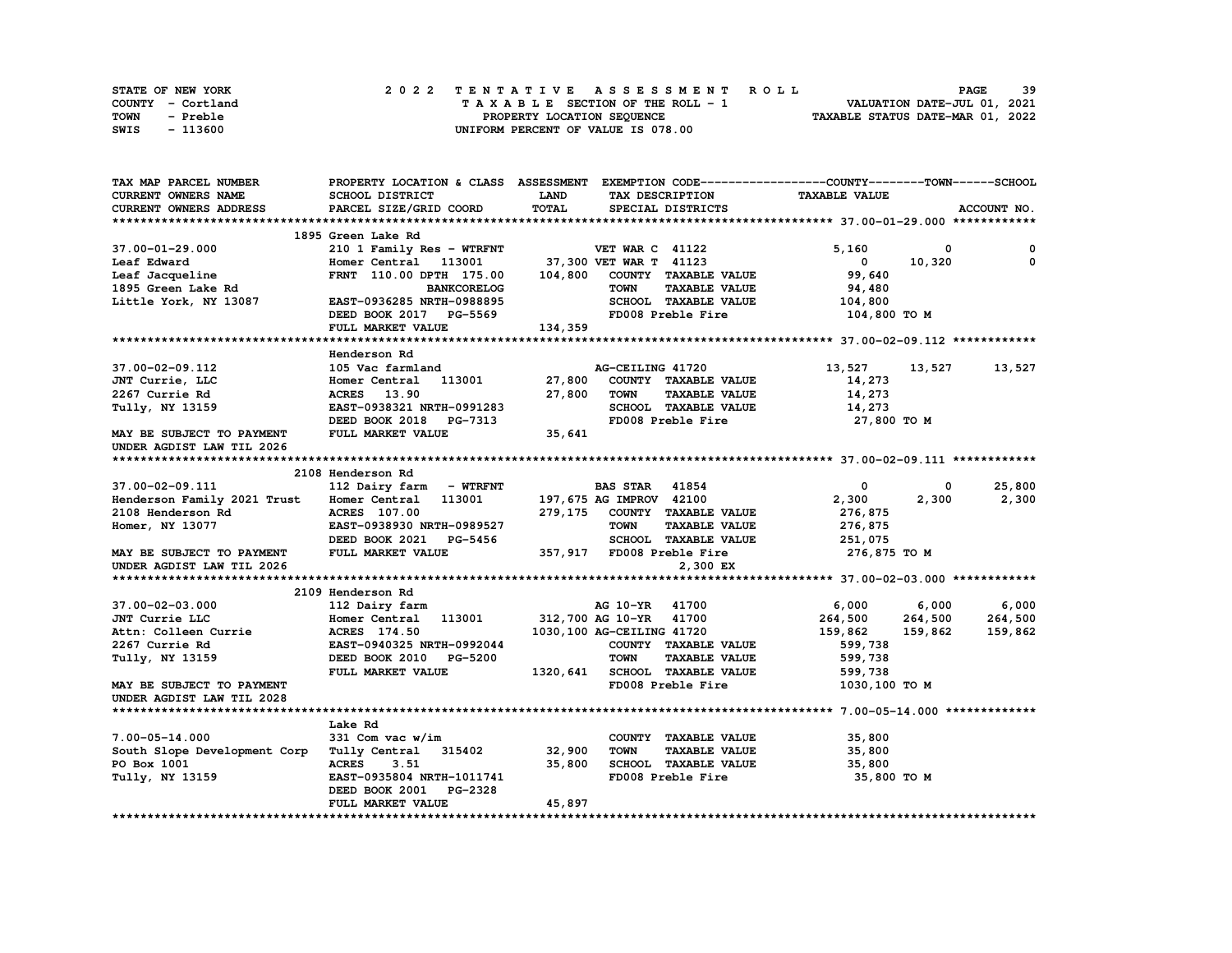| STATE OF NEW YORK | 2022 TENTATIVE ASSESSMENT ROLL     | 39<br><b>PAGE</b>                |
|-------------------|------------------------------------|----------------------------------|
| COUNTY - Cortland | TAXABLE SECTION OF THE ROLL - 1    | VALUATION DATE-JUL 01, 2021      |
| TOWN<br>- Preble  | PROPERTY LOCATION SEQUENCE         | TAXABLE STATUS DATE-MAR 01, 2022 |
| - 113600<br>SWIS  | UNIFORM PERCENT OF VALUE IS 078.00 |                                  |

| TAX MAP PARCEL NUMBER        |                                  |             |                                     | PROPERTY LOCATION & CLASS ASSESSMENT EXEMPTION CODE----------------COUNTY-------TOWN-----SCHOOL |             |
|------------------------------|----------------------------------|-------------|-------------------------------------|-------------------------------------------------------------------------------------------------|-------------|
| CURRENT OWNERS NAME          | SCHOOL DISTRICT                  | <b>LAND</b> | TAX DESCRIPTION                     | <b>TAXABLE VALUE</b>                                                                            |             |
| CURRENT OWNERS ADDRESS       | PARCEL SIZE/GRID COORD           | TOTAL       | SPECIAL DISTRICTS                   |                                                                                                 | ACCOUNT NO. |
|                              |                                  |             |                                     |                                                                                                 |             |
|                              | 1895 Green Lake Rd               |             |                                     |                                                                                                 |             |
| 37.00-01-29.000              | 210 1 Family Res - WTRFNT        |             | <b>VET WAR C 41122</b>              | 5,160<br>0                                                                                      | 0           |
| Leaf Edward                  | Homer Central 113001             |             | 37,300 VET WAR T 41123              | $\mathbf 0$<br>10,320                                                                           | 0           |
| Leaf Jacqueline              | FRNT 110.00 DPTH 175.00          | 104,800     | COUNTY TAXABLE VALUE                | 99,640                                                                                          |             |
| 1895 Green Lake Rd           | <b>BANKCORELOG</b>               |             | <b>TAXABLE VALUE</b><br>TOWN        | 94,480                                                                                          |             |
| Little York, NY 13087        | EAST-0936285 NRTH-0988895        |             | SCHOOL TAXABLE VALUE                | 104,800                                                                                         |             |
|                              | DEED BOOK 2017 PG-5569           |             | FD008 Preble Fire                   | 104,800 TO M                                                                                    |             |
|                              | FULL MARKET VALUE                | 134,359     |                                     |                                                                                                 |             |
|                              |                                  |             |                                     |                                                                                                 |             |
|                              | Henderson Rd                     |             |                                     |                                                                                                 |             |
| 37.00-02-09.112              | 105 Vac farmland                 |             | AG-CEILING 41720                    | 13,527<br>13,527                                                                                | 13,527      |
| JNT Currie, LLC              | Homer Central 113001             | 27,800      | COUNTY TAXABLE VALUE                | 14,273                                                                                          |             |
| 2267 Currie Rd               | <b>ACRES</b> 13.90               | 27,800      | <b>TOWN</b><br><b>TAXABLE VALUE</b> | 14,273                                                                                          |             |
| Tully, NY 13159              | EAST-0938321 NRTH-0991283        |             | SCHOOL TAXABLE VALUE                | 14,273                                                                                          |             |
|                              | DEED BOOK 2018 PG-7313           |             | FD008 Preble Fire                   | 27,800 TO M                                                                                     |             |
| MAY BE SUBJECT TO PAYMENT    | FULL MARKET VALUE                | 35,641      |                                     |                                                                                                 |             |
| UNDER AGDIST LAW TIL 2026    |                                  |             |                                     |                                                                                                 |             |
|                              |                                  |             |                                     |                                                                                                 |             |
|                              | 2108 Henderson Rd                |             |                                     |                                                                                                 |             |
| 37.00-02-09.111              | 112 Dairy farm - WTRFNT          |             | <b>BAS STAR 41854</b>               | 0<br>0                                                                                          | 25,800      |
| Henderson Family 2021 Trust  | Homer Central 113001             |             | 197,675 AG IMPROV 42100             | 2,300<br>2,300                                                                                  | 2,300       |
| 2108 Henderson Rd            | <b>ACRES</b> 107.00              | 279,175     | COUNTY TAXABLE VALUE                | 276,875                                                                                         |             |
| Homer, NY 13077              | EAST-0938930 NRTH-0989527        |             | <b>TOWN</b><br><b>TAXABLE VALUE</b> | 276,875                                                                                         |             |
|                              | DEED BOOK 2021 PG-5456           |             | SCHOOL TAXABLE VALUE                | 251,075                                                                                         |             |
| MAY BE SUBJECT TO PAYMENT    | FULL MARKET VALUE                |             | 357,917 FD008 Preble Fire           | 276,875 TO M                                                                                    |             |
| UNDER AGDIST LAW TIL 2026    |                                  |             | 2,300 EX                            |                                                                                                 |             |
|                              |                                  |             |                                     |                                                                                                 |             |
|                              | 2109 Henderson Rd                |             |                                     |                                                                                                 |             |
| $37.00 - 02 - 03.000$        | 112 Dairy farm                   |             | AG 10-YR 41700                      | 6,000<br>6,000                                                                                  | 6,000       |
| JNT Currie LLC               | Homer Central 113001             |             | 312,700 AG 10-YR 41700              | 264,500<br>264,500                                                                              | 264,500     |
| Attn: Colleen Currie         | ACRES 174.50                     |             | 1030,100 AG-CEILING 41720           | 159,862<br>159,862                                                                              | 159,862     |
| 2267 Currie Rd               | EAST-0940325 NRTH-0992044        |             | COUNTY TAXABLE VALUE                | 599,738                                                                                         |             |
| Tully, NY 13159              | DEED BOOK 2010 PG-5200           |             | <b>TOWN</b><br><b>TAXABLE VALUE</b> | 599,738                                                                                         |             |
|                              | FULL MARKET VALUE                |             | 1320,641 SCHOOL TAXABLE VALUE       | 599,738                                                                                         |             |
| MAY BE SUBJECT TO PAYMENT    |                                  |             | FD008 Preble Fire                   | 1030,100 TO M                                                                                   |             |
| UNDER AGDIST LAW TIL 2028    |                                  |             |                                     |                                                                                                 |             |
|                              |                                  |             |                                     |                                                                                                 |             |
|                              | Lake Rd                          |             |                                     |                                                                                                 |             |
| $7.00 - 05 - 14.000$         | 331 Com vac w/im                 |             | COUNTY TAXABLE VALUE                | 35,800                                                                                          |             |
| South Slope Development Corp | Tully Central 315402             | 32,900      | <b>TOWN</b><br><b>TAXABLE VALUE</b> | 35,800                                                                                          |             |
| PO Box 1001                  | <b>ACRES</b><br>3.51             | 35,800      | SCHOOL TAXABLE VALUE                | 35,800                                                                                          |             |
| Tully, NY 13159              | EAST-0935804 NRTH-1011741        |             | FD008 Preble Fire                   | 35,800 TO M                                                                                     |             |
|                              | DEED BOOK 2001<br><b>PG-2328</b> |             |                                     |                                                                                                 |             |
|                              | FULL MARKET VALUE                | 45,897      |                                     |                                                                                                 |             |
|                              |                                  |             |                                     |                                                                                                 |             |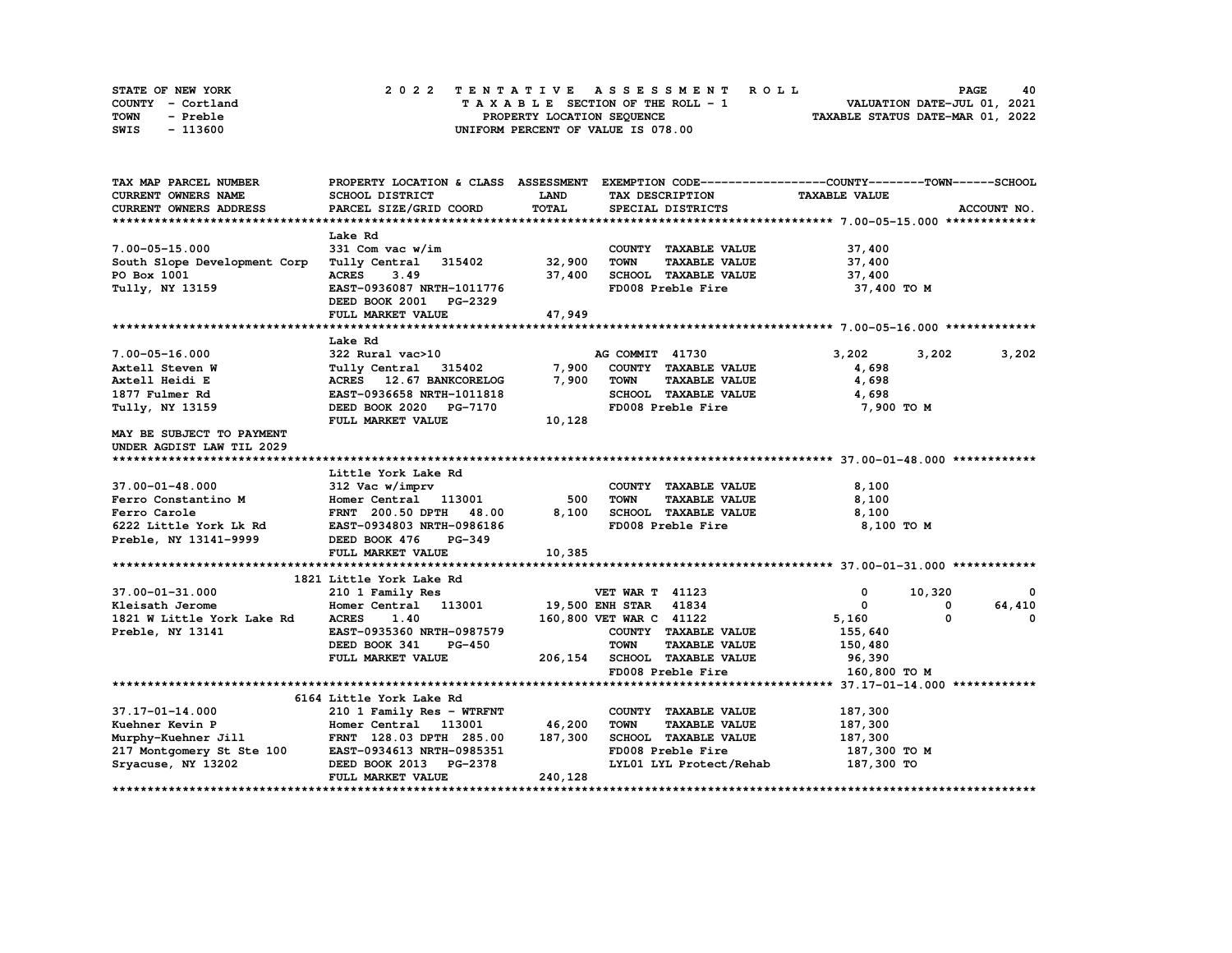| STATE OF NEW YORK | 2022 TENTATIVE ASSESSMENT ROLL     | 40<br><b>PAGE</b>                |
|-------------------|------------------------------------|----------------------------------|
| COUNTY - Cortland | TAXABLE SECTION OF THE ROLL - 1    | VALUATION DATE-JUL 01, 2021      |
| TOWN<br>- Preble  | PROPERTY LOCATION SEQUENCE         | TAXABLE STATUS DATE-MAR 01, 2022 |
| - 113600<br>SWIS  | UNIFORM PERCENT OF VALUE IS 078.00 |                                  |

| TAX MAP PARCEL NUMBER             | PROPERTY LOCATION & CLASS ASSESSMENT EXEMPTION CODE----------------COUNTY-------TOWN-----SCHOOL |                       |                         |                                              |                      |        |             |
|-----------------------------------|-------------------------------------------------------------------------------------------------|-----------------------|-------------------------|----------------------------------------------|----------------------|--------|-------------|
| CURRENT OWNERS NAME               | SCHOOL DISTRICT                                                                                 | <b>LAND</b>           |                         | TAX DESCRIPTION                              | <b>TAXABLE VALUE</b> |        |             |
| CURRENT OWNERS ADDRESS            | PARCEL SIZE/GRID COORD                                                                          | TOTAL                 |                         | SPECIAL DISTRICTS                            |                      |        | ACCOUNT NO. |
|                                   |                                                                                                 |                       |                         |                                              |                      |        |             |
|                                   | Lake Rd                                                                                         |                       |                         |                                              |                      |        |             |
| $7.00 - 05 - 15.000$              | 331 Com vac w/im                                                                                |                       |                         | COUNTY TAXABLE VALUE                         | 37,400               |        |             |
| South Slope Development Corp      | Tully Central 315402                                                                            | 32,900                | <b>TOWN</b>             | <b>TAXABLE VALUE</b>                         | 37,400               |        |             |
| PO Box 1001                       | 3.49<br><b>ACRES</b>                                                                            | 37,400                |                         | SCHOOL TAXABLE VALUE                         | 37,400               |        |             |
| Tully, NY 13159                   | EAST-0936087 NRTH-1011776                                                                       |                       |                         | FD008 Preble Fire                            | 37,400 TO M          |        |             |
|                                   | DEED BOOK 2001 PG-2329                                                                          |                       |                         |                                              |                      |        |             |
|                                   | FULL MARKET VALUE                                                                               | 47,949                |                         |                                              |                      |        |             |
|                                   |                                                                                                 |                       |                         |                                              |                      |        |             |
|                                   | Lake Rd                                                                                         |                       |                         |                                              |                      |        |             |
| $7.00 - 05 - 16.000$              | 322 Rural vac>10                                                                                |                       | AG COMMIT 41730         |                                              | 3,202                | 3,202  | 3,202       |
| Axtell Steven W                   | Tully Central 315402                                                                            | 7,900                 |                         | COUNTY TAXABLE VALUE                         | 4,698                |        |             |
| Axtell Heidi E                    | ACRES 12.67 BANKCORELOG                                                                         | 7,900                 | <b>TOWN</b>             | <b>TAXABLE VALUE</b>                         | 4,698                |        |             |
| 1877 Fulmer Rd                    | EAST-0936658 NRTH-1011818                                                                       |                       |                         | SCHOOL TAXABLE VALUE                         | 4,698                |        |             |
| Tully, NY 13159                   | DEED BOOK 2020 PG-7170                                                                          |                       |                         | FD008 Preble Fire                            | 7,900 то м           |        |             |
|                                   | FULL MARKET VALUE                                                                               | 10,128                |                         |                                              |                      |        |             |
| MAY BE SUBJECT TO PAYMENT         |                                                                                                 |                       |                         |                                              |                      |        |             |
| UNDER AGDIST LAW TIL 2029         |                                                                                                 |                       |                         |                                              |                      |        |             |
|                                   |                                                                                                 |                       |                         |                                              |                      |        |             |
|                                   | Little York Lake Rd                                                                             |                       |                         |                                              |                      |        |             |
| $37.00 - 01 - 48.000$             | 312 Vac w/imprv                                                                                 |                       |                         | COUNTY TAXABLE VALUE                         | 8,100                |        |             |
| Ferro Constantino M               | Homer Central 113001                                                                            | 500                   | <b>TOWN</b>             | <b>TAXABLE VALUE</b>                         | 8,100                |        |             |
| Ferro Carole                      | <b>FRNT</b> 200.50 DPTH<br>48.00                                                                | 8,100                 |                         | SCHOOL TAXABLE VALUE                         | 8,100                |        |             |
| 6222 Little York Lk Rd            | EAST-0934803 NRTH-0986186                                                                       |                       |                         | FD008 Preble Fire                            | 8,100 TO M           |        |             |
| Preble, NY 13141-9999             | DEED BOOK 476<br><b>PG-349</b>                                                                  |                       |                         |                                              |                      |        |             |
|                                   | FULL MARKET VALUE                                                                               | 10,385                |                         |                                              |                      |        |             |
|                                   |                                                                                                 |                       |                         |                                              |                      |        |             |
|                                   | 1821 Little York Lake Rd                                                                        |                       |                         |                                              |                      |        |             |
| 37.00-01-31.000                   | 210 1 Family Res                                                                                |                       | <b>VET WAR T 41123</b>  |                                              | $\mathbf 0$          | 10,320 | 0           |
| Kleisath Jerome                   | Homer Central 113001                                                                            | 19,500 ENH STAR 41834 |                         |                                              | $\mathbf 0$          | 0      | 64,410      |
| 1821 W Little York Lake Rd        | <b>ACRES</b><br>1.40                                                                            |                       | 160,800 VET WAR C 41122 |                                              | 5,160                | 0      | 0           |
| Preble, NY 13141                  | EAST-0935360 NRTH-0987579                                                                       |                       |                         | COUNTY TAXABLE VALUE                         | 155,640              |        |             |
|                                   | DEED BOOK 341<br><b>PG-450</b>                                                                  |                       | <b>TOWN</b>             | <b>TAXABLE VALUE</b>                         | 150,480              |        |             |
|                                   | FULL MARKET VALUE                                                                               | 206,154               |                         | SCHOOL TAXABLE VALUE                         | 96,390               |        |             |
|                                   |                                                                                                 |                       |                         | FD008 Preble Fire                            | 160,800 TO M         |        |             |
|                                   |                                                                                                 |                       |                         |                                              |                      |        |             |
| $37.17 - 01 - 14.000$             | 6164 Little York Lake Rd                                                                        |                       |                         | COUNTY TAXABLE VALUE                         |                      |        |             |
|                                   | 210 1 Family Res - WTRFNT<br>Homer Central 113001                                               | 46,200                | <b>TOWN</b>             |                                              | 187,300              |        |             |
| Kuehner Kevin P                   |                                                                                                 | 187,300               |                         | <b>TAXABLE VALUE</b><br>SCHOOL TAXABLE VALUE | 187,300<br>187,300   |        |             |
| $\geq 100$<br>Murphy-Kuehner Jill | FRNT 128.03 DPTH 285.00<br>EAST-0934613 NRTH-0985351                                            |                       |                         | FD008 Preble Fire                            |                      |        |             |
| 217 Montgomery St Ste 100         |                                                                                                 |                       |                         | LYL01 LYL Protect/Rehab                      | 187,300 то м         |        |             |
| Sryacuse, NY 13202                | DEED BOOK 2013 PG-2378                                                                          |                       |                         |                                              | 187,300 TO           |        |             |
|                                   | FULL MARKET VALUE                                                                               | 240,128               |                         |                                              |                      |        |             |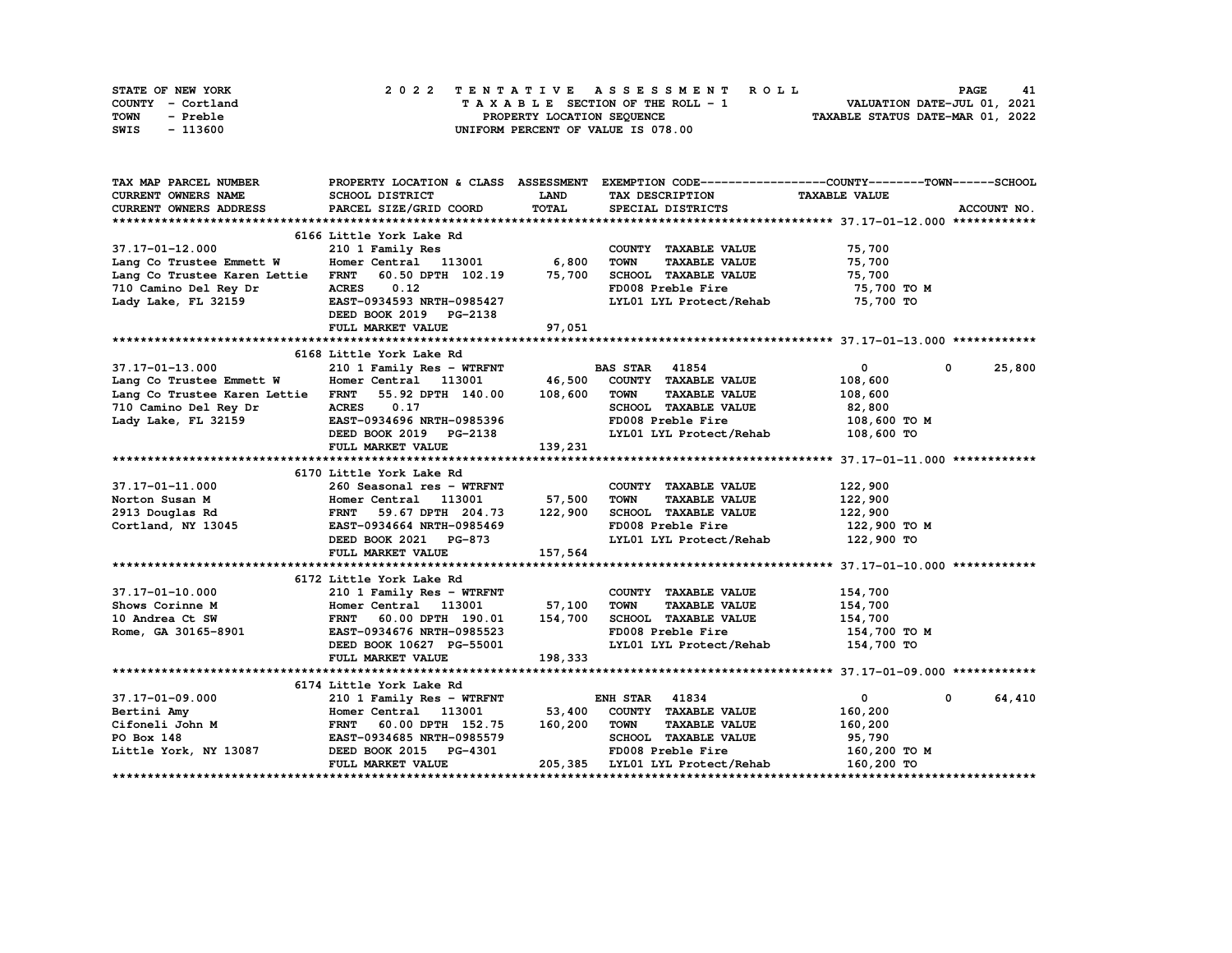| STATE OF NEW YORK | 2022 TENTATIVE ASSESSMENT ROLL     | <b>PAGE</b><br>41                |
|-------------------|------------------------------------|----------------------------------|
| COUNTY - Cortland | TAXABLE SECTION OF THE ROLL - 1    | VALUATION DATE-JUL 01, 2021      |
| TOWN<br>- Preble  | PROPERTY LOCATION SEQUENCE         | TAXABLE STATUS DATE-MAR 01, 2022 |
| - 113600<br>SWIS  | UNIFORM PERCENT OF VALUE IS 078.00 |                                  |

| TAX MAP PARCEL NUMBER                                      |                                                                                                                                                                                                                               |             |                                                                | PROPERTY LOCATION & CLASS ASSESSMENT EXEMPTION CODE----------------COUNTY-------TOWN-----SCHOOL |        |
|------------------------------------------------------------|-------------------------------------------------------------------------------------------------------------------------------------------------------------------------------------------------------------------------------|-------------|----------------------------------------------------------------|-------------------------------------------------------------------------------------------------|--------|
| CURRENT OWNERS NAME                                        | SCHOOL DISTRICT                                                                                                                                                                                                               | <b>LAND</b> | TAX DESCRIPTION                                                | <b>TAXABLE VALUE</b>                                                                            |        |
| CURRENT OWNERS ADDRESS                                     | PARCEL SIZE/GRID COORD                                                                                                                                                                                                        | TOTAL       | SPECIAL DISTRICTS                                              | ACCOUNT NO.                                                                                     |        |
|                                                            |                                                                                                                                                                                                                               |             |                                                                |                                                                                                 |        |
|                                                            | 6166 Little York Lake Rd                                                                                                                                                                                                      |             |                                                                |                                                                                                 |        |
| 37.17-01-12.000                                            | 210 1 Family Res                                                                                                                                                                                                              |             | COUNTY TAXABLE VALUE                                           | 75,700                                                                                          |        |
| Lang Co Trustee Emmett W Homer Central 113001 6,800        |                                                                                                                                                                                                                               |             | TAXABLE VALUE<br><b>TOWN</b>                                   | 75,700                                                                                          |        |
| Lang Co Trustee Karen Lettie FRNT 60.50 DPTH 102.19 75,700 |                                                                                                                                                                                                                               |             | SCHOOL TAXABLE VALUE 75,700                                    |                                                                                                 |        |
| 710 Camino Del Rey Dr                                      | <b>ACRES</b><br>0.12                                                                                                                                                                                                          |             | FD008 Preble Fire                                              | 75,700 TO M                                                                                     |        |
| Lady Lake, FL 32159                                        | EAST-0934593 NRTH-0985427                                                                                                                                                                                                     |             | LYL01 LYL Protect/Rehab 75,700 TO                              |                                                                                                 |        |
|                                                            | DEED BOOK 2019 PG-2138                                                                                                                                                                                                        |             |                                                                |                                                                                                 |        |
|                                                            | FULL MARKET VALUE                                                                                                                                                                                                             | 97,051      |                                                                |                                                                                                 |        |
|                                                            |                                                                                                                                                                                                                               |             |                                                                |                                                                                                 |        |
|                                                            | 6168 Little York Lake Rd                                                                                                                                                                                                      |             |                                                                |                                                                                                 |        |
| 37.17-01-13.000                                            |                                                                                                                                                                                                                               |             | <b>BAS STAR</b> 41854                                          | $\mathbf{0}$<br>$\mathbf 0$                                                                     | 25,800 |
| Lang Co Trustee Emmett W                                   | 210 1 Family Res - WTRFNT BAG BEST ROWER TO BE RESPONDENT RANGEMENT RESPONDENT RANGEMENT RESPONDENT RANGEMENT RESPONDENT RESPONDENT RESPONDENT RESPONDENT RESPONDENT RESPONDENT RESPONDENT RESPONDENT RESPONDENT RESPONDENT R |             | COUNTY TAXABLE VALUE                                           | 108,600                                                                                         |        |
| Lang Co Trustee Karen Lettie FRNT                          | 55.92 DPTH 140.00 108,600                                                                                                                                                                                                     |             | <b>TOWN</b><br><b>TAXABLE VALUE</b>                            | 108,600                                                                                         |        |
| 710 Camino Del Rey Dr                                      | <b>ACRES</b><br>0.17                                                                                                                                                                                                          |             | SCHOOL TAXABLE VALUE                                           | 82,800                                                                                          |        |
| Lady Lake, FL 32159                                        | EAST-0934696 NRTH-0985396                                                                                                                                                                                                     |             | FD008 Preble Fire 108,600 TO M                                 |                                                                                                 |        |
|                                                            | DEED BOOK 2019 PG-2138                                                                                                                                                                                                        |             | LYL01 LYL Protect/Rehab 108,600 TO                             |                                                                                                 |        |
|                                                            | FULL MARKET VALUE                                                                                                                                                                                                             | 139,231     |                                                                |                                                                                                 |        |
|                                                            |                                                                                                                                                                                                                               |             |                                                                |                                                                                                 |        |
|                                                            | 6170 Little York Lake Rd                                                                                                                                                                                                      |             |                                                                |                                                                                                 |        |
| 37.17-01-11.000                                            | 260 Seasonal res - WTRFNT                                                                                                                                                                                                     |             | COUNTY TAXABLE VALUE                                           | 122,900                                                                                         |        |
|                                                            |                                                                                                                                                                                                                               |             | <b>TOWN</b><br><b>TAXABLE VALUE</b>                            | 122,900                                                                                         |        |
|                                                            | Homer Central 113001 57,500<br>FRNT 59.67 DPTH 204.73 122,900                                                                                                                                                                 |             | SCHOOL TAXABLE VALUE                                           | 122,900                                                                                         |        |
|                                                            |                                                                                                                                                                                                                               |             | FD008 Preble Fire                                              | 122,900 TO M                                                                                    |        |
|                                                            | DEED BOOK 2021 PG-873                                                                                                                                                                                                         |             | LYL01 LYL Protect/Rehab 122,900 TO                             |                                                                                                 |        |
|                                                            | FULL MARKET VALUE                                                                                                                                                                                                             | 157,564     |                                                                |                                                                                                 |        |
|                                                            |                                                                                                                                                                                                                               |             |                                                                |                                                                                                 |        |
|                                                            | 6172 Little York Lake Rd                                                                                                                                                                                                      |             |                                                                |                                                                                                 |        |
| 37.17-01-10.000                                            | 210 1 Family Res - WTRFNT                                                                                                                                                                                                     |             | COUNTY TAXABLE VALUE                                           | 154,700                                                                                         |        |
|                                                            | Homer Central 113001                                                                                                                                                                                                          | 57,100      | <b>TAXABLE VALUE</b><br><b>TOWN</b>                            | 154,700                                                                                         |        |
| Shows Corinne M<br>10 Andrea Ct SW<br>Rome, GA 30165-8901  | FRNT 60.00 DPTH 190.01                                                                                                                                                                                                        | 154,700     |                                                                | 154,700                                                                                         |        |
|                                                            | EAST-0934676 NRTH-0985523                                                                                                                                                                                                     |             | SCHOOL TAXABLE VALUE<br>FD008 Preble Fire<br>FD008 Preble Fire | 154,700 TO M                                                                                    |        |
|                                                            | DEED BOOK 10627 PG-55001                                                                                                                                                                                                      |             | LYL01 LYL Protect/Rehab 154,700 TO                             |                                                                                                 |        |
|                                                            | FULL MARKET VALUE                                                                                                                                                                                                             | 198,333     |                                                                |                                                                                                 |        |
|                                                            |                                                                                                                                                                                                                               |             |                                                                |                                                                                                 |        |
|                                                            | 6174 Little York Lake Rd                                                                                                                                                                                                      |             |                                                                |                                                                                                 |        |
| 37.17-01-09.000                                            | 210 1 Family Res - WTRFNT                                                                                                                                                                                                     |             | <b>ENH STAR 41834</b>                                          | $\overline{0}$<br>$\mathbf{0}$                                                                  | 64,410 |
| Bertini Amy                                                | Homer Central 113001                                                                                                                                                                                                          | 53,400      | COUNTY TAXABLE VALUE                                           | 160,200                                                                                         |        |
| Cifoneli John M                                            |                                                                                                                                                                                                                               |             | TOWN<br>TAXABLE VALUE                                          | 160,200                                                                                         |        |
| PO Box 148                                                 | FRNT      60.00 DPTH   152.75       160,200<br>EAST-0934685 NRTH-0985579                                                                                                                                                      |             | SCHOOL TAXABLE VALUE                                           | 95,790                                                                                          |        |
| Little York, NY 13087 DEED BOOK 2015 PG-4301               |                                                                                                                                                                                                                               |             | FD008 Preble Fire                                              | 160,200 TO M                                                                                    |        |
|                                                            | FULL MARKET VALUE                                                                                                                                                                                                             |             | 205,385 LYL01 LYL Protect/Rehab 160,200 TO                     |                                                                                                 |        |
|                                                            |                                                                                                                                                                                                                               |             |                                                                |                                                                                                 |        |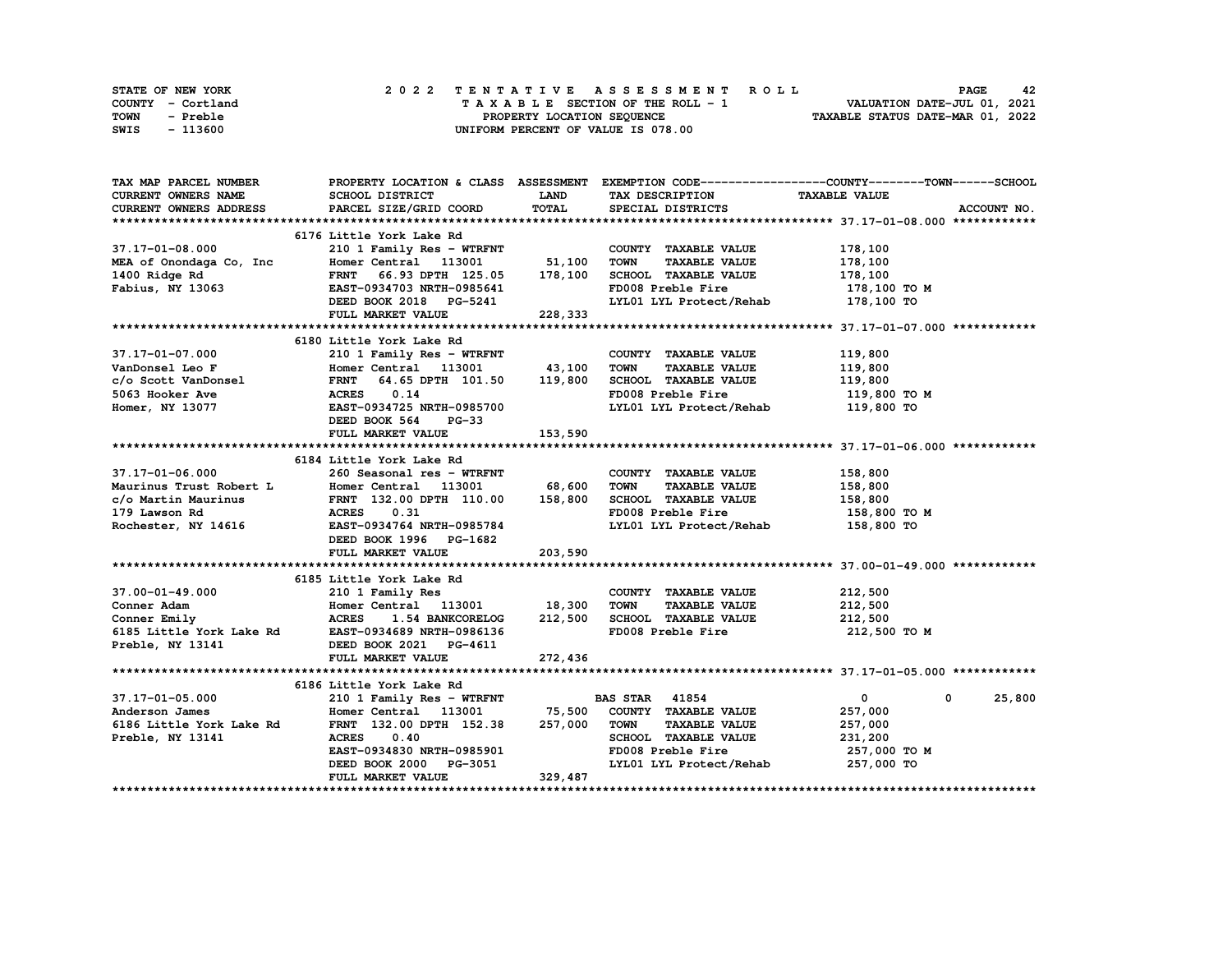| STATE OF NEW YORK | 2022 TENTATIVE ASSESSMENT ROLL     | 42<br><b>PAGE</b>                |
|-------------------|------------------------------------|----------------------------------|
| COUNTY - Cortland | TAXABLE SECTION OF THE ROLL - 1    | VALUATION DATE-JUL 01, 2021      |
| TOWN<br>- Preble  | PROPERTY LOCATION SEQUENCE         | TAXABLE STATUS DATE-MAR 01, 2022 |
| - 113600<br>SWIS  | UNIFORM PERCENT OF VALUE IS 078.00 |                                  |

| TAX MAP PARCEL NUMBER         |                                                                                                                                                                                                                                                                                                                                                                                                             |              |                                                                                   | PROPERTY LOCATION & CLASS ASSESSMENT EXEMPTION CODE-----------------COUNTY-------TOWN------SCHOOL |
|-------------------------------|-------------------------------------------------------------------------------------------------------------------------------------------------------------------------------------------------------------------------------------------------------------------------------------------------------------------------------------------------------------------------------------------------------------|--------------|-----------------------------------------------------------------------------------|---------------------------------------------------------------------------------------------------|
| CURRENT OWNERS NAME           | SCHOOL DISTRICT                                                                                                                                                                                                                                                                                                                                                                                             | <b>LAND</b>  | TAX DESCRIPTION                                                                   | <b>TAXABLE VALUE</b>                                                                              |
| <b>CURRENT OWNERS ADDRESS</b> | PARCEL SIZE/GRID COORD                                                                                                                                                                                                                                                                                                                                                                                      | <b>TOTAL</b> | SPECIAL DISTRICTS                                                                 | ACCOUNT NO.                                                                                       |
|                               |                                                                                                                                                                                                                                                                                                                                                                                                             |              |                                                                                   |                                                                                                   |
|                               | 6176 Little York Lake Rd                                                                                                                                                                                                                                                                                                                                                                                    |              |                                                                                   |                                                                                                   |
| 37.17-01-08.000               | 210 1 Family Res - WTRFNT                                                                                                                                                                                                                                                                                                                                                                                   |              | COUNTY TAXABLE VALUE 178,100                                                      |                                                                                                   |
|                               | $\frac{3}{2}$ Homer Central 113001 51,100                                                                                                                                                                                                                                                                                                                                                                   |              | <b>TOWN</b><br>TAXABLE VALUE 178,100                                              |                                                                                                   |
|                               |                                                                                                                                                                                                                                                                                                                                                                                                             |              | SCHOOL TAXABLE VALUE                                                              | 178,100                                                                                           |
|                               |                                                                                                                                                                                                                                                                                                                                                                                                             |              | FD008 Preble Fire                                                                 | 178,100 TO M                                                                                      |
|                               |                                                                                                                                                                                                                                                                                                                                                                                                             |              | LYL01 LYL Protect/Rehab 178,100 TO                                                |                                                                                                   |
|                               |                                                                                                                                                                                                                                                                                                                                                                                                             |              |                                                                                   |                                                                                                   |
|                               |                                                                                                                                                                                                                                                                                                                                                                                                             |              |                                                                                   |                                                                                                   |
|                               | NEA of Onondaga Co, Inc FRNT 66.93 DPTH 125.00<br>1400 Ridge Rd Fabius, NY 13063 EAST-0934703 NRTH-0985641<br>DEED BOOK 2018 PG-5241<br>FULL MARKET VALUE 228,333<br>VanDonsel Leo F<br>VanDonsel Leo F<br>Controller Moment Central 113001 and 100<br>Controller Moment Central 113001 and 119,800<br>Controller Moment Moment Moment Moment Moment Moment Moment Moment Moment Moment Moment Moment Momen |              |                                                                                   |                                                                                                   |
|                               |                                                                                                                                                                                                                                                                                                                                                                                                             |              |                                                                                   |                                                                                                   |
|                               |                                                                                                                                                                                                                                                                                                                                                                                                             |              | COUNTY TAXABLE VALUE                                                              | 119,800                                                                                           |
|                               |                                                                                                                                                                                                                                                                                                                                                                                                             |              | <b>TOWN</b><br><b>TAXABLE VALUE</b>                                               | 119,800                                                                                           |
|                               |                                                                                                                                                                                                                                                                                                                                                                                                             |              | SCHOOL TAXABLE VALUE                                                              | 119,800                                                                                           |
|                               |                                                                                                                                                                                                                                                                                                                                                                                                             |              | FD008 Preble Fire                                                                 | 119,800 TO M                                                                                      |
|                               |                                                                                                                                                                                                                                                                                                                                                                                                             |              | LYL01 LYL Protect/Rehab 119,800 TO                                                |                                                                                                   |
|                               |                                                                                                                                                                                                                                                                                                                                                                                                             |              |                                                                                   |                                                                                                   |
|                               | FULL MARKET VALUE                                                                                                                                                                                                                                                                                                                                                                                           | 153,590      |                                                                                   |                                                                                                   |
|                               |                                                                                                                                                                                                                                                                                                                                                                                                             |              |                                                                                   |                                                                                                   |
|                               | 6184 Little York Lake Rd                                                                                                                                                                                                                                                                                                                                                                                    |              |                                                                                   |                                                                                                   |
|                               |                                                                                                                                                                                                                                                                                                                                                                                                             |              | COUNTY TAXABLE VALUE                                                              |                                                                                                   |
|                               | $37.17-01-06.000$ 260 Seasonal res - WTRFNT<br>Maurinus Trust Robert L Homer Central 113001 68,600                                                                                                                                                                                                                                                                                                          |              | TOWN<br><b>TAXABLE VALUE</b>                                                      | 158,800<br>158,800                                                                                |
|                               | C/O Martin Maurinus<br>TRNT 132.00 DPTH 110.00 158,800<br>179 Lawson Rd ACRES 0.31<br>Rochester, NY 14616 EAST-0934764 NRTH-0985784                                                                                                                                                                                                                                                                         |              | - - -----------<br>SCHOOL TAXABLE VALUE 158,800<br>FD008 Preble Fire 158,800 TO M |                                                                                                   |
|                               |                                                                                                                                                                                                                                                                                                                                                                                                             |              |                                                                                   |                                                                                                   |
|                               |                                                                                                                                                                                                                                                                                                                                                                                                             |              | LYL01 LYL Protect/Rehab 158,800 TO                                                |                                                                                                   |
|                               | DEED BOOK 1996 PG-1682                                                                                                                                                                                                                                                                                                                                                                                      |              |                                                                                   |                                                                                                   |
|                               | FULL MARKET VALUE                                                                                                                                                                                                                                                                                                                                                                                           | 203,590      |                                                                                   |                                                                                                   |
|                               |                                                                                                                                                                                                                                                                                                                                                                                                             |              |                                                                                   |                                                                                                   |
|                               | 6185 Little York Lake Rd                                                                                                                                                                                                                                                                                                                                                                                    |              |                                                                                   |                                                                                                   |
| 37.00-01-49.000               |                                                                                                                                                                                                                                                                                                                                                                                                             |              | COUNTY TAXABLE VALUE 212,500                                                      |                                                                                                   |
| Conner Adam                   |                                                                                                                                                                                                                                                                                                                                                                                                             |              | <b>TOWN</b>                                                                       |                                                                                                   |
| Conner Emily                  | ACRES 1.54 BANKCORELOG 212,500 SCHOOL TAXABLE VALUE                                                                                                                                                                                                                                                                                                                                                         |              | TAXABLE VALUE 212,500                                                             | 212,500                                                                                           |
|                               |                                                                                                                                                                                                                                                                                                                                                                                                             |              | FD008 Preble Fire                                                                 |                                                                                                   |
|                               | 6185 Little York Lake Rd EAST-0934689 NRTH-0986136                                                                                                                                                                                                                                                                                                                                                          |              |                                                                                   | 212,500 TO M                                                                                      |
| Preble, NY 13141              | DEED BOOK 2021 PG-4611<br>FULL MARKET VALUE 272,436                                                                                                                                                                                                                                                                                                                                                         |              |                                                                                   |                                                                                                   |
|                               |                                                                                                                                                                                                                                                                                                                                                                                                             |              |                                                                                   |                                                                                                   |
|                               |                                                                                                                                                                                                                                                                                                                                                                                                             |              |                                                                                   |                                                                                                   |
|                               | 6186 Little York Lake Rd                                                                                                                                                                                                                                                                                                                                                                                    |              |                                                                                   |                                                                                                   |
| 37.17-01-05.000               |                                                                                                                                                                                                                                                                                                                                                                                                             |              |                                                                                   | 25,800<br>$\mathbf{0}$<br>$\mathbf 0$                                                             |
| Anderson James                |                                                                                                                                                                                                                                                                                                                                                                                                             |              |                                                                                   | 257,000                                                                                           |
| 6186 Little York Lake Rd      |                                                                                                                                                                                                                                                                                                                                                                                                             |              |                                                                                   | 257,000                                                                                           |
| Preble, NY 13141              | <b>ACRES</b><br>0.40                                                                                                                                                                                                                                                                                                                                                                                        |              | SCHOOL TAXABLE VALUE $231,200$                                                    |                                                                                                   |
|                               | EAST-0934830 NRTH-0985901                                                                                                                                                                                                                                                                                                                                                                                   |              | FD008 Preble Fire                                                                 | 257,000 TO M                                                                                      |
|                               | DEED BOOK 2000 PG-3051                                                                                                                                                                                                                                                                                                                                                                                      |              | LYL01 LYL Protect/Rehab 257,000 TO                                                |                                                                                                   |
|                               | FULL MARKET VALUE                                                                                                                                                                                                                                                                                                                                                                                           | 329,487      |                                                                                   |                                                                                                   |
|                               |                                                                                                                                                                                                                                                                                                                                                                                                             |              |                                                                                   |                                                                                                   |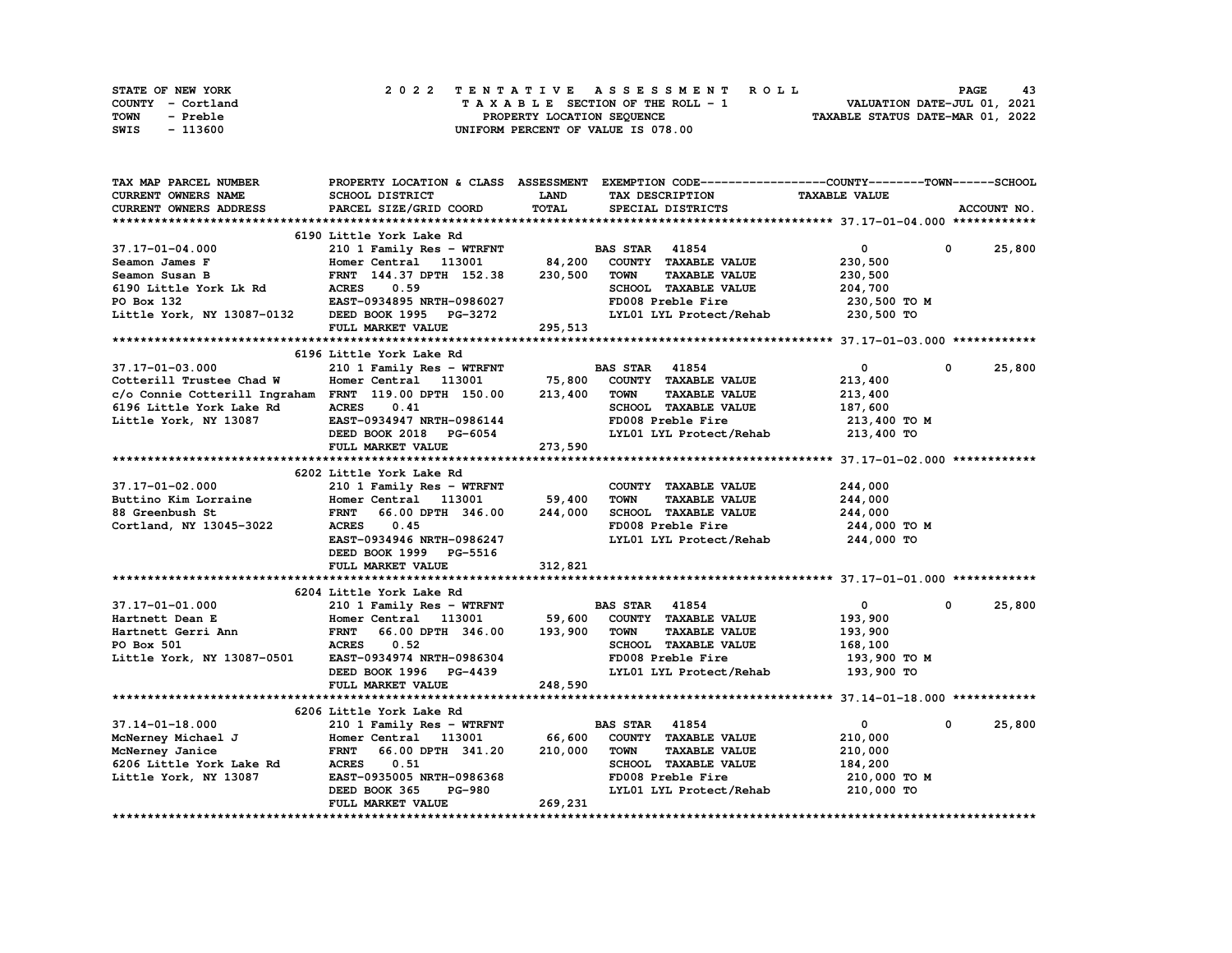| STATE OF NEW YORK | 2022 TENTATIVE ASSESSMENT ROLL     | 43<br><b>PAGE</b>                |
|-------------------|------------------------------------|----------------------------------|
| COUNTY - Cortland | TAXABLE SECTION OF THE ROLL - 1    | VALUATION DATE-JUL 01, 2021      |
| TOWN<br>- Preble  | PROPERTY LOCATION SEQUENCE         | TAXABLE STATUS DATE-MAR 01, 2022 |
| - 113600<br>SWIS  | UNIFORM PERCENT OF VALUE IS 078.00 |                                  |

| <b>CURRENT OWNERS NAME</b><br>SCHOOL DISTRICT<br><b>LAND</b><br>TAX DESCRIPTION<br><b>TAXABLE VALUE</b><br>CURRENT OWNERS ADDRESS<br>TOTAL<br>PARCEL SIZE/GRID COORD<br>SPECIAL DISTRICTS<br>ACCOUNT NO.<br>6190 Little York Lake Rd<br>37.17-01-04.000<br>Seamon James F<br>Seamon Susan B<br>Seamon Susan B<br>FRNT 144.37 DPTH 152.38<br>SCHOOL TAXABLE VALUE<br>SCHOOL TAXABLE VALUE<br>SCHOOL TAXABLE VALUE<br>FRNT 144.37 DPTH 152.38<br>230,500 TOWN TAXABLE VALUE<br>SCHOOL TAXABL<br>$\mathbf{0}$<br>$^{\circ}$<br>25,800<br>230,500<br>230,500<br>204,700<br>FD008 Preble Fire<br>230,500 то м<br>LYL01 LYL Protect/Rehab<br>230,500 TO<br>295,513<br>FULL MARKET VALUE<br>6196 Little York Lake Rd<br>$\mathbf{0}$<br>25,800<br>37.17-01-03.000<br>210 1 Family Res - WTRFNT BAS STAR 41854<br>Homer Central 113001 75,800 COUNTY TAXABLE VALUE<br>$^{\circ}$<br>Cotterill Trustee Chad W<br>213,400<br>c/o Connie Cotterill Ingraham FRNT 119.00 DPTH 150.00 213,400 TOWN<br><b>TAXABLE VALUE</b><br>213,400<br>SCHOOL TAXABLE VALUE<br>6196 Little York Lake Rd<br><b>ACRES</b><br>0.41<br>187,600<br>Little York, NY 13087<br>EAST-0934947 NRTH-0986144<br>FD008 Preble Fire<br>213,400 то м<br>LYL01 LYL Protect/Rehab<br>DEED BOOK 2018 PG-6054<br>213,400 TO<br>273,590<br>FULL MARKET VALUE<br>6202 Little York Lake Rd<br>210 1 Family Res - WTRFNT<br>37.17-01-02.000<br>244,000<br>COUNTY TAXABLE VALUE<br>Buttino Kim Lorraine and Homer Central 113001 59,400<br>244,000<br>TOWN<br><b>TAXABLE VALUE</b><br>FRNT 66.00 DPTH 346.00 244,000<br>SCHOOL TAXABLE VALUE<br>88 Greenbush St<br>244,000<br>Cortland, NY 13045-3022<br>FD008 Preble Fire<br>244,000 TO M<br>ACRES 0.45<br>EAST-0934946 NRTH-0986247<br>LYL01 LYL Protect/Rehab 244,000 TO<br>DEED BOOK 1999 PG-5516<br>FULL MARKET VALUE<br>312,821<br>6204 Little York Lake Rd<br>$\mathbf{0}$<br>$^{\circ}$<br>25,800<br>37.17-01-01.000<br>210 1 Family Res - WTRFNT BAS STAR 41854<br>Homer Central 113001 59,600 COUNTY TAXABLE VALUE<br>Hartnett Dean E<br>193,900<br><b>TAXABLE VALUE</b><br>193,900<br>168,100<br>PO Box 501 MCRES 0.52<br>Little York, NY 13087-0501 EAST-0934974 NRTH-0986304<br>SCHOOL TAXABLE VALUE<br>FD008 Preble Fire 193,900 TO<br>LYL01 LYL Protect/Rehab 193,900 TO<br>193,900 то м<br>DEED BOOK 1996 PG-4439<br>248,590<br>FULL MARKET VALUE<br>6206 Little York Lake Rd<br>37.14-01-18.000 210 1 Family Res - WTRFNT BAS STAR 41854<br>McNerney Michael J Homer Central 113001 66,600 COUNTY TAXABLE VALUE<br>McNerney Janice FRNT 66.00 DPTH 341.20 210,000 TOWN TAXABLE VALUE<br>$\overline{\mathbf{0}}$<br>$\mathbf 0$<br>25,800<br>210,000<br>210,000<br>6206 Little York Lake Rd<br>Little York, NY 13087<br>Maximum Paper-0935005 Paper-0935005 Paper-0935005 Paper<br>SCHOOL TAXABLE VALUE 184,200<br><b>ACRES 0.51<br/>EAST-0935005 NRTH-0986368</b><br>FD008 Preble Fire 210,000 TO<br>LYL01 LYL Protect/Rehab 210,000 TO<br>210,000 TO M<br>$PG-980$<br>DEED BOOK 365<br>269,231<br>FULL MARKET VALUE | TAX MAP PARCEL NUMBER | PROPERTY LOCATION & CLASS ASSESSMENT EXEMPTION CODE----------------COUNTY-------TOWN-----SCHOOL |  |  |
|------------------------------------------------------------------------------------------------------------------------------------------------------------------------------------------------------------------------------------------------------------------------------------------------------------------------------------------------------------------------------------------------------------------------------------------------------------------------------------------------------------------------------------------------------------------------------------------------------------------------------------------------------------------------------------------------------------------------------------------------------------------------------------------------------------------------------------------------------------------------------------------------------------------------------------------------------------------------------------------------------------------------------------------------------------------------------------------------------------------------------------------------------------------------------------------------------------------------------------------------------------------------------------------------------------------------------------------------------------------------------------------------------------------------------------------------------------------------------------------------------------------------------------------------------------------------------------------------------------------------------------------------------------------------------------------------------------------------------------------------------------------------------------------------------------------------------------------------------------------------------------------------------------------------------------------------------------------------------------------------------------------------------------------------------------------------------------------------------------------------------------------------------------------------------------------------------------------------------------------------------------------------------------------------------------------------------------------------------------------------------------------------------------------------------------------------------------------------------------------------------------------------------------------------------------------------------------------------------------------------------------------------------------------------------------------------------------------------------------------------------------------------------------------------------------------------------------------------------------------------------------------------------------------------------------------------------------------------------------------------------------------------------------|-----------------------|-------------------------------------------------------------------------------------------------|--|--|
|                                                                                                                                                                                                                                                                                                                                                                                                                                                                                                                                                                                                                                                                                                                                                                                                                                                                                                                                                                                                                                                                                                                                                                                                                                                                                                                                                                                                                                                                                                                                                                                                                                                                                                                                                                                                                                                                                                                                                                                                                                                                                                                                                                                                                                                                                                                                                                                                                                                                                                                                                                                                                                                                                                                                                                                                                                                                                                                                                                                                                                    |                       |                                                                                                 |  |  |
|                                                                                                                                                                                                                                                                                                                                                                                                                                                                                                                                                                                                                                                                                                                                                                                                                                                                                                                                                                                                                                                                                                                                                                                                                                                                                                                                                                                                                                                                                                                                                                                                                                                                                                                                                                                                                                                                                                                                                                                                                                                                                                                                                                                                                                                                                                                                                                                                                                                                                                                                                                                                                                                                                                                                                                                                                                                                                                                                                                                                                                    |                       |                                                                                                 |  |  |
|                                                                                                                                                                                                                                                                                                                                                                                                                                                                                                                                                                                                                                                                                                                                                                                                                                                                                                                                                                                                                                                                                                                                                                                                                                                                                                                                                                                                                                                                                                                                                                                                                                                                                                                                                                                                                                                                                                                                                                                                                                                                                                                                                                                                                                                                                                                                                                                                                                                                                                                                                                                                                                                                                                                                                                                                                                                                                                                                                                                                                                    |                       |                                                                                                 |  |  |
|                                                                                                                                                                                                                                                                                                                                                                                                                                                                                                                                                                                                                                                                                                                                                                                                                                                                                                                                                                                                                                                                                                                                                                                                                                                                                                                                                                                                                                                                                                                                                                                                                                                                                                                                                                                                                                                                                                                                                                                                                                                                                                                                                                                                                                                                                                                                                                                                                                                                                                                                                                                                                                                                                                                                                                                                                                                                                                                                                                                                                                    |                       |                                                                                                 |  |  |
|                                                                                                                                                                                                                                                                                                                                                                                                                                                                                                                                                                                                                                                                                                                                                                                                                                                                                                                                                                                                                                                                                                                                                                                                                                                                                                                                                                                                                                                                                                                                                                                                                                                                                                                                                                                                                                                                                                                                                                                                                                                                                                                                                                                                                                                                                                                                                                                                                                                                                                                                                                                                                                                                                                                                                                                                                                                                                                                                                                                                                                    |                       |                                                                                                 |  |  |
|                                                                                                                                                                                                                                                                                                                                                                                                                                                                                                                                                                                                                                                                                                                                                                                                                                                                                                                                                                                                                                                                                                                                                                                                                                                                                                                                                                                                                                                                                                                                                                                                                                                                                                                                                                                                                                                                                                                                                                                                                                                                                                                                                                                                                                                                                                                                                                                                                                                                                                                                                                                                                                                                                                                                                                                                                                                                                                                                                                                                                                    |                       |                                                                                                 |  |  |
|                                                                                                                                                                                                                                                                                                                                                                                                                                                                                                                                                                                                                                                                                                                                                                                                                                                                                                                                                                                                                                                                                                                                                                                                                                                                                                                                                                                                                                                                                                                                                                                                                                                                                                                                                                                                                                                                                                                                                                                                                                                                                                                                                                                                                                                                                                                                                                                                                                                                                                                                                                                                                                                                                                                                                                                                                                                                                                                                                                                                                                    |                       |                                                                                                 |  |  |
|                                                                                                                                                                                                                                                                                                                                                                                                                                                                                                                                                                                                                                                                                                                                                                                                                                                                                                                                                                                                                                                                                                                                                                                                                                                                                                                                                                                                                                                                                                                                                                                                                                                                                                                                                                                                                                                                                                                                                                                                                                                                                                                                                                                                                                                                                                                                                                                                                                                                                                                                                                                                                                                                                                                                                                                                                                                                                                                                                                                                                                    |                       |                                                                                                 |  |  |
|                                                                                                                                                                                                                                                                                                                                                                                                                                                                                                                                                                                                                                                                                                                                                                                                                                                                                                                                                                                                                                                                                                                                                                                                                                                                                                                                                                                                                                                                                                                                                                                                                                                                                                                                                                                                                                                                                                                                                                                                                                                                                                                                                                                                                                                                                                                                                                                                                                                                                                                                                                                                                                                                                                                                                                                                                                                                                                                                                                                                                                    |                       |                                                                                                 |  |  |
|                                                                                                                                                                                                                                                                                                                                                                                                                                                                                                                                                                                                                                                                                                                                                                                                                                                                                                                                                                                                                                                                                                                                                                                                                                                                                                                                                                                                                                                                                                                                                                                                                                                                                                                                                                                                                                                                                                                                                                                                                                                                                                                                                                                                                                                                                                                                                                                                                                                                                                                                                                                                                                                                                                                                                                                                                                                                                                                                                                                                                                    |                       |                                                                                                 |  |  |
|                                                                                                                                                                                                                                                                                                                                                                                                                                                                                                                                                                                                                                                                                                                                                                                                                                                                                                                                                                                                                                                                                                                                                                                                                                                                                                                                                                                                                                                                                                                                                                                                                                                                                                                                                                                                                                                                                                                                                                                                                                                                                                                                                                                                                                                                                                                                                                                                                                                                                                                                                                                                                                                                                                                                                                                                                                                                                                                                                                                                                                    |                       |                                                                                                 |  |  |
|                                                                                                                                                                                                                                                                                                                                                                                                                                                                                                                                                                                                                                                                                                                                                                                                                                                                                                                                                                                                                                                                                                                                                                                                                                                                                                                                                                                                                                                                                                                                                                                                                                                                                                                                                                                                                                                                                                                                                                                                                                                                                                                                                                                                                                                                                                                                                                                                                                                                                                                                                                                                                                                                                                                                                                                                                                                                                                                                                                                                                                    |                       |                                                                                                 |  |  |
|                                                                                                                                                                                                                                                                                                                                                                                                                                                                                                                                                                                                                                                                                                                                                                                                                                                                                                                                                                                                                                                                                                                                                                                                                                                                                                                                                                                                                                                                                                                                                                                                                                                                                                                                                                                                                                                                                                                                                                                                                                                                                                                                                                                                                                                                                                                                                                                                                                                                                                                                                                                                                                                                                                                                                                                                                                                                                                                                                                                                                                    |                       |                                                                                                 |  |  |
|                                                                                                                                                                                                                                                                                                                                                                                                                                                                                                                                                                                                                                                                                                                                                                                                                                                                                                                                                                                                                                                                                                                                                                                                                                                                                                                                                                                                                                                                                                                                                                                                                                                                                                                                                                                                                                                                                                                                                                                                                                                                                                                                                                                                                                                                                                                                                                                                                                                                                                                                                                                                                                                                                                                                                                                                                                                                                                                                                                                                                                    |                       |                                                                                                 |  |  |
|                                                                                                                                                                                                                                                                                                                                                                                                                                                                                                                                                                                                                                                                                                                                                                                                                                                                                                                                                                                                                                                                                                                                                                                                                                                                                                                                                                                                                                                                                                                                                                                                                                                                                                                                                                                                                                                                                                                                                                                                                                                                                                                                                                                                                                                                                                                                                                                                                                                                                                                                                                                                                                                                                                                                                                                                                                                                                                                                                                                                                                    |                       |                                                                                                 |  |  |
|                                                                                                                                                                                                                                                                                                                                                                                                                                                                                                                                                                                                                                                                                                                                                                                                                                                                                                                                                                                                                                                                                                                                                                                                                                                                                                                                                                                                                                                                                                                                                                                                                                                                                                                                                                                                                                                                                                                                                                                                                                                                                                                                                                                                                                                                                                                                                                                                                                                                                                                                                                                                                                                                                                                                                                                                                                                                                                                                                                                                                                    |                       |                                                                                                 |  |  |
|                                                                                                                                                                                                                                                                                                                                                                                                                                                                                                                                                                                                                                                                                                                                                                                                                                                                                                                                                                                                                                                                                                                                                                                                                                                                                                                                                                                                                                                                                                                                                                                                                                                                                                                                                                                                                                                                                                                                                                                                                                                                                                                                                                                                                                                                                                                                                                                                                                                                                                                                                                                                                                                                                                                                                                                                                                                                                                                                                                                                                                    |                       |                                                                                                 |  |  |
|                                                                                                                                                                                                                                                                                                                                                                                                                                                                                                                                                                                                                                                                                                                                                                                                                                                                                                                                                                                                                                                                                                                                                                                                                                                                                                                                                                                                                                                                                                                                                                                                                                                                                                                                                                                                                                                                                                                                                                                                                                                                                                                                                                                                                                                                                                                                                                                                                                                                                                                                                                                                                                                                                                                                                                                                                                                                                                                                                                                                                                    |                       |                                                                                                 |  |  |
|                                                                                                                                                                                                                                                                                                                                                                                                                                                                                                                                                                                                                                                                                                                                                                                                                                                                                                                                                                                                                                                                                                                                                                                                                                                                                                                                                                                                                                                                                                                                                                                                                                                                                                                                                                                                                                                                                                                                                                                                                                                                                                                                                                                                                                                                                                                                                                                                                                                                                                                                                                                                                                                                                                                                                                                                                                                                                                                                                                                                                                    |                       |                                                                                                 |  |  |
|                                                                                                                                                                                                                                                                                                                                                                                                                                                                                                                                                                                                                                                                                                                                                                                                                                                                                                                                                                                                                                                                                                                                                                                                                                                                                                                                                                                                                                                                                                                                                                                                                                                                                                                                                                                                                                                                                                                                                                                                                                                                                                                                                                                                                                                                                                                                                                                                                                                                                                                                                                                                                                                                                                                                                                                                                                                                                                                                                                                                                                    |                       |                                                                                                 |  |  |
|                                                                                                                                                                                                                                                                                                                                                                                                                                                                                                                                                                                                                                                                                                                                                                                                                                                                                                                                                                                                                                                                                                                                                                                                                                                                                                                                                                                                                                                                                                                                                                                                                                                                                                                                                                                                                                                                                                                                                                                                                                                                                                                                                                                                                                                                                                                                                                                                                                                                                                                                                                                                                                                                                                                                                                                                                                                                                                                                                                                                                                    |                       |                                                                                                 |  |  |
|                                                                                                                                                                                                                                                                                                                                                                                                                                                                                                                                                                                                                                                                                                                                                                                                                                                                                                                                                                                                                                                                                                                                                                                                                                                                                                                                                                                                                                                                                                                                                                                                                                                                                                                                                                                                                                                                                                                                                                                                                                                                                                                                                                                                                                                                                                                                                                                                                                                                                                                                                                                                                                                                                                                                                                                                                                                                                                                                                                                                                                    |                       |                                                                                                 |  |  |
|                                                                                                                                                                                                                                                                                                                                                                                                                                                                                                                                                                                                                                                                                                                                                                                                                                                                                                                                                                                                                                                                                                                                                                                                                                                                                                                                                                                                                                                                                                                                                                                                                                                                                                                                                                                                                                                                                                                                                                                                                                                                                                                                                                                                                                                                                                                                                                                                                                                                                                                                                                                                                                                                                                                                                                                                                                                                                                                                                                                                                                    |                       |                                                                                                 |  |  |
|                                                                                                                                                                                                                                                                                                                                                                                                                                                                                                                                                                                                                                                                                                                                                                                                                                                                                                                                                                                                                                                                                                                                                                                                                                                                                                                                                                                                                                                                                                                                                                                                                                                                                                                                                                                                                                                                                                                                                                                                                                                                                                                                                                                                                                                                                                                                                                                                                                                                                                                                                                                                                                                                                                                                                                                                                                                                                                                                                                                                                                    |                       |                                                                                                 |  |  |
|                                                                                                                                                                                                                                                                                                                                                                                                                                                                                                                                                                                                                                                                                                                                                                                                                                                                                                                                                                                                                                                                                                                                                                                                                                                                                                                                                                                                                                                                                                                                                                                                                                                                                                                                                                                                                                                                                                                                                                                                                                                                                                                                                                                                                                                                                                                                                                                                                                                                                                                                                                                                                                                                                                                                                                                                                                                                                                                                                                                                                                    |                       |                                                                                                 |  |  |
|                                                                                                                                                                                                                                                                                                                                                                                                                                                                                                                                                                                                                                                                                                                                                                                                                                                                                                                                                                                                                                                                                                                                                                                                                                                                                                                                                                                                                                                                                                                                                                                                                                                                                                                                                                                                                                                                                                                                                                                                                                                                                                                                                                                                                                                                                                                                                                                                                                                                                                                                                                                                                                                                                                                                                                                                                                                                                                                                                                                                                                    |                       |                                                                                                 |  |  |
|                                                                                                                                                                                                                                                                                                                                                                                                                                                                                                                                                                                                                                                                                                                                                                                                                                                                                                                                                                                                                                                                                                                                                                                                                                                                                                                                                                                                                                                                                                                                                                                                                                                                                                                                                                                                                                                                                                                                                                                                                                                                                                                                                                                                                                                                                                                                                                                                                                                                                                                                                                                                                                                                                                                                                                                                                                                                                                                                                                                                                                    |                       |                                                                                                 |  |  |
|                                                                                                                                                                                                                                                                                                                                                                                                                                                                                                                                                                                                                                                                                                                                                                                                                                                                                                                                                                                                                                                                                                                                                                                                                                                                                                                                                                                                                                                                                                                                                                                                                                                                                                                                                                                                                                                                                                                                                                                                                                                                                                                                                                                                                                                                                                                                                                                                                                                                                                                                                                                                                                                                                                                                                                                                                                                                                                                                                                                                                                    |                       |                                                                                                 |  |  |
|                                                                                                                                                                                                                                                                                                                                                                                                                                                                                                                                                                                                                                                                                                                                                                                                                                                                                                                                                                                                                                                                                                                                                                                                                                                                                                                                                                                                                                                                                                                                                                                                                                                                                                                                                                                                                                                                                                                                                                                                                                                                                                                                                                                                                                                                                                                                                                                                                                                                                                                                                                                                                                                                                                                                                                                                                                                                                                                                                                                                                                    |                       |                                                                                                 |  |  |
|                                                                                                                                                                                                                                                                                                                                                                                                                                                                                                                                                                                                                                                                                                                                                                                                                                                                                                                                                                                                                                                                                                                                                                                                                                                                                                                                                                                                                                                                                                                                                                                                                                                                                                                                                                                                                                                                                                                                                                                                                                                                                                                                                                                                                                                                                                                                                                                                                                                                                                                                                                                                                                                                                                                                                                                                                                                                                                                                                                                                                                    |                       |                                                                                                 |  |  |
|                                                                                                                                                                                                                                                                                                                                                                                                                                                                                                                                                                                                                                                                                                                                                                                                                                                                                                                                                                                                                                                                                                                                                                                                                                                                                                                                                                                                                                                                                                                                                                                                                                                                                                                                                                                                                                                                                                                                                                                                                                                                                                                                                                                                                                                                                                                                                                                                                                                                                                                                                                                                                                                                                                                                                                                                                                                                                                                                                                                                                                    |                       |                                                                                                 |  |  |
|                                                                                                                                                                                                                                                                                                                                                                                                                                                                                                                                                                                                                                                                                                                                                                                                                                                                                                                                                                                                                                                                                                                                                                                                                                                                                                                                                                                                                                                                                                                                                                                                                                                                                                                                                                                                                                                                                                                                                                                                                                                                                                                                                                                                                                                                                                                                                                                                                                                                                                                                                                                                                                                                                                                                                                                                                                                                                                                                                                                                                                    |                       |                                                                                                 |  |  |
|                                                                                                                                                                                                                                                                                                                                                                                                                                                                                                                                                                                                                                                                                                                                                                                                                                                                                                                                                                                                                                                                                                                                                                                                                                                                                                                                                                                                                                                                                                                                                                                                                                                                                                                                                                                                                                                                                                                                                                                                                                                                                                                                                                                                                                                                                                                                                                                                                                                                                                                                                                                                                                                                                                                                                                                                                                                                                                                                                                                                                                    |                       |                                                                                                 |  |  |
|                                                                                                                                                                                                                                                                                                                                                                                                                                                                                                                                                                                                                                                                                                                                                                                                                                                                                                                                                                                                                                                                                                                                                                                                                                                                                                                                                                                                                                                                                                                                                                                                                                                                                                                                                                                                                                                                                                                                                                                                                                                                                                                                                                                                                                                                                                                                                                                                                                                                                                                                                                                                                                                                                                                                                                                                                                                                                                                                                                                                                                    |                       |                                                                                                 |  |  |
|                                                                                                                                                                                                                                                                                                                                                                                                                                                                                                                                                                                                                                                                                                                                                                                                                                                                                                                                                                                                                                                                                                                                                                                                                                                                                                                                                                                                                                                                                                                                                                                                                                                                                                                                                                                                                                                                                                                                                                                                                                                                                                                                                                                                                                                                                                                                                                                                                                                                                                                                                                                                                                                                                                                                                                                                                                                                                                                                                                                                                                    |                       |                                                                                                 |  |  |
|                                                                                                                                                                                                                                                                                                                                                                                                                                                                                                                                                                                                                                                                                                                                                                                                                                                                                                                                                                                                                                                                                                                                                                                                                                                                                                                                                                                                                                                                                                                                                                                                                                                                                                                                                                                                                                                                                                                                                                                                                                                                                                                                                                                                                                                                                                                                                                                                                                                                                                                                                                                                                                                                                                                                                                                                                                                                                                                                                                                                                                    |                       |                                                                                                 |  |  |
|                                                                                                                                                                                                                                                                                                                                                                                                                                                                                                                                                                                                                                                                                                                                                                                                                                                                                                                                                                                                                                                                                                                                                                                                                                                                                                                                                                                                                                                                                                                                                                                                                                                                                                                                                                                                                                                                                                                                                                                                                                                                                                                                                                                                                                                                                                                                                                                                                                                                                                                                                                                                                                                                                                                                                                                                                                                                                                                                                                                                                                    |                       |                                                                                                 |  |  |
|                                                                                                                                                                                                                                                                                                                                                                                                                                                                                                                                                                                                                                                                                                                                                                                                                                                                                                                                                                                                                                                                                                                                                                                                                                                                                                                                                                                                                                                                                                                                                                                                                                                                                                                                                                                                                                                                                                                                                                                                                                                                                                                                                                                                                                                                                                                                                                                                                                                                                                                                                                                                                                                                                                                                                                                                                                                                                                                                                                                                                                    |                       |                                                                                                 |  |  |
|                                                                                                                                                                                                                                                                                                                                                                                                                                                                                                                                                                                                                                                                                                                                                                                                                                                                                                                                                                                                                                                                                                                                                                                                                                                                                                                                                                                                                                                                                                                                                                                                                                                                                                                                                                                                                                                                                                                                                                                                                                                                                                                                                                                                                                                                                                                                                                                                                                                                                                                                                                                                                                                                                                                                                                                                                                                                                                                                                                                                                                    |                       |                                                                                                 |  |  |
|                                                                                                                                                                                                                                                                                                                                                                                                                                                                                                                                                                                                                                                                                                                                                                                                                                                                                                                                                                                                                                                                                                                                                                                                                                                                                                                                                                                                                                                                                                                                                                                                                                                                                                                                                                                                                                                                                                                                                                                                                                                                                                                                                                                                                                                                                                                                                                                                                                                                                                                                                                                                                                                                                                                                                                                                                                                                                                                                                                                                                                    |                       |                                                                                                 |  |  |
|                                                                                                                                                                                                                                                                                                                                                                                                                                                                                                                                                                                                                                                                                                                                                                                                                                                                                                                                                                                                                                                                                                                                                                                                                                                                                                                                                                                                                                                                                                                                                                                                                                                                                                                                                                                                                                                                                                                                                                                                                                                                                                                                                                                                                                                                                                                                                                                                                                                                                                                                                                                                                                                                                                                                                                                                                                                                                                                                                                                                                                    |                       |                                                                                                 |  |  |
|                                                                                                                                                                                                                                                                                                                                                                                                                                                                                                                                                                                                                                                                                                                                                                                                                                                                                                                                                                                                                                                                                                                                                                                                                                                                                                                                                                                                                                                                                                                                                                                                                                                                                                                                                                                                                                                                                                                                                                                                                                                                                                                                                                                                                                                                                                                                                                                                                                                                                                                                                                                                                                                                                                                                                                                                                                                                                                                                                                                                                                    |                       |                                                                                                 |  |  |
|                                                                                                                                                                                                                                                                                                                                                                                                                                                                                                                                                                                                                                                                                                                                                                                                                                                                                                                                                                                                                                                                                                                                                                                                                                                                                                                                                                                                                                                                                                                                                                                                                                                                                                                                                                                                                                                                                                                                                                                                                                                                                                                                                                                                                                                                                                                                                                                                                                                                                                                                                                                                                                                                                                                                                                                                                                                                                                                                                                                                                                    |                       |                                                                                                 |  |  |
|                                                                                                                                                                                                                                                                                                                                                                                                                                                                                                                                                                                                                                                                                                                                                                                                                                                                                                                                                                                                                                                                                                                                                                                                                                                                                                                                                                                                                                                                                                                                                                                                                                                                                                                                                                                                                                                                                                                                                                                                                                                                                                                                                                                                                                                                                                                                                                                                                                                                                                                                                                                                                                                                                                                                                                                                                                                                                                                                                                                                                                    |                       |                                                                                                 |  |  |
|                                                                                                                                                                                                                                                                                                                                                                                                                                                                                                                                                                                                                                                                                                                                                                                                                                                                                                                                                                                                                                                                                                                                                                                                                                                                                                                                                                                                                                                                                                                                                                                                                                                                                                                                                                                                                                                                                                                                                                                                                                                                                                                                                                                                                                                                                                                                                                                                                                                                                                                                                                                                                                                                                                                                                                                                                                                                                                                                                                                                                                    |                       |                                                                                                 |  |  |
|                                                                                                                                                                                                                                                                                                                                                                                                                                                                                                                                                                                                                                                                                                                                                                                                                                                                                                                                                                                                                                                                                                                                                                                                                                                                                                                                                                                                                                                                                                                                                                                                                                                                                                                                                                                                                                                                                                                                                                                                                                                                                                                                                                                                                                                                                                                                                                                                                                                                                                                                                                                                                                                                                                                                                                                                                                                                                                                                                                                                                                    |                       |                                                                                                 |  |  |
|                                                                                                                                                                                                                                                                                                                                                                                                                                                                                                                                                                                                                                                                                                                                                                                                                                                                                                                                                                                                                                                                                                                                                                                                                                                                                                                                                                                                                                                                                                                                                                                                                                                                                                                                                                                                                                                                                                                                                                                                                                                                                                                                                                                                                                                                                                                                                                                                                                                                                                                                                                                                                                                                                                                                                                                                                                                                                                                                                                                                                                    |                       |                                                                                                 |  |  |
|                                                                                                                                                                                                                                                                                                                                                                                                                                                                                                                                                                                                                                                                                                                                                                                                                                                                                                                                                                                                                                                                                                                                                                                                                                                                                                                                                                                                                                                                                                                                                                                                                                                                                                                                                                                                                                                                                                                                                                                                                                                                                                                                                                                                                                                                                                                                                                                                                                                                                                                                                                                                                                                                                                                                                                                                                                                                                                                                                                                                                                    |                       |                                                                                                 |  |  |
|                                                                                                                                                                                                                                                                                                                                                                                                                                                                                                                                                                                                                                                                                                                                                                                                                                                                                                                                                                                                                                                                                                                                                                                                                                                                                                                                                                                                                                                                                                                                                                                                                                                                                                                                                                                                                                                                                                                                                                                                                                                                                                                                                                                                                                                                                                                                                                                                                                                                                                                                                                                                                                                                                                                                                                                                                                                                                                                                                                                                                                    |                       |                                                                                                 |  |  |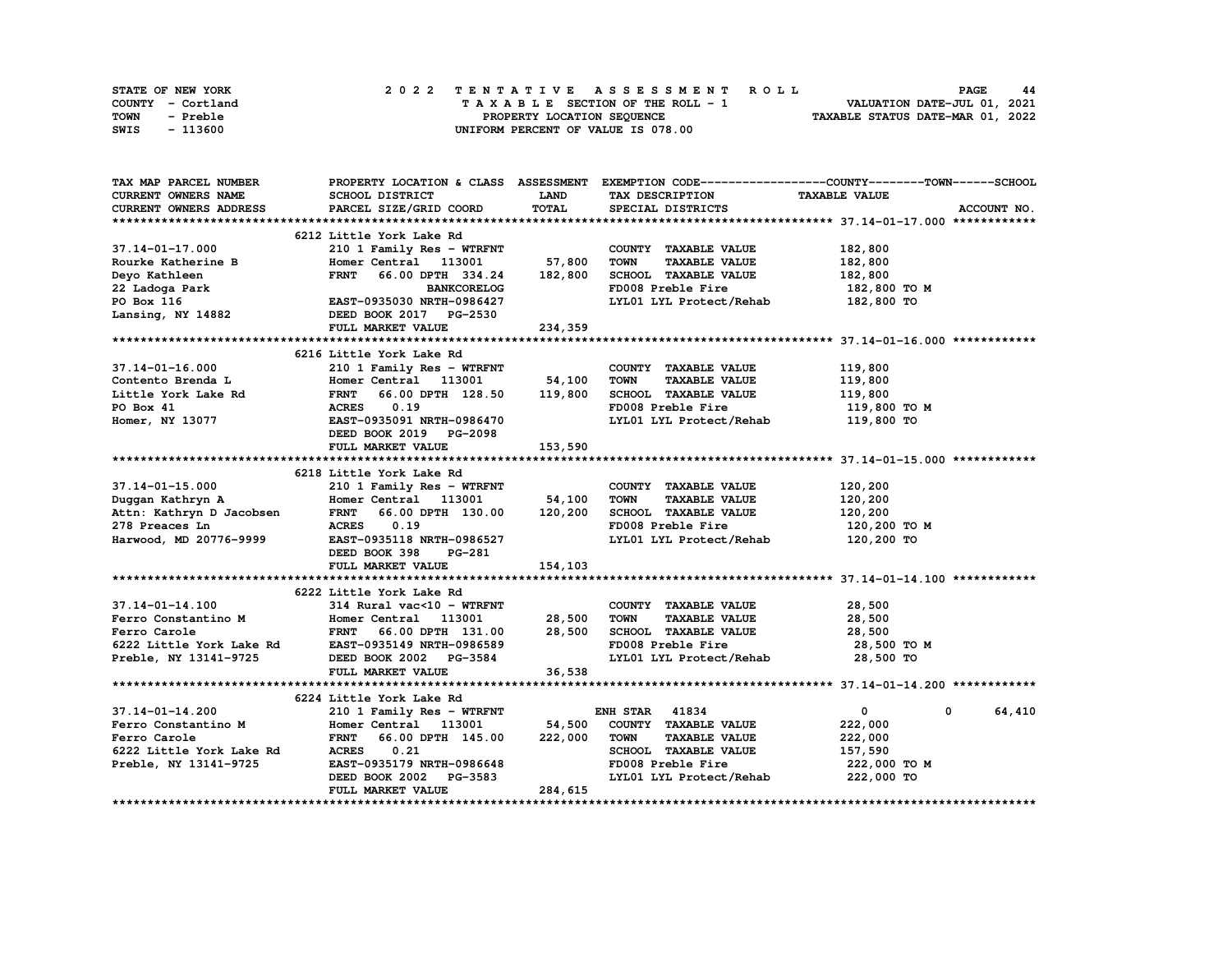| <b>STATE OF NEW YORK</b> | 2022 TENTATIVE ASSESSMENT ROLL     | 44<br><b>PAGE</b>                |
|--------------------------|------------------------------------|----------------------------------|
| COUNTY - Cortland        | TAXABLE SECTION OF THE ROLL - 1    | VALUATION DATE-JUL 01, 2021      |
| TOWN<br>- Preble         | PROPERTY LOCATION SEQUENCE         | TAXABLE STATUS DATE-MAR 01, 2022 |
| - 113600<br>SWIS         | UNIFORM PERCENT OF VALUE IS 078.00 |                                  |

| TAX MAP PARCEL NUMBER         |                                                                                                            |              |                                     | PROPERTY LOCATION & CLASS ASSESSMENT EXEMPTION CODE----------------COUNTY-------TOWN-----SCHOOL |
|-------------------------------|------------------------------------------------------------------------------------------------------------|--------------|-------------------------------------|-------------------------------------------------------------------------------------------------|
| <b>CURRENT OWNERS NAME</b>    | SCHOOL DISTRICT                                                                                            | <b>LAND</b>  | TAX DESCRIPTION                     | <b>TAXABLE VALUE</b>                                                                            |
| <b>CURRENT OWNERS ADDRESS</b> | PARCEL SIZE/GRID COORD                                                                                     | <b>TOTAL</b> | SPECIAL DISTRICTS                   | ACCOUNT NO.                                                                                     |
|                               |                                                                                                            |              |                                     |                                                                                                 |
|                               | 6212 Little York Lake Rd                                                                                   |              |                                     |                                                                                                 |
| 37.14-01-17.000               | 210 1 Family Res - WTRFNT                                                                                  |              | COUNTY TAXABLE VALUE                | 182,800                                                                                         |
| Rourke Katherine B            | Homer Central 113001                                                                                       | 57,800       | TOWN<br><b>TAXABLE VALUE</b>        | 182,800                                                                                         |
| Deyo Kathleen                 | <b>FRNT</b><br>66.00 DPTH 334.24                                                                           | 182,800      | SCHOOL TAXABLE VALUE                | 182,800                                                                                         |
| 22 Ladoga Park                | <b>BANKCORELOG</b>                                                                                         |              | FD008 Preble Fire                   | 182,800 то м                                                                                    |
| PO Box 116                    | EAST-0935030 NRTH-0986427                                                                                  |              | LYL01 LYL Protect/Rehab             | 182,800 TO                                                                                      |
| Lansing, NY 14882             | DEED BOOK 2017 PG-2530                                                                                     |              |                                     |                                                                                                 |
|                               | FULL MARKET VALUE                                                                                          | 234,359      |                                     |                                                                                                 |
|                               |                                                                                                            |              |                                     |                                                                                                 |
|                               | 6216 Little York Lake Rd                                                                                   |              |                                     |                                                                                                 |
| 37.14-01-16.000               | 210 1 Family Res - WTRFNT                                                                                  |              | COUNTY TAXABLE VALUE                | 119,800                                                                                         |
|                               |                                                                                                            | 54,100       | <b>TOWN</b><br><b>TAXABLE VALUE</b> | 119,800                                                                                         |
| Little York Lake Rd           | Contento Brenda L Momer Central 113001<br>FRNT 66.00 DPTH 128.50 119,800                                   |              | SCHOOL TAXABLE VALUE                | 119,800                                                                                         |
| PO Box 41                     | <b>ACRES</b><br>0.19                                                                                       |              | FD008 Preble Fire                   | 119,800 то м                                                                                    |
|                               |                                                                                                            |              |                                     | 119,800 TO                                                                                      |
| Homer, NY 13077               | EAST-0935091 NRTH-0986470                                                                                  |              | LYL01 LYL Protect/Rehab             |                                                                                                 |
|                               | DEED BOOK 2019 PG-2098                                                                                     |              |                                     |                                                                                                 |
|                               | FULL MARKET VALUE                                                                                          | 153,590      |                                     |                                                                                                 |
|                               |                                                                                                            |              |                                     |                                                                                                 |
|                               | 6218 Little York Lake Rd                                                                                   |              |                                     |                                                                                                 |
| 37.14-01-15.000               | 210 1 Family Res - WTRFNT                                                                                  |              | COUNTY TAXABLE VALUE                | 120,200                                                                                         |
|                               | Duggan Kathryn A<br>Homer Central 113001 54,100<br>Attn: Kathryn D Jacobsen FRNT 66.00 DPTH 130.00 120,200 |              | <b>TOWN</b><br><b>TAXABLE VALUE</b> | 120,200                                                                                         |
|                               |                                                                                                            |              | SCHOOL TAXABLE VALUE                | 120,200                                                                                         |
| 278 Preaces Ln                | <b>ACRES</b><br>0.19                                                                                       |              | FD008 Preble Fire                   | 120,200 то м                                                                                    |
| Harwood, MD 20776-9999        | EAST-0935118 NRTH-0986527                                                                                  |              | LYL01 LYL Protect/Rehab 120,200 TO  |                                                                                                 |
|                               | DEED BOOK 398<br><b>PG-281</b>                                                                             |              |                                     |                                                                                                 |
|                               | FULL MARKET VALUE                                                                                          | 154,103      |                                     |                                                                                                 |
|                               |                                                                                                            |              |                                     |                                                                                                 |
|                               | 6222 Little York Lake Rd                                                                                   |              |                                     |                                                                                                 |
| 37.14-01-14.100               | 314 Rural vac<10 - WTRFNT                                                                                  |              | COUNTY TAXABLE VALUE                | 28,500                                                                                          |
| Ferro Constantino M           | Homer Central 113001                                                                                       | 28,500       | <b>TOWN</b><br><b>TAXABLE VALUE</b> | 28,500                                                                                          |
| Ferro Carole                  | FRNT 66.00 DPTH 131.00                                                                                     | 28,500       | SCHOOL TAXABLE VALUE                | 28,500                                                                                          |
|                               |                                                                                                            |              | FD008 Preble Fire                   | 28,500 TO M                                                                                     |
| Preble, NY 13141-9725         | DEED BOOK 2002 PG-3584                                                                                     |              | LYL01 LYL Protect/Rehab 28,500 TO   |                                                                                                 |
|                               | FULL MARKET VALUE                                                                                          | 36,538       |                                     |                                                                                                 |
|                               |                                                                                                            |              |                                     |                                                                                                 |
|                               | 6224 Little York Lake Rd                                                                                   |              |                                     |                                                                                                 |
| 37.14-01-14.200               | 210 1 Family Res - WTRFNT                                                                                  |              | <b>ENH STAR 41834</b>               | $\bullet$<br>64,410<br>$^{\circ}$                                                               |
| Ferro Constantino M           | Homer Central 113001                                                                                       | 54,500       | COUNTY TAXABLE VALUE                | 222,000                                                                                         |
| Ferro Carole                  | <b>FRNT</b><br>66.00 DPTH 145.00                                                                           | 222,000      | <b>TAXABLE VALUE</b><br><b>TOWN</b> | 222,000                                                                                         |
| 6222 Little York Lake Rd      | <b>ACRES</b><br>0.21                                                                                       |              | SCHOOL TAXABLE VALUE                | 157,590                                                                                         |
| Preble, NY 13141-9725         | EAST-0935179 NRTH-0986648                                                                                  |              | FD008 Preble Fire                   | 222,000 TO M                                                                                    |
|                               | DEED BOOK 2002 PG-3583                                                                                     |              | LYL01 LYL Protect/Rehab             | 222,000 TO                                                                                      |
|                               | FULL MARKET VALUE                                                                                          | 284,615      |                                     |                                                                                                 |
|                               |                                                                                                            |              |                                     |                                                                                                 |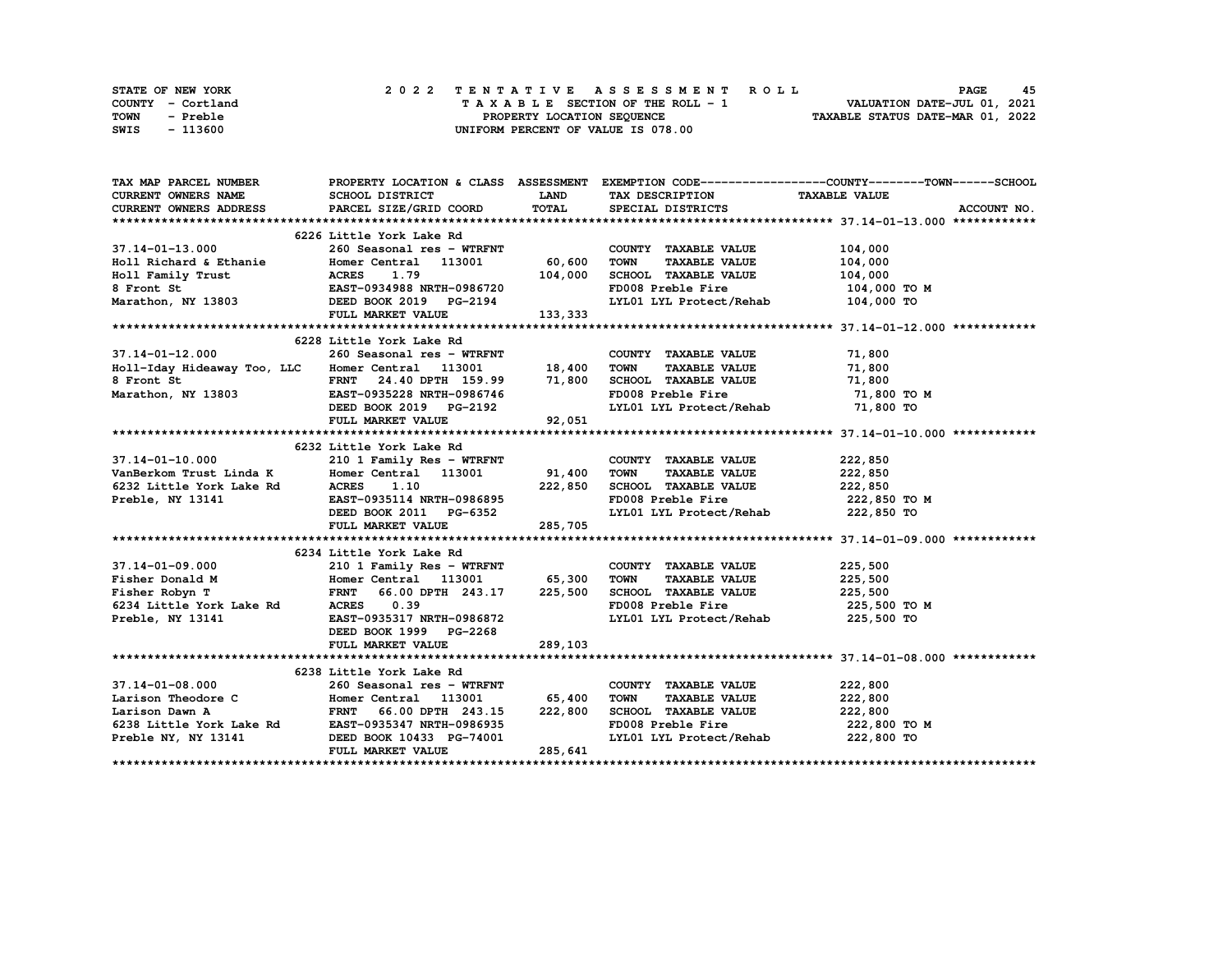| <b>STATE OF NEW YORK</b> | 2022 TENTATIVE ASSESSMENT ROLL     | 45<br><b>PAGE</b>                |
|--------------------------|------------------------------------|----------------------------------|
| COUNTY - Cortland        | TAXABLE SECTION OF THE ROLL - 1    | VALUATION DATE-JUL 01, 2021      |
| TOWN<br>- Preble         | PROPERTY LOCATION SEQUENCE         | TAXABLE STATUS DATE-MAR 01, 2022 |
| - 113600<br>SWIS         | UNIFORM PERCENT OF VALUE IS 078.00 |                                  |

| TAX MAP PARCEL NUMBER                                                                                                                                                                                                                                                                                                                                                                                             |                          |              |                                                                      | PROPERTY LOCATION & CLASS ASSESSMENT EXEMPTION CODE----------------COUNTY-------TOWN------SCHOOL |
|-------------------------------------------------------------------------------------------------------------------------------------------------------------------------------------------------------------------------------------------------------------------------------------------------------------------------------------------------------------------------------------------------------------------|--------------------------|--------------|----------------------------------------------------------------------|--------------------------------------------------------------------------------------------------|
| <b>CURRENT OWNERS NAME</b>                                                                                                                                                                                                                                                                                                                                                                                        | SCHOOL DISTRICT          | <b>LAND</b>  | TAX DESCRIPTION TAXABLE VALUE                                        |                                                                                                  |
| CURRENT OWNERS ADDRESS                                                                                                                                                                                                                                                                                                                                                                                            | PARCEL SIZE/GRID COORD   | <b>TOTAL</b> | SPECIAL DISTRICTS                                                    | ACCOUNT NO.                                                                                      |
|                                                                                                                                                                                                                                                                                                                                                                                                                   |                          |              |                                                                      |                                                                                                  |
|                                                                                                                                                                                                                                                                                                                                                                                                                   |                          |              |                                                                      |                                                                                                  |
|                                                                                                                                                                                                                                                                                                                                                                                                                   |                          |              |                                                                      |                                                                                                  |
|                                                                                                                                                                                                                                                                                                                                                                                                                   |                          |              |                                                                      |                                                                                                  |
|                                                                                                                                                                                                                                                                                                                                                                                                                   |                          |              |                                                                      |                                                                                                  |
|                                                                                                                                                                                                                                                                                                                                                                                                                   |                          |              | FD008 Preble Fire 104,000 TO M<br>LYL01 LYL Protect/Rehab 104,000 TO |                                                                                                  |
|                                                                                                                                                                                                                                                                                                                                                                                                                   |                          |              |                                                                      |                                                                                                  |
| $\begin{tabular}{lllllllllllllllllllllll} \textbf{37.14--01--13.000} & \textbf{260 Seasonal res - WTRENT} & \textbf{37.14--01--13.000} & \textbf{260 Seasonal res - WTRENT} & \textbf{37.14--01--13.000} & \textbf{260 Seasonal res - WTRENT} & \textbf{37.14--02.000} & \textbf{260 Seasonal res - WTRENT} & \textbf{37.14--02.000} & \textbf{260 Seasonal res - WTRENT} & \textbf{260 Seasonal res - WTRENT} &$ |                          |              |                                                                      |                                                                                                  |
|                                                                                                                                                                                                                                                                                                                                                                                                                   |                          |              |                                                                      |                                                                                                  |
|                                                                                                                                                                                                                                                                                                                                                                                                                   | 6228 Little York Lake Rd |              |                                                                      |                                                                                                  |
| 37.14-01-12.000 260 Seasonal res - WTRFNT COUNTY TAXABLE VALUE 71,800<br>Holl-Iday Hideaway Too, LLC Homer Central 113001 18,400 TOWN TAXABLE VALUE 71,800<br>8 Front St FRNT 24.40 DPTH 159.99 71,800 SCHOOL TAXABLE VALUE 71,800                                                                                                                                                                                |                          |              |                                                                      |                                                                                                  |
|                                                                                                                                                                                                                                                                                                                                                                                                                   |                          |              |                                                                      |                                                                                                  |
|                                                                                                                                                                                                                                                                                                                                                                                                                   |                          |              |                                                                      |                                                                                                  |
|                                                                                                                                                                                                                                                                                                                                                                                                                   |                          |              |                                                                      |                                                                                                  |
|                                                                                                                                                                                                                                                                                                                                                                                                                   |                          |              |                                                                      |                                                                                                  |
|                                                                                                                                                                                                                                                                                                                                                                                                                   |                          |              |                                                                      |                                                                                                  |
|                                                                                                                                                                                                                                                                                                                                                                                                                   |                          |              |                                                                      |                                                                                                  |
|                                                                                                                                                                                                                                                                                                                                                                                                                   | 6232 Little York Lake Rd |              |                                                                      |                                                                                                  |
|                                                                                                                                                                                                                                                                                                                                                                                                                   |                          |              | COUNTY TAXABLE VALUE 222,850                                         |                                                                                                  |
| $37.14-01-10.000$ $2101 Family Res - WTRENTVanBerkom Trust Linda KHomer Central 113001 91,400 TOWN$                                                                                                                                                                                                                                                                                                               |                          |              | TAXABLE VALUE 222,850                                                |                                                                                                  |
|                                                                                                                                                                                                                                                                                                                                                                                                                   |                          |              |                                                                      |                                                                                                  |
|                                                                                                                                                                                                                                                                                                                                                                                                                   |                          |              |                                                                      |                                                                                                  |
|                                                                                                                                                                                                                                                                                                                                                                                                                   |                          |              |                                                                      |                                                                                                  |
| ACRES 1.10 222,850 SCHOOL TAXABLE VALUE<br>Freble, NY 13141 EAST-0935114 NRTH-0986895<br>Preble, NY 13141 EAST-0935114 NRTH-0986895<br>DEED BOOK 2011 PG-6352 LYL01 LYL Protect/Rehab 222,850 TO M<br>FULL MARKET VALUE 285,705                                                                                                                                                                                   |                          |              |                                                                      |                                                                                                  |
|                                                                                                                                                                                                                                                                                                                                                                                                                   |                          |              |                                                                      |                                                                                                  |
|                                                                                                                                                                                                                                                                                                                                                                                                                   | 6234 Little York Lake Rd |              |                                                                      |                                                                                                  |
|                                                                                                                                                                                                                                                                                                                                                                                                                   |                          |              |                                                                      |                                                                                                  |
| 37.14-01-09.000 210 1 Family Res - WTRFNT COUNTY TAXABLE VALUE 225,500<br>Fisher Donald M Homer Central 113001 65,300 TOWN TAXABLE VALUE 225,500<br>Fisher Robyn T FRNT 66.00 DPTH 243.17 225,500 SCHOOL TAXABLE VALUE 225,500<br>62                                                                                                                                                                              |                          |              |                                                                      |                                                                                                  |
|                                                                                                                                                                                                                                                                                                                                                                                                                   |                          |              |                                                                      |                                                                                                  |
|                                                                                                                                                                                                                                                                                                                                                                                                                   |                          |              | FD008 Preble Fire 225,500 TO M                                       |                                                                                                  |
|                                                                                                                                                                                                                                                                                                                                                                                                                   |                          |              | LYL01 LYL Protect/Rehab 225,500 TO                                   |                                                                                                  |
|                                                                                                                                                                                                                                                                                                                                                                                                                   | DEED BOOK 1999 PG-2268   |              |                                                                      |                                                                                                  |
|                                                                                                                                                                                                                                                                                                                                                                                                                   | FULL MARKET VALUE        | 289,103      |                                                                      |                                                                                                  |
|                                                                                                                                                                                                                                                                                                                                                                                                                   |                          |              |                                                                      |                                                                                                  |
|                                                                                                                                                                                                                                                                                                                                                                                                                   | 6238 Little York Lake Rd |              |                                                                      |                                                                                                  |
|                                                                                                                                                                                                                                                                                                                                                                                                                   |                          |              |                                                                      |                                                                                                  |
|                                                                                                                                                                                                                                                                                                                                                                                                                   |                          |              |                                                                      |                                                                                                  |
|                                                                                                                                                                                                                                                                                                                                                                                                                   |                          |              |                                                                      |                                                                                                  |
|                                                                                                                                                                                                                                                                                                                                                                                                                   |                          |              |                                                                      |                                                                                                  |
| Preble NY, NY 13141<br>Preble NY, NY 13141<br>FULL MARKET VALUE 285,641                                                                                                                                                                                                                                                                                                                                           |                          |              | LYL01 LYL Protect/Rehab 222,800 TO                                   |                                                                                                  |
|                                                                                                                                                                                                                                                                                                                                                                                                                   |                          |              |                                                                      |                                                                                                  |
|                                                                                                                                                                                                                                                                                                                                                                                                                   |                          |              |                                                                      |                                                                                                  |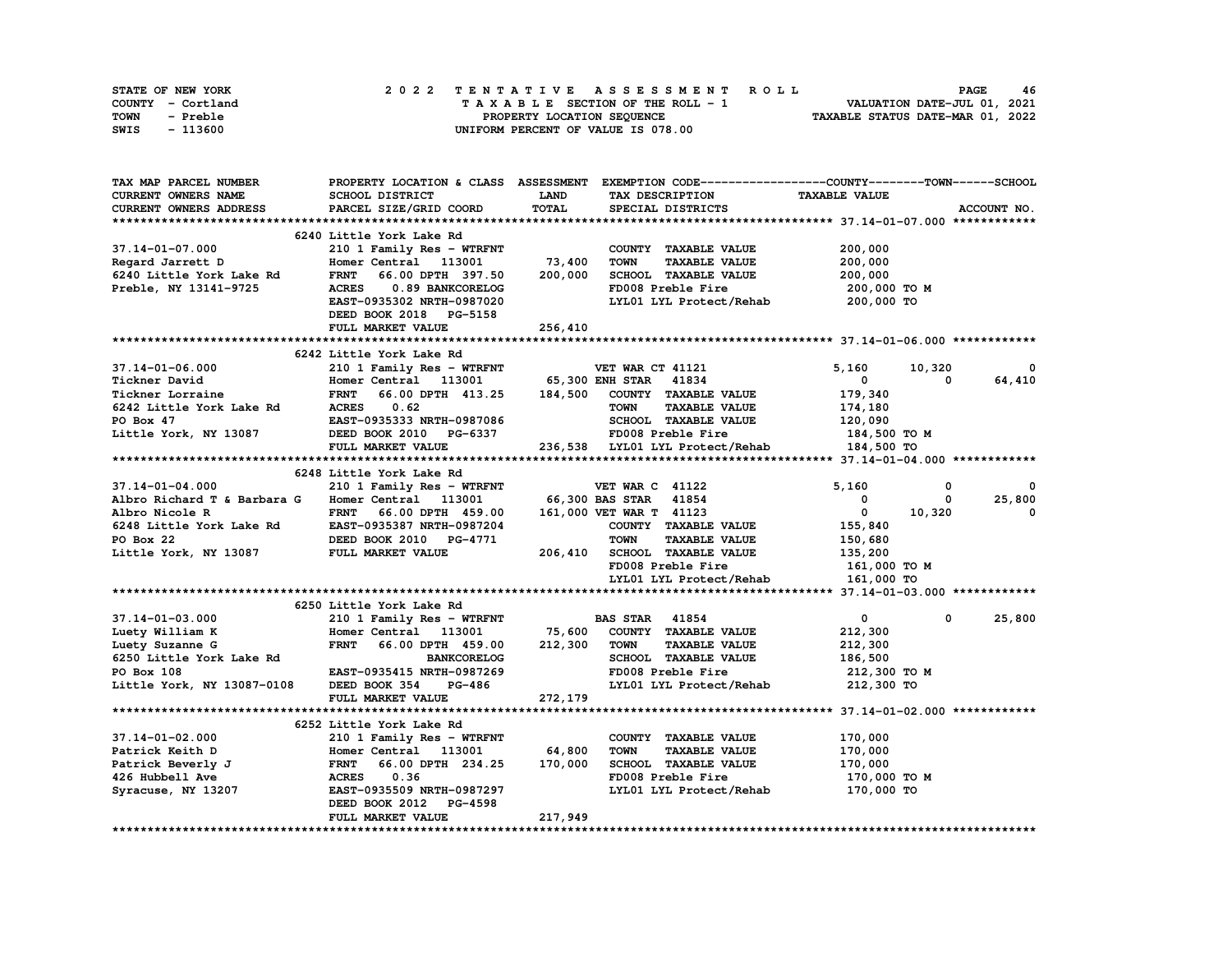| STATE OF NEW YORK | 2022 TENTATIVE ASSESSMENT ROLL     | 46<br><b>PAGE</b>                |
|-------------------|------------------------------------|----------------------------------|
| COUNTY - Cortland | TAXABLE SECTION OF THE ROLL - 1    | VALUATION DATE-JUL 01, 2021      |
| TOWN<br>- Preble  | PROPERTY LOCATION SEOUENCE         | TAXABLE STATUS DATE-MAR 01, 2022 |
| - 113600<br>SWIS  | UNIFORM PERCENT OF VALUE IS 078.00 |                                  |

| TAX MAP PARCEL NUMBER                                                                                                                                                                                                                              |                                                                                         |                   | PROPERTY LOCATION & CLASS ASSESSMENT EXEMPTION CODE----------------COUNTY-------TOWN-----SCHOOL                                                   |                                  |                         |             |
|----------------------------------------------------------------------------------------------------------------------------------------------------------------------------------------------------------------------------------------------------|-----------------------------------------------------------------------------------------|-------------------|---------------------------------------------------------------------------------------------------------------------------------------------------|----------------------------------|-------------------------|-------------|
| <b>CURRENT OWNERS NAME</b>                                                                                                                                                                                                                         | SCHOOL DISTRICT                                                                         | <b>LAND</b>       | TAX DESCRIPTION                                                                                                                                   | TAXABLE VALUE                    |                         |             |
| CURRENT OWNERS ADDRESS PARCEL SIZE/GRID COORD                                                                                                                                                                                                      |                                                                                         | <b>TOTAL</b>      | SPECIAL DISTRICTS                                                                                                                                 |                                  |                         | ACCOUNT NO. |
|                                                                                                                                                                                                                                                    |                                                                                         |                   |                                                                                                                                                   |                                  |                         |             |
|                                                                                                                                                                                                                                                    | 6240 Little York Lake Rd                                                                |                   |                                                                                                                                                   |                                  |                         |             |
| 37.14-01-07.000                                                                                                                                                                                                                                    | 210 1 Family Res - WTRFNT                                                               |                   | COUNTY TAXABLE VALUE                                                                                                                              | 200,000                          |                         |             |
| Regard Jarrett D                                                                                                                                                                                                                                   | $Homer Central$ 113001 73,400                                                           |                   | <b>TOWN</b><br><b>TAXABLE VALUE</b>                                                                                                               | 200,000                          |                         |             |
|                                                                                                                                                                                                                                                    | 66.00 DPTH 397.50<br><b>FRNT</b>                                                        | 200,000           |                                                                                                                                                   |                                  |                         |             |
| 6240 Little York Lake Rd<br>Preble, NY 13141-9725                                                                                                                                                                                                  | ACRES 0.89 BANKCORELOG                                                                  |                   | SCHOOL TAXABLE VALUE 200,000<br>FD008 Preble Fire 200,000 TO M                                                                                    |                                  |                         |             |
|                                                                                                                                                                                                                                                    | EAST-0935302 NRTH-0987020                                                               |                   | LYL01 LYL Protect/Rehab 200,000 TO                                                                                                                |                                  |                         |             |
|                                                                                                                                                                                                                                                    | DEED BOOK 2018 PG-5158                                                                  |                   |                                                                                                                                                   |                                  |                         |             |
|                                                                                                                                                                                                                                                    | FULL MARKET VALUE                                                                       | 256,410           |                                                                                                                                                   |                                  |                         |             |
|                                                                                                                                                                                                                                                    |                                                                                         |                   |                                                                                                                                                   |                                  |                         |             |
|                                                                                                                                                                                                                                                    |                                                                                         |                   |                                                                                                                                                   |                                  |                         |             |
|                                                                                                                                                                                                                                                    | 6242 Little York Lake Rd                                                                |                   |                                                                                                                                                   |                                  |                         |             |
|                                                                                                                                                                                                                                                    |                                                                                         |                   |                                                                                                                                                   |                                  | 10,320                  | 0           |
|                                                                                                                                                                                                                                                    |                                                                                         |                   |                                                                                                                                                   |                                  | $\overline{\mathbf{0}}$ | 64,410      |
|                                                                                                                                                                                                                                                    |                                                                                         |                   |                                                                                                                                                   |                                  |                         |             |
|                                                                                                                                                                                                                                                    |                                                                                         |                   |                                                                                                                                                   |                                  |                         |             |
|                                                                                                                                                                                                                                                    |                                                                                         |                   |                                                                                                                                                   |                                  |                         |             |
|                                                                                                                                                                                                                                                    |                                                                                         |                   |                                                                                                                                                   |                                  |                         |             |
| 37.14-01-06.000<br>Tickner David<br>Tickner David<br>EMPI Res – WTRFNT<br>Tickner Lorraine<br>ERNT 66.00 DPTH 413.25<br>ERNT 66.00 DPTH 413.25<br>ERNT 66.00 DPTH 413.25<br>ERNT 66.00 DPTH 413.25<br>ERNT 66.00 DPTH 413.25<br>ERNT 66.00 DPTH 41 |                                                                                         |                   |                                                                                                                                                   |                                  |                         |             |
|                                                                                                                                                                                                                                                    |                                                                                         |                   |                                                                                                                                                   |                                  |                         |             |
|                                                                                                                                                                                                                                                    | 6248 Little York Lake Rd                                                                |                   |                                                                                                                                                   |                                  |                         |             |
| 37.14-01-04.000                                                                                                                                                                                                                                    | 210 1 Family Res - WTRFNT VET WAR C 41122<br>Homer Central 113001 66,300 BAS STAR 41854 |                   |                                                                                                                                                   | 5,160                            | 0                       | 0           |
| Albro Richard T & Barbara G                                                                                                                                                                                                                        |                                                                                         |                   |                                                                                                                                                   | $\begin{matrix}0\\0\end{matrix}$ | $\mathbf{0}$            | 25,800      |
|                                                                                                                                                                                                                                                    |                                                                                         |                   |                                                                                                                                                   |                                  | 10,320                  | 0           |
|                                                                                                                                                                                                                                                    |                                                                                         |                   |                                                                                                                                                   |                                  |                         |             |
|                                                                                                                                                                                                                                                    |                                                                                         |                   |                                                                                                                                                   |                                  |                         |             |
|                                                                                                                                                                                                                                                    |                                                                                         |                   |                                                                                                                                                   |                                  |                         |             |
|                                                                                                                                                                                                                                                    |                                                                                         |                   |                                                                                                                                                   |                                  |                         |             |
| Albro Richard T & Balbara Country TAXABLE VALUE<br>Albro Nicole R<br>ERST-0935387 NRTH-0987204 COUNTY TAXABLE VALUE<br>FO Box 22 DEED BOOK 2010 PG-4771 TOWN TAXABLE VALUE 150,680<br>Little York, NY 13087 FULL MARKET VALUE 206,410              |                                                                                         |                   |                                                                                                                                                   |                                  |                         |             |
|                                                                                                                                                                                                                                                    |                                                                                         |                   |                                                                                                                                                   |                                  |                         |             |
|                                                                                                                                                                                                                                                    | 6250 Little York Lake Rd                                                                |                   |                                                                                                                                                   |                                  |                         |             |
| 37.14-01-03.000                                                                                                                                                                                                                                    |                                                                                         |                   | 210 1 Family Res - WTRFNT BAS STAR 41854<br>Homer Central 113001 75,600 COUNTY TAXABLE VALUE<br>FRNT 66.00 DPTH 459.00 212,300 TOWN TAXABLE VALUE | $\overline{\mathbf{0}}$          | $\mathbf{0}$            | 25,800      |
| Luety William K                                                                                                                                                                                                                                    |                                                                                         |                   |                                                                                                                                                   |                                  |                         |             |
| Luety Suzanne G                                                                                                                                                                                                                                    |                                                                                         |                   |                                                                                                                                                   | 212,300<br>212,300               |                         |             |
| 6250 Little York Lake Rd<br>PO Box 108 EAST-0935415 NRTH-0987269                                                                                                                                                                                   |                                                                                         |                   |                                                                                                                                                   |                                  |                         |             |
|                                                                                                                                                                                                                                                    |                                                                                         |                   | SCHOOL TAXABLE VALUE 186,500<br>FD008 Preble Fire 1212,300                                                                                        | 212,300 то м                     |                         |             |
| Little York, NY 13087-0108 DEED BOOK 354 PG-486                                                                                                                                                                                                    |                                                                                         |                   | LYL01 LYL Protect/Rehab 212,300 TO                                                                                                                |                                  |                         |             |
|                                                                                                                                                                                                                                                    | FULL MARKET VALUE                                                                       | ?G-486<br>272,179 |                                                                                                                                                   |                                  |                         |             |
|                                                                                                                                                                                                                                                    |                                                                                         |                   |                                                                                                                                                   |                                  |                         |             |
|                                                                                                                                                                                                                                                    | 6252 Little York Lake Rd                                                                |                   |                                                                                                                                                   |                                  |                         |             |
|                                                                                                                                                                                                                                                    |                                                                                         |                   | COUNTY TAXABLE VALUE                                                                                                                              |                                  |                         |             |
|                                                                                                                                                                                                                                                    |                                                                                         |                   | <b>TOWN</b><br><b>TAXABLE VALUE</b>                                                                                                               | 170,000<br>170,000               |                         |             |
|                                                                                                                                                                                                                                                    |                                                                                         |                   |                                                                                                                                                   |                                  |                         |             |
|                                                                                                                                                                                                                                                    |                                                                                         |                   | SCHOOL TAXABLE VALUE 170,000<br>FD008 Preble Fire                                                                                                 | 170,000 TO M                     |                         |             |
|                                                                                                                                                                                                                                                    |                                                                                         |                   | LYL01 LYL Protect/Rehab 170,000 TO                                                                                                                |                                  |                         |             |
|                                                                                                                                                                                                                                                    | DEED BOOK 2012 PG-4598                                                                  |                   |                                                                                                                                                   |                                  |                         |             |
|                                                                                                                                                                                                                                                    |                                                                                         |                   |                                                                                                                                                   |                                  |                         |             |
|                                                                                                                                                                                                                                                    | FULL MARKET VALUE                                                                       | 217,949           |                                                                                                                                                   |                                  |                         |             |
|                                                                                                                                                                                                                                                    |                                                                                         |                   |                                                                                                                                                   |                                  |                         |             |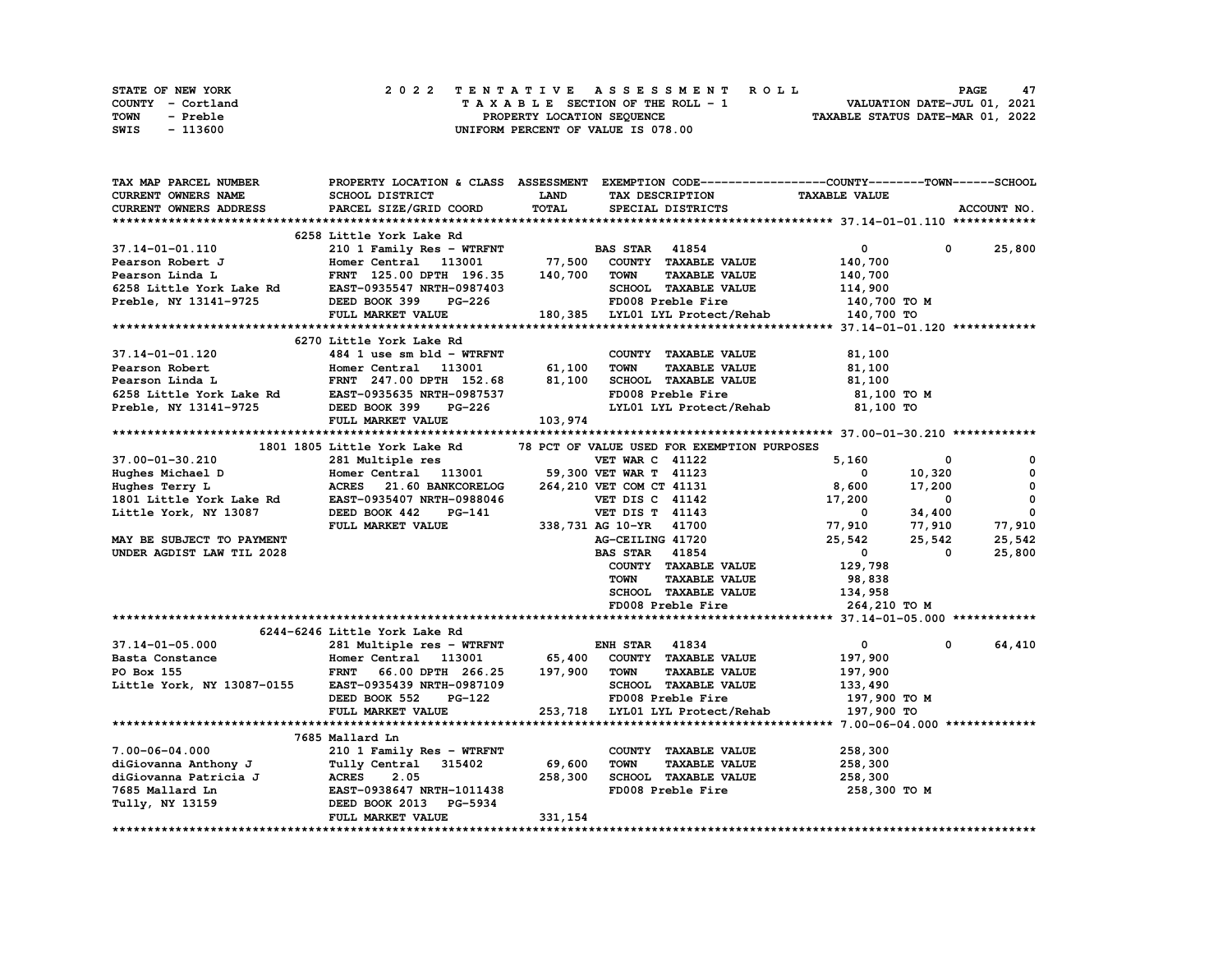| STATE OF NEW YORK | 2022 TENTATIVE ASSESSMENT ROLL     | 47<br><b>PAGE</b>                |
|-------------------|------------------------------------|----------------------------------|
| COUNTY - Cortland | TAXABLE SECTION OF THE ROLL - 1    | VALUATION DATE-JUL 01, 2021      |
| TOWN<br>- Preble  | PROPERTY LOCATION SEQUENCE         | TAXABLE STATUS DATE-MAR 01, 2022 |
| - 113600<br>SWIS  | UNIFORM PERCENT OF VALUE IS 078.00 |                                  |

| TAX MAP PARCEL NUMBER                                                                                                                                                                                                               |                                                                                                                                                        |              | PROPERTY LOCATION & CLASS ASSESSMENT EXEMPTION CODE----------------COUNTY-------TOWN-----SCHOOL |                                                       |                          |                          |
|-------------------------------------------------------------------------------------------------------------------------------------------------------------------------------------------------------------------------------------|--------------------------------------------------------------------------------------------------------------------------------------------------------|--------------|-------------------------------------------------------------------------------------------------|-------------------------------------------------------|--------------------------|--------------------------|
| CURRENT OWNERS NAME                                                                                                                                                                                                                 | SCHOOL DISTRICT                                                                                                                                        | <b>LAND</b>  | TAX DESCRIPTION                                                                                 | <b>TAXABLE VALUE</b>                                  |                          |                          |
| CURRENT OWNERS ADDRESS                                                                                                                                                                                                              | PARCEL SIZE/GRID COORD                                                                                                                                 | <b>TOTAL</b> | SPECIAL DISTRICTS                                                                               |                                                       |                          | ACCOUNT NO.              |
|                                                                                                                                                                                                                                     |                                                                                                                                                        |              |                                                                                                 |                                                       |                          |                          |
|                                                                                                                                                                                                                                     | 6258 Little York Lake Rd                                                                                                                               |              |                                                                                                 |                                                       |                          |                          |
|                                                                                                                                                                                                                                     |                                                                                                                                                        |              | <b>BAS STAR</b> 41854                                                                           | $^{\circ}$                                            | $^{\circ}$               | 25,800                   |
|                                                                                                                                                                                                                                     |                                                                                                                                                        |              | COUNTY TAXABLE VALUE                                                                            | 140,700                                               |                          |                          |
|                                                                                                                                                                                                                                     |                                                                                                                                                        |              | <b>TAXABLE VALUE</b><br>TOWN                                                                    | 140,700                                               |                          |                          |
|                                                                                                                                                                                                                                     |                                                                                                                                                        |              | SCHOOL TAXABLE VALUE                                                                            | 114,900                                               |                          |                          |
| 37.14-01-01.110 210 1 Family Res - WTKENT<br>Pearson Robert J Homer Central 113001 77,500<br>Pearson Linda L FRNT 125.00 DPTH 196.35 140,700<br>6258 Little York Lake Rd EAST-0935547 NRTH-0987403                                  |                                                                                                                                                        |              | FD008 Preble Fire                                                                               | 140,700 TO M                                          |                          |                          |
|                                                                                                                                                                                                                                     | FULL MARKET VALUE                                                                                                                                      |              | 26 140,700 10<br>180,385 1YL01 LYL Protect/Rehab 140,700 TO                                     |                                                       |                          |                          |
|                                                                                                                                                                                                                                     |                                                                                                                                                        |              |                                                                                                 |                                                       |                          |                          |
|                                                                                                                                                                                                                                     | 6270 Little York Lake Rd                                                                                                                               |              |                                                                                                 |                                                       |                          |                          |
| 37.14-01-01.120                                                                                                                                                                                                                     | 484 1 use sm bld - WTRFNT                                                                                                                              |              | COUNTY TAXABLE VALUE                                                                            | 81,100                                                |                          |                          |
| Pearson Robert<br>Pearson Robert<br>Pearson Linda L<br>FRNT 247.00 DPTH 152.68 81,100<br>6258 Little York Lake Rd<br>EAST-0935635 NRTH-0987537                                                                                      | $484$ 1 use sm bld - WTRFNT<br>Homer Central 113001 61,100                                                                                             |              | TOWN<br><b>TAXABLE VALUE</b>                                                                    | 81,100                                                |                          |                          |
|                                                                                                                                                                                                                                     |                                                                                                                                                        |              | SCHOOL TAXABLE VALUE                                                                            | 81,100                                                |                          |                          |
|                                                                                                                                                                                                                                     |                                                                                                                                                        |              | FD008 Preble Fire                                                                               | 81,100 TO M                                           |                          |                          |
| Preble, NY 13141-9725 DEED BOOK 399                                                                                                                                                                                                 | PG-226                                                                                                                                                 |              | LYL01 LYL Protect/Rehab 81,100 TO                                                               |                                                       |                          |                          |
|                                                                                                                                                                                                                                     | FULL MARKET VALUE                                                                                                                                      | 103,974      |                                                                                                 |                                                       |                          |                          |
|                                                                                                                                                                                                                                     |                                                                                                                                                        |              |                                                                                                 |                                                       |                          |                          |
| 37.00-01-30.210 281 Multiple res VET WAR C 41122<br>Hughes Michael D Homer Central 113001 59,300 VET WAR C 41122<br>Hughes Terry L ACRES 21.60 BANKCORELOG 264,210 VET COM CT 41131<br>1801 Little York Lake Rd EAST-0935407 NRTH-0 |                                                                                                                                                        |              | 78 PCT OF VALUE USED FOR EXEMPTION PURPOSES                                                     |                                                       |                          |                          |
|                                                                                                                                                                                                                                     |                                                                                                                                                        |              |                                                                                                 | 5.160                                                 | 0                        | 0                        |
|                                                                                                                                                                                                                                     |                                                                                                                                                        |              |                                                                                                 | $^{\circ}$                                            | 10,320                   | 0                        |
|                                                                                                                                                                                                                                     |                                                                                                                                                        |              |                                                                                                 | 8,600                                                 | 17,200                   | $\mathbf 0$              |
|                                                                                                                                                                                                                                     |                                                                                                                                                        |              |                                                                                                 | 17,200                                                | $\overline{\phantom{0}}$ | $\overline{\phantom{0}}$ |
|                                                                                                                                                                                                                                     |                                                                                                                                                        |              |                                                                                                 |                                                       |                          | $\overline{\phantom{0}}$ |
|                                                                                                                                                                                                                                     | DEED BOOK 442 PG-141 VET DIS T 41143<br>FULL MARKET VALUE 338, 731 AG 10-YR 41700                                                                      |              |                                                                                                 | $77,910$ $34,400$<br>$77,910$ $77,910$<br>0<br>77.910 |                          | 77,910                   |
| MAY BE SUBJECT TO PAYMENT                                                                                                                                                                                                           |                                                                                                                                                        |              | AG-CEILING 41720                                                                                | 25,542                                                | 25,542                   | 25,542                   |
| UNDER AGDIST LAW TIL 2028                                                                                                                                                                                                           |                                                                                                                                                        |              | <b>BAS STAR</b> 41854                                                                           | $\mathbf{0}$                                          | $\Omega$                 | 25,800                   |
|                                                                                                                                                                                                                                     |                                                                                                                                                        |              | COUNTY TAXABLE VALUE                                                                            | 129,798                                               |                          |                          |
|                                                                                                                                                                                                                                     |                                                                                                                                                        |              | <b>TOWN</b><br><b>TAXABLE VALUE</b>                                                             | 98,838                                                |                          |                          |
|                                                                                                                                                                                                                                     |                                                                                                                                                        |              | SCHOOL TAXABLE VALUE                                                                            | 134,958                                               |                          |                          |
|                                                                                                                                                                                                                                     |                                                                                                                                                        |              | FD008 Preble Fire                                                                               | 264,210 TO M                                          |                          |                          |
|                                                                                                                                                                                                                                     |                                                                                                                                                        |              |                                                                                                 |                                                       |                          |                          |
|                                                                                                                                                                                                                                     | 6244-6246 Little York Lake Rd                                                                                                                          |              |                                                                                                 |                                                       |                          |                          |
| 37.14-01-05.000                                                                                                                                                                                                                     |                                                                                                                                                        |              |                                                                                                 | $\mathbf{0}$                                          | $^{\circ}$               | 64,410                   |
| Basta Constance                                                                                                                                                                                                                     |                                                                                                                                                        |              |                                                                                                 | 197,900                                               |                          |                          |
| PO Box 155                                                                                                                                                                                                                          | 281 Multiple res - WTRFNT ENH STAR 41834<br>Experiment Central 113001 65,400 COUNTY TAXABLE VALUE<br>FRNT 66.00 DPTH 266.25 197,900 TOWN TAXABLE VALUE |              |                                                                                                 | 197,900                                               |                          |                          |
|                                                                                                                                                                                                                                     |                                                                                                                                                        |              | SCHOOL TAXABLE VALUE                                                                            | 133,490                                               |                          |                          |
| Little York, NY 13087-0155 EAST-0935439 NRTH-0987109<br>DEED BOOK 552 PG-122                                                                                                                                                        |                                                                                                                                                        |              | FD008 Preble Fire                                                                               | 197,900 то м                                          |                          |                          |
|                                                                                                                                                                                                                                     | FULL MARKET VALUE                                                                                                                                      |              | 253,718 LYL01 LYL Protect/Rehab                                                                 | 197,900 TO                                            |                          |                          |
|                                                                                                                                                                                                                                     |                                                                                                                                                        |              |                                                                                                 |                                                       |                          |                          |
|                                                                                                                                                                                                                                     | 7685 Mallard Ln                                                                                                                                        |              |                                                                                                 |                                                       |                          |                          |
| $7.00 - 06 - 04.000$                                                                                                                                                                                                                | 210 1 Family Res - WTRFNT                                                                                                                              |              | COUNTY TAXABLE VALUE                                                                            | 258,300                                               |                          |                          |
| 7.00-06-04.000<br>diGiovanna Anthony J<br>diGiovanna Patricia J<br>7.685 Mallard Ln<br>7.685 Mallard Ln<br>Tully Central 315402<br>258,300<br>EAST-0938647 NRTH-1011438<br>DEED BOOK 2013 PG-5934<br>231,15                         |                                                                                                                                                        | 69,600       | <b>TOWN</b><br><b>TAXABLE VALUE</b>                                                             | 258,300                                               |                          |                          |
|                                                                                                                                                                                                                                     |                                                                                                                                                        | 258,300      | SCHOOL TAXABLE VALUE                                                                            | 258,300                                               |                          |                          |
|                                                                                                                                                                                                                                     |                                                                                                                                                        |              | FD008 Preble Fire                                                                               | 258,300 то м                                          |                          |                          |
|                                                                                                                                                                                                                                     |                                                                                                                                                        |              |                                                                                                 |                                                       |                          |                          |
|                                                                                                                                                                                                                                     | FULL MARKET VALUE                                                                                                                                      | 331,154      |                                                                                                 |                                                       |                          |                          |
|                                                                                                                                                                                                                                     |                                                                                                                                                        |              |                                                                                                 |                                                       |                          |                          |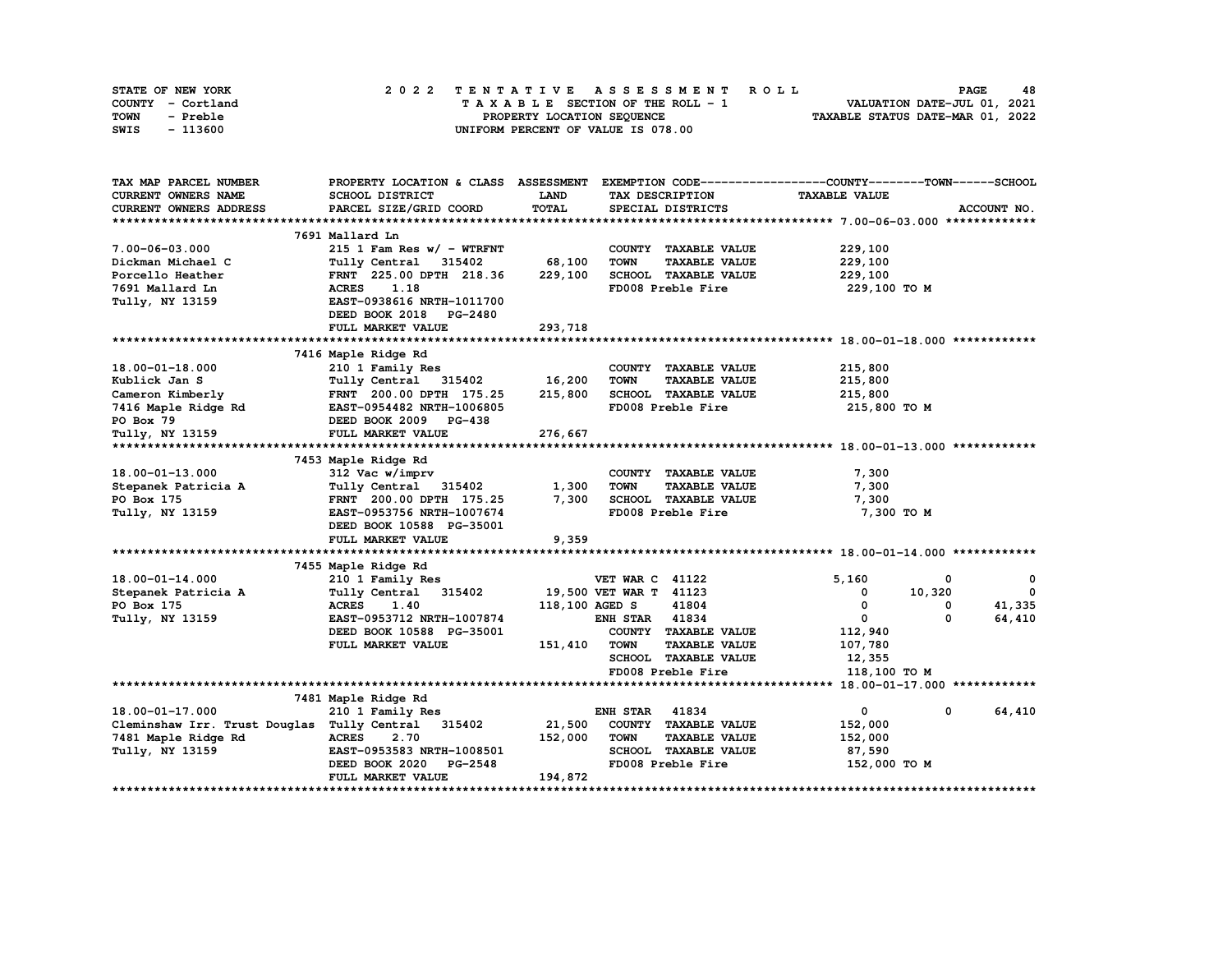| STATE OF NEW YORK |          |  | 2022 TENTATIVE ASSESSMENT ROLL |  |  |  |                                    |  |  |  |  |  |  |                                  | <b>PAGE</b> | 48 |
|-------------------|----------|--|--------------------------------|--|--|--|------------------------------------|--|--|--|--|--|--|----------------------------------|-------------|----|
| COUNTY - Cortland |          |  |                                |  |  |  | TAXABLE SECTION OF THE ROLL - 1    |  |  |  |  |  |  | VALUATION DATE-JUL 01, 2021      |             |    |
| TOWN              | - Preble |  |                                |  |  |  | PROPERTY LOCATION SEQUENCE         |  |  |  |  |  |  | TAXABLE STATUS DATE-MAR 01, 2022 |             |    |
| SWIS              | - 113600 |  |                                |  |  |  | UNIFORM PERCENT OF VALUE IS 078.00 |  |  |  |  |  |  |                                  |             |    |

| TAX MAP PARCEL NUMBER                                                                               | PROPERTY LOCATION & CLASS ASSESSMENT EXEMPTION CODE----------------COUNTY-------TOWN-----SCHOOL |             |                         |                      |                      |              |                         |
|-----------------------------------------------------------------------------------------------------|-------------------------------------------------------------------------------------------------|-------------|-------------------------|----------------------|----------------------|--------------|-------------------------|
| CURRENT OWNERS NAME                                                                                 | SCHOOL DISTRICT                                                                                 | <b>LAND</b> | TAX DESCRIPTION         |                      | <b>TAXABLE VALUE</b> |              |                         |
| CURRENT OWNERS ADDRESS                                                                              | PARCEL SIZE/GRID COORD                                                                          | TOTAL       | SPECIAL DISTRICTS       |                      |                      |              | ACCOUNT NO.             |
|                                                                                                     |                                                                                                 |             |                         |                      |                      |              |                         |
|                                                                                                     | 7691 Mallard Ln                                                                                 |             |                         |                      |                      |              |                         |
| $7.00 - 06 - 03.000$                                                                                | 215 1 Fam Res $w/ - WTRFNT$                                                                     |             | COUNTY TAXABLE VALUE    |                      | 229,100              |              |                         |
| Dickman Michael C                                                                                   | Tully Central 315402                                                                            | 68,100      | <b>TOWN</b>             | <b>TAXABLE VALUE</b> | 229,100              |              |                         |
| Porcello Heather                                                                                    | FRNT 225.00 DPTH 218.36                                                                         | 229,100     | SCHOOL TAXABLE VALUE    |                      | 229,100              |              |                         |
| 7691 Mallard Ln                                                                                     | 1.18<br><b>ACRES</b>                                                                            |             | FD008 Preble Fire       |                      | 229,100 то м         |              |                         |
| Tully, NY 13159                                                                                     | EAST-0938616 NRTH-1011700                                                                       |             |                         |                      |                      |              |                         |
|                                                                                                     | DEED BOOK 2018 PG-2480                                                                          |             |                         |                      |                      |              |                         |
|                                                                                                     | FULL MARKET VALUE                                                                               | 293,718     |                         |                      |                      |              |                         |
|                                                                                                     |                                                                                                 |             |                         |                      |                      |              |                         |
|                                                                                                     | 7416 Maple Ridge Rd                                                                             |             |                         |                      |                      |              |                         |
| 18.00-01-18.000                                                                                     | 210 1 Family Res                                                                                |             | COUNTY TAXABLE VALUE    |                      | 215,800              |              |                         |
| Kublick Jan S                                                                                       | Tully Central 315402                                                                            | 16,200      | <b>TOWN</b>             | <b>TAXABLE VALUE</b> | 215,800              |              |                         |
| Cameron Kimberly                                                                                    | FRNT 200.00 DPTH 175.25                                                                         | 215,800     | SCHOOL TAXABLE VALUE    |                      | 215,800              |              |                         |
|                                                                                                     | EAST-0954482 NRTH-1006805                                                                       |             | FD008 Preble Fire       |                      | 215,800 TO M         |              |                         |
| Value of Naple Ridge Rd<br>2416 Maple Ridge Rd<br>2020 Maple Ridge Rd<br>2020 DEED BOOK 2009 PG-438 |                                                                                                 |             |                         |                      |                      |              |                         |
| Tully, NY 13159                                                                                     | FULL MARKET VALUE                                                                               |             |                         |                      |                      |              |                         |
|                                                                                                     |                                                                                                 | 276,667     |                         |                      |                      |              |                         |
|                                                                                                     |                                                                                                 |             |                         |                      |                      |              |                         |
|                                                                                                     | 7453 Maple Ridge Rd                                                                             |             |                         |                      |                      |              |                         |
| $18.00 - 01 - 13.000$                                                                               | 312 Vac w/imprv                                                                                 |             | COUNTY TAXABLE VALUE    |                      | 7,300                |              |                         |
| Stepanek Patricia A                                                                                 | Tully Central 315402                                                                            | 1,300       | <b>TOWN</b>             | <b>TAXABLE VALUE</b> | 7,300                |              |                         |
| PO Box 175                                                                                          | FRNT 200.00 DPTH 175.25                                                                         | 7,300       | SCHOOL TAXABLE VALUE    |                      | 7,300                |              |                         |
| Tully, NY 13159                                                                                     | EAST-0953756 NRTH-1007674                                                                       |             | FD008 Preble Fire       |                      | 7,300 TO M           |              |                         |
|                                                                                                     | DEED BOOK 10588 PG-35001                                                                        |             |                         |                      |                      |              |                         |
|                                                                                                     | FULL MARKET VALUE                                                                               | 9,359       |                         |                      |                      |              |                         |
|                                                                                                     |                                                                                                 |             |                         |                      |                      |              |                         |
|                                                                                                     | 7455 Maple Ridge Rd<br>210 1 Family Res                                                         |             |                         |                      |                      |              |                         |
| $18.00 - 01 - 14.000$                                                                               |                                                                                                 |             | <b>VET WAR C 41122</b>  |                      | 5,160                | $^{\circ}$   | 0                       |
| Stepanek Patricia A                                                                                 | Tully Central 315402                                                                            |             | 19,500 VET WAR T 41123  |                      | 0                    | 10,320       | $\overline{\mathbf{0}}$ |
| PO Box 175                                                                                          | <b>ACRES</b><br>1.40                                                                            |             | 41804<br>118,100 AGED S |                      | 0                    | 0            | 41,335                  |
| Tully, NY 13159                                                                                     | EAST-0953712 NRTH-1007874                                                                       |             | <b>ENH STAR 41834</b>   |                      | $\overline{0}$       | $\Omega$     | 64,410                  |
|                                                                                                     | DEED BOOK 10588 PG-35001                                                                        |             | COUNTY TAXABLE VALUE    |                      | 112,940              |              |                         |
|                                                                                                     | FULL MARKET VALUE                                                                               | 151,410     | <b>TOWN</b>             | <b>TAXABLE VALUE</b> | 107,780              |              |                         |
|                                                                                                     |                                                                                                 |             | SCHOOL TAXABLE VALUE    |                      | 12,355               |              |                         |
|                                                                                                     |                                                                                                 |             | FD008 Preble Fire       |                      | 118,100 TO M         |              |                         |
|                                                                                                     |                                                                                                 |             |                         |                      |                      |              |                         |
|                                                                                                     | 7481 Maple Ridge Rd                                                                             |             |                         |                      |                      |              |                         |
| 18.00-01-17.000                                                                                     | 210 1 Family Res                                                                                |             | <b>ENH STAR 41834</b>   |                      | $\mathbf{0}$         | $\mathbf{0}$ | 64,410                  |
| Cleminshaw Irr. Trust Douglas Tully Central 315402                                                  |                                                                                                 | 21,500      | COUNTY TAXABLE VALUE    |                      | 152,000              |              |                         |
| 7481 Maple Ridge Rd                                                                                 | <b>ACRES</b><br>2.70                                                                            | 152,000     | <b>TOWN</b>             | <b>TAXABLE VALUE</b> | 152,000              |              |                         |
| Tully, NY 13159                                                                                     | EAST-0953583 NRTH-1008501                                                                       |             | SCHOOL TAXABLE VALUE    |                      | 87,590               |              |                         |
|                                                                                                     | DEED BOOK 2020<br><b>PG-2548</b>                                                                |             | FD008 Preble Fire       |                      | 152,000 TO M         |              |                         |
|                                                                                                     | FULL MARKET VALUE                                                                               | 194,872     |                         |                      |                      |              |                         |
|                                                                                                     |                                                                                                 |             |                         |                      |                      |              |                         |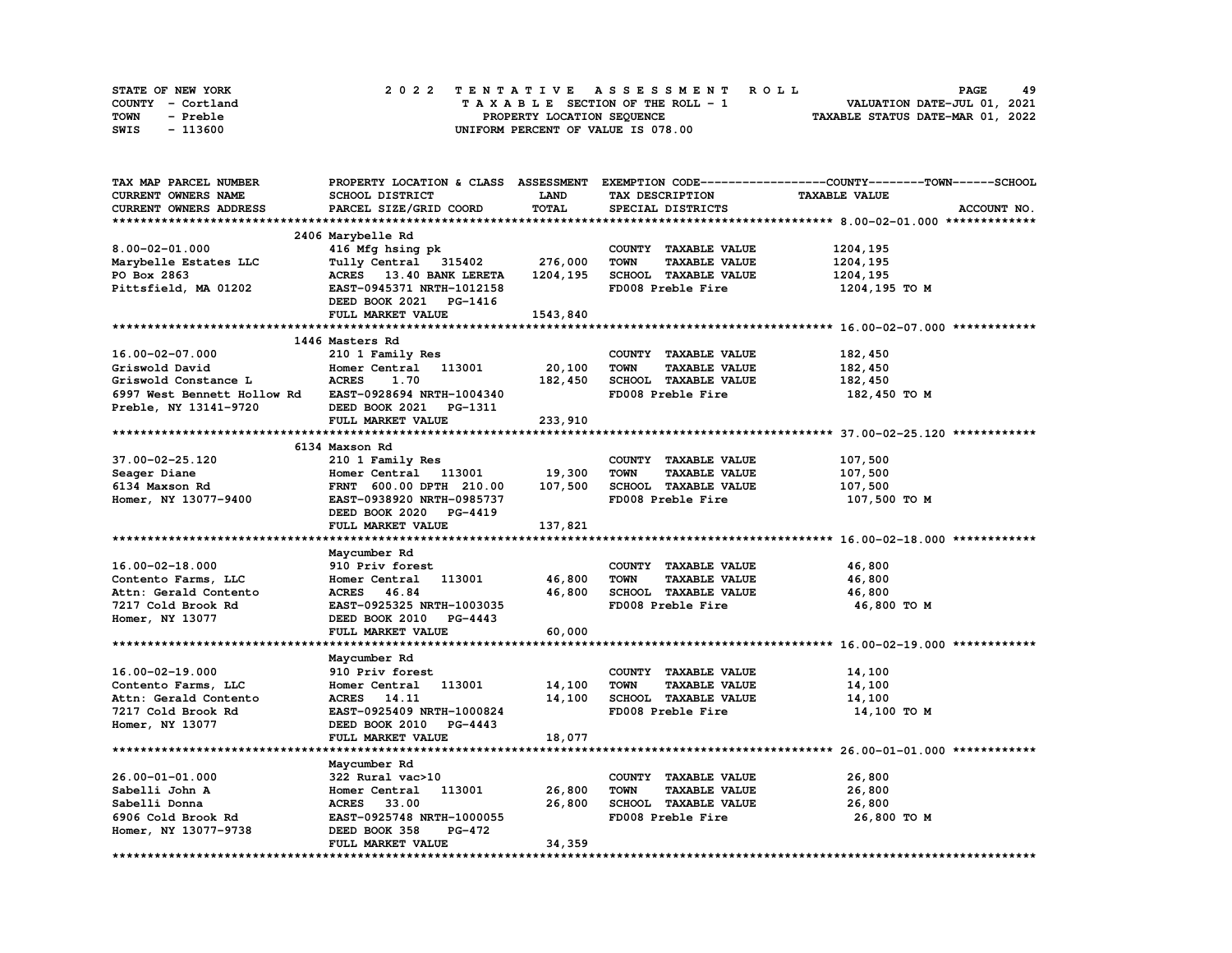| STATE OF NEW YORK | 2022 TENTATIVE ASSESSMENT ROLL     | 49<br><b>PAGE</b>                |
|-------------------|------------------------------------|----------------------------------|
| COUNTY - Cortland | TAXABLE SECTION OF THE ROLL - 1    | VALUATION DATE-JUL 01, 2021      |
| TOWN<br>- Preble  | PROPERTY LOCATION SEQUENCE         | TAXABLE STATUS DATE-MAR 01, 2022 |
| - 113600<br>SWIS  | UNIFORM PERCENT OF VALUE IS 078.00 |                                  |

| TAX MAP PARCEL NUMBER       |                           |             |                                     | PROPERTY LOCATION & CLASS ASSESSMENT EXEMPTION CODE----------------COUNTY-------TOWN-----SCHOOL |
|-----------------------------|---------------------------|-------------|-------------------------------------|-------------------------------------------------------------------------------------------------|
| CURRENT OWNERS NAME         | SCHOOL DISTRICT           | <b>LAND</b> | TAX DESCRIPTION                     | <b>TAXABLE VALUE</b>                                                                            |
| CURRENT OWNERS ADDRESS      | PARCEL SIZE/GRID COORD    | TOTAL       | SPECIAL DISTRICTS                   | ACCOUNT NO.                                                                                     |
|                             |                           |             |                                     |                                                                                                 |
|                             | 2406 Marybelle Rd         |             |                                     |                                                                                                 |
| $8.00 - 02 - 01.000$        | 416 Mfg hsing pk          |             | COUNTY TAXABLE VALUE                | 1204,195                                                                                        |
| Marybelle Estates LLC       | Tully Central 315402      | 276,000     | <b>TOWN</b><br><b>TAXABLE VALUE</b> | 1204,195                                                                                        |
| PO Box 2863                 | ACRES 13.40 BANK LERETA   | 1204,195    | SCHOOL TAXABLE VALUE                | 1204,195                                                                                        |
| Pittsfield, MA 01202        | EAST-0945371 NRTH-1012158 |             | FD008 Preble Fire                   | 1204,195 TO M                                                                                   |
|                             |                           |             |                                     |                                                                                                 |
|                             | DEED BOOK 2021 PG-1416    |             |                                     |                                                                                                 |
|                             | FULL MARKET VALUE         | 1543,840    |                                     |                                                                                                 |
|                             |                           |             |                                     |                                                                                                 |
|                             | 1446 Masters Rd           |             |                                     |                                                                                                 |
| 16.00-02-07.000             | 210 1 Family Res          |             | COUNTY TAXABLE VALUE                | 182,450                                                                                         |
| Griswold David              | Homer Central 113001      | 20,100      | <b>TOWN</b><br><b>TAXABLE VALUE</b> | 182,450                                                                                         |
| Griswold Constance L        | <b>ACRES</b><br>1.70      | 182,450     | <b>SCHOOL TAXABLE VALUE</b>         | 182,450                                                                                         |
| 6997 West Bennett Hollow Rd | EAST-0928694 NRTH-1004340 |             | FD008 Preble Fire                   | 182,450 TO M                                                                                    |
| Preble, NY 13141-9720       | DEED BOOK 2021 PG-1311    |             |                                     |                                                                                                 |
|                             | FULL MARKET VALUE         | 233,910     |                                     |                                                                                                 |
|                             |                           |             |                                     |                                                                                                 |
|                             | 6134 Maxson Rd            |             |                                     |                                                                                                 |
| 37.00-02-25.120             | 210 1 Family Res          |             | COUNTY TAXABLE VALUE                | 107,500                                                                                         |
| Seager Diane                | Homer Central 113001      | 19,300      | <b>TOWN</b><br><b>TAXABLE VALUE</b> | 107,500                                                                                         |
| 6134 Maxson Rd              | FRNT 600.00 DPTH 210.00   | 107,500     | SCHOOL TAXABLE VALUE                | 107,500                                                                                         |
| Homer, NY 13077-9400        | EAST-0938920 NRTH-0985737 |             | FD008 Preble Fire                   | 107,500 TO M                                                                                    |
|                             | DEED BOOK 2020 PG-4419    |             |                                     |                                                                                                 |
|                             | FULL MARKET VALUE         | 137,821     |                                     |                                                                                                 |
|                             |                           |             |                                     |                                                                                                 |
|                             | Maycumber Rd              |             |                                     |                                                                                                 |
|                             |                           |             |                                     |                                                                                                 |
| $16.00 - 02 - 18.000$       | 910 Priv forest           |             | COUNTY TAXABLE VALUE                | 46,800                                                                                          |
| Contento Farms, LLC         | 113001<br>Homer Central   | 46,800      | <b>TOWN</b><br><b>TAXABLE VALUE</b> | 46,800                                                                                          |
| Attn: Gerald Contento       | ACRES 46.84               | 46,800      | SCHOOL TAXABLE VALUE                | 46,800                                                                                          |
| 7217 Cold Brook Rd          | EAST-0925325 NRTH-1003035 |             | FD008 Preble Fire                   | 46,800 TO M                                                                                     |
| Homer, NY 13077             | DEED BOOK 2010 PG-4443    |             |                                     |                                                                                                 |
|                             | FULL MARKET VALUE         | 60,000      |                                     |                                                                                                 |
|                             |                           |             |                                     |                                                                                                 |
|                             | Maycumber Rd              |             |                                     |                                                                                                 |
| 16.00-02-19.000             | 910 Priv forest           |             | COUNTY TAXABLE VALUE                | 14,100                                                                                          |
| Contento Farms, LLC         | Homer Central 113001      | 14,100      | <b>TOWN</b><br><b>TAXABLE VALUE</b> | 14,100                                                                                          |
| Attn: Gerald Contento       | ACRES 14.11               | 14,100      | SCHOOL TAXABLE VALUE                | 14,100                                                                                          |
| 7217 Cold Brook Rd          | EAST-0925409 NRTH-1000824 |             | FD008 Preble Fire                   | 14,100 TO M                                                                                     |
| Homer, NY 13077             | DEED BOOK 2010 PG-4443    |             |                                     |                                                                                                 |
|                             | FULL MARKET VALUE         | 18,077      |                                     |                                                                                                 |
|                             |                           |             |                                     |                                                                                                 |
|                             | Maycumber Rd              |             |                                     |                                                                                                 |
| 26.00-01-01.000             | 322 Rural vac>10          |             | COUNTY TAXABLE VALUE                | 26,800                                                                                          |
| Sabelli John A              | Homer Central<br>113001   | 26,800      | <b>TOWN</b><br><b>TAXABLE VALUE</b> | 26,800                                                                                          |
| Sabelli Donna               | ACRES 33.00               | 26,800      | SCHOOL TAXABLE VALUE                | 26,800                                                                                          |
| 6906 Cold Brook Rd          | EAST-0925748 NRTH-1000055 |             | FD008 Preble Fire                   | 26,800 TO M                                                                                     |
|                             | DEED BOOK 358<br>PG-472   |             |                                     |                                                                                                 |
| Homer, NY 13077-9738        | FULL MARKET VALUE         | 34,359      |                                     |                                                                                                 |
|                             |                           |             |                                     |                                                                                                 |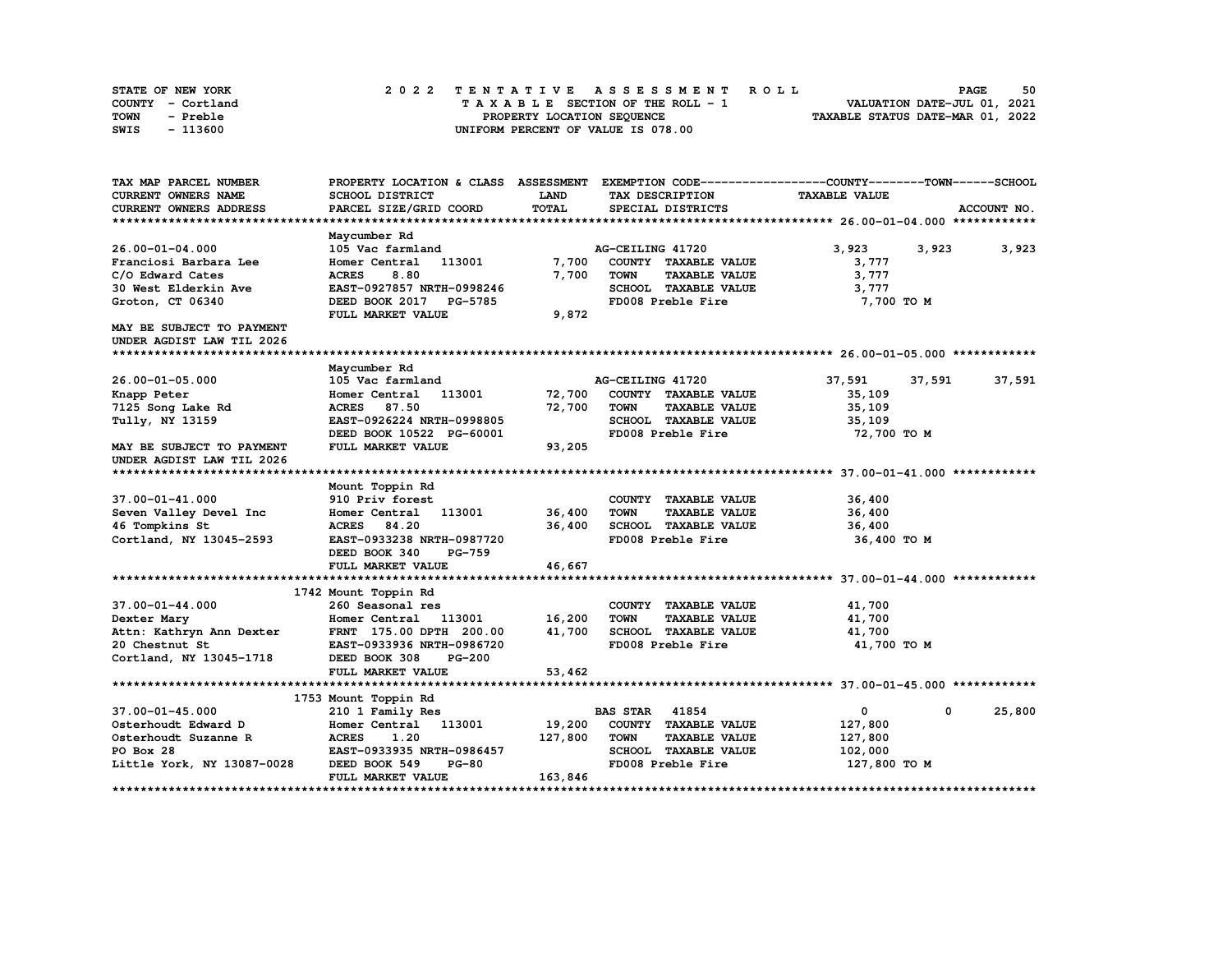| STATE OF NEW YORK | 2022 TENTATIVE ASSESSMENT ROLL     | 50<br><b>PAGE</b>                |
|-------------------|------------------------------------|----------------------------------|
| COUNTY - Cortland | TAXABLE SECTION OF THE ROLL - 1    | VALUATION DATE-JUL 01, 2021      |
| TOWN<br>- Preble  | PROPERTY LOCATION SEQUENCE         | TAXABLE STATUS DATE-MAR 01, 2022 |
| - 113600<br>SWIS  | UNIFORM PERCENT OF VALUE IS 078.00 |                                  |

| TAX MAP PARCEL NUMBER         |                                |              | PROPERTY LOCATION & CLASS ASSESSMENT EXEMPTION CODE----------------COUNTY-------TOWN-----SCHOOL |                      |                       |
|-------------------------------|--------------------------------|--------------|-------------------------------------------------------------------------------------------------|----------------------|-----------------------|
| <b>CURRENT OWNERS NAME</b>    | SCHOOL DISTRICT                | LAND         | TAX DESCRIPTION                                                                                 | <b>TAXABLE VALUE</b> |                       |
| <b>CURRENT OWNERS ADDRESS</b> | PARCEL SIZE/GRID COORD         | <b>TOTAL</b> | SPECIAL DISTRICTS                                                                               |                      | ACCOUNT NO.           |
|                               |                                |              |                                                                                                 |                      |                       |
|                               | Maycumber Rd                   |              |                                                                                                 |                      |                       |
| 26.00-01-04.000               | 105 Vac farmland               |              | AG-CEILING 41720                                                                                | 3,923                | 3,923<br>3,923        |
| Franciosi Barbara Lee         | 113001<br>Homer Central        | 7,700        | COUNTY TAXABLE VALUE                                                                            | 3,777                |                       |
| C/O Edward Cates              | 8.80<br><b>ACRES</b>           | 7,700        | <b>TOWN</b><br><b>TAXABLE VALUE</b>                                                             | 3,777                |                       |
| 30 West Elderkin Ave          | EAST-0927857 NRTH-0998246      |              | SCHOOL TAXABLE VALUE                                                                            | 3,777                |                       |
| Groton, CT 06340              | DEED BOOK 2017 PG-5785         |              | FD008 Preble Fire                                                                               | 7,700 TO M           |                       |
|                               | FULL MARKET VALUE              | 9,872        |                                                                                                 |                      |                       |
| MAY BE SUBJECT TO PAYMENT     |                                |              |                                                                                                 |                      |                       |
| UNDER AGDIST LAW TIL 2026     |                                |              |                                                                                                 |                      |                       |
|                               |                                |              |                                                                                                 |                      |                       |
|                               | Maycumber Rd                   |              |                                                                                                 |                      |                       |
| 26.00-01-05.000               | 105 Vac farmland               |              | AG-CEILING 41720                                                                                | 37,591               | 37,591<br>37,591      |
| Knapp Peter                   | 113001<br>Homer Central        | 72,700       | COUNTY TAXABLE VALUE                                                                            | 35,109               |                       |
| 7125 Song Lake Rd             | <b>ACRES</b> 87.50             | 72,700       | <b>TOWN</b><br><b>TAXABLE VALUE</b>                                                             | 35,109               |                       |
| Tully, NY 13159               | EAST-0926224 NRTH-0998805      |              | SCHOOL TAXABLE VALUE                                                                            | 35,109               |                       |
|                               | DEED BOOK 10522 PG-60001       |              | FD008 Preble Fire                                                                               | 72,700 TO M          |                       |
| MAY BE SUBJECT TO PAYMENT     | FULL MARKET VALUE              | 93,205       |                                                                                                 |                      |                       |
| UNDER AGDIST LAW TIL 2026     |                                |              |                                                                                                 |                      |                       |
|                               |                                |              |                                                                                                 |                      |                       |
|                               | Mount Toppin Rd                |              |                                                                                                 |                      |                       |
| 37.00-01-41.000               | 910 Priv forest                |              | COUNTY TAXABLE VALUE                                                                            | 36,400               |                       |
| Seven Valley Devel Inc        | Homer Central 113001           | 36,400       | <b>TOWN</b><br><b>TAXABLE VALUE</b>                                                             | 36,400               |                       |
| 46 Tompkins St                | <b>ACRES</b><br>84.20          | 36,400       | SCHOOL TAXABLE VALUE                                                                            | 36,400               |                       |
| Cortland, NY 13045-2593       | EAST-0933238 NRTH-0987720      |              | FD008 Preble Fire                                                                               | 36,400 TO M          |                       |
|                               | DEED BOOK 340<br><b>PG-759</b> |              |                                                                                                 |                      |                       |
|                               | FULL MARKET VALUE              | 46,667       |                                                                                                 |                      |                       |
|                               |                                |              |                                                                                                 |                      |                       |
|                               | 1742 Mount Toppin Rd           |              |                                                                                                 |                      |                       |
| 37.00-01-44.000               | 260 Seasonal res               |              | COUNTY TAXABLE VALUE                                                                            | 41,700               |                       |
| Dexter Mary                   | Homer Central 113001           | 16,200       | <b>TOWN</b><br><b>TAXABLE VALUE</b>                                                             | 41,700               |                       |
| Attn: Kathryn Ann Dexter      | FRNT 175.00 DPTH 200.00        | 41,700       | SCHOOL TAXABLE VALUE                                                                            | 41,700               |                       |
| 20 Chestnut St                | EAST-0933936 NRTH-0986720      |              | FD008 Preble Fire                                                                               | 41,700 TO M          |                       |
| Cortland, NY 13045-1718       | DEED BOOK 308<br>$PG-200$      |              |                                                                                                 |                      |                       |
|                               | FULL MARKET VALUE              | 53,462       |                                                                                                 |                      |                       |
|                               |                                |              |                                                                                                 |                      |                       |
|                               | 1753 Mount Toppin Rd           |              |                                                                                                 |                      |                       |
| 37.00-01-45.000               | 210 1 Family Res               |              | <b>BAS STAR 41854</b>                                                                           | $\mathbf{0}$         | $\mathbf 0$<br>25,800 |
| Osterhoudt Edward D           | Homer Central<br>113001        | 19,200       | COUNTY TAXABLE VALUE                                                                            | 127,800              |                       |
| Osterhoudt Suzanne R          | <b>ACRES</b><br>1.20           | 127,800      | <b>TOWN</b><br><b>TAXABLE VALUE</b>                                                             | 127,800              |                       |
| PO Box 28                     | EAST-0933935 NRTH-0986457      |              | SCHOOL TAXABLE VALUE                                                                            | 102,000              |                       |
| Little York, NY 13087-0028    | DEED BOOK 549<br>$PG-80$       |              | FD008 Preble Fire                                                                               | 127,800 TO M         |                       |
|                               | FULL MARKET VALUE              | 163,846      |                                                                                                 |                      |                       |
|                               |                                |              |                                                                                                 |                      |                       |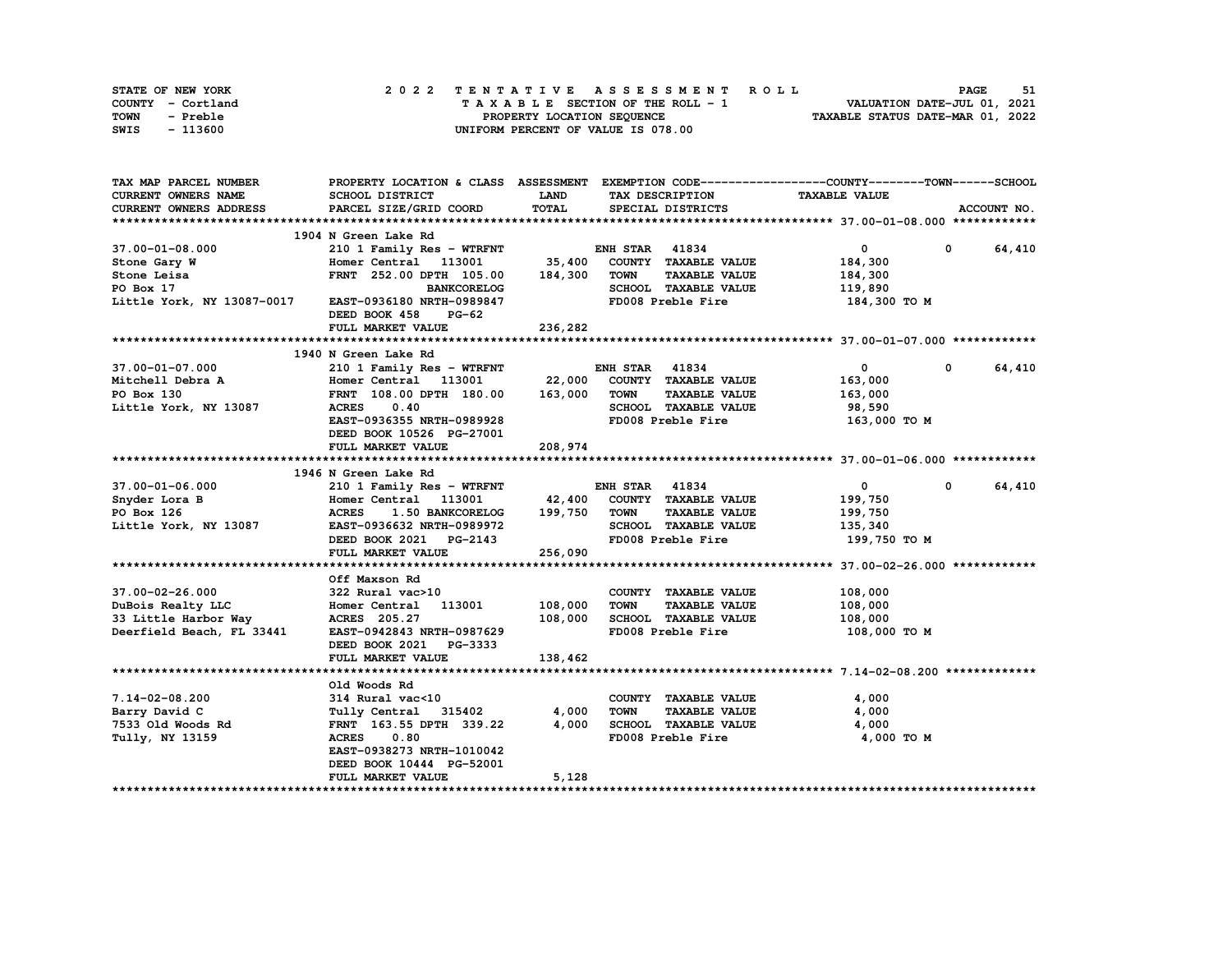| STATE OF NEW YORK | 2022 TENTATIVE ASSESSMENT ROLL     | 51<br><b>PAGE</b>                |
|-------------------|------------------------------------|----------------------------------|
| COUNTY - Cortland | TAXABLE SECTION OF THE ROLL - 1    | VALUATION DATE-JUL 01, 2021      |
| TOWN<br>- Preble  | PROPERTY LOCATION SEQUENCE         | TAXABLE STATUS DATE-MAR 01, 2022 |
| - 113600<br>SWIS  | UNIFORM PERCENT OF VALUE IS 078.00 |                                  |

| TAX MAP PARCEL NUMBER      | PROPERTY LOCATION & CLASS ASSESSMENT EXEMPTION CODE----------------COUNTY-------TOWN-----SCHOOL |         |                       |                      |                      |             |             |
|----------------------------|-------------------------------------------------------------------------------------------------|---------|-----------------------|----------------------|----------------------|-------------|-------------|
| CURRENT OWNERS NAME        | <b>SCHOOL DISTRICT</b>                                                                          | LAND    |                       | TAX DESCRIPTION      | <b>TAXABLE VALUE</b> |             |             |
| CURRENT OWNERS ADDRESS     | PARCEL SIZE/GRID COORD                                                                          | TOTAL   |                       | SPECIAL DISTRICTS    |                      |             | ACCOUNT NO. |
|                            |                                                                                                 |         |                       |                      |                      |             |             |
|                            | 1904 N Green Lake Rd                                                                            |         |                       |                      |                      |             |             |
| 37.00-01-08.000            | 210 1 Family Res - WTRFNT                                                                       |         | <b>ENH STAR 41834</b> |                      | $\overline{0}$       | $\mathbf 0$ | 64,410      |
| Stone Gary W               | Homer Central 113001                                                                            | 35,400  |                       | COUNTY TAXABLE VALUE | 184,300              |             |             |
| Stone Leisa                | FRNT 252.00 DPTH 105.00                                                                         | 184,300 | <b>TOWN</b>           | <b>TAXABLE VALUE</b> | 184,300              |             |             |
| PO Box 17                  | <b>BANKCORELOG</b>                                                                              |         |                       | SCHOOL TAXABLE VALUE | 119,890              |             |             |
| Little York, NY 13087-0017 | EAST-0936180 NRTH-0989847                                                                       |         |                       | FD008 Preble Fire    | 184,300 то м         |             |             |
|                            | DEED BOOK 458<br>$PG-62$                                                                        |         |                       |                      |                      |             |             |
|                            | FULL MARKET VALUE                                                                               | 236,282 |                       |                      |                      |             |             |
|                            |                                                                                                 |         |                       |                      |                      |             |             |
|                            | 1940 N Green Lake Rd                                                                            |         |                       |                      |                      |             |             |
| 37.00-01-07.000            | 210 1 Family Res - WTRFNT                                                                       |         | <b>ENH STAR 41834</b> |                      | $\mathbf{0}$         | $\mathbf 0$ | 64,410      |
| Mitchell Debra A           | Homer Central 113001                                                                            | 22,000  |                       | COUNTY TAXABLE VALUE | 163,000              |             |             |
| PO Box 130                 | FRNT 108.00 DPTH 180.00                                                                         | 163,000 | <b>TOWN</b>           | <b>TAXABLE VALUE</b> | 163,000              |             |             |
| Little York, NY 13087      | <b>ACRES</b><br>0.40                                                                            |         |                       | SCHOOL TAXABLE VALUE | 98,590               |             |             |
|                            | EAST-0936355 NRTH-0989928                                                                       |         |                       | FD008 Preble Fire    | 163,000 TO M         |             |             |
|                            | DEED BOOK 10526 PG-27001                                                                        |         |                       |                      |                      |             |             |
|                            | FULL MARKET VALUE                                                                               | 208,974 |                       |                      |                      |             |             |
|                            |                                                                                                 |         |                       |                      |                      |             |             |
|                            | 1946 N Green Lake Rd                                                                            |         |                       |                      |                      |             |             |
| $37.00 - 01 - 06.000$      | 210 1 Family Res - WTRFNT                                                                       |         | <b>ENH STAR 41834</b> |                      | $\mathbf{0}$         | $\mathbf 0$ | 64,410      |
| Snyder Lora B              | Homer Central 113001                                                                            | 42,400  |                       | COUNTY TAXABLE VALUE | 199,750              |             |             |
| PO Box 126                 | <b>ACRES</b><br>1.50 BANKCORELOG                                                                | 199,750 | <b>TOWN</b>           | <b>TAXABLE VALUE</b> | 199,750              |             |             |
| Little York, NY 13087      | EAST-0936632 NRTH-0989972                                                                       |         |                       | SCHOOL TAXABLE VALUE | 135,340              |             |             |
|                            | DEED BOOK 2021<br><b>PG-2143</b>                                                                |         |                       | FD008 Preble Fire    | 199,750 то м         |             |             |
|                            | FULL MARKET VALUE                                                                               | 256,090 |                       |                      |                      |             |             |
|                            |                                                                                                 |         |                       |                      |                      |             |             |
|                            | Off Maxson Rd                                                                                   |         |                       |                      |                      |             |             |
| 37.00-02-26.000            | 322 Rural vac>10                                                                                |         |                       | COUNTY TAXABLE VALUE | 108,000              |             |             |
| DuBois Realty LLC          | 113001<br>Homer Central                                                                         | 108,000 | <b>TOWN</b>           | <b>TAXABLE VALUE</b> | 108,000              |             |             |
| 33 Little Harbor Way       | <b>ACRES</b> 205.27                                                                             | 108,000 |                       | SCHOOL TAXABLE VALUE | 108,000              |             |             |
| Deerfield Beach, FL 33441  | EAST-0942843 NRTH-0987629                                                                       |         |                       | FD008 Preble Fire    | 108,000 TO M         |             |             |
|                            | DEED BOOK 2021 PG-3333                                                                          |         |                       |                      |                      |             |             |
|                            | FULL MARKET VALUE                                                                               | 138,462 |                       |                      |                      |             |             |
|                            |                                                                                                 |         |                       |                      |                      |             |             |
|                            | Old Woods Rd                                                                                    |         |                       |                      |                      |             |             |
| $7.14 - 02 - 08.200$       | 314 Rural vac<10                                                                                |         |                       | COUNTY TAXABLE VALUE | 4,000                |             |             |
| Barry David C              | Tully Central 315402                                                                            | 4,000   | <b>TOWN</b>           | <b>TAXABLE VALUE</b> | 4,000                |             |             |
| 7533 Old Woods Rd          | FRNT 163.55 DPTH 339.22                                                                         | 4,000   |                       | SCHOOL TAXABLE VALUE | 4,000                |             |             |
| Tully, NY 13159            | <b>ACRES</b><br>0.80                                                                            |         |                       | FD008 Preble Fire    | 4,000 TO M           |             |             |
|                            | EAST-0938273 NRTH-1010042                                                                       |         |                       |                      |                      |             |             |
|                            | DEED BOOK 10444 PG-52001                                                                        |         |                       |                      |                      |             |             |
|                            | FULL MARKET VALUE                                                                               | 5,128   |                       |                      |                      |             |             |
|                            |                                                                                                 |         |                       |                      |                      |             |             |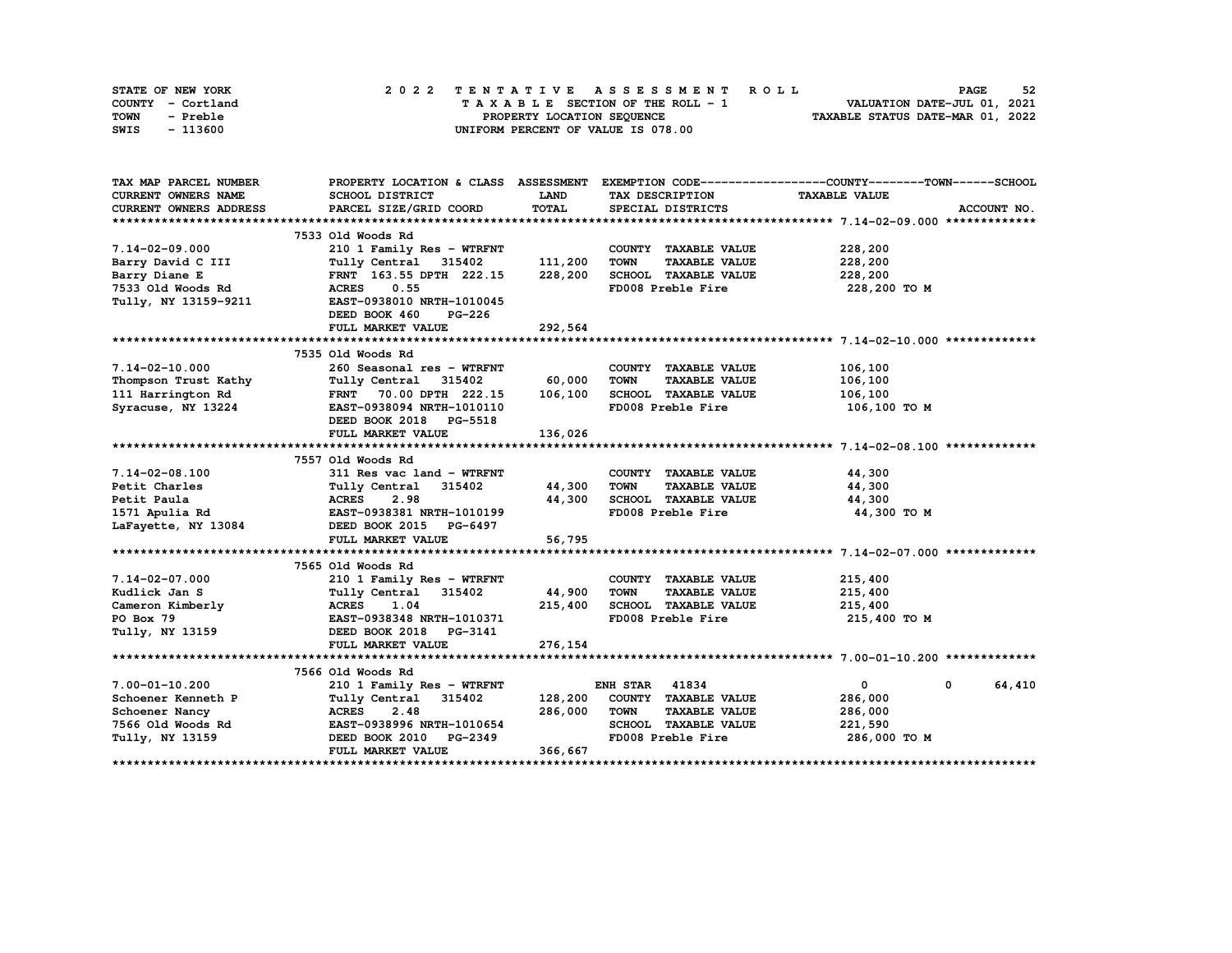| STATE OF NEW YORK | 2022 TENTATIVE ASSESSMENT ROLL     | 52<br><b>PAGE</b>                |
|-------------------|------------------------------------|----------------------------------|
| COUNTY - Cortland | TAXABLE SECTION OF THE ROLL - 1    | VALUATION DATE-JUL 01, 2021      |
| TOWN<br>- Preble  | PROPERTY LOCATION SEQUENCE         | TAXABLE STATUS DATE-MAR 01, 2022 |
| - 113600<br>SWIS  | UNIFORM PERCENT OF VALUE IS 078.00 |                                  |

| TAX MAP PARCEL NUMBER                |                                                                                       |                    |                                           | PROPERTY LOCATION & CLASS ASSESSMENT EXEMPTION CODE-----------------COUNTY-------TOWN-----SCHOOL |  |
|--------------------------------------|---------------------------------------------------------------------------------------|--------------------|-------------------------------------------|--------------------------------------------------------------------------------------------------|--|
| CURRENT OWNERS NAME                  | SCHOOL DISTRICT                                                                       | <b>LAND</b>        | TAX DESCRIPTION                           | <b>TAXABLE VALUE</b>                                                                             |  |
| <b>CURRENT OWNERS ADDRESS</b>        | PARCEL SIZE/GRID COORD                                                                | TOTAL              | SPECIAL DISTRICTS                         | ACCOUNT NO.                                                                                      |  |
|                                      |                                                                                       |                    |                                           |                                                                                                  |  |
|                                      | 7533 Old Woods Rd                                                                     |                    |                                           |                                                                                                  |  |
| $7.14 - 02 - 09.000$                 | 210 1 Family Res - WTRFNT                                                             |                    | COUNTY TAXABLE VALUE                      | 228,200                                                                                          |  |
| Barry David C III                    | Tully Central 315402                                                                  | 111,200            | <b>TOWN</b><br><b>TAXABLE VALUE</b>       | 228,200                                                                                          |  |
| Barry Diane E                        | FRNT 163.55 DPTH 222.15                                                               | 228,200            | SCHOOL TAXABLE VALUE                      | 228,200                                                                                          |  |
| 7533 Old Woods Rd                    | 0.55<br><b>ACRES</b>                                                                  |                    | FD008 Preble Fire                         | 228,200 TO M                                                                                     |  |
| Tully, NY 13159-9211                 | EAST-0938010 NRTH-1010045                                                             |                    |                                           |                                                                                                  |  |
|                                      | DEED BOOK 460<br><b>PG-226</b>                                                        |                    |                                           |                                                                                                  |  |
|                                      | FULL MARKET VALUE                                                                     | 292,564            |                                           |                                                                                                  |  |
|                                      |                                                                                       |                    |                                           |                                                                                                  |  |
|                                      | 7535 Old Woods Rd                                                                     |                    |                                           |                                                                                                  |  |
| $7.14 - 02 - 10.000$                 | 260 Seasonal res - WTRFNT                                                             |                    | COUNTY TAXABLE VALUE                      | 106,100                                                                                          |  |
|                                      | Thompson Trust Kathy Tully Central 315402<br>111 Harrington Rd FRNT 70.00 DPTH 222.15 | 60,000             | <b>TOWN</b><br><b>TAXABLE VALUE</b>       | 106,100                                                                                          |  |
|                                      |                                                                                       | 106,100            | SCHOOL TAXABLE VALUE                      | 106,100                                                                                          |  |
| Syracuse, NY 13224                   | EAST-0938094 NRTH-1010110                                                             |                    | FD008 Preble Fire                         | 106,100 то м                                                                                     |  |
|                                      | DEED BOOK 2018 PG-5518                                                                |                    |                                           |                                                                                                  |  |
|                                      | FULL MARKET VALUE                                                                     | 136,026            |                                           |                                                                                                  |  |
|                                      |                                                                                       |                    |                                           |                                                                                                  |  |
|                                      | 7557 Old Woods Rd                                                                     |                    |                                           |                                                                                                  |  |
| $7.14 - 02 - 08.100$                 | 311 Res vac land - WTRFNT                                                             |                    | COUNTY TAXABLE VALUE                      | 44,300                                                                                           |  |
| Petit Charles                        | Tully Central 315402                                                                  | 44,300             | <b>TOWN</b><br><b>TAXABLE VALUE</b>       | 44,300                                                                                           |  |
| Petit Paula                          | ACRES 2.98                                                                            | 44,300             | SCHOOL TAXABLE VALUE                      | 44,300                                                                                           |  |
| 1571 Apulia Rd                       | EAST-0938381 NRTH-1010199                                                             |                    | FD008 Preble Fire                         | 44,300 TO M                                                                                      |  |
| LaFayette, NY 13084                  | DEED BOOK 2015 PG-6497                                                                |                    |                                           |                                                                                                  |  |
|                                      | FULL MARKET VALUE                                                                     | 56,795             |                                           |                                                                                                  |  |
|                                      |                                                                                       |                    |                                           |                                                                                                  |  |
|                                      | 7565 Old Woods Rd                                                                     |                    |                                           |                                                                                                  |  |
| $7.14 - 02 - 07.000$                 | 210 1 Family Res - WTRFNT                                                             |                    | COUNTY TAXABLE VALUE                      | 215,400                                                                                          |  |
| Kudlick Jan S                        | Tully Central 315402                                                                  | 44,900             | <b>TOWN</b><br><b>TAXABLE VALUE</b>       | 215,400                                                                                          |  |
| Cameron Kimberly                     | <b>ACRES</b><br>1.04                                                                  | 215,400            | SCHOOL TAXABLE VALUE                      | 215,400                                                                                          |  |
|                                      | PO Box 79 EAST-0938348 NRTH-1010371<br>Tully, NY 13159 DEED BOOK 2018 PG-3141         |                    | FD008 Preble Fire                         | 215,400 TO M                                                                                     |  |
|                                      |                                                                                       |                    |                                           |                                                                                                  |  |
|                                      | FULL MARKET VALUE                                                                     | 276,154            |                                           |                                                                                                  |  |
|                                      |                                                                                       |                    |                                           |                                                                                                  |  |
|                                      | 7566 Old Woods Rd                                                                     |                    |                                           |                                                                                                  |  |
| 7.00-01-10.200                       | 210 1 Family Res - WTRFNT                                                             |                    | <b>ENH STAR 41834</b>                     | $\mathbf{0}$<br>64,410<br>$^{\circ}$                                                             |  |
| Schoener Kenneth P                   | Tully Central 315402                                                                  | 128,200<br>286,000 | COUNTY TAXABLE VALUE                      | 286,000                                                                                          |  |
| Schoener Nancy                       |                                                                                       |                    | <b>TOWN</b><br><b>TAXABLE VALUE</b>       | 286,000                                                                                          |  |
| 7566 Old Woods Rd<br>Tully, NY 13159 | ACRES 2.30<br>EAST-0938996 NRTH-1010654<br>معتمد معتمد<br><b>PG-2349</b>              |                    | SCHOOL TAXABLE VALUE<br>FD008 Preble Fire | 221,590                                                                                          |  |
|                                      | DEED BOOK 2010<br>FULL MARKET VALUE                                                   | 366,667            |                                           | 286,000 то м                                                                                     |  |
|                                      |                                                                                       |                    |                                           |                                                                                                  |  |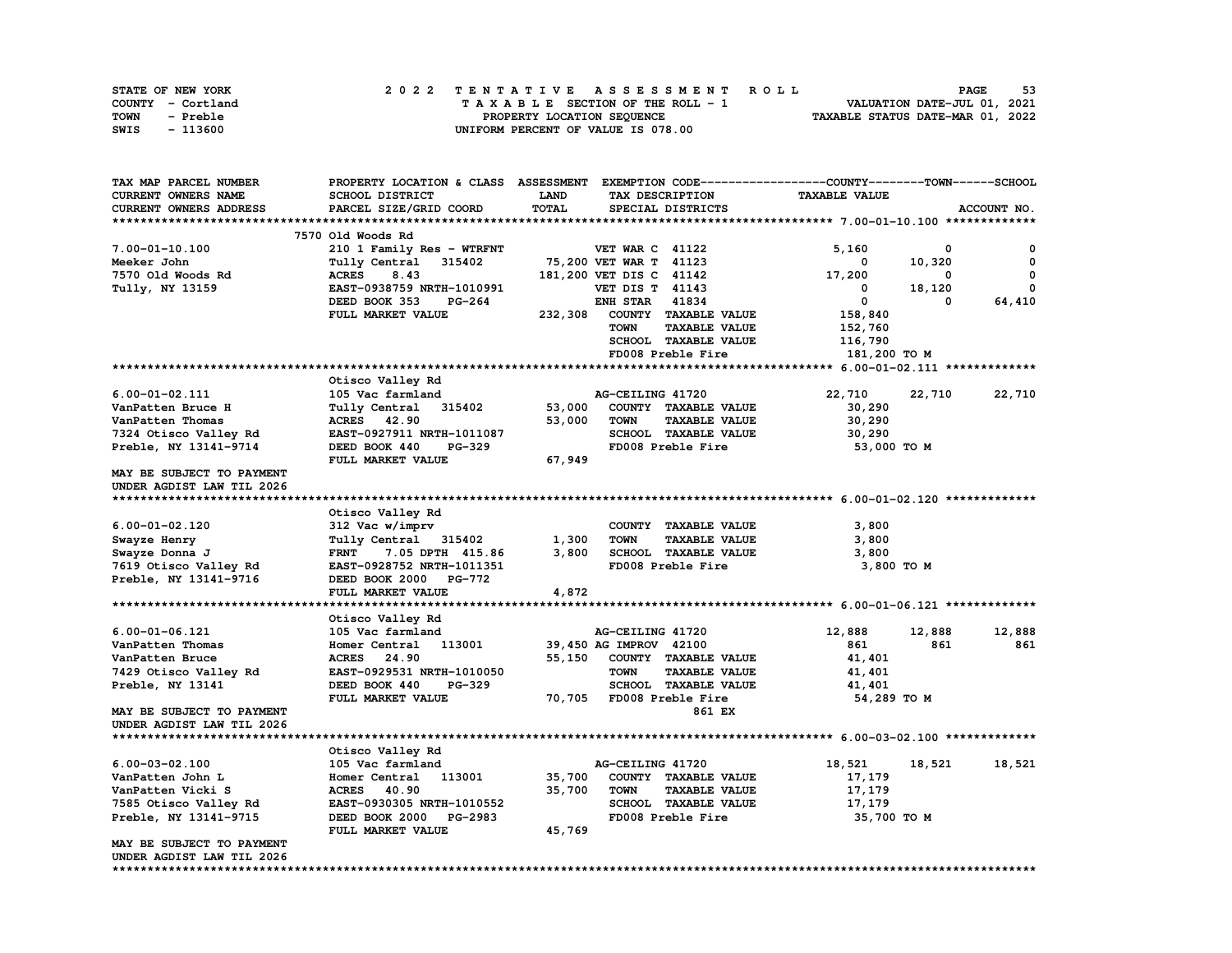| STATE OF NEW YORK | 2022 TENTATIVE ASSESSMENT ROLL     | 53<br><b>PAGE</b>                |
|-------------------|------------------------------------|----------------------------------|
| COUNTY - Cortland | TAXABLE SECTION OF THE ROLL - 1    | VALUATION DATE-JUL 01, 2021      |
| TOWN<br>- Preble  | PROPERTY LOCATION SEOUENCE         | TAXABLE STATUS DATE-MAR 01, 2022 |
| - 113600<br>SWIS  | UNIFORM PERCENT OF VALUE IS 078.00 |                                  |

| TAX MAP PARCEL NUMBER         | PROPERTY LOCATION & CLASS ASSESSMENT |              |                          |                             | EXEMPTION CODE-----------------COUNTY-------TOWN------SCHOOL |        |             |
|-------------------------------|--------------------------------------|--------------|--------------------------|-----------------------------|--------------------------------------------------------------|--------|-------------|
| CURRENT OWNERS NAME           | SCHOOL DISTRICT                      | LAND         | TAX DESCRIPTION          |                             | <b>TAXABLE VALUE</b>                                         |        |             |
| <b>CURRENT OWNERS ADDRESS</b> | PARCEL SIZE/GRID COORD               | <b>TOTAL</b> |                          | SPECIAL DISTRICTS           |                                                              |        | ACCOUNT NO. |
|                               |                                      |              |                          |                             |                                                              |        |             |
|                               | 7570 Old Woods Rd                    |              |                          |                             |                                                              |        |             |
| $7.00 - 01 - 10.100$          | 210 1 Family Res - WTRFNT            |              | <b>VET WAR C 41122</b>   |                             | 5,160                                                        | 0      | 0           |
| Meeker John                   | Tully Central<br>315402              |              | 75,200 VET WAR T 41123   |                             | 0                                                            | 10,320 | 0           |
| 7570 Old Woods Rd             | 8.43<br><b>ACRES</b>                 |              | 181,200 VET DIS C 41142  |                             | 17,200                                                       | 0      | 0           |
| Tully, NY 13159               | EAST-0938759 NRTH-1010991            |              | <b>VET DIS T 41143</b>   |                             | 0                                                            | 18,120 | 0           |
|                               | DEED BOOK 353<br>PG-264              |              | <b>ENH STAR</b>          | 41834                       | 0                                                            | 0      | 64,410      |
|                               | FULL MARKET VALUE                    | 232,308      |                          | COUNTY TAXABLE VALUE        | 158,840                                                      |        |             |
|                               |                                      |              | TOWN                     | <b>TAXABLE VALUE</b>        | 152,760                                                      |        |             |
|                               |                                      |              |                          | SCHOOL TAXABLE VALUE        | 116,790                                                      |        |             |
|                               |                                      |              |                          | FD008 Preble Fire           | 181,200 TO M                                                 |        |             |
|                               |                                      |              |                          |                             |                                                              |        |             |
|                               |                                      |              |                          |                             |                                                              |        |             |
|                               | Otisco Valley Rd                     |              |                          |                             |                                                              |        |             |
| $6.00 - 01 - 02.111$          | 105 Vac farmland                     |              | AG-CEILING 41720         |                             | 22,710                                                       | 22,710 | 22,710      |
| VanPatten Bruce H             | Tully Central<br>315402              | 53,000       |                          | COUNTY TAXABLE VALUE        | 30,290                                                       |        |             |
| VanPatten Thomas              | <b>ACRES</b> 42.90                   | 53,000       | <b>TOWN</b>              | <b>TAXABLE VALUE</b>        | 30,290                                                       |        |             |
| 7324 Otisco Valley Rd         | EAST-0927911 NRTH-1011087            |              |                          | SCHOOL TAXABLE VALUE        | 30,290                                                       |        |             |
| Preble, NY 13141-9714         | DEED BOOK 440<br><b>PG-329</b>       |              |                          | FD008 Preble Fire           | 53,000 TO M                                                  |        |             |
|                               | FULL MARKET VALUE                    | 67,949       |                          |                             |                                                              |        |             |
| MAY BE SUBJECT TO PAYMENT     |                                      |              |                          |                             |                                                              |        |             |
| UNDER AGDIST LAW TIL 2026     |                                      |              |                          |                             |                                                              |        |             |
|                               |                                      |              |                          |                             |                                                              |        |             |
|                               | Otisco Valley Rd                     |              |                          |                             |                                                              |        |             |
| $6.00 - 01 - 02.120$          | 312 Vac w/imprv                      |              |                          | COUNTY TAXABLE VALUE        | 3,800                                                        |        |             |
| Swayze Henry                  | Tully Central 315402                 | 1,300        | <b>TOWN</b>              | <b>TAXABLE VALUE</b>        | 3,800                                                        |        |             |
| Swayze Donna J                | <b>FRNT</b><br>7.05 DPTH 415.86      | 3,800        |                          | SCHOOL TAXABLE VALUE        | 3,800                                                        |        |             |
| 7619 Otisco Valley Rd         | EAST-0928752 NRTH-1011351            |              |                          | FD008 Preble Fire           | 3,800 TO M                                                   |        |             |
| Preble, NY 13141-9716         | DEED BOOK 2000 PG-772                |              |                          |                             |                                                              |        |             |
|                               | FULL MARKET VALUE                    | 4,872        |                          |                             |                                                              |        |             |
|                               |                                      |              |                          |                             |                                                              |        |             |
|                               | Otisco Valley Rd                     |              |                          |                             |                                                              |        |             |
| $6.00 - 01 - 06.121$          | 105 Vac farmland                     |              | AG-CEILING 41720         |                             | 12,888                                                       | 12,888 | 12,888      |
| VanPatten Thomas              | Homer Central<br>113001              |              | 39,450 AG IMPROV 42100   |                             | 861                                                          | 861    | 861         |
| VanPatten Bruce               | 24.90<br><b>ACRES</b>                | 55,150       |                          | COUNTY TAXABLE VALUE        | 41,401                                                       |        |             |
| 7429 Otisco Valley Rd         | EAST-0929531 NRTH-1010050            |              | <b>TOWN</b>              | <b>TAXABLE VALUE</b>        | 41,401                                                       |        |             |
| Preble, NY 13141              | DEED BOOK 440<br><b>PG-329</b>       |              |                          | <b>SCHOOL TAXABLE VALUE</b> | 41,401                                                       |        |             |
|                               | FULL MARKET VALUE                    |              | 70,705 FD008 Preble Fire |                             | 54,289 TO M                                                  |        |             |
| MAY BE SUBJECT TO PAYMENT     |                                      |              |                          | 861 EX                      |                                                              |        |             |
| UNDER AGDIST LAW TIL 2026     |                                      |              |                          |                             |                                                              |        |             |
|                               |                                      |              |                          |                             |                                                              |        |             |
|                               | Otisco Valley Rd                     |              |                          |                             |                                                              |        |             |
| $6.00 - 03 - 02.100$          | 105 Vac farmland                     |              | AG-CEILING 41720         |                             | 18,521                                                       | 18,521 | 18,521      |
| VanPatten John L              | 113001<br>Homer Central              | 35,700       |                          | COUNTY TAXABLE VALUE        | 17,179                                                       |        |             |
| VanPatten Vicki S             | ACRES 40.90                          | 35,700       | TOWN                     | <b>TAXABLE VALUE</b>        | 17,179                                                       |        |             |
| 7585 Otisco Valley Rd         | EAST-0930305 NRTH-1010552            |              |                          | SCHOOL TAXABLE VALUE        | 17,179                                                       |        |             |
| Preble, NY 13141-9715         | DEED BOOK 2000 PG-2983               |              |                          | FD008 Preble Fire           | 35,700 TO M                                                  |        |             |
|                               | FULL MARKET VALUE                    | 45,769       |                          |                             |                                                              |        |             |
| MAY BE SUBJECT TO PAYMENT     |                                      |              |                          |                             |                                                              |        |             |
| UNDER AGDIST LAW TIL 2026     |                                      |              |                          |                             |                                                              |        |             |
| ****************************  |                                      |              |                          |                             |                                                              |        |             |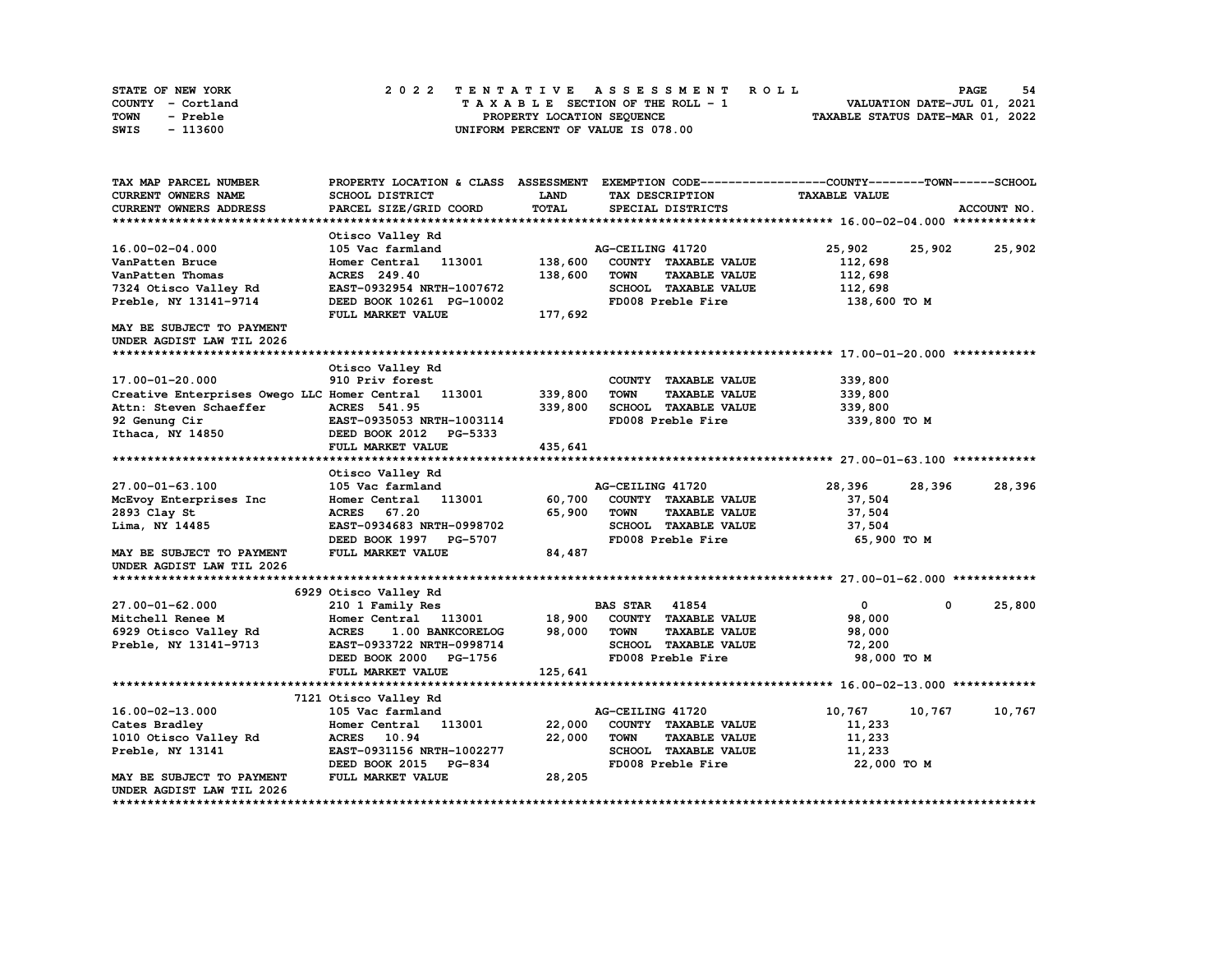| STATE OF NEW YORK | 2022 TENTATIVE ASSESSMENT ROLL     | 54<br><b>PAGE</b>                |
|-------------------|------------------------------------|----------------------------------|
| COUNTY - Cortland | TAXABLE SECTION OF THE ROLL - 1    | VALUATION DATE-JUL 01, 2021      |
| TOWN<br>- Preble  | PROPERTY LOCATION SEQUENCE         | TAXABLE STATUS DATE-MAR 01, 2022 |
| - 113600<br>SWIS  | UNIFORM PERCENT OF VALUE IS 078.00 |                                  |

| TAX MAP PARCEL NUMBER                               | PROPERTY LOCATION & CLASS ASSESSMENT |              |                       |                      | EXEMPTION CODE-----------------COUNTY-------TOWN------SCHOOL |             |             |
|-----------------------------------------------------|--------------------------------------|--------------|-----------------------|----------------------|--------------------------------------------------------------|-------------|-------------|
| <b>CURRENT OWNERS NAME</b>                          | SCHOOL DISTRICT                      | LAND         | TAX DESCRIPTION       |                      | <b>TAXABLE VALUE</b>                                         |             |             |
| <b>CURRENT OWNERS ADDRESS</b>                       | PARCEL SIZE/GRID COORD               | <b>TOTAL</b> |                       | SPECIAL DISTRICTS    |                                                              |             | ACCOUNT NO. |
|                                                     |                                      |              |                       |                      |                                                              |             |             |
|                                                     | Otisco Valley Rd                     |              |                       |                      |                                                              |             |             |
| 16.00-02-04.000                                     | 105 Vac farmland                     |              | AG-CEILING 41720      |                      | 25,902                                                       | 25,902      | 25,902      |
| VanPatten Bruce                                     | Homer Central 113001                 | 138,600      |                       | COUNTY TAXABLE VALUE | 112,698                                                      |             |             |
| VanPatten Thomas                                    | ACRES 249.40                         | 138,600      | TOWN                  | <b>TAXABLE VALUE</b> | 112,698                                                      |             |             |
| 7324 Otisco Valley Rd                               | EAST-0932954 NRTH-1007672            |              |                       | SCHOOL TAXABLE VALUE | 112,698                                                      |             |             |
| Preble, NY 13141-9714                               | DEED BOOK 10261 PG-10002             |              |                       | FD008 Preble Fire    | 138,600 то м                                                 |             |             |
|                                                     | FULL MARKET VALUE                    | 177,692      |                       |                      |                                                              |             |             |
| MAY BE SUBJECT TO PAYMENT                           |                                      |              |                       |                      |                                                              |             |             |
| UNDER AGDIST LAW TIL 2026                           |                                      |              |                       |                      |                                                              |             |             |
|                                                     |                                      |              |                       |                      |                                                              |             |             |
|                                                     |                                      |              |                       |                      |                                                              |             |             |
|                                                     | Otisco Valley Rd                     |              |                       |                      |                                                              |             |             |
| 17.00-01-20.000                                     | 910 Priv forest                      |              |                       | COUNTY TAXABLE VALUE | 339,800                                                      |             |             |
| Creative Enterprises Owego LLC Homer Central 113001 |                                      | 339,800      | <b>TOWN</b>           | <b>TAXABLE VALUE</b> | 339,800                                                      |             |             |
| Attn: Steven Schaeffer                              | <b>ACRES</b> 541.95                  | 339,800      |                       | SCHOOL TAXABLE VALUE | 339,800                                                      |             |             |
| 92 Genung Cir                                       | EAST-0935053 NRTH-1003114            |              |                       | FD008 Preble Fire    | 339,800 TO M                                                 |             |             |
| Ithaca, NY 14850                                    | DEED BOOK 2012<br>PG-5333            |              |                       |                      |                                                              |             |             |
|                                                     | FULL MARKET VALUE                    | 435,641      |                       |                      |                                                              |             |             |
|                                                     |                                      |              |                       |                      |                                                              |             |             |
|                                                     | Otisco Valley Rd                     |              |                       |                      |                                                              |             |             |
| 27.00-01-63.100                                     | 105 Vac farmland                     |              | AG-CEILING 41720      |                      | 28,396                                                       | 28,396      | 28,396      |
| McEvoy Enterprises Inc                              | Homer Central 113001                 | 60,700       |                       | COUNTY TAXABLE VALUE | 37,504                                                       |             |             |
| 2893 Clay St                                        | <b>ACRES</b><br>67.20                | 65,900       | <b>TOWN</b>           | <b>TAXABLE VALUE</b> | 37,504                                                       |             |             |
| Lima, NY 14485                                      | EAST-0934683 NRTH-0998702            |              |                       | SCHOOL TAXABLE VALUE | 37,504                                                       |             |             |
|                                                     | DEED BOOK 1997 PG-5707               |              |                       | FD008 Preble Fire    | 65,900 TO M                                                  |             |             |
| MAY BE SUBJECT TO PAYMENT                           | FULL MARKET VALUE                    | 84,487       |                       |                      |                                                              |             |             |
| UNDER AGDIST LAW TIL 2026                           |                                      |              |                       |                      |                                                              |             |             |
|                                                     |                                      |              |                       |                      |                                                              |             |             |
|                                                     | 6929 Otisco Valley Rd                |              |                       |                      |                                                              |             |             |
| $27.00 - 01 - 62.000$                               | 210 1 Family Res                     |              | <b>BAS STAR 41854</b> |                      | $\mathbf{0}$                                                 | $\mathbf 0$ | 25,800      |
| Mitchell Renee M                                    | Homer Central<br>113001              | 18,900       |                       | COUNTY TAXABLE VALUE | 98,000                                                       |             |             |
| 6929 Otisco Valley Rd                               | 1.00 BANKCORELOG<br><b>ACRES</b>     | 98,000       | <b>TOWN</b>           | <b>TAXABLE VALUE</b> | 98,000                                                       |             |             |
| Preble, NY 13141-9713                               | EAST-0933722 NRTH-0998714            |              |                       | SCHOOL TAXABLE VALUE | 72,200                                                       |             |             |
|                                                     | DEED BOOK 2000 PG-1756               |              |                       | FD008 Preble Fire    | 98,000 TO M                                                  |             |             |
|                                                     | FULL MARKET VALUE                    | 125,641      |                       |                      |                                                              |             |             |
|                                                     |                                      |              |                       |                      |                                                              |             |             |
|                                                     | 7121 Otisco Valley Rd                |              |                       |                      |                                                              |             |             |
| 16.00-02-13.000                                     | 105 Vac farmland                     |              | AG-CEILING 41720      |                      | 10,767                                                       | 10,767      | 10,767      |
| Cates Bradley                                       | 113001<br>Homer Central              | 22,000       |                       | COUNTY TAXABLE VALUE | 11,233                                                       |             |             |
| 1010 Otisco Valley Rd                               | <b>ACRES</b> 10.94                   | 22,000       | <b>TOWN</b>           | <b>TAXABLE VALUE</b> | 11,233                                                       |             |             |
| Preble, NY 13141                                    | EAST-0931156 NRTH-1002277            |              |                       | SCHOOL TAXABLE VALUE | 11,233                                                       |             |             |
|                                                     | DEED BOOK 2015 PG-834                |              |                       | FD008 Preble Fire    | 22,000 TO M                                                  |             |             |
| MAY BE SUBJECT TO PAYMENT                           | FULL MARKET VALUE                    | 28,205       |                       |                      |                                                              |             |             |
| UNDER AGDIST LAW TIL 2026                           |                                      |              |                       |                      |                                                              |             |             |
|                                                     |                                      |              |                       |                      |                                                              |             |             |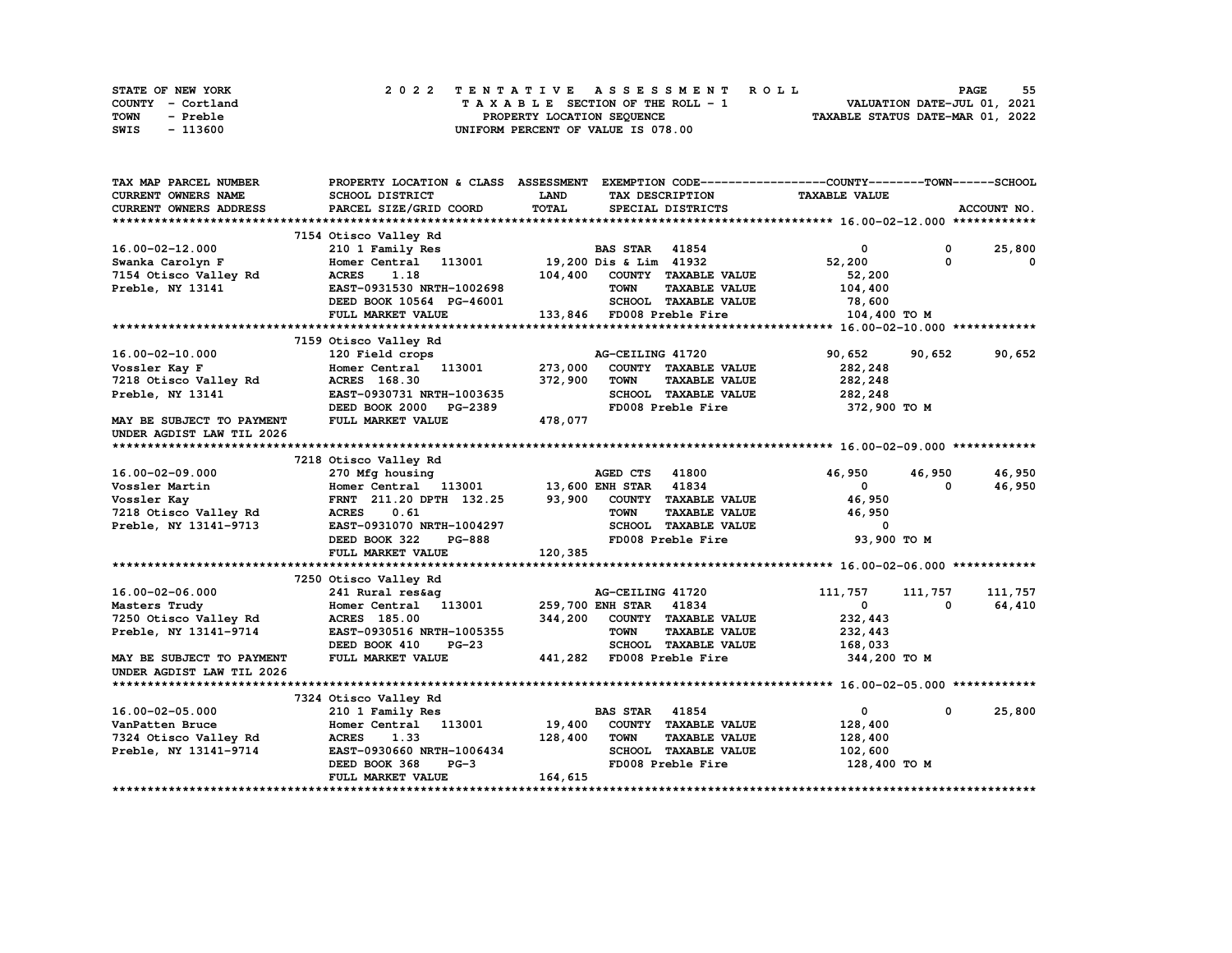| STATE OF NEW YORK | 2022 TENTATIVE ASSESSMENT ROLL     | 55<br><b>PAGE</b>                |
|-------------------|------------------------------------|----------------------------------|
| COUNTY - Cortland | TAXABLE SECTION OF THE ROLL - 1    | VALUATION DATE-JUL 01, 2021      |
| TOWN<br>- Preble  | PROPERTY LOCATION SEQUENCE         | TAXABLE STATUS DATE-MAR 01, 2022 |
| - 113600<br>SWIS  | UNIFORM PERCENT OF VALUE IS 078.00 |                                  |

| TAX MAP PARCEL NUMBER         | PROPERTY LOCATION & CLASS ASSESSMENT EXEMPTION CODE------------------COUNTY-------TOWN-----SCHOOL |              |                                     |                      |              |             |
|-------------------------------|---------------------------------------------------------------------------------------------------|--------------|-------------------------------------|----------------------|--------------|-------------|
| <b>CURRENT OWNERS NAME</b>    | SCHOOL DISTRICT                                                                                   | LAND         | TAX DESCRIPTION                     | <b>TAXABLE VALUE</b> |              |             |
| <b>CURRENT OWNERS ADDRESS</b> | PARCEL SIZE/GRID COORD                                                                            | <b>TOTAL</b> | SPECIAL DISTRICTS                   |                      |              | ACCOUNT NO. |
|                               |                                                                                                   |              |                                     |                      |              |             |
|                               | 7154 Otisco Valley Rd                                                                             |              |                                     |                      |              |             |
| $16.00 - 02 - 12.000$         | 210 1 Family Res                                                                                  |              | <b>BAS STAR 41854</b>               | 0                    | 0            | 25,800      |
| Swanka Carolyn F              | Homer Central 113001                                                                              |              | 19,200 Dis & Lim 41932              | 52,200               | 0            | 0           |
| 7154 Otisco Valley Rd         | <b>ACRES</b><br>1.18                                                                              | 104,400      | COUNTY TAXABLE VALUE                | 52,200               |              |             |
| Preble, NY 13141              | EAST-0931530 NRTH-1002698                                                                         |              | <b>TOWN</b><br><b>TAXABLE VALUE</b> | 104,400              |              |             |
|                               | DEED BOOK 10564 PG-46001                                                                          |              | SCHOOL TAXABLE VALUE                | 78,600               |              |             |
|                               | FULL MARKET VALUE                                                                                 |              | 133,846 FD008 Preble Fire           | 104,400 TO M         |              |             |
|                               |                                                                                                   |              |                                     |                      |              |             |
|                               | 7159 Otisco Valley Rd                                                                             |              |                                     |                      |              |             |
| 16.00-02-10.000               | 120 Field crops                                                                                   |              | AG-CEILING 41720                    | 90,652               | 90,652       | 90,652      |
| Vossler Kay F                 | Homer Central 113001                                                                              | 273,000      | COUNTY TAXABLE VALUE                | 282,248              |              |             |
| 7218 Otisco Valley Rd         | ACRES 168.30                                                                                      | 372,900      | <b>TOWN</b><br><b>TAXABLE VALUE</b> | 282,248              |              |             |
| Preble, NY 13141              | EAST-0930731 NRTH-1003635                                                                         |              | SCHOOL TAXABLE VALUE                | 282,248              |              |             |
|                               | DEED BOOK 2000 PG-2389                                                                            |              | FD008 Preble Fire                   | 372,900 то м         |              |             |
| MAY BE SUBJECT TO PAYMENT     | FULL MARKET VALUE                                                                                 | 478,077      |                                     |                      |              |             |
| UNDER AGDIST LAW TIL 2026     |                                                                                                   |              |                                     |                      |              |             |
|                               |                                                                                                   |              |                                     |                      |              |             |
|                               | 7218 Otisco Valley Rd                                                                             |              |                                     |                      |              |             |
| $16.00 - 02 - 09.000$         | 270 Mfg housing                                                                                   |              | AGED CTS<br>41800                   | 46,950               | 46,950       | 46,950      |
| Vossler Martin                | Homer Central 113001                                                                              |              | 13,600 ENH STAR 41834               | $\mathbf 0$          | $\mathbf{o}$ | 46,950      |
| Vossler Kay                   | FRNT 211.20 DPTH 132.25                                                                           | 93,900       | COUNTY TAXABLE VALUE                | 46,950               |              |             |
| 7218 Otisco Valley Rd         | <b>ACRES</b><br>0.61                                                                              |              | <b>TOWN</b><br><b>TAXABLE VALUE</b> | 46,950               |              |             |
| Preble, NY 13141-9713         | EAST-0931070 NRTH-1004297                                                                         |              | SCHOOL TAXABLE VALUE                | 0                    |              |             |
|                               | DEED BOOK 322<br>PG-888                                                                           |              | FD008 Preble Fire                   | 93,900 TO M          |              |             |
|                               | FULL MARKET VALUE                                                                                 | 120,385      |                                     |                      |              |             |
|                               |                                                                                                   |              |                                     |                      |              |             |
|                               | 7250 Otisco Valley Rd                                                                             |              |                                     |                      |              |             |
| 16.00-02-06.000               | 241 Rural res&ag                                                                                  |              | AG-CEILING 41720                    | 111,757              | 111,757      | 111,757     |
| Masters Trudy                 | Homer Central 113001                                                                              |              | 259,700 ENH STAR<br>41834           | 0                    | 0            | 64,410      |
| 7250 Otisco Valley Rd         | <b>ACRES</b> 185.00                                                                               | 344,200      | COUNTY TAXABLE VALUE                | 232,443              |              |             |
| Preble, NY 13141-9714         | EAST-0930516 NRTH-1005355                                                                         |              | <b>TOWN</b><br><b>TAXABLE VALUE</b> | 232,443              |              |             |
|                               | DEED BOOK 410<br>$PG-23$                                                                          |              | SCHOOL TAXABLE VALUE                | 168,033              |              |             |
| MAY BE SUBJECT TO PAYMENT     | FULL MARKET VALUE                                                                                 | 441,282      | FD008 Preble Fire                   | 344,200 TO M         |              |             |
| UNDER AGDIST LAW TIL 2026     |                                                                                                   |              |                                     |                      |              |             |
|                               |                                                                                                   |              |                                     |                      |              |             |
|                               | 7324 Otisco Valley Rd                                                                             |              |                                     |                      |              |             |
| 16.00-02-05.000               | 210 1 Family Res                                                                                  |              | <b>BAS STAR 41854</b>               | $\mathbf 0$          | $\mathbf 0$  | 25,800      |
| VanPatten Bruce               | Homer Central 113001                                                                              | 19,400       | COUNTY TAXABLE VALUE                | 128,400              |              |             |
| 7324 Otisco Valley Rd         | <b>ACRES</b><br>1.33                                                                              | 128,400      | <b>TOWN</b><br><b>TAXABLE VALUE</b> | 128,400              |              |             |
| Preble, NY 13141-9714         | EAST-0930660 NRTH-1006434                                                                         |              | <b>SCHOOL TAXABLE VALUE</b>         | 102,600              |              |             |
|                               | $PG-3$<br>DEED BOOK 368                                                                           |              | FD008 Preble Fire                   | 128,400 TO M         |              |             |
|                               | FULL MARKET VALUE                                                                                 | 164,615      |                                     |                      |              |             |
|                               |                                                                                                   |              |                                     |                      |              |             |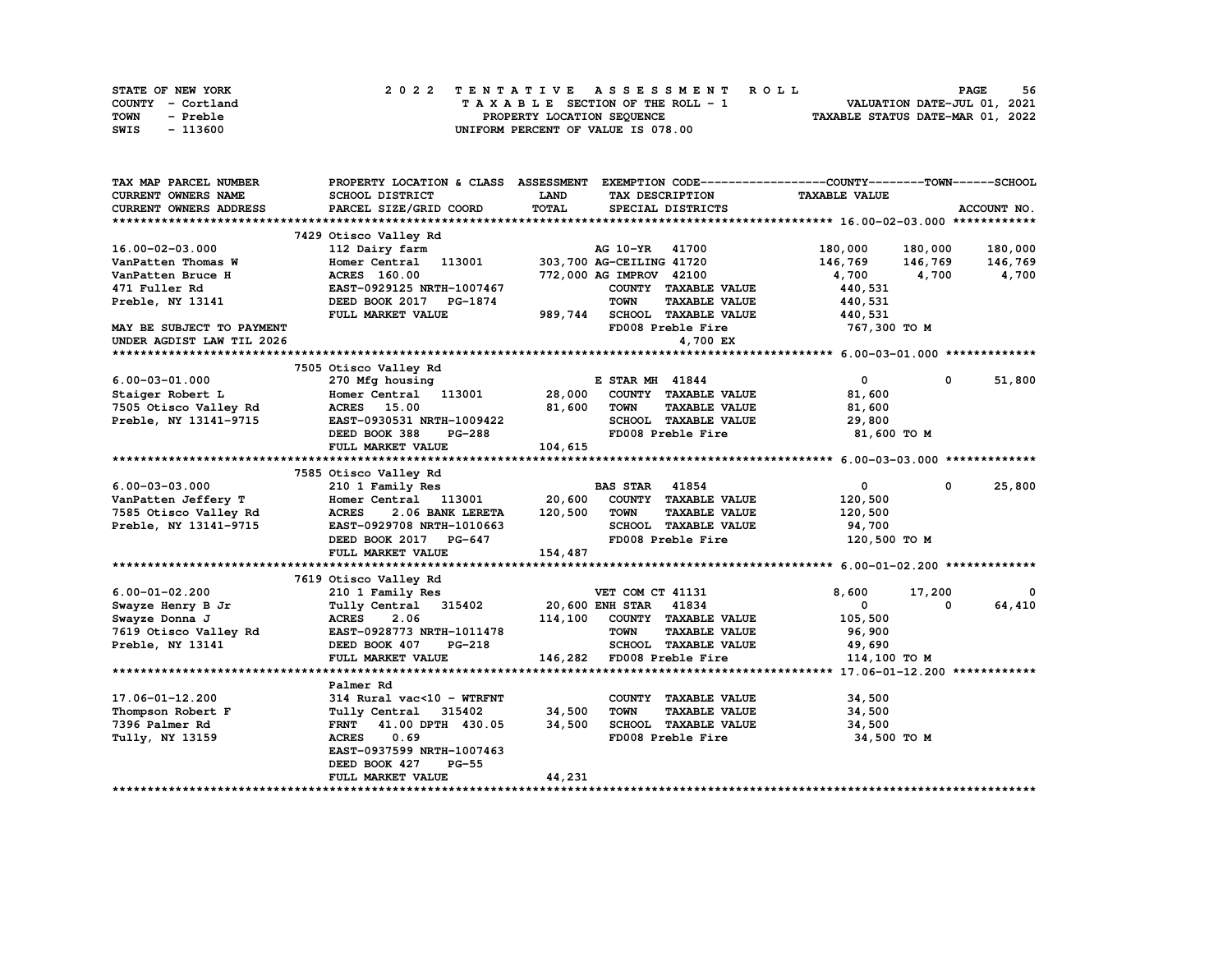| STATE OF NEW YORK | 2022 TENTATIVE ASSESSMENT ROLL     | 56<br><b>PAGE</b>                |
|-------------------|------------------------------------|----------------------------------|
| COUNTY - Cortland | TAXABLE SECTION OF THE ROLL - 1    | VALUATION DATE-JUL 01, 2021      |
| TOWN<br>- Preble  | PROPERTY LOCATION SEQUENCE         | TAXABLE STATUS DATE-MAR 01, 2022 |
| - 113600<br>SWIS  | UNIFORM PERCENT OF VALUE IS 078.00 |                                  |

| TAX MAP PARCEL NUMBER     | PROPERTY LOCATION & CLASS ASSESSMENT |             | EXEMPTION CODE-----------------COUNTY-------TOWN------SCHOOL |                      |            |             |
|---------------------------|--------------------------------------|-------------|--------------------------------------------------------------|----------------------|------------|-------------|
| CURRENT OWNERS NAME       | SCHOOL DISTRICT                      | <b>LAND</b> | TAX DESCRIPTION                                              | <b>TAXABLE VALUE</b> |            |             |
| CURRENT OWNERS ADDRESS    | PARCEL SIZE/GRID COORD               | TOTAL       | SPECIAL DISTRICTS                                            |                      |            | ACCOUNT NO. |
|                           |                                      |             |                                                              |                      |            |             |
|                           | 7429 Otisco Valley Rd                |             |                                                              |                      |            |             |
| 16.00-02-03.000           | 112 Dairy farm                       |             | AG 10-YR 41700                                               | 180,000              | 180,000    | 180,000     |
| VanPatten Thomas W        | Homer Central 113001                 |             | 303,700 AG-CEILING 41720                                     | 146,769              | 146,769    | 146,769     |
| VanPatten Bruce H         | <b>ACRES</b> 160.00                  |             | 772,000 AG IMPROV 42100                                      | 4,700                | 4,700      | 4,700       |
| 471 Fuller Rd             | EAST-0929125 NRTH-1007467            |             | COUNTY TAXABLE VALUE                                         | 440,531              |            |             |
| Preble, NY 13141          | DEED BOOK 2017 PG-1874               |             | <b>TOWN</b><br><b>TAXABLE VALUE</b>                          | 440,531              |            |             |
|                           | FULL MARKET VALUE                    | 989,744     | SCHOOL TAXABLE VALUE                                         | 440,531              |            |             |
| MAY BE SUBJECT TO PAYMENT |                                      |             | FD008 Preble Fire                                            | 767,300 то м         |            |             |
| UNDER AGDIST LAW TIL 2026 |                                      |             | 4,700 EX                                                     |                      |            |             |
|                           |                                      |             |                                                              |                      |            |             |
|                           | 7505 Otisco Valley Rd                |             |                                                              |                      |            |             |
| $6.00 - 03 - 01.000$      | 270 Mfg housing                      |             | E STAR MH 41844                                              | $\mathbf{0}$         | $^{\circ}$ | 51,800      |
| Staiger Robert L          | Homer Central 113001                 | 28,000      | COUNTY TAXABLE VALUE                                         | 81,600               |            |             |
| 7505 Otisco Valley Rd     | ACRES 15.00                          | 81,600      | <b>TOWN</b><br><b>TAXABLE VALUE</b>                          | 81,600               |            |             |
| Preble, NY 13141-9715     | EAST-0930531 NRTH-1009422            |             | SCHOOL TAXABLE VALUE                                         | 29,800               |            |             |
|                           | DEED BOOK 388<br>PG-288              |             | FD008 Preble Fire                                            | 81,600 TO M          |            |             |
|                           | FULL MARKET VALUE                    | 104,615     |                                                              |                      |            |             |
|                           |                                      |             |                                                              |                      |            |             |
|                           | 7585 Otisco Valley Rd                |             |                                                              |                      |            |             |
| $6.00 - 03 - 03.000$      | 210 1 Family Res                     |             | <b>BAS STAR 41854</b>                                        | $\mathbf{0}$         | $^{\circ}$ | 25,800      |
| VanPatten Jeffery T       | Homer Central 113001 20,600          |             | COUNTY TAXABLE VALUE                                         | 120,500              |            |             |
| 7585 Otisco Valley Rd     | <b>ACRES</b><br>2.06 BANK LERETA     | 120,500     | <b>TOWN</b><br><b>TAXABLE VALUE</b>                          | 120,500              |            |             |
| Preble, NY 13141-9715     | EAST-0929708 NRTH-1010663            |             | SCHOOL TAXABLE VALUE                                         | 94,700               |            |             |
|                           | DEED BOOK 2017 PG-647                |             | FD008 Preble Fire                                            | 120,500 TO M         |            |             |
|                           | FULL MARKET VALUE                    | 154,487     |                                                              |                      |            |             |
|                           |                                      |             |                                                              |                      |            |             |
|                           | 7619 Otisco Valley Rd                |             |                                                              |                      |            |             |
| 6.00-01-02.200            | 210 1 Family Res                     |             | VET COM CT 41131                                             | 8,600                | 17,200     | 0           |
| Swayze Henry B Jr         | Tully Central 315402                 |             | 20,600 ENH STAR 41834                                        | 0                    | 0          | 64,410      |
| Swayze Donna J            | <b>ACRES</b><br>2.06                 |             | 114,100 COUNTY TAXABLE VALUE                                 | 105,500              |            |             |
| 7619 Otisco Valley Rd     | EAST-0928773 NRTH-1011478            |             | <b>TAXABLE VALUE</b><br><b>TOWN</b>                          | 96,900               |            |             |
| Preble, NY 13141          | DEED BOOK 407<br>$PG-218$            |             | SCHOOL TAXABLE VALUE                                         | 49,690               |            |             |
|                           | FULL MARKET VALUE                    |             | 146,282 FD008 Preble Fire                                    | 114,100 TO M         |            |             |
|                           |                                      |             |                                                              |                      |            |             |
|                           | Palmer Rd                            |             |                                                              |                      |            |             |
| 17.06-01-12.200           | 314 Rural vac<10 - WTRFNT            |             | COUNTY TAXABLE VALUE                                         | 34,500               |            |             |
| Thompson Robert F         | Tully Central 315402                 | 34,500      | <b>TOWN</b><br><b>TAXABLE VALUE</b>                          | 34,500               |            |             |
| 7396 Palmer Rd            | FRNT 41.00 DPTH 430.05               | 34,500      | SCHOOL TAXABLE VALUE                                         | 34,500               |            |             |
| Tully, NY 13159           | 0.69<br><b>ACRES</b>                 |             | FD008 Preble Fire                                            | 34,500 TO M          |            |             |
|                           | EAST-0937599 NRTH-1007463            |             |                                                              |                      |            |             |
|                           | DEED BOOK 427<br><b>PG-55</b>        |             |                                                              |                      |            |             |
|                           | FULL MARKET VALUE                    | 44,231      |                                                              |                      |            |             |
|                           |                                      |             |                                                              |                      |            |             |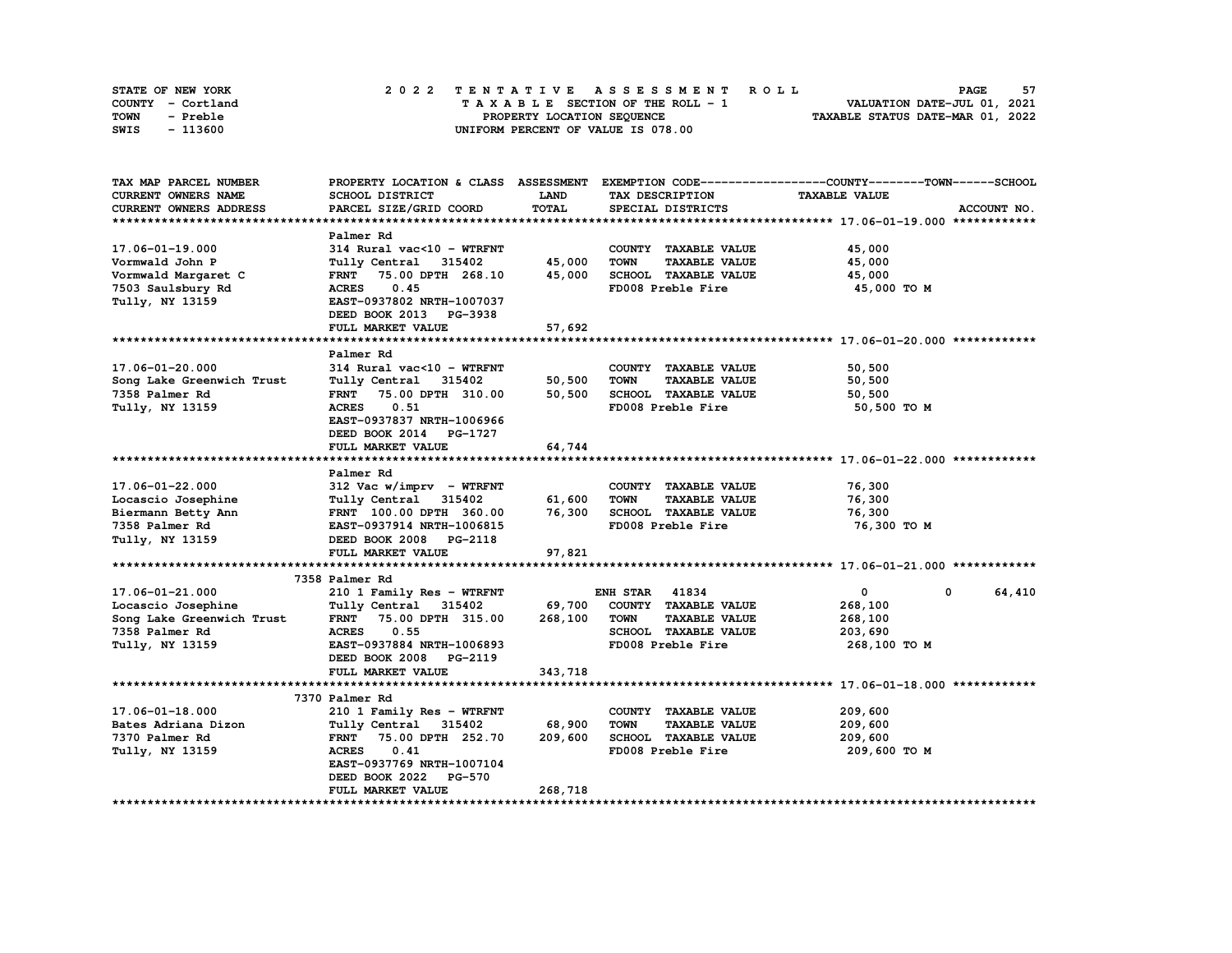| STATE OF NEW YORK | 2022 TENTATIVE ASSESSMENT ROLL     | 57<br><b>PAGE</b>                |
|-------------------|------------------------------------|----------------------------------|
| COUNTY - Cortland | TAXABLE SECTION OF THE ROLL - 1    | VALUATION DATE-JUL 01, 2021      |
| TOWN<br>- Preble  | PROPERTY LOCATION SEOUENCE         | TAXABLE STATUS DATE-MAR 01, 2022 |
| - 113600<br>SWIS  | UNIFORM PERCENT OF VALUE IS 078.00 |                                  |

| TAX MAP PARCEL NUMBER         |                                  |              |                                     | PROPERTY LOCATION & CLASS ASSESSMENT EXEMPTION CODE----------------COUNTY-------TOWN-----SCHOOL |
|-------------------------------|----------------------------------|--------------|-------------------------------------|-------------------------------------------------------------------------------------------------|
| CURRENT OWNERS NAME           | SCHOOL DISTRICT                  | LAND         | TAX DESCRIPTION                     | <b>TAXABLE VALUE</b>                                                                            |
| <b>CURRENT OWNERS ADDRESS</b> | PARCEL SIZE/GRID COORD           | <b>TOTAL</b> | SPECIAL DISTRICTS                   | ACCOUNT NO.                                                                                     |
|                               |                                  |              |                                     |                                                                                                 |
|                               | Palmer Rd                        |              |                                     |                                                                                                 |
| 17.06-01-19.000               | 314 Rural vac<10 - WTRFNT        |              | COUNTY TAXABLE VALUE                | 45,000                                                                                          |
| Vormwald John P               | Tully Central 315402             | 45,000       | <b>TOWN</b><br><b>TAXABLE VALUE</b> | 45,000                                                                                          |
| Vormwald Margaret C           | FRNT 75.00 DPTH 268.10           | 45,000       | SCHOOL TAXABLE VALUE                | 45,000                                                                                          |
| 7503 Saulsbury Rd             | 0.45<br><b>ACRES</b>             |              | FD008 Preble Fire                   | 45,000 TO M                                                                                     |
| Tully, NY 13159               | EAST-0937802 NRTH-1007037        |              |                                     |                                                                                                 |
|                               | DEED BOOK 2013 PG-3938           |              |                                     |                                                                                                 |
|                               | FULL MARKET VALUE                | 57,692       |                                     |                                                                                                 |
|                               |                                  |              |                                     |                                                                                                 |
|                               | Palmer Rd                        |              |                                     |                                                                                                 |
| 17.06-01-20.000               | 314 Rural vac<10 - WTRFNT        |              | COUNTY TAXABLE VALUE                | 50,500                                                                                          |
| Song Lake Greenwich Trust     | Tully Central 315402             | 50,500       | <b>TOWN</b><br><b>TAXABLE VALUE</b> | 50,500                                                                                          |
| 7358 Palmer Rd                | 75.00 DPTH 310.00<br><b>FRNT</b> | 50,500       | SCHOOL TAXABLE VALUE                | 50,500                                                                                          |
| Tully, NY 13159               | <b>ACRES</b><br>0.51             |              | FD008 Preble Fire                   | 50,500 TO M                                                                                     |
|                               | EAST-0937837 NRTH-1006966        |              |                                     |                                                                                                 |
|                               | DEED BOOK 2014 PG-1727           |              |                                     |                                                                                                 |
|                               | FULL MARKET VALUE                | 64,744       |                                     |                                                                                                 |
|                               |                                  |              |                                     |                                                                                                 |
|                               | Palmer Rd                        |              |                                     |                                                                                                 |
| 17.06-01-22.000               | 312 Vac w/imprv - WTRFNT         |              | COUNTY TAXABLE VALUE                | 76,300                                                                                          |
| Locascio Josephine            | Tully Central 315402             | 61,600       | <b>TOWN</b><br><b>TAXABLE VALUE</b> | 76,300                                                                                          |
| Biermann Betty Ann            | FRNT 100.00 DPTH 360.00          | 76,300       | SCHOOL TAXABLE VALUE                | 76,300                                                                                          |
| 7358 Palmer Rd                | EAST-0937914 NRTH-1006815        |              | FD008 Preble Fire                   | 76,300 TO M                                                                                     |
| Tully, NY 13159               | DEED BOOK 2008 PG-2118           |              |                                     |                                                                                                 |
|                               | FULL MARKET VALUE                | 97,821       |                                     |                                                                                                 |
|                               | 7358 Palmer Rd                   |              |                                     |                                                                                                 |
| 17.06-01-21.000               | 210 1 Family Res - WTRFNT        |              | <b>ENH STAR</b><br>41834            | 64,410<br>$\mathbf{0}$<br>$^{\circ}$                                                            |
| Locascio Josephine            | Tully Central 315402             | 69,700       | COUNTY TAXABLE VALUE                | 268,100                                                                                         |
| Song Lake Greenwich Trust     | FRNT 75.00 DPTH 315.00           | 268,100      | <b>TOWN</b><br><b>TAXABLE VALUE</b> | 268,100                                                                                         |
| 7358 Palmer Rd                | <b>ACRES</b><br>0.55             |              | SCHOOL TAXABLE VALUE                | 203,690                                                                                         |
| Tully, NY 13159               | EAST-0937884 NRTH-1006893        |              | FD008 Preble Fire                   | 268,100 TO M                                                                                    |
|                               | DEED BOOK 2008 PG-2119           |              |                                     |                                                                                                 |
|                               | FULL MARKET VALUE                | 343,718      |                                     |                                                                                                 |
|                               |                                  |              |                                     |                                                                                                 |
|                               | 7370 Palmer Rd                   |              |                                     |                                                                                                 |
| 17.06-01-18.000               | 210 1 Family Res - WTRFNT        |              | COUNTY TAXABLE VALUE                | 209,600                                                                                         |
| Bates Adriana Dizon           | Tully Central 315402             | 68,900       | <b>TOWN</b><br><b>TAXABLE VALUE</b> | 209,600                                                                                         |
| 7370 Palmer Rd                | FRNT 75.00 DPTH 252.70           | 209,600      | SCHOOL TAXABLE VALUE                | 209,600                                                                                         |
| Tully, NY 13159               | <b>ACRES</b><br>0.41             |              | FD008 Preble Fire                   | 209,600 то м                                                                                    |
|                               | EAST-0937769 NRTH-1007104        |              |                                     |                                                                                                 |
|                               | DEED BOOK 2022<br><b>PG-570</b>  |              |                                     |                                                                                                 |
|                               | FULL MARKET VALUE                | 268,718      |                                     |                                                                                                 |
|                               |                                  |              |                                     |                                                                                                 |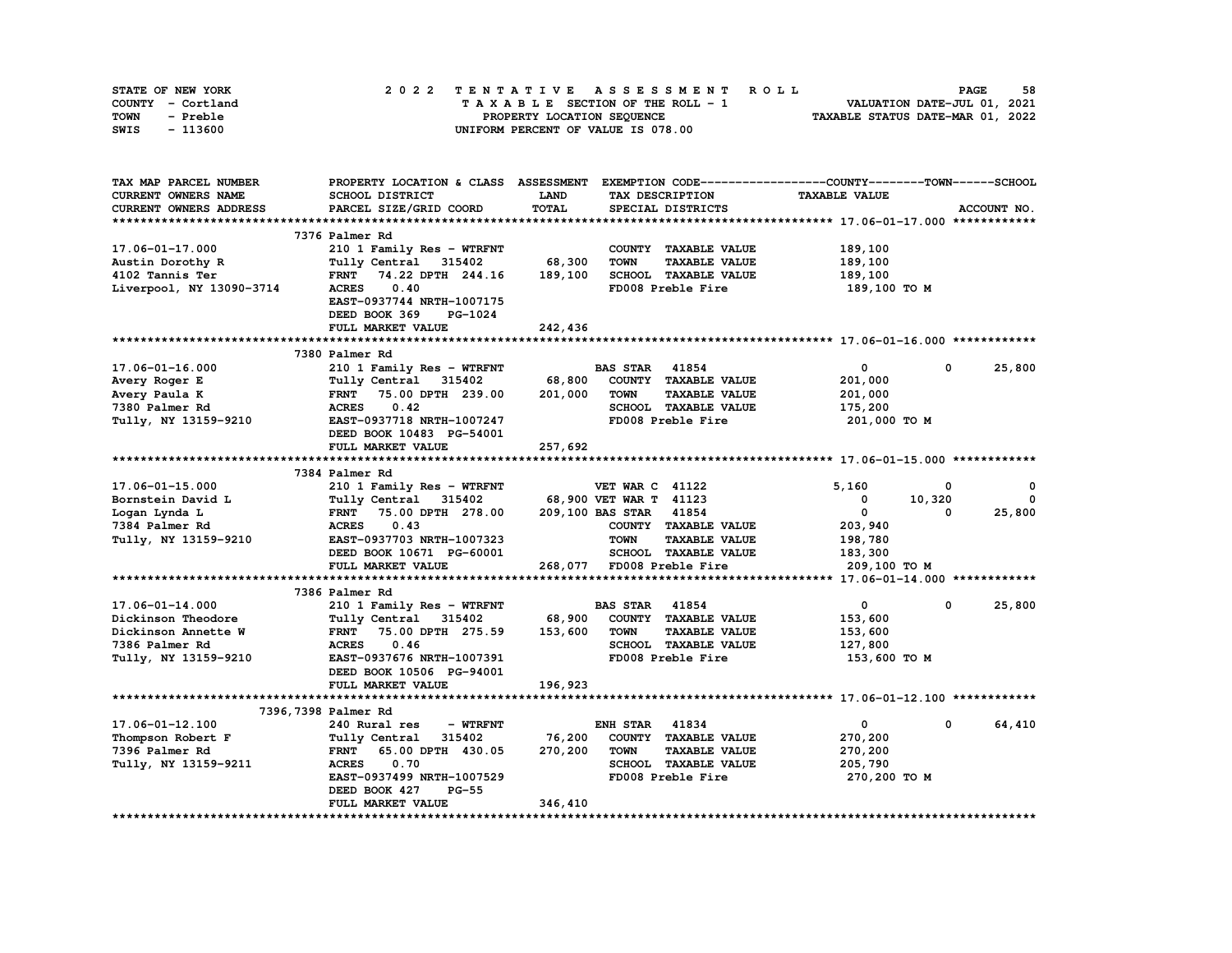| STATE OF NEW YORK | 2022 TENTATIVE ASSESSMENT ROLL     | 58<br><b>PAGE</b>                |
|-------------------|------------------------------------|----------------------------------|
| COUNTY - Cortland | TAXABLE SECTION OF THE ROLL - 1    | VALUATION DATE-JUL 01, 2021      |
| TOWN<br>- Preble  | PROPERTY LOCATION SEQUENCE         | TAXABLE STATUS DATE-MAR 01, 2022 |
| - 113600<br>SWIS  | UNIFORM PERCENT OF VALUE IS 078.00 |                                  |

| TAX MAP PARCEL NUMBER    | PROPERTY LOCATION & CLASS ASSESSMENT |             |                                     | EXEMPTION CODE-----------------COUNTY-------TOWN-----SCHOOL |             |
|--------------------------|--------------------------------------|-------------|-------------------------------------|-------------------------------------------------------------|-------------|
| CURRENT OWNERS NAME      | SCHOOL DISTRICT                      | <b>LAND</b> | TAX DESCRIPTION                     | <b>TAXABLE VALUE</b>                                        |             |
| CURRENT OWNERS ADDRESS   | PARCEL SIZE/GRID COORD               | TOTAL       | SPECIAL DISTRICTS                   |                                                             | ACCOUNT NO. |
|                          |                                      |             |                                     |                                                             |             |
|                          | 7376 Palmer Rd                       |             |                                     |                                                             |             |
| 17.06-01-17.000          | 210 1 Family Res - WTRFNT            |             | COUNTY TAXABLE VALUE                | 189,100                                                     |             |
| Austin Dorothy R         | Tully Central 315402                 | 68,300      | <b>TOWN</b><br><b>TAXABLE VALUE</b> | 189,100                                                     |             |
| 4102 Tannis Ter          | FRNT 74.22 DPTH 244.16               | 189,100     | SCHOOL TAXABLE VALUE                | 189,100                                                     |             |
| Liverpool, NY 13090-3714 | <b>ACRES</b><br>0.40                 |             | FD008 Preble Fire                   | 189,100 то м                                                |             |
|                          | EAST-0937744 NRTH-1007175            |             |                                     |                                                             |             |
|                          | DEED BOOK 369<br>PG-1024             |             |                                     |                                                             |             |
|                          | FULL MARKET VALUE                    | 242,436     |                                     |                                                             |             |
|                          |                                      |             |                                     |                                                             |             |
|                          | 7380 Palmer Rd                       |             |                                     |                                                             |             |
| 17.06-01-16.000          | 210 1 Family Res - WTRFNT            |             | <b>BAS STAR</b> 41854               | 0<br>0                                                      | 25,800      |
| Avery Roger E            | Tully Central 315402                 | 68,800      | COUNTY TAXABLE VALUE                | 201,000                                                     |             |
| Avery Paula K            | FRNT 75.00 DPTH 239.00               | 201,000     | <b>TOWN</b><br><b>TAXABLE VALUE</b> | 201,000                                                     |             |
| 7380 Palmer Rd           | <b>ACRES</b><br>0.42                 |             | <b>SCHOOL TAXABLE VALUE</b>         | 175,200                                                     |             |
| Tully, NY 13159-9210     | EAST-0937718 NRTH-1007247            |             | FD008 Preble Fire                   | 201,000 TO M                                                |             |
|                          | DEED BOOK 10483 PG-54001             |             |                                     |                                                             |             |
|                          | FULL MARKET VALUE                    | 257,692     |                                     |                                                             |             |
|                          |                                      |             |                                     |                                                             |             |
|                          | 7384 Palmer Rd                       |             |                                     |                                                             |             |
| 17.06-01-15.000          | 210 1 Family Res - WTRFNT            |             | <b>VET WAR C 41122</b>              | 5,160<br>0                                                  | 0           |
| Bornstein David L        | Tully Central 315402                 |             | 68,900 VET WAR T 41123              | 0<br>10,320                                                 | 0           |
| Logan Lynda L            | FRNT 75.00 DPTH 278.00               |             | 209,100 BAS STAR 41854              | $\mathbf{0}$<br>0                                           | 25,800      |
| 7384 Palmer Rd           | <b>ACRES</b><br>0.43                 |             | COUNTY TAXABLE VALUE                | 203,940                                                     |             |
| Tully, NY 13159-9210     | EAST-0937703 NRTH-1007323            |             | <b>TAXABLE VALUE</b><br><b>TOWN</b> | 198,780                                                     |             |
|                          | DEED BOOK 10671 PG-60001             |             | SCHOOL TAXABLE VALUE                | 183,300                                                     |             |
|                          | FULL MARKET VALUE                    |             | 268,077 FD008 Preble Fire           | 209,100 TO M                                                |             |
|                          |                                      |             |                                     |                                                             |             |
|                          | 7386 Palmer Rd                       |             |                                     |                                                             |             |
|                          |                                      |             |                                     | 0<br>$\mathbf{0}$                                           |             |
| 17.06-01-14.000          | 210 1 Family Res - WTRFNT            |             | <b>BAS STAR 41854</b>               |                                                             | 25,800      |
| Dickinson Theodore       | Tully Central 315402                 | 68,900      | COUNTY TAXABLE VALUE                | 153,600                                                     |             |
| Dickinson Annette W      | FRNT 75.00 DPTH 275.59               | 153,600     | TOWN<br><b>TAXABLE VALUE</b>        | 153,600                                                     |             |
| 7386 Palmer Rd           | 0.46<br><b>ACRES</b>                 |             | SCHOOL TAXABLE VALUE                | 127,800                                                     |             |
| Tully, NY 13159-9210     | EAST-0937676 NRTH-1007391            |             | FD008 Preble Fire                   | 153,600 то м                                                |             |
|                          | DEED BOOK 10506 PG-94001             |             |                                     |                                                             |             |
|                          | FULL MARKET VALUE                    | 196,923     |                                     |                                                             |             |
|                          |                                      |             |                                     |                                                             |             |
|                          | 7396,7398 Palmer Rd                  |             |                                     |                                                             |             |
| 17.06-01-12.100          | 240 Rural res<br>- WTRFNT            |             | <b>ENH STAR 41834</b>               | $\mathbf 0$<br>0                                            | 64,410      |
| Thompson Robert F        | Tully Central<br>315402              | 76,200      | COUNTY TAXABLE VALUE                | 270,200                                                     |             |
| 7396 Palmer Rd           | 65.00 DPTH 430.05<br><b>FRNT</b>     | 270,200     | <b>TOWN</b><br><b>TAXABLE VALUE</b> | 270,200                                                     |             |
| Tully, NY 13159-9211     | 0.70<br><b>ACRES</b>                 |             | SCHOOL TAXABLE VALUE                | 205,790                                                     |             |
|                          | EAST-0937499 NRTH-1007529            |             | FD008 Preble Fire                   | 270,200 TO M                                                |             |
|                          | DEED BOOK 427<br>$PG-55$             |             |                                     |                                                             |             |
|                          | FULL MARKET VALUE                    | 346,410     |                                     |                                                             |             |
|                          |                                      |             |                                     |                                                             |             |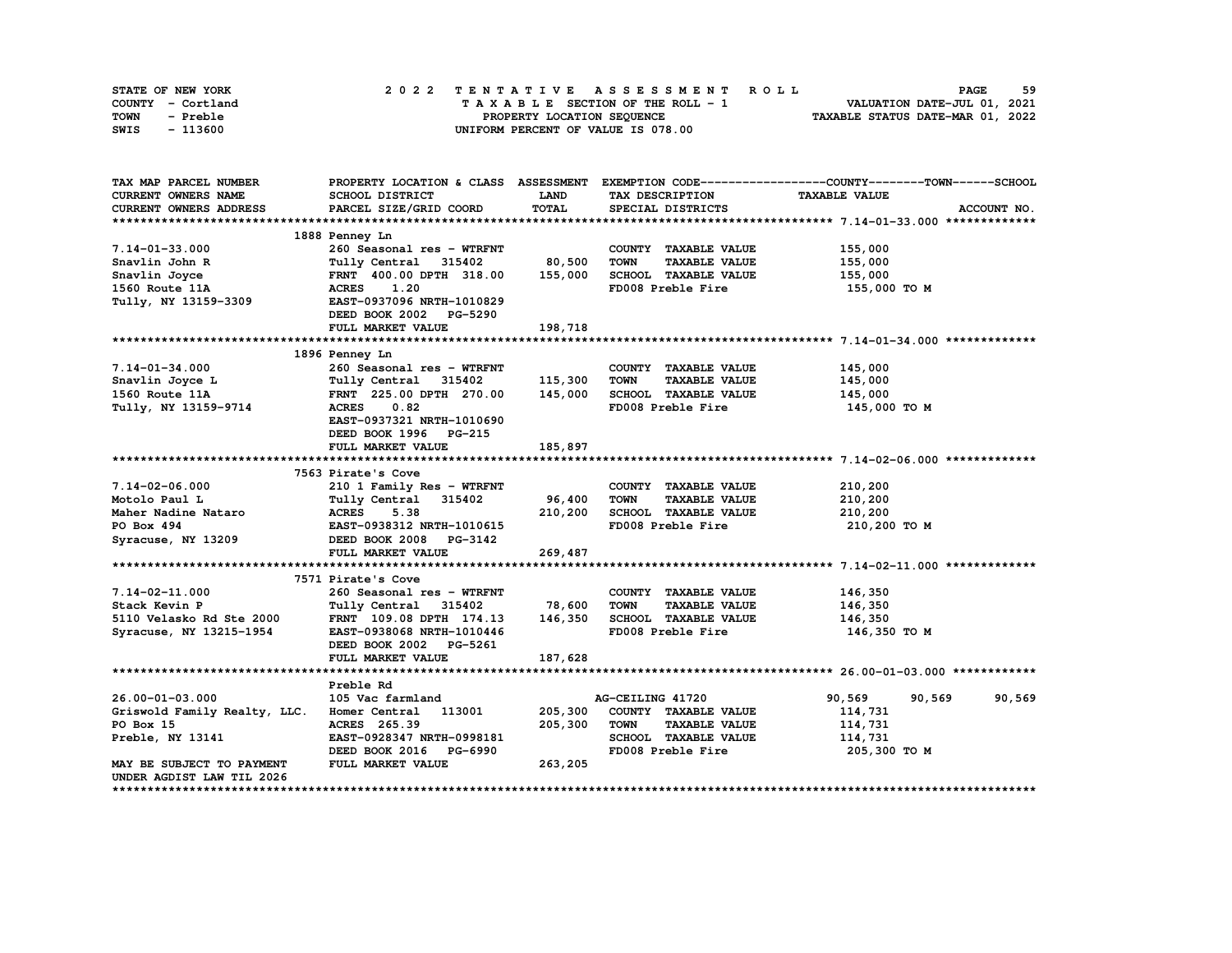| STATE OF NEW YORK | 2022 TENTATIVE ASSESSMENT ROLL     | 59<br><b>PAGE</b>                |
|-------------------|------------------------------------|----------------------------------|
| COUNTY - Cortland | TAXABLE SECTION OF THE ROLL - 1    | VALUATION DATE-JUL 01, 2021      |
| TOWN<br>- Preble  | PROPERTY LOCATION SEQUENCE         | TAXABLE STATUS DATE-MAR 01, 2022 |
| - 113600<br>SWIS  | UNIFORM PERCENT OF VALUE IS 078.00 |                                  |

| TAX MAP PARCEL NUMBER        |                                 |             |                                     | PROPERTY LOCATION & CLASS ASSESSMENT EXEMPTION CODE----------------COUNTY-------TOWN-----SCHOOL |
|------------------------------|---------------------------------|-------------|-------------------------------------|-------------------------------------------------------------------------------------------------|
| CURRENT OWNERS NAME          | SCHOOL DISTRICT                 | <b>LAND</b> | TAX DESCRIPTION                     | <b>TAXABLE VALUE</b>                                                                            |
| CURRENT OWNERS ADDRESS       | PARCEL SIZE/GRID COORD          | TOTAL       | SPECIAL DISTRICTS                   | ACCOUNT NO.                                                                                     |
|                              |                                 |             |                                     |                                                                                                 |
|                              | 1888 Penney Ln                  |             |                                     |                                                                                                 |
| $7.14 - 01 - 33.000$         | 260 Seasonal res - WTRFNT       |             | COUNTY TAXABLE VALUE                | 155,000                                                                                         |
| Snavlin John R               | Tully Central 315402            | 80,500      | <b>TOWN</b><br><b>TAXABLE VALUE</b> | 155,000                                                                                         |
| Snavlin Joyce                | FRNT 400.00 DPTH 318.00         | 155,000     | SCHOOL TAXABLE VALUE                | 155,000                                                                                         |
| 1560 Route 11A               | 1.20<br><b>ACRES</b>            |             | FD008 Preble Fire                   | 155,000 то м                                                                                    |
| Tully, NY 13159-3309         | EAST-0937096 NRTH-1010829       |             |                                     |                                                                                                 |
|                              | DEED BOOK 2002 PG-5290          |             |                                     |                                                                                                 |
|                              | FULL MARKET VALUE               | 198,718     |                                     |                                                                                                 |
|                              |                                 |             |                                     |                                                                                                 |
|                              | 1896 Penney Ln                  |             |                                     |                                                                                                 |
| $7.14 - 01 - 34.000$         | 260 Seasonal res - WTRFNT       |             | COUNTY TAXABLE VALUE                | 145,000                                                                                         |
| Snavlin Joyce L              | Tully Central 315402            | 115,300     | <b>TAXABLE VALUE</b><br><b>TOWN</b> | 145,000                                                                                         |
| 1560 Route 11A               | FRNT 225.00 DPTH 270.00         | 145,000     | SCHOOL TAXABLE VALUE                | 145,000                                                                                         |
| Tully, NY 13159-9714         | <b>ACRES</b><br>0.82            |             | FD008 Preble Fire                   | 145,000 TO M                                                                                    |
|                              | EAST-0937321 NRTH-1010690       |             |                                     |                                                                                                 |
|                              | DEED BOOK 1996 PG-215           |             |                                     |                                                                                                 |
|                              | FULL MARKET VALUE               | 185,897     |                                     |                                                                                                 |
|                              |                                 |             |                                     |                                                                                                 |
|                              | 7563 Pirate's Cove              |             |                                     |                                                                                                 |
| $7.14 - 02 - 06.000$         | 210 1 Family Res - WTRFNT       |             | COUNTY TAXABLE VALUE                | 210,200                                                                                         |
| Motolo Paul L                | Tully Central 315402            | 96,400      | <b>TOWN</b><br><b>TAXABLE VALUE</b> | 210,200                                                                                         |
| Maher Nadine Nataro          | ACRES 5.38                      | 210,200     | SCHOOL TAXABLE VALUE                | 210,200                                                                                         |
| PO Box 494                   | EAST-0938312 NRTH-1010615       |             | FD008 Preble Fire                   | 210,200 TO M                                                                                    |
| Syracuse, NY 13209           | DEED BOOK 2008 PG-3142          |             |                                     |                                                                                                 |
|                              | FULL MARKET VALUE               | 269,487     |                                     |                                                                                                 |
|                              |                                 |             |                                     |                                                                                                 |
|                              | 7571 Pirate's Cove              |             |                                     |                                                                                                 |
| 7.14-02-11.000               | 260 Seasonal res - WTRFNT       |             | COUNTY TAXABLE VALUE                | 146,350                                                                                         |
| $C + 2000$<br>Stack Kevin P  | Tully Central 315402            | 78,600      | <b>TOWN</b><br><b>TAXABLE VALUE</b> | 146,350                                                                                         |
| 5110 Velasko Rd Ste 2000     | FRNT 109.08 DPTH 174.13 146,350 |             | SCHOOL TAXABLE VALUE                | 146,350                                                                                         |
| Syracuse, NY 13215-1954      | EAST-0938068 NRTH-1010446       |             | FD008 Preble Fire                   | 146,350 TO M                                                                                    |
|                              | DEED BOOK 2002 PG-5261          |             |                                     |                                                                                                 |
|                              | FULL MARKET VALUE               | 187,628     |                                     |                                                                                                 |
|                              |                                 |             |                                     |                                                                                                 |
|                              | Preble Rd                       |             |                                     |                                                                                                 |
| 26.00-01-03.000              | 105 Vac farmland                |             | AG-CEILING 41720                    | 90,569<br>90,569<br>90,569                                                                      |
| Griswold Family Realty, LLC. | Homer Central 113001            | 205,300     | COUNTY TAXABLE VALUE                | 114,731                                                                                         |
| PO Box 15                    | ACRES 265.39                    | 205,300     | <b>TOWN</b><br><b>TAXABLE VALUE</b> | 114,731                                                                                         |
| Preble, NY 13141             | EAST-0928347 NRTH-0998181       |             | SCHOOL TAXABLE VALUE                | 114,731                                                                                         |
|                              | DEED BOOK 2016 PG-6990          |             | FD008 Preble Fire                   | 205,300 то м                                                                                    |
| MAY BE SUBJECT TO PAYMENT    | FULL MARKET VALUE               | 263,205     |                                     |                                                                                                 |
| UNDER AGDIST LAW TIL 2026    |                                 |             |                                     |                                                                                                 |
|                              |                                 |             |                                     |                                                                                                 |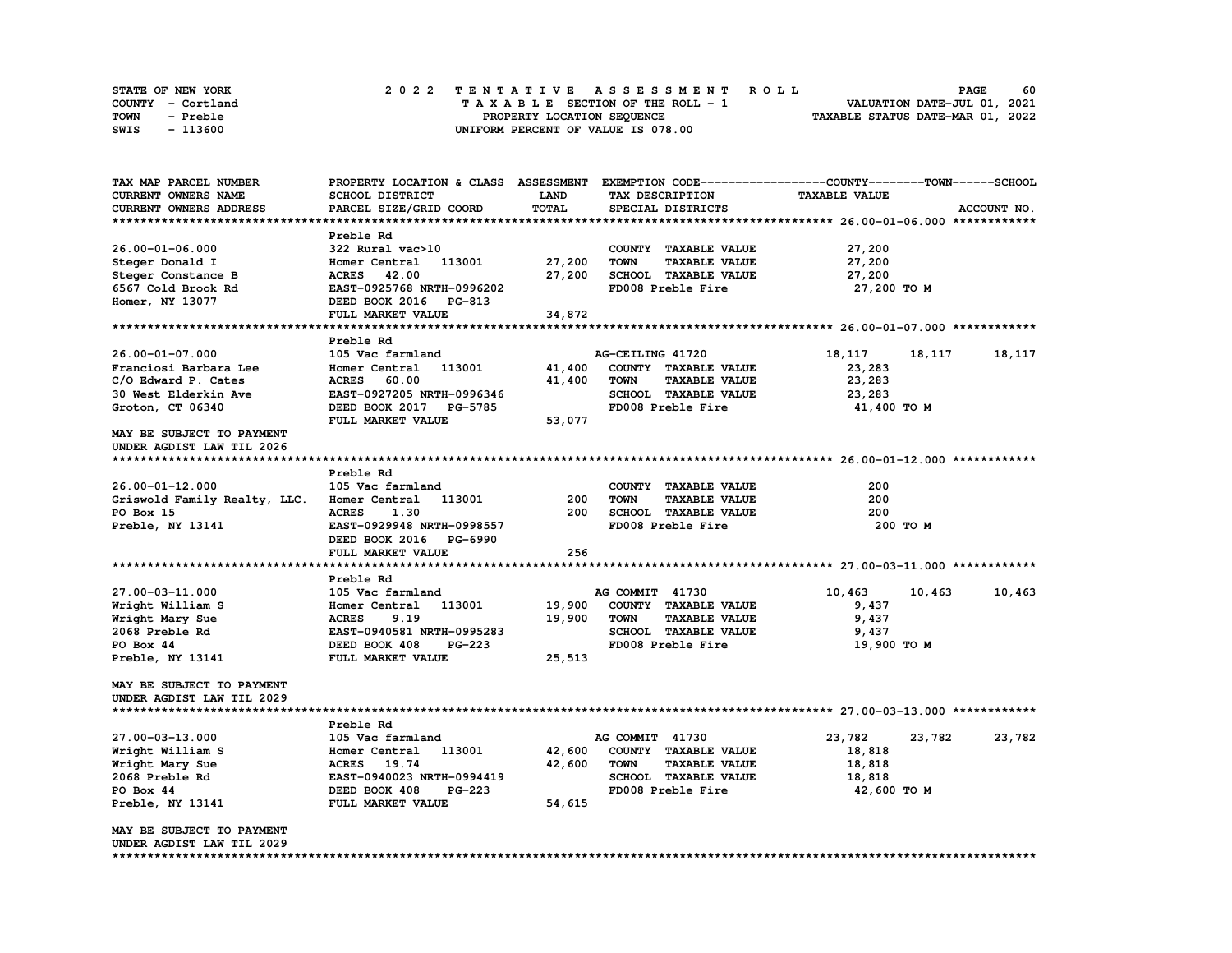| <b>STATE OF NEW YORK</b> | 2022 TENTATIVE ASSESSMENT ROLL     | 60<br><b>PAGE</b>                |
|--------------------------|------------------------------------|----------------------------------|
| COUNTY - Cortland        | TAXABLE SECTION OF THE ROLL - 1    | VALUATION DATE-JUL 01, 2021      |
| TOWN<br>- Preble         | PROPERTY LOCATION SEQUENCE         | TAXABLE STATUS DATE-MAR 01, 2022 |
| - 113600<br>SWIS         | UNIFORM PERCENT OF VALUE IS 078.00 |                                  |

| TAX MAP PARCEL NUMBER        | PROPERTY LOCATION & CLASS ASSESSMENT |             | EXEMPTION CODE------------------COUNTY-------TOWN------SCHOOL |                      |                  |
|------------------------------|--------------------------------------|-------------|---------------------------------------------------------------|----------------------|------------------|
| CURRENT OWNERS NAME          | <b>SCHOOL DISTRICT</b>               | <b>LAND</b> | TAX DESCRIPTION                                               | <b>TAXABLE VALUE</b> |                  |
| CURRENT OWNERS ADDRESS       | PARCEL SIZE/GRID COORD               | TOTAL       | SPECIAL DISTRICTS                                             |                      | ACCOUNT NO.      |
|                              |                                      |             |                                                               |                      |                  |
|                              | Preble Rd                            |             |                                                               |                      |                  |
| 26.00-01-06.000              | 322 Rural vac>10                     |             | COUNTY TAXABLE VALUE                                          | 27,200               |                  |
| Steger Donald I              | 113001<br>Homer Central              | 27,200      | <b>TAXABLE VALUE</b><br><b>TOWN</b>                           | 27,200               |                  |
| Steger Constance B           | 42.00<br><b>ACRES</b>                | 27,200      | SCHOOL TAXABLE VALUE                                          | 27,200               |                  |
| 6567 Cold Brook Rd           | EAST-0925768 NRTH-0996202            |             | FD008 Preble Fire                                             | 27,200 TO M          |                  |
|                              |                                      |             |                                                               |                      |                  |
| Homer, NY 13077              | DEED BOOK 2016 PG-813                |             |                                                               |                      |                  |
|                              | FULL MARKET VALUE                    | 34,872      |                                                               |                      |                  |
|                              |                                      |             |                                                               |                      |                  |
|                              | Preble Rd                            |             |                                                               |                      |                  |
| 26.00-01-07.000              | 105 Vac farmland                     |             | AG-CEILING 41720                                              | 18,117<br>18,117     | 18,117           |
| Franciosi Barbara Lee        | 113001<br>Homer Central              | 41,400      | COUNTY TAXABLE VALUE                                          | 23,283               |                  |
| C/O Edward P. Cates          | <b>ACRES</b> 60.00                   | 41,400      | <b>TOWN</b><br><b>TAXABLE VALUE</b>                           | 23,283               |                  |
| 30 West Elderkin Ave         | EAST-0927205 NRTH-0996346            |             | SCHOOL TAXABLE VALUE                                          | 23,283               |                  |
| Groton, CT 06340             | DEED BOOK 2017 PG-5785               |             | FD008 Preble Fire                                             | 41,400 TO M          |                  |
|                              | FULL MARKET VALUE                    | 53,077      |                                                               |                      |                  |
| MAY BE SUBJECT TO PAYMENT    |                                      |             |                                                               |                      |                  |
| UNDER AGDIST LAW TIL 2026    |                                      |             |                                                               |                      |                  |
|                              |                                      |             |                                                               |                      |                  |
|                              | Preble Rd                            |             |                                                               |                      |                  |
| $26.00 - 01 - 12.000$        | 105 Vac farmland                     |             | COUNTY TAXABLE VALUE                                          | 200                  |                  |
|                              | Homer Central<br>113001              | 200         | <b>TAXABLE VALUE</b><br><b>TOWN</b>                           | 200                  |                  |
| Griswold Family Realty, LLC. |                                      | 200         | SCHOOL TAXABLE VALUE                                          |                      |                  |
| PO Box 15                    | <b>ACRES</b><br>1.30                 |             |                                                               | 200                  |                  |
| Preble, NY 13141             | EAST-0929948 NRTH-0998557            |             | FD008 Preble Fire                                             | 200 TO M             |                  |
|                              | DEED BOOK 2016 PG-6990               |             |                                                               |                      |                  |
|                              | FULL MARKET VALUE                    | 256         |                                                               |                      |                  |
|                              |                                      |             |                                                               |                      |                  |
|                              | Preble Rd                            |             |                                                               |                      |                  |
| 27.00-03-11.000              | 105 Vac farmland                     |             | AG COMMIT 41730                                               | 10,463<br>10,463     | 10,463           |
| Wright William S             | 113001<br>Homer Central              | 19,900      | COUNTY TAXABLE VALUE                                          | 9,437                |                  |
| Wright Mary Sue              | <b>ACRES</b><br>9.19                 | 19,900      | <b>TOWN</b><br><b>TAXABLE VALUE</b>                           | 9,437                |                  |
| 2068 Preble Rd               | EAST-0940581 NRTH-0995283            |             | SCHOOL TAXABLE VALUE                                          | 9,437                |                  |
| PO Box 44                    | DEED BOOK 408<br><b>PG-223</b>       |             | FD008 Preble Fire                                             | 19,900 TO M          |                  |
| Preble, NY 13141             | FULL MARKET VALUE                    | 25,513      |                                                               |                      |                  |
|                              |                                      |             |                                                               |                      |                  |
| MAY BE SUBJECT TO PAYMENT    |                                      |             |                                                               |                      |                  |
| UNDER AGDIST LAW TIL 2029    |                                      |             |                                                               |                      |                  |
|                              |                                      |             |                                                               |                      |                  |
|                              | Preble Rd                            |             |                                                               |                      |                  |
|                              |                                      |             |                                                               |                      |                  |
| 27.00-03-13.000              | 105 Vac farmland                     |             | AG COMMIT 41730                                               | 23,782               | 23,782<br>23,782 |
| Wright William S             | Homer Central 113001                 | 42,600      | COUNTY TAXABLE VALUE                                          | 18,818               |                  |
| Wright Mary Sue              | ACRES 19.74                          | 42,600      | <b>TOWN</b><br><b>TAXABLE VALUE</b>                           | 18,818               |                  |
| 2068 Preble Rd               | EAST-0940023 NRTH-0994419            |             | <b>SCHOOL TAXABLE VALUE</b>                                   | 18,818               |                  |
| PO Box 44                    | DEED BOOK 408<br>$PG-223$            |             | FD008 Preble Fire                                             | 42,600 TO M          |                  |
| Preble, NY 13141             | FULL MARKET VALUE                    | 54,615      |                                                               |                      |                  |
|                              |                                      |             |                                                               |                      |                  |
| MAY BE SUBJECT TO PAYMENT    |                                      |             |                                                               |                      |                  |
| UNDER AGDIST LAW TIL 2029    |                                      |             |                                                               |                      |                  |
|                              |                                      |             |                                                               |                      |                  |
|                              |                                      |             |                                                               |                      |                  |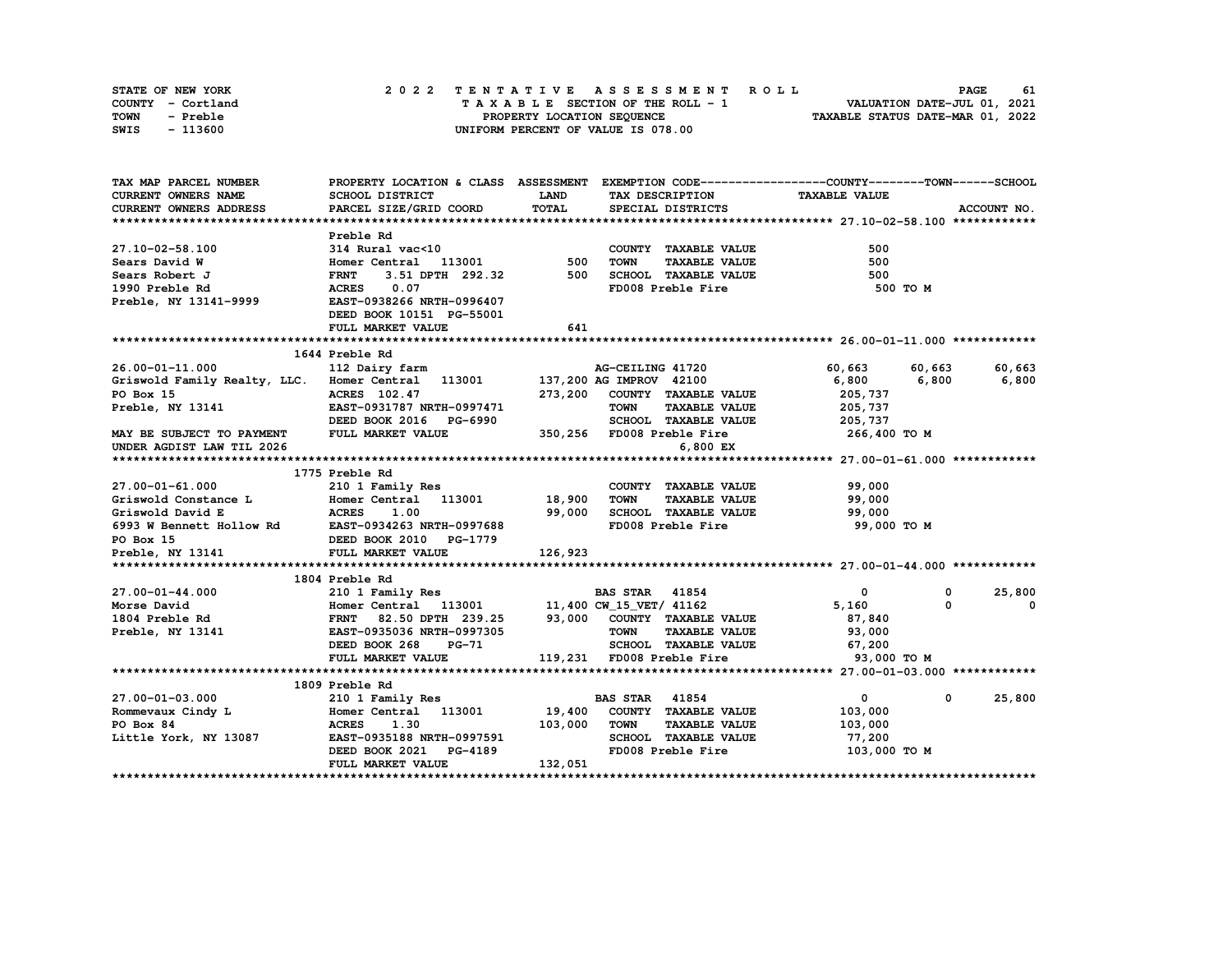| STATE OF NEW YORK | 2022 TENTATIVE ASSESSMENT ROLL     | 61<br><b>PAGE</b>                |
|-------------------|------------------------------------|----------------------------------|
| COUNTY - Cortland | TAXABLE SECTION OF THE ROLL - 1    | VALUATION DATE-JUL 01, 2021      |
| TOWN<br>- Preble  | PROPERTY LOCATION SEQUENCE         | TAXABLE STATUS DATE-MAR 01, 2022 |
| - 113600<br>SWIS  | UNIFORM PERCENT OF VALUE IS 078.00 |                                  |

| TAX MAP PARCEL NUMBER                                                     | PROPERTY LOCATION & CLASS ASSESSMENT EXEMPTION CODE-----------------COUNTY-------TOWN-----SCHOOL |             |                                     |                      |                       |
|---------------------------------------------------------------------------|--------------------------------------------------------------------------------------------------|-------------|-------------------------------------|----------------------|-----------------------|
| CURRENT OWNERS NAME                                                       | SCHOOL DISTRICT                                                                                  | <b>LAND</b> | TAX DESCRIPTION                     | <b>TAXABLE VALUE</b> |                       |
| <b>CURRENT OWNERS ADDRESS</b>                                             | PARCEL SIZE/GRID COORD                                                                           | TOTAL       | SPECIAL DISTRICTS                   |                      | ACCOUNT NO.           |
|                                                                           |                                                                                                  |             |                                     |                      |                       |
|                                                                           | Preble Rd                                                                                        |             |                                     |                      |                       |
| 27.10-02-58.100                                                           | 314 Rural vac<10                                                                                 |             | COUNTY TAXABLE VALUE                | 500                  |                       |
| Sears David W                                                             | Homer Central 113001 500                                                                         |             | <b>TOWN</b><br><b>TAXABLE VALUE</b> | 500                  |                       |
| Sears Robert J                                                            | 3.51 DPTH 292.32 500<br><b>FRNT</b>                                                              |             | SCHOOL TAXABLE VALUE                | 500                  |                       |
| 1990 Preble Rd                                                            | 0.07<br><b>ACRES</b>                                                                             |             | FD008 Preble Fire                   | 500 TO M             |                       |
| Preble, NY 13141-9999                                                     | EAST-0938266 NRTH-0996407                                                                        |             |                                     |                      |                       |
|                                                                           | DEED BOOK 10151 PG-55001                                                                         |             |                                     |                      |                       |
|                                                                           | FULL MARKET VALUE                                                                                | 641         |                                     |                      |                       |
|                                                                           |                                                                                                  |             |                                     |                      |                       |
|                                                                           | 1644 Preble Rd                                                                                   |             |                                     |                      |                       |
| 26.00-01-11.000                                                           | 112 Dairy farm                                                                                   |             | AG-CEILING 41720                    | 60,663<br>60,663     | 60,663                |
| Griswold Family Realty, LLC. Homer Central 113001 137,200 AG IMPROV 42100 |                                                                                                  |             |                                     | 6,800 6,800          | 6,800                 |
|                                                                           | ACRES 102.47                                                                                     | 273,200     | COUNTY TAXABLE VALUE                | 205,737              |                       |
| PO Box 15<br>Preble, NY 13141                                             | EAST-0931787 NRTH-0997471                                                                        |             | <b>TOWN</b><br><b>TAXABLE VALUE</b> | 205,737              |                       |
|                                                                           |                                                                                                  |             | SCHOOL TAXABLE VALUE 205, 737       |                      |                       |
| MAY BE SUBJECT TO PAYMENT                                                 | DEED BOOK 2016 PG-6990 SCHOOL TAXABLE VALUE<br>FULL MARKET VALUE 350,256 FD008 Preble Fire       |             |                                     | 266,400 то м         |                       |
| UNDER AGDIST LAW TIL 2026                                                 |                                                                                                  |             | 6,800 EX                            |                      |                       |
|                                                                           |                                                                                                  |             |                                     |                      |                       |
|                                                                           | 1775 Preble Rd                                                                                   |             |                                     |                      |                       |
| 27.00-01-61.000                                                           | 210 1 Family Res                                                                                 |             | COUNTY TAXABLE VALUE                | 99,000               |                       |
| Griswold Constance L                                                      | Homer Central 113001                                                                             | 18,900      | <b>TOWN</b><br><b>TAXABLE VALUE</b> | 99,000               |                       |
| Griswold David E                                                          | <b>ACRES</b><br>1.00                                                                             | 99,000      | SCHOOL TAXABLE VALUE                | 99,000               |                       |
| 6993 W Bennett Hollow Rd EAST-0934263 NRTH-0997688                        |                                                                                                  |             | FD008 Preble Fire                   | 99,000 TO M          |                       |
| PO Box 15                                                                 | DEED BOOK 2010 PG-1779                                                                           |             |                                     |                      |                       |
| Preble, NY 13141                                                          | FULL MARKET VALUE                                                                                | 126,923     |                                     |                      |                       |
|                                                                           |                                                                                                  |             |                                     |                      |                       |
|                                                                           | 1804 Preble Rd                                                                                   |             |                                     |                      |                       |
| 27.00-01-44.000                                                           | 210 1 Family Res                                                                                 |             | <b>BAS STAR</b> 41854               | 0                    | 25,800<br>0           |
| Morse David                                                               | Homer Central 113001 11,400 CW_15_VET/ 41162                                                     |             |                                     | 5,160                | $\Omega$<br>$\Omega$  |
| 1804 Preble Rd                                                            | FRNT 82.50 DPTH 239.25 93,000 COUNTY TAXABLE VALUE                                               |             |                                     | 87,840               |                       |
|                                                                           | EAST-0935036 NRTH-0997305                                                                        |             | <b>TOWN</b><br><b>TAXABLE VALUE</b> | 93,000               |                       |
| Preble, NY 13141                                                          | DEED BOOK 268<br>$PG-71$                                                                         |             |                                     |                      |                       |
|                                                                           |                                                                                                  |             | SCHOOL TAXABLE VALUE 67,200         | 93,000 TO M          |                       |
|                                                                           | FULL MARKET VALUE                                                                                |             | 119,231 FD008 Preble Fire           |                      |                       |
|                                                                           | 1809 Preble Rd                                                                                   |             |                                     |                      |                       |
|                                                                           |                                                                                                  |             | <b>BAS STAR 41854</b>               | $\bullet$            | 25,800<br>$\mathbf 0$ |
| 27.00-01-03.000                                                           | 210 1 Family Res<br>113001 19,400<br>Homer Central                                               |             | COUNTY TAXABLE VALUE                | 103,000              |                       |
| Rommevaux Cindy L                                                         |                                                                                                  | 103,000     | <b>TOWN</b>                         |                      |                       |
| PO Box 84<br>Little York, NY 13087                                        | <b>ACRES</b><br>1.30                                                                             |             | <b>TAXABLE VALUE</b>                | 103,000              |                       |
|                                                                           | EAST-0935188 NRTH-0997591                                                                        |             | SCHOOL TAXABLE VALUE                | 77,200               |                       |
|                                                                           | DEED BOOK 2021<br><b>PG-4189</b>                                                                 |             | FD008 Preble Fire 103,000 TO M      |                      |                       |
|                                                                           | FULL MARKET VALUE                                                                                | 132,051     |                                     |                      |                       |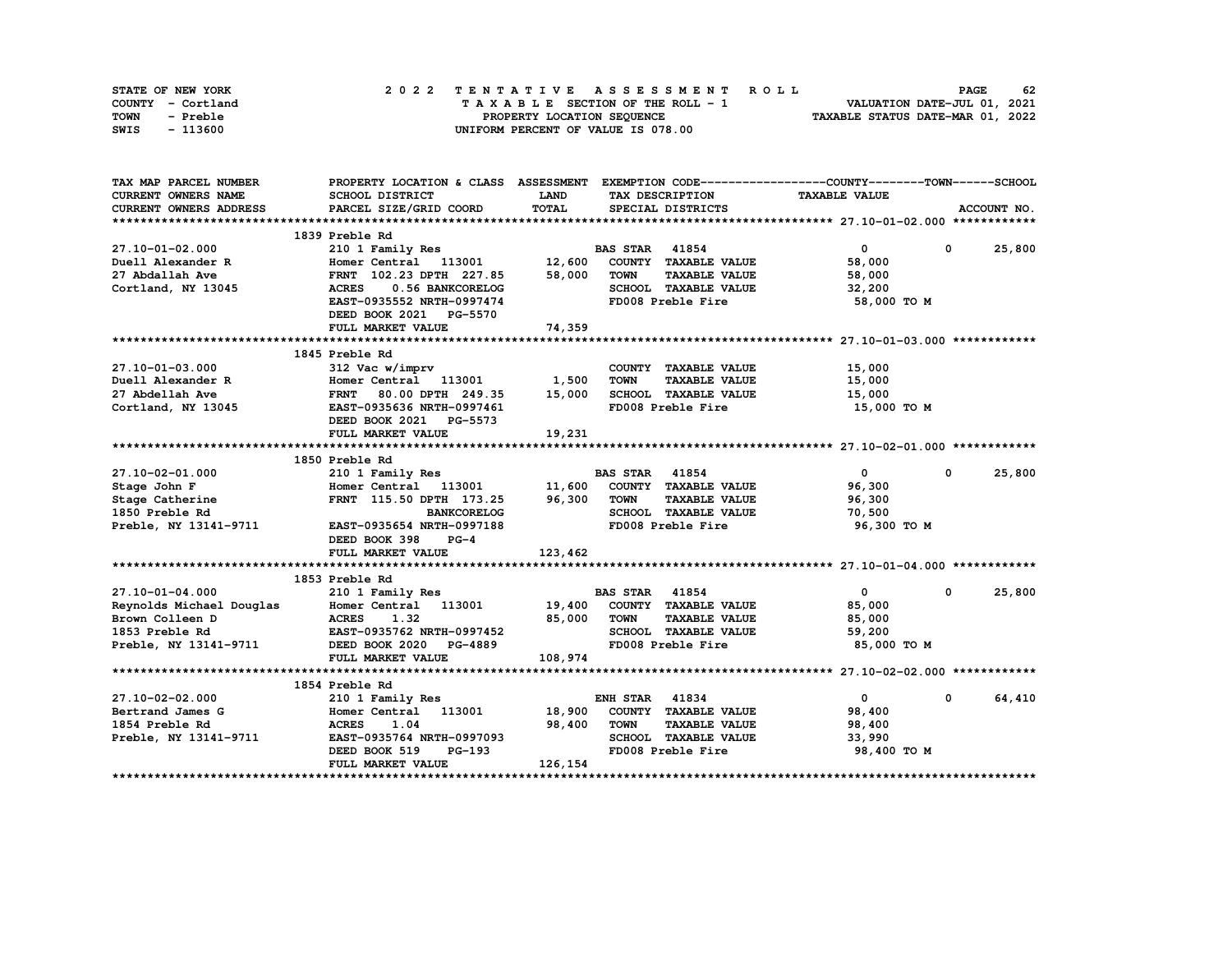| STATE OF NEW YORK | 2022 TENTATIVE ASSESSMENT ROLL     | 62<br><b>PAGE</b>                |
|-------------------|------------------------------------|----------------------------------|
| COUNTY - Cortland | TAXABLE SECTION OF THE ROLL - 1    | VALUATION DATE-JUL 01, 2021      |
| TOWN<br>- Preble  | PROPERTY LOCATION SEQUENCE         | TAXABLE STATUS DATE-MAR 01, 2022 |
| - 113600<br>SWIS  | UNIFORM PERCENT OF VALUE IS 078.00 |                                  |

| LAND<br><b>TAXABLE VALUE</b><br><b>CURRENT OWNERS NAME</b><br>SCHOOL DISTRICT<br>TAX DESCRIPTION<br>PARCEL SIZE/GRID COORD<br>TOTAL<br><b>CURRENT OWNERS ADDRESS</b><br>SPECIAL DISTRICTS<br>ACCOUNT NO.<br>1839 Preble Rd<br>$\overline{0}$<br>$0 \t 25,800$<br>27.10-01-02.000<br><b>BAS STAR 41854</b><br>210 1 Family Res<br>Homer Central 113001 12,600<br>COUNTY TAXABLE VALUE<br>58,000<br>Duell Alexander R<br>27 Abdallah Ave<br>FRNT 102.23 DPTH 227.85<br>58,000<br><b>TOWN</b><br><b>TAXABLE VALUE</b><br>58,000<br>SCHOOL TAXABLE VALUE<br>Cortland, NY 13045<br><b>ACRES</b><br>0.56 BANKCORELOG<br>32,200<br>EAST-0935552 NRTH-0997474<br>FD008 Preble Fire<br>58,000 TO M<br>DEED BOOK 2021 PG-5570<br>74,359<br>FULL MARKET VALUE<br>1845 Preble Rd<br>27.10-01-03.000<br>312 Vac w/imprv<br>COUNTY TAXABLE VALUE<br>15,000<br>Duell Alexander R<br>Homer Central 113001 1,500<br><b>TOWN</b><br><b>TAXABLE VALUE</b><br>15,000<br>27 Abdellah Ave                         FRNT     80.00 DPTH   249.35 Cortland, NY 13045                       EAST-0935636 NRTH-0997461<br>SCHOOL TAXABLE VALUE<br>15,000<br>15,000<br>FD008 Preble Fire<br>15,000 TO M<br>DEED BOOK 2021 PG-5573<br>FULL MARKET VALUE<br>19,231<br>1850 Preble Rd<br>25,800<br><b>BAS STAR 41854</b><br>$\mathbf{0}$<br>27.10-02-01.000<br>210 1 Family Res<br>$\mathbf{0}$<br>Homer Central 113001 11,600<br>COUNTY TAXABLE VALUE<br>96,300<br>Stage John F<br>FRNT 115.50 DPTH 173.25 96,300<br>TOWN<br><b>TAXABLE VALUE</b><br>Stage Catherine<br>96,300<br>1850 Preble Rd<br>SCHOOL TAXABLE VALUE<br><b>BANKCORELOG</b><br>70,500<br>Preble, NY 13141-9711<br>EAST-0935654 NRTH-0997188<br>FD008 Preble Fire<br>96,300 то м<br>DEED BOOK 398<br>$PG-4$<br>123,462<br>FULL MARKET VALUE<br>1853 Preble Rd<br>25,800<br>210 1 Family Res<br><b>BAS STAR 41854</b><br>$\mathbf{0}$<br>$^{\circ}$<br>27.10-01-04.000<br>Homer Central 113001 19,400<br>COUNTY TAXABLE VALUE<br>Reynolds Michael Douglas<br>85,000<br><b>ACRES</b><br><b>TAXABLE VALUE</b><br>Brown Colleen D<br>1.32<br>85,000<br><b>TOWN</b><br>85,000<br>ACRES 1.32<br>EAST-0935762 NRTH-0997452<br>SCHOOL TAXABLE VALUE<br>1853 Preble Rd<br>59,200<br>Preble, NY 13141-9711<br>FD008 Preble Fire<br>85,000 TO M<br>DEED BOOK 2020 PG-4889<br>FULL MARKET VALUE<br>108,974<br>1854 Preble Rd<br><b>ENH STAR 41834</b><br>64,410<br>$\mathbf{0}$<br>27.10-02-02.000<br>210 1 Family Res<br>$\mathbf 0$<br>Bertrand James G<br>Homer Central 113001<br>18,900<br>COUNTY TAXABLE VALUE<br>98,400<br>98,400<br><b>TOWN</b><br>1854 Preble Rd<br><b>ACRES</b><br>1.04<br><b>TAXABLE VALUE</b><br>98,400<br>SCHOOL TAXABLE VALUE<br>Preble, NY 13141-9711<br>EAST-0935764 NRTH-0997093<br>33,990<br>FD008 Preble Fire<br>DEED BOOK 519<br>PG-193<br>98,400 TO M<br>FULL MARKET VALUE<br>126,154 | TAX MAP PARCEL NUMBER | PROPERTY LOCATION & CLASS ASSESSMENT EXEMPTION CODE----------------COUNTY-------TOWN------SCHOOL |  |  |  |
|---------------------------------------------------------------------------------------------------------------------------------------------------------------------------------------------------------------------------------------------------------------------------------------------------------------------------------------------------------------------------------------------------------------------------------------------------------------------------------------------------------------------------------------------------------------------------------------------------------------------------------------------------------------------------------------------------------------------------------------------------------------------------------------------------------------------------------------------------------------------------------------------------------------------------------------------------------------------------------------------------------------------------------------------------------------------------------------------------------------------------------------------------------------------------------------------------------------------------------------------------------------------------------------------------------------------------------------------------------------------------------------------------------------------------------------------------------------------------------------------------------------------------------------------------------------------------------------------------------------------------------------------------------------------------------------------------------------------------------------------------------------------------------------------------------------------------------------------------------------------------------------------------------------------------------------------------------------------------------------------------------------------------------------------------------------------------------------------------------------------------------------------------------------------------------------------------------------------------------------------------------------------------------------------------------------------------------------------------------------------------------------------------------------------------------------------------------------------------------------------------------------------------------------------------------------------------------------------------------------------------------------------------------------------------------------------------------------------------------------------------------------------------------------------------------------------------------------------------|-----------------------|--------------------------------------------------------------------------------------------------|--|--|--|
|                                                                                                                                                                                                                                                                                                                                                                                                                                                                                                                                                                                                                                                                                                                                                                                                                                                                                                                                                                                                                                                                                                                                                                                                                                                                                                                                                                                                                                                                                                                                                                                                                                                                                                                                                                                                                                                                                                                                                                                                                                                                                                                                                                                                                                                                                                                                                                                                                                                                                                                                                                                                                                                                                                                                                                                                                                                   |                       |                                                                                                  |  |  |  |
|                                                                                                                                                                                                                                                                                                                                                                                                                                                                                                                                                                                                                                                                                                                                                                                                                                                                                                                                                                                                                                                                                                                                                                                                                                                                                                                                                                                                                                                                                                                                                                                                                                                                                                                                                                                                                                                                                                                                                                                                                                                                                                                                                                                                                                                                                                                                                                                                                                                                                                                                                                                                                                                                                                                                                                                                                                                   |                       |                                                                                                  |  |  |  |
|                                                                                                                                                                                                                                                                                                                                                                                                                                                                                                                                                                                                                                                                                                                                                                                                                                                                                                                                                                                                                                                                                                                                                                                                                                                                                                                                                                                                                                                                                                                                                                                                                                                                                                                                                                                                                                                                                                                                                                                                                                                                                                                                                                                                                                                                                                                                                                                                                                                                                                                                                                                                                                                                                                                                                                                                                                                   |                       |                                                                                                  |  |  |  |
|                                                                                                                                                                                                                                                                                                                                                                                                                                                                                                                                                                                                                                                                                                                                                                                                                                                                                                                                                                                                                                                                                                                                                                                                                                                                                                                                                                                                                                                                                                                                                                                                                                                                                                                                                                                                                                                                                                                                                                                                                                                                                                                                                                                                                                                                                                                                                                                                                                                                                                                                                                                                                                                                                                                                                                                                                                                   |                       |                                                                                                  |  |  |  |
|                                                                                                                                                                                                                                                                                                                                                                                                                                                                                                                                                                                                                                                                                                                                                                                                                                                                                                                                                                                                                                                                                                                                                                                                                                                                                                                                                                                                                                                                                                                                                                                                                                                                                                                                                                                                                                                                                                                                                                                                                                                                                                                                                                                                                                                                                                                                                                                                                                                                                                                                                                                                                                                                                                                                                                                                                                                   |                       |                                                                                                  |  |  |  |
|                                                                                                                                                                                                                                                                                                                                                                                                                                                                                                                                                                                                                                                                                                                                                                                                                                                                                                                                                                                                                                                                                                                                                                                                                                                                                                                                                                                                                                                                                                                                                                                                                                                                                                                                                                                                                                                                                                                                                                                                                                                                                                                                                                                                                                                                                                                                                                                                                                                                                                                                                                                                                                                                                                                                                                                                                                                   |                       |                                                                                                  |  |  |  |
|                                                                                                                                                                                                                                                                                                                                                                                                                                                                                                                                                                                                                                                                                                                                                                                                                                                                                                                                                                                                                                                                                                                                                                                                                                                                                                                                                                                                                                                                                                                                                                                                                                                                                                                                                                                                                                                                                                                                                                                                                                                                                                                                                                                                                                                                                                                                                                                                                                                                                                                                                                                                                                                                                                                                                                                                                                                   |                       |                                                                                                  |  |  |  |
|                                                                                                                                                                                                                                                                                                                                                                                                                                                                                                                                                                                                                                                                                                                                                                                                                                                                                                                                                                                                                                                                                                                                                                                                                                                                                                                                                                                                                                                                                                                                                                                                                                                                                                                                                                                                                                                                                                                                                                                                                                                                                                                                                                                                                                                                                                                                                                                                                                                                                                                                                                                                                                                                                                                                                                                                                                                   |                       |                                                                                                  |  |  |  |
|                                                                                                                                                                                                                                                                                                                                                                                                                                                                                                                                                                                                                                                                                                                                                                                                                                                                                                                                                                                                                                                                                                                                                                                                                                                                                                                                                                                                                                                                                                                                                                                                                                                                                                                                                                                                                                                                                                                                                                                                                                                                                                                                                                                                                                                                                                                                                                                                                                                                                                                                                                                                                                                                                                                                                                                                                                                   |                       |                                                                                                  |  |  |  |
|                                                                                                                                                                                                                                                                                                                                                                                                                                                                                                                                                                                                                                                                                                                                                                                                                                                                                                                                                                                                                                                                                                                                                                                                                                                                                                                                                                                                                                                                                                                                                                                                                                                                                                                                                                                                                                                                                                                                                                                                                                                                                                                                                                                                                                                                                                                                                                                                                                                                                                                                                                                                                                                                                                                                                                                                                                                   |                       |                                                                                                  |  |  |  |
|                                                                                                                                                                                                                                                                                                                                                                                                                                                                                                                                                                                                                                                                                                                                                                                                                                                                                                                                                                                                                                                                                                                                                                                                                                                                                                                                                                                                                                                                                                                                                                                                                                                                                                                                                                                                                                                                                                                                                                                                                                                                                                                                                                                                                                                                                                                                                                                                                                                                                                                                                                                                                                                                                                                                                                                                                                                   |                       |                                                                                                  |  |  |  |
|                                                                                                                                                                                                                                                                                                                                                                                                                                                                                                                                                                                                                                                                                                                                                                                                                                                                                                                                                                                                                                                                                                                                                                                                                                                                                                                                                                                                                                                                                                                                                                                                                                                                                                                                                                                                                                                                                                                                                                                                                                                                                                                                                                                                                                                                                                                                                                                                                                                                                                                                                                                                                                                                                                                                                                                                                                                   |                       |                                                                                                  |  |  |  |
|                                                                                                                                                                                                                                                                                                                                                                                                                                                                                                                                                                                                                                                                                                                                                                                                                                                                                                                                                                                                                                                                                                                                                                                                                                                                                                                                                                                                                                                                                                                                                                                                                                                                                                                                                                                                                                                                                                                                                                                                                                                                                                                                                                                                                                                                                                                                                                                                                                                                                                                                                                                                                                                                                                                                                                                                                                                   |                       |                                                                                                  |  |  |  |
|                                                                                                                                                                                                                                                                                                                                                                                                                                                                                                                                                                                                                                                                                                                                                                                                                                                                                                                                                                                                                                                                                                                                                                                                                                                                                                                                                                                                                                                                                                                                                                                                                                                                                                                                                                                                                                                                                                                                                                                                                                                                                                                                                                                                                                                                                                                                                                                                                                                                                                                                                                                                                                                                                                                                                                                                                                                   |                       |                                                                                                  |  |  |  |
|                                                                                                                                                                                                                                                                                                                                                                                                                                                                                                                                                                                                                                                                                                                                                                                                                                                                                                                                                                                                                                                                                                                                                                                                                                                                                                                                                                                                                                                                                                                                                                                                                                                                                                                                                                                                                                                                                                                                                                                                                                                                                                                                                                                                                                                                                                                                                                                                                                                                                                                                                                                                                                                                                                                                                                                                                                                   |                       |                                                                                                  |  |  |  |
|                                                                                                                                                                                                                                                                                                                                                                                                                                                                                                                                                                                                                                                                                                                                                                                                                                                                                                                                                                                                                                                                                                                                                                                                                                                                                                                                                                                                                                                                                                                                                                                                                                                                                                                                                                                                                                                                                                                                                                                                                                                                                                                                                                                                                                                                                                                                                                                                                                                                                                                                                                                                                                                                                                                                                                                                                                                   |                       |                                                                                                  |  |  |  |
|                                                                                                                                                                                                                                                                                                                                                                                                                                                                                                                                                                                                                                                                                                                                                                                                                                                                                                                                                                                                                                                                                                                                                                                                                                                                                                                                                                                                                                                                                                                                                                                                                                                                                                                                                                                                                                                                                                                                                                                                                                                                                                                                                                                                                                                                                                                                                                                                                                                                                                                                                                                                                                                                                                                                                                                                                                                   |                       |                                                                                                  |  |  |  |
|                                                                                                                                                                                                                                                                                                                                                                                                                                                                                                                                                                                                                                                                                                                                                                                                                                                                                                                                                                                                                                                                                                                                                                                                                                                                                                                                                                                                                                                                                                                                                                                                                                                                                                                                                                                                                                                                                                                                                                                                                                                                                                                                                                                                                                                                                                                                                                                                                                                                                                                                                                                                                                                                                                                                                                                                                                                   |                       |                                                                                                  |  |  |  |
|                                                                                                                                                                                                                                                                                                                                                                                                                                                                                                                                                                                                                                                                                                                                                                                                                                                                                                                                                                                                                                                                                                                                                                                                                                                                                                                                                                                                                                                                                                                                                                                                                                                                                                                                                                                                                                                                                                                                                                                                                                                                                                                                                                                                                                                                                                                                                                                                                                                                                                                                                                                                                                                                                                                                                                                                                                                   |                       |                                                                                                  |  |  |  |
|                                                                                                                                                                                                                                                                                                                                                                                                                                                                                                                                                                                                                                                                                                                                                                                                                                                                                                                                                                                                                                                                                                                                                                                                                                                                                                                                                                                                                                                                                                                                                                                                                                                                                                                                                                                                                                                                                                                                                                                                                                                                                                                                                                                                                                                                                                                                                                                                                                                                                                                                                                                                                                                                                                                                                                                                                                                   |                       |                                                                                                  |  |  |  |
|                                                                                                                                                                                                                                                                                                                                                                                                                                                                                                                                                                                                                                                                                                                                                                                                                                                                                                                                                                                                                                                                                                                                                                                                                                                                                                                                                                                                                                                                                                                                                                                                                                                                                                                                                                                                                                                                                                                                                                                                                                                                                                                                                                                                                                                                                                                                                                                                                                                                                                                                                                                                                                                                                                                                                                                                                                                   |                       |                                                                                                  |  |  |  |
|                                                                                                                                                                                                                                                                                                                                                                                                                                                                                                                                                                                                                                                                                                                                                                                                                                                                                                                                                                                                                                                                                                                                                                                                                                                                                                                                                                                                                                                                                                                                                                                                                                                                                                                                                                                                                                                                                                                                                                                                                                                                                                                                                                                                                                                                                                                                                                                                                                                                                                                                                                                                                                                                                                                                                                                                                                                   |                       |                                                                                                  |  |  |  |
|                                                                                                                                                                                                                                                                                                                                                                                                                                                                                                                                                                                                                                                                                                                                                                                                                                                                                                                                                                                                                                                                                                                                                                                                                                                                                                                                                                                                                                                                                                                                                                                                                                                                                                                                                                                                                                                                                                                                                                                                                                                                                                                                                                                                                                                                                                                                                                                                                                                                                                                                                                                                                                                                                                                                                                                                                                                   |                       |                                                                                                  |  |  |  |
|                                                                                                                                                                                                                                                                                                                                                                                                                                                                                                                                                                                                                                                                                                                                                                                                                                                                                                                                                                                                                                                                                                                                                                                                                                                                                                                                                                                                                                                                                                                                                                                                                                                                                                                                                                                                                                                                                                                                                                                                                                                                                                                                                                                                                                                                                                                                                                                                                                                                                                                                                                                                                                                                                                                                                                                                                                                   |                       |                                                                                                  |  |  |  |
|                                                                                                                                                                                                                                                                                                                                                                                                                                                                                                                                                                                                                                                                                                                                                                                                                                                                                                                                                                                                                                                                                                                                                                                                                                                                                                                                                                                                                                                                                                                                                                                                                                                                                                                                                                                                                                                                                                                                                                                                                                                                                                                                                                                                                                                                                                                                                                                                                                                                                                                                                                                                                                                                                                                                                                                                                                                   |                       |                                                                                                  |  |  |  |
|                                                                                                                                                                                                                                                                                                                                                                                                                                                                                                                                                                                                                                                                                                                                                                                                                                                                                                                                                                                                                                                                                                                                                                                                                                                                                                                                                                                                                                                                                                                                                                                                                                                                                                                                                                                                                                                                                                                                                                                                                                                                                                                                                                                                                                                                                                                                                                                                                                                                                                                                                                                                                                                                                                                                                                                                                                                   |                       |                                                                                                  |  |  |  |
|                                                                                                                                                                                                                                                                                                                                                                                                                                                                                                                                                                                                                                                                                                                                                                                                                                                                                                                                                                                                                                                                                                                                                                                                                                                                                                                                                                                                                                                                                                                                                                                                                                                                                                                                                                                                                                                                                                                                                                                                                                                                                                                                                                                                                                                                                                                                                                                                                                                                                                                                                                                                                                                                                                                                                                                                                                                   |                       |                                                                                                  |  |  |  |
|                                                                                                                                                                                                                                                                                                                                                                                                                                                                                                                                                                                                                                                                                                                                                                                                                                                                                                                                                                                                                                                                                                                                                                                                                                                                                                                                                                                                                                                                                                                                                                                                                                                                                                                                                                                                                                                                                                                                                                                                                                                                                                                                                                                                                                                                                                                                                                                                                                                                                                                                                                                                                                                                                                                                                                                                                                                   |                       |                                                                                                  |  |  |  |
|                                                                                                                                                                                                                                                                                                                                                                                                                                                                                                                                                                                                                                                                                                                                                                                                                                                                                                                                                                                                                                                                                                                                                                                                                                                                                                                                                                                                                                                                                                                                                                                                                                                                                                                                                                                                                                                                                                                                                                                                                                                                                                                                                                                                                                                                                                                                                                                                                                                                                                                                                                                                                                                                                                                                                                                                                                                   |                       |                                                                                                  |  |  |  |
|                                                                                                                                                                                                                                                                                                                                                                                                                                                                                                                                                                                                                                                                                                                                                                                                                                                                                                                                                                                                                                                                                                                                                                                                                                                                                                                                                                                                                                                                                                                                                                                                                                                                                                                                                                                                                                                                                                                                                                                                                                                                                                                                                                                                                                                                                                                                                                                                                                                                                                                                                                                                                                                                                                                                                                                                                                                   |                       |                                                                                                  |  |  |  |
|                                                                                                                                                                                                                                                                                                                                                                                                                                                                                                                                                                                                                                                                                                                                                                                                                                                                                                                                                                                                                                                                                                                                                                                                                                                                                                                                                                                                                                                                                                                                                                                                                                                                                                                                                                                                                                                                                                                                                                                                                                                                                                                                                                                                                                                                                                                                                                                                                                                                                                                                                                                                                                                                                                                                                                                                                                                   |                       |                                                                                                  |  |  |  |
|                                                                                                                                                                                                                                                                                                                                                                                                                                                                                                                                                                                                                                                                                                                                                                                                                                                                                                                                                                                                                                                                                                                                                                                                                                                                                                                                                                                                                                                                                                                                                                                                                                                                                                                                                                                                                                                                                                                                                                                                                                                                                                                                                                                                                                                                                                                                                                                                                                                                                                                                                                                                                                                                                                                                                                                                                                                   |                       |                                                                                                  |  |  |  |
|                                                                                                                                                                                                                                                                                                                                                                                                                                                                                                                                                                                                                                                                                                                                                                                                                                                                                                                                                                                                                                                                                                                                                                                                                                                                                                                                                                                                                                                                                                                                                                                                                                                                                                                                                                                                                                                                                                                                                                                                                                                                                                                                                                                                                                                                                                                                                                                                                                                                                                                                                                                                                                                                                                                                                                                                                                                   |                       |                                                                                                  |  |  |  |
|                                                                                                                                                                                                                                                                                                                                                                                                                                                                                                                                                                                                                                                                                                                                                                                                                                                                                                                                                                                                                                                                                                                                                                                                                                                                                                                                                                                                                                                                                                                                                                                                                                                                                                                                                                                                                                                                                                                                                                                                                                                                                                                                                                                                                                                                                                                                                                                                                                                                                                                                                                                                                                                                                                                                                                                                                                                   |                       |                                                                                                  |  |  |  |
|                                                                                                                                                                                                                                                                                                                                                                                                                                                                                                                                                                                                                                                                                                                                                                                                                                                                                                                                                                                                                                                                                                                                                                                                                                                                                                                                                                                                                                                                                                                                                                                                                                                                                                                                                                                                                                                                                                                                                                                                                                                                                                                                                                                                                                                                                                                                                                                                                                                                                                                                                                                                                                                                                                                                                                                                                                                   |                       |                                                                                                  |  |  |  |
|                                                                                                                                                                                                                                                                                                                                                                                                                                                                                                                                                                                                                                                                                                                                                                                                                                                                                                                                                                                                                                                                                                                                                                                                                                                                                                                                                                                                                                                                                                                                                                                                                                                                                                                                                                                                                                                                                                                                                                                                                                                                                                                                                                                                                                                                                                                                                                                                                                                                                                                                                                                                                                                                                                                                                                                                                                                   |                       |                                                                                                  |  |  |  |
|                                                                                                                                                                                                                                                                                                                                                                                                                                                                                                                                                                                                                                                                                                                                                                                                                                                                                                                                                                                                                                                                                                                                                                                                                                                                                                                                                                                                                                                                                                                                                                                                                                                                                                                                                                                                                                                                                                                                                                                                                                                                                                                                                                                                                                                                                                                                                                                                                                                                                                                                                                                                                                                                                                                                                                                                                                                   |                       |                                                                                                  |  |  |  |
|                                                                                                                                                                                                                                                                                                                                                                                                                                                                                                                                                                                                                                                                                                                                                                                                                                                                                                                                                                                                                                                                                                                                                                                                                                                                                                                                                                                                                                                                                                                                                                                                                                                                                                                                                                                                                                                                                                                                                                                                                                                                                                                                                                                                                                                                                                                                                                                                                                                                                                                                                                                                                                                                                                                                                                                                                                                   |                       |                                                                                                  |  |  |  |
|                                                                                                                                                                                                                                                                                                                                                                                                                                                                                                                                                                                                                                                                                                                                                                                                                                                                                                                                                                                                                                                                                                                                                                                                                                                                                                                                                                                                                                                                                                                                                                                                                                                                                                                                                                                                                                                                                                                                                                                                                                                                                                                                                                                                                                                                                                                                                                                                                                                                                                                                                                                                                                                                                                                                                                                                                                                   |                       |                                                                                                  |  |  |  |
|                                                                                                                                                                                                                                                                                                                                                                                                                                                                                                                                                                                                                                                                                                                                                                                                                                                                                                                                                                                                                                                                                                                                                                                                                                                                                                                                                                                                                                                                                                                                                                                                                                                                                                                                                                                                                                                                                                                                                                                                                                                                                                                                                                                                                                                                                                                                                                                                                                                                                                                                                                                                                                                                                                                                                                                                                                                   |                       |                                                                                                  |  |  |  |
|                                                                                                                                                                                                                                                                                                                                                                                                                                                                                                                                                                                                                                                                                                                                                                                                                                                                                                                                                                                                                                                                                                                                                                                                                                                                                                                                                                                                                                                                                                                                                                                                                                                                                                                                                                                                                                                                                                                                                                                                                                                                                                                                                                                                                                                                                                                                                                                                                                                                                                                                                                                                                                                                                                                                                                                                                                                   |                       |                                                                                                  |  |  |  |
|                                                                                                                                                                                                                                                                                                                                                                                                                                                                                                                                                                                                                                                                                                                                                                                                                                                                                                                                                                                                                                                                                                                                                                                                                                                                                                                                                                                                                                                                                                                                                                                                                                                                                                                                                                                                                                                                                                                                                                                                                                                                                                                                                                                                                                                                                                                                                                                                                                                                                                                                                                                                                                                                                                                                                                                                                                                   |                       |                                                                                                  |  |  |  |
|                                                                                                                                                                                                                                                                                                                                                                                                                                                                                                                                                                                                                                                                                                                                                                                                                                                                                                                                                                                                                                                                                                                                                                                                                                                                                                                                                                                                                                                                                                                                                                                                                                                                                                                                                                                                                                                                                                                                                                                                                                                                                                                                                                                                                                                                                                                                                                                                                                                                                                                                                                                                                                                                                                                                                                                                                                                   |                       |                                                                                                  |  |  |  |
|                                                                                                                                                                                                                                                                                                                                                                                                                                                                                                                                                                                                                                                                                                                                                                                                                                                                                                                                                                                                                                                                                                                                                                                                                                                                                                                                                                                                                                                                                                                                                                                                                                                                                                                                                                                                                                                                                                                                                                                                                                                                                                                                                                                                                                                                                                                                                                                                                                                                                                                                                                                                                                                                                                                                                                                                                                                   |                       |                                                                                                  |  |  |  |
|                                                                                                                                                                                                                                                                                                                                                                                                                                                                                                                                                                                                                                                                                                                                                                                                                                                                                                                                                                                                                                                                                                                                                                                                                                                                                                                                                                                                                                                                                                                                                                                                                                                                                                                                                                                                                                                                                                                                                                                                                                                                                                                                                                                                                                                                                                                                                                                                                                                                                                                                                                                                                                                                                                                                                                                                                                                   |                       |                                                                                                  |  |  |  |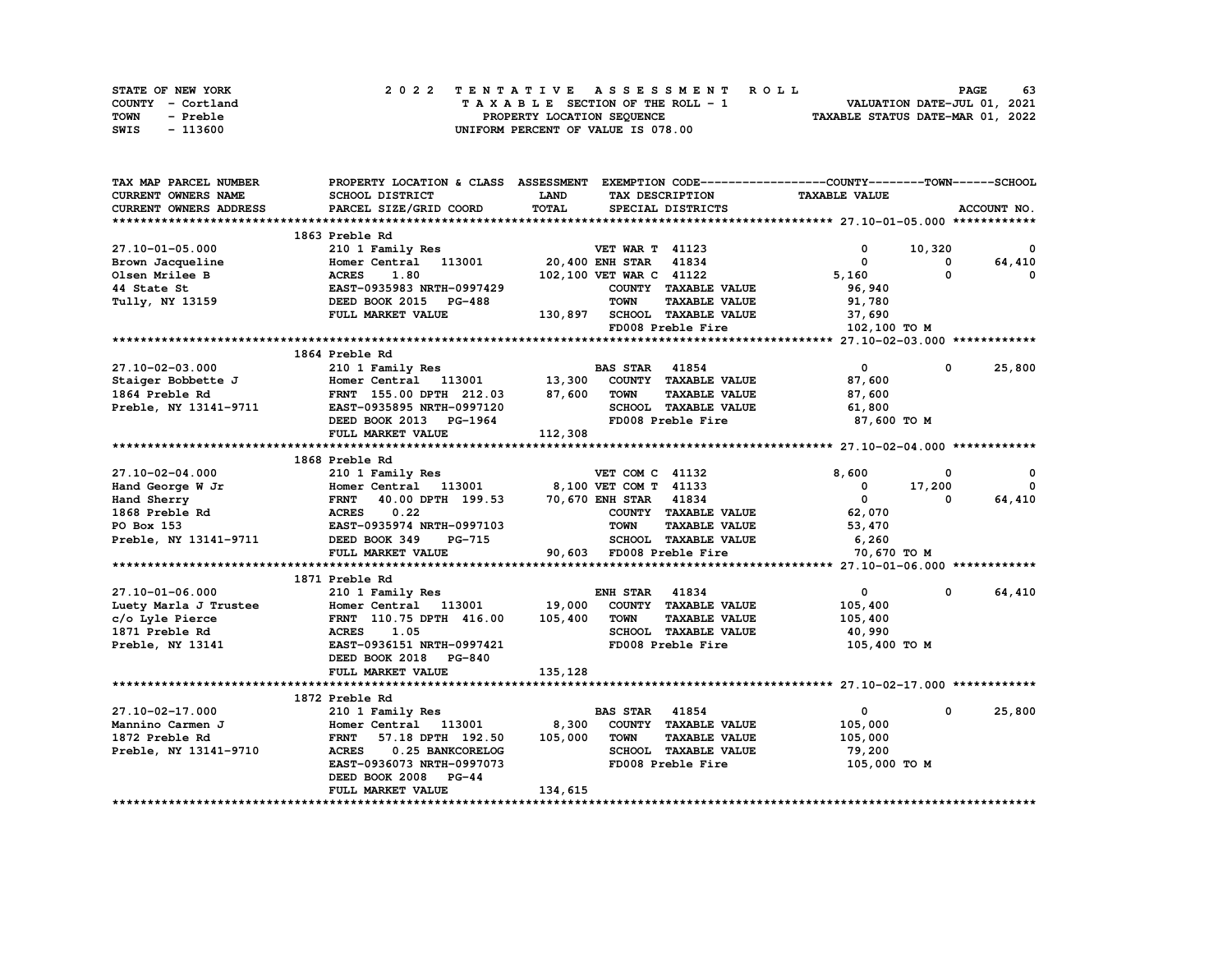| STATE OF NEW YORK | 2022 TENTATIVE ASSESSMENT ROLL     | 63<br><b>PAGE</b>                |
|-------------------|------------------------------------|----------------------------------|
| COUNTY - Cortland | TAXABLE SECTION OF THE ROLL - 1    | VALUATION DATE-JUL 01, 2021      |
| TOWN<br>- Preble  | PROPERTY LOCATION SEQUENCE         | TAXABLE STATUS DATE-MAR 01, 2022 |
| - 113600<br>SWIS  | UNIFORM PERCENT OF VALUE IS 078.00 |                                  |

| TAX MAP PARCEL NUMBER                   | PROPERTY LOCATION & CLASS ASSESSMENT EXEMPTION CODE----------------COUNTY-------TOWN-----SCHOOL                                                                                                         |             |                          |                              |                                                       |              |             |
|-----------------------------------------|---------------------------------------------------------------------------------------------------------------------------------------------------------------------------------------------------------|-------------|--------------------------|------------------------------|-------------------------------------------------------|--------------|-------------|
| <b>CURRENT OWNERS NAME</b>              | SCHOOL DISTRICT                                                                                                                                                                                         | <b>LAND</b> | TAX DESCRIPTION          |                              | <b>TAXABLE VALUE</b>                                  |              |             |
| CURRENT OWNERS ADDRESS                  | PARCEL SIZE/GRID COORD                                                                                                                                                                                  | TOTAL       | SPECIAL DISTRICTS        |                              |                                                       |              | ACCOUNT NO. |
|                                         |                                                                                                                                                                                                         |             |                          |                              |                                                       |              |             |
|                                         | 1863 Preble Rd                                                                                                                                                                                          |             |                          |                              |                                                       |              |             |
| 27.10-01-05.000                         | 210 1 Family Res                                                                                                                                                                                        |             | <b>VET WAR T 41123</b>   |                              | 0                                                     | 10,320       | 0           |
| Brown Jacqueline                        | Homer Central 113001                                                                                                                                                                                    |             | 20,400 ENH STAR 41834    |                              | $^{\circ}$                                            | 0            | 64,410      |
| Olsen Mrilee B                          | <b>ACRES</b><br>1.80                                                                                                                                                                                    |             | 102,100 VET WAR C 41122  |                              | 5,160                                                 | $\mathbf{0}$ | $^{\circ}$  |
| 44 State St                             | EAST-0935983 NRTH-0997429                                                                                                                                                                               |             |                          | COUNTY TAXABLE VALUE         | 96,940                                                |              |             |
| Tully, NY 13159                         | EAST-0935983 NRTH-099742<br>DEED BOOK 2015 PG-488                                                                                                                                                       |             | <b>TOWN</b>              | <b>TAXABLE VALUE</b>         | 91,780                                                |              |             |
|                                         | FULL MARKET VALUE                                                                                                                                                                                       |             |                          | 130,897 SCHOOL TAXABLE VALUE | 37,690                                                |              |             |
|                                         |                                                                                                                                                                                                         |             | FD008 Preble Fire        |                              | 102,100 TO M                                          |              |             |
|                                         |                                                                                                                                                                                                         |             |                          |                              |                                                       |              |             |
|                                         | 1864 Preble Rd                                                                                                                                                                                          |             |                          |                              |                                                       |              |             |
| 27.10-02-03.000                         | 210 1 Family Res                                                                                                                                                                                        |             | <b>BAS STAR 41854</b>    |                              | $\mathbf{0}$                                          | $\mathbf 0$  | 25,800      |
|                                         |                                                                                                                                                                                                         |             |                          | COUNTY TAXABLE VALUE         | 87,600                                                |              |             |
| Staiger Bobbette J                      | Homer Central 113001 13,300<br>FRNT 155.00 DPTH 212.03 87,600                                                                                                                                           |             | TOWN                     | <b>TAXABLE VALUE</b>         |                                                       |              |             |
| 1864 Preble Rd<br>Preble, NY 13141-9711 |                                                                                                                                                                                                         |             |                          |                              | 87,600                                                |              |             |
|                                         | EAST-0935895 NRTH-0997120                                                                                                                                                                               |             |                          | SCHOOL TAXABLE VALUE         | 61,800                                                |              |             |
|                                         | DEED BOOK 2013 PG-1964                                                                                                                                                                                  | 112,308     | FD008 Preble Fire        |                              | 87,600 то м                                           |              |             |
|                                         | FULL MARKET VALUE                                                                                                                                                                                       |             |                          |                              |                                                       |              |             |
|                                         |                                                                                                                                                                                                         |             |                          |                              |                                                       |              |             |
|                                         | 1868 Preble Rd                                                                                                                                                                                          |             |                          |                              |                                                       |              |             |
| 27.10-02-04.000                         |                                                                                                                                                                                                         |             |                          |                              | 8,600                                                 | 0            | 0           |
| Hand George W Jr                        | 210 1 Family Res<br>Homer Central 113001 8,100 VET COM T 41133<br>FRNT 40.00 DPTH 199.53 70,670 ENH STAR 41834<br>ACRES 0.22 COUNTY TAXABLE<br>EAST-0935974 NRTH-0997103 TOWN TAXABLE<br>SCHOOL TAXABLE |             |                          |                              | $\mathbf 0$                                           | 17,200       | $^{\circ}$  |
| Hand Sherry                             |                                                                                                                                                                                                         |             |                          |                              | $\mathbf{0}$                                          | 0            | 64,410      |
| 1868 Preble Rd<br>PO Box 153            |                                                                                                                                                                                                         |             |                          | COUNTY TAXABLE VALUE         | 62,070                                                |              |             |
|                                         |                                                                                                                                                                                                         |             |                          | <b>TAXABLE VALUE</b>         | 53,470                                                |              |             |
| Preble, NY 13141-9711 DEED BOOK 349     | <b>PG-715</b>                                                                                                                                                                                           |             |                          |                              | SCHOOL TAXABLE VALUE 6,260<br>FD008 Preble Fire 70,67 |              |             |
|                                         | FULL MARKET VALUE                                                                                                                                                                                       |             | 90,603 FD008 Preble Fire |                              | 70,670 TO M                                           |              |             |
|                                         |                                                                                                                                                                                                         |             |                          |                              |                                                       |              |             |
|                                         |                                                                                                                                                                                                         |             |                          |                              |                                                       |              |             |
|                                         |                                                                                                                                                                                                         |             | <b>ENH STAR 41834</b>    |                              | $\mathbf{0}$                                          | 0            | 64,410      |
|                                         | Homer Central 113001 19,000 COUNTY TAXABLE VALUE                                                                                                                                                        |             |                          |                              | 105,400                                               |              |             |
|                                         | FRNT 110.75 DPTH 416.00 105,400                                                                                                                                                                         |             | <b>TOWN</b>              | <b>TAXABLE VALUE</b>         | 105,400                                               |              |             |
|                                         |                                                                                                                                                                                                         |             |                          | SCHOOL TAXABLE VALUE         | 40,990                                                |              |             |
|                                         |                                                                                                                                                                                                         |             | FD008 Preble Fire        |                              | 105,400 TO M                                          |              |             |
|                                         |                                                                                                                                                                                                         |             |                          |                              |                                                       |              |             |
|                                         |                                                                                                                                                                                                         | 135,128     |                          |                              |                                                       |              |             |
|                                         |                                                                                                                                                                                                         |             |                          |                              |                                                       |              |             |
|                                         | 1872 Preble Rd                                                                                                                                                                                          |             |                          |                              |                                                       |              |             |
| 27.10-02-17.000                         | 210 1 Family Res                                                                                                                                                                                        |             | <b>BAS STAR 41854</b>    |                              | $\mathbf{0}$                                          | $^{\circ}$   | 25,800      |
| Mannino Carmen J                        | Homer Central 113001 8,300                                                                                                                                                                              |             |                          | COUNTY TAXABLE VALUE         | 105,000                                               |              |             |
| 1872 Preble Rd                          | 57.18 DPTH 192.50 105,000<br><b>FRNT</b>                                                                                                                                                                |             | TOWN                     | <b>TAXABLE VALUE</b>         | 105,000                                               |              |             |
| Preble, NY 13141-9710                   | <b>ACRES</b><br>0.25 BANKCORELOG                                                                                                                                                                        |             |                          | SCHOOL TAXABLE VALUE         | 79,200                                                |              |             |
|                                         | EAST-0936073 NRTH-0997073                                                                                                                                                                               |             | FD008 Preble Fire        |                              | 105,000 TO M                                          |              |             |
|                                         | DEED BOOK 2008 PG-44                                                                                                                                                                                    |             |                          |                              |                                                       |              |             |
|                                         | FULL MARKET VALUE                                                                                                                                                                                       | 134,615     |                          |                              |                                                       |              |             |
|                                         |                                                                                                                                                                                                         |             |                          |                              |                                                       |              |             |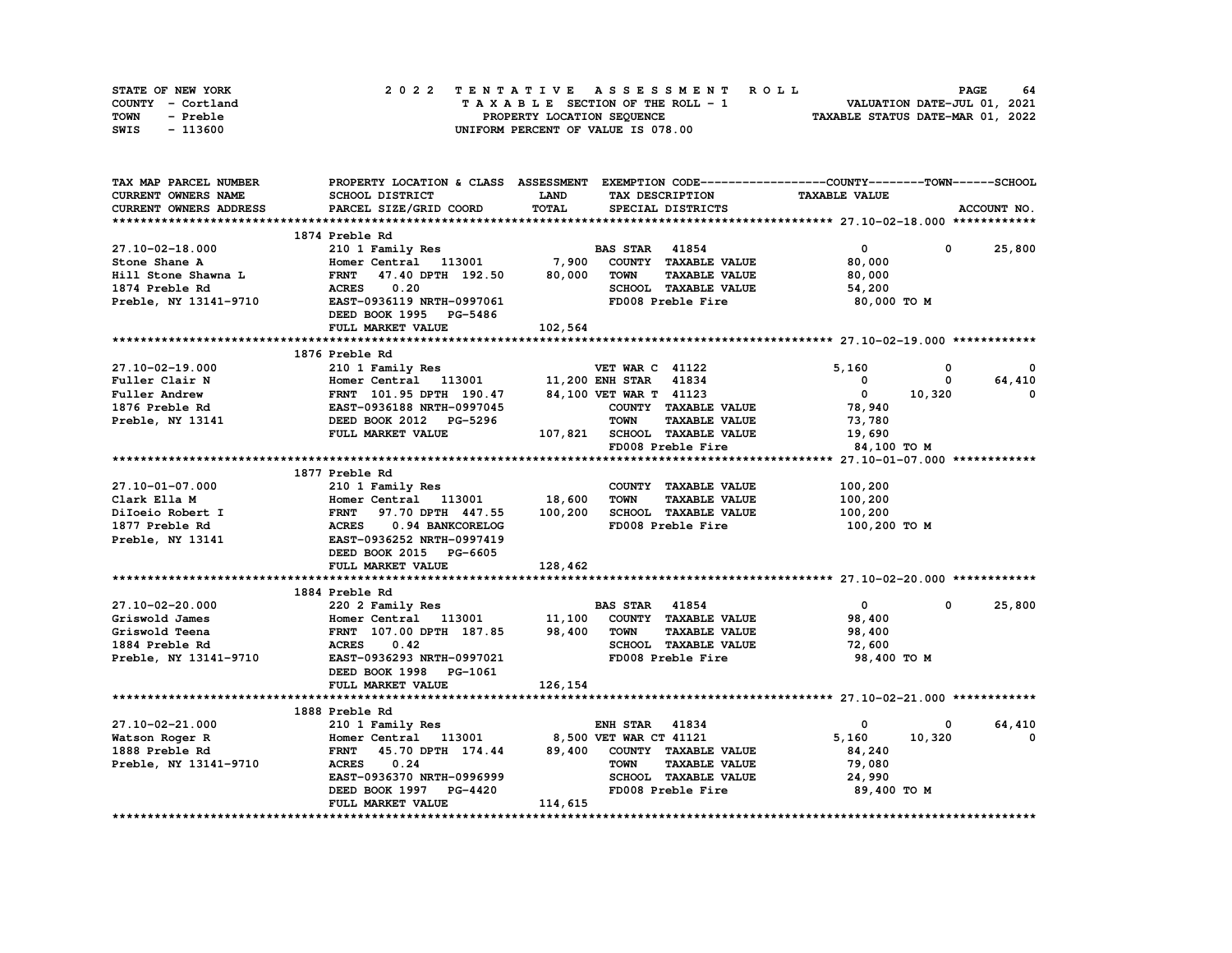| STATE OF NEW YORK | 2022 TENTATIVE ASSESSMENT ROLL     | 64<br><b>PAGE</b>                |
|-------------------|------------------------------------|----------------------------------|
| COUNTY - Cortland | TAXABLE SECTION OF THE ROLL - 1    | VALUATION DATE-JUL 01, 2021      |
| TOWN<br>- Preble  | PROPERTY LOCATION SEQUENCE         | TAXABLE STATUS DATE-MAR 01, 2022 |
| - 113600<br>SWIS  | UNIFORM PERCENT OF VALUE IS 078.00 |                                  |

| TAX MAP PARCEL NUMBER         | PROPERTY LOCATION & CLASS ASSESSMENT EXEMPTION CODE----------------COUNTY-------TOWN-----SCHOOL                          |             |                                     |                      |            |              |
|-------------------------------|--------------------------------------------------------------------------------------------------------------------------|-------------|-------------------------------------|----------------------|------------|--------------|
| CURRENT OWNERS NAME           | SCHOOL DISTRICT                                                                                                          | <b>LAND</b> | TAX DESCRIPTION                     | <b>TAXABLE VALUE</b> |            |              |
| <b>CURRENT OWNERS ADDRESS</b> | PARCEL SIZE/GRID COORD                                                                                                   | TOTAL       | SPECIAL DISTRICTS                   |                      |            | ACCOUNT NO.  |
|                               |                                                                                                                          |             |                                     |                      |            |              |
|                               | 1874 Preble Rd                                                                                                           |             |                                     |                      |            |              |
| 27.10-02-18.000               | 210 1 Family Res                                                                                                         |             | <b>BAS STAR 41854</b>               | $\mathbf 0$          | 0          | 25,800       |
| Stone Shane A                 | Homer Central 113001                                                                                                     | 7,900       | COUNTY TAXABLE VALUE                | 80,000               |            |              |
| Hill Stone Shawna L           | <b>FRNT</b><br>47.40 DPTH 192.50                                                                                         | 80,000      | <b>TOWN</b><br><b>TAXABLE VALUE</b> | 80,000               |            |              |
| 1874 Preble Rd                | <b>ACRES</b><br>0.20                                                                                                     |             | SCHOOL TAXABLE VALUE                | 54,200               |            |              |
| Preble, NY 13141-9710         | EAST-0936119 NRTH-0997061                                                                                                |             | FD008 Preble Fire                   | 80,000 TO M          |            |              |
|                               | DEED BOOK 1995 PG-5486                                                                                                   |             |                                     |                      |            |              |
|                               | FULL MARKET VALUE                                                                                                        | 102,564     |                                     |                      |            |              |
|                               |                                                                                                                          |             |                                     |                      |            |              |
|                               |                                                                                                                          |             |                                     |                      |            |              |
|                               | 1876 Preble Rd                                                                                                           |             |                                     |                      |            |              |
| 27.10-02-19.000               | 210 1 Family Res                                                                                                         |             | <b>VET WAR C 41122</b>              | 5,160                | 0          | 0            |
| Fuller Clair N                | Homer Central 113001                                                                                                     |             | 11,200 ENH STAR 41834               | $\mathbf 0$          | 0          | 64,410       |
| Fuller Andrew                 | FRNT 101.95 DF1H --<br>EAST-0936188 NRTH-0997045<br>----- 2012 PG-5296<br>FRNT 101.95 DPTH 190.47 84,100 VET WAR T 41123 |             |                                     | $\mathbf{0}$         | 10,320     | 0            |
| 1876 Preble Rd                |                                                                                                                          |             | COUNTY TAXABLE VALUE                | 78,940               |            |              |
| Preble, NY 13141              |                                                                                                                          |             | <b>TOWN</b><br><b>TAXABLE VALUE</b> | 73,780               |            |              |
|                               | FULL MARKET VALUE                                                                                                        |             | 107,821 SCHOOL TAXABLE VALUE        | 19,690               |            |              |
|                               |                                                                                                                          |             | FD008 Preble Fire                   | 84,100 TO M          |            |              |
|                               |                                                                                                                          |             |                                     |                      |            |              |
|                               | 1877 Preble Rd                                                                                                           |             |                                     |                      |            |              |
| 27.10-01-07.000               | 210 1 Family Res                                                                                                         |             | COUNTY TAXABLE VALUE                | 100,200              |            |              |
| Clark Ella M                  | Homer Central 113001                                                                                                     | 18,600      | <b>TOWN</b><br><b>TAXABLE VALUE</b> | 100,200              |            |              |
| DiIoeio Robert I              | <b>FRNT</b><br>97.70 DPTH 447.55                                                                                         | 100,200     | SCHOOL TAXABLE VALUE                | 100,200              |            |              |
| 1877 Preble Rd                | <b>ACRES</b><br>0.94 BANKCORELOG                                                                                         |             | FD008 Preble Fire                   | 100,200 то м         |            |              |
| Preble, NY 13141              | EAST-0936252 NRTH-0997419                                                                                                |             |                                     |                      |            |              |
|                               | DEED BOOK 2015 PG-6605                                                                                                   |             |                                     |                      |            |              |
|                               | FULL MARKET VALUE                                                                                                        | 128,462     |                                     |                      |            |              |
|                               |                                                                                                                          |             |                                     |                      |            |              |
|                               | 1884 Preble Rd                                                                                                           |             |                                     |                      |            |              |
| 27.10-02-20.000               | 220 2 Family Res                                                                                                         |             | <b>BAS STAR</b> 41854               | $\mathbf{0}$         | $^{\circ}$ | 25,800       |
| Griswold James                | Homer Central 113001                                                                                                     | 11,100      | COUNTY TAXABLE VALUE                | 98,400               |            |              |
| Griswold Teena                | FRNT 107.00 DPTH 187.85                                                                                                  | 98,400      | <b>TAXABLE VALUE</b><br><b>TOWN</b> | 98,400               |            |              |
| 1884 Preble Rd                | <b>ACRES</b><br>0.42                                                                                                     |             | SCHOOL TAXABLE VALUE                | 72,600               |            |              |
| Preble, NY 13141-9710         | EAST-0936293 NRTH-0997021                                                                                                |             | FD008 Preble Fire                   | 98,400 TO M          |            |              |
|                               | DEED BOOK 1998 PG-1061                                                                                                   |             |                                     |                      |            |              |
|                               | FULL MARKET VALUE                                                                                                        | 126,154     |                                     |                      |            |              |
|                               |                                                                                                                          |             |                                     |                      |            |              |
|                               | 1888 Preble Rd                                                                                                           |             |                                     |                      |            |              |
| 27.10-02-21.000               | 210 1 Family Res                                                                                                         |             | <b>ENH STAR 41834</b>               | 0                    | 0          | 64,410       |
|                               |                                                                                                                          |             | 8,500 VET WAR CT 41121              |                      |            | $\mathbf{0}$ |
| Watson Roger R                | Homer Central 113001                                                                                                     |             |                                     | 5,160                | 10,320     |              |
| 1888 Preble Rd                | <b>FRNT</b><br>45.70 DPTH 174.44                                                                                         |             | 89,400 COUNTY TAXABLE VALUE         | 84,240               |            |              |
| Preble, NY 13141-9710         | 0.24<br><b>ACRES</b>                                                                                                     |             | <b>TAXABLE VALUE</b><br><b>TOWN</b> | 79,080               |            |              |
|                               | EAST-0936370 NRTH-0996999                                                                                                |             | SCHOOL TAXABLE VALUE                | 24,990               |            |              |
|                               | DEED BOOK 1997 PG-4420                                                                                                   |             | FD008 Preble Fire                   | 89,400 то м          |            |              |
|                               | FULL MARKET VALUE                                                                                                        | 114,615     |                                     |                      |            |              |
|                               |                                                                                                                          |             |                                     |                      |            |              |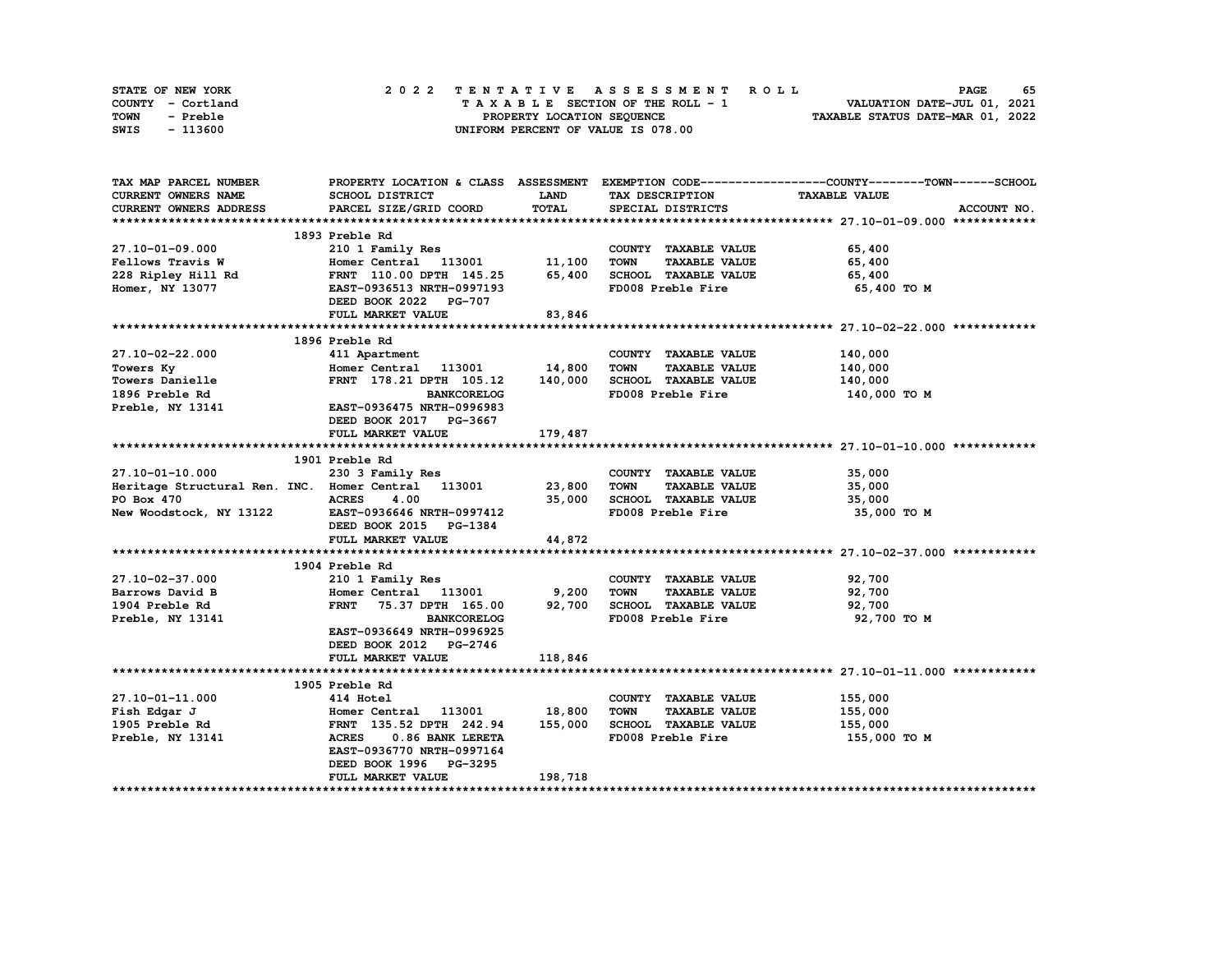| STATE OF NEW YORK | 2022 TENTATIVE ASSESSMENT ROLL     | 65<br><b>PAGE</b>                |
|-------------------|------------------------------------|----------------------------------|
| COUNTY - Cortland | TAXABLE SECTION OF THE ROLL - 1    | VALUATION DATE-JUL 01, 2021      |
| TOWN<br>- Preble  | PROPERTY LOCATION SEQUENCE         | TAXABLE STATUS DATE-MAR 01, 2022 |
| SWIS<br>- 113600  | UNIFORM PERCENT OF VALUE IS 078.00 |                                  |

| CURRENT OWNERS NAME<br>SCHOOL DISTRICT<br><b>LAND</b><br>TAX DESCRIPTION<br><b>TAXABLE VALUE</b><br>TOTAL<br><b>CURRENT OWNERS ADDRESS</b><br>PARCEL SIZE/GRID COORD<br>ACCOUNT NO.<br>SPECIAL DISTRICTS<br>1893 Preble Rd<br>210 1 Family Res<br>27.10-01-09.000<br>COUNTY TAXABLE VALUE<br>65,400<br>Homer Central 113001 11,100<br>Fellows Travis W<br><b>TOWN</b><br><b>TAXABLE VALUE</b><br>65,400<br>FRNT 110.00 DPTH 145.25 65,400<br>SCHOOL TAXABLE VALUE<br>228 Ripley Hill Rd<br>Homer. NY 13077<br>65,400<br><b>FRNT 110.00 DPTH 145.45</b><br>EAST-0936513 NRTH-0997193<br>FD008 Preble Fire<br>65,400 TO M<br>Homer, NY 13077<br>DEED BOOK 2022 PG-707<br>FULL MARKET VALUE<br>83,846<br>1896 Preble Rd<br>27.10-02-22.000<br>COUNTY TAXABLE VALUE<br>140,000<br>411 Apartment<br>14,800<br>Homer Central 113001<br><b>TOWN</b><br><b>TAXABLE VALUE</b><br>140,000<br>Towers Ky<br>SCHOOL TAXABLE VALUE<br>FRNT 178.21 DPTH 105.12<br>140,000<br>140,000<br>Towers Danielle<br>1896 Preble Rd<br><b>BANKCORELOG</b><br>FD008 Preble Fire<br>140,000 TO M<br>EAST-0936475 NRTH-0996983<br>Preble, NY 13141<br>DEED BOOK 2017 PG-3667<br>FULL MARKET VALUE<br>179,487<br>1901 Preble Rd<br>27.10-01-10.000<br>230 3 Family Res<br>COUNTY TAXABLE VALUE<br>35,000<br>Heritage Structural Ren. INC. Homer Central 113001 23,800<br>TOWN<br><b>TAXABLE VALUE</b><br>35,000<br><b>ACRES</b><br>4.00<br>35,000<br>SCHOOL TAXABLE VALUE 35,000<br>PO Box 470<br>FD008 Preble Fire<br>New Woodstock, NY 13122<br>EAST-0936646 NRTH-0997412<br>35,000 TO M<br>DEED BOOK 2015 PG-1384<br>44,872<br>FULL MARKET VALUE<br>1904 Preble Rd<br>27.10-02-37.000<br>92,700<br>210 1 Family Res<br>COUNTY TAXABLE VALUE<br>Homer Central 113001 9,200<br><b>TOWN</b><br><b>TAXABLE VALUE</b><br>92,700<br>Barrows David B<br>FRNT 75.37 DPTH 165.00 92,700<br>SCHOOL TAXABLE VALUE<br>1904 Preble Rd<br>92,700<br>FD008 Preble Fire<br>92,700 TO M<br>Preble, NY 13141<br><b>BANKCORELOG</b><br>EAST-0936649 NRTH-0996925<br>DEED BOOK 2012 PG-2746<br>118,846<br>FULL MARKET VALUE<br>1905 Preble Rd<br>27.10-01-11.000<br>155,000<br>414 Hotel<br>COUNTY TAXABLE VALUE<br>18,800<br>Homer Central 113001<br><b>TOWN</b><br><b>TAXABLE VALUE</b><br>155,000<br>Fish Edgar J<br>1905 Preble Rd<br>FRNT 135.52 DPTH 242.94<br>155,000<br>SCHOOL TAXABLE VALUE<br>155,000<br>Preble, NY 13141<br><b>ACRES</b><br>0.86 BANK LERETA<br>FD008 Preble Fire<br>155,000 TO M | TAX MAP PARCEL NUMBER |  | PROPERTY LOCATION & CLASS ASSESSMENT EXEMPTION CODE----------------COUNTY-------TOWN-----SCHOOL |
|----------------------------------------------------------------------------------------------------------------------------------------------------------------------------------------------------------------------------------------------------------------------------------------------------------------------------------------------------------------------------------------------------------------------------------------------------------------------------------------------------------------------------------------------------------------------------------------------------------------------------------------------------------------------------------------------------------------------------------------------------------------------------------------------------------------------------------------------------------------------------------------------------------------------------------------------------------------------------------------------------------------------------------------------------------------------------------------------------------------------------------------------------------------------------------------------------------------------------------------------------------------------------------------------------------------------------------------------------------------------------------------------------------------------------------------------------------------------------------------------------------------------------------------------------------------------------------------------------------------------------------------------------------------------------------------------------------------------------------------------------------------------------------------------------------------------------------------------------------------------------------------------------------------------------------------------------------------------------------------------------------------------------------------------------------------------------------------------------------------------------------------------------------------------------------------------------------------------------------------------------------------------------------------------------------------------------------------------------------------------------------------------------------------------------------------------------------------|-----------------------|--|-------------------------------------------------------------------------------------------------|
|                                                                                                                                                                                                                                                                                                                                                                                                                                                                                                                                                                                                                                                                                                                                                                                                                                                                                                                                                                                                                                                                                                                                                                                                                                                                                                                                                                                                                                                                                                                                                                                                                                                                                                                                                                                                                                                                                                                                                                                                                                                                                                                                                                                                                                                                                                                                                                                                                                                                |                       |  |                                                                                                 |
|                                                                                                                                                                                                                                                                                                                                                                                                                                                                                                                                                                                                                                                                                                                                                                                                                                                                                                                                                                                                                                                                                                                                                                                                                                                                                                                                                                                                                                                                                                                                                                                                                                                                                                                                                                                                                                                                                                                                                                                                                                                                                                                                                                                                                                                                                                                                                                                                                                                                |                       |  |                                                                                                 |
|                                                                                                                                                                                                                                                                                                                                                                                                                                                                                                                                                                                                                                                                                                                                                                                                                                                                                                                                                                                                                                                                                                                                                                                                                                                                                                                                                                                                                                                                                                                                                                                                                                                                                                                                                                                                                                                                                                                                                                                                                                                                                                                                                                                                                                                                                                                                                                                                                                                                |                       |  |                                                                                                 |
|                                                                                                                                                                                                                                                                                                                                                                                                                                                                                                                                                                                                                                                                                                                                                                                                                                                                                                                                                                                                                                                                                                                                                                                                                                                                                                                                                                                                                                                                                                                                                                                                                                                                                                                                                                                                                                                                                                                                                                                                                                                                                                                                                                                                                                                                                                                                                                                                                                                                |                       |  |                                                                                                 |
|                                                                                                                                                                                                                                                                                                                                                                                                                                                                                                                                                                                                                                                                                                                                                                                                                                                                                                                                                                                                                                                                                                                                                                                                                                                                                                                                                                                                                                                                                                                                                                                                                                                                                                                                                                                                                                                                                                                                                                                                                                                                                                                                                                                                                                                                                                                                                                                                                                                                |                       |  |                                                                                                 |
|                                                                                                                                                                                                                                                                                                                                                                                                                                                                                                                                                                                                                                                                                                                                                                                                                                                                                                                                                                                                                                                                                                                                                                                                                                                                                                                                                                                                                                                                                                                                                                                                                                                                                                                                                                                                                                                                                                                                                                                                                                                                                                                                                                                                                                                                                                                                                                                                                                                                |                       |  |                                                                                                 |
|                                                                                                                                                                                                                                                                                                                                                                                                                                                                                                                                                                                                                                                                                                                                                                                                                                                                                                                                                                                                                                                                                                                                                                                                                                                                                                                                                                                                                                                                                                                                                                                                                                                                                                                                                                                                                                                                                                                                                                                                                                                                                                                                                                                                                                                                                                                                                                                                                                                                |                       |  |                                                                                                 |
|                                                                                                                                                                                                                                                                                                                                                                                                                                                                                                                                                                                                                                                                                                                                                                                                                                                                                                                                                                                                                                                                                                                                                                                                                                                                                                                                                                                                                                                                                                                                                                                                                                                                                                                                                                                                                                                                                                                                                                                                                                                                                                                                                                                                                                                                                                                                                                                                                                                                |                       |  |                                                                                                 |
|                                                                                                                                                                                                                                                                                                                                                                                                                                                                                                                                                                                                                                                                                                                                                                                                                                                                                                                                                                                                                                                                                                                                                                                                                                                                                                                                                                                                                                                                                                                                                                                                                                                                                                                                                                                                                                                                                                                                                                                                                                                                                                                                                                                                                                                                                                                                                                                                                                                                |                       |  |                                                                                                 |
|                                                                                                                                                                                                                                                                                                                                                                                                                                                                                                                                                                                                                                                                                                                                                                                                                                                                                                                                                                                                                                                                                                                                                                                                                                                                                                                                                                                                                                                                                                                                                                                                                                                                                                                                                                                                                                                                                                                                                                                                                                                                                                                                                                                                                                                                                                                                                                                                                                                                |                       |  |                                                                                                 |
|                                                                                                                                                                                                                                                                                                                                                                                                                                                                                                                                                                                                                                                                                                                                                                                                                                                                                                                                                                                                                                                                                                                                                                                                                                                                                                                                                                                                                                                                                                                                                                                                                                                                                                                                                                                                                                                                                                                                                                                                                                                                                                                                                                                                                                                                                                                                                                                                                                                                |                       |  |                                                                                                 |
|                                                                                                                                                                                                                                                                                                                                                                                                                                                                                                                                                                                                                                                                                                                                                                                                                                                                                                                                                                                                                                                                                                                                                                                                                                                                                                                                                                                                                                                                                                                                                                                                                                                                                                                                                                                                                                                                                                                                                                                                                                                                                                                                                                                                                                                                                                                                                                                                                                                                |                       |  |                                                                                                 |
|                                                                                                                                                                                                                                                                                                                                                                                                                                                                                                                                                                                                                                                                                                                                                                                                                                                                                                                                                                                                                                                                                                                                                                                                                                                                                                                                                                                                                                                                                                                                                                                                                                                                                                                                                                                                                                                                                                                                                                                                                                                                                                                                                                                                                                                                                                                                                                                                                                                                |                       |  |                                                                                                 |
|                                                                                                                                                                                                                                                                                                                                                                                                                                                                                                                                                                                                                                                                                                                                                                                                                                                                                                                                                                                                                                                                                                                                                                                                                                                                                                                                                                                                                                                                                                                                                                                                                                                                                                                                                                                                                                                                                                                                                                                                                                                                                                                                                                                                                                                                                                                                                                                                                                                                |                       |  |                                                                                                 |
|                                                                                                                                                                                                                                                                                                                                                                                                                                                                                                                                                                                                                                                                                                                                                                                                                                                                                                                                                                                                                                                                                                                                                                                                                                                                                                                                                                                                                                                                                                                                                                                                                                                                                                                                                                                                                                                                                                                                                                                                                                                                                                                                                                                                                                                                                                                                                                                                                                                                |                       |  |                                                                                                 |
|                                                                                                                                                                                                                                                                                                                                                                                                                                                                                                                                                                                                                                                                                                                                                                                                                                                                                                                                                                                                                                                                                                                                                                                                                                                                                                                                                                                                                                                                                                                                                                                                                                                                                                                                                                                                                                                                                                                                                                                                                                                                                                                                                                                                                                                                                                                                                                                                                                                                |                       |  |                                                                                                 |
|                                                                                                                                                                                                                                                                                                                                                                                                                                                                                                                                                                                                                                                                                                                                                                                                                                                                                                                                                                                                                                                                                                                                                                                                                                                                                                                                                                                                                                                                                                                                                                                                                                                                                                                                                                                                                                                                                                                                                                                                                                                                                                                                                                                                                                                                                                                                                                                                                                                                |                       |  |                                                                                                 |
|                                                                                                                                                                                                                                                                                                                                                                                                                                                                                                                                                                                                                                                                                                                                                                                                                                                                                                                                                                                                                                                                                                                                                                                                                                                                                                                                                                                                                                                                                                                                                                                                                                                                                                                                                                                                                                                                                                                                                                                                                                                                                                                                                                                                                                                                                                                                                                                                                                                                |                       |  |                                                                                                 |
|                                                                                                                                                                                                                                                                                                                                                                                                                                                                                                                                                                                                                                                                                                                                                                                                                                                                                                                                                                                                                                                                                                                                                                                                                                                                                                                                                                                                                                                                                                                                                                                                                                                                                                                                                                                                                                                                                                                                                                                                                                                                                                                                                                                                                                                                                                                                                                                                                                                                |                       |  |                                                                                                 |
|                                                                                                                                                                                                                                                                                                                                                                                                                                                                                                                                                                                                                                                                                                                                                                                                                                                                                                                                                                                                                                                                                                                                                                                                                                                                                                                                                                                                                                                                                                                                                                                                                                                                                                                                                                                                                                                                                                                                                                                                                                                                                                                                                                                                                                                                                                                                                                                                                                                                |                       |  |                                                                                                 |
|                                                                                                                                                                                                                                                                                                                                                                                                                                                                                                                                                                                                                                                                                                                                                                                                                                                                                                                                                                                                                                                                                                                                                                                                                                                                                                                                                                                                                                                                                                                                                                                                                                                                                                                                                                                                                                                                                                                                                                                                                                                                                                                                                                                                                                                                                                                                                                                                                                                                |                       |  |                                                                                                 |
|                                                                                                                                                                                                                                                                                                                                                                                                                                                                                                                                                                                                                                                                                                                                                                                                                                                                                                                                                                                                                                                                                                                                                                                                                                                                                                                                                                                                                                                                                                                                                                                                                                                                                                                                                                                                                                                                                                                                                                                                                                                                                                                                                                                                                                                                                                                                                                                                                                                                |                       |  |                                                                                                 |
|                                                                                                                                                                                                                                                                                                                                                                                                                                                                                                                                                                                                                                                                                                                                                                                                                                                                                                                                                                                                                                                                                                                                                                                                                                                                                                                                                                                                                                                                                                                                                                                                                                                                                                                                                                                                                                                                                                                                                                                                                                                                                                                                                                                                                                                                                                                                                                                                                                                                |                       |  |                                                                                                 |
|                                                                                                                                                                                                                                                                                                                                                                                                                                                                                                                                                                                                                                                                                                                                                                                                                                                                                                                                                                                                                                                                                                                                                                                                                                                                                                                                                                                                                                                                                                                                                                                                                                                                                                                                                                                                                                                                                                                                                                                                                                                                                                                                                                                                                                                                                                                                                                                                                                                                |                       |  |                                                                                                 |
|                                                                                                                                                                                                                                                                                                                                                                                                                                                                                                                                                                                                                                                                                                                                                                                                                                                                                                                                                                                                                                                                                                                                                                                                                                                                                                                                                                                                                                                                                                                                                                                                                                                                                                                                                                                                                                                                                                                                                                                                                                                                                                                                                                                                                                                                                                                                                                                                                                                                |                       |  |                                                                                                 |
|                                                                                                                                                                                                                                                                                                                                                                                                                                                                                                                                                                                                                                                                                                                                                                                                                                                                                                                                                                                                                                                                                                                                                                                                                                                                                                                                                                                                                                                                                                                                                                                                                                                                                                                                                                                                                                                                                                                                                                                                                                                                                                                                                                                                                                                                                                                                                                                                                                                                |                       |  |                                                                                                 |
|                                                                                                                                                                                                                                                                                                                                                                                                                                                                                                                                                                                                                                                                                                                                                                                                                                                                                                                                                                                                                                                                                                                                                                                                                                                                                                                                                                                                                                                                                                                                                                                                                                                                                                                                                                                                                                                                                                                                                                                                                                                                                                                                                                                                                                                                                                                                                                                                                                                                |                       |  |                                                                                                 |
|                                                                                                                                                                                                                                                                                                                                                                                                                                                                                                                                                                                                                                                                                                                                                                                                                                                                                                                                                                                                                                                                                                                                                                                                                                                                                                                                                                                                                                                                                                                                                                                                                                                                                                                                                                                                                                                                                                                                                                                                                                                                                                                                                                                                                                                                                                                                                                                                                                                                |                       |  |                                                                                                 |
|                                                                                                                                                                                                                                                                                                                                                                                                                                                                                                                                                                                                                                                                                                                                                                                                                                                                                                                                                                                                                                                                                                                                                                                                                                                                                                                                                                                                                                                                                                                                                                                                                                                                                                                                                                                                                                                                                                                                                                                                                                                                                                                                                                                                                                                                                                                                                                                                                                                                |                       |  |                                                                                                 |
|                                                                                                                                                                                                                                                                                                                                                                                                                                                                                                                                                                                                                                                                                                                                                                                                                                                                                                                                                                                                                                                                                                                                                                                                                                                                                                                                                                                                                                                                                                                                                                                                                                                                                                                                                                                                                                                                                                                                                                                                                                                                                                                                                                                                                                                                                                                                                                                                                                                                |                       |  |                                                                                                 |
|                                                                                                                                                                                                                                                                                                                                                                                                                                                                                                                                                                                                                                                                                                                                                                                                                                                                                                                                                                                                                                                                                                                                                                                                                                                                                                                                                                                                                                                                                                                                                                                                                                                                                                                                                                                                                                                                                                                                                                                                                                                                                                                                                                                                                                                                                                                                                                                                                                                                |                       |  |                                                                                                 |
|                                                                                                                                                                                                                                                                                                                                                                                                                                                                                                                                                                                                                                                                                                                                                                                                                                                                                                                                                                                                                                                                                                                                                                                                                                                                                                                                                                                                                                                                                                                                                                                                                                                                                                                                                                                                                                                                                                                                                                                                                                                                                                                                                                                                                                                                                                                                                                                                                                                                |                       |  |                                                                                                 |
|                                                                                                                                                                                                                                                                                                                                                                                                                                                                                                                                                                                                                                                                                                                                                                                                                                                                                                                                                                                                                                                                                                                                                                                                                                                                                                                                                                                                                                                                                                                                                                                                                                                                                                                                                                                                                                                                                                                                                                                                                                                                                                                                                                                                                                                                                                                                                                                                                                                                |                       |  |                                                                                                 |
|                                                                                                                                                                                                                                                                                                                                                                                                                                                                                                                                                                                                                                                                                                                                                                                                                                                                                                                                                                                                                                                                                                                                                                                                                                                                                                                                                                                                                                                                                                                                                                                                                                                                                                                                                                                                                                                                                                                                                                                                                                                                                                                                                                                                                                                                                                                                                                                                                                                                |                       |  |                                                                                                 |
|                                                                                                                                                                                                                                                                                                                                                                                                                                                                                                                                                                                                                                                                                                                                                                                                                                                                                                                                                                                                                                                                                                                                                                                                                                                                                                                                                                                                                                                                                                                                                                                                                                                                                                                                                                                                                                                                                                                                                                                                                                                                                                                                                                                                                                                                                                                                                                                                                                                                |                       |  |                                                                                                 |
|                                                                                                                                                                                                                                                                                                                                                                                                                                                                                                                                                                                                                                                                                                                                                                                                                                                                                                                                                                                                                                                                                                                                                                                                                                                                                                                                                                                                                                                                                                                                                                                                                                                                                                                                                                                                                                                                                                                                                                                                                                                                                                                                                                                                                                                                                                                                                                                                                                                                |                       |  |                                                                                                 |
|                                                                                                                                                                                                                                                                                                                                                                                                                                                                                                                                                                                                                                                                                                                                                                                                                                                                                                                                                                                                                                                                                                                                                                                                                                                                                                                                                                                                                                                                                                                                                                                                                                                                                                                                                                                                                                                                                                                                                                                                                                                                                                                                                                                                                                                                                                                                                                                                                                                                |                       |  |                                                                                                 |
|                                                                                                                                                                                                                                                                                                                                                                                                                                                                                                                                                                                                                                                                                                                                                                                                                                                                                                                                                                                                                                                                                                                                                                                                                                                                                                                                                                                                                                                                                                                                                                                                                                                                                                                                                                                                                                                                                                                                                                                                                                                                                                                                                                                                                                                                                                                                                                                                                                                                |                       |  |                                                                                                 |
|                                                                                                                                                                                                                                                                                                                                                                                                                                                                                                                                                                                                                                                                                                                                                                                                                                                                                                                                                                                                                                                                                                                                                                                                                                                                                                                                                                                                                                                                                                                                                                                                                                                                                                                                                                                                                                                                                                                                                                                                                                                                                                                                                                                                                                                                                                                                                                                                                                                                |                       |  |                                                                                                 |
|                                                                                                                                                                                                                                                                                                                                                                                                                                                                                                                                                                                                                                                                                                                                                                                                                                                                                                                                                                                                                                                                                                                                                                                                                                                                                                                                                                                                                                                                                                                                                                                                                                                                                                                                                                                                                                                                                                                                                                                                                                                                                                                                                                                                                                                                                                                                                                                                                                                                |                       |  |                                                                                                 |
|                                                                                                                                                                                                                                                                                                                                                                                                                                                                                                                                                                                                                                                                                                                                                                                                                                                                                                                                                                                                                                                                                                                                                                                                                                                                                                                                                                                                                                                                                                                                                                                                                                                                                                                                                                                                                                                                                                                                                                                                                                                                                                                                                                                                                                                                                                                                                                                                                                                                |                       |  |                                                                                                 |
|                                                                                                                                                                                                                                                                                                                                                                                                                                                                                                                                                                                                                                                                                                                                                                                                                                                                                                                                                                                                                                                                                                                                                                                                                                                                                                                                                                                                                                                                                                                                                                                                                                                                                                                                                                                                                                                                                                                                                                                                                                                                                                                                                                                                                                                                                                                                                                                                                                                                |                       |  |                                                                                                 |
|                                                                                                                                                                                                                                                                                                                                                                                                                                                                                                                                                                                                                                                                                                                                                                                                                                                                                                                                                                                                                                                                                                                                                                                                                                                                                                                                                                                                                                                                                                                                                                                                                                                                                                                                                                                                                                                                                                                                                                                                                                                                                                                                                                                                                                                                                                                                                                                                                                                                |                       |  |                                                                                                 |
| EAST-0936770 NRTH-0997164                                                                                                                                                                                                                                                                                                                                                                                                                                                                                                                                                                                                                                                                                                                                                                                                                                                                                                                                                                                                                                                                                                                                                                                                                                                                                                                                                                                                                                                                                                                                                                                                                                                                                                                                                                                                                                                                                                                                                                                                                                                                                                                                                                                                                                                                                                                                                                                                                                      |                       |  |                                                                                                 |
| DEED BOOK 1996 PG-3295                                                                                                                                                                                                                                                                                                                                                                                                                                                                                                                                                                                                                                                                                                                                                                                                                                                                                                                                                                                                                                                                                                                                                                                                                                                                                                                                                                                                                                                                                                                                                                                                                                                                                                                                                                                                                                                                                                                                                                                                                                                                                                                                                                                                                                                                                                                                                                                                                                         |                       |  |                                                                                                 |
| FULL MARKET VALUE<br>198,718                                                                                                                                                                                                                                                                                                                                                                                                                                                                                                                                                                                                                                                                                                                                                                                                                                                                                                                                                                                                                                                                                                                                                                                                                                                                                                                                                                                                                                                                                                                                                                                                                                                                                                                                                                                                                                                                                                                                                                                                                                                                                                                                                                                                                                                                                                                                                                                                                                   |                       |  |                                                                                                 |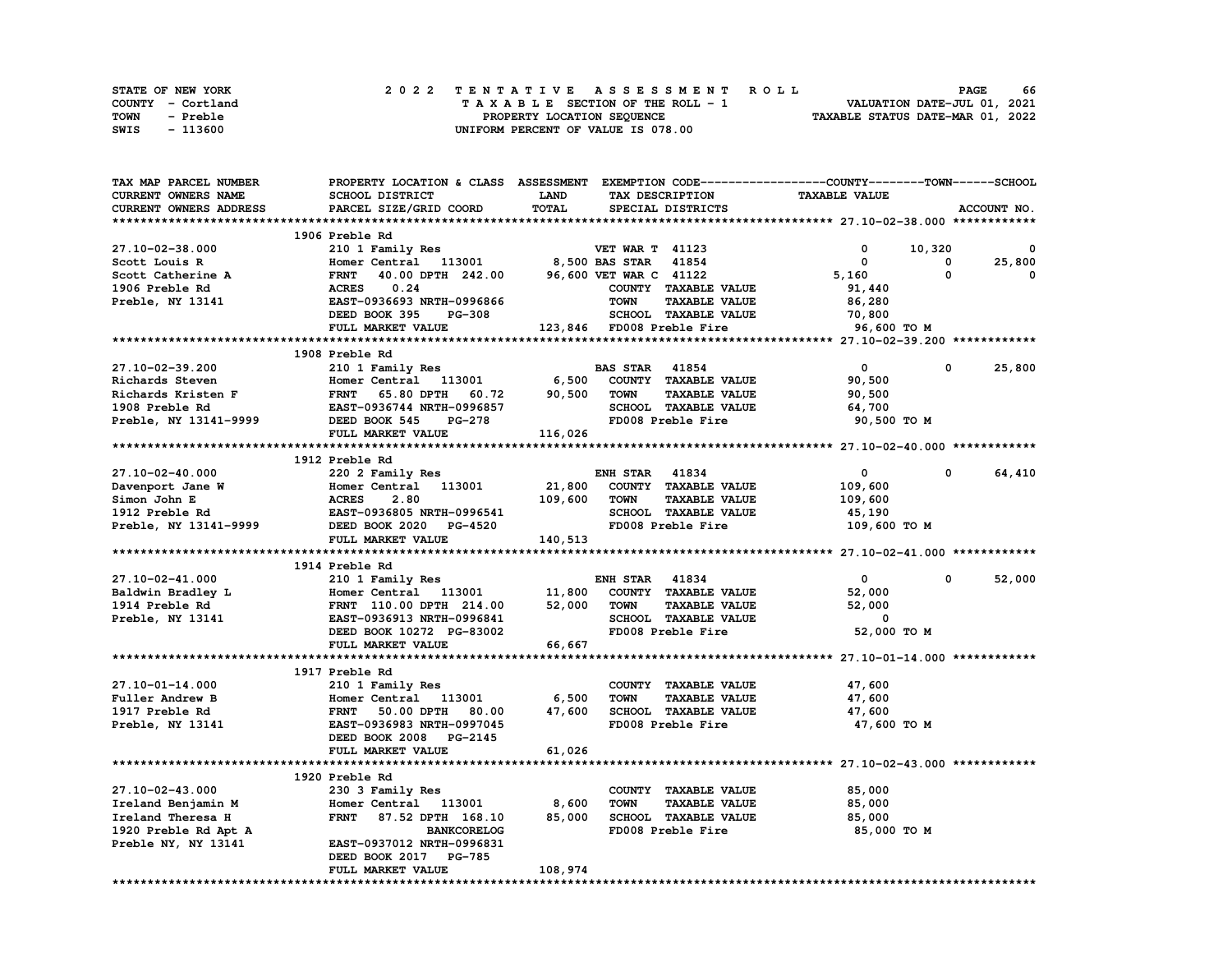| STATE OF NEW YORK | 2022 TENTATIVE ASSESSMENT ROLL                                 | <b>PAGE</b>                 | 66 |
|-------------------|----------------------------------------------------------------|-----------------------------|----|
| COUNTY - Cortland | TAXABLE SECTION OF THE ROLL - 1                                | VALUATION DATE-JUL 01, 2021 |    |
| TOWN<br>- Preble  | TAXABLE STATUS DATE-MAR 01, 2022<br>PROPERTY LOCATION SEQUENCE |                             |    |
| - 113600<br>SWIS  | UNIFORM PERCENT OF VALUE IS 078.00                             |                             |    |

| TAX MAP PARCEL NUMBER                       | PROPERTY LOCATION & CLASS ASSESSMENT EXEMPTION CODE-----------------COUNTY-------TOWN------SCHOOL |             |                           |                             |                      |          |              |
|---------------------------------------------|---------------------------------------------------------------------------------------------------|-------------|---------------------------|-----------------------------|----------------------|----------|--------------|
| CURRENT OWNERS NAME                         | SCHOOL DISTRICT                                                                                   | <b>LAND</b> |                           | TAX DESCRIPTION             | <b>TAXABLE VALUE</b> |          |              |
| CURRENT OWNERS ADDRESS                      | PARCEL SIZE/GRID COORD                                                                            | TOTAL       |                           | SPECIAL DISTRICTS           |                      |          | ACCOUNT NO.  |
|                                             |                                                                                                   |             |                           |                             |                      |          |              |
|                                             | 1906 Preble Rd                                                                                    |             |                           |                             |                      |          |              |
| 27.10-02-38.000                             | 210 1 Family Res                                                                                  |             | <b>VET WAR T 41123</b>    |                             | 0                    | 10,320   | $\mathbf{o}$ |
| Scott Louis R                               | Homer Central 113001                                                                              |             | 8,500 BAS STAR 41854      |                             | 0                    | 0        | 25,800       |
| Scott Catherine A                           | 40.00 DPTH 242.00 96,600 VET WAR C 41122<br><b>FRNT</b>                                           |             |                           |                             | 5,160                | 0        | 0            |
| 1906 Preble Rd                              | 0.24<br><b>ACRES</b>                                                                              |             |                           | COUNTY TAXABLE VALUE        | 91,440               |          |              |
| Preble, NY 13141                            | EAST-0936693 NRTH-0996866                                                                         |             | <b>TOWN</b>               | <b>TAXABLE VALUE</b>        | 86,280               |          |              |
|                                             | DEED BOOK 395<br><b>PG-308</b>                                                                    |             |                           | SCHOOL TAXABLE VALUE        | 70,800               |          |              |
|                                             | FULL MARKET VALUE                                                                                 |             | 123,846 FD008 Preble Fire |                             | 96,600 то м          |          |              |
|                                             |                                                                                                   |             |                           |                             |                      |          |              |
|                                             | 1908 Preble Rd                                                                                    |             |                           |                             |                      |          |              |
| 27.10-02-39.200                             | 210 1 Family Res                                                                                  |             | <b>BAS STAR 41854</b>     |                             | $\mathbf 0$          | $\Omega$ | 25,800       |
| Richards Steven                             | Homer Central 113001 6,500                                                                        |             |                           | COUNTY TAXABLE VALUE        | 90,500               |          |              |
| Richards Kristen F                          | Homer Central 11<br>FRNT 65.80 DPTH<br>60.72                                                      | 90,500      | <b>TOWN</b>               | <b>TAXABLE VALUE</b>        | 90,500               |          |              |
| 1908 Preble Rd                              | FRNT 03.00 DL.L.<br>EAST-0936744 NRTH-0996857<br>--- --- ---                                      |             |                           | SCHOOL TAXABLE VALUE        | 64,700               |          |              |
| Preble, NY 13141-9999                       | DEED BOOK 545<br><b>PG-278</b>                                                                    |             |                           | FD008 Preble Fire           | 90,500 TO M          |          |              |
|                                             | FULL MARKET VALUE                                                                                 | 116,026     |                           |                             |                      |          |              |
|                                             |                                                                                                   |             |                           |                             |                      |          |              |
|                                             | 1912 Preble Rd                                                                                    |             |                           |                             |                      |          |              |
| 27.10-02-40.000                             | 220 2 Family Res                                                                                  |             | <b>ENH STAR 41834</b>     |                             | $\mathbf{0}$         | 0        | 64,410       |
| Davenport Jane W                            |                                                                                                   | 21,800      |                           | COUNTY TAXABLE VALUE        | 109,600              |          |              |
| Simon John E                                | Homer Central 113001<br>ACRES 2.80<br>EAST-0936805 NRTH-0996541                                   | 109,600     | <b>TOWN</b>               | <b>TAXABLE VALUE</b>        | 109,600              |          |              |
| 1912 Preble Rd                              | EAST-0936805 NRTH-0996541                                                                         |             |                           | SCHOOL TAXABLE VALUE        | 45,190               |          |              |
| Preble, NY 13141-9999                       | DEED BOOK 2020 PG-4520                                                                            |             |                           | FD008 Preble Fire           | 109,600 TO M         |          |              |
|                                             | FULL MARKET VALUE                                                                                 | 140,513     |                           |                             |                      |          |              |
|                                             |                                                                                                   |             |                           |                             |                      |          |              |
|                                             | 1914 Preble Rd                                                                                    |             |                           |                             |                      |          |              |
| 27.10-02-41.000                             | 210 1 Family Res                                                                                  |             | <b>ENH STAR 41834</b>     |                             | $\mathbf{0}$         | 0        | 52,000       |
|                                             | Homer Central 113001                                                                              |             |                           | 11,800 COUNTY TAXABLE VALUE | 52,000               |          |              |
| -<br>Baldwin Bradley L<br>1914 Preble Rd    | FRNT 110.00 DPTH 214.00 52,000                                                                    |             | <b>TOWN</b>               | <b>TAXABLE VALUE</b>        | 52,000               |          |              |
| Preble, NY 13141                            | EAST-0936913 NRTH-0996841                                                                         |             |                           | SCHOOL TAXABLE VALUE        | $^{\circ}$           |          |              |
|                                             | DEED BOOK 10272 PG-83002                                                                          |             |                           | FD008 Preble Fire           | 52,000 TO M          |          |              |
|                                             | FULL MARKET VALUE                                                                                 | 66,667      |                           |                             |                      |          |              |
|                                             |                                                                                                   |             |                           |                             |                      |          |              |
|                                             | 1917 Preble Rd                                                                                    |             |                           |                             |                      |          |              |
| 27.10-01-14.000                             | 210 1 Family Res                                                                                  |             |                           | COUNTY TAXABLE VALUE        | 47,600               |          |              |
| Fuller Andrew B                             | Homer Central 113001                                                                              | 6,500       | <b>TOWN</b>               | <b>TAXABLE VALUE</b>        | 47,600               |          |              |
| 1917 Preble Rd                              | 80.00                                                                                             | 47,600      |                           | SCHOOL TAXABLE VALUE        | 47,600               |          |              |
| Preble, NY 13141                            | Homer Central 11<br>FRNT 50.00 DPTH<br>EAST-0936983 NRTH-<br>EAST-0936983 NRTH-0997045            |             |                           | FD008 Preble Fire           | 47,600 TO M          |          |              |
|                                             | DEED BOOK 2008 PG-2145                                                                            |             |                           |                             |                      |          |              |
|                                             | FULL MARKET VALUE                                                                                 | 61,026      |                           |                             |                      |          |              |
|                                             |                                                                                                   |             |                           |                             |                      |          |              |
|                                             | 1920 Preble Rd                                                                                    |             |                           |                             |                      |          |              |
| 27.10-02-43.000<br>Ireland Benjamin M       | 230 3 Family Res                                                                                  |             |                           | COUNTY TAXABLE VALUE        | 85,000               |          |              |
|                                             | Homer Central 113001                                                                              | 8,600       | <b>TOWN</b>               | <b>TAXABLE VALUE</b>        | 85,000               |          |              |
|                                             | FRNT 87.52 DPTH 168.10                                                                            | 85,000      |                           | SCHOOL TAXABLE VALUE        | 85,000               |          |              |
|                                             | <b>BANKCORELOG</b>                                                                                |             |                           | FD008 Preble Fire           | 85,000 TO M          |          |              |
| 1920 Preble Rd Apt A<br>Preble NY, NY 13141 | EAST-0937012 NRTH-0996831                                                                         |             |                           |                             |                      |          |              |
|                                             | DEED BOOK 2017 PG-785                                                                             |             |                           |                             |                      |          |              |
|                                             | FULL MARKET VALUE                                                                                 | 108,974     |                           |                             |                      |          |              |
|                                             |                                                                                                   |             |                           |                             |                      |          |              |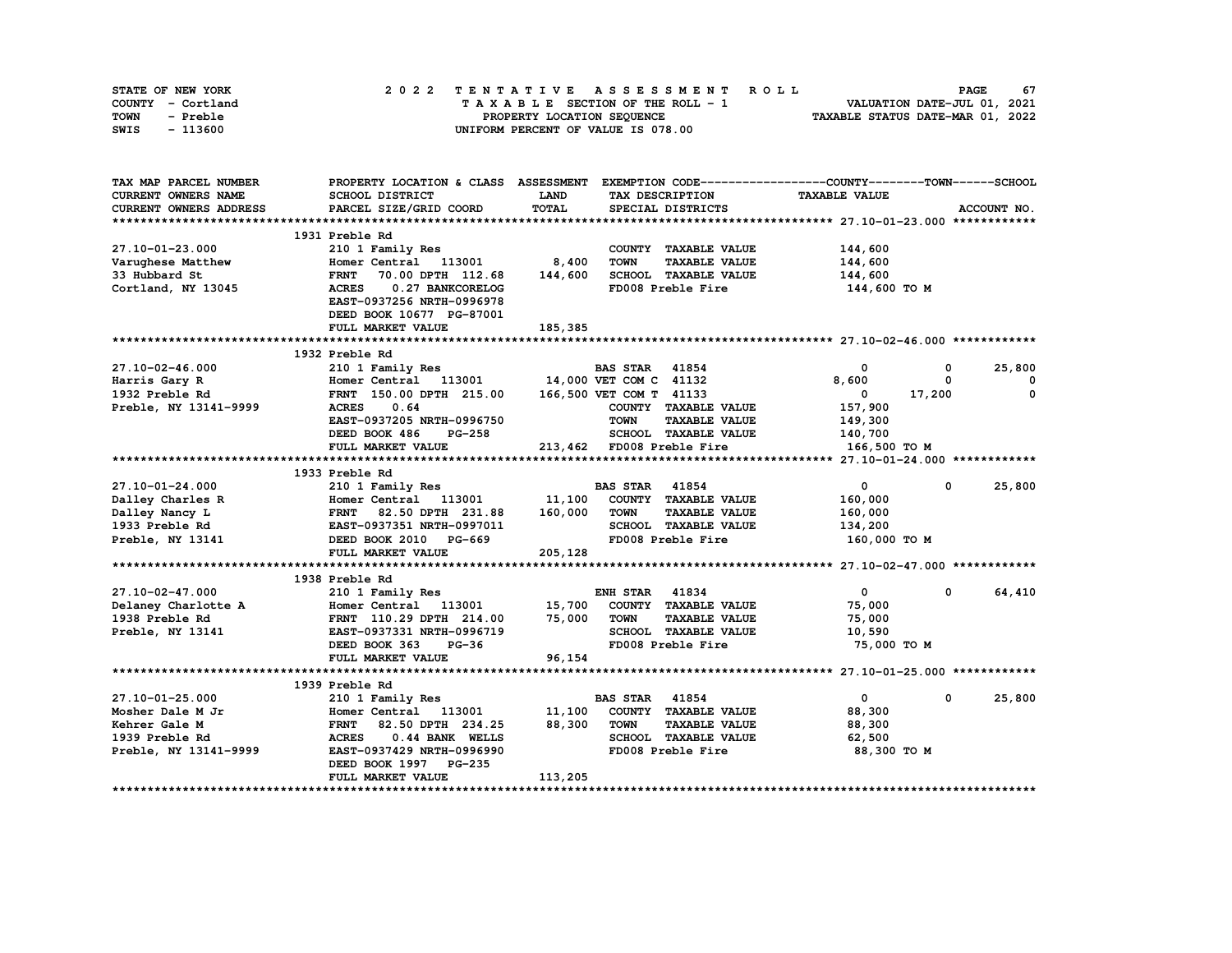| STATE OF NEW YORK | 2022 TENTATIVE ASSESSMENT ROLL     | 67<br><b>PAGE</b>                |
|-------------------|------------------------------------|----------------------------------|
| COUNTY - Cortland | TAXABLE SECTION OF THE ROLL - 1    | VALUATION DATE-JUL 01, 2021      |
| TOWN<br>- Preble  | PROPERTY LOCATION SEQUENCE         | TAXABLE STATUS DATE-MAR 01, 2022 |
| - 113600<br>SWIS  | UNIFORM PERCENT OF VALUE IS 078.00 |                                  |

| TAX MAP PARCEL NUMBER                  |                                                  |         |                                     | PROPERTY LOCATION & CLASS ASSESSMENT EXEMPTION CODE----------------COUNTY-------TOWN-----SCHOOL |                          |
|----------------------------------------|--------------------------------------------------|---------|-------------------------------------|-------------------------------------------------------------------------------------------------|--------------------------|
| CURRENT OWNERS NAME                    | SCHOOL DISTRICT                                  | LAND    | TAX DESCRIPTION                     | <b>TAXABLE VALUE</b>                                                                            |                          |
| <b>CURRENT OWNERS ADDRESS</b>          | PARCEL SIZE/GRID COORD                           | TOTAL   | SPECIAL DISTRICTS                   |                                                                                                 | ACCOUNT NO.              |
|                                        |                                                  |         |                                     |                                                                                                 |                          |
|                                        | 1931 Preble Rd                                   |         |                                     |                                                                                                 |                          |
| 27.10-01-23.000                        | 210 1 Family Res                                 |         | COUNTY TAXABLE VALUE                | 144,600                                                                                         |                          |
| Varughese Matthew                      | Homer Central 113001 8,400                       |         | <b>TOWN</b><br><b>TAXABLE VALUE</b> | 144,600                                                                                         |                          |
| 33 Hubbard St                          | 70.00 DPTH 112.68<br><b>FRNT</b>                 | 144,600 | SCHOOL TAXABLE VALUE                | 144,600                                                                                         |                          |
| Cortland, NY 13045                     | 0.27 BANKCORELOG<br><b>ACRES</b>                 |         | FD008 Preble Fire                   | 144,600 TO M                                                                                    |                          |
|                                        | EAST-0937256 NRTH-0996978                        |         |                                     |                                                                                                 |                          |
|                                        | DEED BOOK 10677 PG-87001                         |         |                                     |                                                                                                 |                          |
|                                        | FULL MARKET VALUE                                | 185,385 |                                     |                                                                                                 |                          |
|                                        |                                                  |         |                                     |                                                                                                 |                          |
|                                        | 1932 Preble Rd                                   |         |                                     |                                                                                                 |                          |
| 27.10-02-46.000                        | 210 1 Family Res                                 |         | <b>BAS STAR 41854</b>               | $\mathbf 0$<br>$\mathbf 0$                                                                      | 25,800                   |
| Harris Gary R                          | Homer Central 113001 14,000 VET COM C 41132      |         |                                     | 8,600<br>$\mathbf 0$                                                                            | $\overline{\phantom{0}}$ |
| 1932 Preble Rd                         | FRNT 150.00 DPTH 215.00 166,500 VET COM T 41133  |         |                                     | 17,200<br>$\mathbf{0}$                                                                          | $\mathbf 0$              |
| Preble, NY 13141-9999                  | 0.64<br><b>ACRES</b>                             |         | COUNTY TAXABLE VALUE                | 157,900                                                                                         |                          |
|                                        | EAST-0937205 NRTH-0996750                        |         | <b>TOWN</b><br><b>TAXABLE VALUE</b> | 149,300                                                                                         |                          |
|                                        | DEED BOOK 486<br><b>PG-258</b>                   |         | SCHOOL TAXABLE VALUE 140,700        |                                                                                                 |                          |
|                                        | FULL MARKET VALUE                                |         | 213,462 FD008 Preble Fire           | 166,500 то м                                                                                    |                          |
|                                        |                                                  |         |                                     |                                                                                                 |                          |
|                                        | 1933 Preble Rd                                   |         |                                     |                                                                                                 |                          |
| 27.10-01-24.000                        | 210 1 Family Res                                 |         | <b>BAS STAR 41854</b>               | $\mathbf{0}$<br>$\mathbf 0$                                                                     | 25,800                   |
|                                        |                                                  |         | COUNTY TAXABLE VALUE                | 160,000                                                                                         |                          |
|                                        |                                                  |         | <b>TOWN</b><br><b>TAXABLE VALUE</b> | 160,000                                                                                         |                          |
|                                        |                                                  |         | SCHOOL TAXABLE VALUE                | 134,200                                                                                         |                          |
| Preble, NY 13141 DEED BOOK 2010 PG-669 |                                                  |         | FD008 Preble Fire                   | 160,000 TO M                                                                                    |                          |
|                                        | FULL MARKET VALUE                                | 205,128 |                                     |                                                                                                 |                          |
|                                        |                                                  |         |                                     |                                                                                                 |                          |
|                                        | 1938 Preble Rd                                   |         |                                     |                                                                                                 |                          |
| 27.10-02-47.000                        | 210 1 Family Res                                 |         | <b>ENH STAR 41834</b>               | $\mathbf{0}$<br>$^{\circ}$                                                                      | 64,410                   |
|                                        | Homer Central 113001 15,700 COUNTY TAXABLE VALUE |         |                                     | 75,000                                                                                          |                          |
| Delaney Charlotte A<br>1938 Preble Rd  | FRNT 110.29 DPTH 214.00                          | 75,000  | TOWN<br><b>TAXABLE VALUE</b>        | 75,000                                                                                          |                          |
| Preble, NY 13141                       | EAST-0937331 NRTH-0996719                        |         | SCHOOL TAXABLE VALUE                | 10,590                                                                                          |                          |
|                                        | DEED BOOK 363<br>$PG-36$                         |         | FD008 Preble Fire                   | 75,000 TO M                                                                                     |                          |
|                                        | FULL MARKET VALUE                                | 96,154  |                                     |                                                                                                 |                          |
|                                        |                                                  |         |                                     |                                                                                                 |                          |
|                                        | 1939 Preble Rd                                   |         |                                     |                                                                                                 |                          |
| 27.10-01-25.000                        | 210 1 Family Res                                 |         | <b>BAS STAR</b><br>41854            | $\mathbf{0}$<br>$\mathbf 0$                                                                     | 25,800                   |
| Mosher Dale M Jr                       | Homer Central 113001 11,100                      |         | COUNTY TAXABLE VALUE                | 88,300                                                                                          |                          |
| Kehrer Gale M                          | FRNT 82.50 DPTH 234.25                           | 88,300  | <b>TOWN</b><br><b>TAXABLE VALUE</b> | 88,300                                                                                          |                          |
| 1939 Preble Rd                         | 0.44 BANK WELLS<br><b>ACRES</b>                  |         | SCHOOL TAXABLE VALUE                | 62,500                                                                                          |                          |
| Preble, NY 13141-9999                  | EAST-0937429 NRTH-0996990                        |         | FD008 Preble Fire                   | 88,300 TO M                                                                                     |                          |
|                                        | DEED BOOK 1997 PG-235                            |         |                                     |                                                                                                 |                          |
|                                        | FULL MARKET VALUE                                | 113,205 |                                     |                                                                                                 |                          |
|                                        |                                                  |         |                                     |                                                                                                 |                          |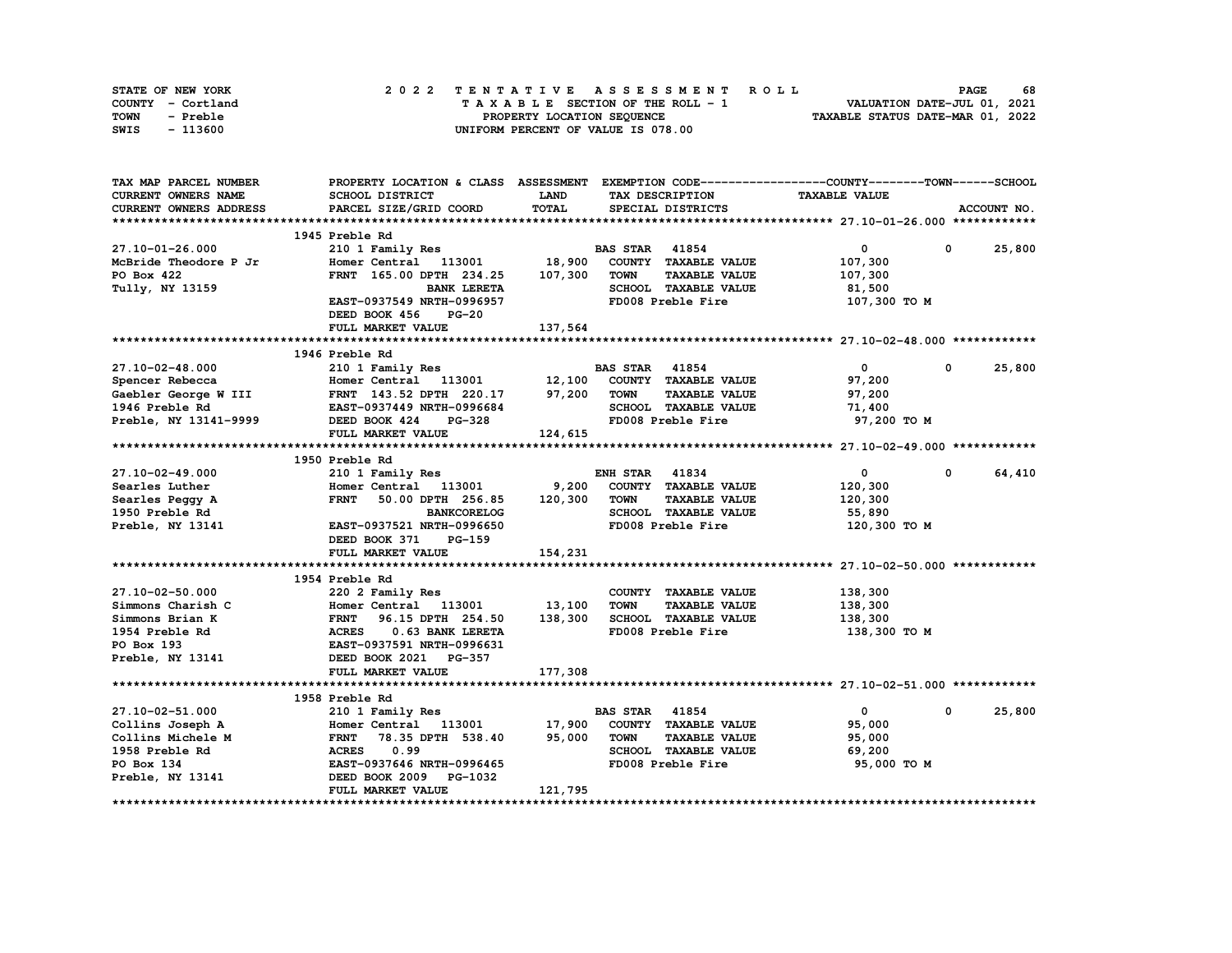| STATE OF NEW YORK | 2022 TENTATIVE ASSESSMENT ROLL     | 68<br><b>PAGE</b>                |
|-------------------|------------------------------------|----------------------------------|
| COUNTY - Cortland | TAXABLE SECTION OF THE ROLL - 1    | VALUATION DATE-JUL 01, 2021      |
| TOWN<br>- Preble  | PROPERTY LOCATION SEQUENCE         | TAXABLE STATUS DATE-MAR 01, 2022 |
| - 113600<br>SWIS  | UNIFORM PERCENT OF VALUE IS 078.00 |                                  |

| TAX MAP PARCEL NUMBER             | PROPERTY LOCATION & CLASS ASSESSMENT EXEMPTION CODE----------------COUNTY-------TOWN-----SCHOOL |         |                       |                      |                      |             |             |
|-----------------------------------|-------------------------------------------------------------------------------------------------|---------|-----------------------|----------------------|----------------------|-------------|-------------|
| CURRENT OWNERS NAME               | SCHOOL DISTRICT                                                                                 | LAND    |                       | TAX DESCRIPTION      | <b>TAXABLE VALUE</b> |             |             |
| CURRENT OWNERS ADDRESS            | PARCEL SIZE/GRID COORD                                                                          | TOTAL   |                       | SPECIAL DISTRICTS    |                      |             | ACCOUNT NO. |
|                                   |                                                                                                 |         |                       |                      |                      |             |             |
|                                   | 1945 Preble Rd                                                                                  |         |                       |                      |                      |             |             |
| 27.10-01-26.000                   | 210 1 Family Res                                                                                |         | <b>BAS STAR 41854</b> |                      | $\mathbf{0}$         | $^{\circ}$  | 25,800      |
| McBride Theodore P Jr             | Homer Central 113001 18,900                                                                     |         |                       | COUNTY TAXABLE VALUE | 107,300              |             |             |
| PO Box 422                        | FRNT 165.00 DPTH 234.25                                                                         | 107,300 | <b>TOWN</b>           | <b>TAXABLE VALUE</b> | 107,300              |             |             |
| Tully, NY 13159                   | <b>BANK LERETA</b>                                                                              |         |                       | SCHOOL TAXABLE VALUE | 81,500               |             |             |
|                                   | EAST-0937549 NRTH-0996957                                                                       |         |                       | FD008 Preble Fire    | 107,300 то м         |             |             |
|                                   | DEED BOOK 456<br>$PG-20$                                                                        |         |                       |                      |                      |             |             |
|                                   | FULL MARKET VALUE                                                                               | 137,564 |                       |                      |                      |             |             |
|                                   |                                                                                                 |         |                       |                      |                      |             |             |
|                                   | 1946 Preble Rd                                                                                  |         |                       |                      |                      |             |             |
| 27.10-02-48.000                   | 210 1 Family Res                                                                                |         | <b>BAS STAR 41854</b> |                      | $\overline{0}$       | $^{\circ}$  | 25,800      |
| Spencer Rebecca                   | Homer Central 113001 12,100                                                                     |         |                       | COUNTY TAXABLE VALUE | 97,200               |             |             |
| Gaebler George W III              | FRNT 143.52 DPTH 220.17 97,200                                                                  |         | <b>TOWN</b>           | <b>TAXABLE VALUE</b> | 97,200               |             |             |
| 1946 Preble Rd                    | EAST-0937449 NRTH-0996684                                                                       |         |                       | SCHOOL TAXABLE VALUE | 71,400               |             |             |
| Preble, NY 13141-9999             | DEED BOOK 424<br><b>PG-328</b>                                                                  |         |                       | FD008 Preble Fire    | 97,200 TO M          |             |             |
|                                   | FULL MARKET VALUE                                                                               | 124,615 |                       |                      |                      |             |             |
|                                   |                                                                                                 |         |                       |                      |                      |             |             |
|                                   | 1950 Preble Rd                                                                                  |         |                       |                      |                      |             |             |
| 27.10-02-49.000                   | 210 1 Family Res                                                                                |         | <b>ENH STAR 41834</b> |                      | $\mathbf 0$          | $^{\circ}$  | 64,410      |
| Searles Luther                    | Homer Central 113001                                                                            | 9,200   |                       | COUNTY TAXABLE VALUE | 120,300              |             |             |
|                                   | <b>FRNT</b>                                                                                     | 120,300 | <b>TOWN</b>           | <b>TAXABLE VALUE</b> |                      |             |             |
| Searles Peggy A<br>1950 Preble Rd | 50.00 DPTH 256.85<br><b>BANKCORELOG</b>                                                         |         |                       | SCHOOL TAXABLE VALUE | 120,300              |             |             |
|                                   |                                                                                                 |         |                       | FD008 Preble Fire    | 55,890               |             |             |
| Preble, NY 13141                  | EAST-0937521 NRTH-0996650                                                                       |         |                       |                      | 120,300 TO M         |             |             |
|                                   | DEED BOOK 371<br>PG-159                                                                         |         |                       |                      |                      |             |             |
|                                   | FULL MARKET VALUE                                                                               | 154,231 |                       |                      |                      |             |             |
|                                   |                                                                                                 |         |                       |                      |                      |             |             |
|                                   | 1954 Preble Rd                                                                                  |         |                       |                      |                      |             |             |
| 27.10-02-50.000                   | 220 2 Family Res                                                                                |         |                       | COUNTY TAXABLE VALUE | 138,300              |             |             |
| Simmons Charish C                 | Homer Central 113001                                                                            | 13,100  | TOWN                  | <b>TAXABLE VALUE</b> | 138,300              |             |             |
| Simmons Brian K                   | <b>FRNT</b><br>96.15 DPTH 254.50                                                                | 138,300 |                       | SCHOOL TAXABLE VALUE | 138,300              |             |             |
| 1954 Preble Rd                    | <b>ACRES</b><br>0.63 BANK LERETA                                                                |         |                       | FD008 Preble Fire    | 138,300 то м         |             |             |
| PO Box 193                        | EAST-0937591 NRTH-0996631                                                                       |         |                       |                      |                      |             |             |
| Preble, NY 13141                  | DEED BOOK 2021 PG-357                                                                           |         |                       |                      |                      |             |             |
|                                   | FULL MARKET VALUE                                                                               | 177,308 |                       |                      |                      |             |             |
|                                   |                                                                                                 |         |                       |                      |                      |             |             |
|                                   | 1958 Preble Rd                                                                                  |         |                       |                      |                      |             |             |
| 27.10-02-51.000                   | 210 1 Family Res                                                                                |         | <b>BAS STAR 41854</b> |                      | $\mathbf{0}$         | $\mathbf 0$ | 25,800      |
| Collins Joseph A                  | Homer Central 113001                                                                            | 17,900  |                       | COUNTY TAXABLE VALUE | 95,000               |             |             |
| Collins Michele M                 | 78.35 DPTH 538.40<br><b>FRNT</b>                                                                | 95,000  | <b>TOWN</b>           | <b>TAXABLE VALUE</b> | 95,000               |             |             |
| 1958 Preble Rd                    | <b>ACRES</b><br>0.99                                                                            |         |                       | SCHOOL TAXABLE VALUE | 69,200               |             |             |
| PO Box 134                        | EAST-0937646 NRTH-0996465                                                                       |         |                       | FD008 Preble Fire    | 95,000 TO M          |             |             |
| Preble, NY 13141                  | DEED BOOK 2009<br>PG-1032                                                                       |         |                       |                      |                      |             |             |
|                                   | FULL MARKET VALUE                                                                               | 121,795 |                       |                      |                      |             |             |
|                                   |                                                                                                 |         |                       |                      |                      |             |             |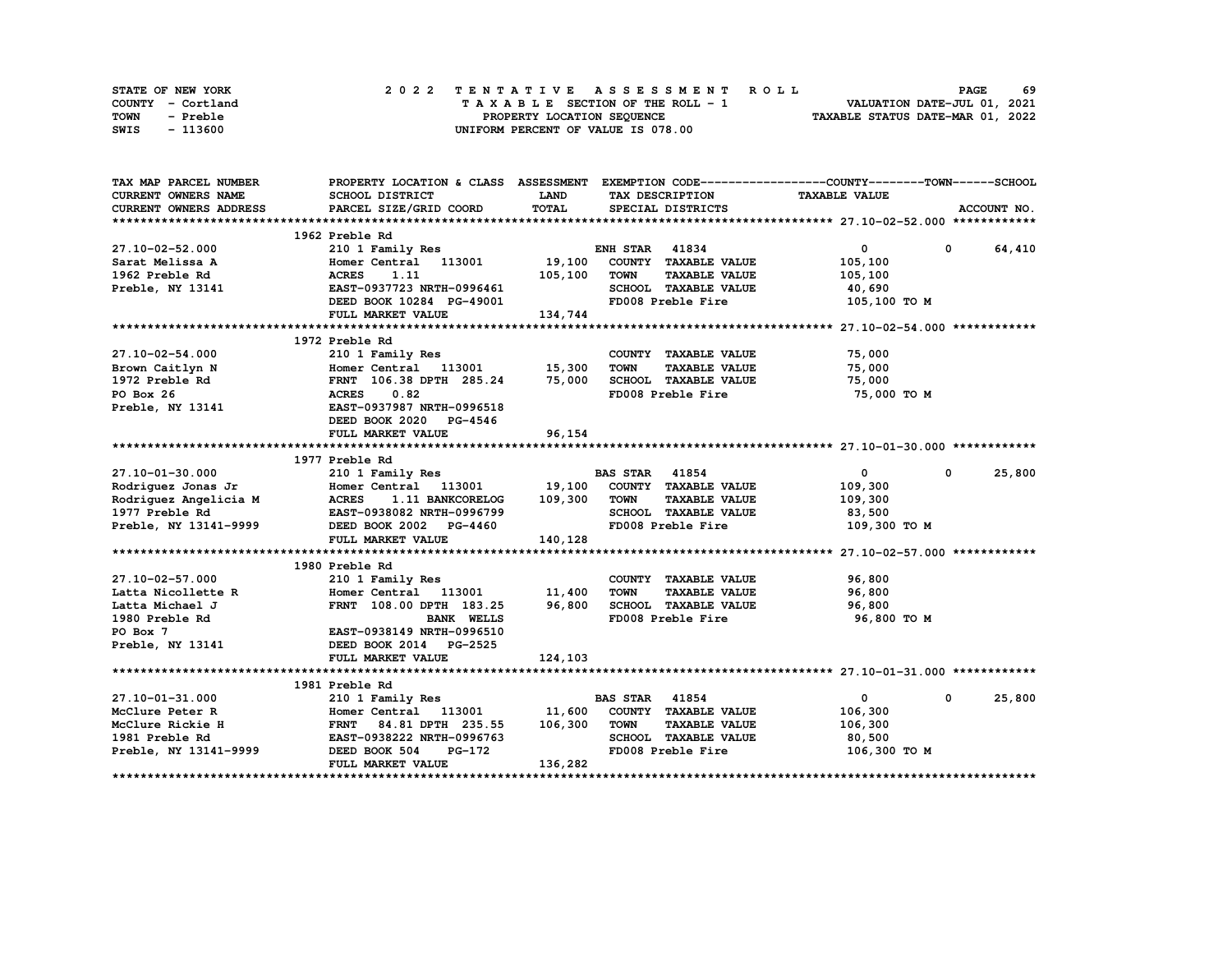| STATE OF NEW YORK | 2022 TENTATIVE ASSESSMENT ROLL     | 69<br><b>PAGE</b>                |
|-------------------|------------------------------------|----------------------------------|
| COUNTY - Cortland | TAXABLE SECTION OF THE ROLL - 1    | VALUATION DATE-JUL 01, 2021      |
| TOWN<br>- Preble  | PROPERTY LOCATION SEQUENCE         | TAXABLE STATUS DATE-MAR 01, 2022 |
| SWIS<br>- 113600  | UNIFORM PERCENT OF VALUE IS 078.00 |                                  |

|                                                                                                                                     |             | PROPERTY LOCATION & CLASS ASSESSMENT EXEMPTION CODE----------------COUNTY-------TOWN-----SCHOOL |
|-------------------------------------------------------------------------------------------------------------------------------------|-------------|-------------------------------------------------------------------------------------------------|
| CURRENT OWNERS NAME<br>SCHOOL DISTRICT<br><b>LAND</b><br><b>TAXABLE VALUE</b><br>TAX DESCRIPTION                                    |             |                                                                                                 |
| TOTAL<br><b>CURRENT OWNERS ADDRESS</b><br>PARCEL SIZE/GRID COORD<br>SPECIAL DISTRICTS                                               |             | ACCOUNT NO.                                                                                     |
|                                                                                                                                     |             |                                                                                                 |
| 1962 Preble Rd                                                                                                                      |             |                                                                                                 |
| <b>ENH STAR 41834</b><br>$\overline{0}$<br>27.10-02-52.000<br>210 1 Family Res                                                      |             | 0 64,410                                                                                        |
| Homer Central 113001<br>19,100<br>COUNTY TAXABLE VALUE<br>Sarat Melissa A<br>105,100                                                |             |                                                                                                 |
| 1962 Preble Rd<br>105,100<br><b>TOWN</b><br><b>TAXABLE VALUE</b><br><b>ACRES</b><br>1.11<br>105,100                                 |             |                                                                                                 |
| SCHOOL TAXABLE VALUE<br>Preble, NY 13141<br>EAST-0937723 NRTH-0996461<br>40,690                                                     |             |                                                                                                 |
| FD008 Preble Fire<br>DEED BOOK 10284 PG-49001<br>105,100 TO M                                                                       |             |                                                                                                 |
| 134,744<br>FULL MARKET VALUE                                                                                                        |             |                                                                                                 |
|                                                                                                                                     |             |                                                                                                 |
| 1972 Preble Rd                                                                                                                      |             |                                                                                                 |
| 27.10-02-54.000<br>210 1 Family Res<br>75,000<br>COUNTY TAXABLE VALUE                                                               |             |                                                                                                 |
| 210 1 Family Res<br>Homer Central 113001 15,300<br>Brown Caitlyn N<br>TOWN<br><b>TAXABLE VALUE</b><br>75,000                        |             |                                                                                                 |
| FRNT 106.38 DPTH 285.24 75,000<br>SCHOOL TAXABLE VALUE<br>1972 Preble Rd<br>75,000                                                  |             |                                                                                                 |
| PO Box 26<br><b>ACRES</b><br>0.82<br>FD008 Preble Fire<br>75,000 TO M                                                               |             |                                                                                                 |
| EAST-0937987 NRTH-0996518<br>Preble, NY 13141                                                                                       |             |                                                                                                 |
| DEED BOOK 2020<br><b>PG-4546</b>                                                                                                    |             |                                                                                                 |
| 96,154<br>FULL MARKET VALUE                                                                                                         |             |                                                                                                 |
|                                                                                                                                     |             |                                                                                                 |
| 1977 Preble Rd                                                                                                                      |             |                                                                                                 |
| $\overline{0}$<br>210 1 Family Res<br><b>BAS STAR</b> 41854<br>27.10-01-30.000                                                      | $\mathbf 0$ | 25,800                                                                                          |
| Rodriguez Jonas Jr<br>Homer Central 113001 19,100<br>COUNTY TAXABLE VALUE<br>109,300                                                |             |                                                                                                 |
| 109,300<br>1.11 BANKCORELOG<br><b>TOWN</b><br><b>TAXABLE VALUE</b><br>109,300                                                       |             |                                                                                                 |
| SCHOOL TAXABLE VALUE<br>83,500                                                                                                      |             |                                                                                                 |
| Preble, NY 13141-9999 DEED BOOK 2002 PG-4460<br>FD008 Preble Fire<br>109,300 TO M                                                   |             |                                                                                                 |
| FULL MARKET VALUE<br>140,128                                                                                                        |             |                                                                                                 |
|                                                                                                                                     |             |                                                                                                 |
| 1980 Preble Rd                                                                                                                      |             |                                                                                                 |
| 27.10-02-57.000<br>210 1 Family Res<br>COUNTY TAXABLE VALUE<br>96,800                                                               |             |                                                                                                 |
| 11,400<br>Latta Nicollette R<br>TOWN                                                                                                |             |                                                                                                 |
| Homer Central 113001<br><b>TAXABLE VALUE</b><br>96,800<br>96,800<br>96,800                                                          |             |                                                                                                 |
| FRNT 108.00 DPTH 183.25<br>SCHOOL TAXABLE VALUE<br>Latta Michael J<br>FD008 Preble Fire                                             |             |                                                                                                 |
| 1980 Preble Rd<br><b>BANK WELLS</b><br>96,800 TO M                                                                                  |             |                                                                                                 |
| PO Box 7<br>EAST-0938149 NRTH-0996510                                                                                               |             |                                                                                                 |
| Preble, NY 13141<br>DEED BOOK 2014 PG-2525                                                                                          |             |                                                                                                 |
| 124,103<br>FULL MARKET VALUE                                                                                                        |             |                                                                                                 |
|                                                                                                                                     |             |                                                                                                 |
| 1981 Preble Rd                                                                                                                      |             |                                                                                                 |
| $\mathbf{0}$<br><b>BAS STAR 41854</b><br>27.10-01-31.000<br>210 1 Family Res                                                        | $^{\circ}$  | 25,800                                                                                          |
| Homer Central 113001<br>11,600<br>McClure Peter R<br>COUNTY TAXABLE VALUE<br>106,300                                                |             |                                                                                                 |
| FRNT     84.81 DPTH   235.55<br>EAST-0938222 NRTH-0996763<br>106,300<br>McClure Rickie H<br>TOWN<br><b>TAXABLE VALUE</b><br>106,300 |             |                                                                                                 |
| EAST-0938222 NRTH-0996763<br>SCHOOL TAXABLE VALUE<br>80,500<br>1981 Preble Rd                                                       |             |                                                                                                 |
| Preble, NY 13141-9999<br><b>PG-172</b><br>FD008 Preble Fire<br>106,300 TO M<br>DEED BOOK 504                                        |             |                                                                                                 |
| 136,282<br>FULL MARKET VALUE                                                                                                        |             |                                                                                                 |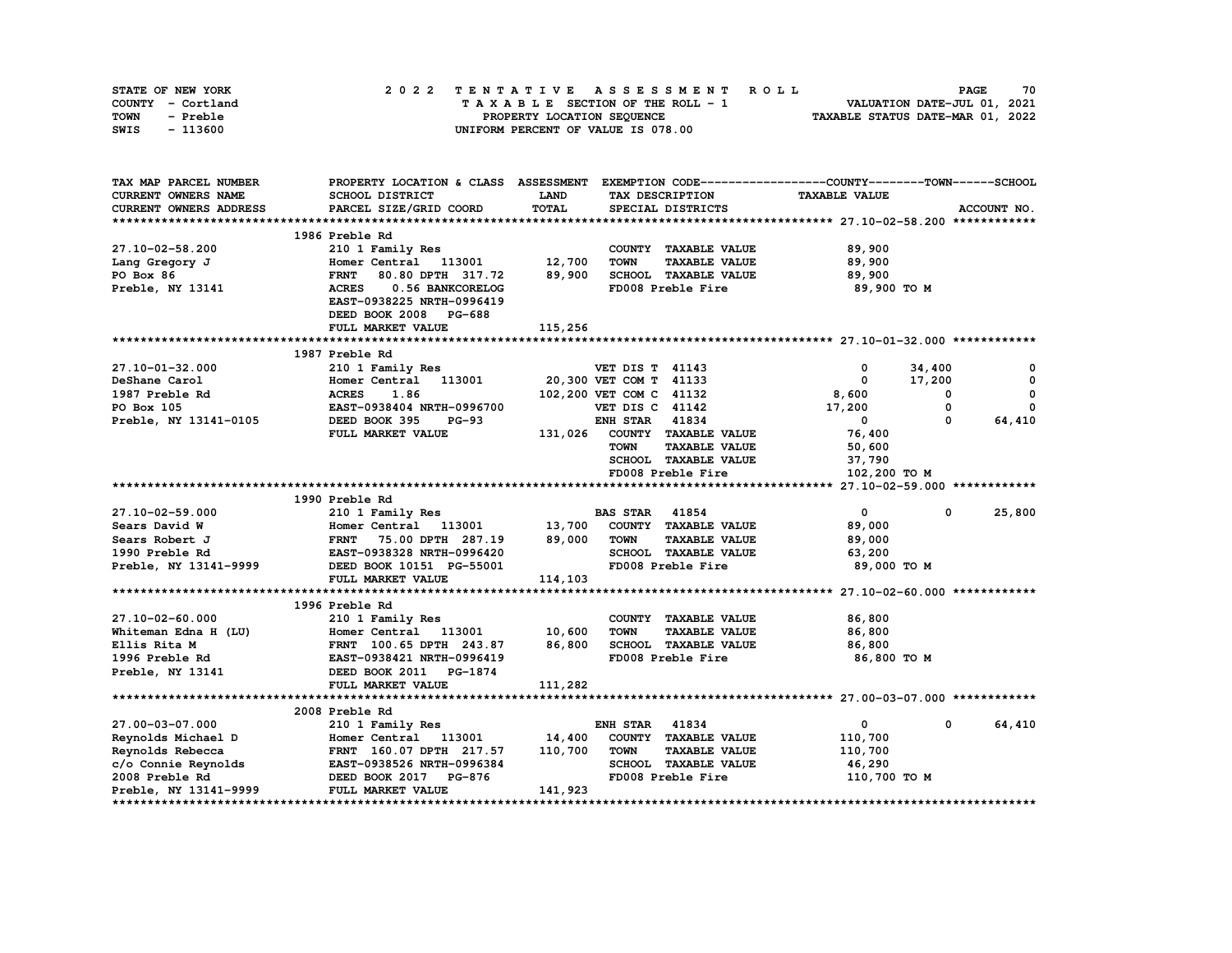| STATE OF NEW YORK | 2022 TENTATIVE ASSESSMENT ROLL     | 70<br><b>PAGE</b>                |
|-------------------|------------------------------------|----------------------------------|
| COUNTY - Cortland | TAXABLE SECTION OF THE ROLL - 1    | VALUATION DATE-JUL 01, 2021      |
| TOWN<br>- Preble  | PROPERTY LOCATION SEQUENCE         | TAXABLE STATUS DATE-MAR 01, 2022 |
| SWIS<br>- 113600  | UNIFORM PERCENT OF VALUE IS 078.00 |                                  |

| TAX MAP PARCEL NUMBER      | PROPERTY LOCATION & CLASS ASSESSMENT EXEMPTION CODE----------------COUNTY-------TOWN-----SCHOOL                                                                                                    |             |                                     |                         |             |             |
|----------------------------|----------------------------------------------------------------------------------------------------------------------------------------------------------------------------------------------------|-------------|-------------------------------------|-------------------------|-------------|-------------|
| <b>CURRENT OWNERS NAME</b> | SCHOOL DISTRICT                                                                                                                                                                                    | <b>LAND</b> | TAX DESCRIPTION                     | <b>TAXABLE VALUE</b>    |             |             |
| CURRENT OWNERS ADDRESS     | PARCEL SIZE/GRID COORD                                                                                                                                                                             | TOTAL       | SPECIAL DISTRICTS                   |                         |             | ACCOUNT NO. |
|                            |                                                                                                                                                                                                    |             |                                     |                         |             |             |
|                            | 1986 Preble Rd                                                                                                                                                                                     |             |                                     |                         |             |             |
| 27.10-02-58.200            | 210 1 Family Res                                                                                                                                                                                   |             | COUNTY TAXABLE VALUE                | 89,900                  |             |             |
| Lang Gregory J             | Homer Central 113001 12,700                                                                                                                                                                        |             | <b>TOWN</b><br><b>TAXABLE VALUE</b> | 89,900                  |             |             |
| PO Box 86                  | <b>FRNT</b><br>80.80 DPTH 317.72                                                                                                                                                                   | 89,900      | SCHOOL TAXABLE VALUE                | 89,900                  |             |             |
| Preble, NY 13141           | <b>ACRES</b><br>0.56 BANKCORELOG                                                                                                                                                                   |             | FD008 Preble Fire                   | 89,900 то м             |             |             |
|                            | EAST-0938225 NRTH-0996419                                                                                                                                                                          |             |                                     |                         |             |             |
|                            | DEED BOOK 2008 PG-688                                                                                                                                                                              |             |                                     |                         |             |             |
|                            | FULL MARKET VALUE                                                                                                                                                                                  | 115,256     |                                     |                         |             |             |
|                            |                                                                                                                                                                                                    |             |                                     |                         |             |             |
|                            | 1987 Preble Rd                                                                                                                                                                                     |             |                                     |                         |             |             |
| 27.10-01-32.000            | 210 1 Family Res                                                                                                                                                                                   |             | VET DIS T 41143                     | $\mathbf 0$             | 34,400      | 0           |
| DeShane Carol              | Homer Central 113001 20,300 VET COM T 41133                                                                                                                                                        |             |                                     | $\mathbf 0$             | 17,200      | $\mathbf 0$ |
| 1987 Preble Rd             | <b>ACRES</b><br>1.86                                                                                                                                                                               |             | 102,200 VET COM C 41132             | 8,600                   | $^{\circ}$  | $\mathbf 0$ |
| PO Box 105                 | EAST-0938404 NRTH-0996700                                                                                                                                                                          |             | VET DIS C 41142                     | 17,200                  | $\mathbf 0$ | 0           |
| Preble, NY 13141-0105      | DEED BOOK 395<br>$PG-93$                                                                                                                                                                           |             | <b>ENH STAR 41834</b>               | $\overline{\mathbf{0}}$ | $^{\circ}$  | 64,410      |
|                            | FULL MARKET VALUE                                                                                                                                                                                  |             | 131,026 COUNTY TAXABLE VALUE        | 76,400                  |             |             |
|                            |                                                                                                                                                                                                    |             | <b>TAXABLE VALUE</b><br><b>TOWN</b> | 50,600                  |             |             |
|                            |                                                                                                                                                                                                    |             | SCHOOL TAXABLE VALUE                | 37,790                  |             |             |
|                            |                                                                                                                                                                                                    |             | FD008 Preble Fire                   | 102,200 TO M            |             |             |
|                            |                                                                                                                                                                                                    |             |                                     |                         |             |             |
|                            | 1990 Preble Rd                                                                                                                                                                                     |             |                                     |                         |             |             |
| 27.10-02-59.000            | 210 1 Family Res                                                                                                                                                                                   |             | <b>BAS STAR 41854</b>               | $\mathbf 0$             | $\mathbf 0$ | 25,800      |
|                            | Homer Central 113001 13,700                                                                                                                                                                        |             | COUNTY TAXABLE VALUE                | 89,000                  |             |             |
|                            |                                                                                                                                                                                                    | 89,000      | <b>TAXABLE VALUE</b><br><b>TOWN</b> | 89,000                  |             |             |
|                            |                                                                                                                                                                                                    |             | SCHOOL TAXABLE VALUE                | 63,200                  |             |             |
|                            | From Central 113001<br>Sears Robert J<br>1990 Preble Rd<br>Preble, NY 13141-9999<br>DEED BOOK 10151 PG-55001                                                                                       |             | FD008 Preble Fire                   | 89,000 TO M             |             |             |
|                            | FULL MARKET VALUE                                                                                                                                                                                  | 114,103     |                                     |                         |             |             |
|                            |                                                                                                                                                                                                    |             |                                     |                         |             |             |
|                            | 1996 Preble Rd                                                                                                                                                                                     |             |                                     |                         |             |             |
| $27.10 - 02 - 60.000$      | 210 1 Family Res                                                                                                                                                                                   |             | COUNTY TAXABLE VALUE                | 86,800                  |             |             |
|                            | Homer Central 113001<br>Whiteman Edna H (LU) Homer Central 113001<br>Ellis Rita M FRNT 100.65 DPTH 243.87<br>1996 Preble Rd EAST-0938421 NRTH-0996419<br>Preble, NY 13141 DEED BOOK 2011 PG-1874   | 10,600      | <b>TOWN</b><br><b>TAXABLE VALUE</b> | 86,800                  |             |             |
|                            |                                                                                                                                                                                                    | 86,800      | SCHOOL TAXABLE VALUE                | 86,800                  |             |             |
|                            |                                                                                                                                                                                                    |             | FD008 Preble Fire                   | 86,800 то м             |             |             |
|                            |                                                                                                                                                                                                    |             |                                     |                         |             |             |
|                            | FULL MARKET VALUE                                                                                                                                                                                  | 111,282     |                                     |                         |             |             |
|                            |                                                                                                                                                                                                    |             |                                     |                         |             |             |
|                            | 2008 Preble Rd                                                                                                                                                                                     |             |                                     |                         |             |             |
| 27.00-03-07.000            | 210 1 Family Res                                                                                                                                                                                   |             | <b>ENH STAR 41834</b>               | $\overline{0}$          | $^{\circ}$  | 64,410      |
|                            | Expredict Solution of the Homer Central 113001 14,400<br>Reynolds Rebecca FRNT 160.07 DPTH 217.57 110,700<br>c/o Connie Reynolds EAST-0938526 NRTH-0996384<br>2008 Preble Rd DEED BOOK 2017 PG-876 |             | COUNTY TAXABLE VALUE                | 110,700                 |             |             |
|                            |                                                                                                                                                                                                    |             | TOWN<br><b>TAXABLE VALUE</b>        | 110,700                 |             |             |
|                            |                                                                                                                                                                                                    |             | SCHOOL TAXABLE VALUE                | 46,290                  |             |             |
|                            |                                                                                                                                                                                                    |             | FD008 Preble Fire 110,700 TO M      |                         |             |             |
| Preble, NY 13141-9999      | FULL MARKET VALUE                                                                                                                                                                                  | 141,923     |                                     |                         |             |             |
|                            |                                                                                                                                                                                                    |             |                                     |                         |             |             |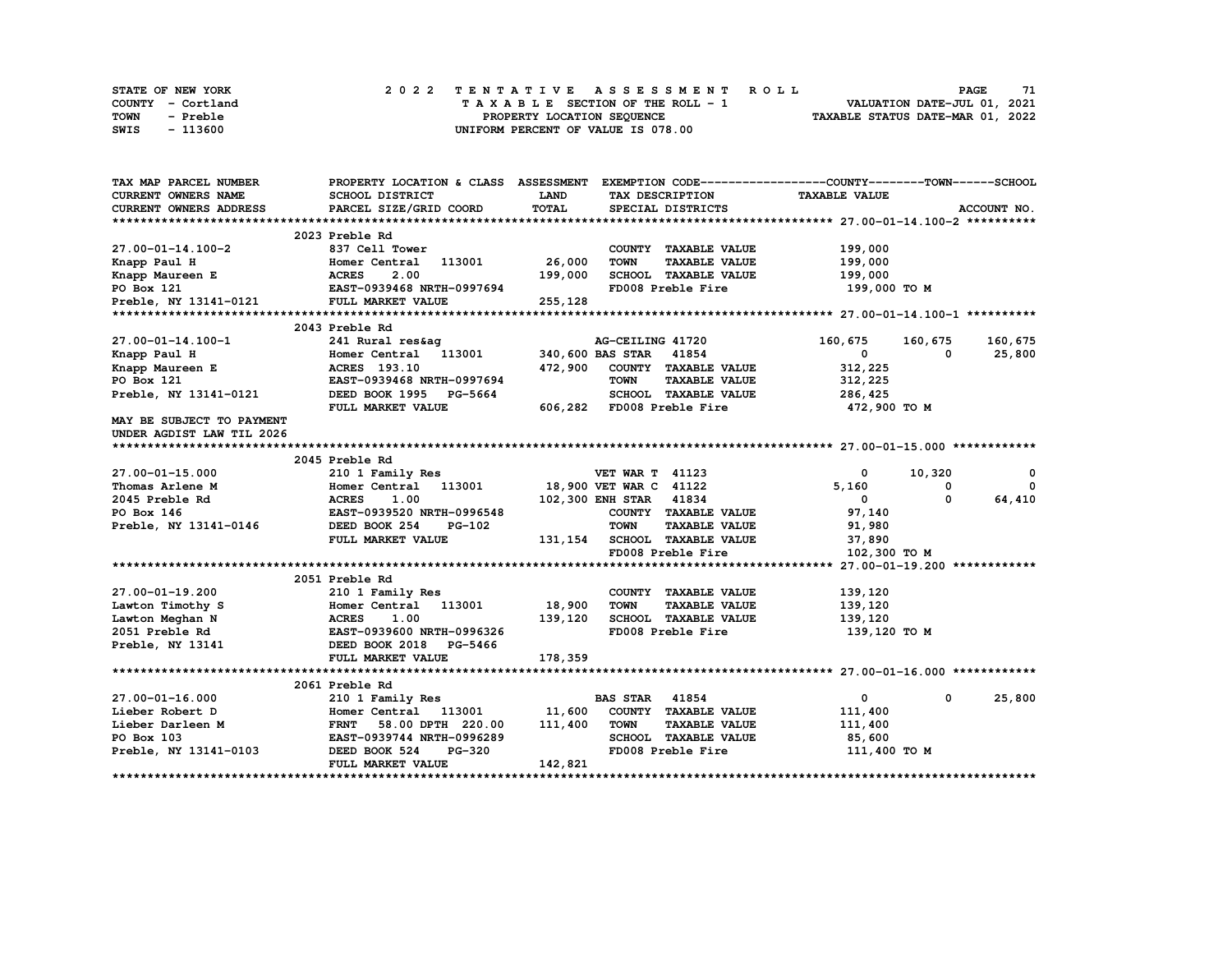| STATE OF NEW YORK | 2022 TENTATIVE ASSESSMENT ROLL     | 71<br><b>PAGE</b>                |
|-------------------|------------------------------------|----------------------------------|
| COUNTY - Cortland | TAXABLE SECTION OF THE ROLL - 1    | VALUATION DATE-JUL 01, 2021      |
| TOWN<br>- Preble  | PROPERTY LOCATION SEQUENCE         | TAXABLE STATUS DATE-MAR 01, 2022 |
| - 113600<br>SWIS  | UNIFORM PERCENT OF VALUE IS 078.00 |                                  |

| TAX MAP PARCEL NUMBER         |                                             |         |                                     | PROPERTY LOCATION & CLASS ASSESSMENT EXEMPTION CODE----------------COUNTY-------TOWN-----SCHOOL |             |
|-------------------------------|---------------------------------------------|---------|-------------------------------------|-------------------------------------------------------------------------------------------------|-------------|
| CURRENT OWNERS NAME           | SCHOOL DISTRICT                             | LAND    | TAX DESCRIPTION                     | <b>TAXABLE VALUE</b>                                                                            |             |
| CURRENT OWNERS ADDRESS        | PARCEL SIZE/GRID COORD                      | TOTAL   | SPECIAL DISTRICTS                   |                                                                                                 | ACCOUNT NO. |
|                               |                                             |         |                                     |                                                                                                 |             |
|                               | 2023 Preble Rd                              |         |                                     |                                                                                                 |             |
| 27.00-01-14.100-2             | 837 Cell Tower                              |         | COUNTY TAXABLE VALUE                | 199,000                                                                                         |             |
| Knapp Paul H                  | Homer Central 113001                        | 26,000  | <b>TOWN</b><br><b>TAXABLE VALUE</b> | 199,000                                                                                         |             |
| Knapp Maureen E<br>PO Box 121 | <b>ACRES</b><br>2.00                        | 199,000 | SCHOOL TAXABLE VALUE                | 199,000                                                                                         |             |
|                               | EAST-0939468 NRTH-0997694                   |         | FD008 Preble Fire                   | 199,000 то м                                                                                    |             |
| Preble, NY 13141-0121         | FULL MARKET VALUE                           | 255,128 |                                     |                                                                                                 |             |
|                               |                                             |         |                                     |                                                                                                 |             |
|                               | 2043 Preble Rd                              |         |                                     |                                                                                                 |             |
| 27.00-01-14.100-1             | 241 Rural res&aq                            |         | AG-CEILING 41720                    | 160,675<br>160,675                                                                              | 160,675     |
| Knapp Paul H                  | Homer Central 113001                        |         | 340,600 BAS STAR 41854              | $\mathbf{0}$<br>$^{\circ}$                                                                      | 25,800      |
| Knapp Maureen E               | ACRES 193.10                                | 472,900 | COUNTY TAXABLE VALUE                | 312,225                                                                                         |             |
| PO Box 121                    | EAST-0939468 NRTH-0997694                   |         | <b>TOWN</b><br><b>TAXABLE VALUE</b> | 312,225                                                                                         |             |
| Preble, NY 13141-0121         | DEED BOOK 1995 PG-5664                      |         | SCHOOL TAXABLE VALUE                | 286,425                                                                                         |             |
|                               | FULL MARKET VALUE                           |         | 606,282 FD008 Preble Fire           | 472,900 то м                                                                                    |             |
| MAY BE SUBJECT TO PAYMENT     |                                             |         |                                     |                                                                                                 |             |
| UNDER AGDIST LAW TIL 2026     |                                             |         |                                     |                                                                                                 |             |
|                               |                                             |         |                                     |                                                                                                 |             |
|                               | 2045 Preble Rd                              |         |                                     |                                                                                                 |             |
| 27.00-01-15.000               | 210 1 Family Res                            |         | <b>VET WAR T 41123</b>              | $^{\circ}$<br>10,320                                                                            | $^{\circ}$  |
| Thomas Arlene M               | Homer Central 113001 18,900 VET WAR C 41122 |         |                                     | 5,160<br>0                                                                                      | $^{\circ}$  |
| 2045 Preble Rd                | <b>ACRES</b><br>1.00                        |         | 102,300 ENH STAR 41834              | $\mathbf{0}$<br>$\Omega$                                                                        | 64,410      |
| PO Box 146                    | EAST-0939520 NRTH-0996548                   |         | COUNTY TAXABLE VALUE                | 97,140                                                                                          |             |
| Preble, NY 13141-0146         | DEED BOOK 254<br><b>PG-102</b>              |         | <b>TOWN</b><br><b>TAXABLE VALUE</b> | 91,980                                                                                          |             |
|                               | FULL MARKET VALUE                           |         | 131, 154 SCHOOL TAXABLE VALUE       |                                                                                                 |             |
|                               |                                             |         |                                     | 37,890                                                                                          |             |
|                               |                                             |         | FD008 Preble Fire                   | 102,300 TO M                                                                                    |             |
|                               |                                             |         |                                     |                                                                                                 |             |
|                               | 2051 Preble Rd                              |         |                                     |                                                                                                 |             |
| 27.00-01-19.200               | 210 1 Family Res                            |         | COUNTY TAXABLE VALUE                | 139,120                                                                                         |             |
| Lawton Timothy S              | Homer Central 113001                        | 18,900  | <b>TOWN</b><br><b>TAXABLE VALUE</b> | 139,120                                                                                         |             |
| Lawton Meghan N               | ACRES 1.00<br>EAST-0939600 NRTH-0996326     | 139,120 | <b>SCHOOL TAXABLE VALUE</b>         | 139,120                                                                                         |             |
| 2051 Preble Rd                |                                             |         | FD008 Preble Fire                   | 139,120 то м                                                                                    |             |
| Preble, NY 13141              | DEED BOOK 2018 PG-5466                      |         |                                     |                                                                                                 |             |
|                               | FULL MARKET VALUE                           | 178,359 |                                     |                                                                                                 |             |
|                               |                                             |         |                                     |                                                                                                 |             |
|                               | 2061 Preble Rd                              |         |                                     |                                                                                                 |             |
| 27.00-01-16.000               | 210 1 Family Res                            |         | <b>BAS STAR 41854</b>               | $\mathbf{0}$<br>$^{\circ}$                                                                      | 25,800      |
| Lieber Robert D               | Homer Central 113001                        | 11,600  | COUNTY TAXABLE VALUE                | 111,400                                                                                         |             |
| Lieber Darleen M              | FRNT 58.00 DPTH 220.00                      | 111,400 | <b>TOWN</b><br><b>TAXABLE VALUE</b> | 111,400                                                                                         |             |
| PO Box 103                    | EAST-0939744 NRTH-0996289                   |         | SCHOOL TAXABLE VALUE                | 85,600                                                                                          |             |
| Preble, NY 13141-0103         | <b>PG-320</b><br>DEED BOOK 524              |         | FD008 Preble Fire                   | 111,400 TO M                                                                                    |             |
|                               | FULL MARKET VALUE                           | 142,821 |                                     |                                                                                                 |             |
|                               |                                             |         |                                     |                                                                                                 |             |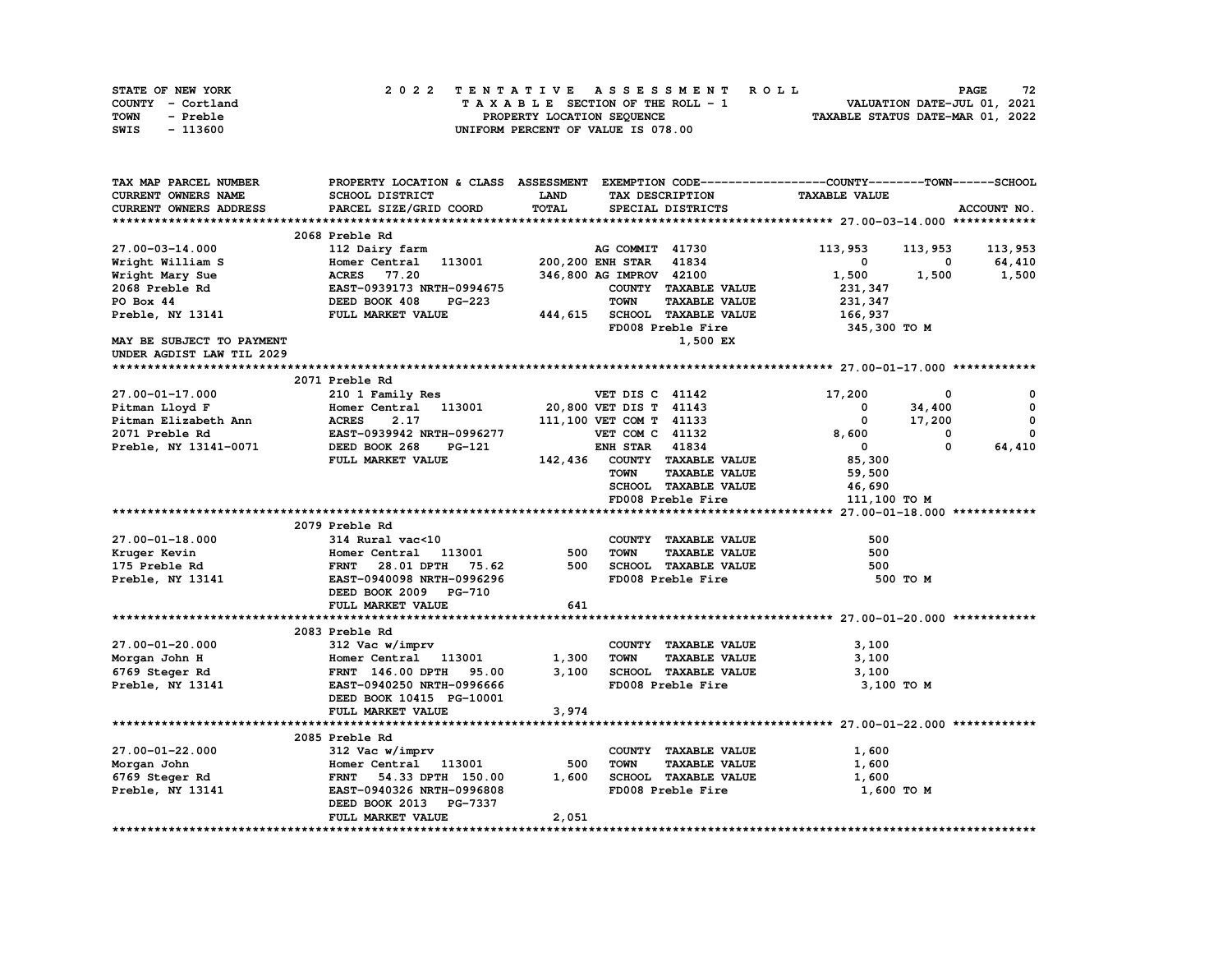| STATE OF NEW YORK | 2022 TENTATIVE ASSESSMENT ROLL     | 72<br><b>PAGE</b>                |
|-------------------|------------------------------------|----------------------------------|
| COUNTY - Cortland | TAXABLE SECTION OF THE ROLL - 1    | VALUATION DATE-JUL 01, 2021      |
| TOWN<br>- Preble  | PROPERTY LOCATION SEQUENCE         | TAXABLE STATUS DATE-MAR 01, 2022 |
| - 113600<br>SWIS  | UNIFORM PERCENT OF VALUE IS 078.00 |                                  |

| TAX MAP PARCEL NUMBER      | PROPERTY LOCATION & CLASS ASSESSMENT |              |                         |                             | EXEMPTION CODE-----------------COUNTY-------TOWN------SCHOOL |          |             |
|----------------------------|--------------------------------------|--------------|-------------------------|-----------------------------|--------------------------------------------------------------|----------|-------------|
| <b>CURRENT OWNERS NAME</b> | SCHOOL DISTRICT                      | <b>LAND</b>  |                         | TAX DESCRIPTION             | <b>TAXABLE VALUE</b>                                         |          |             |
| CURRENT OWNERS ADDRESS     | PARCEL SIZE/GRID COORD               | <b>TOTAL</b> |                         | SPECIAL DISTRICTS           |                                                              |          | ACCOUNT NO. |
|                            |                                      |              |                         |                             |                                                              |          |             |
|                            | 2068 Preble Rd                       |              |                         |                             |                                                              |          |             |
| 27.00-03-14.000            | 112 Dairy farm                       |              | AG COMMIT 41730         |                             | 113,953                                                      | 113,953  | 113,953     |
| Wright William S           | Homer Central<br>113001              |              | 200,200 ENH STAR        | 41834                       | 0                                                            | 0        | 64,410      |
| Wright Mary Sue            | <b>ACRES</b><br>77.20                |              | 346,800 AG IMPROV 42100 |                             | 1,500                                                        | 1,500    | 1,500       |
| 2068 Preble Rd             | EAST-0939173 NRTH-0994675            |              |                         | COUNTY TAXABLE VALUE        | 231,347                                                      |          |             |
| PO Box 44                  | DEED BOOK 408<br><b>PG-223</b>       |              | <b>TOWN</b>             | <b>TAXABLE VALUE</b>        | 231,347                                                      |          |             |
| Preble, NY 13141           | FULL MARKET VALUE                    | 444,615      |                         | <b>SCHOOL TAXABLE VALUE</b> | 166,937                                                      |          |             |
|                            |                                      |              |                         | FD008 Preble Fire           | 345,300 TO M                                                 |          |             |
| MAY BE SUBJECT TO PAYMENT  |                                      |              |                         | 1,500 EX                    |                                                              |          |             |
| UNDER AGDIST LAW TIL 2029  |                                      |              |                         |                             |                                                              |          |             |
|                            |                                      |              |                         |                             |                                                              |          |             |
|                            | 2071 Preble Rd                       |              |                         |                             |                                                              |          |             |
| 27.00-01-17.000            | 210 1 Family Res                     |              | VET DIS C 41142         |                             | 17,200                                                       | 0        | 0           |
| Pitman Lloyd F             | 113001<br>Homer Central              |              | 20,800 VET DIS T 41143  |                             | 0                                                            | 34,400   | 0           |
| Pitman Elizabeth Ann       | <b>ACRES</b><br>2.17                 |              | 111,100 VET COM T 41133 |                             | 0                                                            | 17,200   | $\mathbf 0$ |
| 2071 Preble Rd             | EAST-0939942 NRTH-0996277            |              | VET COM C 41132         |                             | 8,600                                                        | 0        | 0           |
| Preble, NY 13141-0071      | DEED BOOK 268<br><b>PG-121</b>       |              | <b>ENH STAR 41834</b>   |                             | 0                                                            | 0        | 64,410      |
|                            | FULL MARKET VALUE                    | 142,436      |                         | COUNTY TAXABLE VALUE        | 85,300                                                       |          |             |
|                            |                                      |              | TOWN                    | <b>TAXABLE VALUE</b>        | 59,500                                                       |          |             |
|                            |                                      |              |                         | SCHOOL TAXABLE VALUE        | 46,690                                                       |          |             |
|                            |                                      |              |                         | FD008 Preble Fire           | 111,100 TO M                                                 |          |             |
|                            |                                      |              |                         |                             |                                                              |          |             |
|                            | 2079 Preble Rd                       |              |                         |                             |                                                              |          |             |
| 27.00-01-18.000            | 314 Rural vac<10                     |              |                         | COUNTY TAXABLE VALUE        | 500                                                          |          |             |
| Kruger Kevin               | Homer Central<br>113001              | 500          | <b>TOWN</b>             | <b>TAXABLE VALUE</b>        | 500                                                          |          |             |
| 175 Preble Rd              | <b>FRNT</b><br>28.01 DPTH<br>75.62   | 500          |                         | SCHOOL TAXABLE VALUE        | 500                                                          |          |             |
| Preble, NY 13141           | EAST-0940098 NRTH-0996296            |              |                         | FD008 Preble Fire           |                                                              | 500 TO M |             |
|                            | DEED BOOK 2009 PG-710                |              |                         |                             |                                                              |          |             |
|                            | FULL MARKET VALUE                    | 641          |                         |                             |                                                              |          |             |
|                            |                                      |              |                         |                             |                                                              |          |             |
|                            | 2083 Preble Rd                       |              |                         |                             |                                                              |          |             |
| 27.00-01-20.000            | 312 Vac w/imprv                      |              |                         | COUNTY TAXABLE VALUE        | 3,100                                                        |          |             |
| Morgan John H              | Homer Central 113001                 | 1,300        | <b>TOWN</b>             | <b>TAXABLE VALUE</b>        | 3,100                                                        |          |             |
| 6769 Steger Rd             | 95.00<br><b>FRNT</b> 146.00 DPTH     | 3,100        |                         | SCHOOL TAXABLE VALUE        | 3,100                                                        |          |             |
| Preble, NY 13141           | EAST-0940250 NRTH-0996666            |              |                         | FD008 Preble Fire           | 3,100 TO M                                                   |          |             |
|                            | DEED BOOK 10415 PG-10001             |              |                         |                             |                                                              |          |             |
|                            | FULL MARKET VALUE                    | 3,974        |                         |                             |                                                              |          |             |
|                            |                                      |              |                         |                             |                                                              |          |             |
|                            | 2085 Preble Rd                       |              |                         |                             |                                                              |          |             |
| 27.00-01-22.000            | 312 Vac w/imprv                      |              |                         | COUNTY TAXABLE VALUE        | 1,600                                                        |          |             |
| Morgan John                | Homer Central 113001                 | 500          | <b>TOWN</b>             | <b>TAXABLE VALUE</b>        | 1,600                                                        |          |             |
| 6769 Steger Rd             | <b>FRNT</b><br>54.33 DPTH 150.00     | 1,600        |                         | SCHOOL TAXABLE VALUE        | 1,600                                                        |          |             |
| Preble, NY 13141           | EAST-0940326 NRTH-0996808            |              |                         | FD008 Preble Fire           | 1,600 TO M                                                   |          |             |
|                            | DEED BOOK 2013<br>PG-7337            |              |                         |                             |                                                              |          |             |
|                            | FULL MARKET VALUE                    | 2,051        |                         |                             |                                                              |          |             |
|                            |                                      |              |                         |                             |                                                              |          |             |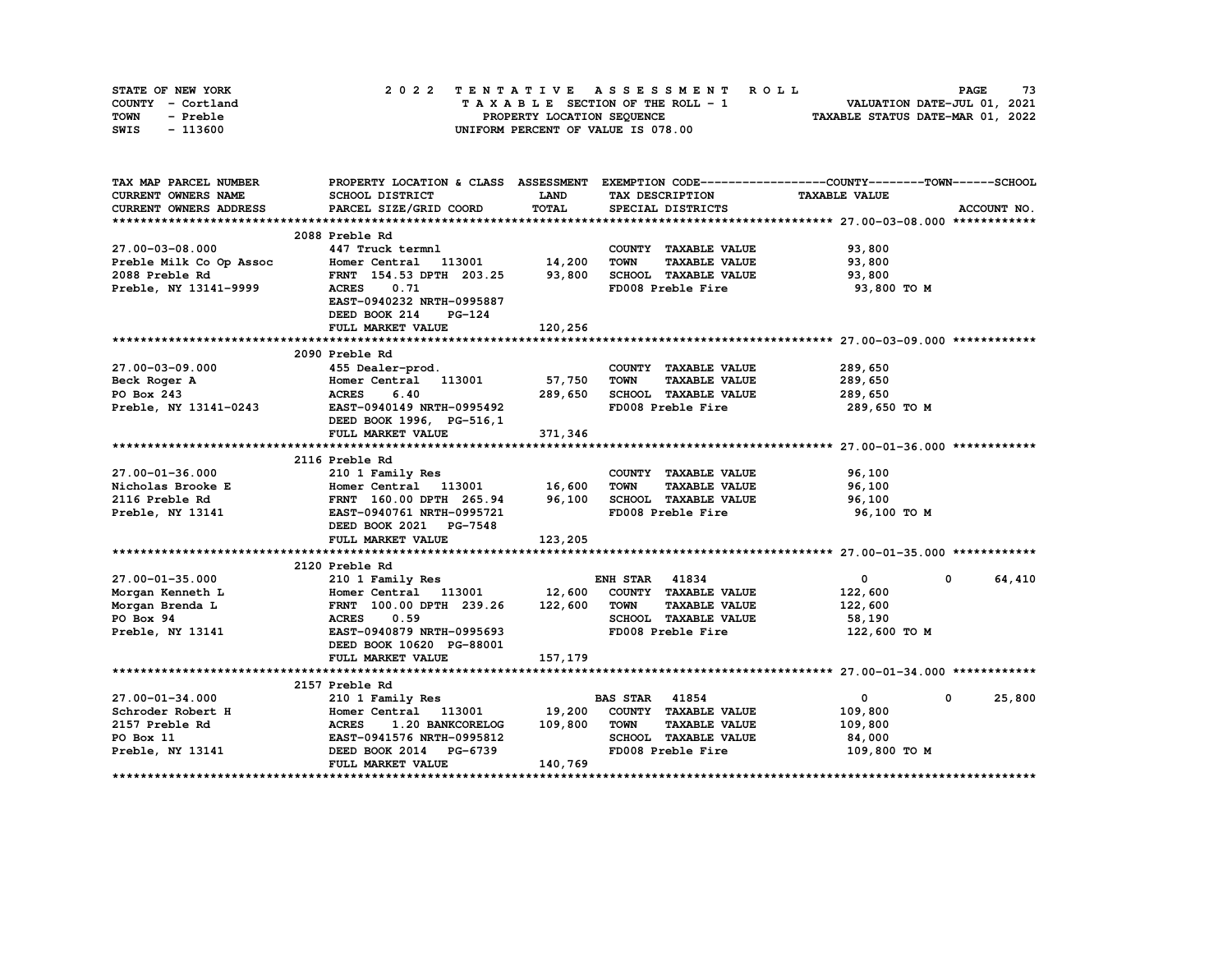| STATE OF NEW YORK | 2022 TENTATIVE ASSESSMENT ROLL     | 73<br><b>PAGE</b>                |
|-------------------|------------------------------------|----------------------------------|
| COUNTY - Cortland | TAXABLE SECTION OF THE ROLL - 1    | VALUATION DATE-JUL 01, 2021      |
| TOWN<br>- Preble  | PROPERTY LOCATION SEQUENCE         | TAXABLE STATUS DATE-MAR 01, 2022 |
| - 113600<br>SWIS  | UNIFORM PERCENT OF VALUE IS 078.00 |                                  |

| TAX MAP PARCEL NUMBER                |                                                                                |             |                                     | PROPERTY LOCATION & CLASS ASSESSMENT EXEMPTION CODE----------------COUNTY-------TOWN------SCHOOL |             |
|--------------------------------------|--------------------------------------------------------------------------------|-------------|-------------------------------------|--------------------------------------------------------------------------------------------------|-------------|
| CURRENT OWNERS NAME                  | SCHOOL DISTRICT                                                                | <b>LAND</b> | TAX DESCRIPTION                     | <b>TAXABLE VALUE</b>                                                                             |             |
| <b>CURRENT OWNERS ADDRESS</b>        | PARCEL SIZE/GRID COORD                                                         | TOTAL       | SPECIAL DISTRICTS                   |                                                                                                  | ACCOUNT NO. |
|                                      |                                                                                |             |                                     |                                                                                                  |             |
|                                      | 2088 Preble Rd                                                                 |             |                                     |                                                                                                  |             |
| 27.00-03-08.000                      | 447 Truck termnl                                                               |             | COUNTY TAXABLE VALUE                | 93,800                                                                                           |             |
| Preble Milk Co Op Assoc              | Homer Central 113001                                                           | 14,200      | <b>TOWN</b><br><b>TAXABLE VALUE</b> | 93,800                                                                                           |             |
| 2088 Preble Rd                       | FRNT 154.53 DPTH 203.25                                                        | 93,800      | SCHOOL TAXABLE VALUE                | 93,800                                                                                           |             |
| Preble, NY 13141-9999                | <b>ACRES</b><br>0.71                                                           |             | FD008 Preble Fire                   | 93,800 TO M                                                                                      |             |
|                                      | EAST-0940232 NRTH-0995887                                                      |             |                                     |                                                                                                  |             |
|                                      | DEED BOOK 214<br>$PG-124$                                                      |             |                                     |                                                                                                  |             |
|                                      | FULL MARKET VALUE                                                              | 120,256     |                                     |                                                                                                  |             |
|                                      |                                                                                |             |                                     |                                                                                                  |             |
|                                      | 2090 Preble Rd                                                                 |             |                                     |                                                                                                  |             |
| 27.00-03-09.000                      | 455 Dealer-prod.                                                               |             | COUNTY TAXABLE VALUE                | 289,650                                                                                          |             |
| Beck Roger A                         | Homer Central 113001                                                           | 57,750      | <b>TOWN</b><br><b>TAXABLE VALUE</b> | 289,650                                                                                          |             |
| PO Box 243                           | <b>ACRES</b><br>6.40                                                           | 289,650     | SCHOOL TAXABLE VALUE                | 289,650                                                                                          |             |
| Preble, NY 13141-0243                | EAST-0940149 NRTH-0995492                                                      |             | FD008 Preble Fire                   | 289,650 то м                                                                                     |             |
|                                      | DEED BOOK 1996, PG-516,1                                                       |             |                                     |                                                                                                  |             |
|                                      | FULL MARKET VALUE                                                              | 371,346     |                                     |                                                                                                  |             |
|                                      |                                                                                |             |                                     |                                                                                                  |             |
|                                      | 2116 Preble Rd                                                                 |             |                                     |                                                                                                  |             |
| 27.00-01-36.000                      | 210 1 Family Res                                                               |             | COUNTY TAXABLE VALUE                | 96,100                                                                                           |             |
| Nicholas Brooke E                    | Homer Central 113001 16,600                                                    |             | <b>TOWN</b><br><b>TAXABLE VALUE</b> | 96,100                                                                                           |             |
| 2116 Preble Rd                       | FRNT    160.00  DPTH    265.94            96,100<br>EAST-0940761  NRTH-0995721 |             | SCHOOL TAXABLE VALUE                | 96,100                                                                                           |             |
| Preble, NY 13141                     | EAST-0940761 NRTH-0995721                                                      |             | FD008 Preble Fire                   | 96,100 то м                                                                                      |             |
|                                      | DEED BOOK 2021 PG-7548                                                         |             |                                     |                                                                                                  |             |
|                                      | FULL MARKET VALUE                                                              | 123,205     |                                     |                                                                                                  |             |
|                                      |                                                                                |             |                                     |                                                                                                  |             |
|                                      | 2120 Preble Rd                                                                 |             |                                     |                                                                                                  |             |
| 27.00-01-35.000                      | 210 1 Family Res                                                               |             | <b>ENH STAR 41834</b>               | $\mathbf{0}$<br>$^{\circ}$                                                                       | 64,410      |
| Morgan Kenneth L                     | Homer Central 113001 12,600                                                    |             | COUNTY TAXABLE VALUE                | 122,600                                                                                          |             |
| Morgan Brenda L                      | FRNT 100.00 DPTH 239.26                                                        | 122,600     | <b>TOWN</b><br><b>TAXABLE VALUE</b> | 122,600                                                                                          |             |
| PO Box 94                            | <b>ACRES</b><br>0.59                                                           |             | SCHOOL TAXABLE VALUE                | 58,190                                                                                           |             |
| Preble, NY 13141                     | EAST-0940879 NRTH-0995693                                                      |             | FD008 Preble Fire                   | 122,600 TO M                                                                                     |             |
|                                      | DEED BOOK 10620 PG-88001                                                       |             |                                     |                                                                                                  |             |
|                                      | FULL MARKET VALUE                                                              | 157,179     |                                     |                                                                                                  |             |
|                                      | 2157 Preble Rd                                                                 |             |                                     |                                                                                                  |             |
|                                      |                                                                                |             | <b>BAS STAR 41854</b>               | $\overline{0}$                                                                                   | 25,800      |
| 27.00-01-34.000<br>Schroder Robert H | 210 1 Family Res<br>Homer Central 113001                                       | 19,200      | COUNTY TAXABLE VALUE                | $\mathbf{0}$<br>109,800                                                                          |             |
| 2157 Preble Rd                       | <b>ACRES</b><br><b>1.20 BANKCORELOG</b>                                        | 109,800     | <b>TOWN</b><br><b>TAXABLE VALUE</b> | 109,800                                                                                          |             |
| PO Box 11                            | EAST-0941576 NRTH-0995812                                                      |             | SCHOOL TAXABLE VALUE                | 84,000                                                                                           |             |
| Preble, NY 13141                     | DEED BOOK 2014 PG-6739                                                         |             | FD008 Preble Fire                   | 109,800 TO M                                                                                     |             |
|                                      | FULL MARKET VALUE                                                              | 140,769     |                                     |                                                                                                  |             |
|                                      |                                                                                |             |                                     |                                                                                                  |             |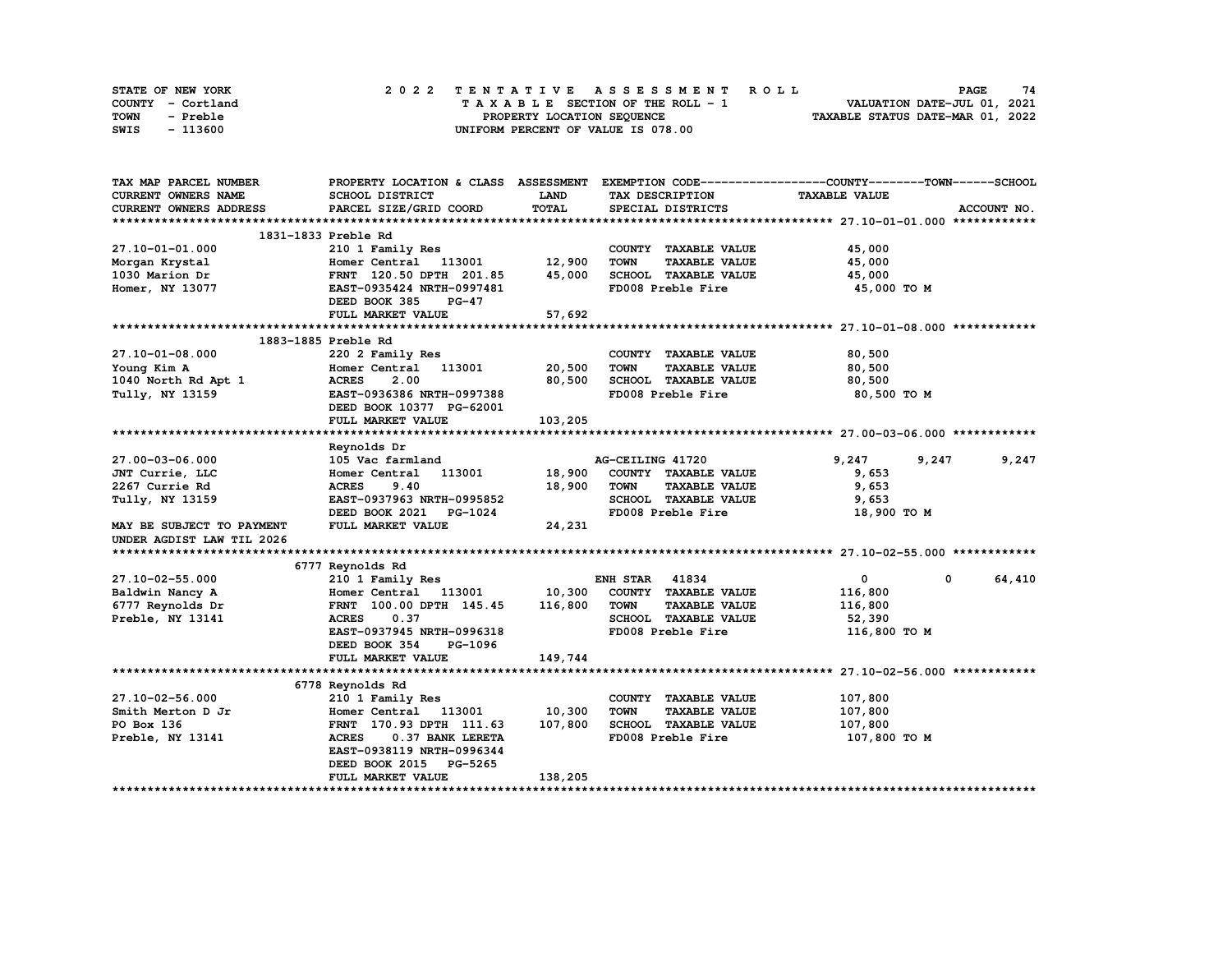| STATE OF NEW YORK | 2022 TENTATIVE ASSESSMENT ROLL     | 74<br><b>PAGE</b>                |
|-------------------|------------------------------------|----------------------------------|
| COUNTY - Cortland | TAXABLE SECTION OF THE ROLL - 1    | VALUATION DATE-JUL 01, 2021      |
| TOWN<br>- Preble  | PROPERTY LOCATION SEQUENCE         | TAXABLE STATUS DATE-MAR 01, 2022 |
| - 113600<br>SWIS  | UNIFORM PERCENT OF VALUE IS 078.00 |                                  |

| TAX MAP PARCEL NUMBER                  |                                                                                        |             |                                     | PROPERTY LOCATION & CLASS ASSESSMENT EXEMPTION CODE----------------COUNTY-------TOWN-----SCHOOL |             |
|----------------------------------------|----------------------------------------------------------------------------------------|-------------|-------------------------------------|-------------------------------------------------------------------------------------------------|-------------|
| CURRENT OWNERS NAME                    | SCHOOL DISTRICT                                                                        | <b>LAND</b> | TAX DESCRIPTION                     | <b>TAXABLE VALUE</b>                                                                            |             |
| CURRENT OWNERS ADDRESS                 | PARCEL SIZE/GRID COORD                                                                 | TOTAL       | SPECIAL DISTRICTS                   |                                                                                                 | ACCOUNT NO. |
|                                        |                                                                                        |             |                                     |                                                                                                 |             |
|                                        | 1831-1833 Preble Rd                                                                    |             |                                     |                                                                                                 |             |
| 27.10-01-01.000                        | 210 1 Family Res                                                                       |             | COUNTY TAXABLE VALUE                | 45,000                                                                                          |             |
| Morgan Krystal                         | Homer Central 113001 12,900                                                            |             | <b>TOWN</b><br><b>TAXABLE VALUE</b> | 45,000                                                                                          |             |
| 1030 Marion Dr                         | FRNT 120.50 DPTH 201.85<br>EAST-0935424 NRTH-0997481<br>FRNT 120.50 DPTH 201.85 45,000 |             | SCHOOL TAXABLE VALUE                | 45,000                                                                                          |             |
| Homer, NY 13077                        |                                                                                        |             | FD008 Preble Fire                   | 45,000 TO M                                                                                     |             |
|                                        | DEED BOOK 385<br>$PG-47$                                                               |             |                                     |                                                                                                 |             |
|                                        | FULL MARKET VALUE                                                                      | 57,692      |                                     |                                                                                                 |             |
|                                        |                                                                                        |             |                                     |                                                                                                 |             |
|                                        | 1883-1885 Preble Rd                                                                    |             |                                     |                                                                                                 |             |
| 27.10-01-08.000                        | 220 2 Family Res                                                                       |             | COUNTY TAXABLE VALUE                | 80,500                                                                                          |             |
| Young Kim A                            | Homer Central 113001 20,500                                                            |             | <b>TAXABLE VALUE</b><br><b>TOWN</b> | 80,500                                                                                          |             |
| 1040 North Rd Apt 1<br>Tully, NY 13159 | <b>ACRES</b><br>2.00                                                                   | 80,500      | SCHOOL TAXABLE VALUE                | 80,500                                                                                          |             |
|                                        | EAST-0936386 NRTH-0997388                                                              |             | FD008 Preble Fire                   | 80,500 TO M                                                                                     |             |
|                                        | DEED BOOK 10377 PG-62001                                                               |             |                                     |                                                                                                 |             |
|                                        | FULL MARKET VALUE                                                                      | 103,205     |                                     |                                                                                                 |             |
|                                        |                                                                                        |             |                                     |                                                                                                 |             |
|                                        | Reynolds Dr                                                                            |             |                                     |                                                                                                 |             |
| 27.00-03-06.000                        | 105 Vac farmland                                                                       |             | AG-CEILING 41720                    | 9,247<br>9,247                                                                                  | 9,247       |
| JNT Currie, LLC                        | Homer Central 113001                                                                   |             | 18,900 COUNTY TAXABLE VALUE         | 9,653                                                                                           |             |
| 2267 Currie Rd                         | <b>ACRES</b><br>9.40                                                                   | 18,900      | <b>TOWN</b><br><b>TAXABLE VALUE</b> | 9,653                                                                                           |             |
| Tully, NY 13159                        | EAST-0937963 NRTH-0995852                                                              |             | SCHOOL TAXABLE VALUE                | 9,653                                                                                           |             |
|                                        | DEED BOOK 2021 PG-1024                                                                 |             | FD008 Preble Fire                   | 18,900 TO M                                                                                     |             |
| MAY BE SUBJECT TO PAYMENT              | FULL MARKET VALUE                                                                      | 24,231      |                                     |                                                                                                 |             |
| UNDER AGDIST LAW TIL 2026              |                                                                                        |             |                                     |                                                                                                 |             |
|                                        |                                                                                        |             |                                     |                                                                                                 |             |
|                                        | 6777 Reynolds Rd                                                                       |             |                                     |                                                                                                 |             |
| 27.10-02-55.000                        | 210 1 Family Res                                                                       |             | <b>ENH STAR 41834</b>               | $\mathbf{0}$<br>$\mathbf 0$                                                                     | 64,410      |
| Baldwin Nancy A                        | Homer Central 113001 10,300                                                            |             | COUNTY TAXABLE VALUE                | 116,800                                                                                         |             |
| 6777 Reynolds Dr                       | FRNT 100.00 DPTH 145.45 116,800                                                        |             | <b>TOWN</b><br><b>TAXABLE VALUE</b> | 116,800                                                                                         |             |
| Preble, NY 13141                       | <b>ACRES</b><br>0.37                                                                   |             | SCHOOL TAXABLE VALUE                | 52,390                                                                                          |             |
|                                        | EAST-0937945 NRTH-0996318                                                              |             | FD008 Preble Fire                   | 116,800 TO M                                                                                    |             |
|                                        | DEED BOOK 354<br>PG-1096                                                               |             |                                     |                                                                                                 |             |
|                                        | FULL MARKET VALUE                                                                      | 149,744     |                                     |                                                                                                 |             |
|                                        |                                                                                        |             |                                     |                                                                                                 |             |
|                                        | 6778 Reynolds Rd                                                                       |             |                                     |                                                                                                 |             |
| 27.10-02-56.000                        | 210 1 Family Res                                                                       |             | COUNTY TAXABLE VALUE                | 107,800                                                                                         |             |
| Smith Merton D Jr                      | Homer Central 113001 10,300                                                            |             | <b>TAXABLE VALUE</b><br><b>TOWN</b> | 107,800                                                                                         |             |
| PO Box 136                             | FRNT 170.93 DPTH 111.63                                                                | 107,800     | SCHOOL TAXABLE VALUE                | 107,800                                                                                         |             |
| Preble, NY 13141                       | <b>ACRES</b><br>0.37 BANK LERETA                                                       |             | FD008 Preble Fire                   | 107,800 TO M                                                                                    |             |
|                                        | EAST-0938119 NRTH-0996344                                                              |             |                                     |                                                                                                 |             |
|                                        | DEED BOOK 2015 PG-5265                                                                 |             |                                     |                                                                                                 |             |
|                                        | FULL MARKET VALUE                                                                      | 138,205     |                                     |                                                                                                 |             |
|                                        |                                                                                        |             |                                     |                                                                                                 |             |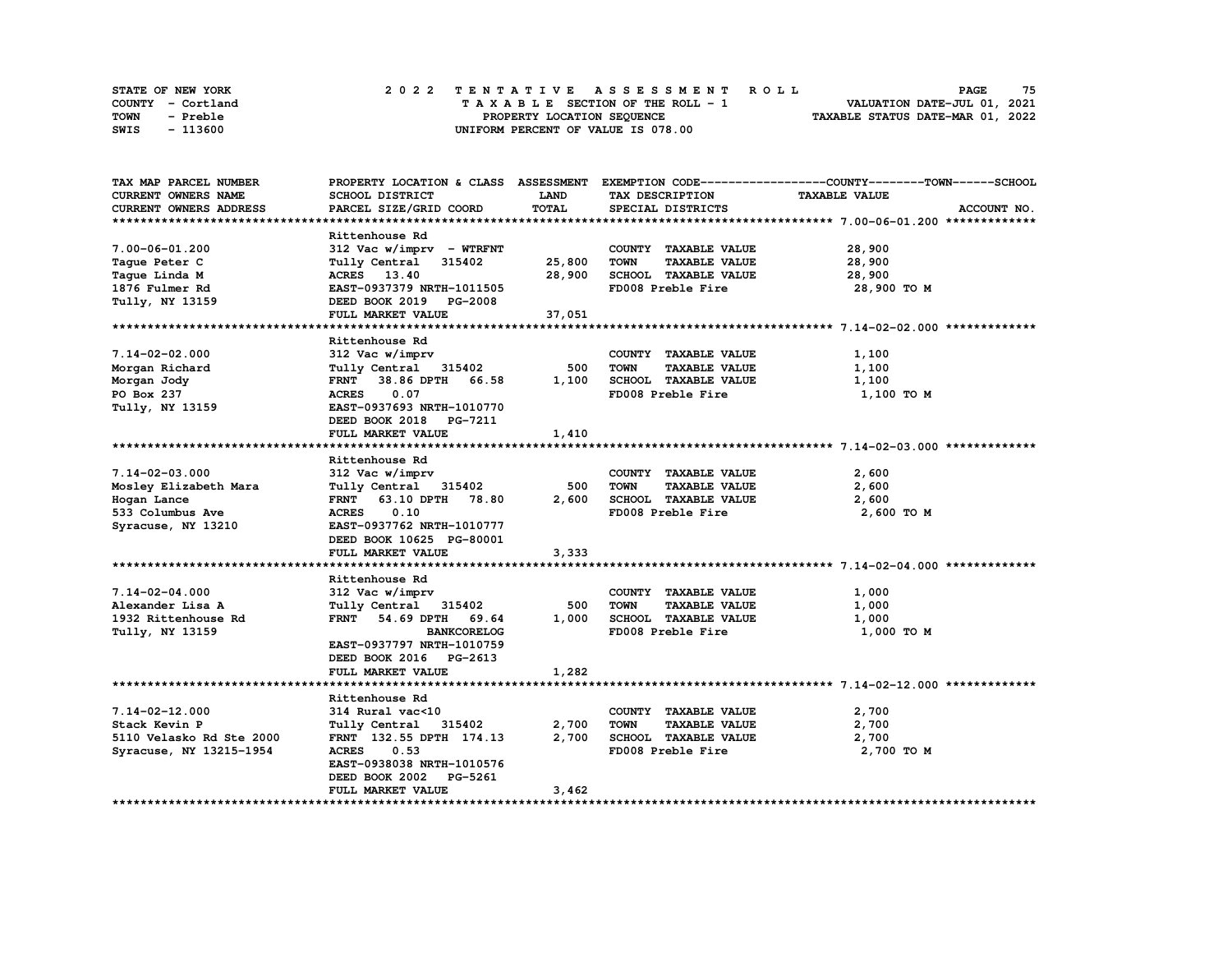| STATE OF NEW YORK | 2022 TENTATIVE ASSESSMENT ROLL     | 75<br><b>PAGE</b>                |
|-------------------|------------------------------------|----------------------------------|
| COUNTY - Cortland | TAXABLE SECTION OF THE ROLL - 1    | VALUATION DATE-JUL 01, 2021      |
| TOWN<br>- Preble  | PROPERTY LOCATION SEQUENCE         | TAXABLE STATUS DATE-MAR 01, 2022 |
| - 113600<br>SWIS  | UNIFORM PERCENT OF VALUE IS 078.00 |                                  |

| TAX MAP PARCEL NUMBER      | PROPERTY LOCATION & CLASS ASSESSMENT |             |                                     | EXEMPTION CODE-----------------COUNTY-------TOWN------SCHOOL |
|----------------------------|--------------------------------------|-------------|-------------------------------------|--------------------------------------------------------------|
| <b>CURRENT OWNERS NAME</b> | SCHOOL DISTRICT                      | <b>LAND</b> | TAX DESCRIPTION                     | <b>TAXABLE VALUE</b>                                         |
| CURRENT OWNERS ADDRESS     | PARCEL SIZE/GRID COORD               | TOTAL       | SPECIAL DISTRICTS                   | ACCOUNT NO.                                                  |
| ************************** |                                      |             |                                     |                                                              |
|                            | Rittenhouse Rd                       |             |                                     |                                                              |
| $7.00 - 06 - 01.200$       | $312$ Vac w/imprv - WTRFNT           |             | COUNTY TAXABLE VALUE                | 28,900                                                       |
| Taque Peter C              | Tully Central 315402                 | 25,800      | <b>TOWN</b><br><b>TAXABLE VALUE</b> | 28,900                                                       |
| Taque Linda M              | ACRES 13.40                          | 28,900      | SCHOOL TAXABLE VALUE                | 28,900                                                       |
| 1876 Fulmer Rd             | EAST-0937379 NRTH-1011505            |             | FD008 Preble Fire                   | 28,900 TO M                                                  |
| Tully, NY 13159            | DEED BOOK 2019 PG-2008               |             |                                     |                                                              |
|                            | FULL MARKET VALUE                    | 37,051      |                                     |                                                              |
|                            |                                      |             |                                     |                                                              |
|                            | Rittenhouse Rd                       |             |                                     |                                                              |
| $7.14 - 02 - 02.000$       | 312 Vac w/imprv                      |             | COUNTY TAXABLE VALUE                | 1,100                                                        |
| Morgan Richard             | Tully Central 315402                 | 500         | <b>TAXABLE VALUE</b><br><b>TOWN</b> | 1,100                                                        |
|                            | 38.86 DPTH 66.58<br><b>FRNT</b>      | 1,100       | SCHOOL TAXABLE VALUE                | 1,100                                                        |
| Morgan Jody<br>PO Box 237  | <b>ACRES</b><br>0.07                 |             | FD008 Preble Fire                   |                                                              |
|                            | EAST-0937693 NRTH-1010770            |             |                                     | 1,100 TO M                                                   |
| Tully, NY 13159            |                                      |             |                                     |                                                              |
|                            | DEED BOOK 2018 PG-7211               |             |                                     |                                                              |
|                            | FULL MARKET VALUE                    | 1,410       |                                     |                                                              |
|                            |                                      |             |                                     |                                                              |
|                            | Rittenhouse Rd                       |             |                                     |                                                              |
| $7.14 - 02 - 03.000$       | 312 Vac w/imprv                      |             | COUNTY TAXABLE VALUE                | 2,600                                                        |
| Mosley Elizabeth Mara      | Tully Central 315402                 | 500         | <b>TAXABLE VALUE</b><br><b>TOWN</b> | 2,600                                                        |
| Hogan Lance                | 63.10 DPTH 78.80<br><b>FRNT</b>      | 2,600       | SCHOOL TAXABLE VALUE                | 2,600                                                        |
| 533 Columbus Ave           | 0.10<br><b>ACRES</b>                 |             | FD008 Preble Fire                   | 2,600 TO M                                                   |
| Syracuse, NY 13210         | EAST-0937762 NRTH-1010777            |             |                                     |                                                              |
|                            | DEED BOOK 10625 PG-80001             |             |                                     |                                                              |
|                            | FULL MARKET VALUE                    | 3,333       |                                     |                                                              |
|                            |                                      |             |                                     |                                                              |
|                            | Rittenhouse Rd                       |             |                                     |                                                              |
| $7.14 - 02 - 04.000$       | 312 Vac w/imprv                      |             | COUNTY TAXABLE VALUE                | 1,000                                                        |
| Alexander Lisa A           | Tully Central 315402                 | 500         | <b>TOWN</b><br><b>TAXABLE VALUE</b> | 1,000                                                        |
| 1932 Rittenhouse Rd        | FRNT 54.69 DPTH 69.64                | 1,000       | SCHOOL TAXABLE VALUE                | 1,000                                                        |
| Tully, NY 13159            | <b>BANKCORELOG</b>                   |             | FD008 Preble Fire                   | 1,000 TO M                                                   |
|                            | EAST-0937797 NRTH-1010759            |             |                                     |                                                              |
|                            | DEED BOOK 2016 PG-2613               |             |                                     |                                                              |
|                            | FULL MARKET VALUE                    | 1,282       |                                     |                                                              |
|                            |                                      |             |                                     |                                                              |
|                            | Rittenhouse Rd                       |             |                                     |                                                              |
| $7.14 - 02 - 12.000$       | 314 Rural vac<10                     |             | COUNTY TAXABLE VALUE                | 2,700                                                        |
| Stack Kevin P              | Tully Central 315402                 | 2,700       | <b>TOWN</b><br><b>TAXABLE VALUE</b> | 2,700                                                        |
| 5110 Velasko Rd Ste 2000   | FRNT 132.55 DPTH 174.13              | 2,700       | SCHOOL TAXABLE VALUE                | 2,700                                                        |
| Syracuse, NY 13215-1954    | <b>ACRES</b><br>0.53                 |             | FD008 Preble Fire                   | 2,700 TO M                                                   |
|                            | EAST-0938038 NRTH-1010576            |             |                                     |                                                              |
|                            | DEED BOOK 2002<br>PG-5261            |             |                                     |                                                              |
|                            | FULL MARKET VALUE                    | 3,462       |                                     |                                                              |
|                            |                                      |             |                                     |                                                              |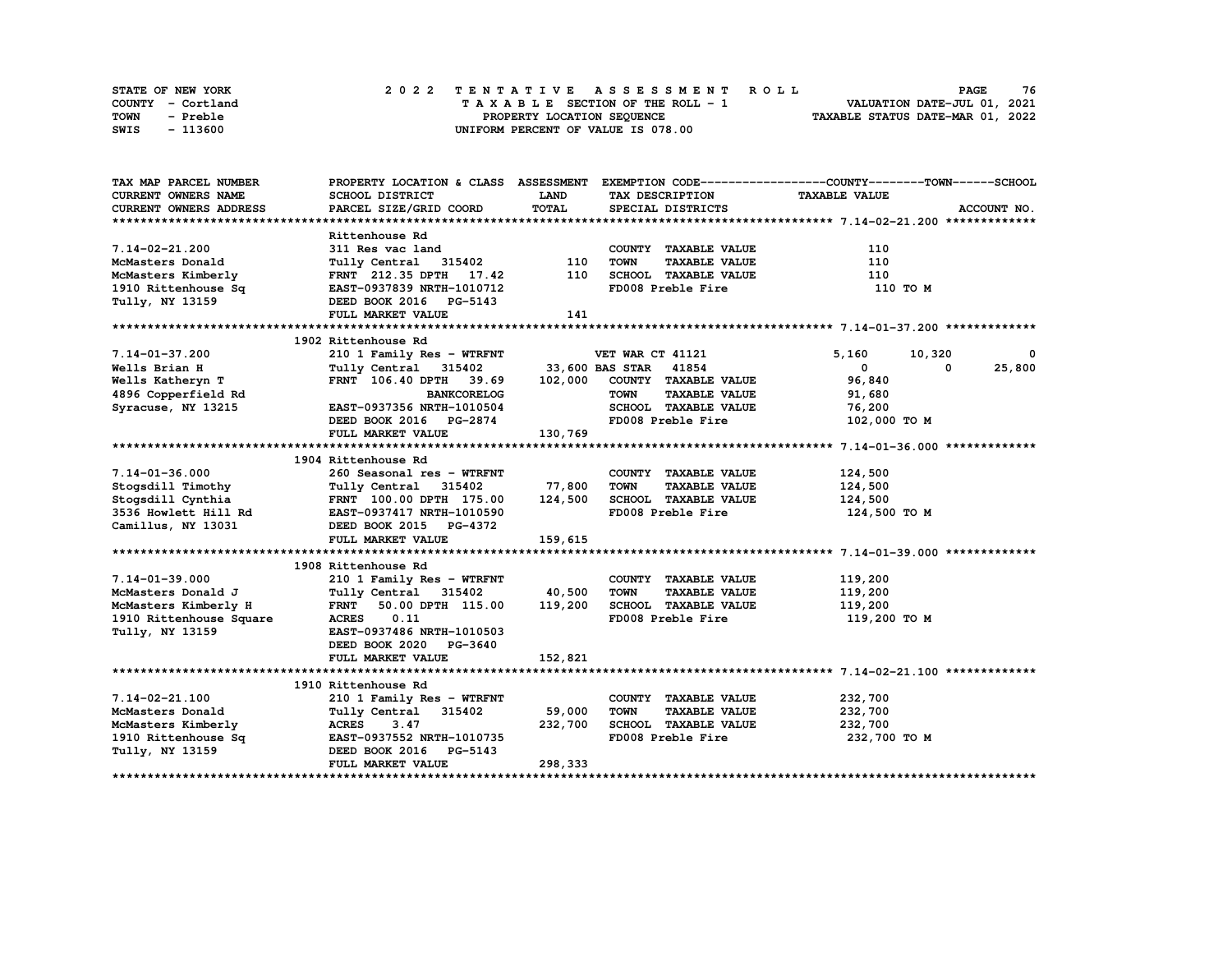| STATE OF NEW YORK | 2022 TENTATIVE ASSESSMENT ROLL     | 76<br><b>PAGE</b>                |
|-------------------|------------------------------------|----------------------------------|
| COUNTY - Cortland | TAXABLE SECTION OF THE ROLL - 1    | VALUATION DATE-JUL 01, 2021      |
| TOWN<br>- Preble  | PROPERTY LOCATION SEQUENCE         | TAXABLE STATUS DATE-MAR 01, 2022 |
| - 113600<br>SWIS  | UNIFORM PERCENT OF VALUE IS 078.00 |                                  |

| TAX MAP PARCEL NUMBER                                        |                                                          |             |                                     | PROPERTY LOCATION & CLASS ASSESSMENT EXEMPTION CODE----------------COUNTY-------TOWN-----SCHOOL |
|--------------------------------------------------------------|----------------------------------------------------------|-------------|-------------------------------------|-------------------------------------------------------------------------------------------------|
| <b>CURRENT OWNERS NAME</b>                                   | <b>SCHOOL DISTRICT</b>                                   | <b>LAND</b> | TAX DESCRIPTION                     | <b>TAXABLE VALUE</b>                                                                            |
| <b>CURRENT OWNERS ADDRESS</b>                                | PARCEL SIZE/GRID COORD                                   | TOTAL       | SPECIAL DISTRICTS                   | ACCOUNT NO.                                                                                     |
|                                                              |                                                          |             |                                     |                                                                                                 |
|                                                              | Rittenhouse Rd                                           |             |                                     |                                                                                                 |
| $7.14 - 02 - 21.200$                                         | 311 Res vac land                                         |             | COUNTY TAXABLE VALUE                | 110                                                                                             |
| McMasters Donald                                             | Tully Central 315402                                     | 110         | TOWN<br><b>TAXABLE VALUE</b>        | 110                                                                                             |
| McMasters Kimberly                                           | FRNT 212.35 DPTH 17.42                                   | 110         | SCHOOL TAXABLE VALUE                | 110                                                                                             |
| 1910 Rittenhouse Sq                                          | EAST-0937839 NRTH-1010712                                |             | FD008 Preble Fire                   | 110 TO M                                                                                        |
| Tully, NY 13159                                              | DEED BOOK 2016 PG-5143                                   |             |                                     |                                                                                                 |
|                                                              | FULL MARKET VALUE                                        | 141         |                                     |                                                                                                 |
|                                                              |                                                          |             |                                     |                                                                                                 |
|                                                              | 1902 Rittenhouse Rd                                      |             |                                     |                                                                                                 |
| 7.14-01-37.200                                               |                                                          |             | VET WAR CT 41121                    | 5,160<br>10,320<br>0                                                                            |
| Wells Brian H                                                | % 210 1 Family Res - WTRFNT<br>Tully Central 315402 33,6 |             | 33,600 BAS STAR 41854               | $\mathbf{0}$<br>25,800<br>0                                                                     |
| Wells Katheryn T                                             | FRNT 106.40 DPTH 39.69                                   |             | 102,000 COUNTY TAXABLE VALUE        | 96,840                                                                                          |
| 4896 Copperfield Rd                                          | <b>BANKCORELOG</b>                                       |             | <b>TOWN</b><br><b>TAXABLE VALUE</b> | 91,680                                                                                          |
| Syracuse, NY 13215                                           | EAST-0937356 NRTH-1010504                                |             | SCHOOL TAXABLE VALUE                | 76,200                                                                                          |
|                                                              | DEED BOOK 2016 PG-2874                                   |             | FD008 Preble Fire                   | 102,000 TO M                                                                                    |
|                                                              | FULL MARKET VALUE                                        | 130,769     |                                     |                                                                                                 |
|                                                              |                                                          |             |                                     |                                                                                                 |
|                                                              | 1904 Rittenhouse Rd                                      |             |                                     |                                                                                                 |
| $7.14 - 01 - 36.000$                                         | 260 Seasonal res - WTRFNT                                |             | COUNTY TAXABLE VALUE                | 124,500                                                                                         |
| Stogsdill Timothy                                            | Tully Central 315402 77,800                              |             | <b>TOWN</b><br><b>TAXABLE VALUE</b> | 124,500                                                                                         |
|                                                              |                                                          | 124,500     | SCHOOL TAXABLE VALUE                | 124,500                                                                                         |
|                                                              |                                                          |             | FD008 Preble Fire                   | 124,500 TO M                                                                                    |
| Camillus, NY 13031 DEED BOOK 2015 PG-4372                    |                                                          |             |                                     |                                                                                                 |
|                                                              | FULL MARKET VALUE                                        | 159,615     |                                     |                                                                                                 |
|                                                              |                                                          |             |                                     |                                                                                                 |
|                                                              | 1908 Rittenhouse Rd                                      |             |                                     |                                                                                                 |
| $7.14 - 01 - 39.000$                                         | 210 1 Family Res - WTRFNT                                |             | COUNTY TAXABLE VALUE                | 119,200                                                                                         |
| McMasters Donald J                                           | Tully Central 315402 40,500                              |             | <b>TOWN</b><br><b>TAXABLE VALUE</b> | 119,200                                                                                         |
| McMasters Kimberly H                                         | 50.00 DPTH 115.00<br><b>FRNT</b>                         | 119,200     | SCHOOL TAXABLE VALUE                | 119,200                                                                                         |
| 1910 Rittenhouse Square                                      | <b>ACRES</b><br>0.11                                     |             | FD008 Preble Fire                   | 119,200 то м                                                                                    |
| Tully, NY 13159                                              | EAST-0937486 NRTH-1010503                                |             |                                     |                                                                                                 |
|                                                              | DEED BOOK 2020 PG-3640                                   |             |                                     |                                                                                                 |
|                                                              | FULL MARKET VALUE                                        | 152,821     |                                     |                                                                                                 |
|                                                              |                                                          |             |                                     |                                                                                                 |
|                                                              | 1910 Rittenhouse Rd                                      |             |                                     |                                                                                                 |
| $7.14 - 02 - 21.100$                                         |                                                          |             | COUNTY TAXABLE VALUE                | 232,700                                                                                         |
| McMasters Donald                                             | 210 1 Family Res - WTRFNT<br>Tully Central 315402        | 59,000      | <b>TOWN</b><br><b>TAXABLE VALUE</b> | 232,700                                                                                         |
|                                                              | ACRES 3.47                                               | 232,700     | SCHOOL TAXABLE VALUE                | 232,700                                                                                         |
|                                                              |                                                          |             |                                     | 232,700 TO M                                                                                    |
| McMasters Kimberly<br>1910 Rittenhouse Sq<br>Tully, NY 13159 | EAST-0937552 NRTH-1010735                                |             | FD008 Preble Fire                   |                                                                                                 |
|                                                              | DEED BOOK 2016 PG-5143                                   |             |                                     |                                                                                                 |
|                                                              | FULL MARKET VALUE                                        | 298,333     |                                     |                                                                                                 |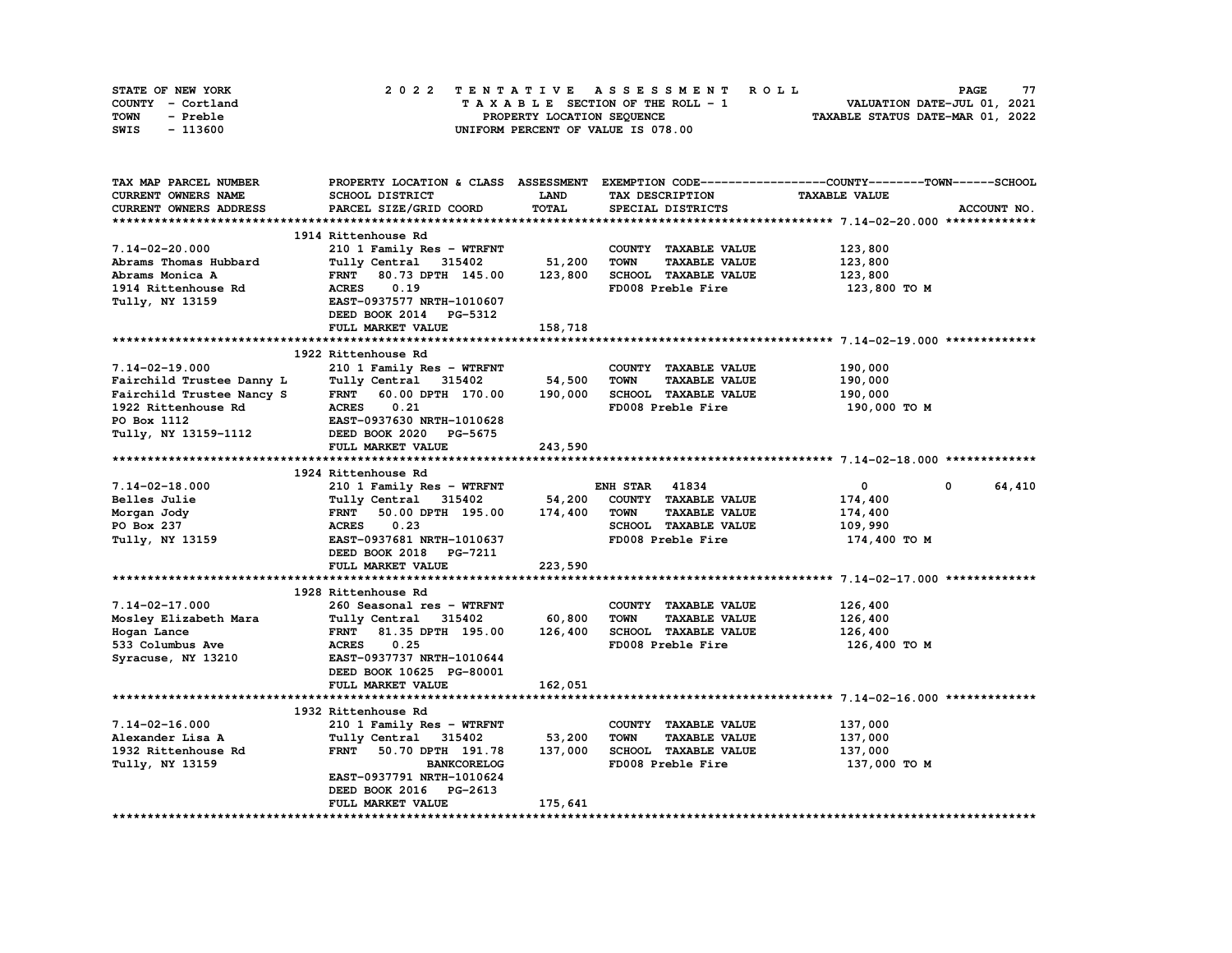| STATE OF NEW YORK | 2022 TENTATIVE ASSESSMENT ROLL     | 77<br><b>PAGE</b>                |
|-------------------|------------------------------------|----------------------------------|
| COUNTY - Cortland | TAXABLE SECTION OF THE ROLL - 1    | VALUATION DATE-JUL 01, 2021      |
| TOWN<br>- Preble  | PROPERTY LOCATION SEQUENCE         | TAXABLE STATUS DATE-MAR 01, 2022 |
| - 113600<br>SWIS  | UNIFORM PERCENT OF VALUE IS 078.00 |                                  |

| TAX MAP PARCEL NUMBER         | PROPERTY LOCATION & CLASS ASSESSMENT |             |                                     | EXEMPTION CODE-----------------COUNTY-------TOWN-----SCHOOL |
|-------------------------------|--------------------------------------|-------------|-------------------------------------|-------------------------------------------------------------|
| <b>CURRENT OWNERS NAME</b>    | SCHOOL DISTRICT                      | <b>LAND</b> | TAX DESCRIPTION                     | <b>TAXABLE VALUE</b>                                        |
| <b>CURRENT OWNERS ADDRESS</b> | PARCEL SIZE/GRID COORD               | TOTAL       | SPECIAL DISTRICTS                   | ACCOUNT NO.                                                 |
|                               |                                      |             |                                     |                                                             |
|                               | 1914 Rittenhouse Rd                  |             |                                     |                                                             |
| $7.14 - 02 - 20.000$          | 210 1 Family Res - WTRFNT            |             | COUNTY TAXABLE VALUE                | 123,800                                                     |
| Abrams Thomas Hubbard         | Tully Central 315402                 | 51,200      | <b>TOWN</b><br><b>TAXABLE VALUE</b> | 123,800                                                     |
| Abrams Monica A               | FRNT 80.73 DPTH 145.00               | 123,800     | SCHOOL TAXABLE VALUE                | 123,800                                                     |
| 1914 Rittenhouse Rd           | <b>ACRES</b><br>0.19                 |             | FD008 Preble Fire                   | 123,800 то м                                                |
| Tully, NY 13159               | EAST-0937577 NRTH-1010607            |             |                                     |                                                             |
|                               | DEED BOOK 2014 PG-5312               |             |                                     |                                                             |
|                               | FULL MARKET VALUE                    | 158,718     |                                     |                                                             |
|                               |                                      |             |                                     |                                                             |
|                               | 1922 Rittenhouse Rd                  |             |                                     |                                                             |
| $7.14 - 02 - 19.000$          | 210 1 Family Res - WTRFNT            |             | COUNTY TAXABLE VALUE                | 190,000                                                     |
|                               |                                      | 54,500      | <b>TOWN</b><br><b>TAXABLE VALUE</b> |                                                             |
| Fairchild Trustee Danny L     | Tully Central 315402                 |             |                                     | 190,000                                                     |
| Fairchild Trustee Nancy S     | FRNT 60.00 DPTH 170.00               | 190,000     | SCHOOL TAXABLE VALUE                | 190,000                                                     |
| 1922 Rittenhouse Rd           | <b>ACRES</b><br>0.21                 |             | FD008 Preble Fire                   | 190,000 то м                                                |
| PO Box 1112                   | EAST-0937630 NRTH-1010628            |             |                                     |                                                             |
| Tully, NY 13159-1112          | DEED BOOK 2020 PG-5675               |             |                                     |                                                             |
|                               | FULL MARKET VALUE                    | 243,590     |                                     |                                                             |
|                               |                                      |             |                                     |                                                             |
|                               | 1924 Rittenhouse Rd                  |             |                                     |                                                             |
| $7.14 - 02 - 18.000$          | 210 1 Family Res - WTRFNT            |             | <b>ENH STAR 41834</b>               | $\mathbf 0$<br>$\mathbf{0}$<br>64,410                       |
| Belles Julie                  | Tully Central 315402                 | 54,200      | COUNTY TAXABLE VALUE                | 174,400                                                     |
| Morgan Jody                   | FRNT 50.00 DPTH 195.00 174,400       |             | <b>TOWN</b><br><b>TAXABLE VALUE</b> | 174,400                                                     |
| PO Box 237                    | 0.23<br><b>ACRES</b>                 |             | SCHOOL TAXABLE VALUE                | 109,990                                                     |
| Tully, NY 13159               | EAST-0937681 NRTH-1010637            |             | FD008 Preble Fire                   | 174,400 TO M                                                |
|                               | DEED BOOK 2018 PG-7211               |             |                                     |                                                             |
|                               | FULL MARKET VALUE                    | 223,590     |                                     |                                                             |
|                               |                                      |             |                                     |                                                             |
|                               | 1928 Rittenhouse Rd                  |             |                                     |                                                             |
| 7.14-02-17.000                | 260 Seasonal res - WTRFNT            |             | COUNTY TAXABLE VALUE                | 126,400                                                     |
| Mosley Elizabeth Mara         | Tully Central 315402                 | 60,800      | <b>TOWN</b><br><b>TAXABLE VALUE</b> | 126,400                                                     |
| Hogan Lance                   | FRNT 81.35 DPTH 195.00               | 126,400     | SCHOOL TAXABLE VALUE                | 126,400                                                     |
| 533 Columbus Ave              | <b>ACRES</b><br>0.25                 |             | FD008 Preble Fire                   | 126,400 то м                                                |
| Syracuse, NY 13210            | EAST-0937737 NRTH-1010644            |             |                                     |                                                             |
|                               | DEED BOOK 10625 PG-80001             |             |                                     |                                                             |
|                               | FULL MARKET VALUE                    | 162,051     |                                     |                                                             |
|                               |                                      |             |                                     |                                                             |
|                               | 1932 Rittenhouse Rd                  |             |                                     |                                                             |
| $7.14 - 02 - 16.000$          | 210 1 Family Res - WTRFNT            |             | COUNTY TAXABLE VALUE                | 137,000                                                     |
| Alexander Lisa A              | Tully Central 315402                 | 53,200      | <b>TOWN</b><br><b>TAXABLE VALUE</b> | 137,000                                                     |
| 1932 Rittenhouse Rd           | FRNT 50.70 DPTH 191.78               | 137,000     | SCHOOL TAXABLE VALUE                | 137,000                                                     |
|                               | <b>BANKCORELOG</b>                   |             | FD008 Preble Fire                   | 137,000 то м                                                |
| Tully, NY 13159               |                                      |             |                                     |                                                             |
|                               | EAST-0937791 NRTH-1010624            |             |                                     |                                                             |
|                               | DEED BOOK 2016 PG-2613               |             |                                     |                                                             |
|                               | FULL MARKET VALUE                    | 175,641     |                                     |                                                             |
|                               |                                      |             |                                     |                                                             |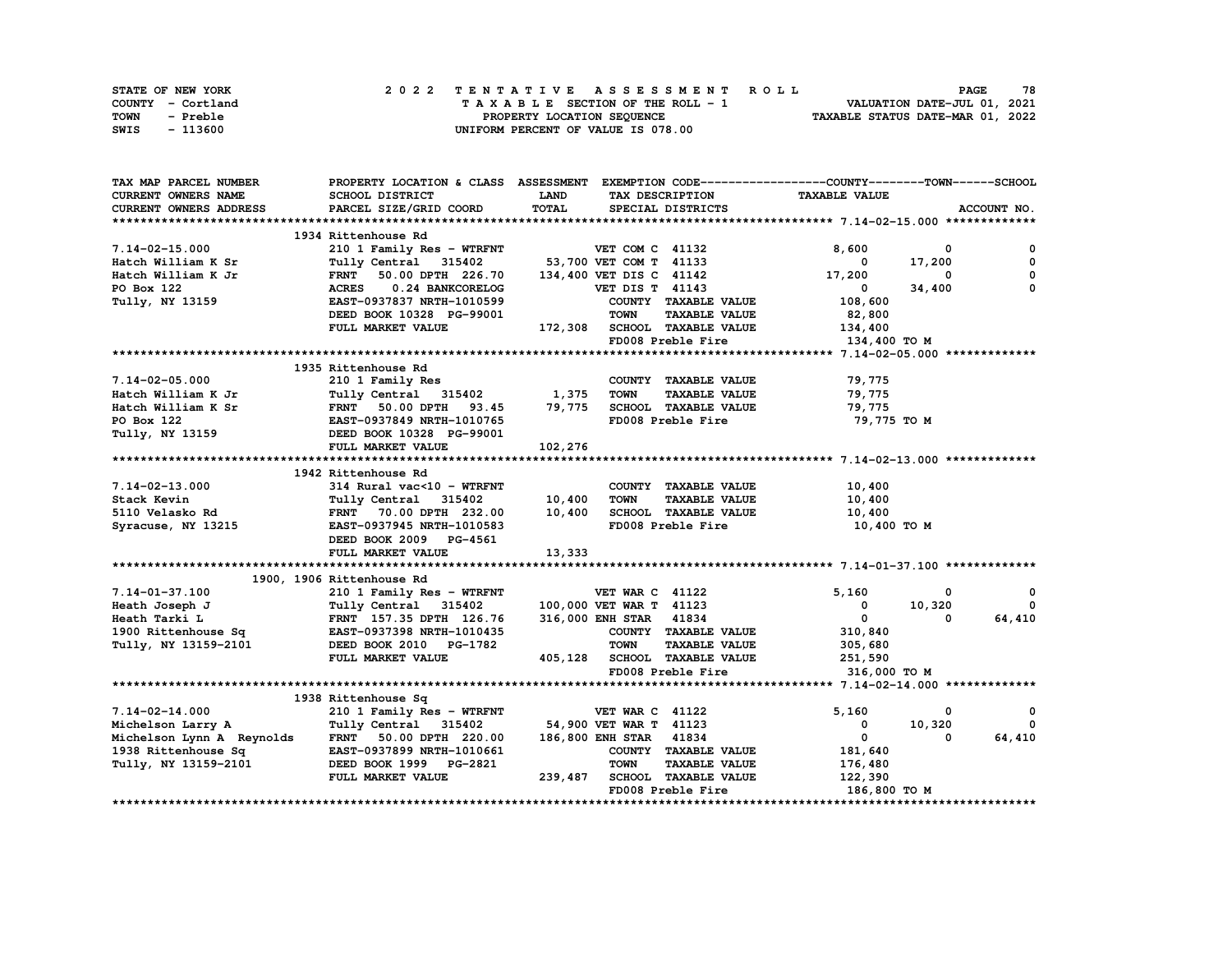| STATE OF NEW YORK | 2022 TENTATIVE ASSESSMENT ROLL     | 78<br><b>PAGE</b>                |
|-------------------|------------------------------------|----------------------------------|
| COUNTY - Cortland | TAXABLE SECTION OF THE ROLL - 1    | VALUATION DATE-JUL 01, 2021      |
| TOWN<br>- Preble  | PROPERTY LOCATION SEQUENCE         | TAXABLE STATUS DATE-MAR 01, 2022 |
| - 113600<br>SWIS  | UNIFORM PERCENT OF VALUE IS 078.00 |                                  |

| TAX MAP PARCEL NUMBER         | PROPERTY LOCATION & CLASS ASSESSMENT                                           |              |                              |                      | EXEMPTION CODE------------------COUNTY-------TOWN------SCHOOL |          |              |
|-------------------------------|--------------------------------------------------------------------------------|--------------|------------------------------|----------------------|---------------------------------------------------------------|----------|--------------|
| CURRENT OWNERS NAME           | SCHOOL DISTRICT                                                                | LAND         | TAX DESCRIPTION              |                      | <b>TAXABLE VALUE</b>                                          |          |              |
| <b>CURRENT OWNERS ADDRESS</b> | PARCEL SIZE/GRID COORD                                                         | <b>TOTAL</b> | SPECIAL DISTRICTS            |                      |                                                               |          | ACCOUNT NO.  |
|                               |                                                                                |              |                              |                      |                                                               |          |              |
|                               | 1934 Rittenhouse Rd                                                            |              |                              |                      |                                                               |          |              |
| $7.14 - 02 - 15.000$          | 210 1 Family Res - WTRFNT VET COM C 41132                                      |              |                              |                      | 8,600                                                         | 0        | 0            |
| Hatch William K Sr            | Tully Central 315402                                                           |              | 53,700 VET COM T 41133       |                      | 0                                                             | 17,200   | 0            |
| Hatch William K Jr            | FRNT 50.00 DPTH 226.70                                                         |              | 134,400 VET DIS C 41142      |                      | 17,200                                                        | 0        | $\mathbf 0$  |
| PO Box 122                    | <b>ACRES</b><br>0.24 BANKCORELOG                                               |              | <b>VET DIS T 41143</b>       |                      | $\mathbf{0}$                                                  | 34,400   | $\Omega$     |
|                               | EAST-0937837 NRTH-1010599                                                      |              |                              | COUNTY TAXABLE VALUE | 108,600                                                       |          |              |
| Tully, NY 13159               |                                                                                |              |                              |                      |                                                               |          |              |
|                               | DEED BOOK 10328 PG-99001                                                       |              | <b>TOWN</b>                  | <b>TAXABLE VALUE</b> | 82,800                                                        |          |              |
|                               | FULL MARKET VALUE                                                              |              | 172,308 SCHOOL TAXABLE VALUE |                      | 134,400                                                       |          |              |
|                               |                                                                                |              | FD008 Preble Fire            |                      | 134,400 TO M                                                  |          |              |
|                               |                                                                                |              |                              |                      |                                                               |          |              |
|                               | 1935 Rittenhouse Rd                                                            |              |                              |                      |                                                               |          |              |
| $7.14 - 02 - 05.000$          | 210 1 Family Res                                                               |              | COUNTY TAXABLE VALUE         |                      | 79,775                                                        |          |              |
| Hatch William K Jr            | Tully Central 315402                                                           | 1,375        | <b>TOWN</b>                  | <b>TAXABLE VALUE</b> | 79,775                                                        |          |              |
| Hatch William K Sr            |                                                                                | 79, 775      |                              | SCHOOL TAXABLE VALUE | 79,775                                                        |          |              |
| PO Box 122                    | FRNT 50.00 DFTH 93.45<br>EAST-0937849 NRTH-1010765<br>DEED BOOK 10328 PG-99001 |              | FD008 Preble Fire            |                      | 79,775 TO M                                                   |          |              |
| Tully, NY 13159               | DEED BOOK 10328 PG-99001                                                       |              |                              |                      |                                                               |          |              |
|                               | FULL MARKET VALUE                                                              | 102,276      |                              |                      |                                                               |          |              |
|                               |                                                                                |              |                              |                      |                                                               |          |              |
|                               | 1942 Rittenhouse Rd                                                            |              |                              |                      |                                                               |          |              |
| $7.14 - 02 - 13.000$          | 314 Rural vac<10 - WTRFNT                                                      |              |                              | COUNTY TAXABLE VALUE | 10,400                                                        |          |              |
| Stack Kevin                   | Tully Central 315402                                                           | 10,400       | <b>TOWN</b>                  | <b>TAXABLE VALUE</b> | 10,400                                                        |          |              |
| 5110 Velasko Rd               | FRNT 70.00 DPTH 232.00                                                         | 10,400       |                              | SCHOOL TAXABLE VALUE | 10,400                                                        |          |              |
| Syracuse, NY 13215            | EAST-0937945 NRTH-1010583                                                      |              | FD008 Preble Fire            |                      | 10,400 TO M                                                   |          |              |
|                               |                                                                                |              |                              |                      |                                                               |          |              |
|                               | DEED BOOK 2009 PG-4561                                                         |              |                              |                      |                                                               |          |              |
|                               | FULL MARKET VALUE                                                              | 13,333       |                              |                      |                                                               |          |              |
|                               |                                                                                |              |                              |                      |                                                               |          |              |
|                               | 1900, 1906 Rittenhouse Rd                                                      |              |                              |                      |                                                               |          |              |
| 7.14-01-37.100                | 210 1 Family Res - WTRFNT                                                      |              | <b>VET WAR C 41122</b>       |                      | 5,160                                                         | 0        | 0            |
| Heath Joseph J                | Tully Central 315402                                                           |              | 100,000 VET WAR T 41123      |                      | $\mathbf 0$                                                   | 10,320   | $^{\circ}$   |
| Heath Tarki L                 | FRNT 157.35 DPTH 126.76                                                        |              | 316,000 ENH STAR 41834       |                      | $\mathbf 0$                                                   | $\Omega$ | 64,410       |
| 1900 Rittenhouse Sq           | EAST-0937398 NRTH-1010435                                                      |              |                              | COUNTY TAXABLE VALUE | 310,840                                                       |          |              |
| Tully, NY 13159-2101          | DEED BOOK 2010 PG-1782                                                         |              | <b>TOWN</b>                  | <b>TAXABLE VALUE</b> | 305,680                                                       |          |              |
|                               | FULL MARKET VALUE                                                              |              | 405,128 SCHOOL TAXABLE VALUE |                      | 251,590                                                       |          |              |
|                               |                                                                                |              | FD008 Preble Fire            |                      | 316,000 TO M                                                  |          |              |
|                               |                                                                                |              |                              |                      |                                                               |          |              |
|                               | 1938 Rittenhouse Sq                                                            |              |                              |                      |                                                               |          |              |
| $7.14 - 02 - 14.000$          | 210 1 Family Res - WTRFNT                                                      |              | <b>VET WAR C 41122</b>       |                      | 5,160                                                         | 0        | 0            |
| Michelson Larry A             | Tully Central 315402                                                           |              | 54,900 VET WAR T 41123       |                      | 0                                                             | 10,320   | $\mathbf{0}$ |
| Michelson Lynn A Reynolds     | FRNT 50.00 DPTH 220.00                                                         |              | 186,800 ENH STAR 41834       |                      | 0                                                             | 0        | 64,410       |
| 1938 Rittenhouse Sq           | EAST-0937899 NRTH-1010661                                                      |              |                              | COUNTY TAXABLE VALUE | 181,640                                                       |          |              |
| Tully, NY 13159-2101          | DEED BOOK 1999 PG-2821                                                         |              | <b>TOWN</b>                  | <b>TAXABLE VALUE</b> | 176,480                                                       |          |              |
|                               | FULL MARKET VALUE                                                              | 239,487      | <b>SCHOOL TAXABLE VALUE</b>  |                      |                                                               |          |              |
|                               |                                                                                |              |                              |                      | 122,390                                                       |          |              |
|                               |                                                                                |              | FD008 Preble Fire            |                      | 186,800 TO M                                                  |          |              |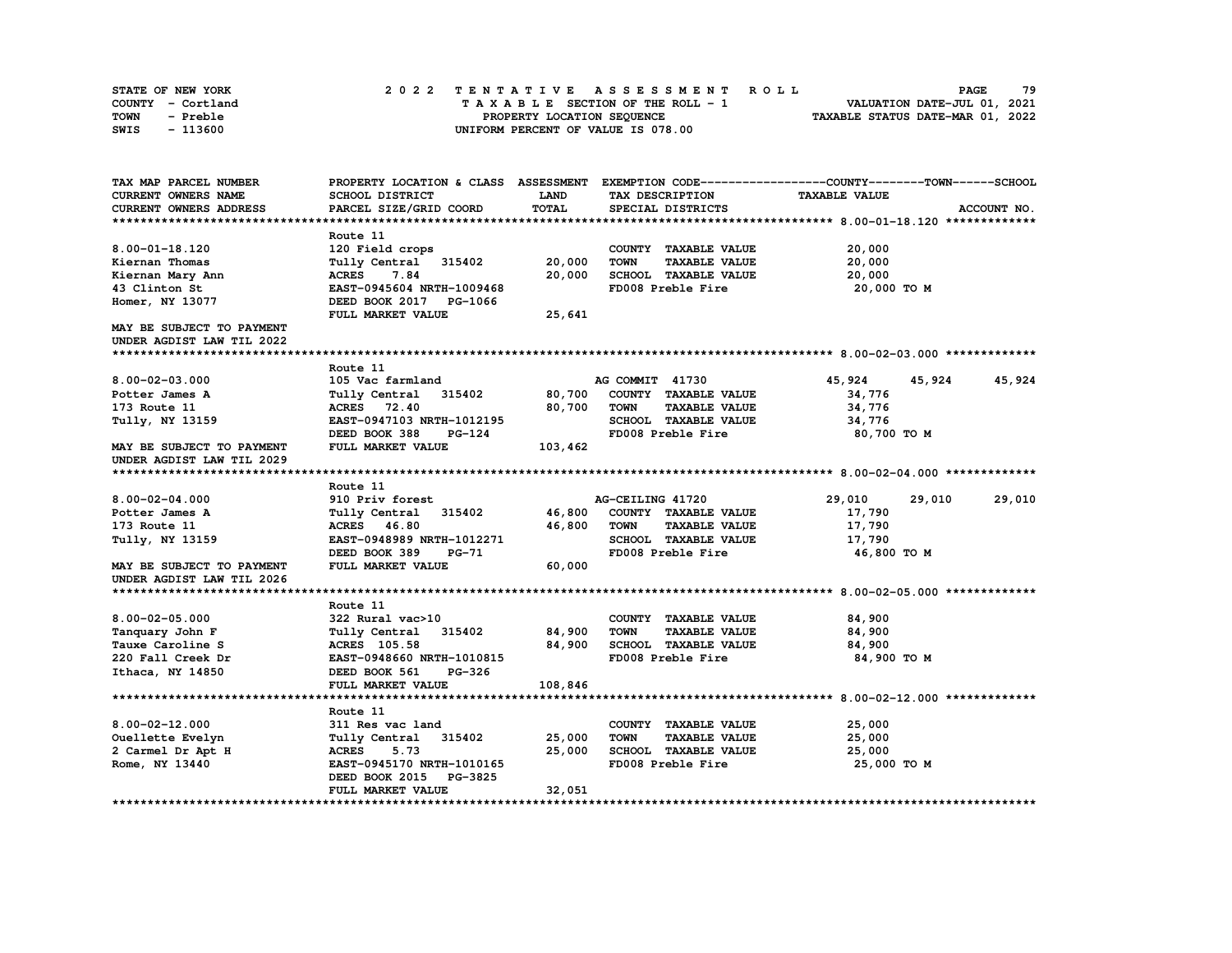| STATE OF NEW YORK | 2022 TENTATIVE ASSESSMENT ROLL     | 79<br><b>PAGE</b>                |
|-------------------|------------------------------------|----------------------------------|
| COUNTY - Cortland | TAXABLE SECTION OF THE ROLL - 1    | VALUATION DATE-JUL 01, 2021      |
| TOWN<br>- Preble  | PROPERTY LOCATION SEQUENCE         | TAXABLE STATUS DATE-MAR 01, 2022 |
| - 113600<br>SWIS  | UNIFORM PERCENT OF VALUE IS 078.00 |                                  |

| TAX MAP PARCEL NUMBER            |                           |              |                                     | PROPERTY LOCATION & CLASS ASSESSMENT EXEMPTION CODE----------------COUNTY-------TOWN------SCHOOL |        |
|----------------------------------|---------------------------|--------------|-------------------------------------|--------------------------------------------------------------------------------------------------|--------|
| CURRENT OWNERS NAME              | SCHOOL DISTRICT           | LAND         | TAX DESCRIPTION                     | <b>TAXABLE VALUE</b>                                                                             |        |
| CURRENT OWNERS ADDRESS           | PARCEL SIZE/GRID COORD    | <b>TOTAL</b> | SPECIAL DISTRICTS                   | ACCOUNT NO.                                                                                      |        |
|                                  |                           |              |                                     |                                                                                                  |        |
|                                  | <b>Route 11</b>           |              |                                     |                                                                                                  |        |
| $8.00 - 01 - 18.120$             | 120 Field crops           |              | COUNTY TAXABLE VALUE                | 20,000                                                                                           |        |
| Kiernan Thomas                   | Tully Central 315402      | 20,000       | <b>TOWN</b><br><b>TAXABLE VALUE</b> | 20,000                                                                                           |        |
| Kiernan Mary Ann                 | <b>ACRES</b><br>7.84      | 20,000       | SCHOOL TAXABLE VALUE                | 20,000                                                                                           |        |
| 43 Clinton St                    | EAST-0945604 NRTH-1009468 |              | FD008 Preble Fire                   | 20,000 TO M                                                                                      |        |
| Homer, NY 13077                  | DEED BOOK 2017 PG-1066    |              |                                     |                                                                                                  |        |
|                                  | FULL MARKET VALUE         | 25,641       |                                     |                                                                                                  |        |
| MAY BE SUBJECT TO PAYMENT        |                           |              |                                     |                                                                                                  |        |
| UNDER AGDIST LAW TIL 2022        |                           |              |                                     |                                                                                                  |        |
|                                  |                           |              |                                     |                                                                                                  |        |
|                                  | Route 11                  |              |                                     |                                                                                                  |        |
| $8.00 - 02 - 03.000$             | 105 Vac farmland          |              | AG COMMIT 41730                     | 45,924<br>45,924                                                                                 | 45,924 |
| Potter James A                   | Tully Central 315402      | 80,700       | <b>COUNTY TAXABLE VALUE</b>         | 34,776                                                                                           |        |
| 173 Route 11                     | <b>ACRES</b> 72.40        | 80,700       | <b>TOWN</b><br><b>TAXABLE VALUE</b> | 34,776                                                                                           |        |
| Tully, NY 13159                  | EAST-0947103 NRTH-1012195 |              | SCHOOL TAXABLE VALUE                | 34,776                                                                                           |        |
|                                  | DEED BOOK 388<br>PG-124   |              | FD008 Preble Fire                   | 80,700 TO M                                                                                      |        |
| MAY BE SUBJECT TO PAYMENT        | FULL MARKET VALUE         | 103,462      |                                     |                                                                                                  |        |
| UNDER AGDIST LAW TIL 2029        |                           |              |                                     |                                                                                                  |        |
|                                  |                           |              |                                     |                                                                                                  |        |
|                                  | Route 11                  |              |                                     |                                                                                                  |        |
| $8.00 - 02 - 04.000$             | 910 Priv forest           |              | AG-CEILING 41720                    | 29,010<br>29,010                                                                                 | 29,010 |
| Potter James A                   | Tully Central 315402      | 46,800       | COUNTY TAXABLE VALUE                | 17,790                                                                                           |        |
| 173 Route 11                     | ACRES 46.80               | 46,800       | TOWN<br><b>TAXABLE VALUE</b>        | 17,790                                                                                           |        |
| Tully, NY 13159                  | EAST-0948989 NRTH-1012271 |              | SCHOOL TAXABLE VALUE                | 17,790                                                                                           |        |
|                                  | DEED BOOK 389<br>$PG-71$  |              | FD008 Preble Fire                   | 46,800 TO M                                                                                      |        |
| <b>MAY BE SUBJECT TO PAYMENT</b> | FULL MARKET VALUE         | 60,000       |                                     |                                                                                                  |        |
| UNDER AGDIST LAW TIL 2026        |                           |              |                                     |                                                                                                  |        |
|                                  |                           |              |                                     |                                                                                                  |        |
|                                  | Route 11                  |              |                                     |                                                                                                  |        |
| $8.00 - 02 - 05.000$             | 322 Rural vac>10          |              | COUNTY TAXABLE VALUE                | 84,900                                                                                           |        |
| Tanquary John F                  | Tully Central 315402      | 84,900       | <b>TOWN</b><br><b>TAXABLE VALUE</b> | 84,900                                                                                           |        |
| Tauxe Caroline S                 | <b>ACRES</b> 105.58       | 84,900       | SCHOOL TAXABLE VALUE                | 84,900                                                                                           |        |
| 220 Fall Creek Dr                | EAST-0948660 NRTH-1010815 |              | FD008 Preble Fire                   | 84,900 TO M                                                                                      |        |
| Ithaca, NY 14850                 | DEED BOOK 561<br>PG-326   |              |                                     |                                                                                                  |        |
|                                  | FULL MARKET VALUE         | 108,846      |                                     |                                                                                                  |        |
|                                  |                           |              |                                     |                                                                                                  |        |
|                                  | Route 11                  |              |                                     |                                                                                                  |        |
| $8.00 - 02 - 12.000$             | 311 Res vac land          |              | COUNTY TAXABLE VALUE                | 25,000                                                                                           |        |
| Ouellette Evelyn                 | Tully Central 315402      | 25,000       | <b>TOWN</b><br><b>TAXABLE VALUE</b> | 25,000                                                                                           |        |
| 2 Carmel Dr Apt H                | <b>ACRES</b><br>5.73      | 25,000       | SCHOOL TAXABLE VALUE                | 25,000                                                                                           |        |
| Rome, NY 13440                   | EAST-0945170 NRTH-1010165 |              | FD008 Preble Fire                   | 25,000 TO M                                                                                      |        |
|                                  | DEED BOOK 2015 PG-3825    |              |                                     |                                                                                                  |        |
|                                  | FULL MARKET VALUE         | 32,051       |                                     |                                                                                                  |        |
|                                  |                           |              |                                     |                                                                                                  |        |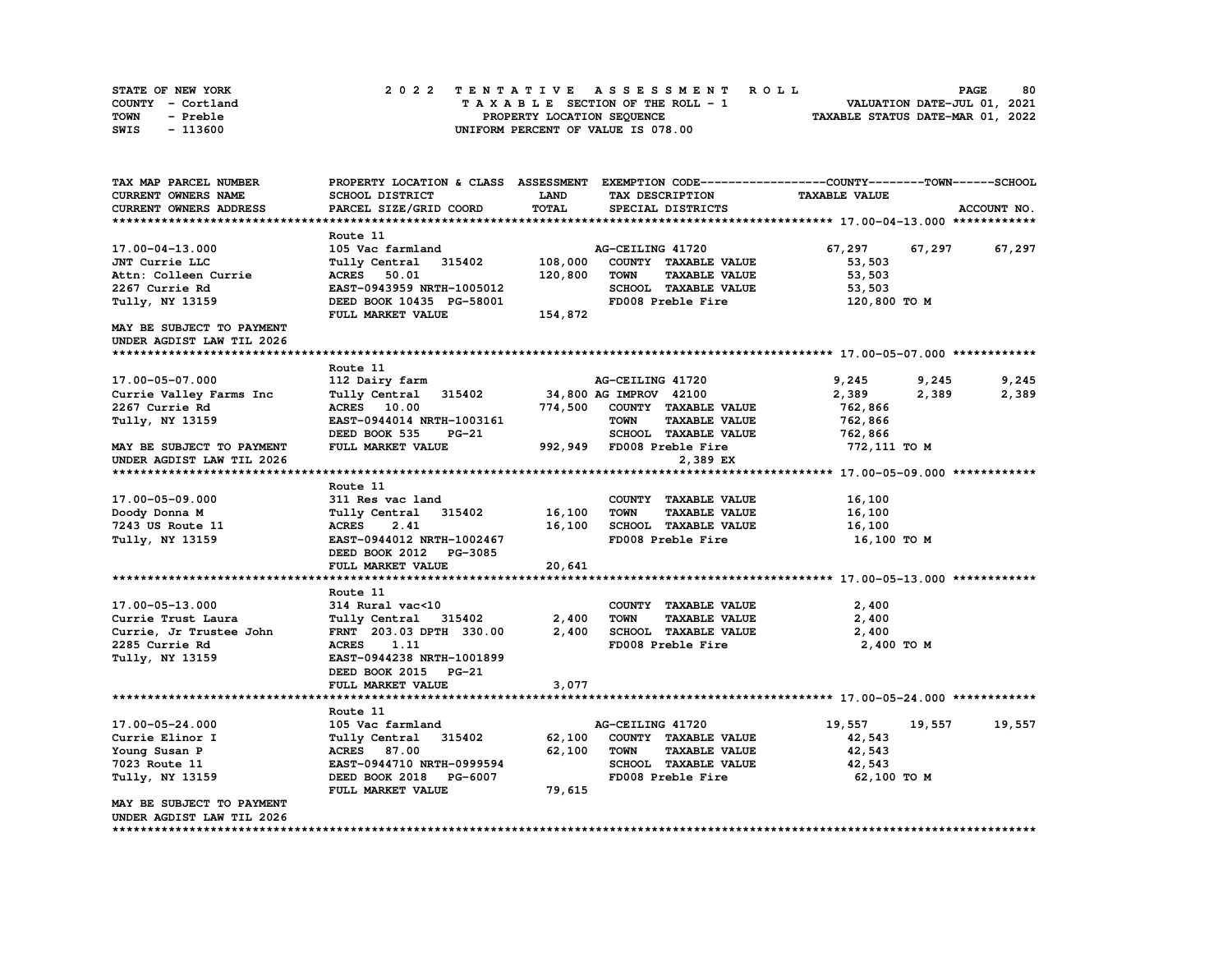| STATE OF NEW YORK | 2022 TENTATIVE ASSESSMENT ROLL     | 80<br><b>PAGE</b>                |
|-------------------|------------------------------------|----------------------------------|
| COUNTY - Cortland | TAXABLE SECTION OF THE ROLL - 1    | VALUATION DATE-JUL 01, 2021      |
| TOWN<br>- Preble  | PROPERTY LOCATION SEOUENCE         | TAXABLE STATUS DATE-MAR 01, 2022 |
| - 113600<br>SWIS  | UNIFORM PERCENT OF VALUE IS 078.00 |                                  |

| TAX MAP PARCEL NUMBER            |                           |              |                                     | PROPERTY LOCATION & CLASS ASSESSMENT EXEMPTION CODE----------------COUNTY-------TOWN-----SCHOOL |             |
|----------------------------------|---------------------------|--------------|-------------------------------------|-------------------------------------------------------------------------------------------------|-------------|
| <b>CURRENT OWNERS NAME</b>       | SCHOOL DISTRICT           | LAND         | TAX DESCRIPTION                     | <b>TAXABLE VALUE</b>                                                                            |             |
| CURRENT OWNERS ADDRESS           | PARCEL SIZE/GRID COORD    | <b>TOTAL</b> | SPECIAL DISTRICTS                   |                                                                                                 | ACCOUNT NO. |
|                                  |                           |              |                                     |                                                                                                 |             |
|                                  | Route 11                  |              |                                     |                                                                                                 |             |
| 17.00-04-13.000                  | 105 Vac farmland          |              | AG-CEILING 41720                    | 67,297<br>67,297                                                                                | 67,297      |
| JNT Currie LLC                   | Tully Central 315402      | 108,000      | COUNTY TAXABLE VALUE                | 53,503                                                                                          |             |
| Attn: Colleen Currie             | <b>ACRES</b> 50.01        | 120,800      | <b>TOWN</b><br><b>TAXABLE VALUE</b> | 53,503                                                                                          |             |
| 2267 Currie Rd                   | EAST-0943959 NRTH-1005012 |              | SCHOOL TAXABLE VALUE                | 53,503                                                                                          |             |
| Tully, NY 13159                  | DEED BOOK 10435 PG-58001  |              | FD008 Preble Fire                   | 120,800 то м                                                                                    |             |
|                                  | FULL MARKET VALUE         | 154,872      |                                     |                                                                                                 |             |
| <b>MAY BE SUBJECT TO PAYMENT</b> |                           |              |                                     |                                                                                                 |             |
| UNDER AGDIST LAW TIL 2026        |                           |              |                                     |                                                                                                 |             |
|                                  |                           |              |                                     |                                                                                                 |             |
|                                  | Route 11                  |              |                                     |                                                                                                 |             |
| 17.00-05-07.000                  | 112 Dairy farm            |              | AG-CEILING 41720                    | 9,245<br>9,245                                                                                  | 9,245       |
| Currie Valley Farms Inc          | Tully Central 315402      |              | 34,800 AG IMPROV 42100              | 2,389<br>2,389                                                                                  | 2,389       |
| 2267 Currie Rd                   | ACRES 10.00               | 774,500      | COUNTY TAXABLE VALUE                | 762,866                                                                                         |             |
| Tully, NY 13159                  | EAST-0944014 NRTH-1003161 |              | <b>TOWN</b><br><b>TAXABLE VALUE</b> | 762,866                                                                                         |             |
|                                  | DEED BOOK 535<br>PG-21    |              | SCHOOL TAXABLE VALUE                | 762,866                                                                                         |             |
| MAY BE SUBJECT TO PAYMENT        | FULL MARKET VALUE         |              | 992,949 FD008 Preble Fire           | 772,111 TO M                                                                                    |             |
| UNDER AGDIST LAW TIL 2026        |                           |              | 2,389 EX                            |                                                                                                 |             |
|                                  |                           |              |                                     |                                                                                                 |             |
|                                  | Route 11                  |              |                                     |                                                                                                 |             |
| 17.00-05-09.000                  | 311 Res vac land          |              | COUNTY TAXABLE VALUE                | 16,100                                                                                          |             |
| Doody Donna M                    | Tully Central 315402      | 16,100       | <b>TOWN</b><br><b>TAXABLE VALUE</b> | 16,100                                                                                          |             |
| 7243 US Route 11                 | <b>ACRES</b><br>2.41      | 16,100       | SCHOOL TAXABLE VALUE                | 16,100                                                                                          |             |
| Tully, NY 13159                  | EAST-0944012 NRTH-1002467 |              | FD008 Preble Fire                   | 16,100 TO M                                                                                     |             |
|                                  | DEED BOOK 2012 PG-3085    |              |                                     |                                                                                                 |             |
|                                  | FULL MARKET VALUE         | 20,641       |                                     |                                                                                                 |             |
|                                  |                           |              |                                     |                                                                                                 |             |
|                                  | Route 11                  |              |                                     |                                                                                                 |             |
| 17.00-05-13.000                  | 314 Rural vac<10          |              | COUNTY TAXABLE VALUE                | 2,400                                                                                           |             |
| Currie Trust Laura               | Tully Central 315402      | 2,400        | <b>TOWN</b><br><b>TAXABLE VALUE</b> | 2,400                                                                                           |             |
| Currie, Jr Trustee John          | FRNT 203.03 DPTH 330.00   | 2,400        | SCHOOL TAXABLE VALUE                | 2,400                                                                                           |             |
| 2285 Currie Rd                   | 1.11<br><b>ACRES</b>      |              | FD008 Preble Fire                   | 2,400 TO M                                                                                      |             |
| Tully, NY 13159                  | EAST-0944238 NRTH-1001899 |              |                                     |                                                                                                 |             |
|                                  | DEED BOOK 2015 PG-21      |              |                                     |                                                                                                 |             |
|                                  | FULL MARKET VALUE         | 3,077        |                                     |                                                                                                 |             |
|                                  |                           |              |                                     |                                                                                                 |             |
|                                  | Route 11                  |              |                                     |                                                                                                 |             |
| 17.00-05-24.000                  | 105 Vac farmland          |              | AG-CEILING 41720                    | 19,557<br>19,557                                                                                | 19,557      |
| Currie Elinor I                  | Tully Central 315402      | 62,100       | COUNTY TAXABLE VALUE                | 42,543                                                                                          |             |
| Young Susan P                    | ACRES 87.00               | 62,100       | TOWN<br><b>TAXABLE VALUE</b>        | 42,543                                                                                          |             |
| 7023 Route 11                    | EAST-0944710 NRTH-0999594 |              | SCHOOL TAXABLE VALUE                | 42,543                                                                                          |             |
| Tully, NY 13159                  | DEED BOOK 2018 PG-6007    |              | FD008 Preble Fire                   | 62,100 TO M                                                                                     |             |
|                                  | FULL MARKET VALUE         | 79,615       |                                     |                                                                                                 |             |
| MAY BE SUBJECT TO PAYMENT        |                           |              |                                     |                                                                                                 |             |
| UNDER AGDIST LAW TIL 2026        |                           |              |                                     |                                                                                                 |             |
|                                  |                           |              |                                     |                                                                                                 |             |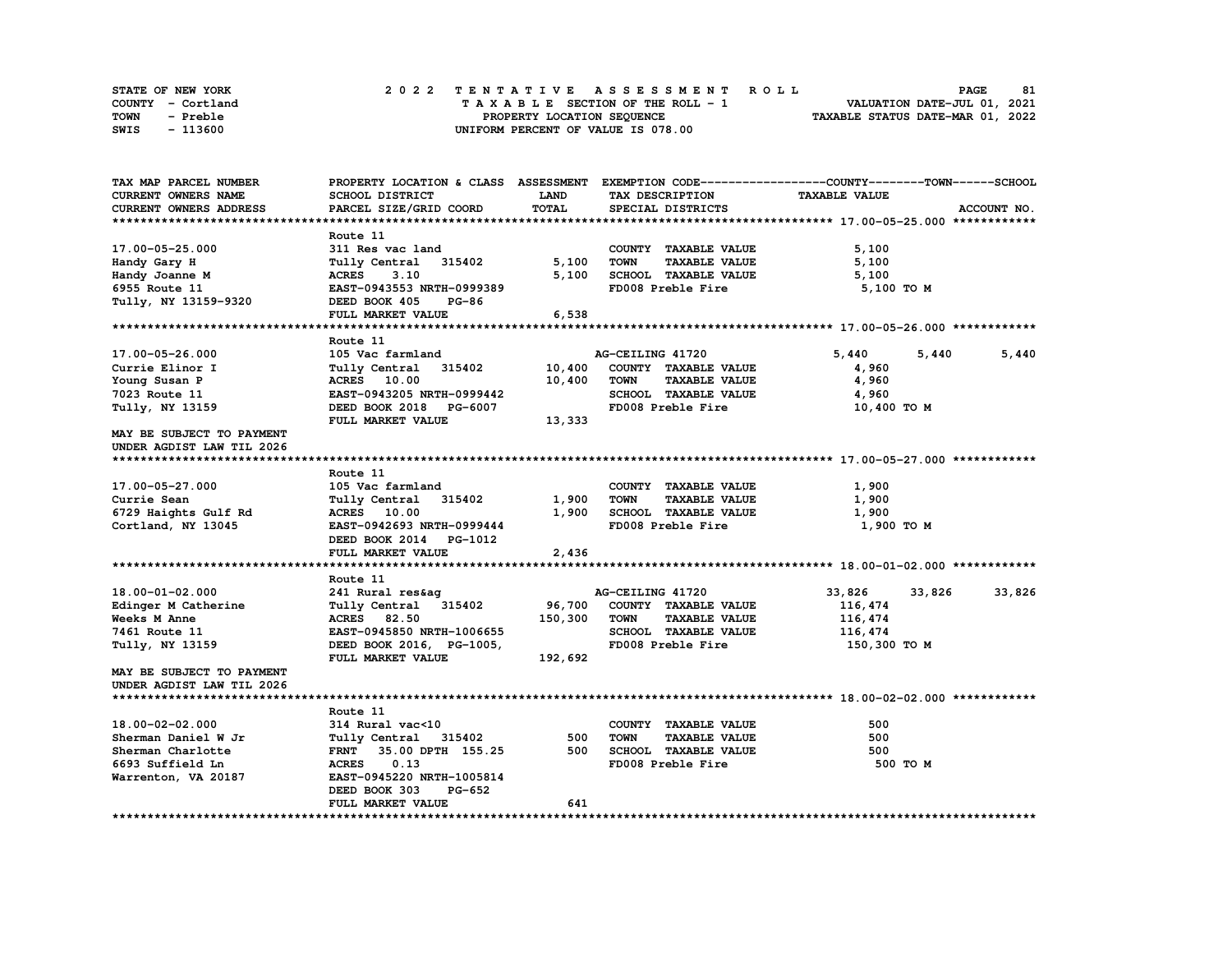| STATE OF NEW YORK | 2022 TENTATIVE ASSESSMENT ROLL     | 81<br><b>PAGE</b>                |
|-------------------|------------------------------------|----------------------------------|
| COUNTY - Cortland | TAXABLE SECTION OF THE ROLL - 1    | VALUATION DATE-JUL 01, 2021      |
| TOWN<br>- Preble  | PROPERTY LOCATION SEQUENCE         | TAXABLE STATUS DATE-MAR 01, 2022 |
| - 113600<br>SWIS  | UNIFORM PERCENT OF VALUE IS 078.00 |                                  |

| TAX MAP PARCEL NUMBER      | PROPERTY LOCATION & CLASS ASSESSMENT |             |                                     | EXEMPTION CODE-----------------COUNTY-------TOWN------SCHOOL |             |
|----------------------------|--------------------------------------|-------------|-------------------------------------|--------------------------------------------------------------|-------------|
| <b>CURRENT OWNERS NAME</b> | SCHOOL DISTRICT                      | <b>LAND</b> | TAX DESCRIPTION                     | <b>TAXABLE VALUE</b>                                         |             |
| CURRENT OWNERS ADDRESS     | PARCEL SIZE/GRID COORD               | TOTAL       | SPECIAL DISTRICTS                   |                                                              | ACCOUNT NO. |
|                            |                                      |             |                                     |                                                              |             |
|                            | Route 11                             |             |                                     |                                                              |             |
| 17.00-05-25.000            | 311 Res vac land                     |             | COUNTY TAXABLE VALUE                | 5,100                                                        |             |
| Handy Gary H               | Tully Central 315402                 | 5,100       | <b>TOWN</b><br><b>TAXABLE VALUE</b> | 5,100                                                        |             |
| Handy Joanne M             | <b>ACRES</b><br>3.10                 | 5,100       | SCHOOL TAXABLE VALUE                | 5.100                                                        |             |
| 6955 Route 11              | EAST-0943553 NRTH-0999389            |             | FD008 Preble Fire                   | 5,100 TO M                                                   |             |
| Tully, NY 13159-9320       | DEED BOOK 405<br><b>PG-86</b>        |             |                                     |                                                              |             |
|                            | FULL MARKET VALUE                    | 6,538       |                                     |                                                              |             |
|                            |                                      |             |                                     |                                                              |             |
|                            | Route 11                             |             |                                     |                                                              |             |
| 17.00-05-26.000            | 105 Vac farmland                     |             | AG-CEILING 41720                    | 5,440<br>5,440                                               | 5,440       |
| Currie Elinor I            | Tully Central 315402                 | 10,400      | COUNTY TAXABLE VALUE                | 4,960                                                        |             |
| Young Susan P              | ACRES 10.00                          | 10,400      | <b>TOWN</b><br><b>TAXABLE VALUE</b> | 4,960                                                        |             |
| 7023 Route 11              | EAST-0943205 NRTH-0999442            |             | SCHOOL TAXABLE VALUE                | 4,960                                                        |             |
| Tully, NY 13159            | DEED BOOK 2018 PG-6007               |             | FD008 Preble Fire                   | 10,400 TO M                                                  |             |
|                            | FULL MARKET VALUE                    | 13,333      |                                     |                                                              |             |
| MAY BE SUBJECT TO PAYMENT  |                                      |             |                                     |                                                              |             |
| UNDER AGDIST LAW TIL 2026  |                                      |             |                                     |                                                              |             |
|                            |                                      |             |                                     |                                                              |             |
|                            | Route 11                             |             |                                     |                                                              |             |
| 17.00-05-27.000            | 105 Vac farmland                     |             | COUNTY TAXABLE VALUE                | 1,900                                                        |             |
| Currie Sean                | 315402<br>Tully Central              | 1,900       | <b>TOWN</b><br><b>TAXABLE VALUE</b> | 1,900                                                        |             |
| 6729 Haights Gulf Rd       | <b>ACRES</b> 10.00                   | 1,900       | SCHOOL TAXABLE VALUE                | 1,900                                                        |             |
| Cortland, NY 13045         | EAST-0942693 NRTH-0999444            |             | FD008 Preble Fire                   | 1,900 TO M                                                   |             |
|                            | DEED BOOK 2014 PG-1012               |             |                                     |                                                              |             |
|                            | FULL MARKET VALUE                    | 2,436       |                                     |                                                              |             |
|                            |                                      |             |                                     |                                                              |             |
|                            | Route 11                             |             |                                     |                                                              |             |
| 18.00-01-02.000            | 241 Rural res&ag                     |             | AG-CEILING 41720                    | 33,826<br>33,826                                             | 33,826      |
| Edinger M Catherine        | Tully Central 315402                 | 96,700      | COUNTY TAXABLE VALUE                | 116,474                                                      |             |
| Weeks M Anne               | ACRES 82.50                          | 150,300     | <b>TOWN</b><br><b>TAXABLE VALUE</b> | 116,474                                                      |             |
| 7461 Route 11              | EAST-0945850 NRTH-1006655            |             | SCHOOL TAXABLE VALUE                | 116,474                                                      |             |
| Tully, NY 13159            | DEED BOOK 2016, PG-1005,             |             | FD008 Preble Fire                   | 150,300 то м                                                 |             |
|                            | FULL MARKET VALUE                    | 192,692     |                                     |                                                              |             |
| MAY BE SUBJECT TO PAYMENT  |                                      |             |                                     |                                                              |             |
| UNDER AGDIST LAW TIL 2026  |                                      |             |                                     |                                                              |             |
|                            |                                      |             |                                     |                                                              |             |
|                            | Route 11                             |             |                                     |                                                              |             |
| 18.00-02-02.000            | 314 Rural vac<10                     |             | COUNTY TAXABLE VALUE                | 500                                                          |             |
| Sherman Daniel W Jr        | Tully Central<br>315402              | 500         | <b>TOWN</b><br><b>TAXABLE VALUE</b> | 500                                                          |             |
| Sherman Charlotte          | FRNT 35.00 DPTH 155.25               | 500         | SCHOOL TAXABLE VALUE                | 500                                                          |             |
| 6693 Suffield Ln           | <b>ACRES</b><br>0.13                 |             | FD008 Preble Fire                   | 500 TO M                                                     |             |
| Warrenton, VA 20187        | EAST-0945220 NRTH-1005814            |             |                                     |                                                              |             |
|                            | DEED BOOK 303<br>PG-652              |             |                                     |                                                              |             |
|                            | FULL MARKET VALUE                    | 641         |                                     |                                                              |             |
|                            |                                      |             |                                     |                                                              |             |
|                            |                                      |             |                                     |                                                              |             |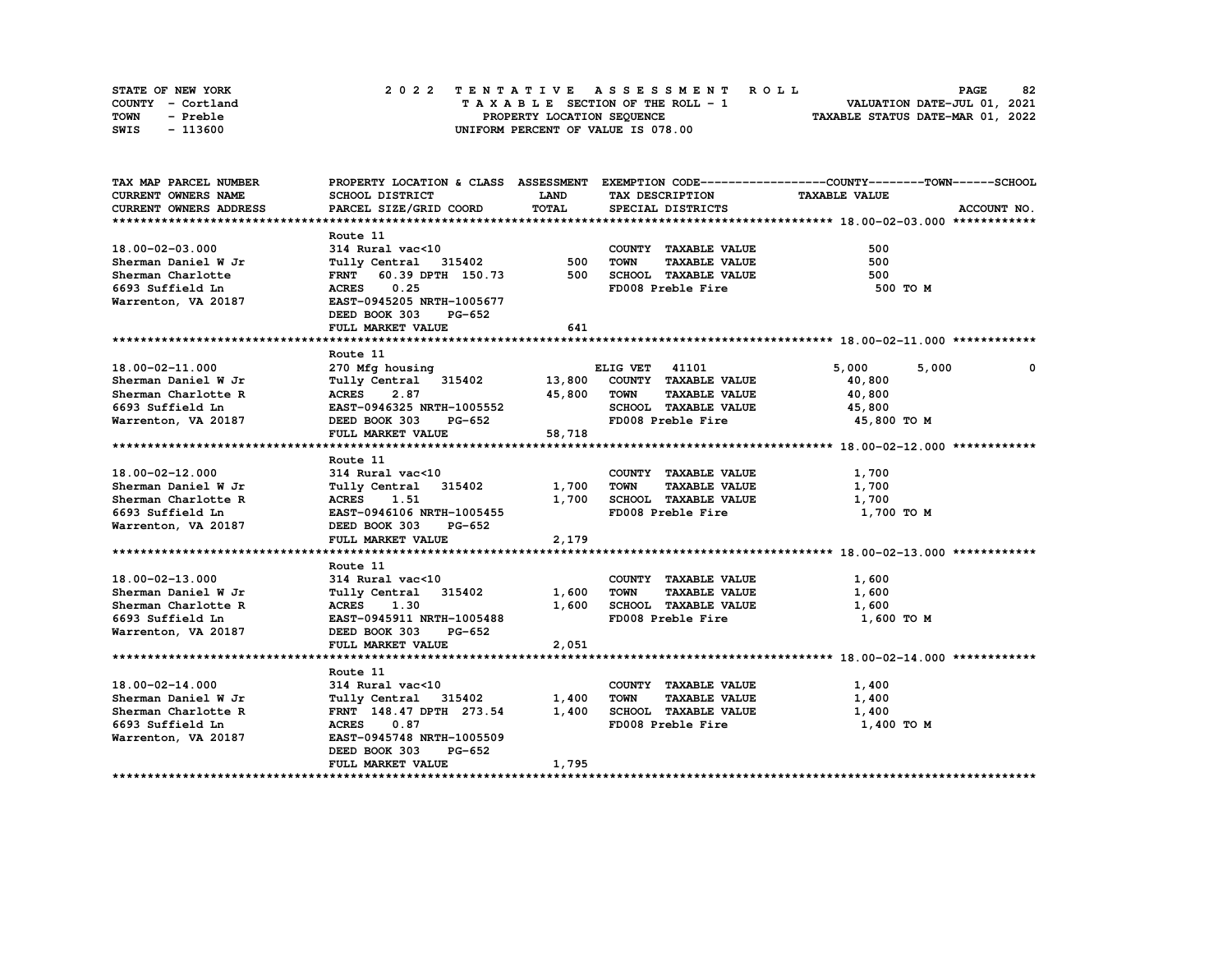| STATE OF NEW YORK | 2022 TENTATIVE ASSESSMENT ROLL     | 82<br><b>PAGE</b>                |
|-------------------|------------------------------------|----------------------------------|
| COUNTY - Cortland | TAXABLE SECTION OF THE ROLL - 1    | VALUATION DATE-JUL 01, 2021      |
| TOWN<br>- Preble  | PROPERTY LOCATION SEOUENCE         | TAXABLE STATUS DATE-MAR 01, 2022 |
| - 113600<br>SWIS  | UNIFORM PERCENT OF VALUE IS 078.00 |                                  |

| TAX MAP PARCEL NUMBER                                                |                                                                                                                                                                                           |               |                               | PROPERTY LOCATION & CLASS ASSESSMENT EXEMPTION CODE----------------COUNTY-------TOWN------SCHOOL |
|----------------------------------------------------------------------|-------------------------------------------------------------------------------------------------------------------------------------------------------------------------------------------|---------------|-------------------------------|--------------------------------------------------------------------------------------------------|
| CURRENT OWNERS NAME                                                  | SCHOOL DISTRICT                                                                                                                                                                           | <b>LAND</b>   | TAX DESCRIPTION               | <b>TAXABLE VALUE</b>                                                                             |
| CURRENT OWNERS ADDRESS                                               | PARCEL SIZE/GRID COORD                                                                                                                                                                    | <b>TOTAL</b>  | SPECIAL DISTRICTS             | ACCOUNT NO.                                                                                      |
|                                                                      |                                                                                                                                                                                           |               |                               |                                                                                                  |
|                                                                      | Route 11                                                                                                                                                                                  |               |                               |                                                                                                  |
| 18.00-02-03.000                                                      | 314 Rural vac<10                                                                                                                                                                          |               | COUNTY TAXABLE VALUE          | 500                                                                                              |
| Sherman Daniel W Jr                                                  | Tully Central 315402 500 TOWN                                                                                                                                                             |               |                               |                                                                                                  |
| Sherman Charlotte                                                    |                                                                                                                                                                                           |               |                               |                                                                                                  |
| 6693 Suffield Ln                                                     | Tully Central 315402 500 TOWN TAXABLE VALUE<br>Tully Central 315402 500 TOWN TAXABLE VALUE 500<br>FRNT 60.39 DPTH 150.73 500 SCHOOL TAXABLE VALUE 500<br>ACRES 0.25 FD008 Preble Fire 500 |               |                               | 500 TO M                                                                                         |
| Version and the contract of the contract of the Marrenton, VA 20187  |                                                                                                                                                                                           |               |                               |                                                                                                  |
|                                                                      | DEED BOOK 303<br>PG-652                                                                                                                                                                   |               |                               |                                                                                                  |
|                                                                      | FULL MARKET VALUE                                                                                                                                                                         | 641           |                               |                                                                                                  |
|                                                                      |                                                                                                                                                                                           |               |                               |                                                                                                  |
|                                                                      | Route 11                                                                                                                                                                                  |               |                               |                                                                                                  |
| 18.00-02-11.000                                                      | 270 Mfg housing                                                                                                                                                                           |               | <b>ELIG VET 41101</b>         | 5,000<br>5,000<br>0                                                                              |
| Sherman Daniel W Jr Tully Central 315402 13,800 COUNTY TAXABLE VALUE |                                                                                                                                                                                           |               |                               | 40,800                                                                                           |
| Sherman Charlotte R                                                  |                                                                                                                                                                                           | 45,800 TOWN   | <b>TAXABLE VALUE</b>          | 40,800                                                                                           |
| 6693 Suffield Ln                                                     |                                                                                                                                                                                           |               | SCHOOL TAXABLE VALUE          | 45,800                                                                                           |
| Warrenton, VA 20187 DEED BOOK 303                                    |                                                                                                                                                                                           | <b>PG-652</b> | FD008 Preble Fire 45,800 TO M |                                                                                                  |
|                                                                      | FULL MARKET VALUE                                                                                                                                                                         | 58,718        |                               |                                                                                                  |
|                                                                      |                                                                                                                                                                                           |               |                               |                                                                                                  |
|                                                                      | Route 11                                                                                                                                                                                  |               |                               |                                                                                                  |
|                                                                      |                                                                                                                                                                                           |               |                               | 1,700                                                                                            |
|                                                                      |                                                                                                                                                                                           |               |                               | 1,700                                                                                            |
|                                                                      |                                                                                                                                                                                           |               | 1,700 SCHOOL TAXABLE VALUE    | 1,700                                                                                            |
|                                                                      |                                                                                                                                                                                           |               |                               | 1,700 TO M                                                                                       |
|                                                                      |                                                                                                                                                                                           |               |                               |                                                                                                  |
|                                                                      | <b>FULL MARKET VALUE</b>                                                                                                                                                                  | 2,179         |                               |                                                                                                  |
|                                                                      |                                                                                                                                                                                           |               |                               |                                                                                                  |
|                                                                      | Route 11                                                                                                                                                                                  |               |                               |                                                                                                  |
|                                                                      |                                                                                                                                                                                           |               | COUNTY TAXABLE VALUE          | 1,600                                                                                            |
|                                                                      |                                                                                                                                                                                           |               |                               | 1,600                                                                                            |
|                                                                      |                                                                                                                                                                                           |               | 1,600 SCHOOL TAXABLE VALUE    | 1,600                                                                                            |
|                                                                      |                                                                                                                                                                                           |               | FD008 Preble Fire             | 1,600 TO M                                                                                       |
|                                                                      |                                                                                                                                                                                           |               |                               |                                                                                                  |
|                                                                      | FULL MARKET VALUE                                                                                                                                                                         | 2,051         |                               |                                                                                                  |
|                                                                      |                                                                                                                                                                                           |               |                               |                                                                                                  |
|                                                                      | Route 11                                                                                                                                                                                  |               |                               |                                                                                                  |
| $18.00 - 02 - 14.000$                                                | 314 Rural vac<10                                                                                                                                                                          |               | COUNTY TAXABLE VALUE          | 1,400                                                                                            |
| Sherman Daniel W Jr                                                  | Tully Central 315402 1,400<br>FRNT 148.47 DPTH 273.54 1,400                                                                                                                               |               | <b>TAXABLE VALUE</b><br>TOWN  | 1,400                                                                                            |
| Sherman Charlotte R                                                  |                                                                                                                                                                                           |               | SCHOOL TAXABLE VALUE          | 1,400                                                                                            |
| 6693 Suffield Ln                                                     | ACRES 0.87                                                                                                                                                                                |               | FD008 Preble Fire             | 1,400 TO M                                                                                       |
| Warrenton, VA 20187                                                  | EAST-0945748 NRTH-1005509                                                                                                                                                                 |               |                               |                                                                                                  |
|                                                                      | DEED BOOK 303<br>PG-652                                                                                                                                                                   |               |                               |                                                                                                  |
|                                                                      | FULL MARKET VALUE                                                                                                                                                                         | 1,795         |                               |                                                                                                  |
|                                                                      |                                                                                                                                                                                           |               |                               |                                                                                                  |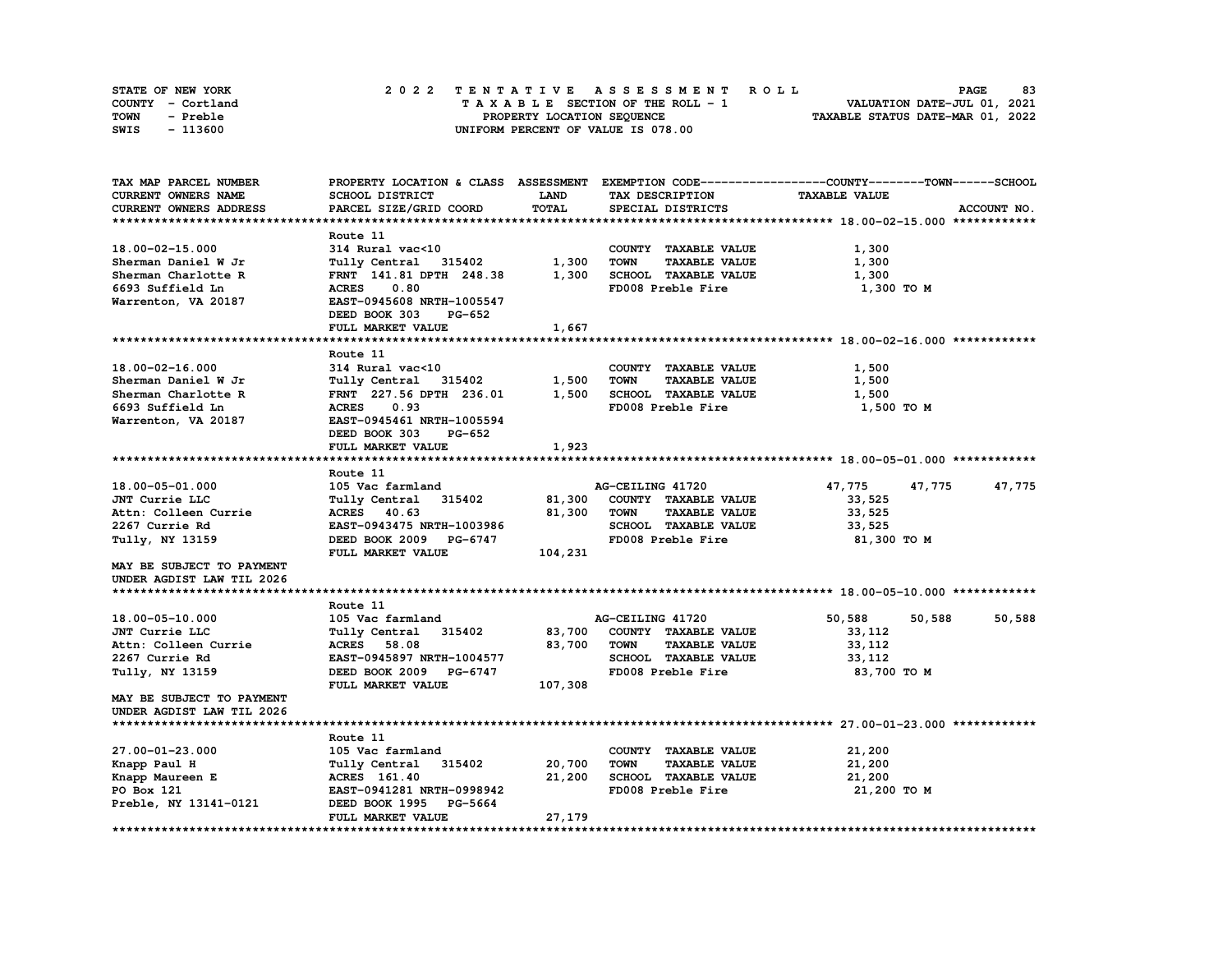| STATE OF NEW YORK | 2022 TENTATIVE ASSESSMENT ROLL     | 83<br><b>PAGE</b>                |
|-------------------|------------------------------------|----------------------------------|
| COUNTY - Cortland | TAXABLE SECTION OF THE ROLL - 1    | VALUATION DATE-JUL 01, 2021      |
| TOWN<br>- Preble  | PROPERTY LOCATION SEQUENCE         | TAXABLE STATUS DATE-MAR 01, 2022 |
| - 113600<br>SWIS  | UNIFORM PERCENT OF VALUE IS 078.00 |                                  |

| TAX MAP PARCEL NUMBER      |                           |             |                                     | PROPERTY LOCATION & CLASS ASSESSMENT EXEMPTION CODE----------------COUNTY-------TOWN-----SCHOOL |             |
|----------------------------|---------------------------|-------------|-------------------------------------|-------------------------------------------------------------------------------------------------|-------------|
| <b>CURRENT OWNERS NAME</b> | SCHOOL DISTRICT           | <b>LAND</b> | TAX DESCRIPTION                     | <b>TAXABLE VALUE</b>                                                                            |             |
| CURRENT OWNERS ADDRESS     | PARCEL SIZE/GRID COORD    | TOTAL       | SPECIAL DISTRICTS                   |                                                                                                 | ACCOUNT NO. |
|                            |                           |             |                                     |                                                                                                 |             |
|                            | Route 11                  |             |                                     |                                                                                                 |             |
| $18.00 - 02 - 15.000$      | 314 Rural vac<10          |             | COUNTY TAXABLE VALUE                | 1,300                                                                                           |             |
| Sherman Daniel W Jr        | Tully Central 315402      | 1,300       | <b>TOWN</b><br><b>TAXABLE VALUE</b> | 1,300                                                                                           |             |
| Sherman Charlotte R        | FRNT 141.81 DPTH 248.38   | 1,300       | SCHOOL TAXABLE VALUE                | 1,300                                                                                           |             |
| 6693 Suffield Ln           | <b>ACRES</b><br>0.80      |             | FD008 Preble Fire                   | 1,300 TO M                                                                                      |             |
| Warrenton, VA 20187        | EAST-0945608 NRTH-1005547 |             |                                     |                                                                                                 |             |
|                            | DEED BOOK 303<br>PG-652   |             |                                     |                                                                                                 |             |
|                            | FULL MARKET VALUE         | 1,667       |                                     |                                                                                                 |             |
|                            |                           |             |                                     |                                                                                                 |             |
|                            | Route 11                  |             |                                     |                                                                                                 |             |
| 18.00-02-16.000            | 314 Rural vac<10          |             | COUNTY TAXABLE VALUE                | 1,500                                                                                           |             |
| Sherman Daniel W Jr        | Tully Central 315402      | 1,500       | <b>TAXABLE VALUE</b><br><b>TOWN</b> | 1,500                                                                                           |             |
| Sherman Charlotte R        | FRNT 227.56 DPTH 236.01   | 1,500       | SCHOOL TAXABLE VALUE                | 1,500                                                                                           |             |
| 6693 Suffield Ln           | 0.93<br><b>ACRES</b>      |             | FD008 Preble Fire                   | 1,500 TO M                                                                                      |             |
| Warrenton, VA 20187        | EAST-0945461 NRTH-1005594 |             |                                     |                                                                                                 |             |
|                            | DEED BOOK 303<br>PG-652   |             |                                     |                                                                                                 |             |
|                            | FULL MARKET VALUE         | 1,923       |                                     |                                                                                                 |             |
|                            |                           |             |                                     |                                                                                                 |             |
|                            | Route 11                  |             |                                     |                                                                                                 |             |
| 18.00-05-01.000            | 105 Vac farmland          |             | AG-CEILING 41720                    | 47,775<br>47,775                                                                                | 47,775      |
| JNT Currie LLC             | Tully Central 315402      | 81,300      | COUNTY TAXABLE VALUE                | 33,525                                                                                          |             |
| Attn: Colleen Currie       | ACRES 40.63               | 81,300      | <b>TOWN</b><br><b>TAXABLE VALUE</b> | 33,525                                                                                          |             |
| 2267 Currie Rd             | EAST-0943475 NRTH-1003986 |             | SCHOOL TAXABLE VALUE                | 33,525                                                                                          |             |
| Tully, NY 13159            | DEED BOOK 2009 PG-6747    |             | FD008 Preble Fire                   | 81,300 TO M                                                                                     |             |
|                            | FULL MARKET VALUE         | 104,231     |                                     |                                                                                                 |             |
| MAY BE SUBJECT TO PAYMENT  |                           |             |                                     |                                                                                                 |             |
| UNDER AGDIST LAW TIL 2026  |                           |             |                                     |                                                                                                 |             |
|                            | Route 11                  |             |                                     |                                                                                                 |             |
| 18.00-05-10.000            | 105 Vac farmland          |             | AG-CEILING 41720                    | 50,588<br>50,588                                                                                | 50,588      |
| JNT Currie LLC             | Tully Central 315402      | 83,700      | COUNTY TAXABLE VALUE                | 33,112                                                                                          |             |
| Attn: Colleen Currie       | <b>ACRES</b><br>58.08     | 83,700      | <b>TAXABLE VALUE</b><br>TOWN        | 33,112                                                                                          |             |
| 2267 Currie Rd             | EAST-0945897 NRTH-1004577 |             | SCHOOL TAXABLE VALUE                | 33,112                                                                                          |             |
| Tully, NY 13159            | DEED BOOK 2009 PG-6747    |             | FD008 Preble Fire                   | 83,700 TO M                                                                                     |             |
|                            | FULL MARKET VALUE         | 107,308     |                                     |                                                                                                 |             |
| MAY BE SUBJECT TO PAYMENT  |                           |             |                                     |                                                                                                 |             |
| UNDER AGDIST LAW TIL 2026  |                           |             |                                     |                                                                                                 |             |
|                            |                           |             |                                     |                                                                                                 |             |
|                            | Route 11                  |             |                                     |                                                                                                 |             |
| 27.00-01-23.000            | 105 Vac farmland          |             | COUNTY TAXABLE VALUE                | 21,200                                                                                          |             |
| Knapp Paul H               | Tully Central 315402      | 20,700      | <b>TOWN</b><br><b>TAXABLE VALUE</b> | 21,200                                                                                          |             |
| Knapp Maureen E            | <b>ACRES</b> 161.40       | 21,200      | <b>SCHOOL TAXABLE VALUE</b>         | 21,200                                                                                          |             |
| PO Box 121                 | EAST-0941281 NRTH-0998942 |             | FD008 Preble Fire                   | 21,200 TO M                                                                                     |             |
| Preble, NY 13141-0121      | DEED BOOK 1995 PG-5664    |             |                                     |                                                                                                 |             |
|                            | FULL MARKET VALUE         | 27,179      |                                     |                                                                                                 |             |
|                            |                           |             |                                     |                                                                                                 |             |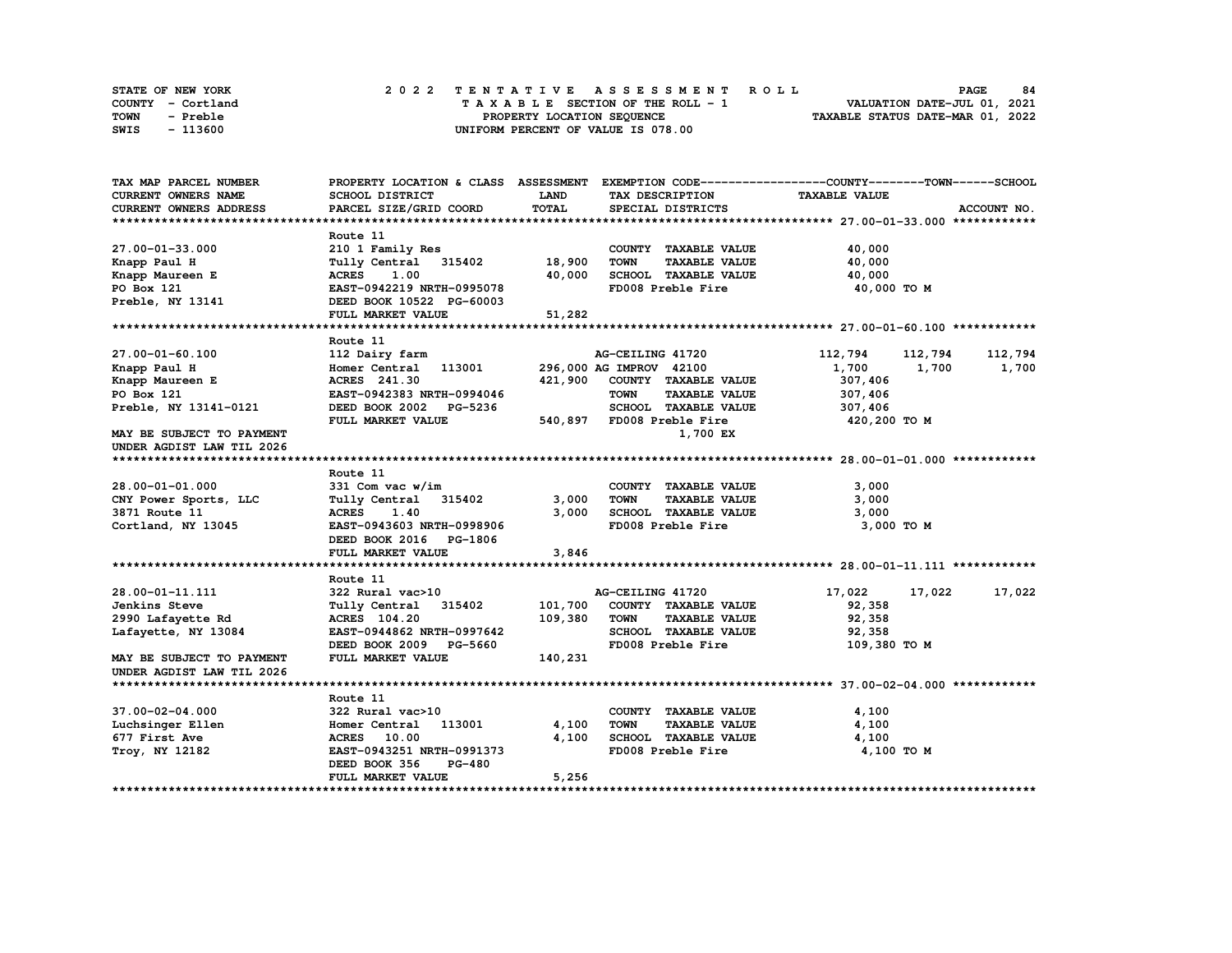| <b>STATE OF NEW YORK</b> | 2022 TENTATIVE ASSESSMENT ROLL     | 84<br><b>PAGE</b>                |
|--------------------------|------------------------------------|----------------------------------|
| COUNTY - Cortland        | TAXABLE SECTION OF THE ROLL - 1    | VALUATION DATE-JUL 01, 2021      |
| TOWN<br>- Preble         | PROPERTY LOCATION SEQUENCE         | TAXABLE STATUS DATE-MAR 01, 2022 |
| - 113600<br>SWIS         | UNIFORM PERCENT OF VALUE IS 078.00 |                                  |

| TAX MAP PARCEL NUMBER         |                                              |             |                                     | PROPERTY LOCATION & CLASS ASSESSMENT EXEMPTION CODE----------------COUNTY-------TOWN-----SCHOOL |             |
|-------------------------------|----------------------------------------------|-------------|-------------------------------------|-------------------------------------------------------------------------------------------------|-------------|
| CURRENT OWNERS NAME           | SCHOOL DISTRICT                              | <b>LAND</b> | TAX DESCRIPTION                     | <b>TAXABLE VALUE</b>                                                                            |             |
| CURRENT OWNERS ADDRESS        | PARCEL SIZE/GRID COORD                       | TOTAL       | SPECIAL DISTRICTS                   |                                                                                                 | ACCOUNT NO. |
|                               |                                              |             |                                     |                                                                                                 |             |
|                               | Route 11                                     |             |                                     |                                                                                                 |             |
| 27.00-01-33.000               | 210 1 Family Res                             |             | COUNTY TAXABLE VALUE                | 40,000                                                                                          |             |
| Knapp Paul H                  | Tully Central 315402 18,900                  |             | <b>TOWN</b><br><b>TAXABLE VALUE</b> | 40,000                                                                                          |             |
| Knapp Maureen E               | <b>ACRES</b> 1.00                            | 40,000      | TOWN Income<br>SCHOOL TAXABLE VALUE | 40,000                                                                                          |             |
| PO Box 121                    | EAST-0942219 NRTH-0995078                    |             | FD008 Preble Fire                   | 40,000 TO M                                                                                     |             |
| Preble, NY 13141              | DEED BOOK 10522 PG-60003                     |             |                                     |                                                                                                 |             |
|                               | FULL MARKET VALUE                            | 51,282      |                                     |                                                                                                 |             |
|                               |                                              |             |                                     |                                                                                                 |             |
|                               | Route 11                                     |             |                                     |                                                                                                 |             |
| 27.00-01-60.100               | 112 Dairy farm                               |             | AG-CEILING 41720                    | 112,794<br>112,794                                                                              | 112,794     |
| Knapp Paul H                  | Homer Central 113001 296,000 AG IMPROV 42100 |             |                                     | 1,700 1,700                                                                                     | 1,700       |
| Knapp ----<br>Knapp Maureen E | ACRES 241.30                                 | 421,900     | COUNTY TAXABLE VALUE                | 307,406                                                                                         |             |
| PO Box 121                    |                                              |             | <b>TOWN</b><br><b>TAXABLE VALUE</b> | 307,406                                                                                         |             |
| Preble, NY 13141-0121         |                                              |             | SCHOOL TAXABLE VALUE                | 307,406                                                                                         |             |
|                               |                                              |             | 540,897 FD008 Preble Fire           | 420,200 TO M                                                                                    |             |
| MAY BE SUBJECT TO PAYMENT     |                                              |             | 1,700 EX                            |                                                                                                 |             |
| UNDER AGDIST LAW TIL 2026     |                                              |             |                                     |                                                                                                 |             |
|                               |                                              |             |                                     |                                                                                                 |             |
|                               | Route 11                                     |             |                                     |                                                                                                 |             |
| 28.00-01-01.000               | 331 Com vac w/im                             |             | COUNTY TAXABLE VALUE                | 3,000                                                                                           |             |
| CNY Power Sports, LLC         | Tully Central 315402 3,000                   |             | <b>TOWN</b><br><b>TAXABLE VALUE</b> | 3,000                                                                                           |             |
| 3871 Route 11                 | ACRES 1.40                                   | 3,000       | SCHOOL TAXABLE VALUE                | 3,000                                                                                           |             |
| Cortland, NY 13045            | EAST-0943603 NRTH-0998906                    |             | FD008 Preble Fire                   | 3,000 TO M                                                                                      |             |
|                               | DEED BOOK 2016 PG-1806                       |             |                                     |                                                                                                 |             |
|                               | FULL MARKET VALUE                            | 3,846       |                                     |                                                                                                 |             |
|                               |                                              |             |                                     |                                                                                                 |             |
|                               | Route 11                                     |             |                                     |                                                                                                 |             |
| 28.00-01-11.111               | 322 Rural vac>10                             |             | AG-CEILING 41720                    | 17,022<br>17,022                                                                                | 17,022      |
| Jenkins Steve                 | Tully Central 315402                         |             | 101,700 COUNTY TAXABLE VALUE        | 92,358                                                                                          |             |
| 2990 Lafayette Rd             | <b>ACRES</b> 104.20                          | 109,380     | <b>TOWN</b><br><b>TAXABLE VALUE</b> | 92,358                                                                                          |             |
| Lafayette, NY 13084           | EAST-0944862 NRTH-0997642                    |             | SCHOOL TAXABLE VALUE                | 92,358                                                                                          |             |
|                               | DEED BOOK 2009 PG-5660                       |             | FD008 Preble Fire                   | 109,380 TO M                                                                                    |             |
| MAY BE SUBJECT TO PAYMENT     | FULL MARKET VALUE                            | 140,231     |                                     |                                                                                                 |             |
| UNDER AGDIST LAW TIL 2026     |                                              |             |                                     |                                                                                                 |             |
|                               |                                              |             |                                     |                                                                                                 |             |
|                               | Route 11                                     |             |                                     |                                                                                                 |             |
| 37.00-02-04.000               | 322 Rural vac>10                             |             | COUNTY TAXABLE VALUE                | 4,100                                                                                           |             |
| Luchsinger Ellen              | Homer Central 113001                         | 4,100       | <b>TOWN</b><br><b>TAXABLE VALUE</b> | 4,100                                                                                           |             |
| 677 First Ave                 | <b>ACRES</b> 10.00                           | 4,100       | SCHOOL TAXABLE VALUE                | 4,100                                                                                           |             |
| Troy, NY 12182                | EAST-0943251 NRTH-0991373                    |             | FD008 Preble Fire                   | 4,100 TO M                                                                                      |             |
|                               | DEED BOOK 356<br><b>PG-480</b>               |             |                                     |                                                                                                 |             |
|                               | FULL MARKET VALUE                            | 5,256       |                                     |                                                                                                 |             |
|                               |                                              |             |                                     |                                                                                                 |             |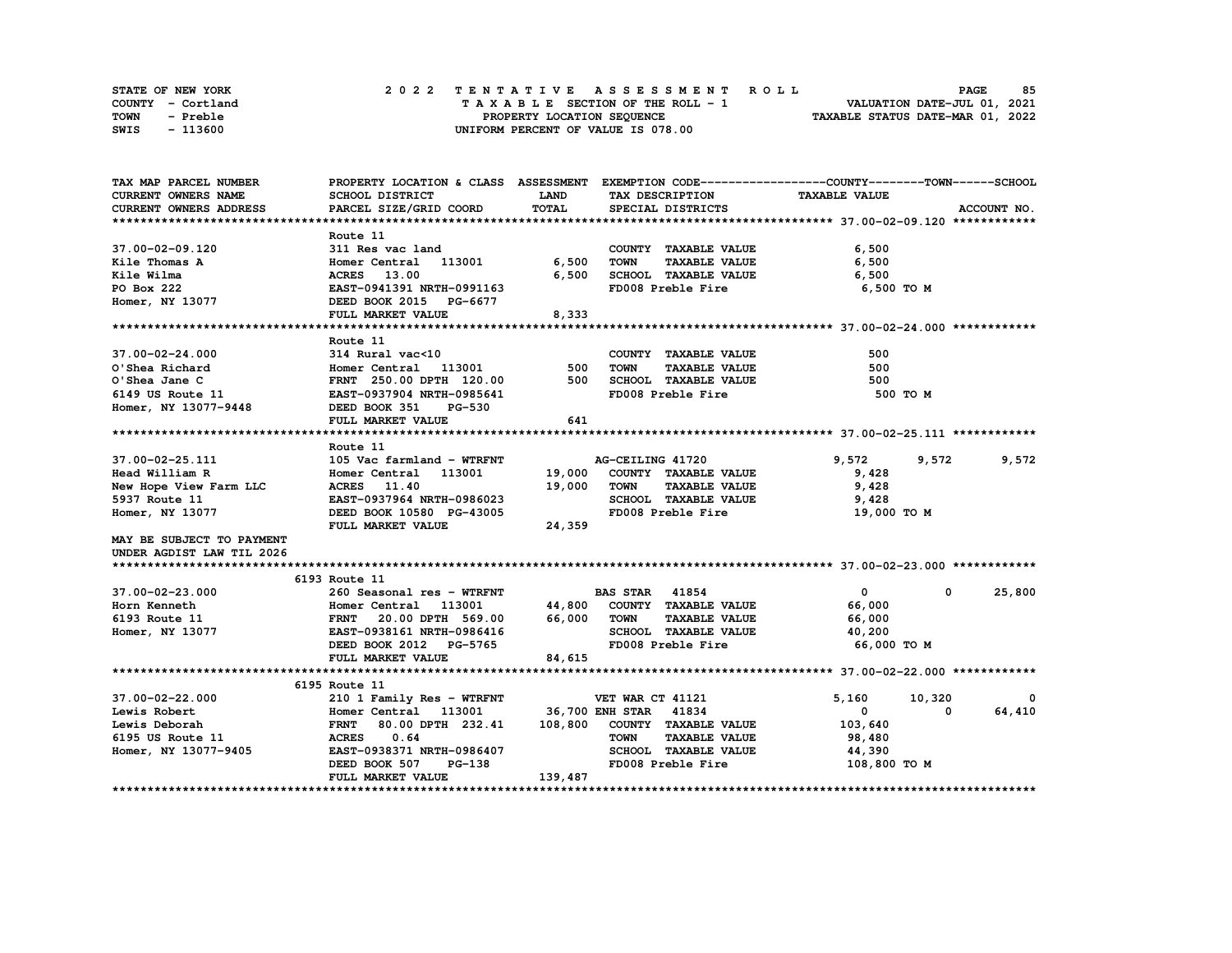| STATE OF NEW YORK | 2022 TENTATIVE ASSESSMENT ROLL     | 85<br><b>PAGE</b>                |
|-------------------|------------------------------------|----------------------------------|
| COUNTY - Cortland | TAXABLE SECTION OF THE ROLL - 1    | VALUATION DATE-JUL 01, 2021      |
| TOWN<br>- Preble  | PROPERTY LOCATION SEQUENCE         | TAXABLE STATUS DATE-MAR 01, 2022 |
| - 113600<br>SWIS  | UNIFORM PERCENT OF VALUE IS 078.00 |                                  |

| TAX MAP PARCEL NUMBER     | PROPERTY LOCATION & CLASS ASSESSMENT EXEMPTION CODE----------------COUNTY-------TOWN-----SCHOOL                                                                                                                                                        |              |                                                                    |                         |                         |             |
|---------------------------|--------------------------------------------------------------------------------------------------------------------------------------------------------------------------------------------------------------------------------------------------------|--------------|--------------------------------------------------------------------|-------------------------|-------------------------|-------------|
| CURRENT OWNERS NAME       | SCHOOL DISTRICT                                                                                                                                                                                                                                        | <b>LAND</b>  | TAX DESCRIPTION                                                    | <b>TAXABLE VALUE</b>    |                         |             |
| CURRENT OWNERS ADDRESS    | PARCEL SIZE/GRID COORD                                                                                                                                                                                                                                 | <b>TOTAL</b> | SPECIAL DISTRICTS                                                  |                         |                         | ACCOUNT NO. |
|                           |                                                                                                                                                                                                                                                        |              |                                                                    |                         |                         |             |
|                           | Route 11                                                                                                                                                                                                                                               |              |                                                                    |                         |                         |             |
| 37.00-02-09.120           | 311 Res vac land                                                                                                                                                                                                                                       |              | COUNTY TAXABLE VALUE                                               | 6,500                   |                         |             |
|                           | Homer Central 113001 6,500                                                                                                                                                                                                                             |              | <b>TOWN</b><br>TAXABLE VALUE                                       | 6,500                   |                         |             |
|                           |                                                                                                                                                                                                                                                        |              |                                                                    |                         |                         |             |
|                           | Exite Thomas A<br>Kile Thomas A<br>Rile Wilma<br>PO Box 222<br>Homer, NY 13077<br>EAST-0941391 NRTH-0991163<br>DEED BOOK 2015<br>PG-6677<br>THE MODER OF SEED BOOK 2015<br>PG-6677<br>THE MODER OF SEED BOOK 2015<br>PG-6677                           |              | 6,500 SCHOOL TAXABLE VALUE 6,500 FD008 Preble Fire 6,500 TO M      |                         |                         |             |
|                           |                                                                                                                                                                                                                                                        |              |                                                                    |                         |                         |             |
|                           | <b>FULL MARKET VALUE</b>                                                                                                                                                                                                                               | 8,333        |                                                                    |                         |                         |             |
|                           |                                                                                                                                                                                                                                                        |              |                                                                    |                         |                         |             |
|                           | Route 11                                                                                                                                                                                                                                               |              |                                                                    |                         |                         |             |
| $37.00 - 02 - 24.000$     | 314 Rural vac<10                                                                                                                                                                                                                                       |              | COUNTY TAXABLE VALUE                                               | 500                     |                         |             |
|                           |                                                                                                                                                                                                                                                        |              | TAXABLE VALUE<br>TOWN                                              | 500                     |                         |             |
|                           | 0'Shea Richard Homer Central 113001 500<br>0'Shea Jane C FRNT 250.00 DPTH 120.00 500<br>6149 US Route 11 EAST-0937904 NRTH-0985641                                                                                                                     |              | SCHOOL TAXABLE VALUE                                               | 500                     |                         |             |
|                           |                                                                                                                                                                                                                                                        |              | FD008 Preble Fire                                                  | 500 то м                |                         |             |
|                           | Homer, NY 13077-9448 DEED BOOK 351 PG-530                                                                                                                                                                                                              |              |                                                                    |                         |                         |             |
|                           | FULL MARKET VALUE                                                                                                                                                                                                                                      | 641          |                                                                    |                         |                         |             |
|                           |                                                                                                                                                                                                                                                        |              |                                                                    |                         |                         |             |
|                           | Route 11                                                                                                                                                                                                                                               |              |                                                                    |                         |                         |             |
| 37.00-02-25.111           | 105 Vac farmland - WTRFNT                                                                                                                                                                                                                              |              | AG-CEILING 41720                                                   | 9,572 9,572             |                         | 9,572       |
|                           |                                                                                                                                                                                                                                                        |              |                                                                    |                         |                         |             |
|                           |                                                                                                                                                                                                                                                        |              | 19,000 COUNTY TAXABLE VALUE<br>19,000 TOWN<br><b>TAXABLE VALUE</b> | 9,428<br>9,428          |                         |             |
|                           |                                                                                                                                                                                                                                                        |              |                                                                    |                         |                         |             |
| 5937 Route 11             | <b>EAST-0937964 NRTH-0986023<br/>DEED BOOK 10580 PG-43005</b>                                                                                                                                                                                          |              | SCHOOL TAXABLE VALUE 9,428                                         |                         |                         |             |
| Homer, NY 13077           |                                                                                                                                                                                                                                                        | 24,359       | FD008 Preble Fire                                                  | 19,000 TO M             |                         |             |
|                           | FULL MARKET VALUE                                                                                                                                                                                                                                      |              |                                                                    |                         |                         |             |
| MAY BE SUBJECT TO PAYMENT |                                                                                                                                                                                                                                                        |              |                                                                    |                         |                         |             |
| UNDER AGDIST LAW TIL 2026 |                                                                                                                                                                                                                                                        |              |                                                                    |                         |                         |             |
|                           |                                                                                                                                                                                                                                                        |              |                                                                    |                         |                         |             |
|                           | 6193 Route 11                                                                                                                                                                                                                                          |              |                                                                    |                         |                         |             |
| 37.00-02-23.000           | 260 Seasonal res - WTRFNT BAS STAR 41854                                                                                                                                                                                                               |              |                                                                    | $\overline{\mathbf{0}}$ | $\mathbf{0}$            | 25,800      |
|                           |                                                                                                                                                                                                                                                        |              |                                                                    | 66,000                  |                         |             |
|                           |                                                                                                                                                                                                                                                        |              |                                                                    | 66,000                  |                         |             |
|                           |                                                                                                                                                                                                                                                        |              | SCHOOL TAXABLE VALUE 40,200                                        |                         |                         |             |
|                           |                                                                                                                                                                                                                                                        |              | FD008 Preble Fire                                                  | 66,000 TO M             |                         |             |
|                           | 37.00-02-23.000<br>Homer, NY 13077<br>Homer, NY 13077<br>Homer, NY 13077<br>Homer, NY 13077<br>EAST-0938161 NRTH-0986416<br>DEED BOOK 2012<br>PGEED FOOK 2012<br>PGEED FOOK 2012<br>PGEED FOOK 2012<br>PGEED FOOK 2012<br>PGEED FOOK 2012<br>PGEED FOO |              |                                                                    |                         |                         |             |
|                           |                                                                                                                                                                                                                                                        |              |                                                                    |                         |                         |             |
|                           | 6195 Route 11                                                                                                                                                                                                                                          |              |                                                                    |                         |                         |             |
| 37.00-02-22.000           |                                                                                                                                                                                                                                                        |              |                                                                    | 5,160                   | 10,320                  | 0           |
| Lewis Robert              | 210 1 Family Res - WTRFNT<br>Homer Central 113001 36,700 ENH STAR 41834<br>FRNT 80.00 DPTH 232.41 108,800 COUNTY TAXABLE VALUE<br>ACRES 0.64 TOWN TAXABLE VALUE<br>PA05 EAST-0938371 NRTH-0986407 SCHOOL TAXABLE VALUE                                 |              |                                                                    | $\mathbf{0}$            | $\overline{\mathbf{0}}$ | 64,410      |
| Lewis Deborah             |                                                                                                                                                                                                                                                        |              |                                                                    | 103,640                 |                         |             |
| 6195 US Route 11          |                                                                                                                                                                                                                                                        |              | TAXABLE VALUE                                                      | 98,480                  |                         |             |
| Homer, NY 13077-9405      | EAST-0938371 NRTH-0986407                                                                                                                                                                                                                              |              | SCHOOL TAXABLE VALUE 44,390<br>FD008 Preble Fire 108,800 TO M      |                         |                         |             |
|                           | <b>PG-138</b><br>DEED BOOK 507                                                                                                                                                                                                                         |              |                                                                    |                         |                         |             |
|                           | FULL MARKET VALUE                                                                                                                                                                                                                                      | 139,487      |                                                                    |                         |                         |             |
|                           |                                                                                                                                                                                                                                                        |              |                                                                    |                         |                         |             |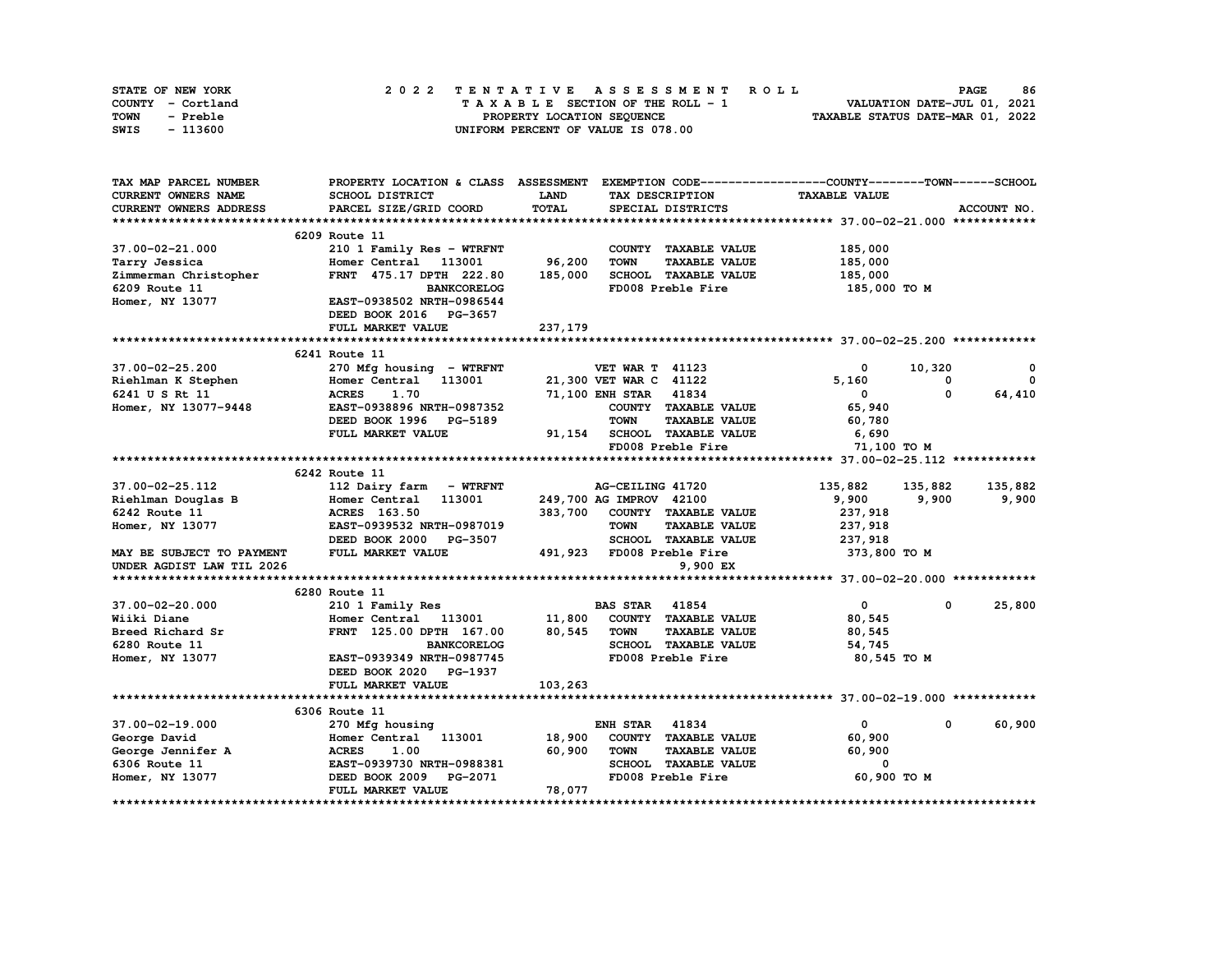| STATE OF NEW YORK | 2022 TENTATIVE ASSESSMENT ROLL     | 86<br><b>PAGE</b>                |
|-------------------|------------------------------------|----------------------------------|
| COUNTY - Cortland | TAXABLE SECTION OF THE ROLL - 1    | VALUATION DATE-JUL 01, 2021      |
| TOWN<br>- Preble  | PROPERTY LOCATION SEQUENCE         | TAXABLE STATUS DATE-MAR 01, 2022 |
| - 113600<br>SWIS  | UNIFORM PERCENT OF VALUE IS 078.00 |                                  |

| TAX MAP PARCEL NUMBER     | PROPERTY LOCATION & CLASS ASSESSMENT EXEMPTION CODE-----------------COUNTY-------TOWN------SCHOOL |              |                                     |                      |             |             |
|---------------------------|---------------------------------------------------------------------------------------------------|--------------|-------------------------------------|----------------------|-------------|-------------|
| CURRENT OWNERS NAME       | SCHOOL DISTRICT                                                                                   | LAND         | TAX DESCRIPTION                     | <b>TAXABLE VALUE</b> |             |             |
| CURRENT OWNERS ADDRESS    | PARCEL SIZE/GRID COORD                                                                            | <b>TOTAL</b> | SPECIAL DISTRICTS                   |                      |             | ACCOUNT NO. |
|                           |                                                                                                   |              |                                     |                      |             |             |
|                           | 6209 Route 11                                                                                     |              |                                     |                      |             |             |
| 37.00-02-21.000           | 210 1 Family Res - WTRFNT                                                                         |              | COUNTY TAXABLE VALUE                | 185,000              |             |             |
| Tarry Jessica             | Homer Central 113001                                                                              | 96,200       | <b>TOWN</b><br><b>TAXABLE VALUE</b> | 185,000              |             |             |
| Zimmerman Christopher     | FRNT 475.17 DPTH 222.80                                                                           | 185,000      | SCHOOL TAXABLE VALUE                | 185,000              |             |             |
| 6209 Route 11             | <b>BANKCORELOG</b>                                                                                |              | FD008 Preble Fire                   | 185,000 то м         |             |             |
| Homer, NY 13077           | EAST-0938502 NRTH-0986544                                                                         |              |                                     |                      |             |             |
|                           | DEED BOOK 2016 PG-3657                                                                            |              |                                     |                      |             |             |
|                           | FULL MARKET VALUE                                                                                 | 237,179      |                                     |                      |             |             |
|                           |                                                                                                   |              |                                     |                      |             |             |
|                           | 6241 Route 11                                                                                     |              |                                     |                      |             |             |
| 37.00-02-25.200           | 270 Mfg housing - WTRFNT                                                                          |              | <b>VET WAR T 41123</b>              | 0                    | 10,320      | 0           |
| Riehlman K Stephen        | Homer Central 113001                                                                              |              | 21,300 VET WAR C 41122              | 5,160                | 0           | $\Omega$    |
| 6241 U S Rt 11            | <b>ACRES</b><br>1.70                                                                              |              | 71,100 ENH STAR 41834               | $\mathbf{0}$         | $^{\circ}$  | 64,410      |
| Homer, NY 13077-9448      | EAST-0938896 NRTH-0987352                                                                         |              | COUNTY TAXABLE VALUE                | 65,940               |             |             |
|                           | DEED BOOK 1996 PG-5189                                                                            |              | <b>TOWN</b><br><b>TAXABLE VALUE</b> | 60,780               |             |             |
|                           | FULL MARKET VALUE                                                                                 | 91,154       | SCHOOL TAXABLE VALUE                | 6,690                |             |             |
|                           |                                                                                                   |              | FD008 Preble Fire                   | 71,100 TO M          |             |             |
|                           |                                                                                                   |              |                                     |                      |             |             |
|                           | 6242 Route 11                                                                                     |              |                                     |                      |             |             |
| 37.00-02-25.112           | 112 Dairy farm - WTRFNT                                                                           |              | AG-CEILING 41720                    | 135,882              | 135,882     | 135,882     |
| Riehlman Douglas B        | Homer Central 113001                                                                              |              | 249,700 AG IMPROV 42100             | 9,900                | 9,900       | 9,900       |
| 6242 Route 11             | ACRES 163.50                                                                                      | 383,700      | COUNTY TAXABLE VALUE                | 237,918              |             |             |
| Homer, NY 13077           | EAST-0939532 NRTH-0987019                                                                         |              | <b>TOWN</b><br><b>TAXABLE VALUE</b> | 237,918              |             |             |
|                           | DEED BOOK 2000<br><b>PG-3507</b>                                                                  |              | SCHOOL TAXABLE VALUE                | 237,918              |             |             |
| MAY BE SUBJECT TO PAYMENT | FULL MARKET VALUE                                                                                 |              | 491,923 FD008 Preble Fire           | 373,800 TO M         |             |             |
| UNDER AGDIST LAW TIL 2026 |                                                                                                   |              | 9,900 EX                            |                      |             |             |
|                           |                                                                                                   |              |                                     |                      |             |             |
|                           | 6280 Route 11                                                                                     |              |                                     |                      |             |             |
| 37.00-02-20.000           | 210 1 Family Res                                                                                  |              | <b>BAS STAR 41854</b>               | $\mathbf{0}$         | $\mathbf 0$ | 25,800      |
| Wiiki Diane               | Homer Central 113001                                                                              | 11,800       | COUNTY TAXABLE VALUE                | 80,545               |             |             |
| Breed Richard Sr          | FRNT 125.00 DPTH 167.00                                                                           | 80,545       | <b>TOWN</b><br><b>TAXABLE VALUE</b> | 80,545               |             |             |
| 6280 Route 11             | <b>BANKCORELOG</b>                                                                                |              | SCHOOL TAXABLE VALUE                | 54,745               |             |             |
| Homer, NY 13077           | EAST-0939349 NRTH-0987745                                                                         |              | FD008 Preble Fire                   | 80,545 TO M          |             |             |
|                           | DEED BOOK 2020 PG-1937                                                                            |              |                                     |                      |             |             |
|                           | FULL MARKET VALUE                                                                                 | 103,263      |                                     |                      |             |             |
|                           |                                                                                                   |              |                                     |                      |             |             |
|                           | 6306 Route 11                                                                                     |              |                                     |                      |             |             |
| 37.00-02-19.000           | 270 Mfg housing                                                                                   |              | <b>ENH STAR</b><br>41834            | $\mathbf{0}$         | 0           | 60,900      |
| George David              | Homer Central 113001                                                                              | 18,900       | COUNTY TAXABLE VALUE                | 60,900               |             |             |
| George Jennifer A         | <b>ACRES</b><br>1.00                                                                              | 60,900       | <b>TOWN</b><br><b>TAXABLE VALUE</b> | 60,900               |             |             |
| 6306 Route 11             | EAST-0939730 NRTH-0988381                                                                         |              | SCHOOL TAXABLE VALUE                | 0                    |             |             |
| Homer, NY 13077           | PG-2071<br>DEED BOOK 2009                                                                         |              | FD008 Preble Fire                   | 60,900 TO M          |             |             |
|                           | <b>FULL MARKET VALUE</b>                                                                          | 78,077       |                                     |                      |             |             |
|                           |                                                                                                   |              |                                     |                      |             |             |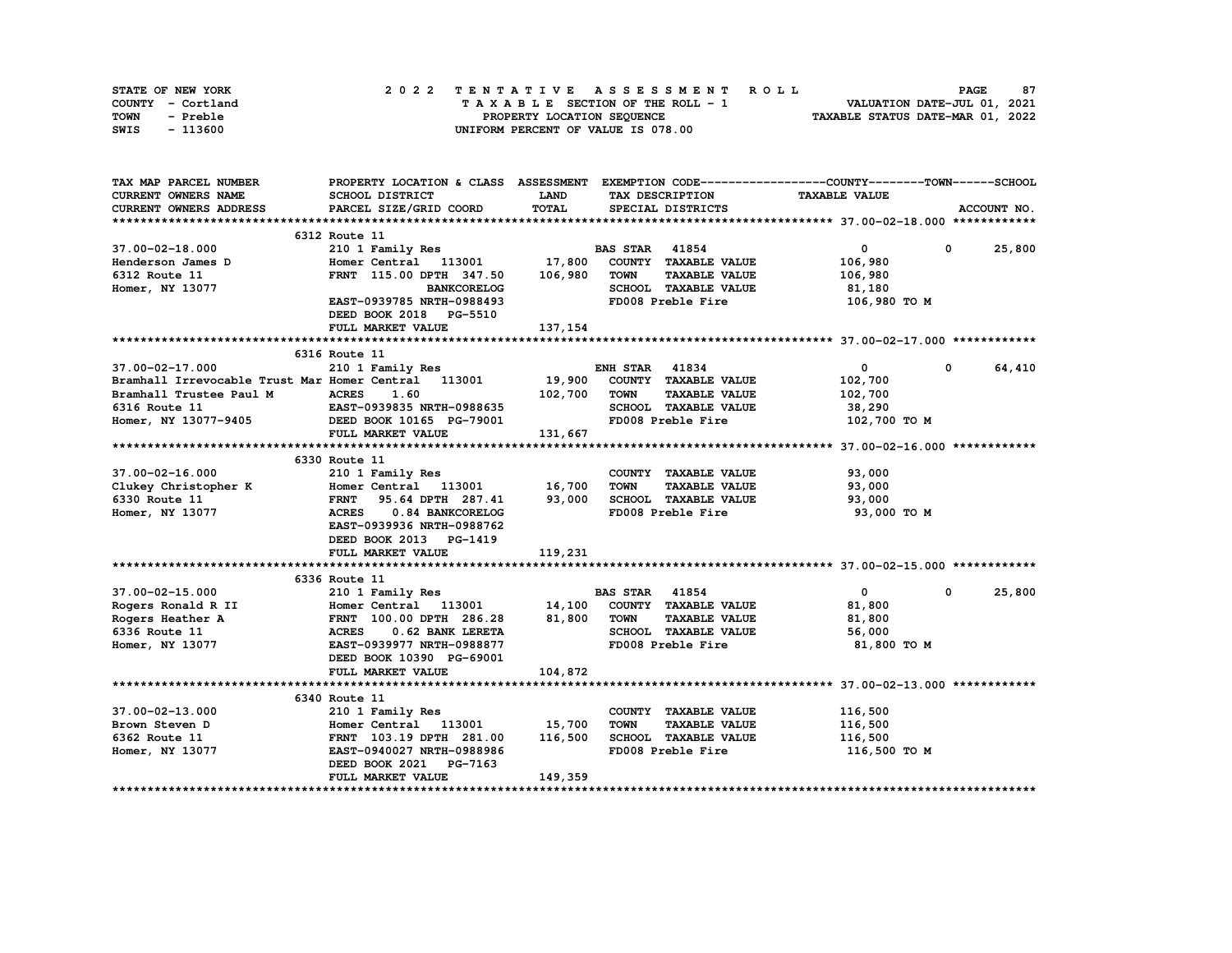| STATE OF NEW YORK | 2022 TENTATIVE ASSESSMENT ROLL     | 87<br><b>PAGE</b>                |
|-------------------|------------------------------------|----------------------------------|
| COUNTY - Cortland | TAXABLE SECTION OF THE ROLL - 1    | VALUATION DATE-JUL 01, 2021      |
| TOWN<br>- Preble  | PROPERTY LOCATION SEQUENCE         | TAXABLE STATUS DATE-MAR 01, 2022 |
| - 113600<br>SWIS  | UNIFORM PERCENT OF VALUE IS 078.00 |                                  |

| <b>CURRENT OWNERS NAME</b><br>SCHOOL DISTRICT<br>LAND<br>TAX DESCRIPTION<br><b>TAXABLE VALUE</b><br>TOTAL<br>PARCEL SIZE/GRID COORD<br>ACCOUNT NO.<br>CURRENT OWNERS ADDRESS<br>SPECIAL DISTRICTS<br>6312 Route 11<br>210 1 Family Res<br>$0 \t 25,800$<br><b>BAS STAR 41854</b><br>$\bullet$<br>37.00-02-18.000<br>Homer Central 113001 17,800<br>COUNTY TAXABLE VALUE<br>Henderson James D<br>106,980<br>FRNT 115.00 DPTH 347.50 106,980<br>TOWN<br><b>TAXABLE VALUE</b><br>6312 Route 11<br>106,980<br>SCHOOL TAXABLE VALUE<br>Homer, NY 13077<br><b>BANKCORELOG</b><br>81,180<br>FD008 Preble Fire<br>EAST-0939785 NRTH-0988493<br>106,980 TO M<br>DEED BOOK 2018 PG-5510<br>137,154<br>FULL MARKET VALUE<br>6316 Route 11<br>64,410<br>37.00-02-17.000<br>210 1 Family Res<br><b>ENH STAR 41834</b><br>$\mathbf{0}$<br>$\mathbf 0$<br>19,900<br>COUNTY TAXABLE VALUE<br>Bramhall Irrevocable Trust Mar Homer Central 113001<br>102,700<br>102,700<br>Bramhall Trustee Paul M<br><b>ACRES</b><br>1.60<br><b>TOWN</b><br><b>TAXABLE VALUE</b><br>102,700<br>EAST-0939835 NRTH-0988635<br>SCHOOL TAXABLE VALUE<br>38,290<br>6316 Route 11 EAST-0939835 NRTH-0988635<br>Homer, NY 13077-9405 DEED BOOK 10165 PG-79001<br>FD008 Preble Fire<br>102,700 TO M<br>131,667<br>FULL MARKET VALUE<br>6330 Route 11<br>Clukey Christopher K<br>Clukey Christopher K<br>6330 Route 11 Family Res<br>FRANT 95.64 DPTH 287.41<br>Homer, NY 13077 ACRES 0.84 PANY CONTRES<br>COUNTY TAXABLE VALUE<br>93,000<br>16,700<br><b>TOWN</b><br><b>TAXABLE VALUE</b><br>93,000<br>93,000<br>SCHOOL TAXABLE VALUE<br>93,000<br>FD008 Preble Fire<br>93,000 то м<br>EAST-0939936 NRTH-0988762<br>DEED BOOK 2013 PG-1419<br>119,231<br>FULL MARKET VALUE |
|------------------------------------------------------------------------------------------------------------------------------------------------------------------------------------------------------------------------------------------------------------------------------------------------------------------------------------------------------------------------------------------------------------------------------------------------------------------------------------------------------------------------------------------------------------------------------------------------------------------------------------------------------------------------------------------------------------------------------------------------------------------------------------------------------------------------------------------------------------------------------------------------------------------------------------------------------------------------------------------------------------------------------------------------------------------------------------------------------------------------------------------------------------------------------------------------------------------------------------------------------------------------------------------------------------------------------------------------------------------------------------------------------------------------------------------------------------------------------------------------------------------------------------------------------------------------------------------------------------------------------------------------------------------------------------------------------------------------------------|
|                                                                                                                                                                                                                                                                                                                                                                                                                                                                                                                                                                                                                                                                                                                                                                                                                                                                                                                                                                                                                                                                                                                                                                                                                                                                                                                                                                                                                                                                                                                                                                                                                                                                                                                                    |
|                                                                                                                                                                                                                                                                                                                                                                                                                                                                                                                                                                                                                                                                                                                                                                                                                                                                                                                                                                                                                                                                                                                                                                                                                                                                                                                                                                                                                                                                                                                                                                                                                                                                                                                                    |
|                                                                                                                                                                                                                                                                                                                                                                                                                                                                                                                                                                                                                                                                                                                                                                                                                                                                                                                                                                                                                                                                                                                                                                                                                                                                                                                                                                                                                                                                                                                                                                                                                                                                                                                                    |
|                                                                                                                                                                                                                                                                                                                                                                                                                                                                                                                                                                                                                                                                                                                                                                                                                                                                                                                                                                                                                                                                                                                                                                                                                                                                                                                                                                                                                                                                                                                                                                                                                                                                                                                                    |
|                                                                                                                                                                                                                                                                                                                                                                                                                                                                                                                                                                                                                                                                                                                                                                                                                                                                                                                                                                                                                                                                                                                                                                                                                                                                                                                                                                                                                                                                                                                                                                                                                                                                                                                                    |
|                                                                                                                                                                                                                                                                                                                                                                                                                                                                                                                                                                                                                                                                                                                                                                                                                                                                                                                                                                                                                                                                                                                                                                                                                                                                                                                                                                                                                                                                                                                                                                                                                                                                                                                                    |
|                                                                                                                                                                                                                                                                                                                                                                                                                                                                                                                                                                                                                                                                                                                                                                                                                                                                                                                                                                                                                                                                                                                                                                                                                                                                                                                                                                                                                                                                                                                                                                                                                                                                                                                                    |
|                                                                                                                                                                                                                                                                                                                                                                                                                                                                                                                                                                                                                                                                                                                                                                                                                                                                                                                                                                                                                                                                                                                                                                                                                                                                                                                                                                                                                                                                                                                                                                                                                                                                                                                                    |
|                                                                                                                                                                                                                                                                                                                                                                                                                                                                                                                                                                                                                                                                                                                                                                                                                                                                                                                                                                                                                                                                                                                                                                                                                                                                                                                                                                                                                                                                                                                                                                                                                                                                                                                                    |
|                                                                                                                                                                                                                                                                                                                                                                                                                                                                                                                                                                                                                                                                                                                                                                                                                                                                                                                                                                                                                                                                                                                                                                                                                                                                                                                                                                                                                                                                                                                                                                                                                                                                                                                                    |
|                                                                                                                                                                                                                                                                                                                                                                                                                                                                                                                                                                                                                                                                                                                                                                                                                                                                                                                                                                                                                                                                                                                                                                                                                                                                                                                                                                                                                                                                                                                                                                                                                                                                                                                                    |
|                                                                                                                                                                                                                                                                                                                                                                                                                                                                                                                                                                                                                                                                                                                                                                                                                                                                                                                                                                                                                                                                                                                                                                                                                                                                                                                                                                                                                                                                                                                                                                                                                                                                                                                                    |
|                                                                                                                                                                                                                                                                                                                                                                                                                                                                                                                                                                                                                                                                                                                                                                                                                                                                                                                                                                                                                                                                                                                                                                                                                                                                                                                                                                                                                                                                                                                                                                                                                                                                                                                                    |
|                                                                                                                                                                                                                                                                                                                                                                                                                                                                                                                                                                                                                                                                                                                                                                                                                                                                                                                                                                                                                                                                                                                                                                                                                                                                                                                                                                                                                                                                                                                                                                                                                                                                                                                                    |
|                                                                                                                                                                                                                                                                                                                                                                                                                                                                                                                                                                                                                                                                                                                                                                                                                                                                                                                                                                                                                                                                                                                                                                                                                                                                                                                                                                                                                                                                                                                                                                                                                                                                                                                                    |
|                                                                                                                                                                                                                                                                                                                                                                                                                                                                                                                                                                                                                                                                                                                                                                                                                                                                                                                                                                                                                                                                                                                                                                                                                                                                                                                                                                                                                                                                                                                                                                                                                                                                                                                                    |
|                                                                                                                                                                                                                                                                                                                                                                                                                                                                                                                                                                                                                                                                                                                                                                                                                                                                                                                                                                                                                                                                                                                                                                                                                                                                                                                                                                                                                                                                                                                                                                                                                                                                                                                                    |
|                                                                                                                                                                                                                                                                                                                                                                                                                                                                                                                                                                                                                                                                                                                                                                                                                                                                                                                                                                                                                                                                                                                                                                                                                                                                                                                                                                                                                                                                                                                                                                                                                                                                                                                                    |
|                                                                                                                                                                                                                                                                                                                                                                                                                                                                                                                                                                                                                                                                                                                                                                                                                                                                                                                                                                                                                                                                                                                                                                                                                                                                                                                                                                                                                                                                                                                                                                                                                                                                                                                                    |
|                                                                                                                                                                                                                                                                                                                                                                                                                                                                                                                                                                                                                                                                                                                                                                                                                                                                                                                                                                                                                                                                                                                                                                                                                                                                                                                                                                                                                                                                                                                                                                                                                                                                                                                                    |
|                                                                                                                                                                                                                                                                                                                                                                                                                                                                                                                                                                                                                                                                                                                                                                                                                                                                                                                                                                                                                                                                                                                                                                                                                                                                                                                                                                                                                                                                                                                                                                                                                                                                                                                                    |
|                                                                                                                                                                                                                                                                                                                                                                                                                                                                                                                                                                                                                                                                                                                                                                                                                                                                                                                                                                                                                                                                                                                                                                                                                                                                                                                                                                                                                                                                                                                                                                                                                                                                                                                                    |
|                                                                                                                                                                                                                                                                                                                                                                                                                                                                                                                                                                                                                                                                                                                                                                                                                                                                                                                                                                                                                                                                                                                                                                                                                                                                                                                                                                                                                                                                                                                                                                                                                                                                                                                                    |
|                                                                                                                                                                                                                                                                                                                                                                                                                                                                                                                                                                                                                                                                                                                                                                                                                                                                                                                                                                                                                                                                                                                                                                                                                                                                                                                                                                                                                                                                                                                                                                                                                                                                                                                                    |
|                                                                                                                                                                                                                                                                                                                                                                                                                                                                                                                                                                                                                                                                                                                                                                                                                                                                                                                                                                                                                                                                                                                                                                                                                                                                                                                                                                                                                                                                                                                                                                                                                                                                                                                                    |
|                                                                                                                                                                                                                                                                                                                                                                                                                                                                                                                                                                                                                                                                                                                                                                                                                                                                                                                                                                                                                                                                                                                                                                                                                                                                                                                                                                                                                                                                                                                                                                                                                                                                                                                                    |
|                                                                                                                                                                                                                                                                                                                                                                                                                                                                                                                                                                                                                                                                                                                                                                                                                                                                                                                                                                                                                                                                                                                                                                                                                                                                                                                                                                                                                                                                                                                                                                                                                                                                                                                                    |
|                                                                                                                                                                                                                                                                                                                                                                                                                                                                                                                                                                                                                                                                                                                                                                                                                                                                                                                                                                                                                                                                                                                                                                                                                                                                                                                                                                                                                                                                                                                                                                                                                                                                                                                                    |
|                                                                                                                                                                                                                                                                                                                                                                                                                                                                                                                                                                                                                                                                                                                                                                                                                                                                                                                                                                                                                                                                                                                                                                                                                                                                                                                                                                                                                                                                                                                                                                                                                                                                                                                                    |
|                                                                                                                                                                                                                                                                                                                                                                                                                                                                                                                                                                                                                                                                                                                                                                                                                                                                                                                                                                                                                                                                                                                                                                                                                                                                                                                                                                                                                                                                                                                                                                                                                                                                                                                                    |
| 6336 Route 11<br>210 1 Family Res<br>25,800<br>37.00-02-15.000<br><b>BAS STAR 41854</b><br>$\mathbf{0}$<br>$^{\circ}$                                                                                                                                                                                                                                                                                                                                                                                                                                                                                                                                                                                                                                                                                                                                                                                                                                                                                                                                                                                                                                                                                                                                                                                                                                                                                                                                                                                                                                                                                                                                                                                                              |
| COUNTY TAXABLE VALUE                                                                                                                                                                                                                                                                                                                                                                                                                                                                                                                                                                                                                                                                                                                                                                                                                                                                                                                                                                                                                                                                                                                                                                                                                                                                                                                                                                                                                                                                                                                                                                                                                                                                                                               |
| 81,800<br><b>TOWN</b><br><b>TAXABLE VALUE</b>                                                                                                                                                                                                                                                                                                                                                                                                                                                                                                                                                                                                                                                                                                                                                                                                                                                                                                                                                                                                                                                                                                                                                                                                                                                                                                                                                                                                                                                                                                                                                                                                                                                                                      |
| Rogers Ronald R II Homer Central 113001 14,100<br>Rogers Heather A FRNT 100.00 DPTH 286.28 81,800<br>6336 Route 11 ACRES 0.62 BANK LERETA<br>81,800<br>SCHOOL TAXABLE VALUE                                                                                                                                                                                                                                                                                                                                                                                                                                                                                                                                                                                                                                                                                                                                                                                                                                                                                                                                                                                                                                                                                                                                                                                                                                                                                                                                                                                                                                                                                                                                                        |
| 56,000                                                                                                                                                                                                                                                                                                                                                                                                                                                                                                                                                                                                                                                                                                                                                                                                                                                                                                                                                                                                                                                                                                                                                                                                                                                                                                                                                                                                                                                                                                                                                                                                                                                                                                                             |
| FD008 Preble Fire<br>Homer, NY 13077<br>EAST-0939977 NRTH-0988877<br>81,800 TO M                                                                                                                                                                                                                                                                                                                                                                                                                                                                                                                                                                                                                                                                                                                                                                                                                                                                                                                                                                                                                                                                                                                                                                                                                                                                                                                                                                                                                                                                                                                                                                                                                                                   |
| DEED BOOK 10390 PG-69001<br>104,872                                                                                                                                                                                                                                                                                                                                                                                                                                                                                                                                                                                                                                                                                                                                                                                                                                                                                                                                                                                                                                                                                                                                                                                                                                                                                                                                                                                                                                                                                                                                                                                                                                                                                                |
| FULL MARKET VALUE                                                                                                                                                                                                                                                                                                                                                                                                                                                                                                                                                                                                                                                                                                                                                                                                                                                                                                                                                                                                                                                                                                                                                                                                                                                                                                                                                                                                                                                                                                                                                                                                                                                                                                                  |
|                                                                                                                                                                                                                                                                                                                                                                                                                                                                                                                                                                                                                                                                                                                                                                                                                                                                                                                                                                                                                                                                                                                                                                                                                                                                                                                                                                                                                                                                                                                                                                                                                                                                                                                                    |
| 6340 Route 11                                                                                                                                                                                                                                                                                                                                                                                                                                                                                                                                                                                                                                                                                                                                                                                                                                                                                                                                                                                                                                                                                                                                                                                                                                                                                                                                                                                                                                                                                                                                                                                                                                                                                                                      |
| 37.00-02-13.000<br>210 1 Family Res<br>COUNTY TAXABLE VALUE<br>116,500<br>Homer Central 113001 15,700                                                                                                                                                                                                                                                                                                                                                                                                                                                                                                                                                                                                                                                                                                                                                                                                                                                                                                                                                                                                                                                                                                                                                                                                                                                                                                                                                                                                                                                                                                                                                                                                                              |
| Brown Steven D<br><b>TOWN</b><br><b>TAXABLE VALUE</b><br>116,500                                                                                                                                                                                                                                                                                                                                                                                                                                                                                                                                                                                                                                                                                                                                                                                                                                                                                                                                                                                                                                                                                                                                                                                                                                                                                                                                                                                                                                                                                                                                                                                                                                                                   |
| FRNT 103.19 DPTH 281.00<br>EAST-0940027 NRTH-0988986<br>SCHOOL TAXABLE VALUE<br>6362 Route 11<br>116,500<br>116,500                                                                                                                                                                                                                                                                                                                                                                                                                                                                                                                                                                                                                                                                                                                                                                                                                                                                                                                                                                                                                                                                                                                                                                                                                                                                                                                                                                                                                                                                                                                                                                                                                |
| FD008 Preble Fire<br>116,500 TO M<br>Homer, NY 13077                                                                                                                                                                                                                                                                                                                                                                                                                                                                                                                                                                                                                                                                                                                                                                                                                                                                                                                                                                                                                                                                                                                                                                                                                                                                                                                                                                                                                                                                                                                                                                                                                                                                               |
| DEED BOOK 2021 PG-7163                                                                                                                                                                                                                                                                                                                                                                                                                                                                                                                                                                                                                                                                                                                                                                                                                                                                                                                                                                                                                                                                                                                                                                                                                                                                                                                                                                                                                                                                                                                                                                                                                                                                                                             |
| FULL MARKET VALUE<br>149,359                                                                                                                                                                                                                                                                                                                                                                                                                                                                                                                                                                                                                                                                                                                                                                                                                                                                                                                                                                                                                                                                                                                                                                                                                                                                                                                                                                                                                                                                                                                                                                                                                                                                                                       |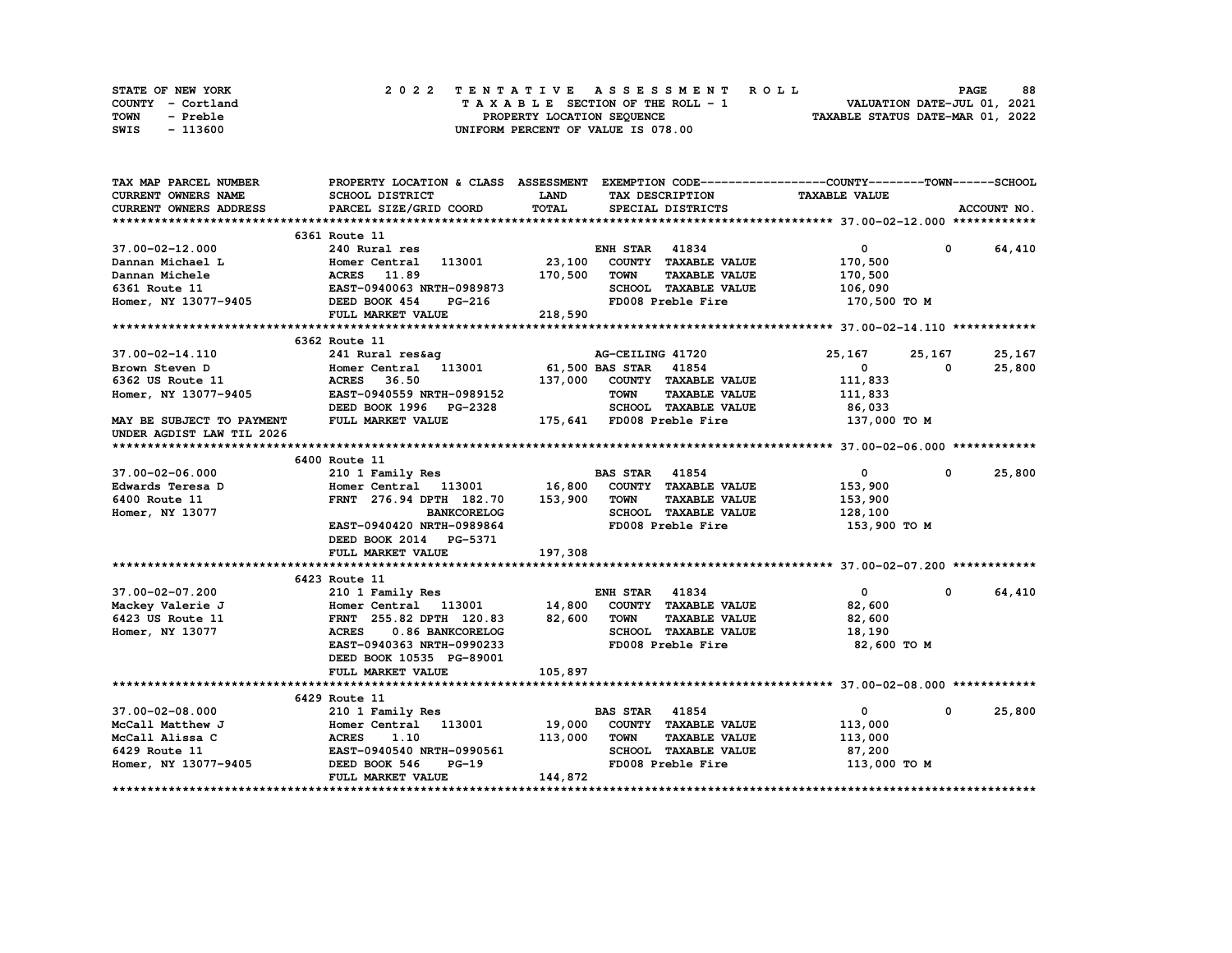| STATE OF NEW YORK | 2022 TENTATIVE ASSESSMENT ROLL     | 88<br><b>PAGE</b>                |
|-------------------|------------------------------------|----------------------------------|
| COUNTY - Cortland | TAXABLE SECTION OF THE ROLL - 1    | VALUATION DATE-JUL 01, 2021      |
| TOWN<br>- Preble  | PROPERTY LOCATION SEQUENCE         | TAXABLE STATUS DATE-MAR 01, 2022 |
| - 113600<br>SWIS  | UNIFORM PERCENT OF VALUE IS 078.00 |                                  |

| TAX MAP PARCEL NUMBER      | PROPERTY LOCATION & CLASS ASSESSMENT EXEMPTION CODE-----------------COUNTY-------TOWN-----SCHOOL |                 |                                     |                      |              |        |
|----------------------------|--------------------------------------------------------------------------------------------------|-----------------|-------------------------------------|----------------------|--------------|--------|
| <b>CURRENT OWNERS NAME</b> | SCHOOL DISTRICT                                                                                  | <b>LAND</b>     | TAX DESCRIPTION                     | <b>TAXABLE VALUE</b> |              |        |
| CURRENT OWNERS ADDRESS     | PARCEL SIZE/GRID COORD                                                                           | TOTAL           | SPECIAL DISTRICTS                   |                      | ACCOUNT NO.  |        |
|                            |                                                                                                  |                 |                                     |                      |              |        |
|                            | 6361 Route 11                                                                                    |                 |                                     |                      |              |        |
| 37.00-02-12.000            | 240 Rural res                                                                                    |                 | <b>ENH STAR 41834</b>               | $\mathbf{0}$         | $\mathbf 0$  | 64,410 |
| Dannan Michael L           | 113001<br>Homer Central                                                                          | 23,100          | COUNTY TAXABLE VALUE                | 170,500              |              |        |
| Dannan Michele             | ACRES 11.89                                                                                      | 170,500         | <b>TOWN</b><br><b>TAXABLE VALUE</b> | 170,500              |              |        |
| 6361 Route 11              | EAST-0940063 NRTH-0989873                                                                        |                 | SCHOOL TAXABLE VALUE                | 106,090              |              |        |
| Homer, NY 13077-9405       | DEED BOOK 454<br>PG-216                                                                          |                 | FD008 Preble Fire                   | 170,500 TO M         |              |        |
|                            | FULL MARKET VALUE                                                                                | 218,590         |                                     |                      |              |        |
|                            |                                                                                                  |                 |                                     |                      |              |        |
|                            | 6362 Route 11                                                                                    |                 |                                     |                      |              |        |
| 37.00-02-14.110            | 241 Rural res&ag                                                                                 |                 | AG-CEILING 41720                    | 25,167               | 25,167       | 25,167 |
| Brown Steven D             | Homer Central 113001                                                                             | 61,500 BAS STAR | 41854                               | $\mathbf{0}$         | $\mathbf{o}$ | 25,800 |
| 6362 US Route 11           | ACRES 36.50                                                                                      | 137,000         | COUNTY TAXABLE VALUE                | 111,833              |              |        |
| Homer, NY 13077-9405       | EAST-0940559 NRTH-0989152                                                                        |                 | <b>TOWN</b><br><b>TAXABLE VALUE</b> | 111,833              |              |        |
|                            | DEED BOOK 1996 PG-2328                                                                           |                 | SCHOOL TAXABLE VALUE                | 86,033               |              |        |
| MAY BE SUBJECT TO PAYMENT  | FULL MARKET VALUE                                                                                |                 | 175,641 FD008 Preble Fire           | 137,000 TO M         |              |        |
| UNDER AGDIST LAW TIL 2026  |                                                                                                  |                 |                                     |                      |              |        |
|                            |                                                                                                  |                 |                                     |                      |              |        |
|                            |                                                                                                  |                 |                                     |                      |              |        |
| $37.00 - 02 - 06.000$      | 6400 Route 11                                                                                    |                 | <b>BAS STAR 41854</b>               | $\mathbf{0}$         |              | 25,800 |
|                            | 210 1 Family Res                                                                                 | 16,800          |                                     |                      | 0            |        |
| Edwards Teresa D           | Homer Central 113001                                                                             |                 | COUNTY TAXABLE VALUE                | 153,900              |              |        |
| 6400 Route 11              | FRNT 276.94 DPTH 182.70                                                                          | 153,900         | <b>TOWN</b><br><b>TAXABLE VALUE</b> | 153,900              |              |        |
| Homer, NY 13077            | <b>BANKCORELOG</b>                                                                               |                 | SCHOOL TAXABLE VALUE                | 128,100              |              |        |
|                            | EAST-0940420 NRTH-0989864                                                                        |                 | FD008 Preble Fire                   | 153,900 то м         |              |        |
|                            | DEED BOOK 2014 PG-5371                                                                           |                 |                                     |                      |              |        |
|                            | FULL MARKET VALUE                                                                                | 197,308         |                                     |                      |              |        |
|                            |                                                                                                  |                 |                                     |                      |              |        |
|                            | 6423 Route 11                                                                                    |                 |                                     |                      |              |        |
| 37.00-02-07.200            | 210 1 Family Res                                                                                 |                 | <b>ENH STAR 41834</b>               | $\mathbf{0}$         | $^{\circ}$   | 64,410 |
| Mackey Valerie J           | Homer Central 113001                                                                             | 14,800          | COUNTY TAXABLE VALUE                | 82,600               |              |        |
| 6423 US Route 11           | FRNT 255.82 DPTH 120.83                                                                          | 82,600          | <b>TOWN</b><br><b>TAXABLE VALUE</b> | 82,600               |              |        |
| Homer, NY 13077            | 0.86 BANKCORELOG<br><b>ACRES</b>                                                                 |                 | SCHOOL TAXABLE VALUE                | 18,190               |              |        |
|                            | EAST-0940363 NRTH-0990233                                                                        |                 | FD008 Preble Fire                   | 82,600 TO M          |              |        |
|                            | DEED BOOK 10535 PG-89001                                                                         |                 |                                     |                      |              |        |
|                            | FULL MARKET VALUE                                                                                | 105,897         |                                     |                      |              |        |
|                            |                                                                                                  |                 |                                     |                      |              |        |
|                            | 6429 Route 11                                                                                    |                 |                                     |                      |              |        |
| 37.00-02-08.000            | 210 1 Family Res                                                                                 |                 | <b>BAS STAR 41854</b>               | $\mathbf 0$          | $\mathbf 0$  | 25,800 |
| McCall Matthew J           | Homer Central 113001                                                                             | 19,000          | COUNTY TAXABLE VALUE                | 113,000              |              |        |
| McCall Alissa C            | <b>ACRES</b><br>1.10                                                                             | 113,000         | <b>TOWN</b><br><b>TAXABLE VALUE</b> | 113,000              |              |        |
| 6429 Route 11              | EAST-0940540 NRTH-0990561                                                                        |                 | SCHOOL TAXABLE VALUE                | 87,200               |              |        |
| Homer, NY 13077-9405       | $PG-19$<br>DEED BOOK 546                                                                         |                 | FD008 Preble Fire                   | 113,000 TO M         |              |        |
|                            | FULL MARKET VALUE                                                                                | 144,872         |                                     |                      |              |        |
|                            |                                                                                                  |                 |                                     |                      |              |        |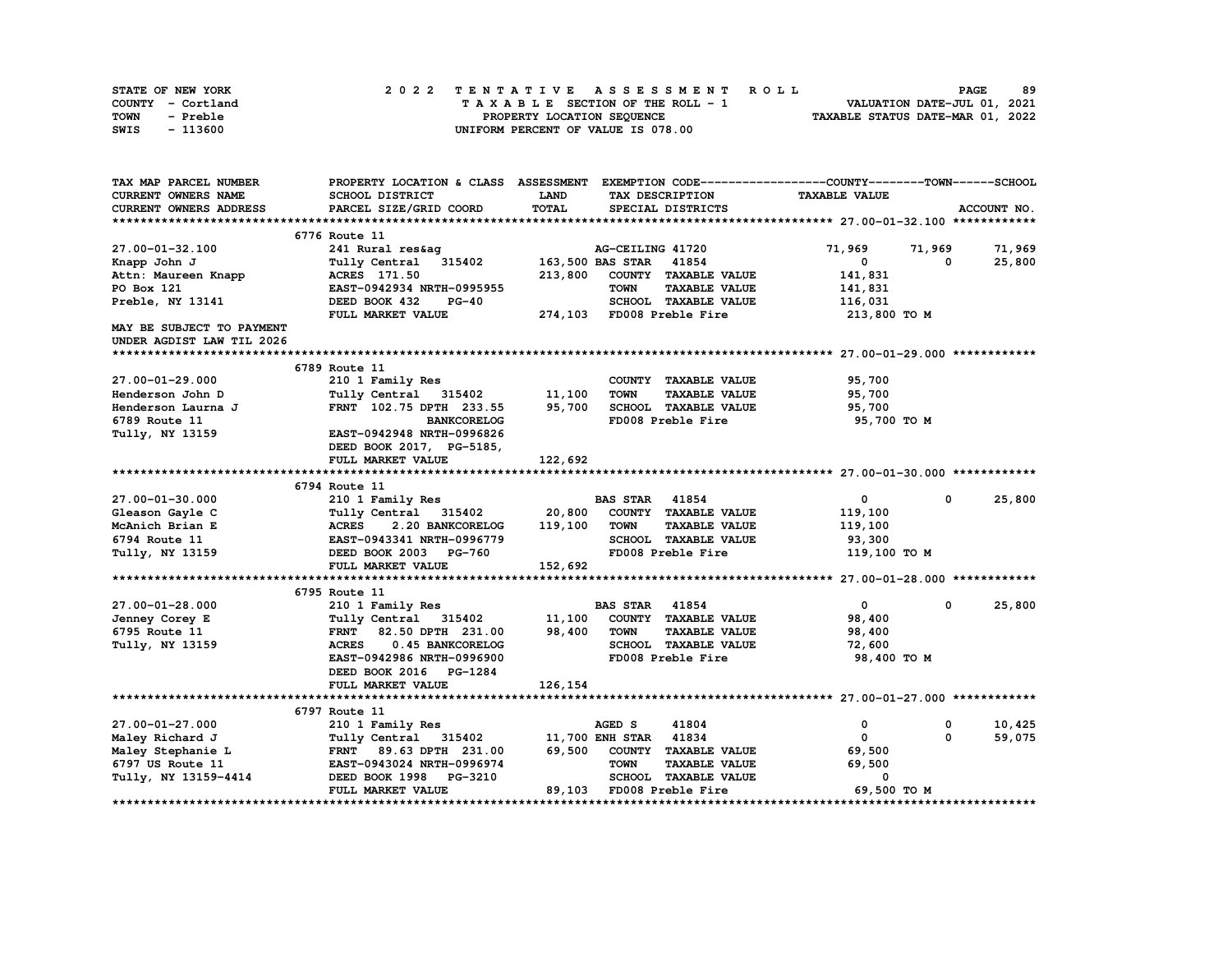| STATE OF NEW YORK | 2022 TENTATIVE ASSESSMENT ROLL     | 89<br><b>PAGE</b>                |
|-------------------|------------------------------------|----------------------------------|
| COUNTY - Cortland | TAXABLE SECTION OF THE ROLL - 1    | VALUATION DATE-JUL 01, 2021      |
| TOWN<br>- Preble  | PROPERTY LOCATION SEOUENCE         | TAXABLE STATUS DATE-MAR 01, 2022 |
| SWIS<br>- 113600  | UNIFORM PERCENT OF VALUE IS 078.00 |                                  |

| TAX MAP PARCEL NUMBER     | PROPERTY LOCATION & CLASS ASSESSMENT EXEMPTION CODE-----------------COUNTY-------TOWN------SCHOOL |              |                                     |                      |             |
|---------------------------|---------------------------------------------------------------------------------------------------|--------------|-------------------------------------|----------------------|-------------|
| CURRENT OWNERS NAME       | SCHOOL DISTRICT                                                                                   | LAND         | TAX DESCRIPTION                     | <b>TAXABLE VALUE</b> |             |
| CURRENT OWNERS ADDRESS    | PARCEL SIZE/GRID COORD                                                                            | <b>TOTAL</b> | SPECIAL DISTRICTS                   |                      | ACCOUNT NO. |
|                           |                                                                                                   |              |                                     |                      |             |
|                           | 6776 Route 11                                                                                     |              |                                     |                      |             |
| 27.00-01-32.100           | 241 Rural res&aq                                                                                  |              | AG-CEILING 41720                    | 71,969<br>71,969     | 71,969      |
| Knapp John J              | Tully Central 315402                                                                              |              | 163,500 BAS STAR<br>41854           | 0                    | 25,800<br>0 |
| Attn: Maureen Knapp       | ACRES 171.50                                                                                      | 213,800      | COUNTY TAXABLE VALUE                | 141,831              |             |
| PO Box 121                | EAST-0942934 NRTH-0995955                                                                         |              | <b>TOWN</b><br><b>TAXABLE VALUE</b> | 141,831              |             |
| Preble, NY 13141          | DEED BOOK 432<br>$PG-40$                                                                          |              | SCHOOL TAXABLE VALUE                | 116,031              |             |
|                           | FULL MARKET VALUE                                                                                 |              | 274,103 FD008 Preble Fire           | 213,800 TO M         |             |
| MAY BE SUBJECT TO PAYMENT |                                                                                                   |              |                                     |                      |             |
| UNDER AGDIST LAW TIL 2026 |                                                                                                   |              |                                     |                      |             |
|                           |                                                                                                   |              |                                     |                      |             |
|                           | 6789 Route 11                                                                                     |              |                                     |                      |             |
| 27.00-01-29.000           | 210 1 Family Res                                                                                  |              | COUNTY TAXABLE VALUE                | 95,700               |             |
| Henderson John D          | Tully Central 315402                                                                              | 11,100       | <b>TOWN</b><br><b>TAXABLE VALUE</b> | 95,700               |             |
| Henderson Laurna J        | FRNT 102.75 DPTH 233.55                                                                           | 95,700       | SCHOOL TAXABLE VALUE                | 95,700               |             |
| 6789 Route 11             | <b>BANKCORELOG</b>                                                                                |              | FD008 Preble Fire                   | 95,700 TO M          |             |
| Tully, NY 13159           | EAST-0942948 NRTH-0996826                                                                         |              |                                     |                      |             |
|                           | DEED BOOK 2017, PG-5185,                                                                          |              |                                     |                      |             |
|                           | FULL MARKET VALUE                                                                                 | 122,692      |                                     |                      |             |
|                           |                                                                                                   |              |                                     |                      |             |
|                           | 6794 Route 11                                                                                     |              |                                     |                      |             |
| 27.00-01-30.000           | 210 1 Family Res                                                                                  |              | 41854<br><b>BAS STAR</b>            | $\mathbf{0}$         | 25,800<br>0 |
| Gleason Gayle C           | Tully Central 315402                                                                              | 20,800       | COUNTY TAXABLE VALUE                | 119,100              |             |
| McAnich Brian E           | <b>ACRES</b><br>2.20 BANKCORELOG                                                                  | 119,100      | <b>TOWN</b><br><b>TAXABLE VALUE</b> | 119,100              |             |
| 6794 Route 11             | EAST-0943341 NRTH-0996779                                                                         |              | <b>SCHOOL TAXABLE VALUE</b>         | 93,300               |             |
| Tully, NY 13159           | DEED BOOK 2003 PG-760                                                                             |              | FD008 Preble Fire                   | 119,100 TO M         |             |
|                           | FULL MARKET VALUE                                                                                 | 152,692      |                                     |                      |             |
|                           |                                                                                                   |              |                                     |                      |             |
|                           | 6795 Route 11                                                                                     |              |                                     |                      |             |
| 27.00-01-28.000           | 210 1 Family Res                                                                                  |              | <b>BAS STAR 41854</b>               | $\mathbf{0}$         | 25,800<br>0 |
| Jenney Corey E            | Tully Central 315402                                                                              | 11,100       | COUNTY TAXABLE VALUE                | 98,400               |             |
| 6795 Route 11             | <b>FRNT</b><br>82.50 DPTH 231.00                                                                  | 98,400       | <b>TOWN</b><br><b>TAXABLE VALUE</b> | 98,400               |             |
| Tully, NY 13159           | <b>ACRES</b><br>0.45 BANKCORELOG                                                                  |              | SCHOOL TAXABLE VALUE                | 72,600               |             |
|                           | EAST-0942986 NRTH-0996900                                                                         |              | FD008 Preble Fire                   | 98,400 TO M          |             |
|                           | DEED BOOK 2016 PG-1284                                                                            |              |                                     |                      |             |
|                           | FULL MARKET VALUE                                                                                 | 126,154      |                                     |                      |             |
|                           |                                                                                                   |              |                                     |                      |             |
|                           | 6797 Route 11                                                                                     |              |                                     |                      |             |
| 27.00-01-27.000           | 210 1 Family Res                                                                                  |              | AGED S<br>41804                     | 0                    | 10,425<br>0 |
| Maley Richard J           | Tully Central 315402                                                                              |              | <b>11,700 ENH STAR</b><br>41834     | 0                    | 59,075<br>0 |
| Maley Stephanie L         | FRNT 89.63 DPTH 231.00                                                                            | 69,500       | COUNTY TAXABLE VALUE                | 69,500               |             |
| 6797 US Route 11          | EAST-0943024 NRTH-0996974                                                                         |              | <b>TOWN</b><br><b>TAXABLE VALUE</b> | 69,500               |             |
| Tully, NY 13159-4414      | DEED BOOK 1998 PG-3210                                                                            |              | SCHOOL TAXABLE VALUE                | 0                    |             |
|                           | FULL MARKET VALUE                                                                                 |              | 89,103 FD008 Preble Fire            | 69,500 TO M          |             |
|                           |                                                                                                   |              |                                     |                      |             |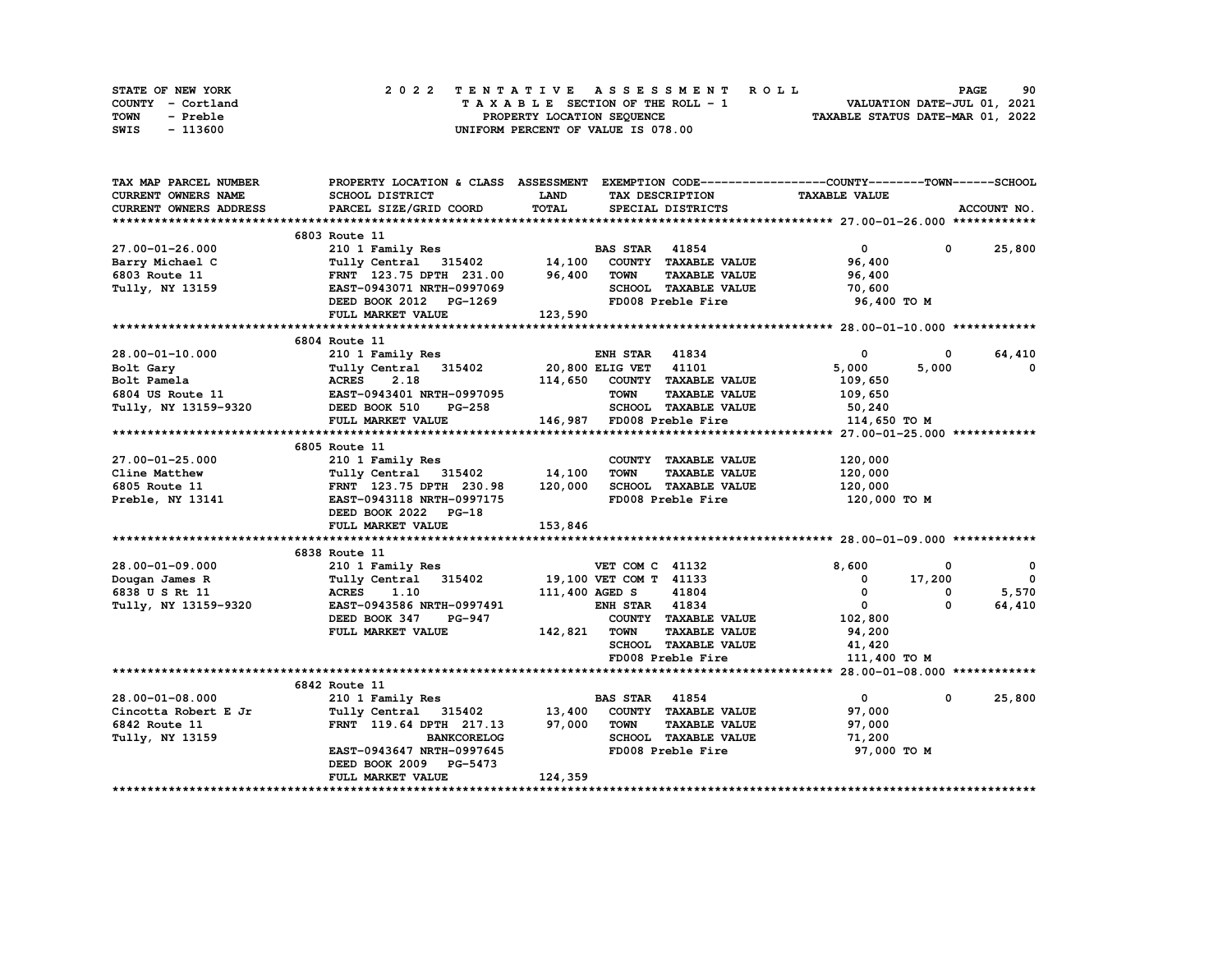| STATE OF NEW YORK | 2022 TENTATIVE ASSESSMENT ROLL     | 90<br><b>PAGE</b>                |
|-------------------|------------------------------------|----------------------------------|
| COUNTY - Cortland | TAXABLE SECTION OF THE ROLL - 1    | VALUATION DATE-JUL 01, 2021      |
| TOWN<br>- Preble  | PROPERTY LOCATION SEQUENCE         | TAXABLE STATUS DATE-MAR 01, 2022 |
| - 113600<br>SWIS  | UNIFORM PERCENT OF VALUE IS 078.00 |                                  |

| TAX MAP PARCEL NUMBER                                    | PROPERTY LOCATION & CLASS ASSESSMENT EXEMPTION CODE----------------COUNTY-------TOWN-----SCHOOL |              |                                                             |                         |                                    |
|----------------------------------------------------------|-------------------------------------------------------------------------------------------------|--------------|-------------------------------------------------------------|-------------------------|------------------------------------|
| <b>CURRENT OWNERS NAME</b>                               | SCHOOL DISTRICT                                                                                 | <b>LAND</b>  | TAX DESCRIPTION                                             | <b>TAXABLE VALUE</b>    |                                    |
| CURRENT OWNERS ADDRESS                                   | PARCEL SIZE/GRID COORD                                                                          | <b>TOTAL</b> | SPECIAL DISTRICTS                                           |                         | ACCOUNT NO.                        |
|                                                          |                                                                                                 |              |                                                             |                         |                                    |
|                                                          | 6803 Route 11                                                                                   |              |                                                             |                         |                                    |
| 27.00-01-26.000                                          | 210 1 Family Res                                                                                |              | <b>BAS STAR 41854</b>                                       | $\overline{0}$          | $0 \t 25,800$                      |
| Barry Michael C                                          | Tully Central 315402 14,100                                                                     |              | COUNTY TAXABLE VALUE                                        | 96,400                  |                                    |
| 6803 Route 11                                            | FRNT 123.75 DPTH 231.00 96,400                                                                  |              | TOWN<br><b>TAXABLE VALUE</b>                                | 96,400                  |                                    |
| Tully, NY 13159                                          | EAST-0943071 NRTH-0997069                                                                       |              | SCHOOL TAXABLE VALUE 70,600                                 |                         |                                    |
|                                                          | DEED BOOK 2012 PG-1269                                                                          |              | FD008 Preble Fire                                           | 96,400 TO M             |                                    |
|                                                          | FULL MARKET VALUE                                                                               | 123,590      |                                                             |                         |                                    |
|                                                          |                                                                                                 |              |                                                             |                         |                                    |
|                                                          | 6804 Route 11                                                                                   |              |                                                             |                         |                                    |
| 28.00-01-10.000                                          | 210 1 Family Res                                                                                |              | <b>ENH STAR 41834</b>                                       | 0                       | 64,410<br>0                        |
| Bolt Gary                                                | Tully Central 315402 20,800 ELIG VET 41101<br>ACRES 2.18 114,650 COUNTY TAXABLE VALUE           |              |                                                             | 5,000                   | 5,000<br>$\Omega$                  |
| Bolt Pamela                                              | Tully Central<br>ACRES 2.18                                                                     |              |                                                             | 109,650                 |                                    |
|                                                          |                                                                                                 |              | <b>TOWN</b><br><b>TAXABLE VALUE</b>                         | 109,650                 |                                    |
| Tully, NY 13159-9320                                     |                                                                                                 |              | SCHOOL TAXABLE VALUE                                        | 50,240                  |                                    |
|                                                          | FULL MARKET VALUE                                                                               |              | 146,987 FD008 Preble Fire                                   | 114,650 TO M            |                                    |
|                                                          |                                                                                                 |              |                                                             |                         |                                    |
|                                                          | 6805 Route 11                                                                                   |              |                                                             |                         |                                    |
| 27.00-01-25.000                                          | 210 1 Family Res                                                                                |              | COUNTY TAXABLE VALUE                                        | 120,000                 |                                    |
| Cline Matthew                                            | Tully Central 315402 14,100                                                                     |              | <b>TOWN</b><br><b>TAXABLE VALUE</b>                         | 120,000                 |                                    |
| 6805 Route 11                                            | FRNT 123.75 DPTH 230.98                                                                         | 120,000      | SCHOOL TAXABLE VALUE                                        | 120,000                 |                                    |
| Preble, NY 13141                                         | EAST-0943118 NRTH-0997175                                                                       |              | FD008 Preble Fire                                           | 120,000 TO M            |                                    |
|                                                          | DEED BOOK 2022 PG-18                                                                            |              |                                                             |                         |                                    |
|                                                          | FULL MARKET VALUE                                                                               | 153,846      |                                                             |                         |                                    |
|                                                          |                                                                                                 |              |                                                             |                         |                                    |
|                                                          | 6838 Route 11                                                                                   |              |                                                             |                         |                                    |
| 28.00-01-09.000                                          | 210 1 Family Res                                                                                |              | VET COM C 41132                                             | 8,600                   | 0<br>0                             |
| Dougan James R                                           |                                                                                                 |              |                                                             | $\mathbf 0$             | $\overline{\phantom{0}}$<br>17,200 |
| 6838 U S Rt 11                                           |                                                                                                 |              | 41804<br>111,400 AGED S                                     | $^{\circ}$              | 5,570<br>0                         |
|                                                          | EAST-0943586 NRTH-0997491                                                                       |              | <b>ENH STAR</b> 41834                                       | $\overline{\mathbf{0}}$ | $\Omega$<br>64,410                 |
| Tully, NY 13159-9320                                     | <b>PG-947</b>                                                                                   |              | COUNTY TAXABLE VALUE                                        | 102,800                 |                                    |
|                                                          | DEED BOOK 347                                                                                   |              |                                                             |                         |                                    |
|                                                          | FULL MARKET VALUE                                                                               | 142,821      | <b>TOWN</b><br><b>TAXABLE VALUE</b><br>SCHOOL TAXABLE VALUE | 94,200                  |                                    |
|                                                          |                                                                                                 |              |                                                             | 41,420                  |                                    |
|                                                          |                                                                                                 |              | FD008 Preble Fire                                           | 111,400 TO M            |                                    |
|                                                          |                                                                                                 |              |                                                             |                         |                                    |
|                                                          | 6842 Route 11                                                                                   |              |                                                             |                         |                                    |
| 28.00-01-08.000<br>Cincotta Robert E Jr<br>6842 Bouts 11 | 210 1 Family Res                                                                                |              | <b>BAS STAR 41854</b>                                       | $\mathbf{0}$            | 25,800<br>$^{\circ}$               |
|                                                          | Tully Central 315402                                                                            | 13,400       | COUNTY TAXABLE VALUE                                        | 97,000                  |                                    |
| 6842 Route 11                                            | FRNT 119.64 DPTH 217.13                                                                         | 97,000       | <b>TOWN</b><br><b>TAXABLE VALUE</b>                         | 97,000                  |                                    |
| Tully, NY 13159                                          | <b>BANKCORELOG</b>                                                                              |              | SCHOOL TAXABLE VALUE                                        | 71,200                  |                                    |
|                                                          | EAST-0943647 NRTH-0997645                                                                       |              | FD008 Preble Fire                                           | 97,000 TO M             |                                    |
|                                                          | DEED BOOK 2009 PG-5473                                                                          |              |                                                             |                         |                                    |
|                                                          | FULL MARKET VALUE                                                                               | 124,359      |                                                             |                         |                                    |
|                                                          |                                                                                                 |              |                                                             |                         |                                    |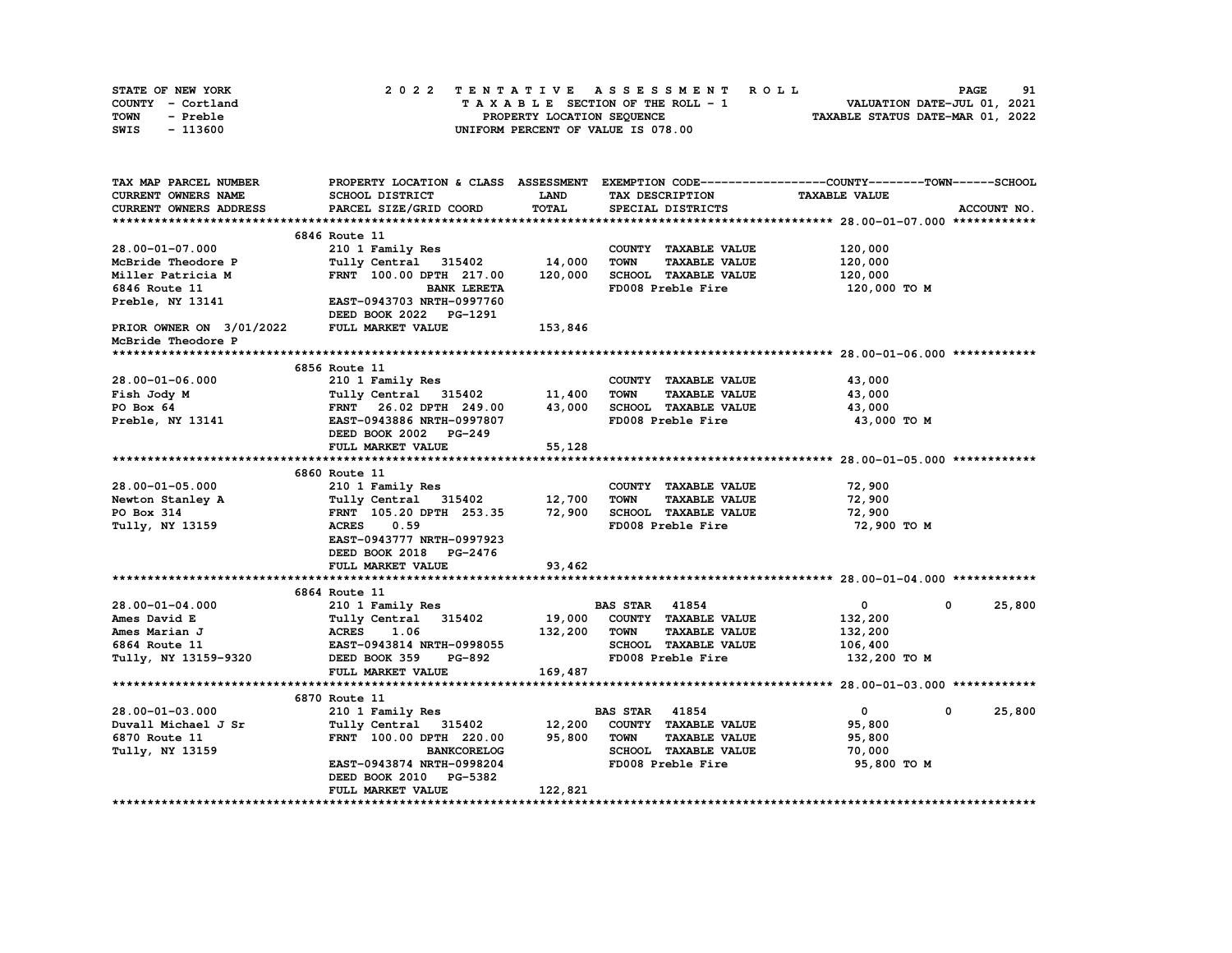| STATE OF NEW YORK | 2022 TENTATIVE ASSESSMENT ROLL     | 91<br><b>PAGE</b>                |
|-------------------|------------------------------------|----------------------------------|
| COUNTY - Cortland | TAXABLE SECTION OF THE ROLL - 1    | VALUATION DATE-JUL 01, 2021      |
| TOWN<br>- Preble  | PROPERTY LOCATION SEQUENCE         | TAXABLE STATUS DATE-MAR 01, 2022 |
| SWIS<br>- 113600  | UNIFORM PERCENT OF VALUE IS 078.00 |                                  |

| SCHOOL DISTRICT<br>LAND<br><b>TAXABLE VALUE</b><br>TAX DESCRIPTION<br>TOTAL<br>PARCEL SIZE/GRID COORD<br>SPECIAL DISTRICTS<br>ACCOUNT NO.<br>6846 Route 11<br>210 1 Family Res<br>COUNTY TAXABLE VALUE<br>120,000<br>Tully Central 315402 14,000<br><b>TOWN</b><br><b>TAXABLE VALUE</b><br>120,000<br>120,000<br>FRNT 100.00 DPTH 217.00<br>SCHOOL TAXABLE VALUE<br>120,000<br>FD008 Preble Fire<br><b>BANK LERETA</b><br>120,000 то м<br>EAST-0943703 NRTH-0997760<br>DEED BOOK 2022 PG-1291<br>PRIOR OWNER ON 3/01/2022<br>FULL MARKET VALUE<br>153,846<br>6856 Route 11<br>210 1 Family Res<br>COUNTY TAXABLE VALUE<br>43,000<br>11,400<br><b>TOWN</b><br><b>TAXABLE VALUE</b><br>43,000<br>Tully Central 315402<br>43,000<br>SCHOOL TAXABLE VALUE<br>FRNT 26.02 DPTH 249.00<br>43,000<br>FD008 Preble Fire<br>EAST-0943886 NRTH-0997807<br>43,000 TO M<br>DEED BOOK 2002 PG-249<br>55,128<br>FULL MARKET VALUE<br>6860 Route 11<br>72,900<br>210 1 Family Res<br>COUNTY TAXABLE VALUE<br>Tully Central 315402 12,700<br><b>TOWN</b><br><b>TAXABLE VALUE</b><br>72,900<br>FRNT 105.20 DPTH 253.35 72,900<br>SCHOOL TAXABLE VALUE<br>72,900<br>FD008 Preble Fire<br><b>ACRES</b><br>0.59<br>72,900 то м<br>EAST-0943777 NRTH-0997923<br>DEED BOOK 2018 PG-2476<br>93,462<br>FULL MARKET VALUE<br>6864 Route 11<br>$\mathbf 0$<br>$^{\circ}$<br>25,800<br>28.00-01-04.000<br>210 1 Family Res<br><b>BAS STAR</b> 41854<br>19,000<br>COUNTY TAXABLE VALUE<br>Ames David E<br>Tully Central 315402<br>132,200<br>132,200<br><b>TOWN</b><br><b>TAXABLE VALUE</b><br><b>ACRES</b><br>1.06<br>132,200<br>EAST-0943814 NRTH-0998055<br>SCHOOL TAXABLE VALUE<br>6864 Route 11<br>106,400<br>Tully, NY 13159-9320<br>PG-892<br>FD008 Preble Fire<br>DEED BOOK 359<br>132,200 то м<br>169,487<br>FULL MARKET VALUE<br>6870 Route 11<br><b>BAS STAR 41854</b><br>$\mathbf{0}$<br>$\mathbf 0$<br>25,800<br>28.00-01-03.000<br>210 1 Family Res<br>12,200<br>COUNTY TAXABLE VALUE<br>Duvall Michael J Sr<br>Tully Central 315402<br>95,800<br>95,800<br>FRNT 100.00 DPTH 220.00<br><b>TOWN</b><br>6870 Route 11<br><b>TAXABLE VALUE</b><br>95,800<br><b>BANKCORELOG</b><br>SCHOOL TAXABLE VALUE<br>Tully, NY 13159<br>70,000<br>EAST-0943874 NRTH-0998204<br>FD008 Preble Fire<br>95,800 TO M<br>DEED BOOK 2010 PG-5382 | TAX MAP PARCEL NUMBER  |  | PROPERTY LOCATION & CLASS ASSESSMENT EXEMPTION CODE----------------COUNTY-------TOWN-----SCHOOL |
|--------------------------------------------------------------------------------------------------------------------------------------------------------------------------------------------------------------------------------------------------------------------------------------------------------------------------------------------------------------------------------------------------------------------------------------------------------------------------------------------------------------------------------------------------------------------------------------------------------------------------------------------------------------------------------------------------------------------------------------------------------------------------------------------------------------------------------------------------------------------------------------------------------------------------------------------------------------------------------------------------------------------------------------------------------------------------------------------------------------------------------------------------------------------------------------------------------------------------------------------------------------------------------------------------------------------------------------------------------------------------------------------------------------------------------------------------------------------------------------------------------------------------------------------------------------------------------------------------------------------------------------------------------------------------------------------------------------------------------------------------------------------------------------------------------------------------------------------------------------------------------------------------------------------------------------------------------------------------------------------------------------------------------------------------------------------------------------------------------------------------------------------------------------------------------------------------------------------------------------------------------------------------------------------------------------|------------------------|--|-------------------------------------------------------------------------------------------------|
|                                                                                                                                                                                                                                                                                                                                                                                                                                                                                                                                                                                                                                                                                                                                                                                                                                                                                                                                                                                                                                                                                                                                                                                                                                                                                                                                                                                                                                                                                                                                                                                                                                                                                                                                                                                                                                                                                                                                                                                                                                                                                                                                                                                                                                                                                                              | CURRENT OWNERS NAME    |  |                                                                                                 |
|                                                                                                                                                                                                                                                                                                                                                                                                                                                                                                                                                                                                                                                                                                                                                                                                                                                                                                                                                                                                                                                                                                                                                                                                                                                                                                                                                                                                                                                                                                                                                                                                                                                                                                                                                                                                                                                                                                                                                                                                                                                                                                                                                                                                                                                                                                              | CURRENT OWNERS ADDRESS |  |                                                                                                 |
|                                                                                                                                                                                                                                                                                                                                                                                                                                                                                                                                                                                                                                                                                                                                                                                                                                                                                                                                                                                                                                                                                                                                                                                                                                                                                                                                                                                                                                                                                                                                                                                                                                                                                                                                                                                                                                                                                                                                                                                                                                                                                                                                                                                                                                                                                                              |                        |  |                                                                                                 |
|                                                                                                                                                                                                                                                                                                                                                                                                                                                                                                                                                                                                                                                                                                                                                                                                                                                                                                                                                                                                                                                                                                                                                                                                                                                                                                                                                                                                                                                                                                                                                                                                                                                                                                                                                                                                                                                                                                                                                                                                                                                                                                                                                                                                                                                                                                              |                        |  |                                                                                                 |
|                                                                                                                                                                                                                                                                                                                                                                                                                                                                                                                                                                                                                                                                                                                                                                                                                                                                                                                                                                                                                                                                                                                                                                                                                                                                                                                                                                                                                                                                                                                                                                                                                                                                                                                                                                                                                                                                                                                                                                                                                                                                                                                                                                                                                                                                                                              | 28.00-01-07.000        |  |                                                                                                 |
|                                                                                                                                                                                                                                                                                                                                                                                                                                                                                                                                                                                                                                                                                                                                                                                                                                                                                                                                                                                                                                                                                                                                                                                                                                                                                                                                                                                                                                                                                                                                                                                                                                                                                                                                                                                                                                                                                                                                                                                                                                                                                                                                                                                                                                                                                                              | McBride Theodore P     |  |                                                                                                 |
|                                                                                                                                                                                                                                                                                                                                                                                                                                                                                                                                                                                                                                                                                                                                                                                                                                                                                                                                                                                                                                                                                                                                                                                                                                                                                                                                                                                                                                                                                                                                                                                                                                                                                                                                                                                                                                                                                                                                                                                                                                                                                                                                                                                                                                                                                                              | Miller Patricia M      |  |                                                                                                 |
|                                                                                                                                                                                                                                                                                                                                                                                                                                                                                                                                                                                                                                                                                                                                                                                                                                                                                                                                                                                                                                                                                                                                                                                                                                                                                                                                                                                                                                                                                                                                                                                                                                                                                                                                                                                                                                                                                                                                                                                                                                                                                                                                                                                                                                                                                                              | 6846 Route 11          |  |                                                                                                 |
|                                                                                                                                                                                                                                                                                                                                                                                                                                                                                                                                                                                                                                                                                                                                                                                                                                                                                                                                                                                                                                                                                                                                                                                                                                                                                                                                                                                                                                                                                                                                                                                                                                                                                                                                                                                                                                                                                                                                                                                                                                                                                                                                                                                                                                                                                                              | Preble, NY 13141       |  |                                                                                                 |
|                                                                                                                                                                                                                                                                                                                                                                                                                                                                                                                                                                                                                                                                                                                                                                                                                                                                                                                                                                                                                                                                                                                                                                                                                                                                                                                                                                                                                                                                                                                                                                                                                                                                                                                                                                                                                                                                                                                                                                                                                                                                                                                                                                                                                                                                                                              |                        |  |                                                                                                 |
|                                                                                                                                                                                                                                                                                                                                                                                                                                                                                                                                                                                                                                                                                                                                                                                                                                                                                                                                                                                                                                                                                                                                                                                                                                                                                                                                                                                                                                                                                                                                                                                                                                                                                                                                                                                                                                                                                                                                                                                                                                                                                                                                                                                                                                                                                                              |                        |  |                                                                                                 |
|                                                                                                                                                                                                                                                                                                                                                                                                                                                                                                                                                                                                                                                                                                                                                                                                                                                                                                                                                                                                                                                                                                                                                                                                                                                                                                                                                                                                                                                                                                                                                                                                                                                                                                                                                                                                                                                                                                                                                                                                                                                                                                                                                                                                                                                                                                              | McBride Theodore P     |  |                                                                                                 |
|                                                                                                                                                                                                                                                                                                                                                                                                                                                                                                                                                                                                                                                                                                                                                                                                                                                                                                                                                                                                                                                                                                                                                                                                                                                                                                                                                                                                                                                                                                                                                                                                                                                                                                                                                                                                                                                                                                                                                                                                                                                                                                                                                                                                                                                                                                              |                        |  |                                                                                                 |
|                                                                                                                                                                                                                                                                                                                                                                                                                                                                                                                                                                                                                                                                                                                                                                                                                                                                                                                                                                                                                                                                                                                                                                                                                                                                                                                                                                                                                                                                                                                                                                                                                                                                                                                                                                                                                                                                                                                                                                                                                                                                                                                                                                                                                                                                                                              |                        |  |                                                                                                 |
|                                                                                                                                                                                                                                                                                                                                                                                                                                                                                                                                                                                                                                                                                                                                                                                                                                                                                                                                                                                                                                                                                                                                                                                                                                                                                                                                                                                                                                                                                                                                                                                                                                                                                                                                                                                                                                                                                                                                                                                                                                                                                                                                                                                                                                                                                                              | 28.00-01-06.000        |  |                                                                                                 |
|                                                                                                                                                                                                                                                                                                                                                                                                                                                                                                                                                                                                                                                                                                                                                                                                                                                                                                                                                                                                                                                                                                                                                                                                                                                                                                                                                                                                                                                                                                                                                                                                                                                                                                                                                                                                                                                                                                                                                                                                                                                                                                                                                                                                                                                                                                              | Fish Jody M            |  |                                                                                                 |
|                                                                                                                                                                                                                                                                                                                                                                                                                                                                                                                                                                                                                                                                                                                                                                                                                                                                                                                                                                                                                                                                                                                                                                                                                                                                                                                                                                                                                                                                                                                                                                                                                                                                                                                                                                                                                                                                                                                                                                                                                                                                                                                                                                                                                                                                                                              | PO Box 64              |  |                                                                                                 |
|                                                                                                                                                                                                                                                                                                                                                                                                                                                                                                                                                                                                                                                                                                                                                                                                                                                                                                                                                                                                                                                                                                                                                                                                                                                                                                                                                                                                                                                                                                                                                                                                                                                                                                                                                                                                                                                                                                                                                                                                                                                                                                                                                                                                                                                                                                              | Preble, NY 13141       |  |                                                                                                 |
|                                                                                                                                                                                                                                                                                                                                                                                                                                                                                                                                                                                                                                                                                                                                                                                                                                                                                                                                                                                                                                                                                                                                                                                                                                                                                                                                                                                                                                                                                                                                                                                                                                                                                                                                                                                                                                                                                                                                                                                                                                                                                                                                                                                                                                                                                                              |                        |  |                                                                                                 |
|                                                                                                                                                                                                                                                                                                                                                                                                                                                                                                                                                                                                                                                                                                                                                                                                                                                                                                                                                                                                                                                                                                                                                                                                                                                                                                                                                                                                                                                                                                                                                                                                                                                                                                                                                                                                                                                                                                                                                                                                                                                                                                                                                                                                                                                                                                              |                        |  |                                                                                                 |
|                                                                                                                                                                                                                                                                                                                                                                                                                                                                                                                                                                                                                                                                                                                                                                                                                                                                                                                                                                                                                                                                                                                                                                                                                                                                                                                                                                                                                                                                                                                                                                                                                                                                                                                                                                                                                                                                                                                                                                                                                                                                                                                                                                                                                                                                                                              |                        |  |                                                                                                 |
|                                                                                                                                                                                                                                                                                                                                                                                                                                                                                                                                                                                                                                                                                                                                                                                                                                                                                                                                                                                                                                                                                                                                                                                                                                                                                                                                                                                                                                                                                                                                                                                                                                                                                                                                                                                                                                                                                                                                                                                                                                                                                                                                                                                                                                                                                                              |                        |  |                                                                                                 |
|                                                                                                                                                                                                                                                                                                                                                                                                                                                                                                                                                                                                                                                                                                                                                                                                                                                                                                                                                                                                                                                                                                                                                                                                                                                                                                                                                                                                                                                                                                                                                                                                                                                                                                                                                                                                                                                                                                                                                                                                                                                                                                                                                                                                                                                                                                              | 28.00-01-05.000        |  |                                                                                                 |
|                                                                                                                                                                                                                                                                                                                                                                                                                                                                                                                                                                                                                                                                                                                                                                                                                                                                                                                                                                                                                                                                                                                                                                                                                                                                                                                                                                                                                                                                                                                                                                                                                                                                                                                                                                                                                                                                                                                                                                                                                                                                                                                                                                                                                                                                                                              | Newton Stanley A       |  |                                                                                                 |
|                                                                                                                                                                                                                                                                                                                                                                                                                                                                                                                                                                                                                                                                                                                                                                                                                                                                                                                                                                                                                                                                                                                                                                                                                                                                                                                                                                                                                                                                                                                                                                                                                                                                                                                                                                                                                                                                                                                                                                                                                                                                                                                                                                                                                                                                                                              | PO Box 314             |  |                                                                                                 |
|                                                                                                                                                                                                                                                                                                                                                                                                                                                                                                                                                                                                                                                                                                                                                                                                                                                                                                                                                                                                                                                                                                                                                                                                                                                                                                                                                                                                                                                                                                                                                                                                                                                                                                                                                                                                                                                                                                                                                                                                                                                                                                                                                                                                                                                                                                              | Tully, NY 13159        |  |                                                                                                 |
|                                                                                                                                                                                                                                                                                                                                                                                                                                                                                                                                                                                                                                                                                                                                                                                                                                                                                                                                                                                                                                                                                                                                                                                                                                                                                                                                                                                                                                                                                                                                                                                                                                                                                                                                                                                                                                                                                                                                                                                                                                                                                                                                                                                                                                                                                                              |                        |  |                                                                                                 |
|                                                                                                                                                                                                                                                                                                                                                                                                                                                                                                                                                                                                                                                                                                                                                                                                                                                                                                                                                                                                                                                                                                                                                                                                                                                                                                                                                                                                                                                                                                                                                                                                                                                                                                                                                                                                                                                                                                                                                                                                                                                                                                                                                                                                                                                                                                              |                        |  |                                                                                                 |
|                                                                                                                                                                                                                                                                                                                                                                                                                                                                                                                                                                                                                                                                                                                                                                                                                                                                                                                                                                                                                                                                                                                                                                                                                                                                                                                                                                                                                                                                                                                                                                                                                                                                                                                                                                                                                                                                                                                                                                                                                                                                                                                                                                                                                                                                                                              |                        |  |                                                                                                 |
|                                                                                                                                                                                                                                                                                                                                                                                                                                                                                                                                                                                                                                                                                                                                                                                                                                                                                                                                                                                                                                                                                                                                                                                                                                                                                                                                                                                                                                                                                                                                                                                                                                                                                                                                                                                                                                                                                                                                                                                                                                                                                                                                                                                                                                                                                                              |                        |  |                                                                                                 |
|                                                                                                                                                                                                                                                                                                                                                                                                                                                                                                                                                                                                                                                                                                                                                                                                                                                                                                                                                                                                                                                                                                                                                                                                                                                                                                                                                                                                                                                                                                                                                                                                                                                                                                                                                                                                                                                                                                                                                                                                                                                                                                                                                                                                                                                                                                              |                        |  |                                                                                                 |
|                                                                                                                                                                                                                                                                                                                                                                                                                                                                                                                                                                                                                                                                                                                                                                                                                                                                                                                                                                                                                                                                                                                                                                                                                                                                                                                                                                                                                                                                                                                                                                                                                                                                                                                                                                                                                                                                                                                                                                                                                                                                                                                                                                                                                                                                                                              |                        |  |                                                                                                 |
|                                                                                                                                                                                                                                                                                                                                                                                                                                                                                                                                                                                                                                                                                                                                                                                                                                                                                                                                                                                                                                                                                                                                                                                                                                                                                                                                                                                                                                                                                                                                                                                                                                                                                                                                                                                                                                                                                                                                                                                                                                                                                                                                                                                                                                                                                                              |                        |  |                                                                                                 |
|                                                                                                                                                                                                                                                                                                                                                                                                                                                                                                                                                                                                                                                                                                                                                                                                                                                                                                                                                                                                                                                                                                                                                                                                                                                                                                                                                                                                                                                                                                                                                                                                                                                                                                                                                                                                                                                                                                                                                                                                                                                                                                                                                                                                                                                                                                              | Ames Marian J          |  |                                                                                                 |
|                                                                                                                                                                                                                                                                                                                                                                                                                                                                                                                                                                                                                                                                                                                                                                                                                                                                                                                                                                                                                                                                                                                                                                                                                                                                                                                                                                                                                                                                                                                                                                                                                                                                                                                                                                                                                                                                                                                                                                                                                                                                                                                                                                                                                                                                                                              |                        |  |                                                                                                 |
|                                                                                                                                                                                                                                                                                                                                                                                                                                                                                                                                                                                                                                                                                                                                                                                                                                                                                                                                                                                                                                                                                                                                                                                                                                                                                                                                                                                                                                                                                                                                                                                                                                                                                                                                                                                                                                                                                                                                                                                                                                                                                                                                                                                                                                                                                                              |                        |  |                                                                                                 |
|                                                                                                                                                                                                                                                                                                                                                                                                                                                                                                                                                                                                                                                                                                                                                                                                                                                                                                                                                                                                                                                                                                                                                                                                                                                                                                                                                                                                                                                                                                                                                                                                                                                                                                                                                                                                                                                                                                                                                                                                                                                                                                                                                                                                                                                                                                              |                        |  |                                                                                                 |
|                                                                                                                                                                                                                                                                                                                                                                                                                                                                                                                                                                                                                                                                                                                                                                                                                                                                                                                                                                                                                                                                                                                                                                                                                                                                                                                                                                                                                                                                                                                                                                                                                                                                                                                                                                                                                                                                                                                                                                                                                                                                                                                                                                                                                                                                                                              |                        |  |                                                                                                 |
|                                                                                                                                                                                                                                                                                                                                                                                                                                                                                                                                                                                                                                                                                                                                                                                                                                                                                                                                                                                                                                                                                                                                                                                                                                                                                                                                                                                                                                                                                                                                                                                                                                                                                                                                                                                                                                                                                                                                                                                                                                                                                                                                                                                                                                                                                                              |                        |  |                                                                                                 |
|                                                                                                                                                                                                                                                                                                                                                                                                                                                                                                                                                                                                                                                                                                                                                                                                                                                                                                                                                                                                                                                                                                                                                                                                                                                                                                                                                                                                                                                                                                                                                                                                                                                                                                                                                                                                                                                                                                                                                                                                                                                                                                                                                                                                                                                                                                              |                        |  |                                                                                                 |
|                                                                                                                                                                                                                                                                                                                                                                                                                                                                                                                                                                                                                                                                                                                                                                                                                                                                                                                                                                                                                                                                                                                                                                                                                                                                                                                                                                                                                                                                                                                                                                                                                                                                                                                                                                                                                                                                                                                                                                                                                                                                                                                                                                                                                                                                                                              |                        |  |                                                                                                 |
|                                                                                                                                                                                                                                                                                                                                                                                                                                                                                                                                                                                                                                                                                                                                                                                                                                                                                                                                                                                                                                                                                                                                                                                                                                                                                                                                                                                                                                                                                                                                                                                                                                                                                                                                                                                                                                                                                                                                                                                                                                                                                                                                                                                                                                                                                                              |                        |  |                                                                                                 |
|                                                                                                                                                                                                                                                                                                                                                                                                                                                                                                                                                                                                                                                                                                                                                                                                                                                                                                                                                                                                                                                                                                                                                                                                                                                                                                                                                                                                                                                                                                                                                                                                                                                                                                                                                                                                                                                                                                                                                                                                                                                                                                                                                                                                                                                                                                              |                        |  |                                                                                                 |
|                                                                                                                                                                                                                                                                                                                                                                                                                                                                                                                                                                                                                                                                                                                                                                                                                                                                                                                                                                                                                                                                                                                                                                                                                                                                                                                                                                                                                                                                                                                                                                                                                                                                                                                                                                                                                                                                                                                                                                                                                                                                                                                                                                                                                                                                                                              |                        |  |                                                                                                 |
|                                                                                                                                                                                                                                                                                                                                                                                                                                                                                                                                                                                                                                                                                                                                                                                                                                                                                                                                                                                                                                                                                                                                                                                                                                                                                                                                                                                                                                                                                                                                                                                                                                                                                                                                                                                                                                                                                                                                                                                                                                                                                                                                                                                                                                                                                                              |                        |  |                                                                                                 |
| 122,821<br>FULL MARKET VALUE                                                                                                                                                                                                                                                                                                                                                                                                                                                                                                                                                                                                                                                                                                                                                                                                                                                                                                                                                                                                                                                                                                                                                                                                                                                                                                                                                                                                                                                                                                                                                                                                                                                                                                                                                                                                                                                                                                                                                                                                                                                                                                                                                                                                                                                                                 |                        |  |                                                                                                 |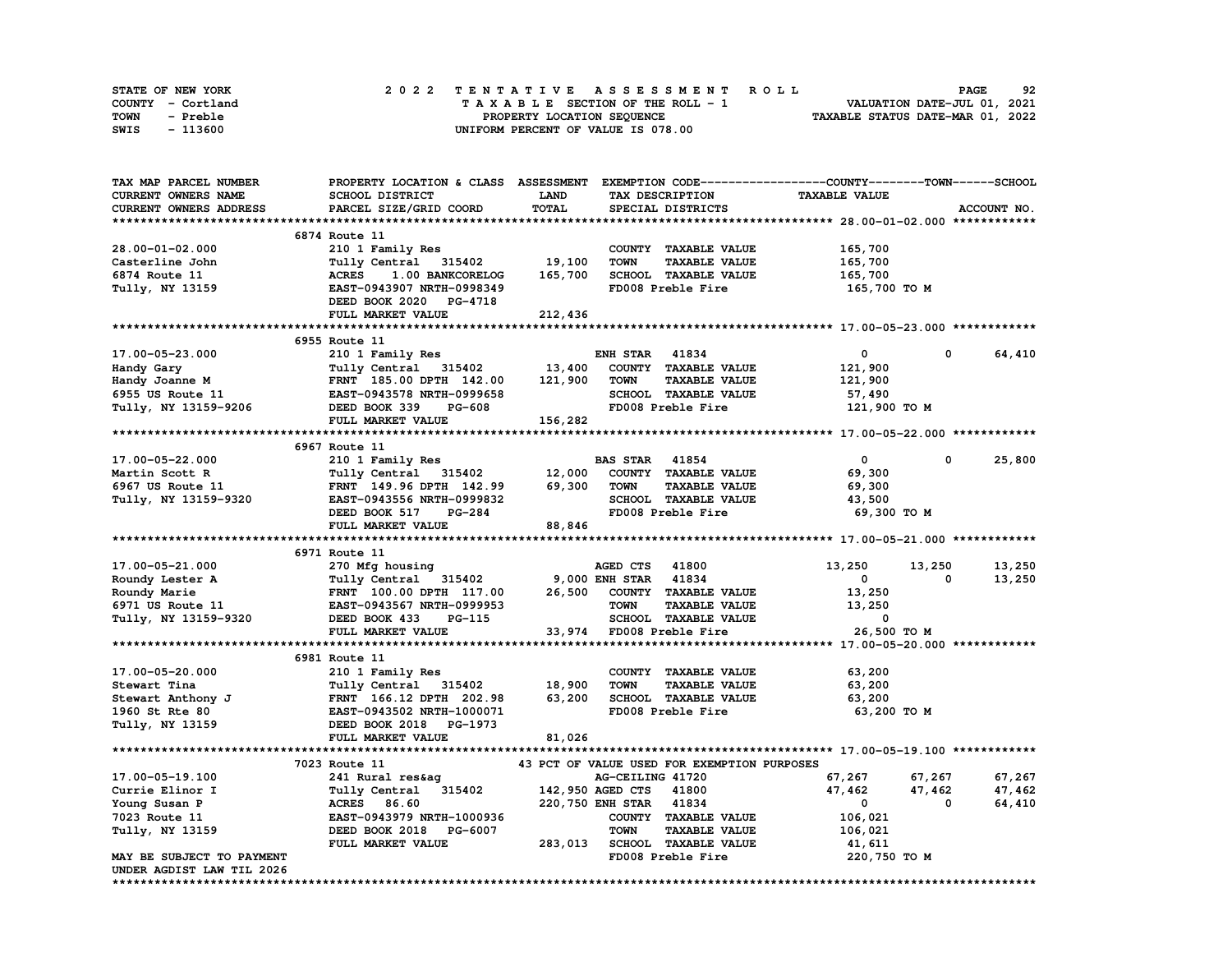| STATE OF NEW YORK | 2022 TENTATIVE ASSESSMENT ROLL     | 92<br><b>PAGE</b>                |
|-------------------|------------------------------------|----------------------------------|
| COUNTY - Cortland | TAXABLE SECTION OF THE ROLL - 1    | VALUATION DATE-JUL 01, 2021      |
| TOWN<br>- Preble  | PROPERTY LOCATION SEQUENCE         | TAXABLE STATUS DATE-MAR 01, 2022 |
| - 113600<br>SWIS  | UNIFORM PERCENT OF VALUE IS 078.00 |                                  |

| TAX MAP PARCEL NUMBER                                                                                                                                                                                                                        | PROPERTY LOCATION & CLASS ASSESSMENT EXEMPTION CODE----------------COUNTY-------TOWN------SCHOOL        |             |                        |                                             |                         |              |             |
|----------------------------------------------------------------------------------------------------------------------------------------------------------------------------------------------------------------------------------------------|---------------------------------------------------------------------------------------------------------|-------------|------------------------|---------------------------------------------|-------------------------|--------------|-------------|
| CURRENT OWNERS NAME                                                                                                                                                                                                                          | SCHOOL DISTRICT                                                                                         | <b>LAND</b> |                        | TAX DESCRIPTION                             | <b>TAXABLE VALUE</b>    |              |             |
| CURRENT OWNERS ADDRESS                                                                                                                                                                                                                       | PARCEL SIZE/GRID COORD                                                                                  | TOTAL       |                        | SPECIAL DISTRICTS                           |                         |              | ACCOUNT NO. |
|                                                                                                                                                                                                                                              |                                                                                                         |             |                        |                                             |                         |              |             |
|                                                                                                                                                                                                                                              | 6874 Route 11                                                                                           |             |                        |                                             |                         |              |             |
| 28.00-01-02.000                                                                                                                                                                                                                              | 210 1 Family Res                                                                                        |             |                        | COUNTY TAXABLE VALUE                        | 165,700                 |              |             |
| Casterline John                                                                                                                                                                                                                              | Tully Central 315402 19,100                                                                             |             | <b>TOWN</b>            | <b>TAXABLE VALUE</b>                        | 165,700                 |              |             |
| 6874 Route 11                                                                                                                                                                                                                                | 1.00 BANKCORELOG<br><b>ACRES</b>                                                                        | 165,700     |                        | SCHOOL TAXABLE VALUE                        | 165,700                 |              |             |
| Tully, NY 13159                                                                                                                                                                                                                              | EAST-0943907 NRTH-0998349                                                                               |             |                        | FD008 Preble Fire                           | 165,700 то м            |              |             |
|                                                                                                                                                                                                                                              | DEED BOOK 2020 PG-4718                                                                                  |             |                        |                                             |                         |              |             |
|                                                                                                                                                                                                                                              | FULL MARKET VALUE                                                                                       | 212,436     |                        |                                             |                         |              |             |
|                                                                                                                                                                                                                                              |                                                                                                         |             |                        |                                             |                         |              |             |
|                                                                                                                                                                                                                                              | 6955 Route 11                                                                                           |             |                        |                                             |                         |              |             |
| 17.00-05-23.000                                                                                                                                                                                                                              | 210 1 Family Res                                                                                        |             | <b>ENH STAR 41834</b>  |                                             | $\overline{\mathbf{0}}$ | $\mathbf 0$  | 64,410      |
| ENH STAR 41834<br>Handy Joanne M<br>Handy Joanne M<br>FRNT 185.00 DPTH 142.00 13,400 COUNTY TAXABLE VALUE<br>FRNT 185.00 DPTH 142.00 121,900 TOWN TAXABLE VALUE<br>FOOK 339 PG-608<br>FD008 Preble Fire<br>FRNT 185.00 DPTH 142.00 121,900 T |                                                                                                         |             |                        |                                             | 121,900                 |              |             |
|                                                                                                                                                                                                                                              |                                                                                                         |             |                        |                                             | 121,900                 |              |             |
|                                                                                                                                                                                                                                              |                                                                                                         |             |                        |                                             | 57,490                  |              |             |
|                                                                                                                                                                                                                                              |                                                                                                         |             |                        |                                             | 121,900 то м            |              |             |
|                                                                                                                                                                                                                                              | FULL MARKET VALUE                                                                                       | 156,282     |                        |                                             |                         |              |             |
|                                                                                                                                                                                                                                              |                                                                                                         |             |                        |                                             |                         |              |             |
|                                                                                                                                                                                                                                              | 6967 Route 11                                                                                           |             |                        |                                             |                         |              |             |
| 17.00-05-22.000                                                                                                                                                                                                                              | 210 1 Family Res                                                                                        |             | <b>BAS STAR</b> 41854  |                                             | $\circ$                 | $\mathbf{0}$ | 25,800      |
| Martin Scott R                                                                                                                                                                                                                               | Tully Central 315402 12,000<br>Tully Central 315402 12,000 COUNT<br>FRNT 149.96 DPTH 142.99 69,300 TOWN |             |                        | COUNTY TAXABLE VALUE                        | 69,300                  |              |             |
| 6967 US Route 11                                                                                                                                                                                                                             |                                                                                                         |             |                        | <b>TAXABLE VALUE</b>                        | 69,300                  |              |             |
| Tully, NY 13159-9320                                                                                                                                                                                                                         | EAST-0943556 NRTH-0999832                                                                               |             |                        | SCHOOL TAXABLE VALUE                        | 43,500                  |              |             |
|                                                                                                                                                                                                                                              | DEED BOOK 517 PG-284                                                                                    |             |                        | FD008 Preble Fire                           | 69,300 то м             |              |             |
|                                                                                                                                                                                                                                              | FULL MARKET VALUE                                                                                       | 88,846      |                        |                                             |                         |              |             |
|                                                                                                                                                                                                                                              |                                                                                                         |             |                        |                                             |                         |              |             |
|                                                                                                                                                                                                                                              | 6971 Route 11                                                                                           |             |                        |                                             |                         |              |             |
| 17.00-05-21.000                                                                                                                                                                                                                              | 270 Mfg housing                                                                                         |             | AGED CTS 41800         |                                             | 13,250                  | 13,250       | 13,250      |
|                                                                                                                                                                                                                                              |                                                                                                         |             |                        |                                             | $\mathbf{0}$            | $\mathbf{0}$ | 13,250      |
|                                                                                                                                                                                                                                              |                                                                                                         |             |                        |                                             | 13,250                  |              |             |
|                                                                                                                                                                                                                                              |                                                                                                         |             |                        | <b>TAXABLE VALUE</b>                        | 13,250                  |              |             |
| Roundy Lester A<br>Roundy Marie (1994) FRNT 100.00 DPTH 117.00 26,500 COUNTY TAXABLE VALUE<br>FRNT 100.00 DPTH 117.00 26,500 COUNTY TAXABLE VALUE<br>FRNT 100.00 DPTH 117.00 26,500 COUNTY TAXABLE VALUE<br>FULLY, NY 13159-9320 DEED        |                                                                                                         |             |                        |                                             | $\mathbf{o}$            |              |             |
|                                                                                                                                                                                                                                              | FULL MARKET VALUE                                                                                       |             |                        | 33,974 FD008 Preble Fire                    | 26,500 то м             |              |             |
|                                                                                                                                                                                                                                              |                                                                                                         |             |                        |                                             |                         |              |             |
|                                                                                                                                                                                                                                              | 6981 Route 11                                                                                           |             |                        |                                             |                         |              |             |
| 17.00-05-20.000                                                                                                                                                                                                                              | 210 1 Family Res                                                                                        |             |                        | COUNTY TAXABLE VALUE                        | 63,200                  |              |             |
|                                                                                                                                                                                                                                              | Tully Central 315402                                                                                    |             | <b>TOWN</b>            | <b>TAXABLE VALUE</b>                        | 63,200                  |              |             |
|                                                                                                                                                                                                                                              |                                                                                                         |             |                        | SCHOOL TAXABLE VALUE                        | 63,200                  |              |             |
|                                                                                                                                                                                                                                              |                                                                                                         |             |                        | FD008 Preble Fire                           | 63,200 то м             |              |             |
| Tully, NY 13159                                                                                                                                                                                                                              | DEED BOOK 2018 PG-1973                                                                                  |             |                        |                                             |                         |              |             |
|                                                                                                                                                                                                                                              | FULL MARKET VALUE                                                                                       | 81,026      |                        |                                             |                         |              |             |
|                                                                                                                                                                                                                                              |                                                                                                         |             |                        |                                             |                         |              |             |
|                                                                                                                                                                                                                                              | 7023 Route 11                                                                                           |             |                        | 43 PCT OF VALUE USED FOR EXEMPTION PURPOSES |                         |              |             |
| 17.00-05-19.100                                                                                                                                                                                                                              | 241 Rural res&aq                                                                                        |             | AG-CEILING 41720       |                                             | 67,267                  | 67,267       | 67,267      |
| Currie Elinor I                                                                                                                                                                                                                              | Tully Central 315402                                                                                    |             |                        | 142,950 AGED CTS 41800                      | 47,462                  | 47,462       | 47,462      |
| Young Susan P                                                                                                                                                                                                                                | ACRES 86.60                                                                                             |             | 220,750 ENH STAR 41834 |                                             | $\mathbf{0}$            | $^{\circ}$   | 64,410      |
| 7023 Route 11                                                                                                                                                                                                                                | EAST-0943979 NRTH-1000936                                                                               |             |                        | COUNTY TAXABLE VALUE                        | 106,021                 |              |             |
| Tully, NY 13159                                                                                                                                                                                                                              | DEED BOOK 2018 PG-6007                                                                                  |             | <b>TOWN</b>            | <b>TAXABLE VALUE</b>                        | 106,021                 |              |             |
|                                                                                                                                                                                                                                              | FULL MARKET VALUE                                                                                       |             |                        | 283,013 SCHOOL TAXABLE VALUE                | 41,611                  |              |             |
| MAY BE SUBJECT TO PAYMENT                                                                                                                                                                                                                    |                                                                                                         |             |                        | FD008 Preble Fire                           | 220,750 TO M            |              |             |
| UNDER AGDIST LAW TIL 2026                                                                                                                                                                                                                    |                                                                                                         |             |                        |                                             |                         |              |             |
|                                                                                                                                                                                                                                              |                                                                                                         |             |                        |                                             |                         |              |             |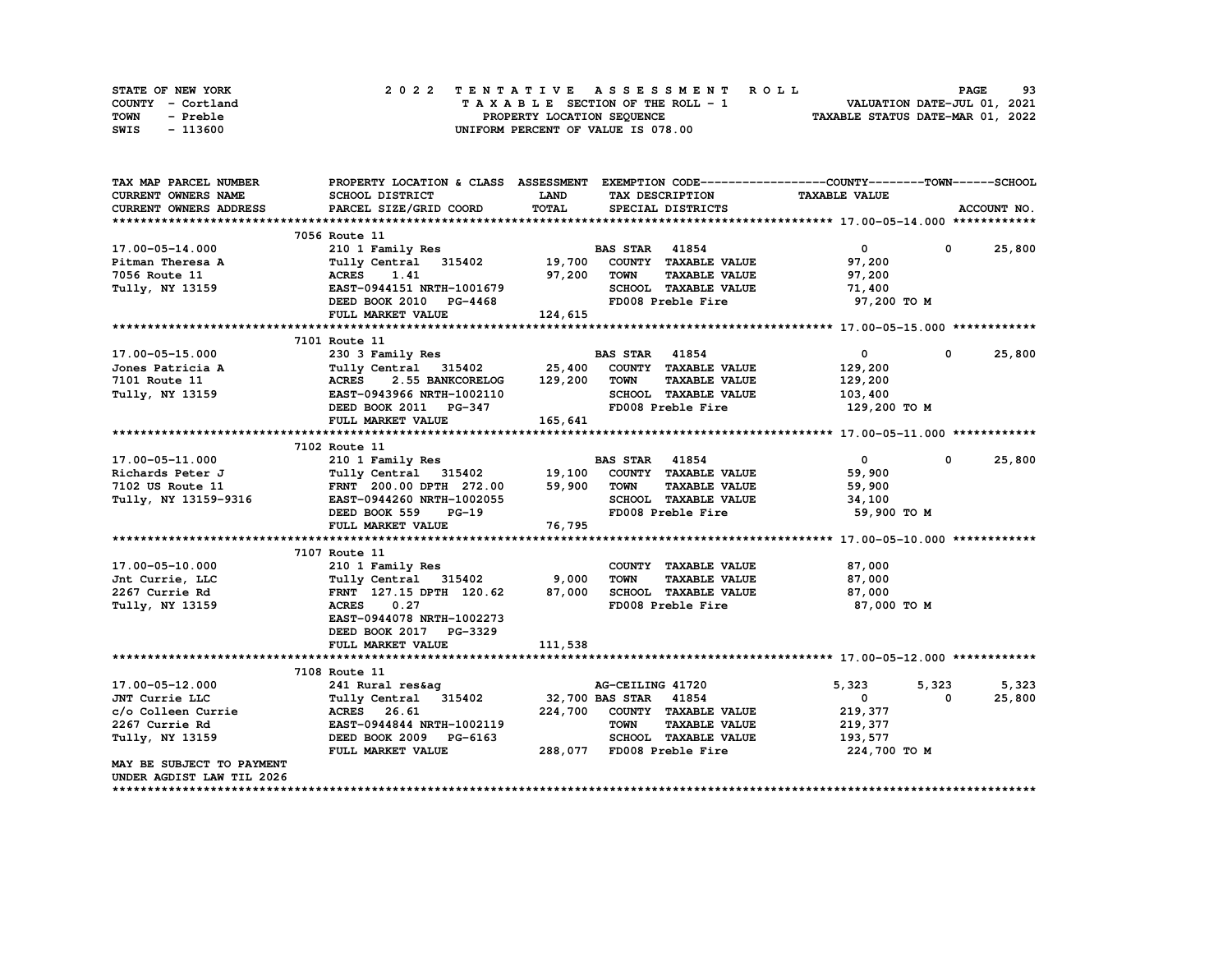| STATE OF NEW YORK | 2022 TENTATIVE ASSESSMENT ROLL     | 93<br><b>PAGE</b>                |
|-------------------|------------------------------------|----------------------------------|
| COUNTY - Cortland | TAXABLE SECTION OF THE ROLL - 1    | VALUATION DATE-JUL 01, 2021      |
| TOWN<br>- Preble  | PROPERTY LOCATION SEQUENCE         | TAXABLE STATUS DATE-MAR 01, 2022 |
| - 113600<br>SWIS  | UNIFORM PERCENT OF VALUE IS 078.00 |                                  |

| TAX MAP PARCEL NUMBER                                                                                                                                                                            | PROPERTY LOCATION & CLASS ASSESSMENT EXEMPTION CODE-----------------COUNTY-------TOWN------SCHOOL                                                    |             |                       |                              |                               |              |               |
|--------------------------------------------------------------------------------------------------------------------------------------------------------------------------------------------------|------------------------------------------------------------------------------------------------------------------------------------------------------|-------------|-----------------------|------------------------------|-------------------------------|--------------|---------------|
| CURRENT OWNERS NAME                                                                                                                                                                              | SCHOOL DISTRICT                                                                                                                                      | <b>LAND</b> |                       | TAX DESCRIPTION              | <b>TAXABLE VALUE</b>          |              |               |
| <b>CURRENT OWNERS ADDRESS</b>                                                                                                                                                                    | PARCEL SIZE/GRID COORD                                                                                                                               | TOTAL       |                       | SPECIAL DISTRICTS            |                               |              | ACCOUNT NO.   |
|                                                                                                                                                                                                  |                                                                                                                                                      |             |                       |                              |                               |              |               |
|                                                                                                                                                                                                  | 7056 Route 11                                                                                                                                        |             |                       |                              |                               |              |               |
| 17.00-05-14.000                                                                                                                                                                                  | 210 1 Family Res                                                                                                                                     |             | <b>BAS STAR 41854</b> |                              | $\overline{\mathbf{0}}$       |              | $0 \t 25,800$ |
| Pitman Theresa A                                                                                                                                                                                 | Tully Central 315402 19,700                                                                                                                          |             |                       | COUNTY TAXABLE VALUE         | 97,200                        |              |               |
|                                                                                                                                                                                                  |                                                                                                                                                      | 97,200 TOWN |                       | <b>TAXABLE VALUE</b>         | 97,200                        |              |               |
|                                                                                                                                                                                                  |                                                                                                                                                      |             |                       | SCHOOL TAXABLE VALUE         | 71,400                        |              |               |
|                                                                                                                                                                                                  |                                                                                                                                                      |             |                       |                              | FD008 Preble Fire 97,200 TO M |              |               |
|                                                                                                                                                                                                  |                                                                                                                                                      |             |                       |                              |                               |              |               |
|                                                                                                                                                                                                  |                                                                                                                                                      |             |                       |                              |                               |              |               |
|                                                                                                                                                                                                  | 7101 Route 11                                                                                                                                        |             |                       |                              |                               |              |               |
| 17.00-05-15.000                                                                                                                                                                                  | 230 3 Family Res                                                                                                                                     |             | <b>BAS STAR</b> 41854 |                              | $\mathbf{0}$                  | $\mathbf 0$  | 25,800        |
|                                                                                                                                                                                                  |                                                                                                                                                      |             |                       | COUNTY TAXABLE VALUE         | 129,200                       |              |               |
|                                                                                                                                                                                                  | Jones Patricia A Tully Central 315402 25,400 COUNT<br>7101 Route 11 2008 2008 255 BANKCORELOG 129,200 TOWN<br>Tully, NY 13159 2008 2011 202110 2CHOO |             |                       | <b>TAXABLE VALUE</b>         | 129,200                       |              |               |
|                                                                                                                                                                                                  |                                                                                                                                                      |             |                       | SCHOOL TAXABLE VALUE         |                               |              |               |
|                                                                                                                                                                                                  |                                                                                                                                                      |             |                       | FD008 Preble Fire            | 103,400                       |              |               |
|                                                                                                                                                                                                  | DEED BOOK 2011 PG-347                                                                                                                                |             |                       |                              | 129,200 TO M                  |              |               |
|                                                                                                                                                                                                  | FULL MARKET VALUE                                                                                                                                    | 165,641     |                       |                              |                               |              |               |
|                                                                                                                                                                                                  |                                                                                                                                                      |             |                       |                              |                               |              |               |
|                                                                                                                                                                                                  | 7102 Route 11                                                                                                                                        |             |                       |                              |                               |              |               |
| 17.00-05-11.000                                                                                                                                                                                  | 210 1 Family Res                                                                                                                                     |             | <b>BAS STAR 41854</b> |                              | $\mathbf{0}$                  | $\mathbf{0}$ | 25,800        |
| Richards Peter J                                                                                                                                                                                 | Tully Central 315402         19,100 COUNTY TAXABLE VALUE<br>FRNT 200.00 DPTH 272.00      59,900 TOWN TAXABLE VALUE                                   |             |                       |                              | 59,900                        |              |               |
| 7102 US Route 11                                                                                                                                                                                 |                                                                                                                                                      |             |                       |                              | 59,900                        |              |               |
|                                                                                                                                                                                                  | Tully, NY 13159-9316<br>Tully, NY 13159-9316<br>DEED BOOK 559 PG-19                                                                                  |             |                       |                              | SCHOOL TAXABLE VALUE 34,100   |              |               |
|                                                                                                                                                                                                  |                                                                                                                                                      |             |                       | FD008 Preble Fire            | 59,900 то м                   |              |               |
|                                                                                                                                                                                                  | FULL MARKET VALUE                                                                                                                                    | 76,795      |                       |                              |                               |              |               |
|                                                                                                                                                                                                  |                                                                                                                                                      |             |                       |                              |                               |              |               |
|                                                                                                                                                                                                  | 7107 Route 11                                                                                                                                        |             |                       |                              |                               |              |               |
| 17.00-05-10.000                                                                                                                                                                                  | 210 1 Family Res                                                                                                                                     |             |                       | COUNTY TAXABLE VALUE         | 87,000                        |              |               |
| Jnt Currie, LLC                                                                                                                                                                                  | Tully Central 315402 9,000<br>FRNT 127.15 DPTH 120.62 87,000                                                                                         |             | <b>TOWN</b>           | <b>TAXABLE VALUE</b>         | 87,000                        |              |               |
| 2267 Currie Rd                                                                                                                                                                                   |                                                                                                                                                      |             |                       | SCHOOL TAXABLE VALUE         | 87,000                        |              |               |
| Tully, NY 13159                                                                                                                                                                                  | <b>ACRES</b><br>0.27                                                                                                                                 |             |                       | FD008 Preble Fire            | 87,000 TO M                   |              |               |
|                                                                                                                                                                                                  | EAST-0944078 NRTH-1002273                                                                                                                            |             |                       |                              |                               |              |               |
|                                                                                                                                                                                                  | DEED BOOK 2017 PG-3329                                                                                                                               |             |                       |                              |                               |              |               |
|                                                                                                                                                                                                  | FULL MARKET VALUE                                                                                                                                    | 111,538     |                       |                              |                               |              |               |
|                                                                                                                                                                                                  |                                                                                                                                                      |             |                       |                              |                               |              |               |
|                                                                                                                                                                                                  | 7108 Route 11                                                                                                                                        |             |                       |                              |                               |              |               |
| 17.00-05-12.000                                                                                                                                                                                  | 241 Rural res&ag                                                                                                                                     |             | AG-CEILING 41720      |                              | 5,323                         | 5,323        | 5,323         |
| JNT Currie LLC                                                                                                                                                                                   | Tully Central 315402 32,700 BAS STAR 41854                                                                                                           |             |                       |                              | $\overline{\mathbf{0}}$       | 0            | 25,800        |
|                                                                                                                                                                                                  |                                                                                                                                                      |             |                       | 224,700 COUNTY TAXABLE VALUE | 219,377                       |              |               |
| c/o Colleen Currie <a> 1991</a> 2267 Currie Rd Rast-0944844 1991 Rast-0944844 Rast-0944844 Rast-0944844 Rast-0944844 Rast-0944844 Rast-0944844 Rast-0944844 Rast-0944844 Rast-<br>2267 Currie Rd | EAST-0944844 NRTH-1002119                                                                                                                            |             | <b>TOWN</b>           | <b>TAXABLE VALUE</b>         | 219,377                       |              |               |
| Tully, NY 13159                                                                                                                                                                                  |                                                                                                                                                      |             |                       |                              | SCHOOL TAXABLE VALUE 193,577  |              |               |
|                                                                                                                                                                                                  |                                                                                                                                                      |             |                       |                              | 224,700 TO M                  |              |               |
|                                                                                                                                                                                                  | EAST-0944844 NAID ---<br>DEED BOOK 2009 PG-6163 SUNUOD -------<br>-------- VALUE 288,077 FD008 Preble Fire                                           |             |                       |                              |                               |              |               |
| MAY BE SUBJECT TO PAYMENT                                                                                                                                                                        |                                                                                                                                                      |             |                       |                              |                               |              |               |
| UNDER AGDIST LAW TIL 2026                                                                                                                                                                        |                                                                                                                                                      |             |                       |                              |                               |              |               |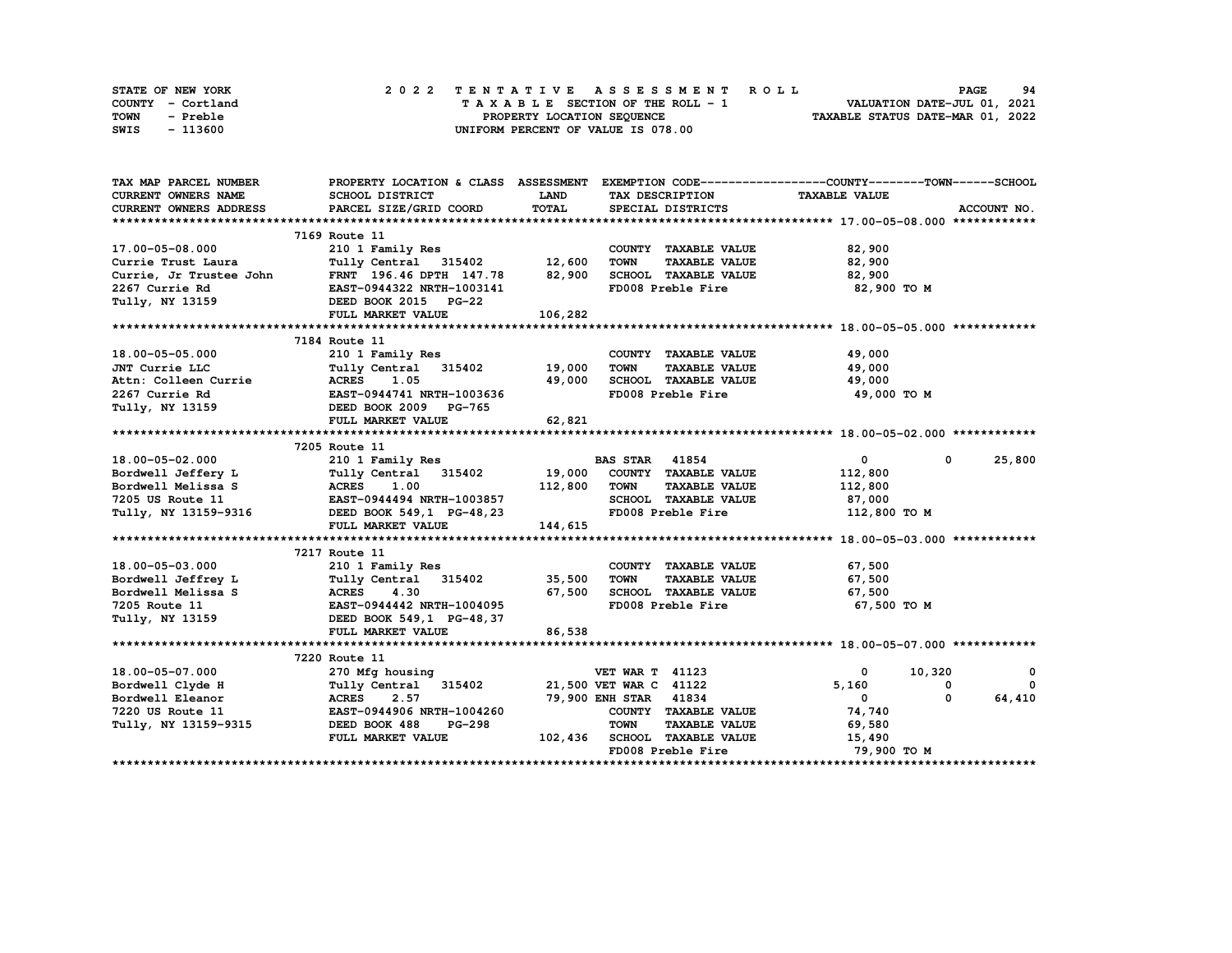| STATE OF NEW YORK | 2022 TENTATIVE ASSESSMENT ROLL                                 | 94<br><b>PAGE</b>           |  |  |  |  |  |  |  |
|-------------------|----------------------------------------------------------------|-----------------------------|--|--|--|--|--|--|--|
| COUNTY - Cortland | TAXABLE SECTION OF THE ROLL - 1                                | VALUATION DATE-JUL 01, 2021 |  |  |  |  |  |  |  |
| TOWN<br>- Preble  | TAXABLE STATUS DATE-MAR 01, 2022<br>PROPERTY LOCATION SEQUENCE |                             |  |  |  |  |  |  |  |
| - 113600<br>SWIS  | UNIFORM PERCENT OF VALUE IS 078.00                             |                             |  |  |  |  |  |  |  |

| TAX MAP PARCEL NUMBER                 |                                                                                                                                                                                                                                                |             |                                                  | PROPERTY LOCATION & CLASS ASSESSMENT EXEMPTION CODE-----------------COUNTY-------TOWN------SCHOOL |
|---------------------------------------|------------------------------------------------------------------------------------------------------------------------------------------------------------------------------------------------------------------------------------------------|-------------|--------------------------------------------------|---------------------------------------------------------------------------------------------------|
| <b>CURRENT OWNERS NAME</b>            | SCHOOL DISTRICT                                                                                                                                                                                                                                | <b>LAND</b> | TAX DESCRIPTION TAXABLE VALUE                    |                                                                                                   |
| CURRENT OWNERS ADDRESS                | PARCEL SIZE/GRID COORD                                                                                                                                                                                                                         | TOTAL       | SPECIAL DISTRICTS                                | ACCOUNT NO.                                                                                       |
|                                       |                                                                                                                                                                                                                                                |             |                                                  |                                                                                                   |
|                                       | 7169 Route 11                                                                                                                                                                                                                                  |             |                                                  |                                                                                                   |
| 17.00-05-08.000                       | 210 1 Family Res                                                                                                                                                                                                                               |             | COUNTY TAXABLE VALUE                             | 82,900                                                                                            |
| 17.00-05-08.000<br>Currie Trust Laura | Tully Central 315402 12,600                                                                                                                                                                                                                    |             | <b>TAXABLE VALUE</b><br><b>TOWN</b>              | 82,900                                                                                            |
|                                       |                                                                                                                                                                                                                                                |             | SCHOOL TAXABLE VALUE 82,900                      |                                                                                                   |
|                                       |                                                                                                                                                                                                                                                |             | FD008 Preble Fire                                | 82,900 TO M                                                                                       |
|                                       | Currie, Jr Trustee John FRNT 196.46 DPTH 147.78 82,900<br>2267 Currie Rd EAST-0944322 NRTH-1003141<br>Tully, NY 13159 DEED BOOK 2015 PG-22                                                                                                     |             |                                                  |                                                                                                   |
|                                       | FULL MARKET VALUE                                                                                                                                                                                                                              | 106,282     |                                                  |                                                                                                   |
|                                       |                                                                                                                                                                                                                                                |             |                                                  |                                                                                                   |
|                                       | 7184 Route 11                                                                                                                                                                                                                                  |             |                                                  |                                                                                                   |
| 18.00-05-05.000                       | 210 1 Family Res                                                                                                                                                                                                                               |             | COUNTY TAXABLE VALUE 49,000                      |                                                                                                   |
|                                       |                                                                                                                                                                                                                                                |             | <b>TOWN</b><br>TAXABLE VALUE                     | 49,000                                                                                            |
|                                       |                                                                                                                                                                                                                                                |             |                                                  | 49,000                                                                                            |
|                                       |                                                                                                                                                                                                                                                |             | 49,000 SCHOOL TAXABLE VALUE<br>FD008 Preble Fire | 49,000 TO M                                                                                       |
|                                       | <b>JNT Currie LLC</b><br><b>Tully Central 315402</b> 19,000<br><b>Attn: Colleen Currie 1.05</b> 1.05 49,000<br>2267 Currie Rd <b>EAST-0944741 NRTH-1003636</b><br><b>Tully, NY 13159 DEED</b> BOOK 2009 PG-765<br><b>DEED</b> BOOK 2009 PG-765 |             |                                                  |                                                                                                   |
|                                       | FULL MARKET VALUE                                                                                                                                                                                                                              | 62,821      |                                                  |                                                                                                   |
|                                       |                                                                                                                                                                                                                                                |             |                                                  |                                                                                                   |
|                                       | 7205 Route 11                                                                                                                                                                                                                                  |             |                                                  |                                                                                                   |
| 18.00-05-02.000                       | 210 1 Family Res                                                                                                                                                                                                                               |             | <b>BAS STAR</b> 41854                            | $\overline{0}$<br>$\mathbf 0$<br>25,800                                                           |
|                                       | Bordwell Jeffery L Tully Central 315402 19,000 COUNTY TAXABLE VALUE                                                                                                                                                                            |             |                                                  | 112,800                                                                                           |
|                                       | Bordwell Melissa S<br>Tally, NY 13159-9316<br>Tully, NY 13159-9316<br>DEED BOOK 549,1 PG-48,23                                                                                                                                                 | 112,800     | TOWN<br><b>TAXABLE VALUE</b>                     | 112,800                                                                                           |
|                                       |                                                                                                                                                                                                                                                |             | SCHOOL TAXABLE VALUE                             | 87,000                                                                                            |
|                                       |                                                                                                                                                                                                                                                |             | FD008 Preble Fire                                | 112,800 TO M                                                                                      |
|                                       | FULL MARKET VALUE                                                                                                                                                                                                                              | 144,615     |                                                  |                                                                                                   |
|                                       |                                                                                                                                                                                                                                                |             |                                                  |                                                                                                   |
|                                       | 7217 Route 11                                                                                                                                                                                                                                  |             |                                                  |                                                                                                   |
|                                       |                                                                                                                                                                                                                                                |             | COUNTY TAXABLE VALUE                             | 67,500                                                                                            |
|                                       |                                                                                                                                                                                                                                                |             | <b>TOWN</b><br><b>TAXABLE VALUE</b>              | 67,500                                                                                            |
|                                       |                                                                                                                                                                                                                                                |             | SCHOOL TAXABLE VALUE                             | 67,500                                                                                            |
|                                       |                                                                                                                                                                                                                                                |             | FD008 Preble Fire                                | 67,500 TO M                                                                                       |
|                                       |                                                                                                                                                                                                                                                |             |                                                  |                                                                                                   |
|                                       | FULL MARKET VALUE                                                                                                                                                                                                                              | 86,538      |                                                  |                                                                                                   |
|                                       |                                                                                                                                                                                                                                                |             |                                                  |                                                                                                   |
|                                       | 7220 Route 11                                                                                                                                                                                                                                  |             |                                                  |                                                                                                   |
| 18.00-05-07.000                       | 270 Mfg housing                                                                                                                                                                                                                                |             | <b>VET WAR T 41123</b>                           | 10,320<br>$\overline{\mathbf{0}}$<br>$\mathbf 0$                                                  |
| Bordwell Clyde H                      | Tully Central 315402 21,500 VET WAR C 41122                                                                                                                                                                                                    |             |                                                  | 5,160<br>0<br>$^{\circ}$                                                                          |
| Bordwell Eleanor                      | ACRES 2.57<br>EAST-0944906 NRTH-1004260                                                                                                                                                                                                        |             | 79,900 ENH STAR 41834                            | $\overline{0}$<br>64,410<br>0                                                                     |
| 7220 US Route 11                      |                                                                                                                                                                                                                                                |             | COUNTY TAXABLE VALUE                             | 74,740                                                                                            |
| Tully, NY 13159-9315 DEED BOOK 488    | <b>PG-298</b>                                                                                                                                                                                                                                  |             | <b>TOWN</b><br><b>TAXABLE VALUE</b>              | 69,580                                                                                            |
|                                       | <b>FULL MARKET VALUE</b>                                                                                                                                                                                                                       |             | 102,436 SCHOOL TAXABLE VALUE                     | 15,490                                                                                            |
|                                       |                                                                                                                                                                                                                                                |             | FD008 Preble Fire                                | 79,900 то м                                                                                       |
|                                       |                                                                                                                                                                                                                                                |             |                                                  |                                                                                                   |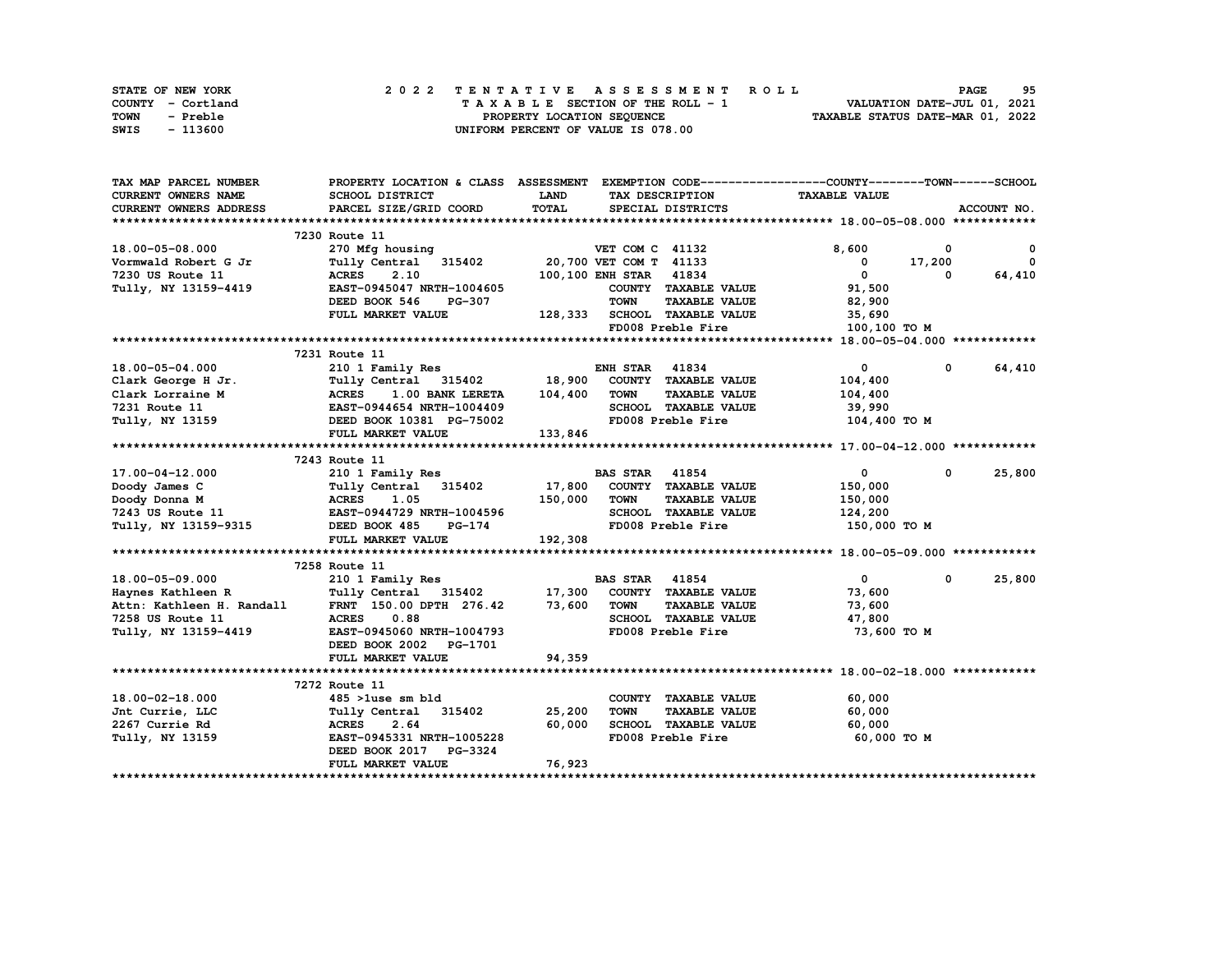| STATE OF NEW YORK | 2022 TENTATIVE ASSESSMENT ROLL     | 95<br><b>PAGE</b>                |
|-------------------|------------------------------------|----------------------------------|
| COUNTY - Cortland | TAXABLE SECTION OF THE ROLL - 1    | VALUATION DATE-JUL 01, 2021      |
| TOWN<br>- Preble  | PROPERTY LOCATION SEQUENCE         | TAXABLE STATUS DATE-MAR 01, 2022 |
| - 113600<br>SWIS  | UNIFORM PERCENT OF VALUE IS 078.00 |                                  |

| TAX MAP PARCEL NUMBER              | PROPERTY LOCATION & CLASS ASSESSMENT EXEMPTION CODE----------------COUNTY-------TOWN-----SCHOOL |             |                        |                              |                      |              |             |
|------------------------------------|-------------------------------------------------------------------------------------------------|-------------|------------------------|------------------------------|----------------------|--------------|-------------|
| CURRENT OWNERS NAME                | SCHOOL DISTRICT                                                                                 | <b>LAND</b> |                        | TAX DESCRIPTION              | <b>TAXABLE VALUE</b> |              |             |
| <b>CURRENT OWNERS ADDRESS</b>      | PARCEL SIZE/GRID COORD                                                                          | TOTAL       |                        | SPECIAL DISTRICTS            |                      |              | ACCOUNT NO. |
|                                    |                                                                                                 |             |                        |                              |                      |              |             |
|                                    | 7230 Route 11                                                                                   |             |                        |                              |                      |              |             |
| 18.00-05-08.000                    | 270 Mfg housing                                                                                 |             | VET COM C 41132        |                              | 8,600                | $^{\circ}$   | $\Omega$    |
| Vormwald Robert G Jr               | Tully Central 315402 20,700 VET COM T 41133                                                     |             |                        |                              | $^{\circ}$           | 17,200       | $\mathbf 0$ |
| 7230 US Route 11                   | <b>ACRES</b><br>2.10                                                                            |             | 100,100 ENH STAR 41834 |                              | $\mathbf{0}$         | 0            | 64,410      |
| Tully, NY 13159-4419               | EAST-0945047 NRTH-1004605                                                                       |             |                        | COUNTY TAXABLE VALUE         | 91,500               |              |             |
|                                    | DEED BOOK 546<br>PG-307                                                                         |             | <b>TOWN</b>            | <b>TAXABLE VALUE</b>         | 82,900               |              |             |
|                                    | FULL MARKET VALUE                                                                               |             |                        | 128,333 SCHOOL TAXABLE VALUE | 35,690               |              |             |
|                                    |                                                                                                 |             |                        | FD008 Preble Fire            | 100,100 TO M         |              |             |
|                                    |                                                                                                 |             |                        |                              |                      |              |             |
|                                    | 7231 Route 11                                                                                   |             |                        |                              |                      |              |             |
| 18.00-05-04.000                    | 210 1 Family Res                                                                                |             | <b>ENH STAR 41834</b>  |                              | $\mathbf{0}$         | $\mathbf{0}$ | 64,410      |
| Clark George H Jr.                 | Tully Central 315402 18,900                                                                     |             |                        | COUNTY TAXABLE VALUE         | 104,400              |              |             |
| Clark Lorraine M                   |                                                                                                 | 104,400     | <b>TOWN</b>            | <b>TAXABLE VALUE</b>         | 104,400              |              |             |
| 7231 Route 11                      | <b>ACRES</b> 1.00 BANK LERETA<br>EAST-0944654 NRTH-1004409                                      |             |                        | SCHOOL TAXABLE VALUE         | 39,990               |              |             |
|                                    | Tully, NY 13159 <b>DEED BOOK 10381 PG-75002</b>                                                 |             |                        | FD008 Preble Fire            | 104,400 TO M         |              |             |
|                                    | FULL MARKET VALUE                                                                               | 133,846     |                        |                              |                      |              |             |
|                                    |                                                                                                 |             |                        |                              |                      |              |             |
|                                    | 7243 Route 11                                                                                   |             |                        |                              |                      |              |             |
| 17.00-04-12.000                    | 210 1 Family Res                                                                                |             | <b>BAS STAR</b> 41854  |                              | $\overline{0}$       | $\mathbf 0$  | 25,800      |
| Doody James C                      | Tully Central 315402                                                                            | 17,800      |                        | COUNTY TAXABLE VALUE         | 150,000              |              |             |
| Doody Donna M                      |                                                                                                 | 150,000     | TOWN                   | <b>TAXABLE VALUE</b>         | 150,000              |              |             |
| 7243 US Route 11                   | <b>ACRES 1.05<br/>EAST-0944729 NRTH-1004596</b>                                                 |             |                        | SCHOOL TAXABLE VALUE         | 124,200              |              |             |
| Tully, NY 13159-9315 DEED BOOK 485 | <b>PG-174</b>                                                                                   |             |                        | FD008 Preble Fire            | 150,000 TO M         |              |             |
|                                    | FULL MARKET VALUE                                                                               | 192,308     |                        |                              |                      |              |             |
|                                    |                                                                                                 |             |                        |                              |                      |              |             |
|                                    | 7258 Route 11                                                                                   |             |                        |                              |                      |              |             |
| 18.00-05-09.000                    | 210 1 Family Res                                                                                |             | <b>BAS STAR 41854</b>  |                              | $\mathbf{0}$         | 0            | 25,800      |
| Haynes Kathleen R                  | Tully Central 315402 17,300 COUNTY TAXABLE VALUE                                                |             |                        |                              | 73,600               |              |             |
| Attn: Kathleen H. Randall          | FRNT 150.00 DPTH 276.42 73,600                                                                  |             | <b>TOWN</b>            | <b>TAXABLE VALUE</b>         | 73,600               |              |             |
| 7258 US Route 11                   | <b>ACRES</b><br>0.88                                                                            |             |                        | SCHOOL TAXABLE VALUE         | 47,800               |              |             |
| Tully, NY 13159-4419               | EAST-0945060 NRTH-1004793                                                                       |             |                        | FD008 Preble Fire            | 73,600 TO M          |              |             |
|                                    | DEED BOOK 2002<br>PG-1701                                                                       |             |                        |                              |                      |              |             |
|                                    | FULL MARKET VALUE                                                                               | 94,359      |                        |                              |                      |              |             |
|                                    |                                                                                                 |             |                        |                              |                      |              |             |
|                                    | 7272 Route 11                                                                                   |             |                        |                              |                      |              |             |
| 18.00-02-18.000                    | $485$ >luse sm bld                                                                              |             |                        | COUNTY TAXABLE VALUE         | 60,000               |              |             |
| Jnt Currie, LLC                    | Tully Central 315402                                                                            | 25,200      | <b>TOWN</b>            | <b>TAXABLE VALUE</b>         | 60,000               |              |             |
| 2267 Currie Rd                     | <b>ACRES</b><br>2.64                                                                            | 60,000      |                        | SCHOOL TAXABLE VALUE         | 60,000               |              |             |
| Tully, NY 13159                    | EAST-0945331 NRTH-1005228                                                                       |             |                        | FD008 Preble Fire            | 60,000 TO M          |              |             |
|                                    | DEED BOOK 2017 PG-3324                                                                          |             |                        |                              |                      |              |             |
|                                    | FULL MARKET VALUE                                                                               | 76,923      |                        |                              |                      |              |             |
|                                    |                                                                                                 |             |                        |                              |                      |              |             |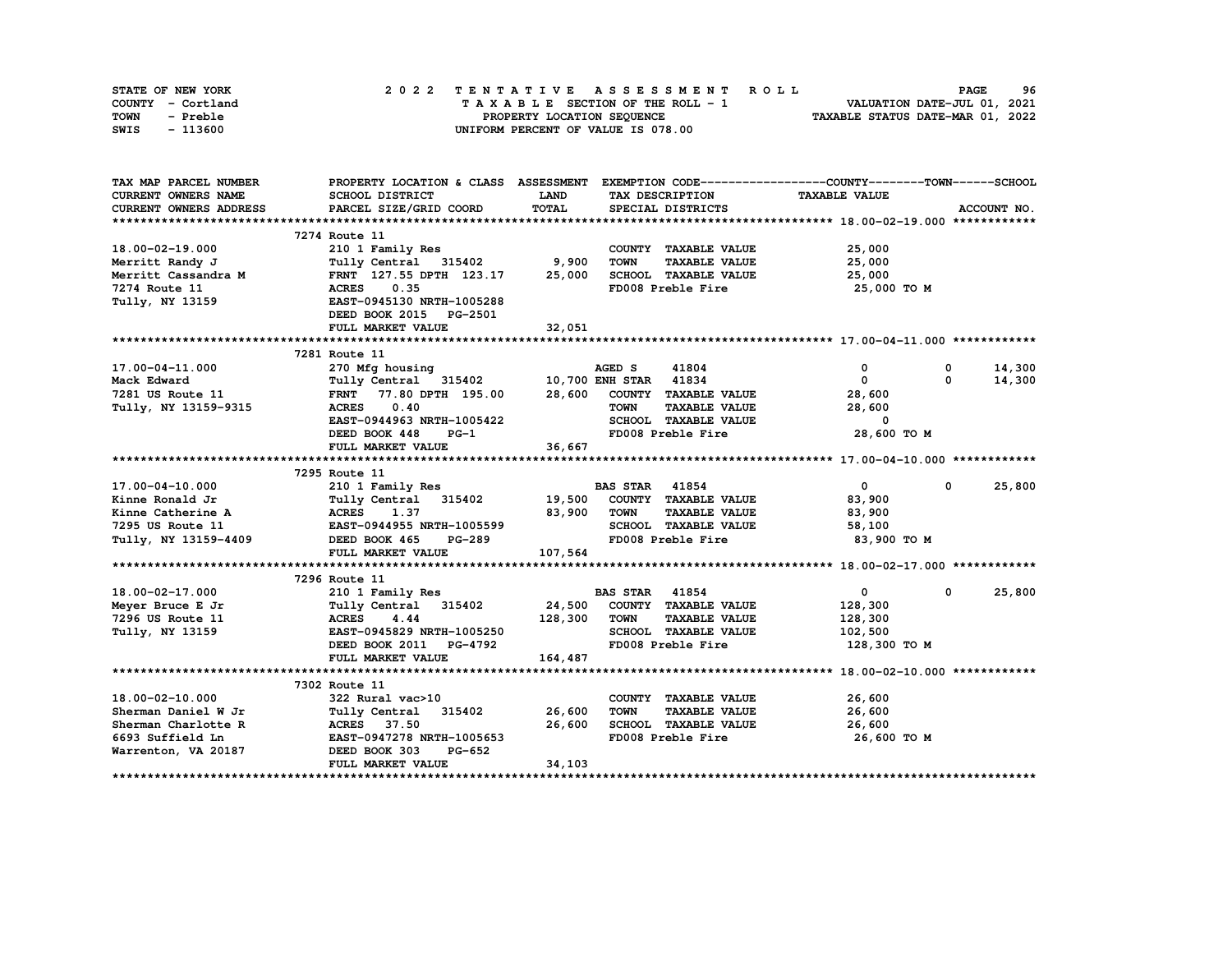| STATE OF NEW YORK |                   |                            |  | 2022 TENTATIVE ASSESSMENT ROLL |  |  |  |  |  |  |                                    |  |  |  |  |  |  |  |                             | <b>PAGE</b> |  | 96 |
|-------------------|-------------------|----------------------------|--|--------------------------------|--|--|--|--|--|--|------------------------------------|--|--|--|--|--|--|--|-----------------------------|-------------|--|----|
|                   | COUNTY - Cortland |                            |  |                                |  |  |  |  |  |  | TAXABLE SECTION OF THE ROLL - 1    |  |  |  |  |  |  |  | VALUATION DATE-JUL 01, 2021 |             |  |    |
| TOWN              | - Preble          | PROPERTY LOCATION SEQUENCE |  |                                |  |  |  |  |  |  | TAXABLE STATUS DATE-MAR 01, 2022   |  |  |  |  |  |  |  |                             |             |  |    |
| SWIS              | - 113600          |                            |  |                                |  |  |  |  |  |  | UNIFORM PERCENT OF VALUE IS 078.00 |  |  |  |  |  |  |  |                             |             |  |    |

| TAX MAP PARCEL NUMBER                                                      | PROPERTY LOCATION & CLASS ASSESSMENT EXEMPTION CODE-----------------COUNTY-------TOWN------SCHOOL                    |             |                                     |                      |              |             |
|----------------------------------------------------------------------------|----------------------------------------------------------------------------------------------------------------------|-------------|-------------------------------------|----------------------|--------------|-------------|
| CURRENT OWNERS NAME                                                        | SCHOOL DISTRICT                                                                                                      | <b>LAND</b> | TAX DESCRIPTION                     | <b>TAXABLE VALUE</b> |              |             |
| CURRENT OWNERS ADDRESS                                                     | PARCEL SIZE/GRID COORD                                                                                               | TOTAL       | SPECIAL DISTRICTS                   |                      |              | ACCOUNT NO. |
|                                                                            |                                                                                                                      |             |                                     |                      |              |             |
|                                                                            | 7274 Route 11                                                                                                        |             |                                     |                      |              |             |
|                                                                            | 210 1 Family Res                                                                                                     |             | COUNTY TAXABLE VALUE                | 25,000               |              |             |
| 18.00-02-19.000<br>Merritt Randy J<br>Merritt Cassandra M<br>7274 Route 11 | Tully Central 315402 9,900                                                                                           |             | <b>TOWN</b><br><b>TAXABLE VALUE</b> | 25,000               |              |             |
|                                                                            | FRNT 127.55 DPTH 123.17 25,000                                                                                       |             | SCHOOL TAXABLE VALUE 25,000         |                      |              |             |
|                                                                            | ACRES 0.35                                                                                                           |             | FD008 Preble Fire                   | 25,000 TO M          |              |             |
| Tully, NY 13159                                                            | EAST-0945130 NRTH-1005288                                                                                            |             |                                     |                      |              |             |
|                                                                            | DEED BOOK 2015 PG-2501                                                                                               |             |                                     |                      |              |             |
|                                                                            | FULL MARKET VALUE                                                                                                    | 32,051      |                                     |                      |              |             |
|                                                                            |                                                                                                                      |             |                                     |                      |              |             |
|                                                                            | 7281 Route 11                                                                                                        |             |                                     |                      |              |             |
| 17.00-04-11.000                                                            | 270 Mfg housing                                                                                                      |             | AGED S<br>41804                     | 0                    | $\mathbf 0$  | 14,300      |
| Mack Edward                                                                | Tully Central 315402 10,700 ENH STAR 41834                                                                           |             |                                     | $\mathbf{0}$         | $\Omega$     | 14,300      |
| 7281 US Route 11                                                           | FRNT 77.80 DPTH 195.00 28,600 COUNTY TAXABLE VALUE                                                                   |             |                                     | 28,600               |              |             |
| Tully, NY 13159-9315                                                       | <b>ACRES</b><br>0.40                                                                                                 |             | TOWN<br><b>TAXABLE VALUE</b>        | 28,600               |              |             |
|                                                                            | EAST-0944963 NRTH-1005422                                                                                            |             | SCHOOL TAXABLE VALUE                | 0                    |              |             |
|                                                                            | DEED BOOK 448<br>$PG-1$                                                                                              |             | FD008 Preble Fire                   | 28,600 TO M          |              |             |
|                                                                            | FULL MARKET VALUE                                                                                                    | 36,667      |                                     |                      |              |             |
|                                                                            |                                                                                                                      |             |                                     |                      |              |             |
|                                                                            | 7295 Route 11                                                                                                        |             |                                     |                      |              |             |
| 17.00-04-10.000                                                            | 210 1 Family Res                                                                                                     |             | <b>BAS STAR 41854</b>               | $\mathbf{0}$         | $\mathbf{0}$ | 25,800      |
| Kinne Ronald Jr                                                            |                                                                                                                      |             |                                     | 83,900               |              |             |
|                                                                            | Tully Central 315402 19,500 COUNTY TAXABLE VALUE<br>ACRES 1.37 33,900 TOWN TAXABLE VALUE                             |             |                                     | 83,900               |              |             |
|                                                                            |                                                                                                                      |             | SCHOOL TAXABLE VALUE 58,100         |                      |              |             |
|                                                                            | Kinne Acces 1.37<br>The Catherine A MCRES 1.37<br>T295 US Route 11 EAST-0944955 NRTH-1005599<br>NEED BOOK 465 PG-289 |             | FD008 Preble Fire 83,900 TO M       |                      |              |             |
|                                                                            | FULL MARKET VALUE                                                                                                    | 107,564     |                                     |                      |              |             |
|                                                                            |                                                                                                                      |             |                                     |                      |              |             |
|                                                                            | 7296 Route 11                                                                                                        |             |                                     |                      |              |             |
| 18.00-02-17.000                                                            | 210 1 Family Res                                                                                                     |             | <b>BAS STAR 41854</b>               | $\overline{0}$       | $^{\circ}$   | 25,800      |
| Meyer Bruce E Jr                                                           |                                                                                                                      |             | COUNTY TAXABLE VALUE                | 128,300              |              |             |
| 7296 US Route 11                                                           |                                                                                                                      |             | <b>TOWN</b><br><b>TAXABLE VALUE</b> | 128,300              |              |             |
| Tully, NY 13159                                                            | Tully Central 315402 24,500<br>ACRES 4.44 128,300<br>EAST-0945829 NRTH-1005250                                       |             | SCHOOL TAXABLE VALUE                | 102,500              |              |             |
|                                                                            | DEED BOOK 2011 PG-4792                                                                                               |             | FD008 Preble Fire                   | 128,300 TO M         |              |             |
|                                                                            | FULL MARKET VALUE                                                                                                    | 164,487     |                                     |                      |              |             |
|                                                                            |                                                                                                                      |             |                                     |                      |              |             |
|                                                                            | 7302 Route 11                                                                                                        |             |                                     |                      |              |             |
| 18.00-02-10.000                                                            | 322 Rural vac>10                                                                                                     |             | COUNTY TAXABLE VALUE                | 26,600               |              |             |
|                                                                            | Sherman Daniel W Jr Tully Central 315402 26,600                                                                      |             | <b>TOWN</b><br><b>TAXABLE VALUE</b> | 26,600               |              |             |
|                                                                            | 26,600                                                                                                               |             | SCHOOL TAXABLE VALUE 26,600         |                      |              |             |
|                                                                            |                                                                                                                      |             | FD008 Preble Fire                   | 26,600 то м          |              |             |
|                                                                            |                                                                                                                      |             |                                     |                      |              |             |
|                                                                            | FULL MARKET VALUE                                                                                                    | 34,103      |                                     |                      |              |             |
|                                                                            |                                                                                                                      |             |                                     |                      |              |             |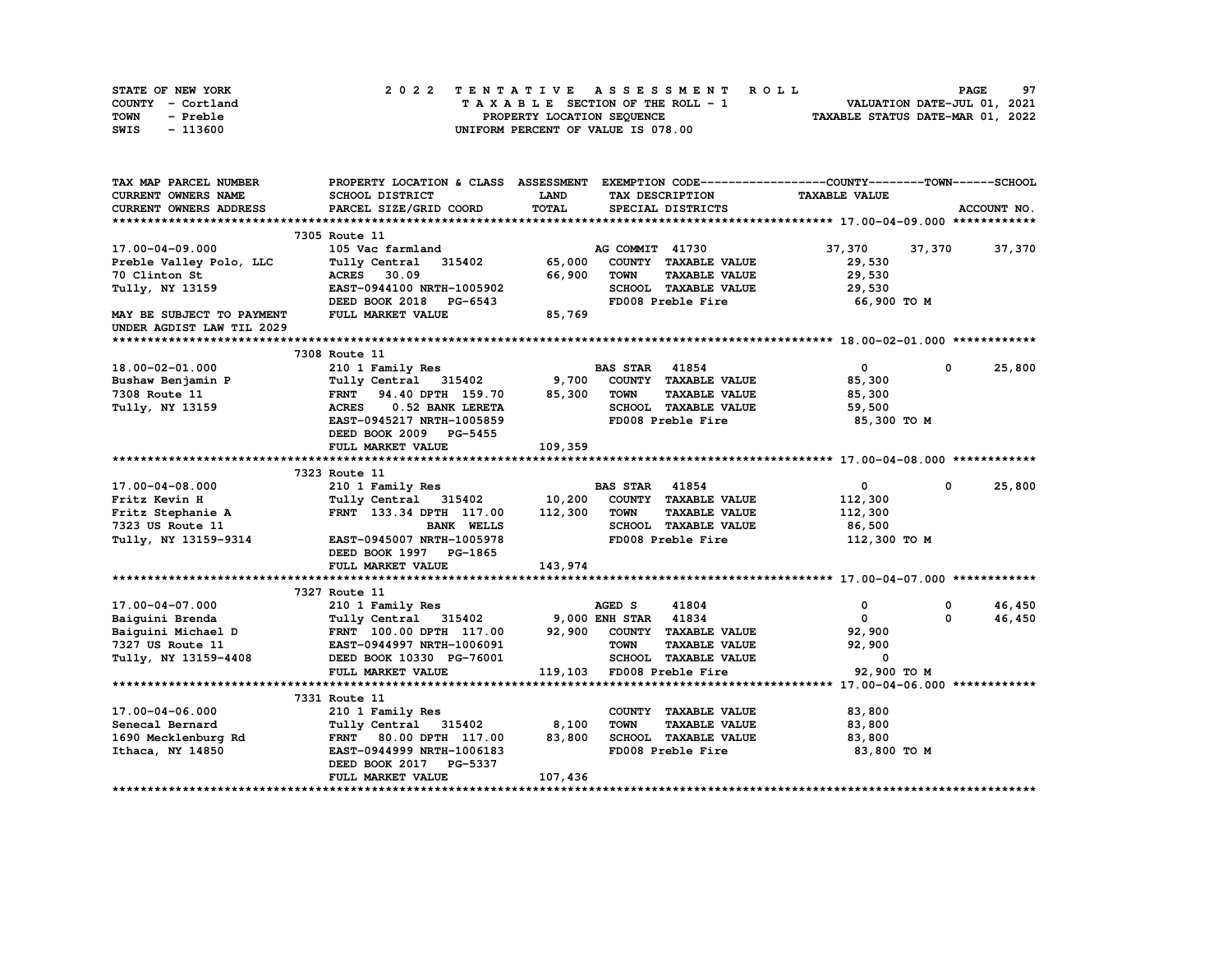| STATE OF NEW YORK | 2022 TENTATIVE ASSESSMENT ROLL     | 97<br><b>PAGE</b>                |
|-------------------|------------------------------------|----------------------------------|
| COUNTY - Cortland | TAXABLE SECTION OF THE ROLL - 1    | VALUATION DATE-JUL 01, 2021      |
| TOWN<br>- Preble  | PROPERTY LOCATION SEQUENCE         | TAXABLE STATUS DATE-MAR 01, 2022 |
| - 113600<br>SWIS  | UNIFORM PERCENT OF VALUE IS 078.00 |                                  |

| TAX MAP PARCEL NUMBER                                                    | PROPERTY LOCATION & CLASS ASSESSMENT EXEMPTION CODE----------------COUNTY-------TOWN------SCHOOL |             |                       |                              |                      |              |               |
|--------------------------------------------------------------------------|--------------------------------------------------------------------------------------------------|-------------|-----------------------|------------------------------|----------------------|--------------|---------------|
| CURRENT OWNERS NAME                                                      | SCHOOL DISTRICT                                                                                  | <b>LAND</b> | TAX DESCRIPTION       |                              | <b>TAXABLE VALUE</b> |              |               |
| <b>CURRENT OWNERS ADDRESS</b>                                            | PARCEL SIZE/GRID COORD                                                                           | TOTAL       | SPECIAL DISTRICTS     |                              |                      |              | ACCOUNT NO.   |
|                                                                          |                                                                                                  |             |                       |                              |                      |              |               |
|                                                                          | 7305 Route 11                                                                                    |             |                       |                              |                      |              |               |
| 17.00-04-09.000                                                          | 105 Vac farmland                                                                                 |             |                       | AG COMMIT 41730              | 37,370               |              | 37,370 37,370 |
| Preble Valley Polo, LLC                                                  | Tully Central 315402 65,000                                                                      |             |                       | COUNTY TAXABLE VALUE         | 29,530               |              |               |
| 70 Clinton St                                                            | ACRES 30.09                                                                                      | 66,900      | <b>TOWN</b>           | <b>TAXABLE VALUE</b>         | 29,530               |              |               |
| Tully, NY 13159                                                          | EAST-0944100 NRTH-1005902                                                                        |             |                       | SCHOOL TAXABLE VALUE         | 29,530               |              |               |
|                                                                          | DEED BOOK 2018 PG-6543                                                                           |             |                       | FD008 Preble Fire            | 66,900 то м          |              |               |
| MAY BE SUBJECT TO PAYMENT                                                | FULL MARKET VALUE                                                                                | 85,769      |                       |                              |                      |              |               |
| UNDER AGDIST LAW TIL 2029                                                |                                                                                                  |             |                       |                              |                      |              |               |
|                                                                          |                                                                                                  |             |                       |                              |                      |              |               |
|                                                                          | 7308 Route 11                                                                                    |             |                       |                              |                      |              |               |
| 18.00-02-01.000                                                          | 210 1 Family Res                                                                                 |             | <b>BAS STAR</b> 41854 |                              | $\bullet$            | $\mathbf 0$  | 25,800        |
| 18.00-02-01.000<br>Bushaw Benjamin P<br>7308 Route 11<br>Tully, NY 13159 | Tully Central 315402                                                                             |             |                       | $9,700$ COUNTY TAXABLE VALUE | 85,300               |              |               |
|                                                                          | FRNT 94.40 DPTH 159.70 85,300                                                                    |             | TOWN                  | <b>TAXABLE VALUE</b>         | 85,300               |              |               |
| Tully, NY 13159                                                          |                                                                                                  |             |                       | SCHOOL TAXABLE VALUE         | 59,500               |              |               |
|                                                                          | ACRES 0.52 BANK LERETA<br>EAST-0945217 NRTH-1005859                                              |             | FD008 Preble Fire     |                              | 85,300 TO M          |              |               |
|                                                                          | DEED BOOK 2009 PG-5455                                                                           |             |                       |                              |                      |              |               |
|                                                                          | FULL MARKET VALUE                                                                                | 109, 359    |                       |                              |                      |              |               |
|                                                                          |                                                                                                  |             |                       |                              |                      |              |               |
|                                                                          | 7323 Route 11                                                                                    |             |                       |                              |                      |              |               |
| 17.00-04-08.000                                                          | 210 1 Family Res                                                                                 |             | <b>BAS STAR</b> 41854 |                              | $\mathbf{0}$         | $^{\circ}$   | 25,800        |
| Fritz Kevin H                                                            | Tully Central 315402 10,200<br>FRNT 133.34 DPTH 117.00 112,300                                   |             |                       | COUNTY TAXABLE VALUE         | 112,300              |              |               |
| Fritz Stephanie A<br>"223 IIS Route 11                                   |                                                                                                  |             | <b>TOWN</b>           | <b>TAXABLE VALUE</b>         | 112,300              |              |               |
| 7323 US Route 11                                                         | <b>BANK WELLS</b>                                                                                |             |                       | SCHOOL TAXABLE VALUE         | 86,500               |              |               |
| Tully, NY 13159-9314                                                     | EAST-0945007 NRTH-1005978                                                                        |             |                       | FD008 Preble Fire            | 112,300 то м         |              |               |
|                                                                          | DEED BOOK 1997 PG-1865                                                                           |             |                       |                              |                      |              |               |
|                                                                          | FULL MARKET VALUE                                                                                | 143,974     |                       |                              |                      |              |               |
|                                                                          |                                                                                                  |             |                       |                              |                      |              |               |
|                                                                          | 7327 Route 11                                                                                    |             |                       |                              |                      |              |               |
|                                                                          |                                                                                                  |             |                       |                              |                      | $\mathbf 0$  | 46,450        |
|                                                                          |                                                                                                  |             |                       |                              |                      | $\mathbf{o}$ | 46,450        |
|                                                                          |                                                                                                  |             |                       |                              |                      |              |               |
|                                                                          |                                                                                                  |             |                       |                              |                      |              |               |
|                                                                          |                                                                                                  |             |                       |                              |                      |              |               |
|                                                                          |                                                                                                  |             |                       |                              | 92,900 TO M          |              |               |
|                                                                          |                                                                                                  |             |                       |                              |                      |              |               |
|                                                                          | 7331 Route 11                                                                                    |             |                       |                              |                      |              |               |
| 17.00-04-06.000                                                          | 210 1 Family Res                                                                                 |             |                       | COUNTY TAXABLE VALUE         | 83,800               |              |               |
| Senecal Bernard                                                          | Tully Central 315402 8,100                                                                       |             | TOWN                  | <b>TAXABLE VALUE</b>         | 83,800               |              |               |
| 1690 Mecklenburg Rd<br>Ithaca, NY 14850                                  | FRNT 80.00 DPTH 117.00                                                                           | 83,800      |                       | SCHOOL TAXABLE VALUE         | 83,800               |              |               |
|                                                                          | EAST-0944999 NRTH-1006183                                                                        |             | FD008 Preble Fire     |                              | 83,800 TO M          |              |               |
|                                                                          | DEED BOOK 2017 PG-5337                                                                           |             |                       |                              |                      |              |               |
|                                                                          | FULL MARKET VALUE                                                                                | 107,436     |                       |                              |                      |              |               |
|                                                                          |                                                                                                  |             |                       |                              |                      |              |               |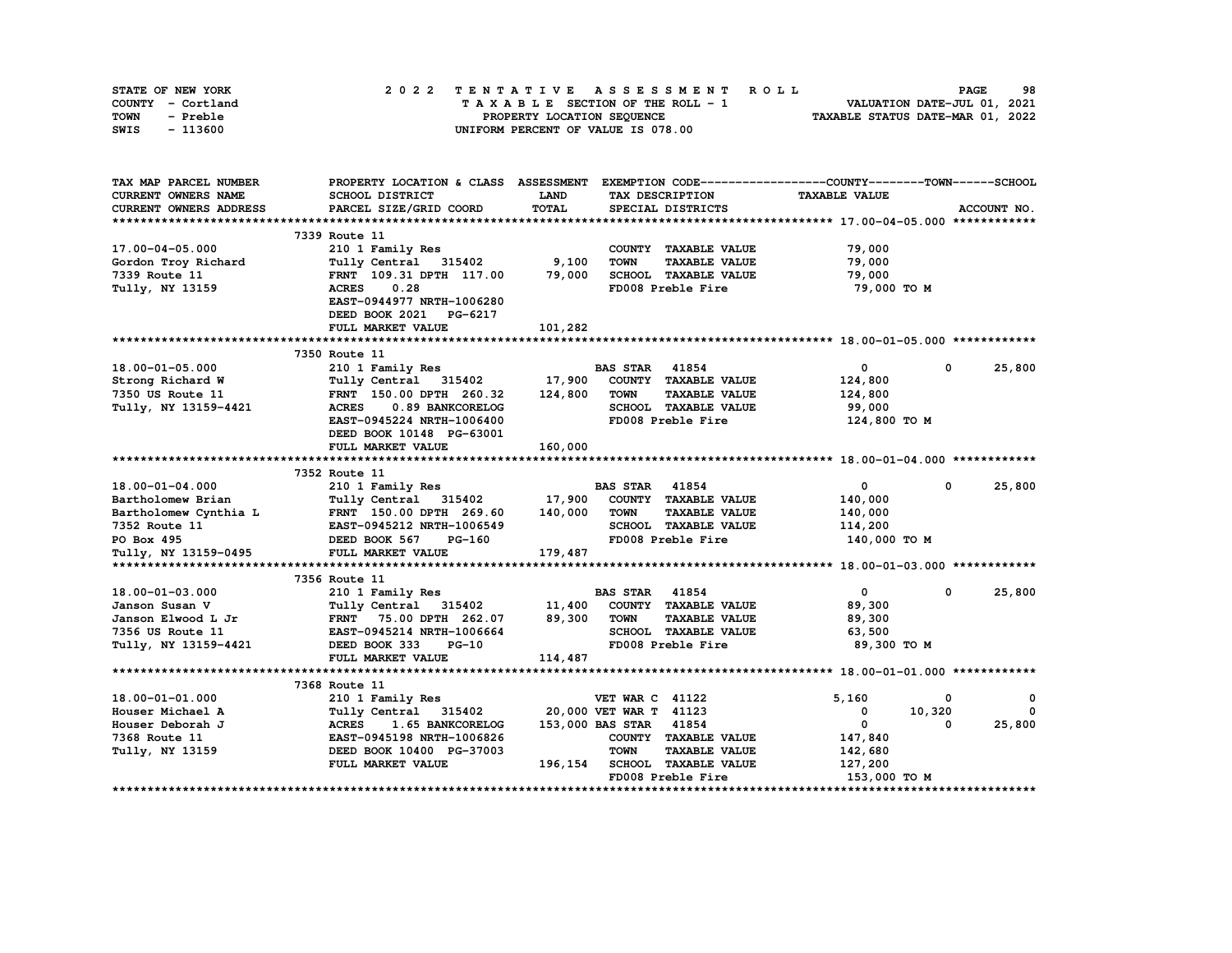| STATE OF NEW YORK | 2022 TENTATIVE ASSESSMENT ROLL     | 98<br><b>PAGE</b>                |
|-------------------|------------------------------------|----------------------------------|
| COUNTY - Cortland | TAXABLE SECTION OF THE ROLL - 1    | VALUATION DATE-JUL 01, 2021      |
| TOWN<br>- Preble  | PROPERTY LOCATION SEQUENCE         | TAXABLE STATUS DATE-MAR 01, 2022 |
| - 113600<br>SWIS  | UNIFORM PERCENT OF VALUE IS 078.00 |                                  |

| TAX MAP PARCEL NUMBER                                                                    | PROPERTY LOCATION & CLASS ASSESSMENT EXEMPTION CODE-----------------COUNTY-------TOWN------SCHOOL |             |                        |                      |                       |            |              |
|------------------------------------------------------------------------------------------|---------------------------------------------------------------------------------------------------|-------------|------------------------|----------------------|-----------------------|------------|--------------|
| CURRENT OWNERS NAME                                                                      | SCHOOL DISTRICT                                                                                   | <b>LAND</b> |                        | TAX DESCRIPTION      | <b>TAXABLE VALUE</b>  |            |              |
| CURRENT OWNERS ADDRESS                                                                   | PARCEL SIZE/GRID COORD                                                                            | TOTAL       |                        | SPECIAL DISTRICTS    |                       |            | ACCOUNT NO.  |
|                                                                                          |                                                                                                   |             |                        |                      |                       |            |              |
|                                                                                          | 7339 Route 11                                                                                     |             |                        |                      |                       |            |              |
| 17.00-04-05.000                                                                          | 210 1 Family Res                                                                                  |             |                        | COUNTY TAXABLE VALUE | 79,000                |            |              |
| Gordon Troy Richard                                                                      | Tully Central 315402 9,100                                                                        |             | <b>TOWN</b>            | <b>TAXABLE VALUE</b> | 79,000                |            |              |
| 7339 Route 11                                                                            | FRNT 109.31 DPTH 117.00                                                                           | 79,000      |                        | SCHOOL TAXABLE VALUE | 79,000                |            |              |
| Tully, NY 13159                                                                          | <b>ACRES</b><br>0.28                                                                              |             |                        | FD008 Preble Fire    | 79,000 TO M           |            |              |
|                                                                                          | EAST-0944977 NRTH-1006280                                                                         |             |                        |                      |                       |            |              |
|                                                                                          | DEED BOOK 2021 PG-6217                                                                            |             |                        |                      |                       |            |              |
|                                                                                          | FULL MARKET VALUE                                                                                 | 101,282     |                        |                      |                       |            |              |
|                                                                                          |                                                                                                   |             |                        |                      |                       |            |              |
|                                                                                          | 7350 Route 11                                                                                     |             |                        |                      |                       |            |              |
| 18.00-01-05.000                                                                          | 210 1 Family Res                                                                                  |             | <b>BAS STAR 41854</b>  |                      | $\mathbf{0}$          | 0          | 25,800       |
| Strong Richard W                                                                         | Tully Central 315402 17,900                                                                       |             |                        | COUNTY TAXABLE VALUE | 124,800               |            |              |
| 7350 US Route 11                                                                         | FRNT 150.00 DPTH 260.32                                                                           | 124,800     | <b>TOWN</b>            | <b>TAXABLE VALUE</b> | 124,800               |            |              |
| Tully, NY 13159-4421                                                                     | <b>ACRES</b><br>0.89 BANKCORELOG                                                                  |             |                        | SCHOOL TAXABLE VALUE | 99,000                |            |              |
|                                                                                          | EAST-0945224 NRTH-1006400                                                                         |             |                        | FD008 Preble Fire    | 124,800 TO M          |            |              |
|                                                                                          | DEED BOOK 10148 PG-63001                                                                          |             |                        |                      |                       |            |              |
|                                                                                          | FULL MARKET VALUE                                                                                 | 160,000     |                        |                      |                       |            |              |
|                                                                                          |                                                                                                   |             |                        |                      |                       |            |              |
|                                                                                          | 7352 Route 11                                                                                     |             |                        |                      |                       |            |              |
| 18.00-01-04.000                                                                          | 210 1 Family Res                                                                                  |             | <b>BAS STAR 41854</b>  |                      | $\mathbf{0}$          | $^{\circ}$ | 25,800       |
| Bartholomew Brian                                                                        | Tully Central 315402 17,900                                                                       |             |                        | COUNTY TAXABLE VALUE | 140,000               |            |              |
| Bartholomew Cynthia L FRNT 150.00 DPTH 269.60<br>7352 Route 11 EAST-0945212 NRTH-1006549 |                                                                                                   | 140,000     | <b>TOWN</b>            | <b>TAXABLE VALUE</b> | 140,000               |            |              |
|                                                                                          |                                                                                                   |             |                        | SCHOOL TAXABLE VALUE | 114,200               |            |              |
| PO Box 495                                                                               | DEED BOOK 567<br>FULL MARKET VI<br>PG-160                                                         |             |                        | FD008 Preble Fire    | 140,000 TO M          |            |              |
| Tully, NY 13159-0495                                                                     | FULL MARKET VALUE                                                                                 | 179,487     |                        |                      |                       |            |              |
|                                                                                          |                                                                                                   |             |                        |                      |                       |            |              |
|                                                                                          | 7356 Route 11<br>210 1 Family Res                                                                 |             | <b>BAS STAR 41854</b>  |                      | $\mathbf{0}$          | $^{\circ}$ | 25,800       |
| 18.00-01-03.000                                                                          |                                                                                                   |             |                        | COUNTY TAXABLE VALUE |                       |            |              |
| Janson Susan V                                                                           | Tully Central 315402 11,400                                                                       | 89,300      | TOWN                   | <b>TAXABLE VALUE</b> | 89,300                |            |              |
| Janson Elwood L Jr                                                                       | FRNT 75.00 DPTH 262.07                                                                            |             |                        | SCHOOL TAXABLE VALUE | 89,300                |            |              |
| 7356 US Route 11<br>Tully, NY 13159-4421                                                 | EAST-0945214 NRTH-1006664<br>DEED BOOK 333<br>$PG-10$                                             |             |                        | FD008 Preble Fire    | 63,500<br>89,300 то м |            |              |
|                                                                                          | FULL MARKET VALUE                                                                                 | 114,487     |                        |                      |                       |            |              |
|                                                                                          |                                                                                                   |             |                        |                      |                       |            |              |
|                                                                                          | 7368 Route 11                                                                                     |             |                        |                      |                       |            |              |
| 18.00-01-01.000                                                                          | 210 1 Family Res                                                                                  |             | <b>VET WAR C 41122</b> |                      | 5,160                 | 0          | 0            |
| Houser Michael A                                                                         | Tully Central 315402                                                                              |             | 20,000 VET WAR T 41123 |                      | $\mathbf{0}$          | 10,320     | $\mathbf{o}$ |
| Houser Deborah J                                                                         | <b>Tully<br/>ACRES</b><br><b>1.65 BANKCORELOG</b>                                                 |             | 153,000 BAS STAR 41854 |                      | $\mathbf 0$           | $\Omega$   | 25,800       |
| 7368 Route 11                                                                            |                                                                                                   |             |                        | COUNTY TAXABLE VALUE | 147,840               |            |              |
| Tully, NY 13159                                                                          | EAST-0945198 NRTH-1006826<br>DEED BOOK 10400 PG-37003<br>DEED BOOK 10400 PG-37003                 |             | <b>TOWN</b>            | <b>TAXABLE VALUE</b> | 142,680               |            |              |
|                                                                                          | FULL MARKET VALUE                                                                                 | 196,154     |                        | SCHOOL TAXABLE VALUE | 127,200               |            |              |
|                                                                                          |                                                                                                   |             |                        | FD008 Preble Fire    | 153,000 TO M          |            |              |
|                                                                                          |                                                                                                   |             |                        |                      |                       |            |              |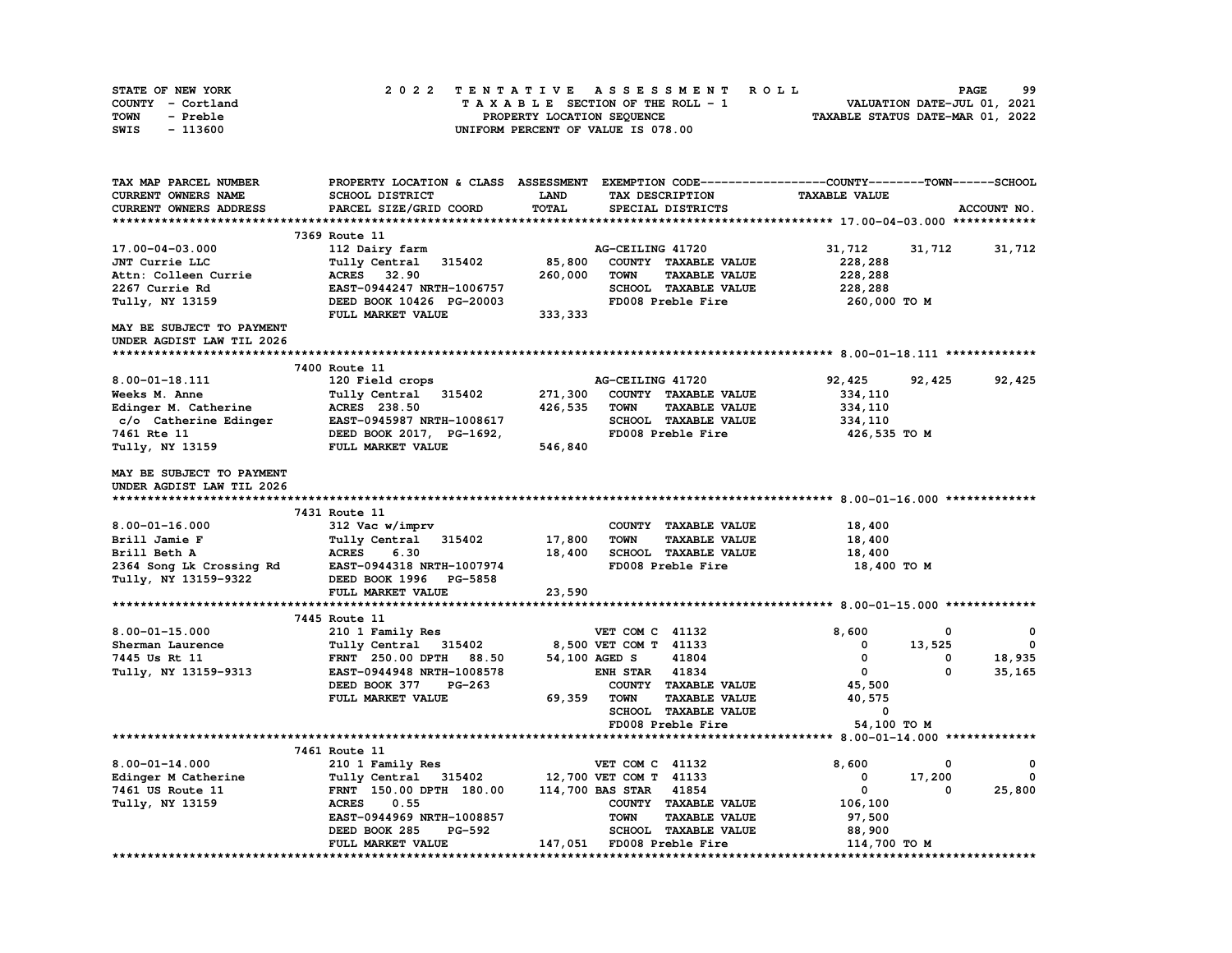| STATE OF NEW YORK | 2022 TENTATIVE ASSESSMENT ROLL     | 99<br><b>PAGE</b>                |
|-------------------|------------------------------------|----------------------------------|
| COUNTY - Cortland | TAXABLE SECTION OF THE ROLL - 1    | VALUATION DATE-JUL 01, 2021      |
| TOWN<br>- Preble  | PROPERTY LOCATION SEQUENCE         | TAXABLE STATUS DATE-MAR 01, 2022 |
| - 113600<br>SWIS  | UNIFORM PERCENT OF VALUE IS 078.00 |                                  |

| SCHOOL DISTRICT<br><b>LAND</b><br>TAX DESCRIPTION<br><b>TAXABLE VALUE</b><br><b>TOTAL</b><br>PARCEL SIZE/GRID COORD<br>SPECIAL DISTRICTS<br>ACCOUNT NO.<br>7369 Route 11<br>112 Dairy farm<br>31,712<br>AG-CEILING 41720<br>31,712<br>31,712<br>85,800<br>Tully Central 315402<br>COUNTY TAXABLE VALUE<br>228,288<br><b>ACRES</b> 32.90<br>260,000<br><b>TOWN</b><br><b>TAXABLE VALUE</b><br>228,288<br>EAST-0944247 NRTH-1006757<br>SCHOOL TAXABLE VALUE<br>228,288<br>DEED BOOK 10426 PG-20003<br>FD008 Preble Fire<br>260,000 то м<br>FULL MARKET VALUE<br>333, 333<br>7400 Route 11<br>92,425<br>92,425<br>120 Field crops<br>AG-CEILING 41720<br>92,425<br>Tully Central 315402<br>271,300<br>COUNTY TAXABLE VALUE<br>334,110<br><b>ACRES</b> 238.50<br>426,535<br><b>TAXABLE VALUE</b><br>334,110<br><b>TOWN</b><br>SCHOOL TAXABLE VALUE<br>c/o Catherine Edinger<br>EAST-0945987 NRTH-1008617<br>334,110<br>DEED BOOK 2017, PG-1692,<br>FD008 Preble Fire<br>426,535 TO M<br>546,840<br>FULL MARKET VALUE<br>MAY BE SUBJECT TO PAYMENT<br>7431 Route 11<br>COUNTY TAXABLE VALUE<br>312 Vac w/imprv<br>18,400<br>Tully Central 315402<br>17,800<br>TOWN<br><b>TAXABLE VALUE</b><br>18,400<br>6.30<br>18,400<br>SCHOOL TAXABLE VALUE<br><b>ACRES</b><br>18,400<br>FD008 Preble Fire<br>EAST-0944318 NRTH-1007974<br>18,400 TO M<br>DEED BOOK 1996 PG-5858<br>FULL MARKET VALUE<br>23,590<br>7445 Route 11<br>210 1 Family Res<br>VET COM C 41132<br>8,600<br>$\mathbf{o}$<br>0<br>8,500 VET COM T 41133<br>13,525<br>$\mathbf 0$<br>Tully Central 315402<br>0<br>41804<br>18,935<br><b>FRNT</b> 250.00 DPTH<br>54,100 AGED S<br>0<br>88.50<br>0<br><b>ENH STAR 41834</b><br>EAST-0944948 NRTH-1008578<br>$\mathbf{0}$<br>$\mathbf{o}$<br>35,165<br>COUNTY TAXABLE VALUE<br>45,500<br>DEED BOOK 377<br>PG-263<br>FULL MARKET VALUE<br>69,359<br>TOWN<br><b>TAXABLE VALUE</b><br>40,575<br><b>SCHOOL TAXABLE VALUE</b><br>0<br>FD008 Preble Fire<br>54,100 TO M<br>7461 Route 11<br>210 1 Family Res<br>VET COM C 41132<br>8,600<br>$\mathbf 0$<br>0<br>12,700 VET COM T 41133<br>17,200<br>$^{\circ}$<br>Tully Central 315402<br>0<br>114,700 BAS STAR 41854<br>25,800<br>FRNT 150.00 DPTH 180.00<br>$\mathbf{0}$<br>0<br>COUNTY TAXABLE VALUE<br><b>ACRES</b><br>0.55<br>106,100<br>EAST-0944969 NRTH-1008857<br><b>TOWN</b><br><b>TAXABLE VALUE</b><br>97,500<br>SCHOOL TAXABLE VALUE<br>DEED BOOK 285<br>PG-592<br>88,900<br>FULL MARKET VALUE<br>147,051 FD008 Preble Fire<br>114,700 TO M | TAX MAP PARCEL NUMBER     | PROPERTY LOCATION & CLASS ASSESSMENT EXEMPTION CODE----------------COUNTY-------TOWN-----SCHOOL |  |  |
|----------------------------------------------------------------------------------------------------------------------------------------------------------------------------------------------------------------------------------------------------------------------------------------------------------------------------------------------------------------------------------------------------------------------------------------------------------------------------------------------------------------------------------------------------------------------------------------------------------------------------------------------------------------------------------------------------------------------------------------------------------------------------------------------------------------------------------------------------------------------------------------------------------------------------------------------------------------------------------------------------------------------------------------------------------------------------------------------------------------------------------------------------------------------------------------------------------------------------------------------------------------------------------------------------------------------------------------------------------------------------------------------------------------------------------------------------------------------------------------------------------------------------------------------------------------------------------------------------------------------------------------------------------------------------------------------------------------------------------------------------------------------------------------------------------------------------------------------------------------------------------------------------------------------------------------------------------------------------------------------------------------------------------------------------------------------------------------------------------------------------------------------------------------------------------------------------------------------------------------------------------------------------------------------------------------------------------------------------------------------------------------------------------------------------------------------------------------------------------------------------|---------------------------|-------------------------------------------------------------------------------------------------|--|--|
|                                                                                                                                                                                                                                                                                                                                                                                                                                                                                                                                                                                                                                                                                                                                                                                                                                                                                                                                                                                                                                                                                                                                                                                                                                                                                                                                                                                                                                                                                                                                                                                                                                                                                                                                                                                                                                                                                                                                                                                                                                                                                                                                                                                                                                                                                                                                                                                                                                                                                                    | CURRENT OWNERS NAME       |                                                                                                 |  |  |
|                                                                                                                                                                                                                                                                                                                                                                                                                                                                                                                                                                                                                                                                                                                                                                                                                                                                                                                                                                                                                                                                                                                                                                                                                                                                                                                                                                                                                                                                                                                                                                                                                                                                                                                                                                                                                                                                                                                                                                                                                                                                                                                                                                                                                                                                                                                                                                                                                                                                                                    | CURRENT OWNERS ADDRESS    |                                                                                                 |  |  |
|                                                                                                                                                                                                                                                                                                                                                                                                                                                                                                                                                                                                                                                                                                                                                                                                                                                                                                                                                                                                                                                                                                                                                                                                                                                                                                                                                                                                                                                                                                                                                                                                                                                                                                                                                                                                                                                                                                                                                                                                                                                                                                                                                                                                                                                                                                                                                                                                                                                                                                    |                           |                                                                                                 |  |  |
|                                                                                                                                                                                                                                                                                                                                                                                                                                                                                                                                                                                                                                                                                                                                                                                                                                                                                                                                                                                                                                                                                                                                                                                                                                                                                                                                                                                                                                                                                                                                                                                                                                                                                                                                                                                                                                                                                                                                                                                                                                                                                                                                                                                                                                                                                                                                                                                                                                                                                                    |                           |                                                                                                 |  |  |
|                                                                                                                                                                                                                                                                                                                                                                                                                                                                                                                                                                                                                                                                                                                                                                                                                                                                                                                                                                                                                                                                                                                                                                                                                                                                                                                                                                                                                                                                                                                                                                                                                                                                                                                                                                                                                                                                                                                                                                                                                                                                                                                                                                                                                                                                                                                                                                                                                                                                                                    | 17.00-04-03.000           |                                                                                                 |  |  |
|                                                                                                                                                                                                                                                                                                                                                                                                                                                                                                                                                                                                                                                                                                                                                                                                                                                                                                                                                                                                                                                                                                                                                                                                                                                                                                                                                                                                                                                                                                                                                                                                                                                                                                                                                                                                                                                                                                                                                                                                                                                                                                                                                                                                                                                                                                                                                                                                                                                                                                    | JNT Currie LLC            |                                                                                                 |  |  |
|                                                                                                                                                                                                                                                                                                                                                                                                                                                                                                                                                                                                                                                                                                                                                                                                                                                                                                                                                                                                                                                                                                                                                                                                                                                                                                                                                                                                                                                                                                                                                                                                                                                                                                                                                                                                                                                                                                                                                                                                                                                                                                                                                                                                                                                                                                                                                                                                                                                                                                    | Attn: Colleen Currie      |                                                                                                 |  |  |
|                                                                                                                                                                                                                                                                                                                                                                                                                                                                                                                                                                                                                                                                                                                                                                                                                                                                                                                                                                                                                                                                                                                                                                                                                                                                                                                                                                                                                                                                                                                                                                                                                                                                                                                                                                                                                                                                                                                                                                                                                                                                                                                                                                                                                                                                                                                                                                                                                                                                                                    | 2267 Currie Rd            |                                                                                                 |  |  |
|                                                                                                                                                                                                                                                                                                                                                                                                                                                                                                                                                                                                                                                                                                                                                                                                                                                                                                                                                                                                                                                                                                                                                                                                                                                                                                                                                                                                                                                                                                                                                                                                                                                                                                                                                                                                                                                                                                                                                                                                                                                                                                                                                                                                                                                                                                                                                                                                                                                                                                    | Tully, NY 13159           |                                                                                                 |  |  |
|                                                                                                                                                                                                                                                                                                                                                                                                                                                                                                                                                                                                                                                                                                                                                                                                                                                                                                                                                                                                                                                                                                                                                                                                                                                                                                                                                                                                                                                                                                                                                                                                                                                                                                                                                                                                                                                                                                                                                                                                                                                                                                                                                                                                                                                                                                                                                                                                                                                                                                    |                           |                                                                                                 |  |  |
|                                                                                                                                                                                                                                                                                                                                                                                                                                                                                                                                                                                                                                                                                                                                                                                                                                                                                                                                                                                                                                                                                                                                                                                                                                                                                                                                                                                                                                                                                                                                                                                                                                                                                                                                                                                                                                                                                                                                                                                                                                                                                                                                                                                                                                                                                                                                                                                                                                                                                                    | MAY BE SUBJECT TO PAYMENT |                                                                                                 |  |  |
|                                                                                                                                                                                                                                                                                                                                                                                                                                                                                                                                                                                                                                                                                                                                                                                                                                                                                                                                                                                                                                                                                                                                                                                                                                                                                                                                                                                                                                                                                                                                                                                                                                                                                                                                                                                                                                                                                                                                                                                                                                                                                                                                                                                                                                                                                                                                                                                                                                                                                                    | UNDER AGDIST LAW TIL 2026 |                                                                                                 |  |  |
|                                                                                                                                                                                                                                                                                                                                                                                                                                                                                                                                                                                                                                                                                                                                                                                                                                                                                                                                                                                                                                                                                                                                                                                                                                                                                                                                                                                                                                                                                                                                                                                                                                                                                                                                                                                                                                                                                                                                                                                                                                                                                                                                                                                                                                                                                                                                                                                                                                                                                                    |                           |                                                                                                 |  |  |
|                                                                                                                                                                                                                                                                                                                                                                                                                                                                                                                                                                                                                                                                                                                                                                                                                                                                                                                                                                                                                                                                                                                                                                                                                                                                                                                                                                                                                                                                                                                                                                                                                                                                                                                                                                                                                                                                                                                                                                                                                                                                                                                                                                                                                                                                                                                                                                                                                                                                                                    |                           |                                                                                                 |  |  |
|                                                                                                                                                                                                                                                                                                                                                                                                                                                                                                                                                                                                                                                                                                                                                                                                                                                                                                                                                                                                                                                                                                                                                                                                                                                                                                                                                                                                                                                                                                                                                                                                                                                                                                                                                                                                                                                                                                                                                                                                                                                                                                                                                                                                                                                                                                                                                                                                                                                                                                    | $8.00 - 01 - 18.111$      |                                                                                                 |  |  |
|                                                                                                                                                                                                                                                                                                                                                                                                                                                                                                                                                                                                                                                                                                                                                                                                                                                                                                                                                                                                                                                                                                                                                                                                                                                                                                                                                                                                                                                                                                                                                                                                                                                                                                                                                                                                                                                                                                                                                                                                                                                                                                                                                                                                                                                                                                                                                                                                                                                                                                    | Weeks M. Anne             |                                                                                                 |  |  |
|                                                                                                                                                                                                                                                                                                                                                                                                                                                                                                                                                                                                                                                                                                                                                                                                                                                                                                                                                                                                                                                                                                                                                                                                                                                                                                                                                                                                                                                                                                                                                                                                                                                                                                                                                                                                                                                                                                                                                                                                                                                                                                                                                                                                                                                                                                                                                                                                                                                                                                    | Edinger M. Catherine      |                                                                                                 |  |  |
|                                                                                                                                                                                                                                                                                                                                                                                                                                                                                                                                                                                                                                                                                                                                                                                                                                                                                                                                                                                                                                                                                                                                                                                                                                                                                                                                                                                                                                                                                                                                                                                                                                                                                                                                                                                                                                                                                                                                                                                                                                                                                                                                                                                                                                                                                                                                                                                                                                                                                                    |                           |                                                                                                 |  |  |
|                                                                                                                                                                                                                                                                                                                                                                                                                                                                                                                                                                                                                                                                                                                                                                                                                                                                                                                                                                                                                                                                                                                                                                                                                                                                                                                                                                                                                                                                                                                                                                                                                                                                                                                                                                                                                                                                                                                                                                                                                                                                                                                                                                                                                                                                                                                                                                                                                                                                                                    | 7461 Rte 11               |                                                                                                 |  |  |
|                                                                                                                                                                                                                                                                                                                                                                                                                                                                                                                                                                                                                                                                                                                                                                                                                                                                                                                                                                                                                                                                                                                                                                                                                                                                                                                                                                                                                                                                                                                                                                                                                                                                                                                                                                                                                                                                                                                                                                                                                                                                                                                                                                                                                                                                                                                                                                                                                                                                                                    | Tully, NY 13159           |                                                                                                 |  |  |
|                                                                                                                                                                                                                                                                                                                                                                                                                                                                                                                                                                                                                                                                                                                                                                                                                                                                                                                                                                                                                                                                                                                                                                                                                                                                                                                                                                                                                                                                                                                                                                                                                                                                                                                                                                                                                                                                                                                                                                                                                                                                                                                                                                                                                                                                                                                                                                                                                                                                                                    |                           |                                                                                                 |  |  |
|                                                                                                                                                                                                                                                                                                                                                                                                                                                                                                                                                                                                                                                                                                                                                                                                                                                                                                                                                                                                                                                                                                                                                                                                                                                                                                                                                                                                                                                                                                                                                                                                                                                                                                                                                                                                                                                                                                                                                                                                                                                                                                                                                                                                                                                                                                                                                                                                                                                                                                    | UNDER AGDIST LAW TIL 2026 |                                                                                                 |  |  |
|                                                                                                                                                                                                                                                                                                                                                                                                                                                                                                                                                                                                                                                                                                                                                                                                                                                                                                                                                                                                                                                                                                                                                                                                                                                                                                                                                                                                                                                                                                                                                                                                                                                                                                                                                                                                                                                                                                                                                                                                                                                                                                                                                                                                                                                                                                                                                                                                                                                                                                    |                           |                                                                                                 |  |  |
|                                                                                                                                                                                                                                                                                                                                                                                                                                                                                                                                                                                                                                                                                                                                                                                                                                                                                                                                                                                                                                                                                                                                                                                                                                                                                                                                                                                                                                                                                                                                                                                                                                                                                                                                                                                                                                                                                                                                                                                                                                                                                                                                                                                                                                                                                                                                                                                                                                                                                                    |                           |                                                                                                 |  |  |
|                                                                                                                                                                                                                                                                                                                                                                                                                                                                                                                                                                                                                                                                                                                                                                                                                                                                                                                                                                                                                                                                                                                                                                                                                                                                                                                                                                                                                                                                                                                                                                                                                                                                                                                                                                                                                                                                                                                                                                                                                                                                                                                                                                                                                                                                                                                                                                                                                                                                                                    | $8.00 - 01 - 16.000$      |                                                                                                 |  |  |
|                                                                                                                                                                                                                                                                                                                                                                                                                                                                                                                                                                                                                                                                                                                                                                                                                                                                                                                                                                                                                                                                                                                                                                                                                                                                                                                                                                                                                                                                                                                                                                                                                                                                                                                                                                                                                                                                                                                                                                                                                                                                                                                                                                                                                                                                                                                                                                                                                                                                                                    | Brill Jamie F             |                                                                                                 |  |  |
|                                                                                                                                                                                                                                                                                                                                                                                                                                                                                                                                                                                                                                                                                                                                                                                                                                                                                                                                                                                                                                                                                                                                                                                                                                                                                                                                                                                                                                                                                                                                                                                                                                                                                                                                                                                                                                                                                                                                                                                                                                                                                                                                                                                                                                                                                                                                                                                                                                                                                                    | Brill Beth A              |                                                                                                 |  |  |
|                                                                                                                                                                                                                                                                                                                                                                                                                                                                                                                                                                                                                                                                                                                                                                                                                                                                                                                                                                                                                                                                                                                                                                                                                                                                                                                                                                                                                                                                                                                                                                                                                                                                                                                                                                                                                                                                                                                                                                                                                                                                                                                                                                                                                                                                                                                                                                                                                                                                                                    | 2364 Song Lk Crossing Rd  |                                                                                                 |  |  |
|                                                                                                                                                                                                                                                                                                                                                                                                                                                                                                                                                                                                                                                                                                                                                                                                                                                                                                                                                                                                                                                                                                                                                                                                                                                                                                                                                                                                                                                                                                                                                                                                                                                                                                                                                                                                                                                                                                                                                                                                                                                                                                                                                                                                                                                                                                                                                                                                                                                                                                    | Tully, NY 13159-9322      |                                                                                                 |  |  |
|                                                                                                                                                                                                                                                                                                                                                                                                                                                                                                                                                                                                                                                                                                                                                                                                                                                                                                                                                                                                                                                                                                                                                                                                                                                                                                                                                                                                                                                                                                                                                                                                                                                                                                                                                                                                                                                                                                                                                                                                                                                                                                                                                                                                                                                                                                                                                                                                                                                                                                    |                           |                                                                                                 |  |  |
|                                                                                                                                                                                                                                                                                                                                                                                                                                                                                                                                                                                                                                                                                                                                                                                                                                                                                                                                                                                                                                                                                                                                                                                                                                                                                                                                                                                                                                                                                                                                                                                                                                                                                                                                                                                                                                                                                                                                                                                                                                                                                                                                                                                                                                                                                                                                                                                                                                                                                                    |                           |                                                                                                 |  |  |
|                                                                                                                                                                                                                                                                                                                                                                                                                                                                                                                                                                                                                                                                                                                                                                                                                                                                                                                                                                                                                                                                                                                                                                                                                                                                                                                                                                                                                                                                                                                                                                                                                                                                                                                                                                                                                                                                                                                                                                                                                                                                                                                                                                                                                                                                                                                                                                                                                                                                                                    |                           |                                                                                                 |  |  |
|                                                                                                                                                                                                                                                                                                                                                                                                                                                                                                                                                                                                                                                                                                                                                                                                                                                                                                                                                                                                                                                                                                                                                                                                                                                                                                                                                                                                                                                                                                                                                                                                                                                                                                                                                                                                                                                                                                                                                                                                                                                                                                                                                                                                                                                                                                                                                                                                                                                                                                    | $8.00 - 01 - 15.000$      |                                                                                                 |  |  |
|                                                                                                                                                                                                                                                                                                                                                                                                                                                                                                                                                                                                                                                                                                                                                                                                                                                                                                                                                                                                                                                                                                                                                                                                                                                                                                                                                                                                                                                                                                                                                                                                                                                                                                                                                                                                                                                                                                                                                                                                                                                                                                                                                                                                                                                                                                                                                                                                                                                                                                    | Sherman Laurence          |                                                                                                 |  |  |
|                                                                                                                                                                                                                                                                                                                                                                                                                                                                                                                                                                                                                                                                                                                                                                                                                                                                                                                                                                                                                                                                                                                                                                                                                                                                                                                                                                                                                                                                                                                                                                                                                                                                                                                                                                                                                                                                                                                                                                                                                                                                                                                                                                                                                                                                                                                                                                                                                                                                                                    | 7445 Us Rt 11             |                                                                                                 |  |  |
|                                                                                                                                                                                                                                                                                                                                                                                                                                                                                                                                                                                                                                                                                                                                                                                                                                                                                                                                                                                                                                                                                                                                                                                                                                                                                                                                                                                                                                                                                                                                                                                                                                                                                                                                                                                                                                                                                                                                                                                                                                                                                                                                                                                                                                                                                                                                                                                                                                                                                                    | Tully, NY 13159-9313      |                                                                                                 |  |  |
|                                                                                                                                                                                                                                                                                                                                                                                                                                                                                                                                                                                                                                                                                                                                                                                                                                                                                                                                                                                                                                                                                                                                                                                                                                                                                                                                                                                                                                                                                                                                                                                                                                                                                                                                                                                                                                                                                                                                                                                                                                                                                                                                                                                                                                                                                                                                                                                                                                                                                                    |                           |                                                                                                 |  |  |
|                                                                                                                                                                                                                                                                                                                                                                                                                                                                                                                                                                                                                                                                                                                                                                                                                                                                                                                                                                                                                                                                                                                                                                                                                                                                                                                                                                                                                                                                                                                                                                                                                                                                                                                                                                                                                                                                                                                                                                                                                                                                                                                                                                                                                                                                                                                                                                                                                                                                                                    |                           |                                                                                                 |  |  |
|                                                                                                                                                                                                                                                                                                                                                                                                                                                                                                                                                                                                                                                                                                                                                                                                                                                                                                                                                                                                                                                                                                                                                                                                                                                                                                                                                                                                                                                                                                                                                                                                                                                                                                                                                                                                                                                                                                                                                                                                                                                                                                                                                                                                                                                                                                                                                                                                                                                                                                    |                           |                                                                                                 |  |  |
|                                                                                                                                                                                                                                                                                                                                                                                                                                                                                                                                                                                                                                                                                                                                                                                                                                                                                                                                                                                                                                                                                                                                                                                                                                                                                                                                                                                                                                                                                                                                                                                                                                                                                                                                                                                                                                                                                                                                                                                                                                                                                                                                                                                                                                                                                                                                                                                                                                                                                                    |                           |                                                                                                 |  |  |
|                                                                                                                                                                                                                                                                                                                                                                                                                                                                                                                                                                                                                                                                                                                                                                                                                                                                                                                                                                                                                                                                                                                                                                                                                                                                                                                                                                                                                                                                                                                                                                                                                                                                                                                                                                                                                                                                                                                                                                                                                                                                                                                                                                                                                                                                                                                                                                                                                                                                                                    |                           |                                                                                                 |  |  |
|                                                                                                                                                                                                                                                                                                                                                                                                                                                                                                                                                                                                                                                                                                                                                                                                                                                                                                                                                                                                                                                                                                                                                                                                                                                                                                                                                                                                                                                                                                                                                                                                                                                                                                                                                                                                                                                                                                                                                                                                                                                                                                                                                                                                                                                                                                                                                                                                                                                                                                    |                           |                                                                                                 |  |  |
|                                                                                                                                                                                                                                                                                                                                                                                                                                                                                                                                                                                                                                                                                                                                                                                                                                                                                                                                                                                                                                                                                                                                                                                                                                                                                                                                                                                                                                                                                                                                                                                                                                                                                                                                                                                                                                                                                                                                                                                                                                                                                                                                                                                                                                                                                                                                                                                                                                                                                                    | $8.00 - 01 - 14.000$      |                                                                                                 |  |  |
|                                                                                                                                                                                                                                                                                                                                                                                                                                                                                                                                                                                                                                                                                                                                                                                                                                                                                                                                                                                                                                                                                                                                                                                                                                                                                                                                                                                                                                                                                                                                                                                                                                                                                                                                                                                                                                                                                                                                                                                                                                                                                                                                                                                                                                                                                                                                                                                                                                                                                                    | Edinger M Catherine       |                                                                                                 |  |  |
|                                                                                                                                                                                                                                                                                                                                                                                                                                                                                                                                                                                                                                                                                                                                                                                                                                                                                                                                                                                                                                                                                                                                                                                                                                                                                                                                                                                                                                                                                                                                                                                                                                                                                                                                                                                                                                                                                                                                                                                                                                                                                                                                                                                                                                                                                                                                                                                                                                                                                                    | 7461 US Route 11          |                                                                                                 |  |  |
|                                                                                                                                                                                                                                                                                                                                                                                                                                                                                                                                                                                                                                                                                                                                                                                                                                                                                                                                                                                                                                                                                                                                                                                                                                                                                                                                                                                                                                                                                                                                                                                                                                                                                                                                                                                                                                                                                                                                                                                                                                                                                                                                                                                                                                                                                                                                                                                                                                                                                                    | Tully, NY 13159           |                                                                                                 |  |  |
|                                                                                                                                                                                                                                                                                                                                                                                                                                                                                                                                                                                                                                                                                                                                                                                                                                                                                                                                                                                                                                                                                                                                                                                                                                                                                                                                                                                                                                                                                                                                                                                                                                                                                                                                                                                                                                                                                                                                                                                                                                                                                                                                                                                                                                                                                                                                                                                                                                                                                                    |                           |                                                                                                 |  |  |
|                                                                                                                                                                                                                                                                                                                                                                                                                                                                                                                                                                                                                                                                                                                                                                                                                                                                                                                                                                                                                                                                                                                                                                                                                                                                                                                                                                                                                                                                                                                                                                                                                                                                                                                                                                                                                                                                                                                                                                                                                                                                                                                                                                                                                                                                                                                                                                                                                                                                                                    |                           |                                                                                                 |  |  |
|                                                                                                                                                                                                                                                                                                                                                                                                                                                                                                                                                                                                                                                                                                                                                                                                                                                                                                                                                                                                                                                                                                                                                                                                                                                                                                                                                                                                                                                                                                                                                                                                                                                                                                                                                                                                                                                                                                                                                                                                                                                                                                                                                                                                                                                                                                                                                                                                                                                                                                    |                           |                                                                                                 |  |  |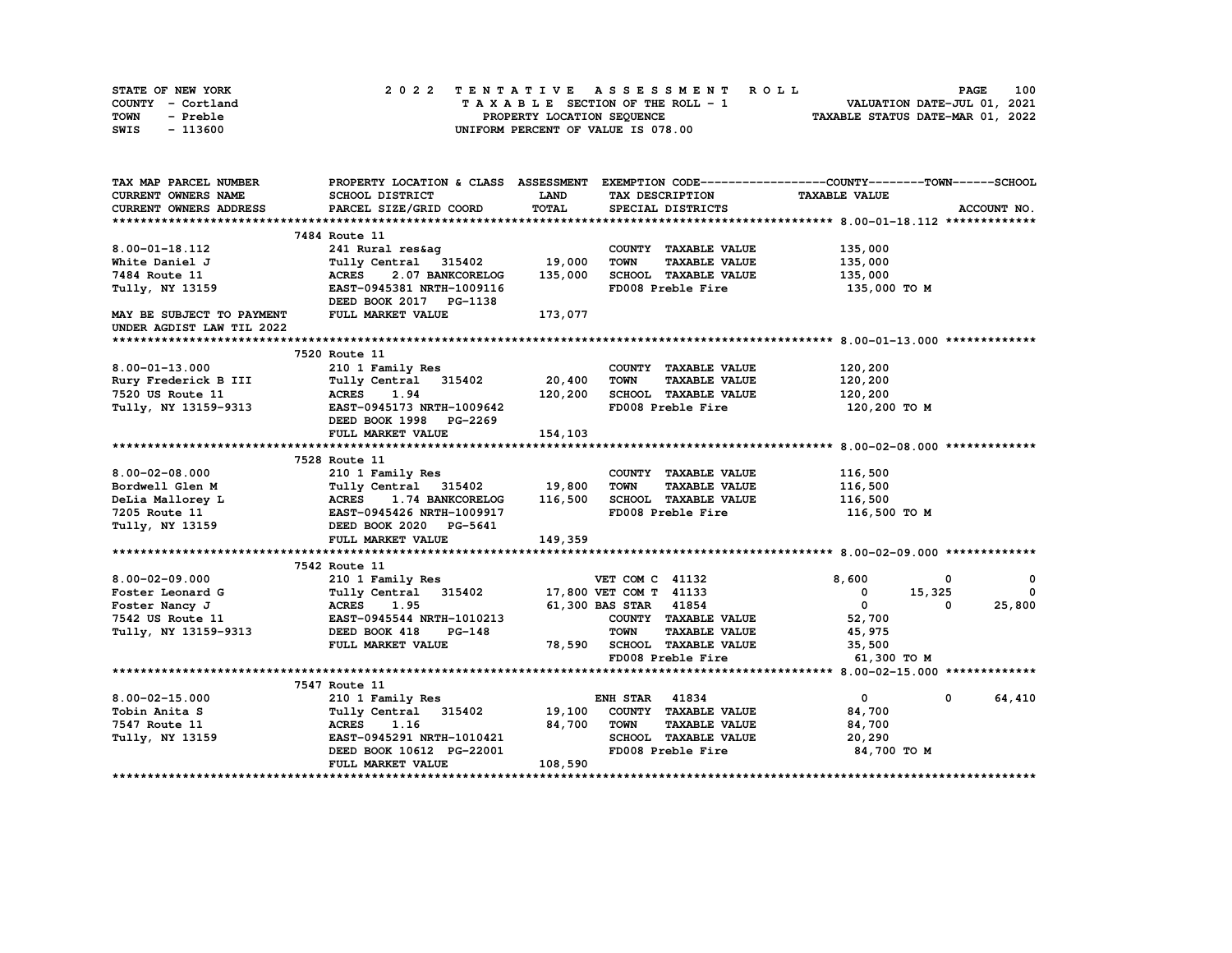| STATE OF NEW YORK | 2022 TENTATIVE ASSESSMENT ROLL     | 100<br><b>PAGE</b>               |
|-------------------|------------------------------------|----------------------------------|
| COUNTY - Cortland | TAXABLE SECTION OF THE ROLL - 1    | VALUATION DATE-JUL 01, 2021      |
| TOWN<br>- Preble  | PROPERTY LOCATION SEQUENCE         | TAXABLE STATUS DATE-MAR 01, 2022 |
| - 113600<br>SWIS  | UNIFORM PERCENT OF VALUE IS 078.00 |                                  |

| TAX MAP PARCEL NUMBER                           |                                                                                                                                                                                                       |              |                                     | PROPERTY LOCATION & CLASS ASSESSMENT EXEMPTION CODE---------------COUNTY-------TOWN------SCHOOL |
|-------------------------------------------------|-------------------------------------------------------------------------------------------------------------------------------------------------------------------------------------------------------|--------------|-------------------------------------|-------------------------------------------------------------------------------------------------|
| CURRENT OWNERS NAME                             | SCHOOL DISTRICT                                                                                                                                                                                       | <b>LAND</b>  | TAX DESCRIPTION                     | <b>TAXABLE VALUE</b>                                                                            |
| CURRENT OWNERS ADDRESS                          | PARCEL SIZE/GRID COORD                                                                                                                                                                                | <b>TOTAL</b> | SPECIAL DISTRICTS                   | ACCOUNT NO.                                                                                     |
|                                                 |                                                                                                                                                                                                       |              |                                     |                                                                                                 |
|                                                 | 7484 Route 11                                                                                                                                                                                         |              |                                     |                                                                                                 |
| 8.00-01-18.112                                  | 241 Rural res&ag<br>Tully Central 315402 19,000                                                                                                                                                       |              | COUNTY TAXABLE VALUE                | 135,000                                                                                         |
| White Daniel J                                  |                                                                                                                                                                                                       |              | <b>TOWN</b><br><b>TAXABLE VALUE</b> | 135,000                                                                                         |
| 7484 Route 11                                   | <b>ACRES</b><br>2.07 BANKCORELOG                                                                                                                                                                      | 135,000      | SCHOOL TAXABLE VALUE                | 135,000                                                                                         |
| Tully, NY 13159                                 | EAST-0945381 NRTH-1009116                                                                                                                                                                             |              | FD008 Preble Fire                   | 135,000 TO M                                                                                    |
|                                                 | DEED BOOK 2017 PG-1138                                                                                                                                                                                |              |                                     |                                                                                                 |
| MAY BE SUBJECT TO PAYMENT                       | FULL MARKET VALUE                                                                                                                                                                                     | 173,077      |                                     |                                                                                                 |
| UNDER AGDIST LAW TIL 2022                       |                                                                                                                                                                                                       |              |                                     |                                                                                                 |
|                                                 |                                                                                                                                                                                                       |              |                                     |                                                                                                 |
|                                                 | 7520 Route 11                                                                                                                                                                                         |              |                                     |                                                                                                 |
| $8.00 - 01 - 13.000$                            | 210 1 Family Res                                                                                                                                                                                      |              | COUNTY TAXABLE VALUE                | 120,200                                                                                         |
| Rury Frederick B III                            | Tully Central 315402 20,400                                                                                                                                                                           |              | <b>TOWN</b><br><b>TAXABLE VALUE</b> | 120,200                                                                                         |
| 7520 US Route 11                                | ACRES 1.94                                                                                                                                                                                            | 120,200      | SCHOOL TAXABLE VALUE                | 120,200                                                                                         |
| $7515$ $35$ $3040$ $41$<br>Tully, NY 13159-9313 | <b>ACRES      1.94</b><br>EAST-0945173  NRTH-1009642                                                                                                                                                  |              | FD008 Preble Fire                   | 120,200 TO M                                                                                    |
|                                                 | DEED BOOK 1998 PG-2269                                                                                                                                                                                |              |                                     |                                                                                                 |
|                                                 | FULL MARKET VALUE                                                                                                                                                                                     | 154,103      |                                     |                                                                                                 |
|                                                 |                                                                                                                                                                                                       |              |                                     |                                                                                                 |
|                                                 | 7528 Route 11                                                                                                                                                                                         |              |                                     |                                                                                                 |
|                                                 |                                                                                                                                                                                                       |              | COUNTY TAXABLE VALUE                | 116,500                                                                                         |
|                                                 |                                                                                                                                                                                                       |              | <b>TOWN</b><br><b>TAXABLE VALUE</b> | 116,500                                                                                         |
|                                                 | 8.00-02-08.000<br>Bordwell Glen M<br>DeLia Mallorey L<br>Tully Central 315402 19,800<br>DeLia Mallorey L<br>Tully, NY 13159<br>DEED BOOK 2020 PG-5641<br>REED BOOK 2020 PG-5641                       |              | SCHOOL TAXABLE VALUE 116,500        |                                                                                                 |
|                                                 |                                                                                                                                                                                                       |              | FD008 Preble Fire                   | 116,500 TO M                                                                                    |
|                                                 |                                                                                                                                                                                                       |              |                                     |                                                                                                 |
|                                                 | FULL MARKET VALUE                                                                                                                                                                                     | 149,359      |                                     |                                                                                                 |
|                                                 |                                                                                                                                                                                                       |              |                                     |                                                                                                 |
|                                                 | 7542 Route 11                                                                                                                                                                                         |              |                                     |                                                                                                 |
| $8.00 - 02 - 09.000$                            |                                                                                                                                                                                                       |              |                                     | 8,600<br>$\mathbf{0}$<br>$\mathbf 0$                                                            |
| Foster Leonard G                                |                                                                                                                                                                                                       |              |                                     | $0$ 15,325<br>$\mathbf{0}$                                                                      |
| Foster Nancy J                                  |                                                                                                                                                                                                       |              |                                     | $\overline{\mathbf{0}}$<br>25,800<br>$\Omega$                                                   |
| 7542 US Route 11<br>Tully, NY 13159-9313        | 210 1 Family Res<br>Tully Central 315402 17,800 VET COM T 41133<br>ACRES 1.95 61,300 BAS STAR 41854<br>EAST-0945544 NRTH-1010213 COUNTY TAXABLE VALUE<br>9313 DEED BOOK 418 PG-148 TOWN TAXABLE VALUE |              | COUNTY TAXABLE VALUE                | 52,700                                                                                          |
|                                                 |                                                                                                                                                                                                       |              | <b>TAXABLE VALUE</b>                | 45,975                                                                                          |
|                                                 | FULL MARKET VALUE                                                                                                                                                                                     |              | 78,590 SCHOOL TAXABLE VALUE         | 35,500                                                                                          |
|                                                 |                                                                                                                                                                                                       |              | FD008 Preble Fire                   | 61,300 TO M                                                                                     |
|                                                 |                                                                                                                                                                                                       |              |                                     |                                                                                                 |
|                                                 | 7547 Route 11                                                                                                                                                                                         |              |                                     |                                                                                                 |
| 8.00-02-15.000                                  | 0 210 1 Family Res<br>Tully Central 315402 19,100<br>ACRES 1.16 84,700<br>EAST-0945291 NRTH-1010421<br>DEED BOOK 10612 PG-22001                                                                       |              | <b>ENH STAR 41834</b>               | $\mathbf{0}$<br>64,410<br>$\mathbf{0}$                                                          |
| Tobin Anita S                                   |                                                                                                                                                                                                       |              | COUNTY TAXABLE VALUE                | 84,700                                                                                          |
| 7547 Route 11                                   |                                                                                                                                                                                                       |              | TOWN<br>TAXABLE VALUE               | 84,700                                                                                          |
| Tully, NY 13159                                 |                                                                                                                                                                                                       |              | SCHOOL TAXABLE VALUE                | 20,290                                                                                          |
|                                                 |                                                                                                                                                                                                       |              | FD008 Preble Fire                   | 84,700 TO M                                                                                     |
|                                                 | FULL MARKET VALUE                                                                                                                                                                                     | 108,590      |                                     |                                                                                                 |
|                                                 |                                                                                                                                                                                                       |              |                                     |                                                                                                 |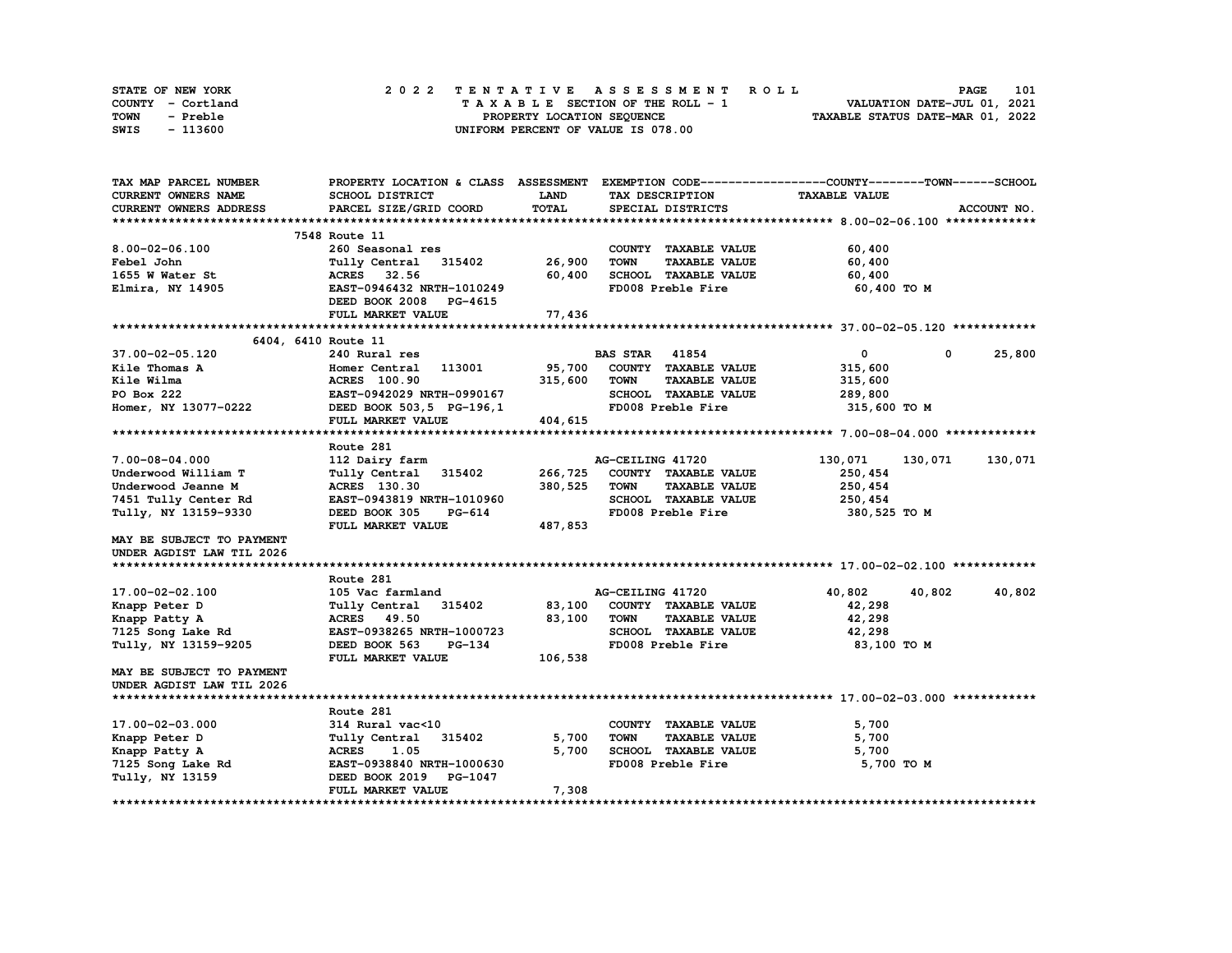| STATE OF NEW YORK | 2022 TENTATIVE ASSESSMENT ROLL     | 101<br><b>PAGE</b>               |
|-------------------|------------------------------------|----------------------------------|
| COUNTY - Cortland | TAXABLE SECTION OF THE ROLL - 1    | VALUATION DATE-JUL 01, 2021      |
| TOWN<br>- Preble  | PROPERTY LOCATION SEQUENCE         | TAXABLE STATUS DATE-MAR 01, 2022 |
| - 113600<br>SWIS  | UNIFORM PERCENT OF VALUE IS 078.00 |                                  |

| TAX MAP PARCEL NUMBER     |                                  |         |                                     | PROPERTY LOCATION & CLASS ASSESSMENT EXEMPTION CODE----------------COUNTY-------TOWN------SCHOOL |             |
|---------------------------|----------------------------------|---------|-------------------------------------|--------------------------------------------------------------------------------------------------|-------------|
| CURRENT OWNERS NAME       | SCHOOL DISTRICT                  | LAND    | TAX DESCRIPTION                     | <b>TAXABLE VALUE</b>                                                                             |             |
| CURRENT OWNERS ADDRESS    | PARCEL SIZE/GRID COORD           | TOTAL   | SPECIAL DISTRICTS                   |                                                                                                  | ACCOUNT NO. |
|                           |                                  |         |                                     |                                                                                                  |             |
|                           | 7548 Route 11                    |         |                                     |                                                                                                  |             |
| 8.00-02-06.100            | 260 Seasonal res                 |         | COUNTY TAXABLE VALUE                | 60,400                                                                                           |             |
| Febel John                | Tully Central 315402             | 26,900  | <b>TOWN</b><br><b>TAXABLE VALUE</b> | 60,400                                                                                           |             |
| 1655 W Water St           | ACRES 32.56                      | 60,400  | SCHOOL TAXABLE VALUE                | 60,400                                                                                           |             |
| Elmira, NY 14905          | EAST-0946432 NRTH-1010249        |         | FD008 Preble Fire                   | 60,400 TO M                                                                                      |             |
|                           | DEED BOOK 2008 PG-4615           |         |                                     |                                                                                                  |             |
|                           | FULL MARKET VALUE                | 77,436  |                                     |                                                                                                  |             |
|                           |                                  |         |                                     |                                                                                                  |             |
| 6404, 6410 Route 11       |                                  |         |                                     |                                                                                                  |             |
| 37.00-02-05.120           | 240 Rural res                    |         | <b>BAS STAR 41854</b>               | $\mathbf{0}$<br>$\mathbf 0$                                                                      | 25,800      |
| Kile Thomas A             | Homer Central 113001             | 95,700  | COUNTY TAXABLE VALUE                | 315,600                                                                                          |             |
| Kile Wilma                | <b>ACRES</b> 100.90              | 315,600 | <b>TOWN</b><br><b>TAXABLE VALUE</b> | 315,600                                                                                          |             |
| PO Box 222                | EAST-0942029 NRTH-0990167        |         | SCHOOL TAXABLE VALUE                | 289,800                                                                                          |             |
| Homer, NY 13077-0222      | DEED BOOK 503,5 PG-196,1         |         | FD008 Preble Fire                   | 315,600 TO M                                                                                     |             |
|                           | FULL MARKET VALUE                | 404,615 |                                     |                                                                                                  |             |
|                           |                                  |         |                                     |                                                                                                  |             |
|                           | Route 281                        |         |                                     |                                                                                                  |             |
|                           |                                  |         |                                     |                                                                                                  |             |
| $7.00 - 08 - 04.000$      | 112 Dairy farm                   |         | AG-CEILING 41720                    | 130,071<br>130,071                                                                               | 130,071     |
| Underwood William T       | Tully Central 315402 266,725     |         | COUNTY TAXABLE VALUE                | 250,454                                                                                          |             |
| Underwood Jeanne M        | ACRES 130.30                     | 380,525 | <b>TOWN</b><br><b>TAXABLE VALUE</b> | 250,454                                                                                          |             |
| 7451 Tully Center Rd      | EAST-0943819 NRTH-1010960        |         | SCHOOL TAXABLE VALUE                | 250,454                                                                                          |             |
| Tully, NY 13159-9330      | DEED BOOK 305<br>PG-614          |         | FD008 Preble Fire                   | 380,525 TO M                                                                                     |             |
|                           | FULL MARKET VALUE                | 487,853 |                                     |                                                                                                  |             |
| MAY BE SUBJECT TO PAYMENT |                                  |         |                                     |                                                                                                  |             |
| UNDER AGDIST LAW TIL 2026 |                                  |         |                                     |                                                                                                  |             |
|                           |                                  |         |                                     |                                                                                                  |             |
|                           | Route 281                        |         |                                     |                                                                                                  |             |
| 17.00-02-02.100           | 105 Vac farmland                 |         | AG-CEILING 41720                    | 40,802<br>40,802                                                                                 | 40,802      |
| Knapp Peter D             | Tully Central 315402             | 83,100  | COUNTY TAXABLE VALUE                | 42,298                                                                                           |             |
| Knapp Patty A             | ACRES 49.50                      | 83,100  | <b>TOWN</b><br><b>TAXABLE VALUE</b> | 42,298                                                                                           |             |
| 7125 Song Lake Rd         | EAST-0938265 NRTH-1000723        |         | SCHOOL TAXABLE VALUE                | 42,298                                                                                           |             |
| Tully, NY 13159-9205      | DEED BOOK 563<br><b>PG-134</b>   |         | FD008 Preble Fire                   | 83,100 то м                                                                                      |             |
|                           | FULL MARKET VALUE                | 106,538 |                                     |                                                                                                  |             |
| MAY BE SUBJECT TO PAYMENT |                                  |         |                                     |                                                                                                  |             |
| UNDER AGDIST LAW TIL 2026 |                                  |         |                                     |                                                                                                  |             |
|                           |                                  |         |                                     |                                                                                                  |             |
|                           | Route 281                        |         |                                     |                                                                                                  |             |
| 17.00-02-03.000           | 314 Rural vac<10                 |         | COUNTY TAXABLE VALUE                | 5,700                                                                                            |             |
| Knapp Peter D             | Tully Central<br>315402          | 5,700   | <b>TOWN</b><br><b>TAXABLE VALUE</b> | 5,700                                                                                            |             |
| Knapp Patty A             | ACRES 1.05                       | 5,700   | SCHOOL TAXABLE VALUE                | 5,700                                                                                            |             |
| 7125 Song Lake Rd         | EAST-0938840 NRTH-1000630        |         | FD008 Preble Fire                   | 5,700 TO M                                                                                       |             |
| Tully, NY 13159           | DEED BOOK 2019<br><b>PG-1047</b> |         |                                     |                                                                                                  |             |
|                           | FULL MARKET VALUE                | 7,308   |                                     |                                                                                                  |             |
|                           |                                  |         |                                     |                                                                                                  |             |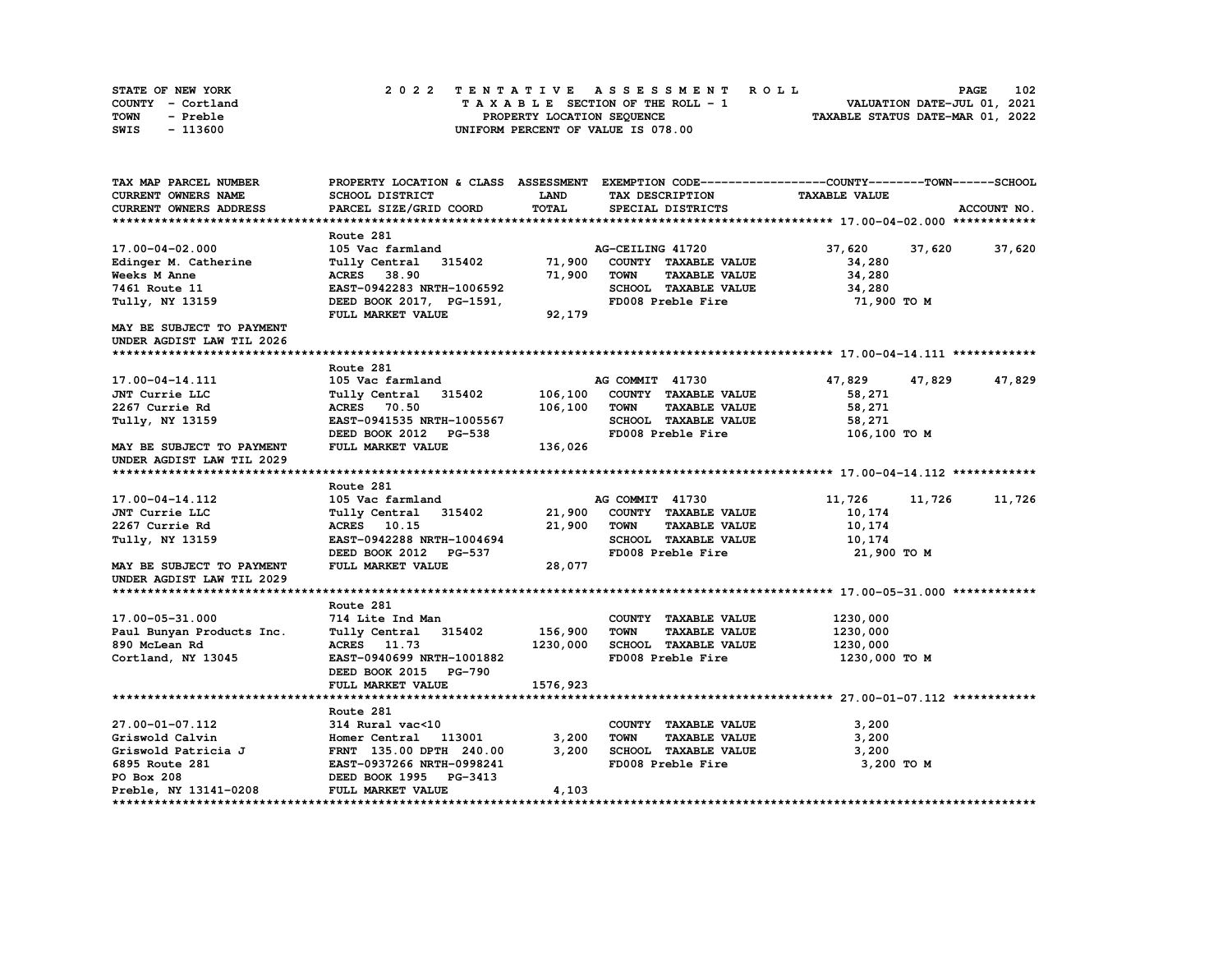| STATE OF NEW YORK | 2022 TENTATIVE ASSESSMENT ROLL     | 102<br><b>PAGE</b>               |
|-------------------|------------------------------------|----------------------------------|
| COUNTY - Cortland | TAXABLE SECTION OF THE ROLL - 1    | VALUATION DATE-JUL 01, 2021      |
| TOWN<br>- Preble  | PROPERTY LOCATION SEQUENCE         | TAXABLE STATUS DATE-MAR 01, 2022 |
| - 113600<br>SWIS  | UNIFORM PERCENT OF VALUE IS 078.00 |                                  |

| TAX MAP PARCEL NUMBER                                                                                                                                                                      | PROPERTY LOCATION & CLASS ASSESSMENT EXEMPTION CODE----------------COUNTY-------TOWN------SCHOOL |          |                                     |                      |                  |
|--------------------------------------------------------------------------------------------------------------------------------------------------------------------------------------------|--------------------------------------------------------------------------------------------------|----------|-------------------------------------|----------------------|------------------|
| CURRENT OWNERS NAME                                                                                                                                                                        | SCHOOL DISTRICT                                                                                  | LAND     | TAX DESCRIPTION                     | <b>TAXABLE VALUE</b> |                  |
| <b>CURRENT OWNERS ADDRESS</b>                                                                                                                                                              | PARCEL SIZE/GRID COORD                                                                           | TOTAL    | SPECIAL DISTRICTS                   |                      | ACCOUNT NO.      |
|                                                                                                                                                                                            |                                                                                                  |          |                                     |                      |                  |
|                                                                                                                                                                                            | Route 281                                                                                        |          |                                     |                      |                  |
| 17.00-04-02.000                                                                                                                                                                            | 105 Vac farmland                                                                                 |          | AG-CEILING 41720                    | 37,620               | 37,620 37,620    |
| Edinger M. Catherine                                                                                                                                                                       | Tully Central 315402 71,900                                                                      |          | COUNTY TAXABLE VALUE                | 34,280               |                  |
| Weeks M Anne                                                                                                                                                                               | <b>ACRES</b> 38.90                                                                               | 71,900   | <b>TOWN</b><br><b>TAXABLE VALUE</b> | 34,280               |                  |
| 7461 Route 11                                                                                                                                                                              | EAST-0942283 NRTH-1006592                                                                        |          | SCHOOL TAXABLE VALUE                | 34,280               |                  |
| Tully, NY 13159                                                                                                                                                                            | DEED BOOK 2017, PG-1591,                                                                         |          | FD008 Preble Fire                   | 71,900 TO M          |                  |
|                                                                                                                                                                                            | FULL MARKET VALUE                                                                                | 92,179   |                                     |                      |                  |
| MAY BE SUBJECT TO PAYMENT                                                                                                                                                                  |                                                                                                  |          |                                     |                      |                  |
| UNDER AGDIST LAW TIL 2026                                                                                                                                                                  |                                                                                                  |          |                                     |                      |                  |
|                                                                                                                                                                                            |                                                                                                  |          |                                     |                      |                  |
|                                                                                                                                                                                            | Route 281                                                                                        |          |                                     |                      |                  |
| 17.00-04-14.111                                                                                                                                                                            | 105 Vac farmland                                                                                 |          | AG COMMIT 41730                     | 47,829               | 47,829<br>47,829 |
| JNT Currie LLC                                                                                                                                                                             | Tully Central 315402 106,100 COUNTY TAXABLE VALUE                                                |          |                                     | 58,271               |                  |
| 2267 Currie Rd                                                                                                                                                                             | <b>ACRES</b> 70.50                                                                               | 106,100  | TOWN<br><b>TAXABLE VALUE</b>        | 58,271               |                  |
|                                                                                                                                                                                            | EAST-0941535 NRTH-1005567                                                                        |          | SCHOOL TAXABLE VALUE                |                      |                  |
| Tully, NY 13159                                                                                                                                                                            |                                                                                                  |          |                                     | 58,271               |                  |
|                                                                                                                                                                                            | DEED BOOK 2012 PG-538                                                                            |          | FD008 Preble Fire                   | 106,100 TO M         |                  |
| MAY BE SUBJECT TO PAYMENT                                                                                                                                                                  | FULL MARKET VALUE                                                                                | 136,026  |                                     |                      |                  |
| UNDER AGDIST LAW TIL 2029                                                                                                                                                                  |                                                                                                  |          |                                     |                      |                  |
|                                                                                                                                                                                            |                                                                                                  |          |                                     |                      |                  |
|                                                                                                                                                                                            | Route 281                                                                                        |          |                                     |                      |                  |
| 17.00-04-14.112                                                                                                                                                                            | 105 Vac farmland                                                                                 |          | AG COMMIT 41730                     | 11,726               | 11,726<br>11,726 |
| JNT Currie LLC                                                                                                                                                                             | Tully Central 315402                                                                             |          | 21,900 COUNTY TAXABLE VALUE         | 10,174               |                  |
| 2267 Currie Rd                                                                                                                                                                             | ACRES 10.15                                                                                      | 21,900   | <b>TOWN</b><br><b>TAXABLE VALUE</b> | 10,174               |                  |
| Tully, NY 13159                                                                                                                                                                            | EAST-0942288 NRTH-1004694                                                                        |          | SCHOOL TAXABLE VALUE                | 10,174               |                  |
|                                                                                                                                                                                            | DEED BOOK 2012 PG-537                                                                            |          | FD008 Preble Fire                   | 21,900 TO M          |                  |
| MAY BE SUBJECT TO PAYMENT                                                                                                                                                                  | FULL MARKET VALUE                                                                                | 28,077   |                                     |                      |                  |
| UNDER AGDIST LAW TIL 2029                                                                                                                                                                  |                                                                                                  |          |                                     |                      |                  |
|                                                                                                                                                                                            |                                                                                                  |          |                                     |                      |                  |
|                                                                                                                                                                                            | Route 281                                                                                        |          |                                     |                      |                  |
| 17.00-05-31.000                                                                                                                                                                            | 714 Lite Ind Man                                                                                 |          | COUNTY TAXABLE VALUE                | 1230,000             |                  |
| Paul Bunyan Products Inc.                                                                                                                                                                  | Tully Central 315402 156,900                                                                     |          | <b>TOWN</b><br><b>TAXABLE VALUE</b> | 1230,000             |                  |
| 890 McLean Rd                                                                                                                                                                              | ACRES 11.73                                                                                      | 1230,000 | SCHOOL TAXABLE VALUE                | 1230,000             |                  |
| Cortland, NY 13045                                                                                                                                                                         | EAST-0940699 NRTH-1001882                                                                        |          | FD008 Preble Fire                   | 1230,000 TO M        |                  |
|                                                                                                                                                                                            | DEED BOOK 2015 PG-790                                                                            |          |                                     |                      |                  |
|                                                                                                                                                                                            | FULL MARKET VALUE                                                                                | 1576,923 |                                     |                      |                  |
|                                                                                                                                                                                            |                                                                                                  |          |                                     |                      |                  |
|                                                                                                                                                                                            | Route 281                                                                                        |          |                                     |                      |                  |
| 27.00-01-07.112                                                                                                                                                                            | 314 Rural vac<10                                                                                 |          | COUNTY TAXABLE VALUE                | 3,200                |                  |
| Griswold Calvin                                                                                                                                                                            | Homer Central 113001                                                                             | 3,200    | <b>TOWN</b><br><b>TAXABLE VALUE</b> | 3,200                |                  |
|                                                                                                                                                                                            |                                                                                                  | 3,200    | SCHOOL TAXABLE VALUE                | 3,200                |                  |
|                                                                                                                                                                                            |                                                                                                  |          | FD008 Preble Fire                   | 3,200 TO M           |                  |
| Criswold Patricia J<br>Griswold Patricia J<br>6895 Route 281<br>PO Box 208<br>PO Box 208<br>PO Box 208<br>PO Box 208<br>PO BOX 208<br>PO BOX 208<br>PO BOX 208<br>PO BOX 208<br>PO BOX 208 |                                                                                                  |          |                                     |                      |                  |
| Preble, NY 13141-0208                                                                                                                                                                      | FULL MARKET VALUE                                                                                | 4,103    |                                     |                      |                  |
|                                                                                                                                                                                            |                                                                                                  |          |                                     |                      |                  |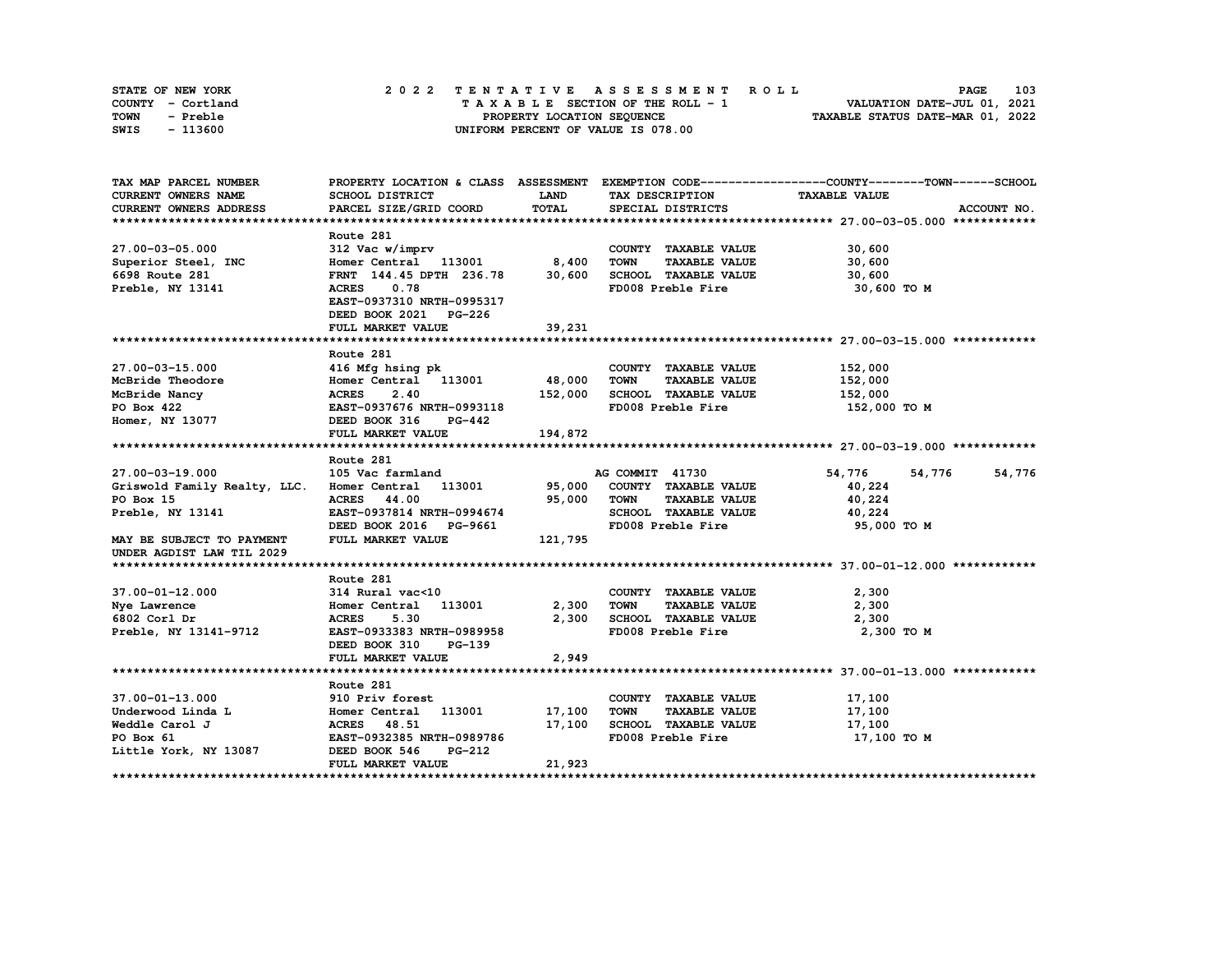| STATE OF NEW YORK | 2022 TENTATIVE ASSESSMENT ROLL     | 103<br><b>PAGE</b>               |
|-------------------|------------------------------------|----------------------------------|
| COUNTY - Cortland | TAXABLE SECTION OF THE ROLL - 1    | VALUATION DATE-JUL 01, 2021      |
| TOWN<br>- Preble  | PROPERTY LOCATION SEQUENCE         | TAXABLE STATUS DATE-MAR 01, 2022 |
| - 113600<br>SWIS  | UNIFORM PERCENT OF VALUE IS 078.00 |                                  |

| TAX MAP PARCEL NUMBER                                                                                                                                                                                                                                                                                                                                                                               |                                                                                                                                          |             |                                           | PROPERTY LOCATION & CLASS ASSESSMENT EXEMPTION CODE----------------COUNTY-------TOWN------SCHOOL |
|-----------------------------------------------------------------------------------------------------------------------------------------------------------------------------------------------------------------------------------------------------------------------------------------------------------------------------------------------------------------------------------------------------|------------------------------------------------------------------------------------------------------------------------------------------|-------------|-------------------------------------------|--------------------------------------------------------------------------------------------------|
| CURRENT OWNERS NAME                                                                                                                                                                                                                                                                                                                                                                                 | SCHOOL DISTRICT                                                                                                                          | <b>LAND</b> | TAX DESCRIPTION                           | <b>TAXABLE VALUE</b>                                                                             |
| CURRENT OWNERS ADDRESS                                                                                                                                                                                                                                                                                                                                                                              | PARCEL SIZE/GRID COORD                                                                                                                   | TOTAL       | SPECIAL DISTRICTS                         | ACCOUNT NO.                                                                                      |
|                                                                                                                                                                                                                                                                                                                                                                                                     |                                                                                                                                          |             |                                           |                                                                                                  |
|                                                                                                                                                                                                                                                                                                                                                                                                     | Route 281                                                                                                                                |             |                                           |                                                                                                  |
| 27.00-03-05.000                                                                                                                                                                                                                                                                                                                                                                                     | 312 Vac w/imprv                                                                                                                          |             | COUNTY TAXABLE VALUE                      | 30,600                                                                                           |
| Superior Steel, INC                                                                                                                                                                                                                                                                                                                                                                                 | $\frac{1}{2}$ Homer Central 113001 8,400                                                                                                 |             | TOWN<br><b>TAXABLE VALUE</b>              | 30,600                                                                                           |
| 6698 Route 281                                                                                                                                                                                                                                                                                                                                                                                      | FRNT 144.45 DPTH 236.78 30,600 SCHOOL TAXABLE VALUE 30,600                                                                               |             |                                           |                                                                                                  |
| Preble, NY 13141                                                                                                                                                                                                                                                                                                                                                                                    | ACRES 0.78                                                                                                                               |             | FD008 Preble Fire                         | 30,600 то м                                                                                      |
|                                                                                                                                                                                                                                                                                                                                                                                                     | EAST-0937310 NRTH-0995317                                                                                                                |             |                                           |                                                                                                  |
|                                                                                                                                                                                                                                                                                                                                                                                                     | DEED BOOK 2021 PG-226                                                                                                                    |             |                                           |                                                                                                  |
|                                                                                                                                                                                                                                                                                                                                                                                                     | FULL MARKET VALUE                                                                                                                        | 39,231      |                                           |                                                                                                  |
|                                                                                                                                                                                                                                                                                                                                                                                                     |                                                                                                                                          |             |                                           |                                                                                                  |
|                                                                                                                                                                                                                                                                                                                                                                                                     | Route 281                                                                                                                                |             |                                           |                                                                                                  |
| 27.00-03-15.000                                                                                                                                                                                                                                                                                                                                                                                     | 416 Mfg hsing pk                                                                                                                         |             | COUNTY TAXABLE VALUE                      | 152,000                                                                                          |
| McBride Theodore                                                                                                                                                                                                                                                                                                                                                                                    |                                                                                                                                          |             | <b>TAXABLE VALUE</b><br>TOWN              | 152,000                                                                                          |
| McBride Nancy                                                                                                                                                                                                                                                                                                                                                                                       |                                                                                                                                          |             | SCHOOL TAXABLE VALUE                      | 152,000                                                                                          |
| PO Box 422                                                                                                                                                                                                                                                                                                                                                                                          | Homer Central 113001 48,000<br>Homer Central 113001 48,000<br>ACRES 2.40 152,000<br>EAST-0937676 NRTH-0993118                            |             | FD008 Preble Fire                         | 152,000 TO M                                                                                     |
| Homer, NY 13077                                                                                                                                                                                                                                                                                                                                                                                     | DEED BOOK 316<br>PG-442                                                                                                                  |             |                                           |                                                                                                  |
|                                                                                                                                                                                                                                                                                                                                                                                                     |                                                                                                                                          |             |                                           |                                                                                                  |
|                                                                                                                                                                                                                                                                                                                                                                                                     | FULL MARKET VALUE                                                                                                                        | 194,872     |                                           |                                                                                                  |
|                                                                                                                                                                                                                                                                                                                                                                                                     | Route 281                                                                                                                                |             |                                           |                                                                                                  |
| 27.00-03-19.000                                                                                                                                                                                                                                                                                                                                                                                     | 105 Vac farmland                                                                                                                         |             | AG COMMIT 41730                           | 54,776<br>54,776 54,776                                                                          |
| Griswold Family Realty, LLC. Homer Central 113001 95,000 COUNTY TAXABLE VALUE                                                                                                                                                                                                                                                                                                                       |                                                                                                                                          |             |                                           | 40,224                                                                                           |
| PO Box 15                                                                                                                                                                                                                                                                                                                                                                                           |                                                                                                                                          |             | TAXABLE VALUE                             |                                                                                                  |
| Preble, NY 13141                                                                                                                                                                                                                                                                                                                                                                                    | $\begin{tabular}{llll} \texttt{ACRES} & 44.00 & 95,000 & TOWN \\ \texttt{EAST-0937814 NRTH-0994674} & & & \texttt{SCHOOL} \end{tabular}$ |             | SCHOOL TAXABLE VALUE                      | 40,224<br>40,224                                                                                 |
|                                                                                                                                                                                                                                                                                                                                                                                                     |                                                                                                                                          |             | FD008 Preble Fire 95,000 TO M             |                                                                                                  |
|                                                                                                                                                                                                                                                                                                                                                                                                     | DEED BOOK 2016 PG-9661<br>FULL MARKET VALUE PG-9661                                                                                      |             |                                           |                                                                                                  |
| MAY BE SUBJECT TO PAYMENT<br>UNDER AGDIST LAW TIL 2029                                                                                                                                                                                                                                                                                                                                              |                                                                                                                                          |             |                                           |                                                                                                  |
|                                                                                                                                                                                                                                                                                                                                                                                                     |                                                                                                                                          |             |                                           |                                                                                                  |
|                                                                                                                                                                                                                                                                                                                                                                                                     | Route 281                                                                                                                                |             |                                           |                                                                                                  |
| 37.00-01-12.000                                                                                                                                                                                                                                                                                                                                                                                     | 314 Rural vac<10                                                                                                                         |             | COUNTY TAXABLE VALUE                      | 2,300                                                                                            |
| Nye Lawrence                                                                                                                                                                                                                                                                                                                                                                                        | Homer Central 113001 2,300                                                                                                               |             | <b>TOWN</b><br><b>TAXABLE VALUE</b>       | 2,300                                                                                            |
| 6802 Corl Dr                                                                                                                                                                                                                                                                                                                                                                                        | <b>ACRES</b><br>5.30                                                                                                                     | 2,300       |                                           | 2,300                                                                                            |
| Preble, NY 13141-9712                                                                                                                                                                                                                                                                                                                                                                               | EAST-0933383 NRTH-0989958                                                                                                                |             | SCHOOL TAXABLE VALUE<br>FD008 Preble Fire | 2,300 TO M                                                                                       |
|                                                                                                                                                                                                                                                                                                                                                                                                     | DEED BOOK 310<br>PG-139                                                                                                                  |             |                                           |                                                                                                  |
|                                                                                                                                                                                                                                                                                                                                                                                                     | FULL MARKET VALUE                                                                                                                        | 2,949       |                                           |                                                                                                  |
|                                                                                                                                                                                                                                                                                                                                                                                                     |                                                                                                                                          |             |                                           |                                                                                                  |
|                                                                                                                                                                                                                                                                                                                                                                                                     | Route 281                                                                                                                                |             |                                           |                                                                                                  |
| 37.00-01-13.000                                                                                                                                                                                                                                                                                                                                                                                     | 910 Priv forest                                                                                                                          |             | COUNTY TAXABLE VALUE                      | 17,100                                                                                           |
| Underwood Linda L<br>$\begin{array}{ccccccccc}\n\text{Homer Central} & 113001 & & & 17,100 \\ \text{Momentum} & \text{Homentum} & \text{Homentum} & \text{Homentum} & \text{Homentum} & \text{Homentum} & \text{Homentum} & \text{Homentum} & \text{Homentum} & \text{Homentum} & \text{Homentum} & \text{Homentum} & \text{Homentum} & \text{Homentum} & \text{Homentum} & \text{H}}\n\end{array}$ |                                                                                                                                          |             | <b>TOWN</b><br><b>TAXABLE VALUE</b>       | 17,100                                                                                           |
| Weddle Carol J                                                                                                                                                                                                                                                                                                                                                                                      |                                                                                                                                          |             |                                           |                                                                                                  |
| PO Box 61                                                                                                                                                                                                                                                                                                                                                                                           |                                                                                                                                          |             |                                           | 17,100 TO M                                                                                      |
| Little York, NY 13087 DEED BOOK 546                                                                                                                                                                                                                                                                                                                                                                 | <b>PG-212</b>                                                                                                                            |             |                                           |                                                                                                  |
|                                                                                                                                                                                                                                                                                                                                                                                                     | FULL MARKET VALUE                                                                                                                        | 21,923      |                                           |                                                                                                  |
|                                                                                                                                                                                                                                                                                                                                                                                                     |                                                                                                                                          |             |                                           |                                                                                                  |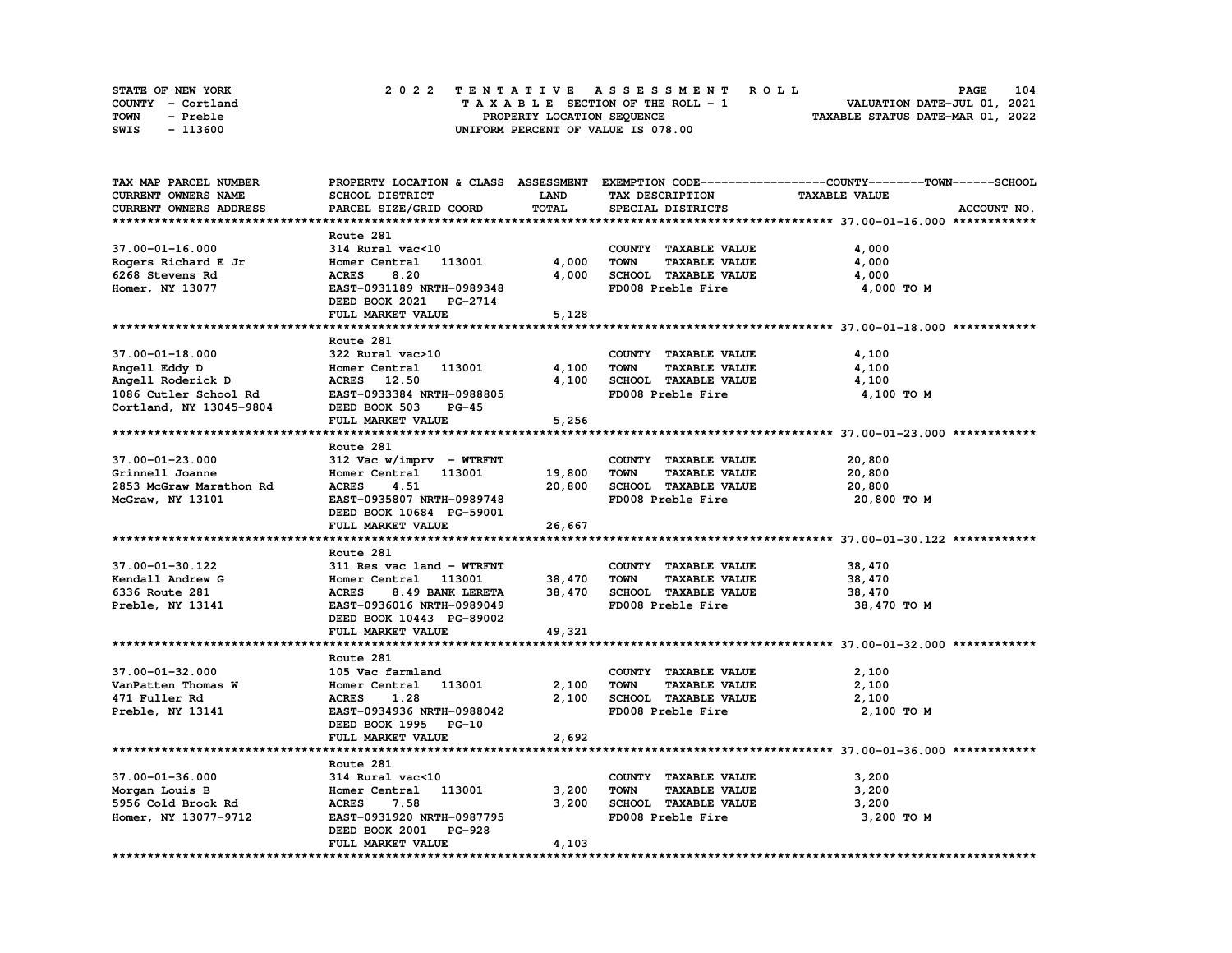| STATE OF NEW YORK | 2022 TENTATIVE ASSESSMENT ROLL     | 104<br><b>PAGE</b>               |
|-------------------|------------------------------------|----------------------------------|
| COUNTY - Cortland | TAXABLE SECTION OF THE ROLL - 1    | VALUATION DATE-JUL 01, 2021      |
| TOWN<br>- Preble  | PROPERTY LOCATION SEQUENCE         | TAXABLE STATUS DATE-MAR 01, 2022 |
| - 113600<br>SWIS  | UNIFORM PERCENT OF VALUE IS 078.00 |                                  |

| TAX MAP PARCEL NUMBER   |                                  |             |                                     | PROPERTY LOCATION & CLASS ASSESSMENT EXEMPTION CODE-----------------COUNTY-------TOWN-----SCHOOL |
|-------------------------|----------------------------------|-------------|-------------------------------------|--------------------------------------------------------------------------------------------------|
| CURRENT OWNERS NAME     | SCHOOL DISTRICT                  | <b>LAND</b> | TAX DESCRIPTION                     | <b>TAXABLE VALUE</b>                                                                             |
| CURRENT OWNERS ADDRESS  | PARCEL SIZE/GRID COORD           | TOTAL       | SPECIAL DISTRICTS                   | ACCOUNT NO.                                                                                      |
|                         |                                  |             |                                     |                                                                                                  |
|                         |                                  |             |                                     |                                                                                                  |
|                         | Route 281                        |             |                                     |                                                                                                  |
| 37.00-01-16.000         | 314 Rural vac<10                 |             | COUNTY TAXABLE VALUE                | 4,000                                                                                            |
| Rogers Richard E Jr     | Homer Central 113001             | 4,000       | <b>TOWN</b><br><b>TAXABLE VALUE</b> | 4,000                                                                                            |
| 6268 Stevens Rd         | <b>ACRES</b><br>8.20             | 4,000       | SCHOOL TAXABLE VALUE                | 4,000                                                                                            |
| Homer, NY 13077         | EAST-0931189 NRTH-0989348        |             | FD008 Preble Fire                   | 4,000 TO M                                                                                       |
|                         | DEED BOOK 2021 PG-2714           |             |                                     |                                                                                                  |
|                         | FULL MARKET VALUE                | 5,128       |                                     |                                                                                                  |
|                         |                                  |             |                                     |                                                                                                  |
|                         | Route 281                        |             |                                     |                                                                                                  |
| 37.00-01-18.000         | 322 Rural vac>10                 |             | COUNTY TAXABLE VALUE                | 4,100                                                                                            |
|                         |                                  |             |                                     |                                                                                                  |
| Angell Eddy D           | Homer Central 113001             | 4,100       | <b>TOWN</b><br><b>TAXABLE VALUE</b> | 4,100                                                                                            |
| Angell Roderick D       | ACRES 12.50                      | 4,100       | SCHOOL TAXABLE VALUE                | 4,100                                                                                            |
| 1086 Cutler School Rd   | EAST-0933384 NRTH-0988805        |             | FD008 Preble Fire                   | 4,100 TO M                                                                                       |
| Cortland, NY 13045-9804 | DEED BOOK 503<br><b>PG-45</b>    |             |                                     |                                                                                                  |
|                         | FULL MARKET VALUE                | 5,256       |                                     |                                                                                                  |
|                         |                                  |             |                                     |                                                                                                  |
|                         | Route 281                        |             |                                     |                                                                                                  |
| $37.00 - 01 - 23.000$   | 312 Vac $w/imprv$ - WTRFNT       |             | COUNTY TAXABLE VALUE                | 20,800                                                                                           |
| Grinnell Joanne         | Homer Central 113001             | 19,800      | <b>TOWN</b><br><b>TAXABLE VALUE</b> | 20,800                                                                                           |
|                         |                                  |             |                                     |                                                                                                  |
| 2853 McGraw Marathon Rd | <b>ACRES</b><br>4.51             | 20,800      | SCHOOL TAXABLE VALUE                | 20,800                                                                                           |
| McGraw, NY 13101        | EAST-0935807 NRTH-0989748        |             | FD008 Preble Fire                   | 20,800 TO M                                                                                      |
|                         | DEED BOOK 10684 PG-59001         |             |                                     |                                                                                                  |
|                         | FULL MARKET VALUE                | 26,667      |                                     |                                                                                                  |
|                         |                                  |             |                                     |                                                                                                  |
|                         | Route 281                        |             |                                     |                                                                                                  |
| 37.00-01-30.122         | 311 Res vac land - WTRFNT        |             | COUNTY TAXABLE VALUE                | 38,470                                                                                           |
| Kendall Andrew G        | Homer Central 113001             | 38,470      | TOWN<br><b>TAXABLE VALUE</b>        | 38,470                                                                                           |
| 6336 Route 281          | <b>ACRES</b><br>8.49 BANK LERETA | 38,470      | SCHOOL TAXABLE VALUE                | 38,470                                                                                           |
| Preble, NY 13141        | EAST-0936016 NRTH-0989049        |             | FD008 Preble Fire                   | 38,470 TO M                                                                                      |
|                         |                                  |             |                                     |                                                                                                  |
|                         | DEED BOOK 10443 PG-89002         |             |                                     |                                                                                                  |
|                         | FULL MARKET VALUE                | 49,321      |                                     |                                                                                                  |
|                         |                                  |             |                                     |                                                                                                  |
|                         | Route 281                        |             |                                     |                                                                                                  |
| $37.00 - 01 - 32.000$   | 105 Vac farmland                 |             | COUNTY TAXABLE VALUE                | 2,100                                                                                            |
| VanPatten Thomas W      | Homer Central 113001             | 2,100       | <b>TOWN</b><br><b>TAXABLE VALUE</b> | 2,100                                                                                            |
| 471 Fuller Rd           | <b>ACRES</b><br>1.28             | 2,100       | SCHOOL TAXABLE VALUE                | 2,100                                                                                            |
| Preble, NY 13141        | EAST-0934936 NRTH-0988042        |             | FD008 Preble Fire                   | 2,100 TO M                                                                                       |
|                         | DEED BOOK 1995 PG-10             |             |                                     |                                                                                                  |
|                         | FULL MARKET VALUE                | 2,692       |                                     |                                                                                                  |
|                         |                                  |             |                                     |                                                                                                  |
|                         | Route 281                        |             |                                     |                                                                                                  |
|                         |                                  |             |                                     |                                                                                                  |
| 37.00-01-36.000         | 314 Rural vac<10                 |             | COUNTY TAXABLE VALUE                | 3,200                                                                                            |
| Morgan Louis B          | Homer Central 113001             | 3,200       | <b>TOWN</b><br><b>TAXABLE VALUE</b> | 3,200                                                                                            |
| 5956 Cold Brook Rd      | <b>ACRES</b><br>7.58             | 3,200       | SCHOOL TAXABLE VALUE                | 3,200                                                                                            |
| Homer, NY 13077-9712    | EAST-0931920 NRTH-0987795        |             | FD008 Preble Fire                   | 3,200 TO M                                                                                       |
|                         | DEED BOOK 2001 PG-928            |             |                                     |                                                                                                  |
|                         | FULL MARKET VALUE                | 4,103       |                                     |                                                                                                  |
|                         |                                  |             |                                     |                                                                                                  |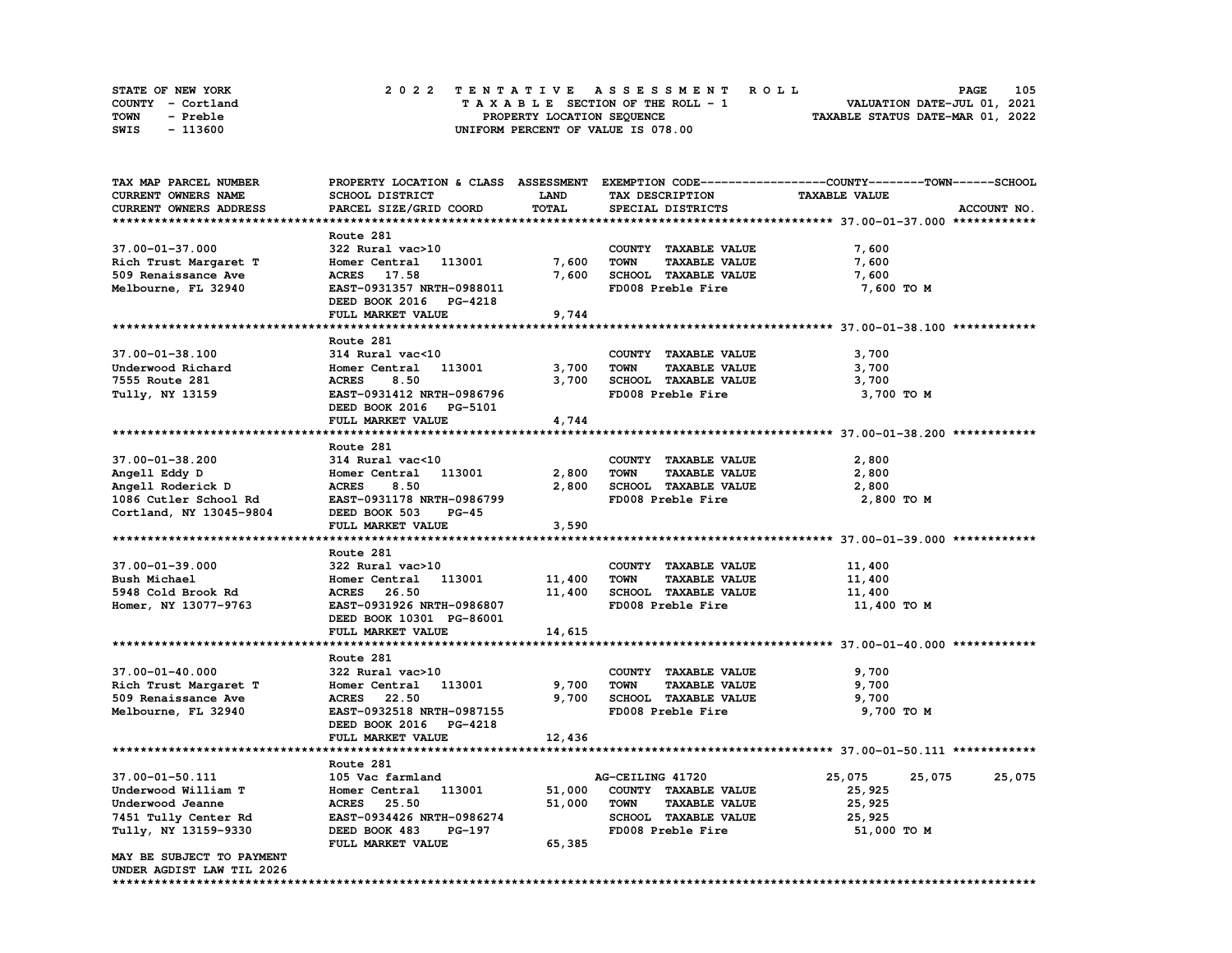| STATE OF NEW YORK | 2022 TENTATIVE ASSESSMENT ROLL     | 105<br><b>PAGE</b>               |
|-------------------|------------------------------------|----------------------------------|
| COUNTY - Cortland | TAXABLE SECTION OF THE ROLL - 1    | VALUATION DATE-JUL 01, 2021      |
| TOWN<br>- Preble  | PROPERTY LOCATION SEQUENCE         | TAXABLE STATUS DATE-MAR 01, 2022 |
| SWIS<br>- 113600  | UNIFORM PERCENT OF VALUE IS 078.00 |                                  |

| TAX MAP PARCEL NUMBER                               |                                |             |                                     | PROPERTY LOCATION & CLASS ASSESSMENT EXEMPTION CODE-----------------COUNTY-------TOWN------SCHOOL |
|-----------------------------------------------------|--------------------------------|-------------|-------------------------------------|---------------------------------------------------------------------------------------------------|
| CURRENT OWNERS NAME                                 | SCHOOL DISTRICT                | <b>LAND</b> | TAX DESCRIPTION                     | <b>TAXABLE VALUE</b>                                                                              |
| CURRENT OWNERS ADDRESS                              | PARCEL SIZE/GRID COORD         | TOTAL       | SPECIAL DISTRICTS                   | ACCOUNT NO.                                                                                       |
|                                                     |                                |             |                                     |                                                                                                   |
|                                                     | Route 281                      |             |                                     |                                                                                                   |
| 37.00-01-37.000                                     | 322 Rural vac>10               |             | COUNTY TAXABLE VALUE                | 7,600                                                                                             |
| Rich Trust Margaret T                               | Homer Central 113001           | 7,600       | <b>TAXABLE VALUE</b><br><b>TOWN</b> | 7,600                                                                                             |
| 509 Renaissance Ave                                 | ACRES 17.58                    | 7,600       | SCHOOL TAXABLE VALUE                | 7,600                                                                                             |
|                                                     |                                |             | FD008 Preble Fire                   |                                                                                                   |
| Melbourne, FL 32940                                 | EAST-0931357 NRTH-0988011      |             |                                     | 7,600 TO M                                                                                        |
|                                                     | DEED BOOK 2016 PG-4218         |             |                                     |                                                                                                   |
|                                                     | FULL MARKET VALUE              | 9,744       |                                     |                                                                                                   |
|                                                     |                                |             |                                     |                                                                                                   |
|                                                     | Route 281                      |             |                                     |                                                                                                   |
| 37.00-01-38.100                                     | 314 Rural vac<10               |             | COUNTY TAXABLE VALUE                | 3,700                                                                                             |
| Underwood Richard                                   | Homer Central 113001           | 3,700       | <b>TOWN</b><br><b>TAXABLE VALUE</b> | 3,700                                                                                             |
| 7555 Route 281                                      | <b>ACRES</b><br>8.50           | 3,700       | SCHOOL TAXABLE VALUE                | 3,700                                                                                             |
| Tully, NY 13159                                     | EAST-0931412 NRTH-0986796      |             | FD008 Preble Fire                   | 3,700 TO M                                                                                        |
|                                                     | DEED BOOK 2016 PG-5101         |             |                                     |                                                                                                   |
|                                                     | FULL MARKET VALUE              | 4,744       |                                     |                                                                                                   |
|                                                     |                                |             |                                     |                                                                                                   |
|                                                     | Route 281                      |             |                                     |                                                                                                   |
| 37.00-01-38.200                                     | 314 Rural vac<10               |             | COUNTY TAXABLE VALUE                | 2,800                                                                                             |
| Angell Eddy D                                       | Homer Central 113001           | 2,800       | <b>TOWN</b><br><b>TAXABLE VALUE</b> | 2,800                                                                                             |
| Angell Roderick D                                   | <b>ACRES</b><br>8.50           | 2,800       | SCHOOL TAXABLE VALUE                | 2,800                                                                                             |
| 1086 Cutler School Rd                               | EAST-0931178 NRTH-0986799      |             | FD008 Preble Fire                   | 2,800 TO M                                                                                        |
| Cortland, NY 13045-9804                             | DEED BOOK 503<br><b>PG-45</b>  |             |                                     |                                                                                                   |
|                                                     | FULL MARKET VALUE              | 3,590       |                                     |                                                                                                   |
|                                                     |                                |             |                                     |                                                                                                   |
|                                                     | Route 281                      |             |                                     |                                                                                                   |
| $37.00 - 01 - 39.000$                               | 322 Rural vac>10               |             | COUNTY TAXABLE VALUE                | 11,400                                                                                            |
| Bush Michael                                        | Homer Central 113001           | 11,400      | <b>TOWN</b><br><b>TAXABLE VALUE</b> | 11,400                                                                                            |
|                                                     | <b>ACRES</b> 26.50             | 11,400      | SCHOOL TAXABLE VALUE                |                                                                                                   |
| 5948 Cold Brook Rd                                  |                                |             |                                     | 11,400                                                                                            |
| Homer, NY 13077-9763                                | EAST-0931926 NRTH-0986807      |             | FD008 Preble Fire                   | 11,400 TO M                                                                                       |
|                                                     | DEED BOOK 10301 PG-86001       |             |                                     |                                                                                                   |
|                                                     | FULL MARKET VALUE              | 14,615      |                                     |                                                                                                   |
|                                                     |                                |             |                                     |                                                                                                   |
|                                                     | Route 281                      |             |                                     |                                                                                                   |
| $37.00 - 01 - 40.000$                               | 322 Rural vac>10               |             | COUNTY TAXABLE VALUE                | 9,700                                                                                             |
| Rich Trust Margaret T                               | Homer Central 113001           | 9,700       | <b>TAXABLE VALUE</b><br><b>TOWN</b> | 9,700                                                                                             |
| 509 Renaissance Ave                                 | <b>ACRES</b> 22.50             | 9,700       | SCHOOL TAXABLE VALUE                | 9,700                                                                                             |
| Melbourne, FL 32940                                 | EAST-0932518 NRTH-0987155      |             | FD008 Preble Fire                   | 9,700 TO M                                                                                        |
|                                                     | DEED BOOK 2016 PG-4218         |             |                                     |                                                                                                   |
|                                                     | FULL MARKET VALUE              | 12,436      |                                     |                                                                                                   |
|                                                     |                                |             |                                     |                                                                                                   |
|                                                     | Route 281                      |             |                                     |                                                                                                   |
| 37.00-01-50.111                                     | 105 Vac farmland               |             | AG-CEILING 41720                    | 25,075<br>25,075<br>25,075                                                                        |
| Underwood William T                                 | Homer Central 113001           | 51,000      | COUNTY TAXABLE VALUE                | 25,925                                                                                            |
| Underwood Jeanne                                    | <b>ACRES</b> 25.50             | 51,000      | <b>TOWN</b><br><b>TAXABLE VALUE</b> | 25,925                                                                                            |
| 7451 Tully Center Rd                                | EAST-0934426 NRTH-0986274      |             | SCHOOL TAXABLE VALUE                | 25,925                                                                                            |
| Tully, NY 13159-9330                                | DEED BOOK 483<br><b>PG-197</b> |             | FD008 Preble Fire                   | 51,000 TO M                                                                                       |
|                                                     | FULL MARKET VALUE              | 65,385      |                                     |                                                                                                   |
|                                                     |                                |             |                                     |                                                                                                   |
| MAY BE SUBJECT TO PAYMENT                           |                                |             |                                     |                                                                                                   |
| UNDER AGDIST LAW TIL 2026<br>********************** |                                |             |                                     |                                                                                                   |
|                                                     |                                |             |                                     |                                                                                                   |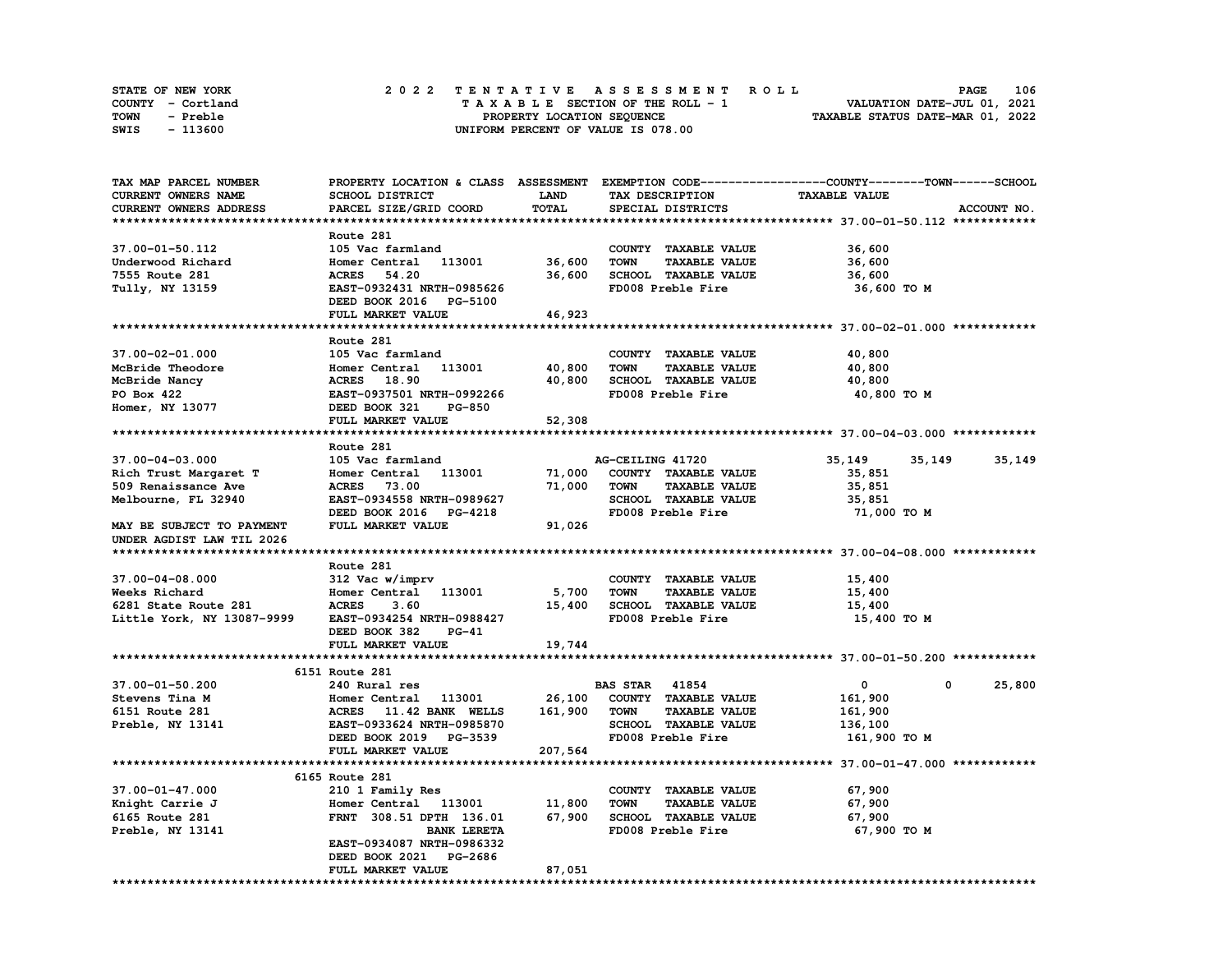| STATE OF NEW YORK | 2022 TENTATIVE ASSESSMENT ROLL     | 106<br><b>PAGE</b>               |
|-------------------|------------------------------------|----------------------------------|
| COUNTY - Cortland | TAXABLE SECTION OF THE ROLL - 1    | VALUATION DATE-JUL 01, 2021      |
| TOWN<br>- Preble  | PROPERTY LOCATION SEQUENCE         | TAXABLE STATUS DATE-MAR 01, 2022 |
| - 113600<br>SWIS  | UNIFORM PERCENT OF VALUE IS 078.00 |                                  |

| TAX MAP PARCEL NUMBER                 |                                                                                      |              | PROPERTY LOCATION & CLASS ASSESSMENT EXEMPTION CODE----------------COUNTY-------TOWN-----SCHOOL |                      |                        |
|---------------------------------------|--------------------------------------------------------------------------------------|--------------|-------------------------------------------------------------------------------------------------|----------------------|------------------------|
| CURRENT OWNERS NAME                   | SCHOOL DISTRICT                                                                      | <b>LAND</b>  | TAX DESCRIPTION                                                                                 | <b>TAXABLE VALUE</b> |                        |
| CURRENT OWNERS ADDRESS                | PARCEL SIZE/GRID COORD                                                               | TOTAL        | SPECIAL DISTRICTS                                                                               |                      | ACCOUNT NO.            |
|                                       |                                                                                      |              |                                                                                                 |                      |                        |
|                                       | Route 281                                                                            |              |                                                                                                 |                      |                        |
| 37.00-01-50.112                       | 105 Vac farmland                                                                     |              | COUNTY TAXABLE VALUE                                                                            | 36,600               |                        |
| Underwood Richard                     | Homer Central 113001                                                                 | 36,600       | <b>TOWN</b><br><b>TAXABLE VALUE</b>                                                             | 36,600               |                        |
| 7555 Route 281                        | <b>ACRES</b> 54.20                                                                   | 36,600       | SCHOOL TAXABLE VALUE                                                                            | 36,600               |                        |
| Tully, NY 13159                       | EAST-0932431 NRTH-0985626                                                            |              | FD008 Preble Fire                                                                               | 36,600 TO M          |                        |
|                                       | DEED BOOK 2016 PG-5100                                                               |              |                                                                                                 |                      |                        |
|                                       | FULL MARKET VALUE                                                                    | 46,923       |                                                                                                 |                      |                        |
|                                       |                                                                                      |              |                                                                                                 |                      |                        |
|                                       | Route 281                                                                            |              |                                                                                                 |                      |                        |
| 37.00-02-01.000                       | 105 Vac farmland                                                                     |              | COUNTY TAXABLE VALUE                                                                            | 40,800               |                        |
| McBride Theodore                      | Homer Central 113001                                                                 | 40,800       | <b>TOWN</b><br><b>TAXABLE VALUE</b>                                                             | 40,800               |                        |
| McBride Nancy                         | <b>ACRES</b> 18.90                                                                   | 40,800       | SCHOOL TAXABLE VALUE                                                                            | 40,800               |                        |
| PO Box 422                            | EAST-0937501 NRTH-0992266                                                            |              | FD008 Preble Fire                                                                               | 40,800 TO M          |                        |
| Homer, NY 13077                       | DEED BOOK 321<br>PG-850                                                              |              |                                                                                                 |                      |                        |
|                                       |                                                                                      |              |                                                                                                 |                      |                        |
|                                       | FULL MARKET VALUE                                                                    | 52,308       |                                                                                                 |                      |                        |
|                                       | Route 281                                                                            |              |                                                                                                 |                      |                        |
|                                       |                                                                                      |              |                                                                                                 |                      |                        |
| 37.00-04-03.000                       | 105 Vac farmland                                                                     |              | AG-CEILING 41720                                                                                | 35,149               | 35,149<br>35,149       |
| Rich Trust Margaret T                 | Homer Central 113001 71,000                                                          |              | COUNTY TAXABLE VALUE                                                                            | 35,851               |                        |
| 509 Renaissance Ave                   | <b>ACRES</b> 73.00                                                                   | 71,000       | <b>TOWN</b><br><b>TAXABLE VALUE</b>                                                             | 35,851               |                        |
| Melbourne, FL 32940                   | EAST-0934558 NRTH-0989627                                                            |              | SCHOOL TAXABLE VALUE                                                                            | 35,851               |                        |
|                                       | DEED BOOK 2016 PG-4218                                                               |              | FD008 Preble Fire                                                                               | 71,000 TO M          |                        |
| MAY BE SUBJECT TO PAYMENT             | FULL MARKET VALUE                                                                    | 91,026       |                                                                                                 |                      |                        |
| UNDER AGDIST LAW TIL 2026             |                                                                                      |              |                                                                                                 |                      |                        |
|                                       |                                                                                      |              |                                                                                                 |                      |                        |
|                                       | Route 281                                                                            |              |                                                                                                 |                      |                        |
| 37.00-04-08.000                       | 312 Vac w/imprv                                                                      |              | COUNTY TAXABLE VALUE                                                                            | 15,400               |                        |
| Weeks Richard<br>6281 State Route 281 | Homer Central 113001                                                                 | 5,700        | <b>TOWN</b><br><b>TAXABLE VALUE</b>                                                             | 15,400               |                        |
|                                       | <b>ACRES</b><br>3.60                                                                 |              | 15,400 SCHOOL TAXABLE VALUE                                                                     | 15,400               |                        |
| Little York, NY 13087-9999            | EAST-0934254 NRTH-0988427                                                            |              | FD008 Preble Fire                                                                               | 15,400 TO M          |                        |
|                                       | DEED BOOK 382<br>$PG-41$                                                             |              |                                                                                                 |                      |                        |
|                                       | FULL MARKET VALUE                                                                    | 19,744       |                                                                                                 |                      |                        |
|                                       |                                                                                      |              |                                                                                                 |                      |                        |
|                                       | 6151 Route 281                                                                       |              |                                                                                                 |                      |                        |
| 37.00-01-50.200                       | 240 Rural res                                                                        |              | <b>BAS STAR 41854</b>                                                                           | $\mathbf{0}$         | $\mathbf{0}$<br>25,800 |
| Stevens Tina M                        |                                                                                      | 26,100       | COUNTY TAXABLE VALUE                                                                            | 161,900              |                        |
| 6151 Route 281                        | <b>Homer Central 113001<br/>ACRES 11.42 BANK WELLS<br/>EAST-0933624 NRTH-0985870</b> | 161,900 TOWN | <b>TAXABLE VALUE</b>                                                                            | 161,900              |                        |
| Preble, NY 13141                      |                                                                                      |              | SCHOOL TAXABLE VALUE                                                                            | 136,100              |                        |
|                                       |                                                                                      |              | FD008 Preble Fire                                                                               | 161,900 то м         |                        |
|                                       | DEED BOOK 2019 PG-3539<br>FULL MARKET VALUE                                          | 207,564      |                                                                                                 |                      |                        |
|                                       |                                                                                      |              |                                                                                                 |                      |                        |
|                                       | 6165 Route 281                                                                       |              |                                                                                                 |                      |                        |
| 37.00-01-47.000                       | 210 1 Family Res                                                                     |              | COUNTY TAXABLE VALUE                                                                            | 67,900               |                        |
| Knight Carrie J                       | Homer Central 113001                                                                 | 11,800       | <b>TOWN</b><br><b>TAXABLE VALUE</b>                                                             | 67,900               |                        |
| 6165 Route 281                        | FRNT 308.51 DPTH 136.01                                                              | 67,900       | SCHOOL TAXABLE VALUE                                                                            | 67,900               |                        |
| Preble, NY 13141                      | <b>BANK LERETA</b>                                                                   |              | FD008 Preble Fire                                                                               | 67,900 то м          |                        |
|                                       | EAST-0934087 NRTH-0986332                                                            |              |                                                                                                 |                      |                        |
|                                       | DEED BOOK 2021 PG-2686                                                               |              |                                                                                                 |                      |                        |
|                                       | FULL MARKET VALUE                                                                    | 87,051       |                                                                                                 |                      |                        |
|                                       |                                                                                      |              |                                                                                                 |                      |                        |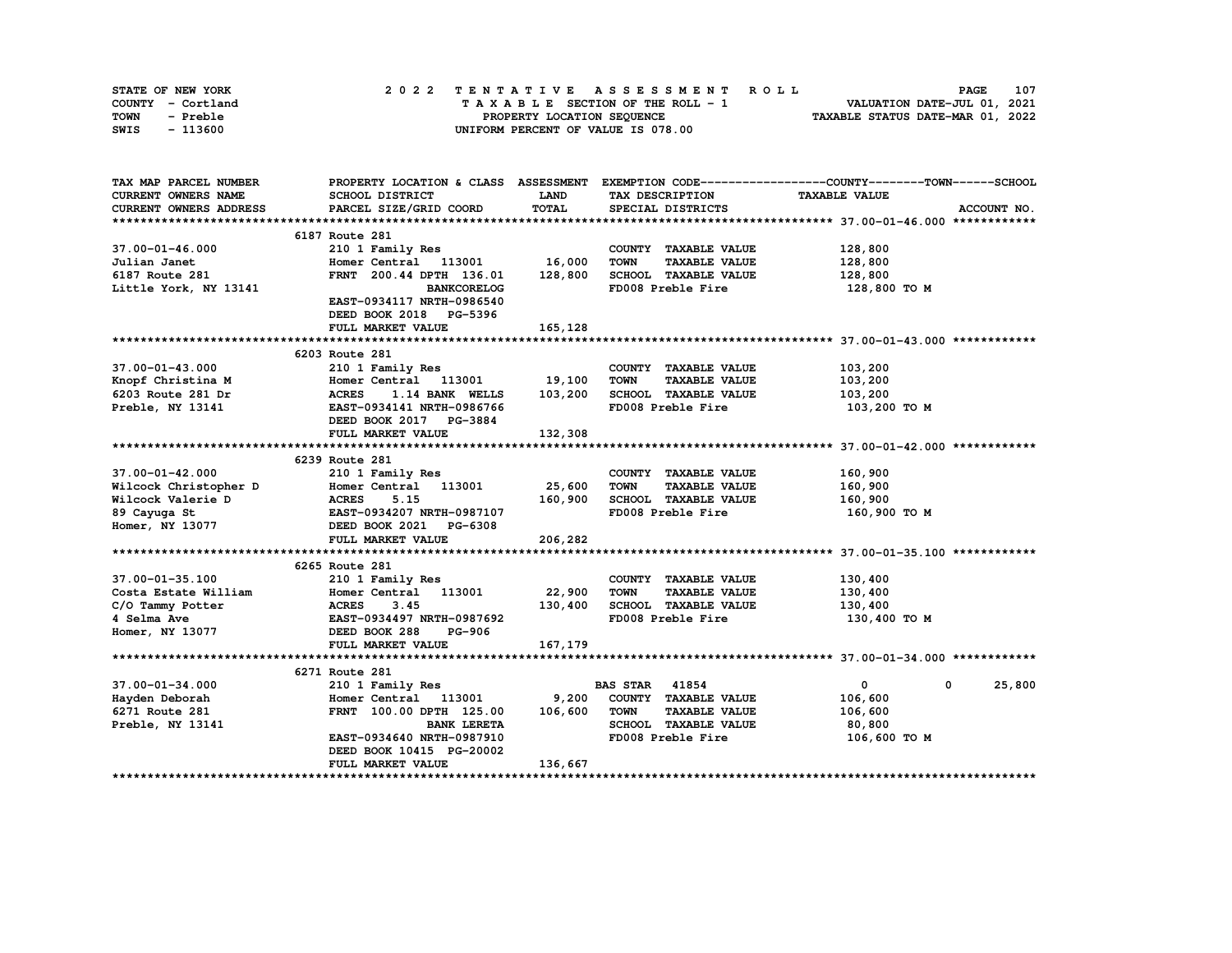| STATE OF NEW YORK | 2022 TENTATIVE ASSESSMENT ROLL     | 107<br><b>PAGE</b>               |
|-------------------|------------------------------------|----------------------------------|
| COUNTY - Cortland | TAXABLE SECTION OF THE ROLL - 1    | VALUATION DATE-JUL 01, 2021      |
| TOWN<br>- Preble  | PROPERTY LOCATION SEQUENCE         | TAXABLE STATUS DATE-MAR 01, 2022 |
| - 113600<br>SWIS  | UNIFORM PERCENT OF VALUE IS 078.00 |                                  |

| CURRENT OWNERS NAME<br>SCHOOL DISTRICT<br><b>LAND</b><br>TAX DESCRIPTION<br><b>TAXABLE VALUE</b><br>TOTAL<br><b>CURRENT OWNERS ADDRESS</b><br>PARCEL SIZE/GRID COORD<br>SPECIAL DISTRICTS<br>ACCOUNT NO.<br>6187 Route 281<br>37.00-01-46.000<br>210 1 Family Res<br>COUNTY TAXABLE VALUE<br>128,800<br>Homer Central 113001 16,000<br>Julian Janet<br><b>TOWN</b><br><b>TAXABLE VALUE</b><br>128,800<br>SCHOOL TAXABLE VALUE<br>FRNT 200.44 DPTH 136.01<br>128,800<br>128,800<br>6187 Route 281<br>FD008 Preble Fire<br>Little York, NY 13141<br><b>BANKCORELOG</b><br>128,800 то м<br>EAST-0934117 NRTH-0986540<br>DEED BOOK 2018 PG-5396<br>165,128<br>FULL MARKET VALUE<br>6203 Route 281<br>37.00-01-43.000<br>210 1 Family Res<br>103,200<br>COUNTY TAXABLE VALUE<br>Knopf Christina M Momer Central 113001 19,100<br><b>TOWN</b><br><b>TAXABLE VALUE</b><br>103,200<br>SCHOOL TAXABLE VALUE<br>6203 Route 281 Dr<br>Preble, NY 13141<br>103,200<br><b>ACRES</b><br>1.14 BANK WELLS<br>103,200<br>EAST-0934141 NRTH-0986766<br>FD008 Preble Fire<br>103,200 то м<br>Preble, NY 13141<br>DEED BOOK 2017 PG-3884<br>FULL MARKET VALUE<br>132,308<br>6239 Route 281<br>$37.00 - 01 - 42.000$<br>210 1 Family Res<br>160,900<br>COUNTY TAXABLE VALUE<br>37.00-01-42.000<br>Wilcock Christopher D<br>Wilcock Christopher D<br>Micock Valerie D<br>89 Cayuga St<br>Romer, NY 13077<br>Homer, NY 13077<br>DEED BOOK 2021<br>DEED BOOK 2021<br>PG-6308<br><b>TOWN</b><br><b>TAXABLE VALUE</b><br>160,900<br>SCHOOL TAXABLE VALUE<br>160,900<br>FD008 Preble Fire<br>160,900 то м<br>206,282<br>FULL MARKET VALUE<br>COUNTY TAXABLE VALUE<br>130,400<br><b>TOWN</b><br><b>TAXABLE VALUE</b><br>130,400<br>SCHOOL TAXABLE VALUE<br>130,400<br>FD008 Preble Fire<br>130,400 то м<br>6271 Route 281<br><b>BAS STAR 41854</b><br>$\mathbf{0}$<br>25,800<br>37.00-01-34.000<br>210 1 Family Res<br>$^{\circ}$<br>9,200 COUNTY TAXABLE VALUE<br>Homer Central 113001<br>106,600<br>Hayden Deborah<br>106,600<br>TOWN<br>6271 Route 281<br>FRNT 100.00 DPTH 125.00<br><b>TAXABLE VALUE</b><br>106,600<br>SCHOOL TAXABLE VALUE<br>Preble, NY 13141<br><b>BANK LERETA</b><br>80,800<br>FD008 Preble Fire<br>EAST-0934640 NRTH-0987910<br>106,600 TO M<br>DEED BOOK 10415 PG-20002 | TAX MAP PARCEL NUMBER |  | PROPERTY LOCATION & CLASS ASSESSMENT EXEMPTION CODE----------------COUNTY-------TOWN-----SCHOOL |
|-----------------------------------------------------------------------------------------------------------------------------------------------------------------------------------------------------------------------------------------------------------------------------------------------------------------------------------------------------------------------------------------------------------------------------------------------------------------------------------------------------------------------------------------------------------------------------------------------------------------------------------------------------------------------------------------------------------------------------------------------------------------------------------------------------------------------------------------------------------------------------------------------------------------------------------------------------------------------------------------------------------------------------------------------------------------------------------------------------------------------------------------------------------------------------------------------------------------------------------------------------------------------------------------------------------------------------------------------------------------------------------------------------------------------------------------------------------------------------------------------------------------------------------------------------------------------------------------------------------------------------------------------------------------------------------------------------------------------------------------------------------------------------------------------------------------------------------------------------------------------------------------------------------------------------------------------------------------------------------------------------------------------------------------------------------------------------------------------------------------------------------------------------------------------------------------------------------------------------------------------------------------------|-----------------------|--|-------------------------------------------------------------------------------------------------|
|                                                                                                                                                                                                                                                                                                                                                                                                                                                                                                                                                                                                                                                                                                                                                                                                                                                                                                                                                                                                                                                                                                                                                                                                                                                                                                                                                                                                                                                                                                                                                                                                                                                                                                                                                                                                                                                                                                                                                                                                                                                                                                                                                                                                                                                                       |                       |  |                                                                                                 |
|                                                                                                                                                                                                                                                                                                                                                                                                                                                                                                                                                                                                                                                                                                                                                                                                                                                                                                                                                                                                                                                                                                                                                                                                                                                                                                                                                                                                                                                                                                                                                                                                                                                                                                                                                                                                                                                                                                                                                                                                                                                                                                                                                                                                                                                                       |                       |  |                                                                                                 |
|                                                                                                                                                                                                                                                                                                                                                                                                                                                                                                                                                                                                                                                                                                                                                                                                                                                                                                                                                                                                                                                                                                                                                                                                                                                                                                                                                                                                                                                                                                                                                                                                                                                                                                                                                                                                                                                                                                                                                                                                                                                                                                                                                                                                                                                                       |                       |  |                                                                                                 |
|                                                                                                                                                                                                                                                                                                                                                                                                                                                                                                                                                                                                                                                                                                                                                                                                                                                                                                                                                                                                                                                                                                                                                                                                                                                                                                                                                                                                                                                                                                                                                                                                                                                                                                                                                                                                                                                                                                                                                                                                                                                                                                                                                                                                                                                                       |                       |  |                                                                                                 |
|                                                                                                                                                                                                                                                                                                                                                                                                                                                                                                                                                                                                                                                                                                                                                                                                                                                                                                                                                                                                                                                                                                                                                                                                                                                                                                                                                                                                                                                                                                                                                                                                                                                                                                                                                                                                                                                                                                                                                                                                                                                                                                                                                                                                                                                                       |                       |  |                                                                                                 |
|                                                                                                                                                                                                                                                                                                                                                                                                                                                                                                                                                                                                                                                                                                                                                                                                                                                                                                                                                                                                                                                                                                                                                                                                                                                                                                                                                                                                                                                                                                                                                                                                                                                                                                                                                                                                                                                                                                                                                                                                                                                                                                                                                                                                                                                                       |                       |  |                                                                                                 |
|                                                                                                                                                                                                                                                                                                                                                                                                                                                                                                                                                                                                                                                                                                                                                                                                                                                                                                                                                                                                                                                                                                                                                                                                                                                                                                                                                                                                                                                                                                                                                                                                                                                                                                                                                                                                                                                                                                                                                                                                                                                                                                                                                                                                                                                                       |                       |  |                                                                                                 |
|                                                                                                                                                                                                                                                                                                                                                                                                                                                                                                                                                                                                                                                                                                                                                                                                                                                                                                                                                                                                                                                                                                                                                                                                                                                                                                                                                                                                                                                                                                                                                                                                                                                                                                                                                                                                                                                                                                                                                                                                                                                                                                                                                                                                                                                                       |                       |  |                                                                                                 |
|                                                                                                                                                                                                                                                                                                                                                                                                                                                                                                                                                                                                                                                                                                                                                                                                                                                                                                                                                                                                                                                                                                                                                                                                                                                                                                                                                                                                                                                                                                                                                                                                                                                                                                                                                                                                                                                                                                                                                                                                                                                                                                                                                                                                                                                                       |                       |  |                                                                                                 |
|                                                                                                                                                                                                                                                                                                                                                                                                                                                                                                                                                                                                                                                                                                                                                                                                                                                                                                                                                                                                                                                                                                                                                                                                                                                                                                                                                                                                                                                                                                                                                                                                                                                                                                                                                                                                                                                                                                                                                                                                                                                                                                                                                                                                                                                                       |                       |  |                                                                                                 |
|                                                                                                                                                                                                                                                                                                                                                                                                                                                                                                                                                                                                                                                                                                                                                                                                                                                                                                                                                                                                                                                                                                                                                                                                                                                                                                                                                                                                                                                                                                                                                                                                                                                                                                                                                                                                                                                                                                                                                                                                                                                                                                                                                                                                                                                                       |                       |  |                                                                                                 |
|                                                                                                                                                                                                                                                                                                                                                                                                                                                                                                                                                                                                                                                                                                                                                                                                                                                                                                                                                                                                                                                                                                                                                                                                                                                                                                                                                                                                                                                                                                                                                                                                                                                                                                                                                                                                                                                                                                                                                                                                                                                                                                                                                                                                                                                                       |                       |  |                                                                                                 |
|                                                                                                                                                                                                                                                                                                                                                                                                                                                                                                                                                                                                                                                                                                                                                                                                                                                                                                                                                                                                                                                                                                                                                                                                                                                                                                                                                                                                                                                                                                                                                                                                                                                                                                                                                                                                                                                                                                                                                                                                                                                                                                                                                                                                                                                                       |                       |  |                                                                                                 |
|                                                                                                                                                                                                                                                                                                                                                                                                                                                                                                                                                                                                                                                                                                                                                                                                                                                                                                                                                                                                                                                                                                                                                                                                                                                                                                                                                                                                                                                                                                                                                                                                                                                                                                                                                                                                                                                                                                                                                                                                                                                                                                                                                                                                                                                                       |                       |  |                                                                                                 |
|                                                                                                                                                                                                                                                                                                                                                                                                                                                                                                                                                                                                                                                                                                                                                                                                                                                                                                                                                                                                                                                                                                                                                                                                                                                                                                                                                                                                                                                                                                                                                                                                                                                                                                                                                                                                                                                                                                                                                                                                                                                                                                                                                                                                                                                                       |                       |  |                                                                                                 |
|                                                                                                                                                                                                                                                                                                                                                                                                                                                                                                                                                                                                                                                                                                                                                                                                                                                                                                                                                                                                                                                                                                                                                                                                                                                                                                                                                                                                                                                                                                                                                                                                                                                                                                                                                                                                                                                                                                                                                                                                                                                                                                                                                                                                                                                                       |                       |  |                                                                                                 |
|                                                                                                                                                                                                                                                                                                                                                                                                                                                                                                                                                                                                                                                                                                                                                                                                                                                                                                                                                                                                                                                                                                                                                                                                                                                                                                                                                                                                                                                                                                                                                                                                                                                                                                                                                                                                                                                                                                                                                                                                                                                                                                                                                                                                                                                                       |                       |  |                                                                                                 |
|                                                                                                                                                                                                                                                                                                                                                                                                                                                                                                                                                                                                                                                                                                                                                                                                                                                                                                                                                                                                                                                                                                                                                                                                                                                                                                                                                                                                                                                                                                                                                                                                                                                                                                                                                                                                                                                                                                                                                                                                                                                                                                                                                                                                                                                                       |                       |  |                                                                                                 |
|                                                                                                                                                                                                                                                                                                                                                                                                                                                                                                                                                                                                                                                                                                                                                                                                                                                                                                                                                                                                                                                                                                                                                                                                                                                                                                                                                                                                                                                                                                                                                                                                                                                                                                                                                                                                                                                                                                                                                                                                                                                                                                                                                                                                                                                                       |                       |  |                                                                                                 |
|                                                                                                                                                                                                                                                                                                                                                                                                                                                                                                                                                                                                                                                                                                                                                                                                                                                                                                                                                                                                                                                                                                                                                                                                                                                                                                                                                                                                                                                                                                                                                                                                                                                                                                                                                                                                                                                                                                                                                                                                                                                                                                                                                                                                                                                                       |                       |  |                                                                                                 |
|                                                                                                                                                                                                                                                                                                                                                                                                                                                                                                                                                                                                                                                                                                                                                                                                                                                                                                                                                                                                                                                                                                                                                                                                                                                                                                                                                                                                                                                                                                                                                                                                                                                                                                                                                                                                                                                                                                                                                                                                                                                                                                                                                                                                                                                                       |                       |  |                                                                                                 |
|                                                                                                                                                                                                                                                                                                                                                                                                                                                                                                                                                                                                                                                                                                                                                                                                                                                                                                                                                                                                                                                                                                                                                                                                                                                                                                                                                                                                                                                                                                                                                                                                                                                                                                                                                                                                                                                                                                                                                                                                                                                                                                                                                                                                                                                                       |                       |  |                                                                                                 |
|                                                                                                                                                                                                                                                                                                                                                                                                                                                                                                                                                                                                                                                                                                                                                                                                                                                                                                                                                                                                                                                                                                                                                                                                                                                                                                                                                                                                                                                                                                                                                                                                                                                                                                                                                                                                                                                                                                                                                                                                                                                                                                                                                                                                                                                                       |                       |  |                                                                                                 |
|                                                                                                                                                                                                                                                                                                                                                                                                                                                                                                                                                                                                                                                                                                                                                                                                                                                                                                                                                                                                                                                                                                                                                                                                                                                                                                                                                                                                                                                                                                                                                                                                                                                                                                                                                                                                                                                                                                                                                                                                                                                                                                                                                                                                                                                                       |                       |  |                                                                                                 |
|                                                                                                                                                                                                                                                                                                                                                                                                                                                                                                                                                                                                                                                                                                                                                                                                                                                                                                                                                                                                                                                                                                                                                                                                                                                                                                                                                                                                                                                                                                                                                                                                                                                                                                                                                                                                                                                                                                                                                                                                                                                                                                                                                                                                                                                                       |                       |  |                                                                                                 |
|                                                                                                                                                                                                                                                                                                                                                                                                                                                                                                                                                                                                                                                                                                                                                                                                                                                                                                                                                                                                                                                                                                                                                                                                                                                                                                                                                                                                                                                                                                                                                                                                                                                                                                                                                                                                                                                                                                                                                                                                                                                                                                                                                                                                                                                                       |                       |  |                                                                                                 |
|                                                                                                                                                                                                                                                                                                                                                                                                                                                                                                                                                                                                                                                                                                                                                                                                                                                                                                                                                                                                                                                                                                                                                                                                                                                                                                                                                                                                                                                                                                                                                                                                                                                                                                                                                                                                                                                                                                                                                                                                                                                                                                                                                                                                                                                                       |                       |  |                                                                                                 |
|                                                                                                                                                                                                                                                                                                                                                                                                                                                                                                                                                                                                                                                                                                                                                                                                                                                                                                                                                                                                                                                                                                                                                                                                                                                                                                                                                                                                                                                                                                                                                                                                                                                                                                                                                                                                                                                                                                                                                                                                                                                                                                                                                                                                                                                                       |                       |  |                                                                                                 |
|                                                                                                                                                                                                                                                                                                                                                                                                                                                                                                                                                                                                                                                                                                                                                                                                                                                                                                                                                                                                                                                                                                                                                                                                                                                                                                                                                                                                                                                                                                                                                                                                                                                                                                                                                                                                                                                                                                                                                                                                                                                                                                                                                                                                                                                                       |                       |  |                                                                                                 |
|                                                                                                                                                                                                                                                                                                                                                                                                                                                                                                                                                                                                                                                                                                                                                                                                                                                                                                                                                                                                                                                                                                                                                                                                                                                                                                                                                                                                                                                                                                                                                                                                                                                                                                                                                                                                                                                                                                                                                                                                                                                                                                                                                                                                                                                                       |                       |  |                                                                                                 |
|                                                                                                                                                                                                                                                                                                                                                                                                                                                                                                                                                                                                                                                                                                                                                                                                                                                                                                                                                                                                                                                                                                                                                                                                                                                                                                                                                                                                                                                                                                                                                                                                                                                                                                                                                                                                                                                                                                                                                                                                                                                                                                                                                                                                                                                                       |                       |  |                                                                                                 |
|                                                                                                                                                                                                                                                                                                                                                                                                                                                                                                                                                                                                                                                                                                                                                                                                                                                                                                                                                                                                                                                                                                                                                                                                                                                                                                                                                                                                                                                                                                                                                                                                                                                                                                                                                                                                                                                                                                                                                                                                                                                                                                                                                                                                                                                                       |                       |  |                                                                                                 |
|                                                                                                                                                                                                                                                                                                                                                                                                                                                                                                                                                                                                                                                                                                                                                                                                                                                                                                                                                                                                                                                                                                                                                                                                                                                                                                                                                                                                                                                                                                                                                                                                                                                                                                                                                                                                                                                                                                                                                                                                                                                                                                                                                                                                                                                                       |                       |  |                                                                                                 |
|                                                                                                                                                                                                                                                                                                                                                                                                                                                                                                                                                                                                                                                                                                                                                                                                                                                                                                                                                                                                                                                                                                                                                                                                                                                                                                                                                                                                                                                                                                                                                                                                                                                                                                                                                                                                                                                                                                                                                                                                                                                                                                                                                                                                                                                                       |                       |  |                                                                                                 |
|                                                                                                                                                                                                                                                                                                                                                                                                                                                                                                                                                                                                                                                                                                                                                                                                                                                                                                                                                                                                                                                                                                                                                                                                                                                                                                                                                                                                                                                                                                                                                                                                                                                                                                                                                                                                                                                                                                                                                                                                                                                                                                                                                                                                                                                                       |                       |  |                                                                                                 |
|                                                                                                                                                                                                                                                                                                                                                                                                                                                                                                                                                                                                                                                                                                                                                                                                                                                                                                                                                                                                                                                                                                                                                                                                                                                                                                                                                                                                                                                                                                                                                                                                                                                                                                                                                                                                                                                                                                                                                                                                                                                                                                                                                                                                                                                                       |                       |  |                                                                                                 |
|                                                                                                                                                                                                                                                                                                                                                                                                                                                                                                                                                                                                                                                                                                                                                                                                                                                                                                                                                                                                                                                                                                                                                                                                                                                                                                                                                                                                                                                                                                                                                                                                                                                                                                                                                                                                                                                                                                                                                                                                                                                                                                                                                                                                                                                                       |                       |  |                                                                                                 |
|                                                                                                                                                                                                                                                                                                                                                                                                                                                                                                                                                                                                                                                                                                                                                                                                                                                                                                                                                                                                                                                                                                                                                                                                                                                                                                                                                                                                                                                                                                                                                                                                                                                                                                                                                                                                                                                                                                                                                                                                                                                                                                                                                                                                                                                                       |                       |  |                                                                                                 |
|                                                                                                                                                                                                                                                                                                                                                                                                                                                                                                                                                                                                                                                                                                                                                                                                                                                                                                                                                                                                                                                                                                                                                                                                                                                                                                                                                                                                                                                                                                                                                                                                                                                                                                                                                                                                                                                                                                                                                                                                                                                                                                                                                                                                                                                                       |                       |  |                                                                                                 |
|                                                                                                                                                                                                                                                                                                                                                                                                                                                                                                                                                                                                                                                                                                                                                                                                                                                                                                                                                                                                                                                                                                                                                                                                                                                                                                                                                                                                                                                                                                                                                                                                                                                                                                                                                                                                                                                                                                                                                                                                                                                                                                                                                                                                                                                                       |                       |  |                                                                                                 |
|                                                                                                                                                                                                                                                                                                                                                                                                                                                                                                                                                                                                                                                                                                                                                                                                                                                                                                                                                                                                                                                                                                                                                                                                                                                                                                                                                                                                                                                                                                                                                                                                                                                                                                                                                                                                                                                                                                                                                                                                                                                                                                                                                                                                                                                                       |                       |  |                                                                                                 |
|                                                                                                                                                                                                                                                                                                                                                                                                                                                                                                                                                                                                                                                                                                                                                                                                                                                                                                                                                                                                                                                                                                                                                                                                                                                                                                                                                                                                                                                                                                                                                                                                                                                                                                                                                                                                                                                                                                                                                                                                                                                                                                                                                                                                                                                                       |                       |  |                                                                                                 |
|                                                                                                                                                                                                                                                                                                                                                                                                                                                                                                                                                                                                                                                                                                                                                                                                                                                                                                                                                                                                                                                                                                                                                                                                                                                                                                                                                                                                                                                                                                                                                                                                                                                                                                                                                                                                                                                                                                                                                                                                                                                                                                                                                                                                                                                                       |                       |  |                                                                                                 |
| 136,667<br>FULL MARKET VALUE                                                                                                                                                                                                                                                                                                                                                                                                                                                                                                                                                                                                                                                                                                                                                                                                                                                                                                                                                                                                                                                                                                                                                                                                                                                                                                                                                                                                                                                                                                                                                                                                                                                                                                                                                                                                                                                                                                                                                                                                                                                                                                                                                                                                                                          |                       |  |                                                                                                 |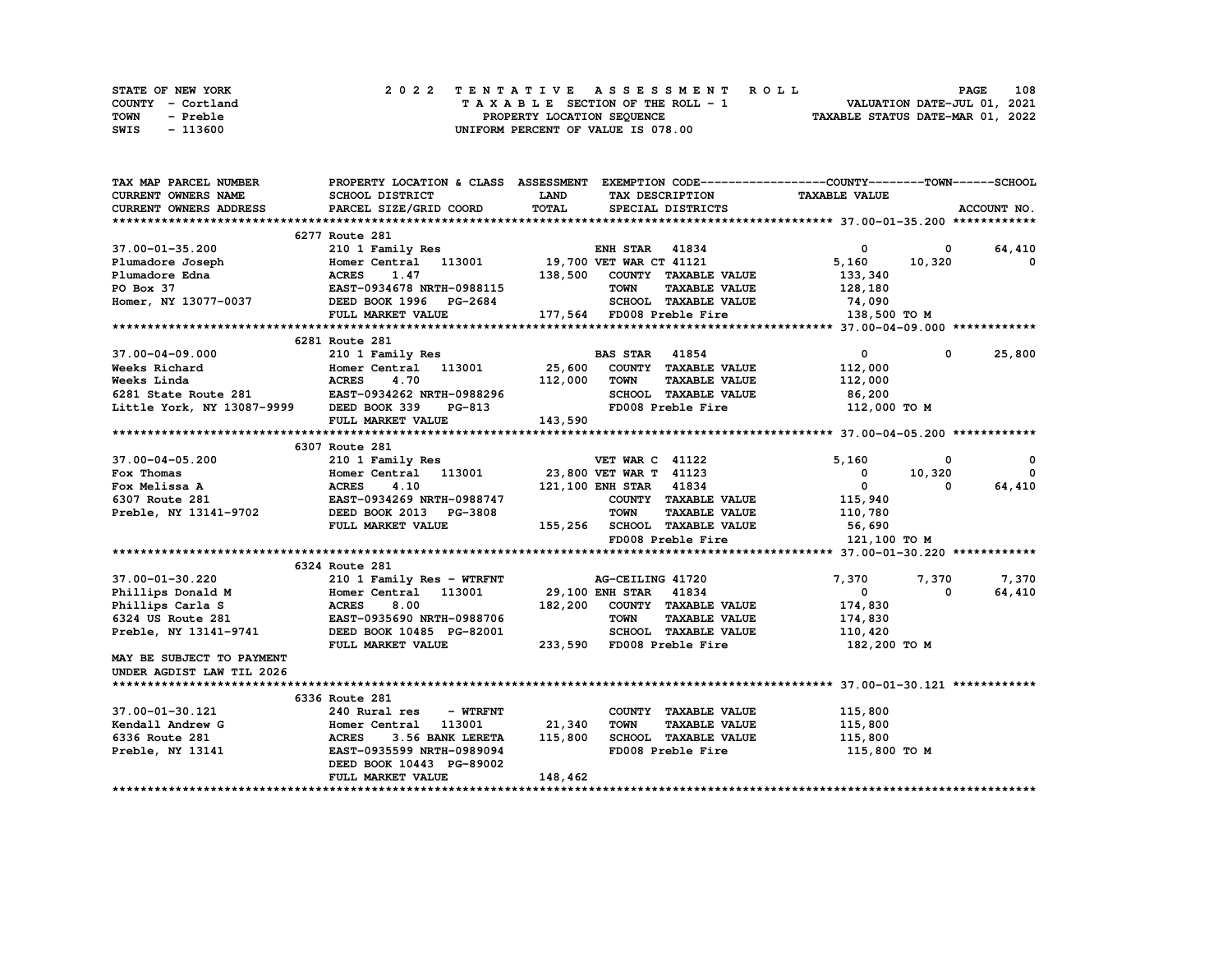| STATE OF NEW YORK | 2022 TENTATIVE ASSESSMENT ROLL     | 108<br><b>PAGE</b>               |
|-------------------|------------------------------------|----------------------------------|
| COUNTY - Cortland | TAXABLE SECTION OF THE ROLL - 1    | VALUATION DATE-JUL 01, 2021      |
| TOWN<br>- Preble  | PROPERTY LOCATION SEQUENCE         | TAXABLE STATUS DATE-MAR 01, 2022 |
| - 113600<br>SWIS  | UNIFORM PERCENT OF VALUE IS 078.00 |                                  |

| TAX MAP PARCEL NUMBER                                                                                                                                                                                                                  | PROPERTY LOCATION & CLASS ASSESSMENT EXEMPTION CODE----------------COUNTY-------TOWN-----SCHOOL |             |                                                                          |                                                            |                   |              |
|----------------------------------------------------------------------------------------------------------------------------------------------------------------------------------------------------------------------------------------|-------------------------------------------------------------------------------------------------|-------------|--------------------------------------------------------------------------|------------------------------------------------------------|-------------------|--------------|
| CURRENT OWNERS NAME                                                                                                                                                                                                                    | <b>SCHOOL DISTRICT</b>                                                                          | <b>LAND</b> | TAX DESCRIPTION                                                          | <b>TAXABLE VALUE</b>                                       |                   |              |
| <b>CURRENT OWNERS ADDRESS</b>                                                                                                                                                                                                          | PARCEL SIZE/GRID COORD                                                                          | TOTAL       | SPECIAL DISTRICTS                                                        |                                                            |                   | ACCOUNT NO.  |
|                                                                                                                                                                                                                                        |                                                                                                 |             |                                                                          |                                                            |                   |              |
|                                                                                                                                                                                                                                        | 6277 Route 281                                                                                  |             |                                                                          |                                                            |                   |              |
| 37.00-01-35.200                                                                                                                                                                                                                        | 210 1 Family Res TAR 41834                                                                      |             |                                                                          | $\overline{\mathbf{0}}$                                    | $\sim$ 0 $\sim$ 0 | 64,410       |
|                                                                                                                                                                                                                                        |                                                                                                 |             |                                                                          | 5,160 10,320                                               |                   | $^{\circ}$   |
|                                                                                                                                                                                                                                        |                                                                                                 |             |                                                                          |                                                            |                   |              |
|                                                                                                                                                                                                                                        |                                                                                                 |             |                                                                          |                                                            |                   |              |
|                                                                                                                                                                                                                                        |                                                                                                 |             |                                                                          |                                                            |                   |              |
|                                                                                                                                                                                                                                        |                                                                                                 |             |                                                                          |                                                            |                   |              |
| 37.00-01-35.200<br>Plumadore Joseph Homer Central 113001 19,700 VET WAR UT TAXABLE VALUE<br>PLUMADORE Edna ACRES 1.47 138,500 COUNTY TAXABLE VALUE 128,180<br>PO Box 37 EAST-0934678 NRTH-0988115 TOWN TAXABLE VALUE 128,180<br>Homer, |                                                                                                 |             |                                                                          |                                                            |                   |              |
|                                                                                                                                                                                                                                        | 6281 Route 281                                                                                  |             |                                                                          |                                                            |                   |              |
|                                                                                                                                                                                                                                        |                                                                                                 |             |                                                                          | $\mathbf{0}$                                               | $^{\circ}$        | 25,800       |
|                                                                                                                                                                                                                                        |                                                                                                 |             |                                                                          | 112,000                                                    |                   |              |
|                                                                                                                                                                                                                                        |                                                                                                 |             |                                                                          | 112,000                                                    |                   |              |
|                                                                                                                                                                                                                                        |                                                                                                 |             | SCHOOL TAXABLE VALUE 86,200                                              |                                                            |                   |              |
|                                                                                                                                                                                                                                        |                                                                                                 |             | FD008 Preble Fire 112,000 TO M                                           |                                                            |                   |              |
| 37.00-04-09.000 210 1 Family Res BAS STAR 1003<br>Weeks Richard Homer Central 113001 25,600 COUNTY TAXABLE VALUE<br>Weeks Linda ACRES 4.70 112,000 TOWN TAXABLE VALUE<br>6281 State Route 281 EAST-0934262 NRTH-0988296 SCHOOL TAXA    |                                                                                                 |             |                                                                          |                                                            |                   |              |
|                                                                                                                                                                                                                                        |                                                                                                 |             |                                                                          |                                                            |                   |              |
|                                                                                                                                                                                                                                        | 6307 Route 281                                                                                  |             |                                                                          |                                                            |                   |              |
| 37.00-04-05.200                                                                                                                                                                                                                        | 210 1 Family Res                                                                                |             | VET WAR C 41122                                                          | 5,160                                                      | 0                 | $\mathbf{0}$ |
|                                                                                                                                                                                                                                        |                                                                                                 |             |                                                                          |                                                            |                   | $\Omega$     |
|                                                                                                                                                                                                                                        |                                                                                                 |             |                                                                          | $\begin{bmatrix} 0 & 0 \ 0 & 10,320 \ 0 & 0 \end{bmatrix}$ |                   | 64,410       |
|                                                                                                                                                                                                                                        |                                                                                                 |             | H STAR 41004<br>COUNTY TAXABLE VALUE 115,940<br>سمنس سيندي تونيد 110,780 |                                                            |                   |              |
|                                                                                                                                                                                                                                        |                                                                                                 |             |                                                                          |                                                            |                   |              |
|                                                                                                                                                                                                                                        | FULL MARKET VALUE                                                                               |             | 155,256 SCHOOL TAXABLE VALUE 56,690                                      |                                                            |                   |              |
|                                                                                                                                                                                                                                        |                                                                                                 |             | FD008 Preble Fire                                                        | 121,100 TO M                                               |                   |              |
|                                                                                                                                                                                                                                        |                                                                                                 |             |                                                                          |                                                            |                   |              |
|                                                                                                                                                                                                                                        | 6324 Route 281                                                                                  |             |                                                                          |                                                            |                   |              |
|                                                                                                                                                                                                                                        | 210 1 Family Res - WTRFNT                                                                       |             |                                                                          | 7,370                                                      |                   | 7,370 7,370  |
|                                                                                                                                                                                                                                        |                                                                                                 |             |                                                                          | $\mathbf{0}$                                               | $^{\circ}$        | 64,410       |
|                                                                                                                                                                                                                                        |                                                                                                 |             |                                                                          |                                                            |                   |              |
|                                                                                                                                                                                                                                        |                                                                                                 |             |                                                                          |                                                            |                   |              |
| Preble, NY 13141-9741 DEED BOOK 10485 PG-82001                                                                                                                                                                                         |                                                                                                 |             | SCHOOL TAXABLE VALUE 110,420                                             |                                                            |                   |              |
|                                                                                                                                                                                                                                        | FULL MARKET VALUE                                                                               |             |                                                                          | 182,200 TO M                                               |                   |              |
| MAY BE SUBJECT TO PAYMENT                                                                                                                                                                                                              |                                                                                                 |             |                                                                          |                                                            |                   |              |
| UNDER AGDIST LAW TIL 2026                                                                                                                                                                                                              |                                                                                                 |             |                                                                          |                                                            |                   |              |
|                                                                                                                                                                                                                                        |                                                                                                 |             |                                                                          |                                                            |                   |              |
|                                                                                                                                                                                                                                        | 6336 Route 281                                                                                  |             |                                                                          |                                                            |                   |              |
| 37.00-01-30.121                                                                                                                                                                                                                        | 240 Rural res - WTRFNT                                                                          |             | COUNTY TAXABLE VALUE                                                     | 115,800                                                    |                   |              |
| Kendall Andrew G                                                                                                                                                                                                                       | 240 Kural res - wiki<br>Homer Central 113001<br>ACRES 3.56 BANK LERE<br>EAST-0935599 NRTH-09890 | 21,340      | TOWN<br><b>TAXABLE VALUE</b>                                             | 115,800                                                    |                   |              |
| 6336 Route 281                                                                                                                                                                                                                         | 3.56 BANK LERETA 115,800                                                                        |             | SCHOOL TAXABLE VALUE 115,800                                             |                                                            |                   |              |
| Preble, NY 13141                                                                                                                                                                                                                       | EAST-0935599 NRTH-0989094                                                                       |             | FD008 Preble Fire                                                        | 115,800 TO M                                               |                   |              |
|                                                                                                                                                                                                                                        | DEED BOOK 10443 PG-89002                                                                        |             |                                                                          |                                                            |                   |              |
|                                                                                                                                                                                                                                        | FULL MARKET VALUE                                                                               | 148,462     |                                                                          |                                                            |                   |              |
|                                                                                                                                                                                                                                        |                                                                                                 |             |                                                                          |                                                            |                   |              |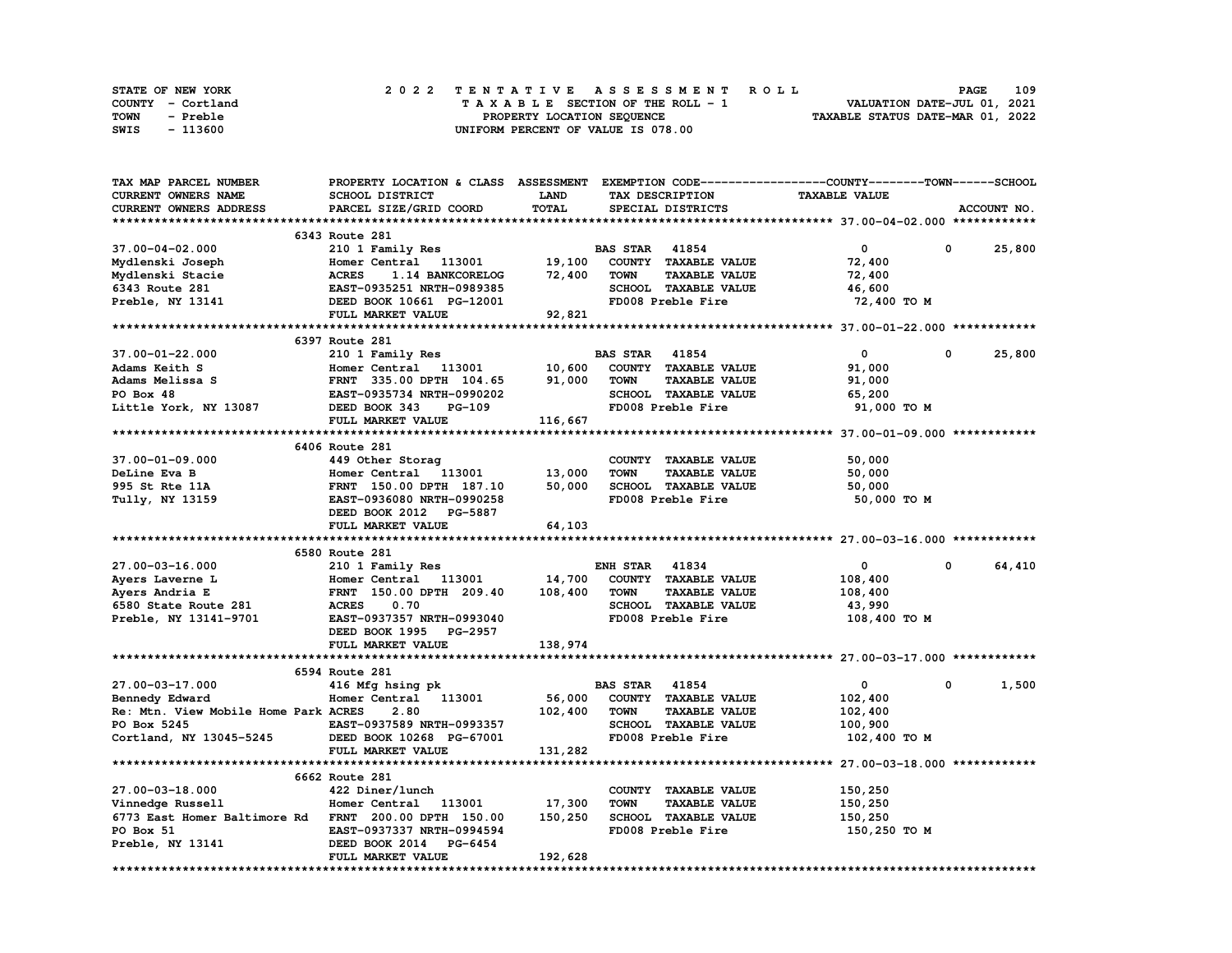| STATE OF NEW YORK | 2022 TENTATIVE ASSESSMENT ROLL     | 109<br><b>PAGE</b>               |
|-------------------|------------------------------------|----------------------------------|
| COUNTY - Cortland | TAXABLE SECTION OF THE ROLL - 1    | VALUATION DATE-JUL 01, 2021      |
| TOWN<br>- Preble  | PROPERTY LOCATION SEQUENCE         | TAXABLE STATUS DATE-MAR 01, 2022 |
| - 113600<br>SWIS  | UNIFORM PERCENT OF VALUE IS 078.00 |                                  |

| TAX MAP PARCEL NUMBER                                | PROPERTY LOCATION & CLASS ASSESSMENT EXEMPTION CODE-----------------COUNTY-------TOWN-----SCHOOL |              |                       |                             |                      |            |             |
|------------------------------------------------------|--------------------------------------------------------------------------------------------------|--------------|-----------------------|-----------------------------|----------------------|------------|-------------|
| CURRENT OWNERS NAME                                  | SCHOOL DISTRICT                                                                                  | <b>LAND</b>  |                       | TAX DESCRIPTION             | <b>TAXABLE VALUE</b> |            |             |
| CURRENT OWNERS ADDRESS                               | PARCEL SIZE/GRID COORD                                                                           | <b>TOTAL</b> |                       | SPECIAL DISTRICTS           |                      |            | ACCOUNT NO. |
|                                                      |                                                                                                  |              |                       |                             |                      |            |             |
|                                                      | 6343 Route 281                                                                                   |              |                       |                             |                      |            |             |
| 37.00-04-02.000                                      | 210 1 Family Res                                                                                 |              | <b>BAS STAR 41854</b> |                             | $\circ$              | $^{\circ}$ | 25,800      |
| Mydlenski Joseph                                     | Homer Central 113001                                                                             | 19,100       |                       | COUNTY TAXABLE VALUE        | 72,400               |            |             |
| Mydlenski Stacie                                     | 1.14 BANKCORELOG<br><b>ACRES</b>                                                                 | 72,400       | <b>TOWN</b>           | <b>TAXABLE VALUE</b>        | 72,400               |            |             |
| 6343 Route 281                                       | EAST-0935251 NRTH-0989385                                                                        |              |                       | SCHOOL TAXABLE VALUE        | 46,600               |            |             |
| Preble, NY 13141                                     | DEED BOOK 10661 PG-12001                                                                         |              |                       | FD008 Preble Fire           | 72,400 TO M          |            |             |
|                                                      | FULL MARKET VALUE                                                                                | 92,821       |                       |                             |                      |            |             |
|                                                      |                                                                                                  |              |                       |                             |                      |            |             |
|                                                      | 6397 Route 281                                                                                   |              |                       |                             |                      |            |             |
| 37.00-01-22.000                                      | 210 1 Family Res                                                                                 |              | <b>BAS STAR 41854</b> |                             | $\bullet$            | 0          | 25,800      |
| Adams Keith S                                        | Homer Central 113001                                                                             | 10,600       |                       | COUNTY TAXABLE VALUE        | 91,000               |            |             |
| Adams Melissa S                                      | FRNT 335.00 DPTH 104.65                                                                          | 91,000       | <b>TOWN</b>           | <b>TAXABLE VALUE</b>        | 91,000               |            |             |
| PO Box 48                                            | EAST-0935734 NRTH-0990202                                                                        |              |                       | SCHOOL TAXABLE VALUE        | 65,200               |            |             |
|                                                      |                                                                                                  |              |                       | FD008 Preble Fire           |                      |            |             |
| Little York, NY 13087                                | DEED BOOK 343<br><b>PG-109</b>                                                                   |              |                       |                             | 91,000 TO M          |            |             |
|                                                      | FULL MARKET VALUE                                                                                | 116,667      |                       |                             |                      |            |             |
|                                                      |                                                                                                  |              |                       |                             |                      |            |             |
|                                                      | 6406 Route 281                                                                                   |              |                       |                             |                      |            |             |
| 37.00-01-09.000                                      | 449 Other Storag                                                                                 |              |                       | COUNTY TAXABLE VALUE        | 50,000               |            |             |
| DeLine Eva B                                         | Homer Central 113001                                                                             | 13,000       | <b>TOWN</b>           | <b>TAXABLE VALUE</b>        | 50,000               |            |             |
| 995 St Rte 11A                                       | FRNT 150.00 DPTH 187.10                                                                          | 50,000       |                       | SCHOOL TAXABLE VALUE        | 50,000               |            |             |
| Tully, NY 13159                                      | EAST-0936080 NRTH-0990258                                                                        |              |                       | FD008 Preble Fire           | 50,000 TO M          |            |             |
|                                                      | DEED BOOK 2012 PG-5887                                                                           |              |                       |                             |                      |            |             |
|                                                      | FULL MARKET VALUE                                                                                | 64,103       |                       |                             |                      |            |             |
|                                                      |                                                                                                  |              |                       |                             |                      |            |             |
|                                                      | 6580 Route 281                                                                                   |              |                       |                             |                      |            |             |
| 27.00-03-16.000                                      | 210 1 Family Res                                                                                 |              | <b>ENH STAR 41834</b> |                             | $\mathbf 0$          | 0          | 64,410      |
| Ayers Laverne L                                      | Homer Central 113001 14,700                                                                      |              |                       | COUNTY TAXABLE VALUE        | 108,400              |            |             |
| Ayers Andria E                                       | FRNT 150.00 DPTH 209.40                                                                          | 108,400      | <b>TOWN</b>           | <b>TAXABLE VALUE</b>        | 108,400              |            |             |
| 6580 State Route 281                                 | <b>ACRES</b><br>0.70                                                                             |              |                       | SCHOOL TAXABLE VALUE        | 43,990               |            |             |
| Preble, NY 13141-9701                                | EAST-0937357 NRTH-0993040                                                                        |              |                       | FD008 Preble Fire           | 108,400 TO M         |            |             |
|                                                      | DEED BOOK 1995 PG-2957                                                                           |              |                       |                             |                      |            |             |
|                                                      | FULL MARKET VALUE                                                                                | 138,974      |                       |                             |                      |            |             |
|                                                      |                                                                                                  |              |                       |                             |                      |            |             |
|                                                      | 6594 Route 281                                                                                   |              |                       |                             |                      |            |             |
| 27.00-03-17.000                                      | 416 Mfg hsing pk                                                                                 |              | <b>BAS STAR 41854</b> |                             | $\mathbf{0}$         | 0          | 1,500       |
| Bennedy Edward                                       | Homer Central 113001                                                                             | 56,000       |                       | COUNTY TAXABLE VALUE        | 102,400              |            |             |
| Re: Mtn. View Mobile Home Park ACRES                 | 2.80                                                                                             | 102,400      | <b>TOWN</b>           | <b>TAXABLE VALUE</b>        | 102,400              |            |             |
| PO Box 5245                                          | EAST-0937589 NRTH-0993357                                                                        |              |                       | <b>SCHOOL TAXABLE VALUE</b> | 100,900              |            |             |
| Cortland, NY 13045-5245                              | DEED BOOK 10268 PG-67001                                                                         |              |                       | FD008 Preble Fire           | 102,400 TO M         |            |             |
|                                                      | FULL MARKET VALUE                                                                                | 131,282      |                       |                             |                      |            |             |
|                                                      |                                                                                                  |              |                       |                             |                      |            |             |
|                                                      | 6662 Route 281                                                                                   |              |                       |                             |                      |            |             |
| 27.00-03-18.000                                      | 422 Diner/lunch                                                                                  |              |                       | COUNTY TAXABLE VALUE        | 150,250              |            |             |
| Vinnedge Russell                                     | Homer Central 113001                                                                             | 17,300       | <b>TOWN</b>           | <b>TAXABLE VALUE</b>        | 150,250              |            |             |
| 6773 East Homer Baltimore Rd FRNT 200.00 DPTH 150.00 |                                                                                                  | 150,250      |                       | SCHOOL TAXABLE VALUE        | 150,250              |            |             |
| PO Box 51                                            | EAST-0937337 NRTH-0994594                                                                        |              |                       | FD008 Preble Fire           | 150,250 то м         |            |             |
| Preble, NY 13141                                     | DEED BOOK 2014 PG-6454                                                                           |              |                       |                             |                      |            |             |
|                                                      | FULL MARKET VALUE                                                                                | 192,628      |                       |                             |                      |            |             |
|                                                      |                                                                                                  |              |                       |                             |                      |            |             |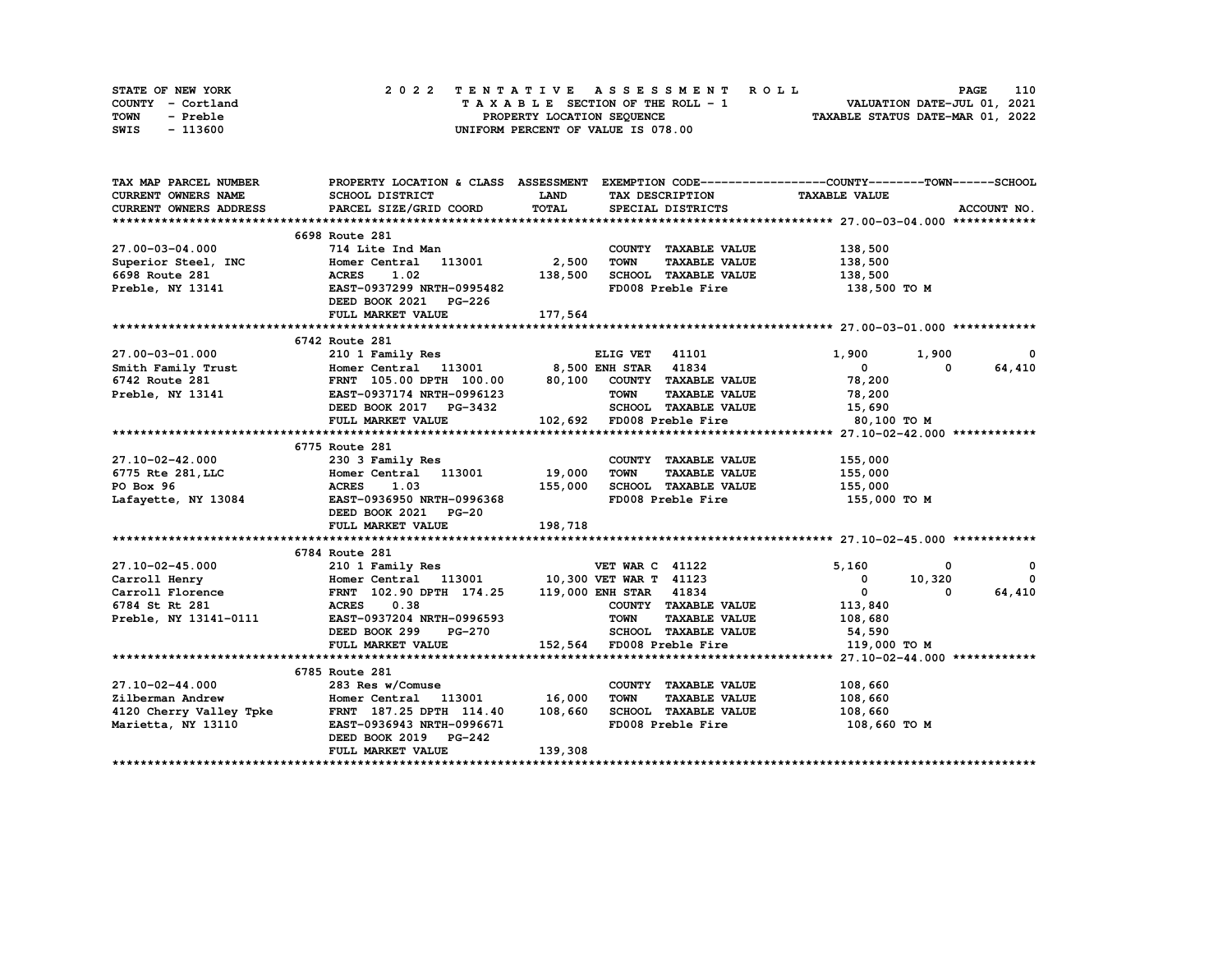| STATE OF NEW YORK | 2022 TENTATIVE ASSESSMENT ROLL     | 110<br><b>PAGE</b>               |
|-------------------|------------------------------------|----------------------------------|
| COUNTY - Cortland | TAXABLE SECTION OF THE ROLL - 1    | VALUATION DATE-JUL 01, 2021      |
| TOWN<br>- Preble  | PROPERTY LOCATION SEQUENCE         | TAXABLE STATUS DATE-MAR 01, 2022 |
| - 113600<br>SWIS  | UNIFORM PERCENT OF VALUE IS 078.00 |                                  |

| TAX MAP PARCEL NUMBER                                                                                                               |                                                                                                                                                                                                                                         |              |                                     | PROPERTY LOCATION & CLASS ASSESSMENT EXEMPTION CODE----------------COUNTY-------TOWN-----SCHOOL |             |
|-------------------------------------------------------------------------------------------------------------------------------------|-----------------------------------------------------------------------------------------------------------------------------------------------------------------------------------------------------------------------------------------|--------------|-------------------------------------|-------------------------------------------------------------------------------------------------|-------------|
| CURRENT OWNERS NAME                                                                                                                 | SCHOOL DISTRICT                                                                                                                                                                                                                         | <b>LAND</b>  | TAX DESCRIPTION                     | <b>TAXABLE VALUE</b>                                                                            |             |
| CURRENT OWNERS ADDRESS                                                                                                              | PARCEL SIZE/GRID COORD                                                                                                                                                                                                                  | <b>TOTAL</b> | SPECIAL DISTRICTS                   |                                                                                                 | ACCOUNT NO. |
|                                                                                                                                     |                                                                                                                                                                                                                                         |              |                                     |                                                                                                 |             |
|                                                                                                                                     | 6698 Route 281                                                                                                                                                                                                                          |              |                                     |                                                                                                 |             |
| 27.00-03-04.000                                                                                                                     | 714 Lite Ind Man                                                                                                                                                                                                                        |              | COUNTY TAXABLE VALUE                | 138,500                                                                                         |             |
| Superior Steel, INC                                                                                                                 | Homer Central 113001                                                                                                                                                                                                                    | 2,500        | <b>TOWN</b><br><b>TAXABLE VALUE</b> | 138,500                                                                                         |             |
| $\label{eq:2} \frac{1}{\sqrt{2}}\int_{0}^{\infty}\frac{1}{\sqrt{2\pi}}\left(\frac{1}{\sqrt{2\pi}}\right)^{2}d\mu$<br>6698 Route 281 | 1.02<br><b>ACRES</b>                                                                                                                                                                                                                    | 138,500      | SCHOOL TAXABLE VALUE                | 138,500                                                                                         |             |
| Preble, NY 13141                                                                                                                    | <b>EAST-0937299 NRTH-0995482</b>                                                                                                                                                                                                        |              | FD008 Preble Fire                   | 138,500 TO M                                                                                    |             |
|                                                                                                                                     | DEED BOOK 2021 PG-226                                                                                                                                                                                                                   |              |                                     |                                                                                                 |             |
|                                                                                                                                     | FULL MARKET VALUE                                                                                                                                                                                                                       | 177,564      |                                     |                                                                                                 |             |
|                                                                                                                                     |                                                                                                                                                                                                                                         |              |                                     |                                                                                                 |             |
|                                                                                                                                     | 6742 Route 281                                                                                                                                                                                                                          |              |                                     |                                                                                                 |             |
| 27.00-03-01.000                                                                                                                     | 210 1 Family Res                                                                                                                                                                                                                        |              | ELIG VET 41101                      | 1,900<br>1,900                                                                                  | 0           |
|                                                                                                                                     |                                                                                                                                                                                                                                         |              |                                     | $\mathbf{0}$<br>$\Omega$                                                                        | 64,410      |
|                                                                                                                                     |                                                                                                                                                                                                                                         |              |                                     | 78,200                                                                                          |             |
|                                                                                                                                     | Smith Family Trust<br>6742 Route 281 FRNT 105.00 DPTH 100.00 80,100 COUNTY TAXABLE VALUE<br>9712 Preble, NY 13141 EAST-0937174 NRTH-0996123 TOWN TAXABLE VALUE                                                                          |              | <b>TAXABLE VALUE</b>                | 78,200                                                                                          |             |
|                                                                                                                                     |                                                                                                                                                                                                                                         |              | SCHOOL TAXABLE VALUE 15,690         |                                                                                                 |             |
|                                                                                                                                     | 102, 692<br>302, 692<br>303 Tamily Res<br>Homer Central 113001<br>230 3 Tamily Res<br>Homer Central 113001<br>19,000<br>ACRES 1.03<br>EAST-0936950 NRTH-09942200<br>DEED BOOT 22                                                        |              |                                     | 80,100 TO M                                                                                     |             |
|                                                                                                                                     |                                                                                                                                                                                                                                         |              |                                     |                                                                                                 |             |
|                                                                                                                                     |                                                                                                                                                                                                                                         |              |                                     |                                                                                                 |             |
| 27.10-02-42.000                                                                                                                     |                                                                                                                                                                                                                                         |              | COUNTY TAXABLE VALUE                | 155,000                                                                                         |             |
| 6775 Rte 281, LLC                                                                                                                   |                                                                                                                                                                                                                                         |              | <b>TOWN</b><br><b>TAXABLE VALUE</b> | 155,000                                                                                         |             |
| PO Box 96                                                                                                                           |                                                                                                                                                                                                                                         |              | SCHOOL TAXABLE VALUE                | 155,000                                                                                         |             |
| Lafayette, NY 13084                                                                                                                 |                                                                                                                                                                                                                                         |              | FD008 Preble Fire                   | 155,000 TO M                                                                                    |             |
|                                                                                                                                     |                                                                                                                                                                                                                                         |              |                                     |                                                                                                 |             |
|                                                                                                                                     | FULL MARKET VALUE                                                                                                                                                                                                                       | 198,718      |                                     |                                                                                                 |             |
|                                                                                                                                     |                                                                                                                                                                                                                                         |              |                                     |                                                                                                 |             |
|                                                                                                                                     | 6784 Route 281                                                                                                                                                                                                                          |              |                                     |                                                                                                 |             |
|                                                                                                                                     |                                                                                                                                                                                                                                         |              |                                     | 5,160<br>0                                                                                      | 0           |
|                                                                                                                                     | 27.10-02-45.000 210 1 Family Res VET WAR C 41122<br>Carroll Henry Homer Central 113001 10,300 VET WAR T 41123<br>Carroll Florence FRNT 102.90 DPTH 174.25 119,000 ENH STAR 41834<br>Caroll Florence FRNT 102.90 DPTH 174.25 119,000 ENH |              |                                     | 10,320<br>$\mathbf{0}$                                                                          | $\Omega$    |
|                                                                                                                                     |                                                                                                                                                                                                                                         |              |                                     | $\mathbf{0}$<br>$\Omega$                                                                        | 64,410      |
| 6784 St Rt 281                                                                                                                      | <b>ACRES</b> 0.38                                                                                                                                                                                                                       |              | COUNTY TAXABLE VALUE                | 113,840                                                                                         |             |
| Preble, NY 13141-0111                                                                                                               | EAST-0937204 NRTH-0996593                                                                                                                                                                                                               |              | TOWN<br><b>TAXABLE VALUE</b>        | 108,680                                                                                         |             |
|                                                                                                                                     | DEED BOOK 299 PG-270                                                                                                                                                                                                                    |              | <b>SCHOOL TAXABLE VALUE</b>         | 54,590                                                                                          |             |
|                                                                                                                                     | FULL MARKET VALUE                                                                                                                                                                                                                       |              | 152,564 FD008 Preble Fire           | 119,000 TO M                                                                                    |             |
|                                                                                                                                     |                                                                                                                                                                                                                                         |              |                                     |                                                                                                 |             |
|                                                                                                                                     | 6785 Route 281                                                                                                                                                                                                                          |              |                                     |                                                                                                 |             |
| 27.10-02-44.000                                                                                                                     | 283 Res w/Comuse                                                                                                                                                                                                                        |              | COUNTY TAXABLE VALUE                | 108,660                                                                                         |             |
|                                                                                                                                     |                                                                                                                                                                                                                                         |              | <b>TOWN</b><br><b>TAXABLE VALUE</b> | 108,660                                                                                         |             |
|                                                                                                                                     |                                                                                                                                                                                                                                         |              | SCHOOL TAXABLE VALUE                | 108,660                                                                                         |             |
|                                                                                                                                     | Marietta, NY 13110 EAST-0936943 NRTH-0996671                                                                                                                                                                                            |              | FD008 Preble Fire                   | 108,660 то м                                                                                    |             |
|                                                                                                                                     | DEED BOOK 2019 PG-242                                                                                                                                                                                                                   |              |                                     |                                                                                                 |             |
|                                                                                                                                     | FULL MARKET VALUE                                                                                                                                                                                                                       | 139,308      |                                     |                                                                                                 |             |
|                                                                                                                                     |                                                                                                                                                                                                                                         |              |                                     |                                                                                                 |             |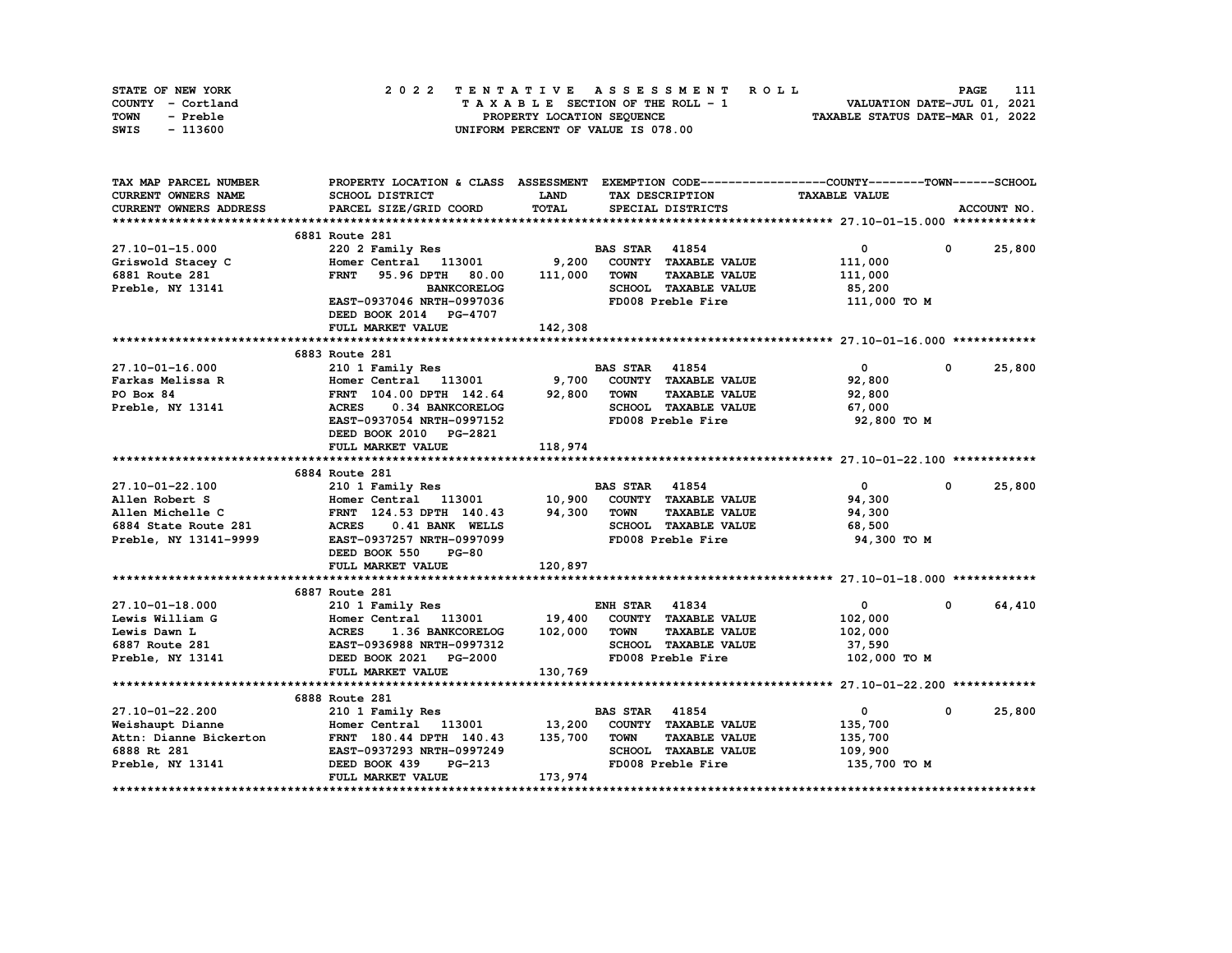| STATE OF NEW YORK | 2022 TENTATIVE ASSESSMENT ROLL     | 111<br><b>PAGE</b>               |
|-------------------|------------------------------------|----------------------------------|
| COUNTY - Cortland | TAXABLE SECTION OF THE ROLL - 1    | VALUATION DATE-JUL 01, 2021      |
| TOWN<br>- Preble  | PROPERTY LOCATION SEQUENCE         | TAXABLE STATUS DATE-MAR 01, 2022 |
| SWIS<br>- 113600  | UNIFORM PERCENT OF VALUE IS 078.00 |                                  |

| TAX MAP PARCEL NUMBER                              | PROPERTY LOCATION & CLASS ASSESSMENT EXEMPTION CODE-----------------COUNTY-------TOWN-----SCHOOL |         |                                     |                      |                        |
|----------------------------------------------------|--------------------------------------------------------------------------------------------------|---------|-------------------------------------|----------------------|------------------------|
| <b>CURRENT OWNERS NAME</b>                         | SCHOOL DISTRICT                                                                                  | LAND    | TAX DESCRIPTION                     | <b>TAXABLE VALUE</b> |                        |
| CURRENT OWNERS ADDRESS                             | PARCEL SIZE/GRID COORD                                                                           | TOTAL   | SPECIAL DISTRICTS                   |                      | ACCOUNT NO.            |
|                                                    |                                                                                                  |         |                                     |                      |                        |
|                                                    | 6881 Route 281                                                                                   |         |                                     |                      |                        |
| 27.10-01-15.000                                    | 220 2 Family Res                                                                                 |         | <b>BAS STAR 41854</b>               | $\overline{0}$       | 25,800<br>$\mathbf 0$  |
| Griswold Stacey C                                  | Homer Central 113001 9,200                                                                       |         | COUNTY TAXABLE VALUE                | 111,000              |                        |
| 6881 Route 281                                     | 95.96 DPTH 80.00 111,000<br><b>FRNT</b>                                                          |         | <b>TOWN</b><br><b>TAXABLE VALUE</b> | 111,000              |                        |
| Preble, NY 13141                                   | <b>BANKCORELOG</b>                                                                               |         | SCHOOL TAXABLE VALUE                | 85,200               |                        |
|                                                    | EAST-0937046 NRTH-0997036                                                                        |         | FD008 Preble Fire                   | 111,000 TO M         |                        |
|                                                    | DEED BOOK 2014 PG-4707                                                                           |         |                                     |                      |                        |
|                                                    | FULL MARKET VALUE                                                                                | 142,308 |                                     |                      |                        |
|                                                    |                                                                                                  |         |                                     |                      |                        |
|                                                    | 6883 Route 281                                                                                   |         |                                     |                      |                        |
| 27.10-01-16.000                                    | 210 1 Family Res                                                                                 |         | <b>BAS STAR</b> 41854               | $\mathbf{0}$         | 25,800<br>$\mathbf 0$  |
| Farkas Melissa R                                   | Homer Central 113001                                                                             | 9,700   | COUNTY TAXABLE VALUE                | 92,800               |                        |
| PO Box 84                                          | FRNT 104.00 DPTH 142.64                                                                          | 92,800  | <b>TAXABLE VALUE</b><br><b>TOWN</b> | 92,800               |                        |
| Preble, NY 13141                                   | <b>ACRES</b><br>0.34 BANKCORELOG                                                                 |         | SCHOOL TAXABLE VALUE                | 67,000               |                        |
|                                                    | EAST-0937054 NRTH-0997152                                                                        |         | FD008 Preble Fire                   | 92,800 TO M          |                        |
|                                                    | DEED BOOK 2010 PG-2821                                                                           |         |                                     |                      |                        |
|                                                    | FULL MARKET VALUE                                                                                | 118,974 |                                     |                      |                        |
|                                                    |                                                                                                  |         |                                     |                      |                        |
|                                                    | 6884 Route 281                                                                                   |         |                                     |                      |                        |
| 27.10-01-22.100                                    | 210 1 Family Res                                                                                 |         | <b>BAS STAR 41854</b>               | $\mathbf{0}$         | 25,800<br>$\mathbf{0}$ |
| Allen Robert S                                     | Homer Central 113001 10,900                                                                      |         | COUNTY TAXABLE VALUE                | 94,300               |                        |
| Allen Michelle C                                   | FRNT 124.53 DPTH 140.43                                                                          | 94,300  | <b>TOWN</b><br><b>TAXABLE VALUE</b> | 94,300               |                        |
| 6884 State Route 281                               | 0.41 BANK WELLS<br><b>ACRES</b>                                                                  |         | SCHOOL TAXABLE VALUE                | 68,500               |                        |
| Preble, NY 13141-9999                              | EAST-0937257 NRTH-0997099                                                                        |         | FD008 Preble Fire                   | 94,300 TO M          |                        |
|                                                    | DEED BOOK 550<br><b>PG-80</b>                                                                    |         |                                     |                      |                        |
|                                                    | FULL MARKET VALUE                                                                                | 120,897 |                                     |                      |                        |
|                                                    |                                                                                                  |         |                                     |                      |                        |
|                                                    | 6887 Route 281                                                                                   |         |                                     |                      |                        |
| 27.10-01-18.000                                    | 210 1 Family Res                                                                                 |         | <b>ENH STAR 41834</b>               | $\mathbf{0}$         | 64,410<br>$\mathbf{0}$ |
| Lewis William G                                    | Homer Central 113001                                                                             | 19,400  | COUNTY TAXABLE VALUE                | 102,000              |                        |
| Lewis Dawn L<br>6887 Route 281<br>Preble, NY 13141 | 1.36 BANKCORELOG<br><b>ACRES</b>                                                                 | 102,000 | <b>TOWN</b><br><b>TAXABLE VALUE</b> | 102,000              |                        |
|                                                    | EAST-0936988 NRTH-0997312                                                                        |         | SCHOOL TAXABLE VALUE                | 37,590               |                        |
|                                                    | DEED BOOK 2021 PG-2000                                                                           |         | FD008 Preble Fire                   | 102,000 TO M         |                        |
|                                                    | FULL MARKET VALUE                                                                                | 130,769 |                                     |                      |                        |
|                                                    |                                                                                                  |         |                                     |                      |                        |
|                                                    | 6888 Route 281                                                                                   |         |                                     |                      |                        |
| 27.10-01-22.200                                    | 210 1 Family Res                                                                                 |         | <b>BAS STAR</b> 41854               | $\mathbf{0}$         | 25,800<br>$\mathbf 0$  |
| Weishaupt Dianne                                   | Homer Central 113001 13,200                                                                      |         | COUNTY TAXABLE VALUE                | 135,700              |                        |
| Attn: Dianne Bickerton                             | FRNT 180.44 DPTH 140.43                                                                          | 135,700 | <b>TOWN</b><br><b>TAXABLE VALUE</b> | 135,700              |                        |
| 6888 Rt 281                                        | EAST-0937293 NRTH-0997249                                                                        |         | SCHOOL TAXABLE VALUE                | 109,900              |                        |
| Preble, NY 13141                                   | <b>PG-213</b><br>DEED BOOK 439                                                                   |         | FD008 Preble Fire                   | 135,700 TO M         |                        |
|                                                    | FULL MARKET VALUE                                                                                | 173,974 |                                     |                      |                        |
|                                                    |                                                                                                  |         |                                     |                      |                        |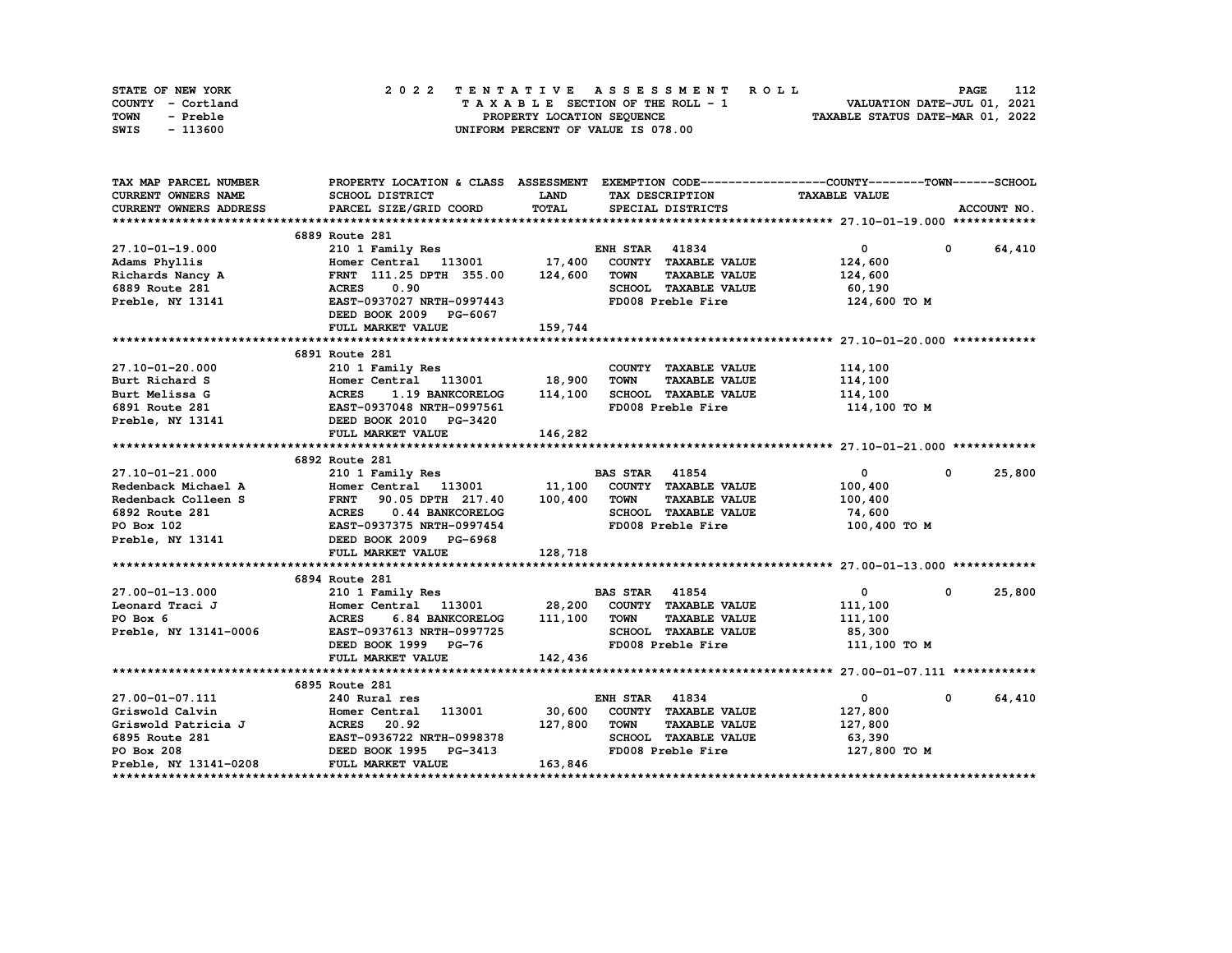| STATE OF NEW YORK | 2022 TENTATIVE ASSESSMENT ROLL     | 112<br>PAGE                      |
|-------------------|------------------------------------|----------------------------------|
| COUNTY - Cortland | TAXABLE SECTION OF THE ROLL - 1    | VALUATION DATE-JUL 01, 2021      |
| TOWN<br>- Preble  | PROPERTY LOCATION SEQUENCE         | TAXABLE STATUS DATE-MAR 01, 2022 |
| - 113600<br>SWIS  | UNIFORM PERCENT OF VALUE IS 078.00 |                                  |

| TAX MAP PARCEL NUMBER                                                                                | PROPERTY LOCATION & CLASS ASSESSMENT EXEMPTION CODE-----------------COUNTY-------TOWN------SCHOOL |             |                                     |                                |                      |
|------------------------------------------------------------------------------------------------------|---------------------------------------------------------------------------------------------------|-------------|-------------------------------------|--------------------------------|----------------------|
| <b>CURRENT OWNERS NAME</b>                                                                           | SCHOOL DISTRICT                                                                                   | <b>LAND</b> | TAX DESCRIPTION                     | <b>TAXABLE VALUE</b>           |                      |
| <b>CURRENT OWNERS ADDRESS</b>                                                                        | PARCEL SIZE/GRID COORD                                                                            | TOTAL       | SPECIAL DISTRICTS                   |                                | ACCOUNT NO.          |
|                                                                                                      |                                                                                                   |             |                                     |                                |                      |
|                                                                                                      | 6889 Route 281                                                                                    |             |                                     |                                |                      |
| 27.10-01-19.000                                                                                      | 210 1 Family Res                                                                                  |             | <b>ENH STAR 41834</b>               | $\mathbf{0}$                   | 0 64,410             |
| Adams Phyllis                                                                                        | Homer Central 113001 17,400                                                                       |             | COUNTY TAXABLE VALUE                | 124,600                        |                      |
| Richards Nancy A                                                                                     | FRNT 111.25 DPTH 355.00 124,600                                                                   |             | <b>TOWN</b><br><b>TAXABLE VALUE</b> | 124,600                        |                      |
| 6889 Route 281                                                                                       | <b>ACRES</b><br>0.90                                                                              |             | SCHOOL TAXABLE VALUE                | 60,190                         |                      |
| Preble, NY 13141                                                                                     | EAST-0937027 NRTH-0997443                                                                         |             | FD008 Preble Fire                   | 124,600 TO M                   |                      |
|                                                                                                      | DEED BOOK 2009 PG-6067                                                                            |             |                                     |                                |                      |
|                                                                                                      | FULL MARKET VALUE                                                                                 | 159,744     |                                     |                                |                      |
|                                                                                                      |                                                                                                   |             |                                     |                                |                      |
|                                                                                                      | 6891 Route 281                                                                                    |             |                                     |                                |                      |
| 27.10-01-20.000                                                                                      | 210 1 Family Res                                                                                  |             | COUNTY TAXABLE VALUE                | 114,100                        |                      |
| Burt Richard S                                                                                       | Homer Central 113001 18,900                                                                       |             | <b>TOWN</b><br><b>TAXABLE VALUE</b> | 114,100                        |                      |
| Burt Melissa G                                                                                       |                                                                                                   | 114,100     | SCHOOL TAXABLE VALUE                | 114,100                        |                      |
| 6891 Route 281                                                                                       | Homer Central 113001<br>ACRES 1.19 BANKCORELOG<br>EAST-0937048 NRTH-0997561                       |             | FD008 Preble Fire                   | 114,100 TO M                   |                      |
| Preble, NY 13141                                                                                     | DEED BOOK 2010 PG-3420                                                                            |             |                                     |                                |                      |
|                                                                                                      | FULL MARKET VALUE                                                                                 | 146,282     |                                     |                                |                      |
|                                                                                                      |                                                                                                   |             |                                     |                                |                      |
|                                                                                                      | 6892 Route 281                                                                                    |             |                                     |                                |                      |
| 27.10-01-21.000                                                                                      | 210 1 Family Res                                                                                  |             | <b>BAS STAR 41854</b>               | $\overline{0}$                 | 25,800<br>$^{\circ}$ |
| Redenback Michael A                                                                                  | Homer Central 113001 11,100                                                                       |             | COUNTY TAXABLE VALUE                | 100,400                        |                      |
| Redenback Colleen S                                                                                  |                                                                                                   |             | TOWN<br><b>TAXABLE VALUE</b>        | 100,400                        |                      |
| 6892 Route 281                                                                                       |                                                                                                   |             | SCHOOL TAXABLE VALUE                | 74,600                         |                      |
| PO Box 102                                                                                           |                                                                                                   |             | FD008 Preble Fire                   | 100,400 TO M                   |                      |
| Preble, NY 13141                                                                                     | DEED BOOK 2009 PG-6968                                                                            |             |                                     |                                |                      |
|                                                                                                      | FULL MARKET VALUE                                                                                 | 128,718     |                                     |                                |                      |
|                                                                                                      |                                                                                                   |             |                                     |                                |                      |
|                                                                                                      | 6894 Route 281                                                                                    |             |                                     |                                |                      |
| 27.00-01-13.000                                                                                      | 210 1 Family Res                                                                                  |             | <b>BAS STAR 41854</b>               | $\overline{0}$                 | 25,800<br>$^{\circ}$ |
| Leonard Traci J                                                                                      | Homer Central 113001 28,200                                                                       |             | COUNTY TAXABLE VALUE                | 111,100                        |                      |
| PO Box 6                                                                                             | 6.84 BANKCORELOG<br><b>ACRES</b>                                                                  | 111,100     | <b>TOWN</b><br><b>TAXABLE VALUE</b> | 111,100                        |                      |
| Preble, NY 13141-0006                                                                                | EAST-0937613 NRTH-0997725                                                                         |             | SCHOOL TAXABLE VALUE                | 85,300                         |                      |
|                                                                                                      | DEED BOOK 1999 PG-76                                                                              |             |                                     | FD008 Preble Fire 111,100 TO M |                      |
|                                                                                                      | FULL MARKET VALUE                                                                                 | 142,436     |                                     |                                |                      |
|                                                                                                      |                                                                                                   |             |                                     |                                |                      |
|                                                                                                      | 6895 Route 281                                                                                    |             |                                     |                                |                      |
| 27.00-01-07.111                                                                                      | 240 Rural res                                                                                     |             | <b>ENH STAR 41834</b>               | $\overline{0}$                 | 64,410<br>$^{\circ}$ |
| Griswold Calvin                                                                                      | 113001 30,600<br>Homer Central                                                                    |             | COUNTY TAXABLE VALUE                | 127,800                        |                      |
|                                                                                                      |                                                                                                   | 127,800     | TOWN<br><b>TAXABLE VALUE</b>        | 127,800                        |                      |
|                                                                                                      |                                                                                                   |             | SCHOOL TAXABLE VALUE                | 63,390                         |                      |
| Griswold Patricia J<br>6895 Route 281 EAST-0936722 NRTH-0998378<br>PO Box 208 DEED BOOK 1995 PG-3413 |                                                                                                   |             | FD008 Preble Fire                   | 127,800 TO M                   |                      |
| Preble, NY 13141-0208                                                                                | FULL MARKET VALUE                                                                                 | 163,846     |                                     |                                |                      |
|                                                                                                      |                                                                                                   |             |                                     |                                |                      |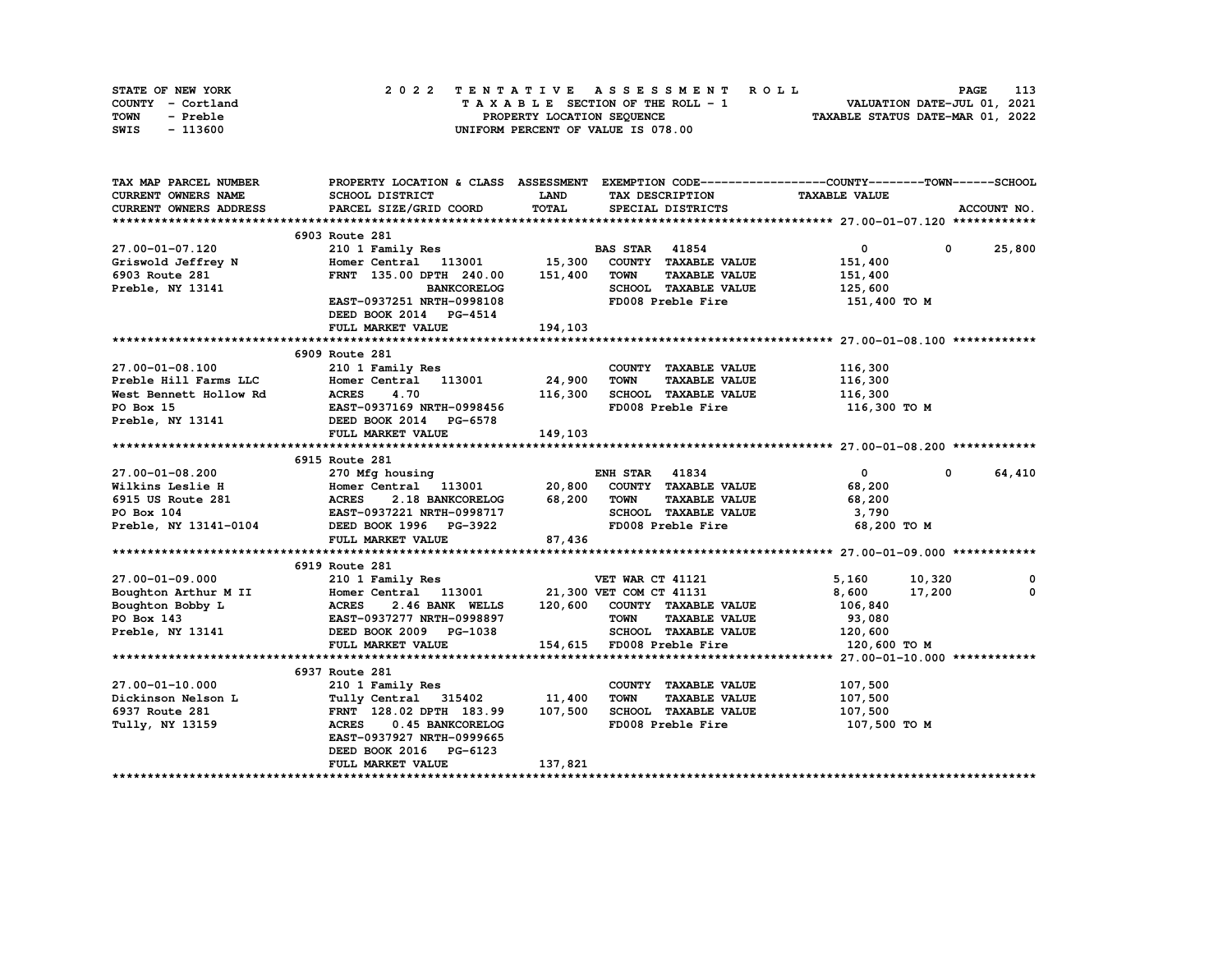| STATE OF NEW YORK | 2022 TENTATIVE ASSESSMENT ROLL     | 113<br><b>PAGE</b>               |
|-------------------|------------------------------------|----------------------------------|
| COUNTY - Cortland | TAXABLE SECTION OF THE ROLL - 1    | VALUATION DATE-JUL 01, 2021      |
| TOWN<br>- Preble  | PROPERTY LOCATION SEQUENCE         | TAXABLE STATUS DATE-MAR 01, 2022 |
| SWIS<br>- 113600  | UNIFORM PERCENT OF VALUE IS 078.00 |                                  |

| TAX MAP PARCEL NUMBER                                                      | PROPERTY LOCATION & CLASS ASSESSMENT EXEMPTION CODE-----------------COUNTY-------TOWN------SCHOOL |             |                                                   |                      |                        |
|----------------------------------------------------------------------------|---------------------------------------------------------------------------------------------------|-------------|---------------------------------------------------|----------------------|------------------------|
| CURRENT OWNERS NAME                                                        | SCHOOL DISTRICT                                                                                   | <b>LAND</b> | TAX DESCRIPTION                                   | <b>TAXABLE VALUE</b> |                        |
| <b>CURRENT OWNERS ADDRESS</b>                                              | PARCEL SIZE/GRID COORD                                                                            | TOTAL       | SPECIAL DISTRICTS                                 |                      | ACCOUNT NO.            |
|                                                                            |                                                                                                   |             |                                                   |                      |                        |
|                                                                            | 6903 Route 281                                                                                    |             |                                                   |                      |                        |
| 27.00-01-07.120                                                            | 210 1 Family Res                                                                                  |             | <b>BAS STAR 41854</b>                             | $\mathbf{0}$         | $0 \t 25,800$          |
| Griswold Jeffrey N                                                         | Homer Central 113001 15,300                                                                       |             | COUNTY TAXABLE VALUE                              | 151,400              |                        |
| 6903 Route 281                                                             | FRNT 135.00 DPTH 240.00 151,400                                                                   |             | TOWN<br><b>TAXABLE VALUE</b>                      | 151,400              |                        |
| Preble, NY 13141                                                           | <b>BANKCORELOG</b>                                                                                |             | SCHOOL TAXABLE VALUE                              | 125,600              |                        |
|                                                                            | EAST-0937251 NRTH-0998108                                                                         |             | FD008 Preble Fire                                 | 151,400 TO M         |                        |
|                                                                            | DEED BOOK 2014 PG-4514                                                                            |             |                                                   |                      |                        |
|                                                                            | FULL MARKET VALUE                                                                                 | 194,103     |                                                   |                      |                        |
|                                                                            |                                                                                                   |             |                                                   |                      |                        |
|                                                                            | 6909 Route 281                                                                                    |             |                                                   |                      |                        |
| 27.00-01-08.100                                                            | 210 1 Family Res                                                                                  |             | COUNTY TAXABLE VALUE                              | 116,300              |                        |
| Preble Hill Farms LLC                                                      | Homer Central 113001 24,900                                                                       |             | <b>TOWN</b><br><b>TAXABLE VALUE</b>               | 116,300              |                        |
| West Bennett Hollow Rd                                                     |                                                                                                   | 116,300     | SCHOOL TAXABLE VALUE                              | 116,300              |                        |
| PO Box 15                                                                  | <b>ACRES      4.70<br/>EAST-0937169  NRTH-0998456</b>                                             |             | FD008 Preble Fire                                 | 116,300 то м         |                        |
| Preble, NY 13141 DEED BOOK 2014 PG-6578                                    |                                                                                                   |             |                                                   |                      |                        |
|                                                                            | FULL MARKET VALUE                                                                                 | 149,103     |                                                   |                      |                        |
|                                                                            |                                                                                                   |             |                                                   |                      |                        |
|                                                                            | 6915 Route 281                                                                                    |             |                                                   |                      |                        |
| 27.00-01-08.200                                                            | 270 Mfg housing                                                                                   |             | <b>ENH STAR 41834</b>                             | $\overline{0}$       | 64,410<br>$\mathbf{0}$ |
| <b>Wilkins Leslie H</b>                                                    | Homer Central 113001 20,800                                                                       |             | COUNTY TAXABLE VALUE                              | 68,200               |                        |
|                                                                            | 2.18 BANKCORELOG 68,200                                                                           |             |                                                   | 68,200               |                        |
| 41 ACRES 2.18 BANKCORELOG<br>PO Box 104 6915 104 EAST-0937221 NRTH-0998717 |                                                                                                   |             | TOWN      TAXABLE VALUE<br>SCHOOL   TAXABLE VALUE | 3,790                |                        |
|                                                                            |                                                                                                   |             | FD008 Preble Fire                                 | 68,200 TO M          |                        |
| EASI-0937221 NRTH-0998717<br>Preble, NY 13141-0104 DEED BOOK 1996 PG-3922  |                                                                                                   | 87,436      |                                                   |                      |                        |
|                                                                            |                                                                                                   |             |                                                   |                      |                        |
|                                                                            | 6919 Route 281                                                                                    |             |                                                   |                      |                        |
|                                                                            |                                                                                                   |             |                                                   | 5,160<br>10,320      | 0                      |
|                                                                            |                                                                                                   |             |                                                   | 8,600<br>17,200      | $\mathbf{0}$           |
|                                                                            |                                                                                                   |             | 2.46 BANK WELLS 120,600 COUNTY TAXABLE VALUE      | 106,840              |                        |
|                                                                            |                                                                                                   |             | <b>TAXABLE VALUE</b>                              | 93,080               |                        |
|                                                                            |                                                                                                   |             | SCHOOL TAXABLE VALUE 120,600                      |                      |                        |
|                                                                            | FULL MARKET VALUE                                                                                 |             | 154,615 FD008 Preble Fire                         | 120,600 TO M         |                        |
|                                                                            |                                                                                                   |             |                                                   |                      |                        |
|                                                                            | 6937 Route 281                                                                                    |             |                                                   |                      |                        |
|                                                                            | 210 1 Family Res                                                                                  |             | COUNTY TAXABLE VALUE                              | 107,500              |                        |
| Dickinson Nelson L<br>6937 Route 281<br>Tully, NY 13159                    | Tully Central 315402 11,400                                                                       |             | <b>TAXABLE VALUE</b><br>TOWN                      | 107,500              |                        |
|                                                                            | FRNT 128.02 DPTH 183.99                                                                           | 107,500     | SCHOOL TAXABLE VALUE 107,500                      |                      |                        |
|                                                                            | ACRES 0.45 BANKCORELOG                                                                            |             | FD008 Preble Fire                                 | 107,500 TO M         |                        |
|                                                                            | EAST-0937927 NRTH-0999665                                                                         |             |                                                   |                      |                        |
|                                                                            | DEED BOOK 2016 PG-6123                                                                            |             |                                                   |                      |                        |
|                                                                            | FULL MARKET VALUE                                                                                 | 137,821     |                                                   |                      |                        |
|                                                                            |                                                                                                   |             |                                                   |                      |                        |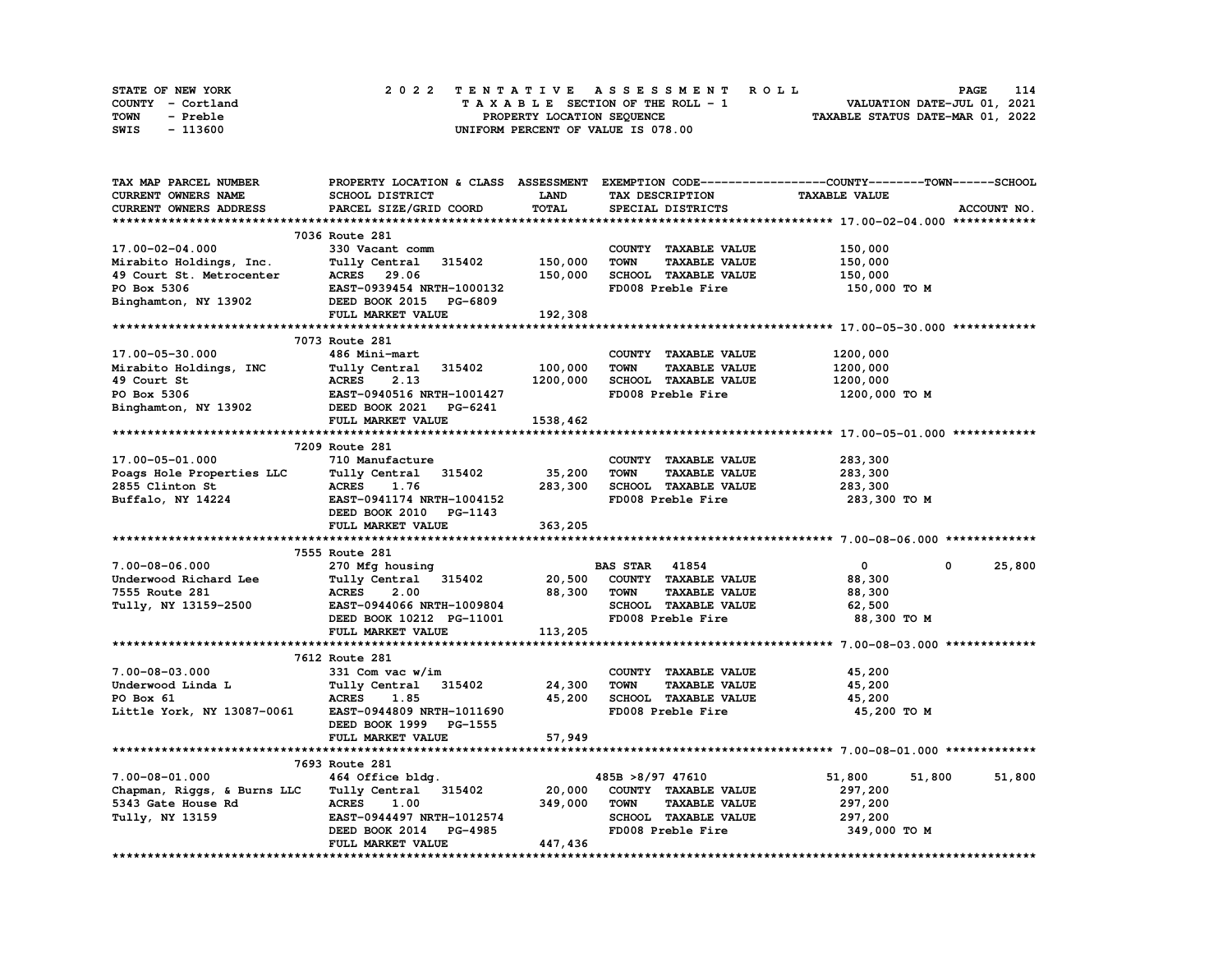| STATE OF NEW YORK | 2022 TENTATIVE ASSESSMENT ROLL     | 114<br>PAGE                      |
|-------------------|------------------------------------|----------------------------------|
| COUNTY - Cortland | TAXABLE SECTION OF THE ROLL - 1    | VALUATION DATE-JUL 01, 2021      |
| TOWN<br>- Preble  | PROPERTY LOCATION SEQUENCE         | TAXABLE STATUS DATE-MAR 01, 2022 |
| - 113600<br>SWIS  | UNIFORM PERCENT OF VALUE IS 078.00 |                                  |

| TAX MAP PARCEL NUMBER                                | PROPERTY LOCATION & CLASS ASSESSMENT EXEMPTION CODE-----------------COUNTY-------TOWN-----SCHOOL |             |                                     |                            |             |
|------------------------------------------------------|--------------------------------------------------------------------------------------------------|-------------|-------------------------------------|----------------------------|-------------|
| <b>CURRENT OWNERS NAME</b>                           | <b>SCHOOL DISTRICT</b>                                                                           | <b>LAND</b> | TAX DESCRIPTION                     | <b>TAXABLE VALUE</b>       |             |
| CURRENT OWNERS ADDRESS                               | PARCEL SIZE/GRID COORD                                                                           | TOTAL       | SPECIAL DISTRICTS                   |                            | ACCOUNT NO. |
|                                                      |                                                                                                  |             |                                     |                            |             |
|                                                      | 7036 Route 281                                                                                   |             |                                     |                            |             |
| 17.00-02-04.000                                      | 330 Vacant comm                                                                                  |             | COUNTY TAXABLE VALUE                | 150,000                    |             |
| Mirabito Holdings, Inc.                              | Tully Central 315402                                                                             | 150,000     | <b>TOWN</b><br><b>TAXABLE VALUE</b> | 150,000                    |             |
| 49 Court St. Metrocenter                             | ACRES 29.06                                                                                      | 150,000     | SCHOOL TAXABLE VALUE                | 150,000                    |             |
| PO Box 5306                                          | EAST-0939454 NRTH-1000132                                                                        |             | FD008 Preble Fire                   | 150,000 то м               |             |
| Binghamton, NY 13902                                 | DEED BOOK 2015 PG-6809                                                                           |             |                                     |                            |             |
|                                                      | FULL MARKET VALUE                                                                                | 192,308     |                                     |                            |             |
|                                                      |                                                                                                  |             |                                     |                            |             |
|                                                      | 7073 Route 281                                                                                   |             |                                     |                            |             |
| 17.00-05-30.000                                      | 486 Mini-mart                                                                                    |             | COUNTY TAXABLE VALUE                | 1200,000                   |             |
| Mirabito Holdings, INC                               | Tully Central 315402                                                                             | 100,000     | <b>TOWN</b><br><b>TAXABLE VALUE</b> | 1200,000                   |             |
| 49 Court St                                          | <b>ACRES</b><br>2.13                                                                             | 1200,000    | SCHOOL TAXABLE VALUE                | 1200,000                   |             |
| PO Box 5306                                          | EAST-0940516 NRTH-1001427                                                                        |             | FD008 Preble Fire                   | 1200,000 TO M              |             |
| Binghamton, NY 13902 DEED BOOK 2021 PG-6241          |                                                                                                  |             |                                     |                            |             |
|                                                      | <b>FULL MARKET VALUE</b>                                                                         | 1538,462    |                                     |                            |             |
|                                                      |                                                                                                  |             |                                     |                            |             |
|                                                      | 7209 Route 281                                                                                   |             |                                     |                            |             |
| 17.00-05-01.000                                      | 710 Manufacture                                                                                  |             | COUNTY TAXABLE VALUE                | 283,300                    |             |
|                                                      |                                                                                                  | 35,200      | <b>TOWN</b><br><b>TAXABLE VALUE</b> | 283,300                    |             |
| Poags Hole Properties LLC                            | Tully Central 315402                                                                             | 283,300     |                                     |                            |             |
| 2855 Clinton St<br>Buffalo, NY 14224                 | <b>ACRES</b><br>1.76                                                                             |             | SCHOOL TAXABLE VALUE                | 283,300                    |             |
|                                                      | EAST-0941174 NRTH-1004152                                                                        |             | FD008 Preble Fire                   | 283,300 то м               |             |
|                                                      | DEED BOOK 2010 PG-1143                                                                           |             |                                     |                            |             |
|                                                      | FULL MARKET VALUE                                                                                | 363,205     |                                     |                            |             |
|                                                      |                                                                                                  |             |                                     |                            |             |
|                                                      | 7555 Route 281                                                                                   |             |                                     |                            |             |
| $7.00 - 08 - 06.000$                                 | 270 Mfg housing                                                                                  |             | <b>BAS STAR 41854</b>               | $\mathbf{0}$<br>$^{\circ}$ | 25,800      |
| Underwood Richard Lee                                | Tully Central 315402                                                                             |             | 20,500 COUNTY TAXABLE VALUE         | 88,300                     |             |
| 7555 Route 281                                       | <b>ACRES</b><br>2.00                                                                             | 88,300      | <b>TOWN</b><br><b>TAXABLE VALUE</b> | 88,300                     |             |
| Tully, NY 13159-2500                                 | <b>EAST-0944066 NRTH-1009804</b>                                                                 |             | SCHOOL TAXABLE VALUE                | 62,500                     |             |
|                                                      | DEED BOOK 10212 PG-11001                                                                         |             | FD008 Preble Fire                   | 88,300 TO M                |             |
|                                                      | FULL MARKET VALUE                                                                                | 113,205     |                                     |                            |             |
|                                                      |                                                                                                  |             |                                     |                            |             |
|                                                      | 7612 Route 281                                                                                   |             |                                     |                            |             |
| 7.00-08-03.000                                       | 331 Com vac w/im                                                                                 |             | COUNTY TAXABLE VALUE                | 45,200                     |             |
| Underwood Linda L                                    | Tully Central 315402                                                                             | 24,300      | <b>TOWN</b><br><b>TAXABLE VALUE</b> | 45,200                     |             |
| PO Box 61                                            | ACRES 1.85                                                                                       | 45,200      | SCHOOL TAXABLE VALUE                | 45,200                     |             |
| Little York, NY 13087-0061 EAST-0944809 NRTH-1011690 |                                                                                                  |             | FD008 Preble Fire                   | 45,200 TO M                |             |
|                                                      | DEED BOOK 1999 PG-1555                                                                           |             |                                     |                            |             |
|                                                      | FULL MARKET VALUE                                                                                | 57,949      |                                     |                            |             |
|                                                      |                                                                                                  |             |                                     |                            |             |
|                                                      | 7693 Route 281                                                                                   |             |                                     |                            |             |
| 7.00-08-01.000                                       | 464 Office bldg.                                                                                 |             | 485B >8/97 47610                    | 51,800<br>51,800           | 51,800      |
| Chapman, Riggs, & Burns LLC                          | Tully Central 315402 20,000                                                                      |             | COUNTY TAXABLE VALUE                | 297,200                    |             |
| 5343 Gate House Rd                                   | <b>ACRES</b><br>1.00                                                                             | 349,000     | <b>TOWN</b><br><b>TAXABLE VALUE</b> | 297,200                    |             |
| Tully, NY 13159                                      | EAST-0944497 NRTH-1012574                                                                        |             | SCHOOL TAXABLE VALUE                | 297,200                    |             |
|                                                      | DEED BOOK 2014 PG-4985                                                                           |             | FD008 Preble Fire                   | 349,000 TO M               |             |
|                                                      | FULL MARKET VALUE                                                                                | 447,436     |                                     |                            |             |
|                                                      |                                                                                                  |             |                                     |                            |             |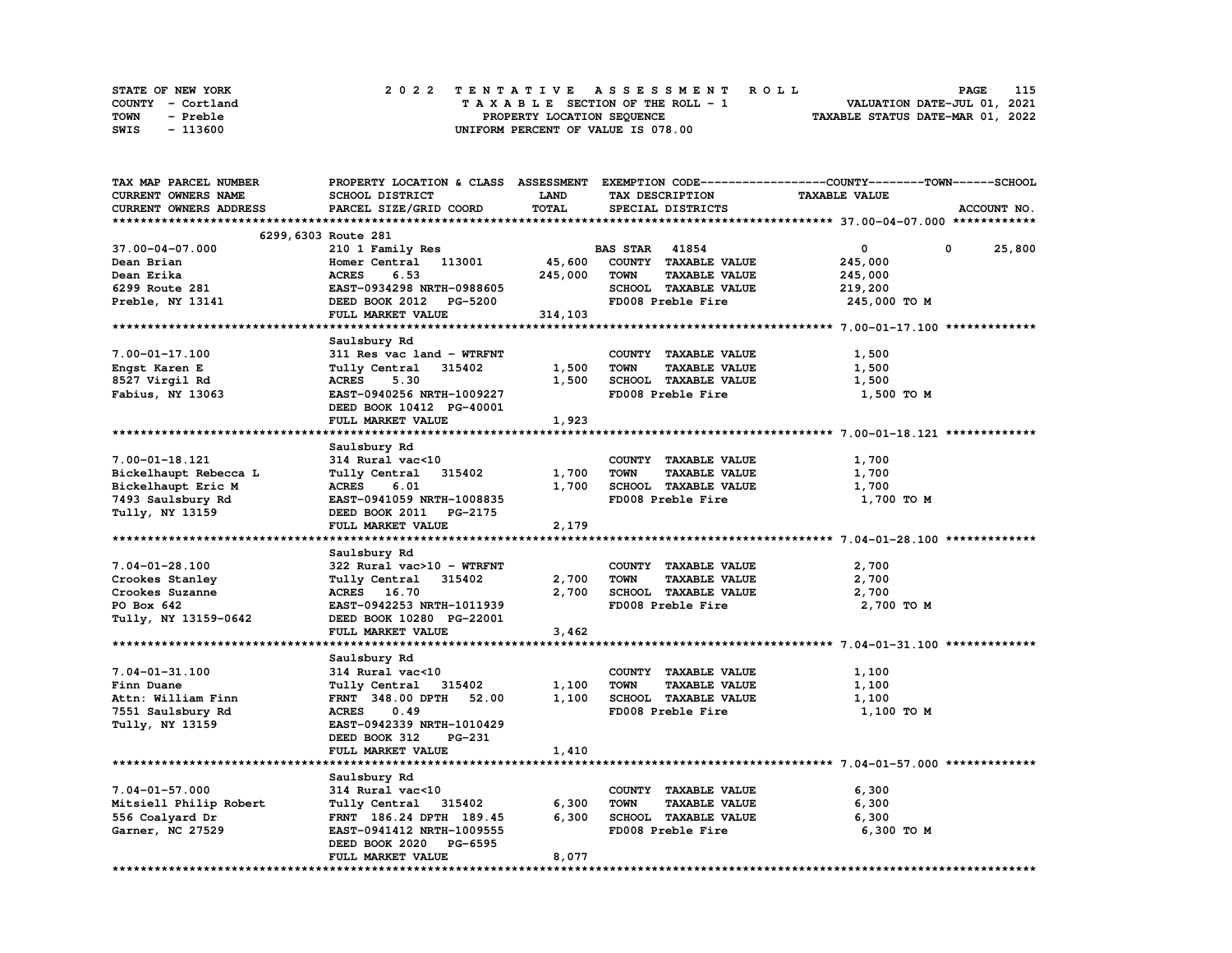| STATE OF NEW YORK | 2022 TENTATIVE ASSESSMENT ROLL     | 115<br>PAGE                      |
|-------------------|------------------------------------|----------------------------------|
| COUNTY - Cortland | TAXABLE SECTION OF THE ROLL - 1    | VALUATION DATE-JUL 01, 2021      |
| TOWN<br>- Preble  | PROPERTY LOCATION SEQUENCE         | TAXABLE STATUS DATE-MAR 01, 2022 |
| - 113600<br>SWIS  | UNIFORM PERCENT OF VALUE IS 078.00 |                                  |

| TAX MAP PARCEL NUMBER  |                           |             |                                     | PROPERTY LOCATION & CLASS ASSESSMENT EXEMPTION CODE-----------------COUNTY-------TOWN-----SCHOOL |
|------------------------|---------------------------|-------------|-------------------------------------|--------------------------------------------------------------------------------------------------|
| CURRENT OWNERS NAME    | SCHOOL DISTRICT           | <b>LAND</b> | TAX DESCRIPTION                     | <b>TAXABLE VALUE</b>                                                                             |
| CURRENT OWNERS ADDRESS | PARCEL SIZE/GRID COORD    | TOTAL       | SPECIAL DISTRICTS                   | ACCOUNT NO.                                                                                      |
|                        |                           |             |                                     |                                                                                                  |
|                        | 6299, 6303 Route 281      |             |                                     |                                                                                                  |
| $37.00 - 04 - 07.000$  | 210 1 Family Res          |             | <b>BAS STAR 41854</b>               | $\mathbf{0}$<br>25,800<br>$^{\circ}$                                                             |
| Dean Brian             | Homer Central 113001      | 45,600      | COUNTY TAXABLE VALUE                | 245,000                                                                                          |
| Dean Erika             | 6.53<br><b>ACRES</b>      | 245,000     | <b>TOWN</b><br><b>TAXABLE VALUE</b> | 245,000                                                                                          |
| 6299 Route 281         | EAST-0934298 NRTH-0988605 |             | SCHOOL TAXABLE VALUE                | 219,200                                                                                          |
| Preble, NY 13141       | DEED BOOK 2012 PG-5200    |             | FD008 Preble Fire                   | 245,000 TO M                                                                                     |
|                        | FULL MARKET VALUE         | 314,103     |                                     |                                                                                                  |
|                        |                           |             |                                     |                                                                                                  |
|                        | Saulsbury Rd              |             |                                     |                                                                                                  |
| $7.00 - 01 - 17.100$   | 311 Res vac land - WTRFNT |             | COUNTY TAXABLE VALUE                | 1,500                                                                                            |
| Engst Karen E          | Tully Central 315402      | 1,500       | <b>TOWN</b><br><b>TAXABLE VALUE</b> | 1,500                                                                                            |
| 8527 Virgil Rd         | 5.30<br><b>ACRES</b>      | 1,500       | SCHOOL TAXABLE VALUE                | 1,500                                                                                            |
|                        |                           |             |                                     |                                                                                                  |
| Fabius, NY 13063       | EAST-0940256 NRTH-1009227 |             | FD008 Preble Fire                   | 1,500 TO M                                                                                       |
|                        | DEED BOOK 10412 PG-40001  |             |                                     |                                                                                                  |
|                        | FULL MARKET VALUE         | 1,923       |                                     |                                                                                                  |
|                        |                           |             |                                     |                                                                                                  |
|                        | Saulsbury Rd              |             |                                     |                                                                                                  |
| 7.00-01-18.121         | 314 Rural vac<10          |             | COUNTY TAXABLE VALUE                | 1,700                                                                                            |
| Bickelhaupt Rebecca L  | Tully Central 315402      | 1,700       | <b>TOWN</b><br><b>TAXABLE VALUE</b> | 1,700                                                                                            |
| Bickelhaupt Eric M     | <b>ACRES</b><br>6.01      | 1,700       | SCHOOL TAXABLE VALUE                | 1,700                                                                                            |
| 7493 Saulsbury Rd      | EAST-0941059 NRTH-1008835 |             | FD008 Preble Fire                   | 1,700 TO M                                                                                       |
| Tully, NY 13159        | DEED BOOK 2011 PG-2175    |             |                                     |                                                                                                  |
|                        | FULL MARKET VALUE         | 2,179       |                                     |                                                                                                  |
|                        |                           |             |                                     |                                                                                                  |
|                        | Saulsbury Rd              |             |                                     |                                                                                                  |
| $7.04 - 01 - 28.100$   | 322 Rural vac>10 - WTRFNT |             | COUNTY TAXABLE VALUE                | 2,700                                                                                            |
| Crookes Stanley        | Tully Central 315402      | 2,700       | <b>TOWN</b><br><b>TAXABLE VALUE</b> | 2,700                                                                                            |
| Crookes Suzanne        | ACRES 16.70               | 2,700       | SCHOOL TAXABLE VALUE                | 2,700                                                                                            |
| PO Box 642             | EAST-0942253 NRTH-1011939 |             | FD008 Preble Fire                   | 2,700 TO M                                                                                       |
| Tully, NY 13159-0642   | DEED BOOK 10280 PG-22001  |             |                                     |                                                                                                  |
|                        | FULL MARKET VALUE         | 3,462       |                                     |                                                                                                  |
|                        |                           |             |                                     |                                                                                                  |
|                        | Saulsbury Rd              |             |                                     |                                                                                                  |
| 7.04-01-31.100         | 314 Rural vac<10          |             | COUNTY TAXABLE VALUE                | 1,100                                                                                            |
| Finn Duane             | Tully Central 315402      | 1,100       | <b>TOWN</b><br><b>TAXABLE VALUE</b> | 1,100                                                                                            |
| Attn: William Finn     | FRNT 348.00 DPTH 52.00    | 1,100       | SCHOOL TAXABLE VALUE                | 1,100                                                                                            |
| 7551 Saulsbury Rd      | ACRES 0.49                |             | FD008 Preble Fire                   | 1,100 то м                                                                                       |
| Tully, NY 13159        | EAST-0942339 NRTH-1010429 |             |                                     |                                                                                                  |
|                        | DEED BOOK 312<br>PG-231   |             |                                     |                                                                                                  |
|                        | FULL MARKET VALUE         | 1,410       |                                     |                                                                                                  |
|                        |                           |             |                                     |                                                                                                  |
|                        | Saulsbury Rd              |             |                                     |                                                                                                  |
| $7.04 - 01 - 57.000$   | 314 Rural vac<10          |             | COUNTY TAXABLE VALUE                | 6,300                                                                                            |
| Mitsiell Philip Robert | Tully Central 315402      | 6,300       | <b>TOWN</b><br><b>TAXABLE VALUE</b> | 6,300                                                                                            |
| 556 Coalyard Dr        | FRNT 186.24 DPTH 189.45   | 6,300       | SCHOOL TAXABLE VALUE                | 6,300                                                                                            |
| Garner, NC 27529       | EAST-0941412 NRTH-1009555 |             | FD008 Preble Fire                   | 6,300 TO M                                                                                       |
|                        |                           |             |                                     |                                                                                                  |
|                        | DEED BOOK 2020 PG-6595    |             |                                     |                                                                                                  |
|                        | FULL MARKET VALUE         | 8,077       |                                     |                                                                                                  |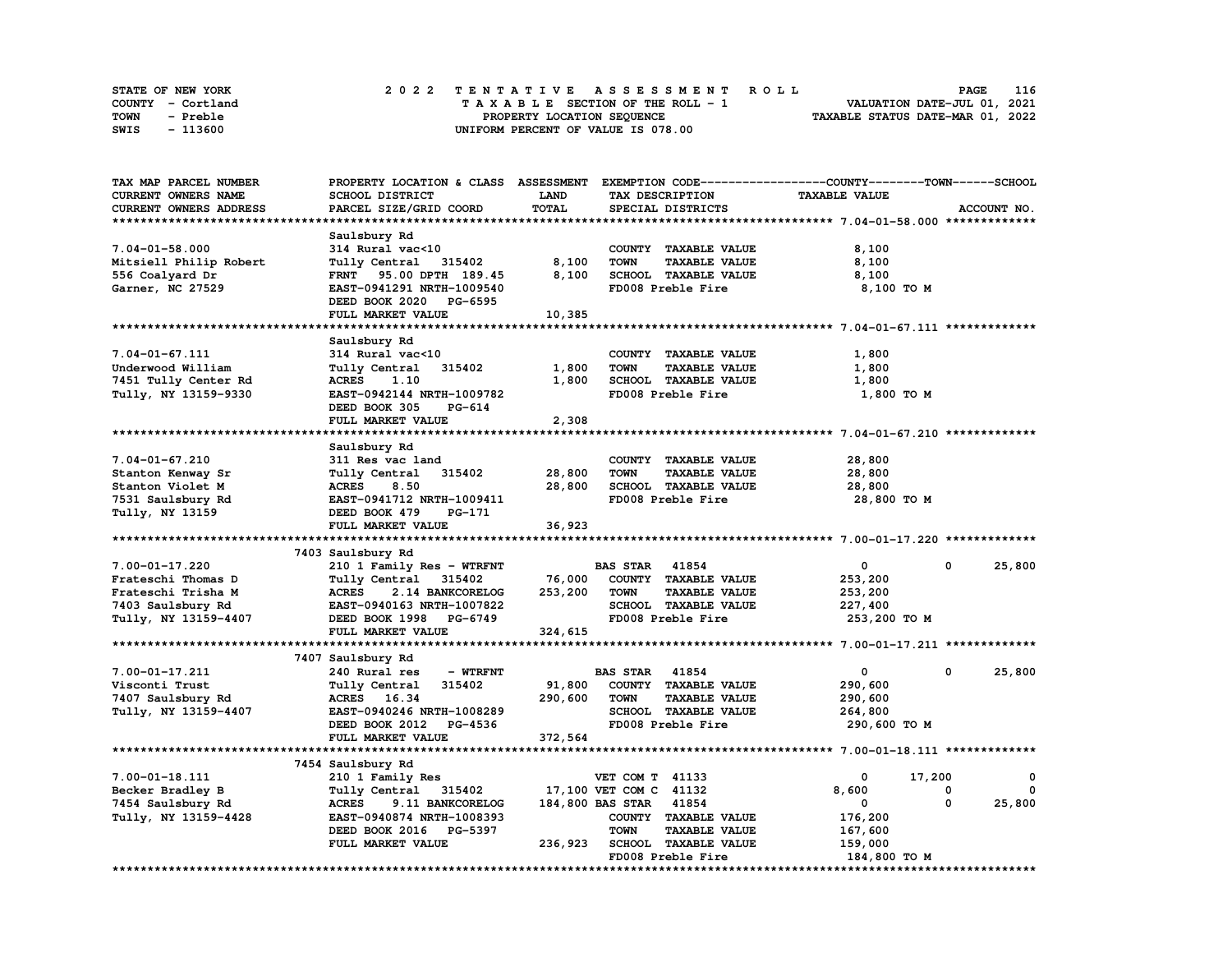| STATE OF NEW YORK | 2022 TENTATIVE ASSESSMENT ROLL     | 116<br><b>PAGE</b>               |
|-------------------|------------------------------------|----------------------------------|
| COUNTY - Cortland | TAXABLE SECTION OF THE ROLL - 1    | VALUATION DATE-JUL 01, 2021      |
| TOWN<br>- Preble  | PROPERTY LOCATION SEQUENCE         | TAXABLE STATUS DATE-MAR 01, 2022 |
| - 113600<br>SWIS  | UNIFORM PERCENT OF VALUE IS 078.00 |                                  |

| TAX MAP PARCEL NUMBER  | PROPERTY LOCATION & CLASS ASSESSMENT EXEMPTION CODE-----------------COUNTY-------TOWN------SCHOOL |             |                                     |                      |                        |
|------------------------|---------------------------------------------------------------------------------------------------|-------------|-------------------------------------|----------------------|------------------------|
| CURRENT OWNERS NAME    | SCHOOL DISTRICT                                                                                   | <b>LAND</b> | TAX DESCRIPTION                     | <b>TAXABLE VALUE</b> |                        |
| CURRENT OWNERS ADDRESS | PARCEL SIZE/GRID COORD                                                                            | TOTAL       | SPECIAL DISTRICTS                   |                      | ACCOUNT NO.            |
|                        |                                                                                                   |             |                                     |                      |                        |
|                        | Saulsbury Rd                                                                                      |             |                                     |                      |                        |
| $7.04 - 01 - 58.000$   | 314 Rural vac<10                                                                                  |             | COUNTY TAXABLE VALUE                | 8,100                |                        |
| Mitsiell Philip Robert | Tully Central 315402                                                                              | 8,100       | <b>TOWN</b><br><b>TAXABLE VALUE</b> | 8,100                |                        |
| 556 Coalyard Dr        | FRNT 95.00 DPTH 189.45                                                                            | 8,100       | SCHOOL TAXABLE VALUE                | 8,100                |                        |
| Garner, NC 27529       | EAST-0941291 NRTH-1009540                                                                         |             | FD008 Preble Fire                   | 8,100 TO M           |                        |
|                        | DEED BOOK 2020 PG-6595                                                                            |             |                                     |                      |                        |
|                        | FULL MARKET VALUE                                                                                 | 10,385      |                                     |                      |                        |
|                        |                                                                                                   |             |                                     |                      |                        |
|                        |                                                                                                   |             |                                     |                      |                        |
|                        | Saulsbury Rd                                                                                      |             |                                     |                      |                        |
| $7.04 - 01 - 67.111$   | 314 Rural vac<10                                                                                  |             | COUNTY TAXABLE VALUE                | 1,800                |                        |
| Underwood William      | Tully Central<br>315402                                                                           | 1,800       | <b>TAXABLE VALUE</b><br><b>TOWN</b> | 1,800                |                        |
| 7451 Tully Center Rd   | <b>ACRES</b><br>1.10                                                                              | 1,800       | SCHOOL TAXABLE VALUE                | 1,800                |                        |
| Tully, NY 13159-9330   | EAST-0942144 NRTH-1009782                                                                         |             | FD008 Preble Fire                   | 1,800 TO M           |                        |
|                        | DEED BOOK 305<br>PG-614                                                                           |             |                                     |                      |                        |
|                        | FULL MARKET VALUE                                                                                 | 2,308       |                                     |                      |                        |
|                        |                                                                                                   |             |                                     |                      |                        |
|                        | Saulsbury Rd                                                                                      |             |                                     |                      |                        |
| $7.04 - 01 - 67.210$   | 311 Res vac land                                                                                  |             | COUNTY TAXABLE VALUE                | 28,800               |                        |
| Stanton Kenway Sr      | Tully Central 315402                                                                              | 28,800      | <b>TOWN</b><br><b>TAXABLE VALUE</b> | 28,800               |                        |
| Stanton Violet M       | <b>ACRES</b><br>8.50                                                                              | 28,800      | SCHOOL TAXABLE VALUE                | 28,800               |                        |
| 7531 Saulsbury Rd      | EAST-0941712 NRTH-1009411                                                                         |             | FD008 Preble Fire                   | 28,800 TO M          |                        |
| Tully, NY 13159        | DEED BOOK 479<br>PG-171                                                                           |             |                                     |                      |                        |
|                        | FULL MARKET VALUE                                                                                 | 36,923      |                                     |                      |                        |
|                        |                                                                                                   |             |                                     |                      |                        |
|                        | 7403 Saulsbury Rd                                                                                 |             |                                     |                      |                        |
| 7.00-01-17.220         | 210 1 Family Res - WTRFNT                                                                         |             | <b>BAS STAR</b> 41854               | 0                    | $\mathbf{0}$<br>25,800 |
| Frateschi Thomas D     | Tully Central<br>315402                                                                           | 76,000      | COUNTY TAXABLE VALUE                | 253,200              |                        |
| Frateschi Trisha M     | <b>ACRES</b><br>2.14 BANKCORELOG                                                                  | 253,200     | <b>TOWN</b><br><b>TAXABLE VALUE</b> | 253,200              |                        |
| 7403 Saulsbury Rd      | EAST-0940163 NRTH-1007822                                                                         |             | SCHOOL TAXABLE VALUE                | 227,400              |                        |
| Tully, NY 13159-4407   | DEED BOOK 1998 PG-6749                                                                            |             | FD008 Preble Fire                   | 253,200 TO M         |                        |
|                        | FULL MARKET VALUE                                                                                 | 324,615     |                                     |                      |                        |
|                        |                                                                                                   |             |                                     |                      |                        |
|                        | 7407 Saulsbury Rd                                                                                 |             |                                     |                      |                        |
| 7.00-01-17.211         | 240 Rural res<br>- WTRFNT                                                                         |             | <b>BAS STAR 41854</b>               | $\mathbf{o}$         | 25,800<br>0            |
| Visconti Trust         | Tully Central<br>315402                                                                           | 91,800      | COUNTY TAXABLE VALUE                | 290,600              |                        |
| 7407 Saulsbury Rd      | ACRES 16.34                                                                                       | 290,600     | <b>TOWN</b><br><b>TAXABLE VALUE</b> | 290,600              |                        |
|                        | EAST-0940246 NRTH-1008289                                                                         |             | SCHOOL TAXABLE VALUE                |                      |                        |
| Tully, NY 13159-4407   |                                                                                                   |             |                                     | 264,800              |                        |
|                        | DEED BOOK 2012 PG-4536                                                                            |             | FD008 Preble Fire                   | 290,600 TO M         |                        |
|                        | FULL MARKET VALUE                                                                                 | 372,564     |                                     |                      |                        |
|                        |                                                                                                   |             |                                     |                      |                        |
|                        | 7454 Saulsbury Rd                                                                                 |             |                                     |                      |                        |
| 7.00-01-18.111         | 210 1 Family Res                                                                                  |             | VET COM T 41133                     | 17,200<br>0          | 0                      |
| Becker Bradley B       | Tully Central 315402                                                                              |             | 17,100 VET COM C 41132              | 8,600                | 0<br>$^{\circ}$        |
| 7454 Saulsbury Rd      | <b>ACRES</b><br>9.11 BANKCORELOG                                                                  |             | 184,800 BAS STAR 41854              | $\mathbf{0}$         | 25,800<br>0            |
| Tully, NY 13159-4428   | EAST-0940874 NRTH-1008393                                                                         |             | COUNTY TAXABLE VALUE                | 176,200              |                        |
|                        | DEED BOOK 2016 PG-5397                                                                            |             | <b>TOWN</b><br><b>TAXABLE VALUE</b> | 167,600              |                        |
|                        | FULL MARKET VALUE                                                                                 | 236,923     | <b>SCHOOL TAXABLE VALUE</b>         | 159,000              |                        |
|                        |                                                                                                   |             | FD008 Preble Fire                   | 184,800 TO M         |                        |
|                        |                                                                                                   |             |                                     |                      |                        |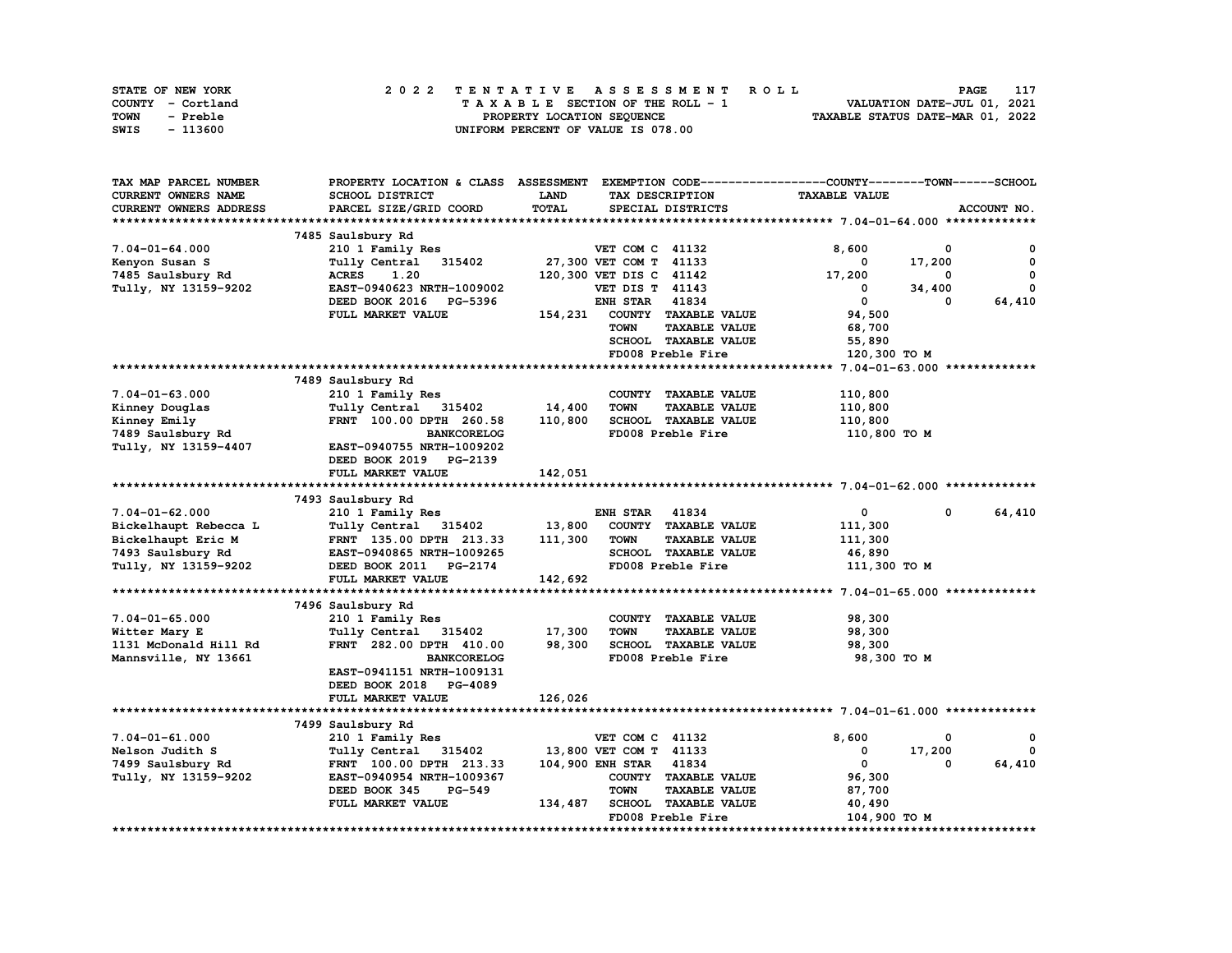| STATE OF NEW YORK | 2022 TENTATIVE ASSESSMENT ROLL     | 117<br><b>PAGE</b>               |
|-------------------|------------------------------------|----------------------------------|
| COUNTY - Cortland | TAXABLE SECTION OF THE ROLL - 1    | VALUATION DATE-JUL 01, 2021      |
| TOWN<br>- Preble  | PROPERTY LOCATION SEOUENCE         | TAXABLE STATUS DATE-MAR 01, 2022 |
| SWIS<br>- 113600  | UNIFORM PERCENT OF VALUE IS 078.00 |                                  |

| TAX MAP PARCEL NUMBER         | PROPERTY LOCATION & CLASS ASSESSMENT |              |                         |                      | EXEMPTION CODE-----------------COUNTY-------TOWN------SCHOOL |              |              |
|-------------------------------|--------------------------------------|--------------|-------------------------|----------------------|--------------------------------------------------------------|--------------|--------------|
| CURRENT OWNERS NAME           | SCHOOL DISTRICT                      | <b>LAND</b>  |                         | TAX DESCRIPTION      | <b>TAXABLE VALUE</b>                                         |              |              |
| <b>CURRENT OWNERS ADDRESS</b> | PARCEL SIZE/GRID COORD               | <b>TOTAL</b> |                         | SPECIAL DISTRICTS    |                                                              |              | ACCOUNT NO.  |
|                               |                                      |              |                         |                      |                                                              |              |              |
|                               | 7485 Saulsbury Rd                    |              |                         |                      |                                                              |              |              |
| $7.04 - 01 - 64.000$          | 210 1 Family Res                     |              | VET COM C 41132         |                      | 8,600                                                        | 0            | 0            |
| Kenyon Susan S                | Tully Central<br>315402              |              | 27,300 VET COM T 41133  |                      | 0                                                            | 17,200       | 0            |
| 7485 Saulsbury Rd             | <b>ACRES</b><br>1.20                 |              | 120,300 VET DIS C 41142 |                      | 17,200                                                       | 0            | $\mathbf{0}$ |
| Tully, NY 13159-9202          | EAST-0940623 NRTH-1009002            |              | VET DIS T 41143         |                      | $\mathbf 0$                                                  | 34,400       | 0            |
|                               | DEED BOOK 2016 PG-5396               |              | <b>ENH STAR</b>         | 41834                | $\mathbf 0$                                                  | $\mathbf{o}$ | 64,410       |
|                               | FULL MARKET VALUE                    | 154,231      |                         | COUNTY TAXABLE VALUE | 94,500                                                       |              |              |
|                               |                                      |              | <b>TOWN</b>             | <b>TAXABLE VALUE</b> | 68,700                                                       |              |              |
|                               |                                      |              |                         |                      |                                                              |              |              |
|                               |                                      |              |                         | SCHOOL TAXABLE VALUE | 55,890                                                       |              |              |
|                               |                                      |              |                         | FD008 Preble Fire    | 120,300 TO M                                                 |              |              |
|                               |                                      |              |                         |                      |                                                              |              |              |
|                               | 7489 Saulsbury Rd                    |              |                         |                      |                                                              |              |              |
| $7.04 - 01 - 63.000$          | 210 1 Family Res                     |              |                         | COUNTY TAXABLE VALUE | 110,800                                                      |              |              |
| Kinney Douglas                | Tully Central 315402                 | 14,400       | <b>TOWN</b>             | <b>TAXABLE VALUE</b> | 110,800                                                      |              |              |
| Kinney Emily                  | FRNT 100.00 DPTH 260.58              | 110,800      |                         | SCHOOL TAXABLE VALUE | 110,800                                                      |              |              |
| 7489 Saulsbury Rd             | <b>BANKCORELOG</b>                   |              |                         | FD008 Preble Fire    | 110,800 TO M                                                 |              |              |
| Tully, NY 13159-4407          | EAST-0940755 NRTH-1009202            |              |                         |                      |                                                              |              |              |
|                               | DEED BOOK 2019 PG-2139               |              |                         |                      |                                                              |              |              |
|                               | FULL MARKET VALUE                    | 142,051      |                         |                      |                                                              |              |              |
|                               |                                      |              |                         |                      |                                                              |              |              |
|                               | 7493 Saulsbury Rd                    |              |                         |                      |                                                              |              |              |
| $7.04 - 01 - 62.000$          | 210 1 Family Res                     |              | <b>ENH STAR</b>         | 41834                | 0                                                            | 0            | 64,410       |
| Bickelhaupt Rebecca L         | Tully Central 315402                 | 13,800       |                         | COUNTY TAXABLE VALUE | 111,300                                                      |              |              |
| Bickelhaupt Eric M            | FRNT 135.00 DPTH 213.33              | 111,300      | <b>TOWN</b>             | <b>TAXABLE VALUE</b> | 111,300                                                      |              |              |
| 7493 Saulsbury Rd             | EAST-0940865 NRTH-1009265            |              |                         | SCHOOL TAXABLE VALUE | 46,890                                                       |              |              |
| Tully, NY 13159-9202          | DEED BOOK 2011 PG-2174               |              |                         | FD008 Preble Fire    | 111,300 TO M                                                 |              |              |
|                               | FULL MARKET VALUE                    | 142,692      |                         |                      |                                                              |              |              |
|                               |                                      |              |                         |                      |                                                              |              |              |
|                               |                                      |              |                         |                      |                                                              |              |              |
|                               | 7496 Saulsbury Rd                    |              |                         |                      |                                                              |              |              |
| $7.04 - 01 - 65.000$          | 210 1 Family Res                     |              |                         | COUNTY TAXABLE VALUE | 98,300                                                       |              |              |
| Witter Mary E                 | Tully Central 315402                 | 17,300       | <b>TOWN</b>             | <b>TAXABLE VALUE</b> | 98,300                                                       |              |              |
| 1131 McDonald Hill Rd         | FRNT 282.00 DPTH 410.00              | 98,300       |                         | SCHOOL TAXABLE VALUE | 98,300                                                       |              |              |
| Mannsville, NY 13661          | <b>BANKCORELOG</b>                   |              |                         | FD008 Preble Fire    | 98,300 TO M                                                  |              |              |
|                               | EAST-0941151 NRTH-1009131            |              |                         |                      |                                                              |              |              |
|                               | DEED BOOK 2018 PG-4089               |              |                         |                      |                                                              |              |              |
|                               | FULL MARKET VALUE                    | 126,026      |                         |                      |                                                              |              |              |
|                               |                                      |              |                         |                      |                                                              |              |              |
|                               | 7499 Saulsbury Rd                    |              |                         |                      |                                                              |              |              |
| $7.04 - 01 - 61.000$          | 210 1 Family Res                     |              | VET COM C 41132         |                      | 8,600                                                        | $\mathbf{o}$ | 0            |
| Nelson Judith S               | Tully Central 315402                 |              | 13,800 VET COM T 41133  |                      | 0                                                            | 17,200       | 0            |
| 7499 Saulsbury Rd             | FRNT 100.00 DPTH 213.33              |              | 104,900 ENH STAR 41834  |                      | 0                                                            | 0            | 64,410       |
| Tully, NY 13159-9202          | EAST-0940954 NRTH-1009367            |              |                         | COUNTY TAXABLE VALUE | 96,300                                                       |              |              |
|                               | PG-549<br>DEED BOOK 345              |              | <b>TOWN</b>             | <b>TAXABLE VALUE</b> | 87,700                                                       |              |              |
|                               | FULL MARKET VALUE                    | 134,487      |                         | SCHOOL TAXABLE VALUE | 40,490                                                       |              |              |
|                               |                                      |              |                         | FD008 Preble Fire    | 104,900 TO M                                                 |              |              |
|                               |                                      |              |                         |                      |                                                              |              |              |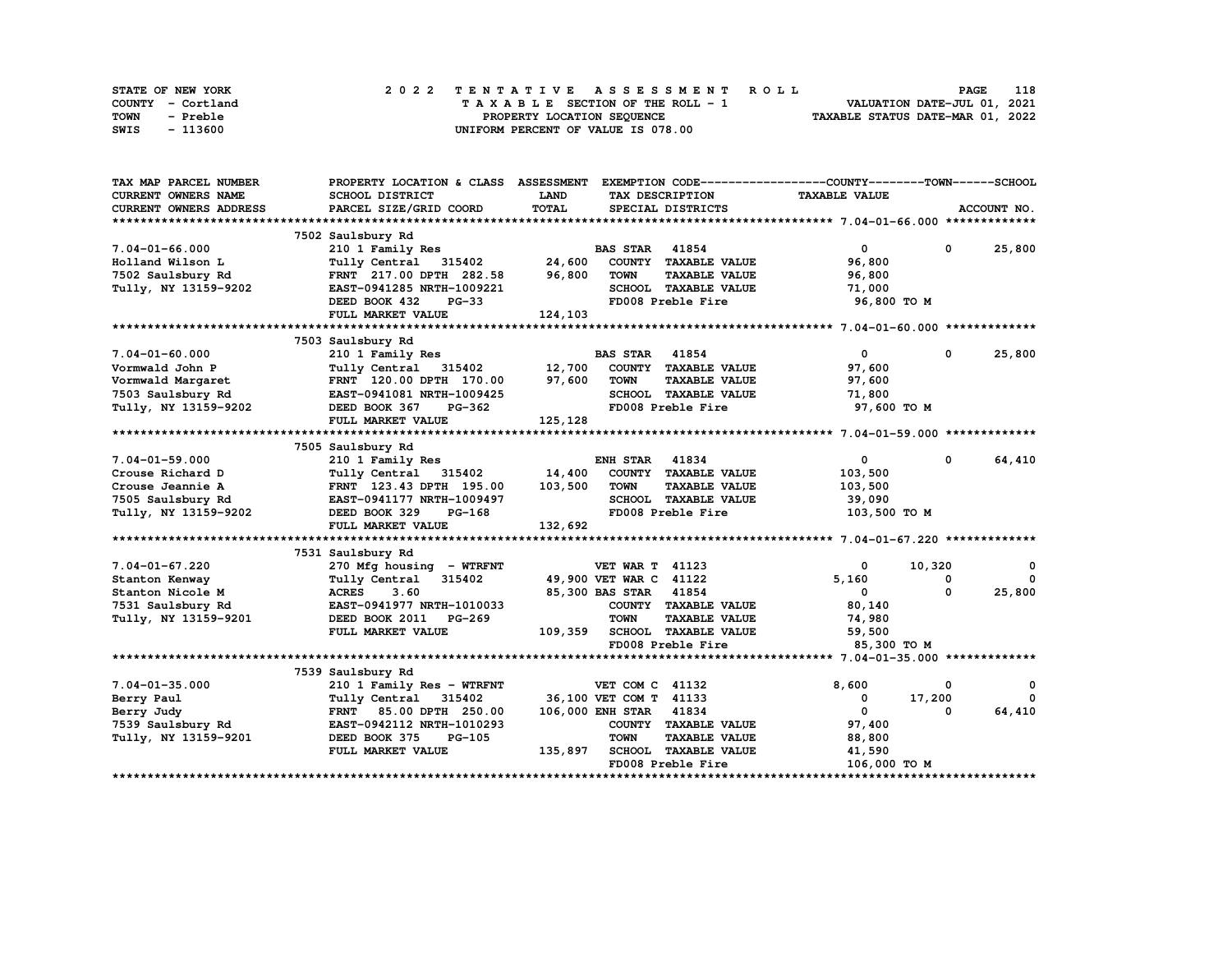| STATE OF NEW YORK | 2022 TENTATIVE ASSESSMENT ROLL     | 118<br>PAGE                      |
|-------------------|------------------------------------|----------------------------------|
| COUNTY - Cortland | TAXABLE SECTION OF THE ROLL - 1    | VALUATION DATE-JUL 01, 2021      |
| TOWN<br>- Preble  | PROPERTY LOCATION SEQUENCE         | TAXABLE STATUS DATE-MAR 01, 2022 |
| - 113600<br>SWIS  | UNIFORM PERCENT OF VALUE IS 078.00 |                                  |

| TAX MAP PARCEL NUMBER         | PROPERTY LOCATION & CLASS ASSESSMENT |             |                                     | EXEMPTION CODE-----------------COUNTY-------TOWN-----SCHOOL |              |             |
|-------------------------------|--------------------------------------|-------------|-------------------------------------|-------------------------------------------------------------|--------------|-------------|
| <b>CURRENT OWNERS NAME</b>    | SCHOOL DISTRICT                      | <b>LAND</b> | TAX DESCRIPTION                     | <b>TAXABLE VALUE</b>                                        |              |             |
| <b>CURRENT OWNERS ADDRESS</b> | PARCEL SIZE/GRID COORD               | TOTAL       | SPECIAL DISTRICTS                   |                                                             |              | ACCOUNT NO. |
|                               |                                      |             |                                     |                                                             |              |             |
|                               | 7502 Saulsbury Rd                    |             |                                     |                                                             |              |             |
| $7.04 - 01 - 66.000$          | 210 1 Family Res                     |             | <b>BAS STAR 41854</b>               | $\mathbf{0}$                                                | $^{\circ}$   | 25,800      |
| Holland Wilson L              | Tully Central 315402                 | 24,600      | COUNTY TAXABLE VALUE                | 96,800                                                      |              |             |
| 7502 Saulsbury Rd             | FRNT 217.00 DPTH 282.58              | 96,800      | <b>TOWN</b><br><b>TAXABLE VALUE</b> | 96,800                                                      |              |             |
| Tully, NY 13159-9202          | EAST-0941285 NRTH-1009221            |             | SCHOOL TAXABLE VALUE                | 71,000                                                      |              |             |
|                               | DEED BOOK 432<br>$PG-33$             |             | FD008 Preble Fire                   | 96,800 TO M                                                 |              |             |
|                               | FULL MARKET VALUE                    | 124,103     |                                     |                                                             |              |             |
|                               |                                      |             |                                     |                                                             |              |             |
|                               | 7503 Saulsbury Rd                    |             |                                     |                                                             |              |             |
| $7.04 - 01 - 60.000$          | 210 1 Family Res                     |             | <b>BAS STAR 41854</b>               | $\mathbf{0}$                                                | 0            | 25,800      |
| Vormwald John P               | Tully Central 315402                 | 12,700      | COUNTY TAXABLE VALUE                | 97,600                                                      |              |             |
| Vormwald Margaret             | FRNT 120.00 DPTH 170.00              | 97,600      | <b>TOWN</b><br><b>TAXABLE VALUE</b> | 97,600                                                      |              |             |
| 7503 Saulsbury Rd             | EAST-0941081 NRTH-1009425            |             | SCHOOL TAXABLE VALUE                | 71,800                                                      |              |             |
| Tully, NY 13159-9202          | DEED BOOK 367<br>PG-362              |             | FD008 Preble Fire                   | 97,600 TO M                                                 |              |             |
|                               | FULL MARKET VALUE                    | 125,128     |                                     |                                                             |              |             |
|                               |                                      |             |                                     |                                                             |              |             |
|                               | 7505 Saulsbury Rd                    |             |                                     |                                                             |              |             |
| $7.04 - 01 - 59.000$          | 210 1 Family Res                     |             | <b>ENH STAR</b><br>41834            | $\mathbf 0$                                                 | 0            | 64,410      |
| Crouse Richard D              | Tully Central 315402                 | 14,400      | COUNTY TAXABLE VALUE                | 103,500                                                     |              |             |
| Crouse Jeannie A              | FRNT 123.43 DPTH 195.00              | 103,500     | <b>TOWN</b><br><b>TAXABLE VALUE</b> | 103,500                                                     |              |             |
|                               |                                      |             | SCHOOL TAXABLE VALUE                |                                                             |              |             |
| 7505 Saulsbury Rd             | EAST-0941177 NRTH-1009497<br>PG-168  |             | FD008 Preble Fire                   | 39,090                                                      |              |             |
| Tully, NY 13159-9202          | DEED BOOK 329                        |             |                                     | 103,500 TO M                                                |              |             |
|                               | FULL MARKET VALUE                    | 132,692     |                                     |                                                             |              |             |
|                               |                                      |             |                                     |                                                             |              |             |
|                               | 7531 Saulsbury Rd                    |             |                                     |                                                             |              |             |
| 7.04-01-67.220                | 270 Mfg housing - WTRFNT             |             | <b>VET WAR T 41123</b>              | 0                                                           | 10,320       | 0           |
| Stanton Kenway                | Tully Central 315402                 |             | 49,900 VET WAR C 41122              | 5,160                                                       | 0            | $\Omega$    |
| Stanton Nicole M              | <b>ACRES</b><br>3.60                 |             | 85,300 BAS STAR 41854               | $\mathbf{0}$                                                | 0            | 25,800      |
| 7531 Saulsbury Rd             | EAST-0941977 NRTH-1010033            |             | COUNTY TAXABLE VALUE                | 80,140                                                      |              |             |
| Tully, NY 13159-9201          | DEED BOOK 2011 PG-269                |             | <b>TOWN</b><br><b>TAXABLE VALUE</b> | 74,980                                                      |              |             |
|                               | FULL MARKET VALUE                    | 109,359     | <b>SCHOOL TAXABLE VALUE</b>         | 59,500                                                      |              |             |
|                               |                                      |             | FD008 Preble Fire                   | 85,300 TO M                                                 |              |             |
|                               |                                      |             |                                     |                                                             |              |             |
|                               | 7539 Saulsbury Rd                    |             |                                     |                                                             |              |             |
| $7.04 - 01 - 35.000$          | 210 1 Family Res - WTRFNT            |             | VET COM C 41132                     | 8,600                                                       | 0            | 0           |
| Berry Paul                    | Tully Central 315402                 |             | 36,100 VET COM T 41133              | 0                                                           | 17,200       | $\Omega$    |
| Berry Judy                    | FRNT 85.00 DPTH 250.00               |             | 41834<br>106,000 ENH STAR           | $\mathbf 0$                                                 | <sup>0</sup> | 64,410      |
| 7539 Saulsbury Rd             | EAST-0942112 NRTH-1010293            |             | COUNTY TAXABLE VALUE                | 97,400                                                      |              |             |
| Tully, NY 13159-9201          | DEED BOOK 375<br><b>PG-105</b>       |             | <b>TOWN</b><br><b>TAXABLE VALUE</b> | 88,800                                                      |              |             |
|                               | FULL MARKET VALUE                    | 135,897     | <b>SCHOOL TAXABLE VALUE</b>         | 41,590                                                      |              |             |
|                               |                                      |             | FD008 Preble Fire                   | 106,000 TO M                                                |              |             |
|                               |                                      |             |                                     |                                                             |              |             |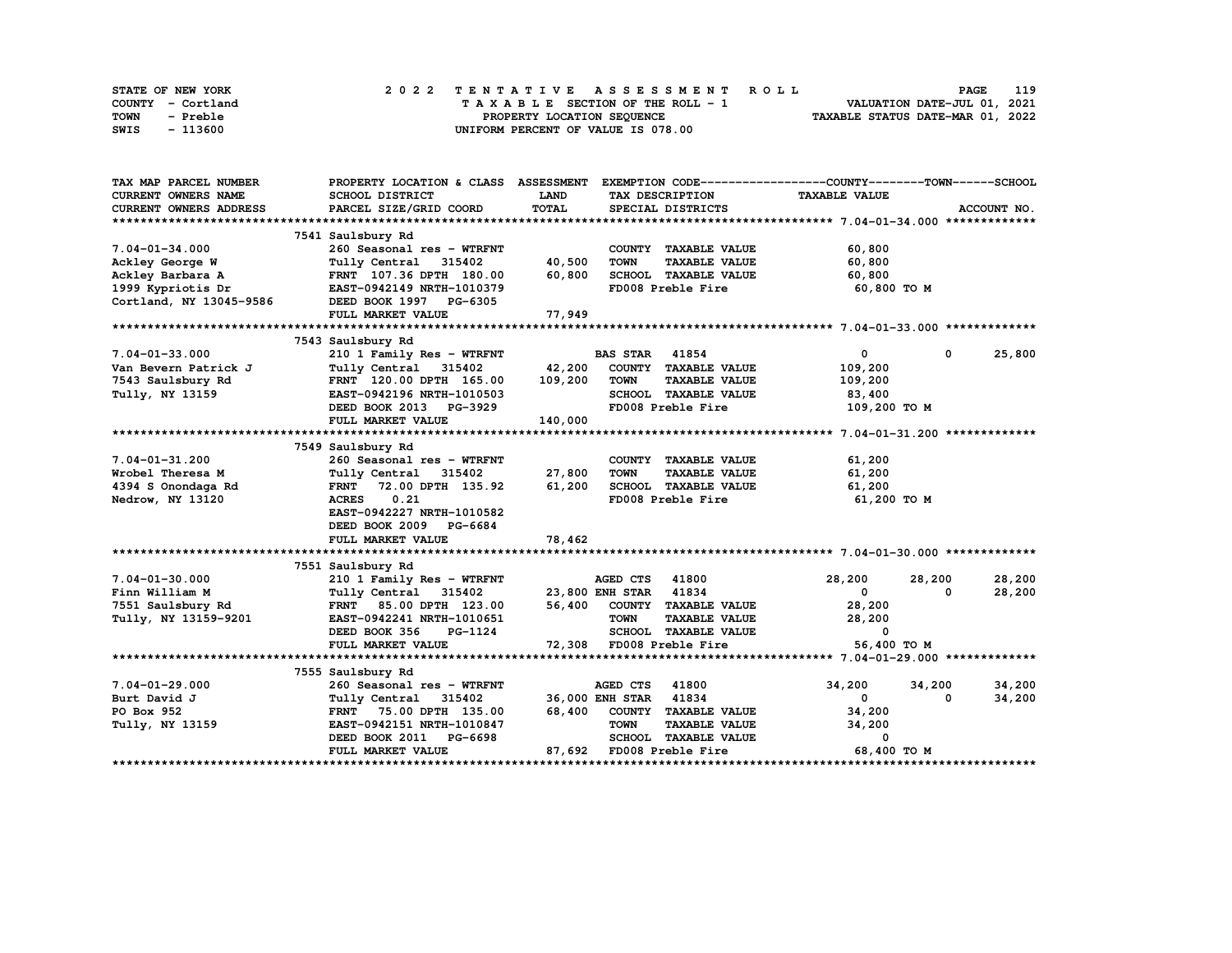| STATE OF NEW YORK | 2022 TENTATIVE ASSESSMENT ROLL     | 119<br><b>PAGE</b>               |
|-------------------|------------------------------------|----------------------------------|
| COUNTY - Cortland | TAXABLE SECTION OF THE ROLL - 1    | VALUATION DATE-JUL 01, 2021      |
| TOWN<br>- Preble  | PROPERTY LOCATION SEQUENCE         | TAXABLE STATUS DATE-MAR 01, 2022 |
| - 113600<br>SWIS  | UNIFORM PERCENT OF VALUE IS 078.00 |                                  |

| TAX MAP PARCEL NUMBER                | PROPERTY LOCATION & CLASS ASSESSMENT |             |                                     | EXEMPTION CODE-----------------COUNTY-------TOWN------SCHOOL |             |
|--------------------------------------|--------------------------------------|-------------|-------------------------------------|--------------------------------------------------------------|-------------|
| <b>CURRENT OWNERS NAME</b>           | <b>SCHOOL DISTRICT</b>               | <b>LAND</b> | TAX DESCRIPTION                     | <b>TAXABLE VALUE</b>                                         |             |
| CURRENT OWNERS ADDRESS               | PARCEL SIZE/GRID COORD               | TOTAL       | SPECIAL DISTRICTS                   |                                                              | ACCOUNT NO. |
|                                      |                                      |             |                                     |                                                              |             |
|                                      | 7541 Saulsbury Rd                    |             |                                     |                                                              |             |
| $7.04 - 01 - 34.000$                 | 260 Seasonal res - WTRFNT            |             | COUNTY TAXABLE VALUE                | 60,800                                                       |             |
| Ackley George W                      | Tully Central 315402                 | 40,500      | <b>TOWN</b><br><b>TAXABLE VALUE</b> | 60,800                                                       |             |
| Ackley Barbara A                     | FRNT 107.36 DPTH 180.00              | 60,800      | SCHOOL TAXABLE VALUE                | 60,800                                                       |             |
| 1999 Kypriotis Dr                    | EAST-0942149 NRTH-1010379            |             | FD008 Preble Fire                   | 60,800 TO M                                                  |             |
| Cortland, NY 13045-9586              | DEED BOOK 1997 PG-6305               |             |                                     |                                                              |             |
|                                      | FULL MARKET VALUE                    | 77,949      |                                     |                                                              |             |
|                                      |                                      |             |                                     |                                                              |             |
|                                      | 7543 Saulsbury Rd                    |             |                                     |                                                              |             |
| 7.04-01-33.000                       | 210 1 Family Res - WTRFNT            |             | <b>BAS STAR</b><br>41854            | $\overline{0}$<br>$\mathbf{0}$                               | 25,800      |
| Van Bevern Patrick J                 | Tully Central 315402                 | 42,200      | COUNTY TAXABLE VALUE                | 109,200                                                      |             |
|                                      | FRNT 120.00 DPTH 165.00              | 109,200     | <b>TOWN</b><br><b>TAXABLE VALUE</b> | 109,200                                                      |             |
| 7543 Saulsbury Rd<br>Tully, NY 13159 | EAST-0942196 NRTH-1010503            |             | SCHOOL TAXABLE VALUE                | 83,400                                                       |             |
|                                      | DEED BOOK 2013 PG-3929               |             | FD008 Preble Fire 109,200 TO M      |                                                              |             |
|                                      | FULL MARKET VALUE                    | 140,000     |                                     |                                                              |             |
|                                      |                                      |             |                                     |                                                              |             |
|                                      | 7549 Saulsbury Rd                    |             |                                     |                                                              |             |
| $7.04 - 01 - 31.200$                 | 260 Seasonal res - WTRFNT            |             | COUNTY TAXABLE VALUE                | 61,200                                                       |             |
| Wrobel Theresa M                     | Tully Central 315402                 | 27,800      | <b>TOWN</b><br><b>TAXABLE VALUE</b> | 61,200                                                       |             |
| 4394 S Onondaga Rd                   | FRNT 72.00 DPTH 135.92 61,200        |             | SCHOOL TAXABLE VALUE                | 61,200                                                       |             |
| Nedrow, NY 13120                     | 0.21<br><b>ACRES</b>                 |             | FD008 Preble Fire                   | 61,200 TO M                                                  |             |
|                                      | EAST-0942227 NRTH-1010582            |             |                                     |                                                              |             |
|                                      | DEED BOOK 2009 PG-6684               |             |                                     |                                                              |             |
|                                      | FULL MARKET VALUE                    | 78,462      |                                     |                                                              |             |
|                                      |                                      |             |                                     |                                                              |             |
|                                      | 7551 Saulsbury Rd                    |             |                                     |                                                              |             |
| $7.04 - 01 - 30.000$                 | 210 1 Family Res - WTRFNT            |             | AGED CTS 41800                      | 28,200<br>28,200                                             | 28,200      |
| Finn William M                       | Tully Central 315402                 |             | 23,800 ENH STAR 41834               | $\mathbf{0}$<br>$^{\circ}$                                   | 28,200      |
| 7551 Saulsbury Rd                    | FRNT 85.00 DPTH 123.00               |             | 56,400 COUNTY TAXABLE VALUE         | 28,200                                                       |             |
| Tully, NY 13159-9201                 | EAST-0942241 NRTH-1010651            |             | <b>TOWN</b><br>TAXABLE VALUE        | 28,200                                                       |             |
|                                      | DEED BOOK 356<br>PG-1124             |             | SCHOOL TAXABLE VALUE                | $\Omega$                                                     |             |
|                                      | FULL MARKET VALUE                    |             | 72,308 FD008 Preble Fire            | 56,400 ТО М                                                  |             |
|                                      |                                      |             |                                     |                                                              |             |
|                                      | 7555 Saulsbury Rd                    |             |                                     |                                                              |             |
| $7.04 - 01 - 29.000$                 | 260 Seasonal res - WTRFNT            |             | AGED CTS 41800                      | 34,200<br>34,200                                             | 34,200      |
| Burt David J                         | Tully Central 315402                 |             | 36,000 ENH STAR 41834               | $\mathbf{0}$<br>$^{\circ}$                                   | 34,200      |
| PO Box 952                           | FRNT 75.00 DPTH 135.00               |             | 68,400 COUNTY TAXABLE VALUE         | 34,200                                                       |             |
| Tully, NY 13159                      | EAST-0942151 NRTH-1010847            |             | <b>TOWN</b><br><b>TAXABLE VALUE</b> | 34,200                                                       |             |
|                                      | DEED BOOK 2011 PG-6698               |             | SCHOOL TAXABLE VALUE                | 0                                                            |             |
|                                      | FULL MARKET VALUE                    |             | 87,692 FD008 Preble Fire            | 68,400 TO M                                                  |             |
|                                      |                                      |             |                                     |                                                              |             |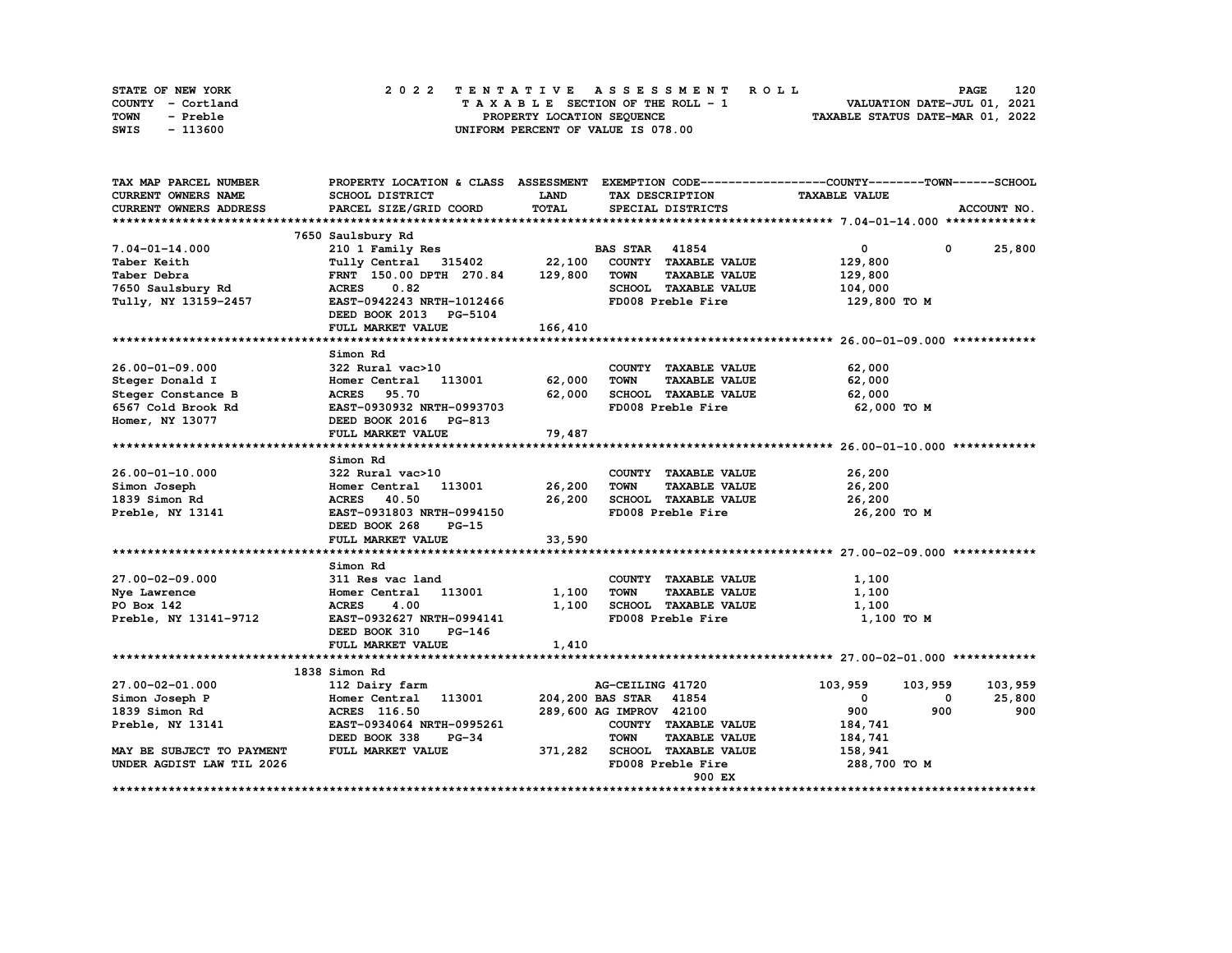| STATE OF NEW YORK |          | 2022 TENTATIVE ASSESSMENT ROLL |  |  |                                    |  |  |  |  |                                  | <b>PAGE</b>                 | 120 |
|-------------------|----------|--------------------------------|--|--|------------------------------------|--|--|--|--|----------------------------------|-----------------------------|-----|
| COUNTY - Cortland |          |                                |  |  | TAXABLE SECTION OF THE ROLL - 1    |  |  |  |  |                                  | VALUATION DATE-JUL 01, 2021 |     |
| TOWN              | - Preble |                                |  |  | PROPERTY LOCATION SEQUENCE         |  |  |  |  | TAXABLE STATUS DATE-MAR 01, 2022 |                             |     |
| SWIS              | - 113600 |                                |  |  | UNIFORM PERCENT OF VALUE IS 078.00 |  |  |  |  |                                  |                             |     |

| TAX MAP PARCEL NUMBER      | PROPERTY LOCATION & CLASS ASSESSMENT EXEMPTION CODE----------------COUNTY-------TOWN-----SCHOOL |         |                                     |                      |             |             |
|----------------------------|-------------------------------------------------------------------------------------------------|---------|-------------------------------------|----------------------|-------------|-------------|
| <b>CURRENT OWNERS NAME</b> | <b>SCHOOL DISTRICT</b>                                                                          | LAND    | TAX DESCRIPTION                     | <b>TAXABLE VALUE</b> |             |             |
| CURRENT OWNERS ADDRESS     | PARCEL SIZE/GRID COORD                                                                          | TOTAL   | SPECIAL DISTRICTS                   |                      |             | ACCOUNT NO. |
|                            |                                                                                                 |         |                                     |                      |             |             |
|                            | 7650 Saulsbury Rd                                                                               |         |                                     |                      |             |             |
| $7.04 - 01 - 14.000$       | 210 1 Family Res                                                                                |         | <b>BAS STAR 41854</b>               | $\mathbf 0$          | $\mathbf 0$ | 25,800      |
| Taber Keith                | Tully Central 315402 22,100                                                                     |         | COUNTY TAXABLE VALUE                | 129,800              |             |             |
| Taber Debra                | FRNT 150.00 DPTH 270.84                                                                         | 129,800 | <b>TOWN</b><br><b>TAXABLE VALUE</b> | 129,800              |             |             |
| 7650 Saulsbury Rd          | 0.82<br><b>ACRES</b>                                                                            |         | SCHOOL TAXABLE VALUE                | 104,000              |             |             |
| Tully, NY 13159-2457       | EAST-0942243 NRTH-1012466                                                                       |         | FD008 Preble Fire                   | 129,800 TO M         |             |             |
|                            | DEED BOOK 2013 PG-5104                                                                          |         |                                     |                      |             |             |
|                            | FULL MARKET VALUE                                                                               | 166,410 |                                     |                      |             |             |
|                            |                                                                                                 |         |                                     |                      |             |             |
|                            | Simon Rd                                                                                        |         |                                     |                      |             |             |
| $26.00 - 01 - 09.000$      | 322 Rural vac>10                                                                                |         | COUNTY TAXABLE VALUE                | 62,000               |             |             |
| Steger Donald I            | 113001<br>Homer Central                                                                         | 62,000  | <b>TOWN</b><br><b>TAXABLE VALUE</b> | 62,000               |             |             |
| Steger Constance B         | 95.70<br><b>ACRES</b>                                                                           | 62,000  | SCHOOL TAXABLE VALUE                | 62,000               |             |             |
| 6567 Cold Brook Rd         | EAST-0930932 NRTH-0993703                                                                       |         | FD008 Preble Fire                   | 62,000 TO M          |             |             |
| Homer, NY 13077            | DEED BOOK 2016 PG-813                                                                           |         |                                     |                      |             |             |
|                            | FULL MARKET VALUE                                                                               | 79,487  |                                     |                      |             |             |
|                            |                                                                                                 |         |                                     |                      |             |             |
|                            | Simon Rd                                                                                        |         |                                     |                      |             |             |
| $26.00 - 01 - 10.000$      | 322 Rural vac>10                                                                                |         |                                     |                      |             |             |
|                            | Homer Central 113001                                                                            |         | COUNTY TAXABLE VALUE                | 26,200               |             |             |
| Simon Joseph               |                                                                                                 | 26,200  | <b>TOWN</b><br><b>TAXABLE VALUE</b> | 26,200               |             |             |
| 1839 Simon Rd              | <b>ACRES</b> 40.50                                                                              | 26,200  | SCHOOL TAXABLE VALUE                | 26,200               |             |             |
| Preble, NY 13141           | EAST-0931803 NRTH-0994150                                                                       |         | FD008 Preble Fire                   | 26,200 TO M          |             |             |
|                            | DEED BOOK 268<br>$PG-15$                                                                        |         |                                     |                      |             |             |
|                            | FULL MARKET VALUE                                                                               | 33,590  |                                     |                      |             |             |
|                            |                                                                                                 |         |                                     |                      |             |             |
|                            | Simon Rd                                                                                        |         |                                     |                      |             |             |
| 27.00-02-09.000            | 311 Res vac land                                                                                |         | COUNTY TAXABLE VALUE                | 1,100                |             |             |
| Nye Lawrence               | 113001<br>Homer Central                                                                         | 1,100   | <b>TAXABLE VALUE</b><br><b>TOWN</b> | 1,100                |             |             |
| PO Box 142                 | <b>ACRES</b><br>4.00                                                                            | 1,100   | SCHOOL TAXABLE VALUE                | 1,100                |             |             |
| Preble, NY 13141-9712      | EAST-0932627 NRTH-0994141                                                                       |         | FD008 Preble Fire                   | 1,100 TO M           |             |             |
|                            | $PG-146$<br>DEED BOOK 310                                                                       |         |                                     |                      |             |             |
|                            | FULL MARKET VALUE                                                                               | 1,410   |                                     |                      |             |             |
|                            |                                                                                                 |         |                                     |                      |             |             |
|                            | 1838 Simon Rd                                                                                   |         |                                     |                      |             |             |
| 27.00-02-01.000            | 112 Dairy farm                                                                                  |         | AG-CEILING 41720                    | 103,959              | 103,959     | 103,959     |
| Simon Joseph P             | Homer Central 113001                                                                            |         | 204, 200 BAS STAR 41854             | 0                    | 0           | 25,800      |
| 1839 Simon Rd              | ACRES 116.50                                                                                    |         | 289,600 AG IMPROV 42100             | 900                  | 900         | 900         |
| Preble, NY 13141           | EAST-0934064 NRTH-0995261                                                                       |         | COUNTY TAXABLE VALUE                | 184,741              |             |             |
|                            | DEED BOOK 338<br>$PG-34$                                                                        |         | <b>TOWN</b><br><b>TAXABLE VALUE</b> | 184,741              |             |             |
| MAY BE SUBJECT TO PAYMENT  | FULL MARKET VALUE                                                                               | 371,282 | <b>SCHOOL TAXABLE VALUE</b>         | 158,941              |             |             |
| UNDER AGDIST LAW TIL 2026  |                                                                                                 |         | FD008 Preble Fire                   | 288,700 TO M         |             |             |
|                            |                                                                                                 |         | 900 EX                              |                      |             |             |
|                            |                                                                                                 |         |                                     |                      |             |             |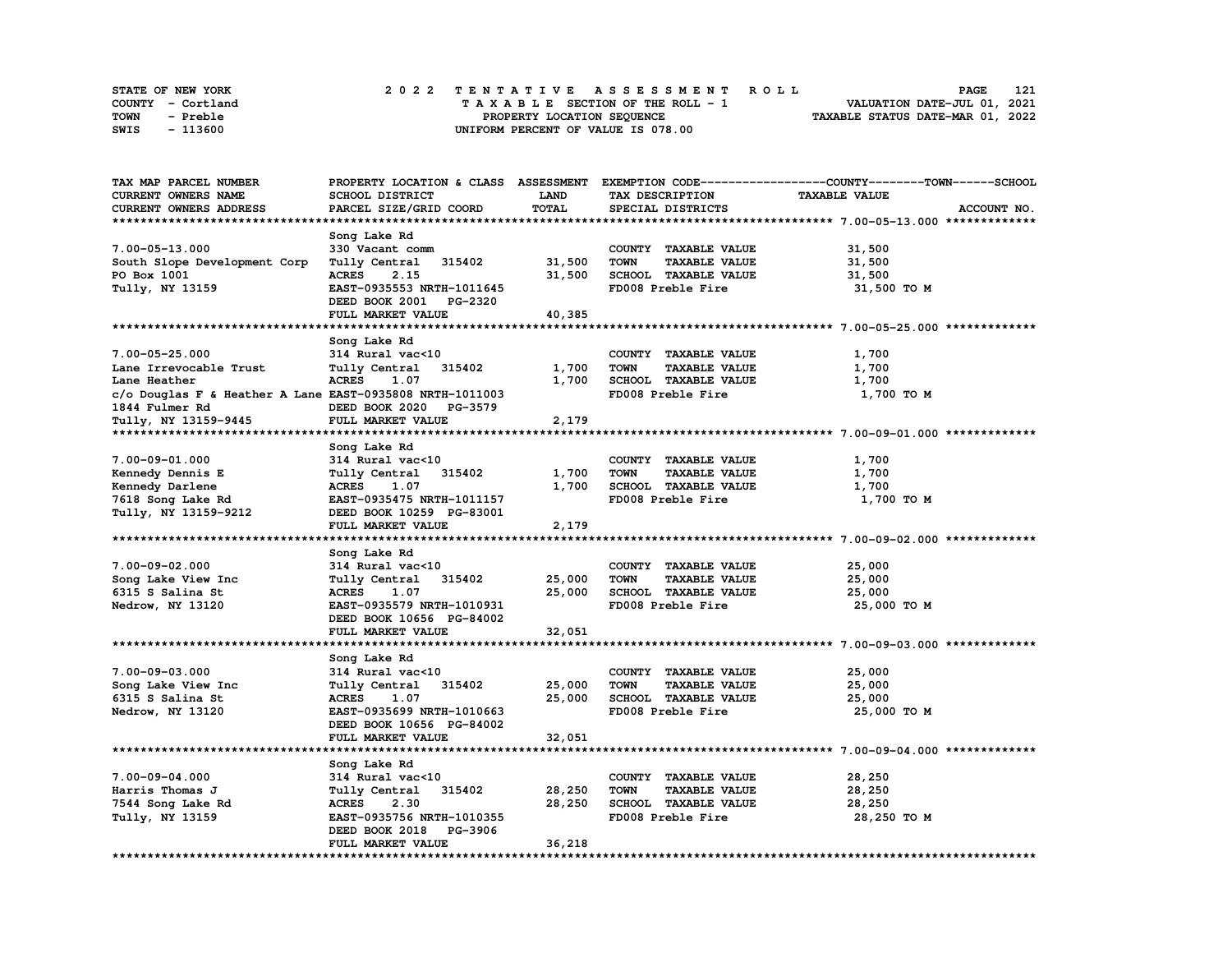| STATE OF NEW YORK | 2022 TENTATIVE ASSESSMENT ROLL     | 121<br><b>PAGE</b>               |
|-------------------|------------------------------------|----------------------------------|
| COUNTY - Cortland | TAXABLE SECTION OF THE ROLL - 1    | VALUATION DATE-JUL 01, 2021      |
| TOWN<br>- Preble  | PROPERTY LOCATION SEQUENCE         | TAXABLE STATUS DATE-MAR 01, 2022 |
| - 113600<br>SWIS  | UNIFORM PERCENT OF VALUE IS 078.00 |                                  |

| TAX MAP PARCEL NUMBER                                       |                                  |             |                                     | PROPERTY LOCATION & CLASS ASSESSMENT EXEMPTION CODE-----------------COUNTY-------TOWN-----SCHOOL |
|-------------------------------------------------------------|----------------------------------|-------------|-------------------------------------|--------------------------------------------------------------------------------------------------|
| CURRENT OWNERS NAME                                         | SCHOOL DISTRICT                  | <b>LAND</b> | TAX DESCRIPTION                     | <b>TAXABLE VALUE</b>                                                                             |
| CURRENT OWNERS ADDRESS                                      | PARCEL SIZE/GRID COORD           | TOTAL       | SPECIAL DISTRICTS                   | ACCOUNT NO.                                                                                      |
|                                                             |                                  |             |                                     |                                                                                                  |
|                                                             | Song Lake Rd                     |             |                                     |                                                                                                  |
| 7.00-05-13.000                                              | 330 Vacant comm                  |             | COUNTY TAXABLE VALUE                | 31,500                                                                                           |
| South Slope Development Corp                                | Tully Central 315402             | 31,500      | <b>TOWN</b><br><b>TAXABLE VALUE</b> | 31,500                                                                                           |
|                                                             |                                  |             |                                     |                                                                                                  |
| PO Box 1001                                                 | <b>ACRES</b><br>2.15             | 31,500      | SCHOOL TAXABLE VALUE                | 31,500                                                                                           |
| Tully, NY 13159                                             | EAST-0935553 NRTH-1011645        |             | FD008 Preble Fire                   | 31,500 TO M                                                                                      |
|                                                             | DEED BOOK 2001<br><b>PG-2320</b> |             |                                     |                                                                                                  |
|                                                             | FULL MARKET VALUE                | 40,385      |                                     |                                                                                                  |
|                                                             |                                  |             |                                     |                                                                                                  |
|                                                             | Song Lake Rd                     |             |                                     |                                                                                                  |
| $7.00 - 05 - 25.000$                                        | 314 Rural vac<10                 |             | COUNTY TAXABLE VALUE                | 1,700                                                                                            |
| Lane Irrevocable Trust                                      | Tully Central<br>315402          | 1,700       | <b>TOWN</b><br><b>TAXABLE VALUE</b> | 1,700                                                                                            |
| Lane Heather                                                | <b>ACRES</b><br>1.07             | 1,700       | SCHOOL TAXABLE VALUE                | 1,700                                                                                            |
| $c$ /o Douglas F & Heather A Lane EAST-0935808 NRTH-1011003 |                                  |             | FD008 Preble Fire                   | 1,700 TO M                                                                                       |
| 1844 Fulmer Rd                                              | DEED BOOK 2020 PG-3579           |             |                                     |                                                                                                  |
|                                                             |                                  |             |                                     |                                                                                                  |
| Tully, NY 13159-9445                                        | FULL MARKET VALUE                | 2,179       |                                     |                                                                                                  |
|                                                             |                                  |             |                                     |                                                                                                  |
|                                                             | Song Lake Rd                     |             |                                     |                                                                                                  |
| $7.00 - 09 - 01.000$                                        | 314 Rural vac<10                 |             | COUNTY TAXABLE VALUE                | 1,700                                                                                            |
| <b>Kennedy Dennis E</b>                                     | Tully Central<br>315402          | 1,700       | <b>TOWN</b><br>TAXABLE VALUE        | 1,700                                                                                            |
| Kennedy Darlene                                             | <b>ACRES</b><br>1.07             | 1,700       | SCHOOL TAXABLE VALUE                | 1,700                                                                                            |
| 7618 Song Lake Rd                                           | EAST-0935475 NRTH-1011157        |             | FD008 Preble Fire                   | 1,700 TO M                                                                                       |
| Tully, NY 13159-9212                                        | DEED BOOK 10259 PG-83001         |             |                                     |                                                                                                  |
|                                                             | FULL MARKET VALUE                | 2,179       |                                     |                                                                                                  |
|                                                             |                                  |             |                                     |                                                                                                  |
|                                                             | Song Lake Rd                     |             |                                     |                                                                                                  |
| $7.00 - 09 - 02.000$                                        | 314 Rural vac<10                 |             | COUNTY TAXABLE VALUE                | 25,000                                                                                           |
|                                                             |                                  |             |                                     |                                                                                                  |
| Song Lake View Inc                                          | Tully Central 315402             | 25,000      | <b>TOWN</b><br><b>TAXABLE VALUE</b> | 25,000                                                                                           |
| 6315 S Salina St                                            | 1.07<br><b>ACRES</b>             | 25,000      | SCHOOL TAXABLE VALUE                | 25,000                                                                                           |
| Nedrow, NY 13120                                            | EAST-0935579 NRTH-1010931        |             | FD008 Preble Fire                   | 25,000 TO M                                                                                      |
|                                                             | DEED BOOK 10656 PG-84002         |             |                                     |                                                                                                  |
|                                                             | FULL MARKET VALUE                | 32,051      |                                     |                                                                                                  |
|                                                             |                                  |             |                                     |                                                                                                  |
|                                                             | Song Lake Rd                     |             |                                     |                                                                                                  |
| $7.00 - 09 - 03.000$                                        | 314 Rural vac<10                 |             | COUNTY TAXABLE VALUE                | 25,000                                                                                           |
| Song Lake View Inc                                          | Tully Central 315402             | 25,000      | <b>TOWN</b><br><b>TAXABLE VALUE</b> | 25,000                                                                                           |
| 6315 S Salina St                                            | ACRES 1.07                       | 25,000      | SCHOOL TAXABLE VALUE                | 25,000                                                                                           |
| Nedrow, NY 13120                                            | EAST-0935699 NRTH-1010663        |             | FD008 Preble Fire                   | 25,000 TO M                                                                                      |
|                                                             |                                  |             |                                     |                                                                                                  |
|                                                             | DEED BOOK 10656 PG-84002         |             |                                     |                                                                                                  |
|                                                             | FULL MARKET VALUE                | 32,051      |                                     |                                                                                                  |
|                                                             |                                  |             |                                     |                                                                                                  |
|                                                             | Song Lake Rd                     |             |                                     |                                                                                                  |
| $7.00 - 09 - 04.000$                                        | 314 Rural vac<10                 |             | COUNTY TAXABLE VALUE                | 28,250                                                                                           |
| Harris Thomas J                                             | Tully Central<br>315402          | 28,250      | <b>TOWN</b><br><b>TAXABLE VALUE</b> | 28,250                                                                                           |
| 7544 Song Lake Rd                                           | <b>ACRES</b><br>2.30             | 28,250      | SCHOOL TAXABLE VALUE                | 28,250                                                                                           |
| Tully, NY 13159                                             | EAST-0935756 NRTH-1010355        |             | FD008 Preble Fire                   | 28,250 TO M                                                                                      |
|                                                             | DEED BOOK 2018 PG-3906           |             |                                     |                                                                                                  |
|                                                             | FULL MARKET VALUE                | 36,218      |                                     |                                                                                                  |
|                                                             |                                  |             |                                     |                                                                                                  |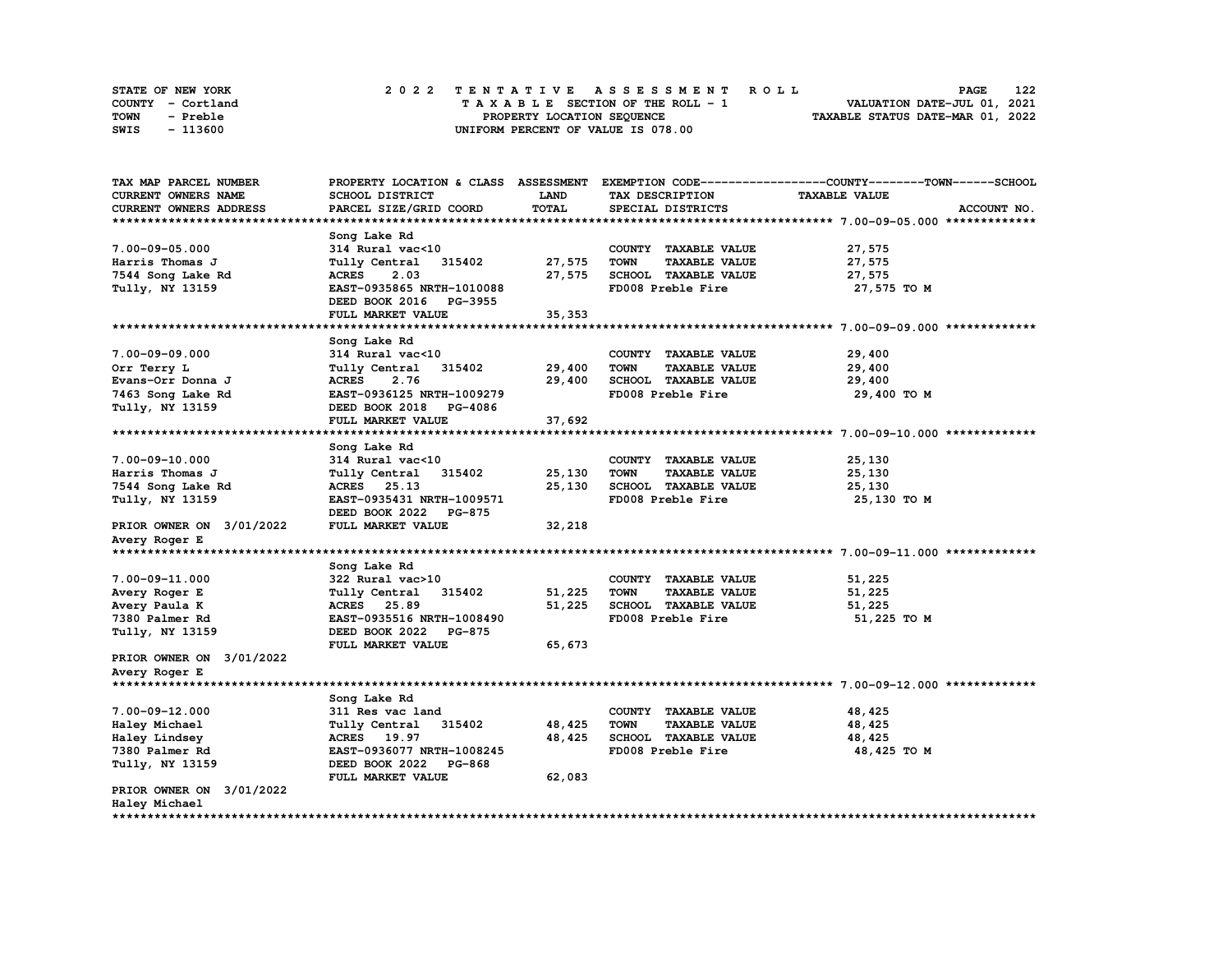| STATE OF NEW YORK | 2022 TENTATIVE ASSESSMENT ROLL     | 122<br><b>PAGE</b>               |
|-------------------|------------------------------------|----------------------------------|
| COUNTY - Cortland | TAXABLE SECTION OF THE ROLL - 1    | VALUATION DATE-JUL 01, 2021      |
| TOWN<br>- Preble  | PROPERTY LOCATION SEQUENCE         | TAXABLE STATUS DATE-MAR 01, 2022 |
| SWIS<br>- 113600  | UNIFORM PERCENT OF VALUE IS 078.00 |                                  |

| TAX MAP PARCEL NUMBER    | PROPERTY LOCATION & CLASS ASSESSMENT |        |                                     | EXEMPTION CODE------------------COUNTY-------TOWN------SCHOOL |
|--------------------------|--------------------------------------|--------|-------------------------------------|---------------------------------------------------------------|
| CURRENT OWNERS NAME      | SCHOOL DISTRICT                      | LAND   | TAX DESCRIPTION                     | <b>TAXABLE VALUE</b>                                          |
| CURRENT OWNERS ADDRESS   | PARCEL SIZE/GRID COORD               | TOTAL  | SPECIAL DISTRICTS                   | ACCOUNT NO.                                                   |
|                          |                                      |        |                                     |                                                               |
|                          | Song Lake Rd                         |        |                                     |                                                               |
| $7.00 - 09 - 05.000$     | 314 Rural vac<10                     |        | COUNTY TAXABLE VALUE                | 27,575                                                        |
| Harris Thomas J          | Tully Central<br>315402              | 27,575 | <b>TOWN</b><br><b>TAXABLE VALUE</b> | 27,575                                                        |
| 7544 Song Lake Rd        | 2.03<br><b>ACRES</b>                 | 27,575 | SCHOOL TAXABLE VALUE                | 27,575                                                        |
| Tully, NY 13159          | EAST-0935865 NRTH-1010088            |        | FD008 Preble Fire                   | 27,575 TO M                                                   |
|                          | DEED BOOK 2016<br>PG-3955            |        |                                     |                                                               |
|                          | FULL MARKET VALUE                    | 35,353 |                                     |                                                               |
|                          |                                      |        |                                     |                                                               |
|                          | Song Lake Rd                         |        |                                     |                                                               |
| $7.00 - 09 - 09.000$     | 314 Rural vac<10                     |        | COUNTY TAXABLE VALUE                | 29,400                                                        |
| Orr Terry L              | Tully Central<br>315402              | 29,400 | <b>TOWN</b><br><b>TAXABLE VALUE</b> | 29,400                                                        |
| Evans-Orr Donna J        | 2.76<br><b>ACRES</b>                 | 29,400 | SCHOOL TAXABLE VALUE                | 29,400                                                        |
| 7463 Song Lake Rd        | EAST-0936125 NRTH-1009279            |        | FD008 Preble Fire                   | 29,400 TO M                                                   |
| Tully, NY 13159          | DEED BOOK 2018<br><b>PG-4086</b>     |        |                                     |                                                               |
|                          | FULL MARKET VALUE                    | 37,692 |                                     |                                                               |
|                          |                                      |        |                                     |                                                               |
|                          | Song Lake Rd                         |        |                                     |                                                               |
| $7.00 - 09 - 10.000$     | 314 Rural vac<10                     |        | COUNTY TAXABLE VALUE                | 25,130                                                        |
| Harris Thomas J          | Tully Central<br>315402              | 25,130 | <b>TOWN</b><br><b>TAXABLE VALUE</b> | 25,130                                                        |
| 7544 Song Lake Rd        | 25.13<br><b>ACRES</b>                | 25,130 | <b>SCHOOL TAXABLE VALUE</b>         | 25,130                                                        |
| Tully, NY 13159          | EAST-0935431 NRTH-1009571            |        | FD008 Preble Fire                   | 25,130 TO M                                                   |
|                          | DEED BOOK 2022<br><b>PG-875</b>      |        |                                     |                                                               |
| PRIOR OWNER ON 3/01/2022 | FULL MARKET VALUE                    | 32,218 |                                     |                                                               |
| Avery Roger E            |                                      |        |                                     |                                                               |
|                          |                                      |        |                                     |                                                               |
|                          | Song Lake Rd                         |        |                                     |                                                               |
| $7.00 - 09 - 11.000$     | 322 Rural vac>10                     |        | COUNTY TAXABLE VALUE                | 51,225                                                        |
| Avery Roger E            | Tully Central<br>315402              | 51,225 | <b>TOWN</b><br><b>TAXABLE VALUE</b> | 51,225                                                        |
| Avery Paula K            | ACRES 25.89                          | 51,225 | SCHOOL TAXABLE VALUE                | 51,225                                                        |
| 7380 Palmer Rd           | EAST-0935516 NRTH-1008490            |        | FD008 Preble Fire                   | 51,225 TO M                                                   |
| Tully, NY 13159          | DEED BOOK 2022<br><b>PG-875</b>      |        |                                     |                                                               |
|                          | FULL MARKET VALUE                    | 65,673 |                                     |                                                               |
| PRIOR OWNER ON 3/01/2022 |                                      |        |                                     |                                                               |
| Avery Roger E            |                                      |        |                                     |                                                               |
| ******************       |                                      |        |                                     |                                                               |
|                          | Song Lake Rd                         |        |                                     |                                                               |
| $7.00 - 09 - 12.000$     | 311 Res vac land                     |        | COUNTY TAXABLE VALUE                | 48,425                                                        |
| Haley Michael            | 315402<br>Tully Central              | 48,425 | <b>TAXABLE VALUE</b><br><b>TOWN</b> | 48,425                                                        |
| Haley Lindsey            | ACRES 19.97                          | 48,425 | <b>SCHOOL TAXABLE VALUE</b>         | 48,425                                                        |
| 7380 Palmer Rd           | EAST-0936077 NRTH-1008245            |        | FD008 Preble Fire                   | 48,425 TO M                                                   |
| Tully, NY 13159          | DEED BOOK 2022<br><b>PG-868</b>      |        |                                     |                                                               |
|                          | FULL MARKET VALUE                    | 62,083 |                                     |                                                               |
| PRIOR OWNER ON 3/01/2022 |                                      |        |                                     |                                                               |
| Haley Michael            |                                      |        |                                     |                                                               |
|                          |                                      |        |                                     |                                                               |
|                          |                                      |        |                                     |                                                               |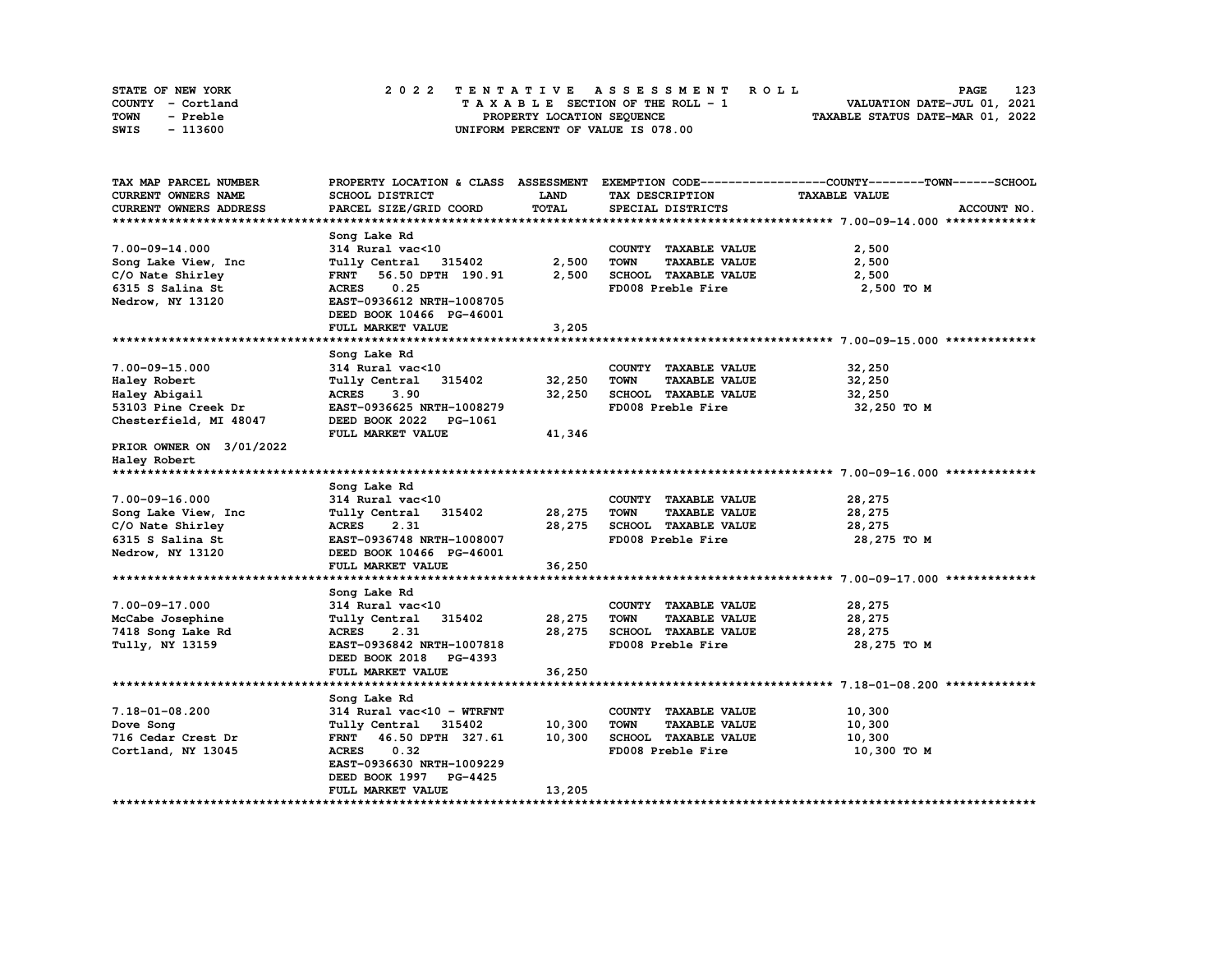| STATE OF NEW YORK | 2022 TENTATIVE ASSESSMENT ROLL     | 123<br><b>PAGE</b>               |
|-------------------|------------------------------------|----------------------------------|
| COUNTY - Cortland | TAXABLE SECTION OF THE ROLL - 1    | VALUATION DATE-JUL 01, 2021      |
| TOWN<br>- Preble  | PROPERTY LOCATION SEQUENCE         | TAXABLE STATUS DATE-MAR 01, 2022 |
| - 113600<br>SWIS  | UNIFORM PERCENT OF VALUE IS 078.00 |                                  |

| TAX MAP PARCEL NUMBER    |                                  |        |                                     | PROPERTY LOCATION & CLASS ASSESSMENT EXEMPTION CODE-----------------COUNTY-------TOWN------SCHOOL |
|--------------------------|----------------------------------|--------|-------------------------------------|---------------------------------------------------------------------------------------------------|
| CURRENT OWNERS NAME      | SCHOOL DISTRICT                  | LAND   | TAX DESCRIPTION                     | <b>TAXABLE VALUE</b>                                                                              |
| CURRENT OWNERS ADDRESS   | PARCEL SIZE/GRID COORD           | TOTAL  | SPECIAL DISTRICTS                   | ACCOUNT NO.                                                                                       |
|                          |                                  |        |                                     |                                                                                                   |
|                          | Song Lake Rd                     |        |                                     |                                                                                                   |
| $7.00 - 09 - 14.000$     | 314 Rural vac<10                 |        | COUNTY TAXABLE VALUE                | 2,500                                                                                             |
| Song Lake View, Inc.     | Tully Central 315402             | 2,500  | <b>TOWN</b><br><b>TAXABLE VALUE</b> | 2,500                                                                                             |
| C/O Nate Shirley         | 56.50 DPTH 190.91<br><b>FRNT</b> | 2,500  | SCHOOL TAXABLE VALUE                | 2,500                                                                                             |
| 6315 S Salina St         | <b>ACRES</b><br>0.25             |        | FD008 Preble Fire                   | 2,500 TO M                                                                                        |
| Nedrow, NY 13120         | EAST-0936612 NRTH-1008705        |        |                                     |                                                                                                   |
|                          | DEED BOOK 10466 PG-46001         |        |                                     |                                                                                                   |
|                          | FULL MARKET VALUE                | 3,205  |                                     |                                                                                                   |
|                          |                                  |        |                                     |                                                                                                   |
|                          | Song Lake Rd                     |        |                                     |                                                                                                   |
| $7.00 - 09 - 15.000$     | 314 Rural vac<10                 |        | COUNTY TAXABLE VALUE                | 32,250                                                                                            |
| Haley Robert             | Tully Central 315402             | 32,250 | <b>TOWN</b><br><b>TAXABLE VALUE</b> | 32,250                                                                                            |
| Haley Abigail            | 3.90<br><b>ACRES</b>             | 32,250 | SCHOOL TAXABLE VALUE                | 32,250                                                                                            |
| 53103 Pine Creek Dr      | EAST-0936625 NRTH-1008279        |        | FD008 Preble Fire                   | 32,250 TO M                                                                                       |
| Chesterfield, MI 48047   | DEED BOOK 2022 PG-1061           |        |                                     |                                                                                                   |
|                          | FULL MARKET VALUE                | 41,346 |                                     |                                                                                                   |
| PRIOR OWNER ON 3/01/2022 |                                  |        |                                     |                                                                                                   |
| Haley Robert             |                                  |        |                                     |                                                                                                   |
|                          |                                  |        |                                     |                                                                                                   |
|                          | Song Lake Rd                     |        |                                     |                                                                                                   |
| $7.00 - 09 - 16.000$     | 314 Rural vac<10                 |        | COUNTY TAXABLE VALUE                | 28,275                                                                                            |
| Song Lake View, Inc      | Tully Central 315402             | 28,275 | <b>TOWN</b><br><b>TAXABLE VALUE</b> | 28,275                                                                                            |
| C/O Nate Shirley         | 2.31<br><b>ACRES</b>             | 28,275 | SCHOOL TAXABLE VALUE                | 28,275                                                                                            |
| 6315 S Salina St         | EAST-0936748 NRTH-1008007        |        | FD008 Preble Fire                   | 28,275 TO M                                                                                       |
| Nedrow, NY 13120         | DEED BOOK 10466 PG-46001         |        |                                     |                                                                                                   |
|                          | FULL MARKET VALUE                | 36,250 |                                     |                                                                                                   |
|                          |                                  |        |                                     |                                                                                                   |
|                          | Song Lake Rd                     |        |                                     |                                                                                                   |
| $7.00 - 09 - 17.000$     | 314 Rural vac<10                 |        | COUNTY TAXABLE VALUE                | 28,275                                                                                            |
| McCabe Josephine         | 315402<br>Tully Central          | 28,275 | <b>TAXABLE VALUE</b><br><b>TOWN</b> | 28,275                                                                                            |
| 7418 Song Lake Rd        | <b>ACRES</b><br>2.31             | 28,275 | SCHOOL TAXABLE VALUE                | 28,275                                                                                            |
| Tully, NY 13159          | EAST-0936842 NRTH-1007818        |        | FD008 Preble Fire                   | 28,275 TO M                                                                                       |
|                          | DEED BOOK 2018 PG-4393           |        |                                     |                                                                                                   |
|                          | FULL MARKET VALUE                | 36,250 |                                     |                                                                                                   |
|                          |                                  |        |                                     |                                                                                                   |
|                          | Song Lake Rd                     |        |                                     |                                                                                                   |
| 7.18-01-08.200           | 314 Rural vac<10 - WTRFNT        |        | COUNTY TAXABLE VALUE                | 10,300                                                                                            |
| Dove Song                | Tully Central<br>315402          | 10,300 | TOWN<br><b>TAXABLE VALUE</b>        | 10,300                                                                                            |
| 716 Cedar Crest Dr       | 46.50 DPTH 327.61<br><b>FRNT</b> | 10,300 | SCHOOL TAXABLE VALUE                | 10,300                                                                                            |
| Cortland, NY 13045       | <b>ACRES</b><br>0.32             |        | FD008 Preble Fire                   | 10,300 TO M                                                                                       |
|                          | EAST-0936630 NRTH-1009229        |        |                                     |                                                                                                   |
|                          | DEED BOOK 1997 PG-4425           |        |                                     |                                                                                                   |
|                          | FULL MARKET VALUE                | 13,205 |                                     |                                                                                                   |
|                          |                                  |        |                                     |                                                                                                   |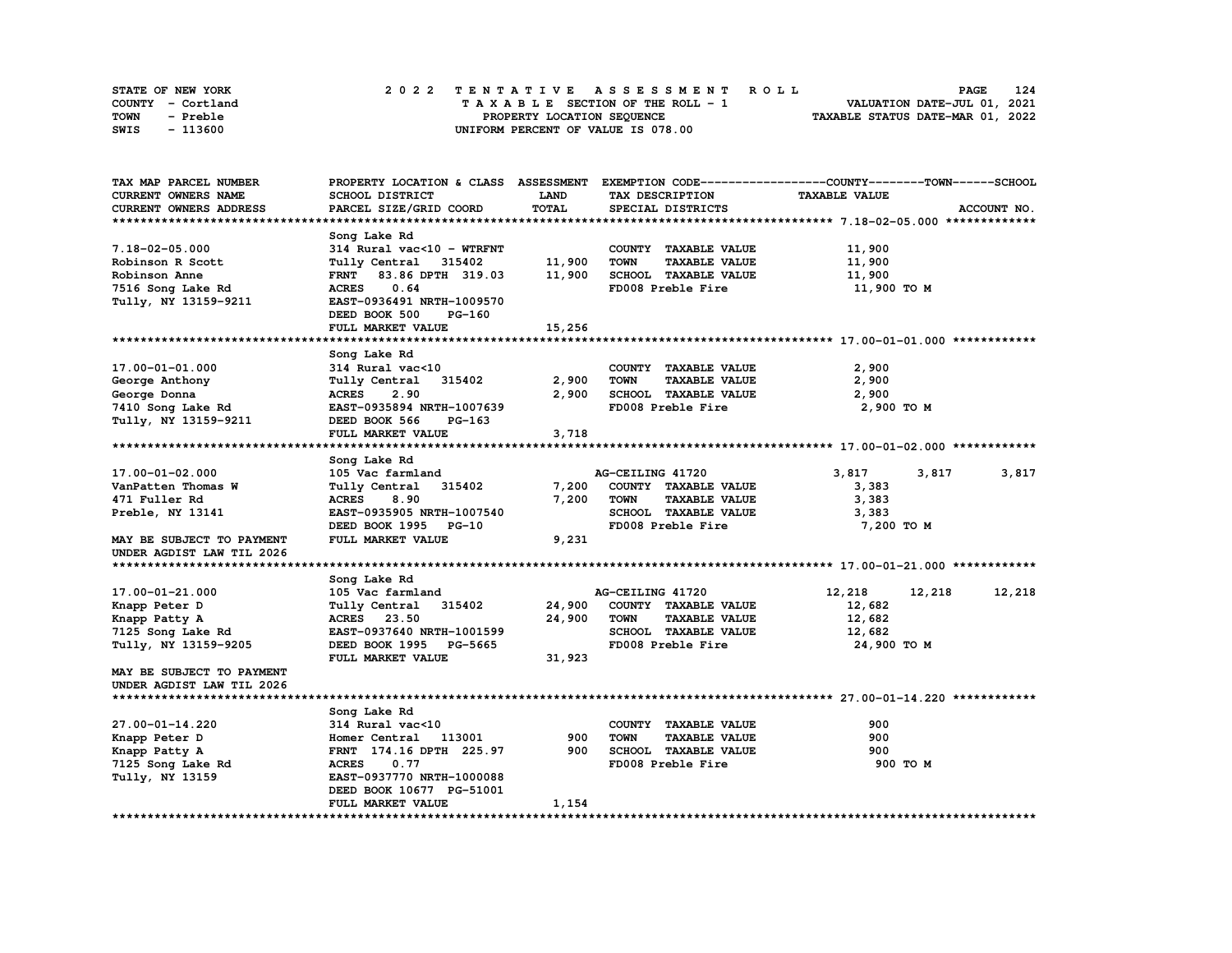| STATE OF NEW YORK |          |  | 2022 TENTATIVE ASSESSMENT ROLL |  |  |  |                                    |  |  |  |  |  |  |  |  | <b>PAGE</b>                      | 124 |
|-------------------|----------|--|--------------------------------|--|--|--|------------------------------------|--|--|--|--|--|--|--|--|----------------------------------|-----|
| COUNTY - Cortland |          |  |                                |  |  |  | TAXABLE SECTION OF THE ROLL - 1    |  |  |  |  |  |  |  |  | VALUATION DATE-JUL 01, 2021      |     |
| TOWN              | - Preble |  |                                |  |  |  | PROPERTY LOCATION SEQUENCE         |  |  |  |  |  |  |  |  | TAXABLE STATUS DATE-MAR 01, 2022 |     |
| SWIS              | - 113600 |  |                                |  |  |  | UNIFORM PERCENT OF VALUE IS 078.00 |  |  |  |  |  |  |  |  |                                  |     |

| TAX MAP PARCEL NUMBER      | PROPERTY LOCATION & CLASS ASSESSMENT |              |                                     | EXEMPTION CODE-----------------COUNTY-------TOWN------SCHOOL |             |
|----------------------------|--------------------------------------|--------------|-------------------------------------|--------------------------------------------------------------|-------------|
| <b>CURRENT OWNERS NAME</b> | SCHOOL DISTRICT                      | <b>LAND</b>  | TAX DESCRIPTION                     | <b>TAXABLE VALUE</b>                                         |             |
| CURRENT OWNERS ADDRESS     | PARCEL SIZE/GRID COORD               | <b>TOTAL</b> | SPECIAL DISTRICTS                   |                                                              | ACCOUNT NO. |
|                            |                                      |              |                                     |                                                              |             |
|                            | Song Lake Rd                         |              |                                     |                                                              |             |
| $7.18 - 02 - 05.000$       | 314 Rural vac<10 - WTRFNT            |              | COUNTY TAXABLE VALUE                | 11,900                                                       |             |
| Robinson R Scott           | Tully Central 315402                 | 11,900       | <b>TOWN</b><br><b>TAXABLE VALUE</b> | 11,900                                                       |             |
| Robinson Anne              | FRNT 83.86 DPTH 319.03               | 11,900       | SCHOOL TAXABLE VALUE                | 11,900                                                       |             |
| 7516 Song Lake Rd          | <b>ACRES</b><br>0.64                 |              | FD008 Preble Fire                   | 11,900 TO M                                                  |             |
| Tully, NY 13159-9211       | EAST-0936491 NRTH-1009570            |              |                                     |                                                              |             |
|                            | DEED BOOK 500<br><b>PG-160</b>       |              |                                     |                                                              |             |
|                            | FULL MARKET VALUE                    | 15,256       |                                     |                                                              |             |
|                            |                                      |              |                                     |                                                              |             |
|                            | Song Lake Rd                         |              |                                     |                                                              |             |
| 17.00-01-01.000            | 314 Rural vac<10                     |              | COUNTY TAXABLE VALUE                | 2,900                                                        |             |
| George Anthony             | Tully Central<br>315402              | 2,900        | <b>TOWN</b><br><b>TAXABLE VALUE</b> | 2,900                                                        |             |
| George Donna               | <b>ACRES</b><br>2.90                 | 2,900        | SCHOOL TAXABLE VALUE                | 2,900                                                        |             |
| 7410 Song Lake Rd          | EAST-0935894 NRTH-1007639            |              | FD008 Preble Fire                   | 2,900 TO M                                                   |             |
| Tully, NY 13159-9211       | DEED BOOK 566<br>$PG-163$            |              |                                     |                                                              |             |
|                            | FULL MARKET VALUE                    | 3,718        |                                     |                                                              |             |
|                            |                                      |              |                                     |                                                              |             |
|                            | Song Lake Rd                         |              |                                     |                                                              |             |
| 17.00-01-02.000            | 105 Vac farmland                     |              | AG-CEILING 41720                    | 3,817<br>3,817                                               | 3,817       |
| VanPatten Thomas W         | Tully Central 315402                 | 7,200        | COUNTY TAXABLE VALUE                | 3,383                                                        |             |
| 471 Fuller Rd              | <b>ACRES</b><br>8.90                 | 7,200        | <b>TOWN</b><br><b>TAXABLE VALUE</b> | 3,383                                                        |             |
|                            | EAST-0935905 NRTH-1007540            |              | SCHOOL TAXABLE VALUE                |                                                              |             |
| Preble, NY 13141           | DEED BOOK 1995 PG-10                 |              | FD008 Preble Fire                   | 3,383                                                        |             |
|                            | FULL MARKET VALUE                    |              |                                     | 7,200 TO M                                                   |             |
| MAY BE SUBJECT TO PAYMENT  |                                      | 9,231        |                                     |                                                              |             |
| UNDER AGDIST LAW TIL 2026  |                                      |              |                                     |                                                              |             |
|                            |                                      |              |                                     |                                                              |             |
|                            | Song Lake Rd                         |              |                                     |                                                              |             |
| 17.00-01-21.000            | 105 Vac farmland                     |              | AG-CEILING 41720                    | 12,218<br>12,218                                             | 12,218      |
| Knapp Peter D              | Tully Central<br>315402              | 24,900       | COUNTY TAXABLE VALUE                | 12,682                                                       |             |
| Knapp Patty A              | ACRES 23.50                          | 24,900       | <b>TOWN</b><br><b>TAXABLE VALUE</b> | 12,682                                                       |             |
| 7125 Song Lake Rd          | EAST-0937640 NRTH-1001599            |              | SCHOOL TAXABLE VALUE                | 12,682                                                       |             |
| Tully, NY 13159-9205       | DEED BOOK 1995 PG-5665               |              | FD008 Preble Fire                   | 24,900 TO M                                                  |             |
|                            | FULL MARKET VALUE                    | 31,923       |                                     |                                                              |             |
| MAY BE SUBJECT TO PAYMENT  |                                      |              |                                     |                                                              |             |
| UNDER AGDIST LAW TIL 2026  |                                      |              |                                     |                                                              |             |
|                            |                                      |              |                                     |                                                              |             |
|                            | Song Lake Rd                         |              |                                     |                                                              |             |
| 27.00-01-14.220            | 314 Rural vac<10                     |              | COUNTY TAXABLE VALUE                | 900                                                          |             |
| Knapp Peter D              | Homer Central 113001                 | 900          | <b>TOWN</b><br><b>TAXABLE VALUE</b> | 900                                                          |             |
| Knapp Patty A              | FRNT 174.16 DPTH 225.97              | 900          | SCHOOL TAXABLE VALUE                | 900                                                          |             |
| 7125 Song Lake Rd          | <b>ACRES</b><br>0.77                 |              | FD008 Preble Fire                   | 900 TO M                                                     |             |
| Tully, NY 13159            | EAST-0937770 NRTH-1000088            |              |                                     |                                                              |             |
|                            | DEED BOOK 10677 PG-51001             |              |                                     |                                                              |             |
|                            | FULL MARKET VALUE                    | 1,154        |                                     |                                                              |             |
|                            |                                      |              |                                     |                                                              |             |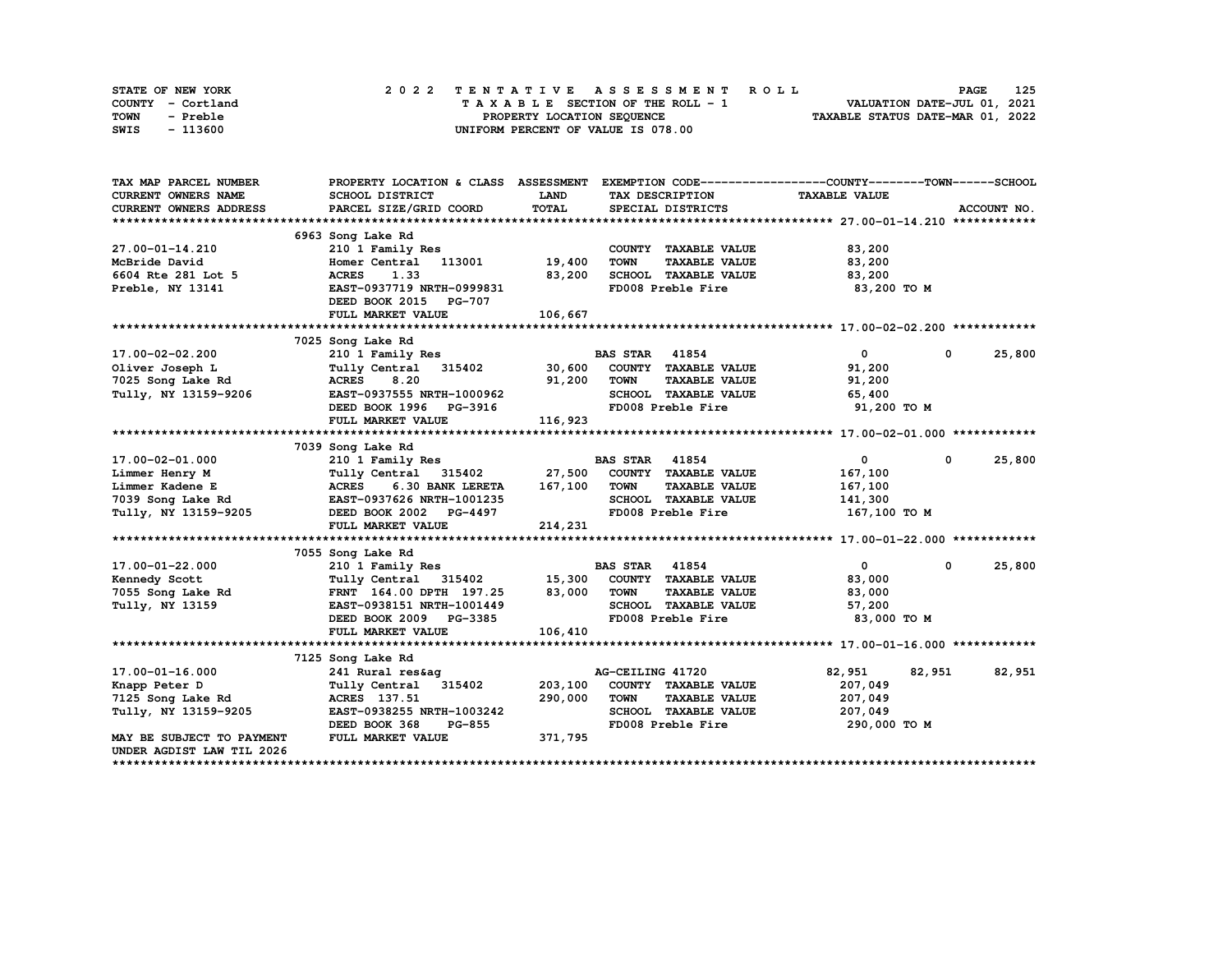|      | STATE OF NEW YORK |  | 2022 TENTATIVE ASSESSMENT ROLL |  |  |  |                                    |  |  |  |  |  |  |                                  |  | <b>PAGE</b> | 125 |  |
|------|-------------------|--|--------------------------------|--|--|--|------------------------------------|--|--|--|--|--|--|----------------------------------|--|-------------|-----|--|
|      | COUNTY - Cortland |  |                                |  |  |  | TAXABLE SECTION OF THE ROLL - 1    |  |  |  |  |  |  | VALUATION DATE-JUL 01, 2021      |  |             |     |  |
| TOWN | - Preble          |  |                                |  |  |  | PROPERTY LOCATION SEQUENCE         |  |  |  |  |  |  | TAXABLE STATUS DATE-MAR 01, 2022 |  |             |     |  |
| SWIS | - 113600          |  |                                |  |  |  | UNIFORM PERCENT OF VALUE IS 078.00 |  |  |  |  |  |  |                                  |  |             |     |  |

| TAX MAP PARCEL NUMBER                                  | PROPERTY LOCATION & CLASS ASSESSMENT |             |                       |                      | EXEMPTION CODE-----------------COUNTY-------TOWN------SCHOOL |             |             |
|--------------------------------------------------------|--------------------------------------|-------------|-----------------------|----------------------|--------------------------------------------------------------|-------------|-------------|
| CURRENT OWNERS NAME                                    | SCHOOL DISTRICT                      | <b>LAND</b> |                       | TAX DESCRIPTION      | <b>TAXABLE VALUE</b>                                         |             |             |
| CURRENT OWNERS ADDRESS                                 | PARCEL SIZE/GRID COORD               | TOTAL       |                       | SPECIAL DISTRICTS    |                                                              |             | ACCOUNT NO. |
|                                                        |                                      |             |                       |                      |                                                              |             |             |
|                                                        | 6963 Song Lake Rd                    |             |                       |                      |                                                              |             |             |
| 27.00-01-14.210                                        | 210 1 Family Res                     |             |                       | COUNTY TAXABLE VALUE | 83,200                                                       |             |             |
| McBride David                                          | Homer Central 113001                 | 19,400      | <b>TOWN</b>           | <b>TAXABLE VALUE</b> | 83,200                                                       |             |             |
| 6604 Rte 281 Lot 5                                     | <b>ACRES</b><br>1.33                 | 83,200      |                       | SCHOOL TAXABLE VALUE | 83,200                                                       |             |             |
| Preble, NY 13141                                       | EAST-0937719 NRTH-0999831            |             |                       | FD008 Preble Fire    | 83,200 TO M                                                  |             |             |
|                                                        | DEED BOOK 2015 PG-707                |             |                       |                      |                                                              |             |             |
|                                                        | FULL MARKET VALUE                    | 106,667     |                       |                      |                                                              |             |             |
|                                                        |                                      |             |                       |                      |                                                              |             |             |
|                                                        | 7025 Song Lake Rd                    |             |                       |                      |                                                              |             |             |
| 17.00-02-02.200                                        | 210 1 Family Res                     |             | <b>BAS STAR 41854</b> |                      | $\bullet$                                                    | $\mathbf 0$ | 25,800      |
| Oliver Joseph L                                        | Tully Central 315402                 | 30,600      |                       | COUNTY TAXABLE VALUE | 91,200                                                       |             |             |
| 7025 Song Lake Rd                                      | 8.20<br><b>ACRES</b>                 | 91,200      | <b>TOWN</b>           | <b>TAXABLE VALUE</b> | 91,200                                                       |             |             |
| Tully, NY 13159-9206                                   | EAST-0937555 NRTH-1000962            |             |                       | SCHOOL TAXABLE VALUE | 65,400                                                       |             |             |
|                                                        | DEED BOOK 1996 PG-3916               |             |                       | FD008 Preble Fire    | 91,200 TO M                                                  |             |             |
|                                                        | FULL MARKET VALUE                    | 116,923     |                       |                      |                                                              |             |             |
|                                                        |                                      |             |                       |                      |                                                              |             |             |
|                                                        | 7039 Song Lake Rd                    |             |                       |                      |                                                              |             |             |
| 17.00-02-01.000                                        | 210 1 Family Res                     |             | <b>BAS STAR</b> 41854 |                      | $\mathbf{0}$                                                 | $^{\circ}$  | 25,800      |
| Limmer Henry M                                         | Tully Central 315402                 | 27,500      |                       | COUNTY TAXABLE VALUE | 167,100                                                      |             |             |
| Limmer Kadene E                                        | <b>ACRES</b><br>6.30 BANK LERETA     | 167,100     | <b>TOWN</b>           | <b>TAXABLE VALUE</b> | 167,100                                                      |             |             |
| 7039 Song Lake Rd                                      | EAST-0937626 NRTH-1001235            |             |                       | SCHOOL TAXABLE VALUE | 141,300                                                      |             |             |
| Tully, NY 13159-9205                                   | DEED BOOK 2002 PG-4497               |             |                       | FD008 Preble Fire    | 167,100 то м                                                 |             |             |
|                                                        | FULL MARKET VALUE                    | 214,231     |                       |                      |                                                              |             |             |
|                                                        |                                      |             |                       |                      |                                                              |             |             |
|                                                        | 7055 Song Lake Rd                    |             |                       |                      |                                                              |             |             |
| 17.00-01-22.000                                        | 210 1 Family Res                     |             | <b>BAS STAR</b> 41854 |                      | $\mathbf{0}$                                                 | $^{\circ}$  | 25,800      |
| Kennedy Scott                                          | Tully Central 315402 15,300          |             |                       | COUNTY TAXABLE VALUE | 83,000                                                       |             |             |
| 7055 Song Lake Rd                                      | FRNT 164.00 DPTH 197.25              | 83,000      | <b>TOWN</b>           | <b>TAXABLE VALUE</b> | 83,000                                                       |             |             |
| Tully, NY 13159                                        | EAST-0938151 NRTH-1001449            |             |                       | SCHOOL TAXABLE VALUE | 57,200                                                       |             |             |
|                                                        | DEED BOOK 2009 PG-3385               |             |                       | FD008 Preble Fire    | 83,000 TO M                                                  |             |             |
|                                                        | FULL MARKET VALUE                    | 106,410     |                       |                      |                                                              |             |             |
|                                                        |                                      |             |                       |                      |                                                              |             |             |
|                                                        | 7125 Song Lake Rd                    |             |                       |                      |                                                              |             |             |
| 17.00-01-16.000                                        | 241 Rural res&ag                     |             | AG-CEILING 41720      |                      | 82,951                                                       | 82,951      | 82,951      |
| Knapp Peter D                                          | Tully Central 315402                 | 203,100     |                       | COUNTY TAXABLE VALUE | 207,049                                                      |             |             |
| 7125 Song Lake Rd                                      | ACRES 137.51                         | 290,000     | <b>TOWN</b>           | <b>TAXABLE VALUE</b> | 207,049                                                      |             |             |
| Tully, NY 13159-9205                                   | EAST-0938255 NRTH-1003242            |             |                       | SCHOOL TAXABLE VALUE | 207,049                                                      |             |             |
|                                                        | DEED BOOK 368<br><b>PG-855</b>       | 371,795     |                       | FD008 Preble Fire    | 290,000 TO M                                                 |             |             |
| MAY BE SUBJECT TO PAYMENT<br>UNDER AGDIST LAW TIL 2026 | FULL MARKET VALUE                    |             |                       |                      |                                                              |             |             |
|                                                        |                                      |             |                       |                      |                                                              |             |             |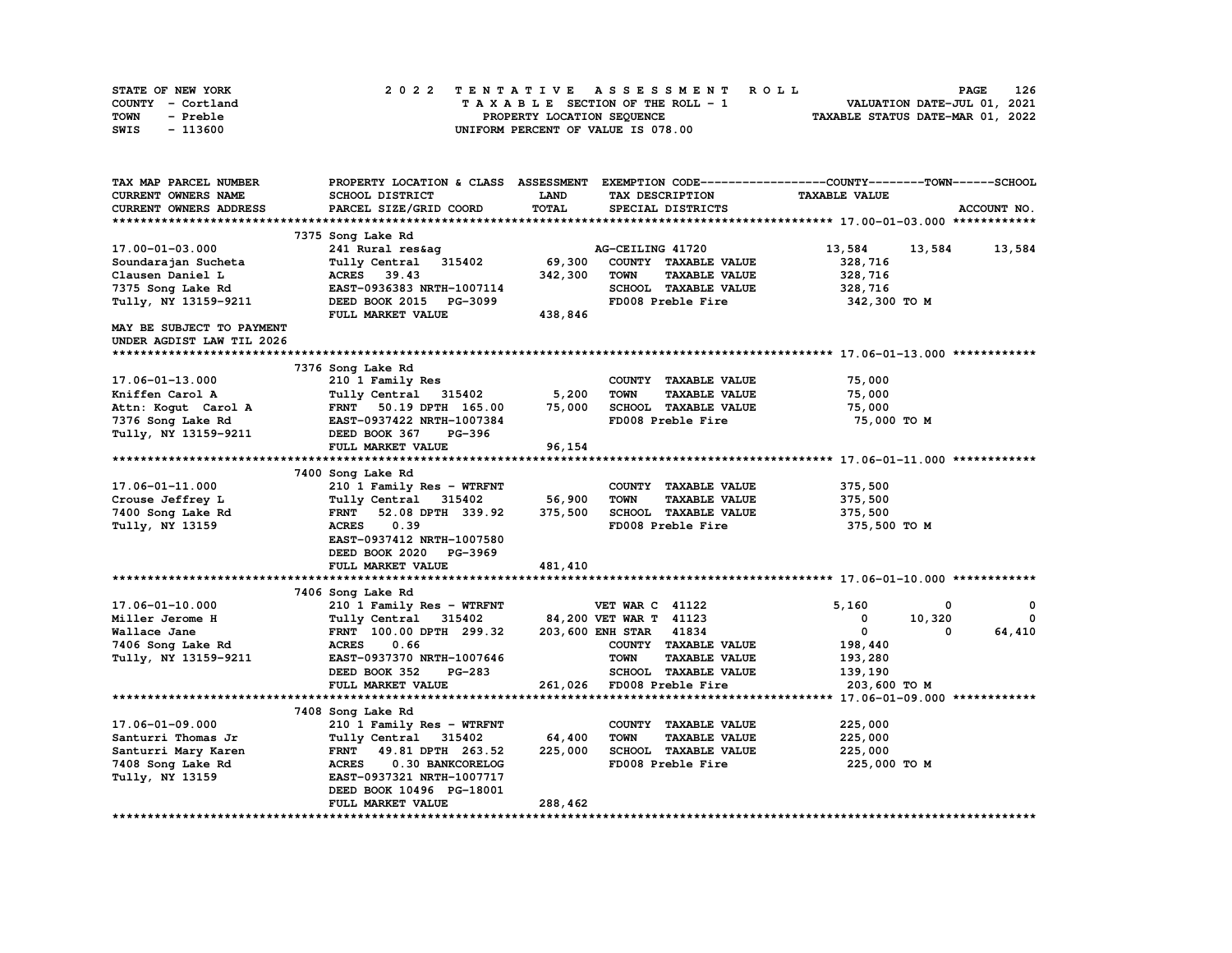| STATE OF NEW YORK | 2022 TENTATIVE ASSESSMENT ROLL     | 126<br><b>PAGE</b>               |
|-------------------|------------------------------------|----------------------------------|
| COUNTY - Cortland | TAXABLE SECTION OF THE ROLL - 1    | VALUATION DATE-JUL 01, 2021      |
| TOWN<br>- Preble  | PROPERTY LOCATION SEQUENCE         | TAXABLE STATUS DATE-MAR 01, 2022 |
| - 113600<br>SWIS  | UNIFORM PERCENT OF VALUE IS 078.00 |                                  |

| TAX MAP PARCEL NUMBER     |                                  |             |                                     | PROPERTY LOCATION & CLASS ASSESSMENT EXEMPTION CODE----------------COUNTY-------TOWN------SCHOOL |
|---------------------------|----------------------------------|-------------|-------------------------------------|--------------------------------------------------------------------------------------------------|
| CURRENT OWNERS NAME       | SCHOOL DISTRICT                  | <b>LAND</b> | TAX DESCRIPTION                     | <b>TAXABLE VALUE</b>                                                                             |
| CURRENT OWNERS ADDRESS    | PARCEL SIZE/GRID COORD           | TOTAL       | SPECIAL DISTRICTS                   | ACCOUNT NO.                                                                                      |
|                           |                                  |             |                                     |                                                                                                  |
|                           | 7375 Song Lake Rd                |             |                                     |                                                                                                  |
| 17.00-01-03.000           | 241 Rural res&ag                 |             | AG-CEILING 41720                    | 13,584<br>13,584<br>13,584                                                                       |
| Soundarajan Sucheta       | Tully Central 315402             | 69,300      | COUNTY TAXABLE VALUE                | 328,716                                                                                          |
| Clausen Daniel L          | ACRES 39.43                      | 342,300     | <b>TOWN</b><br><b>TAXABLE VALUE</b> | 328,716                                                                                          |
| 7375 Song Lake Rd         | EAST-0936383 NRTH-1007114        |             | SCHOOL TAXABLE VALUE                | 328,716                                                                                          |
| Tully, NY 13159-9211      | DEED BOOK 2015 PG-3099           |             | FD008 Preble Fire                   | 342,300 TO M                                                                                     |
|                           | FULL MARKET VALUE                | 438,846     |                                     |                                                                                                  |
| MAY BE SUBJECT TO PAYMENT |                                  |             |                                     |                                                                                                  |
| UNDER AGDIST LAW TIL 2026 |                                  |             |                                     |                                                                                                  |
|                           |                                  |             |                                     |                                                                                                  |
|                           | 7376 Song Lake Rd                |             |                                     |                                                                                                  |
| 17.06-01-13.000           | 210 1 Family Res                 |             | COUNTY TAXABLE VALUE                | 75,000                                                                                           |
| Kniffen Carol A           | Tully Central 315402 5,200       |             | <b>TOWN</b><br><b>TAXABLE VALUE</b> | 75,000                                                                                           |
| Attn: Kogut Carol A       | FRNT 50.19 DPTH 165.00           | 75,000      | SCHOOL TAXABLE VALUE                | 75,000                                                                                           |
| 7376 Song Lake Rd         | EAST-0937422 NRTH-1007384        |             | FD008 Preble Fire                   | 75,000 TO M                                                                                      |
| Tully, NY 13159-9211      | DEED BOOK 367<br>PG-396          |             |                                     |                                                                                                  |
|                           | FULL MARKET VALUE                | 96,154      |                                     |                                                                                                  |
|                           |                                  |             |                                     |                                                                                                  |
|                           | 7400 Song Lake Rd                |             |                                     |                                                                                                  |
| 17.06-01-11.000           | 210 1 Family Res - WTRFNT        |             | COUNTY TAXABLE VALUE                | 375,500                                                                                          |
| Crouse Jeffrey L          | Tully Central 315402             | 56,900      | <b>TOWN</b><br><b>TAXABLE VALUE</b> | 375,500                                                                                          |
| 7400 Song Lake Rd         | FRNT 52.08 DPTH 339.92           | 375,500     | SCHOOL TAXABLE VALUE                | 375,500                                                                                          |
| Tully, NY 13159           | <b>ACRES</b><br>0.39             |             | FD008 Preble Fire                   | 375,500 TO M                                                                                     |
|                           | EAST-0937412 NRTH-1007580        |             |                                     |                                                                                                  |
|                           | DEED BOOK 2020<br><b>PG-3969</b> |             |                                     |                                                                                                  |
|                           | FULL MARKET VALUE                | 481,410     |                                     |                                                                                                  |
|                           |                                  |             |                                     |                                                                                                  |
|                           | 7406 Song Lake Rd                |             |                                     |                                                                                                  |
| 17.06-01-10.000           | 210 1 Family Res - WTRFNT        |             | <b>VET WAR C 41122</b>              | 5,160<br>$\mathbf{o}$<br>0                                                                       |
| Miller Jerome H           | Tully Central 315402             |             | 84,200 VET WAR T 41123              | 10,320<br>$\Omega$<br>0                                                                          |
| Wallace Jane              | FRNT 100.00 DPTH 299.32          |             | 203,600 ENH STAR 41834              | $\mathbf 0$<br>64,410<br>0                                                                       |
| 7406 Song Lake Rd         | 0.66<br><b>ACRES</b>             |             | COUNTY TAXABLE VALUE                | 198,440                                                                                          |
| Tully, NY 13159-9211      | EAST-0937370 NRTH-1007646        |             | <b>TOWN</b><br><b>TAXABLE VALUE</b> | 193,280                                                                                          |
|                           | DEED BOOK 352<br>PG-283          |             | SCHOOL TAXABLE VALUE                | 139,190                                                                                          |
|                           | FULL MARKET VALUE                |             | 261,026 FD008 Preble Fire           | 203,600 то м                                                                                     |
|                           |                                  |             |                                     |                                                                                                  |
|                           | 7408 Song Lake Rd                |             |                                     |                                                                                                  |
| 17.06-01-09.000           | 210 1 Family Res - WTRFNT        |             | COUNTY TAXABLE VALUE                | 225,000                                                                                          |
| Santurri Thomas Jr        | Tully Central 315402             | 64,400      | <b>TOWN</b><br><b>TAXABLE VALUE</b> | 225,000                                                                                          |
| Santurri Mary Karen       | FRNT 49.81 DPTH 263.52           | 225,000     | SCHOOL TAXABLE VALUE                | 225,000                                                                                          |
| 7408 Song Lake Rd         | <b>ACRES</b><br>0.30 BANKCORELOG |             | FD008 Preble Fire                   | 225,000 TO M                                                                                     |
| Tully, NY 13159           | EAST-0937321 NRTH-1007717        |             |                                     |                                                                                                  |
|                           | DEED BOOK 10496 PG-18001         |             |                                     |                                                                                                  |
|                           | FULL MARKET VALUE                | 288,462     |                                     |                                                                                                  |
|                           |                                  |             |                                     |                                                                                                  |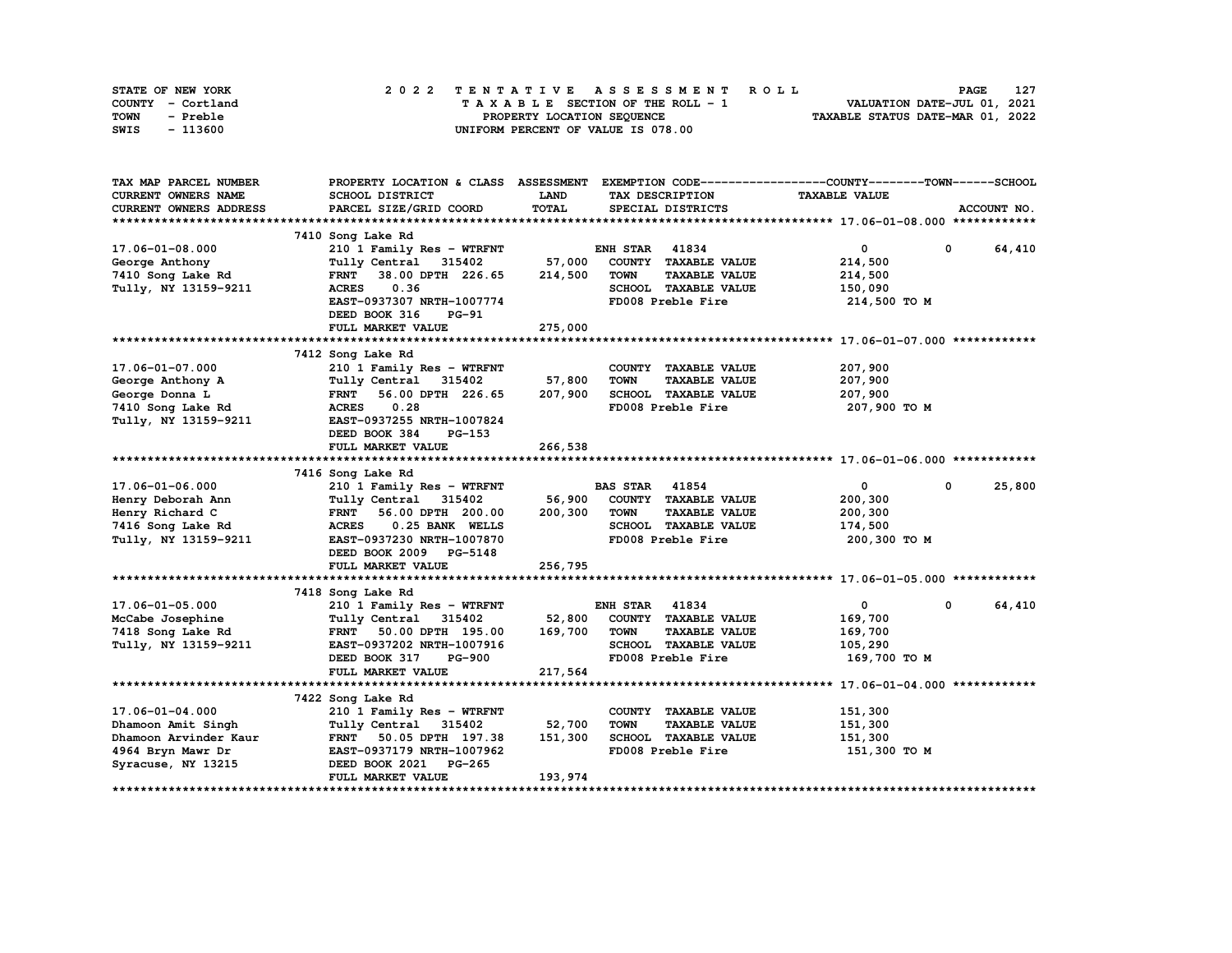| STATE OF NEW YORK | 2022 TENTATIVE ASSESSMENT ROLL     | 127<br><b>PAGE</b>               |
|-------------------|------------------------------------|----------------------------------|
| COUNTY - Cortland | TAXABLE SECTION OF THE ROLL - 1    | VALUATION DATE-JUL 01, 2021      |
| TOWN<br>- Preble  | PROPERTY LOCATION SEQUENCE         | TAXABLE STATUS DATE-MAR 01, 2022 |
| - 113600<br>SWIS  | UNIFORM PERCENT OF VALUE IS 078.00 |                                  |

| TAX MAP PARCEL NUMBER  | PROPERTY LOCATION & CLASS ASSESSMENT              |              |                                     | EXEMPTION CODE-----------------COUNTY-------TOWN------SCHOOL |              |             |
|------------------------|---------------------------------------------------|--------------|-------------------------------------|--------------------------------------------------------------|--------------|-------------|
| CURRENT OWNERS NAME    | SCHOOL DISTRICT                                   | LAND         | TAX DESCRIPTION                     | <b>TAXABLE VALUE</b>                                         |              |             |
| CURRENT OWNERS ADDRESS | PARCEL SIZE/GRID COORD                            | <b>TOTAL</b> | SPECIAL DISTRICTS                   |                                                              |              | ACCOUNT NO. |
|                        |                                                   |              |                                     |                                                              |              |             |
|                        | 7410 Song Lake Rd                                 |              |                                     |                                                              |              |             |
| 17.06-01-08.000        | 210 1 Family Res - WTRFNT                         |              | <b>ENH STAR 41834</b>               | $\overline{0}$                                               | $\mathbf 0$  | 64,410      |
| George Anthony         | Tully Central 315402                              | 57,000       | COUNTY TAXABLE VALUE                | 214,500                                                      |              |             |
| 7410 Song Lake Rd      | 38.00 DPTH 226.65<br><b>FRNT</b>                  | 214,500      | <b>TOWN</b><br><b>TAXABLE VALUE</b> | 214,500                                                      |              |             |
| Tully, NY 13159-9211   | <b>ACRES</b><br>0.36                              |              | SCHOOL TAXABLE VALUE                | 150,090                                                      |              |             |
|                        | EAST-0937307 NRTH-1007774                         |              | FD008 Preble Fire                   | 214,500 TO M                                                 |              |             |
|                        | DEED BOOK 316<br>$PG-91$                          |              |                                     |                                                              |              |             |
|                        | FULL MARKET VALUE                                 | 275,000      |                                     |                                                              |              |             |
|                        |                                                   |              |                                     |                                                              |              |             |
|                        | 7412 Song Lake Rd                                 |              |                                     |                                                              |              |             |
| 17.06-01-07.000        | 210 1 Family Res - WTRFNT                         |              | COUNTY TAXABLE VALUE                | 207,900                                                      |              |             |
| George Anthony A       | Tully Central 315402                              | 57,800       | <b>TAXABLE VALUE</b><br><b>TOWN</b> | 207,900                                                      |              |             |
| George Donna L         | <b>FRNT</b><br>56.00 DPTH 226.65                  | 207,900      | SCHOOL TAXABLE VALUE                | 207,900                                                      |              |             |
| 7410 Song Lake Rd      | 0.28<br><b>ACRES</b>                              |              | FD008 Preble Fire                   | 207,900 то м                                                 |              |             |
| Tully, NY 13159-9211   | EAST-0937255 NRTH-1007824                         |              |                                     |                                                              |              |             |
|                        | DEED BOOK 384<br><b>PG-153</b>                    |              |                                     |                                                              |              |             |
|                        | FULL MARKET VALUE                                 | 266,538      |                                     |                                                              |              |             |
|                        |                                                   |              |                                     |                                                              |              |             |
|                        | 7416 Song Lake Rd                                 |              |                                     |                                                              |              |             |
| 17.06-01-06.000        | 210 1 Family Res - WTRFNT                         |              | <b>BAS STAR</b> 41854               | $\mathbf 0$                                                  | $\mathbf{o}$ | 25,800      |
| Henry Deborah Ann      | Tully Central 315402                              | 56,900       | COUNTY TAXABLE VALUE                | 200,300                                                      |              |             |
| Henry Richard C        | <b>FRNT</b><br>56.00 DPTH 200.00                  | 200,300      | <b>TOWN</b><br><b>TAXABLE VALUE</b> | 200,300                                                      |              |             |
| 7416 Song Lake Rd      | <b>ACRES</b><br>0.25 BANK WELLS                   |              | SCHOOL TAXABLE VALUE                | 174,500                                                      |              |             |
| Tully, NY 13159-9211   | EAST-0937230 NRTH-1007870                         |              | FD008 Preble Fire                   | 200,300 то м                                                 |              |             |
|                        | DEED BOOK 2009 PG-5148                            |              |                                     |                                                              |              |             |
|                        | FULL MARKET VALUE                                 | 256,795      |                                     |                                                              |              |             |
|                        |                                                   |              |                                     |                                                              |              |             |
|                        | 7418 Song Lake Rd                                 |              |                                     |                                                              |              |             |
| 17.06-01-05.000        | 210 1 Family Res - WTRFNT                         |              | <b>ENH STAR</b><br>41834            | $\mathbf{0}$                                                 | 0            | 64,410      |
| McCabe Josephine       | Tully Central 315402                              | 52,800       | COUNTY TAXABLE VALUE                | 169,700                                                      |              |             |
| 7418 Song Lake Rd      | 50.00 DPTH 195.00<br><b>FRNT</b>                  | 169,700      | <b>TOWN</b><br><b>TAXABLE VALUE</b> | 169,700                                                      |              |             |
| Tully, NY 13159-9211   | EAST-0937202 NRTH-1007916                         |              | SCHOOL TAXABLE VALUE                | 105,290                                                      |              |             |
|                        | DEED BOOK 317<br><b>PG-900</b>                    |              | FD008 Preble Fire                   | 169,700 то м                                                 |              |             |
|                        | FULL MARKET VALUE                                 | 217,564      |                                     |                                                              |              |             |
|                        |                                                   |              |                                     |                                                              |              |             |
| 17.06-01-04.000        | 7422 Song Lake Rd                                 |              | COUNTY TAXABLE VALUE                | 151,300                                                      |              |             |
| Dhamoon Amit Singh     | 210 1 Family Res - WTRFNT<br>Tully Central 315402 | 52,700       | <b>TOWN</b><br><b>TAXABLE VALUE</b> | 151,300                                                      |              |             |
| Dhamoon Arvinder Kaur  | <b>FRNT</b><br>50.05 DPTH 197.38                  | 151,300      | SCHOOL TAXABLE VALUE                | 151,300                                                      |              |             |
| 4964 Bryn Mawr Dr      | EAST-0937179 NRTH-1007962                         |              | FD008 Preble Fire                   | 151,300 TO M                                                 |              |             |
| Syracuse, NY 13215     | DEED BOOK 2021 PG-265                             |              |                                     |                                                              |              |             |
|                        | FULL MARKET VALUE                                 | 193,974      |                                     |                                                              |              |             |
|                        |                                                   |              |                                     |                                                              |              |             |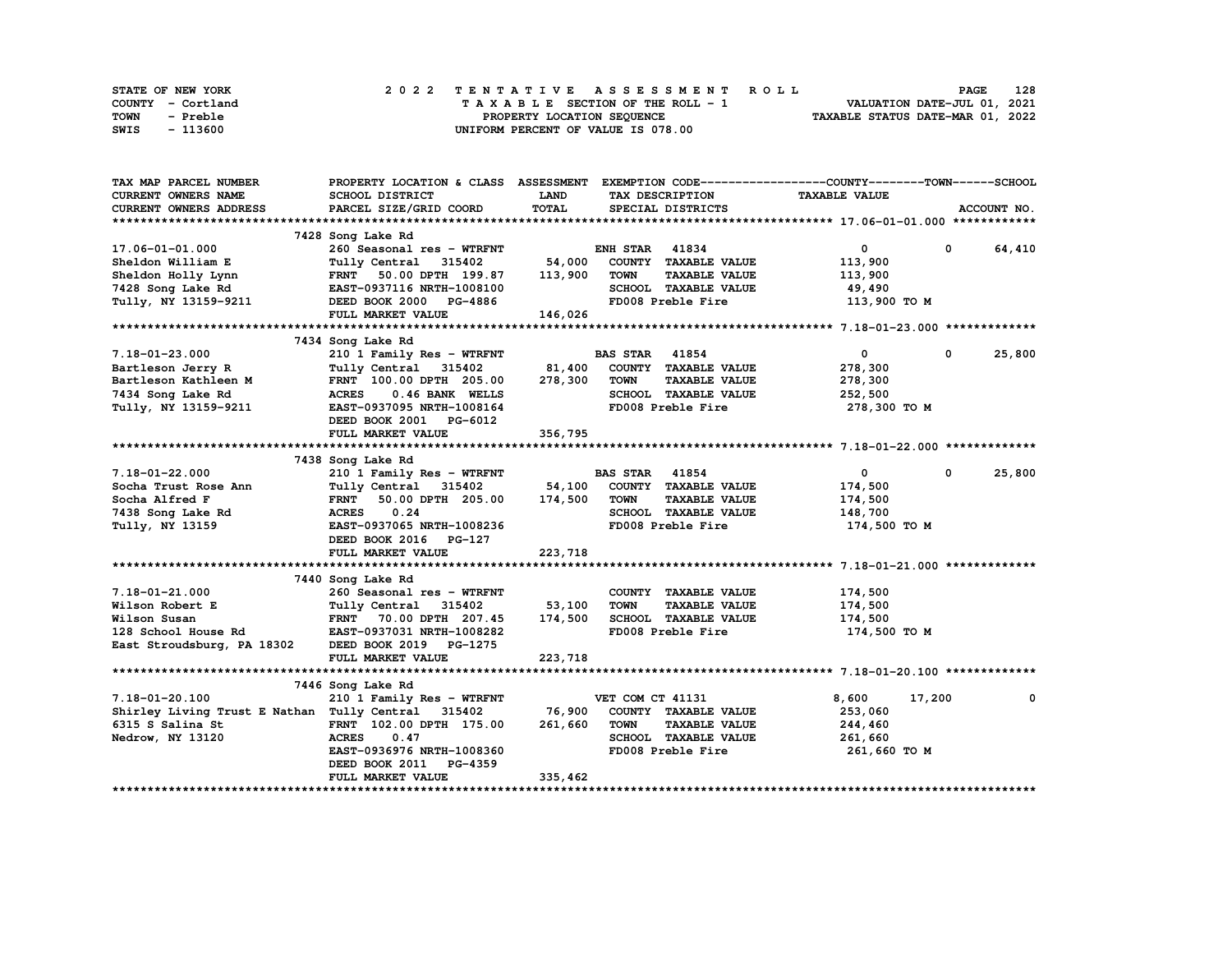| STATE OF NEW YORK | 2022 TENTATIVE ASSESSMENT ROLL     | 128<br><b>PAGE</b>               |
|-------------------|------------------------------------|----------------------------------|
| COUNTY - Cortland | TAXABLE SECTION OF THE ROLL - 1    | VALUATION DATE-JUL 01, 2021      |
| TOWN<br>- Preble  | PROPERTY LOCATION SEQUENCE         | TAXABLE STATUS DATE-MAR 01, 2022 |
| - 113600<br>SWIS  | UNIFORM PERCENT OF VALUE IS 078.00 |                                  |

| TAX MAP PARCEL NUMBER                                                         | PROPERTY LOCATION & CLASS ASSESSMENT EXEMPTION CODE----------------COUNTY-------TOWN-----SCHOOL |         |                       |                             |                                |              |             |
|-------------------------------------------------------------------------------|-------------------------------------------------------------------------------------------------|---------|-----------------------|-----------------------------|--------------------------------|--------------|-------------|
| CURRENT OWNERS NAME                                                           | SCHOOL DISTRICT                                                                                 | LAND    | TAX DESCRIPTION       |                             | <b>TAXABLE VALUE</b>           |              |             |
| CURRENT OWNERS ADDRESS                                                        | PARCEL SIZE/GRID COORD                                                                          | TOTAL   | SPECIAL DISTRICTS     |                             |                                |              | ACCOUNT NO. |
|                                                                               |                                                                                                 |         |                       |                             |                                |              |             |
|                                                                               | 7428 Song Lake Rd                                                                               |         |                       |                             |                                |              |             |
| 17.06-01-01.000                                                               | 260 Seasonal res - WTRFNT                                                                       |         | <b>ENH STAR 41834</b> |                             | $\overline{0}$                 | $\mathbf{0}$ | 64,410      |
| Sheldon William E                                                             | Tully Central 315402                                                                            | 54,000  |                       | COUNTY TAXABLE VALUE        | 113,900                        |              |             |
|                                                                               | FRNT 50.00 DPTH 199.87 113,900                                                                  |         | <b>TOWN</b>           | <b>TAXABLE VALUE</b>        | 113,900                        |              |             |
|                                                                               |                                                                                                 |         |                       | SCHOOL TAXABLE VALUE        | 49,490                         |              |             |
|                                                                               |                                                                                                 |         |                       |                             | FD008 Preble Fire 113,900 TO M |              |             |
|                                                                               |                                                                                                 |         |                       |                             |                                |              |             |
|                                                                               |                                                                                                 |         |                       |                             |                                |              |             |
|                                                                               | 7434 Song Lake Rd                                                                               |         |                       |                             |                                |              |             |
| $7.18 - 01 - 23.000$                                                          | 210 1 Family Res - WTRFNT                                                                       |         | <b>BAS STAR 41854</b> |                             | $\Omega$                       | $^{\circ}$   | 25,800      |
| Bartleson Jerry R                                                             | Tully Central 315402                                                                            | 81,400  |                       | COUNTY TAXABLE VALUE        | 278,300                        |              |             |
| Bartleson Kathleen M                                                          | FRNT 100.00 DPTH 205.00                                                                         | 278,300 | <b>TOWN</b>           | <b>TAXABLE VALUE</b>        | 278,300                        |              |             |
| 7434 Song Lake Rd                                                             | <b>ACRES</b><br>0.46 BANK WELLS                                                                 |         |                       | SCHOOL TAXABLE VALUE        | 252,500                        |              |             |
| Tully, NY 13159-9211                                                          | EAST-0937095 NRTH-1008164                                                                       |         |                       | FD008 Preble Fire           | 278,300 то м                   |              |             |
|                                                                               | DEED BOOK 2001 PG-6012                                                                          |         |                       |                             |                                |              |             |
|                                                                               | FULL MARKET VALUE                                                                               | 356,795 |                       |                             |                                |              |             |
|                                                                               |                                                                                                 |         |                       |                             |                                |              |             |
|                                                                               | 7438 Song Lake Rd                                                                               |         |                       |                             |                                |              |             |
| 7.18-01-22.000                                                                | 210 1 Family Res - WTRFNT                                                                       |         | <b>BAS STAR 41854</b> |                             | $\mathbf{0}$                   | $\mathbf 0$  | 25,800      |
|                                                                               | $Tully Central$ 315402 54,100                                                                   |         |                       | COUNTY TAXABLE VALUE        | 174,500                        |              |             |
| %.10-01-22.000<br>Socha Trust Rose Ann<br>Socha Alfred F<br>7438 Song Lake Rd | FRNT 50.00 DPTH 205.00 174,500                                                                  |         | <b>TOWN</b>           | <b>TAXABLE VALUE</b>        | 174,500                        |              |             |
|                                                                               | <b>ACRES</b><br>0.24                                                                            |         |                       | SCHOOL TAXABLE VALUE        | 148,700                        |              |             |
| 7438 Song Lake Rd<br>Tully, NY 13159<br>Tully, NY 13159                       | EAST-0937065 NRTH-1008236                                                                       |         | FD008 Preble Fire     |                             | 174,500 TO M                   |              |             |
|                                                                               | DEED BOOK 2016 PG-127                                                                           |         |                       |                             |                                |              |             |
|                                                                               | FULL MARKET VALUE                                                                               | 223,718 |                       |                             |                                |              |             |
|                                                                               |                                                                                                 |         |                       |                             |                                |              |             |
|                                                                               | 7440 Song Lake Rd                                                                               |         |                       |                             |                                |              |             |
| 7.18-01-21.000                                                                | 260 Seasonal res - WTRFNT                                                                       |         |                       | COUNTY TAXABLE VALUE        | 174,500                        |              |             |
| Wilson Robert E                                                               |                                                                                                 |         | <b>TOWN</b>           | <b>TAXABLE VALUE</b>        | 174,500                        |              |             |
| Wilson Susan                                                                  | Tully Central 315402 53,100<br>FRNT 70.00 DPTH 207.45 174,500                                   |         |                       | SCHOOL TAXABLE VALUE        | 174,500                        |              |             |
| 128 School House Rd EAST-0937031 NRTH-1008282                                 |                                                                                                 |         |                       | FD008 Preble Fire           | 174,500 TO M                   |              |             |
| East Stroudsburg, PA 18302                                                    | DEED BOOK 2019 PG-1275                                                                          |         |                       |                             |                                |              |             |
|                                                                               | FULL MARKET VALUE                                                                               | 223,718 |                       |                             |                                |              |             |
|                                                                               |                                                                                                 |         |                       |                             |                                |              |             |
|                                                                               | 7446 Song Lake Rd                                                                               |         |                       |                             |                                |              |             |
| $7.18 - 01 - 20.100$                                                          | 210 1 Family Res - WTRFNT                                                                       |         | VET COM CT 41131      |                             | 8,600                          | 17,200       | 0           |
| Shirley Living Trust E Nathan Tully Central 315402                            |                                                                                                 |         |                       | 76,900 COUNTY TAXABLE VALUE | 253,060                        |              |             |
| 6315 S Salina St                                                              | FRNT 102.00 DPTH 175.00                                                                         | 261,660 | <b>TOWN</b>           | <b>TAXABLE VALUE</b>        | 244,460                        |              |             |
| Nedrow, NY 13120                                                              | <b>ACRES</b><br>0.47                                                                            |         |                       | SCHOOL TAXABLE VALUE        | 261,660                        |              |             |
|                                                                               | EAST-0936976 NRTH-1008360                                                                       |         |                       | FD008 Preble Fire           | 261,660 то м                   |              |             |
|                                                                               | DEED BOOK 2011 PG-4359                                                                          |         |                       |                             |                                |              |             |
|                                                                               | FULL MARKET VALUE                                                                               | 335,462 |                       |                             |                                |              |             |
|                                                                               |                                                                                                 |         |                       |                             |                                |              |             |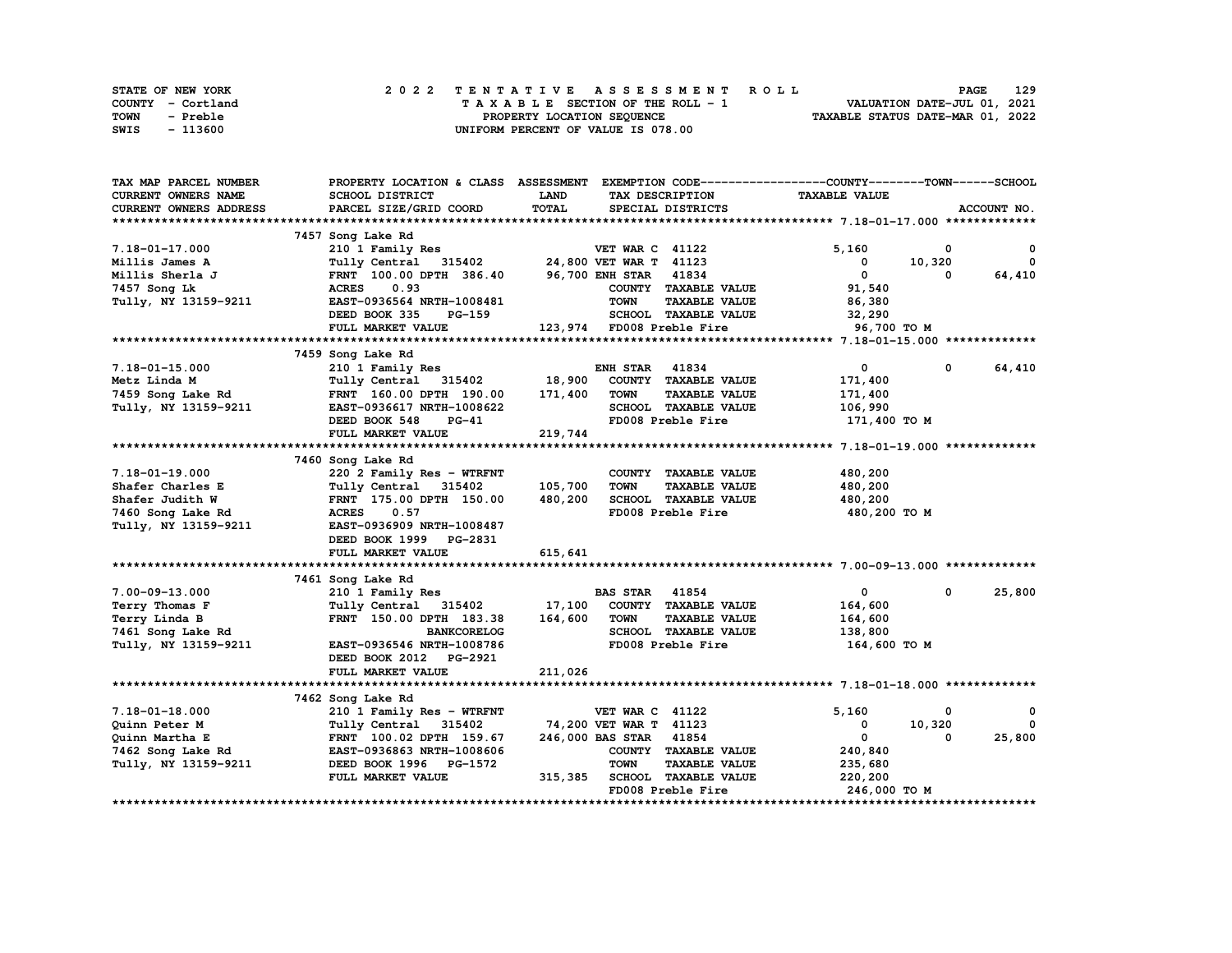| STATE OF NEW YORK | 2022 TENTATIVE ASSESSMENT ROLL     | 129<br><b>PAGE</b>               |
|-------------------|------------------------------------|----------------------------------|
| COUNTY - Cortland | TAXABLE SECTION OF THE ROLL - 1    | VALUATION DATE-JUL 01, 2021      |
| TOWN<br>- Preble  | PROPERTY LOCATION SEQUENCE         | TAXABLE STATUS DATE-MAR 01, 2022 |
| - 113600<br>SWIS  | UNIFORM PERCENT OF VALUE IS 078.00 |                                  |

| TAX MAP PARCEL NUMBER     | PROPERTY LOCATION & CLASS ASSESSMENT        |             |                                     | EXEMPTION CODE-----------------COUNTY-------TOWN------SCHOOL |              |              |
|---------------------------|---------------------------------------------|-------------|-------------------------------------|--------------------------------------------------------------|--------------|--------------|
| CURRENT OWNERS NAME       | SCHOOL DISTRICT                             | <b>LAND</b> | TAX DESCRIPTION                     | <b>TAXABLE VALUE</b>                                         |              |              |
| CURRENT OWNERS ADDRESS    | PARCEL SIZE/GRID COORD                      | TOTAL       | SPECIAL DISTRICTS                   |                                                              |              | ACCOUNT NO.  |
| ************************* |                                             |             |                                     |                                                              |              |              |
|                           | 7457 Song Lake Rd                           |             |                                     |                                                              |              |              |
| 7.18-01-17.000            | 210 1 Family Res                            |             | <b>VET WAR C 41122</b>              | 5,160                                                        | 0            | 0            |
| Millis James A            | Tully Central 315402 24,800 VET WAR T 41123 |             |                                     | $\mathbf{0}$                                                 | 10,320       | $\mathbf{0}$ |
| Millis Sherla J           | FRNT 100.00 DPTH 386.40                     |             | 96,700 ENH STAR 41834               | $\overline{0}$                                               | 0            | 64,410       |
| 7457 Song Lk              | <b>ACRES</b><br>0.93                        |             | COUNTY TAXABLE VALUE                | 91,540                                                       |              |              |
| Tully, NY 13159-9211      | EAST-0936564 NRTH-1008481                   |             | <b>TAXABLE VALUE</b><br><b>TOWN</b> | 86,380                                                       |              |              |
|                           | PG-159                                      |             | SCHOOL TAXABLE VALUE                |                                                              |              |              |
|                           | DEED BOOK 335                               |             |                                     | 32,290                                                       |              |              |
|                           | FULL MARKET VALUE                           |             | 123,974 FD008 Preble Fire           | 96,700 то м                                                  |              |              |
|                           |                                             |             |                                     |                                                              |              |              |
|                           | 7459 Song Lake Rd                           |             |                                     |                                                              |              |              |
| 7.18-01-15.000            | 210 1 Family Res                            |             | <b>ENH STAR 41834</b>               | $\bullet$                                                    | $^{\circ}$   | 64,410       |
| Metz Linda M              | Tully Central 315402 18,900                 |             | COUNTY TAXABLE VALUE                | 171,400                                                      |              |              |
| 7459 Song Lake Rd         | FRNT 160.00 DPTH 190.00                     | 171,400     | <b>TAXABLE VALUE</b><br><b>TOWN</b> | 171,400                                                      |              |              |
| Tully, NY 13159-9211      | EAST-0936617 NRTH-1008622                   |             | SCHOOL TAXABLE VALUE                | 106,990                                                      |              |              |
|                           | DEED BOOK 548<br>$PG-41$                    |             | FD008 Preble Fire                   | 171,400 TO M                                                 |              |              |
|                           | FULL MARKET VALUE                           | 219,744     |                                     |                                                              |              |              |
|                           |                                             |             |                                     |                                                              |              |              |
|                           | 7460 Song Lake Rd                           |             |                                     |                                                              |              |              |
| $7.18 - 01 - 19.000$      | 220 2 Family Res - WTRFNT                   |             | COUNTY TAXABLE VALUE                | 480,200                                                      |              |              |
| Shafer Charles E          | Tully Central 315402                        | 105,700     | <b>TAXABLE VALUE</b><br><b>TOWN</b> | 480,200                                                      |              |              |
| Shafer Judith W           | FRNT 175.00 DPTH 150.00                     | 480,200     | SCHOOL TAXABLE VALUE                | 480,200                                                      |              |              |
| 7460 Song Lake Rd         | <b>ACRES</b><br>0.57                        |             | FD008 Preble Fire                   | 480,200 TO M                                                 |              |              |
| Tully, NY 13159-9211      | EAST-0936909 NRTH-1008487                   |             |                                     |                                                              |              |              |
|                           |                                             |             |                                     |                                                              |              |              |
|                           | DEED BOOK 1999 PG-2831                      |             |                                     |                                                              |              |              |
|                           | FULL MARKET VALUE                           | 615,641     |                                     |                                                              |              |              |
|                           |                                             |             |                                     |                                                              |              |              |
|                           | 7461 Song Lake Rd                           |             |                                     |                                                              |              |              |
| 7.00-09-13.000            | 210 1 Family Res                            |             | <b>BAS STAR</b> 41854               | $\mathbf{0}$                                                 | $\mathbf{0}$ | 25,800       |
| Terry Thomas F            | Tully Central 315402                        | 17,100      | COUNTY TAXABLE VALUE                | 164,600                                                      |              |              |
| Terry Linda B             | FRNT 150.00 DPTH 183.38                     | 164,600     | <b>TOWN</b><br><b>TAXABLE VALUE</b> | 164,600                                                      |              |              |
| 7461 Song Lake Rd         | <b>BANKCORELOG</b>                          |             | SCHOOL TAXABLE VALUE                | 138,800                                                      |              |              |
| Tully, NY 13159-9211      | EAST-0936546 NRTH-1008786                   |             | FD008 Preble Fire                   | 164,600 TO M                                                 |              |              |
|                           | DEED BOOK 2012 PG-2921                      |             |                                     |                                                              |              |              |
|                           | FULL MARKET VALUE                           | 211,026     |                                     |                                                              |              |              |
|                           |                                             |             |                                     |                                                              |              |              |
|                           | 7462 Song Lake Rd                           |             |                                     |                                                              |              |              |
| 7.18-01-18.000            | 210 1 Family Res - WTRFNT                   |             | <b>VET WAR C 41122</b>              | 5,160                                                        | 0            | 0            |
| Quinn Peter M             | Tully Central 315402                        |             | 74,200 VET WAR T 41123              | 0                                                            | 10,320       | $\mathbf{0}$ |
| Quinn Martha E            | FRNT 100.02 DPTH 159.67                     |             | 246,000 BAS STAR 41854              | 0                                                            | 0            | 25,800       |
| 7462 Song Lake Rd         | EAST-0936863 NRTH-1008606                   |             | COUNTY TAXABLE VALUE                | 240,840                                                      |              |              |
| Tully, NY 13159-9211      | DEED BOOK 1996 PG-1572                      |             | <b>TOWN</b><br><b>TAXABLE VALUE</b> | 235,680                                                      |              |              |
|                           | FULL MARKET VALUE                           | 315,385     | SCHOOL TAXABLE VALUE                |                                                              |              |              |
|                           |                                             |             | FD008 Preble Fire                   | 220,200<br>246,000 TO M                                      |              |              |
|                           |                                             |             |                                     |                                                              |              |              |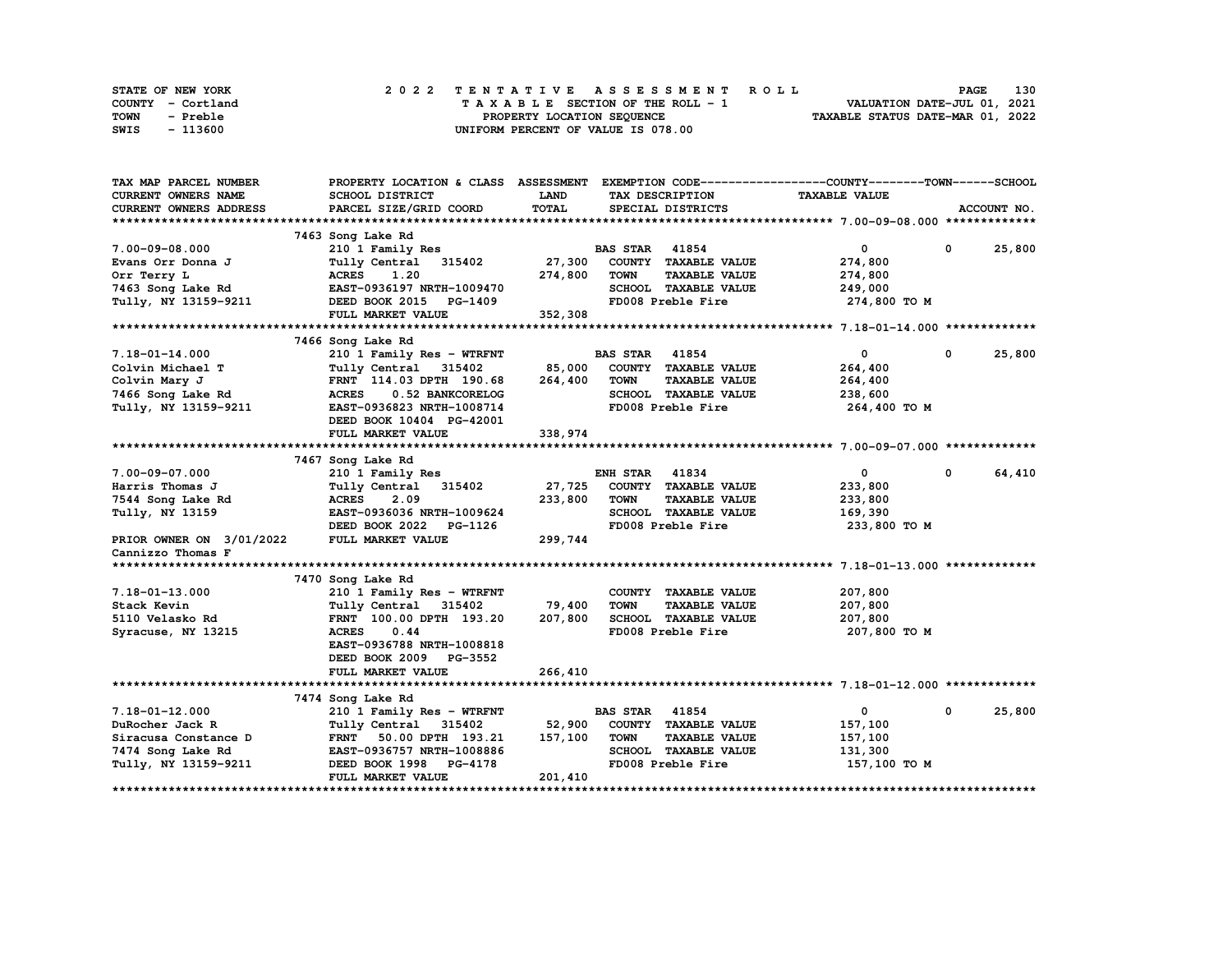| STATE OF NEW YORK | 2022 TENTATIVE ASSESSMENT ROLL     | 130<br><b>PAGE</b>               |
|-------------------|------------------------------------|----------------------------------|
| COUNTY - Cortland | TAXABLE SECTION OF THE ROLL - 1    | VALUATION DATE-JUL 01, 2021      |
| TOWN<br>- Preble  | PROPERTY LOCATION SEQUENCE         | TAXABLE STATUS DATE-MAR 01, 2022 |
| - 113600<br>SWIS  | UNIFORM PERCENT OF VALUE IS 078.00 |                                  |

| TAX MAP PARCEL NUMBER         | PROPERTY LOCATION & CLASS ASSESSMENT EXEMPTION CODE-----------------COUNTY-------TOWN------SCHOOL |             |                                     |                      |                       |
|-------------------------------|---------------------------------------------------------------------------------------------------|-------------|-------------------------------------|----------------------|-----------------------|
| CURRENT OWNERS NAME           | SCHOOL DISTRICT                                                                                   | <b>LAND</b> | TAX DESCRIPTION                     | <b>TAXABLE VALUE</b> |                       |
| <b>CURRENT OWNERS ADDRESS</b> | PARCEL SIZE/GRID COORD                                                                            | TOTAL       | SPECIAL DISTRICTS                   |                      | ACCOUNT NO.           |
|                               |                                                                                                   |             |                                     |                      |                       |
|                               | 7463 Song Lake Rd                                                                                 |             |                                     |                      |                       |
| $7.00 - 09 - 08.000$          | 210 1 Family Res                                                                                  |             | <b>BAS STAR</b> 41854               | $\mathbf{0}$         | 25,800<br>$\mathbf 0$ |
| Evans Orr Donna J             | Tully Central 315402                                                                              | 27,300      | COUNTY TAXABLE VALUE                | 274,800              |                       |
| Orr Terry L                   | 1.20<br><b>ACRES</b>                                                                              | 274,800     | <b>TOWN</b><br><b>TAXABLE VALUE</b> | 274,800              |                       |
| 7463 Song Lake Rd             | EAST-0936197 NRTH-1009470                                                                         |             | SCHOOL TAXABLE VALUE                | 249,000              |                       |
| Tully, NY 13159-9211          | DEED BOOK 2015 PG-1409                                                                            |             | FD008 Preble Fire                   | 274,800 TO M         |                       |
|                               | FULL MARKET VALUE                                                                                 | 352,308     |                                     |                      |                       |
|                               |                                                                                                   |             |                                     |                      |                       |
|                               | 7466 Song Lake Rd                                                                                 |             |                                     |                      |                       |
| 7.18-01-14.000                | 210 1 Family Res - WTRFNT                                                                         |             | <b>BAS STAR 41854</b>               | $\mathbf{0}$         | $^{\circ}$<br>25,800  |
| Colvin Michael T              | Tully Central 315402                                                                              | 85,000      | COUNTY TAXABLE VALUE                | 264,400              |                       |
| Colvin Mary J                 | FRNT 114.03 DPTH 190.68                                                                           | 264,400     | <b>TOWN</b><br><b>TAXABLE VALUE</b> | 264,400              |                       |
| 7466 Song Lake Rd             | 0.52 BANKCORELOG<br><b>ACRES</b>                                                                  |             | SCHOOL TAXABLE VALUE                | 238,600              |                       |
| Tully, NY 13159-9211          | EAST-0936823 NRTH-1008714                                                                         |             | FD008 Preble Fire                   | 264,400 TO M         |                       |
|                               | DEED BOOK 10404 PG-42001                                                                          |             |                                     |                      |                       |
|                               | FULL MARKET VALUE                                                                                 | 338,974     |                                     |                      |                       |
|                               |                                                                                                   |             |                                     |                      |                       |
|                               | 7467 Song Lake Rd                                                                                 |             |                                     |                      |                       |
| $7.00 - 09 - 07.000$          | 210 1 Family Res                                                                                  |             | <b>ENH STAR 41834</b>               | $\mathbf{0}$         | $\mathbf 0$<br>64,410 |
| Harris Thomas J               | Tully Central 315402                                                                              | 27,725      | COUNTY TAXABLE VALUE                | 233,800              |                       |
| 7544 Song Lake Rd             | 2.09<br><b>ACRES</b>                                                                              | 233,800     | <b>TOWN</b><br><b>TAXABLE VALUE</b> | 233,800              |                       |
| Tully, NY 13159               | EAST-0936036 NRTH-1009624                                                                         |             | SCHOOL TAXABLE VALUE                | 169,390              |                       |
|                               | DEED BOOK 2022 PG-1126                                                                            |             | FD008 Preble Fire                   | 233,800 TO M         |                       |
| PRIOR OWNER ON 3/01/2022      | FULL MARKET VALUE                                                                                 | 299,744     |                                     |                      |                       |
| Cannizzo Thomas F             |                                                                                                   |             |                                     |                      |                       |
|                               |                                                                                                   |             |                                     |                      |                       |
|                               | 7470 Song Lake Rd                                                                                 |             |                                     |                      |                       |
| 7.18-01-13.000                | 210 1 Family Res - WTRFNT                                                                         |             | COUNTY TAXABLE VALUE                | 207,800              |                       |
| Stack Kevin                   | Tully Central 315402                                                                              | 79,400      | <b>TOWN</b><br><b>TAXABLE VALUE</b> | 207,800              |                       |
| 5110 Velasko Rd               | FRNT 100.00 DPTH 193.20                                                                           | 207,800     | SCHOOL TAXABLE VALUE                | 207,800              |                       |
| Syracuse, NY 13215            | <b>ACRES</b><br>0.44                                                                              |             | FD008 Preble Fire                   | 207,800 то м         |                       |
|                               | EAST-0936788 NRTH-1008818                                                                         |             |                                     |                      |                       |
|                               | DEED BOOK 2009 PG-3552                                                                            |             |                                     |                      |                       |
|                               | FULL MARKET VALUE                                                                                 | 266,410     |                                     |                      |                       |
|                               |                                                                                                   |             |                                     |                      |                       |
|                               | 7474 Song Lake Rd                                                                                 |             |                                     |                      |                       |
| $7.18 - 01 - 12.000$          | 210 1 Family Res - WTRFNT                                                                         |             | <b>BAS STAR</b> 41854               | $\mathbf{0}$         | $\mathbf 0$<br>25,800 |
| DuRocher Jack R               | Tully Central 315402                                                                              | 52,900      | COUNTY TAXABLE VALUE                | 157,100              |                       |
| Siracusa Constance D          | <b>FRNT</b><br>50.00 DPTH 193.21                                                                  | 157,100     | <b>TOWN</b><br><b>TAXABLE VALUE</b> | 157,100              |                       |
| 7474 Song Lake Rd             | <b>EAST-0936757 NRTH-1008886</b>                                                                  |             | SCHOOL TAXABLE VALUE                | 131,300              |                       |
| Tully, NY 13159-9211          | DEED BOOK 1998 PG-4178                                                                            |             | FD008 Preble Fire                   | 157,100 то м         |                       |
|                               | FULL MARKET VALUE                                                                                 | 201,410     |                                     |                      |                       |
|                               |                                                                                                   |             |                                     |                      |                       |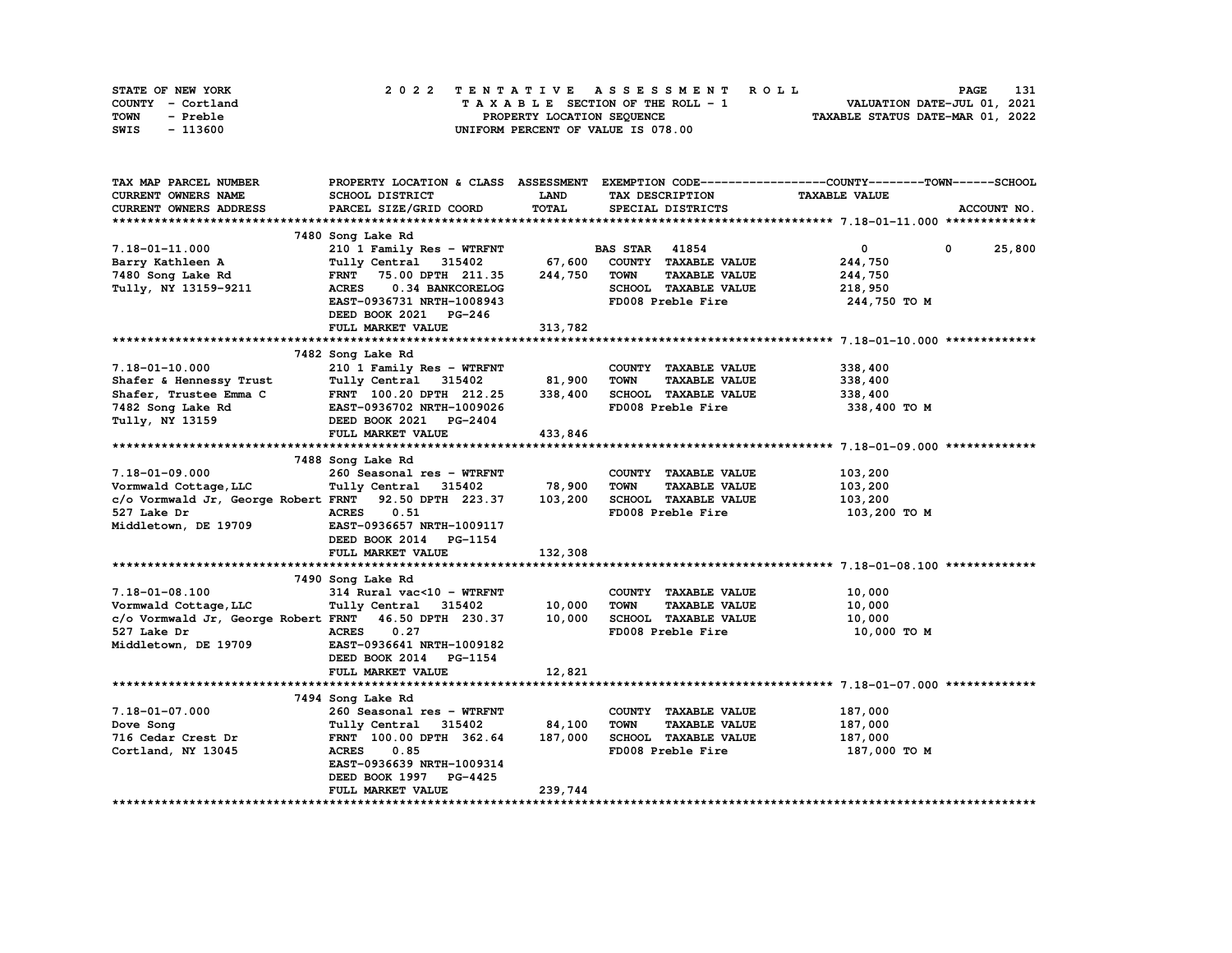| STATE OF NEW YORK | 2022 TENTATIVE ASSESSMENT ROLL     | 131<br><b>PAGE</b>               |
|-------------------|------------------------------------|----------------------------------|
| COUNTY - Cortland | TAXABLE SECTION OF THE ROLL - 1    | VALUATION DATE-JUL 01, 2021      |
| TOWN<br>- Preble  | PROPERTY LOCATION SEQUENCE         | TAXABLE STATUS DATE-MAR 01, 2022 |
| - 113600<br>SWIS  | UNIFORM PERCENT OF VALUE IS 078.00 |                                  |

| TAX MAP PARCEL NUMBER                                         |                                                                                                        |         |                                     | PROPERTY LOCATION & CLASS ASSESSMENT EXEMPTION CODE----------------COUNTY-------TOWN-----SCHOOL |
|---------------------------------------------------------------|--------------------------------------------------------------------------------------------------------|---------|-------------------------------------|-------------------------------------------------------------------------------------------------|
| CURRENT OWNERS NAME                                           | SCHOOL DISTRICT                                                                                        | LAND    | TAX DESCRIPTION                     | <b>TAXABLE VALUE</b>                                                                            |
| CURRENT OWNERS ADDRESS                                        | PARCEL SIZE/GRID COORD                                                                                 | TOTAL   | SPECIAL DISTRICTS                   | ACCOUNT NO.                                                                                     |
|                                                               |                                                                                                        |         |                                     |                                                                                                 |
|                                                               | 7480 Song Lake Rd                                                                                      |         |                                     |                                                                                                 |
| 7.18-01-11.000                                                | 210 1 Family Res - WTRFNT                                                                              |         | <b>BAS STAR</b> 41854               | $\mathbf{0}$<br>25,800<br>$^{\circ}$                                                            |
| Barry Kathleen A                                              | Tully Central 315402                                                                                   | 67,600  | COUNTY TAXABLE VALUE                | 244,750                                                                                         |
| 7480 Song Lake Rd                                             | FRNT 75.00 DPTH 211.35                                                                                 | 244,750 | TOWN<br><b>TAXABLE VALUE</b>        | 244,750                                                                                         |
| Tully, NY 13159-9211                                          | <b>ACRES</b><br>0.34 BANKCORELOG                                                                       |         | SCHOOL TAXABLE VALUE                | 218,950                                                                                         |
|                                                               | EAST-0936731 NRTH-1008943                                                                              |         | FD008 Preble Fire                   | 244,750 TO M                                                                                    |
|                                                               | DEED BOOK 2021 PG-246                                                                                  |         |                                     |                                                                                                 |
|                                                               | FULL MARKET VALUE                                                                                      | 313,782 |                                     |                                                                                                 |
|                                                               |                                                                                                        |         |                                     |                                                                                                 |
|                                                               | 7482 Song Lake Rd                                                                                      |         |                                     |                                                                                                 |
| $7.18 - 01 - 10.000$                                          | 210 1 Family Res - WTRFNT                                                                              |         | COUNTY TAXABLE VALUE                | 338,400                                                                                         |
| Shafer & Hennessy Trust                                       | Tully Central 315402                                                                                   | 81,900  | <b>TOWN</b><br><b>TAXABLE VALUE</b> | 338,400                                                                                         |
| Shafer, Trustee Emma C                                        | FRNT 100.20 DPTH 212.25                                                                                | 338,400 | SCHOOL TAXABLE VALUE                | 338,400                                                                                         |
| 7482 Song Lake Rd                                             | Tully Central 315402<br>FRNT 100.20 DPTH 212.25<br>EAST-0936702 NRTH-1009026<br>DEED BOOK 2021 PG-2404 |         | FD008 Preble Fire                   | 338,400 то м                                                                                    |
| Tully, NY 13159                                               | DEED BOOK 2021 PG-2404                                                                                 |         |                                     |                                                                                                 |
|                                                               |                                                                                                        | 433,846 |                                     |                                                                                                 |
|                                                               | FULL MARKET VALUE                                                                                      |         |                                     |                                                                                                 |
|                                                               |                                                                                                        |         |                                     |                                                                                                 |
|                                                               | 7488 Song Lake Rd                                                                                      |         |                                     |                                                                                                 |
| 7.18-01-09.000                                                | 260 Seasonal res - WTRFNT<br>Tully Central 315402 78,900                                               |         | COUNTY TAXABLE VALUE                | 103,200                                                                                         |
| Vormwald Cottage, LLC                                         |                                                                                                        |         | TOWN<br><b>TAXABLE VALUE</b>        | 103,200                                                                                         |
| c/o Vormwald Jr, George Robert FRNT 92.50 DPTH 223.37 103,200 |                                                                                                        |         | SCHOOL TAXABLE VALUE                | 103,200                                                                                         |
| 527 Lake Dr                                                   | <b>ACRES</b><br>0.51                                                                                   |         | FD008 Preble Fire                   | 103,200 то м                                                                                    |
| Middletown, DE 19709                                          | EAST-0936657 NRTH-1009117                                                                              |         |                                     |                                                                                                 |
|                                                               | DEED BOOK 2014 PG-1154                                                                                 |         |                                     |                                                                                                 |
|                                                               | FULL MARKET VALUE                                                                                      | 132,308 |                                     |                                                                                                 |
|                                                               |                                                                                                        |         |                                     |                                                                                                 |
|                                                               | 7490 Song Lake Rd                                                                                      |         |                                     |                                                                                                 |
| 7.18-01-08.100                                                | 314 Rural vac<10 - WTRFNT                                                                              |         | COUNTY TAXABLE VALUE                | 10,000                                                                                          |
| Vormwald Cottage, LLC                                         | Tully Central 315402                                                                                   | 10,000  | <b>TOWN</b><br><b>TAXABLE VALUE</b> | 10,000                                                                                          |
| c/o Vormwald Jr, George Robert FRNT 46.50 DPTH 230.37 10,000  |                                                                                                        |         | SCHOOL TAXABLE VALUE                | 10,000                                                                                          |
| 527 Lake Dr                                                   | 0.27<br><b>ACRES</b>                                                                                   |         | FD008 Preble Fire                   | 10,000 TO M                                                                                     |
| Middletown, DE 19709                                          | EAST-0936641 NRTH-1009182                                                                              |         |                                     |                                                                                                 |
|                                                               | DEED BOOK 2014 PG-1154                                                                                 |         |                                     |                                                                                                 |
|                                                               | FULL MARKET VALUE                                                                                      | 12,821  |                                     |                                                                                                 |
|                                                               |                                                                                                        |         |                                     |                                                                                                 |
|                                                               | 7494 Song Lake Rd                                                                                      |         |                                     |                                                                                                 |
| 7.18-01-07.000                                                | 260 Seasonal res - WTRFNT                                                                              |         | COUNTY TAXABLE VALUE                | 187,000                                                                                         |
| Dove Song                                                     | Tully Central 315402                                                                                   | 84,100  | <b>TOWN</b><br><b>TAXABLE VALUE</b> | 187,000                                                                                         |
| 716 Cedar Crest Dr                                            | FRNT 100.00 DPTH 362.64                                                                                | 187,000 | SCHOOL TAXABLE VALUE                | 187,000                                                                                         |
| Cortland, NY 13045                                            | <b>ACRES</b><br>0.85                                                                                   |         | FD008 Preble Fire                   | 187,000 TO M                                                                                    |
|                                                               | EAST-0936639 NRTH-1009314                                                                              |         |                                     |                                                                                                 |
|                                                               | DEED BOOK 1997 PG-4425                                                                                 |         |                                     |                                                                                                 |
|                                                               | FULL MARKET VALUE                                                                                      | 239,744 |                                     |                                                                                                 |
|                                                               |                                                                                                        |         |                                     |                                                                                                 |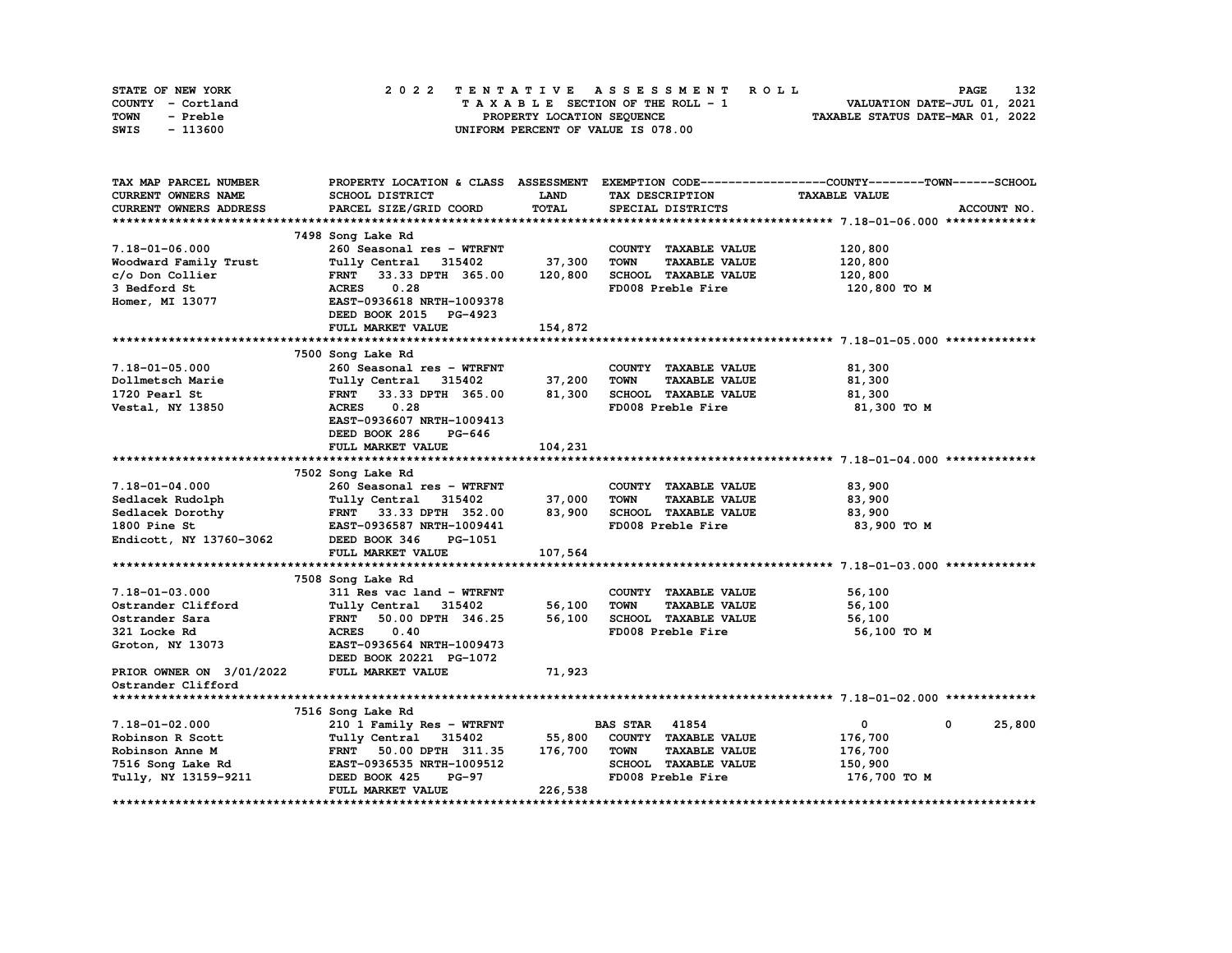| STATE OF NEW YORK | 2022 TENTATIVE ASSESSMENT ROLL     | 132<br><b>PAGE</b>               |
|-------------------|------------------------------------|----------------------------------|
| COUNTY - Cortland | TAXABLE SECTION OF THE ROLL - 1    | VALUATION DATE-JUL 01, 2021      |
| TOWN<br>- Preble  | PROPERTY LOCATION SEQUENCE         | TAXABLE STATUS DATE-MAR 01, 2022 |
| - 113600<br>SWIS  | UNIFORM PERCENT OF VALUE IS 078.00 |                                  |

| TAX MAP PARCEL NUMBER            |                                                  |         |                                     | PROPERTY LOCATION & CLASS ASSESSMENT EXEMPTION CODE----------------COUNTY-------TOWN-----SCHOOL |  |
|----------------------------------|--------------------------------------------------|---------|-------------------------------------|-------------------------------------------------------------------------------------------------|--|
| CURRENT OWNERS NAME              | SCHOOL DISTRICT                                  | LAND    | TAX DESCRIPTION                     | <b>TAXABLE VALUE</b>                                                                            |  |
| CURRENT OWNERS ADDRESS           | PARCEL SIZE/GRID COORD                           | TOTAL   | SPECIAL DISTRICTS                   | ACCOUNT NO.                                                                                     |  |
|                                  |                                                  |         |                                     |                                                                                                 |  |
|                                  | 7498 Song Lake Rd                                |         |                                     |                                                                                                 |  |
| $7.18 - 01 - 06.000$             | 260 Seasonal res - WTRFNT                        |         | COUNTY TAXABLE VALUE                | 120,800                                                                                         |  |
| Woodward Family Trust            | Tully Central 315402                             | 37,300  | <b>TOWN</b><br><b>TAXABLE VALUE</b> | 120,800                                                                                         |  |
| c/o Don Collier                  | FRNT 33.33 DPTH 365.00                           | 120,800 | SCHOOL TAXABLE VALUE                | 120,800                                                                                         |  |
| 3 Bedford St                     | <b>ACRES</b><br>0.28                             |         | FD008 Preble Fire                   | 120,800 то м                                                                                    |  |
| Homer, MI 13077                  | EAST-0936618 NRTH-1009378                        |         |                                     |                                                                                                 |  |
|                                  | DEED BOOK 2015<br><b>PG-4923</b>                 |         |                                     |                                                                                                 |  |
|                                  | FULL MARKET VALUE                                | 154,872 |                                     |                                                                                                 |  |
|                                  |                                                  |         |                                     |                                                                                                 |  |
|                                  | 7500 Song Lake Rd                                |         |                                     |                                                                                                 |  |
| $7.18 - 01 - 05.000$             | 260 Seasonal res - WTRFNT                        |         | COUNTY TAXABLE VALUE                | 81,300                                                                                          |  |
| Dollmetsch Marie                 | Tully Central 315402                             | 37,200  | <b>TOWN</b><br><b>TAXABLE VALUE</b> | 81,300                                                                                          |  |
| 1720 Pearl St                    | <b>FRNT</b>                                      |         | SCHOOL TAXABLE VALUE                | 81,300                                                                                          |  |
|                                  | 33.33 DPTH 365.00 81,300<br>0.28<br><b>ACRES</b> |         | FD008 Preble Fire                   | 81,300 то м                                                                                     |  |
| Vestal, NY 13850                 |                                                  |         |                                     |                                                                                                 |  |
|                                  | EAST-0936607 NRTH-1009413                        |         |                                     |                                                                                                 |  |
|                                  | DEED BOOK 286<br>PG-646                          |         |                                     |                                                                                                 |  |
|                                  | FULL MARKET VALUE                                | 104,231 |                                     |                                                                                                 |  |
|                                  |                                                  |         |                                     |                                                                                                 |  |
|                                  | 7502 Song Lake Rd                                |         |                                     |                                                                                                 |  |
| $7.18 - 01 - 04.000$             | 260 Seasonal res - WTRFNT                        |         | COUNTY TAXABLE VALUE                | 83,900                                                                                          |  |
| Sedlacek Rudolph                 | Tully Central 315402                             | 37,000  | <b>TOWN</b><br><b>TAXABLE VALUE</b> | 83,900                                                                                          |  |
| Sedlacek Dorothy<br>1800 Pine St | FRNT 33.33 DPTH 352.00                           | 83,900  | SCHOOL TAXABLE VALUE                | 83,900                                                                                          |  |
| 1800 Pine St                     | EAST-0936587 NRTH-1009441                        |         | FD008 Preble Fire                   | 83,900 TO M                                                                                     |  |
| Endicott, NY 13760-3062          | DEED BOOK 346<br>PG-1051                         |         |                                     |                                                                                                 |  |
|                                  | FULL MARKET VALUE                                | 107,564 |                                     |                                                                                                 |  |
|                                  |                                                  |         |                                     |                                                                                                 |  |
|                                  | 7508 Song Lake Rd                                |         |                                     |                                                                                                 |  |
| 7.18-01-03.000                   | 311 Res vac land - WTRFNT                        |         | COUNTY TAXABLE VALUE                | 56,100                                                                                          |  |
| Ostrander Clifford               | Tully Central 315402                             | 56,100  | <b>TOWN</b><br><b>TAXABLE VALUE</b> | 56,100                                                                                          |  |
| Ostrander Sara                   | FRNT 50.00 DPTH 346.25                           | 56,100  | SCHOOL TAXABLE VALUE                | 56,100                                                                                          |  |
| 321 Locke Rd                     | <b>ACRES</b><br>0.40                             |         | FD008 Preble Fire                   | 56,100 TO M                                                                                     |  |
| Groton, NY 13073                 | EAST-0936564 NRTH-1009473                        |         |                                     |                                                                                                 |  |
|                                  | DEED BOOK 20221 PG-1072                          |         |                                     |                                                                                                 |  |
| PRIOR OWNER ON 3/01/2022         | FULL MARKET VALUE                                | 71,923  |                                     |                                                                                                 |  |
| Ostrander Clifford               |                                                  |         |                                     |                                                                                                 |  |
|                                  |                                                  |         |                                     |                                                                                                 |  |
|                                  | 7516 Song Lake Rd                                |         |                                     |                                                                                                 |  |
| $7.18 - 01 - 02.000$             | 210 1 Family Res - WTRFNT                        |         | <b>BAS STAR 41854</b>               | $\mathbf 0$<br>25,800<br>$^{\circ}$                                                             |  |
| Robinson R Scott                 | Tully Central 315402                             | 55,800  | COUNTY TAXABLE VALUE                | 176,700                                                                                         |  |
| Robinson Anne M                  | FRNT 50.00 DPTH 311.35                           | 176,700 | <b>TOWN</b><br><b>TAXABLE VALUE</b> | 176,700                                                                                         |  |
| 7516 Song Lake Rd                | EAST-0936535 NRTH-1009512                        |         | SCHOOL TAXABLE VALUE                | 150,900                                                                                         |  |
| Tully, NY 13159-9211             | DEED BOOK 425<br>PG-97                           |         | FD008 Preble Fire                   | 176,700 то м                                                                                    |  |
|                                  | FULL MARKET VALUE                                | 226,538 |                                     |                                                                                                 |  |
|                                  |                                                  |         |                                     |                                                                                                 |  |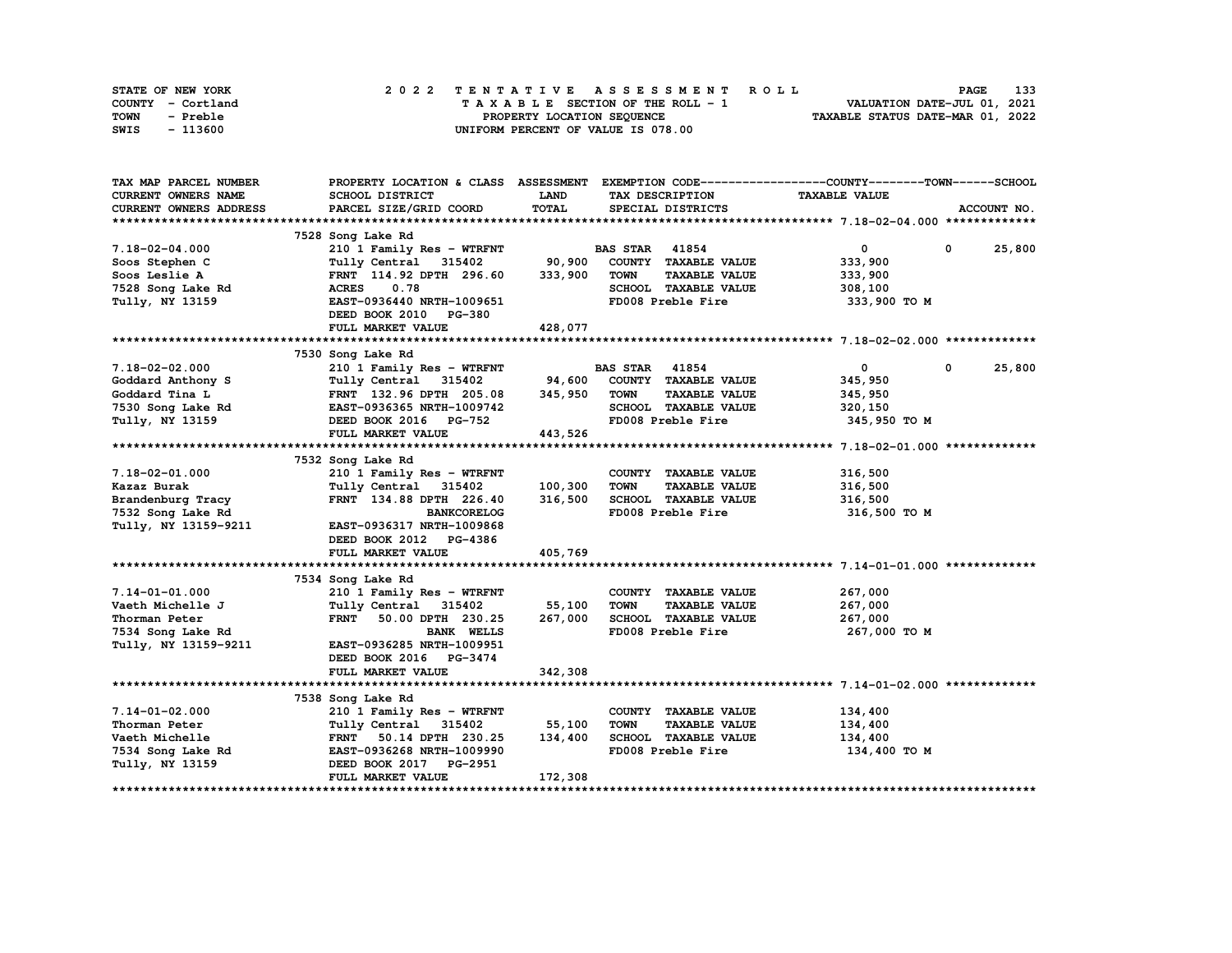| STATE OF NEW YORK | 2022 TENTATIVE ASSESSMENT ROLL     | 133<br><b>PAGE</b>               |
|-------------------|------------------------------------|----------------------------------|
| COUNTY - Cortland | TAXABLE SECTION OF THE ROLL - 1    | VALUATION DATE-JUL 01, 2021      |
| TOWN<br>- Preble  | PROPERTY LOCATION SEQUENCE         | TAXABLE STATUS DATE-MAR 01, 2022 |
| - 113600<br>SWIS  | UNIFORM PERCENT OF VALUE IS 078.00 |                                  |

| TAX MAP PARCEL NUMBER                                                                                                                                                                                                                                | PROPERTY LOCATION & CLASS ASSESSMENT EXEMPTION CODE----------------COUNTY-------TOWN-----SCHOOL |             |                       |                      |                      |             |             |
|------------------------------------------------------------------------------------------------------------------------------------------------------------------------------------------------------------------------------------------------------|-------------------------------------------------------------------------------------------------|-------------|-----------------------|----------------------|----------------------|-------------|-------------|
| CURRENT OWNERS NAME                                                                                                                                                                                                                                  | SCHOOL DISTRICT                                                                                 | <b>LAND</b> |                       | TAX DESCRIPTION      | <b>TAXABLE VALUE</b> |             |             |
| CURRENT OWNERS ADDRESS                                                                                                                                                                                                                               | PARCEL SIZE/GRID COORD                                                                          | TOTAL       |                       | SPECIAL DISTRICTS    |                      |             | ACCOUNT NO. |
|                                                                                                                                                                                                                                                      |                                                                                                 |             |                       |                      |                      |             |             |
|                                                                                                                                                                                                                                                      | 7528 Song Lake Rd                                                                               |             |                       |                      |                      |             |             |
| 7.18-02-04.000                                                                                                                                                                                                                                       | 210 1 Family Res - WTRFNT                                                                       |             | <b>BAS STAR</b> 41854 |                      | $\overline{0}$       | $\mathbf 0$ | 25,800      |
| Soos Stephen C                                                                                                                                                                                                                                       | Tully Central 315402                                                                            | 90,900      |                       | COUNTY TAXABLE VALUE | 333,900              |             |             |
| Soos Leslie A                                                                                                                                                                                                                                        | FRNT 114.92 DPTH 296.60 333,900                                                                 |             | <b>TOWN</b>           | <b>TAXABLE VALUE</b> | 333,900              |             |             |
| 7528 Song Lake Rd                                                                                                                                                                                                                                    | 0.78<br><b>ACRES</b>                                                                            |             |                       | SCHOOL TAXABLE VALUE | 308,100              |             |             |
| Tully, NY 13159                                                                                                                                                                                                                                      | EAST-0936440 NRTH-1009651                                                                       |             |                       | FD008 Preble Fire    | 333,900 то м         |             |             |
|                                                                                                                                                                                                                                                      | DEED BOOK 2010 PG-380                                                                           |             |                       |                      |                      |             |             |
|                                                                                                                                                                                                                                                      | FULL MARKET VALUE                                                                               | 428,077     |                       |                      |                      |             |             |
|                                                                                                                                                                                                                                                      |                                                                                                 |             |                       |                      |                      |             |             |
|                                                                                                                                                                                                                                                      | 7530 Song Lake Rd                                                                               |             |                       |                      |                      |             |             |
| $7.18 - 02 - 02.000$                                                                                                                                                                                                                                 | 210 1 Family Res - WTRFNT                                                                       |             | <b>BAS STAR</b> 41854 |                      | $\mathbf{0}$         | $^{\circ}$  | 25,800      |
|                                                                                                                                                                                                                                                      |                                                                                                 | 94,600      |                       | COUNTY TAXABLE VALUE | 345,950              |             |             |
|                                                                                                                                                                                                                                                      |                                                                                                 | 345,950     | TOWN                  | <b>TAXABLE VALUE</b> |                      |             |             |
| Goddard Anthony S<br>Goddard Tina L<br>7530 Song Lake Rd<br>7530 Song Lake Rd<br>7530 Song Lake Rd<br>7530 Song Lake Rd<br>7530 Song Lake Rd<br>7530 Song Lake Rd<br>7530 Song Lake Rd<br>7530 Song Lake Rd<br>8537-0936365 NRTH-1009742<br>7520 BOO |                                                                                                 |             |                       | SCHOOL TAXABLE VALUE | 345,950              |             |             |
| 7530 Song Lake Rd<br>Tully, NY 13159                                                                                                                                                                                                                 |                                                                                                 |             |                       |                      | 320,150              |             |             |
|                                                                                                                                                                                                                                                      | DEED BOOK 2016 PG-752                                                                           |             |                       | FD008 Preble Fire    | 345,950 TO M         |             |             |
|                                                                                                                                                                                                                                                      | FULL MARKET VALUE                                                                               | 443,526     |                       |                      |                      |             |             |
|                                                                                                                                                                                                                                                      |                                                                                                 |             |                       |                      |                      |             |             |
|                                                                                                                                                                                                                                                      | 7532 Song Lake Rd                                                                               |             |                       |                      |                      |             |             |
| 7.18-02-01.000                                                                                                                                                                                                                                       | 210 1 Family Res - WTRFNT                                                                       |             |                       | COUNTY TAXABLE VALUE | 316,500              |             |             |
| Kazaz Burak                                                                                                                                                                                                                                          | Tully Central 315402                                                                            | 100,300     | <b>TOWN</b>           | <b>TAXABLE VALUE</b> | 316,500              |             |             |
| Brandenburg Tracy                                                                                                                                                                                                                                    | FRNT 134.88 DPTH 226.40                                                                         | 316,500     |                       | SCHOOL TAXABLE VALUE | 316,500              |             |             |
| 7532 Song Lake Rd                                                                                                                                                                                                                                    | <b>BANKCORELOG</b>                                                                              |             |                       | FD008 Preble Fire    | 316,500 TO M         |             |             |
| Tully, NY 13159-9211                                                                                                                                                                                                                                 | EAST-0936317 NRTH-1009868                                                                       |             |                       |                      |                      |             |             |
|                                                                                                                                                                                                                                                      | DEED BOOK 2012 PG-4386                                                                          |             |                       |                      |                      |             |             |
|                                                                                                                                                                                                                                                      | FULL MARKET VALUE                                                                               | 405,769     |                       |                      |                      |             |             |
|                                                                                                                                                                                                                                                      |                                                                                                 |             |                       |                      |                      |             |             |
|                                                                                                                                                                                                                                                      | 7534 Song Lake Rd                                                                               |             |                       |                      |                      |             |             |
| 7.14-01-01.000                                                                                                                                                                                                                                       | 210 1 Family Res - WTRFNT                                                                       |             |                       | COUNTY TAXABLE VALUE | 267,000              |             |             |
| Vaeth Michelle J                                                                                                                                                                                                                                     | Tully Central 315402                                                                            | 55,100      | <b>TOWN</b>           | <b>TAXABLE VALUE</b> | 267,000              |             |             |
| Thorman Peter                                                                                                                                                                                                                                        | FRNT 50.00 DPTH 230.25                                                                          | 267,000     |                       | SCHOOL TAXABLE VALUE | 267,000              |             |             |
| 7534 Song Lake Rd                                                                                                                                                                                                                                    | <b>BANK WELLS</b>                                                                               |             |                       | FD008 Preble Fire    | 267,000 то м         |             |             |
| Tully, NY 13159-9211                                                                                                                                                                                                                                 | EAST-0936285 NRTH-1009951                                                                       |             |                       |                      |                      |             |             |
|                                                                                                                                                                                                                                                      | DEED BOOK 2016 PG-3474                                                                          |             |                       |                      |                      |             |             |
|                                                                                                                                                                                                                                                      | FULL MARKET VALUE                                                                               | 342,308     |                       |                      |                      |             |             |
|                                                                                                                                                                                                                                                      |                                                                                                 |             |                       |                      |                      |             |             |
|                                                                                                                                                                                                                                                      | 7538 Song Lake Rd                                                                               |             |                       |                      |                      |             |             |
| 7.14-01-02.000                                                                                                                                                                                                                                       | 210 1 Family Res - WTRFNT                                                                       |             |                       | COUNTY TAXABLE VALUE | 134,400              |             |             |
| Thorman Peter                                                                                                                                                                                                                                        | Tully Central 315402                                                                            | 55,100      | <b>TOWN</b>           | <b>TAXABLE VALUE</b> | 134,400              |             |             |
| Vaeth Michelle                                                                                                                                                                                                                                       | FRNT 50.14 DPTH 230.25                                                                          | 134,400     |                       | SCHOOL TAXABLE VALUE | 134,400              |             |             |
|                                                                                                                                                                                                                                                      | FRNT 50.14 DPTH 250.25<br>EAST-0936268 NRTH-1009990                                             |             |                       | FD008 Preble Fire    | 134,400 TO M         |             |             |
| 7534 Song Lake Rd<br>Tully, NY 13159<br>Tully, NY 13159                                                                                                                                                                                              | DEED BOOK 2017 PG-2951                                                                          |             |                       |                      |                      |             |             |
|                                                                                                                                                                                                                                                      | FULL MARKET VALUE                                                                               | 172,308     |                       |                      |                      |             |             |
|                                                                                                                                                                                                                                                      |                                                                                                 |             |                       |                      |                      |             |             |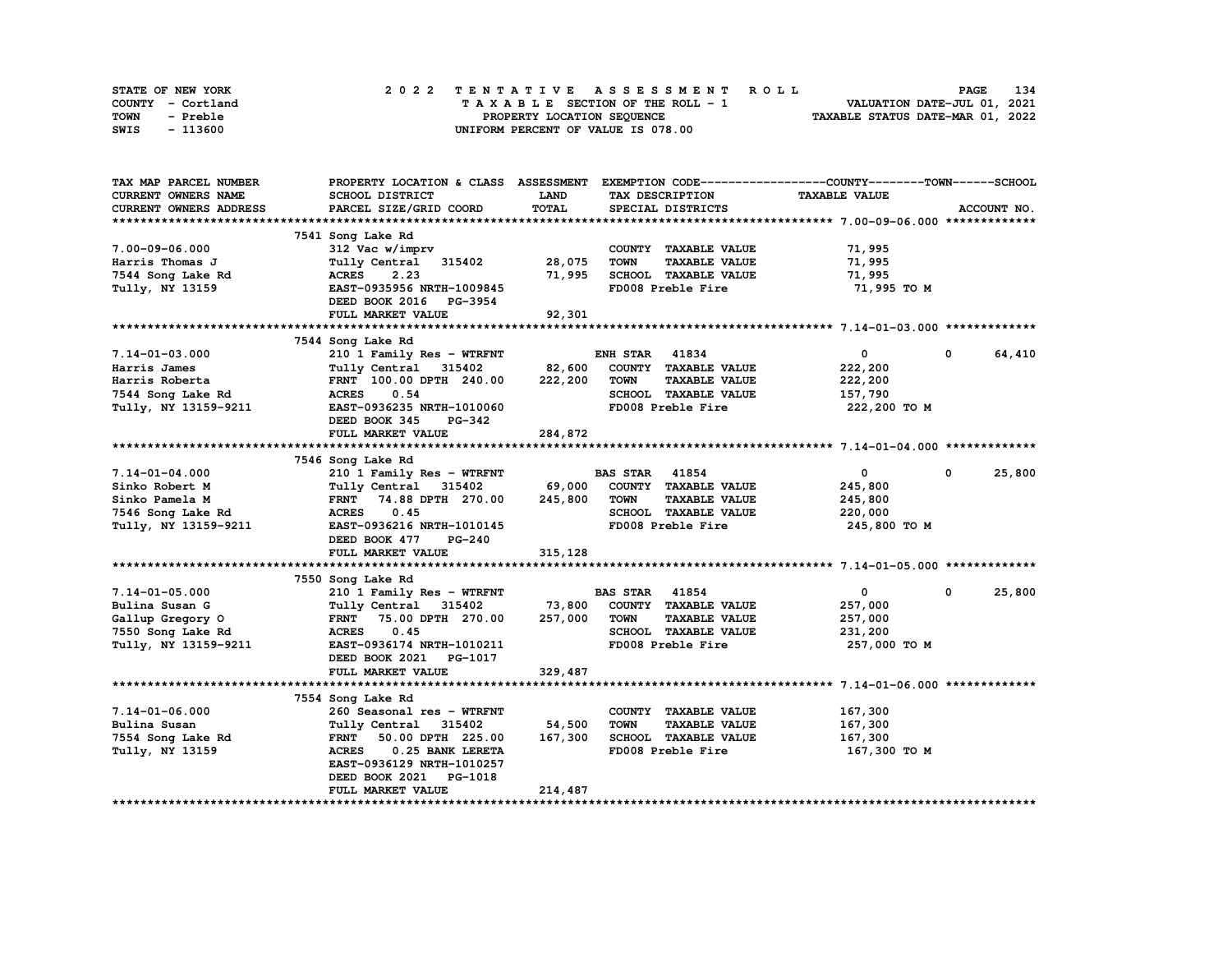| STATE OF NEW YORK | 2022 TENTATIVE ASSESSMENT ROLL     | 134<br><b>PAGE</b>               |
|-------------------|------------------------------------|----------------------------------|
| COUNTY - Cortland | TAXABLE SECTION OF THE ROLL - 1    | VALUATION DATE-JUL 01, 2021      |
| TOWN<br>- Preble  | PROPERTY LOCATION SEQUENCE         | TAXABLE STATUS DATE-MAR 01, 2022 |
| - 113600<br>SWIS  | UNIFORM PERCENT OF VALUE IS 078.00 |                                  |

| TAX MAP PARCEL NUMBER  | PROPERTY LOCATION & CLASS ASSESSMENT |             | EXEMPTION CODE-----------------COUNTY-------TOWN------SCHOOL |                      |                       |
|------------------------|--------------------------------------|-------------|--------------------------------------------------------------|----------------------|-----------------------|
| CURRENT OWNERS NAME    | SCHOOL DISTRICT                      | <b>LAND</b> | TAX DESCRIPTION                                              | <b>TAXABLE VALUE</b> |                       |
| CURRENT OWNERS ADDRESS | PARCEL SIZE/GRID COORD               | TOTAL       | SPECIAL DISTRICTS                                            |                      | ACCOUNT NO.           |
|                        |                                      |             |                                                              |                      |                       |
|                        | 7541 Song Lake Rd                    |             |                                                              |                      |                       |
| $7.00 - 09 - 06.000$   | 312 Vac w/imprv                      |             | COUNTY TAXABLE VALUE                                         | 71,995               |                       |
| Harris Thomas J        | Tully Central 315402                 | 28,075      | <b>TOWN</b><br><b>TAXABLE VALUE</b>                          | 71,995               |                       |
| 7544 Song Lake Rd      | 2.23<br><b>ACRES</b>                 | 71,995      | SCHOOL TAXABLE VALUE                                         | 71,995               |                       |
| Tully, NY 13159        | EAST-0935956 NRTH-1009845            |             | FD008 Preble Fire                                            | 71,995 TO M          |                       |
|                        | DEED BOOK 2016 PG-3954               |             |                                                              |                      |                       |
|                        | FULL MARKET VALUE                    | 92,301      |                                                              |                      |                       |
|                        |                                      |             |                                                              |                      |                       |
|                        | 7544 Song Lake Rd                    |             |                                                              |                      |                       |
| $7.14 - 01 - 03.000$   | 210 1 Family Res - WTRFNT            |             | <b>ENH STAR 41834</b>                                        | $\mathbf{0}$         | 64,410<br>$\mathbf 0$ |
| Harris James           | Tully Central 315402                 | 82,600      | COUNTY TAXABLE VALUE                                         | 222,200              |                       |
| Harris Roberta         | FRNT 100.00 DPTH 240.00              | 222,200     | <b>TAXABLE VALUE</b><br>TOWN                                 | 222,200              |                       |
| 7544 Song Lake Rd      | <b>ACRES</b><br>0.54                 |             | SCHOOL TAXABLE VALUE                                         | 157,790              |                       |
| Tully, NY 13159-9211   | EAST-0936235 NRTH-1010060            |             | FD008 Preble Fire                                            | 222,200 TO M         |                       |
|                        | DEED BOOK 345<br>PG-342              |             |                                                              |                      |                       |
|                        | FULL MARKET VALUE                    | 284,872     |                                                              |                      |                       |
|                        |                                      |             |                                                              |                      |                       |
|                        | 7546 Song Lake Rd                    |             |                                                              |                      |                       |
| $7.14 - 01 - 04.000$   | 210 1 Family Res - WTRFNT            |             | <b>BAS STAR 41854</b>                                        | $\mathbf{0}$         | 25,800<br>$\mathbf 0$ |
| Sinko Robert M         | Tully Central 315402 69,000          |             | COUNTY TAXABLE VALUE                                         | 245,800              |                       |
| Sinko Pamela M         | FRNT 74.88 DPTH 270.00 245,800       |             | <b>TOWN</b><br><b>TAXABLE VALUE</b>                          | 245,800              |                       |
| 7546 Song Lake Rd      | <b>ACRES</b><br>0.45                 |             | SCHOOL TAXABLE VALUE                                         | 220,000              |                       |
| Tully, NY 13159-9211   | EAST-0936216 NRTH-1010145            |             | FD008 Preble Fire                                            | 245,800 TO M         |                       |
|                        | DEED BOOK 477<br><b>PG-240</b>       |             |                                                              |                      |                       |
|                        | FULL MARKET VALUE                    | 315,128     |                                                              |                      |                       |
|                        |                                      |             |                                                              |                      |                       |
|                        | 7550 Song Lake Rd                    |             |                                                              |                      |                       |
| $7.14 - 01 - 05.000$   | 210 1 Family Res - WTRFNT            |             | <b>BAS STAR 41854</b>                                        | $\mathbf{0}$         | 25,800<br>$\mathbf 0$ |
| Bulina Susan G         | Tully Central 315402                 | 73,800      | COUNTY TAXABLE VALUE                                         | 257,000              |                       |
| Gallup Gregory O       | FRNT 75.00 DPTH 270.00               | 257,000     | <b>TOWN</b><br><b>TAXABLE VALUE</b>                          | 257,000              |                       |
| 7550 Song Lake Rd      | <b>ACRES</b><br>0.45                 |             | SCHOOL TAXABLE VALUE                                         | 231,200              |                       |
| Tully, NY 13159-9211   | EAST-0936174 NRTH-1010211            |             | FD008 Preble Fire                                            | 257,000 TO M         |                       |
|                        | DEED BOOK 2021 PG-1017               |             |                                                              |                      |                       |
|                        | FULL MARKET VALUE                    | 329,487     |                                                              |                      |                       |
|                        |                                      |             |                                                              |                      |                       |
|                        | 7554 Song Lake Rd                    |             |                                                              |                      |                       |
| $7.14 - 01 - 06.000$   | 260 Seasonal res - WTRFNT            |             | COUNTY TAXABLE VALUE                                         | 167,300              |                       |
| Bulina Susan           | Tully Central 315402                 | 54,500      | <b>TOWN</b><br><b>TAXABLE VALUE</b>                          | 167,300              |                       |
| 7554 Song Lake Rd      | <b>FRNT</b><br>50.00 DPTH 225.00     | 167,300     | SCHOOL TAXABLE VALUE                                         | 167,300              |                       |
| Tully, NY 13159        | 0.25 BANK LERETA<br>ACRES            |             | FD008 Preble Fire                                            | 167,300 то м         |                       |
|                        | EAST-0936129 NRTH-1010257            |             |                                                              |                      |                       |
|                        | DEED BOOK 2021<br>PG-1018            |             |                                                              |                      |                       |
|                        | FULL MARKET VALUE                    | 214,487     |                                                              |                      |                       |
|                        |                                      |             |                                                              |                      |                       |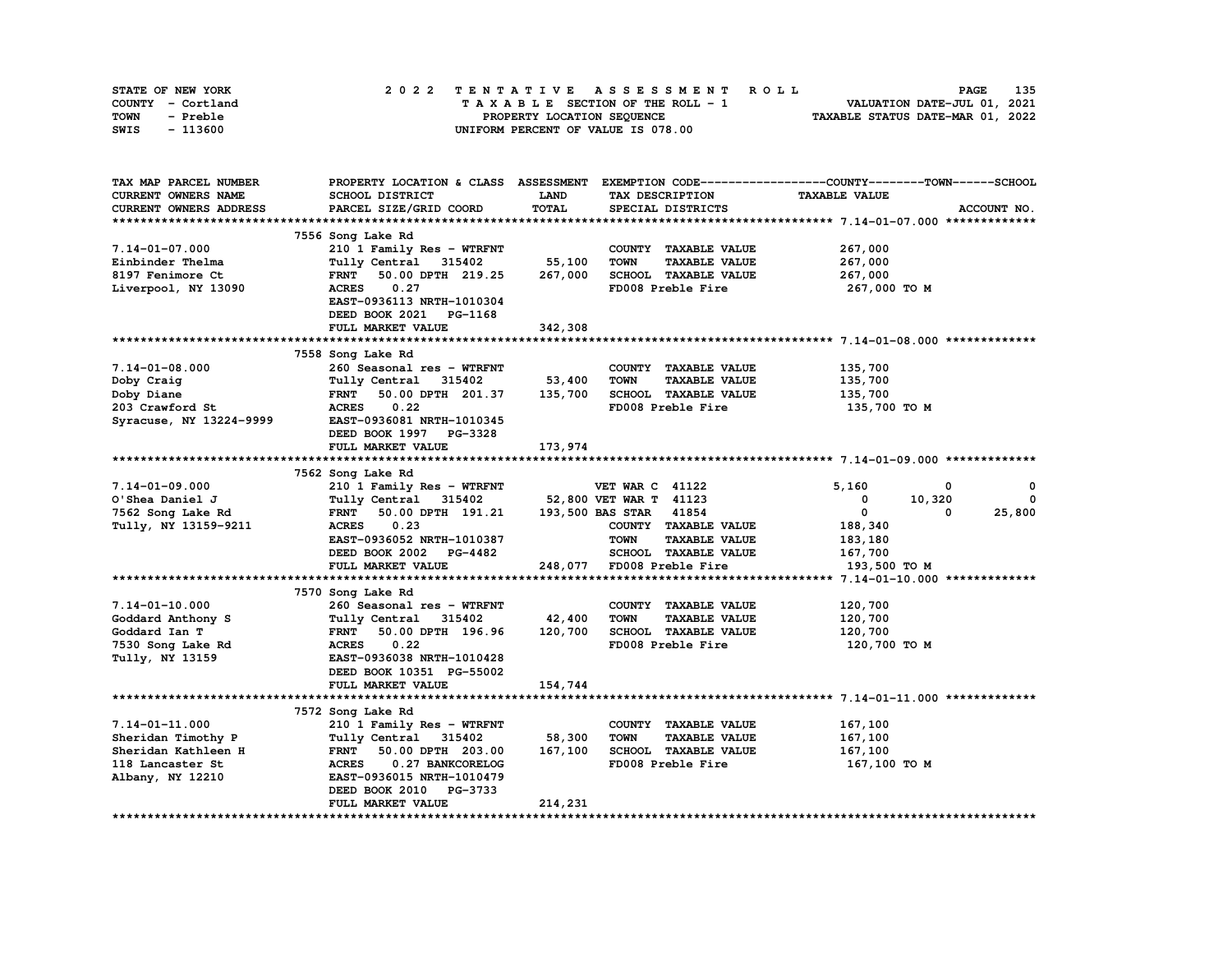| STATE OF NEW YORK | 2022 TENTATIVE ASSESSMENT ROLL     | 135<br><b>PAGE</b>               |
|-------------------|------------------------------------|----------------------------------|
| COUNTY - Cortland | TAXABLE SECTION OF THE ROLL - 1    | VALUATION DATE-JUL 01, 2021      |
| TOWN<br>- Preble  | PROPERTY LOCATION SEQUENCE         | TAXABLE STATUS DATE-MAR 01, 2022 |
| - 113600<br>SWIS  | UNIFORM PERCENT OF VALUE IS 078.00 |                                  |

| TAX MAP PARCEL NUMBER   | PROPERTY LOCATION & CLASS ASSESSMENT |             |                                     | EXEMPTION CODE-----------------COUNTY-------TOWN------SCHOOL |
|-------------------------|--------------------------------------|-------------|-------------------------------------|--------------------------------------------------------------|
| CURRENT OWNERS NAME     | SCHOOL DISTRICT                      | <b>LAND</b> | TAX DESCRIPTION                     | <b>TAXABLE VALUE</b>                                         |
| CURRENT OWNERS ADDRESS  | PARCEL SIZE/GRID COORD               | TOTAL       | SPECIAL DISTRICTS                   | ACCOUNT NO.                                                  |
|                         |                                      |             |                                     |                                                              |
|                         | 7556 Song Lake Rd                    |             |                                     |                                                              |
| $7.14 - 01 - 07.000$    | 210 1 Family Res - WTRFNT            |             | COUNTY TAXABLE VALUE                | 267,000                                                      |
| Einbinder Thelma        | Tully Central 315402                 | 55,100      | <b>TOWN</b><br><b>TAXABLE VALUE</b> | 267,000                                                      |
| 8197 Fenimore Ct        | FRNT 50.00 DPTH 219.25               | 267,000     | SCHOOL TAXABLE VALUE                | 267,000                                                      |
| Liverpool, NY 13090     | <b>ACRES</b><br>0.27                 |             | FD008 Preble Fire                   | 267,000 то м                                                 |
|                         | EAST-0936113 NRTH-1010304            |             |                                     |                                                              |
|                         | DEED BOOK 2021 PG-1168               |             |                                     |                                                              |
|                         | FULL MARKET VALUE                    | 342,308     |                                     |                                                              |
|                         |                                      |             |                                     |                                                              |
|                         | 7558 Song Lake Rd                    |             |                                     |                                                              |
| $7.14 - 01 - 08.000$    | 260 Seasonal res - WTRFNT            |             | COUNTY TAXABLE VALUE                | 135,700                                                      |
| Doby Craig              | Tully Central 315402                 | 53,400      | <b>TOWN</b><br><b>TAXABLE VALUE</b> | 135,700                                                      |
| Doby Diane              | 50.00 DPTH 201.37<br><b>FRNT</b>     | 135,700     | SCHOOL TAXABLE VALUE                | 135,700                                                      |
| 203 Crawford St         | 0.22<br><b>ACRES</b>                 |             | FD008 Preble Fire                   | 135,700 то м                                                 |
| Syracuse, NY 13224-9999 | EAST-0936081 NRTH-1010345            |             |                                     |                                                              |
|                         | DEED BOOK 1997 PG-3328               |             |                                     |                                                              |
|                         | FULL MARKET VALUE                    | 173,974     |                                     |                                                              |
|                         |                                      |             |                                     |                                                              |
|                         |                                      |             |                                     |                                                              |
| 7.14-01-09.000          | 7562 Song Lake Rd                    |             |                                     | 5,160<br>0<br>0                                              |
|                         | 210 1 Family Res - WTRFNT            |             | <b>VET WAR C 41122</b>              |                                                              |
| O'Shea Daniel J         | Tully Central 315402                 |             | 52,800 VET WAR T 41123              | 10,320<br>0<br>$\Omega$<br>$\Omega$                          |
| 7562 Song Lake Rd       | FRNT 50.00 DPTH 191.21               |             | 193,500 BAS STAR 41854              | 25,800<br>$\mathbf 0$                                        |
| Tully, NY 13159-9211    | <b>ACRES</b><br>0.23                 |             | COUNTY TAXABLE VALUE                | 188,340                                                      |
|                         | EAST-0936052 NRTH-1010387            |             | <b>TOWN</b><br><b>TAXABLE VALUE</b> | 183,180                                                      |
|                         | DEED BOOK 2002 PG-4482               |             | SCHOOL TAXABLE VALUE                | 167,700                                                      |
|                         | FULL MARKET VALUE                    |             | 248,077 FD008 Preble Fire           | 193,500 то м                                                 |
|                         |                                      |             |                                     |                                                              |
|                         | 7570 Song Lake Rd                    |             |                                     |                                                              |
| $7.14 - 01 - 10.000$    | 260 Seasonal res - WTRFNT            |             | COUNTY TAXABLE VALUE                | 120,700                                                      |
| Goddard Anthony S       | Tully Central 315402                 | 42,400      | <b>TOWN</b><br><b>TAXABLE VALUE</b> | 120,700                                                      |
| Goddard Ian T           | 50.00 DPTH 196.96<br><b>FRNT</b>     | 120,700     | SCHOOL TAXABLE VALUE                | 120,700                                                      |
| 7530 Song Lake Rd       | 0.22<br><b>ACRES</b>                 |             | FD008 Preble Fire                   | 120,700 TO M                                                 |
| Tully, NY 13159         | EAST-0936038 NRTH-1010428            |             |                                     |                                                              |
|                         | DEED BOOK 10351 PG-55002             |             |                                     |                                                              |
|                         | FULL MARKET VALUE                    | 154,744     |                                     |                                                              |
|                         |                                      |             |                                     |                                                              |
|                         | 7572 Song Lake Rd                    |             |                                     |                                                              |
| $7.14 - 01 - 11.000$    | 210 1 Family Res - WTRFNT            |             | COUNTY TAXABLE VALUE                | 167,100                                                      |
| Sheridan Timothy P      | Tully Central 315402                 | 58,300      | <b>TOWN</b><br><b>TAXABLE VALUE</b> | 167,100                                                      |
| Sheridan Kathleen H     | FRNT 50.00 DPTH 203.00               | 167,100     | SCHOOL TAXABLE VALUE                | 167,100                                                      |
| 118 Lancaster St        | 0.27 BANKCORELOG<br><b>ACRES</b>     |             | FD008 Preble Fire                   | 167,100 то м                                                 |
| Albany, NY 12210        | EAST-0936015 NRTH-1010479            |             |                                     |                                                              |
|                         | DEED BOOK 2010 PG-3733               |             |                                     |                                                              |
|                         | <b>FULL MARKET VALUE</b>             | 214,231     |                                     |                                                              |
|                         |                                      |             |                                     |                                                              |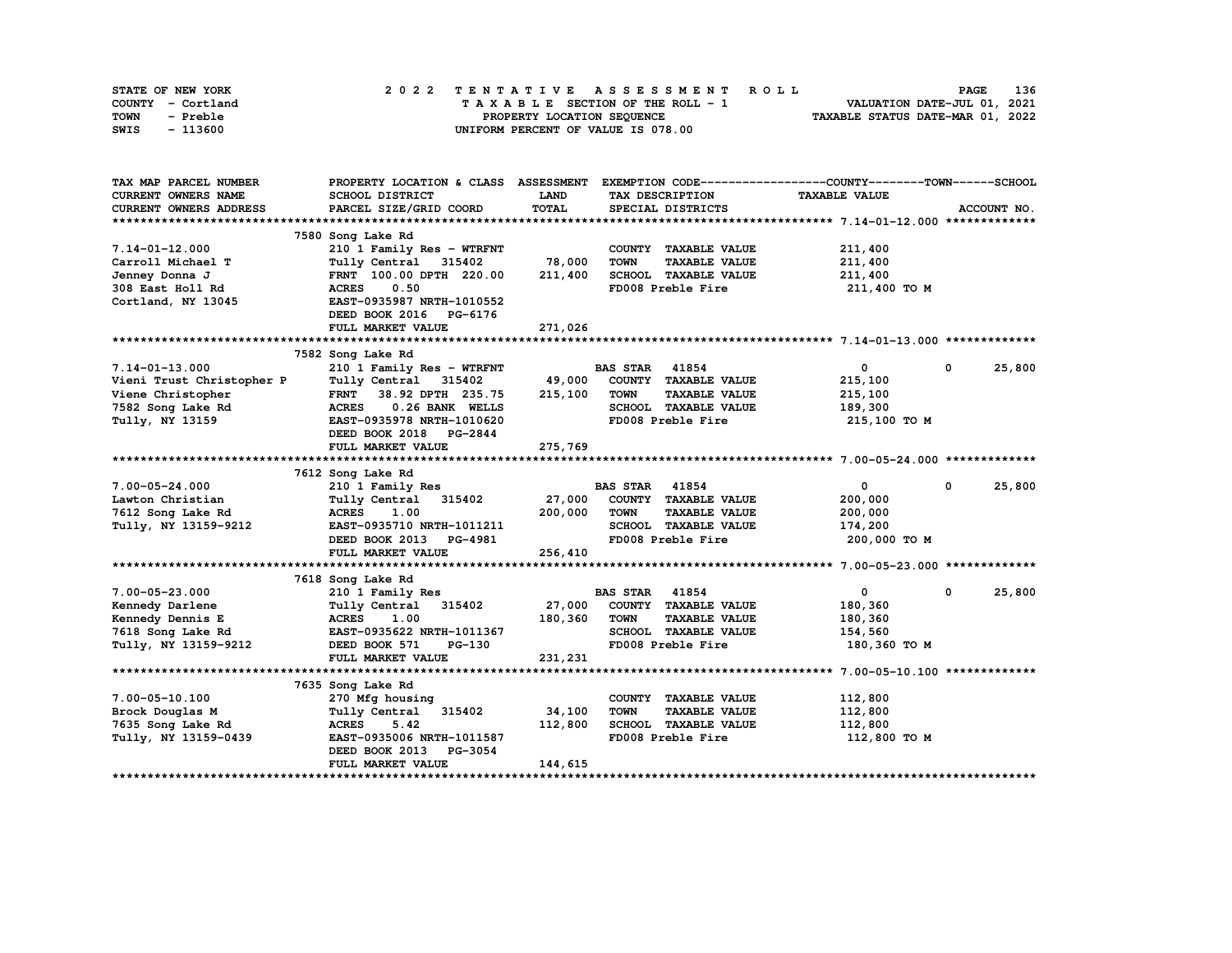|      | STATE OF NEW YORK |  | 2022 TENTATIVE ASSESSMENT ROLL |  |  |  |                                    |  |  |  |  |  |  |  |  | <b>PAGE</b>                      | 136 |
|------|-------------------|--|--------------------------------|--|--|--|------------------------------------|--|--|--|--|--|--|--|--|----------------------------------|-----|
|      | COUNTY - Cortland |  |                                |  |  |  | TAXABLE SECTION OF THE ROLL - 1    |  |  |  |  |  |  |  |  | VALUATION DATE-JUL 01, 2021      |     |
| TOWN | - Preble          |  |                                |  |  |  | PROPERTY LOCATION SEQUENCE         |  |  |  |  |  |  |  |  | TAXABLE STATUS DATE-MAR 01, 2022 |     |
| SWIS | - 113600          |  |                                |  |  |  | UNIFORM PERCENT OF VALUE IS 078.00 |  |  |  |  |  |  |  |  |                                  |     |

| TAX MAP PARCEL NUMBER         | PROPERTY LOCATION & CLASS ASSESSMENT        |             | EXEMPTION CODE-----------------COUNTY-------TOWN------SCHOOL |                      |                       |
|-------------------------------|---------------------------------------------|-------------|--------------------------------------------------------------|----------------------|-----------------------|
| <b>CURRENT OWNERS NAME</b>    | SCHOOL DISTRICT                             | <b>LAND</b> | TAX DESCRIPTION                                              | <b>TAXABLE VALUE</b> |                       |
| <b>CURRENT OWNERS ADDRESS</b> | PARCEL SIZE/GRID COORD                      | TOTAL       | SPECIAL DISTRICTS                                            |                      | ACCOUNT NO.           |
|                               |                                             |             |                                                              |                      |                       |
|                               | 7580 Song Lake Rd                           |             |                                                              |                      |                       |
| $7.14 - 01 - 12.000$          | 210 1 Family Res - WTRFNT                   |             | COUNTY TAXABLE VALUE                                         | 211,400              |                       |
| Carroll Michael T             | Tully Central 315402                        | 78,000      | <b>TOWN</b><br><b>TAXABLE VALUE</b>                          | 211,400              |                       |
| Jenney Donna J                | FRNT 100.00 DPTH 220.00                     | 211,400     | SCHOOL TAXABLE VALUE                                         | 211,400              |                       |
| 308 East Holl Rd              | <b>ACRES</b><br>0.50                        |             | FD008 Preble Fire                                            | 211,400 TO M         |                       |
| Cortland, NY 13045            | EAST-0935987 NRTH-1010552                   |             |                                                              |                      |                       |
|                               | DEED BOOK 2016 PG-6176                      |             |                                                              |                      |                       |
|                               | FULL MARKET VALUE                           | 271,026     |                                                              |                      |                       |
|                               |                                             |             |                                                              |                      |                       |
|                               | 7582 Song Lake Rd                           |             |                                                              |                      |                       |
| 7.14-01-13.000                | 210 1 Family Res - WTRFNT                   |             | <b>BAS STAR 41854</b>                                        | $\mathbf{0}$         | $^{\circ}$<br>25,800  |
| Vieni Trust Christopher P     | Tully Central 315402                        | 49,000      | COUNTY TAXABLE VALUE                                         | 215,100              |                       |
| Viene Christopher             | 38.92 DPTH 235.75<br><b>FRNT</b>            | 215,100     | <b>TOWN</b><br><b>TAXABLE VALUE</b>                          | 215,100              |                       |
| 7582 Song Lake Rd             | <b>ACRES</b><br>0.26 BANK WELLS             |             | SCHOOL TAXABLE VALUE                                         | 189,300              |                       |
| Tully, NY 13159               | EAST-0935978 NRTH-1010620                   |             | FD008 Preble Fire                                            | 215,100 TO M         |                       |
|                               |                                             |             |                                                              |                      |                       |
|                               | DEED BOOK 2018 PG-2844<br>FULL MARKET VALUE |             |                                                              |                      |                       |
|                               |                                             | 275,769     |                                                              |                      |                       |
|                               |                                             |             |                                                              |                      |                       |
|                               | 7612 Song Lake Rd                           |             |                                                              |                      | 25,800<br>$\mathbf 0$ |
| $7.00 - 05 - 24.000$          | 210 1 Family Res                            |             | <b>BAS STAR</b><br>41854                                     | 0                    |                       |
| Lawton Christian              | Tully Central 315402                        | 27,000      | COUNTY TAXABLE VALUE                                         | 200,000              |                       |
| 7612 Song Lake Rd             | <b>ACRES</b><br>1.00                        | 200,000     | <b>TAXABLE VALUE</b><br><b>TOWN</b>                          | 200,000              |                       |
| Tully, NY 13159-9212          | EAST-0935710 NRTH-1011211                   |             | SCHOOL TAXABLE VALUE                                         | 174,200              |                       |
|                               | DEED BOOK 2013 PG-4981                      |             | FD008 Preble Fire                                            | 200,000 TO M         |                       |
|                               | FULL MARKET VALUE                           | 256,410     |                                                              |                      |                       |
|                               |                                             |             |                                                              |                      |                       |
|                               | 7618 Song Lake Rd                           |             |                                                              |                      |                       |
| $7.00 - 05 - 23.000$          | 210 1 Family Res                            |             | <b>BAS STAR 41854</b>                                        | $\mathbf{0}$         | $^{\circ}$<br>25,800  |
| Kennedy Darlene               | 315402<br>Tully Central                     | 27,000      | COUNTY TAXABLE VALUE                                         | 180,360              |                       |
| Kennedy Dennis E              | <b>ACRES</b><br>1.00                        | 180,360     | <b>TAXABLE VALUE</b><br><b>TOWN</b>                          | 180,360              |                       |
| 7618 Song Lake Rd             | EAST-0935622 NRTH-1011367                   |             | SCHOOL TAXABLE VALUE                                         | 154,560              |                       |
| Tully, NY 13159-9212          | DEED BOOK 571<br>PG-130                     |             | FD008 Preble Fire                                            | 180,360 TO M         |                       |
|                               | FULL MARKET VALUE                           | 231,231     |                                                              |                      |                       |
|                               |                                             |             |                                                              |                      |                       |
|                               | 7635 Song Lake Rd                           |             |                                                              |                      |                       |
| $7.00 - 05 - 10.100$          | 270 Mfg housing                             |             | COUNTY TAXABLE VALUE                                         | 112,800              |                       |
| Brock Douglas M               | Tully Central 315402                        | 34,100      | <b>TOWN</b><br><b>TAXABLE VALUE</b>                          | 112,800              |                       |
| 7635 Song Lake Rd             | <b>ACRES</b><br>5.42                        | 112,800     | SCHOOL TAXABLE VALUE                                         | 112,800              |                       |
| Tully, NY 13159-0439          | EAST-0935006 NRTH-1011587                   |             | FD008 Preble Fire                                            | 112,800 TO M         |                       |
|                               | DEED BOOK 2013<br>PG-3054                   |             |                                                              |                      |                       |
|                               | FULL MARKET VALUE                           | 144,615     |                                                              |                      |                       |
|                               |                                             |             |                                                              |                      |                       |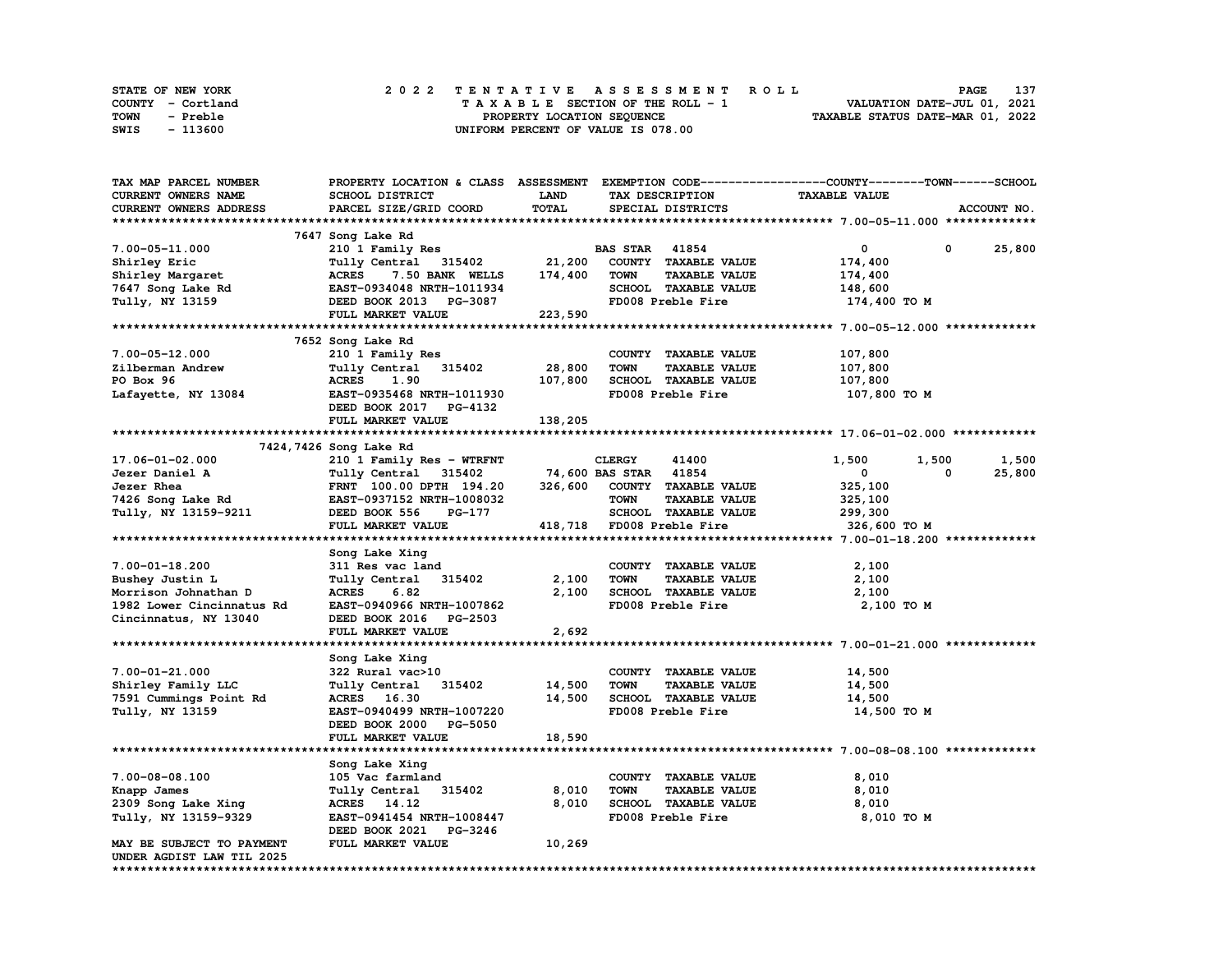| STATE OF NEW YORK | 2022 TENTATIVE ASSESSMENT ROLL     | 137<br><b>PAGE</b>               |
|-------------------|------------------------------------|----------------------------------|
| COUNTY - Cortland | TAXABLE SECTION OF THE ROLL - 1    | VALUATION DATE-JUL 01, 2021      |
| TOWN<br>- Preble  | PROPERTY LOCATION SEQUENCE         | TAXABLE STATUS DATE-MAR 01, 2022 |
| - 113600<br>SWIS  | UNIFORM PERCENT OF VALUE IS 078.00 |                                  |

| TAX MAP PARCEL NUMBER                                  | PROPERTY LOCATION & CLASS ASSESSMENT EXEMPTION CODE-----------------COUNTY-------TOWN------SCHOOL |              |                              |                      |                      |            |             |
|--------------------------------------------------------|---------------------------------------------------------------------------------------------------|--------------|------------------------------|----------------------|----------------------|------------|-------------|
| CURRENT OWNERS NAME                                    | SCHOOL DISTRICT                                                                                   | <b>LAND</b>  | TAX DESCRIPTION              |                      | <b>TAXABLE VALUE</b> |            |             |
| CURRENT OWNERS ADDRESS                                 | PARCEL SIZE/GRID COORD                                                                            | <b>TOTAL</b> | SPECIAL DISTRICTS            |                      |                      |            | ACCOUNT NO. |
|                                                        |                                                                                                   |              |                              |                      |                      |            |             |
|                                                        | 7647 Song Lake Rd                                                                                 |              |                              |                      |                      |            |             |
| $7.00 - 05 - 11.000$                                   | 210 1 Family Res                                                                                  |              | <b>BAS STAR</b> 41854        |                      | $\mathbf 0$          | $^{\circ}$ | 25,800      |
| Shirley Eric                                           | Tully Central 315402                                                                              | 21,200       |                              | COUNTY TAXABLE VALUE | 174,400              |            |             |
| Shirley Margaret                                       | 7.50 BANK WELLS<br><b>ACRES</b>                                                                   | 174,400      | <b>TOWN</b>                  | <b>TAXABLE VALUE</b> | 174,400              |            |             |
|                                                        | EAST-0934048 NRTH-1011934                                                                         |              | SCHOOL TAXABLE VALUE         |                      | 148,600              |            |             |
| 7647 Song Lake Rd<br>Tully, NY 13159                   | DEED BOOK 2013 PG-3087                                                                            |              | FD008 Preble Fire            |                      | 174,400 TO M         |            |             |
|                                                        | FULL MARKET VALUE                                                                                 | 223,590      |                              |                      |                      |            |             |
|                                                        |                                                                                                   |              |                              |                      |                      |            |             |
|                                                        | 7652 Song Lake Rd                                                                                 |              |                              |                      |                      |            |             |
| $7.00 - 05 - 12.000$                                   | 210 1 Family Res                                                                                  |              | COUNTY TAXABLE VALUE         |                      | 107,800              |            |             |
| Zilberman Andrew                                       | Tully Central 315402                                                                              | 28,800       | <b>TOWN</b>                  | <b>TAXABLE VALUE</b> | 107,800              |            |             |
| PO Box 96                                              | <b>ACRES</b><br>1.90                                                                              | 107,800      | SCHOOL TAXABLE VALUE         |                      | 107,800              |            |             |
|                                                        |                                                                                                   |              |                              |                      |                      |            |             |
| Lafayette, NY 13084                                    | EAST-0935468 NRTH-1011930                                                                         |              | FD008 Preble Fire            |                      | 107,800 то м         |            |             |
|                                                        | DEED BOOK 2017 PG-4132                                                                            |              |                              |                      |                      |            |             |
|                                                        | FULL MARKET VALUE                                                                                 | 138,205      |                              |                      |                      |            |             |
|                                                        |                                                                                                   |              |                              |                      |                      |            |             |
|                                                        | 7424,7426 Song Lake Rd                                                                            |              |                              |                      |                      |            |             |
| 17.06-01-02.000                                        | 210 1 Family Res - WTRFNT                                                                         |              | <b>CLERGY</b>                | 41400                | 1,500                | 1,500      | 1,500       |
| Jezer Daniel A                                         | Tully Central 315402                                                                              |              | 74,600 BAS STAR 41854        |                      | $\mathbf 0$          | 0          | 25,800      |
| Jezer Rhea                                             | FRNT 100.00 DPTH 194.20                                                                           |              | 326,600 COUNTY TAXABLE VALUE |                      | 325,100              |            |             |
| 7426 Song Lake Rd                                      | EAST-0937152 NRTH-1008032                                                                         |              | <b>TOWN</b>                  | <b>TAXABLE VALUE</b> | 325,100              |            |             |
| Tully, NY 13159-9211                                   | DEED BOOK 556<br>PG-177                                                                           |              | SCHOOL TAXABLE VALUE         |                      | 299,300              |            |             |
|                                                        | FULL MARKET VALUE                                                                                 |              | 418,718 FD008 Preble Fire    |                      | 326,600 TO M         |            |             |
|                                                        |                                                                                                   |              |                              |                      |                      |            |             |
|                                                        | Song Lake Xing                                                                                    |              |                              |                      |                      |            |             |
| $7.00 - 01 - 18.200$                                   | 311 Res vac land                                                                                  |              | COUNTY TAXABLE VALUE         |                      | 2,100                |            |             |
| Bushey Justin L                                        | Tully Central 315402                                                                              | 2,100        | <b>TOWN</b>                  | <b>TAXABLE VALUE</b> | 2,100                |            |             |
| Morrison Johnathan D                                   | <b>ACRES</b><br>6.82                                                                              | 2,100        |                              | SCHOOL TAXABLE VALUE | 2,100                |            |             |
| 1982 Lower Cincinnatus Rd                              | EAST-0940966 NRTH-1007862                                                                         |              | FD008 Preble Fire            |                      | 2,100 TO M           |            |             |
| Cincinnatus, NY 13040                                  | DEED BOOK 2016 PG-2503                                                                            |              |                              |                      |                      |            |             |
|                                                        | FULL MARKET VALUE                                                                                 | 2,692        |                              |                      |                      |            |             |
|                                                        |                                                                                                   |              |                              |                      |                      |            |             |
|                                                        | Song Lake Xing                                                                                    |              |                              |                      |                      |            |             |
| $7.00 - 01 - 21.000$                                   | 322 Rural vac>10                                                                                  |              | COUNTY TAXABLE VALUE         |                      | 14,500               |            |             |
| Shirley Family LLC                                     | 315402<br>Tully Central                                                                           | 14,500       | <b>TOWN</b>                  | <b>TAXABLE VALUE</b> | 14,500               |            |             |
| 7591 Cummings Point Rd                                 | ACRES 16.30                                                                                       | 14,500       |                              | SCHOOL TAXABLE VALUE | 14,500               |            |             |
| Tully, NY 13159                                        | EAST-0940499 NRTH-1007220                                                                         |              | FD008 Preble Fire            |                      | 14,500 TO M          |            |             |
|                                                        | DEED BOOK 2000 PG-5050                                                                            |              |                              |                      |                      |            |             |
|                                                        | FULL MARKET VALUE                                                                                 | 18,590       |                              |                      |                      |            |             |
|                                                        |                                                                                                   |              |                              |                      |                      |            |             |
|                                                        | Song Lake Xing                                                                                    |              |                              |                      |                      |            |             |
| $7.00 - 08 - 08.100$                                   | 105 Vac farmland                                                                                  |              |                              | COUNTY TAXABLE VALUE | 8,010                |            |             |
| Knapp James                                            | Tully Central 315402                                                                              | 8,010        | <b>TOWN</b>                  | <b>TAXABLE VALUE</b> | 8,010                |            |             |
| 2309 Song Lake Xing                                    | ACRES 14.12                                                                                       | 8,010        |                              | SCHOOL TAXABLE VALUE | 8,010                |            |             |
|                                                        |                                                                                                   |              |                              |                      |                      |            |             |
|                                                        |                                                                                                   |              |                              |                      |                      |            |             |
| Tully, NY 13159-9329                                   | EAST-0941454 NRTH-1008447                                                                         |              | FD008 Preble Fire            |                      | 8,010 TO M           |            |             |
|                                                        | DEED BOOK 2021 PG-3246                                                                            |              |                              |                      |                      |            |             |
| MAY BE SUBJECT TO PAYMENT<br>UNDER AGDIST LAW TIL 2025 | FULL MARKET VALUE                                                                                 | 10,269       |                              |                      |                      |            |             |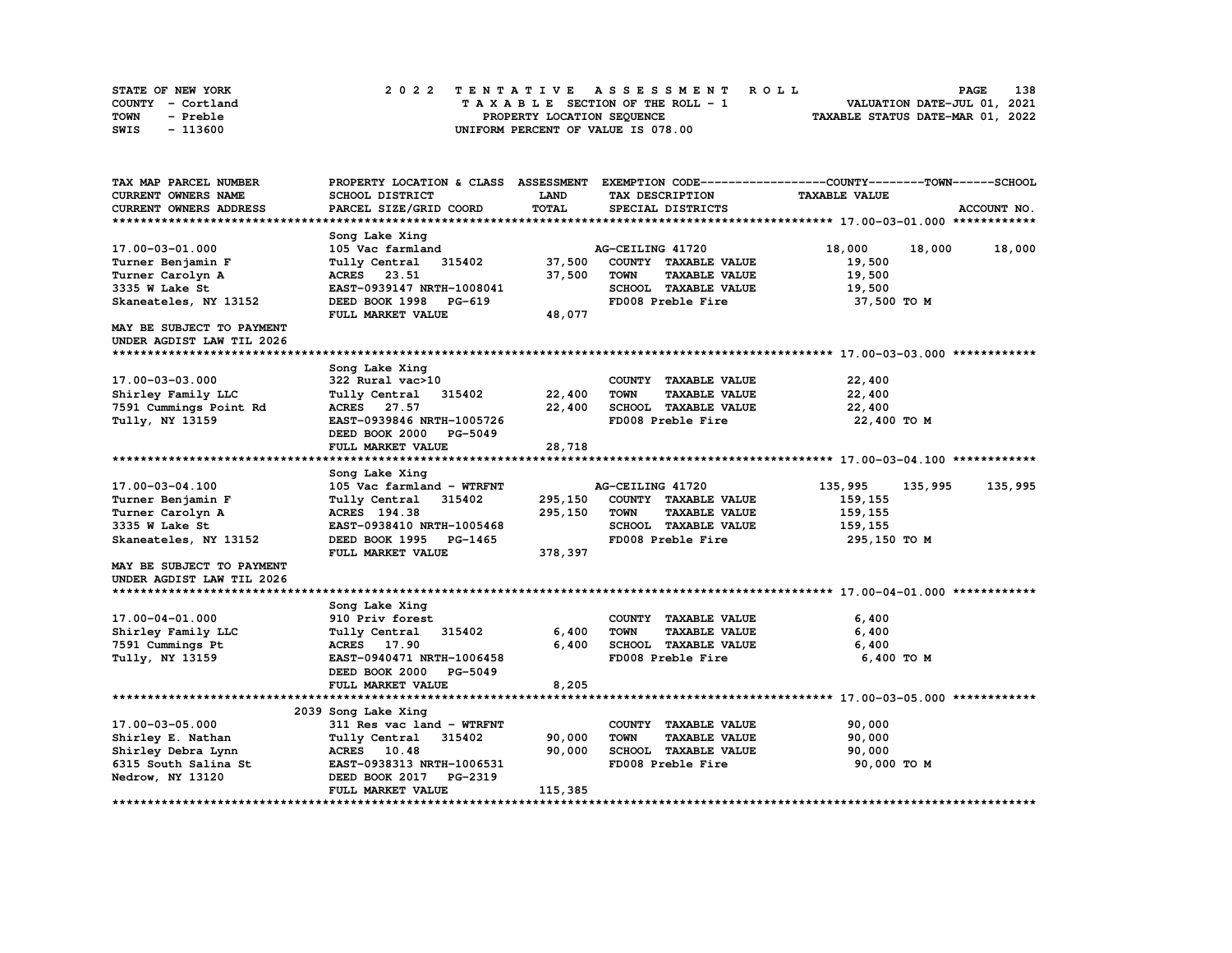| STATE OF NEW YORK | 2022 TENTATIVE ASSESSMENT ROLL     | 138<br><b>PAGE</b>               |
|-------------------|------------------------------------|----------------------------------|
| COUNTY - Cortland | TAXABLE SECTION OF THE ROLL - 1    | VALUATION DATE-JUL 01, 2021      |
| TOWN<br>- Preble  | PROPERTY LOCATION SEOUENCE         | TAXABLE STATUS DATE-MAR 01, 2022 |
| - 113600<br>SWIS  | UNIFORM PERCENT OF VALUE IS 078.00 |                                  |

| CURRENT OWNERS NAME<br>SCHOOL DISTRICT<br>LAND<br><b>TAXABLE VALUE</b><br>TAX DESCRIPTION<br><b>TOTAL</b><br>CURRENT OWNERS ADDRESS<br>PARCEL SIZE/GRID COORD<br>SPECIAL DISTRICTS<br>ACCOUNT NO.<br>Song Lake Xing<br>18,000<br>17.00-03-01.000<br>18,000<br>105 Vac farmland<br>AG-CEILING 41720<br>18,000<br>37,500<br>Tully Central 315402<br>Turner Benjamin F<br>COUNTY TAXABLE VALUE<br>19,500<br>ACRES 23.51<br>37,500<br>19,500<br>Turner Carolyn A<br><b>TOWN</b><br><b>TAXABLE VALUE</b><br>3335 W Lake St<br>EAST-0939147 NRTH-1008041<br>SCHOOL TAXABLE VALUE<br>19,500<br>FD008 Preble Fire<br>Skaneateles, NY 13152<br>DEED BOOK 1998 PG-619<br>37,500 TO M<br>FULL MARKET VALUE<br>48,077<br>MAY BE SUBJECT TO PAYMENT<br>UNDER AGDIST LAW TIL 2026<br>Song Lake Xing<br>322 Rural vac>10<br>COUNTY TAXABLE VALUE<br>22,400<br>17.00-03-03.000<br>22,400<br><b>TOWN</b><br>Tully Central 315402<br><b>TAXABLE VALUE</b><br>22,400<br>Shirley Family LLC<br>22,400<br>SCHOOL TAXABLE VALUE<br>22,400<br>7591 Cummings Point Rd<br>ACRES 27.57<br>FD008 Preble Fire<br>Tully, NY 13159<br>EAST-0939846 NRTH-1005726<br>22,400 TO M<br>DEED BOOK 2000<br>PG-5049<br>28,718<br>FULL MARKET VALUE<br>Song Lake Xing<br>17.00-03-04.100<br>105 Vac farmland - WTRFNT<br>AG-CEILING 41720<br>135,995<br>135,995<br>135,995<br>295,150<br>Turner Benjamin F<br>Tully Central 315402<br>COUNTY TAXABLE VALUE<br>159,155<br>Turner Carolyn A<br>ACRES 194.38<br>295,150<br>TOWN<br><b>TAXABLE VALUE</b><br>159,155<br>3335 W Lake St<br>EAST-0938410 NRTH-1005468<br>SCHOOL TAXABLE VALUE<br>159,155<br>FD008 Preble Fire<br>Skaneateles, NY 13152<br>295,150 TO M<br>DEED BOOK 1995 PG-1465<br>378,397<br>FULL MARKET VALUE<br>MAY BE SUBJECT TO PAYMENT<br>UNDER AGDIST LAW TIL 2026<br>Song Lake Xing<br>COUNTY TAXABLE VALUE<br>17.00-04-01.000<br>910 Priv forest<br>6,400<br>6,400<br>Shirley Family LLC<br>Tully Central 315402<br><b>TOWN</b><br><b>TAXABLE VALUE</b><br>6,400<br>6,400<br>SCHOOL TAXABLE VALUE<br>7591 Cummings Pt<br>ACRES 17.90<br>6,400<br>FD008 Preble Fire<br>Tully, NY 13159<br>EAST-0940471 NRTH-1006458<br>6,400 TO M<br>DEED BOOK 2000 PG-5049<br>8,205<br>FULL MARKET VALUE<br>2039 Song Lake Xing<br>17.00-03-05.000<br>311 Res vac land - WTRFNT<br>COUNTY TAXABLE VALUE<br>90,000<br>90,000<br>Shirley E. Nathan<br>Tully Central<br>315402<br><b>TOWN</b><br><b>TAXABLE VALUE</b><br>90,000<br>Shirley Debra Lynn<br>90,000<br>SCHOOL TAXABLE VALUE<br>90,000<br>ACRES 10.48<br>FD008 Preble Fire<br>90,000 TO M<br>6315 South Salina St<br>EAST-0938313 NRTH-1006531<br>Nedrow, NY 13120<br>DEED BOOK 2017 PG-2319<br>115,385<br>FULL MARKET VALUE | TAX MAP PARCEL NUMBER | PROPERTY LOCATION & CLASS ASSESSMENT EXEMPTION CODE----------------COUNTY-------TOWN------SCHOOL |  |  |
|--------------------------------------------------------------------------------------------------------------------------------------------------------------------------------------------------------------------------------------------------------------------------------------------------------------------------------------------------------------------------------------------------------------------------------------------------------------------------------------------------------------------------------------------------------------------------------------------------------------------------------------------------------------------------------------------------------------------------------------------------------------------------------------------------------------------------------------------------------------------------------------------------------------------------------------------------------------------------------------------------------------------------------------------------------------------------------------------------------------------------------------------------------------------------------------------------------------------------------------------------------------------------------------------------------------------------------------------------------------------------------------------------------------------------------------------------------------------------------------------------------------------------------------------------------------------------------------------------------------------------------------------------------------------------------------------------------------------------------------------------------------------------------------------------------------------------------------------------------------------------------------------------------------------------------------------------------------------------------------------------------------------------------------------------------------------------------------------------------------------------------------------------------------------------------------------------------------------------------------------------------------------------------------------------------------------------------------------------------------------------------------------------------------------------------------------------------------------------------------------------------------------------------------------------------------------------------------------------------------------------------------------------------------------------------------------------|-----------------------|--------------------------------------------------------------------------------------------------|--|--|
|                                                                                                                                                                                                                                                                                                                                                                                                                                                                                                                                                                                                                                                                                                                                                                                                                                                                                                                                                                                                                                                                                                                                                                                                                                                                                                                                                                                                                                                                                                                                                                                                                                                                                                                                                                                                                                                                                                                                                                                                                                                                                                                                                                                                                                                                                                                                                                                                                                                                                                                                                                                                                                                                                                  |                       |                                                                                                  |  |  |
|                                                                                                                                                                                                                                                                                                                                                                                                                                                                                                                                                                                                                                                                                                                                                                                                                                                                                                                                                                                                                                                                                                                                                                                                                                                                                                                                                                                                                                                                                                                                                                                                                                                                                                                                                                                                                                                                                                                                                                                                                                                                                                                                                                                                                                                                                                                                                                                                                                                                                                                                                                                                                                                                                                  |                       |                                                                                                  |  |  |
|                                                                                                                                                                                                                                                                                                                                                                                                                                                                                                                                                                                                                                                                                                                                                                                                                                                                                                                                                                                                                                                                                                                                                                                                                                                                                                                                                                                                                                                                                                                                                                                                                                                                                                                                                                                                                                                                                                                                                                                                                                                                                                                                                                                                                                                                                                                                                                                                                                                                                                                                                                                                                                                                                                  |                       |                                                                                                  |  |  |
|                                                                                                                                                                                                                                                                                                                                                                                                                                                                                                                                                                                                                                                                                                                                                                                                                                                                                                                                                                                                                                                                                                                                                                                                                                                                                                                                                                                                                                                                                                                                                                                                                                                                                                                                                                                                                                                                                                                                                                                                                                                                                                                                                                                                                                                                                                                                                                                                                                                                                                                                                                                                                                                                                                  |                       |                                                                                                  |  |  |
|                                                                                                                                                                                                                                                                                                                                                                                                                                                                                                                                                                                                                                                                                                                                                                                                                                                                                                                                                                                                                                                                                                                                                                                                                                                                                                                                                                                                                                                                                                                                                                                                                                                                                                                                                                                                                                                                                                                                                                                                                                                                                                                                                                                                                                                                                                                                                                                                                                                                                                                                                                                                                                                                                                  |                       |                                                                                                  |  |  |
|                                                                                                                                                                                                                                                                                                                                                                                                                                                                                                                                                                                                                                                                                                                                                                                                                                                                                                                                                                                                                                                                                                                                                                                                                                                                                                                                                                                                                                                                                                                                                                                                                                                                                                                                                                                                                                                                                                                                                                                                                                                                                                                                                                                                                                                                                                                                                                                                                                                                                                                                                                                                                                                                                                  |                       |                                                                                                  |  |  |
|                                                                                                                                                                                                                                                                                                                                                                                                                                                                                                                                                                                                                                                                                                                                                                                                                                                                                                                                                                                                                                                                                                                                                                                                                                                                                                                                                                                                                                                                                                                                                                                                                                                                                                                                                                                                                                                                                                                                                                                                                                                                                                                                                                                                                                                                                                                                                                                                                                                                                                                                                                                                                                                                                                  |                       |                                                                                                  |  |  |
|                                                                                                                                                                                                                                                                                                                                                                                                                                                                                                                                                                                                                                                                                                                                                                                                                                                                                                                                                                                                                                                                                                                                                                                                                                                                                                                                                                                                                                                                                                                                                                                                                                                                                                                                                                                                                                                                                                                                                                                                                                                                                                                                                                                                                                                                                                                                                                                                                                                                                                                                                                                                                                                                                                  |                       |                                                                                                  |  |  |
|                                                                                                                                                                                                                                                                                                                                                                                                                                                                                                                                                                                                                                                                                                                                                                                                                                                                                                                                                                                                                                                                                                                                                                                                                                                                                                                                                                                                                                                                                                                                                                                                                                                                                                                                                                                                                                                                                                                                                                                                                                                                                                                                                                                                                                                                                                                                                                                                                                                                                                                                                                                                                                                                                                  |                       |                                                                                                  |  |  |
|                                                                                                                                                                                                                                                                                                                                                                                                                                                                                                                                                                                                                                                                                                                                                                                                                                                                                                                                                                                                                                                                                                                                                                                                                                                                                                                                                                                                                                                                                                                                                                                                                                                                                                                                                                                                                                                                                                                                                                                                                                                                                                                                                                                                                                                                                                                                                                                                                                                                                                                                                                                                                                                                                                  |                       |                                                                                                  |  |  |
|                                                                                                                                                                                                                                                                                                                                                                                                                                                                                                                                                                                                                                                                                                                                                                                                                                                                                                                                                                                                                                                                                                                                                                                                                                                                                                                                                                                                                                                                                                                                                                                                                                                                                                                                                                                                                                                                                                                                                                                                                                                                                                                                                                                                                                                                                                                                                                                                                                                                                                                                                                                                                                                                                                  |                       |                                                                                                  |  |  |
|                                                                                                                                                                                                                                                                                                                                                                                                                                                                                                                                                                                                                                                                                                                                                                                                                                                                                                                                                                                                                                                                                                                                                                                                                                                                                                                                                                                                                                                                                                                                                                                                                                                                                                                                                                                                                                                                                                                                                                                                                                                                                                                                                                                                                                                                                                                                                                                                                                                                                                                                                                                                                                                                                                  |                       |                                                                                                  |  |  |
|                                                                                                                                                                                                                                                                                                                                                                                                                                                                                                                                                                                                                                                                                                                                                                                                                                                                                                                                                                                                                                                                                                                                                                                                                                                                                                                                                                                                                                                                                                                                                                                                                                                                                                                                                                                                                                                                                                                                                                                                                                                                                                                                                                                                                                                                                                                                                                                                                                                                                                                                                                                                                                                                                                  |                       |                                                                                                  |  |  |
|                                                                                                                                                                                                                                                                                                                                                                                                                                                                                                                                                                                                                                                                                                                                                                                                                                                                                                                                                                                                                                                                                                                                                                                                                                                                                                                                                                                                                                                                                                                                                                                                                                                                                                                                                                                                                                                                                                                                                                                                                                                                                                                                                                                                                                                                                                                                                                                                                                                                                                                                                                                                                                                                                                  |                       |                                                                                                  |  |  |
|                                                                                                                                                                                                                                                                                                                                                                                                                                                                                                                                                                                                                                                                                                                                                                                                                                                                                                                                                                                                                                                                                                                                                                                                                                                                                                                                                                                                                                                                                                                                                                                                                                                                                                                                                                                                                                                                                                                                                                                                                                                                                                                                                                                                                                                                                                                                                                                                                                                                                                                                                                                                                                                                                                  |                       |                                                                                                  |  |  |
|                                                                                                                                                                                                                                                                                                                                                                                                                                                                                                                                                                                                                                                                                                                                                                                                                                                                                                                                                                                                                                                                                                                                                                                                                                                                                                                                                                                                                                                                                                                                                                                                                                                                                                                                                                                                                                                                                                                                                                                                                                                                                                                                                                                                                                                                                                                                                                                                                                                                                                                                                                                                                                                                                                  |                       |                                                                                                  |  |  |
|                                                                                                                                                                                                                                                                                                                                                                                                                                                                                                                                                                                                                                                                                                                                                                                                                                                                                                                                                                                                                                                                                                                                                                                                                                                                                                                                                                                                                                                                                                                                                                                                                                                                                                                                                                                                                                                                                                                                                                                                                                                                                                                                                                                                                                                                                                                                                                                                                                                                                                                                                                                                                                                                                                  |                       |                                                                                                  |  |  |
|                                                                                                                                                                                                                                                                                                                                                                                                                                                                                                                                                                                                                                                                                                                                                                                                                                                                                                                                                                                                                                                                                                                                                                                                                                                                                                                                                                                                                                                                                                                                                                                                                                                                                                                                                                                                                                                                                                                                                                                                                                                                                                                                                                                                                                                                                                                                                                                                                                                                                                                                                                                                                                                                                                  |                       |                                                                                                  |  |  |
|                                                                                                                                                                                                                                                                                                                                                                                                                                                                                                                                                                                                                                                                                                                                                                                                                                                                                                                                                                                                                                                                                                                                                                                                                                                                                                                                                                                                                                                                                                                                                                                                                                                                                                                                                                                                                                                                                                                                                                                                                                                                                                                                                                                                                                                                                                                                                                                                                                                                                                                                                                                                                                                                                                  |                       |                                                                                                  |  |  |
|                                                                                                                                                                                                                                                                                                                                                                                                                                                                                                                                                                                                                                                                                                                                                                                                                                                                                                                                                                                                                                                                                                                                                                                                                                                                                                                                                                                                                                                                                                                                                                                                                                                                                                                                                                                                                                                                                                                                                                                                                                                                                                                                                                                                                                                                                                                                                                                                                                                                                                                                                                                                                                                                                                  |                       |                                                                                                  |  |  |
|                                                                                                                                                                                                                                                                                                                                                                                                                                                                                                                                                                                                                                                                                                                                                                                                                                                                                                                                                                                                                                                                                                                                                                                                                                                                                                                                                                                                                                                                                                                                                                                                                                                                                                                                                                                                                                                                                                                                                                                                                                                                                                                                                                                                                                                                                                                                                                                                                                                                                                                                                                                                                                                                                                  |                       |                                                                                                  |  |  |
|                                                                                                                                                                                                                                                                                                                                                                                                                                                                                                                                                                                                                                                                                                                                                                                                                                                                                                                                                                                                                                                                                                                                                                                                                                                                                                                                                                                                                                                                                                                                                                                                                                                                                                                                                                                                                                                                                                                                                                                                                                                                                                                                                                                                                                                                                                                                                                                                                                                                                                                                                                                                                                                                                                  |                       |                                                                                                  |  |  |
|                                                                                                                                                                                                                                                                                                                                                                                                                                                                                                                                                                                                                                                                                                                                                                                                                                                                                                                                                                                                                                                                                                                                                                                                                                                                                                                                                                                                                                                                                                                                                                                                                                                                                                                                                                                                                                                                                                                                                                                                                                                                                                                                                                                                                                                                                                                                                                                                                                                                                                                                                                                                                                                                                                  |                       |                                                                                                  |  |  |
|                                                                                                                                                                                                                                                                                                                                                                                                                                                                                                                                                                                                                                                                                                                                                                                                                                                                                                                                                                                                                                                                                                                                                                                                                                                                                                                                                                                                                                                                                                                                                                                                                                                                                                                                                                                                                                                                                                                                                                                                                                                                                                                                                                                                                                                                                                                                                                                                                                                                                                                                                                                                                                                                                                  |                       |                                                                                                  |  |  |
|                                                                                                                                                                                                                                                                                                                                                                                                                                                                                                                                                                                                                                                                                                                                                                                                                                                                                                                                                                                                                                                                                                                                                                                                                                                                                                                                                                                                                                                                                                                                                                                                                                                                                                                                                                                                                                                                                                                                                                                                                                                                                                                                                                                                                                                                                                                                                                                                                                                                                                                                                                                                                                                                                                  |                       |                                                                                                  |  |  |
|                                                                                                                                                                                                                                                                                                                                                                                                                                                                                                                                                                                                                                                                                                                                                                                                                                                                                                                                                                                                                                                                                                                                                                                                                                                                                                                                                                                                                                                                                                                                                                                                                                                                                                                                                                                                                                                                                                                                                                                                                                                                                                                                                                                                                                                                                                                                                                                                                                                                                                                                                                                                                                                                                                  |                       |                                                                                                  |  |  |
|                                                                                                                                                                                                                                                                                                                                                                                                                                                                                                                                                                                                                                                                                                                                                                                                                                                                                                                                                                                                                                                                                                                                                                                                                                                                                                                                                                                                                                                                                                                                                                                                                                                                                                                                                                                                                                                                                                                                                                                                                                                                                                                                                                                                                                                                                                                                                                                                                                                                                                                                                                                                                                                                                                  |                       |                                                                                                  |  |  |
|                                                                                                                                                                                                                                                                                                                                                                                                                                                                                                                                                                                                                                                                                                                                                                                                                                                                                                                                                                                                                                                                                                                                                                                                                                                                                                                                                                                                                                                                                                                                                                                                                                                                                                                                                                                                                                                                                                                                                                                                                                                                                                                                                                                                                                                                                                                                                                                                                                                                                                                                                                                                                                                                                                  |                       |                                                                                                  |  |  |
|                                                                                                                                                                                                                                                                                                                                                                                                                                                                                                                                                                                                                                                                                                                                                                                                                                                                                                                                                                                                                                                                                                                                                                                                                                                                                                                                                                                                                                                                                                                                                                                                                                                                                                                                                                                                                                                                                                                                                                                                                                                                                                                                                                                                                                                                                                                                                                                                                                                                                                                                                                                                                                                                                                  |                       |                                                                                                  |  |  |
|                                                                                                                                                                                                                                                                                                                                                                                                                                                                                                                                                                                                                                                                                                                                                                                                                                                                                                                                                                                                                                                                                                                                                                                                                                                                                                                                                                                                                                                                                                                                                                                                                                                                                                                                                                                                                                                                                                                                                                                                                                                                                                                                                                                                                                                                                                                                                                                                                                                                                                                                                                                                                                                                                                  |                       |                                                                                                  |  |  |
|                                                                                                                                                                                                                                                                                                                                                                                                                                                                                                                                                                                                                                                                                                                                                                                                                                                                                                                                                                                                                                                                                                                                                                                                                                                                                                                                                                                                                                                                                                                                                                                                                                                                                                                                                                                                                                                                                                                                                                                                                                                                                                                                                                                                                                                                                                                                                                                                                                                                                                                                                                                                                                                                                                  |                       |                                                                                                  |  |  |
|                                                                                                                                                                                                                                                                                                                                                                                                                                                                                                                                                                                                                                                                                                                                                                                                                                                                                                                                                                                                                                                                                                                                                                                                                                                                                                                                                                                                                                                                                                                                                                                                                                                                                                                                                                                                                                                                                                                                                                                                                                                                                                                                                                                                                                                                                                                                                                                                                                                                                                                                                                                                                                                                                                  |                       |                                                                                                  |  |  |
|                                                                                                                                                                                                                                                                                                                                                                                                                                                                                                                                                                                                                                                                                                                                                                                                                                                                                                                                                                                                                                                                                                                                                                                                                                                                                                                                                                                                                                                                                                                                                                                                                                                                                                                                                                                                                                                                                                                                                                                                                                                                                                                                                                                                                                                                                                                                                                                                                                                                                                                                                                                                                                                                                                  |                       |                                                                                                  |  |  |
|                                                                                                                                                                                                                                                                                                                                                                                                                                                                                                                                                                                                                                                                                                                                                                                                                                                                                                                                                                                                                                                                                                                                                                                                                                                                                                                                                                                                                                                                                                                                                                                                                                                                                                                                                                                                                                                                                                                                                                                                                                                                                                                                                                                                                                                                                                                                                                                                                                                                                                                                                                                                                                                                                                  |                       |                                                                                                  |  |  |
|                                                                                                                                                                                                                                                                                                                                                                                                                                                                                                                                                                                                                                                                                                                                                                                                                                                                                                                                                                                                                                                                                                                                                                                                                                                                                                                                                                                                                                                                                                                                                                                                                                                                                                                                                                                                                                                                                                                                                                                                                                                                                                                                                                                                                                                                                                                                                                                                                                                                                                                                                                                                                                                                                                  |                       |                                                                                                  |  |  |
|                                                                                                                                                                                                                                                                                                                                                                                                                                                                                                                                                                                                                                                                                                                                                                                                                                                                                                                                                                                                                                                                                                                                                                                                                                                                                                                                                                                                                                                                                                                                                                                                                                                                                                                                                                                                                                                                                                                                                                                                                                                                                                                                                                                                                                                                                                                                                                                                                                                                                                                                                                                                                                                                                                  |                       |                                                                                                  |  |  |
|                                                                                                                                                                                                                                                                                                                                                                                                                                                                                                                                                                                                                                                                                                                                                                                                                                                                                                                                                                                                                                                                                                                                                                                                                                                                                                                                                                                                                                                                                                                                                                                                                                                                                                                                                                                                                                                                                                                                                                                                                                                                                                                                                                                                                                                                                                                                                                                                                                                                                                                                                                                                                                                                                                  |                       |                                                                                                  |  |  |
|                                                                                                                                                                                                                                                                                                                                                                                                                                                                                                                                                                                                                                                                                                                                                                                                                                                                                                                                                                                                                                                                                                                                                                                                                                                                                                                                                                                                                                                                                                                                                                                                                                                                                                                                                                                                                                                                                                                                                                                                                                                                                                                                                                                                                                                                                                                                                                                                                                                                                                                                                                                                                                                                                                  |                       |                                                                                                  |  |  |
|                                                                                                                                                                                                                                                                                                                                                                                                                                                                                                                                                                                                                                                                                                                                                                                                                                                                                                                                                                                                                                                                                                                                                                                                                                                                                                                                                                                                                                                                                                                                                                                                                                                                                                                                                                                                                                                                                                                                                                                                                                                                                                                                                                                                                                                                                                                                                                                                                                                                                                                                                                                                                                                                                                  |                       |                                                                                                  |  |  |
|                                                                                                                                                                                                                                                                                                                                                                                                                                                                                                                                                                                                                                                                                                                                                                                                                                                                                                                                                                                                                                                                                                                                                                                                                                                                                                                                                                                                                                                                                                                                                                                                                                                                                                                                                                                                                                                                                                                                                                                                                                                                                                                                                                                                                                                                                                                                                                                                                                                                                                                                                                                                                                                                                                  |                       |                                                                                                  |  |  |
|                                                                                                                                                                                                                                                                                                                                                                                                                                                                                                                                                                                                                                                                                                                                                                                                                                                                                                                                                                                                                                                                                                                                                                                                                                                                                                                                                                                                                                                                                                                                                                                                                                                                                                                                                                                                                                                                                                                                                                                                                                                                                                                                                                                                                                                                                                                                                                                                                                                                                                                                                                                                                                                                                                  |                       |                                                                                                  |  |  |
|                                                                                                                                                                                                                                                                                                                                                                                                                                                                                                                                                                                                                                                                                                                                                                                                                                                                                                                                                                                                                                                                                                                                                                                                                                                                                                                                                                                                                                                                                                                                                                                                                                                                                                                                                                                                                                                                                                                                                                                                                                                                                                                                                                                                                                                                                                                                                                                                                                                                                                                                                                                                                                                                                                  |                       |                                                                                                  |  |  |
|                                                                                                                                                                                                                                                                                                                                                                                                                                                                                                                                                                                                                                                                                                                                                                                                                                                                                                                                                                                                                                                                                                                                                                                                                                                                                                                                                                                                                                                                                                                                                                                                                                                                                                                                                                                                                                                                                                                                                                                                                                                                                                                                                                                                                                                                                                                                                                                                                                                                                                                                                                                                                                                                                                  |                       |                                                                                                  |  |  |
|                                                                                                                                                                                                                                                                                                                                                                                                                                                                                                                                                                                                                                                                                                                                                                                                                                                                                                                                                                                                                                                                                                                                                                                                                                                                                                                                                                                                                                                                                                                                                                                                                                                                                                                                                                                                                                                                                                                                                                                                                                                                                                                                                                                                                                                                                                                                                                                                                                                                                                                                                                                                                                                                                                  |                       |                                                                                                  |  |  |
|                                                                                                                                                                                                                                                                                                                                                                                                                                                                                                                                                                                                                                                                                                                                                                                                                                                                                                                                                                                                                                                                                                                                                                                                                                                                                                                                                                                                                                                                                                                                                                                                                                                                                                                                                                                                                                                                                                                                                                                                                                                                                                                                                                                                                                                                                                                                                                                                                                                                                                                                                                                                                                                                                                  |                       |                                                                                                  |  |  |
|                                                                                                                                                                                                                                                                                                                                                                                                                                                                                                                                                                                                                                                                                                                                                                                                                                                                                                                                                                                                                                                                                                                                                                                                                                                                                                                                                                                                                                                                                                                                                                                                                                                                                                                                                                                                                                                                                                                                                                                                                                                                                                                                                                                                                                                                                                                                                                                                                                                                                                                                                                                                                                                                                                  |                       |                                                                                                  |  |  |
|                                                                                                                                                                                                                                                                                                                                                                                                                                                                                                                                                                                                                                                                                                                                                                                                                                                                                                                                                                                                                                                                                                                                                                                                                                                                                                                                                                                                                                                                                                                                                                                                                                                                                                                                                                                                                                                                                                                                                                                                                                                                                                                                                                                                                                                                                                                                                                                                                                                                                                                                                                                                                                                                                                  |                       |                                                                                                  |  |  |
|                                                                                                                                                                                                                                                                                                                                                                                                                                                                                                                                                                                                                                                                                                                                                                                                                                                                                                                                                                                                                                                                                                                                                                                                                                                                                                                                                                                                                                                                                                                                                                                                                                                                                                                                                                                                                                                                                                                                                                                                                                                                                                                                                                                                                                                                                                                                                                                                                                                                                                                                                                                                                                                                                                  |                       |                                                                                                  |  |  |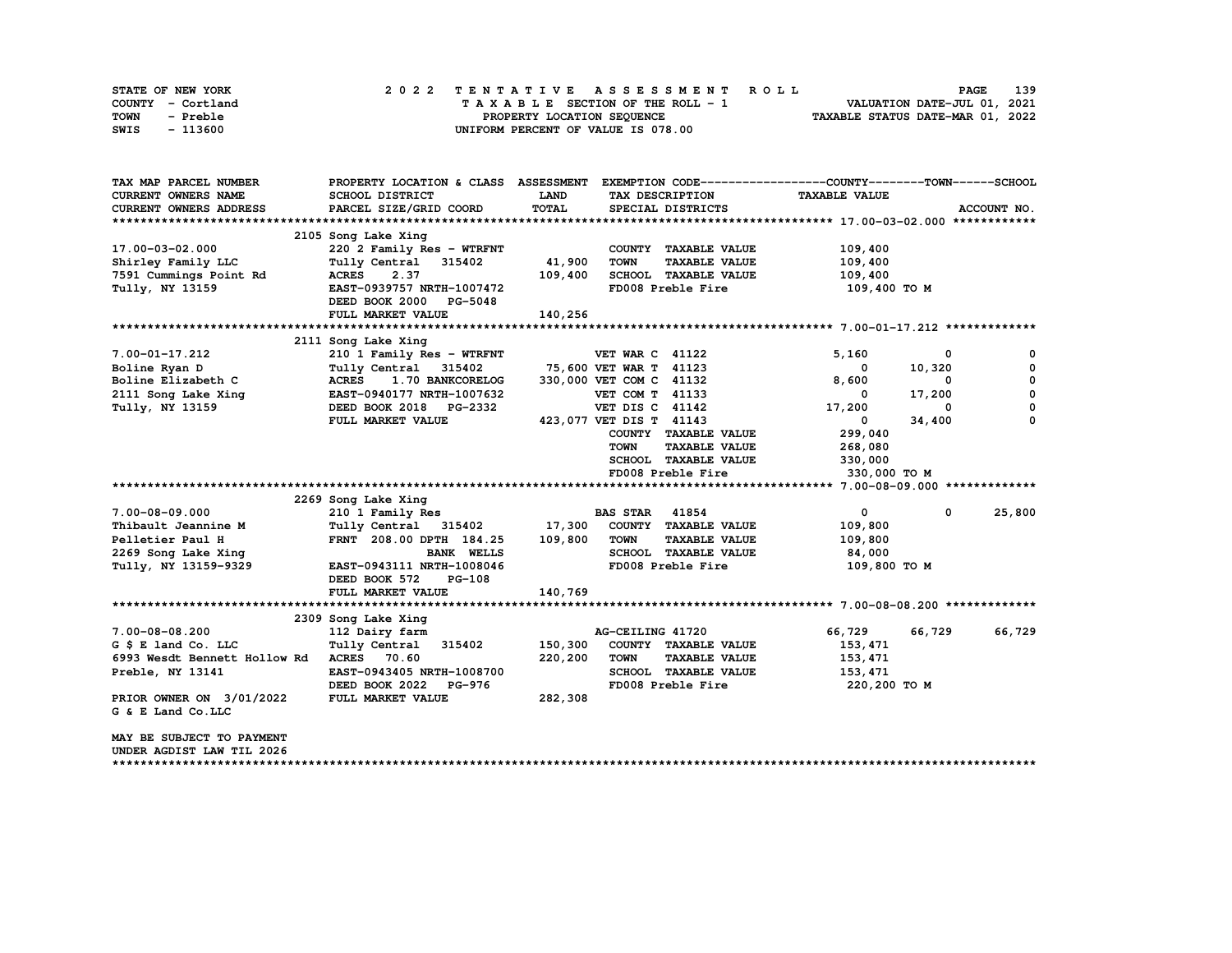| STATE OF NEW YORK | 2022 TENTATIVE ASSESSMENT ROLL     | 139<br><b>PAGE</b>               |
|-------------------|------------------------------------|----------------------------------|
| COUNTY - Cortland | TAXABLE SECTION OF THE ROLL - 1    | VALUATION DATE-JUL 01, 2021      |
| TOWN<br>- Preble  | PROPERTY LOCATION SEQUENCE         | TAXABLE STATUS DATE-MAR 01, 2022 |
| - 113600<br>SWIS  | UNIFORM PERCENT OF VALUE IS 078.00 |                                  |

| TAX MAP PARCEL NUMBER                         | PROPERTY LOCATION & CLASS ASSESSMENT |              |                         |                      | EXEMPTION CODE-----------------COUNTY-------TOWN------SCHOOL |             |             |
|-----------------------------------------------|--------------------------------------|--------------|-------------------------|----------------------|--------------------------------------------------------------|-------------|-------------|
| <b>CURRENT OWNERS NAME</b>                    | SCHOOL DISTRICT                      | <b>LAND</b>  |                         | TAX DESCRIPTION      | <b>TAXABLE VALUE</b>                                         |             |             |
| CURRENT OWNERS ADDRESS                        | PARCEL SIZE/GRID COORD               | <b>TOTAL</b> |                         | SPECIAL DISTRICTS    |                                                              |             | ACCOUNT NO. |
|                                               |                                      |              |                         |                      |                                                              |             |             |
|                                               | 2105 Song Lake Xing                  |              |                         |                      |                                                              |             |             |
| 17.00-03-02.000                               | 220 2 Family Res - WTRFNT            |              |                         | COUNTY TAXABLE VALUE | 109,400                                                      |             |             |
| Shirley Family LLC                            | Tully Central 315402                 | 41,900       | <b>TOWN</b>             | <b>TAXABLE VALUE</b> | 109,400                                                      |             |             |
| 7591 Cummings Point Rd                        | <b>ACRES</b><br>2.37                 | 109,400      |                         | SCHOOL TAXABLE VALUE | 109,400                                                      |             |             |
| Tully, NY 13159                               | EAST-0939757 NRTH-1007472            |              |                         | FD008 Preble Fire    | 109,400 то м                                                 |             |             |
|                                               | DEED BOOK 2000 PG-5048               |              |                         |                      |                                                              |             |             |
|                                               | FULL MARKET VALUE                    | 140,256      |                         |                      |                                                              |             |             |
|                                               |                                      |              |                         |                      |                                                              |             |             |
|                                               | 2111 Song Lake Xing                  |              |                         |                      |                                                              |             |             |
| 7.00-01-17.212                                | 210 1 Family Res - WTRFNT            |              | <b>VET WAR C 41122</b>  |                      | 5,160                                                        | 0           | 0           |
| Boline Ryan D                                 | Tully Central 315402                 |              | 75,600 VET WAR T 41123  |                      | 0                                                            | 10,320      | $\mathbf 0$ |
| Boline Elizabeth C                            | 1.70 BANKCORELOG<br><b>ACRES</b>     |              | 330,000 VET COM C 41132 |                      | 8,600                                                        | 0           | $\mathbf 0$ |
| 2111 Song Lake Xing                           | EAST-0940177 NRTH-1007632            |              | <b>VET COM T 41133</b>  |                      | 0                                                            | 17,200      | $\mathbf 0$ |
| Tully, NY 13159                               | DEED BOOK 2018 PG-2332               |              | VET DIS C 41142         |                      | 17,200                                                       | 0           | $\mathbf 0$ |
|                                               | FULL MARKET VALUE                    |              | 423,077 VET DIS T 41143 |                      | $\mathbf{0}$                                                 | 34,400      | $\Omega$    |
|                                               |                                      |              |                         | COUNTY TAXABLE VALUE | 299,040                                                      |             |             |
|                                               |                                      |              | <b>TOWN</b>             | <b>TAXABLE VALUE</b> | 268,080                                                      |             |             |
|                                               |                                      |              |                         | SCHOOL TAXABLE VALUE | 330,000                                                      |             |             |
|                                               |                                      |              |                         | FD008 Preble Fire    | 330,000 TO M                                                 |             |             |
|                                               |                                      |              |                         |                      |                                                              |             |             |
|                                               | 2269 Song Lake Xing                  |              |                         |                      |                                                              |             |             |
| $7.00 - 08 - 09.000$                          | 210 1 Family Res                     |              | <b>BAS STAR 41854</b>   |                      | $\mathbf{0}$                                                 | $\mathbf 0$ | 25,800      |
| Thibault Jeannine M                           | Tully Central 315402                 | 17,300       |                         | COUNTY TAXABLE VALUE | 109,800                                                      |             |             |
| Pelletier Paul H                              | FRNT 208.00 DPTH 184.25              | 109,800      | <b>TOWN</b>             | <b>TAXABLE VALUE</b> | 109,800                                                      |             |             |
| 2269 Song Lake Xing                           | <b>BANK WELLS</b>                    |              |                         | SCHOOL TAXABLE VALUE | 84,000                                                       |             |             |
| Tully, NY 13159-9329                          | EAST-0943111 NRTH-1008046            |              |                         | FD008 Preble Fire    | 109,800 TO M                                                 |             |             |
|                                               | DEED BOOK 572<br>PG-108              |              |                         |                      |                                                              |             |             |
|                                               | FULL MARKET VALUE                    | 140,769      |                         |                      |                                                              |             |             |
|                                               |                                      |              |                         |                      |                                                              |             |             |
|                                               | 2309 Song Lake Xing                  |              |                         |                      |                                                              |             |             |
| $7.00 - 08 - 08.200$                          | 112 Dairy farm                       |              | AG-CEILING 41720        |                      | 66,729                                                       | 66,729      | 66,729      |
| G \$ E land Co. LLC                           | Tully Central 315402                 | 150,300      |                         | COUNTY TAXABLE VALUE | 153,471                                                      |             |             |
| 6993 Wesdt Bennett Hollow Rd                  | ACRES 70.60                          | 220,200      | <b>TOWN</b>             | <b>TAXABLE VALUE</b> | 153,471                                                      |             |             |
| Preble, NY 13141                              | EAST-0943405 NRTH-1008700            |              |                         | SCHOOL TAXABLE VALUE | 153,471                                                      |             |             |
|                                               | DEED BOOK 2022<br>PG-976             |              |                         | FD008 Preble Fire    | 220,200 то м                                                 |             |             |
| PRIOR OWNER ON 3/01/2022<br>G & E Land Co.LLC | FULL MARKET VALUE                    | 282,308      |                         |                      |                                                              |             |             |
| MAY BE SUBJECT TO PAYMENT                     |                                      |              |                         |                      |                                                              |             |             |
| UNDER AGDIST LAW TIL 2026                     |                                      |              |                         |                      |                                                              |             |             |
|                                               |                                      |              |                         |                      |                                                              |             |             |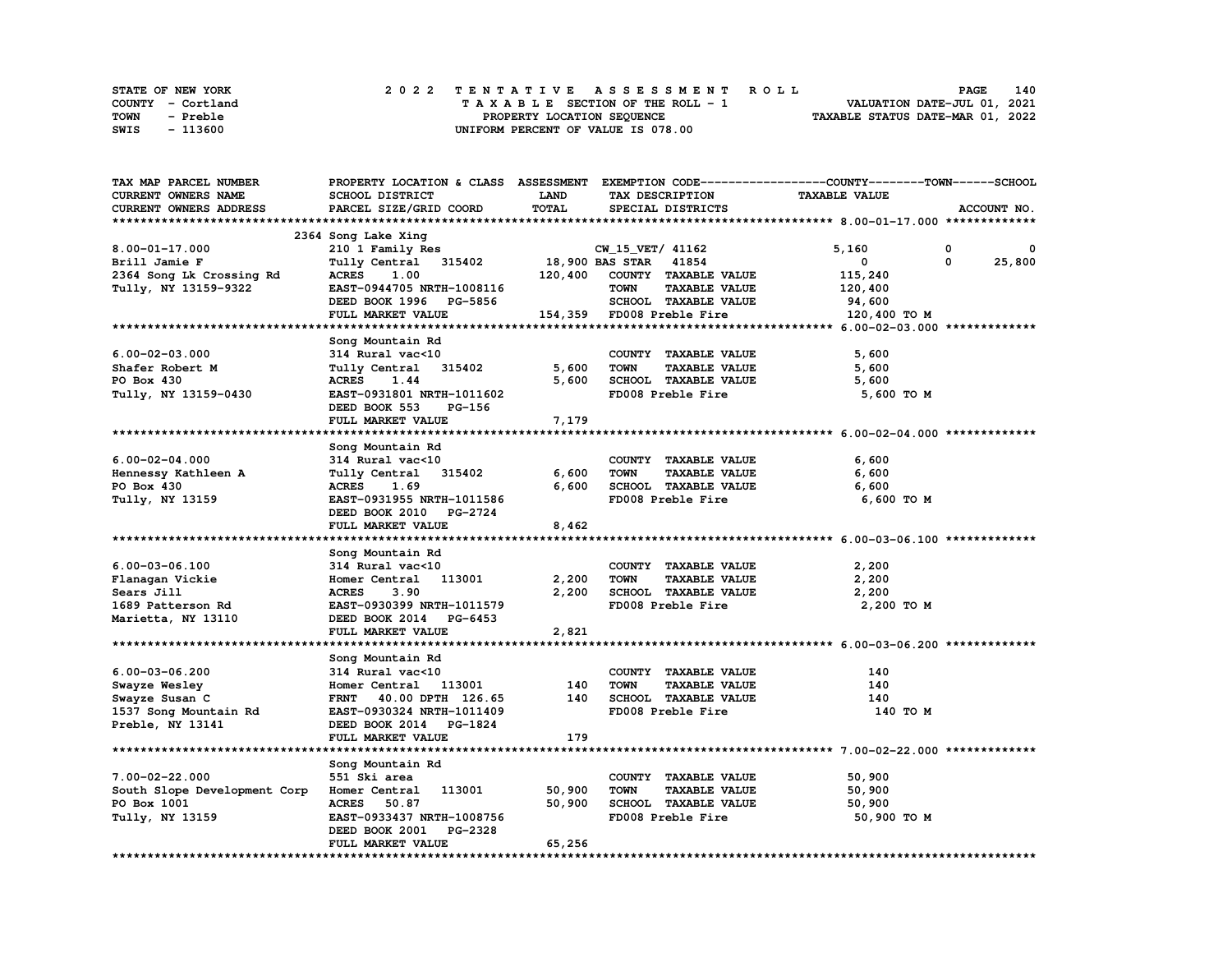| STATE OF NEW YORK | 2022 TENTATIVE ASSESSMENT ROLL     | 140<br><b>PAGE</b>               |
|-------------------|------------------------------------|----------------------------------|
| COUNTY - Cortland | TAXABLE SECTION OF THE ROLL - 1    | VALUATION DATE-JUL 01, 2021      |
| TOWN<br>- Preble  | PROPERTY LOCATION SEQUENCE         | TAXABLE STATUS DATE-MAR 01, 2022 |
| - 113600<br>SWIS  | UNIFORM PERCENT OF VALUE IS 078.00 |                                  |

| TAX MAP PARCEL NUMBER        |                                  |             |                                     | PROPERTY LOCATION & CLASS ASSESSMENT EXEMPTION CODE-----------------COUNTY-------TOWN-----SCHOOL |             |
|------------------------------|----------------------------------|-------------|-------------------------------------|--------------------------------------------------------------------------------------------------|-------------|
| CURRENT OWNERS NAME          | SCHOOL DISTRICT                  | <b>LAND</b> | TAX DESCRIPTION                     | <b>TAXABLE VALUE</b>                                                                             |             |
| CURRENT OWNERS ADDRESS       | PARCEL SIZE/GRID COORD           | TOTAL       | SPECIAL DISTRICTS                   |                                                                                                  | ACCOUNT NO. |
|                              |                                  |             |                                     |                                                                                                  |             |
|                              | 2364 Song Lake Xing              |             |                                     |                                                                                                  |             |
| $8.00 - 01 - 17.000$         | 210 1 Family Res                 |             | CW_15_VET/ 41162                    | 5,160<br>0                                                                                       | 0           |
| Brill Jamie F                | Tully Central 315402             |             | 18,900 BAS STAR 41854               | $\mathbf{0}$<br>$\mathbf 0$                                                                      | 25,800      |
|                              |                                  |             |                                     |                                                                                                  |             |
| 2364 Song Lk Crossing Rd     | <b>ACRES</b><br>1.00             | 120,400     | COUNTY TAXABLE VALUE                | 115,240                                                                                          |             |
| Tully, NY 13159-9322         | EAST-0944705 NRTH-1008116        |             | <b>TOWN</b><br><b>TAXABLE VALUE</b> | 120,400                                                                                          |             |
|                              | DEED BOOK 1996 PG-5856           |             | SCHOOL TAXABLE VALUE                | 94,600                                                                                           |             |
|                              | FULL MARKET VALUE                |             | 154,359 FD008 Preble Fire           | 120,400 TO M                                                                                     |             |
|                              |                                  |             |                                     |                                                                                                  |             |
|                              | Song Mountain Rd                 |             |                                     |                                                                                                  |             |
| $6.00 - 02 - 03.000$         | 314 Rural vac<10                 |             | COUNTY TAXABLE VALUE                | 5,600                                                                                            |             |
| Shafer Robert M              | Tully Central 315402             | 5,600       | <b>TOWN</b><br><b>TAXABLE VALUE</b> | 5,600                                                                                            |             |
| PO Box 430                   | 1.44<br><b>ACRES</b>             | 5,600       | SCHOOL TAXABLE VALUE                | 5,600                                                                                            |             |
| Tully, NY 13159-0430         | EAST-0931801 NRTH-1011602        |             | FD008 Preble Fire                   | 5,600 TO M                                                                                       |             |
|                              | DEED BOOK 553<br>PG-156          |             |                                     |                                                                                                  |             |
|                              | FULL MARKET VALUE                | 7,179       |                                     |                                                                                                  |             |
|                              |                                  |             |                                     |                                                                                                  |             |
|                              | Song Mountain Rd                 |             |                                     |                                                                                                  |             |
| $6.00 - 02 - 04.000$         | 314 Rural vac<10                 |             | COUNTY TAXABLE VALUE                | 6,600                                                                                            |             |
| Hennessy Kathleen A          | Tully Central 315402             | 6,600       | <b>TAXABLE VALUE</b><br><b>TOWN</b> | 6,600                                                                                            |             |
| PO Box 430                   | <b>ACRES</b><br>1.69             | 6,600       | SCHOOL TAXABLE VALUE                | 6,600                                                                                            |             |
|                              |                                  |             |                                     |                                                                                                  |             |
| Tully, NY 13159              | EAST-0931955 NRTH-1011586        |             | FD008 Preble Fire                   | 6,600 TO M                                                                                       |             |
|                              | DEED BOOK 2010 PG-2724           |             |                                     |                                                                                                  |             |
|                              | FULL MARKET VALUE                | 8,462       |                                     |                                                                                                  |             |
|                              |                                  |             |                                     |                                                                                                  |             |
|                              | Song Mountain Rd                 |             |                                     |                                                                                                  |             |
| $6.00 - 03 - 06.100$         | 314 Rural vac<10                 |             | COUNTY TAXABLE VALUE                | 2,200                                                                                            |             |
| Flanagan Vickie              | Homer Central 113001             | 2,200       | <b>TOWN</b><br><b>TAXABLE VALUE</b> | 2,200                                                                                            |             |
| Sears Jill                   | 3.90<br><b>ACRES</b>             | 2,200       | SCHOOL TAXABLE VALUE                | 2,200                                                                                            |             |
| 1689 Patterson Rd            | EAST-0930399 NRTH-1011579        |             | FD008 Preble Fire                   | 2,200 TO M                                                                                       |             |
| Marietta, NY 13110           | DEED BOOK 2014 PG-6453           |             |                                     |                                                                                                  |             |
|                              | FULL MARKET VALUE                | 2,821       |                                     |                                                                                                  |             |
|                              |                                  |             |                                     |                                                                                                  |             |
|                              | Song Mountain Rd                 |             |                                     |                                                                                                  |             |
| $6.00 - 03 - 06.200$         | 314 Rural vac<10                 |             | COUNTY TAXABLE VALUE                | 140                                                                                              |             |
| Swayze Wesley                | Homer Central 113001             | 140         | <b>TOWN</b><br><b>TAXABLE VALUE</b> | 140                                                                                              |             |
| Swayze Susan C               | FRNT 40.00 DPTH 126.65           | 140         | SCHOOL TAXABLE VALUE                | 140                                                                                              |             |
| 1537 Song Mountain Rd        | EAST-0930324 NRTH-1011409        |             | FD008 Preble Fire                   | 140 TO M                                                                                         |             |
| Preble, NY 13141             | DEED BOOK 2014 PG-1824           |             |                                     |                                                                                                  |             |
|                              | FULL MARKET VALUE                | 179         |                                     |                                                                                                  |             |
|                              |                                  |             |                                     |                                                                                                  |             |
|                              |                                  |             |                                     |                                                                                                  |             |
|                              | Song Mountain Rd                 |             |                                     |                                                                                                  |             |
| $7.00 - 02 - 22.000$         | 551 Ski area                     |             | COUNTY TAXABLE VALUE                | 50,900                                                                                           |             |
| South Slope Development Corp | Homer Central<br>113001          | 50,900      | <b>TOWN</b><br><b>TAXABLE VALUE</b> | 50,900                                                                                           |             |
| PO Box 1001                  | <b>ACRES</b> 50.87               | 50,900      | SCHOOL TAXABLE VALUE                | 50,900                                                                                           |             |
| Tully, NY 13159              | EAST-0933437 NRTH-1008756        |             | FD008 Preble Fire                   | 50,900 TO M                                                                                      |             |
|                              | DEED BOOK 2001<br><b>PG-2328</b> |             |                                     |                                                                                                  |             |
|                              | FULL MARKET VALUE                | 65,256      |                                     |                                                                                                  |             |
|                              |                                  |             |                                     |                                                                                                  |             |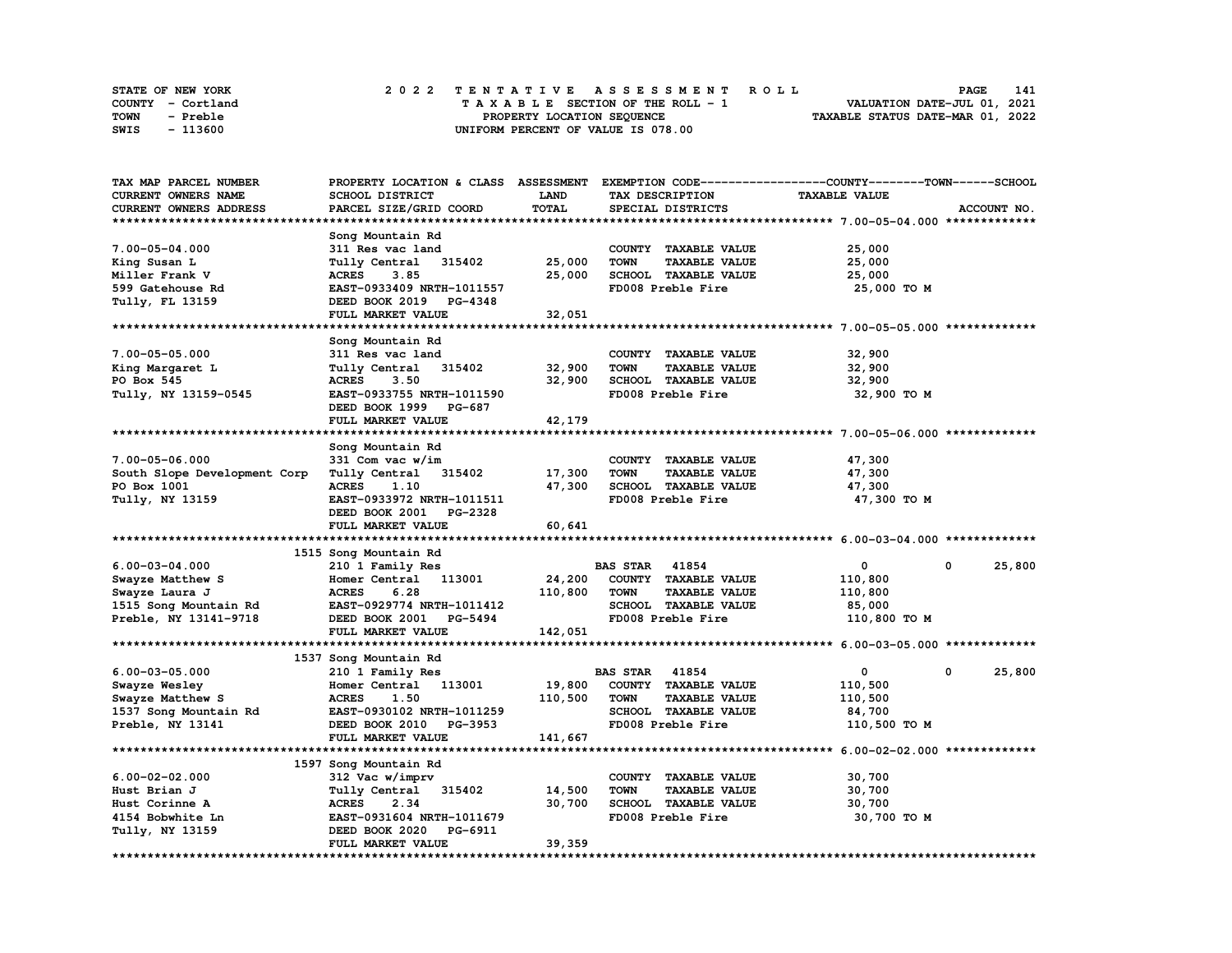| STATE OF NEW YORK | 2022 TENTATIVE ASSESSMENT ROLL     | 141<br><b>PAGE</b>               |
|-------------------|------------------------------------|----------------------------------|
| COUNTY - Cortland | TAXABLE SECTION OF THE ROLL - 1    | VALUATION DATE-JUL 01, 2021      |
| TOWN<br>- Preble  | PROPERTY LOCATION SEQUENCE         | TAXABLE STATUS DATE-MAR 01, 2022 |
| - 113600<br>SWIS  | UNIFORM PERCENT OF VALUE IS 078.00 |                                  |

| TAX MAP PARCEL NUMBER        | PROPERTY LOCATION & CLASS ASSESSMENT EXEMPTION CODE-----------------COUNTY-------TOWN------SCHOOL |              |                                     |                      |                      |
|------------------------------|---------------------------------------------------------------------------------------------------|--------------|-------------------------------------|----------------------|----------------------|
| CURRENT OWNERS NAME          | SCHOOL DISTRICT                                                                                   | LAND         | TAX DESCRIPTION                     | <b>TAXABLE VALUE</b> |                      |
| CURRENT OWNERS ADDRESS       | PARCEL SIZE/GRID COORD                                                                            | <b>TOTAL</b> | SPECIAL DISTRICTS                   |                      | ACCOUNT NO.          |
|                              |                                                                                                   |              |                                     |                      |                      |
|                              | Song Mountain Rd                                                                                  |              |                                     |                      |                      |
| $7.00 - 05 - 04.000$         | 311 Res vac land                                                                                  |              | COUNTY TAXABLE VALUE                | 25,000               |                      |
| King Susan L                 | 315402<br>Tully Central                                                                           | 25,000       | <b>TOWN</b><br><b>TAXABLE VALUE</b> | 25,000               |                      |
| Miller Frank V               | <b>ACRES</b><br>3.85                                                                              | 25,000       | SCHOOL TAXABLE VALUE                | 25,000               |                      |
| 599 Gatehouse Rd             | EAST-0933409 NRTH-1011557                                                                         |              | FD008 Preble Fire                   | 25,000 TO M          |                      |
| Tully, FL 13159              | DEED BOOK 2019 PG-4348                                                                            |              |                                     |                      |                      |
|                              | FULL MARKET VALUE                                                                                 | 32,051       |                                     |                      |                      |
|                              |                                                                                                   |              |                                     |                      |                      |
|                              | Song Mountain Rd                                                                                  |              |                                     |                      |                      |
| $7.00 - 05 - 05.000$         | 311 Res vac land                                                                                  |              | COUNTY TAXABLE VALUE                | 32,900               |                      |
|                              | 315402                                                                                            | 32,900       | <b>TOWN</b><br><b>TAXABLE VALUE</b> | 32,900               |                      |
| King Margaret L              | Tully Central                                                                                     |              |                                     |                      |                      |
| PO Box 545                   | <b>ACRES</b><br>3.50                                                                              | 32,900       | SCHOOL TAXABLE VALUE                | 32,900               |                      |
| Tully, NY 13159-0545         | EAST-0933755 NRTH-1011590                                                                         |              | FD008 Preble Fire                   | 32,900 TO M          |                      |
|                              | DEED BOOK 1999 PG-687                                                                             |              |                                     |                      |                      |
|                              | FULL MARKET VALUE                                                                                 | 42,179       |                                     |                      |                      |
|                              |                                                                                                   |              |                                     |                      |                      |
|                              | Song Mountain Rd                                                                                  |              |                                     |                      |                      |
| $7.00 - 05 - 06.000$         | 331 Com vac w/im                                                                                  |              | COUNTY TAXABLE VALUE                | 47,300               |                      |
| South Slope Development Corp | Tully Central<br>315402                                                                           | 17,300       | <b>TOWN</b><br><b>TAXABLE VALUE</b> | 47,300               |                      |
| PO Box 1001                  | <b>ACRES</b><br>1.10                                                                              | 47,300       | SCHOOL TAXABLE VALUE                | 47,300               |                      |
| Tully, NY 13159              | EAST-0933972 NRTH-1011511                                                                         |              | FD008 Preble Fire                   | 47,300 TO M          |                      |
|                              | DEED BOOK 2001 PG-2328                                                                            |              |                                     |                      |                      |
|                              | FULL MARKET VALUE                                                                                 | 60,641       |                                     |                      |                      |
|                              |                                                                                                   |              |                                     |                      |                      |
|                              | 1515 Song Mountain Rd                                                                             |              |                                     |                      |                      |
| $6.00 - 03 - 04.000$         | 210 1 Family Res                                                                                  |              | <b>BAS STAR 41854</b>               | $\mathbf 0$          | 25,800<br>$^{\circ}$ |
| Swayze Matthew S             | Homer Central 113001                                                                              | 24,200       | COUNTY TAXABLE VALUE                | 110,800              |                      |
| Swayze Laura J               | <b>ACRES</b><br>6.28                                                                              | 110,800      | <b>TOWN</b><br><b>TAXABLE VALUE</b> | 110,800              |                      |
| 1515 Song Mountain Rd        | EAST-0929774 NRTH-1011412                                                                         |              | SCHOOL TAXABLE VALUE                | 85,000               |                      |
| Preble, NY 13141-9718        | DEED BOOK 2001<br>PG-5494                                                                         |              | FD008 Preble Fire                   | 110,800 TO M         |                      |
|                              | FULL MARKET VALUE                                                                                 | 142,051      |                                     |                      |                      |
|                              |                                                                                                   |              |                                     |                      |                      |
|                              | 1537 Song Mountain Rd                                                                             |              |                                     |                      |                      |
| $6.00 - 03 - 05.000$         | 210 1 Family Res                                                                                  |              | <b>BAS STAR</b><br>41854            | 0                    | 25,800<br>0          |
| Swayze Wesley                | Homer Central<br>113001                                                                           | 19,800       | COUNTY TAXABLE VALUE                | 110,500              |                      |
| Swayze Matthew S             | <b>ACRES</b><br>1.50                                                                              | 110,500      | <b>TOWN</b><br><b>TAXABLE VALUE</b> | 110,500              |                      |
| 1537 Song Mountain Rd        | EAST-0930102 NRTH-1011259                                                                         |              | SCHOOL TAXABLE VALUE                | 84,700               |                      |
| Preble, NY 13141             | DEED BOOK 2010 PG-3953                                                                            |              | FD008 Preble Fire                   | 110,500 TO M         |                      |
|                              | FULL MARKET VALUE                                                                                 |              |                                     |                      |                      |
|                              |                                                                                                   | 141,667      |                                     |                      |                      |
|                              |                                                                                                   |              |                                     |                      |                      |
|                              | 1597 Song Mountain Rd                                                                             |              |                                     |                      |                      |
| $6.00 - 02 - 02.000$         | 312 Vac w/imprv                                                                                   |              | COUNTY TAXABLE VALUE                | 30,700               |                      |
| Hust Brian J                 | Tully Central 315402                                                                              | 14,500       | <b>TOWN</b><br><b>TAXABLE VALUE</b> | 30,700               |                      |
| Hust Corinne A               | <b>ACRES</b><br>2.34                                                                              | 30,700       | SCHOOL TAXABLE VALUE                | 30,700               |                      |
| 4154 Bobwhite Ln             | EAST-0931604 NRTH-1011679                                                                         |              | FD008 Preble Fire                   | 30,700 TO M          |                      |
| Tully, NY 13159              | DEED BOOK 2020<br>PG-6911                                                                         |              |                                     |                      |                      |
|                              | FULL MARKET VALUE                                                                                 | 39,359       |                                     |                      |                      |
|                              |                                                                                                   |              |                                     |                      |                      |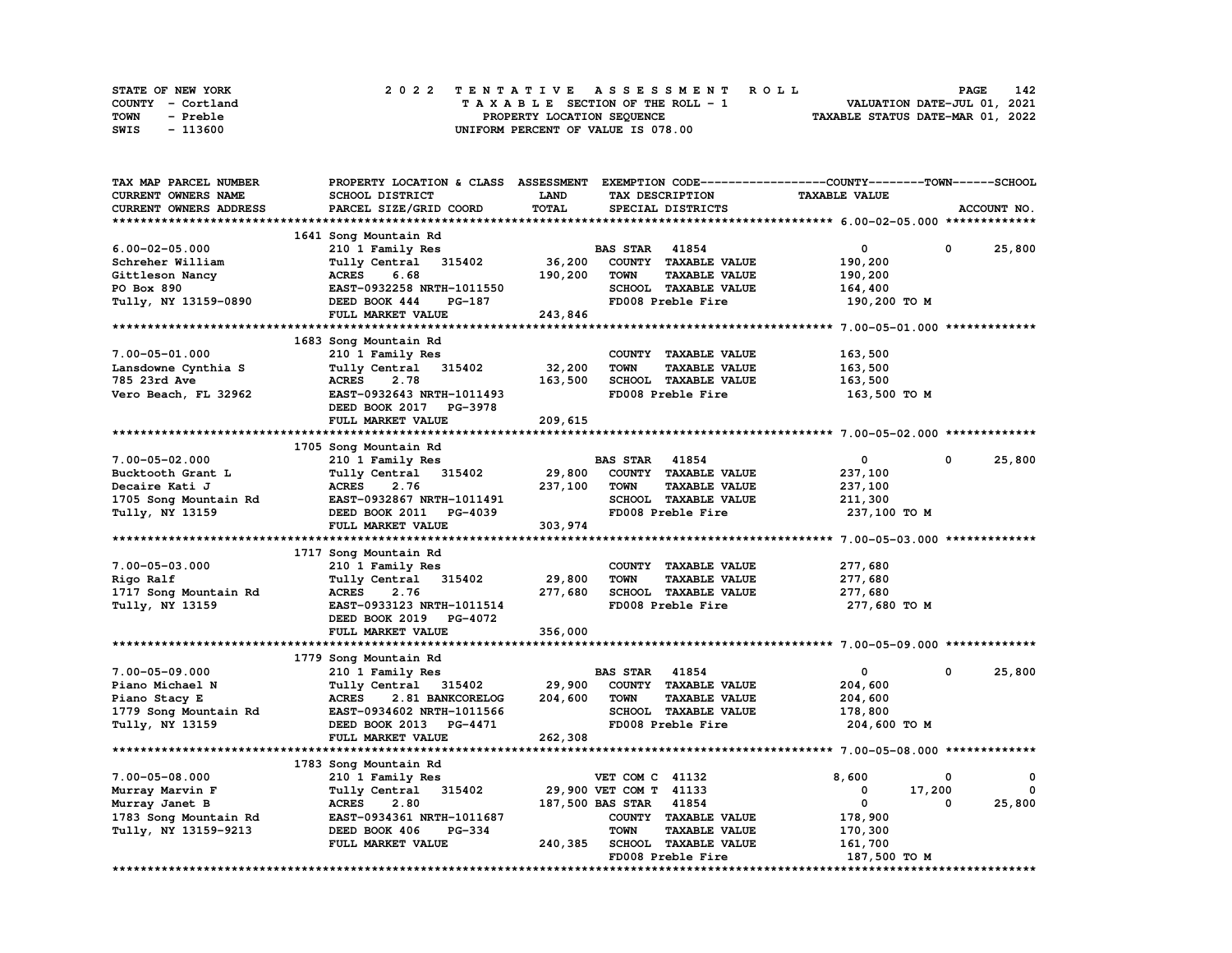| STATE OF NEW YORK | 2022 TENTATIVE ASSESSMENT ROLL     | 142<br><b>PAGE</b>               |
|-------------------|------------------------------------|----------------------------------|
| COUNTY - Cortland | TAXABLE SECTION OF THE ROLL - 1    | VALUATION DATE-JUL 01, 2021      |
| TOWN<br>- Preble  | PROPERTY LOCATION SEQUENCE         | TAXABLE STATUS DATE-MAR 01, 2022 |
| - 113600<br>SWIS  | UNIFORM PERCENT OF VALUE IS 078.00 |                                  |

| TAX MAP PARCEL NUMBER         | PROPERTY LOCATION & CLASS ASSESSMENT EXEMPTION CODE----------------COUNTY-------TOWN-----SCHOOL |         |                        |                             |                          |              |                   |
|-------------------------------|-------------------------------------------------------------------------------------------------|---------|------------------------|-----------------------------|--------------------------|--------------|-------------------|
| CURRENT OWNERS NAME           | SCHOOL DISTRICT                                                                                 | LAND    |                        | TAX DESCRIPTION             | <b>TAXABLE VALUE</b>     |              |                   |
| CURRENT OWNERS ADDRESS        | PARCEL SIZE/GRID COORD                                                                          | TOTAL   |                        | SPECIAL DISTRICTS           |                          |              | ACCOUNT NO.       |
|                               |                                                                                                 |         |                        |                             |                          |              |                   |
|                               | 1641 Song Mountain Rd                                                                           |         |                        |                             |                          |              |                   |
| $6.00 - 02 - 05.000$          | 210 1 Family Res                                                                                |         | <b>BAS STAR 41854</b>  |                             | 0                        | 0            | 25,800            |
| Schreher William              | Tully Central 315402                                                                            | 36,200  |                        | COUNTY TAXABLE VALUE        | 190,200                  |              |                   |
|                               | 6.68<br><b>ACRES</b>                                                                            | 190,200 | <b>TOWN</b>            | <b>TAXABLE VALUE</b>        | 190,200                  |              |                   |
| Gittleson Nancy<br>PO Box 890 | EAST-0932258 NRTH-1011550                                                                       |         |                        | SCHOOL TAXABLE VALUE        | 164,400                  |              |                   |
|                               |                                                                                                 |         |                        |                             |                          |              |                   |
| Tully, NY 13159-0890          | DEED BOOK 444<br>PG-187                                                                         |         |                        | FD008 Preble Fire           | 190,200 TO M             |              |                   |
|                               | FULL MARKET VALUE                                                                               | 243,846 |                        |                             |                          |              |                   |
|                               |                                                                                                 |         |                        |                             |                          |              |                   |
|                               | 1683 Song Mountain Rd                                                                           |         |                        |                             |                          |              |                   |
| $7.00 - 05 - 01.000$          | 210 1 Family Res                                                                                |         |                        | COUNTY TAXABLE VALUE        | 163,500                  |              |                   |
| Lansdowne Cynthia S           | Tully Central 315402                                                                            | 32,200  | TOWN                   | <b>TAXABLE VALUE</b>        | 163,500                  |              |                   |
| 785 23rd Ave                  | <b>ACRES</b><br>2.78                                                                            | 163,500 |                        | SCHOOL TAXABLE VALUE        | 163,500                  |              |                   |
| Vero Beach, FL 32962          | EAST-0932643 NRTH-1011493                                                                       |         |                        | FD008 Preble Fire           | 163,500 то м             |              |                   |
|                               | DEED BOOK 2017 PG-3978                                                                          |         |                        |                             |                          |              |                   |
|                               | FULL MARKET VALUE                                                                               | 209,615 |                        |                             |                          |              |                   |
|                               |                                                                                                 |         |                        |                             |                          |              |                   |
|                               | 1705 Song Mountain Rd                                                                           |         |                        |                             |                          |              |                   |
| $7.00 - 05 - 02.000$          | 210 1 Family Res                                                                                |         | <b>BAS STAR 41854</b>  |                             | $\mathbf{o}$             | $\mathbf{0}$ | 25,800            |
| Bucktooth Grant L             | Tully Central 315402                                                                            | 29,800  |                        | COUNTY TAXABLE VALUE        | 237,100                  |              |                   |
| Decaire Kati J                | <b>ACRES</b><br>2.76                                                                            | 237,100 | <b>TOWN</b>            | <b>TAXABLE VALUE</b>        | 237,100                  |              |                   |
| 1705 Song Mountain Rd         | EAST-0932867 NRTH-1011491                                                                       |         |                        | SCHOOL TAXABLE VALUE        | 211,300                  |              |                   |
| Tully, NY 13159               | DEED BOOK 2011 PG-4039                                                                          |         |                        | FD008 Preble Fire           | 237,100 TO M             |              |                   |
|                               | FULL MARKET VALUE                                                                               | 303,974 |                        |                             |                          |              |                   |
|                               |                                                                                                 |         |                        |                             |                          |              |                   |
|                               |                                                                                                 |         |                        |                             |                          |              |                   |
|                               | 1717 Song Mountain Rd                                                                           |         |                        |                             |                          |              |                   |
| $7.00 - 05 - 03.000$          | 210 1 Family Res                                                                                |         |                        | COUNTY TAXABLE VALUE        | 277,680                  |              |                   |
| Rigo Ralf                     | Tully Central 315402                                                                            | 29,800  | <b>TOWN</b>            | <b>TAXABLE VALUE</b>        | 277,680                  |              |                   |
| 1717 Song Mountain Rd         | <b>ACRES</b><br>2.76                                                                            | 277,680 |                        | SCHOOL TAXABLE VALUE        | 277,680                  |              |                   |
| Tully, NY 13159               | EAST-0933123 NRTH-1011514                                                                       |         |                        | FD008 Preble Fire           | 277,680 то м             |              |                   |
|                               | DEED BOOK 2019 PG-4072                                                                          |         |                        |                             |                          |              |                   |
|                               | FULL MARKET VALUE                                                                               | 356,000 |                        |                             |                          |              |                   |
|                               |                                                                                                 |         |                        |                             |                          |              |                   |
|                               | 1779 Song Mountain Rd                                                                           |         |                        |                             |                          |              |                   |
| $7.00 - 05 - 09.000$          | 210 1 Family Res                                                                                |         | <b>BAS STAR 41854</b>  |                             | $\mathbf 0$              | 0            | 25,800            |
| Piano Michael N               | Tully Central 315402                                                                            | 29,900  |                        | COUNTY TAXABLE VALUE        | 204,600                  |              |                   |
| Piano Stacy E                 | <b>ACRES</b><br>2.81 BANKCORELOG                                                                | 204,600 | <b>TOWN</b>            | <b>TAXABLE VALUE</b>        | 204,600                  |              |                   |
| 1779 Song Mountain Rd         | EAST-0934602 NRTH-1011566                                                                       |         |                        | SCHOOL TAXABLE VALUE        | 178,800                  |              |                   |
| Tully, NY 13159               | DEED BOOK 2013 PG-4471                                                                          |         |                        | FD008 Preble Fire           | 204,600 TO M             |              |                   |
|                               | FULL MARKET VALUE                                                                               | 262,308 |                        |                             |                          |              |                   |
|                               |                                                                                                 |         |                        |                             |                          |              |                   |
|                               |                                                                                                 |         |                        |                             |                          |              |                   |
|                               | 1783 Song Mountain Rd                                                                           |         |                        |                             |                          |              |                   |
| $7.00 - 05 - 08.000$          | 210 1 Family Res                                                                                |         | VET COM C 41132        |                             | 8,600                    | 0            | 0<br>$\mathbf{0}$ |
| Murray Marvin F               | Tully Central 315402                                                                            |         | 29,900 VET COM T 41133 |                             | $\mathbf 0$              | 17,200       |                   |
| Murray Janet B                | <b>ACRES</b><br>2.80                                                                            |         | 187,500 BAS STAR 41854 |                             | $\overline{\phantom{0}}$ | 0            | 25,800            |
| 1783 Song Mountain Rd         | EAST-0934361 NRTH-1011687                                                                       |         |                        | COUNTY TAXABLE VALUE        | 178,900                  |              |                   |
| Tully, NY 13159-9213          | <b>PG-334</b><br>DEED BOOK 406                                                                  |         | <b>TOWN</b>            | <b>TAXABLE VALUE</b>        | 170,300                  |              |                   |
|                               | FULL MARKET VALUE                                                                               | 240,385 |                        | <b>SCHOOL TAXABLE VALUE</b> | 161,700                  |              |                   |
|                               |                                                                                                 |         |                        | FD008 Preble Fire           | 187,500 TO M             |              |                   |
|                               |                                                                                                 |         |                        |                             |                          |              |                   |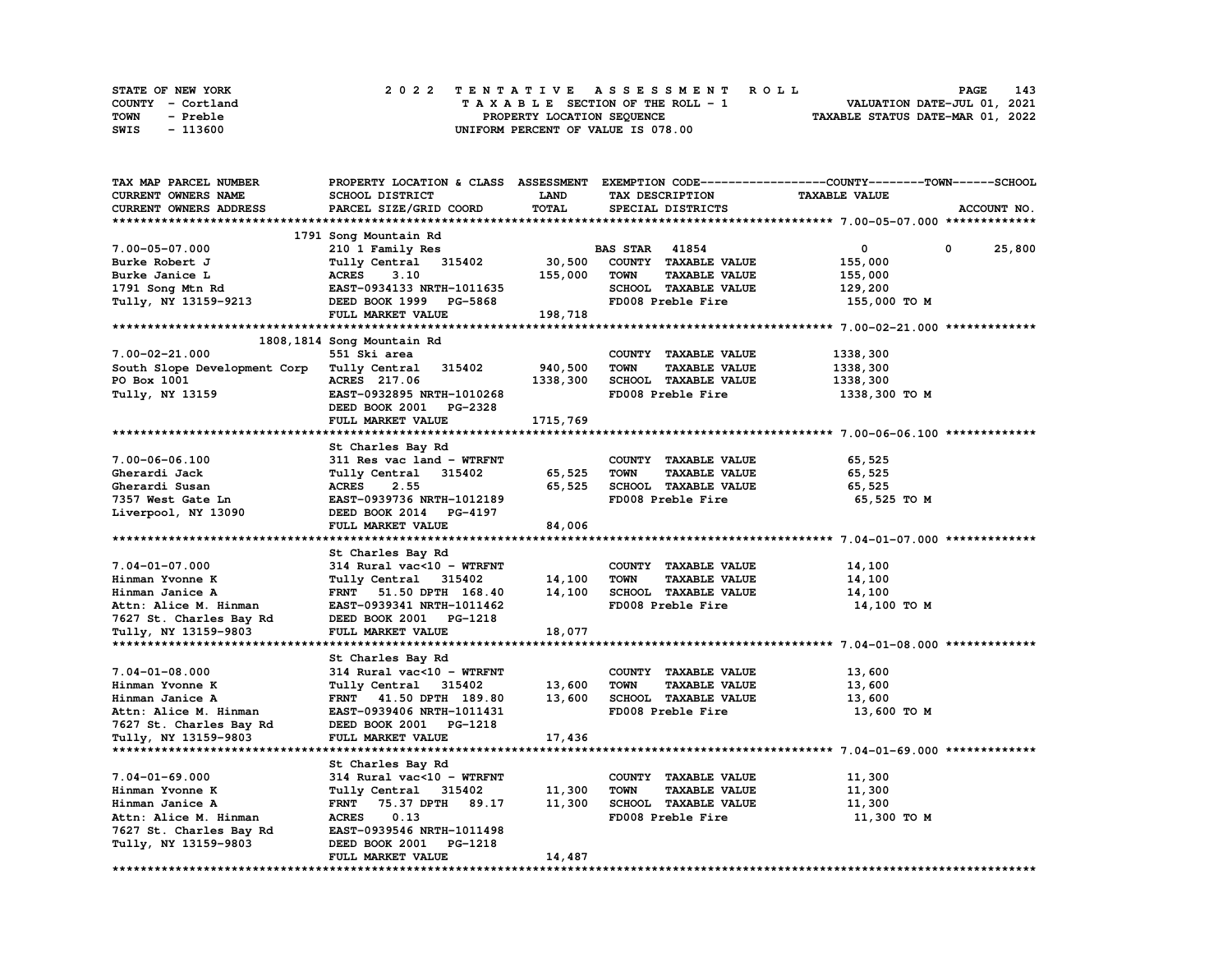| STATE OF NEW YORK | 2022 TENTATIVE ASSESSMENT ROLL     | 143<br><b>PAGE</b>               |
|-------------------|------------------------------------|----------------------------------|
| COUNTY - Cortland | TAXABLE SECTION OF THE ROLL - 1    | VALUATION DATE-JUL 01, 2021      |
| TOWN<br>- Preble  | PROPERTY LOCATION SEQUENCE         | TAXABLE STATUS DATE-MAR 01, 2022 |
| - 113600<br>SWIS  | UNIFORM PERCENT OF VALUE IS 078.00 |                                  |

| TAX MAP PARCEL NUMBER         | PROPERTY LOCATION & CLASS ASSESSMENT EXEMPTION CODE----------------COUNTY-------TOWN-----SCHOOL |          |                                     |                      |             |
|-------------------------------|-------------------------------------------------------------------------------------------------|----------|-------------------------------------|----------------------|-------------|
| CURRENT OWNERS NAME           | SCHOOL DISTRICT                                                                                 | LAND     | TAX DESCRIPTION                     | <b>TAXABLE VALUE</b> |             |
| <b>CURRENT OWNERS ADDRESS</b> | PARCEL SIZE/GRID COORD                                                                          | TOTAL    | SPECIAL DISTRICTS                   |                      | ACCOUNT NO. |
|                               |                                                                                                 |          |                                     |                      |             |
|                               | 1791 Song Mountain Rd                                                                           |          |                                     |                      |             |
| $7.00 - 05 - 07.000$          | 210 1 Family Res                                                                                |          | <b>BAS STAR</b> 41854               | $\mathbf 0$          | 0<br>25,800 |
| Burke Robert J                | Tully Central 315402                                                                            | 30,500   | COUNTY TAXABLE VALUE                | 155,000              |             |
| Burke Janice L                | 3.10<br><b>ACRES</b>                                                                            | 155,000  | <b>TOWN</b><br><b>TAXABLE VALUE</b> | 155,000              |             |
|                               | EAST-0934133 NRTH-1011635                                                                       |          | SCHOOL TAXABLE VALUE                | 129,200              |             |
| 1791 Song Mtn Rd              |                                                                                                 |          |                                     |                      |             |
| Tully, NY 13159-9213          | DEED BOOK 1999 PG-5868                                                                          |          | FD008 Preble Fire                   | 155,000 TO M         |             |
|                               | FULL MARKET VALUE                                                                               | 198,718  |                                     |                      |             |
|                               |                                                                                                 |          |                                     |                      |             |
|                               | 1808, 1814 Song Mountain Rd                                                                     |          |                                     |                      |             |
| $7.00 - 02 - 21.000$          | 551 Ski area                                                                                    |          | COUNTY TAXABLE VALUE                | 1338,300             |             |
| South Slope Development Corp  | Tully Central 315402                                                                            | 940,500  | TOWN<br><b>TAXABLE VALUE</b>        | 1338,300             |             |
| PO Box 1001                   | ACRES 217.06                                                                                    | 1338,300 | SCHOOL TAXABLE VALUE                | 1338,300             |             |
| Tully, NY 13159               | EAST-0932895 NRTH-1010268                                                                       |          | FD008 Preble Fire                   | 1338,300 то м        |             |
|                               | DEED BOOK 2001 PG-2328                                                                          |          |                                     |                      |             |
|                               | FULL MARKET VALUE                                                                               | 1715,769 |                                     |                      |             |
|                               |                                                                                                 |          |                                     |                      |             |
|                               | St Charles Bay Rd                                                                               |          |                                     |                      |             |
| 7.00-06-06.100                | 311 Res vac land - WTRFNT                                                                       |          | COUNTY TAXABLE VALUE                | 65,525               |             |
| Gherardi Jack                 | Tully Central 315402                                                                            | 65,525   | <b>TOWN</b><br><b>TAXABLE VALUE</b> | 65,525               |             |
| Gherardi Susan                | <b>ACRES</b><br>2.55                                                                            | 65,525   | SCHOOL TAXABLE VALUE                | 65,525               |             |
| 7357 West Gate Ln             | EAST-0939736 NRTH-1012189                                                                       |          | FD008 Preble Fire                   | 65,525 TO M          |             |
| Liverpool, NY 13090           | DEED BOOK 2014 PG-4197                                                                          |          |                                     |                      |             |
|                               | FULL MARKET VALUE                                                                               | 84,006   |                                     |                      |             |
|                               |                                                                                                 |          |                                     |                      |             |
|                               |                                                                                                 |          |                                     |                      |             |
|                               | St Charles Bay Rd                                                                               |          |                                     |                      |             |
| $7.04 - 01 - 07.000$          | 314 Rural vac<10 - WTRFNT                                                                       |          | COUNTY TAXABLE VALUE                | 14,100               |             |
| Hinman Yvonne K               | Tully Central 315402                                                                            | 14,100   | <b>TAXABLE VALUE</b><br><b>TOWN</b> | 14,100               |             |
| Hinman Janice A               | FRNT 51.50 DPTH 168.40                                                                          | 14,100   | SCHOOL TAXABLE VALUE                | 14,100               |             |
| Attn: Alice M. Hinman         | EAST-0939341 NRTH-1011462                                                                       |          | FD008 Preble Fire                   | 14,100 TO M          |             |
| 7627 St. Charles Bay Rd       | DEED BOOK 2001 PG-1218                                                                          |          |                                     |                      |             |
| Tully, NY 13159-9803          | FULL MARKET VALUE                                                                               | 18,077   |                                     |                      |             |
|                               |                                                                                                 |          |                                     |                      |             |
|                               | St Charles Bay Rd                                                                               |          |                                     |                      |             |
| $7.04 - 01 - 08.000$          | 314 Rural vac<10 - WTRFNT                                                                       |          | COUNTY TAXABLE VALUE                | 13,600               |             |
| Hinman Yvonne K               | Tully Central 315402                                                                            | 13,600   | <b>TOWN</b><br><b>TAXABLE VALUE</b> | 13,600               |             |
| Hinman Janice A               | FRNT 41.50 DPTH 189.80                                                                          | 13,600   | SCHOOL TAXABLE VALUE                | 13,600               |             |
| Attn: Alice M. Hinman         | EAST-0939406 NRTH-1011431                                                                       |          | FD008 Preble Fire                   | 13,600 TO M          |             |
| 7627 St. Charles Bay Rd       | DEED BOOK 2001 PG-1218                                                                          |          |                                     |                      |             |
| Tully, NY 13159-9803          | FULL MARKET VALUE                                                                               | 17,436   |                                     |                      |             |
|                               |                                                                                                 |          |                                     |                      |             |
|                               | St Charles Bay Rd                                                                               |          |                                     |                      |             |
| $7.04 - 01 - 69.000$          | 314 Rural vac<10 - WTRFNT                                                                       |          | COUNTY TAXABLE VALUE                | 11,300               |             |
| Hinman Yvonne K               | Tully Central 315402                                                                            | 11,300   | TOWN<br><b>TAXABLE VALUE</b>        | 11,300               |             |
|                               |                                                                                                 |          |                                     |                      |             |
| Hinman Janice A               | FRNT 75.37 DPTH 89.17                                                                           | 11,300   | SCHOOL TAXABLE VALUE                | 11,300               |             |
| Attn: Alice M. Hinman         | <b>ACRES</b><br>0.13                                                                            |          | FD008 Preble Fire                   | 11,300 TO M          |             |
| 7627 St. Charles Bay Rd       | EAST-0939546 NRTH-1011498                                                                       |          |                                     |                      |             |
| Tully, NY 13159-9803          | DEED BOOK 2001 PG-1218                                                                          |          |                                     |                      |             |
|                               | FULL MARKET VALUE                                                                               | 14,487   |                                     |                      |             |
|                               |                                                                                                 |          |                                     |                      |             |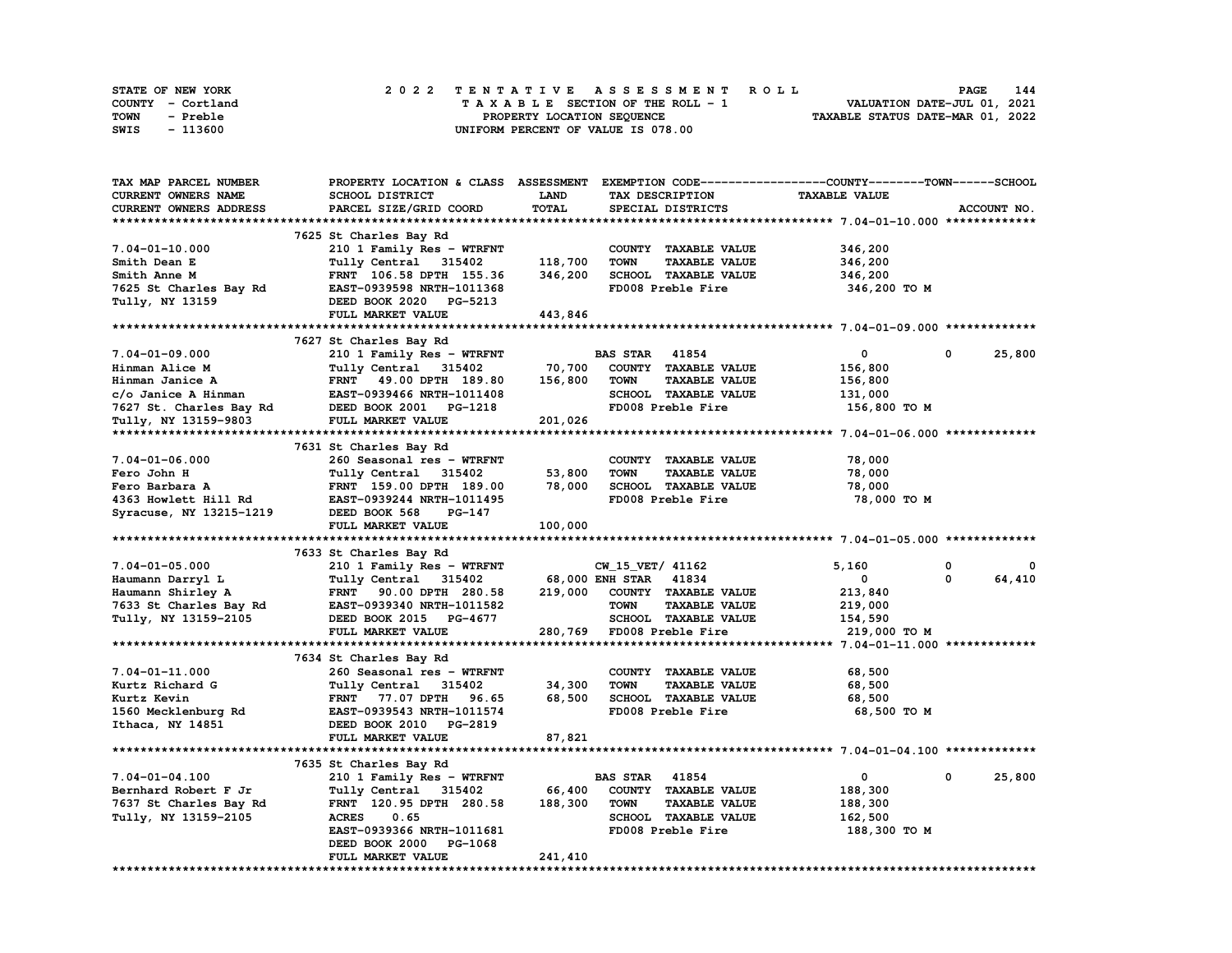| STATE OF NEW YORK | 2022 TENTATIVE ASSESSMENT ROLL     | 144<br><b>PAGE</b>               |
|-------------------|------------------------------------|----------------------------------|
| COUNTY - Cortland | TAXABLE SECTION OF THE ROLL - 1    | VALUATION DATE-JUL 01, 2021      |
| TOWN<br>- Preble  | PROPERTY LOCATION SEQUENCE         | TAXABLE STATUS DATE-MAR 01, 2022 |
| SWIS<br>- 113600  | UNIFORM PERCENT OF VALUE IS 078.00 |                                  |

| TAX MAP PARCEL NUMBER   | PROPERTY LOCATION & CLASS ASSESSMENT EXEMPTION CODE----------------COUNTY-------TOWN-----SCHOOL |         |                                     |                      |                       |
|-------------------------|-------------------------------------------------------------------------------------------------|---------|-------------------------------------|----------------------|-----------------------|
| CURRENT OWNERS NAME     | SCHOOL DISTRICT                                                                                 | LAND    | TAX DESCRIPTION                     | <b>TAXABLE VALUE</b> |                       |
| CURRENT OWNERS ADDRESS  | PARCEL SIZE/GRID COORD                                                                          | TOTAL   | SPECIAL DISTRICTS                   |                      | ACCOUNT NO.           |
|                         |                                                                                                 |         |                                     |                      |                       |
|                         | 7625 St Charles Bay Rd                                                                          |         |                                     |                      |                       |
| $7.04 - 01 - 10.000$    | 210 1 Family Res - WTRFNT                                                                       |         | COUNTY TAXABLE VALUE                | 346,200              |                       |
| Smith Dean E            | Tully Central 315402                                                                            | 118,700 | <b>TAXABLE VALUE</b><br><b>TOWN</b> | 346,200              |                       |
| Smith Anne M            | FRNT 106.58 DPTH 155.36                                                                         | 346,200 | SCHOOL TAXABLE VALUE                | 346,200              |                       |
| 7625 St Charles Bay Rd  | EAST-0939598 NRTH-1011368                                                                       |         | FD008 Preble Fire                   | 346,200 TO M         |                       |
| Tully, NY 13159         | DEED BOOK 2020 PG-5213                                                                          |         |                                     |                      |                       |
|                         | FULL MARKET VALUE                                                                               | 443,846 |                                     |                      |                       |
|                         |                                                                                                 |         |                                     |                      |                       |
|                         | 7627 St Charles Bay Rd                                                                          |         |                                     |                      |                       |
| 7.04-01-09.000          | 210 1 Family Res - WTRFNT                                                                       |         | <b>BAS STAR 41854</b>               | $\mathbf 0$          | $\mathbf 0$<br>25,800 |
| Hinman Alice M          | Tully Central 315402                                                                            | 70,700  | COUNTY TAXABLE VALUE                | 156,800              |                       |
| Hinman Janice A         | FRNT 49.00 DPTH 189.80                                                                          | 156,800 | <b>TOWN</b><br><b>TAXABLE VALUE</b> | 156,800              |                       |
|                         | c/o Janice A Hinman<br>7627 St. Charles Bay Rd bEED BOOK 2001 PG-1218                           |         | SCHOOL TAXABLE VALUE                | 131,000              |                       |
|                         |                                                                                                 |         | FD008 Preble Fire                   | 156,800 то м         |                       |
| Tully, NY 13159-9803    | FULL MARKET VALUE                                                                               | 201,026 |                                     |                      |                       |
|                         |                                                                                                 |         |                                     |                      |                       |
|                         | 7631 St Charles Bay Rd                                                                          |         |                                     |                      |                       |
| $7.04 - 01 - 06.000$    | 260 Seasonal res - WTRFNT                                                                       |         | COUNTY TAXABLE VALUE                | 78,000               |                       |
| Fero John H             | Tully Central 315402                                                                            | 53,800  | <b>TOWN</b><br><b>TAXABLE VALUE</b> | 78,000               |                       |
| Fero Barbara A          | FRNT 159.00 DPTH 189.00                                                                         | 78,000  | <b>SCHOOL TAXABLE VALUE</b>         | 78,000               |                       |
| 4363 Howlett Hill Rd    | EAST-0939244 NRTH-1011495                                                                       |         | FD008 Preble Fire                   | 78,000 TO M          |                       |
| Syracuse, NY 13215-1219 | DEED BOOK 568<br>PG-147                                                                         |         |                                     |                      |                       |
|                         | FULL MARKET VALUE                                                                               | 100,000 |                                     |                      |                       |
|                         |                                                                                                 |         |                                     |                      |                       |
|                         | 7633 St Charles Bay Rd                                                                          |         |                                     |                      |                       |
| $7.04 - 01 - 05.000$    | 210 1 Family Res - WTRFNT                                                                       |         | CW 15 VET/ 41162                    | 5,160                | 0<br>0                |
| Haumann Darryl L        | Tully Central 315402                                                                            |         | 68,000 ENH STAR 41834               | $\mathbf 0$          | 0<br>64,410           |
| Haumann Shirley A       | FRNT 90.00 DPTH 280.58                                                                          | 219,000 | COUNTY TAXABLE VALUE                | 213,840              |                       |
| 7633 St Charles Bay Rd  | EAST-0939340 NRTH-1011582                                                                       |         | <b>TOWN</b><br><b>TAXABLE VALUE</b> | 219,000              |                       |
| Tully, NY 13159-2105    | DEED BOOK 2015 PG-4677                                                                          |         | SCHOOL TAXABLE VALUE                | 154,590              |                       |
|                         | FULL MARKET VALUE                                                                               |         | 280,769 FD008 Preble Fire           | 219,000 TO M         |                       |
|                         |                                                                                                 |         |                                     |                      |                       |
|                         | 7634 St Charles Bay Rd                                                                          |         |                                     |                      |                       |
| $7.04 - 01 - 11.000$    | 260 Seasonal res - WTRFNT                                                                       |         | COUNTY TAXABLE VALUE                | 68,500               |                       |
| Kurtz Richard G         | Tully Central 315402                                                                            | 34,300  | <b>TAXABLE VALUE</b><br>TOWN        | 68,500               |                       |
| Kurtz Kevin             | FRNT 77.07 DPTH 96.65                                                                           | 68,500  | SCHOOL TAXABLE VALUE                | 68,500               |                       |
|                         | 1560 Mecklenburg Rd<br>These W. 1953                                                            |         | FD008 Preble Fire                   | 68,500 TO M          |                       |
| Ithaca, NY 14851        | DEED BOOK 2010 PG-2819                                                                          |         |                                     |                      |                       |
|                         | FULL MARKET VALUE                                                                               | 87,821  |                                     |                      |                       |
|                         |                                                                                                 |         |                                     |                      |                       |
|                         | 7635 St Charles Bay Rd                                                                          |         |                                     |                      |                       |
| $7.04 - 01 - 04.100$    | 210 1 Family Res - WTRFNT                                                                       |         | <b>BAS STAR 41854</b>               | $\overline{0}$       | 25,800<br>$^{\circ}$  |
| Bernhard Robert F Jr    | Tully Central 315402                                                                            | 66,400  | COUNTY TAXABLE VALUE                | 188,300              |                       |
| 7637 St Charles Bay Rd  | FRNT 120.95 DPTH 280.58                                                                         | 188,300 | <b>TOWN</b><br><b>TAXABLE VALUE</b> | 188,300              |                       |
| Tully, NY 13159-2105    | <b>ACRES</b><br>0.65                                                                            |         | <b>SCHOOL TAXABLE VALUE</b>         | 162,500              |                       |
|                         | EAST-0939366 NRTH-1011681                                                                       |         | FD008 Preble Fire                   | 188,300 TO M         |                       |
|                         | DEED BOOK 2000<br>PG-1068                                                                       |         |                                     |                      |                       |
|                         |                                                                                                 |         |                                     |                      |                       |
|                         | FULL MARKET VALUE                                                                               | 241,410 |                                     |                      |                       |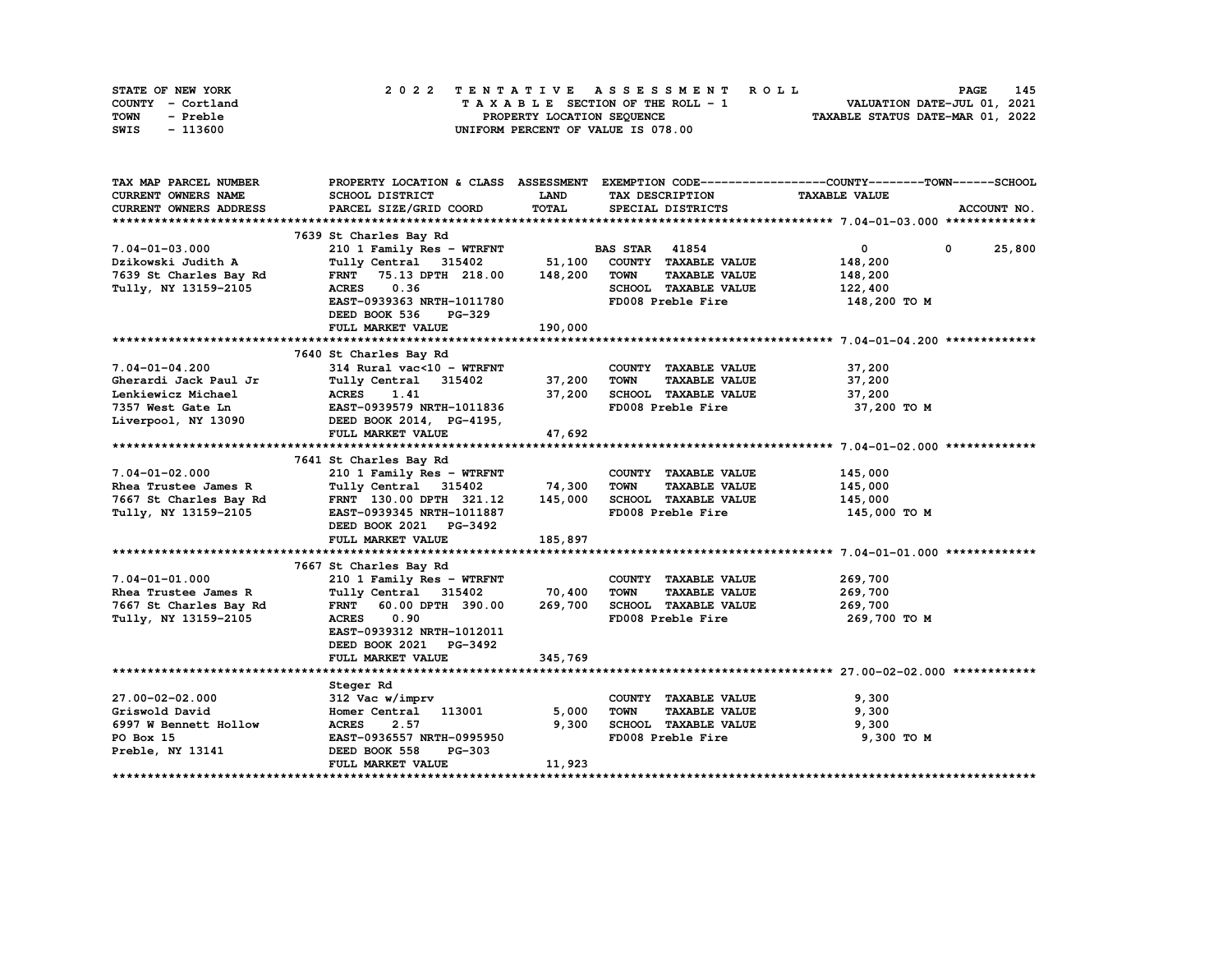| STATE OF NEW YORK | 2022 TENTATIVE ASSESSMENT ROLL     | 145<br><b>PAGE</b>               |
|-------------------|------------------------------------|----------------------------------|
| COUNTY - Cortland | TAXABLE SECTION OF THE ROLL - 1    | VALUATION DATE-JUL 01, 2021      |
| TOWN<br>- Preble  | PROPERTY LOCATION SEQUENCE         | TAXABLE STATUS DATE-MAR 01, 2022 |
| - 113600<br>SWIS  | UNIFORM PERCENT OF VALUE IS 078.00 |                                  |

| TAX MAP PARCEL NUMBER                        |                                  |              |                                     | PROPERTY LOCATION & CLASS ASSESSMENT EXEMPTION CODE----------------COUNTY-------TOWN------SCHOOL |
|----------------------------------------------|----------------------------------|--------------|-------------------------------------|--------------------------------------------------------------------------------------------------|
| <b>CURRENT OWNERS NAME</b>                   | SCHOOL DISTRICT                  | <b>LAND</b>  | TAX DESCRIPTION                     | <b>TAXABLE VALUE</b>                                                                             |
| <b>CURRENT OWNERS ADDRESS</b>                | PARCEL SIZE/GRID COORD           | <b>TOTAL</b> | SPECIAL DISTRICTS                   | ACCOUNT NO.                                                                                      |
|                                              |                                  |              |                                     |                                                                                                  |
|                                              | 7639 St Charles Bay Rd           |              |                                     |                                                                                                  |
| $7.04 - 01 - 03.000$                         | 210 1 Family Res - WTRFNT        |              | <b>BAS STAR</b> 41854               | $\mathbf{0}$<br>$0\qquad 25,800$                                                                 |
| Dzikowski Judith A                           | Tully Central 315402 51,100      |              | COUNTY TAXABLE VALUE                | 148,200                                                                                          |
| 7639 St Charles Bay Rd                       | FRNT 75.13 DPTH 218.00           | 148,200      | <b>TAXABLE VALUE</b><br><b>TOWN</b> | 148,200                                                                                          |
| Tully, NY 13159-2105                         | <b>ACRES</b><br>0.36             |              | SCHOOL TAXABLE VALUE                | 122,400                                                                                          |
|                                              | EAST-0939363 NRTH-1011780        |              | FD008 Preble Fire                   | 148,200 TO M                                                                                     |
|                                              | DEED BOOK 536<br>PG-329          |              |                                     |                                                                                                  |
|                                              | FULL MARKET VALUE                | 190,000      |                                     |                                                                                                  |
|                                              |                                  |              |                                     |                                                                                                  |
|                                              | 7640 St Charles Bay Rd           |              |                                     |                                                                                                  |
| $7.04 - 01 - 04.200$                         | 314 Rural vac<10 - WTRFNT        |              | COUNTY TAXABLE VALUE                | 37,200                                                                                           |
| Gherardi Jack Paul Jr                        | Tully Central 315402             | 37,200       | <b>TOWN</b><br><b>TAXABLE VALUE</b> | 37,200                                                                                           |
| Lenkiewicz Michael                           | ACRES 1.41                       | 37,200       | SCHOOL TAXABLE VALUE                | 37,200                                                                                           |
| 7357 West Gate Ln                            | EAST-0939579 NRTH-1011836        |              | FD008 Preble Fire                   | 37,200 TO M                                                                                      |
| Liverpool, NY 13090 DEED BOOK 2014, PG-4195, |                                  |              |                                     |                                                                                                  |
|                                              |                                  |              |                                     |                                                                                                  |
|                                              | FULL MARKET VALUE                | 47,692       |                                     |                                                                                                  |
|                                              |                                  |              |                                     |                                                                                                  |
|                                              | 7641 St Charles Bay Rd           |              |                                     |                                                                                                  |
| $7.04 - 01 - 02.000$                         | 210 1 Family Res - WTRFNT        |              | COUNTY TAXABLE VALUE                | 145,000                                                                                          |
| Rhea Trustee James R                         | Tully Central 315402 74,300      |              | <b>TOWN</b><br><b>TAXABLE VALUE</b> | 145,000                                                                                          |
| 7667 St Charles Bay Rd                       | FRNT 130.00 DPTH 321.12          | 145,000      | SCHOOL TAXABLE VALUE                | 145,000                                                                                          |
| Tully, NY 13159-2105                         | EAST-0939345 NRTH-1011887        |              | FD008 Preble Fire                   | 145,000 TO M                                                                                     |
|                                              | DEED BOOK 2021 PG-3492           |              |                                     |                                                                                                  |
|                                              | FULL MARKET VALUE                | 185,897      |                                     |                                                                                                  |
|                                              |                                  |              |                                     |                                                                                                  |
|                                              | 7667 St Charles Bay Rd           |              |                                     |                                                                                                  |
| $7.04 - 01 - 01.000$                         | 210 1 Family Res - WTRFNT        |              | COUNTY TAXABLE VALUE                | 269,700                                                                                          |
| Rhea Trustee James R                         | Tully Central 315402 70,400      |              | <b>TOWN</b><br><b>TAXABLE VALUE</b> | 269,700                                                                                          |
| 7667 St Charles Bay Rd                       | 60.00 DPTH 390.00<br><b>FRNT</b> | 269,700      | SCHOOL TAXABLE VALUE                | 269,700                                                                                          |
| Tully, NY 13159-2105                         | 0.90<br><b>ACRES</b>             |              | FD008 Preble Fire                   | 269,700 то м                                                                                     |
|                                              | EAST-0939312 NRTH-1012011        |              |                                     |                                                                                                  |
|                                              | DEED BOOK 2021 PG-3492           |              |                                     |                                                                                                  |
|                                              | FULL MARKET VALUE                | 345,769      |                                     |                                                                                                  |
|                                              |                                  |              |                                     |                                                                                                  |
|                                              | Steger Rd                        |              |                                     |                                                                                                  |
| 27.00-02-02.000                              | 312 Vac w/imprv                  |              | COUNTY TAXABLE VALUE                | 9,300                                                                                            |
| Griswold David                               | Homer Central 113001             | 5,000        | <b>TOWN</b><br><b>TAXABLE VALUE</b> | 9,300                                                                                            |
| 6997 W Bennett Hollow                        | 2.57<br><b>ACRES</b>             | 9,300        | SCHOOL TAXABLE VALUE                | 9,300                                                                                            |
| PO Box 15                                    | EAST-0936557 NRTH-0995950        |              | FD008 Preble Fire                   | 9,300 TO M                                                                                       |
| Preble, NY 13141                             | <b>PG-303</b><br>DEED BOOK 558   |              |                                     |                                                                                                  |
|                                              | <b>FULL MARKET VALUE</b>         | 11,923       |                                     |                                                                                                  |
|                                              |                                  |              |                                     |                                                                                                  |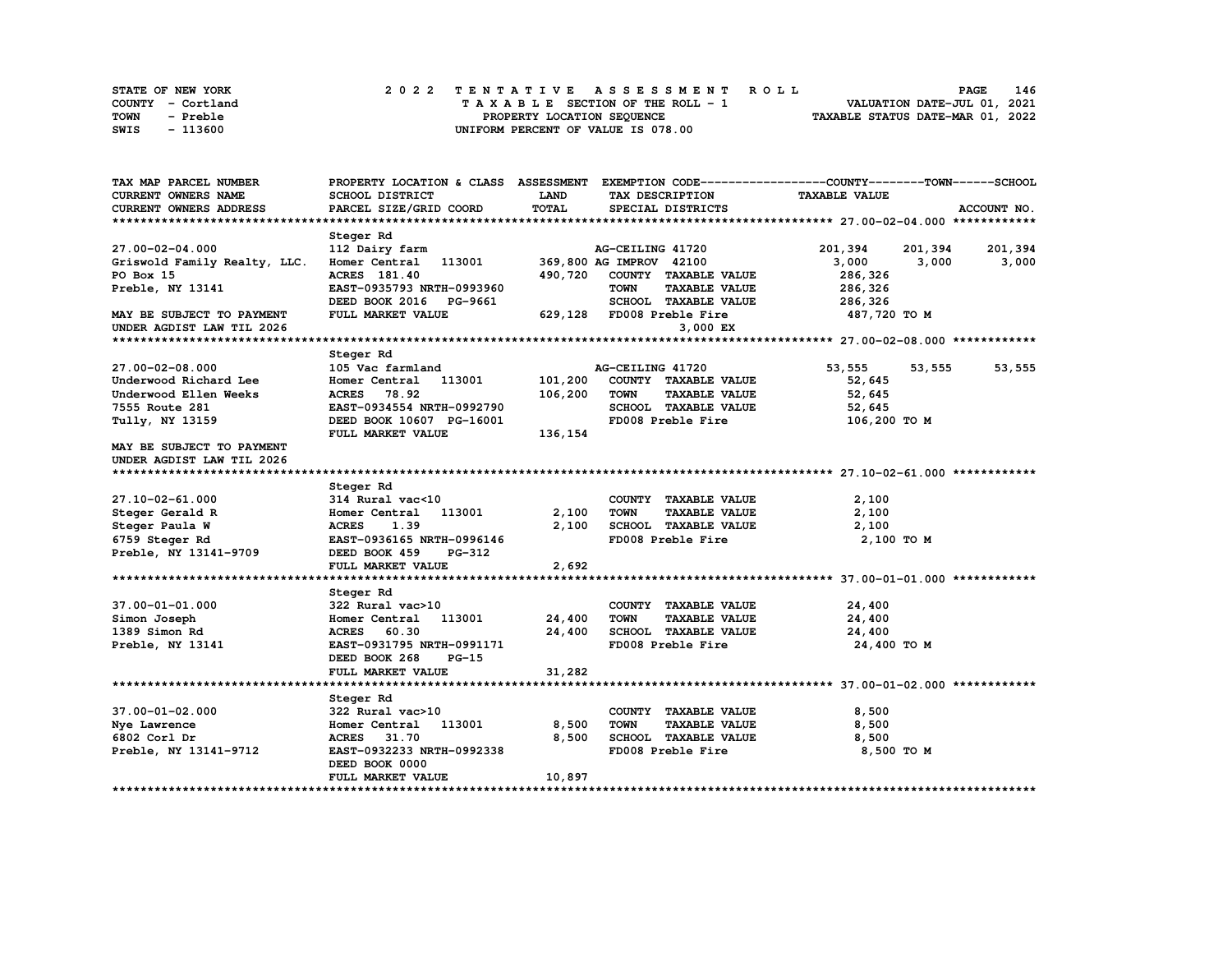| STATE OF NEW YORK | 2022 TENTATIVE ASSESSMENT ROLL     | 146<br><b>PAGE</b>               |
|-------------------|------------------------------------|----------------------------------|
| COUNTY - Cortland | TAXABLE SECTION OF THE ROLL - 1    | VALUATION DATE-JUL 01, 2021      |
| TOWN<br>- Preble  | PROPERTY LOCATION SEOUENCE         | TAXABLE STATUS DATE-MAR 01, 2022 |
| - 113600<br>SWIS  | UNIFORM PERCENT OF VALUE IS 078.00 |                                  |

| <b>TAX MAP PARCEL NUMBER</b>     | PROPERTY LOCATION & CLASS ASSESSMENT EXEMPTION CODE----------------COUNTY-------TOWN-----SCHOOL |         |                                     |                      |             |
|----------------------------------|-------------------------------------------------------------------------------------------------|---------|-------------------------------------|----------------------|-------------|
| <b>CURRENT OWNERS NAME</b>       | <b>SCHOOL DISTRICT</b>                                                                          | LAND    | TAX DESCRIPTION                     | <b>TAXABLE VALUE</b> |             |
| <b>CURRENT OWNERS ADDRESS</b>    | PARCEL SIZE/GRID COORD                                                                          | TOTAL   | SPECIAL DISTRICTS                   |                      | ACCOUNT NO. |
|                                  |                                                                                                 |         |                                     |                      |             |
|                                  | Steger Rd                                                                                       |         |                                     |                      |             |
| 27.00-02-04.000                  | 112 Dairy farm                                                                                  |         | AG-CEILING 41720                    | 201,394<br>201,394   | 201,394     |
| Griswold Family Realty, LLC.     | 113001<br>Homer Central                                                                         |         | 369,800 AG IMPROV 42100             | 3,000<br>3,000       | 3,000       |
| PO Box 15                        | ACRES 181.40                                                                                    | 490,720 | COUNTY TAXABLE VALUE                | 286,326              |             |
| Preble, NY 13141                 | EAST-0935793 NRTH-0993960                                                                       |         | <b>TAXABLE VALUE</b><br><b>TOWN</b> | 286,326              |             |
|                                  | DEED BOOK 2016 PG-9661                                                                          |         | SCHOOL TAXABLE VALUE                | 286,326              |             |
| <b>MAY BE SUBJECT TO PAYMENT</b> | FULL MARKET VALUE                                                                               |         | 629,128 FD008 Preble Fire           | 487,720 TO M         |             |
| UNDER AGDIST LAW TIL 2026        |                                                                                                 |         | 3,000 EX                            |                      |             |
|                                  |                                                                                                 |         |                                     |                      |             |
|                                  | Steger Rd                                                                                       |         |                                     |                      |             |
| 27.00-02-08.000                  | 105 Vac farmland                                                                                |         | AG-CEILING 41720                    | 53,555<br>53,555     | 53,555      |
| Underwood Richard Lee            | 113001<br>Homer Central                                                                         | 101,200 | COUNTY TAXABLE VALUE                | 52,645               |             |
| Underwood Ellen Weeks            | <b>ACRES</b><br>78.92                                                                           | 106,200 | <b>TOWN</b><br><b>TAXABLE VALUE</b> | 52,645               |             |
| 7555 Route 281                   | EAST-0934554 NRTH-0992790                                                                       |         | SCHOOL TAXABLE VALUE                | 52,645               |             |
| Tully, NY 13159                  | DEED BOOK 10607 PG-16001                                                                        |         | FD008 Preble Fire                   | 106,200 TO M         |             |
|                                  | FULL MARKET VALUE                                                                               | 136,154 |                                     |                      |             |
| MAY BE SUBJECT TO PAYMENT        |                                                                                                 |         |                                     |                      |             |
| UNDER AGDIST LAW TIL 2026        |                                                                                                 |         |                                     |                      |             |
|                                  |                                                                                                 |         |                                     |                      |             |
|                                  | Steger Rd                                                                                       |         |                                     |                      |             |
| 27.10-02-61.000                  | 314 Rural vac<10                                                                                |         | COUNTY TAXABLE VALUE                | 2,100                |             |
| Steger Gerald R                  | 113001<br>Homer Central                                                                         | 2,100   | <b>TOWN</b><br><b>TAXABLE VALUE</b> | 2,100                |             |
| Steger Paula W                   | <b>ACRES</b><br>1.39                                                                            | 2,100   | SCHOOL TAXABLE VALUE                | 2,100                |             |
| 6759 Steger Rd                   | EAST-0936165 NRTH-0996146                                                                       |         | FD008 Preble Fire                   | 2,100 TO M           |             |
| Preble, NY 13141-9709            | DEED BOOK 459<br>PG-312                                                                         |         |                                     |                      |             |
|                                  | FULL MARKET VALUE                                                                               | 2,692   |                                     |                      |             |
|                                  |                                                                                                 |         |                                     |                      |             |
|                                  | Steger Rd                                                                                       |         |                                     |                      |             |
| 37.00-01-01.000                  | 322 Rural vac>10                                                                                |         | COUNTY TAXABLE VALUE                | 24,400               |             |
| Simon Joseph                     | 113001<br>Homer Central                                                                         | 24,400  | <b>TOWN</b><br><b>TAXABLE VALUE</b> | 24,400               |             |
| 1389 Simon Rd                    | <b>ACRES</b><br>60.30                                                                           | 24,400  | SCHOOL TAXABLE VALUE                | 24,400               |             |
| Preble, NY 13141                 | EAST-0931795 NRTH-0991171                                                                       |         | FD008 Preble Fire                   | 24,400 TO M          |             |
|                                  | DEED BOOK 268<br>$PG-15$                                                                        |         |                                     |                      |             |
|                                  | FULL MARKET VALUE                                                                               | 31,282  |                                     |                      |             |
|                                  |                                                                                                 |         |                                     |                      |             |
|                                  | Steger Rd                                                                                       |         |                                     |                      |             |
| 37.00-01-02.000                  | 322 Rural vac>10                                                                                |         | COUNTY TAXABLE VALUE                | 8,500                |             |
| Nye Lawrence                     | 113001<br>Homer Central                                                                         | 8,500   | <b>TAXABLE VALUE</b><br><b>TOWN</b> | 8,500                |             |
| 6802 Corl Dr                     | <b>ACRES</b><br>31.70                                                                           | 8,500   | SCHOOL TAXABLE VALUE                | 8,500                |             |
| Preble, NY 13141-9712            | EAST-0932233 NRTH-0992338                                                                       |         | FD008 Preble Fire                   | 8,500 TO M           |             |
|                                  | DEED BOOK 0000                                                                                  |         |                                     |                      |             |
|                                  | FULL MARKET VALUE                                                                               | 10,897  |                                     |                      |             |
|                                  |                                                                                                 |         |                                     |                      |             |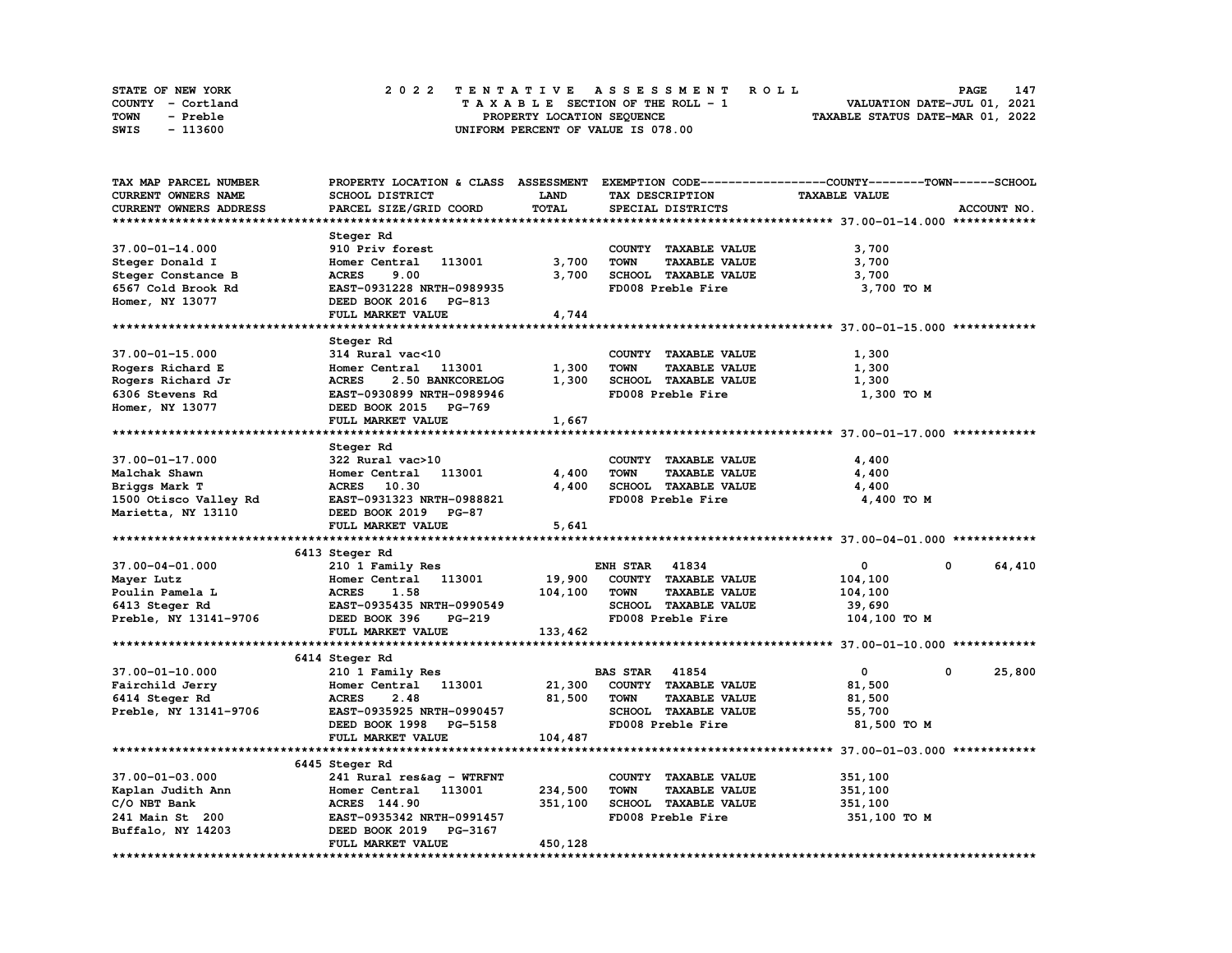| <b>STATE OF NEW YORK</b> | 2022 TENTATIVE ASSESSMENT ROLL          | 147<br>PAGE                      |
|--------------------------|-----------------------------------------|----------------------------------|
| COUNTY - Cortland        | $T A X A B L E$ SECTION OF THE ROLL - 1 | VALUATION DATE-JUL 01, 2021      |
| TOWN<br>- Preble         | PROPERTY LOCATION SEQUENCE              | TAXABLE STATUS DATE-MAR 01, 2022 |
| - 113600<br>SWIS         | UNIFORM PERCENT OF VALUE IS 078.00      |                                  |

| TAX MAP PARCEL NUMBER      | PROPERTY LOCATION & CLASS ASSESSMENT |             |                                     | EXEMPTION CODE-----------------COUNTY-------TOWN-----SCHOOL |             |
|----------------------------|--------------------------------------|-------------|-------------------------------------|-------------------------------------------------------------|-------------|
| <b>CURRENT OWNERS NAME</b> | SCHOOL DISTRICT                      | <b>LAND</b> | TAX DESCRIPTION                     | <b>TAXABLE VALUE</b>                                        |             |
| CURRENT OWNERS ADDRESS     | PARCEL SIZE/GRID COORD               | TOTAL       | SPECIAL DISTRICTS                   |                                                             | ACCOUNT NO. |
|                            |                                      |             |                                     |                                                             |             |
|                            | Steger Rd                            |             |                                     |                                                             |             |
| 37.00-01-14.000            | 910 Priv forest                      |             | COUNTY TAXABLE VALUE                | 3,700                                                       |             |
|                            | Homer Central<br>113001              | 3,700       | <b>TAXABLE VALUE</b><br><b>TOWN</b> |                                                             |             |
| Steger Donald I            |                                      |             |                                     | 3,700                                                       |             |
| Steger Constance B         | 9.00<br><b>ACRES</b>                 | 3,700       | SCHOOL TAXABLE VALUE                | 3,700                                                       |             |
| 6567 Cold Brook Rd         | EAST-0931228 NRTH-0989935            |             | FD008 Preble Fire                   | 3,700 TO M                                                  |             |
| Homer, NY 13077            | DEED BOOK 2016<br>PG-813             |             |                                     |                                                             |             |
|                            | FULL MARKET VALUE                    | 4,744       |                                     |                                                             |             |
|                            |                                      |             |                                     |                                                             |             |
|                            | Steger Rd                            |             |                                     |                                                             |             |
| $37.00 - 01 - 15.000$      | 314 Rural vac<10                     |             | COUNTY TAXABLE VALUE                | 1,300                                                       |             |
| Rogers Richard E           | Homer Central<br>113001              | 1,300       | <b>TOWN</b><br><b>TAXABLE VALUE</b> | 1,300                                                       |             |
| Rogers Richard Jr          | <b>ACRES</b><br>2.50 BANKCORELOG     | 1,300       | SCHOOL TAXABLE VALUE                | 1,300                                                       |             |
| 6306 Stevens Rd            | EAST-0930899 NRTH-0989946            |             | FD008 Preble Fire                   | 1,300 TO M                                                  |             |
| Homer, NY 13077            | DEED BOOK 2015 PG-769                |             |                                     |                                                             |             |
|                            |                                      |             |                                     |                                                             |             |
|                            | FULL MARKET VALUE                    | 1,667       |                                     |                                                             |             |
|                            |                                      |             |                                     |                                                             |             |
|                            | Steger Rd                            |             |                                     |                                                             |             |
| 37.00-01-17.000            | 322 Rural vac>10                     |             | COUNTY TAXABLE VALUE                | 4,400                                                       |             |
| Malchak Shawn              | 113001<br>Homer Central              | 4,400       | <b>TOWN</b><br><b>TAXABLE VALUE</b> | 4,400                                                       |             |
| Briggs Mark T              | ACRES 10.30                          | 4,400       | SCHOOL TAXABLE VALUE                | 4,400                                                       |             |
| 1500 Otisco Valley Rd      | EAST-0931323 NRTH-0988821            |             | FD008 Preble Fire                   | 4,400 TO M                                                  |             |
| Marietta, NY 13110         | DEED BOOK 2019 PG-87                 |             |                                     |                                                             |             |
|                            | FULL MARKET VALUE                    | 5,641       |                                     |                                                             |             |
|                            |                                      |             |                                     |                                                             |             |
|                            | 6413 Steger Rd                       |             |                                     |                                                             |             |
| 37.00-04-01.000            | 210 1 Family Res                     |             | <b>ENH STAR 41834</b>               | $\mathbf{0}$<br>0                                           | 64,410      |
| Mayer Lutz                 | 113001<br>Homer Central              | 19,900      | COUNTY TAXABLE VALUE                | 104,100                                                     |             |
| Poulin Pamela L            | <b>ACRES</b><br>1.58                 | 104,100     | <b>TOWN</b><br><b>TAXABLE VALUE</b> |                                                             |             |
|                            |                                      |             |                                     | 104,100                                                     |             |
| 6413 Steger Rd             | EAST-0935435 NRTH-0990549            |             | SCHOOL TAXABLE VALUE                | 39,690                                                      |             |
| Preble, NY 13141-9706      | DEED BOOK 396<br>PG-219              |             | FD008 Preble Fire                   | 104,100 TO M                                                |             |
|                            | FULL MARKET VALUE                    | 133,462     |                                     |                                                             |             |
|                            |                                      |             |                                     |                                                             |             |
|                            | 6414 Steger Rd                       |             |                                     |                                                             |             |
| 37.00-01-10.000            | 210 1 Family Res                     |             | 41854<br><b>BAS STAR</b>            | 0<br>0                                                      | 25,800      |
|                            |                                      |             |                                     |                                                             |             |
|                            | 113001<br>Homer Central              |             |                                     |                                                             |             |
| Fairchild Jerry            |                                      | 21,300      | COUNTY TAXABLE VALUE                | 81,500                                                      |             |
| 6414 Steger Rd             | <b>ACRES</b><br>2.48                 | 81,500      | <b>TAXABLE VALUE</b><br><b>TOWN</b> | 81,500                                                      |             |
| Preble, NY 13141-9706      | EAST-0935925 NRTH-0990457            |             | SCHOOL TAXABLE VALUE                | 55,700                                                      |             |
|                            | DEED BOOK 1998 PG-5158               |             | FD008 Preble Fire                   | 81,500 TO M                                                 |             |
|                            | FULL MARKET VALUE                    | 104,487     |                                     |                                                             |             |
|                            |                                      |             |                                     |                                                             |             |
|                            | 6445 Steger Rd                       |             |                                     |                                                             |             |
| 37.00-01-03.000            | 241 Rural res&ag - WTRFNT            |             | COUNTY TAXABLE VALUE                | 351,100                                                     |             |
| Kaplan Judith Ann          | Homer Central 113001                 | 234,500     | <b>TOWN</b><br><b>TAXABLE VALUE</b> | 351,100                                                     |             |
| C/O NBT Bank               | <b>ACRES</b> 144.90                  | 351,100     | SCHOOL TAXABLE VALUE                | 351,100                                                     |             |
| 241 Main St 200            | EAST-0935342 NRTH-0991457            |             | FD008 Preble Fire                   | 351,100 TO M                                                |             |
| Buffalo, NY 14203          | DEED BOOK 2019<br>PG-3167            |             |                                     |                                                             |             |
|                            | FULL MARKET VALUE                    | 450,128     |                                     |                                                             |             |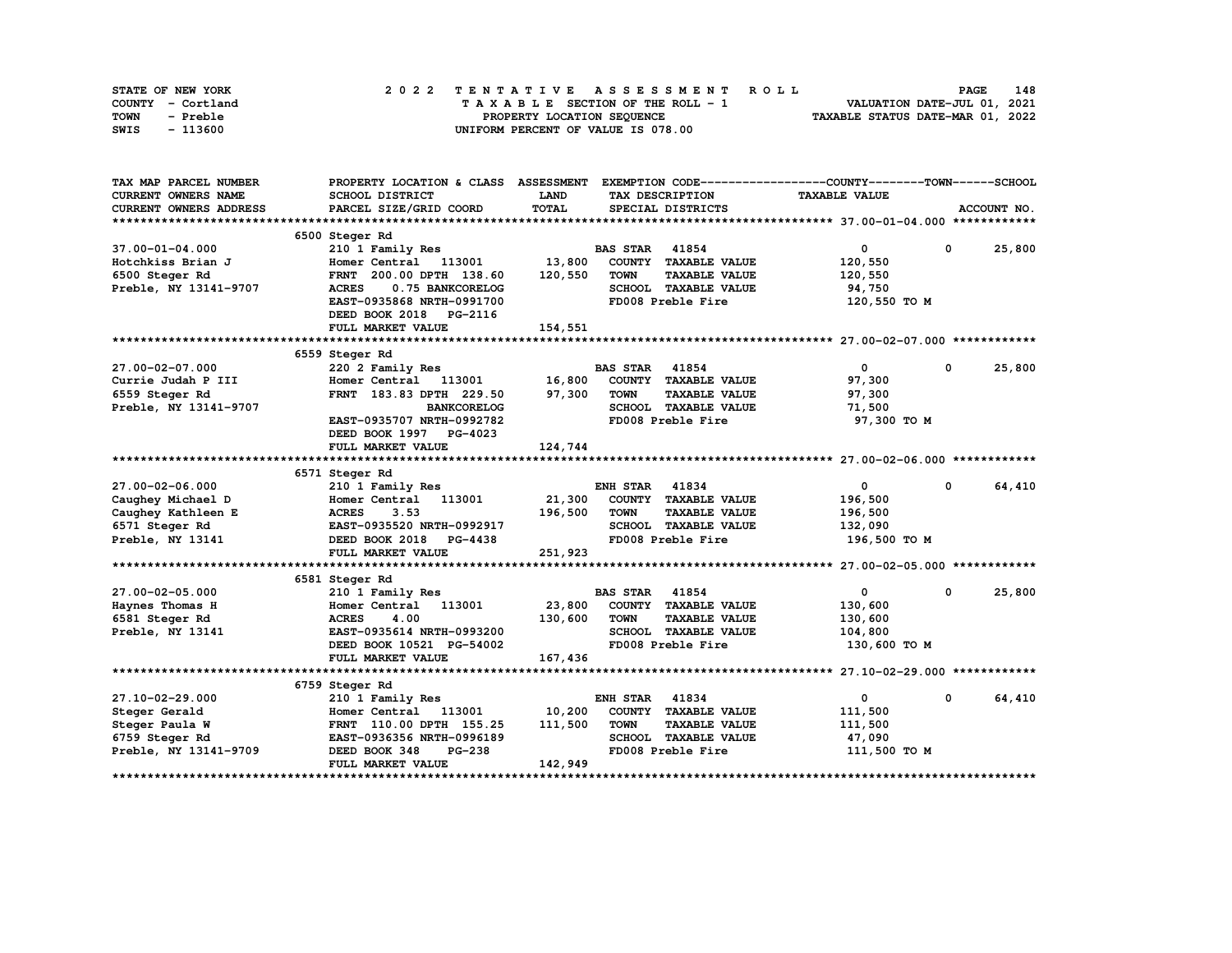| STATE OF NEW YORK | 2022 TENTATIVE ASSESSMENT ROLL     | 148<br><b>PAGE</b>               |
|-------------------|------------------------------------|----------------------------------|
| COUNTY - Cortland | TAXABLE SECTION OF THE ROLL - 1    | VALUATION DATE-JUL 01, 2021      |
| TOWN<br>- Preble  | PROPERTY LOCATION SEQUENCE         | TAXABLE STATUS DATE-MAR 01, 2022 |
| - 113600<br>SWIS  | UNIFORM PERCENT OF VALUE IS 078.00 |                                  |

| TAX MAP PARCEL NUMBER  | PROPERTY LOCATION & CLASS ASSESSMENT |              | EXEMPTION CODE-----------------COUNTY-------TOWN------SCHOOL |                      |              |             |
|------------------------|--------------------------------------|--------------|--------------------------------------------------------------|----------------------|--------------|-------------|
| CURRENT OWNERS NAME    | SCHOOL DISTRICT                      | LAND         | TAX DESCRIPTION                                              | <b>TAXABLE VALUE</b> |              |             |
| CURRENT OWNERS ADDRESS | PARCEL SIZE/GRID COORD               | <b>TOTAL</b> | SPECIAL DISTRICTS                                            |                      |              | ACCOUNT NO. |
|                        |                                      |              |                                                              |                      |              |             |
|                        | 6500 Steger Rd                       |              |                                                              |                      |              |             |
| 37.00-01-04.000        | 210 1 Family Res                     |              | <b>BAS STAR 41854</b>                                        | $\mathbf{0}$         | $\mathbf 0$  | 25,800      |
| Hotchkiss Brian J      | Homer Central 113001                 | 13,800       | COUNTY TAXABLE VALUE                                         | 120,550              |              |             |
| 6500 Steger Rd         | FRNT 200.00 DPTH 138.60              | 120,550      | <b>TOWN</b><br><b>TAXABLE VALUE</b>                          | 120,550              |              |             |
| Preble, NY 13141-9707  | <b>ACRES</b><br>0.75 BANKCORELOG     |              | SCHOOL TAXABLE VALUE                                         | 94,750               |              |             |
|                        | EAST-0935868 NRTH-0991700            |              | FD008 Preble Fire                                            | 120,550 TO M         |              |             |
|                        | DEED BOOK 2018 PG-2116               |              |                                                              |                      |              |             |
|                        | FULL MARKET VALUE                    | 154,551      |                                                              |                      |              |             |
|                        |                                      |              |                                                              |                      |              |             |
|                        | 6559 Steger Rd                       |              |                                                              |                      |              |             |
| 27.00-02-07.000        | 220 2 Family Res                     |              | 41854<br><b>BAS STAR</b>                                     | $\mathbf{0}$         | $\mathbf{0}$ | 25,800      |
| Currie Judah P III     | Homer Central 113001                 | 16,800       | COUNTY TAXABLE VALUE                                         | 97,300               |              |             |
| 6559 Steger Rd         | FRNT 183.83 DPTH 229.50              | 97,300       | <b>TOWN</b><br><b>TAXABLE VALUE</b>                          | 97,300               |              |             |
| Preble, NY 13141-9707  | <b>BANKCORELOG</b>                   |              | SCHOOL TAXABLE VALUE                                         | 71,500               |              |             |
|                        | EAST-0935707 NRTH-0992782            |              | FD008 Preble Fire                                            | 97,300 TO M          |              |             |
|                        | DEED BOOK 1997 PG-4023               |              |                                                              |                      |              |             |
|                        | FULL MARKET VALUE                    | 124,744      |                                                              |                      |              |             |
|                        |                                      |              |                                                              |                      |              |             |
|                        | 6571 Steger Rd                       |              |                                                              |                      |              |             |
| 27.00-02-06.000        | 210 1 Family Res                     |              | ENH STAR<br>41834                                            | $\mathbf{0}$         | $\mathbf 0$  | 64,410      |
| Caughey Michael D      | 113001<br>Homer Central              | 21,300       | COUNTY TAXABLE VALUE                                         | 196,500              |              |             |
| Caughey Kathleen E     | 3.53<br><b>ACRES</b>                 | 196,500      | <b>TOWN</b><br><b>TAXABLE VALUE</b>                          | 196,500              |              |             |
| 6571 Steger Rd         | EAST-0935520 NRTH-0992917            |              | SCHOOL TAXABLE VALUE                                         | 132,090              |              |             |
| Preble, NY 13141       | DEED BOOK 2018 PG-4438               |              | FD008 Preble Fire                                            | 196,500 то м         |              |             |
|                        | FULL MARKET VALUE                    | 251,923      |                                                              |                      |              |             |
|                        |                                      |              |                                                              |                      |              |             |
|                        | 6581 Steger Rd                       |              |                                                              |                      |              |             |
| 27.00-02-05.000        | 210 1 Family Res                     |              | 41854<br><b>BAS STAR</b>                                     | $\mathbf{0}$         | $\mathbf 0$  | 25,800      |
| Haynes Thomas H        | 113001<br>Homer Central              | 23,800       | COUNTY TAXABLE VALUE                                         | 130,600              |              |             |
| 6581 Steger Rd         | <b>ACRES</b><br>4.00                 | 130,600      | <b>TOWN</b><br>TAXABLE VALUE                                 | 130,600              |              |             |
| Preble, NY 13141       | EAST-0935614 NRTH-0993200            |              | SCHOOL TAXABLE VALUE                                         | 104,800              |              |             |
|                        | DEED BOOK 10521 PG-54002             |              | FD008 Preble Fire                                            | 130,600 TO M         |              |             |
|                        | FULL MARKET VALUE                    | 167,436      |                                                              |                      |              |             |
|                        |                                      |              |                                                              |                      |              |             |
|                        | 6759 Steger Rd                       |              |                                                              |                      |              |             |
| 27.10-02-29.000        | 210 1 Family Res                     |              | 41834<br><b>ENH STAR</b>                                     | $\mathbf 0$          | $\mathbf 0$  | 64,410      |
| Steger Gerald          | Homer Central<br>113001              | 10,200       | COUNTY TAXABLE VALUE                                         | 111,500              |              |             |
| Steger Paula W         | FRNT 110.00 DPTH 155.25              | 111,500      | <b>TOWN</b><br><b>TAXABLE VALUE</b>                          | 111,500              |              |             |
| 6759 Steger Rd         | EAST-0936356 NRTH-0996189            |              | SCHOOL TAXABLE VALUE                                         | 47,090               |              |             |
| Preble, NY 13141-9709  | DEED BOOK 348<br><b>PG-238</b>       |              | FD008 Preble Fire                                            | 111,500 TO M         |              |             |
|                        | FULL MARKET VALUE                    | 142,949      |                                                              |                      |              |             |
|                        |                                      |              |                                                              |                      |              |             |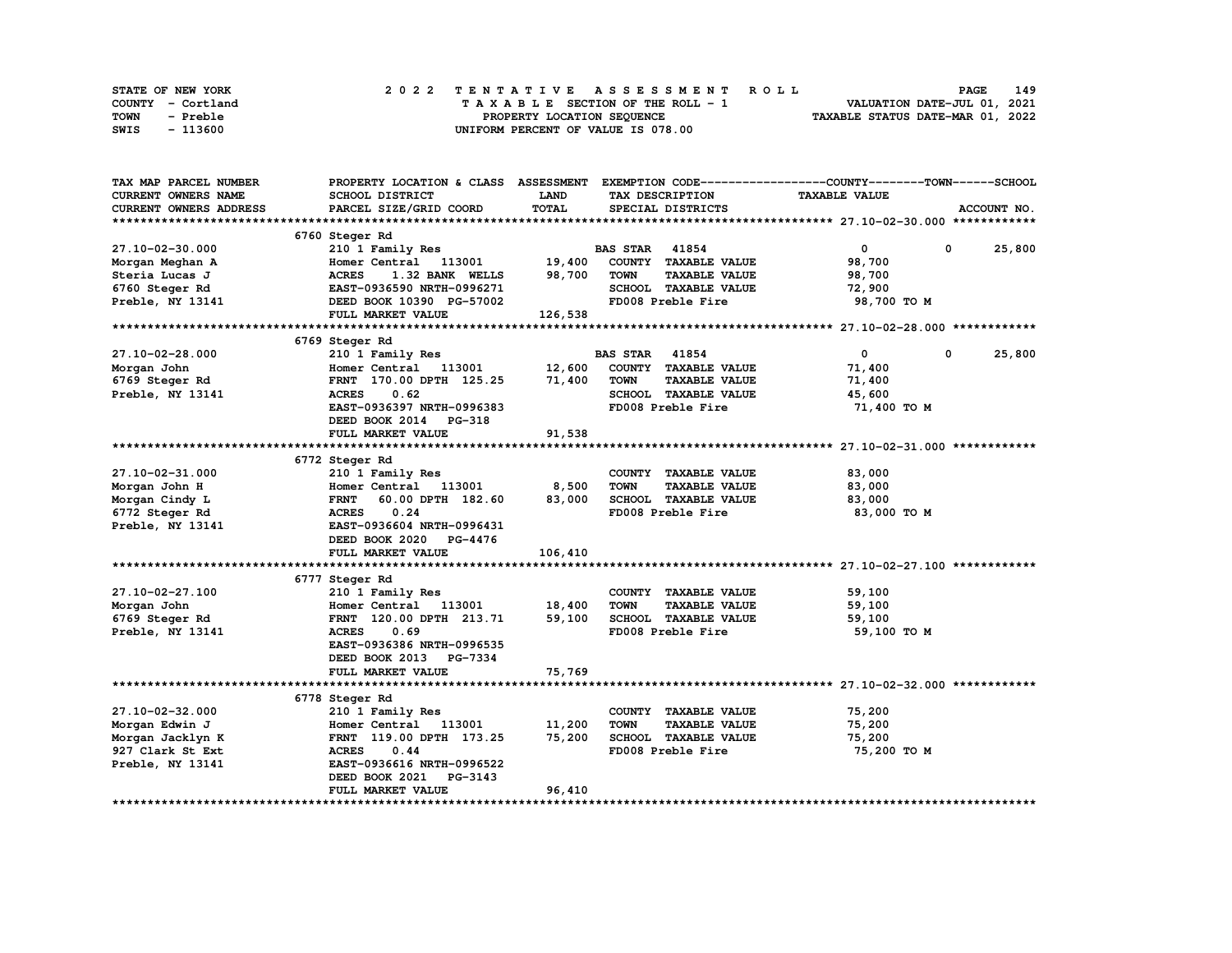| STATE OF NEW YORK | 2022 TENTATIVE ASSESSMENT ROLL     | 149<br><b>PAGE</b>               |
|-------------------|------------------------------------|----------------------------------|
| COUNTY - Cortland | TAXABLE SECTION OF THE ROLL - 1    | VALUATION DATE-JUL 01, 2021      |
| TOWN<br>- Preble  | PROPERTY LOCATION SEQUENCE         | TAXABLE STATUS DATE-MAR 01, 2022 |
| - 113600<br>SWIS  | UNIFORM PERCENT OF VALUE IS 078.00 |                                  |

| TAX MAP PARCEL NUMBER      | PROPERTY LOCATION & CLASS ASSESSMENT |             |                                     | EXEMPTION CODE-----------------COUNTY-------TOWN------SCHOOL |             |
|----------------------------|--------------------------------------|-------------|-------------------------------------|--------------------------------------------------------------|-------------|
| <b>CURRENT OWNERS NAME</b> | SCHOOL DISTRICT                      | <b>LAND</b> | TAX DESCRIPTION                     | <b>TAXABLE VALUE</b>                                         |             |
| CURRENT OWNERS ADDRESS     | PARCEL SIZE/GRID COORD               | TOTAL       | SPECIAL DISTRICTS                   |                                                              | ACCOUNT NO. |
|                            |                                      |             |                                     |                                                              |             |
|                            | 6760 Steger Rd                       |             |                                     |                                                              |             |
| 27.10-02-30.000            | 210 1 Family Res                     |             | <b>BAS STAR</b><br>41854            | 0<br>0                                                       | 25,800      |
| Morgan Meghan A            | Homer Central 113001                 | 19,400      | COUNTY TAXABLE VALUE                | 98,700                                                       |             |
| Steria Lucas J             | <b>ACRES</b><br>1.32 BANK WELLS      | 98,700      | <b>TOWN</b><br><b>TAXABLE VALUE</b> | 98,700                                                       |             |
| 6760 Steger Rd             | EAST-0936590 NRTH-0996271            |             | SCHOOL TAXABLE VALUE                | 72,900                                                       |             |
| Preble, NY 13141           | DEED BOOK 10390 PG-57002             |             | FD008 Preble Fire                   | 98,700 TO M                                                  |             |
|                            | FULL MARKET VALUE                    | 126,538     |                                     |                                                              |             |
|                            |                                      |             |                                     |                                                              |             |
|                            | 6769 Steger Rd                       |             |                                     |                                                              |             |
| 27.10-02-28.000            | 210 1 Family Res                     |             | <b>BAS STAR 41854</b>               | $\mathbf{0}$<br>$\mathbf{0}$                                 | 25,800      |
|                            | Homer Central 113001                 | 12,600      | COUNTY TAXABLE VALUE                | 71,400                                                       |             |
| Morgan John                |                                      |             |                                     |                                                              |             |
| 6769 Steger Rd             | FRNT 170.00 DPTH 125.25              | 71,400      | <b>TAXABLE VALUE</b><br><b>TOWN</b> | 71,400                                                       |             |
| Preble, NY 13141           | <b>ACRES</b><br>0.62                 |             | SCHOOL TAXABLE VALUE                | 45,600                                                       |             |
|                            | EAST-0936397 NRTH-0996383            |             | FD008 Preble Fire                   | 71,400 TO M                                                  |             |
|                            | DEED BOOK 2014 PG-318                |             |                                     |                                                              |             |
|                            | FULL MARKET VALUE                    | 91,538      |                                     |                                                              |             |
|                            |                                      |             |                                     |                                                              |             |
|                            | 6772 Steger Rd                       |             |                                     |                                                              |             |
| 27.10-02-31.000            | 210 1 Family Res                     |             | COUNTY TAXABLE VALUE                | 83,000                                                       |             |
| Morgan John H              | Homer Central 113001                 | 8,500       | <b>TOWN</b><br><b>TAXABLE VALUE</b> | 83,000                                                       |             |
| Morgan Cindy L             | 60.00 DPTH 182.60<br><b>FRNT</b>     | 83,000      | SCHOOL TAXABLE VALUE                | 83,000                                                       |             |
| 6772 Steger Rd             | <b>ACRES</b><br>0.24                 |             | FD008 Preble Fire                   | 83,000 TO M                                                  |             |
| Preble, NY 13141           | EAST-0936604 NRTH-0996431            |             |                                     |                                                              |             |
|                            | DEED BOOK 2020 PG-4476               |             |                                     |                                                              |             |
|                            | FULL MARKET VALUE                    | 106,410     |                                     |                                                              |             |
|                            |                                      |             |                                     |                                                              |             |
|                            | 6777 Steger Rd                       |             |                                     |                                                              |             |
| 27.10-02-27.100            | 210 1 Family Res                     |             | COUNTY TAXABLE VALUE                | 59,100                                                       |             |
| Morgan John                | Homer Central 113001                 | 18,400      | <b>TAXABLE VALUE</b><br><b>TOWN</b> | 59,100                                                       |             |
| 6769 Steger Rd             | FRNT 120.00 DPTH 213.71              | 59,100      | SCHOOL TAXABLE VALUE                | 59,100                                                       |             |
|                            | <b>ACRES</b><br>0.69                 |             | FD008 Preble Fire                   |                                                              |             |
| Preble, NY 13141           | EAST-0936386 NRTH-0996535            |             |                                     | 59,100 TO M                                                  |             |
|                            |                                      |             |                                     |                                                              |             |
|                            | DEED BOOK 2013 PG-7334               |             |                                     |                                                              |             |
|                            | FULL MARKET VALUE                    | 75,769      |                                     |                                                              |             |
|                            |                                      |             |                                     |                                                              |             |
|                            | 6778 Steger Rd                       |             |                                     |                                                              |             |
| 27.10-02-32.000            | 210 1 Family Res                     |             | COUNTY TAXABLE VALUE                | 75,200                                                       |             |
| Morgan Edwin J             | Homer Central 113001                 | 11,200      | <b>TOWN</b><br><b>TAXABLE VALUE</b> | 75,200                                                       |             |
| Morgan Jacklyn K           | FRNT 119.00 DPTH 173.25              | 75,200      | SCHOOL TAXABLE VALUE                | 75,200                                                       |             |
| 927 Clark St Ext           | <b>ACRES</b><br>0.44                 |             | FD008 Preble Fire                   | 75,200 TO M                                                  |             |
| Preble, NY 13141           | EAST-0936616 NRTH-0996522            |             |                                     |                                                              |             |
|                            | DEED BOOK 2021<br>PG-3143            |             |                                     |                                                              |             |
|                            | FULL MARKET VALUE                    | 96,410      |                                     |                                                              |             |
|                            |                                      |             |                                     |                                                              |             |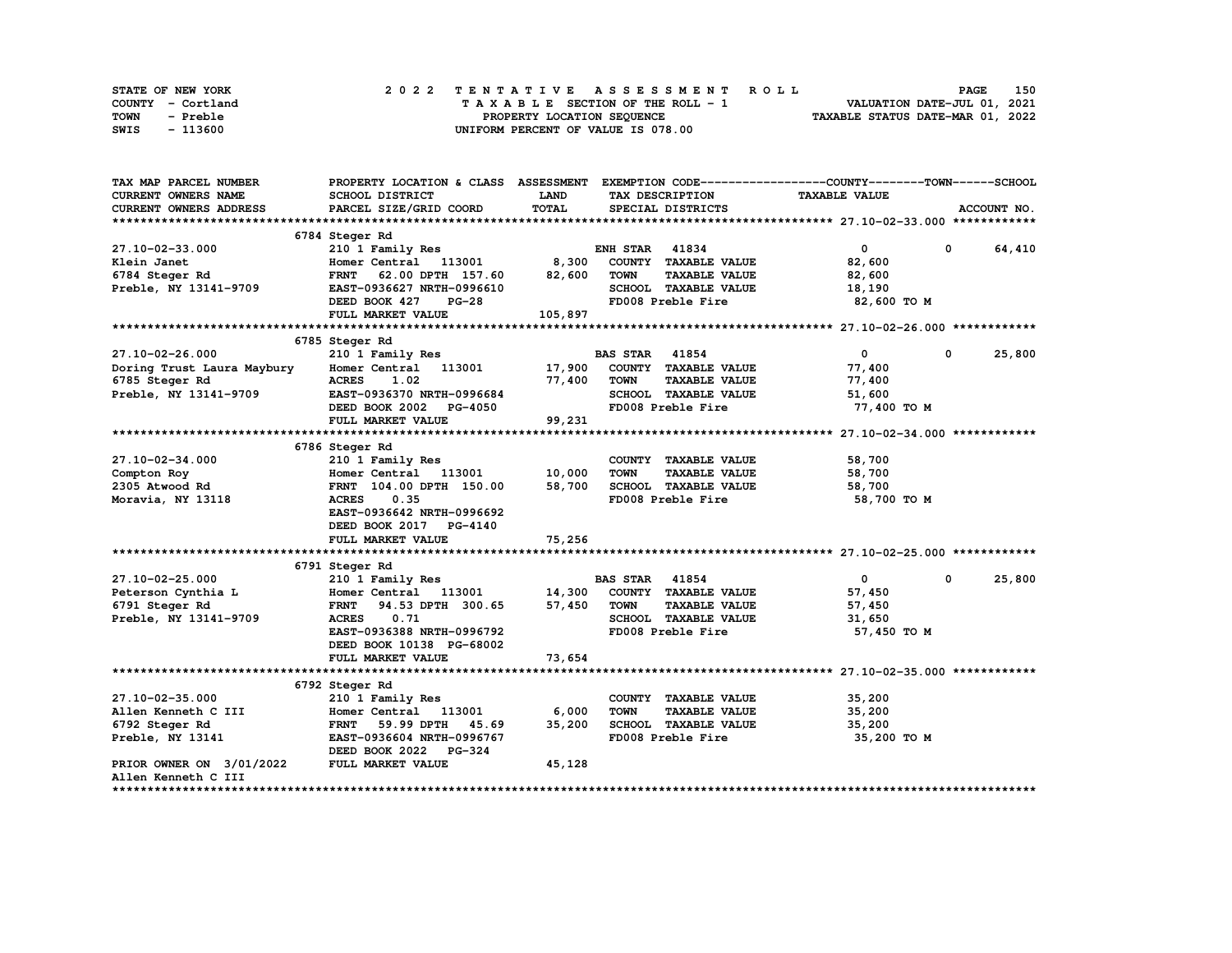| STATE OF NEW YORK | 2022 TENTATIVE ASSESSMENT ROLL     | 150<br><b>PAGE</b>               |
|-------------------|------------------------------------|----------------------------------|
| COUNTY - Cortland | TAXABLE SECTION OF THE ROLL - 1    | VALUATION DATE-JUL 01, 2021      |
| TOWN<br>- Preble  | PROPERTY LOCATION SEQUENCE         | TAXABLE STATUS DATE-MAR 01, 2022 |
| - 113600<br>SWIS  | UNIFORM PERCENT OF VALUE IS 078.00 |                                  |

| TAX MAP PARCEL NUMBER                      | PROPERTY LOCATION & CLASS ASSESSMENT |         |                       |                      | EXEMPTION CODE-----------------COUNTY-------TOWN------SCHOOL |              |             |
|--------------------------------------------|--------------------------------------|---------|-----------------------|----------------------|--------------------------------------------------------------|--------------|-------------|
| CURRENT OWNERS NAME                        | SCHOOL DISTRICT                      | LAND    | TAX DESCRIPTION       |                      | <b>TAXABLE VALUE</b>                                         |              |             |
| <b>CURRENT OWNERS ADDRESS</b>              | PARCEL SIZE/GRID COORD               | TOTAL   | SPECIAL DISTRICTS     |                      |                                                              |              | ACCOUNT NO. |
|                                            |                                      |         |                       |                      |                                                              |              |             |
|                                            | 6784 Steger Rd                       |         |                       |                      |                                                              |              |             |
| 27.10-02-33.000                            | 210 1 Family Res                     |         | <b>ENH STAR 41834</b> |                      | $\mathbf{0}$                                                 | $\mathbf 0$  | 64,410      |
| Klein Janet                                | Homer Central 113001 8,300           |         |                       | COUNTY TAXABLE VALUE | 82,600                                                       |              |             |
| 6784 Steger Rd                             | 62.00 DPTH 157.60<br><b>FRNT</b>     | 82,600  | <b>TOWN</b>           | <b>TAXABLE VALUE</b> | 82,600                                                       |              |             |
| Preble, NY 13141-9709                      | EAST-0936627 NRTH-0996610            |         |                       | SCHOOL TAXABLE VALUE | 18,190                                                       |              |             |
|                                            | DEED BOOK 427<br>$PG-28$             |         | FD008 Preble Fire     |                      | 82,600 то м                                                  |              |             |
|                                            | FULL MARKET VALUE                    | 105,897 |                       |                      |                                                              |              |             |
|                                            |                                      |         |                       |                      |                                                              |              |             |
|                                            | 6785 Steger Rd                       |         |                       |                      |                                                              |              |             |
| 27.10-02-26.000                            | 210 1 Family Res                     |         | <b>BAS STAR</b>       | 41854                | $\mathbf{0}$                                                 | $^{\circ}$   | 25,800      |
|                                            | Homer Central 113001                 | 17,900  |                       | COUNTY TAXABLE VALUE | 77,400                                                       |              |             |
| Doring Trust Laura Maybury                 |                                      |         |                       |                      |                                                              |              |             |
| 6785 Steger Rd                             | <b>ACRES</b><br>1.02                 | 77,400  | <b>TOWN</b>           | <b>TAXABLE VALUE</b> | 77,400                                                       |              |             |
| Preble, NY 13141-9709                      | EAST-0936370 NRTH-0996684            |         |                       | SCHOOL TAXABLE VALUE | 51,600                                                       |              |             |
|                                            | DEED BOOK 2002 PG-4050               |         | FD008 Preble Fire     |                      | 77,400 TO M                                                  |              |             |
|                                            | FULL MARKET VALUE                    | 99,231  |                       |                      |                                                              |              |             |
|                                            |                                      |         |                       |                      |                                                              |              |             |
|                                            | 6786 Steger Rd                       |         |                       |                      |                                                              |              |             |
| 27.10-02-34.000                            | 210 1 Family Res                     |         |                       | COUNTY TAXABLE VALUE | 58,700                                                       |              |             |
| Compton Roy                                | Homer Central 113001                 | 10,000  | <b>TOWN</b>           | <b>TAXABLE VALUE</b> | 58,700                                                       |              |             |
| 2305 Atwood Rd                             | FRNT 104.00 DPTH 150.00              | 58,700  |                       | SCHOOL TAXABLE VALUE | 58,700                                                       |              |             |
| Moravia, NY 13118                          | <b>ACRES</b><br>0.35                 |         |                       | FD008 Preble Fire    | 58,700 TO M                                                  |              |             |
|                                            | EAST-0936642 NRTH-0996692            |         |                       |                      |                                                              |              |             |
|                                            | DEED BOOK 2017 PG-4140               |         |                       |                      |                                                              |              |             |
|                                            | FULL MARKET VALUE                    | 75,256  |                       |                      |                                                              |              |             |
|                                            |                                      |         |                       |                      |                                                              |              |             |
|                                            | 6791 Steger Rd                       |         |                       |                      |                                                              |              |             |
| $27.10 - 02 - 25.000$                      | 210 1 Family Res                     |         | <b>BAS STAR 41854</b> |                      | $\mathbf{0}$                                                 | $\mathbf{0}$ | 25,800      |
| Peterson Cynthia L                         | Homer Central 113001                 | 14,300  |                       | COUNTY TAXABLE VALUE | 57,450                                                       |              |             |
| 6791 Steger Rd                             | 94.53 DPTH 300.65<br><b>FRNT</b>     | 57,450  | <b>TOWN</b>           | <b>TAXABLE VALUE</b> | 57,450                                                       |              |             |
| Preble, NY 13141-9709                      | <b>ACRES</b><br>0.71                 |         |                       | SCHOOL TAXABLE VALUE | 31,650                                                       |              |             |
|                                            | EAST-0936388 NRTH-0996792            |         | FD008 Preble Fire     |                      | 57,450 TO M                                                  |              |             |
|                                            | DEED BOOK 10138 PG-68002             |         |                       |                      |                                                              |              |             |
|                                            | FULL MARKET VALUE                    | 73,654  |                       |                      |                                                              |              |             |
|                                            |                                      |         |                       |                      |                                                              |              |             |
|                                            | 6792 Steger Rd                       |         |                       |                      |                                                              |              |             |
| 27.10-02-35.000                            | 210 1 Family Res                     |         |                       | COUNTY TAXABLE VALUE | 35,200                                                       |              |             |
| Allen Kenneth C III                        | Homer Central 113001                 | 6,000   | <b>TOWN</b>           | <b>TAXABLE VALUE</b> | 35,200                                                       |              |             |
|                                            | <b>FRNT</b><br>59.99 DPTH<br>45.69   | 35,200  |                       | SCHOOL TAXABLE VALUE | 35,200                                                       |              |             |
| 6792 Steger Rd                             |                                      |         | FD008 Preble Fire     |                      |                                                              |              |             |
| Preble, NY 13141                           | EAST-0936604 NRTH-0996767            |         |                       |                      | 35,200 TO M                                                  |              |             |
|                                            | DEED BOOK 2022 PG-324                |         |                       |                      |                                                              |              |             |
| PRIOR OWNER ON 3/01/2022                   | FULL MARKET VALUE                    | 45,128  |                       |                      |                                                              |              |             |
| Allen Kenneth C III<br>******************* |                                      |         |                       |                      |                                                              |              |             |
|                                            |                                      |         |                       |                      |                                                              |              |             |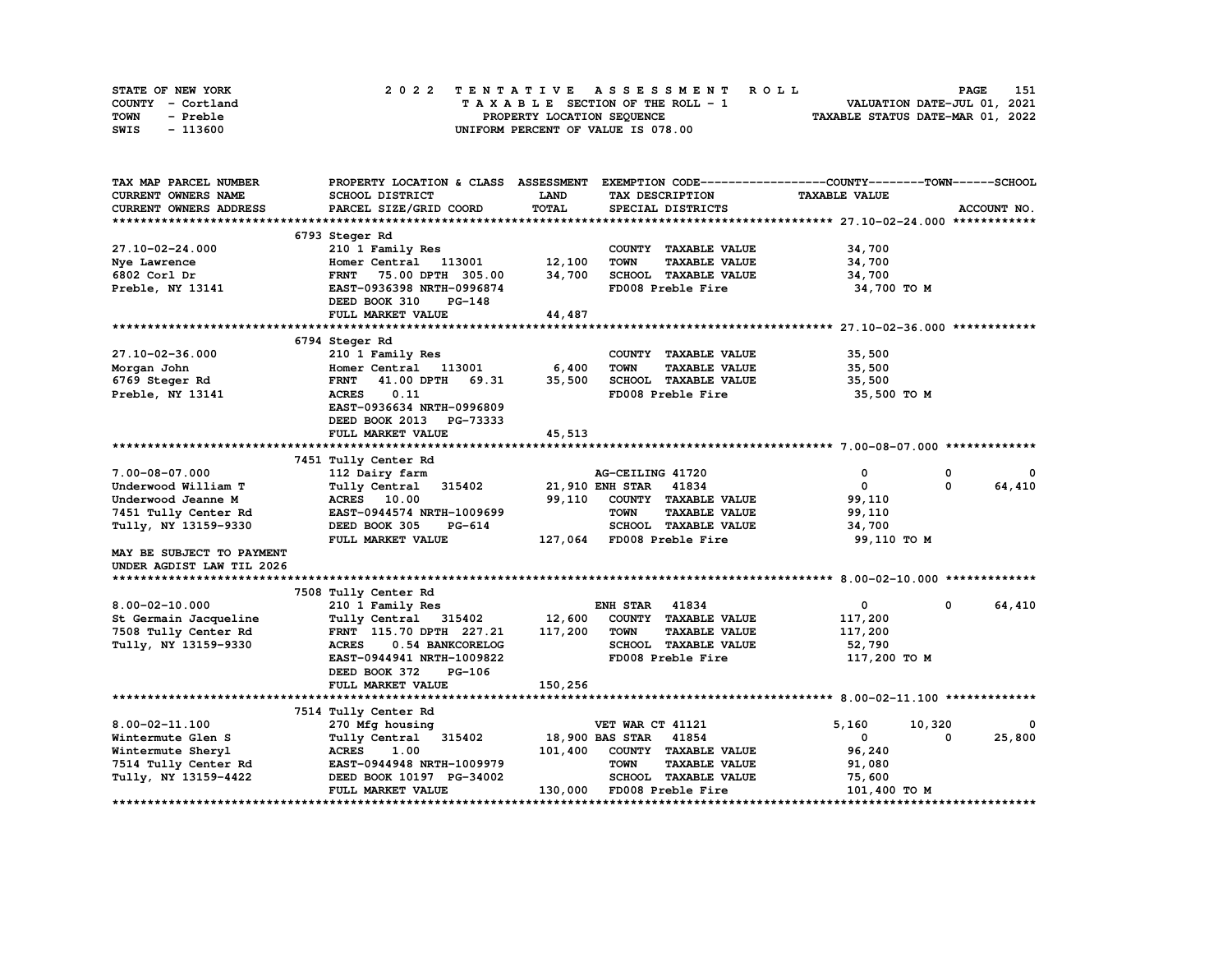| STATE OF NEW YORK | 2022 TENTATIVE ASSESSMENT ROLL     | 151<br><b>PAGE</b>               |
|-------------------|------------------------------------|----------------------------------|
| COUNTY - Cortland | TAXABLE SECTION OF THE ROLL - 1    | VALUATION DATE-JUL 01, 2021      |
| TOWN<br>- Preble  | PROPERTY LOCATION SEQUENCE         | TAXABLE STATUS DATE-MAR 01, 2022 |
| - 113600<br>SWIS  | UNIFORM PERCENT OF VALUE IS 078.00 |                                  |

| <b>TAXABLE VALUE</b><br><b>CURRENT OWNERS NAME</b><br>SCHOOL DISTRICT<br>LAND<br>TAX DESCRIPTION<br>TOTAL<br>CURRENT OWNERS ADDRESS<br>PARCEL SIZE/GRID COORD<br>SPECIAL DISTRICTS<br>ACCOUNT NO.<br>6793 Steger Rd<br>27.10-02-24.000<br>34,700<br>210 1 Family Res<br>COUNTY TAXABLE VALUE<br>12,100<br><b>TOWN</b><br>Homer Central 113001<br><b>TAXABLE VALUE</b><br>34,700<br>Nye Lawrence<br>34,700<br>6802 Corl Dr<br>75.00 DPTH 305.00<br>SCHOOL TAXABLE VALUE<br>34,700<br><b>FRNT</b><br>Preble, NY 13141<br>EAST-0936398 NRTH-0996874<br>FD008 Preble Fire<br>34,700 TO M<br>DEED BOOK 310<br><b>PG-148</b><br>44,487<br>FULL MARKET VALUE<br>6794 Steger Rd<br>27.10-02-36.000<br>210 1 Family Res<br>COUNTY TAXABLE VALUE<br>35,500<br>6,400<br><b>TAXABLE VALUE</b><br>Homer Central 113001<br><b>TOWN</b><br>35,500<br>Morgan John<br>6769 Steger Rd<br>41.00 DPTH 69.31<br>35,500<br>SCHOOL TAXABLE VALUE<br>35,500<br><b>FRNT</b><br>Preble, NY 13141<br><b>ACRES</b><br>FD008 Preble Fire<br>0.11<br>35,500 TO M<br>EAST-0936634 NRTH-0996809<br>DEED BOOK 2013 PG-73333<br>45,513<br>FULL MARKET VALUE<br>7451 Tully Center Rd<br>7.00-08-07.000<br>112 Dairy farm<br>AG-CEILING 41720<br>0<br>0<br>21,910 ENH STAR<br>Tully Central 315402<br>41834<br>0<br>0<br>64,410<br>Underwood William T<br><b>ACRES</b> 10.00<br>99,110<br>COUNTY TAXABLE VALUE<br>Underwood Jeanne M<br>99,110<br>EAST-0944574 NRTH-1009699<br>TOWN<br><b>TAXABLE VALUE</b><br>7451 Tully Center Rd<br>99,110<br>SCHOOL TAXABLE VALUE<br>Tully, NY 13159-9330<br>DEED BOOK 305<br>PG-614<br>34,700<br>127,064 FD008 Preble Fire<br>FULL MARKET VALUE<br>99,110 TO M<br>MAY BE SUBJECT TO PAYMENT<br>UNDER AGDIST LAW TIL 2026<br>7508 Tully Center Rd<br>0<br><b>ENH STAR 41834</b><br>$^{\circ}$<br>64,410<br>$8.00 - 02 - 10.000$<br>210 1 Family Res<br>12,600<br>COUNTY TAXABLE VALUE<br>St Germain Jacqueline<br>Tully Central 315402<br>117,200<br>FRNT 115.70 DPTH 227.21<br>117,200<br><b>TOWN</b><br><b>TAXABLE VALUE</b><br>7508 Tully Center Rd<br>117,200<br>Tully, NY 13159-9330<br>SCHOOL TAXABLE VALUE<br><b>ACRES</b><br>0.54 BANKCORELOG<br>52,790<br>FD008 Preble Fire<br>EAST-0944941 NRTH-1009822<br>117,200 TO M<br>DEED BOOK 372<br><b>PG-106</b><br>150,256<br>FULL MARKET VALUE<br>7514 Tully Center Rd<br>$8.00 - 02 - 11.100$<br>270 Mfg housing<br>VET WAR CT 41121<br>5,160<br>10,320<br>Tully Central 315402<br>18,900 BAS STAR 41854<br>$\mathbf 0$<br>25,800<br>Wintermute Glen S<br>0<br><b>ACRES</b><br>101,400<br>COUNTY TAXABLE VALUE<br>96,240<br>Wintermute Sheryl<br>1.00<br>EAST-0944948 NRTH-1009979<br><b>TOWN</b><br><b>TAXABLE VALUE</b><br>7514 Tully Center Rd<br>91,080<br>SCHOOL TAXABLE VALUE<br>Tully, NY 13159-4422<br>DEED BOOK 10197 PG-34002<br>75,600<br>130,000<br>FULL MARKET VALUE<br>FD008 Preble Fire<br>101,400 TO M | TAX MAP PARCEL NUMBER | PROPERTY LOCATION & CLASS ASSESSMENT |  | EXEMPTION CODE-----------------COUNTY-------TOWN------SCHOOL |  |
|------------------------------------------------------------------------------------------------------------------------------------------------------------------------------------------------------------------------------------------------------------------------------------------------------------------------------------------------------------------------------------------------------------------------------------------------------------------------------------------------------------------------------------------------------------------------------------------------------------------------------------------------------------------------------------------------------------------------------------------------------------------------------------------------------------------------------------------------------------------------------------------------------------------------------------------------------------------------------------------------------------------------------------------------------------------------------------------------------------------------------------------------------------------------------------------------------------------------------------------------------------------------------------------------------------------------------------------------------------------------------------------------------------------------------------------------------------------------------------------------------------------------------------------------------------------------------------------------------------------------------------------------------------------------------------------------------------------------------------------------------------------------------------------------------------------------------------------------------------------------------------------------------------------------------------------------------------------------------------------------------------------------------------------------------------------------------------------------------------------------------------------------------------------------------------------------------------------------------------------------------------------------------------------------------------------------------------------------------------------------------------------------------------------------------------------------------------------------------------------------------------------------------------------------------------------------------------------------------------------------------------------------------------------------------------------------------------------------------------------------------------------------------------------------------------------------------------------------------------------------------|-----------------------|--------------------------------------|--|--------------------------------------------------------------|--|
|                                                                                                                                                                                                                                                                                                                                                                                                                                                                                                                                                                                                                                                                                                                                                                                                                                                                                                                                                                                                                                                                                                                                                                                                                                                                                                                                                                                                                                                                                                                                                                                                                                                                                                                                                                                                                                                                                                                                                                                                                                                                                                                                                                                                                                                                                                                                                                                                                                                                                                                                                                                                                                                                                                                                                                                                                                                                              |                       |                                      |  |                                                              |  |
|                                                                                                                                                                                                                                                                                                                                                                                                                                                                                                                                                                                                                                                                                                                                                                                                                                                                                                                                                                                                                                                                                                                                                                                                                                                                                                                                                                                                                                                                                                                                                                                                                                                                                                                                                                                                                                                                                                                                                                                                                                                                                                                                                                                                                                                                                                                                                                                                                                                                                                                                                                                                                                                                                                                                                                                                                                                                              |                       |                                      |  |                                                              |  |
|                                                                                                                                                                                                                                                                                                                                                                                                                                                                                                                                                                                                                                                                                                                                                                                                                                                                                                                                                                                                                                                                                                                                                                                                                                                                                                                                                                                                                                                                                                                                                                                                                                                                                                                                                                                                                                                                                                                                                                                                                                                                                                                                                                                                                                                                                                                                                                                                                                                                                                                                                                                                                                                                                                                                                                                                                                                                              |                       |                                      |  |                                                              |  |
|                                                                                                                                                                                                                                                                                                                                                                                                                                                                                                                                                                                                                                                                                                                                                                                                                                                                                                                                                                                                                                                                                                                                                                                                                                                                                                                                                                                                                                                                                                                                                                                                                                                                                                                                                                                                                                                                                                                                                                                                                                                                                                                                                                                                                                                                                                                                                                                                                                                                                                                                                                                                                                                                                                                                                                                                                                                                              |                       |                                      |  |                                                              |  |
|                                                                                                                                                                                                                                                                                                                                                                                                                                                                                                                                                                                                                                                                                                                                                                                                                                                                                                                                                                                                                                                                                                                                                                                                                                                                                                                                                                                                                                                                                                                                                                                                                                                                                                                                                                                                                                                                                                                                                                                                                                                                                                                                                                                                                                                                                                                                                                                                                                                                                                                                                                                                                                                                                                                                                                                                                                                                              |                       |                                      |  |                                                              |  |
|                                                                                                                                                                                                                                                                                                                                                                                                                                                                                                                                                                                                                                                                                                                                                                                                                                                                                                                                                                                                                                                                                                                                                                                                                                                                                                                                                                                                                                                                                                                                                                                                                                                                                                                                                                                                                                                                                                                                                                                                                                                                                                                                                                                                                                                                                                                                                                                                                                                                                                                                                                                                                                                                                                                                                                                                                                                                              |                       |                                      |  |                                                              |  |
|                                                                                                                                                                                                                                                                                                                                                                                                                                                                                                                                                                                                                                                                                                                                                                                                                                                                                                                                                                                                                                                                                                                                                                                                                                                                                                                                                                                                                                                                                                                                                                                                                                                                                                                                                                                                                                                                                                                                                                                                                                                                                                                                                                                                                                                                                                                                                                                                                                                                                                                                                                                                                                                                                                                                                                                                                                                                              |                       |                                      |  |                                                              |  |
|                                                                                                                                                                                                                                                                                                                                                                                                                                                                                                                                                                                                                                                                                                                                                                                                                                                                                                                                                                                                                                                                                                                                                                                                                                                                                                                                                                                                                                                                                                                                                                                                                                                                                                                                                                                                                                                                                                                                                                                                                                                                                                                                                                                                                                                                                                                                                                                                                                                                                                                                                                                                                                                                                                                                                                                                                                                                              |                       |                                      |  |                                                              |  |
|                                                                                                                                                                                                                                                                                                                                                                                                                                                                                                                                                                                                                                                                                                                                                                                                                                                                                                                                                                                                                                                                                                                                                                                                                                                                                                                                                                                                                                                                                                                                                                                                                                                                                                                                                                                                                                                                                                                                                                                                                                                                                                                                                                                                                                                                                                                                                                                                                                                                                                                                                                                                                                                                                                                                                                                                                                                                              |                       |                                      |  |                                                              |  |
|                                                                                                                                                                                                                                                                                                                                                                                                                                                                                                                                                                                                                                                                                                                                                                                                                                                                                                                                                                                                                                                                                                                                                                                                                                                                                                                                                                                                                                                                                                                                                                                                                                                                                                                                                                                                                                                                                                                                                                                                                                                                                                                                                                                                                                                                                                                                                                                                                                                                                                                                                                                                                                                                                                                                                                                                                                                                              |                       |                                      |  |                                                              |  |
|                                                                                                                                                                                                                                                                                                                                                                                                                                                                                                                                                                                                                                                                                                                                                                                                                                                                                                                                                                                                                                                                                                                                                                                                                                                                                                                                                                                                                                                                                                                                                                                                                                                                                                                                                                                                                                                                                                                                                                                                                                                                                                                                                                                                                                                                                                                                                                                                                                                                                                                                                                                                                                                                                                                                                                                                                                                                              |                       |                                      |  |                                                              |  |
|                                                                                                                                                                                                                                                                                                                                                                                                                                                                                                                                                                                                                                                                                                                                                                                                                                                                                                                                                                                                                                                                                                                                                                                                                                                                                                                                                                                                                                                                                                                                                                                                                                                                                                                                                                                                                                                                                                                                                                                                                                                                                                                                                                                                                                                                                                                                                                                                                                                                                                                                                                                                                                                                                                                                                                                                                                                                              |                       |                                      |  |                                                              |  |
|                                                                                                                                                                                                                                                                                                                                                                                                                                                                                                                                                                                                                                                                                                                                                                                                                                                                                                                                                                                                                                                                                                                                                                                                                                                                                                                                                                                                                                                                                                                                                                                                                                                                                                                                                                                                                                                                                                                                                                                                                                                                                                                                                                                                                                                                                                                                                                                                                                                                                                                                                                                                                                                                                                                                                                                                                                                                              |                       |                                      |  |                                                              |  |
|                                                                                                                                                                                                                                                                                                                                                                                                                                                                                                                                                                                                                                                                                                                                                                                                                                                                                                                                                                                                                                                                                                                                                                                                                                                                                                                                                                                                                                                                                                                                                                                                                                                                                                                                                                                                                                                                                                                                                                                                                                                                                                                                                                                                                                                                                                                                                                                                                                                                                                                                                                                                                                                                                                                                                                                                                                                                              |                       |                                      |  |                                                              |  |
|                                                                                                                                                                                                                                                                                                                                                                                                                                                                                                                                                                                                                                                                                                                                                                                                                                                                                                                                                                                                                                                                                                                                                                                                                                                                                                                                                                                                                                                                                                                                                                                                                                                                                                                                                                                                                                                                                                                                                                                                                                                                                                                                                                                                                                                                                                                                                                                                                                                                                                                                                                                                                                                                                                                                                                                                                                                                              |                       |                                      |  |                                                              |  |
|                                                                                                                                                                                                                                                                                                                                                                                                                                                                                                                                                                                                                                                                                                                                                                                                                                                                                                                                                                                                                                                                                                                                                                                                                                                                                                                                                                                                                                                                                                                                                                                                                                                                                                                                                                                                                                                                                                                                                                                                                                                                                                                                                                                                                                                                                                                                                                                                                                                                                                                                                                                                                                                                                                                                                                                                                                                                              |                       |                                      |  |                                                              |  |
|                                                                                                                                                                                                                                                                                                                                                                                                                                                                                                                                                                                                                                                                                                                                                                                                                                                                                                                                                                                                                                                                                                                                                                                                                                                                                                                                                                                                                                                                                                                                                                                                                                                                                                                                                                                                                                                                                                                                                                                                                                                                                                                                                                                                                                                                                                                                                                                                                                                                                                                                                                                                                                                                                                                                                                                                                                                                              |                       |                                      |  |                                                              |  |
|                                                                                                                                                                                                                                                                                                                                                                                                                                                                                                                                                                                                                                                                                                                                                                                                                                                                                                                                                                                                                                                                                                                                                                                                                                                                                                                                                                                                                                                                                                                                                                                                                                                                                                                                                                                                                                                                                                                                                                                                                                                                                                                                                                                                                                                                                                                                                                                                                                                                                                                                                                                                                                                                                                                                                                                                                                                                              |                       |                                      |  |                                                              |  |
|                                                                                                                                                                                                                                                                                                                                                                                                                                                                                                                                                                                                                                                                                                                                                                                                                                                                                                                                                                                                                                                                                                                                                                                                                                                                                                                                                                                                                                                                                                                                                                                                                                                                                                                                                                                                                                                                                                                                                                                                                                                                                                                                                                                                                                                                                                                                                                                                                                                                                                                                                                                                                                                                                                                                                                                                                                                                              |                       |                                      |  |                                                              |  |
|                                                                                                                                                                                                                                                                                                                                                                                                                                                                                                                                                                                                                                                                                                                                                                                                                                                                                                                                                                                                                                                                                                                                                                                                                                                                                                                                                                                                                                                                                                                                                                                                                                                                                                                                                                                                                                                                                                                                                                                                                                                                                                                                                                                                                                                                                                                                                                                                                                                                                                                                                                                                                                                                                                                                                                                                                                                                              |                       |                                      |  |                                                              |  |
|                                                                                                                                                                                                                                                                                                                                                                                                                                                                                                                                                                                                                                                                                                                                                                                                                                                                                                                                                                                                                                                                                                                                                                                                                                                                                                                                                                                                                                                                                                                                                                                                                                                                                                                                                                                                                                                                                                                                                                                                                                                                                                                                                                                                                                                                                                                                                                                                                                                                                                                                                                                                                                                                                                                                                                                                                                                                              |                       |                                      |  |                                                              |  |
|                                                                                                                                                                                                                                                                                                                                                                                                                                                                                                                                                                                                                                                                                                                                                                                                                                                                                                                                                                                                                                                                                                                                                                                                                                                                                                                                                                                                                                                                                                                                                                                                                                                                                                                                                                                                                                                                                                                                                                                                                                                                                                                                                                                                                                                                                                                                                                                                                                                                                                                                                                                                                                                                                                                                                                                                                                                                              |                       |                                      |  |                                                              |  |
|                                                                                                                                                                                                                                                                                                                                                                                                                                                                                                                                                                                                                                                                                                                                                                                                                                                                                                                                                                                                                                                                                                                                                                                                                                                                                                                                                                                                                                                                                                                                                                                                                                                                                                                                                                                                                                                                                                                                                                                                                                                                                                                                                                                                                                                                                                                                                                                                                                                                                                                                                                                                                                                                                                                                                                                                                                                                              |                       |                                      |  |                                                              |  |
|                                                                                                                                                                                                                                                                                                                                                                                                                                                                                                                                                                                                                                                                                                                                                                                                                                                                                                                                                                                                                                                                                                                                                                                                                                                                                                                                                                                                                                                                                                                                                                                                                                                                                                                                                                                                                                                                                                                                                                                                                                                                                                                                                                                                                                                                                                                                                                                                                                                                                                                                                                                                                                                                                                                                                                                                                                                                              |                       |                                      |  |                                                              |  |
|                                                                                                                                                                                                                                                                                                                                                                                                                                                                                                                                                                                                                                                                                                                                                                                                                                                                                                                                                                                                                                                                                                                                                                                                                                                                                                                                                                                                                                                                                                                                                                                                                                                                                                                                                                                                                                                                                                                                                                                                                                                                                                                                                                                                                                                                                                                                                                                                                                                                                                                                                                                                                                                                                                                                                                                                                                                                              |                       |                                      |  |                                                              |  |
|                                                                                                                                                                                                                                                                                                                                                                                                                                                                                                                                                                                                                                                                                                                                                                                                                                                                                                                                                                                                                                                                                                                                                                                                                                                                                                                                                                                                                                                                                                                                                                                                                                                                                                                                                                                                                                                                                                                                                                                                                                                                                                                                                                                                                                                                                                                                                                                                                                                                                                                                                                                                                                                                                                                                                                                                                                                                              |                       |                                      |  |                                                              |  |
|                                                                                                                                                                                                                                                                                                                                                                                                                                                                                                                                                                                                                                                                                                                                                                                                                                                                                                                                                                                                                                                                                                                                                                                                                                                                                                                                                                                                                                                                                                                                                                                                                                                                                                                                                                                                                                                                                                                                                                                                                                                                                                                                                                                                                                                                                                                                                                                                                                                                                                                                                                                                                                                                                                                                                                                                                                                                              |                       |                                      |  |                                                              |  |
|                                                                                                                                                                                                                                                                                                                                                                                                                                                                                                                                                                                                                                                                                                                                                                                                                                                                                                                                                                                                                                                                                                                                                                                                                                                                                                                                                                                                                                                                                                                                                                                                                                                                                                                                                                                                                                                                                                                                                                                                                                                                                                                                                                                                                                                                                                                                                                                                                                                                                                                                                                                                                                                                                                                                                                                                                                                                              |                       |                                      |  |                                                              |  |
|                                                                                                                                                                                                                                                                                                                                                                                                                                                                                                                                                                                                                                                                                                                                                                                                                                                                                                                                                                                                                                                                                                                                                                                                                                                                                                                                                                                                                                                                                                                                                                                                                                                                                                                                                                                                                                                                                                                                                                                                                                                                                                                                                                                                                                                                                                                                                                                                                                                                                                                                                                                                                                                                                                                                                                                                                                                                              |                       |                                      |  |                                                              |  |
|                                                                                                                                                                                                                                                                                                                                                                                                                                                                                                                                                                                                                                                                                                                                                                                                                                                                                                                                                                                                                                                                                                                                                                                                                                                                                                                                                                                                                                                                                                                                                                                                                                                                                                                                                                                                                                                                                                                                                                                                                                                                                                                                                                                                                                                                                                                                                                                                                                                                                                                                                                                                                                                                                                                                                                                                                                                                              |                       |                                      |  |                                                              |  |
|                                                                                                                                                                                                                                                                                                                                                                                                                                                                                                                                                                                                                                                                                                                                                                                                                                                                                                                                                                                                                                                                                                                                                                                                                                                                                                                                                                                                                                                                                                                                                                                                                                                                                                                                                                                                                                                                                                                                                                                                                                                                                                                                                                                                                                                                                                                                                                                                                                                                                                                                                                                                                                                                                                                                                                                                                                                                              |                       |                                      |  |                                                              |  |
|                                                                                                                                                                                                                                                                                                                                                                                                                                                                                                                                                                                                                                                                                                                                                                                                                                                                                                                                                                                                                                                                                                                                                                                                                                                                                                                                                                                                                                                                                                                                                                                                                                                                                                                                                                                                                                                                                                                                                                                                                                                                                                                                                                                                                                                                                                                                                                                                                                                                                                                                                                                                                                                                                                                                                                                                                                                                              |                       |                                      |  |                                                              |  |
|                                                                                                                                                                                                                                                                                                                                                                                                                                                                                                                                                                                                                                                                                                                                                                                                                                                                                                                                                                                                                                                                                                                                                                                                                                                                                                                                                                                                                                                                                                                                                                                                                                                                                                                                                                                                                                                                                                                                                                                                                                                                                                                                                                                                                                                                                                                                                                                                                                                                                                                                                                                                                                                                                                                                                                                                                                                                              |                       |                                      |  |                                                              |  |
|                                                                                                                                                                                                                                                                                                                                                                                                                                                                                                                                                                                                                                                                                                                                                                                                                                                                                                                                                                                                                                                                                                                                                                                                                                                                                                                                                                                                                                                                                                                                                                                                                                                                                                                                                                                                                                                                                                                                                                                                                                                                                                                                                                                                                                                                                                                                                                                                                                                                                                                                                                                                                                                                                                                                                                                                                                                                              |                       |                                      |  |                                                              |  |
|                                                                                                                                                                                                                                                                                                                                                                                                                                                                                                                                                                                                                                                                                                                                                                                                                                                                                                                                                                                                                                                                                                                                                                                                                                                                                                                                                                                                                                                                                                                                                                                                                                                                                                                                                                                                                                                                                                                                                                                                                                                                                                                                                                                                                                                                                                                                                                                                                                                                                                                                                                                                                                                                                                                                                                                                                                                                              |                       |                                      |  |                                                              |  |
|                                                                                                                                                                                                                                                                                                                                                                                                                                                                                                                                                                                                                                                                                                                                                                                                                                                                                                                                                                                                                                                                                                                                                                                                                                                                                                                                                                                                                                                                                                                                                                                                                                                                                                                                                                                                                                                                                                                                                                                                                                                                                                                                                                                                                                                                                                                                                                                                                                                                                                                                                                                                                                                                                                                                                                                                                                                                              |                       |                                      |  |                                                              |  |
|                                                                                                                                                                                                                                                                                                                                                                                                                                                                                                                                                                                                                                                                                                                                                                                                                                                                                                                                                                                                                                                                                                                                                                                                                                                                                                                                                                                                                                                                                                                                                                                                                                                                                                                                                                                                                                                                                                                                                                                                                                                                                                                                                                                                                                                                                                                                                                                                                                                                                                                                                                                                                                                                                                                                                                                                                                                                              |                       |                                      |  |                                                              |  |
|                                                                                                                                                                                                                                                                                                                                                                                                                                                                                                                                                                                                                                                                                                                                                                                                                                                                                                                                                                                                                                                                                                                                                                                                                                                                                                                                                                                                                                                                                                                                                                                                                                                                                                                                                                                                                                                                                                                                                                                                                                                                                                                                                                                                                                                                                                                                                                                                                                                                                                                                                                                                                                                                                                                                                                                                                                                                              |                       |                                      |  |                                                              |  |
|                                                                                                                                                                                                                                                                                                                                                                                                                                                                                                                                                                                                                                                                                                                                                                                                                                                                                                                                                                                                                                                                                                                                                                                                                                                                                                                                                                                                                                                                                                                                                                                                                                                                                                                                                                                                                                                                                                                                                                                                                                                                                                                                                                                                                                                                                                                                                                                                                                                                                                                                                                                                                                                                                                                                                                                                                                                                              |                       |                                      |  |                                                              |  |
|                                                                                                                                                                                                                                                                                                                                                                                                                                                                                                                                                                                                                                                                                                                                                                                                                                                                                                                                                                                                                                                                                                                                                                                                                                                                                                                                                                                                                                                                                                                                                                                                                                                                                                                                                                                                                                                                                                                                                                                                                                                                                                                                                                                                                                                                                                                                                                                                                                                                                                                                                                                                                                                                                                                                                                                                                                                                              |                       |                                      |  |                                                              |  |
|                                                                                                                                                                                                                                                                                                                                                                                                                                                                                                                                                                                                                                                                                                                                                                                                                                                                                                                                                                                                                                                                                                                                                                                                                                                                                                                                                                                                                                                                                                                                                                                                                                                                                                                                                                                                                                                                                                                                                                                                                                                                                                                                                                                                                                                                                                                                                                                                                                                                                                                                                                                                                                                                                                                                                                                                                                                                              |                       |                                      |  |                                                              |  |
|                                                                                                                                                                                                                                                                                                                                                                                                                                                                                                                                                                                                                                                                                                                                                                                                                                                                                                                                                                                                                                                                                                                                                                                                                                                                                                                                                                                                                                                                                                                                                                                                                                                                                                                                                                                                                                                                                                                                                                                                                                                                                                                                                                                                                                                                                                                                                                                                                                                                                                                                                                                                                                                                                                                                                                                                                                                                              |                       |                                      |  |                                                              |  |
|                                                                                                                                                                                                                                                                                                                                                                                                                                                                                                                                                                                                                                                                                                                                                                                                                                                                                                                                                                                                                                                                                                                                                                                                                                                                                                                                                                                                                                                                                                                                                                                                                                                                                                                                                                                                                                                                                                                                                                                                                                                                                                                                                                                                                                                                                                                                                                                                                                                                                                                                                                                                                                                                                                                                                                                                                                                                              |                       |                                      |  |                                                              |  |
|                                                                                                                                                                                                                                                                                                                                                                                                                                                                                                                                                                                                                                                                                                                                                                                                                                                                                                                                                                                                                                                                                                                                                                                                                                                                                                                                                                                                                                                                                                                                                                                                                                                                                                                                                                                                                                                                                                                                                                                                                                                                                                                                                                                                                                                                                                                                                                                                                                                                                                                                                                                                                                                                                                                                                                                                                                                                              |                       |                                      |  |                                                              |  |
|                                                                                                                                                                                                                                                                                                                                                                                                                                                                                                                                                                                                                                                                                                                                                                                                                                                                                                                                                                                                                                                                                                                                                                                                                                                                                                                                                                                                                                                                                                                                                                                                                                                                                                                                                                                                                                                                                                                                                                                                                                                                                                                                                                                                                                                                                                                                                                                                                                                                                                                                                                                                                                                                                                                                                                                                                                                                              |                       |                                      |  |                                                              |  |
|                                                                                                                                                                                                                                                                                                                                                                                                                                                                                                                                                                                                                                                                                                                                                                                                                                                                                                                                                                                                                                                                                                                                                                                                                                                                                                                                                                                                                                                                                                                                                                                                                                                                                                                                                                                                                                                                                                                                                                                                                                                                                                                                                                                                                                                                                                                                                                                                                                                                                                                                                                                                                                                                                                                                                                                                                                                                              |                       |                                      |  |                                                              |  |
|                                                                                                                                                                                                                                                                                                                                                                                                                                                                                                                                                                                                                                                                                                                                                                                                                                                                                                                                                                                                                                                                                                                                                                                                                                                                                                                                                                                                                                                                                                                                                                                                                                                                                                                                                                                                                                                                                                                                                                                                                                                                                                                                                                                                                                                                                                                                                                                                                                                                                                                                                                                                                                                                                                                                                                                                                                                                              |                       |                                      |  |                                                              |  |
|                                                                                                                                                                                                                                                                                                                                                                                                                                                                                                                                                                                                                                                                                                                                                                                                                                                                                                                                                                                                                                                                                                                                                                                                                                                                                                                                                                                                                                                                                                                                                                                                                                                                                                                                                                                                                                                                                                                                                                                                                                                                                                                                                                                                                                                                                                                                                                                                                                                                                                                                                                                                                                                                                                                                                                                                                                                                              |                       |                                      |  |                                                              |  |
|                                                                                                                                                                                                                                                                                                                                                                                                                                                                                                                                                                                                                                                                                                                                                                                                                                                                                                                                                                                                                                                                                                                                                                                                                                                                                                                                                                                                                                                                                                                                                                                                                                                                                                                                                                                                                                                                                                                                                                                                                                                                                                                                                                                                                                                                                                                                                                                                                                                                                                                                                                                                                                                                                                                                                                                                                                                                              |                       |                                      |  |                                                              |  |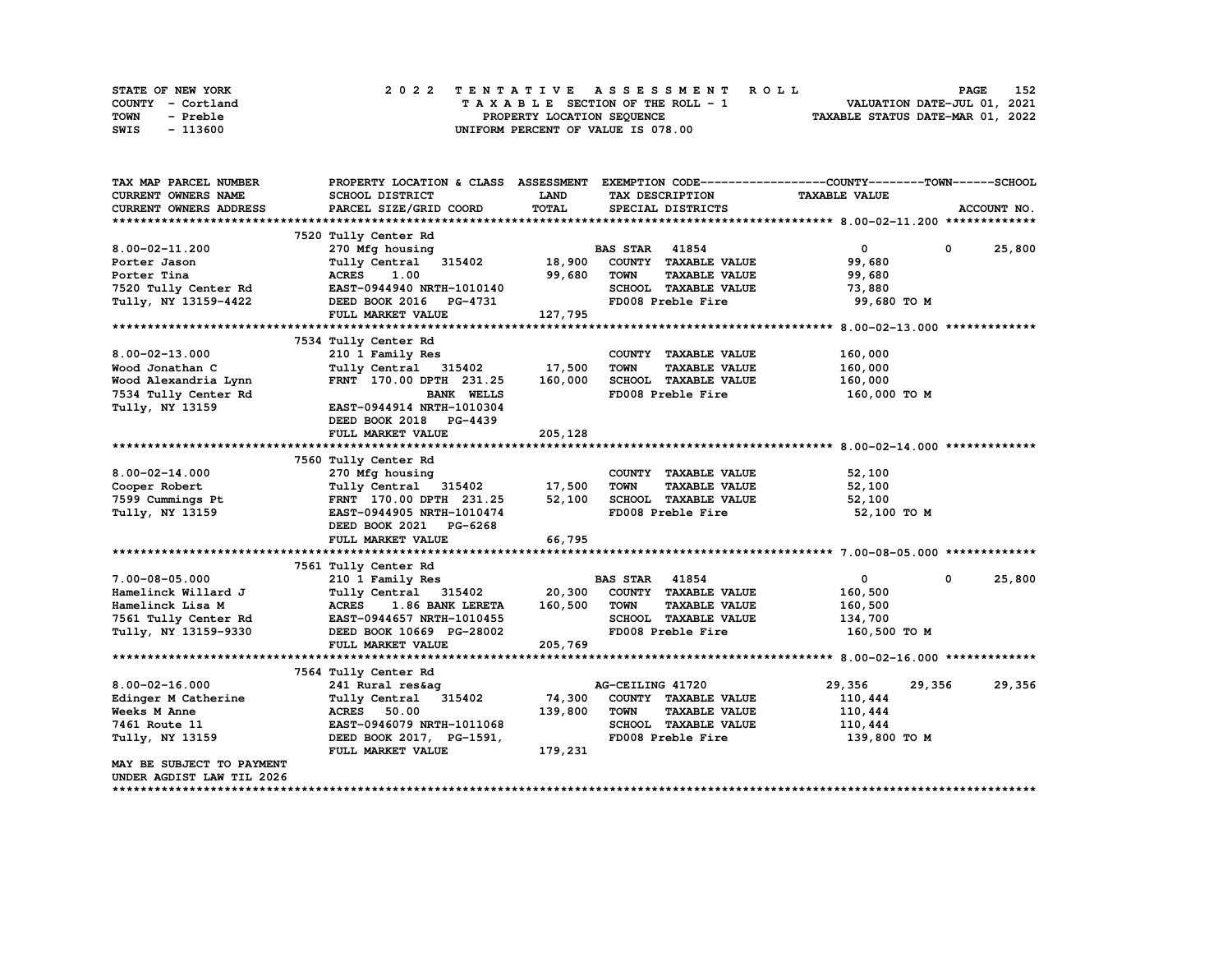| STATE OF NEW YORK | 2022 TENTATIVE ASSESSMENT ROLL     | 152<br><b>PAGE</b>               |
|-------------------|------------------------------------|----------------------------------|
| COUNTY - Cortland | TAXABLE SECTION OF THE ROLL - 1    | VALUATION DATE-JUL 01, 2021      |
| TOWN<br>- Preble  | PROPERTY LOCATION SEQUENCE         | TAXABLE STATUS DATE-MAR 01, 2022 |
| - 113600<br>SWIS  | UNIFORM PERCENT OF VALUE IS 078.00 |                                  |

| TAX MAP PARCEL NUMBER         |                                         |         |                                     | PROPERTY LOCATION & CLASS ASSESSMENT EXEMPTION CODE----------------COUNTY-------TOWN-----SCHOOL |             |
|-------------------------------|-----------------------------------------|---------|-------------------------------------|-------------------------------------------------------------------------------------------------|-------------|
| CURRENT OWNERS NAME           | SCHOOL DISTRICT                         | LAND    | TAX DESCRIPTION                     | <b>TAXABLE VALUE</b>                                                                            |             |
| <b>CURRENT OWNERS ADDRESS</b> | PARCEL SIZE/GRID COORD                  | TOTAL   | SPECIAL DISTRICTS                   |                                                                                                 | ACCOUNT NO. |
|                               |                                         |         |                                     |                                                                                                 |             |
|                               | 7520 Tully Center Rd                    |         |                                     |                                                                                                 |             |
| $8.00 - 02 - 11.200$          | 270 Mfg housing                         |         | <b>BAS STAR</b> 41854               | $\mathbf{0}$<br>$\mathbf{0}$                                                                    | 25,800      |
| Porter Jason                  | Tully Central 315402                    | 18,900  | COUNTY TAXABLE VALUE                | 99,680                                                                                          |             |
| Porter Tina                   | <b>ACRES</b><br>1.00                    | 99,680  | <b>TOWN</b><br><b>TAXABLE VALUE</b> | 99,680                                                                                          |             |
| 7520 Tully Center Rd          | EAST-0944940 NRTH-1010140               |         | SCHOOL TAXABLE VALUE                | 73,880                                                                                          |             |
| Tully, NY 13159-4422          | DEED BOOK 2016 PG-4731                  |         | FD008 Preble Fire                   | 99,680 TO M                                                                                     |             |
|                               | FULL MARKET VALUE                       | 127,795 |                                     |                                                                                                 |             |
|                               |                                         |         |                                     |                                                                                                 |             |
|                               | 7534 Tully Center Rd                    |         |                                     |                                                                                                 |             |
| $8.00 - 02 - 13.000$          | 210 1 Family Res                        |         | COUNTY TAXABLE VALUE                | 160,000                                                                                         |             |
| Wood Jonathan C               | Tully Central 315402                    | 17,500  | <b>TOWN</b><br><b>TAXABLE VALUE</b> | 160,000                                                                                         |             |
| Wood Alexandria Lynn          | FRNT 170.00 DPTH 231.25                 | 160,000 | SCHOOL TAXABLE VALUE                | 160,000                                                                                         |             |
| 7534 Tully Center Rd          | <b>BANK WELLS</b>                       |         | FD008 Preble Fire                   | 160,000 то м                                                                                    |             |
| Tully, NY 13159               | EAST-0944914 NRTH-1010304               |         |                                     |                                                                                                 |             |
|                               | DEED BOOK 2018 PG-4439                  |         |                                     |                                                                                                 |             |
|                               | FULL MARKET VALUE                       | 205,128 |                                     |                                                                                                 |             |
|                               |                                         |         |                                     |                                                                                                 |             |
|                               | 7560 Tully Center Rd                    |         |                                     |                                                                                                 |             |
| $8.00 - 02 - 14.000$          | 270 Mfg housing                         |         | COUNTY TAXABLE VALUE                | 52,100                                                                                          |             |
| Cooper Robert                 | Tully Central 315402                    | 17,500  | <b>TOWN</b><br><b>TAXABLE VALUE</b> | 52,100                                                                                          |             |
| 7599 Cummings Pt              | FRNT 170.00 DPTH 231.25                 | 52,100  | SCHOOL TAXABLE VALUE                | 52,100                                                                                          |             |
| Tully, NY 13159               | EAST-0944905 NRTH-1010474               |         | FD008 Preble Fire                   | 52,100 TO M                                                                                     |             |
|                               | DEED BOOK 2021 PG-6268                  |         |                                     |                                                                                                 |             |
|                               | FULL MARKET VALUE                       | 66,795  |                                     |                                                                                                 |             |
|                               |                                         |         |                                     |                                                                                                 |             |
|                               | 7561 Tully Center Rd                    |         |                                     |                                                                                                 |             |
| $7.00 - 08 - 05.000$          | 210 1 Family Res                        |         | <b>BAS STAR 41854</b>               | $^{\circ}$<br>$^{\circ}$                                                                        | 25,800      |
| Hamelinck Willard J           | Tully Central 315402                    | 20,300  | COUNTY TAXABLE VALUE                | 160,500                                                                                         |             |
| Hamelinck Lisa M              | <b>ACRES</b><br><b>1.86 BANK LERETA</b> | 160,500 | <b>TOWN</b><br><b>TAXABLE VALUE</b> | 160,500                                                                                         |             |
| 7561 Tully Center Rd          | EAST-0944657 NRTH-1010455               |         | SCHOOL TAXABLE VALUE                | 134,700                                                                                         |             |
| Tully, NY 13159-9330          | DEED BOOK 10669 PG-28002                |         | FD008 Preble Fire                   | 160,500 TO M                                                                                    |             |
|                               | FULL MARKET VALUE                       | 205,769 |                                     |                                                                                                 |             |
|                               |                                         |         |                                     |                                                                                                 |             |
|                               | 7564 Tully Center Rd                    |         |                                     |                                                                                                 |             |
| $8.00 - 02 - 16.000$          | 241 Rural res&aq                        |         | AG-CEILING 41720                    | 29,356<br>29,356                                                                                | 29,356      |
| Edinger M Catherine           | Tully Central 315402                    | 74,300  | COUNTY TAXABLE VALUE                | 110,444                                                                                         |             |
| Weeks M Anne                  | <b>ACRES</b> 50.00                      | 139,800 | <b>TOWN</b><br><b>TAXABLE VALUE</b> | 110,444                                                                                         |             |
| 7461 Route 11                 | EAST-0946079 NRTH-1011068               |         | SCHOOL TAXABLE VALUE                | 110,444                                                                                         |             |
| Tully, NY 13159               | DEED BOOK 2017, PG-1591,                |         | FD008 Preble Fire                   | 139,800 то м                                                                                    |             |
|                               | FULL MARKET VALUE                       | 179,231 |                                     |                                                                                                 |             |
| MAY BE SUBJECT TO PAYMENT     |                                         |         |                                     |                                                                                                 |             |
| UNDER AGDIST LAW TIL 2026     |                                         |         |                                     |                                                                                                 |             |
|                               |                                         |         |                                     |                                                                                                 |             |

**\*\*\*\*\*\*\*\*\*\*\*\*\*\*\*\*\*\*\*\*\*\*\*\*\*\*\*\*\*\*\*\*\*\*\*\*\*\*\*\*\*\*\*\*\*\*\*\*\*\*\*\*\*\*\*\*\*\*\*\*\*\*\*\*\*\*\*\*\*\*\*\*\*\*\*\*\*\*\*\*\*\*\*\*\*\*\*\*\*\*\*\*\*\*\*\*\*\*\*\*\*\*\*\*\*\*\*\*\*\*\*\*\*\*\*\*\*\*\*\*\*\*\*\*\*\*\*\*\*\*\*\***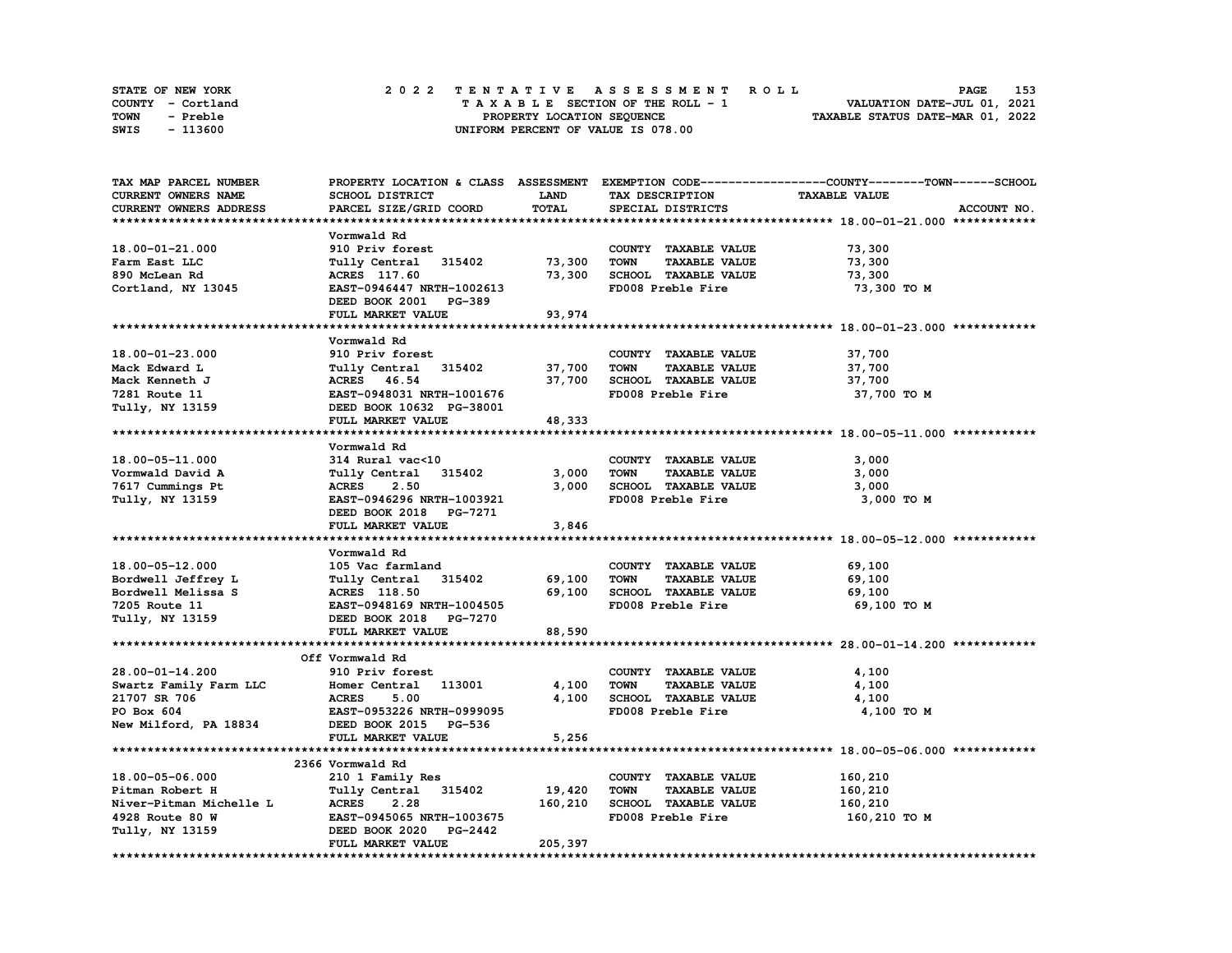| STATE OF NEW YORK | 2022 TENTATIVE ASSESSMENT ROLL     | 153<br><b>PAGE</b>               |
|-------------------|------------------------------------|----------------------------------|
| COUNTY - Cortland | TAXABLE SECTION OF THE ROLL - 1    | VALUATION DATE-JUL 01, 2021      |
| TOWN<br>- Preble  | PROPERTY LOCATION SEOUENCE         | TAXABLE STATUS DATE-MAR 01, 2022 |
| - 113600<br>SWIS  | UNIFORM PERCENT OF VALUE IS 078.00 |                                  |

| TAX MAP PARCEL NUMBER   |                                                       |             |                                     | PROPERTY LOCATION & CLASS ASSESSMENT EXEMPTION CODE-----------------COUNTY-------TOWN-----SCHOOL |
|-------------------------|-------------------------------------------------------|-------------|-------------------------------------|--------------------------------------------------------------------------------------------------|
| CURRENT OWNERS NAME     | SCHOOL DISTRICT                                       | <b>LAND</b> | TAX DESCRIPTION                     | <b>TAXABLE VALUE</b>                                                                             |
| CURRENT OWNERS ADDRESS  | PARCEL SIZE/GRID COORD                                | TOTAL       | SPECIAL DISTRICTS                   | ACCOUNT NO.                                                                                      |
|                         |                                                       |             |                                     |                                                                                                  |
|                         | Vormwald Rd                                           |             |                                     |                                                                                                  |
| 18.00-01-21.000         | 910 Priv forest                                       |             | COUNTY TAXABLE VALUE                | 73,300                                                                                           |
| Farm East LLC           | Tully Central 315402                                  | 73,300      | TOWN<br><b>TAXABLE VALUE</b>        | 73,300                                                                                           |
|                         |                                                       |             |                                     |                                                                                                  |
| 890 McLean Rd           | ACRES 117.60                                          | 73,300      | SCHOOL TAXABLE VALUE                | 73,300                                                                                           |
| Cortland, NY 13045      | EAST-0946447 NRTH-1002613                             |             | FD008 Preble Fire                   | 73,300 TO M                                                                                      |
|                         | DEED BOOK 2001 PG-389                                 |             |                                     |                                                                                                  |
|                         | FULL MARKET VALUE                                     | 93,974      |                                     |                                                                                                  |
|                         |                                                       |             |                                     |                                                                                                  |
|                         | Vormwald Rd                                           |             |                                     |                                                                                                  |
| 18.00-01-23.000         | 910 Priv forest                                       |             | COUNTY TAXABLE VALUE                | 37,700                                                                                           |
| Mack Edward L           | Tully Central 315402                                  | 37,700      | <b>TOWN</b><br><b>TAXABLE VALUE</b> | 37,700                                                                                           |
| Mack Kenneth J          | ACRES 46.54                                           | 37,700      | SCHOOL TAXABLE VALUE                | 37,700                                                                                           |
| 7281 Route 11           | EAST-0948031 NRTH-1001676                             |             | FD008 Preble Fire                   | 37,700 TO M                                                                                      |
| Tully, NY 13159         | DEED BOOK 10632 PG-38001                              |             |                                     |                                                                                                  |
|                         | FULL MARKET VALUE                                     | 48,333      |                                     |                                                                                                  |
|                         |                                                       |             |                                     |                                                                                                  |
|                         | Vormwald Rd                                           |             |                                     |                                                                                                  |
|                         |                                                       |             |                                     |                                                                                                  |
| 18.00-05-11.000         | 314 Rural vac<10                                      |             | COUNTY TAXABLE VALUE                | 3,000                                                                                            |
| Vormwald David A        | Tully Central 315402                                  | 3,000       | <b>TOWN</b><br><b>TAXABLE VALUE</b> | 3,000                                                                                            |
| 7617 Cummings Pt        | <b>ACRES</b><br>2.50                                  | 3,000       | SCHOOL TAXABLE VALUE                | 3,000                                                                                            |
| Tully, NY 13159         | EAST-0946296 NRTH-1003921                             |             | FD008 Preble Fire                   | 3,000 TO M                                                                                       |
|                         | DEED BOOK 2018 PG-7271                                |             |                                     |                                                                                                  |
|                         | FULL MARKET VALUE                                     | 3,846       |                                     |                                                                                                  |
|                         |                                                       |             |                                     |                                                                                                  |
|                         | Vormwald Rd                                           |             |                                     |                                                                                                  |
| 18.00-05-12.000         | 105 Vac farmland                                      |             | COUNTY TAXABLE VALUE                | 69,100                                                                                           |
| Bordwell Jeffrey L      | Tully Central 315402<br>Tully Central<br>ACRES 118.50 | 69,100      | <b>TAXABLE VALUE</b><br>TOWN        | 69,100                                                                                           |
| Bordwell Melissa S      |                                                       | 69,100      | SCHOOL TAXABLE VALUE                | 69,100                                                                                           |
| 7205 Route 11           | EAST-0948169 NRTH-1004505                             |             | FD008 Preble Fire                   | 69,100 TO M                                                                                      |
| Tully, NY 13159         | DEED BOOK 2018 PG-7270                                |             |                                     |                                                                                                  |
|                         |                                                       |             |                                     |                                                                                                  |
|                         | FULL MARKET VALUE                                     | 88,590      |                                     |                                                                                                  |
|                         |                                                       |             |                                     |                                                                                                  |
|                         | Off Vormwald Rd                                       |             |                                     |                                                                                                  |
| 28.00-01-14.200         | 910 Priv forest                                       |             | COUNTY TAXABLE VALUE                | 4,100                                                                                            |
| Swartz Family Farm LLC  | Homer Central 113001                                  | 4,100       | <b>TOWN</b><br><b>TAXABLE VALUE</b> | 4,100                                                                                            |
| 21707 SR 706            | <b>ACRES</b><br>5.00                                  | 4,100       | SCHOOL TAXABLE VALUE                | 4,100                                                                                            |
| PO Box 604              | EAST-0953226 NRTH-0999095                             |             | FD008 Preble Fire                   | 4,100 TO M                                                                                       |
| New Milford, PA 18834   | DEED BOOK 2015 PG-536                                 |             |                                     |                                                                                                  |
|                         | FULL MARKET VALUE                                     | 5,256       |                                     |                                                                                                  |
|                         |                                                       |             |                                     |                                                                                                  |
|                         | 2366 Vormwald Rd                                      |             |                                     |                                                                                                  |
| 18.00-05-06.000         | 210 1 Family Res                                      |             | COUNTY TAXABLE VALUE                | 160,210                                                                                          |
| Pitman Robert H         | Tully Central 315402                                  | 19,420      | <b>TOWN</b><br><b>TAXABLE VALUE</b> | 160,210                                                                                          |
|                         | <b>ACRES</b><br>2.28                                  | 160,210     | SCHOOL TAXABLE VALUE                |                                                                                                  |
| Niver-Pitman Michelle L |                                                       |             |                                     | 160,210                                                                                          |
| 4928 Route 80 W         | EAST-0945065 NRTH-1003675                             |             | FD008 Preble Fire                   | 160,210 то м                                                                                     |
| Tully, NY 13159         | DEED BOOK 2020 PG-2442                                |             |                                     |                                                                                                  |
|                         | FULL MARKET VALUE                                     | 205,397     |                                     |                                                                                                  |
|                         |                                                       |             |                                     |                                                                                                  |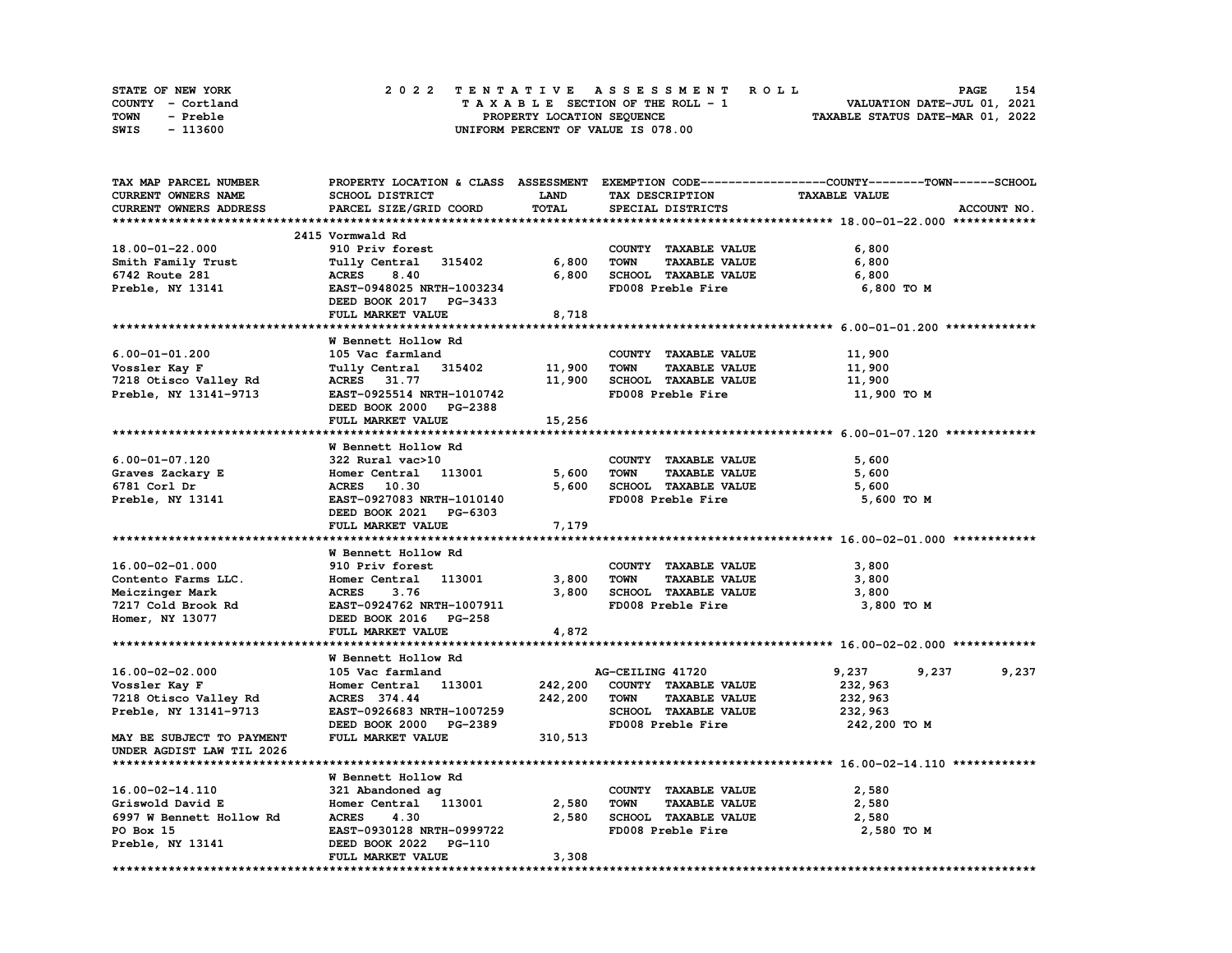| STATE OF NEW YORK | 2022 TENTATIVE ASSESSMENT ROLL     | 154<br><b>PAGE</b>               |
|-------------------|------------------------------------|----------------------------------|
| COUNTY - Cortland | TAXABLE SECTION OF THE ROLL - 1    | VALUATION DATE-JUL 01, 2021      |
| TOWN<br>- Preble  | PROPERTY LOCATION SEQUENCE         | TAXABLE STATUS DATE-MAR 01, 2022 |
| - 113600<br>SWIS  | UNIFORM PERCENT OF VALUE IS 078.00 |                                  |

| TAX MAP PARCEL NUMBER     |                           |             |                                     | PROPERTY LOCATION & CLASS ASSESSMENT EXEMPTION CODE----------------COUNTY-------TOWN-----SCHOOL |
|---------------------------|---------------------------|-------------|-------------------------------------|-------------------------------------------------------------------------------------------------|
| CURRENT OWNERS NAME       | SCHOOL DISTRICT           | <b>LAND</b> | TAX DESCRIPTION                     | <b>TAXABLE VALUE</b>                                                                            |
| CURRENT OWNERS ADDRESS    | PARCEL SIZE/GRID COORD    | TOTAL       | SPECIAL DISTRICTS                   | ACCOUNT NO.                                                                                     |
|                           |                           |             |                                     |                                                                                                 |
|                           | 2415 Vormwald Rd          |             |                                     |                                                                                                 |
| 18.00-01-22.000           | 910 Priv forest           |             | COUNTY TAXABLE VALUE                | 6,800                                                                                           |
| Smith Family Trust        | Tully Central 315402      | 6,800       | <b>TOWN</b><br><b>TAXABLE VALUE</b> | 6,800                                                                                           |
| 6742 Route 281            | <b>ACRES</b><br>8.40      | 6,800       | SCHOOL TAXABLE VALUE                | 6,800                                                                                           |
| Preble, NY 13141          | EAST-0948025 NRTH-1003234 |             | FD008 Preble Fire                   | 6,800 TO M                                                                                      |
|                           | DEED BOOK 2017 PG-3433    |             |                                     |                                                                                                 |
|                           | FULL MARKET VALUE         | 8,718       |                                     |                                                                                                 |
|                           |                           |             |                                     |                                                                                                 |
|                           | W Bennett Hollow Rd       |             |                                     |                                                                                                 |
| $6.00 - 01 - 01.200$      | 105 Vac farmland          |             | COUNTY TAXABLE VALUE                | 11,900                                                                                          |
|                           |                           | 11,900      | <b>TAXABLE VALUE</b><br>TOWN        |                                                                                                 |
| Vossler Kay F             | Tully Central 315402      |             |                                     | 11,900                                                                                          |
| 7218 Otisco Valley Rd     | ACRES 31.77               | 11,900      | SCHOOL TAXABLE VALUE                | 11,900                                                                                          |
| Preble, NY 13141-9713     | EAST-0925514 NRTH-1010742 |             | FD008 Preble Fire                   | 11,900 TO M                                                                                     |
|                           | DEED BOOK 2000 PG-2388    |             |                                     |                                                                                                 |
|                           | FULL MARKET VALUE         | 15,256      |                                     |                                                                                                 |
|                           |                           |             |                                     |                                                                                                 |
|                           | W Bennett Hollow Rd       |             |                                     |                                                                                                 |
| $6.00 - 01 - 07.120$      | 322 Rural vac>10          |             | COUNTY TAXABLE VALUE                | 5,600                                                                                           |
| Graves Zackary E          | Homer Central 113001      | 5,600       | <b>TOWN</b><br><b>TAXABLE VALUE</b> | 5,600                                                                                           |
| 6781 Corl Dr              | <b>ACRES</b> 10.30        | 5,600       | SCHOOL TAXABLE VALUE                | 5,600                                                                                           |
| Preble, NY 13141          | EAST-0927083 NRTH-1010140 |             | FD008 Preble Fire                   | 5,600 TO M                                                                                      |
|                           | DEED BOOK 2021 PG-6303    |             |                                     |                                                                                                 |
|                           | FULL MARKET VALUE         | 7,179       |                                     |                                                                                                 |
|                           |                           |             |                                     |                                                                                                 |
|                           | W Bennett Hollow Rd       |             |                                     |                                                                                                 |
| 16.00-02-01.000           | 910 Priv forest           |             | COUNTY TAXABLE VALUE                | 3,800                                                                                           |
| Contento Farms LLC.       | Homer Central 113001      | 3,800       | <b>TAXABLE VALUE</b><br><b>TOWN</b> | 3,800                                                                                           |
| Meiczinger Mark           | <b>ACRES</b><br>3.76      | 3,800       | SCHOOL TAXABLE VALUE                | 3,800                                                                                           |
| 7217 Cold Brook Rd        | EAST-0924762 NRTH-1007911 |             | FD008 Preble Fire                   | 3,800 TO M                                                                                      |
| Homer, NY 13077           | DEED BOOK 2016 PG-258     |             |                                     |                                                                                                 |
|                           | FULL MARKET VALUE         | 4,872       |                                     |                                                                                                 |
|                           |                           |             |                                     |                                                                                                 |
|                           | W Bennett Hollow Rd       |             |                                     |                                                                                                 |
| 16.00-02-02.000           | 105 Vac farmland          |             | AG-CEILING 41720                    | 9,237<br>9,237<br>9,237                                                                         |
| Vossler Kay F             | Homer Central 113001      | 242,200     | COUNTY TAXABLE VALUE                | 232,963                                                                                         |
| 7218 Otisco Valley Rd     | ACRES 374.44              | 242,200     | TOWN<br><b>TAXABLE VALUE</b>        | 232,963                                                                                         |
| Preble, NY 13141-9713     | EAST-0926683 NRTH-1007259 |             | SCHOOL TAXABLE VALUE                | 232,963                                                                                         |
|                           | DEED BOOK 2000 PG-2389    |             | FD008 Preble Fire                   | 242,200 TO M                                                                                    |
| MAY BE SUBJECT TO PAYMENT | FULL MARKET VALUE         | 310,513     |                                     |                                                                                                 |
| UNDER AGDIST LAW TIL 2026 |                           |             |                                     |                                                                                                 |
|                           |                           |             |                                     |                                                                                                 |
|                           | W Bennett Hollow Rd       |             |                                     |                                                                                                 |
| 16.00-02-14.110           | 321 Abandoned ag          |             | COUNTY TAXABLE VALUE                | 2,580                                                                                           |
| Griswold David E          | Homer Central 113001      | 2,580       | <b>TOWN</b><br><b>TAXABLE VALUE</b> | 2,580                                                                                           |
| 6997 W Bennett Hollow Rd  | <b>ACRES</b><br>4.30      | 2,580       | SCHOOL TAXABLE VALUE                | 2,580                                                                                           |
| PO Box 15                 | EAST-0930128 NRTH-0999722 |             | FD008 Preble Fire                   | 2,580 TO M                                                                                      |
| Preble, NY 13141          | DEED BOOK 2022 PG-110     |             |                                     |                                                                                                 |
|                           | FULL MARKET VALUE         | 3,308       |                                     |                                                                                                 |
|                           |                           |             |                                     |                                                                                                 |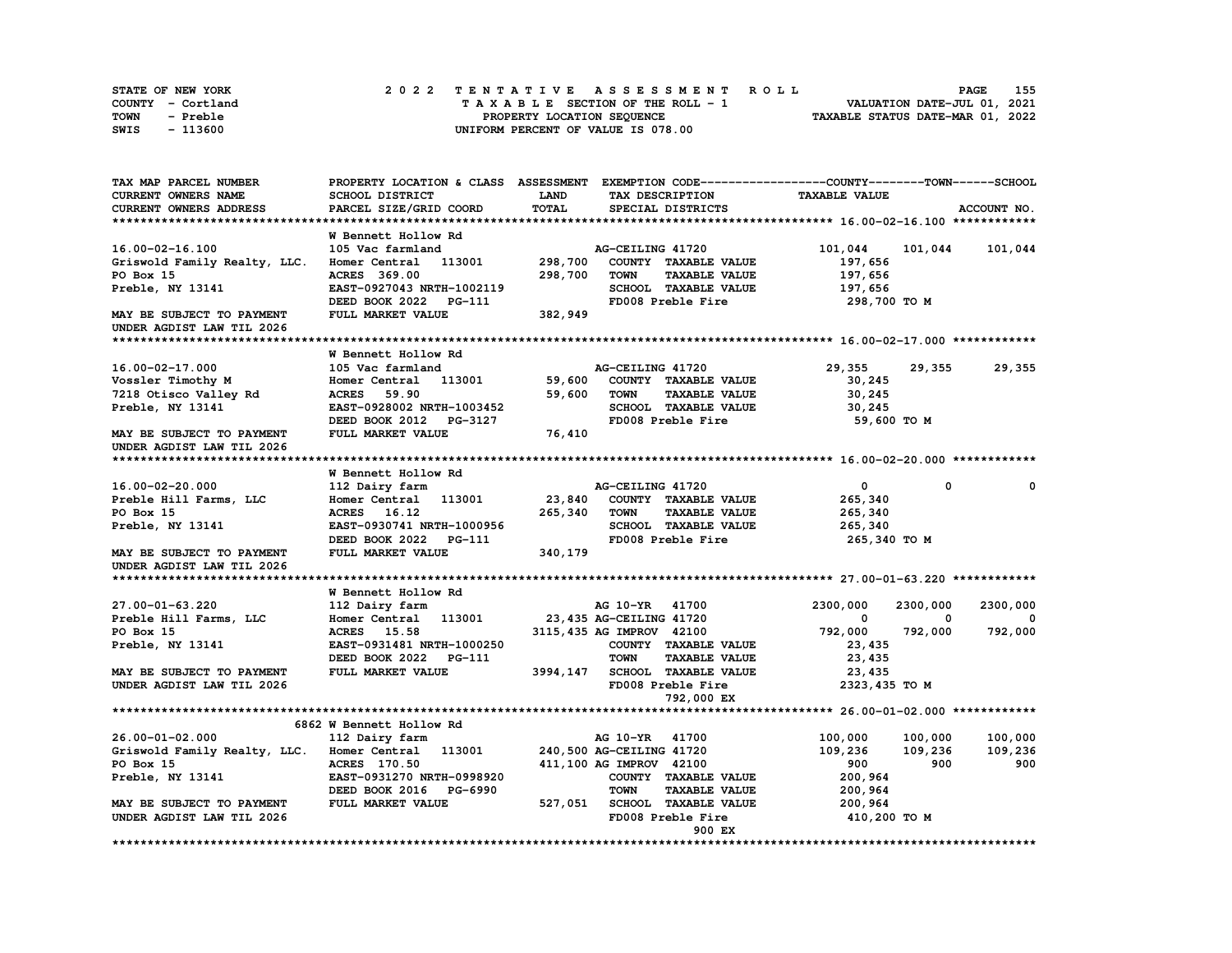| STATE OF NEW YORK | 2022 TENTATIVE ASSESSMENT ROLL          | 155<br><b>PAGE</b>               |
|-------------------|-----------------------------------------|----------------------------------|
| COUNTY - Cortland | $T A X A B L E$ SECTION OF THE ROLL - 1 | VALUATION DATE-JUL 01, 2021      |
| TOWN<br>- Preble  | PROPERTY LOCATION SEQUENCE              | TAXABLE STATUS DATE-MAR 01, 2022 |
| - 113600<br>SWIS  | UNIFORM PERCENT OF VALUE IS 078.00      |                                  |

| TAX MAP PARCEL NUMBER                             | PROPERTY LOCATION & CLASS ASSESSMENT EXEMPTION CODE-----------------COUNTY-------TOWN------SCHOOL |              |                                     |                      |                      |
|---------------------------------------------------|---------------------------------------------------------------------------------------------------|--------------|-------------------------------------|----------------------|----------------------|
| CURRENT OWNERS NAME                               | SCHOOL DISTRICT                                                                                   | <b>LAND</b>  | TAX DESCRIPTION                     | <b>TAXABLE VALUE</b> |                      |
| CURRENT OWNERS ADDRESS                            | PARCEL SIZE/GRID COORD                                                                            | <b>TOTAL</b> | SPECIAL DISTRICTS                   |                      | ACCOUNT NO.          |
|                                                   |                                                                                                   |              |                                     |                      |                      |
|                                                   | W Bennett Hollow Rd                                                                               |              |                                     |                      |                      |
| 16.00-02-16.100                                   | 105 Vac farmland                                                                                  |              | AG-CEILING 41720                    | 101,044              | 101,044<br>101,044   |
| Griswold Family Realty, LLC.                      | Homer Central<br>113001                                                                           | 298,700      | COUNTY TAXABLE VALUE                | 197,656              |                      |
| PO Box 15                                         | ACRES 369.00                                                                                      | 298,700      | <b>TOWN</b><br><b>TAXABLE VALUE</b> | 197,656              |                      |
| Preble, NY 13141                                  | EAST-0927043 NRTH-1002119                                                                         |              | SCHOOL TAXABLE VALUE                | 197,656              |                      |
|                                                   | DEED BOOK 2022 PG-111                                                                             |              | FD008 Preble Fire                   | 298,700 то м         |                      |
| MAY BE SUBJECT TO PAYMENT                         | FULL MARKET VALUE                                                                                 | 382,949      |                                     |                      |                      |
| UNDER AGDIST LAW TIL 2026                         |                                                                                                   |              |                                     |                      |                      |
|                                                   |                                                                                                   |              |                                     |                      |                      |
|                                                   | W Bennett Hollow Rd                                                                               |              |                                     |                      |                      |
| 16.00-02-17.000                                   | 105 Vac farmland                                                                                  |              | AG-CEILING 41720                    | 29,355               | 29,355<br>29,355     |
| Vossler Timothy M                                 | Homer Central 113001                                                                              | 59,600       | COUNTY TAXABLE VALUE                | 30,245               |                      |
| 7218 Otisco Valley Rd                             | <b>ACRES</b> 59.90                                                                                | 59,600       | <b>TOWN</b><br><b>TAXABLE VALUE</b> | 30,245               |                      |
| Preble, NY 13141                                  | EAST-0928002 NRTH-1003452                                                                         |              | SCHOOL TAXABLE VALUE                | 30,245               |                      |
|                                                   | DEED BOOK 2012 PG-3127                                                                            |              | FD008 Preble Fire                   | 59,600 то м          |                      |
| MAY BE SUBJECT TO PAYMENT                         | FULL MARKET VALUE                                                                                 | 76,410       |                                     |                      |                      |
| UNDER AGDIST LAW TIL 2026                         |                                                                                                   |              |                                     |                      |                      |
|                                                   |                                                                                                   |              |                                     |                      |                      |
|                                                   | W Bennett Hollow Rd                                                                               |              |                                     |                      |                      |
| 16.00-02-20.000                                   | 112 Dairy farm                                                                                    |              | AG-CEILING 41720                    | $\mathbf{0}$         | 0<br>$\mathbf{o}$    |
| Preble Hill Farms, LLC                            | Homer Central 113001                                                                              |              | 23,840 COUNTY TAXABLE VALUE         | 265,340              |                      |
| PO Box 15                                         | ACRES 16.12                                                                                       | 265,340      | TOWN<br><b>TAXABLE VALUE</b>        | 265,340              |                      |
| Preble, NY 13141                                  | EAST-0930741 NRTH-1000956                                                                         |              | SCHOOL TAXABLE VALUE                | 265,340              |                      |
|                                                   | DEED BOOK 2022 PG-111                                                                             |              | FD008 Preble Fire                   | 265,340 то м         |                      |
| MAY BE SUBJECT TO PAYMENT                         | FULL MARKET VALUE                                                                                 | 340,179      |                                     |                      |                      |
| UNDER AGDIST LAW TIL 2026                         |                                                                                                   |              |                                     |                      |                      |
|                                                   |                                                                                                   |              |                                     |                      |                      |
|                                                   | W Bennett Hollow Rd                                                                               |              |                                     |                      |                      |
| 27.00-01-63.220                                   | 112 Dairy farm                                                                                    |              | AG 10-YR 41700                      | 2300,000             | 2300,000<br>2300,000 |
| Preble Hill Farms, LLC                            | Homer Central 113001                                                                              |              | 23,435 AG-CEILING 41720             | 0                    | 0<br>$^{\circ}$      |
| PO Box 15                                         | <b>ACRES</b> 15.58                                                                                |              | 3115, 435 AG IMPROV 42100           | 792,000              | 792,000<br>792,000   |
| Preble, NY 13141                                  | EAST-0931481 NRTH-1000250                                                                         |              | COUNTY TAXABLE VALUE                | 23,435               |                      |
|                                                   | DEED BOOK 2022 PG-111                                                                             |              | <b>TOWN</b><br><b>TAXABLE VALUE</b> | 23,435               |                      |
| MAY BE SUBJECT TO PAYMENT                         | FULL MARKET VALUE                                                                                 | 3994,147     | SCHOOL TAXABLE VALUE                | 23,435               |                      |
| UNDER AGDIST LAW TIL 2026                         |                                                                                                   |              | FD008 Preble Fire                   | 2323, 435 TO M       |                      |
|                                                   |                                                                                                   |              | 792,000 EX                          |                      |                      |
|                                                   |                                                                                                   |              |                                     |                      |                      |
|                                                   | 6862 W Bennett Hollow Rd                                                                          |              |                                     |                      |                      |
| 26.00-01-02.000                                   | 112 Dairy farm                                                                                    |              | AG 10-YR 41700                      | 100,000              | 100,000<br>100,000   |
| Griswold Family Realty, LLC. Homer Central 113001 |                                                                                                   |              | 240,500 AG-CEILING 41720            | 109,236              | 109,236<br>109,236   |
| PO Box 15                                         | <b>ACRES</b> 170.50                                                                               |              | 411,100 AG IMPROV 42100             | 900                  | 900<br>900           |
| Preble, NY 13141                                  | EAST-0931270 NRTH-0998920                                                                         |              | COUNTY TAXABLE VALUE                | 200,964              |                      |
|                                                   | DEED BOOK 2016 PG-6990                                                                            |              | <b>TOWN</b><br><b>TAXABLE VALUE</b> | 200,964              |                      |
| MAY BE SUBJECT TO PAYMENT                         | FULL MARKET VALUE                                                                                 |              | 527,051 SCHOOL TAXABLE VALUE        | 200,964              |                      |
| UNDER AGDIST LAW TIL 2026                         |                                                                                                   |              | FD008 Preble Fire                   | 410,200 TO M         |                      |
|                                                   |                                                                                                   |              | 900 EX                              |                      |                      |
|                                                   |                                                                                                   |              |                                     |                      |                      |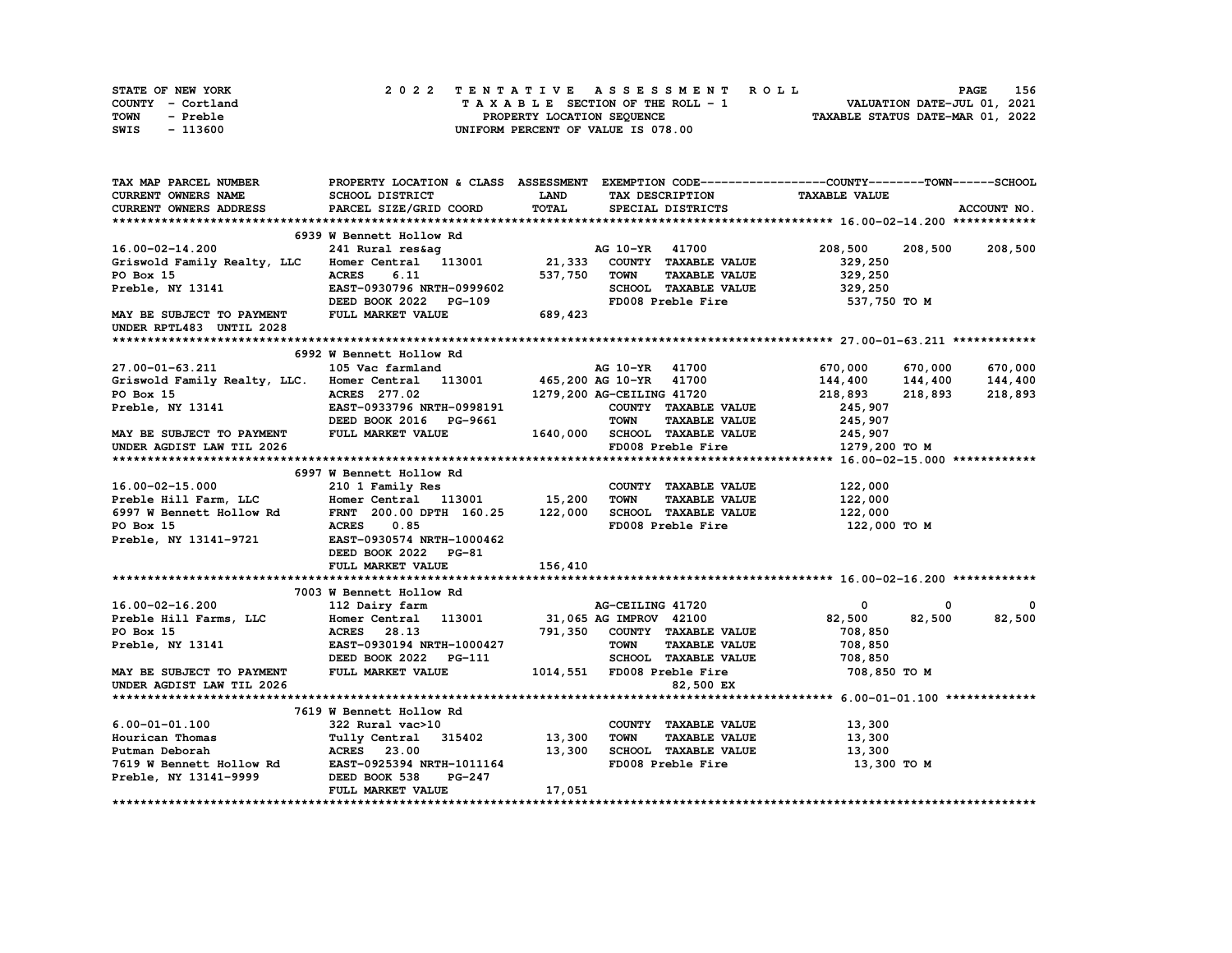| STATE OF NEW YORK | 2022 TENTATIVE ASSESSMENT ROLL     | 156<br><b>PAGE</b>               |
|-------------------|------------------------------------|----------------------------------|
| COUNTY - Cortland | TAXABLE SECTION OF THE ROLL - 1    | VALUATION DATE-JUL 01, 2021      |
| TOWN<br>- Preble  | PROPERTY LOCATION SEQUENCE         | TAXABLE STATUS DATE-MAR 01, 2022 |
| - 113600<br>SWIS  | UNIFORM PERCENT OF VALUE IS 078.00 |                                  |

| TAX MAP PARCEL NUMBER                                                                                                                                                                                                                    |                                            |              |                                       | PROPERTY LOCATION & CLASS ASSESSMENT EXEMPTION CODE----------------COUNTY-------TOWN-----SCHOOL |                                       |
|------------------------------------------------------------------------------------------------------------------------------------------------------------------------------------------------------------------------------------------|--------------------------------------------|--------------|---------------------------------------|-------------------------------------------------------------------------------------------------|---------------------------------------|
| CURRENT OWNERS NAME                                                                                                                                                                                                                      | SCHOOL DISTRICT                            | <b>LAND</b>  | TAX DESCRIPTION                       | <b>TAXABLE VALUE</b>                                                                            |                                       |
| <b>CURRENT OWNERS ADDRESS</b>                                                                                                                                                                                                            | PARCEL SIZE/GRID COORD                     | <b>TOTAL</b> | SPECIAL DISTRICTS                     |                                                                                                 | ACCOUNT NO.                           |
|                                                                                                                                                                                                                                          |                                            |              |                                       |                                                                                                 |                                       |
|                                                                                                                                                                                                                                          | 6939 W Bennett Hollow Rd                   |              |                                       |                                                                                                 |                                       |
|                                                                                                                                                                                                                                          |                                            |              | AG 10-YR 41700                        | 208,500                                                                                         | 208,500 208,500                       |
|                                                                                                                                                                                                                                          |                                            |              |                                       |                                                                                                 |                                       |
| 16.00-02-14.200 241 Rural res&ag and D-YR 41700<br>Griswold Family Realty, LLC Homer Central 113001 21,333 COUNTY TAXABLE VALUE<br>PO Box 15 ACRES 6.11 537,750 TOWN TAXABLE VALUE                                                       |                                            |              |                                       | 329,250<br>329,250                                                                              |                                       |
|                                                                                                                                                                                                                                          |                                            |              | SCHOOL TAXABLE VALUE                  | 329,250                                                                                         |                                       |
|                                                                                                                                                                                                                                          |                                            |              | FD008 Preble Fire                     | 537,750 TO M                                                                                    |                                       |
| PO Box 15<br>Preble, NY 13141 EAST-0930796 NRTH-0999602<br>DEED BOOK 2022 PG-109<br>MAY BE SUBJECT TO PAYMENT FULL MARKET VALUE 689,423                                                                                                  |                                            |              |                                       |                                                                                                 |                                       |
| UNDER RPTL483 UNTIL 2028                                                                                                                                                                                                                 |                                            |              |                                       |                                                                                                 |                                       |
|                                                                                                                                                                                                                                          |                                            |              |                                       |                                                                                                 |                                       |
|                                                                                                                                                                                                                                          | 6992 W Bennett Hollow Rd                   |              |                                       |                                                                                                 |                                       |
| 27.00-01-63.211<br>8992 W Benett Armied Milow Rd<br>Griswold Family Realty, LLC. Homer Central 113001 465,200 AG 10-YR 41700<br>PO Box 15 ACRES 277.02 1279,200 AG-CEILING 41720<br>Preble, NY 13141 EAST-0933796 NRTH-0998191 COUNTY    |                                            |              |                                       | 670,000 670,000                                                                                 | 670,000                               |
|                                                                                                                                                                                                                                          |                                            |              |                                       |                                                                                                 |                                       |
|                                                                                                                                                                                                                                          |                                            |              |                                       |                                                                                                 |                                       |
|                                                                                                                                                                                                                                          |                                            |              | COUNTY TAXABLE VALUE                  | 245,907                                                                                         |                                       |
|                                                                                                                                                                                                                                          |                                            |              |                                       | 245,907                                                                                         |                                       |
| MAY BE SUBJECT TO PAYMENT FULL MARKET VALUE                                                                                                                                                                                              |                                            |              | 1640,000 SCHOOL TAXABLE VALUE 245,907 |                                                                                                 |                                       |
| UNDER AGDIST LAW TIL 2026                                                                                                                                                                                                                |                                            |              | FD008 Preble Fire                     | 1279,200 то м                                                                                   |                                       |
|                                                                                                                                                                                                                                          |                                            |              |                                       |                                                                                                 |                                       |
|                                                                                                                                                                                                                                          | 6997 W Bennett Hollow Rd                   |              |                                       |                                                                                                 |                                       |
| 16.00-02-15.000                                                                                                                                                                                                                          |                                            |              | COUNTY TAXABLE VALUE                  |                                                                                                 |                                       |
|                                                                                                                                                                                                                                          | 210 1 Family Res                           |              |                                       | 122,000                                                                                         |                                       |
|                                                                                                                                                                                                                                          |                                            |              |                                       | TAXABLE VALUE 122,000                                                                           |                                       |
|                                                                                                                                                                                                                                          |                                            |              |                                       | 122,000<br>FD008 Preble Fire 122,000 TO M                                                       |                                       |
|                                                                                                                                                                                                                                          |                                            |              |                                       |                                                                                                 |                                       |
| Preble Hill Farm, LLC<br>For the Homer Central 113001 15,200 TOWN TAXABLE VALUE<br>6997 W Bennett Hollow Rd<br>FRNT 200.00 DPTH 160.25 122,000 SCHOOL TAXABLE VALUE<br>PO Box 15 ACRES 0.85<br>Preble, NY 13141-9721 EAST-0930574 NRTH-1 |                                            |              |                                       |                                                                                                 |                                       |
|                                                                                                                                                                                                                                          | DEED BOOK 2022 PG-81                       |              |                                       |                                                                                                 |                                       |
|                                                                                                                                                                                                                                          | FULL MARKET VALUE                          | 156,410      |                                       |                                                                                                 |                                       |
|                                                                                                                                                                                                                                          |                                            |              |                                       |                                                                                                 |                                       |
|                                                                                                                                                                                                                                          | 7003 W Bennett Hollow Rd<br>112 Dairy farm |              |                                       |                                                                                                 |                                       |
| 16.00-02-16.200                                                                                                                                                                                                                          | 112 Dairy farm                             |              | AG-CEILING 41720                      | $\mathbf{0}$                                                                                    | $^{\circ}$<br>$\overline{\mathbf{0}}$ |
|                                                                                                                                                                                                                                          |                                            |              |                                       | 82,500 82,500                                                                                   | 82,500                                |
|                                                                                                                                                                                                                                          |                                            |              |                                       |                                                                                                 |                                       |
|                                                                                                                                                                                                                                          |                                            |              |                                       |                                                                                                 |                                       |
|                                                                                                                                                                                                                                          |                                            |              |                                       |                                                                                                 |                                       |
| Preble Hill Farms, LLC MRES 28.13 791,350 COUNTY TAXABLE VALUE<br>Preble, NY 13141 EAST-0930194 NRTH-1000427 791,350 COUNTY TAXABLE VALUE 708,850<br>Preble, NY 13141 EAST-0930194 NRTH-1000427 TOWN TAXABLE VALUE 708,850<br>MAY BE     |                                            |              |                                       | 708,850 TO M                                                                                    |                                       |
| UNDER AGDIST LAW TIL 2026                                                                                                                                                                                                                |                                            |              | 82,500 EX                             |                                                                                                 |                                       |
|                                                                                                                                                                                                                                          |                                            |              |                                       |                                                                                                 |                                       |
|                                                                                                                                                                                                                                          | 7619 W Bennett Hollow Rd                   |              |                                       |                                                                                                 |                                       |
| 6.00-01-01.100                                                                                                                                                                                                                           | 322 Rural vac>10                           |              | COUNTY TAXABLE VALUE                  | 13,300                                                                                          |                                       |
| 13,300<br>Hourican Thomas Tully Central 315402 13,300 TOWN TAXABLE VALUE<br>Putman Deborah ACRES 23.00 13,300 SCHOOL TAXABLE VALUE 13,300<br>7619 W Bennett Hollow Rd EAST-0925394 NRTH-1011164 FD008 Preble Fire 13,300                 |                                            |              |                                       |                                                                                                 |                                       |
|                                                                                                                                                                                                                                          |                                            |              |                                       |                                                                                                 |                                       |
|                                                                                                                                                                                                                                          |                                            |              |                                       | 13,300 TO M                                                                                     |                                       |
| Preble, NY 13141-9999 DEED BOOK 538                                                                                                                                                                                                      | <b>PG-247</b>                              |              |                                       |                                                                                                 |                                       |
|                                                                                                                                                                                                                                          | FULL MARKET VALUE                          | 17,051       |                                       |                                                                                                 |                                       |
|                                                                                                                                                                                                                                          |                                            |              |                                       |                                                                                                 |                                       |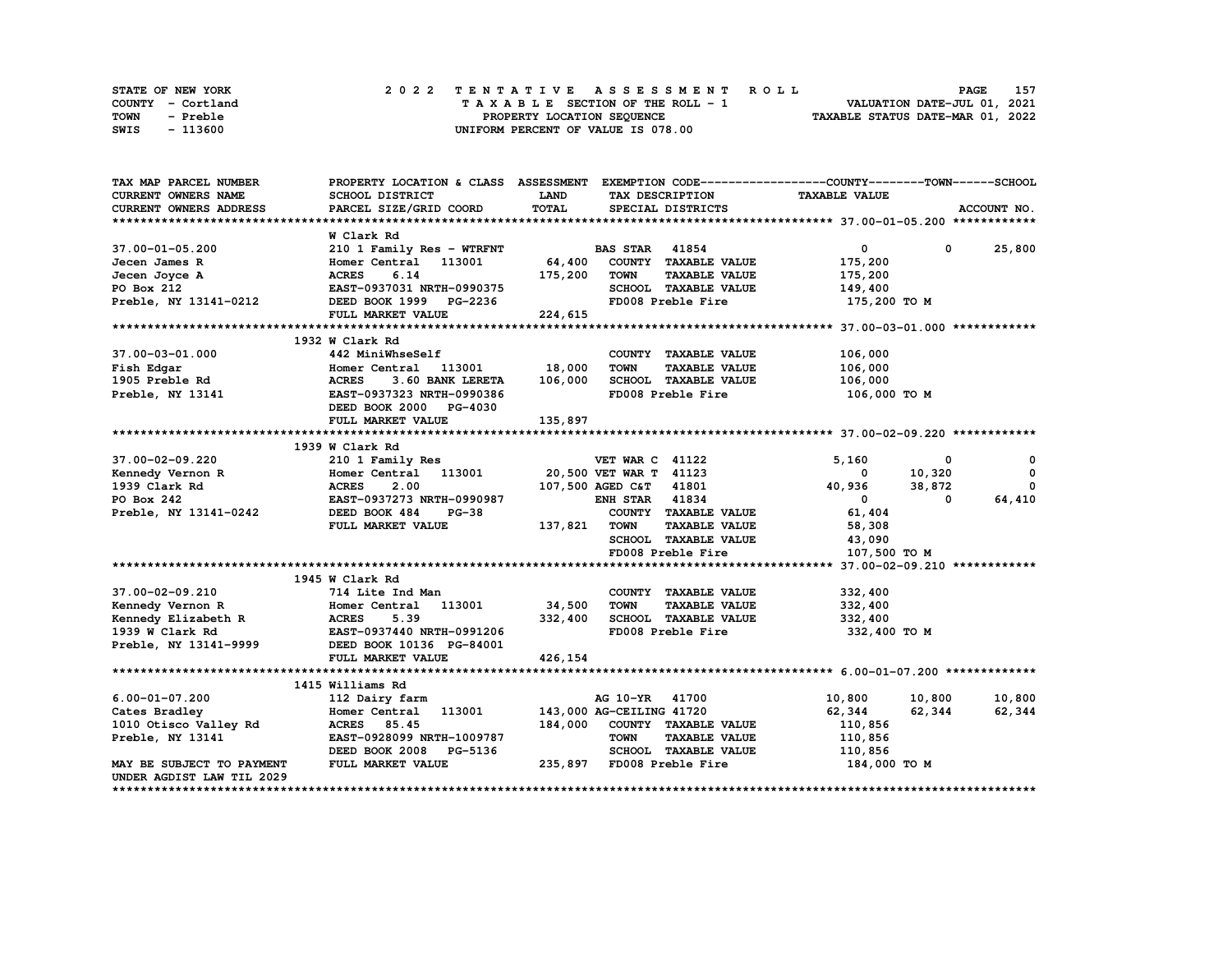| STATE OF NEW YORK | 2022 TENTATIVE ASSESSMENT ROLL     | 157<br><b>PAGE</b>               |
|-------------------|------------------------------------|----------------------------------|
| COUNTY - Cortland | TAXABLE SECTION OF THE ROLL - 1    | VALUATION DATE-JUL 01, 2021      |
| TOWN<br>- Preble  | PROPERTY LOCATION SEQUENCE         | TAXABLE STATUS DATE-MAR 01, 2022 |
| SWIS<br>- 113600  | UNIFORM PERCENT OF VALUE IS 078.00 |                                  |

| TAX MAP PARCEL NUMBER                          | PROPERTY LOCATION & CLASS ASSESSMENT EXEMPTION CODE----------------COUNTY-------TOWN------SCHOOL |             |                                     |                      |                        |
|------------------------------------------------|--------------------------------------------------------------------------------------------------|-------------|-------------------------------------|----------------------|------------------------|
| CURRENT OWNERS NAME                            | SCHOOL DISTRICT                                                                                  | <b>LAND</b> | TAX DESCRIPTION                     | <b>TAXABLE VALUE</b> |                        |
| CURRENT OWNERS ADDRESS                         | PARCEL SIZE/GRID COORD                                                                           | TOTAL       | SPECIAL DISTRICTS                   |                      | ACCOUNT NO.            |
|                                                |                                                                                                  |             |                                     |                      |                        |
|                                                | W Clark Rd                                                                                       |             |                                     |                      |                        |
| 37.00-01-05.200                                | 210 1 Family Res - WTRFNT                                                                        |             | <b>BAS STAR 41854</b>               | $\mathbf{0}$         | 25,800<br>$\mathbf 0$  |
| Jecen James R                                  | Homer Central 113001                                                                             | 64,400      | COUNTY TAXABLE VALUE                | 175,200              |                        |
| Jecen Joyce A                                  | <b>ACRES</b><br>6.14                                                                             | 175,200     | <b>TOWN</b><br><b>TAXABLE VALUE</b> | 175,200              |                        |
| PO Box 212                                     | EAST-0937031 NRTH-0990375                                                                        |             | SCHOOL TAXABLE VALUE                | 149,400              |                        |
| Preble, NY 13141-0212                          | DEED BOOK 1999 PG-2236                                                                           |             | FD008 Preble Fire                   | 175,200 то м         |                        |
|                                                | FULL MARKET VALUE                                                                                | 224,615     |                                     |                      |                        |
|                                                |                                                                                                  |             |                                     |                      |                        |
|                                                | 1932 W Clark Rd                                                                                  |             |                                     |                      |                        |
| 37.00-03-01.000                                | 442 MiniWhseSelf                                                                                 |             | COUNTY TAXABLE VALUE                | 106,000              |                        |
| Fish Edgar                                     | 113001<br>Homer Central                                                                          | 18,000      | <b>TOWN</b><br><b>TAXABLE VALUE</b> | 106,000              |                        |
| 1905 Preble Rd                                 | <b>ACRES</b><br>3.60 BANK LERETA                                                                 | 106,000     | SCHOOL TAXABLE VALUE                | 106,000              |                        |
| Preble, NY 13141                               | EAST-0937323 NRTH-0990386                                                                        |             | FD008 Preble Fire                   | 106,000 то м         |                        |
|                                                | DEED BOOK 2000 PG-4030                                                                           |             |                                     |                      |                        |
|                                                | FULL MARKET VALUE                                                                                | 135,897     |                                     |                      |                        |
|                                                |                                                                                                  |             |                                     |                      |                        |
|                                                | 1939 W Clark Rd                                                                                  |             |                                     |                      |                        |
| 37.00-02-09.220                                | 210 1 Family Res                                                                                 |             | <b>VET WAR C 41122</b>              | 5,160                | $\mathbf{o}$<br>0      |
| Kennedy Vernon R                               | Homer Central 113001                                                                             |             | 20,500 VET WAR T 41123              | $\mathbf 0$          | $\mathbf{o}$<br>10,320 |
| 1939 Clark Rd                                  | <b>ACRES</b><br>2.00                                                                             |             | 107,500 AGED C&T 41801              | 40,936               | 38,872<br>$\mathbf{0}$ |
| PO Box 242                                     | EAST-0937273 NRTH-0990987                                                                        |             | <b>ENH STAR 41834</b>               | $\mathbf{0}$         | 64,410<br>$^{\circ}$   |
| Preble, NY 13141-0242                          | DEED BOOK 484<br>$PG-38$                                                                         |             | COUNTY TAXABLE VALUE                | 61,404               |                        |
|                                                | FULL MARKET VALUE                                                                                | 137,821     | TOWN<br><b>TAXABLE VALUE</b>        | 58,308               |                        |
|                                                |                                                                                                  |             | SCHOOL TAXABLE VALUE                | 43,090               |                        |
|                                                |                                                                                                  |             | FD008 Preble Fire                   | 107,500 TO M         |                        |
|                                                |                                                                                                  |             |                                     |                      |                        |
|                                                | 1945 W Clark Rd                                                                                  |             |                                     |                      |                        |
| 37.00-02-09.210                                | 714 Lite Ind Man                                                                                 |             | COUNTY TAXABLE VALUE                | 332,400              |                        |
| Kennedy Vernon R                               | Homer Central 113001                                                                             | 34,500      | <b>TOWN</b><br><b>TAXABLE VALUE</b> | 332,400              |                        |
| Kennedy Elizabeth R                            | <b>ACRES</b><br>5.39                                                                             | 332,400     | SCHOOL TAXABLE VALUE                | 332,400              |                        |
| 1939 W Clark Rd                                | EAST-0937440 NRTH-0991206                                                                        |             | FD008 Preble Fire                   | 332,400 TO M         |                        |
| Preble, NY 13141-9999 DEED BOOK 10136 PG-84001 |                                                                                                  |             |                                     |                      |                        |
|                                                | FULL MARKET VALUE                                                                                | 426,154     |                                     |                      |                        |
|                                                |                                                                                                  |             |                                     |                      |                        |
|                                                | 1415 Williams Rd                                                                                 |             |                                     |                      |                        |
| $6.00 - 01 - 07.200$                           | 112 Dairy farm                                                                                   |             | AG 10-YR 41700                      | 10,800               | 10,800<br>10,800       |
| Cates Bradley                                  | Homer Central 113001                                                                             |             | 143,000 AG-CEILING 41720            | 62,344               | 62,344<br>62,344       |
| 1010 Otisco Valley Rd                          | <b>ACRES</b> 85.45                                                                               | 184,000     | COUNTY TAXABLE VALUE                | 110,856              |                        |
| Preble, NY 13141                               | EAST-0928099 NRTH-1009787                                                                        |             | <b>TOWN</b><br><b>TAXABLE VALUE</b> | 110,856              |                        |
|                                                | DEED BOOK 2008 PG-5136                                                                           |             | SCHOOL TAXABLE VALUE                | 110,856              |                        |
| MAY BE SUBJECT TO PAYMENT                      | FULL MARKET VALUE                                                                                |             | 235,897 FD008 Preble Fire           | 184,000 TO M         |                        |
| UNDER AGDIST LAW TIL 2029                      |                                                                                                  |             |                                     |                      |                        |
|                                                |                                                                                                  |             |                                     |                      |                        |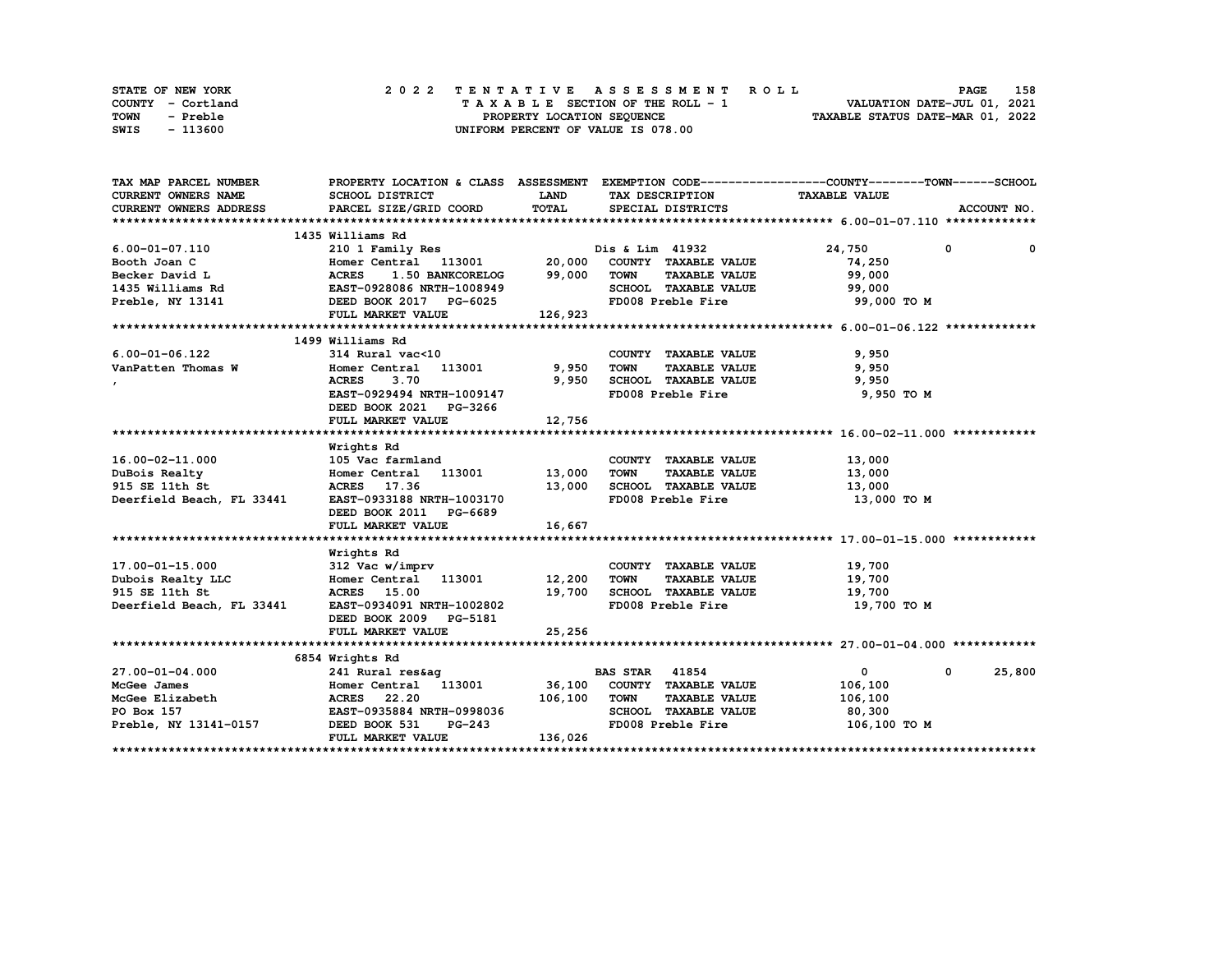| STATE OF NEW YORK | 2022 TENTATIVE ASSESSMENT ROLL |                                    |  | <b>PAGE</b>                      | 158 |
|-------------------|--------------------------------|------------------------------------|--|----------------------------------|-----|
| COUNTY - Cortland |                                | TAXABLE SECTION OF THE ROLL - 1    |  | VALUATION DATE-JUL 01, 2021      |     |
| TOWN<br>- Preble  |                                | PROPERTY LOCATION SEQUENCE         |  | TAXABLE STATUS DATE-MAR 01, 2022 |     |
| - 113600<br>SWIS  |                                | UNIFORM PERCENT OF VALUE IS 078.00 |  |                                  |     |

| TAX MAP PARCEL NUMBER                                                                                                                                                                                                                |                                                                                                                                   |              |                                     | PROPERTY LOCATION & CLASS ASSESSMENT EXEMPTION CODE----------------COUNTY-------TOWN-----SCHOOL |          |
|--------------------------------------------------------------------------------------------------------------------------------------------------------------------------------------------------------------------------------------|-----------------------------------------------------------------------------------------------------------------------------------|--------------|-------------------------------------|-------------------------------------------------------------------------------------------------|----------|
| <b>CURRENT OWNERS NAME</b>                                                                                                                                                                                                           | SCHOOL DISTRICT                                                                                                                   | LAND         | TAX DESCRIPTION                     | <b>TAXABLE VALUE</b>                                                                            |          |
| CURRENT OWNERS ADDRESS                                                                                                                                                                                                               | PARCEL SIZE/GRID COORD                                                                                                            | <b>TOTAL</b> | SPECIAL DISTRICTS                   | ACCOUNT NO.                                                                                     |          |
|                                                                                                                                                                                                                                      |                                                                                                                                   |              |                                     |                                                                                                 |          |
|                                                                                                                                                                                                                                      | 1435 Williams Rd                                                                                                                  |              |                                     |                                                                                                 |          |
| 6.00-01-07.110                                                                                                                                                                                                                       | 210 1 Family Res                                                                                                                  |              | Dis & Lim 41932                     | 24,750<br>$^{\circ}$                                                                            | $\Omega$ |
| Example and the model of the contract of the Honer Central 113001 20,000 COUNTY TAXABLE VALUE<br>Becker David L (ACRES 1.50 BANKCORELOG 99,000 TOWN TAXABLE VALUE<br>1435 Williams Rd (EAST-0928086 NRTH-1008949 SCHOOL TAXABLE VALU |                                                                                                                                   |              |                                     | 74,250                                                                                          |          |
|                                                                                                                                                                                                                                      |                                                                                                                                   |              |                                     | 99,000                                                                                          |          |
|                                                                                                                                                                                                                                      |                                                                                                                                   |              | SCHOOL TAXABLE VALUE 99,000         |                                                                                                 |          |
| Preble, NY 13141 DEED BOOK 2017 PG-6025                                                                                                                                                                                              |                                                                                                                                   |              |                                     | FD008 Preble Fire 99,000 TO M                                                                   |          |
|                                                                                                                                                                                                                                      | FULL MARKET VALUE                                                                                                                 | 126,923      |                                     |                                                                                                 |          |
|                                                                                                                                                                                                                                      |                                                                                                                                   |              |                                     |                                                                                                 |          |
|                                                                                                                                                                                                                                      | 1499 Williams Rd                                                                                                                  |              |                                     |                                                                                                 |          |
| $6.00 - 01 - 06.122$                                                                                                                                                                                                                 | 314 Rural vac<10                                                                                                                  |              | COUNTY TAXABLE VALUE                | 9,950                                                                                           |          |
| VanPatten Thomas W                                                                                                                                                                                                                   | Homer Central 113001 9,950                                                                                                        |              | TOWN<br><b>TAXABLE VALUE</b>        | 9,950                                                                                           |          |
|                                                                                                                                                                                                                                      | 3.70<br><b>ACRES</b>                                                                                                              | 9,950        | SCHOOL TAXABLE VALUE                | 9,950                                                                                           |          |
|                                                                                                                                                                                                                                      | EAST-0929494 NRTH-1009147                                                                                                         |              | FD008 Preble Fire                   | 9,950 TO M                                                                                      |          |
|                                                                                                                                                                                                                                      | DEED BOOK 2021 PG-3266                                                                                                            |              |                                     |                                                                                                 |          |
|                                                                                                                                                                                                                                      | FULL MARKET VALUE                                                                                                                 | 12,756       |                                     |                                                                                                 |          |
|                                                                                                                                                                                                                                      | Wrights Rd                                                                                                                        |              |                                     |                                                                                                 |          |
| 16.00-02-11.000                                                                                                                                                                                                                      | 105 Vac farmland                                                                                                                  |              | COUNTY TAXABLE VALUE                | 13,000                                                                                          |          |
|                                                                                                                                                                                                                                      |                                                                                                                                   |              | <b>TOWN</b><br><b>TAXABLE VALUE</b> | 13,000                                                                                          |          |
|                                                                                                                                                                                                                                      |                                                                                                                                   |              | 13,000 SCHOOL TAXABLE VALUE 13,000  |                                                                                                 |          |
| 10.00-02-11.000<br>DuBois Realty<br>915 SE 11th St<br>Deerfield Beach, FL 33441<br>EAST 0933188 NRTH-1003170<br>THE 1003170<br>THE 1003170<br>THE 1003170                                                                            |                                                                                                                                   |              | FD008 Preble Fire                   | 13,000 TO M                                                                                     |          |
|                                                                                                                                                                                                                                      | DEED BOOK 2011 PG-6689                                                                                                            |              |                                     |                                                                                                 |          |
|                                                                                                                                                                                                                                      | FULL MARKET VALUE                                                                                                                 | 16,667       |                                     |                                                                                                 |          |
|                                                                                                                                                                                                                                      |                                                                                                                                   |              |                                     |                                                                                                 |          |
|                                                                                                                                                                                                                                      | Wrights Rd                                                                                                                        |              |                                     |                                                                                                 |          |
| $17.00 - 01 - 15.000$                                                                                                                                                                                                                | 312 Vac w/imprv                                                                                                                   |              | COUNTY TAXABLE VALUE                | 19,700                                                                                          |          |
|                                                                                                                                                                                                                                      |                                                                                                                                   |              | <b>TOWN</b>                         | TAXABLE VALUE 19,700                                                                            |          |
| Dubois Realty LLC $\begin{array}{cccc}\n\text{Homer Central} & 113001 & 12,200 \\ \text{915 SE 11th St} & \text{ACRES} & 15.00 & 19,700\n\end{array}$                                                                                |                                                                                                                                   |              |                                     | 19,700                                                                                          |          |
|                                                                                                                                                                                                                                      |                                                                                                                                   |              |                                     | 19,700 TO M                                                                                     |          |
|                                                                                                                                                                                                                                      | DEED BOOK 2009 PG-5181                                                                                                            |              |                                     |                                                                                                 |          |
|                                                                                                                                                                                                                                      | FULL MARKET VALUE                                                                                                                 | 25,256       |                                     |                                                                                                 |          |
|                                                                                                                                                                                                                                      |                                                                                                                                   |              |                                     |                                                                                                 |          |
|                                                                                                                                                                                                                                      | 6854 Wrights Rd                                                                                                                   |              |                                     |                                                                                                 |          |
| 27.00-01-04.000                                                                                                                                                                                                                      | 241 Rural restag and BAS STAR 41854<br>Homer Central 113001 36,100 COUNTY TAXABLE VALUE<br>ACRES 22.20 106,100 TOWN TAXABLE VALUE |              |                                     | 25,800<br>$\overline{0}$<br>$^{\circ}$                                                          |          |
| McGee James                                                                                                                                                                                                                          |                                                                                                                                   |              |                                     | 106,100                                                                                         |          |
| McGee James<br>McGee Elizabeth<br>PO Box 157                                                                                                                                                                                         | Homer Central 115001 (1998)<br>ACRES 22.20 106,100<br>EAST-0935884 NRTH-0998036                                                   |              |                                     | 106,100                                                                                         |          |
|                                                                                                                                                                                                                                      |                                                                                                                                   |              | SCHOOL TAXABLE VALUE 80,300         |                                                                                                 |          |
| Preble, NY 13141-0157 DEED BOOK 531                                                                                                                                                                                                  | <b>PG-243</b>                                                                                                                     |              |                                     | FD008 Preble Fire 106,100 TO M                                                                  |          |
|                                                                                                                                                                                                                                      | FULL MARKET VALUE                                                                                                                 | 136,026      |                                     |                                                                                                 |          |
|                                                                                                                                                                                                                                      |                                                                                                                                   |              |                                     |                                                                                                 |          |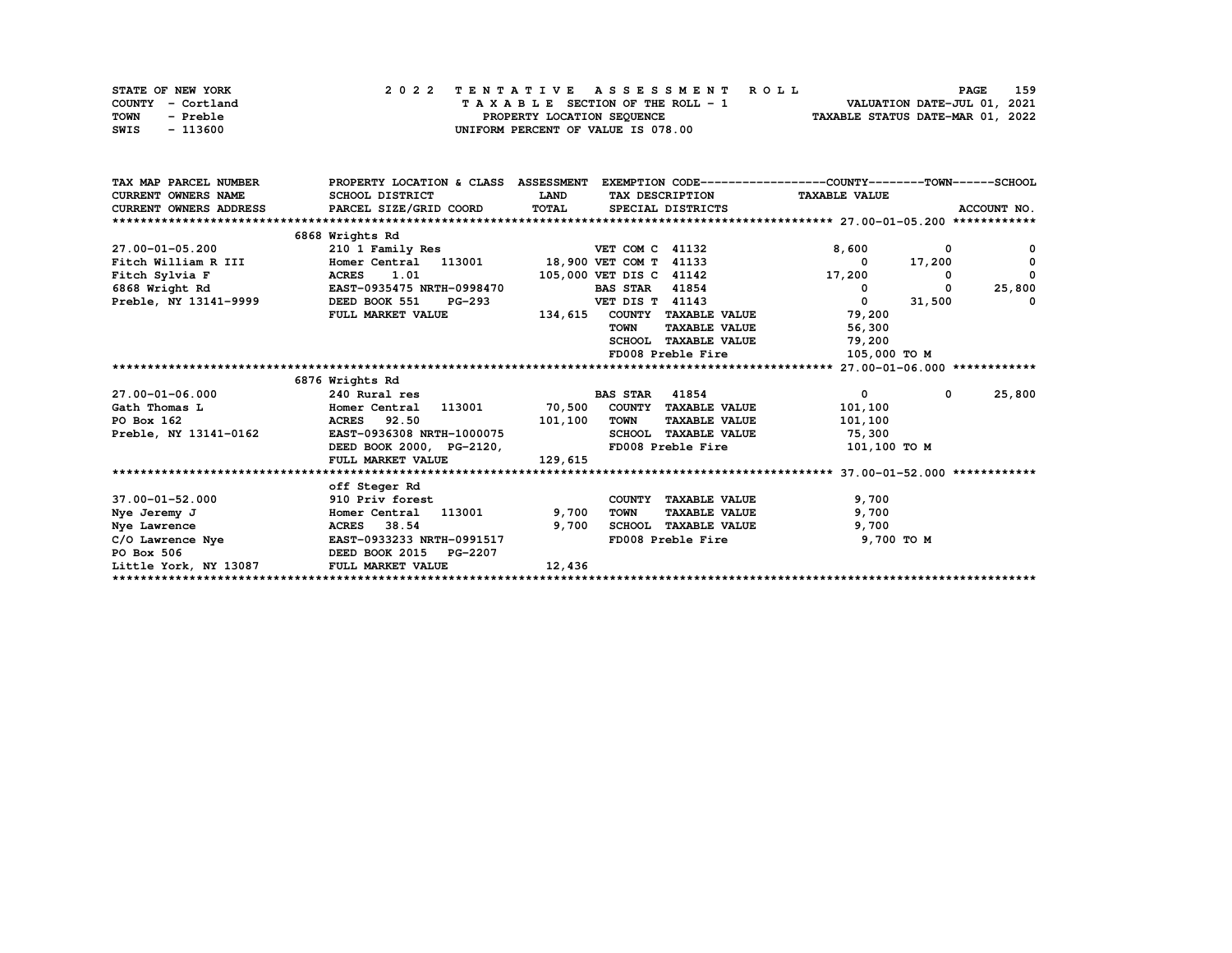| STATE OF NEW YORK | 2022 TENTATIVE ASSESSMENT ROLL     | 159<br><b>PAGE</b>               |
|-------------------|------------------------------------|----------------------------------|
| COUNTY - Cortland | TAXABLE SECTION OF THE ROLL - 1    | VALUATION DATE-JUL 01, 2021      |
| TOWN<br>- Preble  | PROPERTY LOCATION SEOUENCE         | TAXABLE STATUS DATE-MAR 01, 2022 |
| SWIS<br>- 113600  | UNIFORM PERCENT OF VALUE IS 078.00 |                                  |

| TAX MAP PARCEL NUMBER      | PROPERTY LOCATION & CLASS ASSESSMENT |              |                                       | EXEMPTION CODE-----------------COUNTY-------TOWN------SCHOOL |                       |
|----------------------------|--------------------------------------|--------------|---------------------------------------|--------------------------------------------------------------|-----------------------|
| <b>CURRENT OWNERS NAME</b> | SCHOOL DISTRICT                      | <b>LAND</b>  | TAX DESCRIPTION                       | <b>TAXABLE VALUE</b>                                         |                       |
| CURRENT OWNERS ADDRESS     | PARCEL SIZE/GRID COORD               | <b>TOTAL</b> | SPECIAL DISTRICTS                     |                                                              | ACCOUNT NO.           |
|                            |                                      |              |                                       |                                                              |                       |
|                            | 6868 Wrights Rd                      |              |                                       |                                                              |                       |
| 27.00-01-05.200            | 210 1 Family Res                     |              | VET COM C 41132                       | 8,600                                                        | 0<br>0                |
| Fitch William R III        | Homer Central 113001                 |              | 18,900 VET COM T 41133                | 17,200<br>0                                                  | 0                     |
| Fitch Sylvia F             | 1.01<br><b>ACRES</b>                 |              | 105,000 VET DIS C 41142               | 17,200                                                       | $\Omega$<br>0         |
| 6868 Wright Rd             | EAST-0935475 NRTH-0998470            |              | 41854<br><b>BAS STAR</b>              | $\mathbf 0$                                                  | 25,800<br>0           |
| Preble, NY 13141-9999      | DEED BOOK 551<br><b>PG-293</b>       |              | <b>VET DIS T 41143</b>                | 31,500<br>$^{\circ}$                                         | $\Omega$              |
|                            | FULL MARKET VALUE                    | 134,615      | COUNTY TAXABLE VALUE                  | 79,200                                                       |                       |
|                            |                                      |              | <b>TAXABLE VALUE</b><br><b>TOWN</b>   | 56,300                                                       |                       |
|                            |                                      |              | <b>TAXABLE VALUE</b><br><b>SCHOOL</b> | 79,200                                                       |                       |
|                            |                                      |              | FD008 Preble Fire                     | 105,000 TO M                                                 |                       |
|                            |                                      |              |                                       |                                                              |                       |
|                            | 6876 Wrights Rd                      |              |                                       |                                                              |                       |
| 27.00-01-06.000            | 240 Rural res                        |              | <b>BAS STAR</b> 41854                 | 0                                                            | $\mathbf 0$<br>25,800 |
| Gath Thomas L              | Homer Central 113001                 | 70,500       | COUNTY TAXABLE VALUE                  | 101,100                                                      |                       |
| PO Box 162                 | <b>ACRES</b> 92.50                   | 101,100      | <b>TOWN</b><br><b>TAXABLE VALUE</b>   | 101,100                                                      |                       |
| Preble, NY 13141-0162      | EAST-0936308 NRTH-1000075            |              | SCHOOL TAXABLE VALUE                  | 75,300                                                       |                       |
|                            | DEED BOOK 2000, PG-2120,             |              | FD008 Preble Fire                     | 101,100 TO M                                                 |                       |
|                            | FULL MARKET VALUE                    | 129,615      |                                       |                                                              |                       |
|                            |                                      |              |                                       |                                                              |                       |
|                            | off Steger Rd                        |              |                                       |                                                              |                       |
| $37.00 - 01 - 52.000$      | 910 Priv forest                      |              | COUNTY TAXABLE VALUE                  | 9,700                                                        |                       |
| Nye Jeremy J               | Homer Central 113001                 | 9,700        | <b>TAXABLE VALUE</b><br>TOWN          | 9,700                                                        |                       |
| Nye Lawrence               | ACRES 38.54                          | 9,700        | SCHOOL TAXABLE VALUE                  | 9,700                                                        |                       |
| C/O Lawrence Nye           | EAST-0933233 NRTH-0991517            |              | FD008 Preble Fire                     | 9,700 TO M                                                   |                       |
| PO Box 506                 | DEED BOOK 2015 PG-2207               |              |                                       |                                                              |                       |
| Little York, NY 13087      | FULL MARKET VALUE                    | 12,436       |                                       |                                                              |                       |
|                            |                                      |              |                                       |                                                              |                       |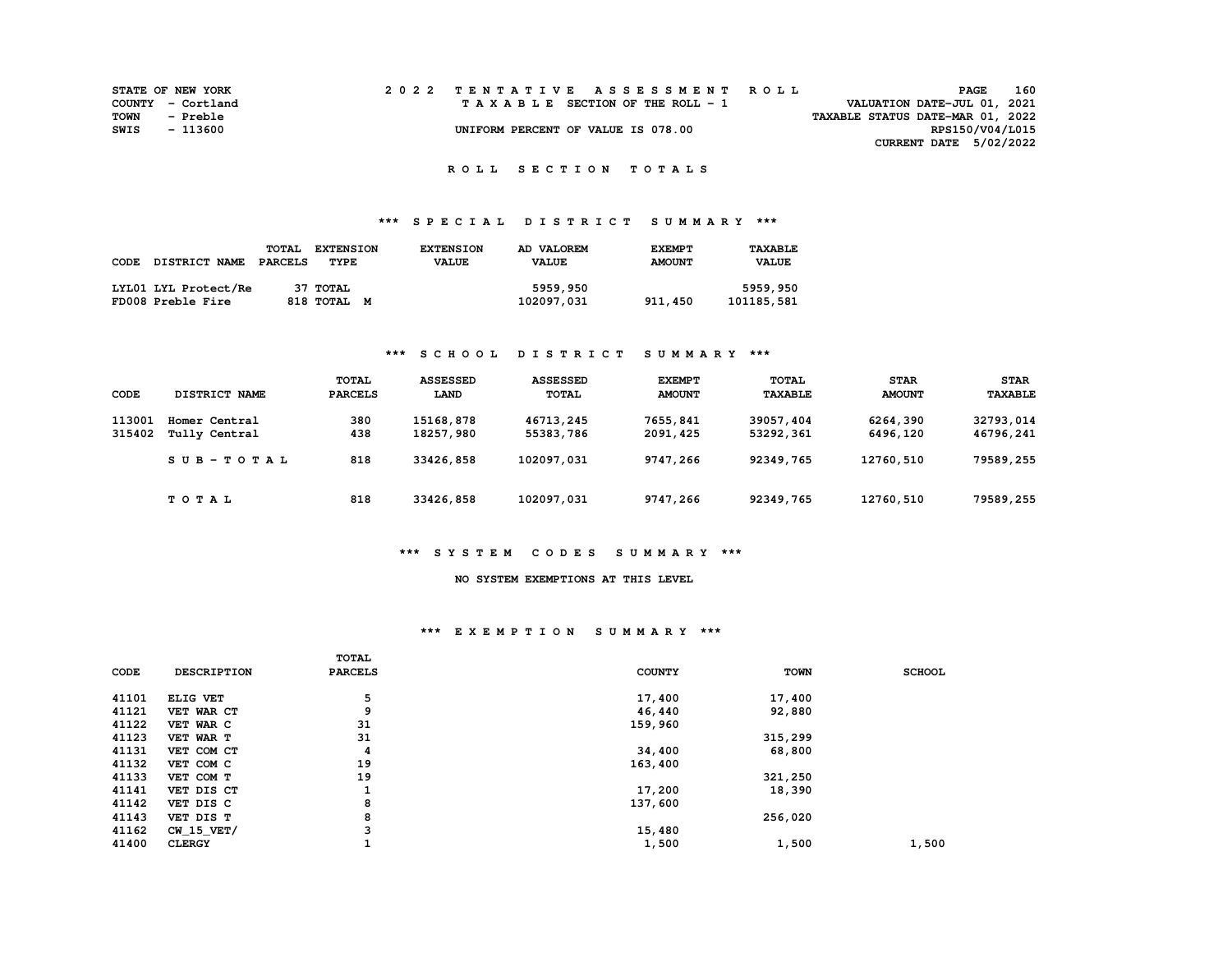|      | <b>STATE OF NEW YORK</b> |  | 2022 TENTATIVE ASSESSMENT ROLL     |                                  | PAGE                        | 160 |
|------|--------------------------|--|------------------------------------|----------------------------------|-----------------------------|-----|
|      | COUNTY - Cortland        |  | TAXABLE SECTION OF THE ROLL - 1    |                                  | VALUATION DATE-JUL 01, 2021 |     |
| TOWN | - Preble                 |  |                                    | TAXABLE STATUS DATE-MAR 01, 2022 |                             |     |
| SWIS | - 113600                 |  | UNIFORM PERCENT OF VALUE IS 078.00 |                                  | RPS150/V04/L015             |     |
|      |                          |  |                                    |                                  | CURRENT DATE 5/02/2022      |     |

# **\*\*\* S P E C I A L D I S T R I C T S U M M A R Y \*\*\***

| CODE | <b>DISTRICT NAME</b> | <b>TOTAL</b><br><b>PARCELS</b> | <b>EXTENSION</b><br>TYPE | <b>EXTENSION</b><br><b>VALUE</b> | AD VALOREM<br><b>VALUE</b> | <b>EXEMPT</b><br><b>AMOUNT</b> | TAXABLE<br><b>VALUE</b> |
|------|----------------------|--------------------------------|--------------------------|----------------------------------|----------------------------|--------------------------------|-------------------------|
|      | LYL01 LYL Protect/Re |                                | 37 TOTAL                 |                                  | 5959,950                   |                                | 5959,950                |
|      | FD008 Preble Fire    |                                | 818 TOTAL M              |                                  | 102097,031                 | 911,450                        | 101185,581              |

### **\*\*\* S C H O O L D I S T R I C T S U M M A R Y \*\*\***

| CODE             | DISTRICT NAME                  | TOTAL<br><b>PARCELS</b> | <b>ASSESSED</b><br><b>LAND</b> | <b>ASSESSED</b><br>TOTAL | <b>EXEMPT</b><br><b>AMOUNT</b> | <b>TOTAL</b><br><b>TAXABLE</b> | <b>STAR</b><br><b>AMOUNT</b> | <b>STAR</b><br><b>TAXABLE</b> |
|------------------|--------------------------------|-------------------------|--------------------------------|--------------------------|--------------------------------|--------------------------------|------------------------------|-------------------------------|
| 113001<br>315402 | Homer Central<br>Tully Central | 380<br>438              | 15168,878<br>18257,980         | 46713,245<br>55383,786   | 7655,841<br>2091, 425          | 39057,404<br>53292,361         | 6264,390<br>6496,120         | 32793,014<br>46796,241        |
|                  | $SUB-TOTAL$                    | 818                     | 33426,858                      | 102097,031               | 9747,266                       | 92349,765                      | 12760,510                    | 79589,255                     |
|                  | TOTAL                          | 818                     | 33426,858                      | 102097,031               | 9747,266                       | 92349,765                      | 12760,510                    | 79589,255                     |

#### **\*\*\* S Y S T E M C O D E S S U M M A R Y \*\*\***

#### **NO SYSTEM EXEMPTIONS AT THIS LEVEL**

### **\*\*\* E X E M P T I O N S U M M A R Y \*\*\***

|             |                    | <b>TOTAL</b>   |               |             |               |
|-------------|--------------------|----------------|---------------|-------------|---------------|
| <b>CODE</b> | <b>DESCRIPTION</b> | <b>PARCELS</b> | <b>COUNTY</b> | <b>TOWN</b> | <b>SCHOOL</b> |
| 41101       | ELIG VET           | 5              | 17,400        | 17,400      |               |
| 41121       | VET WAR CT         | 9              | 46,440        | 92,880      |               |
| 41122       | VET WAR C          | 31             | 159,960       |             |               |
| 41123       | VET WAR T          | 31             |               | 315,299     |               |
| 41131       | VET COM CT         | 4              | 34,400        | 68,800      |               |
| 41132       | VET COM C          | 19             | 163,400       |             |               |
| 41133       | VET COM T          | 19             |               | 321,250     |               |
| 41141       | VET DIS CT         |                | 17,200        | 18,390      |               |
| 41142       | VET DIS C          | 8              | 137,600       |             |               |
| 41143       | VET DIS T          | 8              |               | 256,020     |               |
| 41162       | $CW$ 15 $VET/$     | 3              | 15,480        |             |               |
| 41400       | <b>CLERGY</b>      |                | 1,500         | 1,500       | 1,500         |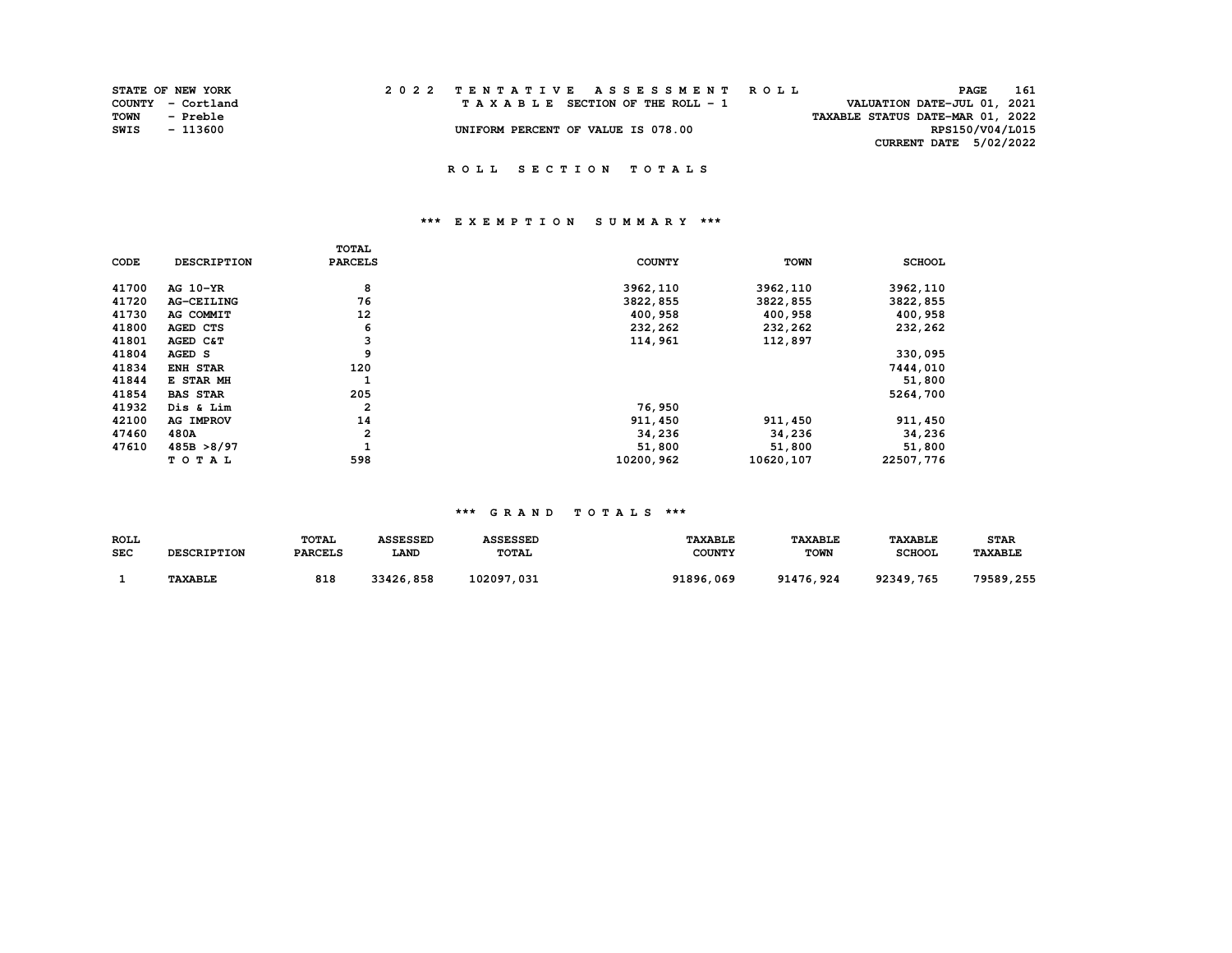| <b>STATE OF NEW YORK</b> |                   | 2022 TENTATIVE ASSESSMENT ROLL |  |  |  |                                    |  |  |  |  |  |                                  |                 | PAGE | 161 |
|--------------------------|-------------------|--------------------------------|--|--|--|------------------------------------|--|--|--|--|--|----------------------------------|-----------------|------|-----|
|                          | COUNTY - Cortland |                                |  |  |  | TAXABLE SECTION OF THE ROLL - 1    |  |  |  |  |  | VALUATION DATE-JUL 01, 2021      |                 |      |     |
| TOWN     - Preble        |                   |                                |  |  |  |                                    |  |  |  |  |  | TAXABLE STATUS DATE-MAR 01, 2022 |                 |      |     |
| SWIS                     | - 113600          |                                |  |  |  | UNIFORM PERCENT OF VALUE IS 078.00 |  |  |  |  |  |                                  | RPS150/V04/L015 |      |     |
|                          |                   |                                |  |  |  |                                    |  |  |  |  |  | CURRENT DATE 5/02/2022           |                 |      |     |

# **\*\*\* E X E M P T I O N S U M M A R Y \*\*\***

|       |                    | TOTAL                   |               |             |               |
|-------|--------------------|-------------------------|---------------|-------------|---------------|
| CODE  | <b>DESCRIPTION</b> | <b>PARCELS</b>          | <b>COUNTY</b> | <b>TOWN</b> | <b>SCHOOL</b> |
| 41700 | AG 10-YR           | 8                       | 3962,110      | 3962,110    | 3962,110      |
| 41720 | <b>AG-CEILING</b>  | 76                      | 3822,855      | 3822,855    | 3822,855      |
| 41730 | AG COMMIT          | 12                      | 400,958       | 400,958     | 400,958       |
| 41800 | AGED CTS           | 6                       | 232,262       | 232,262     | 232,262       |
| 41801 | AGED C&T           | 3                       | 114,961       | 112,897     |               |
| 41804 | AGED S             | 9                       |               |             | 330,095       |
| 41834 | <b>ENH STAR</b>    | 120                     |               |             | 7444,010      |
| 41844 | E STAR MH          |                         |               |             | 51,800        |
| 41854 | <b>BAS STAR</b>    | 205                     |               |             | 5264,700      |
| 41932 | Dis & Lim          | $\mathbf{2}$            | 76,950        |             |               |
| 42100 | <b>AG IMPROV</b>   | 14                      | 911,450       | 911,450     | 911, 450      |
| 47460 | 480A               | $\overline{\mathbf{2}}$ | 34,236        | 34,236      | 34,236        |
| 47610 | 485B > 8/97        |                         | 51,800        | 51,800      | 51,800        |
|       | TOTAL              | 598                     | 10200,962     | 10620,107   | 22507,776     |

| ROLL<br>SEC | <b>DESCRIPTION</b> | TOTAL<br><b>PARCELS</b> | <b>ASSESSED</b><br><b>LAND</b> | <b>ASSESSED</b><br><b>TOTAL</b> | <b><i>TAXABLE</i></b><br><b>COUNTY</b> | <b><i>TAXABLE</i></b><br><b>TOWN</b> | <b>TAXABLE</b><br><b>SCHOOL</b> | <b>STAR</b><br>TAXABLE |
|-------------|--------------------|-------------------------|--------------------------------|---------------------------------|----------------------------------------|--------------------------------------|---------------------------------|------------------------|
|             | <b>TAXABLE</b>     | 818                     | 33426,858                      | 102097,031                      | 91896,069                              | 91476, 924                           | 92349,765                       | 79589,255              |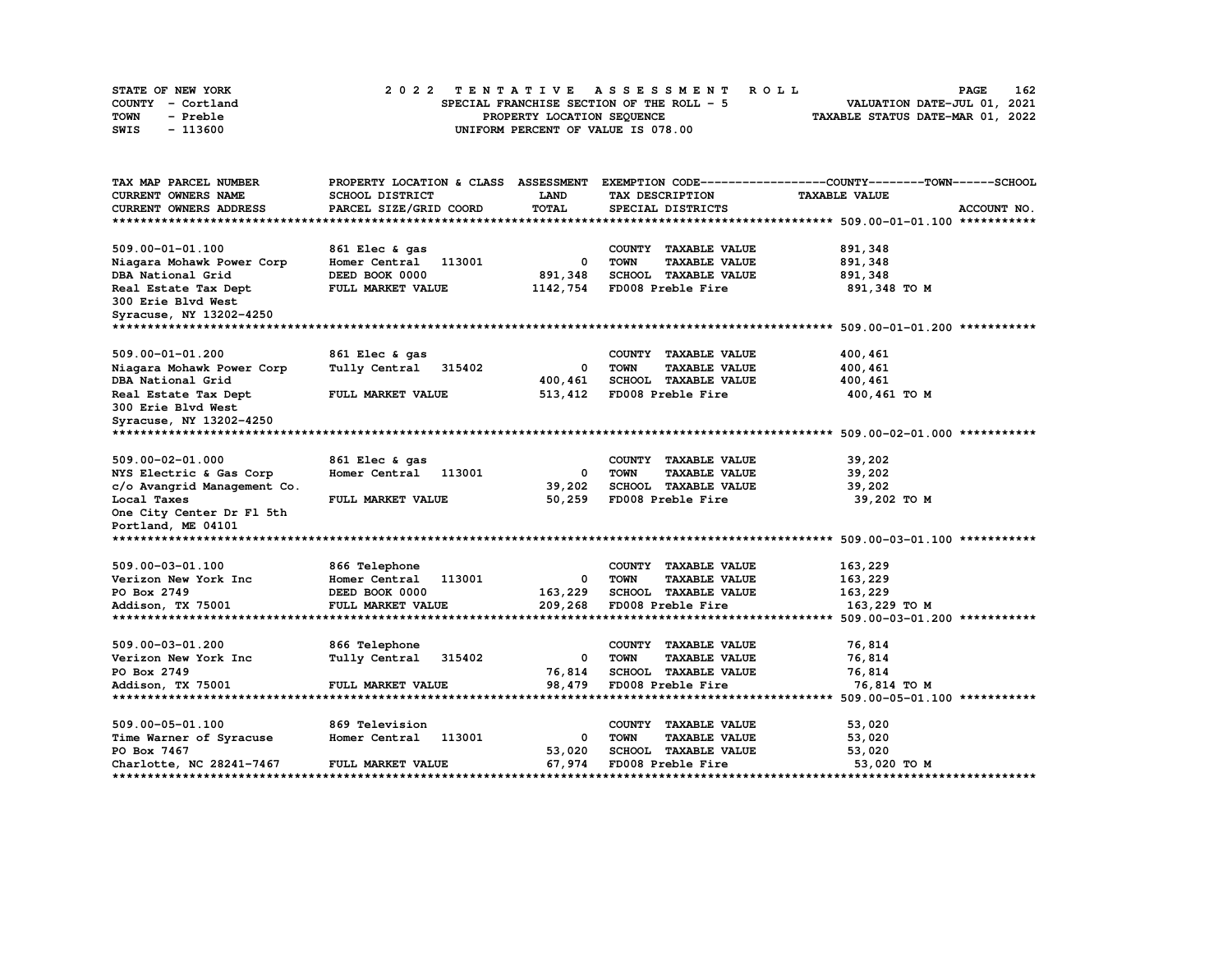| STATE OF NEW YORK | 2022 TENTATIVE ASSESSMENT ROLL            | 162<br><b>PAGE</b>               |
|-------------------|-------------------------------------------|----------------------------------|
| COUNTY - Cortland | SPECIAL FRANCHISE SECTION OF THE ROLL - 5 | VALUATION DATE-JUL 01, 2021      |
| TOWN<br>- Preble  | PROPERTY LOCATION SEQUENCE                | TAXABLE STATUS DATE-MAR 01, 2022 |
| - 113600<br>SWIS  | UNIFORM PERCENT OF VALUE IS 078.00        |                                  |

| TAX MAP PARCEL NUMBER       |                         |             |                                     | PROPERTY LOCATION & CLASS ASSESSMENT EXEMPTION CODE----------------COUNTY-------TOWN------SCHOOL |
|-----------------------------|-------------------------|-------------|-------------------------------------|--------------------------------------------------------------------------------------------------|
| CURRENT OWNERS NAME         | SCHOOL DISTRICT         | <b>LAND</b> | TAX DESCRIPTION                     | <b>TAXABLE VALUE</b>                                                                             |
| CURRENT OWNERS ADDRESS      | PARCEL SIZE/GRID COORD  | TOTAL       | SPECIAL DISTRICTS                   | ACCOUNT NO.                                                                                      |
|                             |                         |             |                                     |                                                                                                  |
| 509.00-01-01.100            | 861 Elec & gas          |             | COUNTY TAXABLE VALUE                | 891,348                                                                                          |
| Niagara Mohawk Power Corp   | Homer Central<br>113001 | 0           | <b>TOWN</b><br><b>TAXABLE VALUE</b> | 891,348                                                                                          |
| DBA National Grid           | DEED BOOK 0000          | 891,348     | SCHOOL TAXABLE VALUE                | 891,348                                                                                          |
| Real Estate Tax Dept        | FULL MARKET VALUE       | 1142,754    | FD008 Preble Fire                   | 891,348 TO M                                                                                     |
| <b>300 Erie Blvd West</b>   |                         |             |                                     |                                                                                                  |
| Syracuse, NY 13202-4250     |                         |             |                                     |                                                                                                  |
|                             |                         |             |                                     |                                                                                                  |
| 509.00-01-01.200            | 861 Elec & gas          |             | COUNTY TAXABLE VALUE                | 400,461                                                                                          |
| Niagara Mohawk Power Corp   | Tully Central 315402    | $\mathbf 0$ | <b>TOWN</b><br><b>TAXABLE VALUE</b> | 400,461                                                                                          |
| DBA National Grid           |                         | 400,461     | SCHOOL TAXABLE VALUE                | 400,461                                                                                          |
| Real Estate Tax Dept        | FULL MARKET VALUE       | 513,412     | FD008 Preble Fire                   | 400,461 TO M                                                                                     |
| 300 Erie Blvd West          |                         |             |                                     |                                                                                                  |
| Syracuse, NY 13202-4250     |                         |             |                                     |                                                                                                  |
|                             |                         |             |                                     |                                                                                                  |
| 509.00-02-01.000            | 861 Elec & gas          |             | COUNTY TAXABLE VALUE                | 39,202                                                                                           |
| NYS Electric & Gas Corp     | Homer Central 113001    | 0           | <b>TOWN</b><br><b>TAXABLE VALUE</b> | 39,202                                                                                           |
| c/o Avangrid Management Co. |                         | 39,202      | SCHOOL TAXABLE VALUE                | 39,202                                                                                           |
| Local Taxes                 | FULL MARKET VALUE       | 50,259      | FD008 Preble Fire                   | 39,202 TO M                                                                                      |
| One City Center Dr Fl 5th   |                         |             |                                     |                                                                                                  |
| Portland, ME 04101          |                         |             |                                     |                                                                                                  |
|                             |                         |             |                                     |                                                                                                  |
| 509.00-03-01.100            | 866 Telephone           |             | COUNTY TAXABLE VALUE                | 163,229                                                                                          |
| Verizon New York Inc        | 113001<br>Homer Central | 0           | <b>TOWN</b><br><b>TAXABLE VALUE</b> | 163,229                                                                                          |
| PO Box 2749                 | DEED BOOK 0000          | 163,229     | <b>SCHOOL TAXABLE VALUE</b>         | 163,229                                                                                          |
| Addison, TX 75001           | FULL MARKET VALUE       | 209,268     | FD008 Preble Fire                   | 163,229 TO M                                                                                     |
|                             |                         |             |                                     |                                                                                                  |
| 509.00-03-01.200            | 866 Telephone           |             | COUNTY TAXABLE VALUE                | 76,814                                                                                           |
| Verizon New York Inc        | Tully Central<br>315402 | 0           | <b>TOWN</b><br><b>TAXABLE VALUE</b> | 76,814                                                                                           |
| PO Box 2749                 |                         | 76,814      | SCHOOL TAXABLE VALUE                | 76,814                                                                                           |
| Addison, TX 75001           | FULL MARKET VALUE       | 98,479      | FD008 Preble Fire                   | 76,814 TO M                                                                                      |
|                             |                         |             |                                     |                                                                                                  |
| 509.00-05-01.100            | 869 Television          |             | COUNTY TAXABLE VALUE                | 53,020                                                                                           |
| Time Warner of Syracuse     | Homer Central<br>113001 | $\mathbf 0$ | <b>TOWN</b><br><b>TAXABLE VALUE</b> | 53,020                                                                                           |
| PO Box 7467                 |                         | 53,020      | SCHOOL TAXABLE VALUE                | 53,020                                                                                           |
| Charlotte, NC 28241-7467    | FULL MARKET VALUE       | 67,974      | FD008 Preble Fire                   | 53,020 TO M                                                                                      |
|                             |                         |             |                                     |                                                                                                  |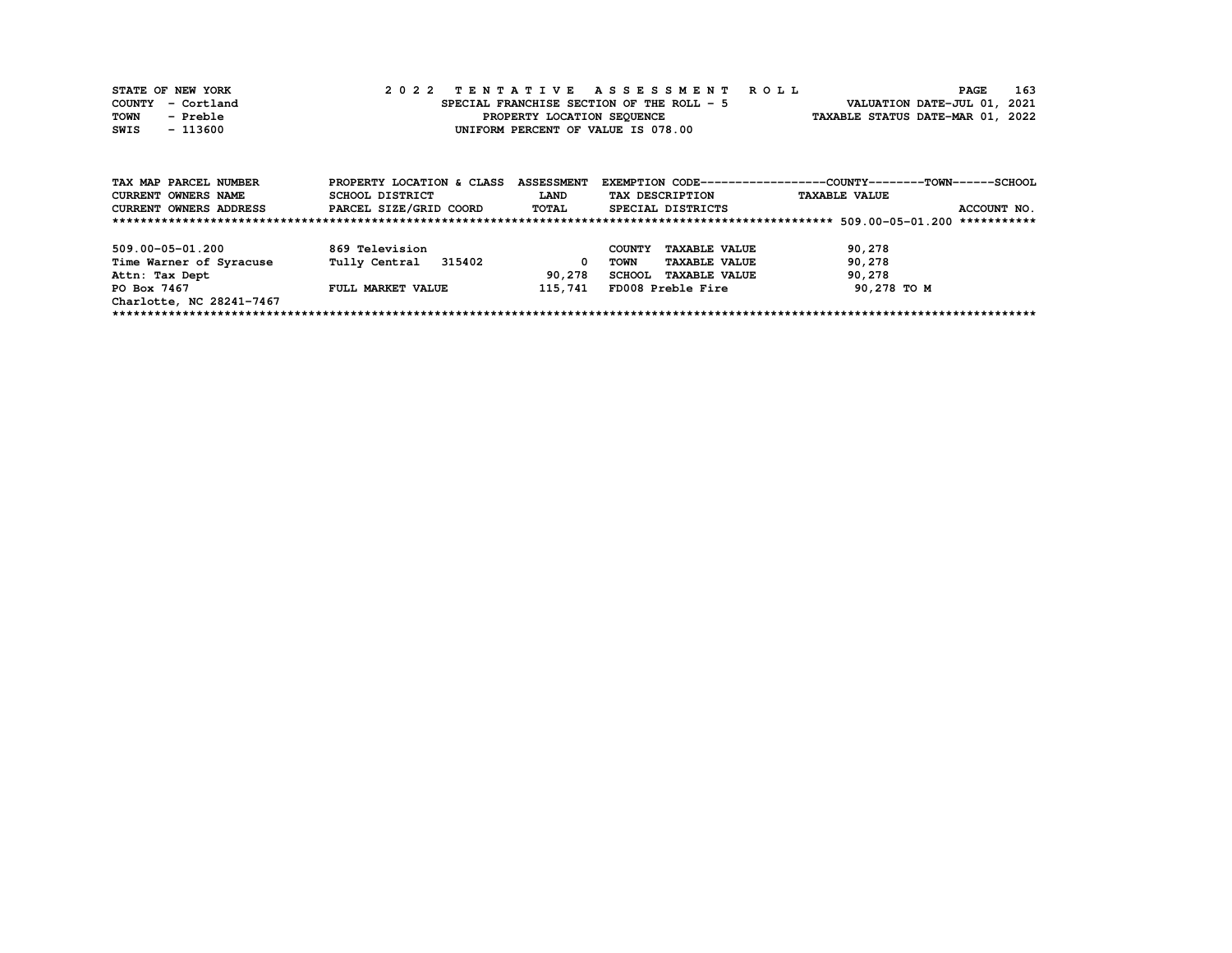| STATE OF NEW YORK | 2022 TENTATIVE ASSESSMENT ROLL            | 163<br><b>PAGE</b>               |
|-------------------|-------------------------------------------|----------------------------------|
| COUNTY - Cortland | SPECIAL FRANCHISE SECTION OF THE ROLL - 5 | VALUATION DATE-JUL 01, 2021      |
| TOWN<br>- Preble  | PROPERTY LOCATION SEQUENCE                | TAXABLE STATUS DATE-MAR 01, 2022 |
| - 113600<br>SWIS  | UNIFORM PERCENT OF VALUE IS 078.00        |                                  |

| TAX MAP PARCEL NUMBER         | PROPERTY LOCATION & CLASS | <b>ASSESSMENT</b> |                                       | EXEMPTION CODE-----------------COUNTY-------TOWN------SCHOOL |
|-------------------------------|---------------------------|-------------------|---------------------------------------|--------------------------------------------------------------|
| <b>CURRENT OWNERS NAME</b>    | SCHOOL DISTRICT           | <b>LAND</b>       | TAX DESCRIPTION                       | <b>TAXABLE VALUE</b>                                         |
| <b>CURRENT OWNERS ADDRESS</b> | PARCEL SIZE/GRID COORD    | TOTAL             | SPECIAL DISTRICTS                     | ACCOUNT NO.                                                  |
|                               |                           |                   |                                       | ***********                                                  |
|                               |                           |                   |                                       |                                                              |
| 509.00-05-01.200              | 869 Television            |                   | <b>TAXABLE VALUE</b><br>COUNTY        | 90,278                                                       |
| Time Warner of Syracuse       | 315402<br>Tully Central   | <sup>0</sup>      | <b>TAXABLE VALUE</b><br>TOWN          | 90,278                                                       |
| Attn: Tax Dept                |                           | 90.278            | <b>TAXABLE VALUE</b><br><b>SCHOOL</b> | 90,278                                                       |
| PO Box 7467                   | FULL MARKET VALUE         | 115,741           | FD008 Preble Fire                     | 90,278 TO M                                                  |
| Charlotte, NC 28241-7467      |                           |                   |                                       |                                                              |
|                               |                           |                   |                                       |                                                              |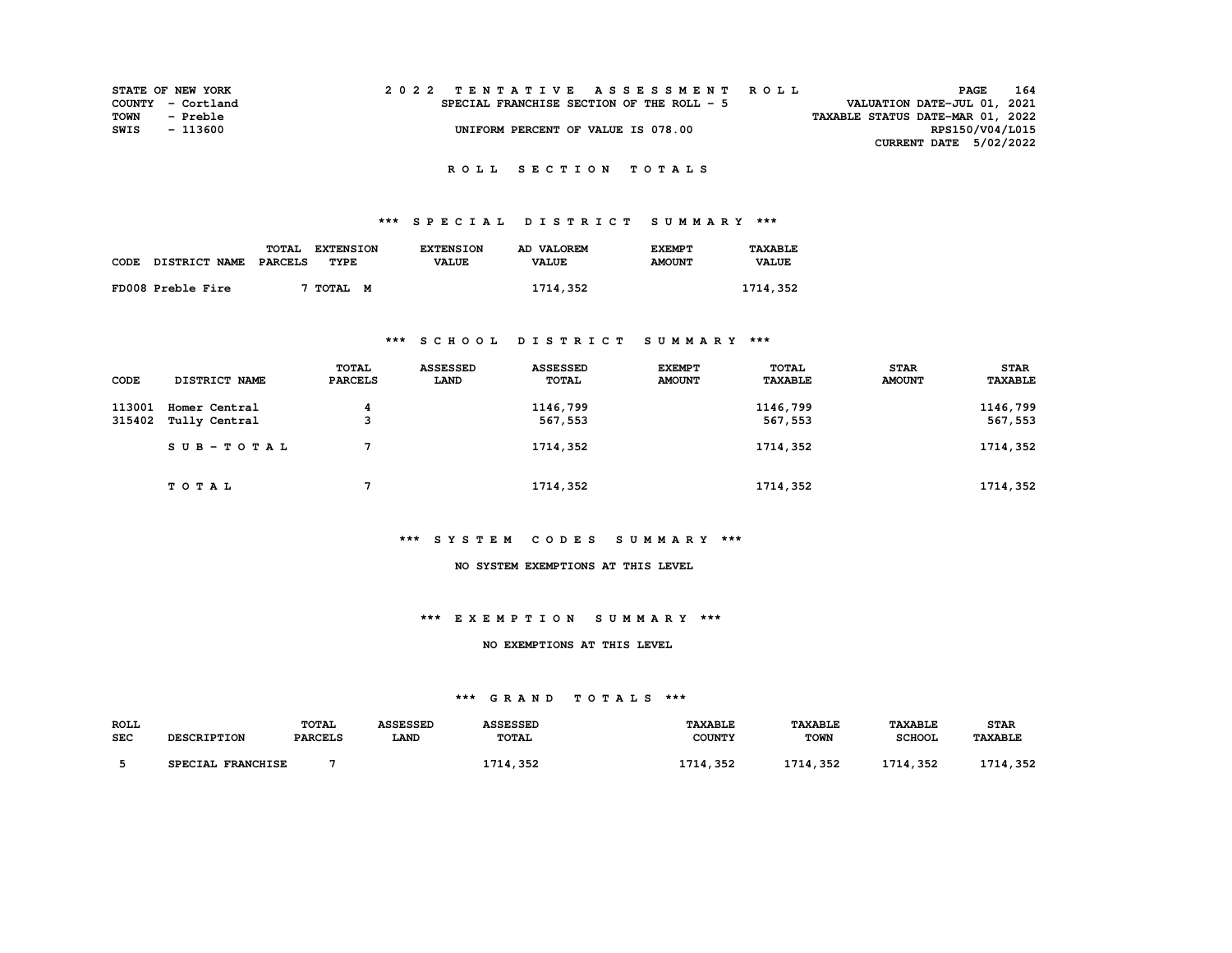| <b>STATE OF NEW YORK</b> |          |  |  |  |  |                                           |  |  |  |  | 2022 TENTATIVE ASSESSMENT ROLL |                                  |                 | PAGE | 164 |
|--------------------------|----------|--|--|--|--|-------------------------------------------|--|--|--|--|--------------------------------|----------------------------------|-----------------|------|-----|
| COUNTY - Cortland        |          |  |  |  |  | SPECIAL FRANCHISE SECTION OF THE ROLL - 5 |  |  |  |  |                                | VALUATION DATE-JUL 01, 2021      |                 |      |     |
| TOWN                     | - Preble |  |  |  |  |                                           |  |  |  |  |                                | TAXABLE STATUS DATE-MAR 01, 2022 |                 |      |     |
| SWIS                     | - 113600 |  |  |  |  | UNIFORM PERCENT OF VALUE IS 078.00        |  |  |  |  |                                |                                  | RPS150/V04/L015 |      |     |
|                          |          |  |  |  |  |                                           |  |  |  |  |                                | CURRENT DATE 5/02/2022           |                 |      |     |

# **\*\*\* S P E C I A L D I S T R I C T S U M M A R Y \*\*\***

|      |                      | TOTAL<br><b>EXTENSION</b> | <b>EXTENSION</b> | AD VALOREM   | <b>EXEMPT</b> | TAXABLE      |
|------|----------------------|---------------------------|------------------|--------------|---------------|--------------|
| CODE | <b>DISTRICT NAME</b> | PARCELS<br>TYPE           | <b>VALUE</b>     | <b>VALUE</b> | <b>AMOUNT</b> | <b>VALUE</b> |
|      | FD008 Preble Fire    | TOTAL M                   |                  | 1714,352     |               | 1714,352     |

### **\*\*\* S C H O O L D I S T R I C T S U M M A R Y \*\*\***

| CODE             | DISTRICT NAME                  | TOTAL<br><b>PARCELS</b> | <b>ASSESSED</b><br>LAND | <b>ASSESSED</b><br><b>TOTAL</b> | <b>EXEMPT</b><br><b>AMOUNT</b> | <b>TOTAL</b><br><b>TAXABLE</b> | <b>STAR</b><br><b>AMOUNT</b> | <b>STAR</b><br><b>TAXABLE</b> |
|------------------|--------------------------------|-------------------------|-------------------------|---------------------------------|--------------------------------|--------------------------------|------------------------------|-------------------------------|
| 113001<br>315402 | Homer Central<br>Tully Central | 4<br>3                  |                         | 1146,799<br>567,553             |                                | 1146,799<br>567,553            |                              | 1146,799<br>567,553           |
|                  | $SUB - TO T AL$                |                         |                         | 1714,352                        |                                | 1714,352                       |                              | 1714,352                      |
|                  | TOTAL                          |                         |                         | 1714,352                        |                                | 1714,352                       |                              | 1714,352                      |

### **\*\*\* S Y S T E M C O D E S S U M M A R Y \*\*\***

#### **NO SYSTEM EXEMPTIONS AT THIS LEVEL**

#### **\*\*\* E X E M P T I O N S U M M A R Y \*\*\***

#### **NO EXEMPTIONS AT THIS LEVEL**

| <b>ROLL</b> |                             | TOTAL          | <b>ASSESSED</b> | <b>ASSESSED</b> | TAXABLE       | <b>TAXABLE</b> | <b>TAXABLE</b>           | <b>STAR</b>           |
|-------------|-----------------------------|----------------|-----------------|-----------------|---------------|----------------|--------------------------|-----------------------|
| SEC         | <b>DESCRIPTION</b>          | <b>PARCELS</b> | LAND            | <b>TOTAL</b>    | <b>COUNTY</b> | <b>TOWN</b>    | <b>SCHOOL</b>            | <b><i>TAXABLE</i></b> |
|             |                             |                |                 |                 |               |                |                          |                       |
|             | SPECIAL<br><b>FRANCHISE</b> |                |                 | , 352<br>1714   | 1714,352      | 1714,352       | 1714, 352<br><b>1714</b> | , 352<br><b>1714</b>  |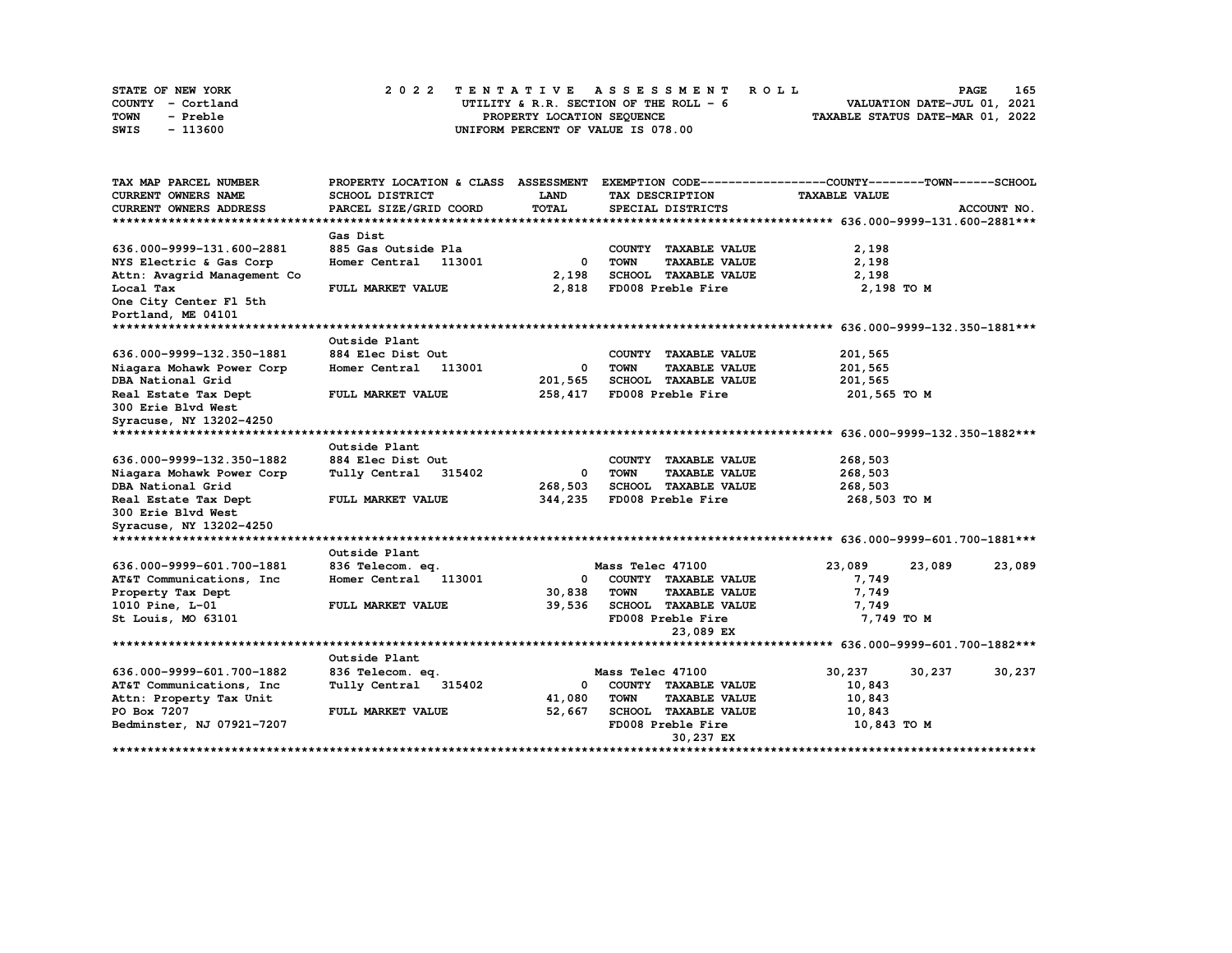| STATE OF NEW YORK | 2022 TENTATIVE ASSESSMENT ROLL          | 165<br><b>PAGE</b>               |
|-------------------|-----------------------------------------|----------------------------------|
| COUNTY - Cortland | UTILITY & R.R. SECTION OF THE ROLL $-6$ | VALUATION DATE-JUL 01, 2021      |
| TOWN<br>- Preble  | PROPERTY LOCATION SEQUENCE              | TAXABLE STATUS DATE-MAR 01, 2022 |
| - 113600<br>SWIS  | UNIFORM PERCENT OF VALUE IS 078.00      |                                  |

| TAX MAP PARCEL NUMBER           | PROPERTY LOCATION & CLASS ASSESSMENT |         |                                     | EXEMPTION CODE-----------------COUNTY-------TOWN------SCHOOL |             |
|---------------------------------|--------------------------------------|---------|-------------------------------------|--------------------------------------------------------------|-------------|
| CURRENT OWNERS NAME             | SCHOOL DISTRICT                      | LAND    | TAX DESCRIPTION                     | <b>TAXABLE VALUE</b>                                         |             |
| <b>CURRENT OWNERS ADDRESS</b>   | PARCEL SIZE/GRID COORD               | TOTAL   | SPECIAL DISTRICTS                   |                                                              | ACCOUNT NO. |
|                                 |                                      |         |                                     |                                                              |             |
|                                 | Gas Dist                             |         |                                     |                                                              |             |
| 636.000-9999-131.600-2881       | 885 Gas Outside Pla                  |         | COUNTY TAXABLE VALUE                | 2,198                                                        |             |
| NYS Electric & Gas Corp         | Homer Central<br>113001              | 0       | <b>TOWN</b><br><b>TAXABLE VALUE</b> | 2,198                                                        |             |
| Attn: Avagrid Management Co     |                                      | 2,198   | SCHOOL TAXABLE VALUE                | 2,198                                                        |             |
| Local Tax                       | FULL MARKET VALUE                    | 2,818   | FD008 Preble Fire                   | 2,198 TO M                                                   |             |
| One City Center Fl 5th          |                                      |         |                                     |                                                              |             |
| Portland, ME 04101              |                                      |         |                                     |                                                              |             |
| ******************************* |                                      |         |                                     |                                                              |             |
|                                 | Outside Plant                        |         |                                     |                                                              |             |
| 636.000-9999-132.350-1881       | 884 Elec Dist Out                    |         | COUNTY TAXABLE VALUE                | 201,565                                                      |             |
| Niagara Mohawk Power Corp       | 113001<br>Homer Central              | 0       | <b>TOWN</b><br><b>TAXABLE VALUE</b> | 201,565                                                      |             |
| DBA National Grid               |                                      | 201,565 | <b>SCHOOL TAXABLE VALUE</b>         | 201,565                                                      |             |
| Real Estate Tax Dept            | FULL MARKET VALUE                    | 258,417 | FD008 Preble Fire                   | 201,565 TO M                                                 |             |
| 300 Erie Blvd West              |                                      |         |                                     |                                                              |             |
| Syracuse, NY 13202-4250         |                                      |         |                                     |                                                              |             |
|                                 |                                      |         |                                     |                                                              |             |
|                                 | Outside Plant                        |         |                                     |                                                              |             |
| 636.000-9999-132.350-1882       | 884 Elec Dist Out                    |         | COUNTY TAXABLE VALUE                | 268,503                                                      |             |
| Niagara Mohawk Power Corp       | Tully Central<br>315402              | 0       | <b>TOWN</b><br><b>TAXABLE VALUE</b> | 268,503                                                      |             |
| DBA National Grid               |                                      | 268,503 | SCHOOL TAXABLE VALUE                | 268,503                                                      |             |
| Real Estate Tax Dept            | FULL MARKET VALUE                    | 344,235 | FD008 Preble Fire                   | 268,503 TO M                                                 |             |
| 300 Erie Blvd West              |                                      |         |                                     |                                                              |             |
| Syracuse, NY 13202-4250         |                                      |         |                                     |                                                              |             |
|                                 |                                      |         |                                     |                                                              |             |
|                                 | Outside Plant                        |         |                                     |                                                              |             |
| 636.000-9999-601.700-1881       | 836 Telecom. eq.                     |         | Mass Telec 47100                    | 23,089<br>23,089                                             | 23,089      |
| AT&T Communications, Inc        | Homer Central<br>113001              | 0       | COUNTY TAXABLE VALUE                | 7,749                                                        |             |
| Property Tax Dept               |                                      | 30,838  | <b>TOWN</b><br><b>TAXABLE VALUE</b> | 7,749                                                        |             |
| 1010 Pine, L-01                 | FULL MARKET VALUE                    | 39,536  | SCHOOL TAXABLE VALUE                | 7,749                                                        |             |
| St Louis, MO 63101              |                                      |         | FD008 Preble Fire                   | 7,749 TO M                                                   |             |
|                                 |                                      |         | 23,089 EX                           |                                                              |             |
|                                 |                                      |         |                                     |                                                              |             |
|                                 | Outside Plant                        |         |                                     |                                                              |             |
| 636.000-9999-601.700-1882       | 836 Telecom. eq.                     |         | Mass Telec 47100                    | 30,237<br>30,237                                             | 30,237      |
| AT&T Communications, Inc        | Tully Central<br>315402              | 0       | COUNTY TAXABLE VALUE                | 10,843                                                       |             |
| Attn: Property Tax Unit         |                                      | 41,080  | <b>TOWN</b><br><b>TAXABLE VALUE</b> | 10,843                                                       |             |
| PO Box 7207                     | FULL MARKET VALUE                    | 52,667  | <b>SCHOOL TAXABLE VALUE</b>         | 10,843                                                       |             |
| Bedminster, NJ 07921-7207       |                                      |         | FD008 Preble Fire                   | 10,843 TO M                                                  |             |
|                                 |                                      |         | 30,237 EX                           |                                                              |             |
|                                 |                                      |         |                                     |                                                              |             |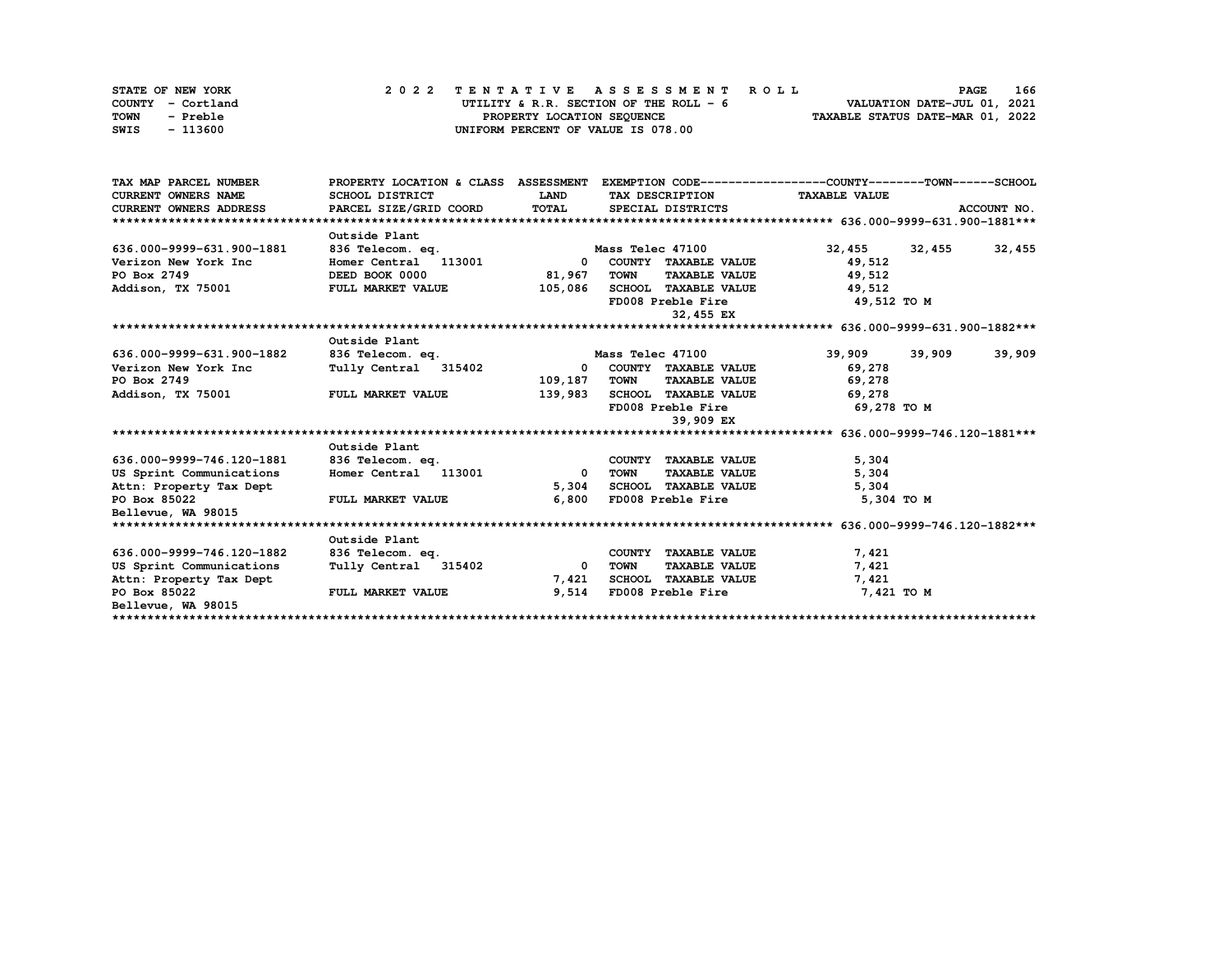| STATE OF NEW YORK | 2022 TENTATIVE ASSESSMENT ROLL          | 166<br><b>PAGE</b>               |
|-------------------|-----------------------------------------|----------------------------------|
| COUNTY - Cortland | UTILITY & R.R. SECTION OF THE ROLL $-6$ | VALUATION DATE-JUL 01, 2021      |
| TOWN<br>- Preble  | PROPERTY LOCATION SEQUENCE              | TAXABLE STATUS DATE-MAR 01, 2022 |
| - 113600<br>SWIS  | UNIFORM PERCENT OF VALUE IS 078.00      |                                  |

| TAX MAP PARCEL NUMBER                       | PROPERTY LOCATION & CLASS ASSESSMENT EXEMPTION CODE----------------COUNTY-------TOWN------SCHOOL |                         |                                     |               |        |             |
|---------------------------------------------|--------------------------------------------------------------------------------------------------|-------------------------|-------------------------------------|---------------|--------|-------------|
| <b>CURRENT OWNERS NAME</b>                  | SCHOOL DISTRICT                                                                                  | <b>LAND</b>             | TAX DESCRIPTION TAXABLE VALUE       |               |        |             |
| CURRENT OWNERS ADDRESS                      | PARCEL SIZE/GRID COORD                                                                           | <b>TOTAL</b>            | SPECIAL DISTRICTS                   |               |        | ACCOUNT NO. |
|                                             |                                                                                                  |                         |                                     |               |        |             |
|                                             | Outside Plant                                                                                    |                         |                                     |               |        |             |
| 636.000-9999-631.900-1881                   | 836 Telecom. eq.                                                                                 |                         | Mass Telec 47100                    | 32,455 32,455 |        | 32,455      |
| Verizon New York Inc                        | Homer Central 113001                                                                             |                         | 0 COUNTY TAXABLE VALUE              | 49,512        |        |             |
| PO Box 2749                                 | DEED BOOK 0000                                                                                   | 81,967                  | <b>TOWN</b><br><b>TAXABLE VALUE</b> | 49,512        |        |             |
| Addison, TX 75001 FULL MARKET VALUE 105,086 |                                                                                                  |                         | SCHOOL TAXABLE VALUE                | 49,512        |        |             |
|                                             |                                                                                                  |                         | FD008 Preble Fire 49,512 TO M       |               |        |             |
|                                             |                                                                                                  |                         | 32,455 EX                           |               |        |             |
|                                             |                                                                                                  |                         |                                     |               |        |             |
|                                             | Outside Plant                                                                                    |                         |                                     |               |        |             |
| 636.000-9999-631.900-1882                   | 836 Telecom. eq.                                                                                 |                         | Mass Telec 47100                    | 39,909        | 39,909 | 39,909      |
| Verizon New York Inc                        | Tully Central 315402                                                                             |                         | 0 COUNTY TAXABLE VALUE              | 69,278        |        |             |
| PO Box 2749                                 |                                                                                                  | 109,187                 | TOWN TAXABLE VALUE 69,278           |               |        |             |
| Addison, TX 75001 FULL MARKET VALUE         |                                                                                                  | 139,983                 |                                     |               |        |             |
|                                             |                                                                                                  |                         |                                     | 69,278 TO M   |        |             |
|                                             |                                                                                                  |                         | 39,909 EX                           |               |        |             |
|                                             |                                                                                                  |                         |                                     |               |        |             |
|                                             | Outside Plant                                                                                    |                         |                                     |               |        |             |
| 636.000-9999-746.120-1881                   | 836 Telecom. eq.                                                                                 |                         | COUNTY TAXABLE VALUE                | 5,304         |        |             |
| US Sprint Communications                    | Homer Central 113001                                                                             | $\Omega$                | TAXABLE VALUE<br>TOWN               | 5,304         |        |             |
| Attn: Property Tax Dept                     |                                                                                                  |                         | 5,304 SCHOOL TAXABLE VALUE          | 5,304         |        |             |
| PO Box 85022                                | FULL MARKET VALUE                                                                                |                         | 6,800 FD008 Preble Fire             | 5,304 TO M    |        |             |
| Bellevue, WA 98015                          |                                                                                                  |                         |                                     |               |        |             |
|                                             |                                                                                                  |                         |                                     |               |        |             |
|                                             | Outside Plant                                                                                    |                         |                                     |               |        |             |
| 636.000-9999-746.120-1882                   | 836 Telecom. eq.                                                                                 |                         | COUNTY TAXABLE VALUE                | 7,421         |        |             |
| US Sprint Communications                    | Tully Central 315402                                                                             | $\overline{\mathbf{0}}$ | TOWN<br><b>TAXABLE VALUE</b>        | 7,421         |        |             |
| Attn: Property Tax Dept                     |                                                                                                  | 7,421                   | SCHOOL TAXABLE VALUE                | 7,421         |        |             |
| PO Box 85022                                | <b>FULL MARKET VALUE</b>                                                                         | 9.514                   | FD008 Preble Fire                   | 7,421 TO M    |        |             |
| Bellevue, WA 98015                          |                                                                                                  |                         |                                     |               |        |             |
|                                             |                                                                                                  |                         |                                     |               |        |             |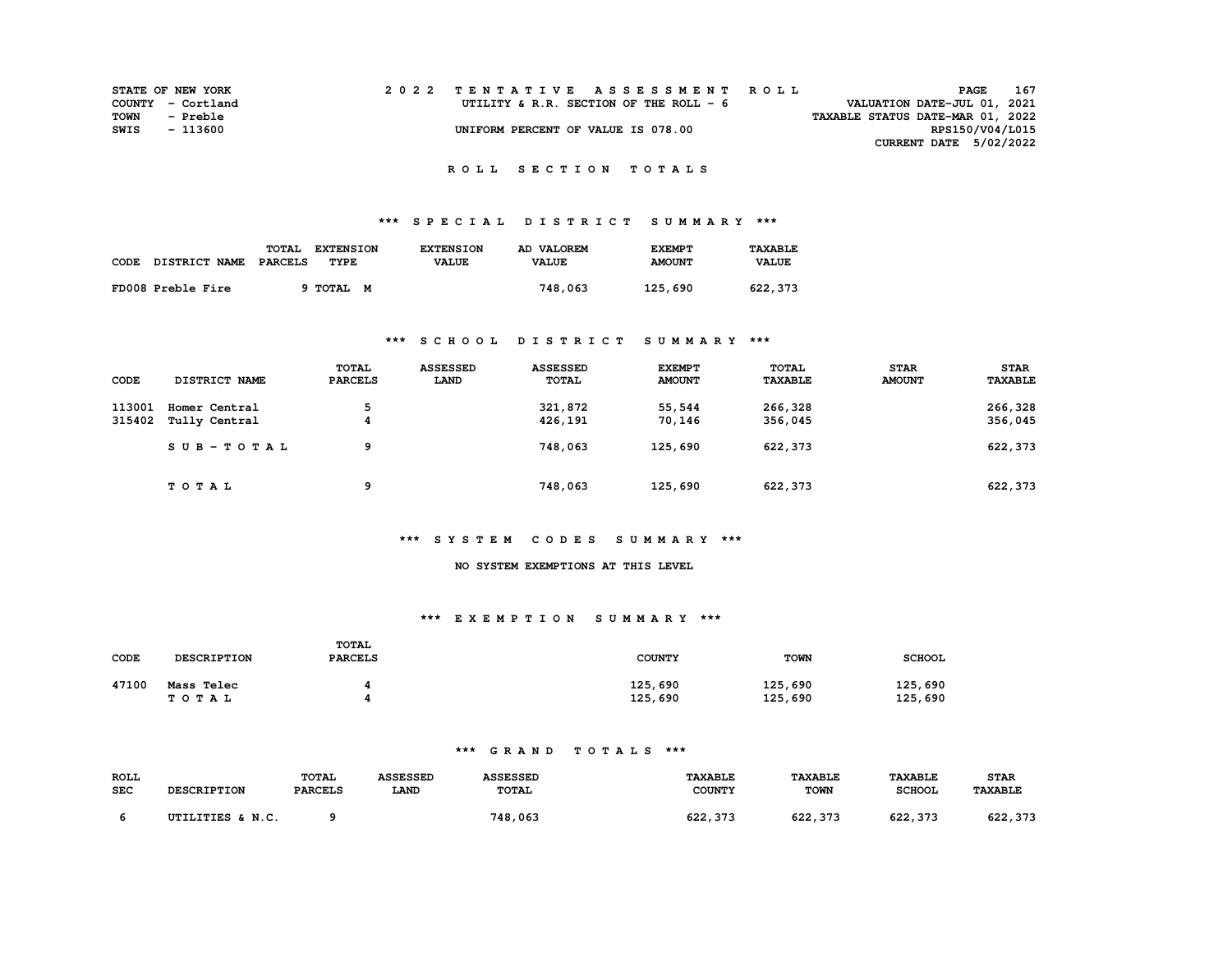|      | <b>STATE OF NEW YORK</b> |  | 2022 TENTATIVE ASSESSMENT ROLL         | 167<br>PAGE                      |  |
|------|--------------------------|--|----------------------------------------|----------------------------------|--|
|      | COUNTY - Cortland        |  | UTILITY & R.R. SECTION OF THE ROLL - 6 | VALUATION DATE-JUL 01, 2021      |  |
| TOWN | - Preble                 |  |                                        | TAXABLE STATUS DATE-MAR 01, 2022 |  |
| SWIS | - 113600                 |  | UNIFORM PERCENT OF VALUE IS 078.00     | RPS150/V04/L015                  |  |
|      |                          |  |                                        | CURRENT DATE 5/02/2022           |  |

# **\*\*\* S P E C I A L D I S T R I C T S U M M A R Y \*\*\***

| CODE | <b>DISTRICT NAME</b> | TOTAL<br>PARCELS | <b>EXTENSION</b><br>TYPE | <b>EXTENSION</b><br><b>VALUE</b> | AD VALOREM<br><b>VALUE</b> | <b>EXEMPT</b><br><b>AMOUNT</b> | <b>TAXABLE</b><br><b>VALUE</b> |
|------|----------------------|------------------|--------------------------|----------------------------------|----------------------------|--------------------------------|--------------------------------|
|      | FD008 Preble Fire    |                  | TOTAL M                  |                                  | 748,063                    | 125,690                        | 622,373                        |

### **\*\*\* S C H O O L D I S T R I C T S U M M A R Y \*\*\***

| CODE             | DISTRICT NAME                  | TOTAL<br><b>PARCELS</b> | <b>ASSESSED</b><br>LAND | <b>ASSESSED</b><br><b>TOTAL</b> | <b>EXEMPT</b><br><b>AMOUNT</b> | <b>TOTAL</b><br><b>TAXABLE</b> | <b>STAR</b><br><b>AMOUNT</b> | <b>STAR</b><br><b>TAXABLE</b> |
|------------------|--------------------------------|-------------------------|-------------------------|---------------------------------|--------------------------------|--------------------------------|------------------------------|-------------------------------|
| 113001<br>315402 | Homer Central<br>Tully Central | 5<br>4                  |                         | 321,872<br>426,191              | 55,544<br>70,146               | 266,328<br>356,045             |                              | 266,328<br>356,045            |
|                  | $SUB - TO T AL$                | 9                       |                         | 748,063                         | 125,690                        | 622,373                        |                              | 622,373                       |
|                  | TOTAL                          | 9                       |                         | 748,063                         | 125,690                        | 622,373                        |                              | 622,373                       |

### **\*\*\* S Y S T E M C O D E S S U M M A R Y \*\*\***

#### **NO SYSTEM EXEMPTIONS AT THIS LEVEL**

#### **\*\*\* E X E M P T I O N S U M M A R Y \*\*\***

| CODE  | <b>DESCRIPTION</b>  | TOTAL<br><b>PARCELS</b> | <b>COUNTY</b>      | <b>TOWN</b>        | <b>SCHOOL</b>      |
|-------|---------------------|-------------------------|--------------------|--------------------|--------------------|
| 47100 | Mass Telec<br>TOTAL |                         | 125,690<br>125,690 | 125,690<br>125,690 | 125,690<br>125,690 |

| <b>ROLL</b><br>SEC | <b>DESCRIPTION</b> | TOTAL<br><b>PARCELS</b> | <b>ASSESSED</b><br><b>LAND</b> | <b>\SSESSED</b><br>TOTAL | <b>TAXABLE</b><br><b>COUNTY</b> | <b>TAXABLE</b><br><b>TOWN</b> | <b>TAXABLE</b><br><b>SCHOOL</b> | <b>STAR</b><br><b>TAXABLE</b> |
|--------------------|--------------------|-------------------------|--------------------------------|--------------------------|---------------------------------|-------------------------------|---------------------------------|-------------------------------|
|                    | UTILITIES & N.C.   |                         |                                | 748,063                  | ເລລ<br>. 373<br>044             | 622, 373                      | 622<br>っつつ                      | 622.<br>373 ،                 |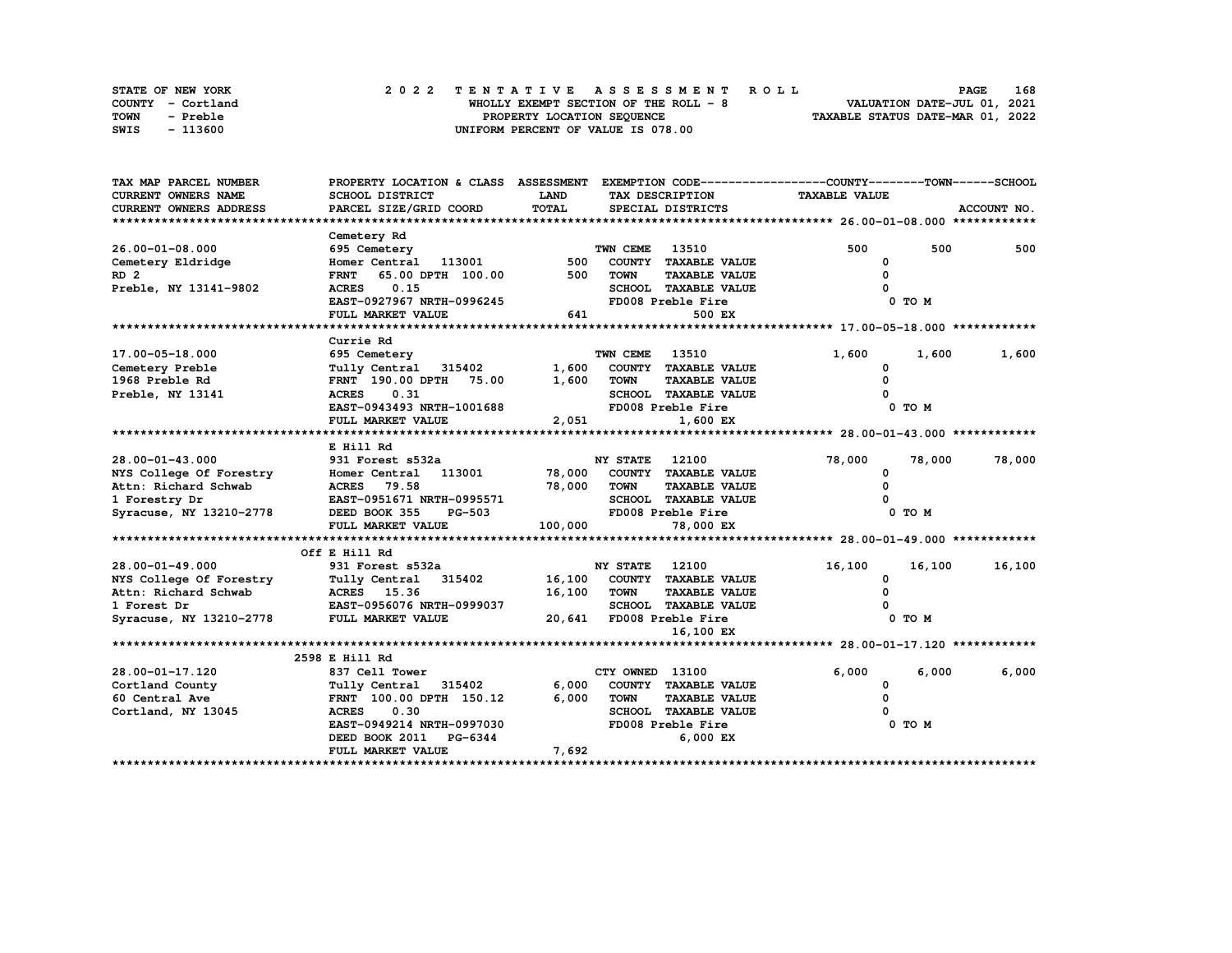| STATE OF NEW YORK       | 2022 TENTATIVE ASSESSMENT ROLL        | 168<br><b>PAGE</b>               |
|-------------------------|---------------------------------------|----------------------------------|
| COUNTY - Cortland       | WHOLLY EXEMPT SECTION OF THE ROLL - 8 | VALUATION DATE-JUL 01, 2021      |
| <b>TOWN</b><br>- Preble | PROPERTY LOCATION SEQUENCE            | TAXABLE STATUS DATE-MAR 01, 2022 |
| SWIS<br>- 113600        | UNIFORM PERCENT OF VALUE IS 078.00    |                                  |

| TAX MAP PARCEL NUMBER      | PROPERTY LOCATION & CLASS ASSESSMENT |             |                                     | EXEMPTION CODE------------------COUNTY-------TOWN------SCHOOL |             |
|----------------------------|--------------------------------------|-------------|-------------------------------------|---------------------------------------------------------------|-------------|
| <b>CURRENT OWNERS NAME</b> | <b>SCHOOL DISTRICT</b>               | <b>LAND</b> | TAX DESCRIPTION                     | <b>TAXABLE VALUE</b>                                          |             |
| CURRENT OWNERS ADDRESS     | PARCEL SIZE/GRID COORD               | TOTAL       | SPECIAL DISTRICTS                   |                                                               | ACCOUNT NO. |
|                            |                                      |             |                                     |                                                               |             |
|                            | Cemetery Rd                          |             |                                     |                                                               |             |
| $26.00 - 01 - 08.000$      | 695 Cemetery                         |             | TWN CEME<br>13510                   | 500<br>500                                                    | 500         |
| Cemetery Eldridge          | Homer Central 113001                 | 500         | COUNTY TAXABLE VALUE                | 0                                                             |             |
| RD <sub>2</sub>            | 65.00 DPTH 100.00<br><b>FRNT</b>     | 500         | <b>TAXABLE VALUE</b><br><b>TOWN</b> |                                                               |             |
| Preble, NY 13141-9802      | <b>ACRES</b><br>0.15                 |             | SCHOOL TAXABLE VALUE                |                                                               |             |
|                            | EAST-0927967 NRTH-0996245            |             | FD008 Preble Fire                   | 0 TO M                                                        |             |
|                            | FULL MARKET VALUE                    | 641         | 500 EX                              |                                                               |             |
|                            |                                      |             |                                     |                                                               |             |
|                            | Currie Rd                            |             |                                     |                                                               |             |
| 17.00-05-18.000            | 695 Cemetery                         |             | TWN CEME<br>13510                   | 1,600<br>1,600                                                | 1,600       |
| Cemetery Preble            | Tully Central 315402                 | 1,600       | COUNTY TAXABLE VALUE                | 0                                                             |             |
| 1968 Preble Rd             | FRNT 190.00 DPTH 75.00               | 1,600       | <b>TAXABLE VALUE</b><br><b>TOWN</b> | $\Omega$                                                      |             |
| Preble, NY 13141           | 0.31<br><b>ACRES</b>                 |             | SCHOOL TAXABLE VALUE                |                                                               |             |
|                            | EAST-0943493 NRTH-1001688            |             | FD008 Preble Fire                   | 0 TO M                                                        |             |
|                            | FULL MARKET VALUE                    | 2,051       | $1,600$ EX                          |                                                               |             |
|                            |                                      |             |                                     |                                                               |             |
|                            | E Hill Rd                            |             |                                     |                                                               |             |
| 28.00-01-43.000            | 931 Forest s532a                     |             | <b>NY STATE</b><br>12100            | 78,000<br>78,000                                              | 78,000      |
| NYS College Of Forestry    | Homer Central 113001                 | 78,000      | COUNTY TAXABLE VALUE                | $\mathbf{o}$                                                  |             |
| Attn: Richard Schwab       | <b>ACRES</b><br>79.58                | 78,000      | <b>TOWN</b><br><b>TAXABLE VALUE</b> | 0                                                             |             |
| 1 Forestry Dr              | EAST-0951671 NRTH-0995571            |             | SCHOOL TAXABLE VALUE                |                                                               |             |
| Syracuse, NY 13210-2778    | DEED BOOK 355<br><b>PG-503</b>       |             | FD008 Preble Fire                   | 0 TO M                                                        |             |
|                            | FULL MARKET VALUE                    | 100,000     | 78,000 EX                           |                                                               |             |
|                            |                                      |             |                                     |                                                               |             |
|                            | Off E Hill Rd                        |             |                                     |                                                               |             |
| 28.00-01-49.000            | 931 Forest s532a                     |             | <b>NY STATE</b><br>12100            | 16,100<br>16,100                                              | 16,100      |
| NYS College Of Forestry    | Tully Central 315402                 | 16,100      | COUNTY TAXABLE VALUE                | 0                                                             |             |
| Attn: Richard Schwab       | ACRES 15.36                          | 16,100      | <b>TOWN</b><br><b>TAXABLE VALUE</b> | $\Omega$                                                      |             |
| 1 Forest Dr                | EAST-0956076 NRTH-0999037            |             | <b>SCHOOL TAXABLE VALUE</b>         |                                                               |             |
| Syracuse, NY 13210-2778    | FULL MARKET VALUE                    |             | 20,641 FD008 Preble Fire            | $0$ TO $M$                                                    |             |
|                            |                                      |             | 16,100 EX                           |                                                               |             |
|                            |                                      |             |                                     |                                                               |             |
|                            | 2598 E Hill Rd                       |             |                                     |                                                               |             |
| 28.00-01-17.120            | 837 Cell Tower                       |             | CTY OWNED 13100                     | 6,000<br>6,000                                                | 6,000       |
| Cortland County            | Tully Central 315402                 | 6,000       | COUNTY TAXABLE VALUE                | 0                                                             |             |
| 60 Central Ave             | FRNT 100.00 DPTH 150.12              | 6,000       | <b>TOWN</b><br><b>TAXABLE VALUE</b> | $\Omega$                                                      |             |
| Cortland, NY 13045         | 0.30<br><b>ACRES</b>                 |             | <b>SCHOOL TAXABLE VALUE</b>         |                                                               |             |
|                            | EAST-0949214 NRTH-0997030            |             | FD008 Preble Fire                   | 0 TO M                                                        |             |
|                            | DEED BOOK 2011 PG-6344               |             | 6,000 EX                            |                                                               |             |
|                            | FULL MARKET VALUE                    | 7,692       |                                     |                                                               |             |
|                            |                                      |             |                                     |                                                               |             |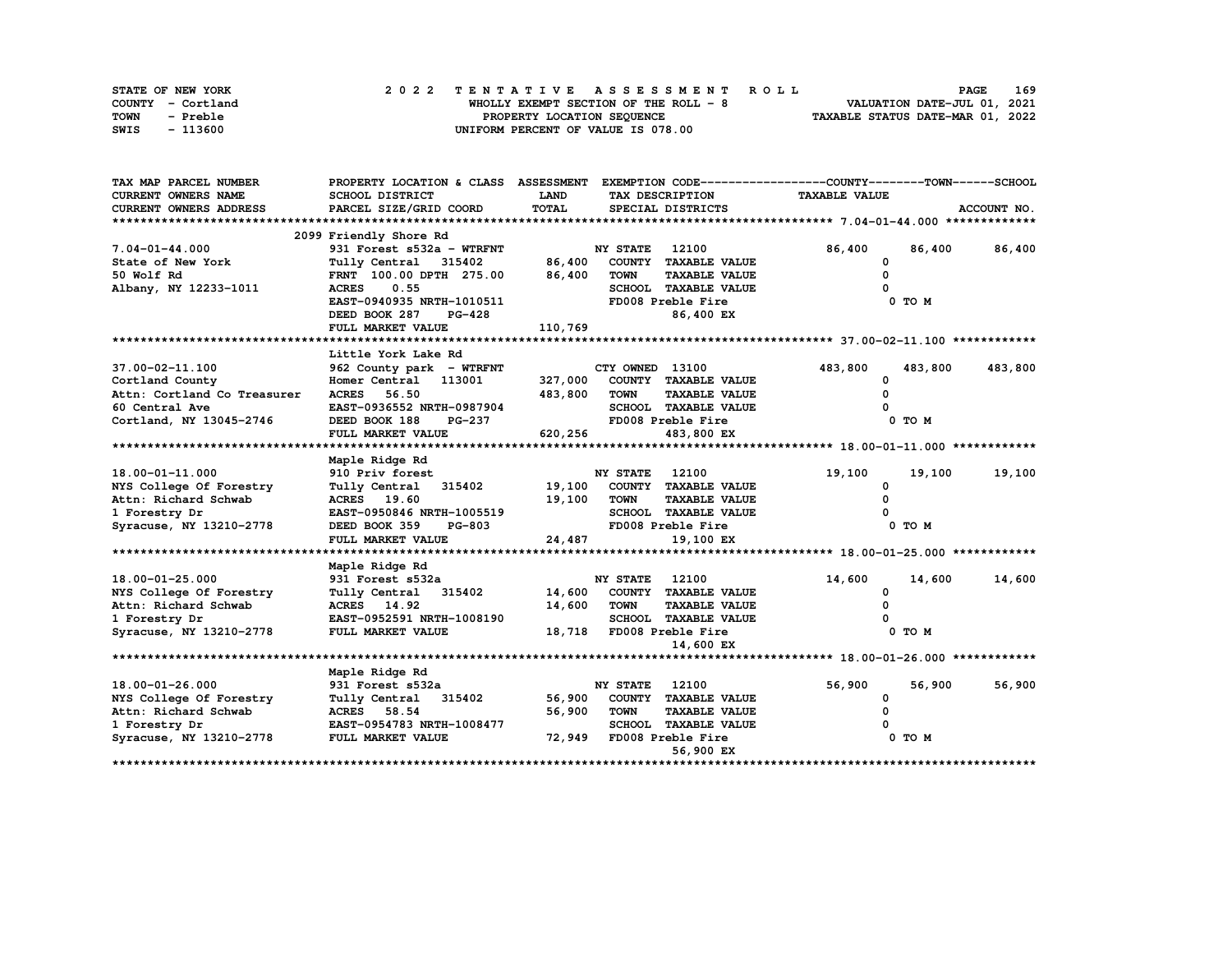| STATE OF NEW YORK | 2022 TENTATIVE ASSESSMENT ROLL        | 169<br><b>PAGE</b>               |
|-------------------|---------------------------------------|----------------------------------|
| COUNTY - Cortland | WHOLLY EXEMPT SECTION OF THE ROLL - 8 | VALUATION DATE-JUL 01, 2021      |
| TOWN<br>- Preble  | PROPERTY LOCATION SEQUENCE            | TAXABLE STATUS DATE-MAR 01, 2022 |
| - 113600<br>SWIS  | UNIFORM PERCENT OF VALUE IS 078.00    |                                  |

| TAX MAP PARCEL NUMBER       | PROPERTY LOCATION & CLASS ASSESSMENT |         |                          |                             | EXEMPTION CODE------------------COUNTY-------TOWN------SCHOOL |         |             |
|-----------------------------|--------------------------------------|---------|--------------------------|-----------------------------|---------------------------------------------------------------|---------|-------------|
| CURRENT OWNERS NAME         | SCHOOL DISTRICT                      | LAND    | TAX DESCRIPTION          |                             | <b>TAXABLE VALUE</b>                                          |         |             |
| CURRENT OWNERS ADDRESS      | PARCEL SIZE/GRID COORD               | TOTAL   |                          | SPECIAL DISTRICTS           |                                                               |         | ACCOUNT NO. |
|                             |                                      |         |                          |                             |                                                               |         |             |
|                             | 2099 Friendly Shore Rd               |         |                          |                             |                                                               |         |             |
| $7.04 - 01 - 44.000$        | 931 Forest s532a - WTRFNT            |         | <b>NY STATE</b>          | 12100                       | 86,400                                                        | 86,400  | 86,400      |
| State of New York           | Tully Central 315402                 | 86,400  |                          | COUNTY TAXABLE VALUE        | 0                                                             |         |             |
| 50 Wolf Rd                  | FRNT 100.00 DPTH 275.00              | 86,400  | <b>TOWN</b>              | <b>TAXABLE VALUE</b>        | <sup>0</sup>                                                  |         |             |
| Albany, NY 12233-1011       | 0.55<br><b>ACRES</b>                 |         |                          | SCHOOL TAXABLE VALUE        |                                                               |         |             |
|                             | EAST-0940935 NRTH-1010511            |         |                          | FD008 Preble Fire           |                                                               | 0 TO M  |             |
|                             | DEED BOOK 287<br>PG-428              |         |                          | 86,400 EX                   |                                                               |         |             |
|                             | FULL MARKET VALUE                    | 110,769 |                          |                             |                                                               |         |             |
|                             |                                      |         |                          |                             |                                                               |         |             |
|                             | Little York Lake Rd                  |         |                          |                             |                                                               |         |             |
| 37.00-02-11.100             | 962 County park - WTRFNT             |         | CTY OWNED 13100          |                             | 483,800                                                       | 483,800 | 483,800     |
| Cortland County             | Homer Central 113001                 | 327,000 |                          | COUNTY TAXABLE VALUE        | 0                                                             |         |             |
| Attn: Cortland Co Treasurer | 56.50<br><b>ACRES</b>                | 483,800 | <b>TOWN</b>              | <b>TAXABLE VALUE</b>        | O                                                             |         |             |
| 60 Central Ave              | EAST-0936552 NRTH-0987904            |         |                          | SCHOOL TAXABLE VALUE        |                                                               |         |             |
| Cortland, NY 13045-2746     | DEED BOOK 188<br>PG-237              |         |                          | FD008 Preble Fire           |                                                               | 0 TO M  |             |
|                             | FULL MARKET VALUE                    | 620,256 |                          | 483,800 EX                  |                                                               |         |             |
|                             |                                      |         |                          |                             |                                                               |         |             |
|                             | Maple Ridge Rd                       |         |                          |                             |                                                               |         |             |
| 18.00-01-11.000             | 910 Priv forest                      |         | <b>NY STATE</b>          | 12100                       | 19,100                                                        | 19,100  | 19,100      |
| NYS College Of Forestry     | Tully Central 315402                 | 19,100  |                          | COUNTY TAXABLE VALUE        | 0                                                             |         |             |
| Attn: Richard Schwab        | ACRES 19.60                          | 19,100  | <b>TOWN</b>              | <b>TAXABLE VALUE</b>        | $\mathbf{o}$                                                  |         |             |
| 1 Forestry Dr               | EAST-0950846 NRTH-1005519            |         |                          | <b>SCHOOL TAXABLE VALUE</b> |                                                               |         |             |
| Syracuse, NY 13210-2778     | DEED BOOK 359<br>PG-803              |         |                          | FD008 Preble Fire           |                                                               | 0 TO M  |             |
|                             | FULL MARKET VALUE                    | 24,487  |                          | 19,100 EX                   |                                                               |         |             |
|                             |                                      |         |                          |                             |                                                               |         |             |
|                             | Maple Ridge Rd                       |         |                          |                             |                                                               |         |             |
| 18.00-01-25.000             | 931 Forest s532a                     |         | <b>NY STATE</b>          | 12100                       | 14,600                                                        | 14,600  | 14,600      |
| NYS College Of Forestry     | Tully Central 315402                 | 14,600  |                          | COUNTY TAXABLE VALUE        | 0                                                             |         |             |
| Attn: Richard Schwab        | ACRES 14.92                          | 14,600  | <b>TOWN</b>              | <b>TAXABLE VALUE</b>        | O                                                             |         |             |
| 1 Forestry Dr               | EAST-0952591 NRTH-1008190            |         |                          | <b>SCHOOL TAXABLE VALUE</b> |                                                               |         |             |
| Syracuse, NY 13210-2778     | FULL MARKET VALUE                    |         | 18,718 FD008 Preble Fire |                             |                                                               | 0 TO M  |             |
|                             |                                      |         |                          | 14,600 EX                   |                                                               |         |             |
|                             |                                      |         |                          |                             |                                                               |         |             |
|                             | Maple Ridge Rd                       |         |                          |                             |                                                               |         |             |
| 18.00-01-26.000             | 931 Forest s532a                     |         | <b>NY STATE</b>          | 12100                       | 56,900                                                        | 56,900  | 56,900      |
| NYS College Of Forestry     | Tully Central 315402                 | 56,900  |                          | COUNTY TAXABLE VALUE        | 0                                                             |         |             |
| Attn: Richard Schwab        | <b>ACRES</b> 58.54                   | 56,900  | <b>TOWN</b>              | <b>TAXABLE VALUE</b>        |                                                               |         |             |
| 1 Forestry Dr               | EAST-0954783 NRTH-1008477            |         |                          | <b>SCHOOL TAXABLE VALUE</b> |                                                               |         |             |
| Syracuse, NY 13210-2778     | FULL MARKET VALUE                    | 72,949  |                          | FD008 Preble Fire           |                                                               | 0 TO M  |             |
|                             |                                      |         |                          | 56,900 EX                   |                                                               |         |             |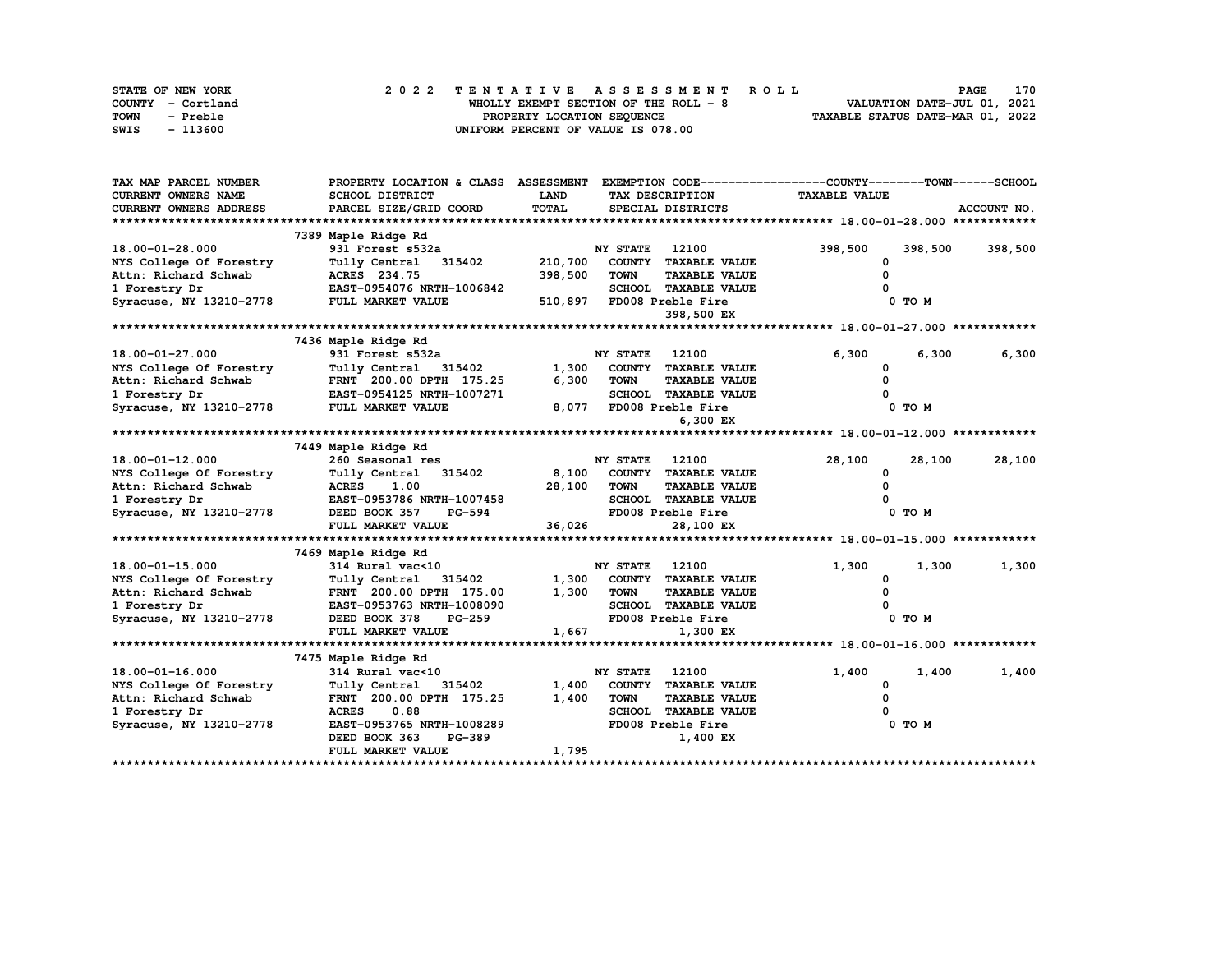| STATE OF NEW YORK | 2022 TENTATIVE ASSESSMENT ROLL        | 170<br><b>PAGE</b>               |
|-------------------|---------------------------------------|----------------------------------|
| COUNTY - Cortland | WHOLLY EXEMPT SECTION OF THE ROLL - 8 | VALUATION DATE-JUL 01, 2021      |
| TOWN<br>- Preble  | PROPERTY LOCATION SEQUENCE            | TAXABLE STATUS DATE-MAR 01, 2022 |
| SWIS<br>- 113600  | UNIFORM PERCENT OF VALUE IS 078.00    |                                  |

| TAX MAP PARCEL NUMBER      | PROPERTY LOCATION & CLASS ASSESSMENT  |         |                             |                      | EXEMPTION CODE-----------------COUNTY-------TOWN------SCHOOL |         |             |
|----------------------------|---------------------------------------|---------|-----------------------------|----------------------|--------------------------------------------------------------|---------|-------------|
| <b>CURRENT OWNERS NAME</b> | SCHOOL DISTRICT                       | LAND    | TAX DESCRIPTION             |                      | <b>TAXABLE VALUE</b>                                         |         |             |
| CURRENT OWNERS ADDRESS     | PARCEL SIZE/GRID COORD                | TOTAL   | SPECIAL DISTRICTS           |                      |                                                              |         | ACCOUNT NO. |
|                            |                                       |         |                             |                      |                                                              |         |             |
|                            | 7389 Maple Ridge Rd                   |         |                             |                      |                                                              |         |             |
| 18.00-01-28.000            | 931 Forest s532a                      |         | 12100<br><b>NY STATE</b>    |                      | 398,500                                                      | 398,500 | 398,500     |
| NYS College Of Forestry    | Tully Central<br>315402               | 210,700 | COUNTY TAXABLE VALUE        |                      | 0                                                            |         |             |
| Attn: Richard Schwab       | ACRES 234.75                          | 398,500 | <b>TOWN</b>                 | <b>TAXABLE VALUE</b> |                                                              |         |             |
| 1 Forestry Dr              | EAST-0954076 NRTH-1006842             |         | SCHOOL TAXABLE VALUE        |                      |                                                              |         |             |
| Syracuse, NY 13210-2778    | FULL MARKET VALUE                     | 510,897 | FD008 Preble Fire           |                      |                                                              | 0 TO M  |             |
|                            |                                       |         |                             | 398,500 EX           |                                                              |         |             |
|                            |                                       |         |                             |                      |                                                              |         |             |
|                            | 7436 Maple Ridge Rd                   |         |                             |                      |                                                              |         |             |
| $18.00 - 01 - 27.000$      | 931 Forest s532a                      |         | <b>NY STATE</b><br>12100    |                      | 6,300                                                        | 6,300   | 6,300       |
| NYS College Of Forestry    | Tully Central<br>315402               | 1,300   | COUNTY TAXABLE VALUE        |                      | 0                                                            |         |             |
| Attn: Richard Schwab       | FRNT 200.00 DPTH 175.25               | 6,300   | <b>TOWN</b>                 | <b>TAXABLE VALUE</b> |                                                              |         |             |
| 1 Forestry Dr              | EAST-0954125 NRTH-1007271             |         | SCHOOL TAXABLE VALUE        |                      |                                                              |         |             |
| Syracuse, NY 13210-2778    | FULL MARKET VALUE                     | 8,077   | FD008 Preble Fire           |                      |                                                              | 0 TO M  |             |
|                            |                                       |         |                             | 6,300 EX             |                                                              |         |             |
|                            | ************************************* |         |                             |                      | ****************************** 18.00-01-12.000 ************  |         |             |
|                            | 7449 Maple Ridge Rd                   |         |                             |                      |                                                              |         |             |
| 18.00-01-12.000            | 260 Seasonal res                      |         | <b>NY STATE</b><br>12100    |                      | 28,100                                                       | 28,100  | 28,100      |
| NYS College Of Forestry    | Tully Central<br>315402               | 8,100   | COUNTY TAXABLE VALUE        |                      | O                                                            |         |             |
| Attn: Richard Schwab       | <b>ACRES</b><br>1.00                  | 28,100  | <b>TOWN</b>                 | <b>TAXABLE VALUE</b> | O                                                            |         |             |
| 1 Forestry Dr              | EAST-0953786 NRTH-1007458             |         | <b>SCHOOL TAXABLE VALUE</b> |                      |                                                              |         |             |
| Syracuse, NY 13210-2778    | DEED BOOK 357<br><b>PG-594</b>        |         | FD008 Preble Fire           |                      |                                                              | 0 TO M  |             |
|                            | FULL MARKET VALUE                     | 36,026  |                             | 28,100 EX            |                                                              |         |             |
|                            |                                       |         |                             |                      |                                                              |         |             |
|                            | 7469 Maple Ridge Rd                   |         |                             |                      |                                                              |         |             |
| 18.00-01-15.000            | 314 Rural vac<10                      |         | 12100<br><b>NY STATE</b>    |                      | 1,300                                                        | 1,300   | 1,300       |
| NYS College Of Forestry    | Tully Central 315402                  | 1,300   | COUNTY TAXABLE VALUE        |                      | 0                                                            |         |             |
| Attn: Richard Schwab       | FRNT 200.00 DPTH 175.00               | 1,300   | <b>TOWN</b>                 | <b>TAXABLE VALUE</b> | O                                                            |         |             |
| 1 Forestry Dr              | EAST-0953763 NRTH-1008090             |         | <b>SCHOOL</b>               | <b>TAXABLE VALUE</b> |                                                              |         |             |
| Syracuse, NY 13210-2778    | DEED BOOK 378<br><b>PG-259</b>        |         | FD008 Preble Fire           |                      |                                                              | 0 TO M  |             |
|                            | FULL MARKET VALUE                     | 1,667   |                             | 1,300 EX             |                                                              |         |             |
|                            |                                       |         |                             |                      |                                                              |         |             |
|                            | 7475 Maple Ridge Rd                   |         |                             |                      |                                                              |         |             |
| 18.00-01-16.000            | 314 Rural vac<10                      |         | <b>NY STATE</b><br>12100    |                      | 1,400                                                        | 1,400   | 1,400       |
| NYS College Of Forestry    | Tully Central<br>315402               | 1,400   | COUNTY                      | <b>TAXABLE VALUE</b> | $\Omega$                                                     |         |             |
| Attn: Richard Schwab       | FRNT 200.00 DPTH 175.25               | 1,400   | <b>TOWN</b>                 | <b>TAXABLE VALUE</b> |                                                              |         |             |
| 1 Forestry Dr              | 0.88<br><b>ACRES</b>                  |         | SCHOOL TAXABLE VALUE        |                      |                                                              |         |             |
| Syracuse, NY 13210-2778    | EAST-0953765 NRTH-1008289             |         | FD008 Preble Fire           |                      |                                                              | 0 TO M  |             |
|                            | DEED BOOK 363<br>PG-389               |         |                             | 1,400 EX             |                                                              |         |             |
|                            | FULL MARKET VALUE                     | 1,795   |                             |                      |                                                              |         |             |
|                            |                                       |         |                             |                      |                                                              |         |             |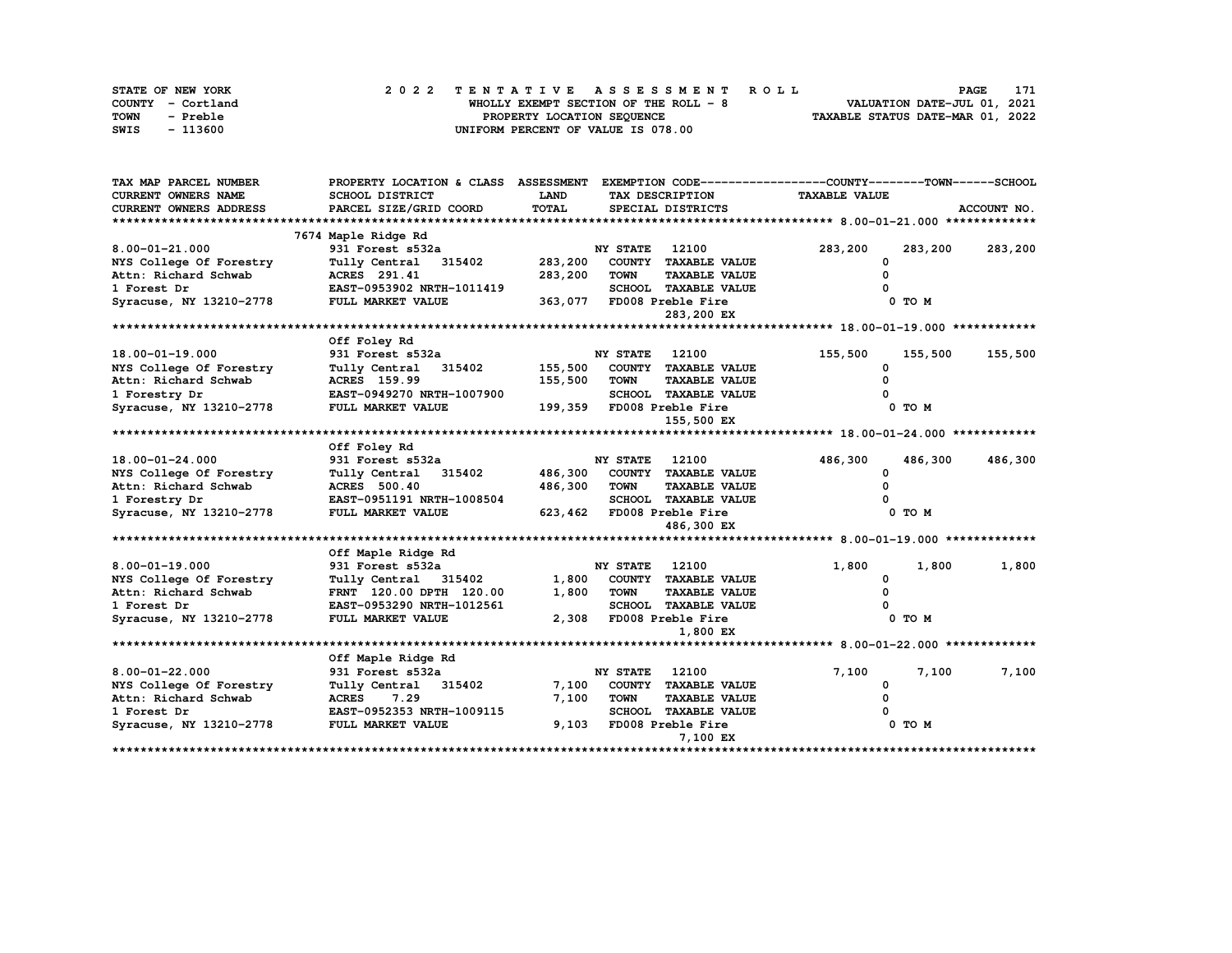| STATE OF NEW YORK | 2022 TENTATIVE ASSESSMENT ROLL        | 171<br>PAGE                      |
|-------------------|---------------------------------------|----------------------------------|
| COUNTY - Cortland | WHOLLY EXEMPT SECTION OF THE ROLL - 8 | VALUATION DATE-JUL 01, 2021      |
| TOWN<br>- Preble  | PROPERTY LOCATION SEQUENCE            | TAXABLE STATUS DATE-MAR 01, 2022 |
| SWIS<br>- 113600  | UNIFORM PERCENT OF VALUE IS 078.00    |                                  |

| TAX MAP PARCEL NUMBER                           | PROPERTY LOCATION & CLASS ASSESSMENT EXEMPTION CODE----------------COUNTY-------TOWN-----SCHOOL |             |                 |                                              |                      |         |             |
|-------------------------------------------------|-------------------------------------------------------------------------------------------------|-------------|-----------------|----------------------------------------------|----------------------|---------|-------------|
| <b>CURRENT OWNERS NAME</b>                      | SCHOOL DISTRICT                                                                                 | <b>LAND</b> | TAX DESCRIPTION |                                              | <b>TAXABLE VALUE</b> |         |             |
| <b>CURRENT OWNERS ADDRESS</b>                   | PARCEL SIZE/GRID COORD                                                                          | TOTAL       |                 | SPECIAL DISTRICTS                            |                      |         | ACCOUNT NO. |
|                                                 |                                                                                                 |             |                 |                                              |                      |         |             |
|                                                 | 7674 Maple Ridge Rd                                                                             |             |                 |                                              |                      |         |             |
| $8.00 - 01 - 21.000$                            | 931 Forest s532a                                                                                |             | <b>NY STATE</b> | 12100                                        | 283,200              | 283,200 | 283,200     |
| NYS College Of Forestry                         | 315402<br>Tully Central                                                                         | 283,200     |                 | COUNTY TAXABLE VALUE                         | 0                    |         |             |
| Attn: Richard Schwab                            | <b>ACRES</b> 291.41                                                                             | 283,200     | <b>TOWN</b>     | <b>TAXABLE VALUE</b>                         |                      |         |             |
| 1 Forest Dr                                     | EAST-0953902 NRTH-1011419                                                                       |             |                 | SCHOOL TAXABLE VALUE                         |                      |         |             |
| Syracuse, NY 13210-2778                         | FULL MARKET VALUE                                                                               | 363,077     |                 | FD008 Preble Fire                            |                      | 0 TO M  |             |
|                                                 |                                                                                                 |             |                 | 283,200 EX                                   |                      |         |             |
|                                                 |                                                                                                 |             |                 |                                              |                      |         |             |
|                                                 | Off Foley Rd                                                                                    |             |                 |                                              |                      |         |             |
| 18.00-01-19.000                                 | 931 Forest s532a                                                                                |             | NY STATE        | 12100                                        | 155,500              | 155,500 | 155,500     |
| NYS College Of Forestry                         | 315402<br>Tully Central                                                                         | 155,500     |                 | COUNTY TAXABLE VALUE                         | 0                    |         |             |
| Attn: Richard Schwab                            | <b>ACRES</b> 159.99                                                                             | 155,500     | <b>TOWN</b>     | <b>TAXABLE VALUE</b>                         | <sup>0</sup>         |         |             |
| 1 Forestry Dr                                   | EAST-0949270 NRTH-1007900                                                                       |             |                 | SCHOOL TAXABLE VALUE                         |                      |         |             |
| Syracuse, NY 13210-2778                         | FULL MARKET VALUE                                                                               | 199,359     |                 | FD008 Preble Fire                            |                      | 0 TO M  |             |
|                                                 |                                                                                                 |             |                 | 155,500 EX                                   |                      |         |             |
|                                                 |                                                                                                 |             |                 |                                              |                      |         |             |
|                                                 | Off Foley Rd                                                                                    |             |                 |                                              |                      |         |             |
| 18.00-01-24.000                                 | 931 Forest s532a                                                                                |             | <b>NY STATE</b> | 12100                                        | 486,300              | 486,300 | 486,300     |
| NYS College Of Forestry                         | 315402<br>Tully Central                                                                         | 486,300     |                 | COUNTY TAXABLE VALUE                         | <sup>0</sup>         |         |             |
| Attn: Richard Schwab                            | <b>ACRES</b> 500.40                                                                             | 486,300     | <b>TOWN</b>     | <b>TAXABLE VALUE</b>                         |                      |         |             |
| 1 Forestry Dr                                   | EAST-0951191 NRTH-1008504                                                                       |             |                 | <b>SCHOOL TAXABLE VALUE</b>                  |                      |         |             |
| Syracuse, NY 13210-2778                         | FULL MARKET VALUE                                                                               | 623,462     |                 | FD008 Preble Fire                            |                      | 0 TO M  |             |
|                                                 |                                                                                                 |             |                 | 486,300 EX                                   |                      |         |             |
|                                                 |                                                                                                 |             |                 |                                              |                      |         |             |
|                                                 | Off Maple Ridge Rd                                                                              |             |                 |                                              |                      |         |             |
| $8.00 - 01 - 19.000$                            | 931 Forest s532a                                                                                |             | NY STATE        | 12100                                        | 1,800                | 1,800   | 1,800       |
| NYS College Of Forestry                         | Tully Central 315402                                                                            | 1,800       |                 | COUNTY TAXABLE VALUE                         | 0                    |         |             |
| Attn: Richard Schwab                            | FRNT 120.00 DPTH 120.00                                                                         | 1,800       | <b>TOWN</b>     | <b>TAXABLE VALUE</b>                         |                      |         |             |
| 1 Forest Dr                                     | EAST-0953290 NRTH-1012561                                                                       |             |                 | <b>SCHOOL TAXABLE VALUE</b>                  |                      |         |             |
| Syracuse, NY 13210-2778                         | FULL MARKET VALUE                                                                               | 2,308       |                 | FD008 Preble Fire                            |                      | 0 TO M  |             |
|                                                 |                                                                                                 |             |                 | 1,800 EX                                     |                      |         |             |
|                                                 |                                                                                                 |             |                 |                                              |                      |         |             |
|                                                 | Off Maple Ridge Rd                                                                              |             |                 |                                              |                      |         |             |
| $8.00 - 01 - 22.000$<br>NYS College Of Forestry | 931 Forest s532a<br>Tully Central 315402                                                        | 7,100       | NY STATE        | 12100                                        | 7,100<br>0           | 7,100   | 7,100       |
| Attn: Richard Schwab                            | <b>ACRES</b><br>7.29                                                                            | 7,100       | <b>TOWN</b>     | COUNTY TAXABLE VALUE<br><b>TAXABLE VALUE</b> |                      |         |             |
| 1 Forest Dr                                     | EAST-0952353 NRTH-1009115                                                                       |             |                 | SCHOOL TAXABLE VALUE                         |                      |         |             |
| Syracuse, NY 13210-2778                         | FULL MARKET VALUE                                                                               | 9.103       |                 | FD008 Preble Fire                            |                      | 0 TO M  |             |
|                                                 |                                                                                                 |             |                 | 7,100 EX                                     |                      |         |             |
|                                                 |                                                                                                 |             |                 |                                              |                      |         |             |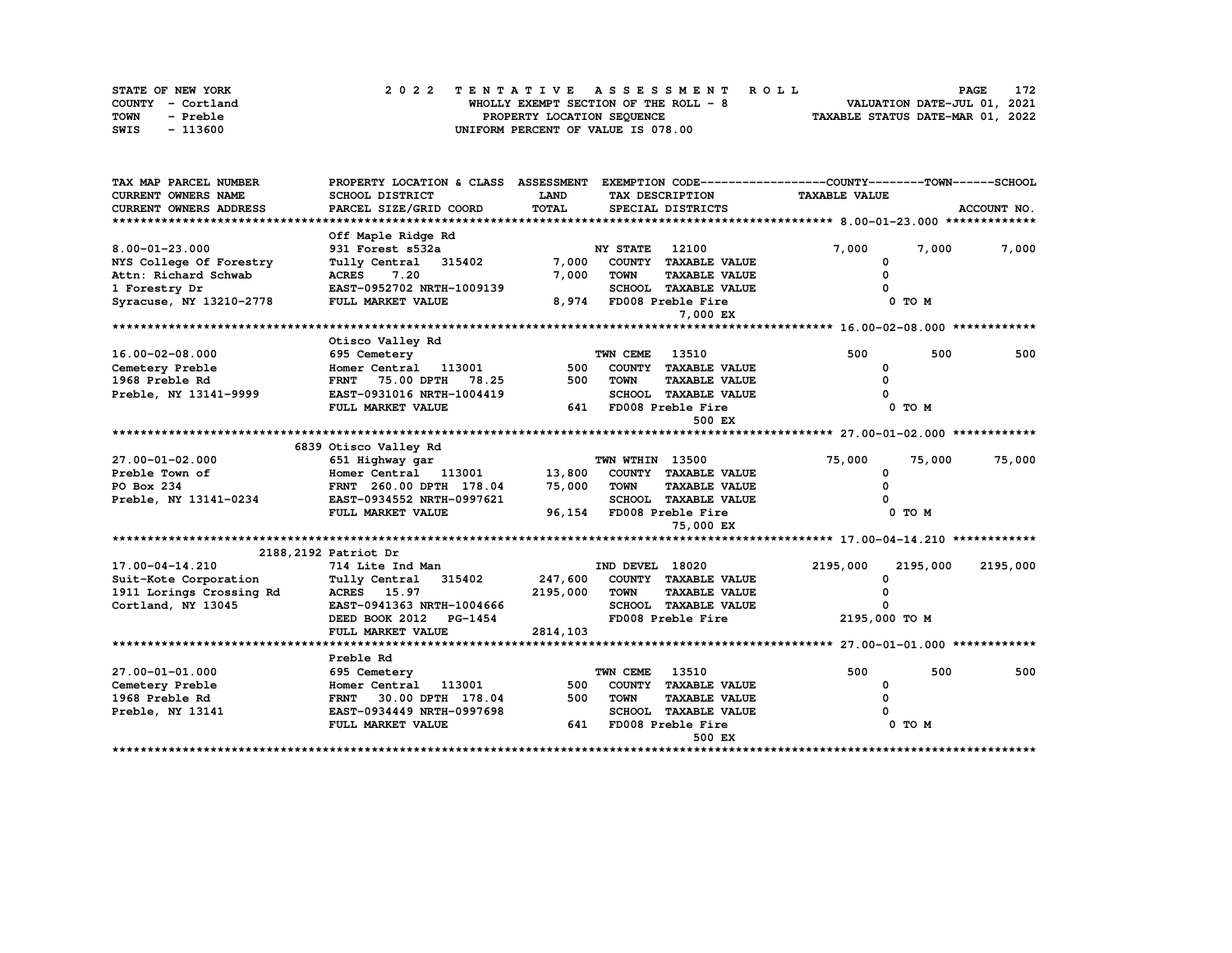| STATE OF NEW YORK | 2022 TENTATIVE ASSESSMENT ROLL        | 172<br><b>PAGE</b>               |
|-------------------|---------------------------------------|----------------------------------|
| COUNTY - Cortland | WHOLLY EXEMPT SECTION OF THE ROLL - 8 | VALUATION DATE-JUL 01, 2021      |
| TOWN<br>- Preble  | PROPERTY LOCATION SEQUENCE            | TAXABLE STATUS DATE-MAR 01, 2022 |
| SWIS<br>- 113600  | UNIFORM PERCENT OF VALUE IS 078.00    |                                  |

| TAX MAP PARCEL NUMBER         | PROPERTY LOCATION & CLASS ASSESSMENT |              |                 |                             | EXEMPTION CODE------------------COUNTY-------TOWN------SCHOOL |          |             |
|-------------------------------|--------------------------------------|--------------|-----------------|-----------------------------|---------------------------------------------------------------|----------|-------------|
| <b>CURRENT OWNERS NAME</b>    | SCHOOL DISTRICT                      | LAND         |                 | TAX DESCRIPTION             | <b>TAXABLE VALUE</b>                                          |          |             |
| <b>CURRENT OWNERS ADDRESS</b> | PARCEL SIZE/GRID COORD               | <b>TOTAL</b> |                 | SPECIAL DISTRICTS           |                                                               |          | ACCOUNT NO. |
|                               |                                      |              |                 |                             |                                                               |          |             |
|                               | Off Maple Ridge Rd                   |              |                 |                             |                                                               |          |             |
| $8.00 - 01 - 23.000$          | 931 Forest s532a                     |              | <b>NY STATE</b> | 12100                       | 7,000                                                         | 7,000    | 7,000       |
| NYS College Of Forestry       | Tully Central 315402                 | 7,000        |                 | COUNTY TAXABLE VALUE        | 0                                                             |          |             |
| Attn: Richard Schwab          | ACRES 7.20                           | 7,000        | <b>TOWN</b>     | <b>TAXABLE VALUE</b>        | $\Omega$                                                      |          |             |
| 1 Forestry Dr                 | EAST-0952702 NRTH-1009139            |              |                 | <b>SCHOOL TAXABLE VALUE</b> |                                                               |          |             |
| Syracuse, NY 13210-2778       | FULL MARKET VALUE                    | 8,974        |                 | FD008 Preble Fire           |                                                               | 0 TO M   |             |
|                               |                                      |              |                 | 7,000 EX                    |                                                               |          |             |
|                               |                                      |              |                 |                             |                                                               |          |             |
|                               | Otisco Valley Rd                     |              |                 |                             |                                                               |          |             |
| $16.00 - 02 - 08.000$         | 695 Cemetery                         |              | TWN CEME        | 13510                       | 500                                                           | 500      | 500         |
| Cemetery Preble               | Homer Central 113001                 | 500          |                 | COUNTY TAXABLE VALUE        | <sup>0</sup>                                                  |          |             |
| 1968 Preble Rd                | 75.00 DPTH 78.25<br><b>FRNT</b>      | 500          | <b>TOWN</b>     | <b>TAXABLE VALUE</b>        |                                                               |          |             |
| Preble, NY 13141-9999         | EAST-0931016 NRTH-1004419            |              |                 | SCHOOL TAXABLE VALUE        |                                                               |          |             |
|                               | FULL MARKET VALUE                    | 641          |                 | FD008 Preble Fire           |                                                               | 0 TO M   |             |
|                               |                                      |              |                 | 500 EX                      |                                                               |          |             |
|                               |                                      |              |                 |                             |                                                               |          |             |
|                               | 6839 Otisco Valley Rd                |              |                 |                             |                                                               |          |             |
| $27.00 - 01 - 02.000$         | 651 Highway gar                      |              | TWN WTHIN 13500 |                             | 75,000                                                        | 75,000   | 75,000      |
| Preble Town of                | Homer Central 113001                 | 13,800       |                 | COUNTY TAXABLE VALUE        | 0                                                             |          |             |
| PO Box 234                    | FRNT 260.00 DPTH 178.04              | 75,000       | <b>TOWN</b>     | <b>TAXABLE VALUE</b>        | <sup>0</sup>                                                  |          |             |
| Preble, NY 13141-0234         | EAST-0934552 NRTH-0997621            |              |                 | SCHOOL TAXABLE VALUE        |                                                               |          |             |
|                               | FULL MARKET VALUE                    | 96,154       |                 | FD008 Preble Fire           |                                                               | 0 TO M   |             |
|                               |                                      |              |                 | 75,000 EX                   |                                                               |          |             |
|                               |                                      |              |                 |                             |                                                               |          |             |
|                               | 2188, 2192 Patriot Dr                |              |                 |                             |                                                               |          |             |
| 17.00-04-14.210               | 714 Lite Ind Man                     |              | IND DEVEL 18020 |                             | 2195,000                                                      | 2195,000 | 2195,000    |
| Suit-Kote Corporation         | Tully Central 315402                 | 247,600      |                 | COUNTY TAXABLE VALUE        | 0                                                             |          |             |
| 1911 Lorings Crossing Rd      | <b>ACRES</b> 15.97                   | 2195,000     | <b>TOWN</b>     | <b>TAXABLE VALUE</b>        |                                                               |          |             |
| Cortland, NY 13045            | EAST-0941363 NRTH-1004666            |              |                 | SCHOOL TAXABLE VALUE        | n                                                             |          |             |
|                               | DEED BOOK 2012 PG-1454               |              |                 | FD008 Preble Fire           | 2195,000 TO M                                                 |          |             |
|                               | FULL MARKET VALUE                    | 2814,103     |                 |                             |                                                               |          |             |
|                               |                                      |              |                 |                             |                                                               |          |             |
|                               | Preble Rd                            |              |                 |                             |                                                               |          |             |
| 27.00-01-01.000               | 695 Cemetery                         |              | TWN CEME        | 13510                       | 500                                                           | 500      | 500         |
| Cemetery Preble               | Homer Central 113001                 | 500          |                 | COUNTY TAXABLE VALUE        | 0                                                             |          |             |
| 1968 Preble Rd                | 30.00 DPTH 178.04<br><b>FRNT</b>     | 500          | <b>TOWN</b>     | <b>TAXABLE VALUE</b>        | <sup>0</sup>                                                  |          |             |
| Preble, NY 13141              | EAST-0934449 NRTH-0997698            |              |                 | <b>SCHOOL TAXABLE VALUE</b> |                                                               |          |             |
|                               | FULL MARKET VALUE                    | 641          |                 | FD008 Preble Fire           |                                                               | 0 TO M   |             |
|                               |                                      |              |                 | 500 EX                      |                                                               |          |             |
|                               |                                      |              |                 |                             |                                                               |          |             |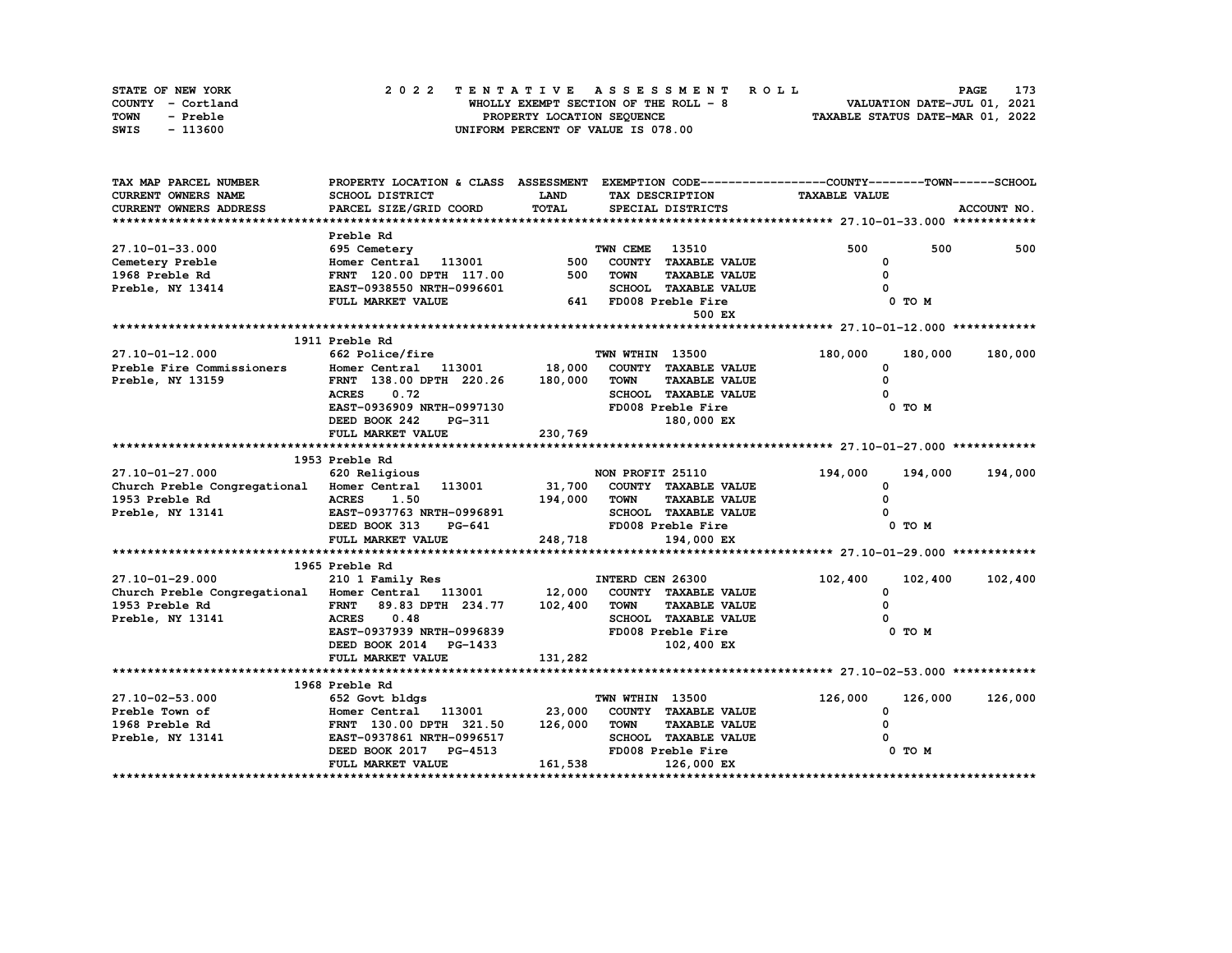| STATE OF NEW YORK | 2022 TENTATIVE ASSESSMENT ROLL        | 173<br><b>PAGE</b>               |
|-------------------|---------------------------------------|----------------------------------|
| COUNTY - Cortland | WHOLLY EXEMPT SECTION OF THE ROLL - 8 | VALUATION DATE-JUL 01, 2021      |
| TOWN<br>- Preble  | PROPERTY LOCATION SEQUENCE            | TAXABLE STATUS DATE-MAR 01, 2022 |
| SWIS<br>- 113600  | UNIFORM PERCENT OF VALUE IS 078.00    |                                  |

| TAX MAP PARCEL NUMBER                             | PROPERTY LOCATION & CLASS ASSESSMENT EXEMPTION CODE----------------COUNTY-------TOWN------SCHOOL |              |                                     |                      |                    |
|---------------------------------------------------|--------------------------------------------------------------------------------------------------|--------------|-------------------------------------|----------------------|--------------------|
| CURRENT OWNERS NAME                               | SCHOOL DISTRICT                                                                                  | <b>LAND</b>  | TAX DESCRIPTION                     | <b>TAXABLE VALUE</b> |                    |
| <b>CURRENT OWNERS ADDRESS</b>                     | PARCEL SIZE/GRID COORD                                                                           | TOTAL        | SPECIAL DISTRICTS                   |                      | ACCOUNT NO.        |
|                                                   |                                                                                                  |              |                                     |                      |                    |
|                                                   | Preble Rd                                                                                        |              |                                     |                      |                    |
| 27.10-01-33.000                                   | 695 Cemetery                                                                                     |              | <b>TWN CEME 13510</b>               | 500                  | 500<br>500         |
| Cemetery Preble                                   | Homer Central 113001                                                                             | 500          | COUNTY TAXABLE VALUE                | 0                    |                    |
| 1968 Preble Rd                                    | FRNT 120.00 DPTH 117.00                                                                          | 500          | <b>TOWN</b><br><b>TAXABLE VALUE</b> | $\Omega$             |                    |
| Preble, NY 13414                                  | EAST-0938550 NRTH-0996601                                                                        |              | SCHOOL TAXABLE VALUE                |                      |                    |
|                                                   | FULL MARKET VALUE                                                                                | 641          | FD008 Preble Fire                   |                      | 0 TO M             |
|                                                   |                                                                                                  |              | 500 EX                              |                      |                    |
|                                                   |                                                                                                  |              |                                     |                      |                    |
|                                                   | 1911 Preble Rd                                                                                   |              |                                     |                      |                    |
| 27.10-01-12.000                                   | 662 Police/fire                                                                                  |              | TWN WTHIN 13500                     | 180,000              | 180,000<br>180,000 |
| Preble Fire Commissioners                         | Homer Central 113001 18,000 COUNTY TAXABLE VALUE                                                 |              |                                     | 0                    |                    |
| Preble, NY 13159                                  | FRNT 138.00 DPTH 220.26 180,000                                                                  |              | <b>TAXABLE VALUE</b><br>TOWN        |                      |                    |
|                                                   | <b>ACRES</b><br>0.72                                                                             |              | <b>SCHOOL TAXABLE VALUE</b>         |                      |                    |
|                                                   | EAST-0936909 NRTH-0997130                                                                        |              | FD008 Preble Fire                   |                      | 0 TO M             |
|                                                   | DEED BOOK 242<br>PG-311                                                                          |              | 180,000 EX                          |                      |                    |
|                                                   | FULL MARKET VALUE                                                                                | 230,769      |                                     |                      |                    |
|                                                   |                                                                                                  |              |                                     |                      |                    |
|                                                   | 1953 Preble Rd                                                                                   |              |                                     |                      |                    |
| 27.10-01-27.000                                   | 620 Religious                                                                                    |              | NON PROFIT 25110                    | 194,000              | 194,000<br>194,000 |
| Church Preble Congregational Homer Central 113001 |                                                                                                  | 31,700       | COUNTY TAXABLE VALUE                | 0                    |                    |
| 1953 Preble Rd                                    | <b>ACRES</b><br>1.50                                                                             | 194,000 TOWN | <b>TAXABLE VALUE</b>                |                      |                    |
| Preble, NY 13141                                  | EAST-0937763 NRTH-0996891                                                                        |              | SCHOOL TAXABLE VALUE                |                      |                    |
|                                                   | DEED BOOK 313<br><b>PG-641</b>                                                                   |              | FD008 Preble Fire                   |                      | 0 TO M             |
|                                                   | FULL MARKET VALUE                                                                                | 248,718      | 194,000 EX                          |                      |                    |
|                                                   |                                                                                                  |              |                                     |                      |                    |
|                                                   | 1965 Preble Rd                                                                                   |              |                                     |                      |                    |
| 27.10-01-29.000                                   | 210 1 Family Res                                                                                 |              | INTERD CEN 26300                    | 102,400              | 102,400<br>102,400 |
| Church Preble Congregational Homer Central 113001 |                                                                                                  |              | 12,000 COUNTY TAXABLE VALUE         | $\Omega$             |                    |
| 1953 Preble Rd                                    | FRNT 89.83 DPTH 234.77 102,400                                                                   |              | <b>TAXABLE VALUE</b><br><b>TOWN</b> | $\Omega$             |                    |
| Preble, NY 13141                                  | <b>ACRES</b><br>0.48                                                                             |              | <b>SCHOOL TAXABLE VALUE</b>         |                      |                    |
|                                                   | EAST-0937939 NRTH-0996839                                                                        |              | FD008 Preble Fire                   |                      | 0 TO M             |
|                                                   | DEED BOOK 2014<br><b>PG-1433</b>                                                                 |              | 102,400 EX                          |                      |                    |
|                                                   | FULL MARKET VALUE                                                                                | 131,282      |                                     |                      |                    |
|                                                   |                                                                                                  |              |                                     |                      |                    |
|                                                   | 1968 Preble Rd                                                                                   |              |                                     |                      |                    |
| 27.10-02-53.000                                   | 652 Govt bldgs                                                                                   |              | TWN WTHIN 13500                     | 126,000              | 126,000<br>126,000 |
| Preble Town of                                    | Homer Central 113001 23,000                                                                      |              | COUNTY TAXABLE VALUE                | 0                    |                    |
| 1968 Preble Rd                                    | FRNT 130.00 DPTH 321.50 126,000<br>EAST-0937861 NRTH-0996517                                     |              | TOWN<br><b>TAXABLE VALUE</b>        |                      |                    |
| Preble, NY 13141                                  | EAST-0937861 NRTH-0996517                                                                        |              | SCHOOL TAXABLE VALUE                |                      |                    |
|                                                   | DEED BOOK 2017 PG-4513                                                                           |              | FD008 Preble Fire                   |                      | 0 TO M             |
|                                                   | FULL MARKET VALUE                                                                                | 161,538      | 126,000 EX                          |                      |                    |
|                                                   |                                                                                                  |              |                                     |                      |                    |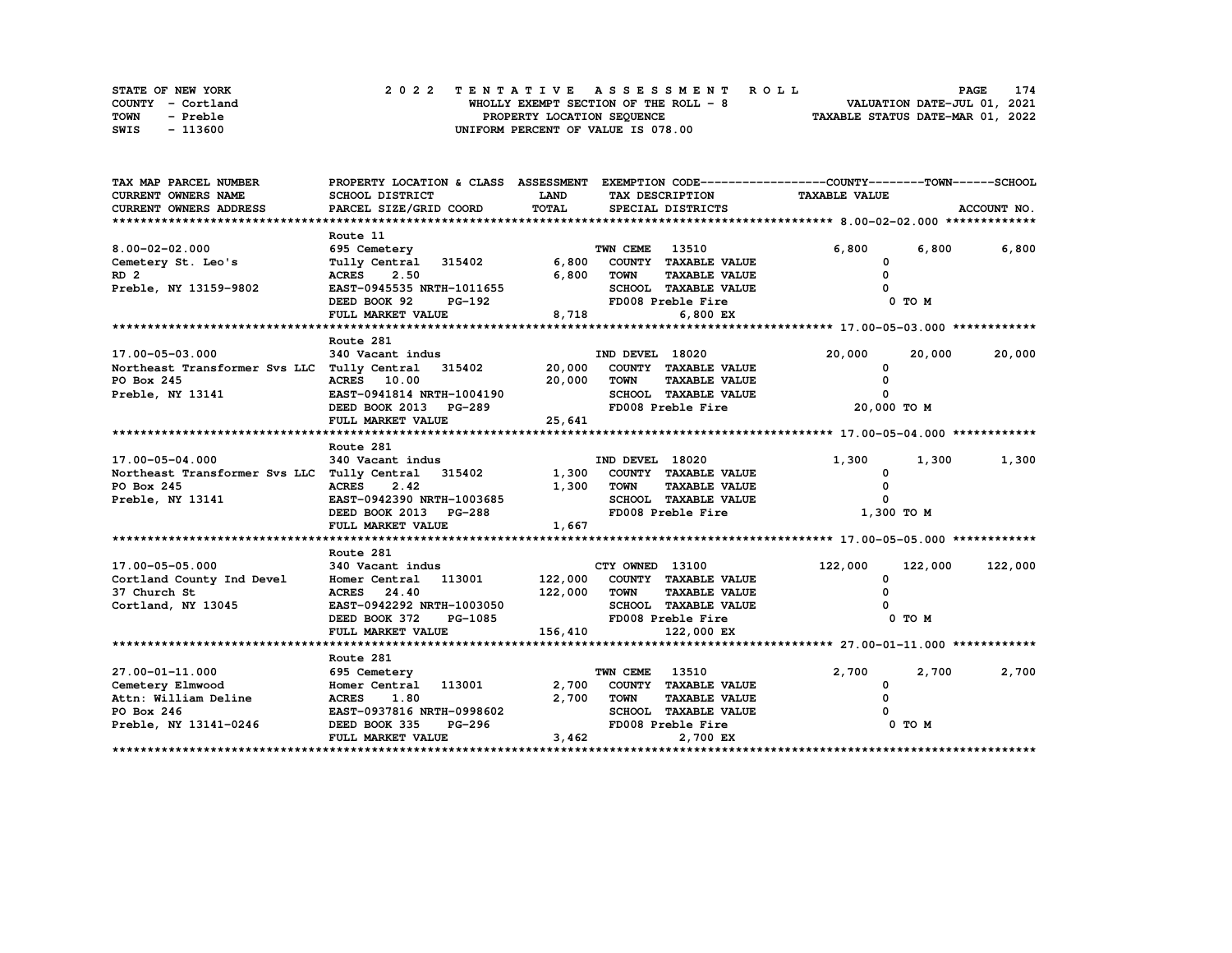| STATE OF NEW YORK       | 2022 TENTATIVE ASSESSMENT ROLL                                       | 174<br><b>PAGE</b> |
|-------------------------|----------------------------------------------------------------------|--------------------|
| COUNTY - Cortland       | VALUATION DATE-JUL 01, 2021<br>WHOLLY EXEMPT SECTION OF THE ROLL - 8 |                    |
| <b>TOWN</b><br>- Preble | TAXABLE STATUS DATE-MAR 01, 2022<br>PROPERTY LOCATION SEQUENCE       |                    |
| SWIS<br>- 113600        | UNIFORM PERCENT OF VALUE IS 078.00                                   |                    |

| TAX MAP PARCEL NUMBER                                     | PROPERTY LOCATION & CLASS ASSESSMENT EXEMPTION CODE----------------COUNTY-------TOWN------SCHOOL |              |                 |                              |                      |         |             |
|-----------------------------------------------------------|--------------------------------------------------------------------------------------------------|--------------|-----------------|------------------------------|----------------------|---------|-------------|
| CURRENT OWNERS NAME                                       | SCHOOL DISTRICT                                                                                  | <b>LAND</b>  | TAX DESCRIPTION |                              | <b>TAXABLE VALUE</b> |         |             |
| CURRENT OWNERS ADDRESS                                    | PARCEL SIZE/GRID COORD                                                                           | TOTAL        |                 | SPECIAL DISTRICTS            |                      |         | ACCOUNT NO. |
|                                                           |                                                                                                  |              |                 |                              |                      |         |             |
|                                                           | Route 11                                                                                         |              |                 |                              |                      |         |             |
| $8.00 - 02 - 02.000$                                      | 695 Cemetery                                                                                     |              | TWN CEME        | 13510                        | 6,800                |         | 6,800       |
| Cemetery St. Leo's                                        | Tully Central 315402                                                                             | 6,800        |                 | COUNTY TAXABLE VALUE         |                      |         |             |
| RD <sub>2</sub>                                           | <b>ACRES</b> 2.50                                                                                | 6,800        | <b>TOWN</b>     | <b>TAXABLE VALUE</b>         |                      |         |             |
| Preble, NY 13159-9802                                     | EAST-0945535 NRTH-1011655                                                                        |              |                 | SCHOOL TAXABLE VALUE         |                      |         |             |
|                                                           | DEED BOOK 92<br>PG-192                                                                           |              |                 | FD008 Preble Fire            |                      | 0 TO M  |             |
|                                                           | FULL MARKET VALUE                                                                                | 8,718        |                 | 6,800 EX                     |                      |         |             |
|                                                           |                                                                                                  |              |                 |                              |                      |         |             |
|                                                           | Route 281                                                                                        |              |                 |                              |                      |         |             |
| 17.00-05-03.000                                           | 340 Vacant indus                                                                                 |              | IND DEVEL 18020 |                              | 20,000               | 20,000  | 20,000      |
| Northeast Transformer Svs LLC Tully Central 315402 20,000 |                                                                                                  |              |                 | COUNTY TAXABLE VALUE         | $\Omega$             |         |             |
| PO Box 245                                                | <b>ACRES</b> 10.00                                                                               | 20,000       | <b>TOWN</b>     | <b>TAXABLE VALUE</b>         |                      |         |             |
| Preble, NY 13141                                          | EAST-0941814 NRTH-1004190                                                                        |              |                 | SCHOOL TAXABLE VALUE         |                      |         |             |
|                                                           | DEED BOOK 2013 PG-289                                                                            |              |                 | FD008 Preble Fire            | 20,000 TO M          |         |             |
|                                                           | FULL MARKET VALUE                                                                                | 25,641       |                 |                              |                      |         |             |
|                                                           |                                                                                                  |              |                 |                              |                      |         |             |
|                                                           | Route 281                                                                                        |              |                 |                              |                      |         |             |
| 17.00-05-04.000                                           | 340 Vacant indus                                                                                 |              | IND DEVEL 18020 |                              | 1,300                | 1,300   | 1,300       |
| Northeast Transformer Svs LLC Tully Central 315402        |                                                                                                  | 1,300        |                 | COUNTY TAXABLE VALUE         | $\mathbf{o}$         |         |             |
| PO Box 245                                                | 2.42<br><b>ACRES</b>                                                                             | 1,300        | <b>TOWN</b>     | <b>TAXABLE VALUE</b>         | $\Omega$             |         |             |
| Preble, NY 13141                                          | EAST-0942390 NRTH-1003685                                                                        |              |                 | SCHOOL TAXABLE VALUE         | $\Omega$             |         |             |
|                                                           | DEED BOOK 2013 PG-288                                                                            |              |                 | FD008 Preble Fire            | $1,300$ TO M         |         |             |
|                                                           | FULL MARKET VALUE                                                                                | 1,667        |                 |                              |                      |         |             |
|                                                           |                                                                                                  |              |                 |                              |                      |         |             |
|                                                           | Route 281                                                                                        |              |                 |                              |                      |         |             |
| 17.00-05-05.000                                           | 340 Vacant indus                                                                                 |              | CTY OWNED 13100 |                              | 122,000              | 122,000 | 122,000     |
| Cortland County Ind Devel                                 | Homer Central 113001                                                                             |              |                 | 122,000 COUNTY TAXABLE VALUE | 0                    |         |             |
| 37 Church St                                              | ACRES 24.40                                                                                      | 122,000 TOWN |                 | <b>TAXABLE VALUE</b>         |                      |         |             |
| Cortland, NY 13045                                        | EAST-0942292 NRTH-1003050                                                                        |              |                 | SCHOOL TAXABLE VALUE         |                      |         |             |
|                                                           | DEED BOOK 372<br><b>PG-1085</b>                                                                  |              |                 | FD008 Preble Fire            |                      | 0 TO M  |             |
|                                                           | FULL MARKET VALUE                                                                                | 156,410      |                 | 122,000 EX                   |                      |         |             |
|                                                           |                                                                                                  |              |                 |                              |                      |         |             |
|                                                           | Route 281                                                                                        |              |                 |                              |                      |         |             |
| 27.00-01-11.000                                           | 695 Cemetery                                                                                     |              | TWN CEME        | 13510                        | 2,700                | 2,700   | 2,700       |
| Cemetery Elmwood                                          | Homer Central<br>113001                                                                          |              |                 | 2,700 COUNTY TAXABLE VALUE   | 0                    |         |             |
| Attn: William Deline                                      | <b>ACRES</b><br>1.80                                                                             | 2,700        | <b>TOWN</b>     | <b>TAXABLE VALUE</b>         |                      |         |             |
| PO Box 246                                                | EAST-0937816 NRTH-0998602                                                                        |              |                 | SCHOOL TAXABLE VALUE         |                      |         |             |
| Preble, NY 13141-0246                                     | DEED BOOK 335<br>PG-296                                                                          |              |                 | FD008 Preble Fire            |                      | 0 TO M  |             |
|                                                           | FULL MARKET VALUE                                                                                | 3,462        |                 | 2,700 EX                     |                      |         |             |
|                                                           |                                                                                                  |              |                 |                              |                      |         |             |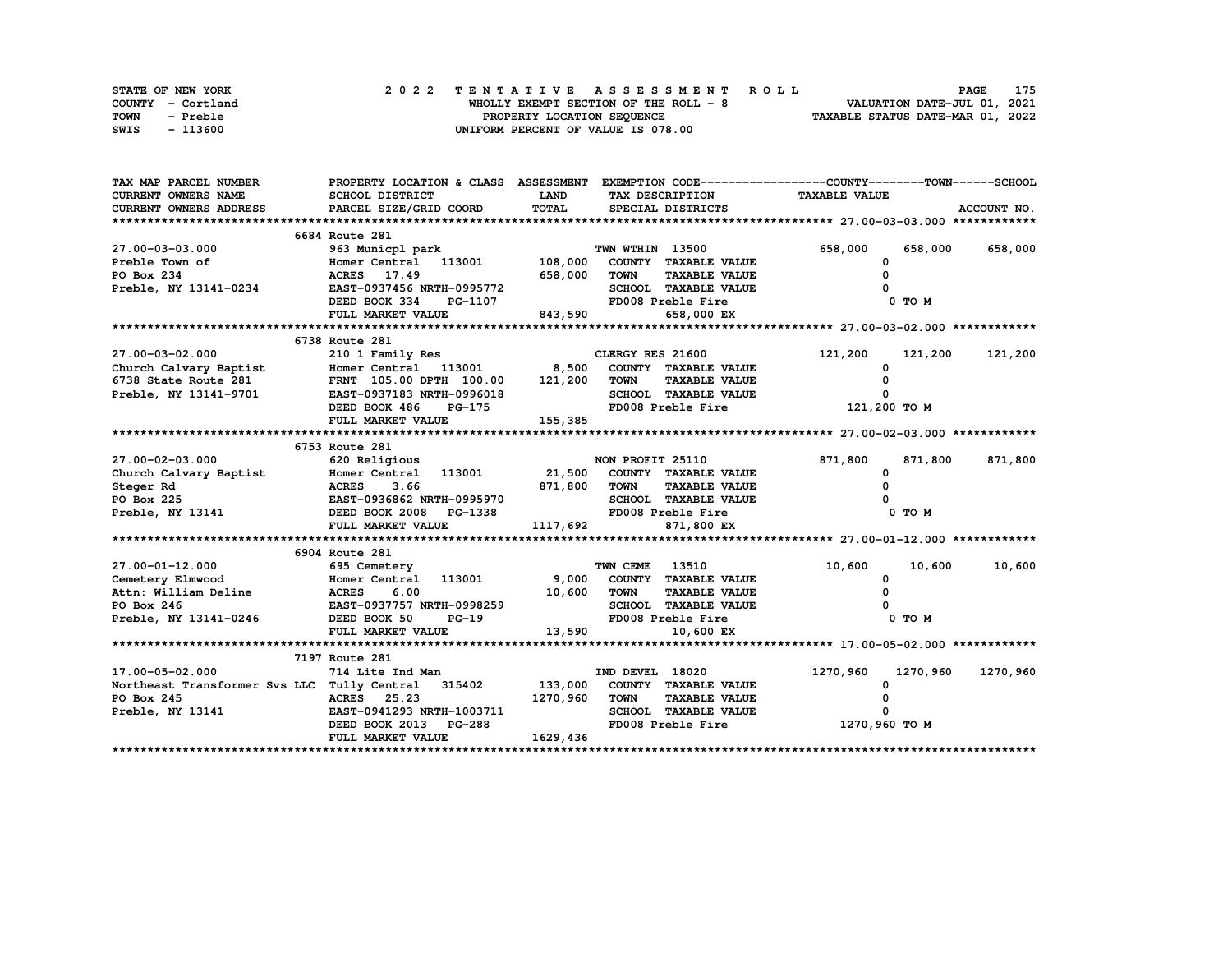| STATE OF NEW YORK | 2022 TENTATIVE ASSESSMENT ROLL        | <b>PAGE</b>                      | 175 |
|-------------------|---------------------------------------|----------------------------------|-----|
| COUNTY - Cortland | WHOLLY EXEMPT SECTION OF THE ROLL - 8 | VALUATION DATE-JUL 01, 2021      |     |
| TOWN<br>- Preble  | PROPERTY LOCATION SEQUENCE            | TAXABLE STATUS DATE-MAR 01, 2022 |     |
| SWIS<br>- 113600  | UNIFORM PERCENT OF VALUE IS 078.00    |                                  |     |

| TAX MAP PARCEL NUMBER                                                           | PROPERTY LOCATION & CLASS ASSESSMENT EXEMPTION CODE----------------COUNTY-------TOWN-----SCHOOL |                |                              |                      |                                 |                 |                 |
|---------------------------------------------------------------------------------|-------------------------------------------------------------------------------------------------|----------------|------------------------------|----------------------|---------------------------------|-----------------|-----------------|
| <b>CURRENT OWNERS NAME</b>                                                      | SCHOOL DISTRICT                                                                                 | <b>LAND</b>    | TAX DESCRIPTION              |                      | <b>TAXABLE VALUE</b>            |                 |                 |
| CURRENT OWNERS ADDRESS                                                          | PARCEL SIZE/GRID COORD                                                                          | TOTAL          | SPECIAL DISTRICTS            |                      |                                 |                 | ACCOUNT NO.     |
|                                                                                 |                                                                                                 |                |                              |                      |                                 |                 |                 |
|                                                                                 | 6684 Route 281                                                                                  |                |                              |                      |                                 |                 |                 |
| 27.00-03-03.000                                                                 | 963 Municpl park                                                                                |                | TWN WTHIN 13500              |                      | 658,000                         | 658,000         | 658,000         |
| Preble Town of                                                                  | Homer Central 113001 108,000                                                                    |                | COUNTY TAXABLE VALUE         |                      | 0                               |                 |                 |
| PO Box 234                                                                      | ACRES 17.49                                                                                     | 658,000        | <b>TOWN</b>                  | <b>TAXABLE VALUE</b> |                                 |                 |                 |
| Preble, NY 13141-0234                                                           | EAST-0937456 NRTH-0995772                                                                       |                | SCHOOL TAXABLE VALUE         |                      |                                 |                 |                 |
|                                                                                 | DEED BOOK 334                                                                                   | <b>PG-1107</b> | FD008 Preble Fire            |                      |                                 | 0 TO M          |                 |
|                                                                                 | FULL MARKET VALUE                                                                               | 843,590        |                              | 658,000 EX           |                                 |                 |                 |
|                                                                                 |                                                                                                 |                |                              |                      |                                 |                 |                 |
|                                                                                 | 6738 Route 281                                                                                  |                |                              |                      |                                 |                 |                 |
| 27.00-03-02.000                                                                 | 210 1 Family Res                                                                                |                | CLERGY RES 21600             |                      | 121,200                         | 121,200 121,200 |                 |
| 27.00-03-02.000 210 1 Family Res<br>Church Calvary Baptist Homer Central 113001 |                                                                                                 | 8,500          | COUNTY TAXABLE VALUE         |                      | <sup>n</sup>                    |                 |                 |
| 6738 State Route 281 FRNT 105.00 DPTH 100.00 121,200                            |                                                                                                 |                | TOWN                         | <b>TAXABLE VALUE</b> | $\Omega$                        |                 |                 |
| Preble, NY 13141-9701                                                           | EAST-0937183 NRTH-0996018                                                                       |                |                              | SCHOOL TAXABLE VALUE |                                 |                 |                 |
|                                                                                 | DEED BOOK 486<br><b>PG-175</b>                                                                  |                | FD008 Preble Fire            |                      | 121,200 TO M                    |                 |                 |
|                                                                                 | FULL MARKET VALUE                                                                               | 155,385        |                              |                      |                                 |                 |                 |
|                                                                                 |                                                                                                 |                |                              |                      |                                 |                 |                 |
|                                                                                 | 6753 Route 281                                                                                  |                |                              |                      |                                 |                 |                 |
| 27.00-02-03.000                                                                 | 620 Religious                                                                                   |                | NON PROFIT 25110             |                      | 871,800                         |                 | 871,800 871,800 |
| Church Calvary Baptist                                                          | Homer Central 113001 21,500                                                                     |                | COUNTY TAXABLE VALUE         |                      | 0                               |                 |                 |
|                                                                                 |                                                                                                 | 871,800 TOWN   |                              | <b>TAXABLE VALUE</b> |                                 |                 |                 |
|                                                                                 |                                                                                                 |                | SCHOOL TAXABLE VALUE         |                      |                                 |                 |                 |
|                                                                                 |                                                                                                 |                | FD008 Preble Fire            |                      |                                 | 0 TO M          |                 |
|                                                                                 | FULL MARKET VALUE                                                                               | 1117,692       |                              | 871,800 EX           |                                 |                 |                 |
|                                                                                 |                                                                                                 |                |                              |                      |                                 |                 |                 |
|                                                                                 | 6904 Route 281                                                                                  |                |                              |                      |                                 |                 |                 |
| $27.00 - 01 - 12.000$                                                           | 695 Cemetery                                                                                    |                | TWN CEME<br>13510            |                      | 10,600                          | 10,600          | 10,600          |
| Cemetery Elmwood                                                                | Homer Central 113001                                                                            |                | 9,000 COUNTY TAXABLE VALUE   |                      | 0                               |                 |                 |
| Attn: William Deline                                                            | <b>ACRES</b><br>6.00                                                                            | 10,600         | TOWN                         | <b>TAXABLE VALUE</b> |                                 |                 |                 |
| PO Box 246                                                                      | EAST-0937757 NRTH-0998259                                                                       |                |                              | SCHOOL TAXABLE VALUE |                                 |                 |                 |
| Preble, NY 13141-0246 DEED BOOK 50                                              | $PG-19$                                                                                         |                | FD008 Preble Fire            |                      |                                 | $0$ TO $M$      |                 |
|                                                                                 | FULL MARKET VALUE                                                                               | 13,590         |                              | 10,600 EX            |                                 |                 |                 |
|                                                                                 |                                                                                                 |                |                              |                      |                                 |                 |                 |
|                                                                                 | 7197 Route 281                                                                                  |                |                              |                      |                                 |                 |                 |
| 17.00-05-02.000                                                                 | 714 Lite Ind Man                                                                                |                | IND DEVEL 18020              |                      | 1270,960                        | 1270,960        | 1270,960        |
| Northeast Transformer Svs LLC Tully Central 315402                              |                                                                                                 |                | 133,000 COUNTY TAXABLE VALUE |                      | 0                               |                 |                 |
| PO Box 245                                                                      | ACRES 25.23                                                                                     | 1270,960       | <b>TOWN</b>                  | <b>TAXABLE VALUE</b> |                                 |                 |                 |
| Preble, NY 13141                                                                | EAST-0941293 NRTH-1003711                                                                       |                | SCHOOL TAXABLE VALUE         |                      |                                 |                 |                 |
|                                                                                 | DEED BOOK 2013 PG-288                                                                           |                |                              |                      | FD008 Preble Fire 1270,960 TO M |                 |                 |
|                                                                                 | FULL MARKET VALUE                                                                               | 1629, 436      |                              |                      |                                 |                 |                 |
|                                                                                 |                                                                                                 |                |                              |                      |                                 |                 |                 |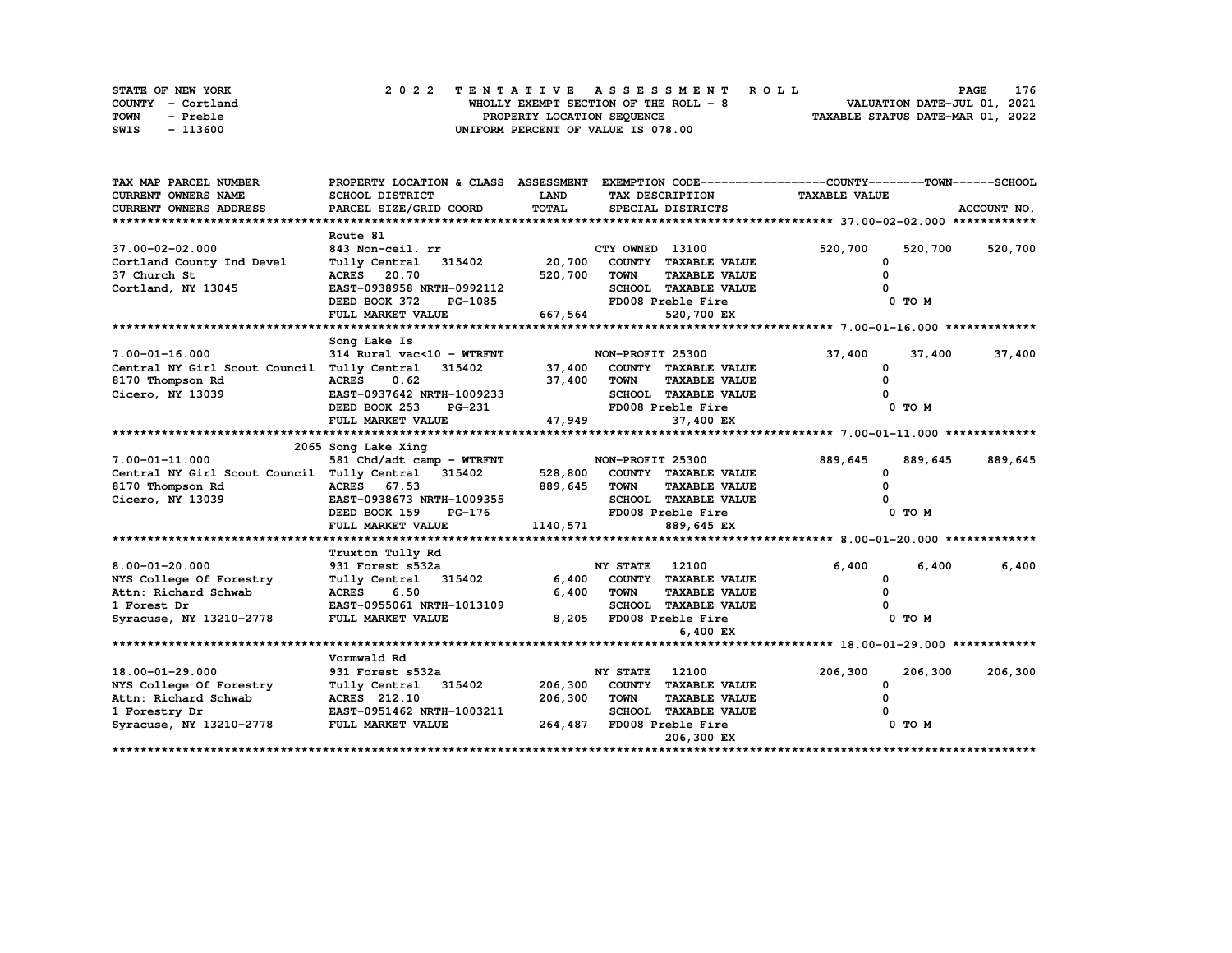| STATE OF NEW YORK       | 2022 TENTATIVE ASSESSMENT ROLL        | 176<br><b>PAGE</b>               |
|-------------------------|---------------------------------------|----------------------------------|
| COUNTY - Cortland       | WHOLLY EXEMPT SECTION OF THE ROLL - 8 | VALUATION DATE-JUL 01, 2021      |
| <b>TOWN</b><br>- Preble | PROPERTY LOCATION SEQUENCE            | TAXABLE STATUS DATE-MAR 01, 2022 |
| SWIS<br>- 113600        | UNIFORM PERCENT OF VALUE IS 078.00    |                                  |

| TAX MAP PARCEL NUMBER                              | PROPERTY LOCATION & CLASS ASSESSMENT EXEMPTION CODE-----------------COUNTY-------TOWN------SCHOOL |             |                  |                             |                      |         |             |
|----------------------------------------------------|---------------------------------------------------------------------------------------------------|-------------|------------------|-----------------------------|----------------------|---------|-------------|
| <b>CURRENT OWNERS NAME</b>                         | SCHOOL DISTRICT                                                                                   | <b>LAND</b> |                  | TAX DESCRIPTION             | <b>TAXABLE VALUE</b> |         |             |
| CURRENT OWNERS ADDRESS                             | PARCEL SIZE/GRID COORD                                                                            | TOTAL       |                  | SPECIAL DISTRICTS           |                      |         | ACCOUNT NO. |
|                                                    |                                                                                                   |             |                  |                             |                      |         |             |
|                                                    | Route 81                                                                                          |             |                  |                             |                      |         |             |
| 37.00-02-02.000                                    | 843 Non-ceil. rr                                                                                  |             | CTY OWNED 13100  |                             | 520,700              | 520,700 | 520,700     |
| Cortland County Ind Devel                          | Tully Central 315402                                                                              | 20,700      |                  | COUNTY TAXABLE VALUE        | 0                    |         |             |
| 37 Church St                                       | <b>ACRES</b> 20.70                                                                                | 520,700     | TOWN             | <b>TAXABLE VALUE</b>        |                      |         |             |
| Cortland, NY 13045                                 | EAST-0938958 NRTH-0992112                                                                         |             |                  | SCHOOL TAXABLE VALUE        |                      |         |             |
|                                                    | DEED BOOK 372<br>PG-1085                                                                          |             |                  | FD008 Preble Fire           |                      | 0 TO M  |             |
|                                                    | FULL MARKET VALUE                                                                                 | 667,564     |                  | 520,700 EX                  |                      |         |             |
|                                                    |                                                                                                   |             |                  |                             |                      |         |             |
|                                                    | Song Lake Is                                                                                      |             |                  |                             |                      |         |             |
| $7.00 - 01 - 16.000$                               | 314 Rural vac<10 - WTRFNT                                                                         |             | NON-PROFIT 25300 |                             | 37,400               | 37,400  | 37,400      |
| Central NY Girl Scout Council Tully Central 315402 |                                                                                                   | 37,400      |                  | COUNTY TAXABLE VALUE        | <sup>0</sup>         |         |             |
| 8170 Thompson Rd                                   | 0.62<br><b>ACRES</b>                                                                              | 37,400      | <b>TOWN</b>      | <b>TAXABLE VALUE</b>        |                      |         |             |
| Cicero, NY 13039                                   | EAST-0937642 NRTH-1009233                                                                         |             |                  | <b>SCHOOL TAXABLE VALUE</b> |                      |         |             |
|                                                    | DEED BOOK 253<br>PG-231                                                                           |             |                  | FD008 Preble Fire           |                      | 0 TO M  |             |
|                                                    | FULL MARKET VALUE                                                                                 | 47,949      |                  | 37,400 EX                   |                      |         |             |
|                                                    |                                                                                                   |             |                  |                             |                      |         |             |
|                                                    | 2065 Song Lake Xing                                                                               |             |                  |                             |                      |         |             |
| $7.00 - 01 - 11.000$                               | 581 Chd/adt camp - WTRFNT                                                                         |             | NON-PROFIT 25300 |                             | 889,645              | 889,645 | 889,645     |
| Central NY Girl Scout Council Tully Central 315402 |                                                                                                   | 528,800     |                  | COUNTY TAXABLE VALUE        | 0                    |         |             |
| 8170 Thompson Rd                                   | ACRES 67.53                                                                                       | 889,645     | <b>TOWN</b>      | <b>TAXABLE VALUE</b>        |                      |         |             |
| Cicero, NY 13039                                   | EAST-0938673 NRTH-1009355                                                                         |             |                  | SCHOOL TAXABLE VALUE        |                      |         |             |
|                                                    | DEED BOOK 159<br>PG-176                                                                           |             |                  | FD008 Preble Fire           |                      | 0 TO M  |             |
|                                                    | FULL MARKET VALUE                                                                                 | 1140,571    |                  | 889,645 EX                  |                      |         |             |
|                                                    |                                                                                                   |             |                  |                             |                      |         |             |
| $8.00 - 01 - 20.000$                               | Truxton Tully Rd<br>931 Forest s532a                                                              |             | <b>NY STATE</b>  | 12100                       | 6.400                | 6,400   | 6,400       |
| NYS College Of Forestry                            | Tully Central 315402                                                                              | 6,400       |                  | COUNTY TAXABLE VALUE        | 0                    |         |             |
| Attn: Richard Schwab                               | <b>ACRES</b><br>6.50                                                                              | 6,400       | <b>TOWN</b>      | <b>TAXABLE VALUE</b>        |                      |         |             |
| 1 Forest Dr                                        | EAST-0955061 NRTH-1013109                                                                         |             |                  | SCHOOL TAXABLE VALUE        |                      |         |             |
| Syracuse, NY 13210-2778                            | FULL MARKET VALUE                                                                                 | 8,205       |                  | FD008 Preble Fire           |                      | 0 TO M  |             |
|                                                    |                                                                                                   |             |                  | 6,400 EX                    |                      |         |             |
|                                                    |                                                                                                   |             |                  |                             |                      |         |             |
|                                                    | Vormwald Rd                                                                                       |             |                  |                             |                      |         |             |
| 18.00-01-29.000                                    | 931 Forest s532a                                                                                  |             | NY STATE         | 12100                       | 206,300              | 206,300 | 206,300     |
| NYS College Of Forestry                            | Tully Central 315402                                                                              | 206,300     |                  | COUNTY TAXABLE VALUE        | 0                    |         |             |
| Attn: Richard Schwab                               | ACRES 212.10                                                                                      | 206,300     | <b>TOWN</b>      | <b>TAXABLE VALUE</b>        |                      |         |             |
| 1 Forestry Dr                                      | EAST-0951462 NRTH-1003211                                                                         |             |                  | SCHOOL TAXABLE VALUE        |                      |         |             |
| Syracuse, NY 13210-2778                            | <b>FULL MARKET VALUE</b>                                                                          | 264,487     |                  | FD008 Preble Fire           |                      | 0 TO M  |             |
|                                                    |                                                                                                   |             |                  | 206,300 EX                  |                      |         |             |
|                                                    |                                                                                                   |             |                  |                             |                      |         |             |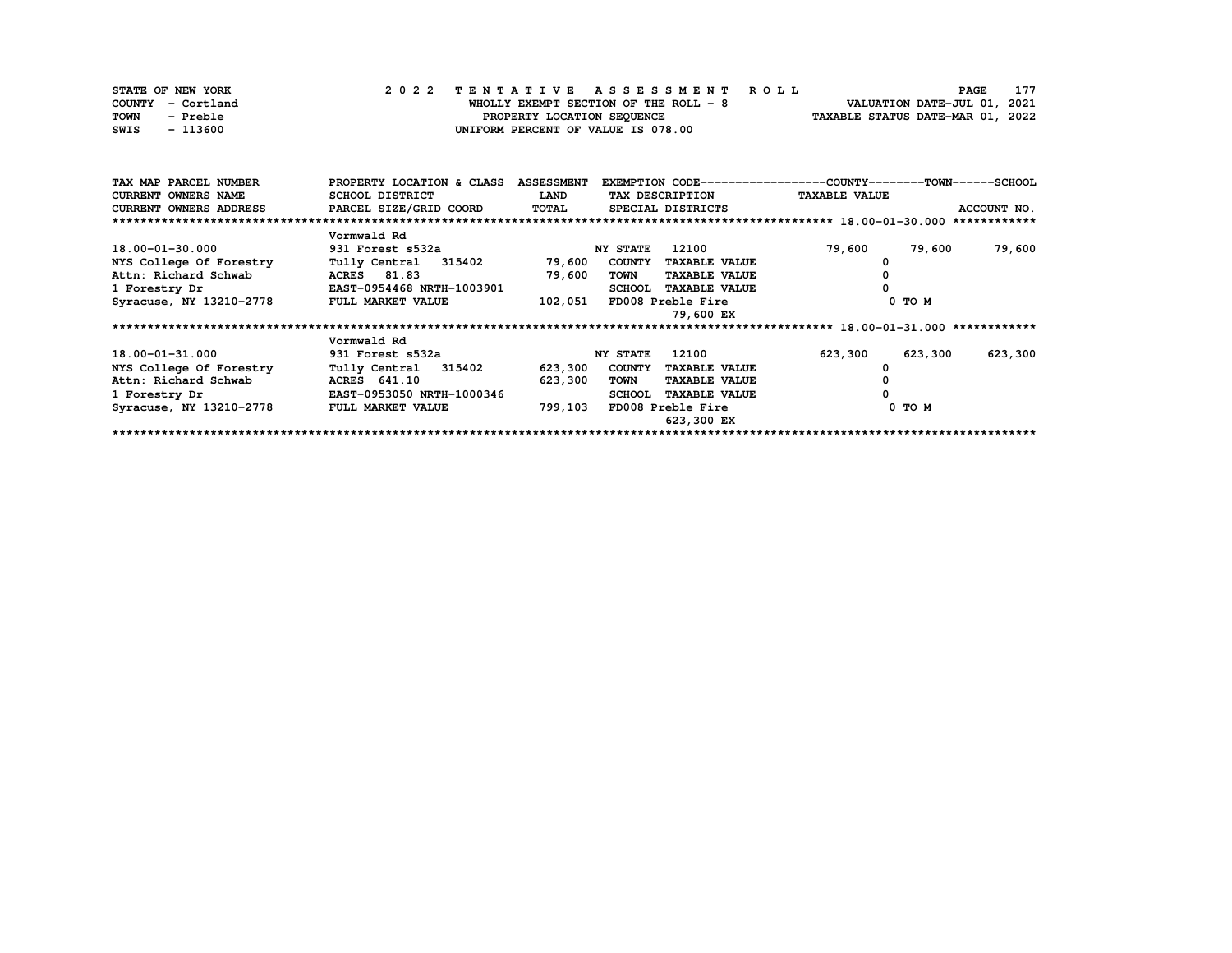| STATE OF NEW YORK | 2022 TENTATIVE ASSESSMENT ROLL         | 177<br><b>PAGE</b>               |
|-------------------|----------------------------------------|----------------------------------|
| COUNTY - Cortland | WHOLLY EXEMPT SECTION OF THE ROLL $-8$ | VALUATION DATE-JUL 01, 2021      |
| TOWN<br>- Preble  | PROPERTY LOCATION SEOUENCE             | TAXABLE STATUS DATE-MAR 01, 2022 |
| - 113600<br>SWIS  | UNIFORM PERCENT OF VALUE IS 078.00     |                                  |

| TAX MAP PARCEL NUMBER         | PROPERTY LOCATION & CLASS | <b>ASSESSMENT</b> |                 |                      | EXEMPTION CODE-----------------COUNTY-------TOWN-----SCHOOL |         |             |
|-------------------------------|---------------------------|-------------------|-----------------|----------------------|-------------------------------------------------------------|---------|-------------|
| <b>CURRENT OWNERS NAME</b>    | SCHOOL DISTRICT           | <b>LAND</b>       |                 | TAX DESCRIPTION      | <b>TAXABLE VALUE</b>                                        |         |             |
| <b>CURRENT OWNERS ADDRESS</b> | PARCEL SIZE/GRID COORD    | <b>TOTAL</b>      |                 | SPECIAL DISTRICTS    |                                                             |         | ACCOUNT NO. |
| *************************     |                           |                   |                 |                      |                                                             |         |             |
|                               | Vormwald Rd               |                   |                 |                      |                                                             |         |             |
| 18.00-01-30.000               | 931 Forest s532a          |                   | <b>NY STATE</b> | 12100                | 79,600                                                      | 79,600  | 79,600      |
| NYS College Of Forestry       | Tully Central<br>315402   | 79,600            | <b>COUNTY</b>   | <b>TAXABLE VALUE</b> |                                                             |         |             |
| Attn: Richard Schwab          | ACRES 81.83               | 79,600            | TOWN            | <b>TAXABLE VALUE</b> |                                                             |         |             |
| 1 Forestry Dr                 | EAST-0954468 NRTH-1003901 |                   | <b>SCHOOL</b>   | <b>TAXABLE VALUE</b> |                                                             |         |             |
| Syracuse, NY 13210-2778       | FULL MARKET VALUE         | 102,051           |                 | FD008 Preble Fire    |                                                             | 0 TO M  |             |
|                               |                           |                   |                 | 79,600 EX            |                                                             |         |             |
|                               |                           |                   |                 |                      |                                                             |         |             |
|                               | Vormwald Rd               |                   |                 |                      |                                                             |         |             |
| 18.00-01-31.000               | 931 Forest s532a          |                   | NY STATE        | 12100                | 623,300                                                     | 623,300 | 623,300     |
| NYS College Of Forestry       | Tully Central 315402      | 623,300           | <b>COUNTY</b>   | <b>TAXABLE VALUE</b> |                                                             |         |             |
| Attn: Richard Schwab          | ACRES 641.10              | 623,300           | TOWN            | <b>TAXABLE VALUE</b> |                                                             |         |             |
| 1 Forestry Dr                 | EAST-0953050 NRTH-1000346 |                   | <b>SCHOOL</b>   | <b>TAXABLE VALUE</b> |                                                             |         |             |
| Syracuse, NY 13210-2778       | FULL MARKET VALUE         | 799,103           |                 | FD008 Preble Fire    |                                                             | 0 TO M  |             |
|                               |                           |                   |                 | 623,300 EX           |                                                             |         |             |
|                               |                           |                   |                 |                      |                                                             |         |             |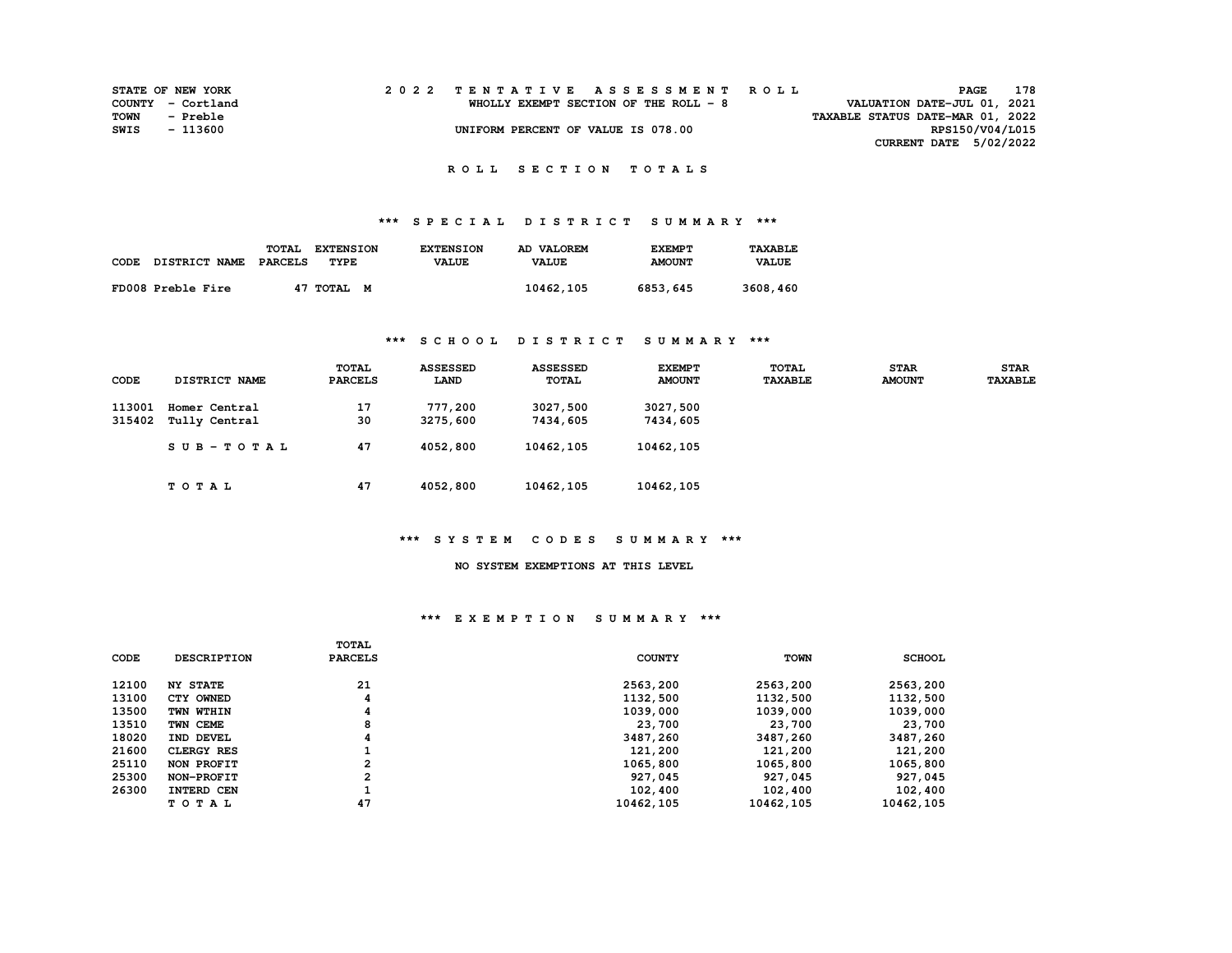| <b>STATE OF NEW YORK</b> |                   |  |  |  |  |  |                                       |  |  |  | 2022 TENTATIVE ASSESSMENT ROLL |                                  |                 | PAGE | 178 |  |
|--------------------------|-------------------|--|--|--|--|--|---------------------------------------|--|--|--|--------------------------------|----------------------------------|-----------------|------|-----|--|
|                          | COUNTY - Cortland |  |  |  |  |  | WHOLLY EXEMPT SECTION OF THE ROLL - 8 |  |  |  |                                | VALUATION DATE-JUL 01, 2021      |                 |      |     |  |
| TOWN                     | - Preble          |  |  |  |  |  |                                       |  |  |  |                                | TAXABLE STATUS DATE-MAR 01, 2022 |                 |      |     |  |
| SWIS                     | - 113600          |  |  |  |  |  | UNIFORM PERCENT OF VALUE IS 078.00    |  |  |  |                                |                                  | RPS150/V04/L015 |      |     |  |
|                          |                   |  |  |  |  |  |                                       |  |  |  |                                | CURRENT DATE 5/02/2022           |                 |      |     |  |

# **\*\*\* S P E C I A L D I S T R I C T S U M M A R Y \*\*\***

|      |                   | TOTAL   | <b>EXTENSION</b> | <b>EXTENSION</b> | AD VALOREM   | <b>EXEMPT</b> | TAXABLE      |
|------|-------------------|---------|------------------|------------------|--------------|---------------|--------------|
| CODE | DISTRICT NAME     | PARCELS | TYPE             | <b>VALUE</b>     | <b>VALUE</b> | <b>AMOUNT</b> | <b>VALUE</b> |
|      |                   |         |                  |                  |              |               |              |
|      | FD008 Preble Fire |         | 47 TOTAL M       |                  | 10462,105    | 6853,645      | 3608,460     |

### **\*\*\* S C H O O L D I S T R I C T S U M M A R Y \*\*\***

| CODE             | DISTRICT NAME                  | TOTAL<br><b>PARCELS</b> | <b>ASSESSED</b><br>LAND | <b>ASSESSED</b><br><b>TOTAL</b> | <b>EXEMPT</b><br><b>AMOUNT</b> | <b>TOTAL</b><br><b>TAXABLE</b> | <b>STAR</b><br><b>AMOUNT</b> | <b>STAR</b><br><b>TAXABLE</b> |
|------------------|--------------------------------|-------------------------|-------------------------|---------------------------------|--------------------------------|--------------------------------|------------------------------|-------------------------------|
| 113001<br>315402 | Homer Central<br>Tully Central | 17<br>30                | 777,200<br>3275,600     | 3027,500<br>7434,605            | 3027,500<br>7434,605           |                                |                              |                               |
|                  | $SUB - TO T AL$                | 47                      | 4052,800                | 10462,105                       | 10462,105                      |                                |                              |                               |
|                  | TOTAL                          | 47                      | 4052,800                | 10462,105                       | 10462,105                      |                                |                              |                               |

### **\*\*\* S Y S T E M C O D E S S U M M A R Y \*\*\***

#### **NO SYSTEM EXEMPTIONS AT THIS LEVEL**

#### **\*\*\* E X E M P T I O N S U M M A R Y \*\*\***

| <b>CODE</b> | <b>DESCRIPTION</b> | <b>TOTAL</b><br><b>PARCELS</b> | <b>COUNTY</b> | <b>TOWN</b> | <b>SCHOOL</b> |
|-------------|--------------------|--------------------------------|---------------|-------------|---------------|
| 12100       | <b>NY STATE</b>    | 21                             | 2563,200      | 2563,200    | 2563,200      |
| 13100       | CTY OWNED          | 4                              | 1132,500      | 1132,500    | 1132,500      |
| 13500       | TWN WTHIN          | 4                              | 1039,000      | 1039,000    | 1039,000      |
| 13510       | TWN CEME           | 8                              | 23,700        | 23,700      | 23,700        |
| 18020       | IND DEVEL          | 4                              | 3487,260      | 3487,260    | 3487,260      |
| 21600       | <b>CLERGY RES</b>  |                                | 121,200       | 121,200     | 121,200       |
| 25110       | NON PROFIT         | 2                              | 1065,800      | 1065,800    | 1065,800      |
| 25300       | NON-PROFIT         | 2                              | 927,045       | 927,045     | 927,045       |
| 26300       | INTERD CEN         |                                | 102,400       | 102,400     | 102,400       |
|             | TOTAL              | 47                             | 10462,105     | 10462,105   | 10462,105     |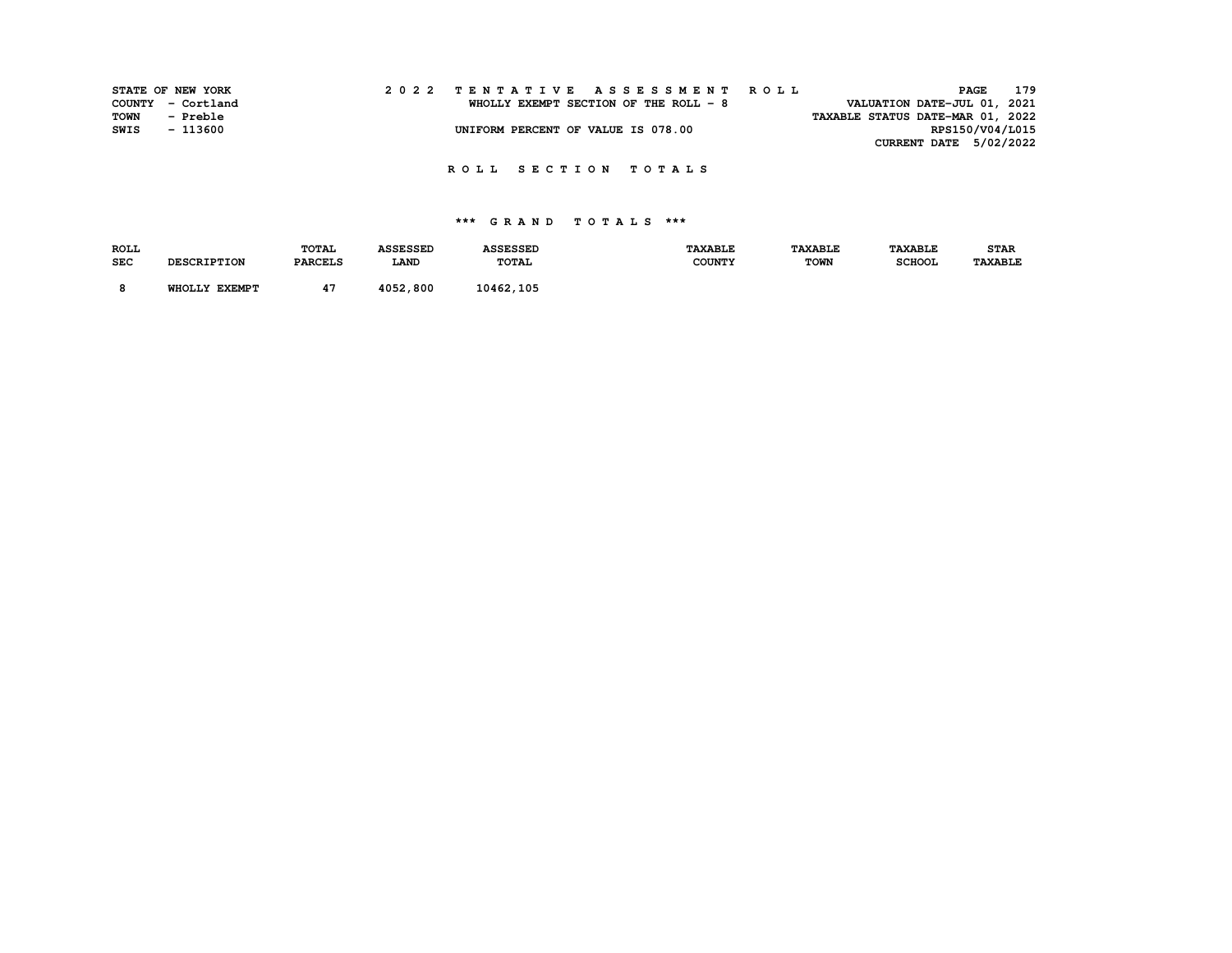| STATE OF NEW YORK |                   |  |  |  |  |                                        |  |  |  |  | 2022 TENTATIVE ASSESSMENT ROLL |                                  |                 | PAGE | 179 |
|-------------------|-------------------|--|--|--|--|----------------------------------------|--|--|--|--|--------------------------------|----------------------------------|-----------------|------|-----|
|                   | COUNTY - Cortland |  |  |  |  | WHOLLY EXEMPT SECTION OF THE ROLL $-8$ |  |  |  |  |                                | VALUATION DATE-JUL 01, 2021      |                 |      |     |
| TOWN              | - Preble          |  |  |  |  |                                        |  |  |  |  |                                | TAXABLE STATUS DATE-MAR 01, 2022 |                 |      |     |
| SWIS              | - 113600          |  |  |  |  | UNIFORM PERCENT OF VALUE IS 078.00     |  |  |  |  |                                |                                  | RPS150/V04/L015 |      |     |
|                   |                   |  |  |  |  |                                        |  |  |  |  |                                | CURRENT DATE 5/02/2022           |                 |      |     |

| <b>ROLL</b> | <b>DESCRIPTION</b>      | <b>TOTAL</b>   | <b>ASSESSED</b> | <b>ASSESSED</b> | <b>TAXABLE</b> | <b>TAXABLE</b> | <b>TAXABLE</b> | <b>STAR</b>    |
|-------------|-------------------------|----------------|-----------------|-----------------|----------------|----------------|----------------|----------------|
| <b>SEC</b>  |                         | <b>PARCELS</b> | <b>LAND</b>     | <b>TOTAL</b>    | <b>COUNTY</b>  | <b>TOWN</b>    | <b>SCHOOL</b>  | <b>TAXABLE</b> |
|             | <b>EXEMPT</b><br>WHOLLY |                | , 800<br>4052   | 10462,105       |                |                |                |                |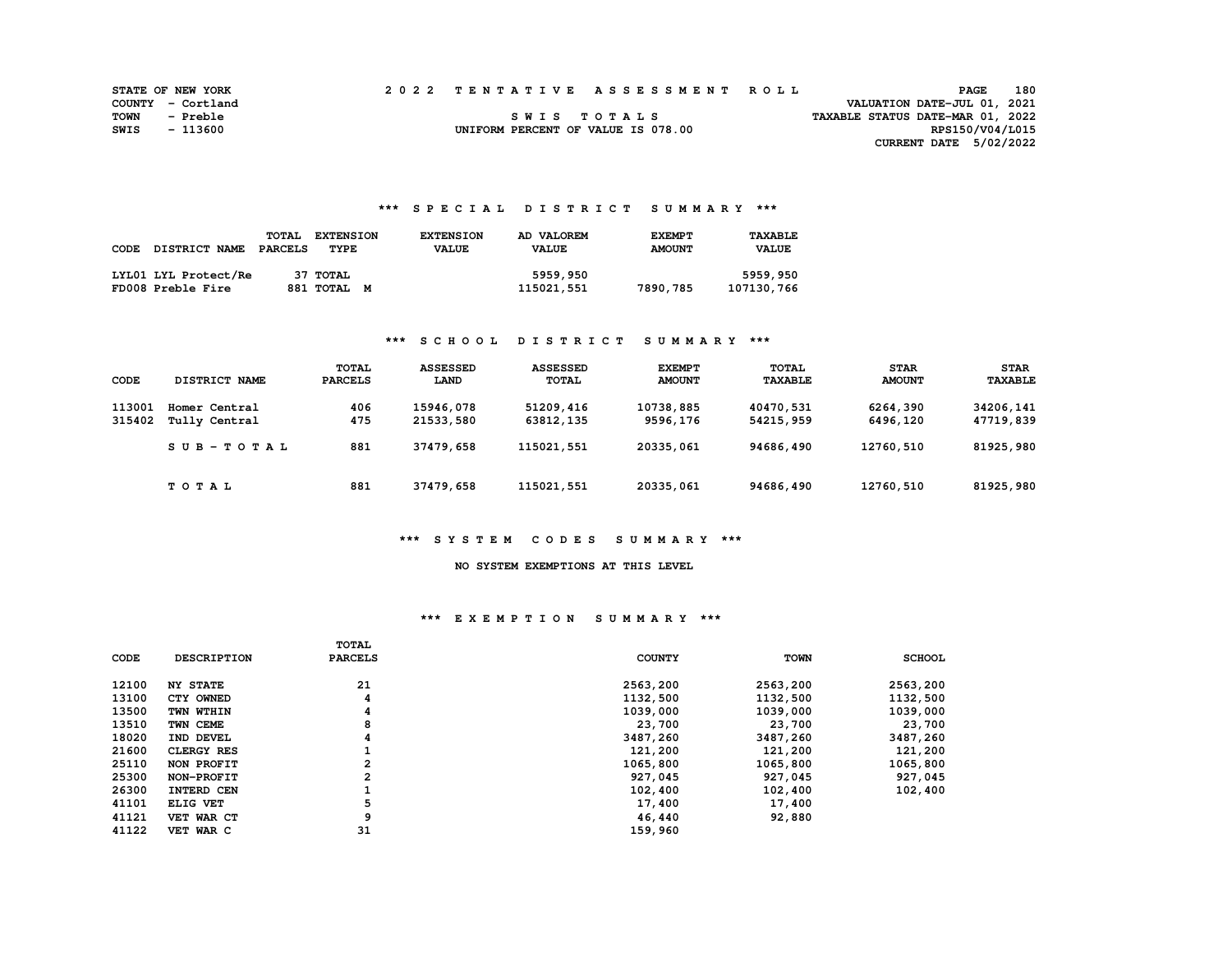|      | <b>STATE OF NEW YORK</b> |  | 2022 TENTATIVE ASSESSMENT ROLL     |                                  | <b>PAGE</b>                 | 180 |
|------|--------------------------|--|------------------------------------|----------------------------------|-----------------------------|-----|
|      | COUNTY - Cortland        |  |                                    |                                  | VALUATION DATE-JUL 01, 2021 |     |
| TOWN | - Preble                 |  | SWIS TOTALS                        | TAXABLE STATUS DATE-MAR 01, 2022 |                             |     |
| SWIS | - 113600                 |  | UNIFORM PERCENT OF VALUE IS 078.00 |                                  | RPS150/V04/L015             |     |
|      |                          |  |                                    |                                  | CURRENT DATE 5/02/2022      |     |

### **\*\*\* S P E C I A L D I S T R I C T S U M M A R Y \*\*\***

| CODE | <b>DISTRICT NAME</b>                      | <b>TOTAL</b><br>PARCELS | <b>EXTENSION</b><br>TYPE | <b>EXTENSION</b><br><b>VALUE</b> | AD VALOREM<br><b>VALUE</b> | <b>EXEMPT</b><br><b>AMOUNT</b> | TAXABLE<br><b>VALUE</b> |
|------|-------------------------------------------|-------------------------|--------------------------|----------------------------------|----------------------------|--------------------------------|-------------------------|
|      | LYL01 LYL Protect/Re<br>FD008 Preble Fire |                         | 37 TOTAL<br>881 TOTAL M  |                                  | 5959,950<br>115021,551     | 7890,785                       | 5959,950<br>107130,766  |

### **\*\*\* S C H O O L D I S T R I C T S U M M A R Y \*\*\***

| CODE             | DISTRICT NAME                  | <b>TOTAL</b><br><b>PARCELS</b> | <b>ASSESSED</b><br><b>LAND</b> | <b>ASSESSED</b><br><b>TOTAL</b> | <b>EXEMPT</b><br><b>AMOUNT</b> | <b>TOTAL</b><br><b>TAXABLE</b> | <b>STAR</b><br><b>AMOUNT</b> | <b>STAR</b><br><b>TAXABLE</b> |
|------------------|--------------------------------|--------------------------------|--------------------------------|---------------------------------|--------------------------------|--------------------------------|------------------------------|-------------------------------|
| 113001<br>315402 | Homer Central<br>Tully Central | 406<br>475                     | 15946,078<br>21533,580         | 51209,416<br>63812,135          | 10738,885<br>9596,176          | 40470,531<br>54215,959         | 6264,390<br>6496,120         | 34206,141<br>47719,839        |
|                  | $SUB-TOTAL$                    | 881                            | 37479,658                      | 115021,551                      | 20335,061                      | 94686,490                      | 12760,510                    | 81925,980                     |
|                  | TOTAL                          | 881                            | 37479,658                      | 115021,551                      | 20335,061                      | 94686,490                      | 12760,510                    | 81925,980                     |

### **\*\*\* S Y S T E M C O D E S S U M M A R Y \*\*\***

#### **NO SYSTEM EXEMPTIONS AT THIS LEVEL**

#### **\*\*\* E X E M P T I O N S U M M A R Y \*\*\***

|       |                    | TOTAL          |               |             |               |
|-------|--------------------|----------------|---------------|-------------|---------------|
| CODE  | <b>DESCRIPTION</b> | <b>PARCELS</b> | <b>COUNTY</b> | <b>TOWN</b> | <b>SCHOOL</b> |
|       |                    |                |               |             |               |
| 12100 | <b>NY STATE</b>    | 21             | 2563,200      | 2563,200    | 2563,200      |
| 13100 | CTY OWNED          | 4              | 1132,500      | 1132,500    | 1132,500      |
| 13500 | TWN WTHIN          | 4              | 1039,000      | 1039,000    | 1039,000      |
| 13510 | TWN CEME           | 8              | 23,700        | 23,700      | 23,700        |
| 18020 | IND DEVEL          | 4              | 3487,260      | 3487,260    | 3487,260      |
| 21600 | <b>CLERGY RES</b>  |                | 121,200       | 121,200     | 121,200       |
| 25110 | NON PROFIT         | $\mathbf{2}$   | 1065,800      | 1065,800    | 1065,800      |
| 25300 | NON-PROFIT         | 2              | 927,045       | 927,045     | 927,045       |
| 26300 | <b>INTERD CEN</b>  |                | 102,400       | 102,400     | 102,400       |
| 41101 | ELIG VET           | 5              | 17,400        | 17,400      |               |
| 41121 | VET WAR CT         | 9              | 46,440        | 92,880      |               |
| 41122 | VET WAR C          | 31             | 159,960       |             |               |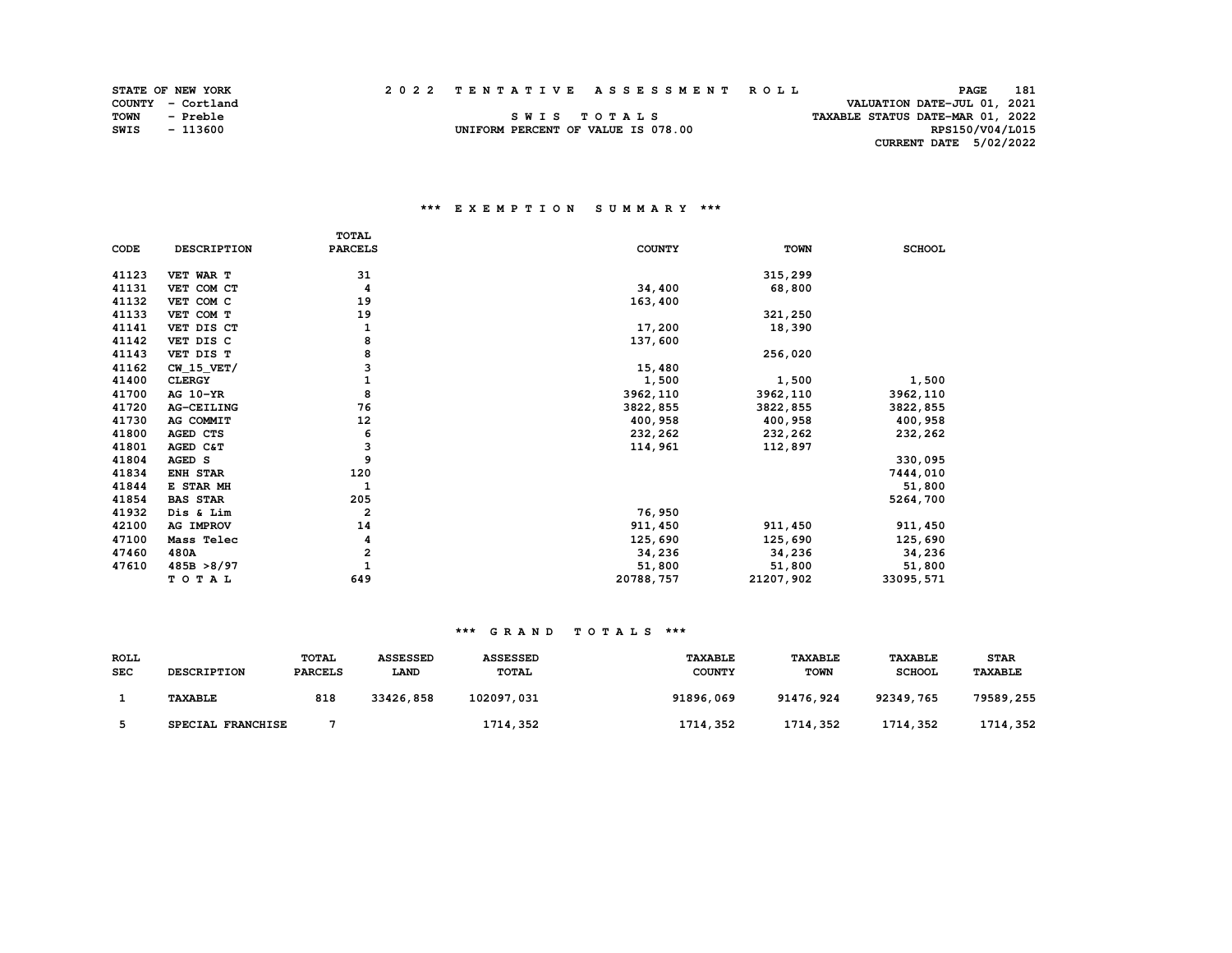| <b>STATE OF NEW YORK</b> |  | 2022 TENTATIVE ASSESSMENT ROLL     |                                  | PAGE            | -181 |
|--------------------------|--|------------------------------------|----------------------------------|-----------------|------|
| COUNTY - Cortland        |  |                                    | VALUATION DATE-JUL 01, 2021      |                 |      |
| TOWN<br>- Preble         |  | SWIS TOTALS                        | TAXABLE STATUS DATE-MAR 01, 2022 |                 |      |
| SWIS<br>- 113600         |  | UNIFORM PERCENT OF VALUE IS 078.00 |                                  | RPS150/V04/L015 |      |
|                          |  |                                    | <b>CURRENT DATE 5/02/2022</b>    |                 |      |

# **\*\*\* E X E M P T I O N S U M M A R Y \*\*\***

|       |                 | <b>TOTAL</b>   |               |             |               |
|-------|-----------------|----------------|---------------|-------------|---------------|
| CODE  | DESCRIPTION     | <b>PARCELS</b> | <b>COUNTY</b> | <b>TOWN</b> | <b>SCHOOL</b> |
| 41123 | VET WAR T       | 31             |               | 315,299     |               |
| 41131 | VET COM CT      | 4              | 34,400        | 68,800      |               |
| 41132 | VET COM C       | 19             | 163,400       |             |               |
| 41133 | VET COM T       | 19             |               | 321,250     |               |
| 41141 | VET DIS CT      | 1              | 17,200        | 18,390      |               |
| 41142 | VET DIS C       | 8              | 137,600       |             |               |
| 41143 | VET DIS T       | 8              |               | 256,020     |               |
| 41162 | $CW_15_VET/$    | 3              | 15,480        |             |               |
| 41400 | <b>CLERGY</b>   |                | 1,500         | 1,500       | 1,500         |
| 41700 | AG 10-YR        | 8              | 3962,110      | 3962,110    | 3962,110      |
| 41720 | AG-CEILING      | 76             | 3822,855      | 3822,855    | 3822,855      |
| 41730 | AG COMMIT       | 12             | 400,958       | 400,958     | 400,958       |
| 41800 | AGED CTS        | 6              | 232,262       | 232,262     | 232,262       |
| 41801 | AGED C&T        | 3              | 114,961       | 112,897     |               |
| 41804 | AGED S          | 9              |               |             | 330,095       |
| 41834 | <b>ENH STAR</b> | 120            |               |             | 7444,010      |
| 41844 | E STAR MH       | $\mathbf{1}$   |               |             | 51,800        |
| 41854 | <b>BAS STAR</b> | 205            |               |             | 5264,700      |
| 41932 | Dis & Lim       | 2              | 76,950        |             |               |
| 42100 | AG IMPROV       | 14             | 911,450       | 911,450     | 911,450       |
| 47100 | Mass Telec      | 4              | 125,690       | 125,690     | 125,690       |
| 47460 | 480A            | 2              | 34,236        | 34,236      | 34,236        |
| 47610 | 485B > 8/97     | $\mathbf{1}$   | 51,800        | 51,800      | 51,800        |
|       | TOTAL           | 649            | 20788, 757    | 21207,902   | 33095,571     |

#### **\*\*\* G R A N D T O T A L S \*\*\***

| ROLL<br><b>SEC</b> | <b>DESCRIPTION</b> | TOTAL<br><b>PARCELS</b> | <b>ASSESSED</b><br>LAND | <b>ASSESSED</b><br><b>TOTAL</b> | <b>TAXABLE</b><br><b>COUNTY</b> | <b>TAXABLE</b><br><b>TOWN</b> | <b>TAXABLE</b><br><b>SCHOOL</b> | <b>STAR</b><br><b>TAXABLE</b> |
|--------------------|--------------------|-------------------------|-------------------------|---------------------------------|---------------------------------|-------------------------------|---------------------------------|-------------------------------|
|                    | <b>TAXABLE</b>     | 818                     | 33426,858               | 102097,031                      | 91896,069                       | 91476, 924                    | 92349,765                       | 79589,255                     |
|                    | SPECIAL FRANCHISE  |                         |                         | 1714,352                        | 1714,352                        | 1714,352                      | 1714,352                        | 1714,352                      |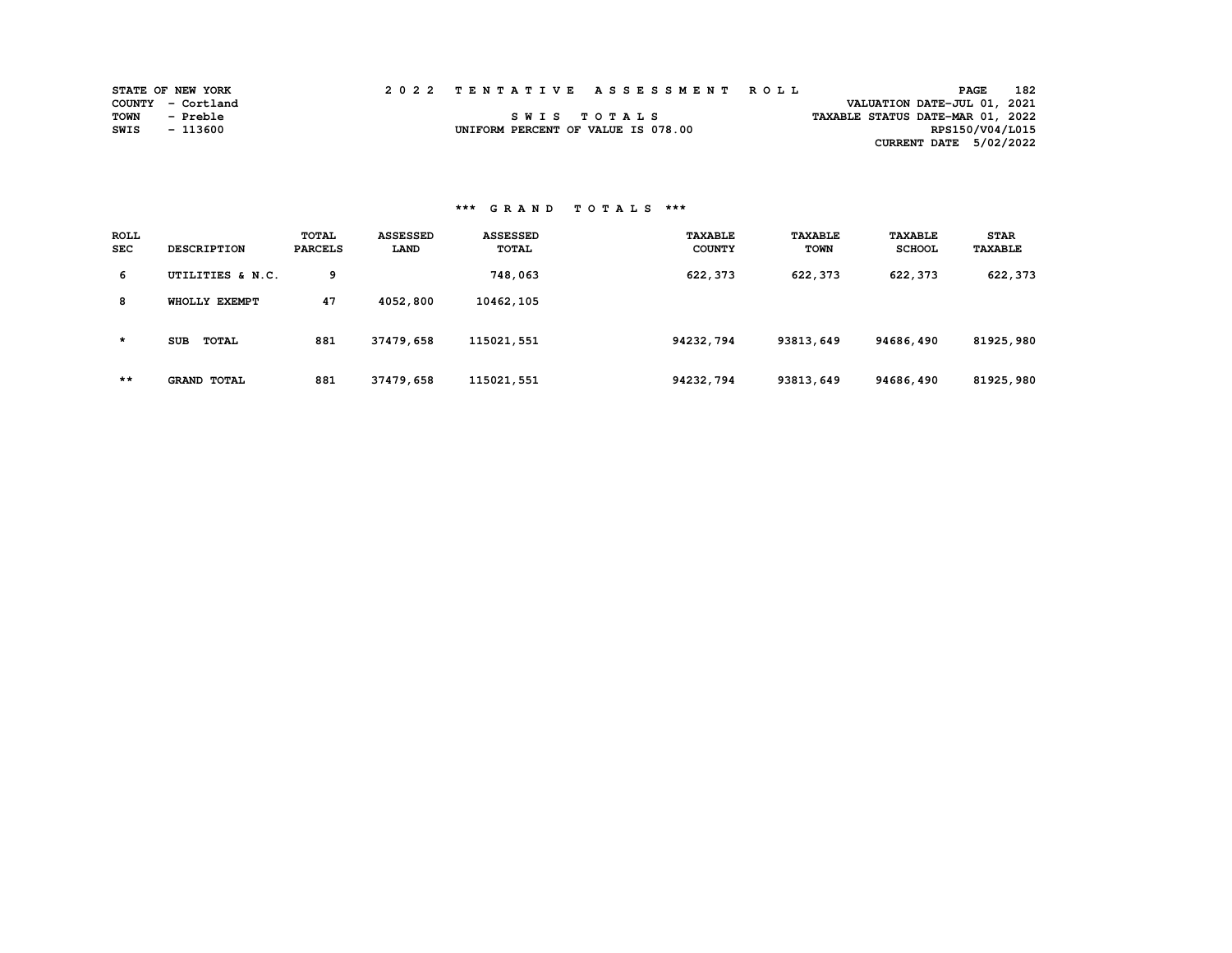|      | <b>STATE OF NEW YORK</b> | 2022 TENTATIVE ASSESSMENT ROLL     |  |  |                                  | PAGE            | 182 |
|------|--------------------------|------------------------------------|--|--|----------------------------------|-----------------|-----|
|      | COUNTY - Cortland        |                                    |  |  | VALUATION DATE-JUL 01, 2021      |                 |     |
| TOWN | - Preble                 | SWIS TOTALS                        |  |  | TAXABLE STATUS DATE-MAR 01, 2022 |                 |     |
| SWIS | - 113600                 | UNIFORM PERCENT OF VALUE IS 078.00 |  |  |                                  | RPS150/V04/L015 |     |
|      |                          |                                    |  |  | CURRENT DATE 5/02/2022           |                 |     |

# **\*\*\* G R A N D T O T A L S \*\*\***

| ROLL<br><b>SEC</b> | <b>DESCRIPTION</b>  | <b>TOTAL</b><br><b>PARCELS</b> | <b>ASSESSED</b><br>LAND | <b>ASSESSED</b><br><b>TOTAL</b> | <b><i>TAXABLE</i></b><br><b>COUNTY</b> | <b>TAXABLE</b><br>TOWN | <b>TAXABLE</b><br><b>SCHOOL</b> | <b>STAR</b><br><b>TAXABLE</b> |
|--------------------|---------------------|--------------------------------|-------------------------|---------------------------------|----------------------------------------|------------------------|---------------------------------|-------------------------------|
| 6                  | UTILITIES & N.C.    | 9                              |                         | 748,063                         | 622,373                                | 622,373                | 622,373                         | 622,373                       |
| 8                  | WHOLLY EXEMPT       | 47                             | 4052,800                | 10462,105                       |                                        |                        |                                 |                               |
| $\star$            | TOTAL<br><b>SUB</b> | 881                            | 37479,658               | 115021,551                      | 94232,794                              | 93813,649              | 94686,490                       | 81925,980                     |
| $***$              | <b>GRAND TOTAL</b>  | 881                            | 37479,658               | 115021,551                      | 94232,794                              | 93813,649              | 94686,490                       | 81925,980                     |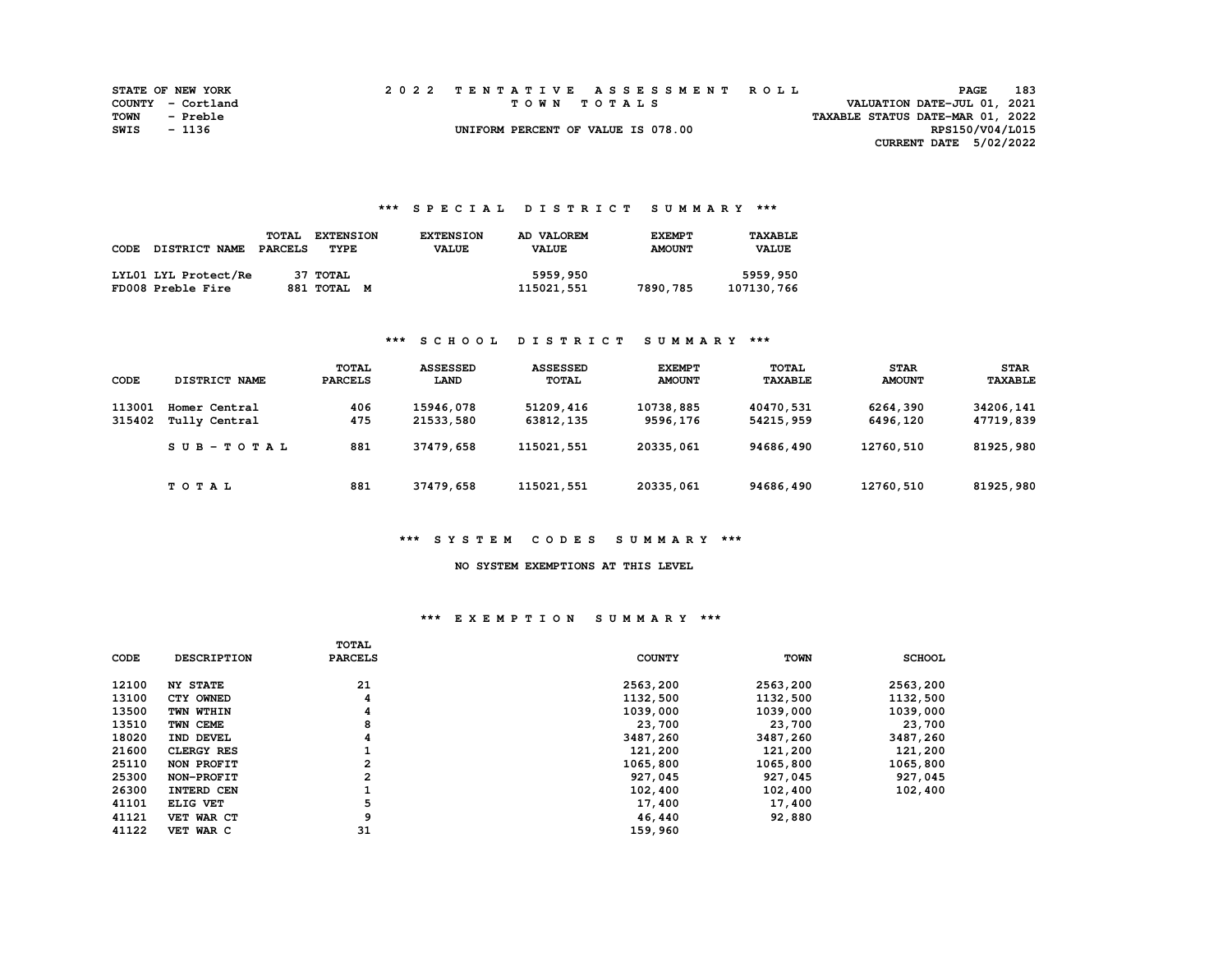|      | <b>STATE OF NEW YORK</b> |  | 2022 TENTATIVE ASSESSMENT ROLL     |                                  | <b>PAGE</b>                 | 183 |
|------|--------------------------|--|------------------------------------|----------------------------------|-----------------------------|-----|
|      | COUNTY - Cortland        |  | TOWN TOTALS                        |                                  | VALUATION DATE-JUL 01, 2021 |     |
| TOWN | - Preble                 |  |                                    | TAXABLE STATUS DATE-MAR 01, 2022 |                             |     |
| SWIS | - 1136                   |  | UNIFORM PERCENT OF VALUE IS 078.00 |                                  | RPS150/V04/L015             |     |
|      |                          |  |                                    |                                  | CURRENT DATE 5/02/2022      |     |

# **\*\*\* S P E C I A L D I S T R I C T S U M M A R Y \*\*\***

| CODE | DISTRICT NAME                             | TOTAL<br>PARCELS | <b>EXTENSION</b><br>TYPE | <b>EXTENSION</b><br><b>VALUE</b> | AD VALOREM<br><b>VALUE</b> | <b>EXEMPT</b><br><b>AMOUNT</b> | TAXABLE<br><b>VALUE</b> |
|------|-------------------------------------------|------------------|--------------------------|----------------------------------|----------------------------|--------------------------------|-------------------------|
|      | LYL01 LYL Protect/Re<br>FD008 Preble Fire |                  | 37 TOTAL<br>881 TOTAL M  |                                  | 5959,950<br>115021,551     | 7890,785                       | 5959,950<br>107130,766  |

# **\*\*\* S C H O O L D I S T R I C T S U M M A R Y \*\*\***

| CODE             | DISTRICT NAME                  | <b>TOTAL</b><br><b>PARCELS</b> | <b>ASSESSED</b><br>LAND | <b>ASSESSED</b><br><b>TOTAL</b> | <b>EXEMPT</b><br><b>AMOUNT</b> | <b>TOTAL</b><br><b>TAXABLE</b> | <b>STAR</b><br><b>AMOUNT</b> | <b>STAR</b><br><b>TAXABLE</b> |
|------------------|--------------------------------|--------------------------------|-------------------------|---------------------------------|--------------------------------|--------------------------------|------------------------------|-------------------------------|
| 113001<br>315402 | Homer Central<br>Tully Central | 406<br>475                     | 15946,078<br>21533,580  | 51209,416<br>63812,135          | 10738,885<br>9596,176          | 40470,531<br>54215,959         | 6264,390<br>6496,120         | 34206,141<br>47719,839        |
|                  | $SUB-TOTAL$                    | 881                            | 37479,658               | 115021,551                      | 20335,061                      | 94686,490                      | 12760,510                    | 81925,980                     |
|                  | TOTAL                          | 881                            | 37479,658               | 115021,551                      | 20335,061                      | 94686,490                      | 12760,510                    | 81925,980                     |

# **\*\*\* S Y S T E M C O D E S S U M M A R Y \*\*\***

### **NO SYSTEM EXEMPTIONS AT THIS LEVEL**

#### **\*\*\* E X E M P T I O N S U M M A R Y \*\*\***

|       |                    | <b>TOTAL</b>   |               |             |               |
|-------|--------------------|----------------|---------------|-------------|---------------|
| CODE  | <b>DESCRIPTION</b> | <b>PARCELS</b> | <b>COUNTY</b> | <b>TOWN</b> | <b>SCHOOL</b> |
|       |                    |                |               |             |               |
| 12100 | <b>NY STATE</b>    | 21             | 2563,200      | 2563,200    | 2563,200      |
| 13100 | CTY OWNED          | 4              | 1132,500      | 1132,500    | 1132,500      |
| 13500 | TWN WTHIN          | 4              | 1039,000      | 1039,000    | 1039,000      |
| 13510 | TWN CEME           | 8              | 23,700        | 23,700      | 23,700        |
| 18020 | IND DEVEL          | 4              | 3487,260      | 3487,260    | 3487,260      |
| 21600 | <b>CLERGY RES</b>  |                | 121,200       | 121,200     | 121,200       |
| 25110 | NON PROFIT         | $\mathbf{2}$   | 1065,800      | 1065,800    | 1065,800      |
| 25300 | NON-PROFIT         | 2              | 927,045       | 927,045     | 927,045       |
| 26300 | <b>INTERD CEN</b>  |                | 102,400       | 102,400     | 102,400       |
| 41101 | ELIG VET           | 5              | 17,400        | 17,400      |               |
| 41121 | VET WAR CT         | 9              | 46,440        | 92,880      |               |
| 41122 | VET WAR C          | 31             | 159,960       |             |               |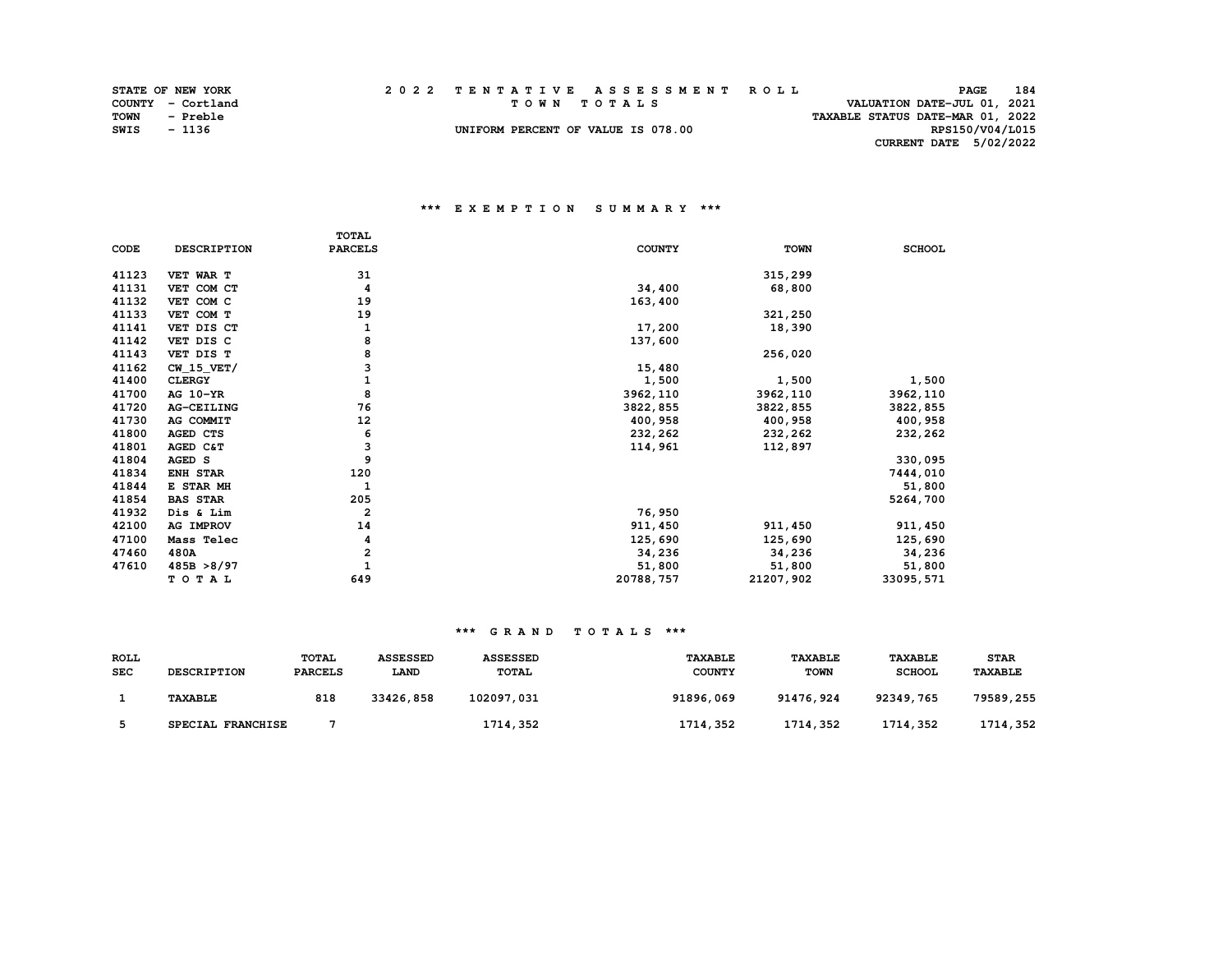|      | <b>STATE OF NEW YORK</b> |  | 2022 TENTATIVE ASSESSMENT ROLL     |                                  | PAGE                        | 184 |
|------|--------------------------|--|------------------------------------|----------------------------------|-----------------------------|-----|
|      | COUNTY - Cortland        |  | TOWN TOTALS                        |                                  | VALUATION DATE-JUL 01, 2021 |     |
| TOWN | - Preble                 |  |                                    | TAXABLE STATUS DATE-MAR 01, 2022 |                             |     |
| SWIS | - 1136                   |  | UNIFORM PERCENT OF VALUE IS 078.00 |                                  | RPS150/V04/L015             |     |
|      |                          |  |                                    |                                  | CURRENT DATE 5/02/2022      |     |

# **\*\*\* E X E M P T I O N S U M M A R Y \*\*\***

|       |                 | <b>TOTAL</b>   |               |             |               |
|-------|-----------------|----------------|---------------|-------------|---------------|
| CODE  | DESCRIPTION     | <b>PARCELS</b> | <b>COUNTY</b> | <b>TOWN</b> | <b>SCHOOL</b> |
| 41123 | VET WAR T       | 31             |               | 315,299     |               |
| 41131 | VET COM CT      | 4              | 34,400        | 68,800      |               |
| 41132 | VET COM C       | 19             | 163,400       |             |               |
| 41133 | VET COM T       | 19             |               | 321,250     |               |
| 41141 | VET DIS CT      | 1              | 17,200        | 18,390      |               |
| 41142 | VET DIS C       | 8              | 137,600       |             |               |
| 41143 | VET DIS T       | 8              |               | 256,020     |               |
| 41162 | $CW_15_VET/$    | 3              | 15,480        |             |               |
| 41400 | <b>CLERGY</b>   |                | 1,500         | 1,500       | 1,500         |
| 41700 | AG 10-YR        | 8              | 3962,110      | 3962,110    | 3962,110      |
| 41720 | AG-CEILING      | 76             | 3822,855      | 3822,855    | 3822,855      |
| 41730 | AG COMMIT       | 12             | 400,958       | 400,958     | 400,958       |
| 41800 | AGED CTS        | 6              | 232,262       | 232,262     | 232,262       |
| 41801 | AGED C&T        | з              | 114,961       | 112,897     |               |
| 41804 | AGED S          | 9              |               |             | 330,095       |
| 41834 | <b>ENH STAR</b> | 120            |               |             | 7444,010      |
| 41844 | E STAR MH       | $\mathbf{1}$   |               |             | 51,800        |
| 41854 | <b>BAS STAR</b> | 205            |               |             | 5264,700      |
| 41932 | Dis & Lim       | $\overline{2}$ | 76,950        |             |               |
| 42100 | AG IMPROV       | 14             | 911,450       | 911,450     | 911,450       |
| 47100 | Mass Telec      | 4              | 125,690       | 125,690     | 125,690       |
| 47460 | 480A            | 2              | 34,236        | 34,236      | 34,236        |
| 47610 | 485B > 8/97     |                | 51,800        | 51,800      | 51,800        |
|       | TOTAL           | 649            | 20788,757     | 21207,902   | 33095,571     |

# **\*\*\* G R A N D T O T A L S \*\*\***

| ROLL<br><b>SEC</b> | <b>DESCRIPTION</b> | TOTAL<br><b>PARCELS</b> | <b>ASSESSED</b><br>LAND | <b>ASSESSED</b><br><b>TOTAL</b> | <b>TAXABLE</b><br><b>COUNTY</b> | <b>TAXABLE</b><br><b>TOWN</b> | <b>TAXABLE</b><br><b>SCHOOL</b> | <b>STAR</b><br><b>TAXABLE</b> |
|--------------------|--------------------|-------------------------|-------------------------|---------------------------------|---------------------------------|-------------------------------|---------------------------------|-------------------------------|
|                    | <b>TAXABLE</b>     | 818                     | 33426,858               | 102097,031                      | 91896,069                       | 91476, 924                    | 92349,765                       | 79589,255                     |
|                    | SPECIAL FRANCHISE  |                         |                         | 1714,352                        | 1714,352                        | 1714,352                      | 1714,352                        | 1714,352                      |